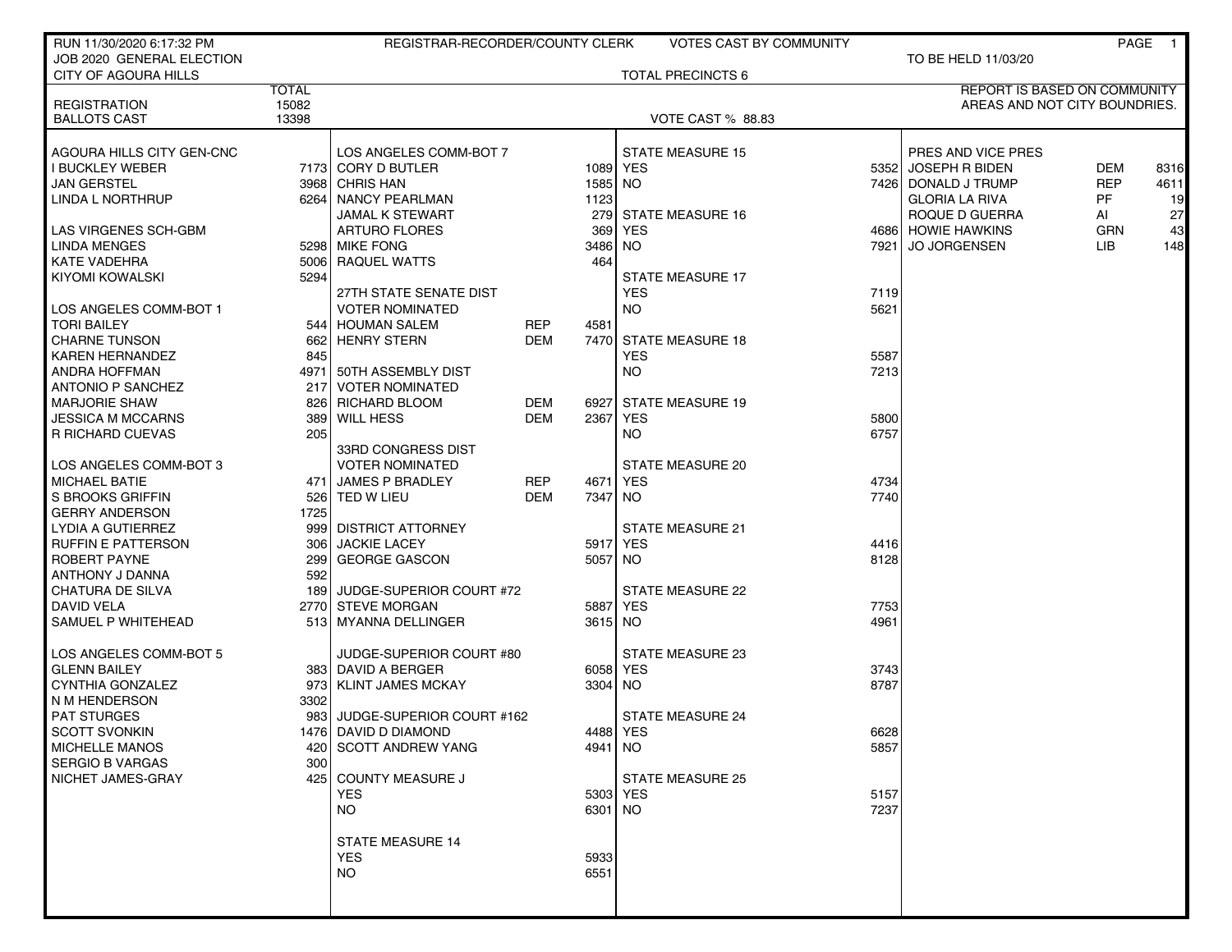| RUN 11/30/2020 6:17:32 PM                  |                | REGISTRAR-RECORDER/COUNTY CLERK |            |          | <b>VOTES CAST BY COMMUNITY</b> |              |                               | PAGE       | $\blacksquare$ 1 |
|--------------------------------------------|----------------|---------------------------------|------------|----------|--------------------------------|--------------|-------------------------------|------------|------------------|
| JOB 2020 GENERAL ELECTION                  |                |                                 |            |          |                                |              | TO BE HELD 11/03/20           |            |                  |
| <b>CITY OF AGOURA HILLS</b>                |                |                                 |            |          | <b>TOTAL PRECINCTS 6</b>       |              |                               |            |                  |
|                                            | <b>TOTAL</b>   |                                 |            |          |                                |              | REPORT IS BASED ON COMMUNITY  |            |                  |
| <b>REGISTRATION</b><br><b>BALLOTS CAST</b> | 15082<br>13398 |                                 |            |          | <b>VOTE CAST % 88.83</b>       |              | AREAS AND NOT CITY BOUNDRIES. |            |                  |
|                                            |                |                                 |            |          |                                |              |                               |            |                  |
| AGOURA HILLS CITY GEN-CNC                  |                | LOS ANGELES COMM-BOT 7          |            |          | <b>STATE MEASURE 15</b>        |              | PRES AND VICE PRES            |            |                  |
| <b>I BUCKLEY WEBER</b>                     |                | 7173 CORY D BUTLER              |            |          | 1089 YES                       |              | 5352 JOSEPH R BIDEN           | <b>DEM</b> | 8316             |
| <b>JAN GERSTEL</b>                         |                | 3968 CHRIS HAN                  |            | 1585     | NO <sub>1</sub>                |              | 7426   DONALD J TRUMP         | <b>REP</b> | 4611             |
| LINDA L NORTHRUP                           |                | 6264 NANCY PEARLMAN             |            | 1123     |                                |              | <b>GLORIA LA RIVA</b>         | <b>PF</b>  | 19               |
|                                            |                | <b>JAMAL K STEWART</b>          |            |          | 279 STATE MEASURE 16           |              | ROQUE D GUERRA                | AI         | 27               |
| LAS VIRGENES SCH-GBM                       |                | <b>ARTURO FLORES</b>            |            | 369      | YES                            |              | 4686 HOWIE HAWKINS            | <b>GRN</b> | 43               |
| LINDA MENGES                               |                | 5298 MIKE FONG                  |            | 3486     | NO.                            |              | 7921 JO JORGENSEN             | LIB.       | 148              |
| KATE VADEHRA                               |                | 5006 RAQUEL WATTS               |            | 464      |                                |              |                               |            |                  |
| KIYOMI KOWALSKI                            | 5294           |                                 |            |          | <b>STATE MEASURE 17</b>        |              |                               |            |                  |
|                                            |                | 27TH STATE SENATE DIST          |            |          | <b>YES</b>                     | 7119         |                               |            |                  |
| LOS ANGELES COMM-BOT 1                     |                | <b>VOTER NOMINATED</b>          |            |          | NO.                            | 5621         |                               |            |                  |
| TORI BAILEY                                |                | 544 HOUMAN SALEM                | REP        | 4581     |                                |              |                               |            |                  |
| <b>CHARNE TUNSON</b>                       | 662            | <b>HENRY STERN</b>              | <b>DEM</b> |          | 7470 STATE MEASURE 18          |              |                               |            |                  |
| <b>KAREN HERNANDEZ</b>                     | 845            |                                 |            |          | <b>YES</b>                     | 5587         |                               |            |                  |
| ANDRA HOFFMAN                              |                | 4971 50TH ASSEMBLY DIST         |            |          | NO.                            | 7213         |                               |            |                  |
| <b>ANTONIO P SANCHEZ</b>                   | 217 l          | <b>VOTER NOMINATED</b>          |            |          |                                |              |                               |            |                  |
| <b>MARJORIE SHAW</b>                       |                | 826 RICHARD BLOOM               | DEM        | 6927     | <b>STATE MEASURE 19</b>        |              |                               |            |                  |
| JESSICA M MCCARNS                          |                | 389 WILL HESS                   | <b>DEM</b> | 2367     | YES                            | 5800         |                               |            |                  |
| <b>R RICHARD CUEVAS</b>                    | 205            |                                 |            |          | <b>NO</b>                      | 6757         |                               |            |                  |
|                                            |                | 33RD CONGRESS DIST              |            |          |                                |              |                               |            |                  |
| LOS ANGELES COMM-BOT 3                     |                | <b>VOTER NOMINATED</b>          |            |          | <b>STATE MEASURE 20</b>        |              |                               |            |                  |
| <b>MICHAEL BATIE</b>                       | 471 l          | JAMES P BRADLEY                 | REP        | 4671     | <b>YES</b>                     | 4734         |                               |            |                  |
| S BROOKS GRIFFIN                           |                | 526 TED W LIEU                  | <b>DEM</b> | 7347 NO  |                                | 7740         |                               |            |                  |
| GERRY ANDERSON                             | 1725           |                                 |            |          |                                |              |                               |            |                  |
| LYDIA A GUTIERREZ                          |                | 999 DISTRICT ATTORNEY           |            |          | STATE MEASURE 21               |              |                               |            |                  |
| RUFFIN E PATTERSON                         | 306 I          | <b>JACKIE LACEY</b>             |            | 5917 YES |                                | 4416<br>8128 |                               |            |                  |
| ROBERT PAYNE<br>ANTHONY J DANNA            | 299<br>592     | <b>GEORGE GASCON</b>            |            | 5057 NO  |                                |              |                               |            |                  |
| CHATURA DE SILVA                           |                | 189 JUDGE-SUPERIOR COURT #72    |            |          | STATE MEASURE 22               |              |                               |            |                  |
| DAVID VELA                                 |                | 2770 STEVE MORGAN               |            | 5887 YES |                                | 7753         |                               |            |                  |
| SAMUEL P WHITEHEAD                         |                | 513 MYANNA DELLINGER            |            | 3615 NO  |                                | 4961         |                               |            |                  |
|                                            |                |                                 |            |          |                                |              |                               |            |                  |
| LOS ANGELES COMM-BOT 5                     |                | JUDGE-SUPERIOR COURT #80        |            |          | <b>STATE MEASURE 23</b>        |              |                               |            |                  |
| <b>GLENN BAILEY</b>                        |                | 383 DAVID A BERGER              |            |          | 6058 YES                       | 3743         |                               |            |                  |
| CYNTHIA GONZALEZ                           |                | 973 KLINT JAMES MCKAY           |            | 3304     | NO.                            | 8787         |                               |            |                  |
| N M HENDERSON                              | 3302           |                                 |            |          |                                |              |                               |            |                  |
| <b>PAT STURGES</b>                         |                | 983 JUDGE-SUPERIOR COURT #162   |            |          | <b>STATE MEASURE 24</b>        |              |                               |            |                  |
| <b>SCOTT SVONKIN</b>                       |                | 1476 DAVID D DIAMOND            |            | 4488 YES |                                | 6628         |                               |            |                  |
| <b>MICHELLE MANOS</b>                      |                | 420 SCOTT ANDREW YANG           |            | 4941 NO  |                                | 5857         |                               |            |                  |
| <b>SERGIO B VARGAS</b>                     | 300            |                                 |            |          |                                |              |                               |            |                  |
| NICHET JAMES-GRAY                          |                | 425 COUNTY MEASURE J            |            |          | <b>STATE MEASURE 25</b>        |              |                               |            |                  |
|                                            |                | <b>YES</b>                      |            | 5303 YES |                                | 5157         |                               |            |                  |
|                                            |                | NO.                             |            | 6301 NO  |                                | 7237         |                               |            |                  |
|                                            |                |                                 |            |          |                                |              |                               |            |                  |
|                                            |                | <b>STATE MEASURE 14</b>         |            |          |                                |              |                               |            |                  |
|                                            |                | <b>YES</b>                      |            | 5933     |                                |              |                               |            |                  |
|                                            |                | NO.                             |            | 6551     |                                |              |                               |            |                  |
|                                            |                |                                 |            |          |                                |              |                               |            |                  |
|                                            |                |                                 |            |          |                                |              |                               |            |                  |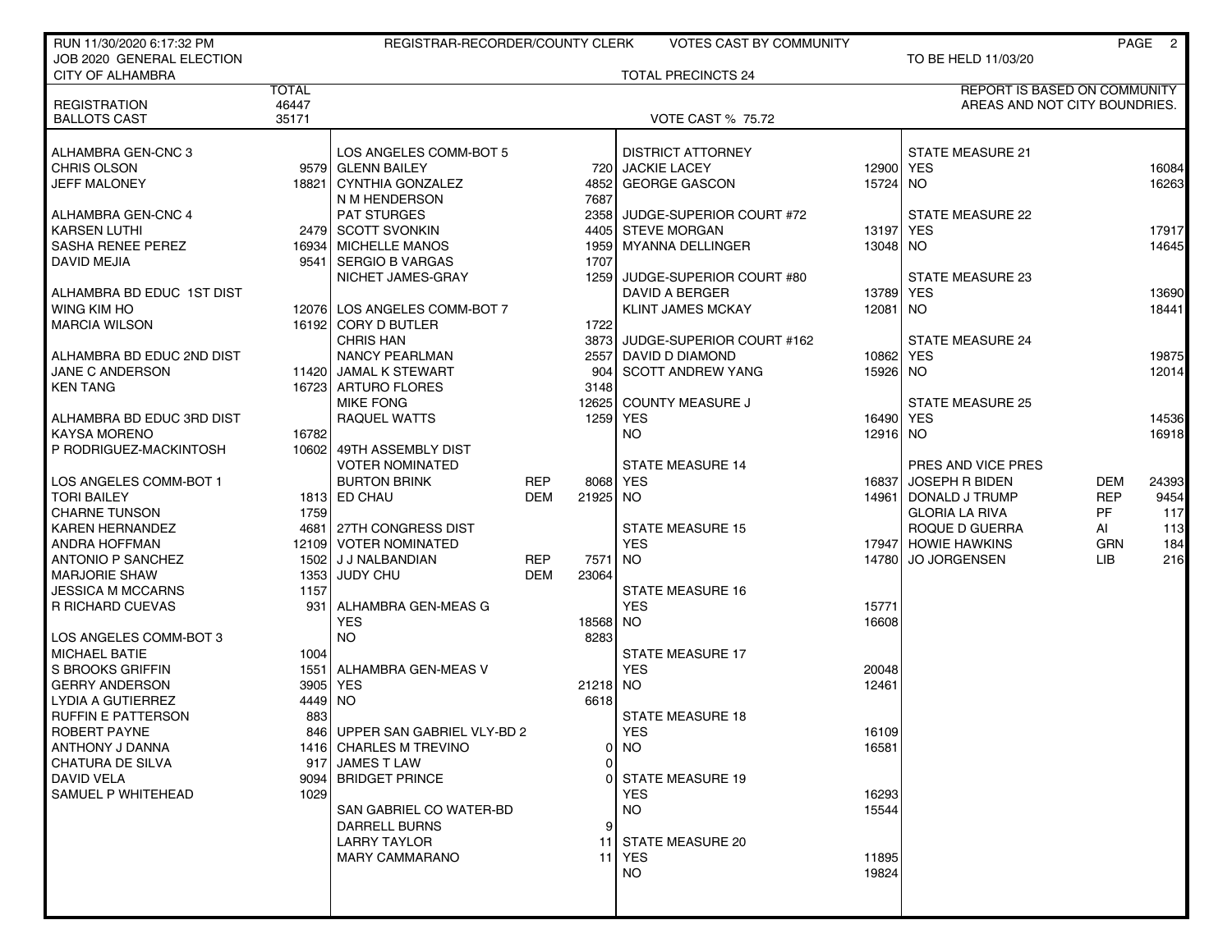| RUN 11/30/2020 6:17:32 PM |         | REGISTRAR-RECORDER/COUNTY CLERK |            |          | <b>VOTES CAST BY COMMUNITY</b> |            |                                     |            | PAGE 2 |
|---------------------------|---------|---------------------------------|------------|----------|--------------------------------|------------|-------------------------------------|------------|--------|
| JOB 2020 GENERAL ELECTION |         |                                 |            |          |                                |            | TO BE HELD 11/03/20                 |            |        |
| <b>CITY OF ALHAMBRA</b>   |         |                                 |            |          | <b>TOTAL PRECINCTS 24</b>      |            |                                     |            |        |
|                           | TOTAL   |                                 |            |          |                                |            | <b>REPORT IS BASED ON COMMUNITY</b> |            |        |
| <b>REGISTRATION</b>       | 46447   |                                 |            |          |                                |            | AREAS AND NOT CITY BOUNDRIES.       |            |        |
| <b>BALLOTS CAST</b>       | 35171   |                                 |            |          | <b>VOTE CAST % 75.72</b>       |            |                                     |            |        |
|                           |         |                                 |            |          |                                |            |                                     |            |        |
| ALHAMBRA GEN-CNC 3        |         | LOS ANGELES COMM-BOT 5          |            |          | <b>DISTRICT ATTORNEY</b>       |            | <b>STATE MEASURE 21</b>             |            |        |
| CHRIS OLSON               |         | 9579 GLENN BAILEY               |            |          | 720 JACKIE LACEY               | 12900 YES  |                                     |            | 16084  |
| JEFF MALONEY              |         | 18821 CYNTHIA GONZALEZ          |            | 4852     | <b>GEORGE GASCON</b>           | 15724 NO   |                                     |            | 16263  |
|                           |         | N M HENDERSON                   |            | 7687     |                                |            |                                     |            |        |
| ALHAMBRA GEN-CNC 4        |         | <b>PAT STURGES</b>              |            |          | 2358 JUDGE-SUPERIOR COURT #72  |            | STATE MEASURE 22                    |            |        |
| <b>KARSEN LUTHI</b>       |         | 2479 SCOTT SVONKIN              |            |          | 4405 STEVE MORGAN              | 13197      | <b>YES</b>                          |            | 17917  |
| <b>SASHA RENEE PEREZ</b>  |         | 16934   MICHELLE MANOS          |            | 1959     | MYANNA DELLINGER               | 13048 NO   |                                     |            | 14645  |
| DAVID MEJIA               |         | 9541   SERGIO B VARGAS          |            | 1707     |                                |            |                                     |            |        |
|                           |         | NICHET JAMES-GRAY               |            |          | 1259 JUDGE-SUPERIOR COURT #80  |            | <b>STATE MEASURE 23</b>             |            |        |
| ALHAMBRA BD EDUC 1ST DIST |         |                                 |            |          | DAVID A BERGER                 | 13789 YES  |                                     |            | 13690  |
| WING KIM HO               |         | 12076 LOS ANGELES COMM-BOT 7    |            |          | <b>KLINT JAMES MCKAY</b>       | 12081   NO |                                     |            | 18441  |
| <b>MARCIA WILSON</b>      |         | 16192 CORY D BUTLER             |            | 1722     |                                |            |                                     |            |        |
|                           |         | <b>CHRIS HAN</b>                |            | 3873     | JUDGE-SUPERIOR COURT #162      |            | <b>STATE MEASURE 24</b>             |            |        |
| ALHAMBRA BD EDUC 2ND DIST |         | <b>NANCY PEARLMAN</b>           |            |          | 2557 DAVID D DIAMOND           | 10862 YES  |                                     |            | 19875  |
| JANE C ANDERSON           |         | 11420 JAMAL K STEWART           |            | 904      | SCOTT ANDREW YANG              | 15926 NO   |                                     |            | 12014  |
| KEN TANG                  |         | 16723 ARTURO FLORES             |            | 3148     |                                |            |                                     |            |        |
|                           |         | <b>MIKE FONG</b>                |            |          | 12625 COUNTY MEASURE J         |            | <b>STATE MEASURE 25</b>             |            |        |
| ALHAMBRA BD EDUC 3RD DIST |         | <b>RAQUEL WATTS</b>             |            |          | 1259 YES                       | 16490 YES  |                                     |            | 14536  |
| <b>KAYSA MORENO</b>       | 16782   |                                 |            |          | <b>NO</b>                      | 12916 NO   |                                     |            | 16918  |
| P RODRIGUEZ-MACKINTOSH    |         | 10602 49TH ASSEMBLY DIST        |            |          |                                |            |                                     |            |        |
|                           |         | <b>VOTER NOMINATED</b>          |            |          | <b>STATE MEASURE 14</b>        |            | PRES AND VICE PRES                  |            |        |
| LOS ANGELES COMM-BOT 1    |         | <b>BURTON BRINK</b>             | <b>REP</b> |          | 8068 YES                       | 16837      | <b>JOSEPH R BIDEN</b>               | <b>DEM</b> | 24393  |
| TORI BAILEY               |         | 1813 ED CHAU                    | <b>DEM</b> | 21925 NO |                                |            | 14961   DONALD J TRUMP              | <b>REP</b> | 9454   |
| <b>CHARNE TUNSON</b>      | 1759    |                                 |            |          |                                |            | <b>GLORIA LA RIVA</b>               | <b>PF</b>  | 117    |
| <b>KAREN HERNANDEZ</b>    |         | 4681 27TH CONGRESS DIST         |            |          | <b>STATE MEASURE 15</b>        |            | ROQUE D GUERRA                      | AI         | 113    |
|                           |         | 12109 VOTER NOMINATED           |            |          | <b>YES</b>                     |            | 17947 HOWIE HAWKINS                 | <b>GRN</b> |        |
| ANDRA HOFFMAN             |         |                                 | <b>REP</b> |          |                                |            | <b>JO JORGENSEN</b>                 |            | 184    |
| ANTONIO P SANCHEZ         |         | 1502 J J NALBANDIAN             |            | 7571     | NO.                            | 14780      |                                     | LIB        | 216    |
| <b>MARJORIE SHAW</b>      |         | 1353 JUDY CHU                   | <b>DEM</b> | 23064    |                                |            |                                     |            |        |
| JESSICA M MCCARNS         | 1157    |                                 |            |          | <b>STATE MEASURE 16</b>        |            |                                     |            |        |
| <b>R RICHARD CUEVAS</b>   |         | 931   ALHAMBRA GEN-MEAS G       |            |          | <b>YES</b>                     | 15771      |                                     |            |        |
|                           |         | <b>YES</b>                      |            | 18568 NO |                                | 16608      |                                     |            |        |
| LOS ANGELES COMM-BOT 3    |         | <b>NO</b>                       |            | 8283     |                                |            |                                     |            |        |
| <b>MICHAEL BATIE</b>      | 1004    |                                 |            |          | <b>STATE MEASURE 17</b>        |            |                                     |            |        |
| S BROOKS GRIFFIN          |         | 1551 ALHAMBRA GEN-MEAS V        |            |          | <b>YES</b>                     | 20048      |                                     |            |        |
| <b>GERRY ANDERSON</b>     |         | 3905 YES                        |            | 21218 NO |                                | 12461      |                                     |            |        |
| LYDIA A GUTIERREZ         | 4449 NO |                                 |            | 6618     |                                |            |                                     |            |        |
| <b>RUFFIN E PATTERSON</b> | 883     |                                 |            |          | <b>STATE MEASURE 18</b>        |            |                                     |            |        |
| ROBERT PAYNE              |         | 846 UPPER SAN GABRIEL VLY-BD 2  |            |          | <b>YES</b>                     | 16109      |                                     |            |        |
| ANTHONY J DANNA           |         | 1416 CHARLES M TREVINO          |            |          | $0$ NO                         | 16581      |                                     |            |        |
| CHATURA DE SILVA          |         | 917 JAMES T LAW                 |            | 0        |                                |            |                                     |            |        |
| DAVID VELA                |         | 9094 BRIDGET PRINCE             |            | 0١       | <b>STATE MEASURE 19</b>        |            |                                     |            |        |
| SAMUEL P WHITEHEAD        | 1029    |                                 |            |          | <b>YES</b>                     | 16293      |                                     |            |        |
|                           |         | SAN GABRIEL CO WATER-BD         |            |          | <b>NO</b>                      | 15544      |                                     |            |        |
|                           |         | <b>DARRELL BURNS</b>            |            | 9        |                                |            |                                     |            |        |
|                           |         | <b>LARRY TAYLOR</b>             |            |          | 11 STATE MEASURE 20            |            |                                     |            |        |
|                           |         | <b>MARY CAMMARANO</b>           |            |          | <b>11 YES</b>                  | 11895      |                                     |            |        |
|                           |         |                                 |            |          | <b>NO</b>                      | 19824      |                                     |            |        |
|                           |         |                                 |            |          |                                |            |                                     |            |        |
|                           |         |                                 |            |          |                                |            |                                     |            |        |
|                           |         |                                 |            |          |                                |            |                                     |            |        |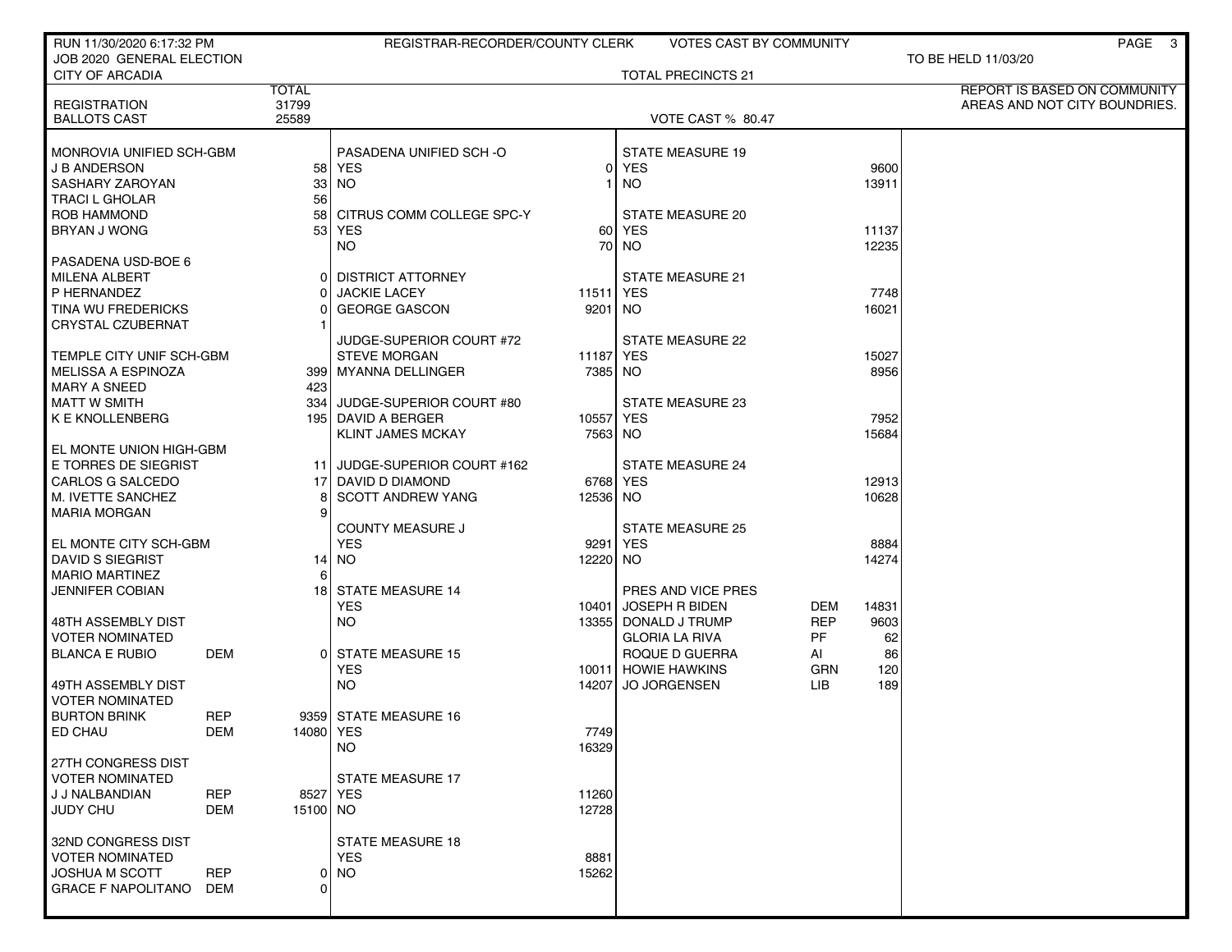| RUN 11/30/2020 6:17:32 PM                       |            |                     | REGISTRAR-RECORDER/COUNTY CLERK |               | <b>VOTES CAST BY COMMUNITY</b>          |                  |          | PAGE 3                              |
|-------------------------------------------------|------------|---------------------|---------------------------------|---------------|-----------------------------------------|------------------|----------|-------------------------------------|
| JOB 2020 GENERAL ELECTION                       |            |                     |                                 |               |                                         |                  |          | TO BE HELD 11/03/20                 |
| <b>CITY OF ARCADIA</b>                          |            | <b>TOTAL</b>        |                                 |               | <b>TOTAL PRECINCTS 21</b>               |                  |          | <b>REPORT IS BASED ON COMMUNITY</b> |
| <b>REGISTRATION</b>                             |            | 31799               |                                 |               |                                         |                  |          | AREAS AND NOT CITY BOUNDRIES.       |
| <b>BALLOTS CAST</b>                             |            | 25589               |                                 |               | <b>VOTE CAST % 80.47</b>                |                  |          |                                     |
| MONROVIA UNIFIED SCH-GBM                        |            |                     | PASADENA UNIFIED SCH-O          |               | <b>STATE MEASURE 19</b>                 |                  |          |                                     |
| <b>J B ANDERSON</b>                             |            |                     | 58 YES                          | 01            | YES                                     |                  | 9600     |                                     |
| SASHARY ZAROYAN                                 |            | 33                  | NO.                             |               | <b>NO</b>                               |                  | 13911    |                                     |
| <b>TRACI L GHOLAR</b>                           |            | 56                  |                                 |               |                                         |                  |          |                                     |
| ROB HAMMOND                                     |            | 58                  | CITRUS COMM COLLEGE SPC-Y       |               | STATE MEASURE 20                        |                  |          |                                     |
| <b>BRYAN J WONG</b>                             |            | 53 I                | <b>YES</b>                      | 60            | <b>YES</b>                              |                  | 11137    |                                     |
|                                                 |            |                     | NO.                             | 70            | <b>NO</b>                               |                  | 12235    |                                     |
| PASADENA USD-BOE 6<br>MILENA ALBERT             |            | 0 I                 | <b>DISTRICT ATTORNEY</b>        |               | <b>STATE MEASURE 21</b>                 |                  |          |                                     |
| P HERNANDEZ                                     |            | 0                   | <b>JACKIE LACEY</b>             | 11511 YES     |                                         |                  | 7748     |                                     |
| TINA WU FREDERICKS                              |            | ი                   | <b>GEORGE GASCON</b>            | 9201 NO       |                                         |                  | 16021    |                                     |
| <b>CRYSTAL CZUBERNAT</b>                        |            |                     |                                 |               |                                         |                  |          |                                     |
|                                                 |            |                     | <b>JUDGE-SUPERIOR COURT #72</b> |               | <b>STATE MEASURE 22</b>                 |                  |          |                                     |
| TEMPLE CITY UNIF SCH-GBM                        |            |                     | <b>STEVE MORGAN</b>             | 11187 YES     |                                         |                  | 15027    |                                     |
| MELISSA A ESPINOZA                              |            |                     | 399   MYANNA DELLINGER          | 7385 NO       |                                         |                  | 8956     |                                     |
| <b>MARY A SNEED</b><br>MATT W SMITH             |            | 423                 | 334 JUDGE-SUPERIOR COURT #80    |               | STATE MEASURE 23                        |                  |          |                                     |
| K E KNOLLENBERG                                 |            |                     | 195 DAVID A BERGER              | 10557 YES     |                                         |                  | 7952     |                                     |
|                                                 |            |                     | <b>KLINT JAMES MCKAY</b>        | 7563 NO       |                                         |                  | 15684    |                                     |
| EL MONTE UNION HIGH-GBM                         |            |                     |                                 |               |                                         |                  |          |                                     |
| E TORRES DE SIEGRIST                            |            |                     | 11 JUDGE-SUPERIOR COURT #162    |               | <b>STATE MEASURE 24</b>                 |                  |          |                                     |
| CARLOS G SALCEDO                                |            | 17 I                | DAVID D DIAMOND                 | 6768 YES      |                                         |                  | 12913    |                                     |
| M. IVETTE SANCHEZ                               |            | 8<br>9 <sup>1</sup> | <b>SCOTT ANDREW YANG</b>        | 12536 NO      |                                         |                  | 10628    |                                     |
| MARIA MORGAN                                    |            |                     | <b>COUNTY MEASURE J</b>         |               | <b>STATE MEASURE 25</b>                 |                  |          |                                     |
| <b>EL MONTE CITY SCH-GBM</b>                    |            |                     | <b>YES</b>                      | 9291          | <b>YES</b>                              |                  | 8884     |                                     |
| <b>DAVID S SIEGRIST</b>                         |            |                     | 14   NO                         | 12220 NO      |                                         |                  | 14274    |                                     |
| <b>MARIO MARTINEZ</b>                           |            | 6                   |                                 |               |                                         |                  |          |                                     |
| JENNIFER COBIAN                                 |            | 18 I                | <b>STATE MEASURE 14</b>         |               | PRES AND VICE PRES                      |                  |          |                                     |
|                                                 |            |                     | <b>YES</b>                      | 10401         | JOSEPH R BIDEN                          | DEM              | 14831    |                                     |
| 48TH ASSEMBLY DIST<br><b>VOTER NOMINATED</b>    |            |                     | NO.                             |               | 13355 DONALD J TRUMP                    | <b>REP</b><br>PF | 9603     |                                     |
| <b>BLANCA E RUBIO</b>                           | <b>DEM</b> | Οl                  | <b>STATE MEASURE 15</b>         |               | <b>GLORIA LA RIVA</b><br>ROQUE D GUERRA | AI               | 62<br>86 |                                     |
|                                                 |            |                     | YES                             |               | 10011 HOWIE HAWKINS                     | <b>GRN</b>       | 120      |                                     |
| 49TH ASSEMBLY DIST                              |            |                     | NO.                             | 14207         | <b>JO JORGENSEN</b>                     | LIB              | 189      |                                     |
| <b>VOTER NOMINATED</b>                          |            |                     |                                 |               |                                         |                  |          |                                     |
| <b>BURTON BRINK</b>                             | <b>REP</b> |                     | 9359 STATE MEASURE 16           |               |                                         |                  |          |                                     |
| ED CHAU                                         | DEM        | 14080 YES           |                                 | 7749          |                                         |                  |          |                                     |
| 27TH CONGRESS DIST                              |            |                     | NO.                             | 16329         |                                         |                  |          |                                     |
| <b>VOTER NOMINATED</b>                          |            |                     | <b>STATE MEASURE 17</b>         |               |                                         |                  |          |                                     |
| J J NALBANDIAN                                  | <b>REP</b> |                     | 8527 YES                        | 11260         |                                         |                  |          |                                     |
| <b>JUDY CHU</b>                                 | <b>DEM</b> | 15100 NO            |                                 | 12728         |                                         |                  |          |                                     |
|                                                 |            |                     |                                 |               |                                         |                  |          |                                     |
| 32ND CONGRESS DIST                              |            |                     | <b>STATE MEASURE 18</b>         |               |                                         |                  |          |                                     |
| <b>VOTER NOMINATED</b><br><b>JOSHUA M SCOTT</b> | <b>REP</b> | 0                   | <b>YES</b><br><b>NO</b>         | 8881<br>15262 |                                         |                  |          |                                     |
| <b>GRACE F NAPOLITANO</b>                       | DEM        | 0                   |                                 |               |                                         |                  |          |                                     |
|                                                 |            |                     |                                 |               |                                         |                  |          |                                     |
|                                                 |            |                     |                                 |               |                                         |                  |          |                                     |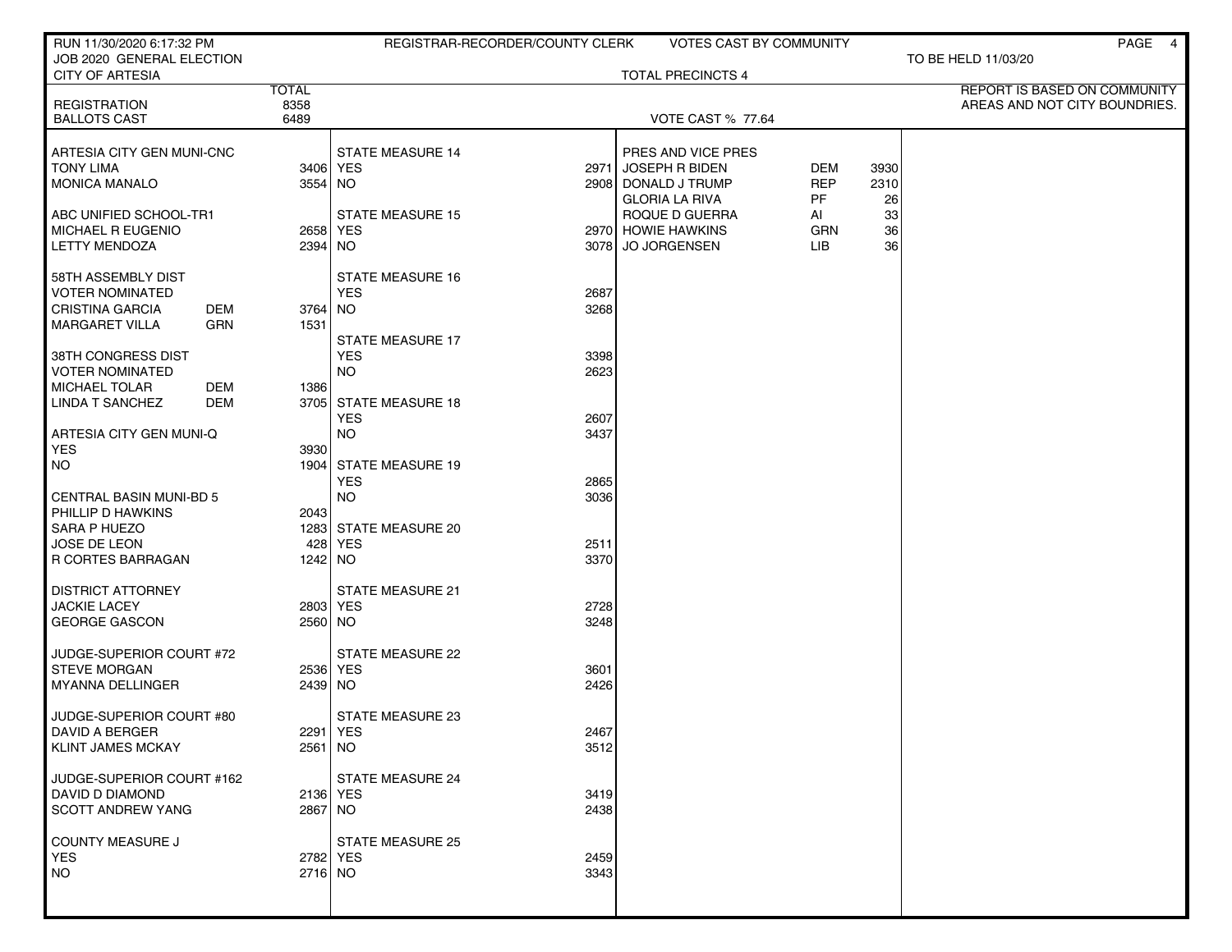| RUN 11/30/2020 6:17:32 PM                                            |                       | REGISTRAR-RECORDER/COUNTY CLERK |              | <b>VOTES CAST BY COMMUNITY</b>       |                  |          | PAGE 4                        |
|----------------------------------------------------------------------|-----------------------|---------------------------------|--------------|--------------------------------------|------------------|----------|-------------------------------|
| JOB 2020 GENERAL ELECTION<br><b>CITY OF ARTESIA</b>                  |                       |                                 |              | <b>TOTAL PRECINCTS 4</b>             |                  |          | TO BE HELD 11/03/20           |
|                                                                      | <b>TOTAL</b>          |                                 |              |                                      |                  |          | REPORT IS BASED ON COMMUNITY  |
| <b>REGISTRATION</b>                                                  | 8358                  |                                 |              |                                      |                  |          | AREAS AND NOT CITY BOUNDRIES. |
| <b>BALLOTS CAST</b>                                                  | 6489                  |                                 |              | <b>VOTE CAST % 77.64</b>             |                  |          |                               |
| ARTESIA CITY GEN MUNI-CNC                                            |                       | <b>STATE MEASURE 14</b>         |              | PRES AND VICE PRES                   |                  |          |                               |
| <b>TONY LIMA</b>                                                     | 3406 YES              |                                 | 2971         | JOSEPH R BIDEN                       | DEM              | 3930     |                               |
| <b>MONICA MANALO</b>                                                 | 3554 NO               |                                 |              | 2908 DONALD J TRUMP                  | <b>REP</b>       | 2310     |                               |
|                                                                      |                       |                                 |              | <b>GLORIA LA RIVA</b>                | PF.              | 26       |                               |
| ABC UNIFIED SCHOOL-TR1<br>MICHAEL R EUGENIO                          | 2658 YES              | <b>STATE MEASURE 15</b>         |              | ROQUE D GUERRA<br>2970 HOWIE HAWKINS | AI<br><b>GRN</b> | 33<br>36 |                               |
| <b>LETTY MENDOZA</b>                                                 | 2394 NO               |                                 | 3078         | <b>JO JORGENSEN</b>                  | LIB              | 36       |                               |
|                                                                      |                       |                                 |              |                                      |                  |          |                               |
| 58TH ASSEMBLY DIST                                                   |                       | <b>STATE MEASURE 16</b>         |              |                                      |                  |          |                               |
| <b>VOTER NOMINATED</b>                                               |                       | <b>YES</b>                      | 2687         |                                      |                  |          |                               |
| <b>CRISTINA GARCIA</b><br>DEM<br><b>GRN</b><br><b>MARGARET VILLA</b> | 3764 NO<br>1531       |                                 | 3268         |                                      |                  |          |                               |
|                                                                      |                       | STATE MEASURE 17                |              |                                      |                  |          |                               |
| 38TH CONGRESS DIST                                                   |                       | <b>YES</b>                      | 3398         |                                      |                  |          |                               |
| <b>VOTER NOMINATED</b>                                               |                       | <b>NO</b>                       | 2623         |                                      |                  |          |                               |
| <b>MICHAEL TOLAR</b><br>DEM<br>LINDA T SANCHEZ<br>DEM                | 1386                  | 3705 STATE MEASURE 18           |              |                                      |                  |          |                               |
|                                                                      |                       | <b>YES</b>                      | 2607         |                                      |                  |          |                               |
| ARTESIA CITY GEN MUNI-Q                                              |                       | <b>NO</b>                       | 3437         |                                      |                  |          |                               |
| <b>YES</b>                                                           | 3930                  |                                 |              |                                      |                  |          |                               |
| NO.                                                                  |                       | 1904 STATE MEASURE 19           |              |                                      |                  |          |                               |
| <b>CENTRAL BASIN MUNI-BD 5</b>                                       |                       | <b>YES</b><br><b>NO</b>         | 2865<br>3036 |                                      |                  |          |                               |
| PHILLIP D HAWKINS                                                    | 2043                  |                                 |              |                                      |                  |          |                               |
| SARA P HUEZO                                                         |                       | 1283 STATE MEASURE 20           |              |                                      |                  |          |                               |
| JOSE DE LEON                                                         | 428                   | <b>YES</b>                      | 2511         |                                      |                  |          |                               |
| R CORTES BARRAGAN                                                    | 1242 NO               |                                 | 3370         |                                      |                  |          |                               |
| <b>DISTRICT ATTORNEY</b>                                             |                       | <b>STATE MEASURE 21</b>         |              |                                      |                  |          |                               |
| <b>JACKIE LACEY</b>                                                  | 2803 YES              |                                 | 2728         |                                      |                  |          |                               |
| <b>GEORGE GASCON</b>                                                 | 2560 NO               |                                 | 3248         |                                      |                  |          |                               |
| JUDGE-SUPERIOR COURT #72                                             |                       | <b>STATE MEASURE 22</b>         |              |                                      |                  |          |                               |
| <b>STEVE MORGAN</b>                                                  | 2536 YES              |                                 | 3601         |                                      |                  |          |                               |
| <b>MYANNA DELLINGER</b>                                              | 2439 NO               |                                 | 2426         |                                      |                  |          |                               |
|                                                                      |                       |                                 |              |                                      |                  |          |                               |
| JUDGE-SUPERIOR COURT #80                                             |                       | <b>STATE MEASURE 23</b>         |              |                                      |                  |          |                               |
| DAVID A BERGER<br><b>KLINT JAMES MCKAY</b>                           | 2291 YES<br>$2561$ NO |                                 | 2467<br>3512 |                                      |                  |          |                               |
|                                                                      |                       |                                 |              |                                      |                  |          |                               |
| JUDGE-SUPERIOR COURT #162                                            |                       | <b>STATE MEASURE 24</b>         |              |                                      |                  |          |                               |
| DAVID D DIAMOND                                                      | 2136 YES              |                                 | 3419         |                                      |                  |          |                               |
| <b>SCOTT ANDREW YANG</b>                                             | 2867 NO               |                                 | 2438         |                                      |                  |          |                               |
| COUNTY MEASURE J                                                     |                       | <b>STATE MEASURE 25</b>         |              |                                      |                  |          |                               |
| <b>YES</b>                                                           | 2782 YES              |                                 | 2459         |                                      |                  |          |                               |
| <b>NO</b>                                                            | $2716$ NO             |                                 | 3343         |                                      |                  |          |                               |
|                                                                      |                       |                                 |              |                                      |                  |          |                               |
|                                                                      |                       |                                 |              |                                      |                  |          |                               |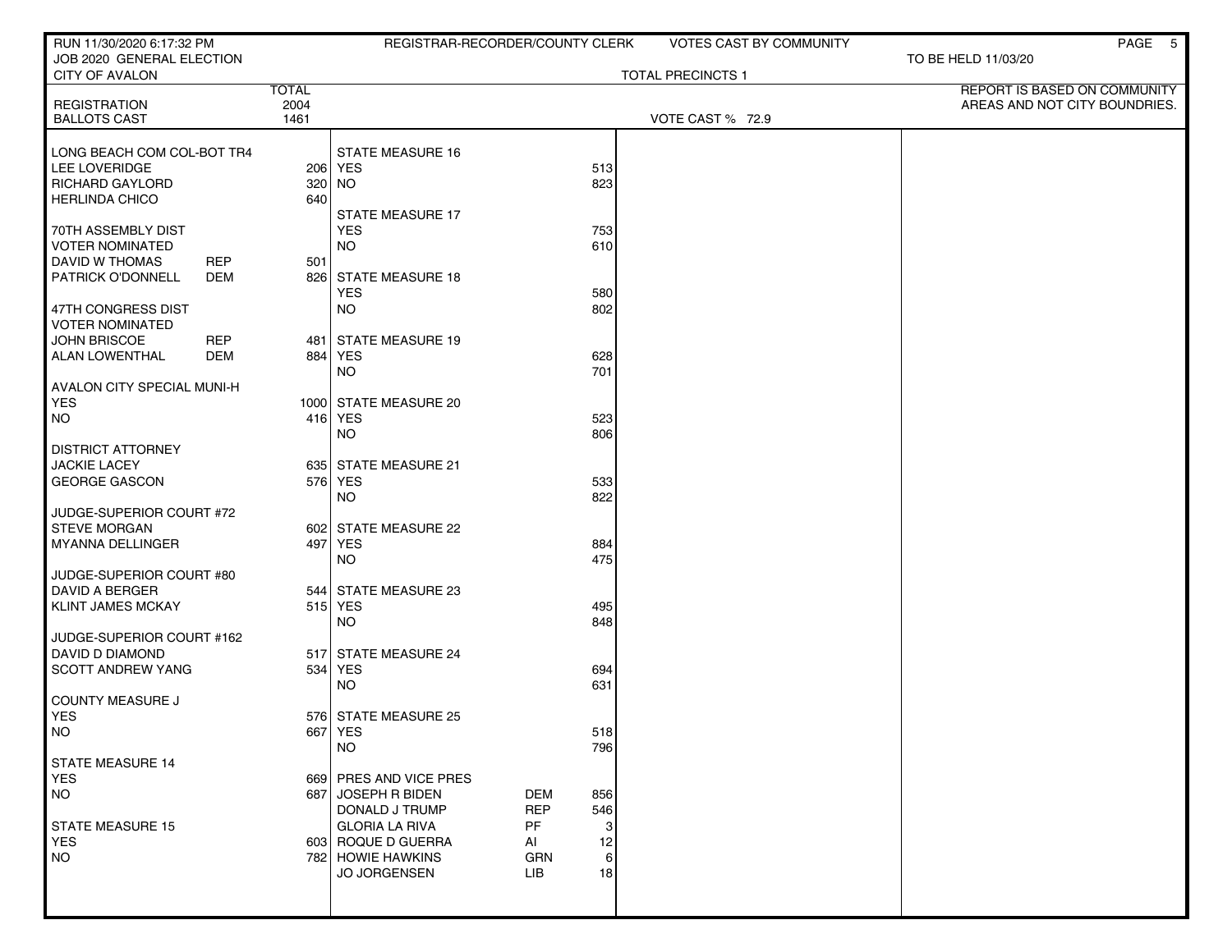| RUN 11/30/2020 6:17:32 PM                          |              | REGISTRAR-RECORDER/COUNTY CLERK |            |     | <b>VOTES CAST BY COMMUNITY</b> |                               | PAGE 5 |
|----------------------------------------------------|--------------|---------------------------------|------------|-----|--------------------------------|-------------------------------|--------|
| JOB 2020 GENERAL ELECTION<br><b>CITY OF AVALON</b> |              |                                 |            |     | <b>TOTAL PRECINCTS 1</b>       | TO BE HELD 11/03/20           |        |
|                                                    | <b>TOTAL</b> |                                 |            |     |                                | REPORT IS BASED ON COMMUNITY  |        |
| <b>REGISTRATION</b>                                | 2004         |                                 |            |     |                                | AREAS AND NOT CITY BOUNDRIES. |        |
| <b>BALLOTS CAST</b>                                | 1461         |                                 |            |     | VOTE CAST % 72.9               |                               |        |
| LONG BEACH COM COL-BOT TR4                         |              | <b>STATE MEASURE 16</b>         |            |     |                                |                               |        |
| LEE LOVERIDGE                                      |              | 206 YES                         |            | 513 |                                |                               |        |
| RICHARD GAYLORD                                    |              | 320 NO                          |            | 823 |                                |                               |        |
| <b>HERLINDA CHICO</b>                              | 640          |                                 |            |     |                                |                               |        |
|                                                    |              | <b>STATE MEASURE 17</b>         |            |     |                                |                               |        |
| 70TH ASSEMBLY DIST                                 |              | <b>YES</b>                      |            | 753 |                                |                               |        |
| <b>VOTER NOMINATED</b>                             |              | <b>NO</b>                       |            | 610 |                                |                               |        |
| <b>DAVID W THOMAS</b><br><b>REP</b>                | 501          |                                 |            |     |                                |                               |        |
| PATRICK O'DONNELL<br><b>DEM</b>                    |              | 826 STATE MEASURE 18            |            |     |                                |                               |        |
|                                                    |              | <b>YES</b>                      |            | 580 |                                |                               |        |
| 47TH CONGRESS DIST<br><b>VOTER NOMINATED</b>       |              | <b>NO</b>                       |            | 802 |                                |                               |        |
| <b>JOHN BRISCOE</b><br><b>REP</b>                  |              | 481   STATE MEASURE 19          |            |     |                                |                               |        |
| <b>ALAN LOWENTHAL</b><br><b>DEM</b>                |              | 884 YES                         |            | 628 |                                |                               |        |
|                                                    |              | NO.                             |            | 701 |                                |                               |        |
| AVALON CITY SPECIAL MUNI-H                         |              |                                 |            |     |                                |                               |        |
| <b>YES</b>                                         |              | 1000 STATE MEASURE 20           |            |     |                                |                               |        |
| NO <sub>1</sub>                                    |              | 416 YES                         |            | 523 |                                |                               |        |
|                                                    |              | <b>NO</b>                       |            | 806 |                                |                               |        |
| <b>DISTRICT ATTORNEY</b>                           |              |                                 |            |     |                                |                               |        |
| <b>JACKIE LACEY</b>                                |              | 635 STATE MEASURE 21            |            |     |                                |                               |        |
| <b>GEORGE GASCON</b>                               |              | 576 YES                         |            | 533 |                                |                               |        |
|                                                    |              | <b>NO</b>                       |            | 822 |                                |                               |        |
| JUDGE-SUPERIOR COURT #72<br><b>STEVE MORGAN</b>    |              | 602 STATE MEASURE 22            |            |     |                                |                               |        |
| MYANNA DELLINGER                                   | 497          | YES                             |            | 884 |                                |                               |        |
|                                                    |              | <b>NO</b>                       |            | 475 |                                |                               |        |
| JUDGE-SUPERIOR COURT #80                           |              |                                 |            |     |                                |                               |        |
| DAVID A BERGER                                     | 544 I        | STATE MEASURE 23                |            |     |                                |                               |        |
| <b>KLINT JAMES MCKAY</b>                           |              | 515 YES                         |            | 495 |                                |                               |        |
|                                                    |              | <b>NO</b>                       |            | 848 |                                |                               |        |
| JUDGE-SUPERIOR COURT #162                          |              |                                 |            |     |                                |                               |        |
| <b>DAVID D DIAMOND</b>                             |              | 517 STATE MEASURE 24            |            |     |                                |                               |        |
| <b>SCOTT ANDREW YANG</b>                           |              | 534 YES                         |            | 694 |                                |                               |        |
|                                                    |              | <b>NO</b>                       |            | 631 |                                |                               |        |
| COUNTY MEASURE J<br><b>YES</b>                     |              | 576 STATE MEASURE 25            |            |     |                                |                               |        |
| NO                                                 |              | 667 YES                         |            | 518 |                                |                               |        |
|                                                    |              | <b>NO</b>                       |            | 796 |                                |                               |        |
| <b>STATE MEASURE 14</b>                            |              |                                 |            |     |                                |                               |        |
| <b>YES</b>                                         |              | 669 PRES AND VICE PRES          |            |     |                                |                               |        |
| NO                                                 |              | 687 JOSEPH R BIDEN              | <b>DEM</b> | 856 |                                |                               |        |
|                                                    |              | DONALD J TRUMP                  | <b>REP</b> | 546 |                                |                               |        |
| <b>STATE MEASURE 15</b>                            |              | <b>GLORIA LA RIVA</b>           | <b>PF</b>  | 3   |                                |                               |        |
| <b>YES</b>                                         |              | 603 ROQUE D GUERRA              | AI         | 12  |                                |                               |        |
| NO                                                 |              | 782 HOWIE HAWKINS               | GRN        | 6   |                                |                               |        |
|                                                    |              | JO JORGENSEN                    | LIB        | 18  |                                |                               |        |
|                                                    |              |                                 |            |     |                                |                               |        |
|                                                    |              |                                 |            |     |                                |                               |        |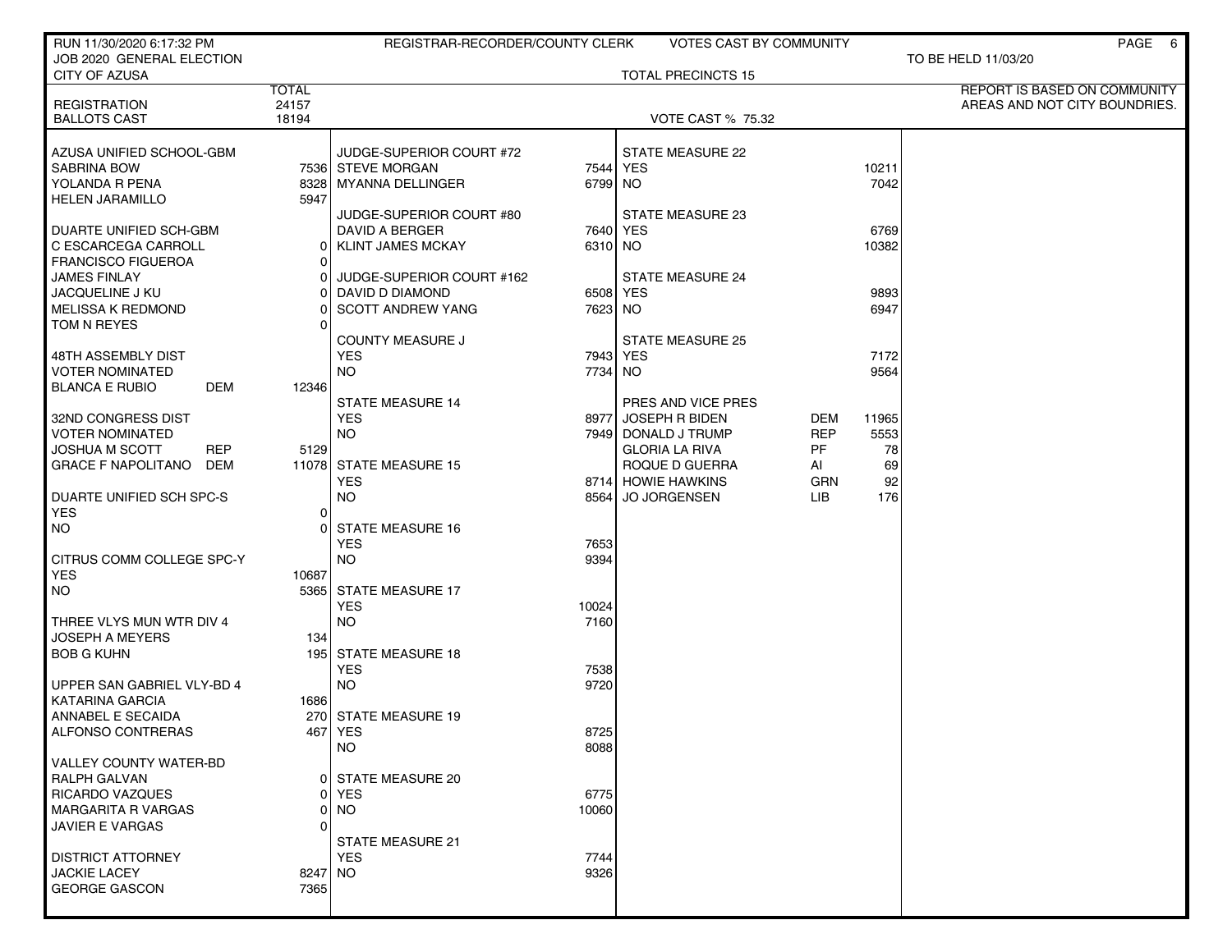| RUN 11/30/2020 6:17:32 PM              |                | REGISTRAR-RECORDER/COUNTY CLERK       |          | VOTES CAST BY COMMUNITY                   |                    |           | PAGE 6                        |
|----------------------------------------|----------------|---------------------------------------|----------|-------------------------------------------|--------------------|-----------|-------------------------------|
| JOB 2020 GENERAL ELECTION              |                |                                       |          |                                           |                    |           | TO BE HELD 11/03/20           |
| CITY OF AZUSA                          |                |                                       |          | <b>TOTAL PRECINCTS 15</b>                 |                    |           |                               |
|                                        | <b>TOTAL</b>   |                                       |          |                                           |                    |           | REPORT IS BASED ON COMMUNITY  |
| <b>REGISTRATION</b>                    | 24157<br>18194 |                                       |          |                                           |                    |           | AREAS AND NOT CITY BOUNDRIES. |
| <b>BALLOTS CAST</b>                    |                |                                       |          | <b>VOTE CAST % 75.32</b>                  |                    |           |                               |
| AZUSA UNIFIED SCHOOL-GBM               |                | JUDGE-SUPERIOR COURT #72              |          | <b>STATE MEASURE 22</b>                   |                    |           |                               |
| <b>SABRINA BOW</b>                     |                | 7536 STEVE MORGAN                     | 7544 YES |                                           |                    | 10211     |                               |
| YOLANDA R PENA                         |                | 8328   MYANNA DELLINGER               | 6799 NO  |                                           |                    | 7042      |                               |
| <b>HELEN JARAMILLO</b>                 | 5947           |                                       |          |                                           |                    |           |                               |
|                                        |                | JUDGE-SUPERIOR COURT #80              |          | STATE MEASURE 23                          |                    |           |                               |
| <b>DUARTE UNIFIED SCH-GBM</b>          |                | DAVID A BERGER                        | 7640 YES |                                           |                    | 6769      |                               |
| C ESCARCEGA CARROLL                    | 01             | <b>KLINT JAMES MCKAY</b>              | 6310 NO  |                                           |                    | 10382     |                               |
| <b>FRANCISCO FIGUEROA</b>              | $\Omega$       |                                       |          |                                           |                    |           |                               |
| <b>JAMES FINLAY</b>                    | 0              | JUDGE-SUPERIOR COURT #162             |          | <b>STATE MEASURE 24</b>                   |                    |           |                               |
| JACQUELINE J KU                        | 01             | DAVID D DIAMOND                       | 6508 YES |                                           |                    | 9893      |                               |
| <b>MELISSA K REDMOND</b>               | 0              | <b>SCOTT ANDREW YANG</b>              | 7623 NO  |                                           |                    | 6947      |                               |
| TOM N REYES                            | U              |                                       |          |                                           |                    |           |                               |
|                                        |                | <b>COUNTY MEASURE J</b>               |          | <b>STATE MEASURE 25</b>                   |                    |           |                               |
| 48TH ASSEMBLY DIST                     |                | <b>YES</b>                            | 7943 YES |                                           |                    | 7172      |                               |
| <b>VOTER NOMINATED</b>                 |                | <b>NO</b>                             | 7734 NO  |                                           |                    | 9564      |                               |
| <b>BLANCA E RUBIO</b><br>DEM           | 12346          |                                       |          |                                           |                    |           |                               |
|                                        |                | <b>STATE MEASURE 14</b>               |          | PRES AND VICE PRES                        |                    |           |                               |
| 32ND CONGRESS DIST                     |                | <b>YES</b>                            | 8977     | <b>JOSEPH R BIDEN</b>                     | <b>DEM</b>         | 11965     |                               |
| <b>VOTER NOMINATED</b>                 |                | <b>NO</b>                             |          | 7949 DONALD J TRUMP                       | REP                | 5553      |                               |
| <b>JOSHUA M SCOTT</b><br><b>REP</b>    | 5129           |                                       |          | <b>GLORIA LA RIVA</b>                     | PF                 | 78        |                               |
| <b>GRACE F NAPOLITANO</b><br>DEM       |                | 11078 STATE MEASURE 15                |          | ROQUE D GUERRA                            | AI                 | 69        |                               |
| DUARTE UNIFIED SCH SPC-S               |                | <b>YES</b><br><b>NO</b>               |          | 8714 HOWIE HAWKINS<br><b>JO JORGENSEN</b> | <b>GRN</b><br>LIB. | 92<br>176 |                               |
| <b>YES</b>                             | $\overline{0}$ |                                       | 8564     |                                           |                    |           |                               |
| NO.                                    | $\Omega$       | <b>STATE MEASURE 16</b>               |          |                                           |                    |           |                               |
|                                        |                | <b>YES</b>                            | 7653     |                                           |                    |           |                               |
| CITRUS COMM COLLEGE SPC-Y              |                | <b>NO</b>                             | 9394     |                                           |                    |           |                               |
| <b>YES</b>                             | 10687          |                                       |          |                                           |                    |           |                               |
| NO.                                    | 5365           | <b>STATE MEASURE 17</b>               |          |                                           |                    |           |                               |
|                                        |                | <b>YES</b>                            | 10024    |                                           |                    |           |                               |
| THREE VLYS MUN WTR DIV 4               |                | <b>NO</b>                             | 7160     |                                           |                    |           |                               |
| <b>JOSEPH A MEYERS</b>                 | 134            |                                       |          |                                           |                    |           |                               |
| <b>BOB G KUHN</b>                      |                | 195 STATE MEASURE 18                  |          |                                           |                    |           |                               |
|                                        |                | <b>YES</b>                            | 7538     |                                           |                    |           |                               |
| UPPER SAN GABRIEL VLY-BD 4             |                | <b>NO</b>                             | 9720     |                                           |                    |           |                               |
| <b>KATARINA GARCIA</b>                 | 1686           |                                       |          |                                           |                    |           |                               |
| ANNABEL E SECAIDA                      |                | 270 STATE MEASURE 19                  |          |                                           |                    |           |                               |
| ALFONSO CONTRERAS                      |                | 467   YES                             | 8725     |                                           |                    |           |                               |
|                                        |                | <b>NO</b>                             | 8088     |                                           |                    |           |                               |
| <b>VALLEY COUNTY WATER-BD</b>          |                |                                       |          |                                           |                    |           |                               |
| RALPH GALVAN<br><b>RICARDO VAZQUES</b> | 01<br>0        | <b>STATE MEASURE 20</b><br><b>YES</b> | 6775     |                                           |                    |           |                               |
| <b>MARGARITA R VARGAS</b>              | 0              | <b>NO</b>                             | 10060    |                                           |                    |           |                               |
| <b>JAVIER E VARGAS</b>                 | 0              |                                       |          |                                           |                    |           |                               |
|                                        |                | STATE MEASURE 21                      |          |                                           |                    |           |                               |
| <b>DISTRICT ATTORNEY</b>               |                | <b>YES</b>                            | 7744     |                                           |                    |           |                               |
| <b>JACKIE LACEY</b>                    | 8247 NO        |                                       | 9326     |                                           |                    |           |                               |
| <b>GEORGE GASCON</b>                   | 7365           |                                       |          |                                           |                    |           |                               |
|                                        |                |                                       |          |                                           |                    |           |                               |
|                                        |                |                                       |          |                                           |                    |           |                               |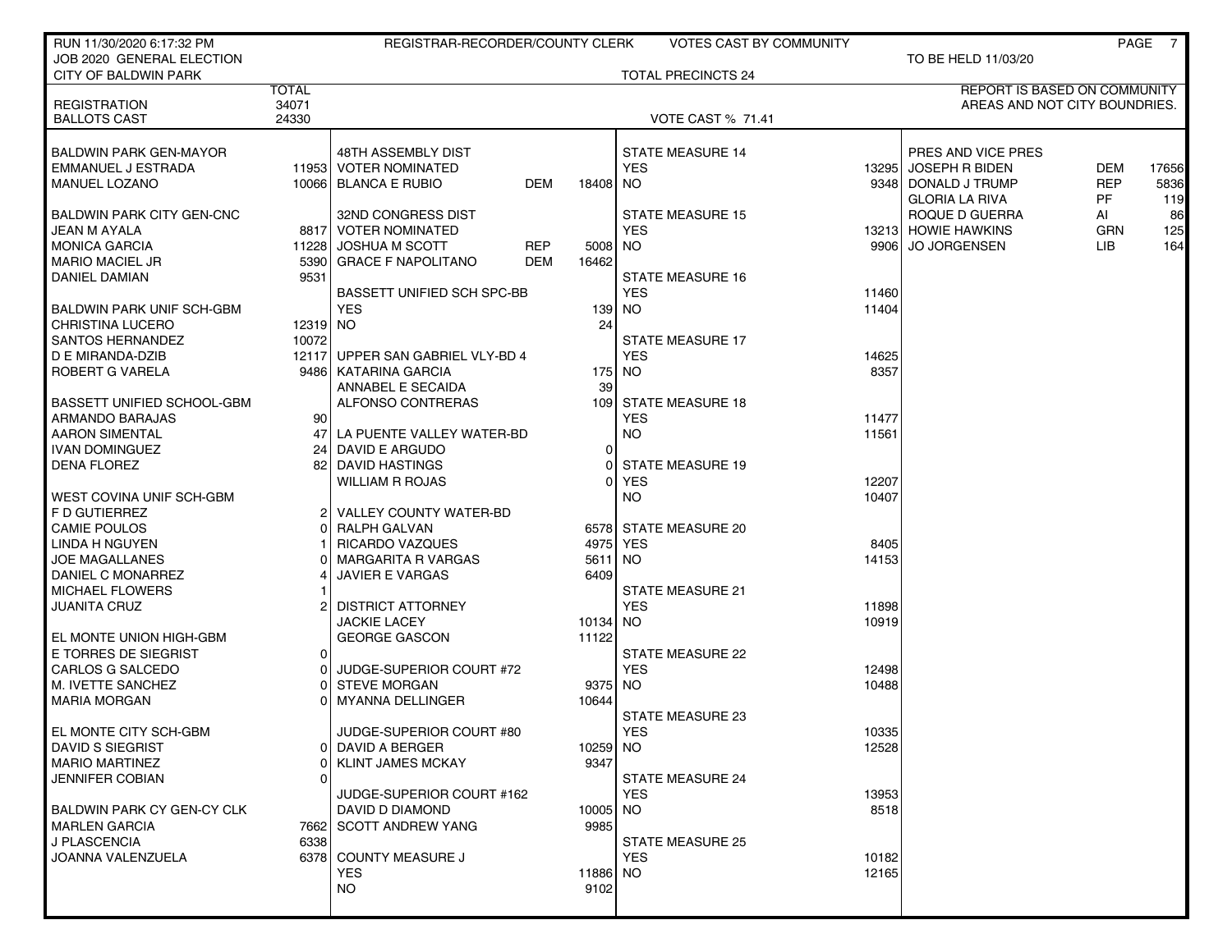| JOB 2020 GENERAL ELECTION<br>TO BE HELD 11/03/20<br><b>TOTAL PRECINCTS 24</b><br><b>CITY OF BALDWIN PARK</b><br><b>TOTAL</b><br><b>REPORT IS BASED ON COMMUNITY</b><br>34071<br><b>REGISTRATION</b><br>AREAS AND NOT CITY BOUNDRIES.<br>24330<br><b>BALLOTS CAST</b><br><b>VOTE CAST % 71.41</b><br><b>STATE MEASURE 14</b><br><b>BALDWIN PARK GEN-MAYOR</b><br>48TH ASSEMBLY DIST<br>PRES AND VICE PRES<br>11953 VOTER NOMINATED<br><b>YES</b><br>13295 JOSEPH R BIDEN<br><b>DEM</b><br>EMMANUEL J ESTRADA<br>17656<br><b>DEM</b><br><b>REP</b><br><b>MANUEL LOZANO</b><br>10066 BLANCA E RUBIO<br>18408<br>NO.<br>9348   DONALD J TRUMP<br>5836<br><b>PF</b><br><b>GLORIA LA RIVA</b><br>119<br><b>BALDWIN PARK CITY GEN-CNC</b><br>32ND CONGRESS DIST<br><b>STATE MEASURE 15</b><br>ROQUE D GUERRA<br>86<br>AI<br>125<br>JEAN M AYALA<br>8817 VOTER NOMINATED<br><b>YES</b><br>13213 HOWIE HAWKINS<br><b>GRN</b><br>9906 JO JORGENSEN<br><b>MONICA GARCIA</b><br>11228 JOSHUA M SCOTT<br><b>REP</b><br>5008<br>NO.<br>LIB.<br>164<br><b>DEM</b><br><b>MARIO MACIEL JR</b><br>5390 GRACE F NAPOLITANO<br>16462<br><b>DANIEL DAMIAN</b><br>9531<br><b>STATE MEASURE 16</b><br><b>YES</b><br>BASSETT UNIFIED SCH SPC-BB<br>11460<br><b>YES</b><br><b>BALDWIN PARK UNIF SCH-GBM</b><br>139<br>NO.<br>11404<br>12319 NO<br>24<br><b>CHRISTINA LUCERO</b><br><b>SANTOS HERNANDEZ</b><br>10072<br><b>STATE MEASURE 17</b><br>12117 UPPER SAN GABRIEL VLY-BD 4<br><b>YES</b><br>14625<br>D E MIRANDA-DZIB<br>8357<br>ROBERT G VARELA<br>9486   KATARINA GARCIA<br>175<br>NO.<br>ANNABEL E SECAIDA<br>39<br><b>BASSETT UNIFIED SCHOOL-GBM</b><br>ALFONSO CONTRERAS<br>109 <sup>1</sup><br><b>STATE MEASURE 18</b><br>ARMANDO BARAJAS<br>90 l<br><b>YES</b><br>11477<br><b>NO</b><br><b>AARON SIMENTAL</b><br>LA PUENTE VALLEY WATER-BD<br>47<br>11561<br><b>IVAN DOMINGUEZ</b><br><b>DAVID E ARGUDO</b><br>$\Omega$<br>24<br><b>DENA FLOREZ</b><br><b>STATE MEASURE 19</b><br>82<br>DAVID HASTINGS<br><b>WILLIAM R ROJAS</b><br><b>YES</b><br>12207<br><b>NO</b><br>10407<br>WEST COVINA UNIF SCH-GBM<br>F D GUTIERREZ<br>2   VALLEY COUNTY WATER-BD<br><b>CAMIE POULOS</b><br>RALPH GALVAN<br>6578 STATE MEASURE 20<br>LINDA H NGUYEN<br>RICARDO VAZQUES<br>4975<br>YES<br>8405<br>JOE MAGALLANES<br><b>MARGARITA R VARGAS</b><br>5611<br>NO.<br>14153<br>DANIEL C MONARREZ<br><b>JAVIER E VARGAS</b><br>6409<br><b>MICHAEL FLOWERS</b><br><b>STATE MEASURE 21</b><br><b>JUANITA CRUZ</b><br><b>DISTRICT ATTORNEY</b><br><b>YES</b><br>11898<br><b>NO</b><br>10919<br><b>JACKIE LACEY</b><br>10134<br>EL MONTE UNION HIGH-GBM<br><b>GEORGE GASCON</b><br>11122<br>E TORRES DE SIEGRIST<br>STATE MEASURE 22<br>ΩI<br><b>YES</b><br>CARLOS G SALCEDO<br>JUDGE-SUPERIOR COURT #72<br>12498<br>M. IVETTE SANCHEZ<br><b>STEVE MORGAN</b><br>9375<br>NO.<br>10488<br>01<br><b>MARIA MORGAN</b><br><b>MYANNA DELLINGER</b><br>10644<br>STATE MEASURE 23<br>EL MONTE CITY SCH-GBM<br>JUDGE-SUPERIOR COURT #80<br>YES<br>10335<br>12528<br>DAVID S SIEGRIST<br>0 DAVID A BERGER<br>10259 NO<br><b>MARIO MARTINEZ</b><br><b>KLINT JAMES MCKAY</b><br>9347<br><b>JENNIFER COBIAN</b><br><b>STATE MEASURE 24</b><br>0<br>JUDGE-SUPERIOR COURT #162<br><b>YES</b><br>13953<br>BALDWIN PARK CY GEN-CY CLK<br>DAVID D DIAMOND<br>10005<br>NO.<br>8518<br>7662 SCOTT ANDREW YANG<br>9985<br><b>MARLEN GARCIA</b><br>6338<br>J PLASCENCIA<br><b>STATE MEASURE 25</b><br>JOANNA VALENZUELA<br>6378 COUNTY MEASURE J<br><b>YES</b><br>10182<br><b>YES</b><br>11886<br>NO.<br>12165<br><b>NO</b><br>9102 | RUN 11/30/2020 6:17:32 PM | REGISTRAR-RECORDER/COUNTY CLERK | <b>VOTES CAST BY COMMUNITY</b> |  | PAGE | $\overline{7}$ |
|---------------------------------------------------------------------------------------------------------------------------------------------------------------------------------------------------------------------------------------------------------------------------------------------------------------------------------------------------------------------------------------------------------------------------------------------------------------------------------------------------------------------------------------------------------------------------------------------------------------------------------------------------------------------------------------------------------------------------------------------------------------------------------------------------------------------------------------------------------------------------------------------------------------------------------------------------------------------------------------------------------------------------------------------------------------------------------------------------------------------------------------------------------------------------------------------------------------------------------------------------------------------------------------------------------------------------------------------------------------------------------------------------------------------------------------------------------------------------------------------------------------------------------------------------------------------------------------------------------------------------------------------------------------------------------------------------------------------------------------------------------------------------------------------------------------------------------------------------------------------------------------------------------------------------------------------------------------------------------------------------------------------------------------------------------------------------------------------------------------------------------------------------------------------------------------------------------------------------------------------------------------------------------------------------------------------------------------------------------------------------------------------------------------------------------------------------------------------------------------------------------------------------------------------------------------------------------------------------------------------------------------------------------------------------------------------------------------------------------------------------------------------------------------------------------------------------------------------------------------------------------------------------------------------------------------------------------------------------------------------------------------------------------------------------------------------------------------------------------------------------------------------------------------------------------------------------------------------------------------------------------------------------------------------------------------------------------------------------------------------------------------------------------------------------------------------------------------------------------------------------------------------------------------------------------------------------------|---------------------------|---------------------------------|--------------------------------|--|------|----------------|
|                                                                                                                                                                                                                                                                                                                                                                                                                                                                                                                                                                                                                                                                                                                                                                                                                                                                                                                                                                                                                                                                                                                                                                                                                                                                                                                                                                                                                                                                                                                                                                                                                                                                                                                                                                                                                                                                                                                                                                                                                                                                                                                                                                                                                                                                                                                                                                                                                                                                                                                                                                                                                                                                                                                                                                                                                                                                                                                                                                                                                                                                                                                                                                                                                                                                                                                                                                                                                                                                                                                                                                                 |                           |                                 |                                |  |      |                |
|                                                                                                                                                                                                                                                                                                                                                                                                                                                                                                                                                                                                                                                                                                                                                                                                                                                                                                                                                                                                                                                                                                                                                                                                                                                                                                                                                                                                                                                                                                                                                                                                                                                                                                                                                                                                                                                                                                                                                                                                                                                                                                                                                                                                                                                                                                                                                                                                                                                                                                                                                                                                                                                                                                                                                                                                                                                                                                                                                                                                                                                                                                                                                                                                                                                                                                                                                                                                                                                                                                                                                                                 |                           |                                 |                                |  |      |                |
|                                                                                                                                                                                                                                                                                                                                                                                                                                                                                                                                                                                                                                                                                                                                                                                                                                                                                                                                                                                                                                                                                                                                                                                                                                                                                                                                                                                                                                                                                                                                                                                                                                                                                                                                                                                                                                                                                                                                                                                                                                                                                                                                                                                                                                                                                                                                                                                                                                                                                                                                                                                                                                                                                                                                                                                                                                                                                                                                                                                                                                                                                                                                                                                                                                                                                                                                                                                                                                                                                                                                                                                 |                           |                                 |                                |  |      |                |
|                                                                                                                                                                                                                                                                                                                                                                                                                                                                                                                                                                                                                                                                                                                                                                                                                                                                                                                                                                                                                                                                                                                                                                                                                                                                                                                                                                                                                                                                                                                                                                                                                                                                                                                                                                                                                                                                                                                                                                                                                                                                                                                                                                                                                                                                                                                                                                                                                                                                                                                                                                                                                                                                                                                                                                                                                                                                                                                                                                                                                                                                                                                                                                                                                                                                                                                                                                                                                                                                                                                                                                                 |                           |                                 |                                |  |      |                |
|                                                                                                                                                                                                                                                                                                                                                                                                                                                                                                                                                                                                                                                                                                                                                                                                                                                                                                                                                                                                                                                                                                                                                                                                                                                                                                                                                                                                                                                                                                                                                                                                                                                                                                                                                                                                                                                                                                                                                                                                                                                                                                                                                                                                                                                                                                                                                                                                                                                                                                                                                                                                                                                                                                                                                                                                                                                                                                                                                                                                                                                                                                                                                                                                                                                                                                                                                                                                                                                                                                                                                                                 |                           |                                 |                                |  |      |                |
|                                                                                                                                                                                                                                                                                                                                                                                                                                                                                                                                                                                                                                                                                                                                                                                                                                                                                                                                                                                                                                                                                                                                                                                                                                                                                                                                                                                                                                                                                                                                                                                                                                                                                                                                                                                                                                                                                                                                                                                                                                                                                                                                                                                                                                                                                                                                                                                                                                                                                                                                                                                                                                                                                                                                                                                                                                                                                                                                                                                                                                                                                                                                                                                                                                                                                                                                                                                                                                                                                                                                                                                 |                           |                                 |                                |  |      |                |
|                                                                                                                                                                                                                                                                                                                                                                                                                                                                                                                                                                                                                                                                                                                                                                                                                                                                                                                                                                                                                                                                                                                                                                                                                                                                                                                                                                                                                                                                                                                                                                                                                                                                                                                                                                                                                                                                                                                                                                                                                                                                                                                                                                                                                                                                                                                                                                                                                                                                                                                                                                                                                                                                                                                                                                                                                                                                                                                                                                                                                                                                                                                                                                                                                                                                                                                                                                                                                                                                                                                                                                                 |                           |                                 |                                |  |      |                |
|                                                                                                                                                                                                                                                                                                                                                                                                                                                                                                                                                                                                                                                                                                                                                                                                                                                                                                                                                                                                                                                                                                                                                                                                                                                                                                                                                                                                                                                                                                                                                                                                                                                                                                                                                                                                                                                                                                                                                                                                                                                                                                                                                                                                                                                                                                                                                                                                                                                                                                                                                                                                                                                                                                                                                                                                                                                                                                                                                                                                                                                                                                                                                                                                                                                                                                                                                                                                                                                                                                                                                                                 |                           |                                 |                                |  |      |                |
|                                                                                                                                                                                                                                                                                                                                                                                                                                                                                                                                                                                                                                                                                                                                                                                                                                                                                                                                                                                                                                                                                                                                                                                                                                                                                                                                                                                                                                                                                                                                                                                                                                                                                                                                                                                                                                                                                                                                                                                                                                                                                                                                                                                                                                                                                                                                                                                                                                                                                                                                                                                                                                                                                                                                                                                                                                                                                                                                                                                                                                                                                                                                                                                                                                                                                                                                                                                                                                                                                                                                                                                 |                           |                                 |                                |  |      |                |
|                                                                                                                                                                                                                                                                                                                                                                                                                                                                                                                                                                                                                                                                                                                                                                                                                                                                                                                                                                                                                                                                                                                                                                                                                                                                                                                                                                                                                                                                                                                                                                                                                                                                                                                                                                                                                                                                                                                                                                                                                                                                                                                                                                                                                                                                                                                                                                                                                                                                                                                                                                                                                                                                                                                                                                                                                                                                                                                                                                                                                                                                                                                                                                                                                                                                                                                                                                                                                                                                                                                                                                                 |                           |                                 |                                |  |      |                |
|                                                                                                                                                                                                                                                                                                                                                                                                                                                                                                                                                                                                                                                                                                                                                                                                                                                                                                                                                                                                                                                                                                                                                                                                                                                                                                                                                                                                                                                                                                                                                                                                                                                                                                                                                                                                                                                                                                                                                                                                                                                                                                                                                                                                                                                                                                                                                                                                                                                                                                                                                                                                                                                                                                                                                                                                                                                                                                                                                                                                                                                                                                                                                                                                                                                                                                                                                                                                                                                                                                                                                                                 |                           |                                 |                                |  |      |                |
|                                                                                                                                                                                                                                                                                                                                                                                                                                                                                                                                                                                                                                                                                                                                                                                                                                                                                                                                                                                                                                                                                                                                                                                                                                                                                                                                                                                                                                                                                                                                                                                                                                                                                                                                                                                                                                                                                                                                                                                                                                                                                                                                                                                                                                                                                                                                                                                                                                                                                                                                                                                                                                                                                                                                                                                                                                                                                                                                                                                                                                                                                                                                                                                                                                                                                                                                                                                                                                                                                                                                                                                 |                           |                                 |                                |  |      |                |
|                                                                                                                                                                                                                                                                                                                                                                                                                                                                                                                                                                                                                                                                                                                                                                                                                                                                                                                                                                                                                                                                                                                                                                                                                                                                                                                                                                                                                                                                                                                                                                                                                                                                                                                                                                                                                                                                                                                                                                                                                                                                                                                                                                                                                                                                                                                                                                                                                                                                                                                                                                                                                                                                                                                                                                                                                                                                                                                                                                                                                                                                                                                                                                                                                                                                                                                                                                                                                                                                                                                                                                                 |                           |                                 |                                |  |      |                |
|                                                                                                                                                                                                                                                                                                                                                                                                                                                                                                                                                                                                                                                                                                                                                                                                                                                                                                                                                                                                                                                                                                                                                                                                                                                                                                                                                                                                                                                                                                                                                                                                                                                                                                                                                                                                                                                                                                                                                                                                                                                                                                                                                                                                                                                                                                                                                                                                                                                                                                                                                                                                                                                                                                                                                                                                                                                                                                                                                                                                                                                                                                                                                                                                                                                                                                                                                                                                                                                                                                                                                                                 |                           |                                 |                                |  |      |                |
|                                                                                                                                                                                                                                                                                                                                                                                                                                                                                                                                                                                                                                                                                                                                                                                                                                                                                                                                                                                                                                                                                                                                                                                                                                                                                                                                                                                                                                                                                                                                                                                                                                                                                                                                                                                                                                                                                                                                                                                                                                                                                                                                                                                                                                                                                                                                                                                                                                                                                                                                                                                                                                                                                                                                                                                                                                                                                                                                                                                                                                                                                                                                                                                                                                                                                                                                                                                                                                                                                                                                                                                 |                           |                                 |                                |  |      |                |
|                                                                                                                                                                                                                                                                                                                                                                                                                                                                                                                                                                                                                                                                                                                                                                                                                                                                                                                                                                                                                                                                                                                                                                                                                                                                                                                                                                                                                                                                                                                                                                                                                                                                                                                                                                                                                                                                                                                                                                                                                                                                                                                                                                                                                                                                                                                                                                                                                                                                                                                                                                                                                                                                                                                                                                                                                                                                                                                                                                                                                                                                                                                                                                                                                                                                                                                                                                                                                                                                                                                                                                                 |                           |                                 |                                |  |      |                |
|                                                                                                                                                                                                                                                                                                                                                                                                                                                                                                                                                                                                                                                                                                                                                                                                                                                                                                                                                                                                                                                                                                                                                                                                                                                                                                                                                                                                                                                                                                                                                                                                                                                                                                                                                                                                                                                                                                                                                                                                                                                                                                                                                                                                                                                                                                                                                                                                                                                                                                                                                                                                                                                                                                                                                                                                                                                                                                                                                                                                                                                                                                                                                                                                                                                                                                                                                                                                                                                                                                                                                                                 |                           |                                 |                                |  |      |                |
|                                                                                                                                                                                                                                                                                                                                                                                                                                                                                                                                                                                                                                                                                                                                                                                                                                                                                                                                                                                                                                                                                                                                                                                                                                                                                                                                                                                                                                                                                                                                                                                                                                                                                                                                                                                                                                                                                                                                                                                                                                                                                                                                                                                                                                                                                                                                                                                                                                                                                                                                                                                                                                                                                                                                                                                                                                                                                                                                                                                                                                                                                                                                                                                                                                                                                                                                                                                                                                                                                                                                                                                 |                           |                                 |                                |  |      |                |
|                                                                                                                                                                                                                                                                                                                                                                                                                                                                                                                                                                                                                                                                                                                                                                                                                                                                                                                                                                                                                                                                                                                                                                                                                                                                                                                                                                                                                                                                                                                                                                                                                                                                                                                                                                                                                                                                                                                                                                                                                                                                                                                                                                                                                                                                                                                                                                                                                                                                                                                                                                                                                                                                                                                                                                                                                                                                                                                                                                                                                                                                                                                                                                                                                                                                                                                                                                                                                                                                                                                                                                                 |                           |                                 |                                |  |      |                |
|                                                                                                                                                                                                                                                                                                                                                                                                                                                                                                                                                                                                                                                                                                                                                                                                                                                                                                                                                                                                                                                                                                                                                                                                                                                                                                                                                                                                                                                                                                                                                                                                                                                                                                                                                                                                                                                                                                                                                                                                                                                                                                                                                                                                                                                                                                                                                                                                                                                                                                                                                                                                                                                                                                                                                                                                                                                                                                                                                                                                                                                                                                                                                                                                                                                                                                                                                                                                                                                                                                                                                                                 |                           |                                 |                                |  |      |                |
|                                                                                                                                                                                                                                                                                                                                                                                                                                                                                                                                                                                                                                                                                                                                                                                                                                                                                                                                                                                                                                                                                                                                                                                                                                                                                                                                                                                                                                                                                                                                                                                                                                                                                                                                                                                                                                                                                                                                                                                                                                                                                                                                                                                                                                                                                                                                                                                                                                                                                                                                                                                                                                                                                                                                                                                                                                                                                                                                                                                                                                                                                                                                                                                                                                                                                                                                                                                                                                                                                                                                                                                 |                           |                                 |                                |  |      |                |
|                                                                                                                                                                                                                                                                                                                                                                                                                                                                                                                                                                                                                                                                                                                                                                                                                                                                                                                                                                                                                                                                                                                                                                                                                                                                                                                                                                                                                                                                                                                                                                                                                                                                                                                                                                                                                                                                                                                                                                                                                                                                                                                                                                                                                                                                                                                                                                                                                                                                                                                                                                                                                                                                                                                                                                                                                                                                                                                                                                                                                                                                                                                                                                                                                                                                                                                                                                                                                                                                                                                                                                                 |                           |                                 |                                |  |      |                |
|                                                                                                                                                                                                                                                                                                                                                                                                                                                                                                                                                                                                                                                                                                                                                                                                                                                                                                                                                                                                                                                                                                                                                                                                                                                                                                                                                                                                                                                                                                                                                                                                                                                                                                                                                                                                                                                                                                                                                                                                                                                                                                                                                                                                                                                                                                                                                                                                                                                                                                                                                                                                                                                                                                                                                                                                                                                                                                                                                                                                                                                                                                                                                                                                                                                                                                                                                                                                                                                                                                                                                                                 |                           |                                 |                                |  |      |                |
|                                                                                                                                                                                                                                                                                                                                                                                                                                                                                                                                                                                                                                                                                                                                                                                                                                                                                                                                                                                                                                                                                                                                                                                                                                                                                                                                                                                                                                                                                                                                                                                                                                                                                                                                                                                                                                                                                                                                                                                                                                                                                                                                                                                                                                                                                                                                                                                                                                                                                                                                                                                                                                                                                                                                                                                                                                                                                                                                                                                                                                                                                                                                                                                                                                                                                                                                                                                                                                                                                                                                                                                 |                           |                                 |                                |  |      |                |
|                                                                                                                                                                                                                                                                                                                                                                                                                                                                                                                                                                                                                                                                                                                                                                                                                                                                                                                                                                                                                                                                                                                                                                                                                                                                                                                                                                                                                                                                                                                                                                                                                                                                                                                                                                                                                                                                                                                                                                                                                                                                                                                                                                                                                                                                                                                                                                                                                                                                                                                                                                                                                                                                                                                                                                                                                                                                                                                                                                                                                                                                                                                                                                                                                                                                                                                                                                                                                                                                                                                                                                                 |                           |                                 |                                |  |      |                |
|                                                                                                                                                                                                                                                                                                                                                                                                                                                                                                                                                                                                                                                                                                                                                                                                                                                                                                                                                                                                                                                                                                                                                                                                                                                                                                                                                                                                                                                                                                                                                                                                                                                                                                                                                                                                                                                                                                                                                                                                                                                                                                                                                                                                                                                                                                                                                                                                                                                                                                                                                                                                                                                                                                                                                                                                                                                                                                                                                                                                                                                                                                                                                                                                                                                                                                                                                                                                                                                                                                                                                                                 |                           |                                 |                                |  |      |                |
|                                                                                                                                                                                                                                                                                                                                                                                                                                                                                                                                                                                                                                                                                                                                                                                                                                                                                                                                                                                                                                                                                                                                                                                                                                                                                                                                                                                                                                                                                                                                                                                                                                                                                                                                                                                                                                                                                                                                                                                                                                                                                                                                                                                                                                                                                                                                                                                                                                                                                                                                                                                                                                                                                                                                                                                                                                                                                                                                                                                                                                                                                                                                                                                                                                                                                                                                                                                                                                                                                                                                                                                 |                           |                                 |                                |  |      |                |
|                                                                                                                                                                                                                                                                                                                                                                                                                                                                                                                                                                                                                                                                                                                                                                                                                                                                                                                                                                                                                                                                                                                                                                                                                                                                                                                                                                                                                                                                                                                                                                                                                                                                                                                                                                                                                                                                                                                                                                                                                                                                                                                                                                                                                                                                                                                                                                                                                                                                                                                                                                                                                                                                                                                                                                                                                                                                                                                                                                                                                                                                                                                                                                                                                                                                                                                                                                                                                                                                                                                                                                                 |                           |                                 |                                |  |      |                |
|                                                                                                                                                                                                                                                                                                                                                                                                                                                                                                                                                                                                                                                                                                                                                                                                                                                                                                                                                                                                                                                                                                                                                                                                                                                                                                                                                                                                                                                                                                                                                                                                                                                                                                                                                                                                                                                                                                                                                                                                                                                                                                                                                                                                                                                                                                                                                                                                                                                                                                                                                                                                                                                                                                                                                                                                                                                                                                                                                                                                                                                                                                                                                                                                                                                                                                                                                                                                                                                                                                                                                                                 |                           |                                 |                                |  |      |                |
|                                                                                                                                                                                                                                                                                                                                                                                                                                                                                                                                                                                                                                                                                                                                                                                                                                                                                                                                                                                                                                                                                                                                                                                                                                                                                                                                                                                                                                                                                                                                                                                                                                                                                                                                                                                                                                                                                                                                                                                                                                                                                                                                                                                                                                                                                                                                                                                                                                                                                                                                                                                                                                                                                                                                                                                                                                                                                                                                                                                                                                                                                                                                                                                                                                                                                                                                                                                                                                                                                                                                                                                 |                           |                                 |                                |  |      |                |
|                                                                                                                                                                                                                                                                                                                                                                                                                                                                                                                                                                                                                                                                                                                                                                                                                                                                                                                                                                                                                                                                                                                                                                                                                                                                                                                                                                                                                                                                                                                                                                                                                                                                                                                                                                                                                                                                                                                                                                                                                                                                                                                                                                                                                                                                                                                                                                                                                                                                                                                                                                                                                                                                                                                                                                                                                                                                                                                                                                                                                                                                                                                                                                                                                                                                                                                                                                                                                                                                                                                                                                                 |                           |                                 |                                |  |      |                |
|                                                                                                                                                                                                                                                                                                                                                                                                                                                                                                                                                                                                                                                                                                                                                                                                                                                                                                                                                                                                                                                                                                                                                                                                                                                                                                                                                                                                                                                                                                                                                                                                                                                                                                                                                                                                                                                                                                                                                                                                                                                                                                                                                                                                                                                                                                                                                                                                                                                                                                                                                                                                                                                                                                                                                                                                                                                                                                                                                                                                                                                                                                                                                                                                                                                                                                                                                                                                                                                                                                                                                                                 |                           |                                 |                                |  |      |                |
|                                                                                                                                                                                                                                                                                                                                                                                                                                                                                                                                                                                                                                                                                                                                                                                                                                                                                                                                                                                                                                                                                                                                                                                                                                                                                                                                                                                                                                                                                                                                                                                                                                                                                                                                                                                                                                                                                                                                                                                                                                                                                                                                                                                                                                                                                                                                                                                                                                                                                                                                                                                                                                                                                                                                                                                                                                                                                                                                                                                                                                                                                                                                                                                                                                                                                                                                                                                                                                                                                                                                                                                 |                           |                                 |                                |  |      |                |
|                                                                                                                                                                                                                                                                                                                                                                                                                                                                                                                                                                                                                                                                                                                                                                                                                                                                                                                                                                                                                                                                                                                                                                                                                                                                                                                                                                                                                                                                                                                                                                                                                                                                                                                                                                                                                                                                                                                                                                                                                                                                                                                                                                                                                                                                                                                                                                                                                                                                                                                                                                                                                                                                                                                                                                                                                                                                                                                                                                                                                                                                                                                                                                                                                                                                                                                                                                                                                                                                                                                                                                                 |                           |                                 |                                |  |      |                |
|                                                                                                                                                                                                                                                                                                                                                                                                                                                                                                                                                                                                                                                                                                                                                                                                                                                                                                                                                                                                                                                                                                                                                                                                                                                                                                                                                                                                                                                                                                                                                                                                                                                                                                                                                                                                                                                                                                                                                                                                                                                                                                                                                                                                                                                                                                                                                                                                                                                                                                                                                                                                                                                                                                                                                                                                                                                                                                                                                                                                                                                                                                                                                                                                                                                                                                                                                                                                                                                                                                                                                                                 |                           |                                 |                                |  |      |                |
|                                                                                                                                                                                                                                                                                                                                                                                                                                                                                                                                                                                                                                                                                                                                                                                                                                                                                                                                                                                                                                                                                                                                                                                                                                                                                                                                                                                                                                                                                                                                                                                                                                                                                                                                                                                                                                                                                                                                                                                                                                                                                                                                                                                                                                                                                                                                                                                                                                                                                                                                                                                                                                                                                                                                                                                                                                                                                                                                                                                                                                                                                                                                                                                                                                                                                                                                                                                                                                                                                                                                                                                 |                           |                                 |                                |  |      |                |
|                                                                                                                                                                                                                                                                                                                                                                                                                                                                                                                                                                                                                                                                                                                                                                                                                                                                                                                                                                                                                                                                                                                                                                                                                                                                                                                                                                                                                                                                                                                                                                                                                                                                                                                                                                                                                                                                                                                                                                                                                                                                                                                                                                                                                                                                                                                                                                                                                                                                                                                                                                                                                                                                                                                                                                                                                                                                                                                                                                                                                                                                                                                                                                                                                                                                                                                                                                                                                                                                                                                                                                                 |                           |                                 |                                |  |      |                |
|                                                                                                                                                                                                                                                                                                                                                                                                                                                                                                                                                                                                                                                                                                                                                                                                                                                                                                                                                                                                                                                                                                                                                                                                                                                                                                                                                                                                                                                                                                                                                                                                                                                                                                                                                                                                                                                                                                                                                                                                                                                                                                                                                                                                                                                                                                                                                                                                                                                                                                                                                                                                                                                                                                                                                                                                                                                                                                                                                                                                                                                                                                                                                                                                                                                                                                                                                                                                                                                                                                                                                                                 |                           |                                 |                                |  |      |                |
|                                                                                                                                                                                                                                                                                                                                                                                                                                                                                                                                                                                                                                                                                                                                                                                                                                                                                                                                                                                                                                                                                                                                                                                                                                                                                                                                                                                                                                                                                                                                                                                                                                                                                                                                                                                                                                                                                                                                                                                                                                                                                                                                                                                                                                                                                                                                                                                                                                                                                                                                                                                                                                                                                                                                                                                                                                                                                                                                                                                                                                                                                                                                                                                                                                                                                                                                                                                                                                                                                                                                                                                 |                           |                                 |                                |  |      |                |
|                                                                                                                                                                                                                                                                                                                                                                                                                                                                                                                                                                                                                                                                                                                                                                                                                                                                                                                                                                                                                                                                                                                                                                                                                                                                                                                                                                                                                                                                                                                                                                                                                                                                                                                                                                                                                                                                                                                                                                                                                                                                                                                                                                                                                                                                                                                                                                                                                                                                                                                                                                                                                                                                                                                                                                                                                                                                                                                                                                                                                                                                                                                                                                                                                                                                                                                                                                                                                                                                                                                                                                                 |                           |                                 |                                |  |      |                |
|                                                                                                                                                                                                                                                                                                                                                                                                                                                                                                                                                                                                                                                                                                                                                                                                                                                                                                                                                                                                                                                                                                                                                                                                                                                                                                                                                                                                                                                                                                                                                                                                                                                                                                                                                                                                                                                                                                                                                                                                                                                                                                                                                                                                                                                                                                                                                                                                                                                                                                                                                                                                                                                                                                                                                                                                                                                                                                                                                                                                                                                                                                                                                                                                                                                                                                                                                                                                                                                                                                                                                                                 |                           |                                 |                                |  |      |                |
|                                                                                                                                                                                                                                                                                                                                                                                                                                                                                                                                                                                                                                                                                                                                                                                                                                                                                                                                                                                                                                                                                                                                                                                                                                                                                                                                                                                                                                                                                                                                                                                                                                                                                                                                                                                                                                                                                                                                                                                                                                                                                                                                                                                                                                                                                                                                                                                                                                                                                                                                                                                                                                                                                                                                                                                                                                                                                                                                                                                                                                                                                                                                                                                                                                                                                                                                                                                                                                                                                                                                                                                 |                           |                                 |                                |  |      |                |
|                                                                                                                                                                                                                                                                                                                                                                                                                                                                                                                                                                                                                                                                                                                                                                                                                                                                                                                                                                                                                                                                                                                                                                                                                                                                                                                                                                                                                                                                                                                                                                                                                                                                                                                                                                                                                                                                                                                                                                                                                                                                                                                                                                                                                                                                                                                                                                                                                                                                                                                                                                                                                                                                                                                                                                                                                                                                                                                                                                                                                                                                                                                                                                                                                                                                                                                                                                                                                                                                                                                                                                                 |                           |                                 |                                |  |      |                |
|                                                                                                                                                                                                                                                                                                                                                                                                                                                                                                                                                                                                                                                                                                                                                                                                                                                                                                                                                                                                                                                                                                                                                                                                                                                                                                                                                                                                                                                                                                                                                                                                                                                                                                                                                                                                                                                                                                                                                                                                                                                                                                                                                                                                                                                                                                                                                                                                                                                                                                                                                                                                                                                                                                                                                                                                                                                                                                                                                                                                                                                                                                                                                                                                                                                                                                                                                                                                                                                                                                                                                                                 |                           |                                 |                                |  |      |                |
|                                                                                                                                                                                                                                                                                                                                                                                                                                                                                                                                                                                                                                                                                                                                                                                                                                                                                                                                                                                                                                                                                                                                                                                                                                                                                                                                                                                                                                                                                                                                                                                                                                                                                                                                                                                                                                                                                                                                                                                                                                                                                                                                                                                                                                                                                                                                                                                                                                                                                                                                                                                                                                                                                                                                                                                                                                                                                                                                                                                                                                                                                                                                                                                                                                                                                                                                                                                                                                                                                                                                                                                 |                           |                                 |                                |  |      |                |
|                                                                                                                                                                                                                                                                                                                                                                                                                                                                                                                                                                                                                                                                                                                                                                                                                                                                                                                                                                                                                                                                                                                                                                                                                                                                                                                                                                                                                                                                                                                                                                                                                                                                                                                                                                                                                                                                                                                                                                                                                                                                                                                                                                                                                                                                                                                                                                                                                                                                                                                                                                                                                                                                                                                                                                                                                                                                                                                                                                                                                                                                                                                                                                                                                                                                                                                                                                                                                                                                                                                                                                                 |                           |                                 |                                |  |      |                |
|                                                                                                                                                                                                                                                                                                                                                                                                                                                                                                                                                                                                                                                                                                                                                                                                                                                                                                                                                                                                                                                                                                                                                                                                                                                                                                                                                                                                                                                                                                                                                                                                                                                                                                                                                                                                                                                                                                                                                                                                                                                                                                                                                                                                                                                                                                                                                                                                                                                                                                                                                                                                                                                                                                                                                                                                                                                                                                                                                                                                                                                                                                                                                                                                                                                                                                                                                                                                                                                                                                                                                                                 |                           |                                 |                                |  |      |                |
|                                                                                                                                                                                                                                                                                                                                                                                                                                                                                                                                                                                                                                                                                                                                                                                                                                                                                                                                                                                                                                                                                                                                                                                                                                                                                                                                                                                                                                                                                                                                                                                                                                                                                                                                                                                                                                                                                                                                                                                                                                                                                                                                                                                                                                                                                                                                                                                                                                                                                                                                                                                                                                                                                                                                                                                                                                                                                                                                                                                                                                                                                                                                                                                                                                                                                                                                                                                                                                                                                                                                                                                 |                           |                                 |                                |  |      |                |
|                                                                                                                                                                                                                                                                                                                                                                                                                                                                                                                                                                                                                                                                                                                                                                                                                                                                                                                                                                                                                                                                                                                                                                                                                                                                                                                                                                                                                                                                                                                                                                                                                                                                                                                                                                                                                                                                                                                                                                                                                                                                                                                                                                                                                                                                                                                                                                                                                                                                                                                                                                                                                                                                                                                                                                                                                                                                                                                                                                                                                                                                                                                                                                                                                                                                                                                                                                                                                                                                                                                                                                                 |                           |                                 |                                |  |      |                |
|                                                                                                                                                                                                                                                                                                                                                                                                                                                                                                                                                                                                                                                                                                                                                                                                                                                                                                                                                                                                                                                                                                                                                                                                                                                                                                                                                                                                                                                                                                                                                                                                                                                                                                                                                                                                                                                                                                                                                                                                                                                                                                                                                                                                                                                                                                                                                                                                                                                                                                                                                                                                                                                                                                                                                                                                                                                                                                                                                                                                                                                                                                                                                                                                                                                                                                                                                                                                                                                                                                                                                                                 |                           |                                 |                                |  |      |                |
|                                                                                                                                                                                                                                                                                                                                                                                                                                                                                                                                                                                                                                                                                                                                                                                                                                                                                                                                                                                                                                                                                                                                                                                                                                                                                                                                                                                                                                                                                                                                                                                                                                                                                                                                                                                                                                                                                                                                                                                                                                                                                                                                                                                                                                                                                                                                                                                                                                                                                                                                                                                                                                                                                                                                                                                                                                                                                                                                                                                                                                                                                                                                                                                                                                                                                                                                                                                                                                                                                                                                                                                 |                           |                                 |                                |  |      |                |
|                                                                                                                                                                                                                                                                                                                                                                                                                                                                                                                                                                                                                                                                                                                                                                                                                                                                                                                                                                                                                                                                                                                                                                                                                                                                                                                                                                                                                                                                                                                                                                                                                                                                                                                                                                                                                                                                                                                                                                                                                                                                                                                                                                                                                                                                                                                                                                                                                                                                                                                                                                                                                                                                                                                                                                                                                                                                                                                                                                                                                                                                                                                                                                                                                                                                                                                                                                                                                                                                                                                                                                                 |                           |                                 |                                |  |      |                |
|                                                                                                                                                                                                                                                                                                                                                                                                                                                                                                                                                                                                                                                                                                                                                                                                                                                                                                                                                                                                                                                                                                                                                                                                                                                                                                                                                                                                                                                                                                                                                                                                                                                                                                                                                                                                                                                                                                                                                                                                                                                                                                                                                                                                                                                                                                                                                                                                                                                                                                                                                                                                                                                                                                                                                                                                                                                                                                                                                                                                                                                                                                                                                                                                                                                                                                                                                                                                                                                                                                                                                                                 |                           |                                 |                                |  |      |                |
|                                                                                                                                                                                                                                                                                                                                                                                                                                                                                                                                                                                                                                                                                                                                                                                                                                                                                                                                                                                                                                                                                                                                                                                                                                                                                                                                                                                                                                                                                                                                                                                                                                                                                                                                                                                                                                                                                                                                                                                                                                                                                                                                                                                                                                                                                                                                                                                                                                                                                                                                                                                                                                                                                                                                                                                                                                                                                                                                                                                                                                                                                                                                                                                                                                                                                                                                                                                                                                                                                                                                                                                 |                           |                                 |                                |  |      |                |
|                                                                                                                                                                                                                                                                                                                                                                                                                                                                                                                                                                                                                                                                                                                                                                                                                                                                                                                                                                                                                                                                                                                                                                                                                                                                                                                                                                                                                                                                                                                                                                                                                                                                                                                                                                                                                                                                                                                                                                                                                                                                                                                                                                                                                                                                                                                                                                                                                                                                                                                                                                                                                                                                                                                                                                                                                                                                                                                                                                                                                                                                                                                                                                                                                                                                                                                                                                                                                                                                                                                                                                                 |                           |                                 |                                |  |      |                |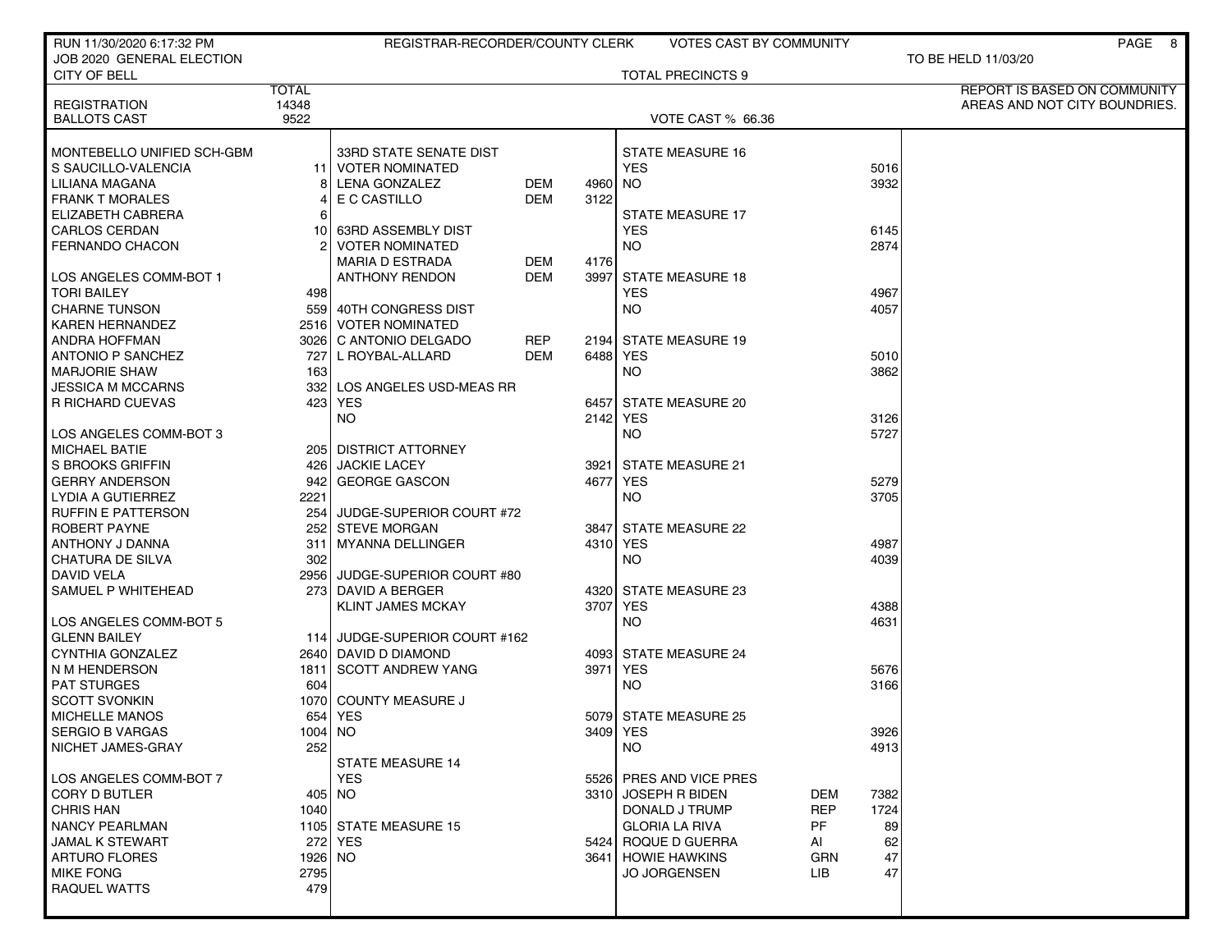| RUN 11/30/2020 6:17:32 PM  |              | REGISTRAR-RECORDER/COUNTY CLERK |            |      | <b>VOTES CAST BY COMMUNITY</b> |                    | PAGE 8                        |
|----------------------------|--------------|---------------------------------|------------|------|--------------------------------|--------------------|-------------------------------|
| JOB 2020 GENERAL ELECTION  |              |                                 |            |      |                                |                    | TO BE HELD 11/03/20           |
| CITY OF BELL               |              |                                 |            |      | <b>TOTAL PRECINCTS 9</b>       |                    |                               |
|                            | <b>TOTAL</b> |                                 |            |      |                                |                    | REPORT IS BASED ON COMMUNITY  |
| <b>REGISTRATION</b>        | 14348        |                                 |            |      |                                |                    | AREAS AND NOT CITY BOUNDRIES. |
| <b>BALLOTS CAST</b>        | 9522         |                                 |            |      | <b>VOTE CAST % 66.36</b>       |                    |                               |
|                            |              |                                 |            |      |                                |                    |                               |
| MONTEBELLO UNIFIED SCH-GBM |              | 33RD STATE SENATE DIST          |            |      | <b>STATE MEASURE 16</b>        |                    |                               |
| S SAUCILLO-VALENCIA        |              | 11 VOTER NOMINATED              |            |      | <b>YES</b>                     | 5016               |                               |
| LILIANA MAGANA             | 8            | LENA GONZALEZ                   | DEM        | 4960 | NO                             | 3932               |                               |
| <b>FRANK T MORALES</b>     | 4            | E C CASTILLO                    | <b>DEM</b> | 3122 |                                |                    |                               |
| ELIZABETH CABRERA          | 6            |                                 |            |      | <b>STATE MEASURE 17</b>        |                    |                               |
| <b>CARLOS CERDAN</b>       | 101          | 63RD ASSEMBLY DIST              |            |      | <b>YES</b>                     | 6145               |                               |
| <b>FERNANDO CHACON</b>     |              | <b>VOTER NOMINATED</b>          |            |      | NO.                            | 2874               |                               |
|                            |              | <b>MARIA D ESTRADA</b>          | DEM        | 4176 |                                |                    |                               |
| LOS ANGELES COMM-BOT 1     |              | ANTHONY RENDON                  | <b>DEM</b> |      | 3997 STATE MEASURE 18          |                    |                               |
| <b>TORI BAILEY</b>         | 498          |                                 |            |      | <b>YES</b>                     | 4967               |                               |
| <b>CHARNE TUNSON</b>       |              | 559 40TH CONGRESS DIST          |            |      | NO.                            | 4057               |                               |
| <b>KAREN HERNANDEZ</b>     |              | 2516 VOTER NOMINATED            |            |      |                                |                    |                               |
| ANDRA HOFFMAN              |              | 3026 C ANTONIO DELGADO          | REP        |      | 2194 STATE MEASURE 19          |                    |                               |
| <b>ANTONIO P SANCHEZ</b>   |              | 727 L ROYBAL-ALLARD             | <b>DEM</b> |      | 6488 YES                       | 5010               |                               |
| <b>MARJORIE SHAW</b>       | 163          |                                 |            |      | NO.                            | 3862               |                               |
| <b>JESSICA M MCCARNS</b>   | 332 l        | LOS ANGELES USD-MEAS RR         |            |      |                                |                    |                               |
| R RICHARD CUEVAS           |              | 423   YES                       |            |      | 6457 STATE MEASURE 20          |                    |                               |
|                            |              | NO.                             |            |      | 2142 YES                       | 3126               |                               |
| I LOS ANGELES COMM-BOT 3   |              |                                 |            |      | NO.                            | 5727               |                               |
| <b>MICHAEL BATIE</b>       |              | 205   DISTRICT ATTORNEY         |            |      |                                |                    |                               |
| S BROOKS GRIFFIN           |              | 426 JACKIE LACEY                |            |      | 3921 STATE MEASURE 21          |                    |                               |
| <b>GERRY ANDERSON</b>      | 9421         | <b>GEORGE GASCON</b>            |            |      | 4677 YES                       | 5279               |                               |
| LYDIA A GUTIERREZ          | 2221         |                                 |            |      | NO.                            | 3705               |                               |
| <b>RUFFIN E PATTERSON</b>  | 254          | JUDGE-SUPERIOR COURT #72        |            |      |                                |                    |                               |
| ROBERT PAYNE               |              | 252 STEVE MORGAN                |            |      | 3847 STATE MEASURE 22          |                    |                               |
| ANTHONY J DANNA            | 311          | MYANNA DELLINGER                |            |      | 4310 YES                       | 4987               |                               |
| CHATURA DE SILVA           | 302          |                                 |            |      | <b>NO</b>                      | 4039               |                               |
| <b>DAVID VELA</b>          |              | 2956 JUDGE-SUPERIOR COURT #80   |            |      |                                |                    |                               |
| SAMUEL P WHITEHEAD         |              | 273 DAVID A BERGER              |            |      | 4320 STATE MEASURE 23          |                    |                               |
|                            |              | <b>KLINT JAMES MCKAY</b>        |            |      | 3707 YES                       | 4388               |                               |
| LOS ANGELES COMM-BOT 5     |              |                                 |            |      | <b>NO</b>                      | 4631               |                               |
| <b>GLENN BAILEY</b>        |              | 114 JUDGE-SUPERIOR COURT #162   |            |      |                                |                    |                               |
| CYNTHIA GONZALEZ           |              | 2640 DAVID D DIAMOND            |            |      | 4093 STATE MEASURE 24          |                    |                               |
| N M HENDERSON              | 1811         | <b>SCOTT ANDREW YANG</b>        |            | 3971 | <b>YES</b>                     | 5676               |                               |
| <b>PAT STURGES</b>         | 604          |                                 |            |      | NO.                            | 3166               |                               |
| <b>SCOTT SVONKIN</b>       | 1070 l       | <b>COUNTY MEASURE J</b>         |            |      |                                |                    |                               |
| <b>MICHELLE MANOS</b>      | 654          | YES                             |            |      | 5079 STATE MEASURE 25          |                    |                               |
| <b>SERGIO B VARGAS</b>     | $1004$ NO    |                                 |            |      | 3409 YES                       | 3926               |                               |
| NICHET JAMES-GRAY          | 252          |                                 |            |      | NO.                            | 4913               |                               |
|                            |              | <b>STATE MEASURE 14</b>         |            |      |                                |                    |                               |
| LOS ANGELES COMM-BOT 7     |              | <b>YES</b>                      |            |      | 5526 PRES AND VICE PRES        |                    |                               |
| CORY D BUTLER              |              | 405 NO                          |            |      | 3310 JOSEPH R BIDEN            | DEM<br>7382        |                               |
| <b>CHRIS HAN</b>           | 1040         |                                 |            |      | DONALD J TRUMP                 | <b>REP</b><br>1724 |                               |
| <b>NANCY PEARLMAN</b>      |              | 1105 STATE MEASURE 15           |            |      | PF<br><b>GLORIA LA RIVA</b>    | 89                 |                               |
| <b>JAMAL K STEWART</b>     |              | 272 YES                         |            |      | 5424 ROQUE D GUERRA<br>AI      | 62                 |                               |
| <b>ARTURO FLORES</b>       | 1926 NO      |                                 |            |      | 3641 HOWIE HAWKINS             | GRN<br>47          |                               |
| <b>MIKE FONG</b>           | 2795         |                                 |            |      | <b>JO JORGENSEN</b><br>LIB.    | 47                 |                               |
| <b>RAQUEL WATTS</b>        | 479          |                                 |            |      |                                |                    |                               |
|                            |              |                                 |            |      |                                |                    |                               |
|                            |              |                                 |            |      |                                |                    |                               |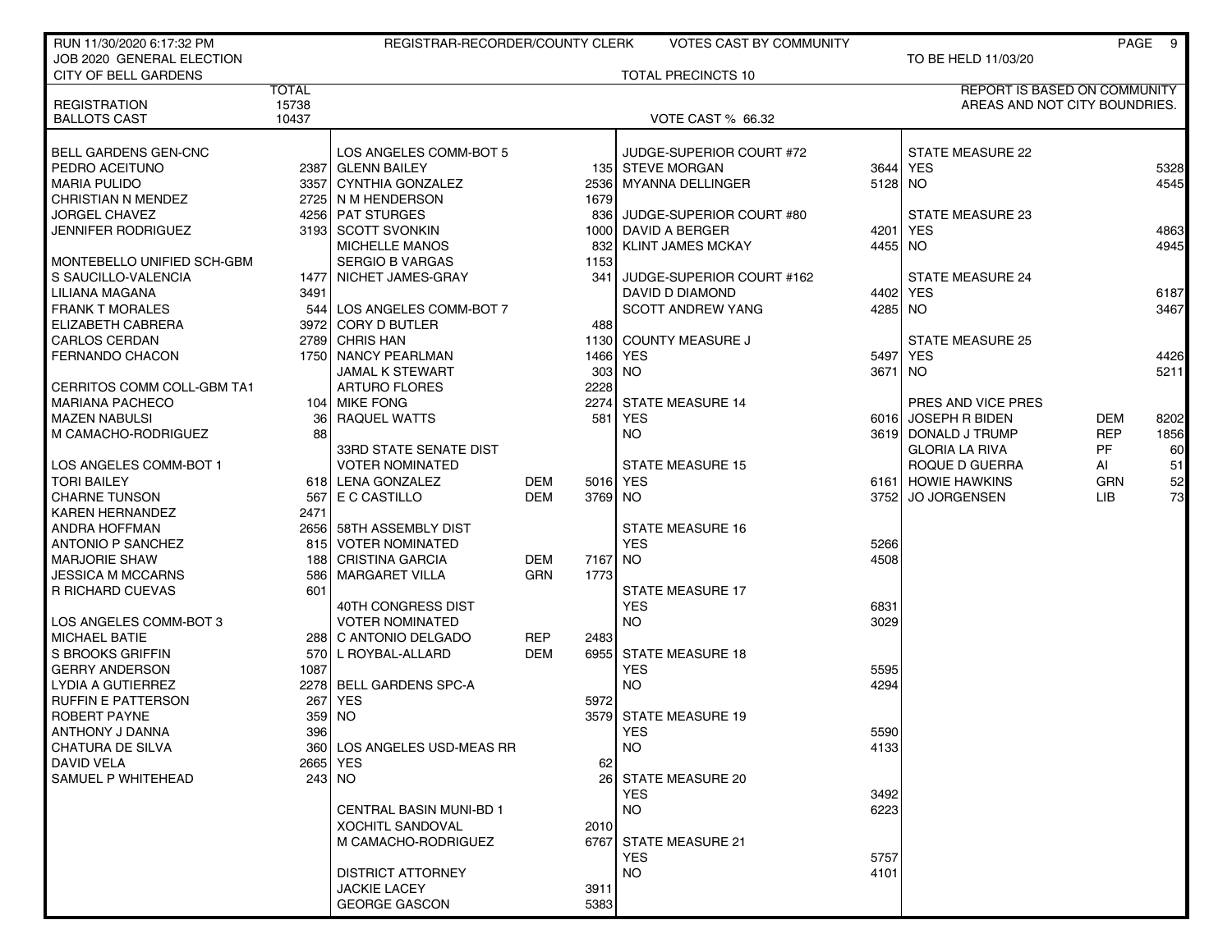| RUN 11/30/2020 6:17:32 PM   |              | REGISTRAR-RECORDER/COUNTY CLERK |            |           | <b>VOTES CAST BY COMMUNITY</b> |           |                                     |            | PAGE 9 |
|-----------------------------|--------------|---------------------------------|------------|-----------|--------------------------------|-----------|-------------------------------------|------------|--------|
| JOB 2020 GENERAL ELECTION   |              |                                 |            |           |                                |           | TO BE HELD 11/03/20                 |            |        |
| <b>CITY OF BELL GARDENS</b> |              |                                 |            |           | <b>TOTAL PRECINCTS 10</b>      |           |                                     |            |        |
|                             | <b>TOTAL</b> |                                 |            |           |                                |           | <b>REPORT IS BASED ON COMMUNITY</b> |            |        |
| <b>REGISTRATION</b>         | 15738        |                                 |            |           |                                |           | AREAS AND NOT CITY BOUNDRIES.       |            |        |
| <b>BALLOTS CAST</b>         | 10437        |                                 |            |           | <b>VOTE CAST % 66.32</b>       |           |                                     |            |        |
| BELL GARDENS GEN-CNC        |              | LOS ANGELES COMM-BOT 5          |            |           | JUDGE-SUPERIOR COURT #72       |           | <b>STATE MEASURE 22</b>             |            |        |
| PEDRO ACEITUNO              |              | 2387 GLENN BAILEY               |            |           | 135 STEVE MORGAN               | 3644      | <b>YES</b>                          |            | 5328   |
| <b>MARIA PULIDO</b>         |              | 3357 CYNTHIA GONZALEZ           |            | 2536      | <b>MYANNA DELLINGER</b>        | $5128$ NO |                                     |            | 4545   |
| <b>CHRISTIAN N MENDEZ</b>   |              | 2725 N M HENDERSON              |            | 1679      |                                |           |                                     |            |        |
| <b>JORGEL CHAVEZ</b>        |              | 4256 PAT STURGES                |            | 836       | JUDGE-SUPERIOR COURT #80       |           | STATE MEASURE 23                    |            |        |
| <b>JENNIFER RODRIGUEZ</b>   |              | 3193 SCOTT SVONKIN              |            | 1000      | DAVID A BERGER                 | 4201      | <b>YES</b>                          |            | 4863   |
|                             |              | MICHELLE MANOS                  |            | 832       | <b>KLINT JAMES MCKAY</b>       | 4455      | NO.                                 |            | 4945   |
| MONTEBELLO UNIFIED SCH-GBM  |              | <b>SERGIO B VARGAS</b>          |            | 1153      |                                |           |                                     |            |        |
| S SAUCILLO-VALENCIA         |              | 1477 NICHET JAMES-GRAY          |            | 341       | JUDGE-SUPERIOR COURT #162      |           | <b>STATE MEASURE 24</b>             |            |        |
| LILIANA MAGANA              | 3491         |                                 |            |           | DAVID D DIAMOND                | 4402 l    | YES                                 |            | 6187   |
| <b>FRANK T MORALES</b>      |              | 544 LOS ANGELES COMM-BOT 7      |            |           | <b>SCOTT ANDREW YANG</b>       | 4285 NO   |                                     |            | 3467   |
| ELIZABETH CABRERA           |              | 3972 CORY D BUTLER              |            | 488       |                                |           |                                     |            |        |
| <b>CARLOS CERDAN</b>        |              | 2789 CHRIS HAN                  |            | 1130      | <b>COUNTY MEASURE J</b>        |           | <b>STATE MEASURE 25</b>             |            |        |
| <b>FERNANDO CHACON</b>      |              | 1750 NANCY PEARLMAN             |            | 1466      | <b>YES</b>                     | 5497      | YES                                 |            | 4426   |
|                             |              | <b>JAMAL K STEWART</b>          |            |           | 303 NO                         | 3671 NO   |                                     |            | 5211   |
| CERRITOS COMM COLL-GBM TA1  |              | <b>ARTURO FLORES</b>            |            | 2228      |                                |           |                                     |            |        |
| <b>MARIANA PACHECO</b>      |              | 104 MIKE FONG                   |            | 2274      | <b>STATE MEASURE 14</b>        |           | PRES AND VICE PRES                  |            |        |
| <b>MAZEN NABULSI</b>        | 36           | RAQUEL WATTS                    |            | 581       | <b>YES</b>                     |           | 6016 JOSEPH R BIDEN                 | DEM        | 8202   |
| M CAMACHO-RODRIGUEZ         | 88           |                                 |            |           | <b>NO</b>                      |           | 3619 DONALD J TRUMP                 | <b>REP</b> | 1856   |
|                             |              | 33RD STATE SENATE DIST          |            |           |                                |           | <b>GLORIA LA RIVA</b>               | PF         | 60     |
| LOS ANGELES COMM-BOT 1      |              | <b>VOTER NOMINATED</b>          |            |           | <b>STATE MEASURE 15</b>        |           | ROQUE D GUERRA                      | AI         | 51     |
| <b>TORI BAILEY</b>          |              | 618 LENA GONZALEZ               | DEM        | 5016      | <b>YES</b>                     |           | 6161 HOWIE HAWKINS                  | <b>GRN</b> | 52     |
| <b>CHARNE TUNSON</b>        | 567          | E C CASTILLO                    | <b>DEM</b> | 3769 NO   |                                | 37521     | <b>JO JORGENSEN</b>                 | LIB.       | 73     |
| <b>KAREN HERNANDEZ</b>      | 2471         |                                 |            |           |                                |           |                                     |            |        |
| <b>ANDRA HOFFMAN</b>        |              | 2656 58TH ASSEMBLY DIST         |            |           | STATE MEASURE 16               |           |                                     |            |        |
| <b>ANTONIO P SANCHEZ</b>    | 8151         | <b>VOTER NOMINATED</b>          |            |           | <b>YES</b>                     | 5266      |                                     |            |        |
| <b>MARJORIE SHAW</b>        |              | 188 CRISTINA GARCIA             | <b>DEM</b> | 7167      | <b>NO</b>                      | 4508      |                                     |            |        |
| <b>JESSICA M MCCARNS</b>    | 586          | <b>MARGARET VILLA</b>           | <b>GRN</b> | 1773      |                                |           |                                     |            |        |
| R RICHARD CUEVAS            | 601          |                                 |            |           | <b>STATE MEASURE 17</b>        |           |                                     |            |        |
|                             |              | 40TH CONGRESS DIST              |            |           | <b>YES</b>                     | 6831      |                                     |            |        |
| LOS ANGELES COMM-BOT 3      |              | <b>VOTER NOMINATED</b>          |            |           | <b>NO</b>                      | 3029      |                                     |            |        |
| <b>MICHAEL BATIE</b>        |              | 288   C ANTONIO DELGADO         | <b>REP</b> | 2483      |                                |           |                                     |            |        |
| S BROOKS GRIFFIN            |              | 570 L ROYBAL-ALLARD             | <b>DEM</b> |           | 6955 STATE MEASURE 18          |           |                                     |            |        |
| <b>GERRY ANDERSON</b>       | 1087         |                                 |            |           | <b>YES</b>                     | 5595      |                                     |            |        |
| <b>LYDIA A GUTIERREZ</b>    | 2278         | <b>BELL GARDENS SPC-A</b>       |            |           | NO.                            | 4294      |                                     |            |        |
| <b>RUFFIN E PATTERSON</b>   | 267          | <b>YES</b>                      |            | 5972      |                                |           |                                     |            |        |
| <b>ROBERT PAYNE</b>         | 359          | <b>NO</b>                       |            | 3579      | <b>STATE MEASURE 19</b>        |           |                                     |            |        |
| ANTHONY J DANNA             | 396          |                                 |            |           | <b>YES</b>                     | 5590      |                                     |            |        |
| CHATURA DE SILVA            |              | 360 LOS ANGELES USD-MEAS RR     |            |           | <b>NO</b>                      | 4133      |                                     |            |        |
| <b>DAVID VELA</b>           |              | 2665 YES                        |            | 62        |                                |           |                                     |            |        |
| SAMUEL P WHITEHEAD          |              | $243$ NO                        |            | <b>26</b> | STATE MEASURE 20               |           |                                     |            |        |
|                             |              |                                 |            |           | <b>YES</b>                     | 3492      |                                     |            |        |
|                             |              | <b>CENTRAL BASIN MUNI-BD 1</b>  |            |           | <b>NO</b>                      | 6223      |                                     |            |        |
|                             |              | <b>XOCHITL SANDOVAL</b>         |            | 2010      |                                |           |                                     |            |        |
|                             |              | M CAMACHO-RODRIGUEZ             |            |           | 6767 STATE MEASURE 21          |           |                                     |            |        |
|                             |              |                                 |            |           | <b>YES</b>                     | 5757      |                                     |            |        |
|                             |              | <b>DISTRICT ATTORNEY</b>        |            |           | <b>NO</b>                      | 4101      |                                     |            |        |
|                             |              | <b>JACKIE LACEY</b>             |            | 3911      |                                |           |                                     |            |        |
|                             |              | <b>GEORGE GASCON</b>            |            | 5383      |                                |           |                                     |            |        |
|                             |              |                                 |            |           |                                |           |                                     |            |        |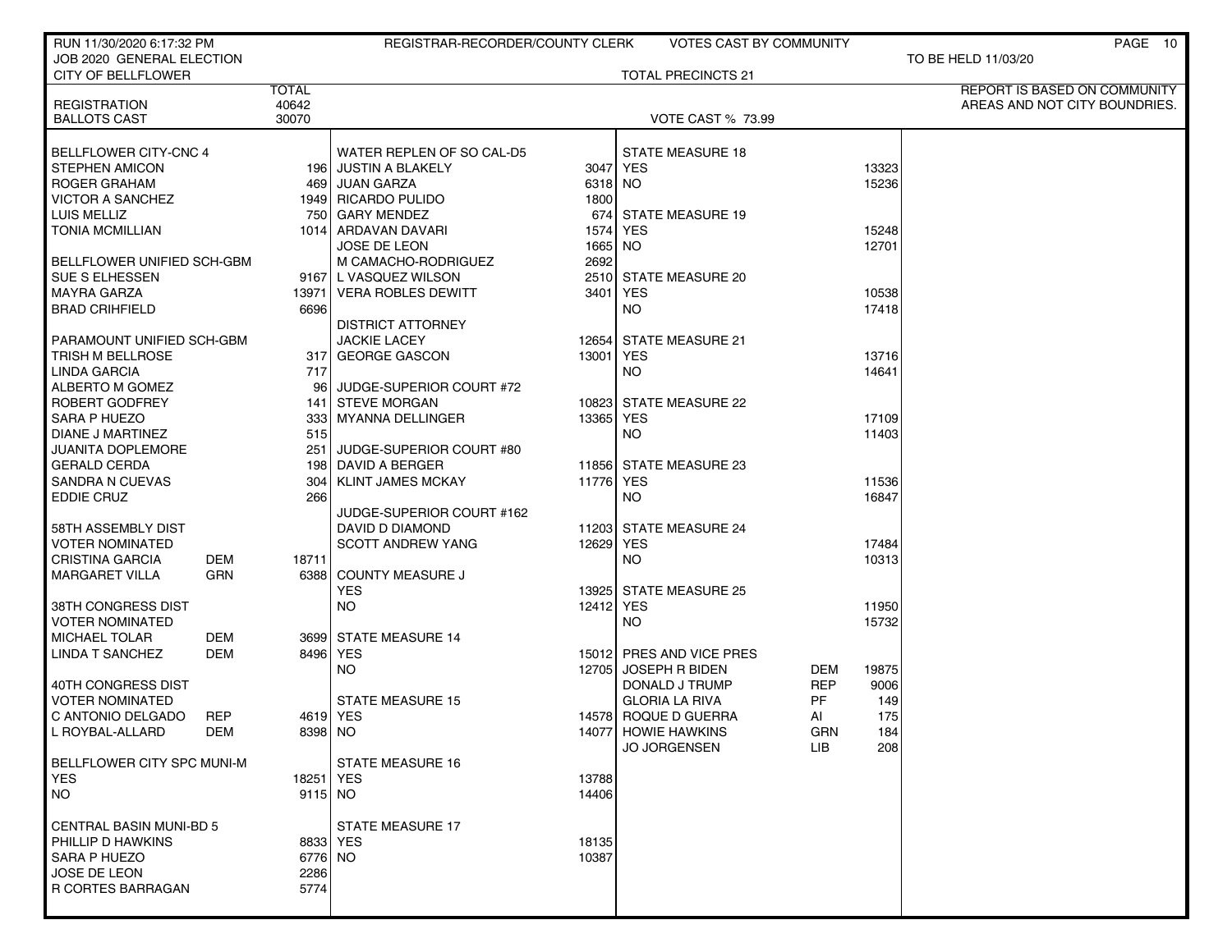| RUN 11/30/2020 6:17:32 PM      |                        | REGISTRAR-RECORDER/COUNTY CLERK |           | <b>VOTES CAST BY COMMUNITY</b> |            | PAGE 10                       |
|--------------------------------|------------------------|---------------------------------|-----------|--------------------------------|------------|-------------------------------|
| JOB 2020 GENERAL ELECTION      |                        |                                 |           |                                |            | TO BE HELD 11/03/20           |
| <b>CITY OF BELLFLOWER</b>      |                        |                                 |           | <b>TOTAL PRECINCTS 21</b>      |            |                               |
|                                | <b>TOTAL</b>           |                                 |           |                                |            | REPORT IS BASED ON COMMUNITY  |
| <b>REGISTRATION</b>            | 40642<br>30070         |                                 |           |                                |            | AREAS AND NOT CITY BOUNDRIES. |
| <b>BALLOTS CAST</b>            |                        |                                 |           | <b>VOTE CAST % 73.99</b>       |            |                               |
| BELLFLOWER CITY-CNC 4          |                        | WATER REPLEN OF SO CAL-D5       |           | <b>STATE MEASURE 18</b>        |            |                               |
| <b>STEPHEN AMICON</b>          |                        | 196 JUSTIN A BLAKELY            |           | 3047 YES                       | 13323      |                               |
| ROGER GRAHAM                   |                        | 469 JUAN GARZA                  | 6318 NO   |                                | 15236      |                               |
| <b>VICTOR A SANCHEZ</b>        |                        | 1949 RICARDO PULIDO             | 1800      |                                |            |                               |
| LUIS MELLIZ                    |                        | 750 GARY MENDEZ                 |           | 674 STATE MEASURE 19           |            |                               |
| <b>TONIA MCMILLIAN</b>         |                        | 1014 ARDAVAN DAVARI             | 1574      | YES                            |            | 15248                         |
|                                |                        | <b>JOSE DE LEON</b>             | 1665      | NO.                            | 12701      |                               |
| BELLFLOWER UNIFIED SCH-GBM     |                        | M CAMACHO-RODRIGUEZ             | 2692      |                                |            |                               |
| SUE S ELHESSEN                 |                        | 9167 L VASQUEZ WILSON           |           | 2510 STATE MEASURE 20          |            |                               |
| <b>MAYRA GARZA</b>             |                        | 13971   VERA ROBLES DEWITT      | 3401      | <b>YES</b>                     | 10538      |                               |
| <b>BRAD CRIHFIELD</b>          | 6696                   |                                 |           | NO.                            | 17418      |                               |
|                                |                        | <b>DISTRICT ATTORNEY</b>        |           |                                |            |                               |
| PARAMOUNT UNIFIED SCH-GBM      |                        | <b>JACKIE LACEY</b>             | 12654     | STATE MEASURE 21               |            |                               |
| <b>TRISH M BELLROSE</b>        |                        | 317 GEORGE GASCON               | 13001     | <b>YES</b>                     | 13716      |                               |
| LINDA GARCIA                   | 717                    |                                 |           | <b>NO</b>                      | 14641      |                               |
| ALBERTO M GOMEZ                | 96 l                   | JUDGE-SUPERIOR COURT #72        |           |                                |            |                               |
| ROBERT GODFREY                 |                        | 141 STEVE MORGAN                |           | 10823 STATE MEASURE 22         |            |                               |
| SARA P HUEZO                   |                        | 333 MYANNA DELLINGER            | 13365     | YES                            |            | 17109                         |
| DIANE J MARTINEZ               | 515                    |                                 |           | <b>NO</b>                      | 11403      |                               |
| JUANITA DOPLEMORE              | 251 l                  | JUDGE-SUPERIOR COURT #80        |           |                                |            |                               |
| <b>GERALD CERDA</b>            |                        | 198 DAVID A BERGER              |           | 11856 STATE MEASURE 23         |            |                               |
| <b>SANDRA N CUEVAS</b>         | 304                    | <b>KLINT JAMES MCKAY</b>        | 11776 YES |                                | 11536      |                               |
| EDDIE CRUZ                     | 266                    |                                 |           | NO.                            | 16847      |                               |
|                                |                        | JUDGE-SUPERIOR COURT #162       |           |                                |            |                               |
| 58TH ASSEMBLY DIST             |                        | DAVID D DIAMOND                 |           | 11203 STATE MEASURE 24         |            |                               |
| <b>VOTER NOMINATED</b>         |                        | <b>SCOTT ANDREW YANG</b>        | 12629 YES |                                | 17484      |                               |
| <b>CRISTINA GARCIA</b>         | DEM<br>18711           |                                 |           | NO.                            | 10313      |                               |
| <b>MARGARET VILLA</b>          | <b>GRN</b><br>6388     | <b>COUNTY MEASURE J</b>         |           |                                |            |                               |
|                                |                        | <b>YES</b>                      | 13925     | <b>STATE MEASURE 25</b>        |            |                               |
| 38TH CONGRESS DIST             |                        | NO                              | 12412 YES |                                |            | 11950                         |
| <b>VOTER NOMINATED</b>         |                        |                                 |           | <b>NO</b>                      | 15732      |                               |
| <b>MICHAEL TOLAR</b>           | DEM                    | 3699 STATE MEASURE 14           |           |                                |            |                               |
| <b>LINDA T SANCHEZ</b>         | 8496 YES<br><b>DEM</b> |                                 |           | 15012 PRES AND VICE PRES       |            |                               |
|                                |                        | NO.                             |           | 12705 JOSEPH R BIDEN           | DEM        | 19875                         |
| 40TH CONGRESS DIST             |                        |                                 |           | DONALD J TRUMP                 | <b>REP</b> | 9006                          |
| VOTER NOMINATED                |                        | <b>STATE MEASURE 15</b>         |           | <b>GLORIA LA RIVA</b>          | PF         | 149                           |
| C ANTONIO DELGADO              | <b>REP</b><br>4619 YES |                                 |           | 14578 ROQUE D GUERRA           | AI         | 175                           |
| L ROYBAL-ALLARD                | DEM<br>8398 NO         |                                 |           | 14077 HOWIE HAWKINS            | GRN        | 184                           |
|                                |                        |                                 |           | <b>JO JORGENSEN</b>            | <b>LIB</b> | 208                           |
| BELLFLOWER CITY SPC MUNI-M     |                        | <b>STATE MEASURE 16</b>         |           |                                |            |                               |
| YES.                           | 18251   YES            |                                 | 13788     |                                |            |                               |
| NO                             | $9115$ NO              |                                 | 14406     |                                |            |                               |
|                                |                        |                                 |           |                                |            |                               |
| <b>CENTRAL BASIN MUNI-BD 5</b> |                        | STATE MEASURE 17                |           |                                |            |                               |
| PHILLIP D HAWKINS              | 8833 YES               |                                 | 18135     |                                |            |                               |
| SARA P HUEZO                   | 6776 NO                |                                 | 10387     |                                |            |                               |
| JOSE DE LEON                   | 2286                   |                                 |           |                                |            |                               |
| R CORTES BARRAGAN              | 5774                   |                                 |           |                                |            |                               |
|                                |                        |                                 |           |                                |            |                               |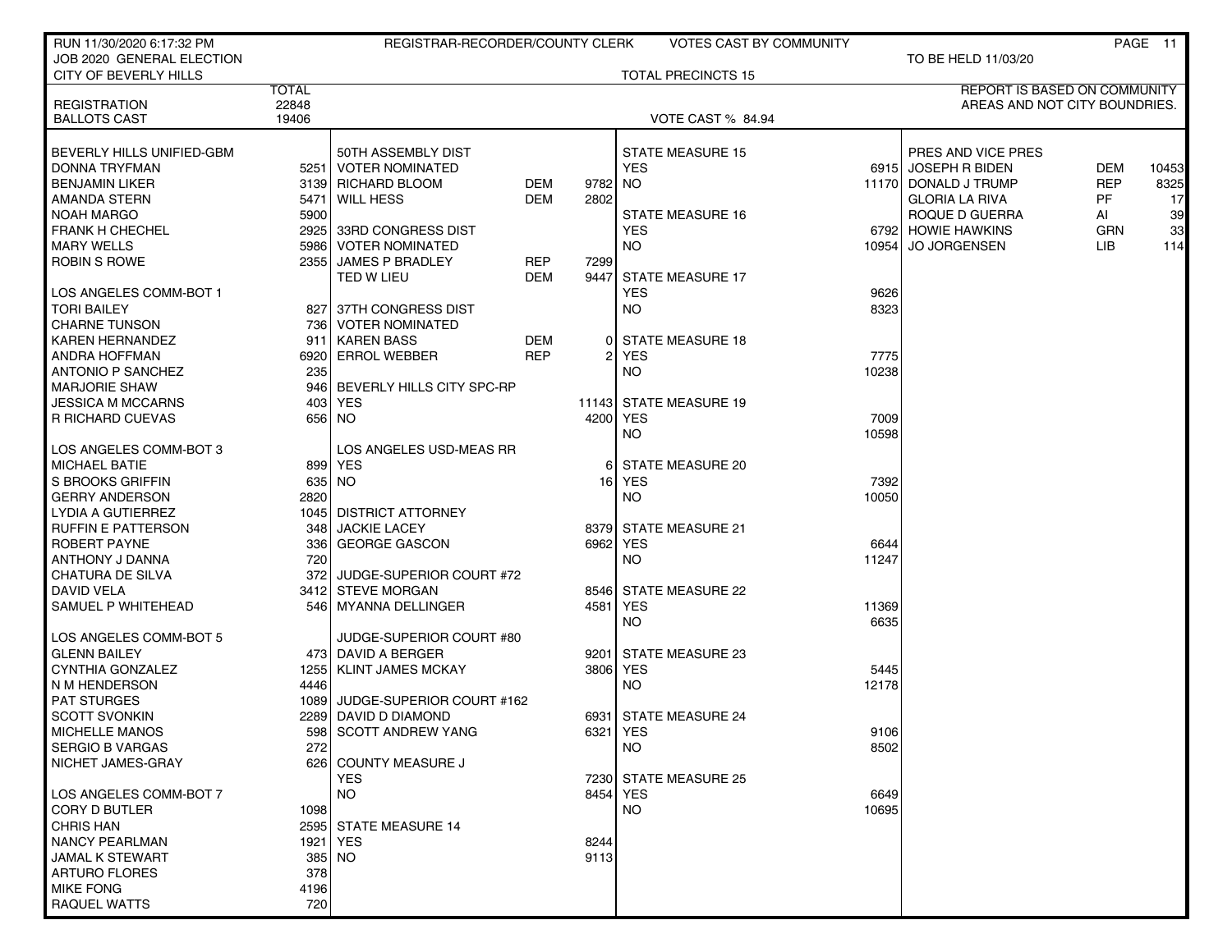| RUN 11/30/2020 6:17:32 PM           |                | REGISTRAR-RECORDER/COUNTY CLERK |            |                | <b>VOTES CAST BY COMMUNITY</b> |       |                                     |            | PAGE 11 |
|-------------------------------------|----------------|---------------------------------|------------|----------------|--------------------------------|-------|-------------------------------------|------------|---------|
| JOB 2020 GENERAL ELECTION           |                |                                 |            |                |                                |       | TO BE HELD 11/03/20                 |            |         |
| CITY OF BEVERLY HILLS               |                |                                 |            |                | <b>TOTAL PRECINCTS 15</b>      |       |                                     |            |         |
|                                     | <b>TOTAL</b>   |                                 |            |                |                                |       | <b>REPORT IS BASED ON COMMUNITY</b> |            |         |
| <b>REGISTRATION</b>                 | 22848<br>19406 |                                 |            |                |                                |       | AREAS AND NOT CITY BOUNDRIES.       |            |         |
| <b>BALLOTS CAST</b>                 |                |                                 |            |                | <b>VOTE CAST % 84.94</b>       |       |                                     |            |         |
| BEVERLY HILLS UNIFIED-GBM           |                | 50TH ASSEMBLY DIST              |            |                | <b>STATE MEASURE 15</b>        |       | PRES AND VICE PRES                  |            |         |
| <b>DONNA TRYFMAN</b>                |                | 5251   VOTER NOMINATED          |            |                | <b>YES</b>                     |       | 6915 JOSEPH R BIDEN                 | <b>DEM</b> | 10453   |
| <b>BENJAMIN LIKER</b>               |                | 3139 RICHARD BLOOM              | DEM        | 9782           | NO.                            |       | 11170 DONALD J TRUMP                | <b>REP</b> | 8325    |
| AMANDA STERN                        | 5471           | l WILL HESS                     | <b>DEM</b> | 2802           |                                |       | <b>GLORIA LA RIVA</b>               | PF.        | 17      |
| <b>NOAH MARGO</b>                   | 5900           |                                 |            |                | <b>STATE MEASURE 16</b>        |       | ROQUE D GUERRA                      | Al         | 39      |
| <b>FRANK H CHECHEL</b>              |                | 2925 33RD CONGRESS DIST         |            |                | <b>YES</b>                     |       | 6792 HOWIE HAWKINS                  | <b>GRN</b> | 33      |
| <b>MARY WELLS</b>                   |                | 5986   VOTER NOMINATED          |            |                | <b>NO</b>                      | 10954 | <b>JO JORGENSEN</b>                 | LIB.       | 114     |
| <b>ROBIN S ROWE</b>                 |                | 2355 JAMES P BRADLEY            | <b>REP</b> | 7299           |                                |       |                                     |            |         |
|                                     |                | TED W LIEU                      | DEM        | 9447           | <b>STATE MEASURE 17</b>        |       |                                     |            |         |
| LOS ANGELES COMM-BOT 1              |                |                                 |            |                | <b>YES</b>                     | 9626  |                                     |            |         |
| <b>TORI BAILEY</b>                  |                | 827 37TH CONGRESS DIST          |            |                | NO.                            | 8323  |                                     |            |         |
| <b>CHARNE TUNSON</b>                |                | 736   VOTER NOMINATED           |            |                |                                |       |                                     |            |         |
| <b>KAREN HERNANDEZ</b>              | 911            | <b>KAREN BASS</b>               | DEM        |                | 0 STATE MEASURE 18             |       |                                     |            |         |
| ANDRA HOFFMAN                       |                | 6920 ERROL WEBBER               | <b>REP</b> | $\overline{2}$ | <b>YES</b>                     | 7775  |                                     |            |         |
| <b>ANTONIO P SANCHEZ</b>            | 235            |                                 |            |                | NO.                            | 10238 |                                     |            |         |
| <b>MARJORIE SHAW</b>                |                | 946 BEVERLY HILLS CITY SPC-RP   |            |                |                                |       |                                     |            |         |
| <b>JESSICA M MCCARNS</b>            |                | 403   YES                       |            |                | 11143 STATE MEASURE 19         |       |                                     |            |         |
| R RICHARD CUEVAS                    |                | 656 NO                          |            | 4200 YES       |                                | 7009  |                                     |            |         |
|                                     |                |                                 |            |                | <b>NO</b>                      | 10598 |                                     |            |         |
| LOS ANGELES COMM-BOT 3              |                | LOS ANGELES USD-MEAS RR         |            |                |                                |       |                                     |            |         |
| <b>MICHAEL BATIE</b>                |                | 899 YES                         |            |                | 6 STATE MEASURE 20             |       |                                     |            |         |
| S BROOKS GRIFFIN                    |                | 635 NO                          |            |                | 16 YES                         | 7392  |                                     |            |         |
| <b>GERRY ANDERSON</b>               | 2820           |                                 |            |                | NO.                            | 10050 |                                     |            |         |
| LYDIA A GUTIERREZ                   |                | 1045 DISTRICT ATTORNEY          |            |                |                                |       |                                     |            |         |
| <b>RUFFIN E PATTERSON</b>           | 348            | <b>JACKIE LACEY</b>             |            |                | 8379 STATE MEASURE 21          |       |                                     |            |         |
| ROBERT PAYNE                        | 3361           | <b>GEORGE GASCON</b>            |            |                | 6962 YES                       | 6644  |                                     |            |         |
| ANTHONY J DANNA                     | 720            |                                 |            |                | <b>NO</b>                      | 11247 |                                     |            |         |
| <b>CHATURA DE SILVA</b>             | 372            | JUDGE-SUPERIOR COURT #72        |            |                |                                |       |                                     |            |         |
| DAVID VELA                          |                | 3412 STEVE MORGAN               |            |                | 8546 STATE MEASURE 22          |       |                                     |            |         |
| SAMUEL P WHITEHEAD                  |                | 546 MYANNA DELLINGER            |            | 4581           | <b>YES</b>                     | 11369 |                                     |            |         |
|                                     |                |                                 |            |                | <b>NO</b>                      | 6635  |                                     |            |         |
| LOS ANGELES COMM-BOT 5              |                | JUDGE-SUPERIOR COURT #80        |            |                |                                |       |                                     |            |         |
| <b>GLENN BAILEY</b>                 |                | 473 DAVID A BERGER              |            | 9201           | <b>STATE MEASURE 23</b>        |       |                                     |            |         |
| <b>CYNTHIA GONZALEZ</b>             |                | 1255   KLINT JAMES MCKAY        |            | 3806 YES       |                                | 5445  |                                     |            |         |
| N M HENDERSON<br><b>PAT STURGES</b> | 4446           | 1089 JUDGE-SUPERIOR COURT #162  |            |                | NO.                            | 12178 |                                     |            |         |
| <b>SCOTT SVONKIN</b>                |                | 2289 DAVID D DIAMOND            |            |                | 6931 STATE MEASURE 24          |       |                                     |            |         |
| <b>MICHELLE MANOS</b>               |                | 598 SCOTT ANDREW YANG           |            | 6321 YES       |                                | 9106  |                                     |            |         |
| <b>SERGIO B VARGAS</b>              | 272            |                                 |            |                | NO.                            | 8502  |                                     |            |         |
| NICHET JAMES-GRAY                   |                | 626 COUNTY MEASURE J            |            |                |                                |       |                                     |            |         |
|                                     |                | <b>YES</b>                      |            |                | 7230 STATE MEASURE 25          |       |                                     |            |         |
| LOS ANGELES COMM-BOT 7              |                | <b>NO</b>                       |            |                | 8454 YES                       | 6649  |                                     |            |         |
| <b>CORY D BUTLER</b>                | 1098           |                                 |            |                | <b>NO</b>                      | 10695 |                                     |            |         |
| <b>CHRIS HAN</b>                    |                | 2595 STATE MEASURE 14           |            |                |                                |       |                                     |            |         |
| <b>NANCY PEARLMAN</b>               |                | 1921 YES                        |            | 8244           |                                |       |                                     |            |         |
| <b>JAMAL K STEWART</b>              |                | 385 NO                          |            | 9113           |                                |       |                                     |            |         |
| <b>ARTURO FLORES</b>                | 378            |                                 |            |                |                                |       |                                     |            |         |
| <b>MIKE FONG</b>                    | 4196           |                                 |            |                |                                |       |                                     |            |         |
| RAQUEL WATTS                        | 720            |                                 |            |                |                                |       |                                     |            |         |
|                                     |                |                                 |            |                |                                |       |                                     |            |         |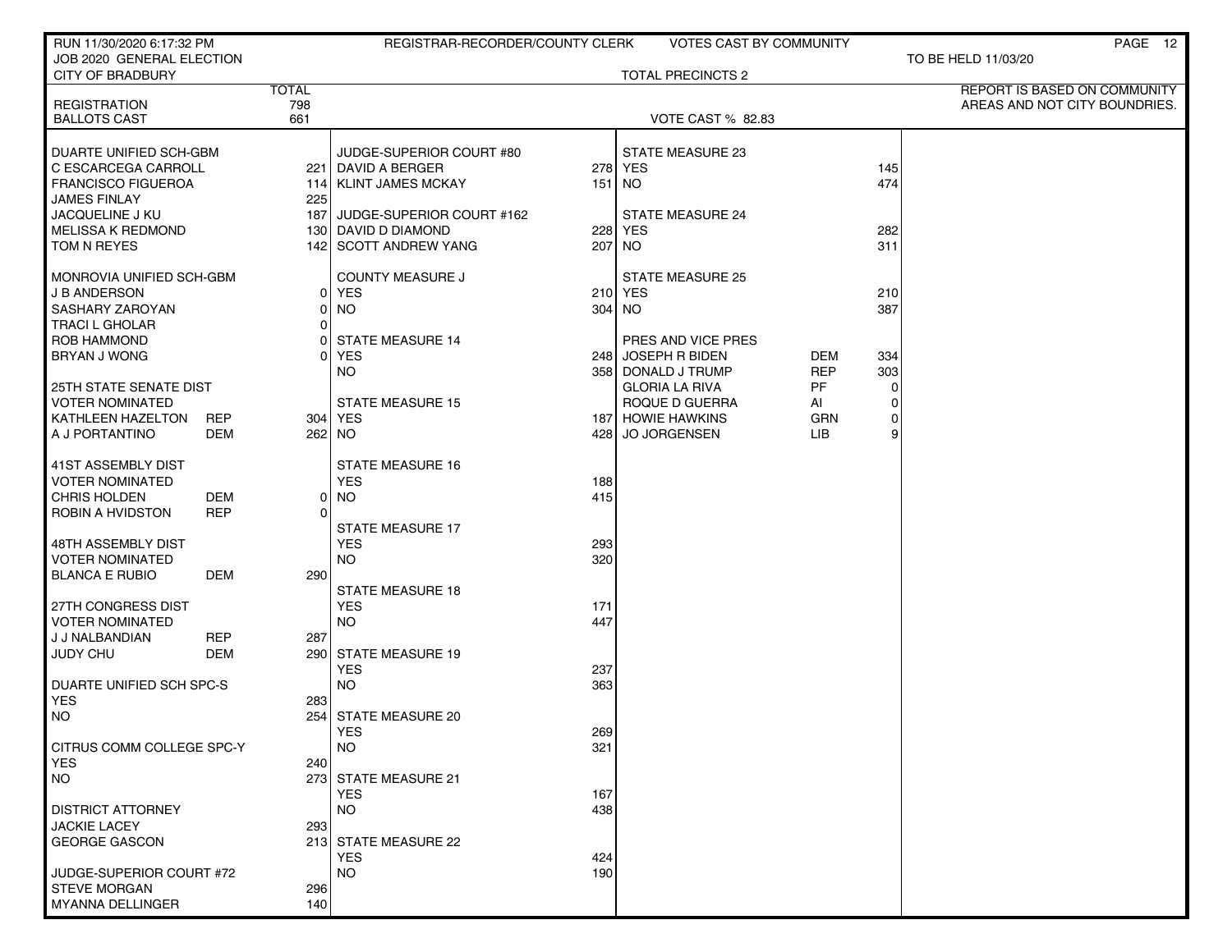| RUN 11/30/2020 6:17:32 PM                               |            |                | REGISTRAR-RECORDER/COUNTY CLERK              |            | <b>VOTES CAST BY COMMUNITY</b>          |            |               | PAGE 12                       |
|---------------------------------------------------------|------------|----------------|----------------------------------------------|------------|-----------------------------------------|------------|---------------|-------------------------------|
| JOB 2020 GENERAL ELECTION<br><b>CITY OF BRADBURY</b>    |            |                |                                              |            | <b>TOTAL PRECINCTS 2</b>                |            |               | TO BE HELD 11/03/20           |
|                                                         |            | <b>TOTAL</b>   |                                              |            |                                         |            |               | REPORT IS BASED ON COMMUNITY  |
| <b>REGISTRATION</b><br><b>BALLOTS CAST</b>              |            | 798<br>661     |                                              |            | <b>VOTE CAST % 82.83</b>                |            |               | AREAS AND NOT CITY BOUNDRIES. |
|                                                         |            |                |                                              |            |                                         |            |               |                               |
| DUARTE UNIFIED SCH-GBM                                  |            |                | JUDGE-SUPERIOR COURT #80                     |            | STATE MEASURE 23                        |            |               |                               |
| C ESCARCEGA CARROLL                                     |            |                | 221   DAVID A BERGER                         |            | 278 YES                                 |            | 145           |                               |
| <b>FRANCISCO FIGUEROA</b>                               |            |                | 114   KLINT JAMES MCKAY                      | 151 NO     |                                         |            | 474           |                               |
| <b>JAMES FINLAY</b>                                     |            | 225            |                                              |            |                                         |            |               |                               |
| JACQUELINE J KU                                         |            | 187 l          | JUDGE-SUPERIOR COURT #162                    |            | <b>STATE MEASURE 24</b>                 |            |               |                               |
| <b>MELISSA K REDMOND</b><br>TOM N REYES                 |            |                | 130 DAVID D DIAMOND<br>142 SCOTT ANDREW YANG | 207 NO     | 228 YES                                 |            | 282<br>311    |                               |
|                                                         |            |                |                                              |            |                                         |            |               |                               |
| MONROVIA UNIFIED SCH-GBM                                |            |                | <b>COUNTY MEASURE J</b>                      |            | <b>STATE MEASURE 25</b>                 |            |               |                               |
| <b>J B ANDERSON</b>                                     |            | 01             | <b>YES</b>                                   |            | 210 YES                                 |            | 210           |                               |
| SASHARY ZAROYAN                                         |            | $\overline{0}$ | <b>NO</b>                                    | 304 NO     |                                         |            | 387           |                               |
| <b>TRACI L GHOLAR</b>                                   |            | $\Omega$       |                                              |            |                                         |            |               |                               |
| <b>ROB HAMMOND</b>                                      |            | ΩI             | <b>STATE MEASURE 14</b>                      |            | PRES AND VICE PRES                      |            |               |                               |
| BRYAN J WONG                                            |            | ΩI             | <b>YES</b>                                   |            | 248 JOSEPH R BIDEN                      | DEM        | 334           |                               |
|                                                         |            |                | <b>NO</b>                                    |            | 358 DONALD J TRUMP                      | <b>REP</b> | 303           |                               |
| <b>25TH STATE SENATE DIST</b><br><b>VOTER NOMINATED</b> |            |                | <b>STATE MEASURE 15</b>                      |            | <b>GLORIA LA RIVA</b><br>ROQUE D GUERRA | PF         | $\Omega$<br>0 |                               |
| KATHLEEN HAZELTON                                       | <b>REP</b> |                | 304 YES                                      |            | <b>187 HOWIE HAWKINS</b>                | AI<br>GRN  | 0             |                               |
| A J PORTANTINO                                          | DEM        |                | 262 NO                                       |            | 428 JO JORGENSEN                        | <b>LIB</b> | 9             |                               |
|                                                         |            |                |                                              |            |                                         |            |               |                               |
| 41ST ASSEMBLY DIST                                      |            |                | <b>STATE MEASURE 16</b>                      |            |                                         |            |               |                               |
| <b>VOTER NOMINATED</b>                                  |            |                | <b>YES</b>                                   | 188        |                                         |            |               |                               |
| <b>CHRIS HOLDEN</b>                                     | DEM        | 01             | <b>NO</b>                                    | 415        |                                         |            |               |                               |
| ROBIN A HVIDSTON                                        | <b>REP</b> | $\Omega$       |                                              |            |                                         |            |               |                               |
|                                                         |            |                | <b>STATE MEASURE 17</b>                      |            |                                         |            |               |                               |
| 48TH ASSEMBLY DIST<br><b>VOTER NOMINATED</b>            |            |                | <b>YES</b><br><b>NO</b>                      | 293<br>320 |                                         |            |               |                               |
| <b>BLANCA E RUBIO</b>                                   | DEM        | 290 l          |                                              |            |                                         |            |               |                               |
|                                                         |            |                | <b>STATE MEASURE 18</b>                      |            |                                         |            |               |                               |
| 27TH CONGRESS DIST                                      |            |                | <b>YES</b>                                   | 171        |                                         |            |               |                               |
| <b>VOTER NOMINATED</b>                                  |            |                | <b>NO</b>                                    | 447        |                                         |            |               |                               |
| J J NALBANDIAN                                          | <b>REP</b> | 287            |                                              |            |                                         |            |               |                               |
| <b>JUDY CHU</b>                                         | DEM        |                | 290 STATE MEASURE 19                         |            |                                         |            |               |                               |
|                                                         |            |                | <b>YES</b>                                   | 237        |                                         |            |               |                               |
| DUARTE UNIFIED SCH SPC-S<br><b>YES</b>                  |            | 283            | <b>NO</b>                                    | 363        |                                         |            |               |                               |
| <b>NO</b>                                               |            |                | 254 STATE MEASURE 20                         |            |                                         |            |               |                               |
|                                                         |            |                | <b>YES</b>                                   | 269        |                                         |            |               |                               |
| CITRUS COMM COLLEGE SPC-Y                               |            |                | <b>NO</b>                                    | 321        |                                         |            |               |                               |
| <b>YES</b>                                              |            | 240            |                                              |            |                                         |            |               |                               |
| NO.                                                     |            |                | 273 STATE MEASURE 21                         |            |                                         |            |               |                               |
|                                                         |            |                | <b>YES</b>                                   | 167        |                                         |            |               |                               |
| <b>DISTRICT ATTORNEY</b>                                |            |                | <b>NO</b>                                    | 438        |                                         |            |               |                               |
| <b>JACKIE LACEY</b>                                     |            | 293            |                                              |            |                                         |            |               |                               |
| <b>GEORGE GASCON</b>                                    |            |                | 213 STATE MEASURE 22                         |            |                                         |            |               |                               |
| JUDGE-SUPERIOR COURT #72                                |            |                | <b>YES</b><br><b>NO</b>                      | 424<br>190 |                                         |            |               |                               |
| <b>STEVE MORGAN</b>                                     |            | 296            |                                              |            |                                         |            |               |                               |
| <b>MYANNA DELLINGER</b>                                 |            | 140            |                                              |            |                                         |            |               |                               |
|                                                         |            |                |                                              |            |                                         |            |               |                               |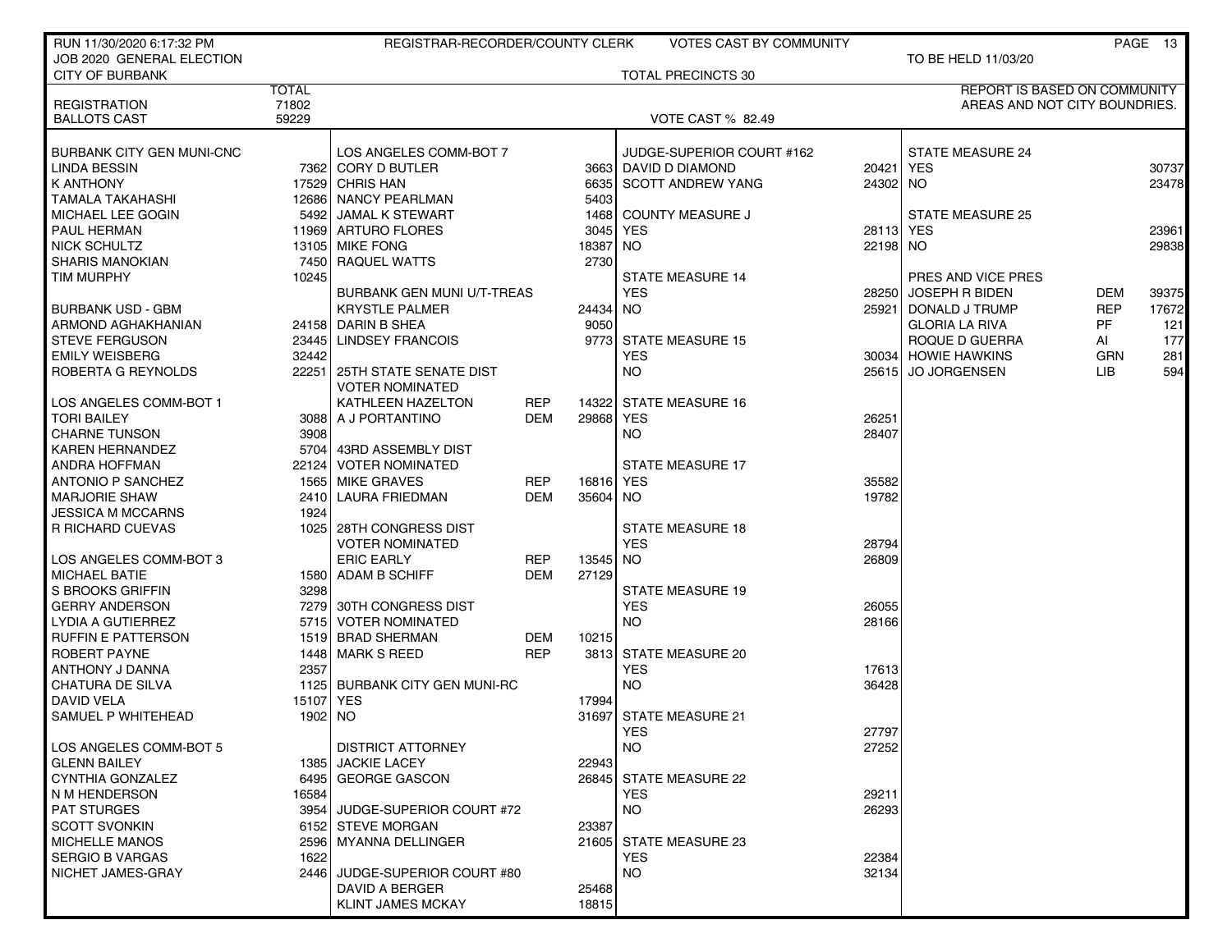| RUN 11/30/2020 6:17:32 PM                               |              | REGISTRAR-RECORDER/COUNTY CLERK              |            |           | <b>VOTES CAST BY COMMUNITY</b>                    |           |                                     |            | PAGE 13 |
|---------------------------------------------------------|--------------|----------------------------------------------|------------|-----------|---------------------------------------------------|-----------|-------------------------------------|------------|---------|
| JOB 2020 GENERAL ELECTION                               |              |                                              |            |           |                                                   |           | TO BE HELD 11/03/20                 |            |         |
| <b>CITY OF BURBANK</b>                                  |              |                                              |            |           | <b>TOTAL PRECINCTS 30</b>                         |           |                                     |            |         |
|                                                         | <b>TOTAL</b> |                                              |            |           |                                                   |           | <b>REPORT IS BASED ON COMMUNITY</b> |            |         |
| <b>REGISTRATION</b>                                     | 71802        |                                              |            |           |                                                   |           | AREAS AND NOT CITY BOUNDRIES.       |            |         |
| <b>BALLOTS CAST</b>                                     | 59229        |                                              |            |           | <b>VOTE CAST % 82.49</b>                          |           |                                     |            |         |
|                                                         |              |                                              |            |           |                                                   |           |                                     |            |         |
| <b>BURBANK CITY GEN MUNI-CNC</b><br><b>LINDA BESSIN</b> |              | LOS ANGELES COMM-BOT 7<br>7362 CORY D BUTLER |            |           | JUDGE-SUPERIOR COURT #162<br>3663 DAVID D DIAMOND | 20421     | <b>STATE MEASURE 24</b><br>YES      |            | 30737   |
| <b>K ANTHONY</b>                                        |              | 17529 CHRIS HAN                              |            | 6635      | <b>SCOTT ANDREW YANG</b>                          | 24302 NO  |                                     |            | 23478   |
| <b>TAMALA TAKAHASHI</b>                                 |              | 12686 NANCY PEARLMAN                         |            | 5403      |                                                   |           |                                     |            |         |
| MICHAEL LEE GOGIN                                       |              | 5492 JAMAL K STEWART                         |            |           | 1468 COUNTY MEASURE J                             |           | <b>STATE MEASURE 25</b>             |            |         |
| PAUL HERMAN                                             |              | 11969 ARTURO FLORES                          |            | 3045      | YES                                               | 28113 YES |                                     |            | 23961   |
| <b>NICK SCHULTZ</b>                                     |              | 13105 MIKE FONG                              |            | 18387     | <b>NO</b>                                         | 22198 NO  |                                     |            | 29838   |
| <b>SHARIS MANOKIAN</b>                                  |              | 7450 RAQUEL WATTS                            |            | 2730      |                                                   |           |                                     |            |         |
| <b>TIM MURPHY</b>                                       | 10245        |                                              |            |           | <b>STATE MEASURE 14</b>                           |           | PRES AND VICE PRES                  |            |         |
|                                                         |              | BURBANK GEN MUNI U/T-TREAS                   |            |           | <b>YES</b>                                        | 28250     | <b>JOSEPH R BIDEN</b>               | DEM        | 39375   |
| <b>BURBANK USD - GBM</b>                                |              | <b>KRYSTLE PALMER</b>                        |            | 24434 NO  |                                                   | 25921     | DONALD J TRUMP                      | <b>REP</b> | 17672   |
| ARMOND AGHAKHANIAN                                      |              | 24158 DARIN B SHEA                           |            | 9050      |                                                   |           | <b>GLORIA LA RIVA</b>               | <b>PF</b>  | 121     |
| <b>STEVE FERGUSON</b>                                   |              | 23445 LINDSEY FRANCOIS                       |            |           | 9773 STATE MEASURE 15                             |           | ROQUE D GUERRA                      | AI         | 177     |
| <b>EMILY WEISBERG</b>                                   | 32442        |                                              |            |           | <b>YES</b>                                        |           | 30034 HOWIE HAWKINS                 | <b>GRN</b> | 281     |
| ROBERTA G REYNOLDS                                      |              | 22251 25TH STATE SENATE DIST                 |            |           | <b>NO</b>                                         |           | 25615 JO JORGENSEN                  | LIB.       | 594     |
|                                                         |              | <b>VOTER NOMINATED</b>                       |            |           |                                                   |           |                                     |            |         |
| LOS ANGELES COMM-BOT 1                                  |              | KATHLEEN HAZELTON                            | REP        | 14322     | <b>STATE MEASURE 16</b>                           |           |                                     |            |         |
| <b>TORI BAILEY</b>                                      |              | 3088 A J PORTANTINO                          | <b>DEM</b> | 29868     | <b>YES</b>                                        | 26251     |                                     |            |         |
| <b>CHARNE TUNSON</b>                                    | 3908         |                                              |            |           | <b>NO</b>                                         | 28407     |                                     |            |         |
| <b>KAREN HERNANDEZ</b>                                  |              | 5704 43RD ASSEMBLY DIST                      |            |           |                                                   |           |                                     |            |         |
| ANDRA HOFFMAN                                           | 22124 l      | <b>VOTER NOMINATED</b>                       |            |           | <b>STATE MEASURE 17</b>                           |           |                                     |            |         |
| ANTONIO P SANCHEZ                                       |              | 1565 MIKE GRAVES                             | REP        | 16816 YES |                                                   | 35582     |                                     |            |         |
| <b>MARJORIE SHAW</b>                                    |              | 2410 LAURA FRIEDMAN                          | <b>DEM</b> | 35604 NO  |                                                   | 19782     |                                     |            |         |
| <b>JESSICA M MCCARNS</b>                                | 1924         |                                              |            |           |                                                   |           |                                     |            |         |
| R RICHARD CUEVAS                                        |              | 1025   28TH CONGRESS DIST                    |            |           | <b>STATE MEASURE 18</b>                           |           |                                     |            |         |
|                                                         |              | <b>VOTER NOMINATED</b>                       |            |           | <b>YES</b>                                        | 28794     |                                     |            |         |
| LOS ANGELES COMM-BOT 3                                  |              | <b>ERIC EARLY</b>                            | <b>REP</b> | 13545 NO  |                                                   | 26809     |                                     |            |         |
| <b>MICHAEL BATIE</b>                                    |              | 1580 ADAM B SCHIFF                           | <b>DEM</b> | 27129     |                                                   |           |                                     |            |         |
| S BROOKS GRIFFIN                                        | 3298         |                                              |            |           | <b>STATE MEASURE 19</b>                           |           |                                     |            |         |
| <b>GERRY ANDERSON</b>                                   |              | 7279 30TH CONGRESS DIST                      |            |           | <b>YES</b>                                        | 26055     |                                     |            |         |
| <b>LYDIA A GUTIERREZ</b>                                | 57151        | <b>VOTER NOMINATED</b>                       |            |           | <b>NO</b>                                         | 28166     |                                     |            |         |
| <b>RUFFIN E PATTERSON</b>                               | 15191        | <b>BRAD SHERMAN</b>                          | DEM        | 10215     |                                                   |           |                                     |            |         |
| <b>ROBERT PAYNE</b>                                     |              | 1448 MARK S REED                             | <b>REP</b> |           | 3813 STATE MEASURE 20                             |           |                                     |            |         |
| ANTHONY J DANNA                                         | 2357         |                                              |            |           | <b>YES</b>                                        | 17613     |                                     |            |         |
| <b>CHATURA DE SILVA</b>                                 |              | 1125 BURBANK CITY GEN MUNI-RC                |            |           | <b>NO</b>                                         | 36428     |                                     |            |         |
| DAVID VELA                                              | 15107 YES    |                                              |            | 17994     |                                                   |           |                                     |            |         |
| SAMUEL P WHITEHEAD                                      | 1902 NO      |                                              |            |           | 31697 STATE MEASURE 21                            |           |                                     |            |         |
|                                                         |              |                                              |            |           | <b>YES</b>                                        | 27797     |                                     |            |         |
| LOS ANGELES COMM-BOT 5                                  |              | <b>DISTRICT ATTORNEY</b>                     |            |           | <b>NO</b>                                         | 27252     |                                     |            |         |
| <b>GLENN BAILEY</b>                                     |              | 1385 JACKIE LACEY                            |            | 22943     |                                                   |           |                                     |            |         |
| CYNTHIA GONZALEZ                                        |              | 6495 GEORGE GASCON                           |            |           | 26845 STATE MEASURE 22                            |           |                                     |            |         |
| N M HENDERSON                                           | 16584        |                                              |            |           | <b>YES</b>                                        | 29211     |                                     |            |         |
| <b>PAT STURGES</b>                                      |              | 3954 JUDGE-SUPERIOR COURT #72                |            |           | <b>NO</b>                                         | 26293     |                                     |            |         |
| <b>SCOTT SVONKIN</b>                                    |              | 6152 STEVE MORGAN                            |            | 23387     |                                                   |           |                                     |            |         |
| <b>MICHELLE MANOS</b>                                   |              | 2596 MYANNA DELLINGER                        |            |           | 21605 STATE MEASURE 23                            |           |                                     |            |         |
| <b>SERGIO B VARGAS</b>                                  | 1622         |                                              |            |           | <b>YES</b>                                        | 22384     |                                     |            |         |
| NICHET JAMES-GRAY                                       | 2446         | JUDGE-SUPERIOR COURT #80                     |            |           | <b>NO</b>                                         | 32134     |                                     |            |         |
|                                                         |              | DAVID A BERGER                               |            | 25468     |                                                   |           |                                     |            |         |
|                                                         |              | <b>KLINT JAMES MCKAY</b>                     |            | 18815     |                                                   |           |                                     |            |         |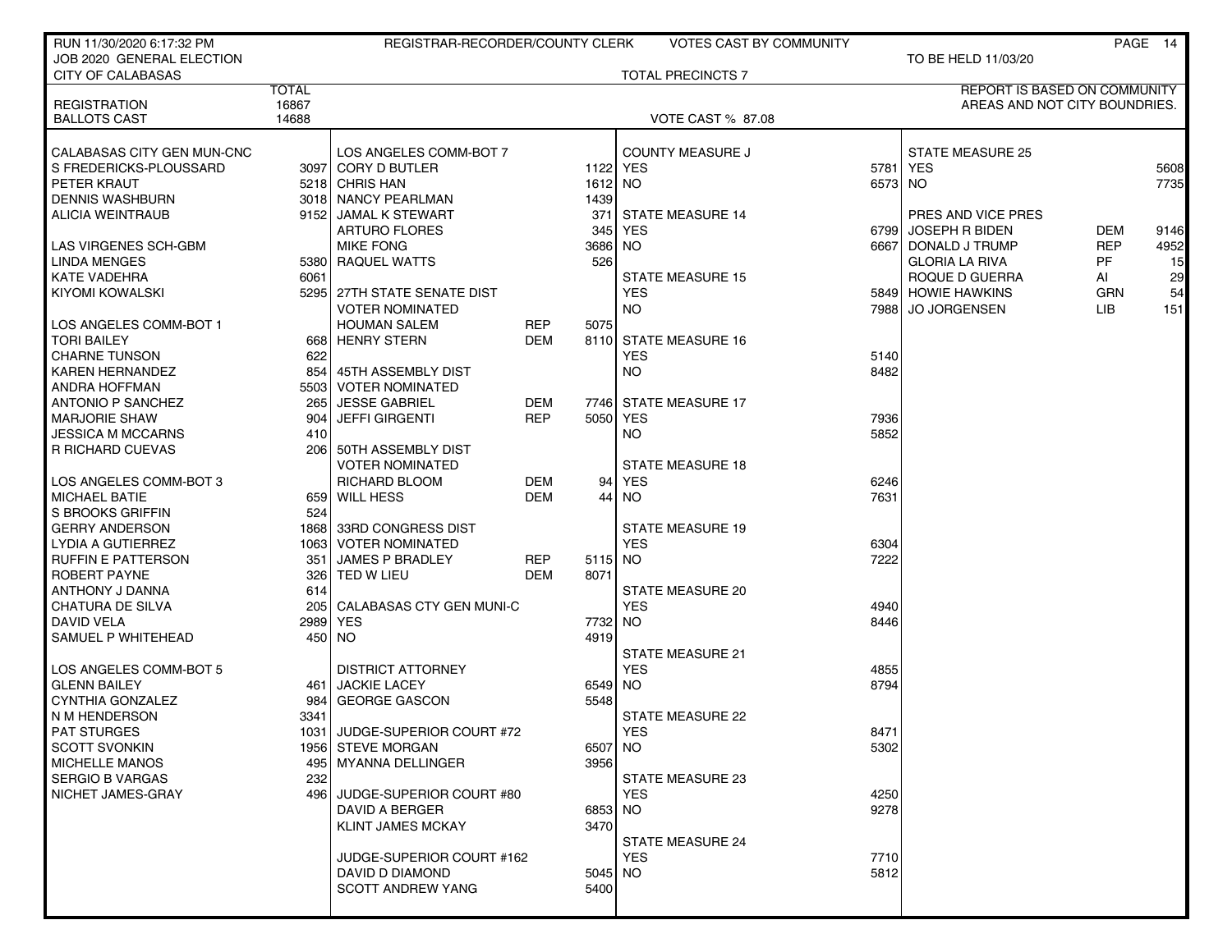| RUN 11/30/2020 6:17:32 PM  |                | REGISTRAR-RECORDER/COUNTY CLERK |            |         | <b>VOTES CAST BY COMMUNITY</b> |         |                               |            | PAGE 14 |
|----------------------------|----------------|---------------------------------|------------|---------|--------------------------------|---------|-------------------------------|------------|---------|
| JOB 2020 GENERAL ELECTION  |                |                                 |            |         |                                |         | TO BE HELD 11/03/20           |            |         |
| <b>CITY OF CALABASAS</b>   |                |                                 |            |         | <b>TOTAL PRECINCTS 7</b>       |         |                               |            |         |
|                            | <b>TOTAL</b>   |                                 |            |         |                                |         | REPORT IS BASED ON COMMUNITY  |            |         |
| <b>REGISTRATION</b>        | 16867<br>14688 |                                 |            |         |                                |         | AREAS AND NOT CITY BOUNDRIES. |            |         |
| <b>BALLOTS CAST</b>        |                |                                 |            |         | <b>VOTE CAST % 87.08</b>       |         |                               |            |         |
| CALABASAS CITY GEN MUN-CNC |                | LOS ANGELES COMM-BOT 7          |            |         | <b>COUNTY MEASURE J</b>        |         | <b>STATE MEASURE 25</b>       |            |         |
| S FREDERICKS-PLOUSSARD     |                | 3097 CORY D BUTLER              |            |         | 1122 YES                       |         | 5781 YES                      |            | 5608    |
| PETER KRAUT                |                | 5218 CHRIS HAN                  |            | 1612    | NO                             | 6573 NO |                               |            | 7735    |
| <b>DENNIS WASHBURN</b>     |                | 3018 NANCY PEARLMAN             |            | 1439    |                                |         |                               |            |         |
| <b>ALICIA WEINTRAUB</b>    |                | 9152 JAMAL K STEWART            |            | 371     | <b>STATE MEASURE 14</b>        |         | PRES AND VICE PRES            |            |         |
|                            |                | <b>ARTURO FLORES</b>            |            | 345     | <b>YES</b>                     | 67991   | JOSEPH R BIDEN                | <b>DEM</b> | 9146    |
| LAS VIRGENES SCH-GBM       |                | <b>MIKE FONG</b>                |            | 3686    | <b>NO</b>                      |         | 6667 DONALD J TRUMP           | <b>REP</b> | 4952    |
| <b>LINDA MENGES</b>        |                | 5380 RAQUEL WATTS               |            | 526     |                                |         | <b>GLORIA LA RIVA</b>         | <b>PF</b>  | 15      |
| <b>KATE VADEHRA</b>        | 6061           |                                 |            |         | <b>STATE MEASURE 15</b>        |         | ROQUE D GUERRA                | AI         | 29      |
| KIYOMI KOWALSKI            |                | 5295 27TH STATE SENATE DIST     |            |         | <b>YES</b>                     |         | 5849 HOWIE HAWKINS            | <b>GRN</b> | 54      |
|                            |                | <b>VOTER NOMINATED</b>          |            |         | NO.                            |         | 7988 JO JORGENSEN             | LIB        | 151     |
| LOS ANGELES COMM-BOT 1     |                | <b>HOUMAN SALEM</b>             | <b>REP</b> | 5075    |                                |         |                               |            |         |
| <b>TORI BAILEY</b>         |                | 668 HENRY STERN                 | <b>DEM</b> |         | 8110 STATE MEASURE 16          |         |                               |            |         |
| <b>CHARNE TUNSON</b>       | 622            |                                 |            |         | <b>YES</b>                     | 5140    |                               |            |         |
| <b>KAREN HERNANDEZ</b>     |                | 854 45TH ASSEMBLY DIST          |            |         | NO.                            | 8482    |                               |            |         |
| ANDRA HOFFMAN              |                | 5503 VOTER NOMINATED            |            |         |                                |         |                               |            |         |
| <b>ANTONIO P SANCHEZ</b>   | 265            | <b>JESSE GABRIEL</b>            | DEM        |         | 7746 STATE MEASURE 17          |         |                               |            |         |
| <b>MARJORIE SHAW</b>       | 904            | <b>JEFFI GIRGENTI</b>           | <b>REP</b> |         | 5050 YES                       | 7936    |                               |            |         |
| <b>JESSICA M MCCARNS</b>   | 410            |                                 |            |         | <b>NO</b>                      | 5852    |                               |            |         |
| <b>R RICHARD CUEVAS</b>    |                | 206 50TH ASSEMBLY DIST          |            |         |                                |         |                               |            |         |
|                            |                | <b>VOTER NOMINATED</b>          |            |         | <b>STATE MEASURE 18</b>        |         |                               |            |         |
| LOS ANGELES COMM-BOT 3     |                | <b>RICHARD BLOOM</b>            | DEM        | 94      | <b>YES</b>                     | 6246    |                               |            |         |
| <b>MICHAEL BATIE</b>       |                | 659 WILL HESS                   | <b>DEM</b> | 44      | NO.                            | 7631    |                               |            |         |
| S BROOKS GRIFFIN           | 524            |                                 |            |         |                                |         |                               |            |         |
| <b>GERRY ANDERSON</b>      |                | 1868 33RD CONGRESS DIST         |            |         | <b>STATE MEASURE 19</b>        |         |                               |            |         |
| LYDIA A GUTIERREZ          |                | 1063 VOTER NOMINATED            |            |         | <b>YES</b>                     | 6304    |                               |            |         |
| <b>RUFFIN E PATTERSON</b>  | 351            | <b>JAMES P BRADLEY</b>          | REP        | 5115    | NO                             | 7222    |                               |            |         |
| <b>ROBERT PAYNE</b>        | 326            | TED W LIEU                      | DEM        | 8071    |                                |         |                               |            |         |
| ANTHONY J DANNA            | 614            |                                 |            |         | STATE MEASURE 20               |         |                               |            |         |
| CHATURA DE SILVA           |                | 205 CALABASAS CTY GEN MUNI-C    |            |         | <b>YES</b>                     | 4940    |                               |            |         |
| DAVID VELA                 |                | 2989 YES                        |            | 7732    | <b>NO</b>                      | 8446    |                               |            |         |
| SAMUEL P WHITEHEAD         |                | 450 NO                          |            | 4919    |                                |         |                               |            |         |
|                            |                |                                 |            |         | <b>STATE MEASURE 21</b>        |         |                               |            |         |
| LOS ANGELES COMM-BOT 5     |                | <b>DISTRICT ATTORNEY</b>        |            |         | <b>YES</b>                     | 4855    |                               |            |         |
| <b>GLENN BAILEY</b>        | 461            | <b>JACKIE LACEY</b>             |            | 6549    | NO                             | 8794    |                               |            |         |
| <b>CYNTHIA GONZALEZ</b>    | 984            | <b>GEORGE GASCON</b>            |            | 5548    |                                |         |                               |            |         |
| N M HENDERSON              | 3341           |                                 |            |         | <b>STATE MEASURE 22</b>        |         |                               |            |         |
| <b>PAT STURGES</b>         |                | 1031 JUDGE-SUPERIOR COURT #72   |            |         | <b>YES</b>                     | 8471    |                               |            |         |
| <b>SCOTT SVONKIN</b>       |                | 1956 STEVE MORGAN               |            | 6507 NO |                                | 5302    |                               |            |         |
| <b>MICHELLE MANOS</b>      |                | 495   MYANNA DELLINGER          |            | 3956    |                                |         |                               |            |         |
| <b>SERGIO B VARGAS</b>     | 232            |                                 |            |         | STATE MEASURE 23               |         |                               |            |         |
| NICHET JAMES-GRAY          |                | 496 JUDGE-SUPERIOR COURT #80    |            |         | <b>YES</b>                     | 4250    |                               |            |         |
|                            |                | DAVID A BERGER                  |            | 6853 NO |                                | 9278    |                               |            |         |
|                            |                | <b>KLINT JAMES MCKAY</b>        |            | 3470    |                                |         |                               |            |         |
|                            |                |                                 |            |         | <b>STATE MEASURE 24</b>        |         |                               |            |         |
|                            |                | JUDGE-SUPERIOR COURT #162       |            |         | <b>YES</b>                     | 7710    |                               |            |         |
|                            |                | DAVID D DIAMOND                 |            | 5045 NO |                                | 5812    |                               |            |         |
|                            |                | SCOTT ANDREW YANG               |            | 5400    |                                |         |                               |            |         |
|                            |                |                                 |            |         |                                |         |                               |            |         |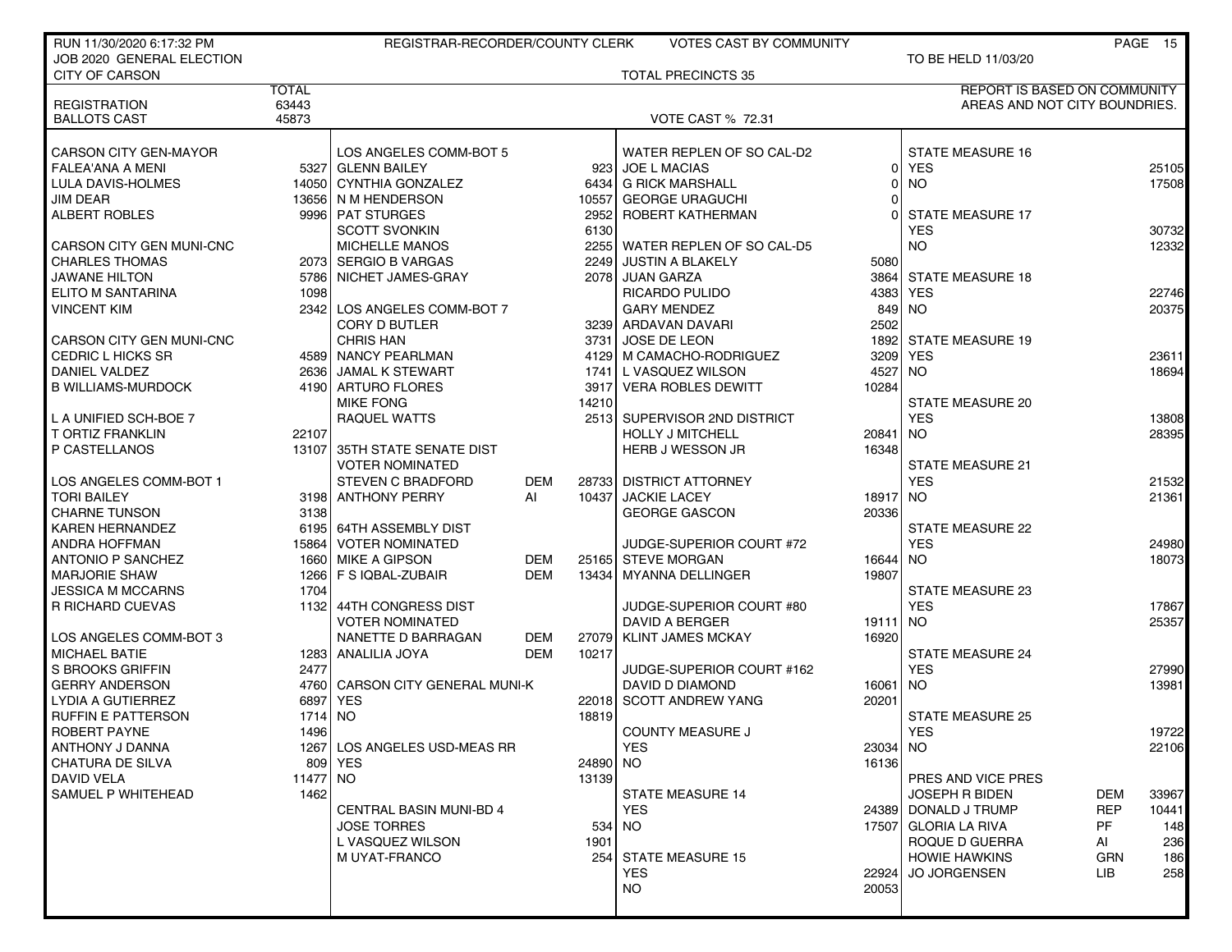| RUN 11/30/2020 6:17:32 PM |              | REGISTRAR-RECORDER/COUNTY CLERK                        |            |       | <b>VOTES CAST BY COMMUNITY</b> |          |                               |            | PAGE 15 |
|---------------------------|--------------|--------------------------------------------------------|------------|-------|--------------------------------|----------|-------------------------------|------------|---------|
| JOB 2020 GENERAL ELECTION |              |                                                        |            |       |                                |          | TO BE HELD 11/03/20           |            |         |
| <b>CITY OF CARSON</b>     |              |                                                        |            |       | <b>TOTAL PRECINCTS 35</b>      |          |                               |            |         |
|                           | <b>TOTAL</b> |                                                        |            |       |                                |          | REPORT IS BASED ON COMMUNITY  |            |         |
| <b>REGISTRATION</b>       | 63443        |                                                        |            |       |                                |          | AREAS AND NOT CITY BOUNDRIES. |            |         |
| <b>BALLOTS CAST</b>       | 45873        |                                                        |            |       | <b>VOTE CAST % 72.31</b>       |          |                               |            |         |
|                           |              |                                                        |            |       |                                |          |                               |            |         |
| CARSON CITY GEN-MAYOR     |              | LOS ANGELES COMM-BOT 5                                 |            |       | WATER REPLEN OF SO CAL-D2      |          | <b>STATE MEASURE 16</b>       |            |         |
| <b>FALEA'ANA A MENI</b>   |              | 5327 GLENN BAILEY                                      |            |       | 923 JOE L MACIAS               | οI       | <b>YES</b>                    |            | 25105   |
| LULA DAVIS-HOLMES         |              | 14050 CYNTHIA GONZALEZ                                 |            |       | 6434 G RICK MARSHALL           | 0        | NO.                           |            | 17508   |
| <b>JIM DEAR</b>           |              | 13656 N M HENDERSON                                    |            |       | 10557 GEORGE URAGUCHI          | 0        |                               |            |         |
| <b>ALBERT ROBLES</b>      |              | 9996 PAT STURGES                                       |            | 2952  | ROBERT KATHERMAN               | $\Omega$ | <b>STATE MEASURE 17</b>       |            |         |
|                           |              | <b>SCOTT SVONKIN</b>                                   |            | 6130  |                                |          | <b>YES</b>                    |            | 30732   |
| CARSON CITY GEN MUNI-CNC  |              | <b>MICHELLE MANOS</b>                                  |            |       | 2255 WATER REPLEN OF SO CAL-D5 |          | <b>NO</b>                     |            | 12332   |
| <b>CHARLES THOMAS</b>     |              | 2073 SERGIO B VARGAS                                   |            | 2249  | JUSTIN A BLAKELY               | 5080     |                               |            |         |
| JAWANE HILTON             |              | 5786 NICHET JAMES-GRAY                                 |            | 2078  | JUAN GARZA                     | 3864     | <b>STATE MEASURE 18</b>       |            |         |
| ELITO M SANTARINA         | 1098         |                                                        |            |       | RICARDO PULIDO                 |          | 4383 YES                      |            | 22746   |
| <b>VINCENT KIM</b>        |              | 2342 LOS ANGELES COMM-BOT 7                            |            |       | <b>GARY MENDEZ</b>             | 849      | <b>NO</b>                     |            | 20375   |
|                           |              | <b>CORY D BUTLER</b>                                   |            |       | 3239 ARDAVAN DAVARI            | 2502     |                               |            |         |
| CARSON CITY GEN MUNI-CNC  |              | <b>CHRIS HAN</b>                                       |            |       | 3731 JOSE DE LEON              |          | 1892 STATE MEASURE 19         |            |         |
| CEDRIC L HICKS SR         |              | 4589 NANCY PEARLMAN                                    |            |       | 4129 M CAMACHO-RODRIGUEZ       |          | 3209 YES                      |            | 23611   |
| DANIEL VALDEZ             |              | 2636 JAMAL K STEWART                                   |            |       | 1741 L VASQUEZ WILSON          | 4527     | NO.                           |            | 18694   |
| <b>B WILLIAMS-MURDOCK</b> |              | 4190 ARTURO FLORES                                     |            | 3917  | <b>VERA ROBLES DEWITT</b>      | 10284    |                               |            |         |
|                           |              | <b>MIKE FONG</b>                                       |            | 14210 |                                |          | <b>STATE MEASURE 20</b>       |            |         |
| L A UNIFIED SCH-BOE 7     |              | <b>RAQUEL WATTS</b>                                    |            |       | 2513 SUPERVISOR 2ND DISTRICT   |          | <b>YES</b>                    |            | 13808   |
| <b>T ORTIZ FRANKLIN</b>   | 22107        |                                                        |            |       | <b>HOLLY J MITCHELL</b>        | 20841    | <b>NO</b>                     |            | 28395   |
| P CASTELLANOS             |              | 13107 35TH STATE SENATE DIST<br><b>VOTER NOMINATED</b> |            |       | HERB J WESSON JR               | 16348    | <b>STATE MEASURE 21</b>       |            |         |
| LOS ANGELES COMM-BOT 1    |              | <b>STEVEN C BRADFORD</b>                               | <b>DEM</b> | 28733 | <b>DISTRICT ATTORNEY</b>       |          | <b>YES</b>                    |            | 21532   |
| TORI BAILEY               |              | 3198 ANTHONY PERRY                                     | AI         | 10437 | <b>JACKIE LACEY</b>            | 18917 NO |                               |            | 21361   |
| <b>CHARNE TUNSON</b>      | 3138         |                                                        |            |       | <b>GEORGE GASCON</b>           | 20336    |                               |            |         |
| KAREN HERNANDEZ           |              | 6195 64TH ASSEMBLY DIST                                |            |       |                                |          | <b>STATE MEASURE 22</b>       |            |         |
| <b>ANDRA HOFFMAN</b>      |              | 15864 VOTER NOMINATED                                  |            |       | JUDGE-SUPERIOR COURT #72       |          | <b>YES</b>                    |            | 24980   |
| <b>ANTONIO P SANCHEZ</b>  |              | 1660 MIKE A GIPSON                                     | <b>DEM</b> |       | 25165 STEVE MORGAN             | 16644    | <b>NO</b>                     |            | 18073   |
| <b>MARJORIE SHAW</b>      |              | 1266   F S IQBAL-ZUBAIR                                | <b>DEM</b> | 13434 | MYANNA DELLINGER               | 19807    |                               |            |         |
| <b>JESSICA M MCCARNS</b>  | 1704         |                                                        |            |       |                                |          | <b>STATE MEASURE 23</b>       |            |         |
| R RICHARD CUEVAS          | 1132         | 44TH CONGRESS DIST                                     |            |       | JUDGE-SUPERIOR COURT #80       |          | <b>YES</b>                    |            | 17867   |
|                           |              | <b>VOTER NOMINATED</b>                                 |            |       | <b>DAVID A BERGER</b>          | 19111 NO |                               |            | 25357   |
| LOS ANGELES COMM-BOT 3    |              | NANETTE D BARRAGAN                                     | DEM        | 27079 | <b>KLINT JAMES MCKAY</b>       | 16920    |                               |            |         |
| <b>MICHAEL BATIE</b>      |              | 1283 ANALILIA JOYA                                     | <b>DEM</b> | 10217 |                                |          | <b>STATE MEASURE 24</b>       |            |         |
| S BROOKS GRIFFIN          | 2477         |                                                        |            |       | JUDGE-SUPERIOR COURT #162      |          | <b>YES</b>                    |            | 27990   |
| <b>GERRY ANDERSON</b>     |              | 4760 CARSON CITY GENERAL MUNI-K                        |            |       | DAVID D DIAMOND                | 16061 NO |                               |            | 13981   |
| LYDIA A GUTIERREZ         |              | 6897 YES                                               |            |       | 22018 SCOTT ANDREW YANG        | 20201    |                               |            |         |
| <b>RUFFIN E PATTERSON</b> | 1714         | NO                                                     |            | 18819 |                                |          | <b>STATE MEASURE 25</b>       |            |         |
| ROBERT PAYNE              | 1496         |                                                        |            |       | COUNTY MEASURE J               |          | YES                           |            | 19722   |
| ANTHONY J DANNA           |              | 1267 LOS ANGELES USD-MEAS RR                           |            |       | <b>YES</b>                     | 23034 NO |                               |            | 22106   |
| CHATURA DE SILVA          |              | 809 YES                                                |            | 24890 | <b>NO</b>                      | 16136    |                               |            |         |
| DAVID VELA                | 11477 NO     |                                                        |            | 13139 |                                |          | PRES AND VICE PRES            |            |         |
| SAMUEL P WHITEHEAD        | 1462         |                                                        |            |       | <b>STATE MEASURE 14</b>        |          | <b>JOSEPH R BIDEN</b>         | DEM        | 33967   |
|                           |              | <b>CENTRAL BASIN MUNI-BD 4</b>                         |            |       | <b>YES</b>                     |          | 24389 DONALD J TRUMP          | <b>REP</b> | 10441   |
|                           |              | <b>JOSE TORRES</b>                                     |            | 534   | NO.                            |          | 17507 GLORIA LA RIVA          | PF         | 148     |
|                           |              | L VASQUEZ WILSON                                       |            | 1901  |                                |          | ROQUE D GUERRA                | AI         | 236     |
|                           |              | M UYAT-FRANCO                                          |            |       | 254 STATE MEASURE 15           |          | <b>HOWIE HAWKINS</b>          | <b>GRN</b> | 186     |
|                           |              |                                                        |            |       | <b>YES</b>                     | 22924    | <b>JO JORGENSEN</b>           | LIB.       | 258     |
|                           |              |                                                        |            |       | NO.                            | 20053    |                               |            |         |
|                           |              |                                                        |            |       |                                |          |                               |            |         |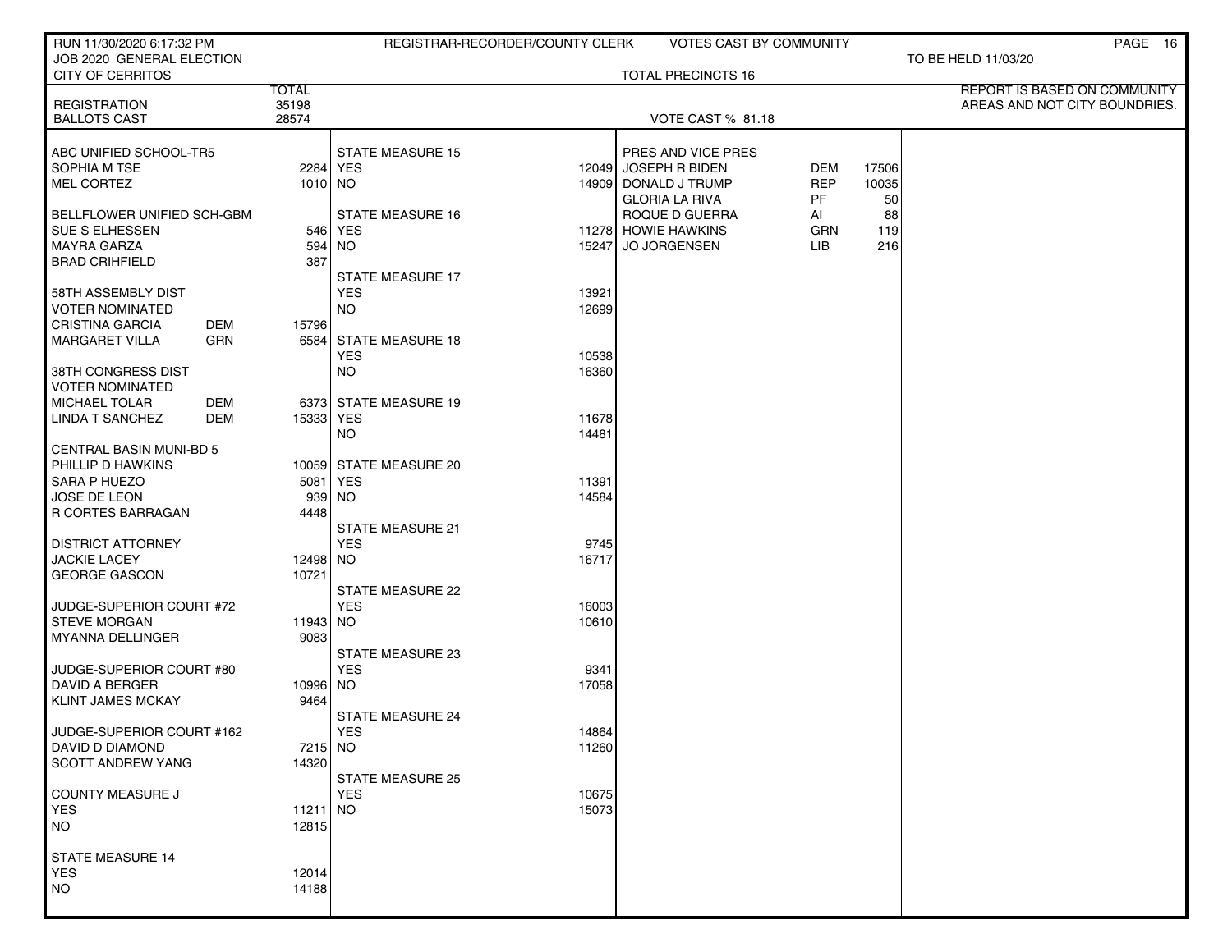| RUN 11/30/2020 6:17:32 PM           |                       | REGISTRAR-RECORDER/COUNTY CLERK                | VOTES CAST BY COMMUNITY   |            |       | PAGE 16                                                       |
|-------------------------------------|-----------------------|------------------------------------------------|---------------------------|------------|-------|---------------------------------------------------------------|
| JOB 2020 GENERAL ELECTION           |                       |                                                |                           |            |       | TO BE HELD 11/03/20                                           |
| <b>CITY OF CERRITOS</b>             |                       |                                                | <b>TOTAL PRECINCTS 16</b> |            |       |                                                               |
| <b>REGISTRATION</b>                 | <b>TOTAL</b><br>35198 |                                                |                           |            |       | REPORT IS BASED ON COMMUNITY<br>AREAS AND NOT CITY BOUNDRIES. |
| <b>BALLOTS CAST</b>                 | 28574                 |                                                | VOTE CAST % 81.18         |            |       |                                                               |
|                                     |                       |                                                |                           |            |       |                                                               |
| ABC UNIFIED SCHOOL-TR5              |                       | <b>STATE MEASURE 15</b>                        | PRES AND VICE PRES        |            |       |                                                               |
| SOPHIA M TSE                        |                       | 2284 YES                                       | 12049 JOSEPH R BIDEN      | <b>DEM</b> | 17506 |                                                               |
| MEL CORTEZ                          | 1010 NO               |                                                | 14909 DONALD J TRUMP      | <b>REP</b> | 10035 |                                                               |
|                                     |                       |                                                | <b>GLORIA LA RIVA</b>     | PF.        | 50    |                                                               |
| BELLFLOWER UNIFIED SCH-GBM          |                       | <b>STATE MEASURE 16</b>                        | ROQUE D GUERRA            | AI         | 88    |                                                               |
| <b>SUE S ELHESSEN</b>               |                       | 546 YES                                        | 11278 HOWIE HAWKINS       | <b>GRN</b> | 119   |                                                               |
| <b>MAYRA GARZA</b>                  | 594<br>387            | NO.<br>15247                                   | <b>JO JORGENSEN</b>       | LIB.       | 216   |                                                               |
| <b>BRAD CRIHFIELD</b>               |                       | <b>STATE MEASURE 17</b>                        |                           |            |       |                                                               |
| 58TH ASSEMBLY DIST                  |                       | <b>YES</b><br>13921                            |                           |            |       |                                                               |
| VOTER NOMINATED                     |                       | <b>NO</b><br>12699                             |                           |            |       |                                                               |
| CRISTINA GARCIA<br>DEM              | 15796                 |                                                |                           |            |       |                                                               |
| <b>GRN</b><br><b>MARGARET VILLA</b> | 6584                  | <b>STATE MEASURE 18</b>                        |                           |            |       |                                                               |
|                                     |                       | <b>YES</b><br>10538                            |                           |            |       |                                                               |
| 38TH CONGRESS DIST                  |                       | <b>NO</b><br>16360                             |                           |            |       |                                                               |
| <b>VOTER NOMINATED</b>              |                       |                                                |                           |            |       |                                                               |
| <b>MICHAEL TOLAR</b><br>DEM         |                       | 6373 STATE MEASURE 19                          |                           |            |       |                                                               |
| <b>LINDA T SANCHEZ</b><br>DEM       | 15333 YES             | 11678<br><b>NO</b><br>14481                    |                           |            |       |                                                               |
| <b>CENTRAL BASIN MUNI-BD 5</b>      |                       |                                                |                           |            |       |                                                               |
| PHILLIP D HAWKINS                   |                       | 10059 STATE MEASURE 20                         |                           |            |       |                                                               |
| SARA P HUEZO                        |                       | 5081 YES<br>11391                              |                           |            |       |                                                               |
| JOSE DE LEON                        | 939                   | <b>NO</b><br>14584                             |                           |            |       |                                                               |
| R CORTES BARRAGAN                   | 4448                  |                                                |                           |            |       |                                                               |
|                                     |                       | <b>STATE MEASURE 21</b>                        |                           |            |       |                                                               |
| <b>DISTRICT ATTORNEY</b>            |                       | <b>YES</b><br>9745                             |                           |            |       |                                                               |
| <b>JACKIE LACEY</b>                 | 12498 NO              | 16717                                          |                           |            |       |                                                               |
| <b>GEORGE GASCON</b>                | 10721                 | STATE MEASURE 22                               |                           |            |       |                                                               |
| JUDGE-SUPERIOR COURT #72            |                       | <b>YES</b><br>16003                            |                           |            |       |                                                               |
| <b>STEVE MORGAN</b>                 | 11943 NO              | 10610                                          |                           |            |       |                                                               |
| <b>MYANNA DELLINGER</b>             | 9083                  |                                                |                           |            |       |                                                               |
|                                     |                       | STATE MEASURE 23                               |                           |            |       |                                                               |
| JUDGE-SUPERIOR COURT #80            |                       | <b>YES</b><br>9341                             |                           |            |       |                                                               |
| <b>DAVID A BERGER</b>               | 10996 NO              | 17058                                          |                           |            |       |                                                               |
| KLINT JAMES MCKAY                   | 9464                  |                                                |                           |            |       |                                                               |
| JUDGE-SUPERIOR COURT #162           |                       | <b>STATE MEASURE 24</b><br><b>YES</b><br>14864 |                           |            |       |                                                               |
| DAVID D DIAMOND                     | 7215 NO               | 11260                                          |                           |            |       |                                                               |
| <b>SCOTT ANDREW YANG</b>            | 14320                 |                                                |                           |            |       |                                                               |
|                                     |                       | <b>STATE MEASURE 25</b>                        |                           |            |       |                                                               |
| COUNTY MEASURE J                    |                       | <b>YES</b><br>10675                            |                           |            |       |                                                               |
| <b>YES</b>                          | 11211 NO              | 15073                                          |                           |            |       |                                                               |
| NO.                                 | 12815                 |                                                |                           |            |       |                                                               |
|                                     |                       |                                                |                           |            |       |                                                               |
| STATE MEASURE 14<br><b>YES</b>      | 12014                 |                                                |                           |            |       |                                                               |
| <b>NO</b>                           | 14188                 |                                                |                           |            |       |                                                               |
|                                     |                       |                                                |                           |            |       |                                                               |
|                                     |                       |                                                |                           |            |       |                                                               |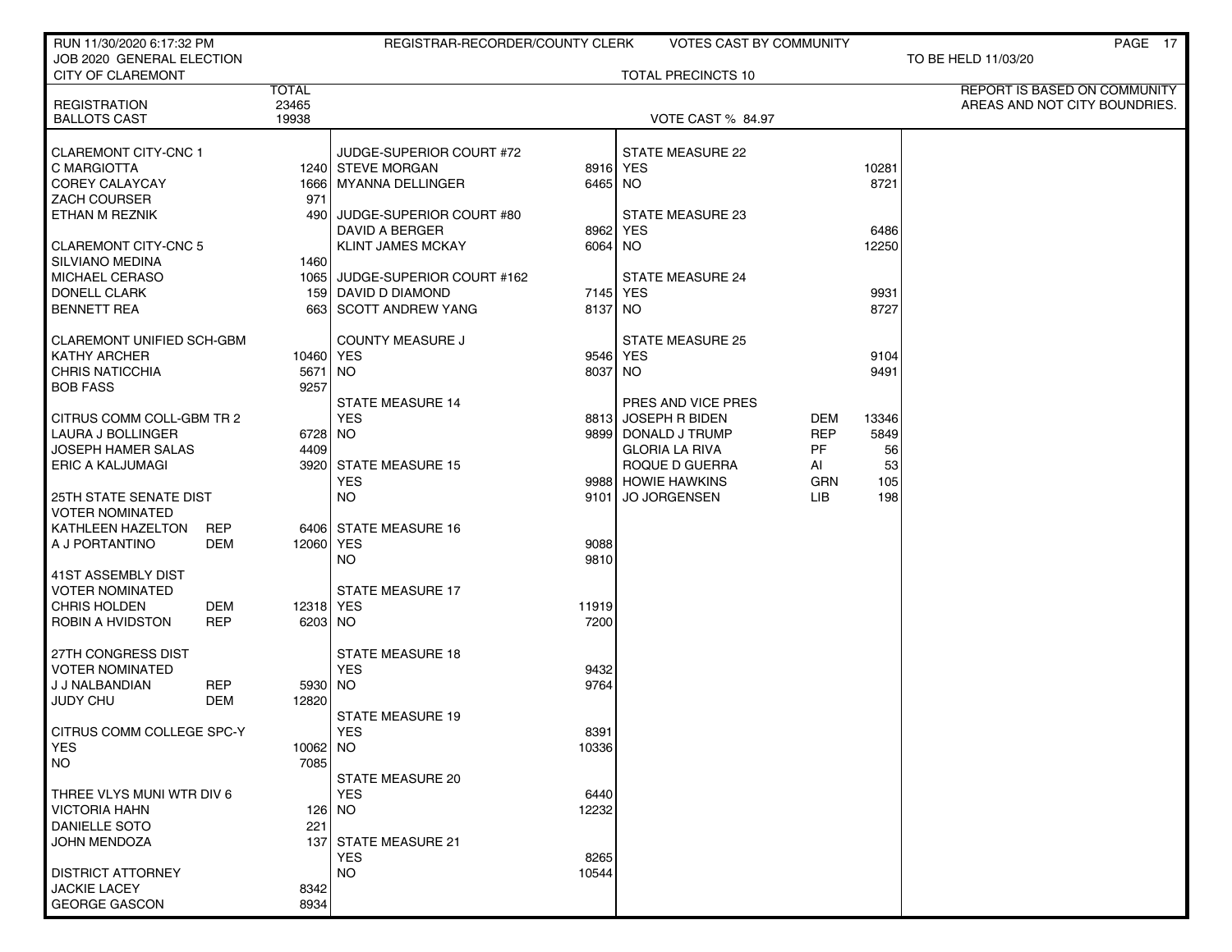| RUN 11/30/2020 6:17:32 PM                    |                       | REGISTRAR-RECORDER/COUNTY CLERK              |                     | VOTES CAST BY COMMUNITY              |                  |           | PAGE 17                       |
|----------------------------------------------|-----------------------|----------------------------------------------|---------------------|--------------------------------------|------------------|-----------|-------------------------------|
| JOB 2020 GENERAL ELECTION                    |                       |                                              |                     |                                      |                  |           | TO BE HELD 11/03/20           |
| <b>CITY OF CLAREMONT</b>                     |                       |                                              |                     | TOTAL PRECINCTS 10                   |                  |           |                               |
|                                              | <b>TOTAL</b><br>23465 |                                              |                     |                                      |                  |           | REPORT IS BASED ON COMMUNITY  |
| <b>REGISTRATION</b><br><b>BALLOTS CAST</b>   | 19938                 |                                              |                     | <b>VOTE CAST % 84.97</b>             |                  |           | AREAS AND NOT CITY BOUNDRIES. |
|                                              |                       |                                              |                     |                                      |                  |           |                               |
| <b>CLAREMONT CITY-CNC 1</b>                  |                       | JUDGE-SUPERIOR COURT #72                     |                     | STATE MEASURE 22                     |                  |           |                               |
| C MARGIOTTA                                  |                       | 1240 STEVE MORGAN                            |                     | 8916 YES                             |                  | 10281     |                               |
| <b>COREY CALAYCAY</b>                        |                       | 1666   MYANNA DELLINGER                      | 6465 NO             |                                      |                  | 8721      |                               |
| ZACH COURSER                                 |                       | 971                                          |                     |                                      |                  |           |                               |
| ETHAN M REZNIK                               |                       | 490 JUDGE-SUPERIOR COURT #80                 |                     | STATE MEASURE 23                     |                  |           |                               |
|                                              |                       | DAVID A BERGER                               |                     | 8962 YES                             |                  | 6486      |                               |
| CLAREMONT CITY-CNC 5                         |                       | <b>KLINT JAMES MCKAY</b>                     | 6064 NO             |                                      |                  | 12250     |                               |
| <b>SILVIANO MEDINA</b>                       |                       | 1460 l                                       |                     |                                      |                  |           |                               |
| MICHAEL CERASO                               |                       | 1065 JUDGE-SUPERIOR COURT #162               |                     | <b>STATE MEASURE 24</b>              |                  | 9931      |                               |
| <b>DONELL CLARK</b><br><b>BENNETT REA</b>    |                       | 159 DAVID D DIAMOND<br>663 SCOTT ANDREW YANG | 7145 YES<br>8137 NO |                                      |                  | 8727      |                               |
|                                              |                       |                                              |                     |                                      |                  |           |                               |
| <b>CLAREMONT UNIFIED SCH-GBM</b>             |                       | <b>COUNTY MEASURE J</b>                      |                     | <b>STATE MEASURE 25</b>              |                  |           |                               |
| <b>KATHY ARCHER</b>                          |                       | 10460 YES                                    |                     | 9546 YES                             |                  | 9104      |                               |
| <b>CHRIS NATICCHIA</b>                       |                       | 5671 NO                                      | 8037 NO             |                                      |                  | 9491      |                               |
| <b>BOB FASS</b>                              |                       | 9257                                         |                     |                                      |                  |           |                               |
|                                              |                       | <b>STATE MEASURE 14</b>                      |                     | PRES AND VICE PRES                   |                  |           |                               |
| CITRUS COMM COLL-GBM TR 2                    |                       | <b>YES</b>                                   |                     | 8813 JOSEPH R BIDEN                  | DEM              | 13346     |                               |
| LAURA J BOLLINGER                            |                       | 6728 NO                                      |                     | 9899 DONALD J TRUMP                  | REP              | 5849      |                               |
| JOSEPH HAMER SALAS                           |                       | 4409                                         |                     | <b>GLORIA LA RIVA</b>                | PF               | 56        |                               |
| <b>ERIC A KALJUMAGI</b>                      |                       | 3920 STATE MEASURE 15<br><b>YES</b>          |                     | ROQUE D GUERRA<br>9988 HOWIE HAWKINS | AI<br><b>GRN</b> | 53<br>105 |                               |
| <b>25TH STATE SENATE DIST</b>                |                       | NO.                                          | 9101                | <b>JO JORGENSEN</b>                  | LІВ              | 198       |                               |
| <b>VOTER NOMINATED</b>                       |                       |                                              |                     |                                      |                  |           |                               |
| KATHLEEN HAZELTON                            | <b>REP</b>            | 6406 STATE MEASURE 16                        |                     |                                      |                  |           |                               |
| A J PORTANTINO                               | DEM                   | 12060 YES                                    | 9088                |                                      |                  |           |                               |
|                                              |                       | NO.                                          | 9810                |                                      |                  |           |                               |
| 41ST ASSEMBLY DIST                           |                       |                                              |                     |                                      |                  |           |                               |
| <b>VOTER NOMINATED</b>                       |                       | <b>STATE MEASURE 17</b>                      |                     |                                      |                  |           |                               |
| <b>CHRIS HOLDEN</b>                          | DEM                   | 12318 YES                                    | 11919               |                                      |                  |           |                               |
| ROBIN A HVIDSTON                             | <b>REP</b>            | 6203 NO                                      | 7200                |                                      |                  |           |                               |
|                                              |                       |                                              |                     |                                      |                  |           |                               |
| 27TH CONGRESS DIST<br><b>VOTER NOMINATED</b> |                       | <b>STATE MEASURE 18</b><br><b>YES</b>        | 9432                |                                      |                  |           |                               |
| J J NALBANDIAN                               | <b>REP</b>            | 5930 NO                                      | 9764                |                                      |                  |           |                               |
| <b>JUDY CHU</b>                              | DEM<br>12820          |                                              |                     |                                      |                  |           |                               |
|                                              |                       | STATE MEASURE 19                             |                     |                                      |                  |           |                               |
| CITRUS COMM COLLEGE SPC-Y                    |                       | YES                                          | 8391                |                                      |                  |           |                               |
| <b>YES</b>                                   |                       | 10062 NO                                     | 10336               |                                      |                  |           |                               |
| NO                                           |                       | 7085                                         |                     |                                      |                  |           |                               |
|                                              |                       | <b>STATE MEASURE 20</b>                      |                     |                                      |                  |           |                               |
| THREE VLYS MUNI WTR DIV 6                    |                       | <b>YES</b>                                   | 6440                |                                      |                  |           |                               |
| <b>VICTORIA HAHN</b>                         |                       | 126 NO                                       | 12232               |                                      |                  |           |                               |
| DANIELLE SOTO                                |                       | 221                                          |                     |                                      |                  |           |                               |
| <b>JOHN MENDOZA</b>                          |                       | 137 STATE MEASURE 21<br><b>YES</b>           |                     |                                      |                  |           |                               |
| <b>DISTRICT ATTORNEY</b>                     |                       | <b>NO</b>                                    | 8265<br>10544       |                                      |                  |           |                               |
| <b>JACKIE LACEY</b>                          |                       | 8342                                         |                     |                                      |                  |           |                               |
| <b>GEORGE GASCON</b>                         |                       | 8934                                         |                     |                                      |                  |           |                               |
|                                              |                       |                                              |                     |                                      |                  |           |                               |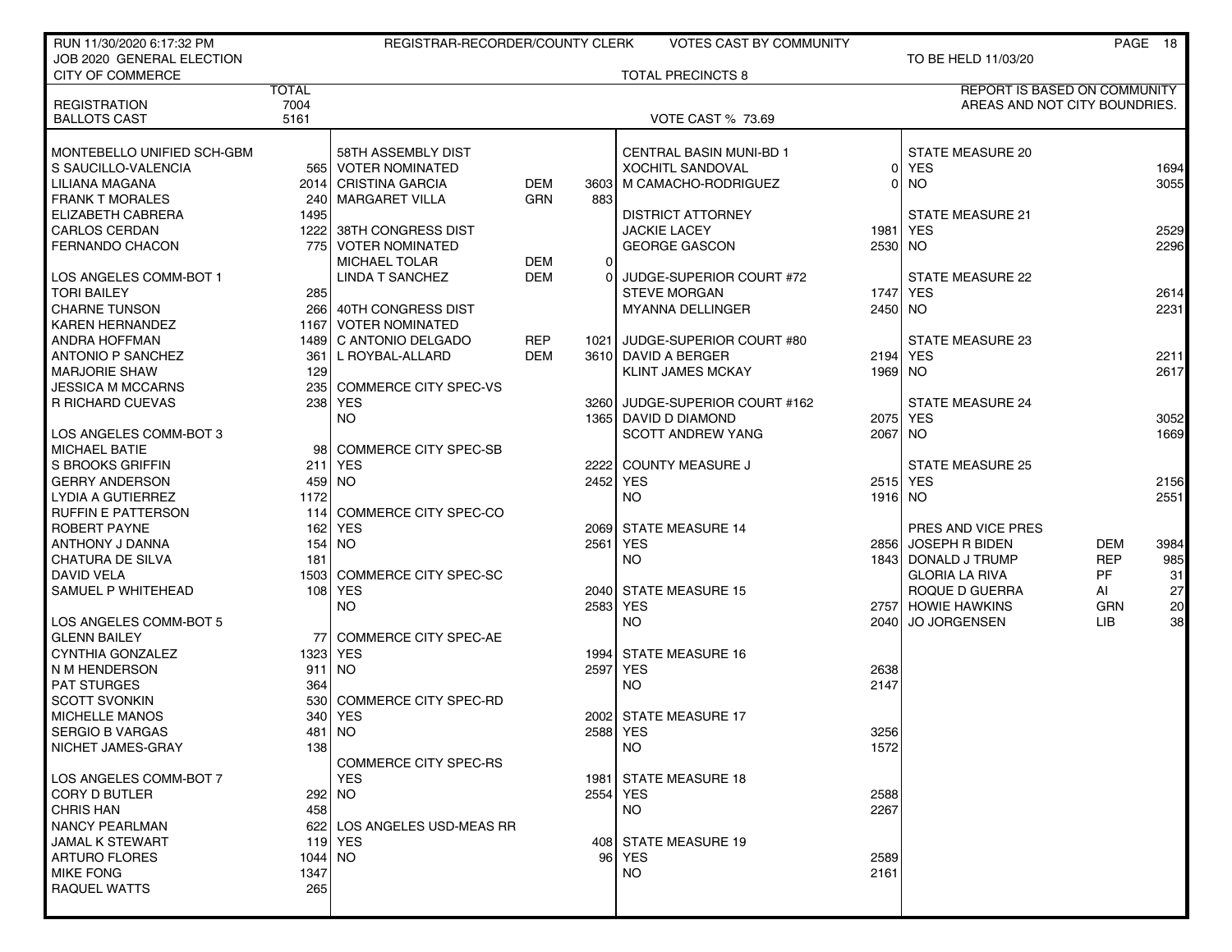| RUN 11/30/2020 6:17:32 PM                      |              | REGISTRAR-RECORDER/COUNTY CLERK |            |          | <b>VOTES CAST BY COMMUNITY</b> |           |                               |            | PAGE 18      |
|------------------------------------------------|--------------|---------------------------------|------------|----------|--------------------------------|-----------|-------------------------------|------------|--------------|
| JOB 2020 GENERAL ELECTION                      |              |                                 |            |          |                                |           | TO BE HELD 11/03/20           |            |              |
| CITY OF COMMERCE                               |              |                                 |            |          | <b>TOTAL PRECINCTS 8</b>       |           |                               |            |              |
|                                                | <b>TOTAL</b> |                                 |            |          |                                |           | REPORT IS BASED ON COMMUNITY  |            |              |
| <b>REGISTRATION</b>                            | 7004         |                                 |            |          |                                |           | AREAS AND NOT CITY BOUNDRIES. |            |              |
| <b>BALLOTS CAST</b>                            | 5161         |                                 |            |          | <b>VOTE CAST % 73.69</b>       |           |                               |            |              |
|                                                |              |                                 |            |          |                                |           |                               |            |              |
| MONTEBELLO UNIFIED SCH-GBM                     |              | 58TH ASSEMBLY DIST              |            |          | <b>CENTRAL BASIN MUNI-BD 1</b> |           | <b>STATE MEASURE 20</b>       |            |              |
| S SAUCILLO-VALENCIA                            |              | 565 VOTER NOMINATED             |            |          | <b>XOCHITL SANDOVAL</b>        | 01        | <b>YES</b>                    |            | 1694         |
| LILIANA MAGANA                                 |              | 2014 CRISTINA GARCIA            | <b>DEM</b> | 3603     | M CAMACHO-RODRIGUEZ            | ٥I        | <b>NO</b>                     |            | 3055         |
| <b>FRANK T MORALES</b>                         |              | 240   MARGARET VILLA            | GRN        | 883      |                                |           |                               |            |              |
| ELIZABETH CABRERA                              | 1495         |                                 |            |          | <b>DISTRICT ATTORNEY</b>       |           | <b>STATE MEASURE 21</b>       |            |              |
| <b>CARLOS CERDAN</b>                           | 12221        | 38TH CONGRESS DIST              |            |          | <b>JACKIE LACEY</b>            | 1981 l    | <b>YES</b>                    |            | 2529         |
| <b>FERNANDO CHACON</b>                         |              | 775 VOTER NOMINATED             |            |          | <b>GEORGE GASCON</b>           | 2530 NO   |                               |            | 2296         |
|                                                |              | <b>MICHAEL TOLAR</b>            | DEM        | $\Omega$ |                                |           |                               |            |              |
| LOS ANGELES COMM-BOT 1                         |              | <b>LINDA T SANCHEZ</b>          | <b>DEM</b> | $\Omega$ | JUDGE-SUPERIOR COURT #72       |           | STATE MEASURE 22              |            |              |
| <b>TORI BAILEY</b>                             | 285          |                                 |            |          | <b>STEVE MORGAN</b>            |           | 1747 YES                      |            | 2614         |
| <b>CHARNE TUNSON</b>                           |              | 266 40TH CONGRESS DIST          |            |          | <b>MYANNA DELLINGER</b>        | $2450$ NO |                               |            | 2231         |
| <b>KAREN HERNANDEZ</b>                         |              | 1167 VOTER NOMINATED            |            |          |                                |           |                               |            |              |
| <b>ANDRA HOFFMAN</b>                           |              | 1489 C ANTONIO DELGADO          | <b>REP</b> |          | 1021 JUDGE-SUPERIOR COURT #80  |           | STATE MEASURE 23              |            |              |
| <b>ANTONIO P SANCHEZ</b>                       | 361          | L ROYBAL-ALLARD                 | <b>DEM</b> |          | 3610 DAVID A BERGER            |           | 2194 YES                      |            | 2211         |
| <b>MARJORIE SHAW</b>                           | 129          |                                 |            |          | <b>KLINT JAMES MCKAY</b>       | 1969   NO |                               |            | 2617         |
| <b>JESSICA M MCCARNS</b>                       | 2351         | <b>COMMERCE CITY SPEC-VS</b>    |            |          |                                |           |                               |            |              |
| <b>R RICHARD CUEVAS</b>                        |              | 238 YES                         |            |          | 3260 JUDGE-SUPERIOR COURT #162 |           | <b>STATE MEASURE 24</b>       |            |              |
|                                                |              | <b>NO</b>                       |            |          | 1365 DAVID D DIAMOND           |           | 2075 YES                      |            | 3052         |
| LOS ANGELES COMM-BOT 3                         |              |                                 |            |          | <b>SCOTT ANDREW YANG</b>       | 2067 NO   |                               |            | 1669         |
| <b>MICHAEL BATIE</b>                           |              | 98 COMMERCE CITY SPEC-SB        |            |          |                                |           |                               |            |              |
| S BROOKS GRIFFIN                               |              | 211 YES                         |            | 2222     | COUNTY MEASURE J               |           | <b>STATE MEASURE 25</b>       |            |              |
|                                                | 459 NO       |                                 |            | 2452 YES |                                |           | 2515 YES                      |            |              |
| <b>GERRY ANDERSON</b>                          | 1172         |                                 |            |          | <b>NO</b>                      | 1916 NO   |                               |            | 2156<br>2551 |
| LYDIA A GUTIERREZ<br><b>RUFFIN E PATTERSON</b> |              | 114 COMMERCE CITY SPEC-CO       |            |          |                                |           |                               |            |              |
|                                                |              |                                 |            |          |                                |           |                               |            |              |
| <b>ROBERT PAYNE</b>                            |              | 162 YES                         |            |          | 2069 STATE MEASURE 14          |           | PRES AND VICE PRES            |            |              |
| ANTHONY J DANNA                                | 154 NO       |                                 |            | 2561     | <b>YES</b>                     |           | 2856 JOSEPH R BIDEN           | <b>DEM</b> | 3984         |
| CHATURA DE SILVA                               | 181          |                                 |            |          | <b>NO</b>                      |           | 1843 DONALD J TRUMP           | <b>REP</b> | 985          |
| <b>DAVID VELA</b>                              |              | 1503 COMMERCE CITY SPEC-SC      |            |          |                                |           | <b>GLORIA LA RIVA</b>         | <b>PF</b>  | 31           |
| SAMUEL P WHITEHEAD                             |              | 108 YES                         |            |          | 2040 STATE MEASURE 15          |           | ROQUE D GUERRA                | AI         | 27           |
|                                                |              | <b>NO</b>                       |            | 2583 YES |                                |           | 2757 HOWIE HAWKINS            | GRN        | 20           |
| LOS ANGELES COMM-BOT 5                         |              |                                 |            |          | <b>NO</b>                      |           | 2040 JO JORGENSEN             | <b>LIB</b> | 38           |
| <b>GLENN BAILEY</b>                            |              | 77 COMMERCE CITY SPEC-AE        |            |          |                                |           |                               |            |              |
| CYNTHIA GONZALEZ                               | 1323 YES     |                                 |            |          | 1994 STATE MEASURE 16          |           |                               |            |              |
| N M HENDERSON                                  | $911$ NO     |                                 |            | 2597     | YES                            | 2638      |                               |            |              |
| PAT STURGES                                    | 364          |                                 |            |          | <b>NO</b>                      | 2147      |                               |            |              |
| <b>SCOTT SVONKIN</b>                           |              | 530 COMMERCE CITY SPEC-RD       |            |          |                                |           |                               |            |              |
| <b>MICHELLE MANOS</b>                          |              | 340   YES                       |            |          | 2002 STATE MEASURE 17          |           |                               |            |              |
| <b>SERGIO B VARGAS</b>                         |              | 481   NO                        |            | 2588 YES |                                | 3256      |                               |            |              |
| NICHET JAMES-GRAY                              | 138          |                                 |            |          | <b>NO</b>                      | 1572      |                               |            |              |
|                                                |              | <b>COMMERCE CITY SPEC-RS</b>    |            |          |                                |           |                               |            |              |
| LOS ANGELES COMM-BOT 7                         |              | <b>YES</b>                      |            | 1981     | <b>STATE MEASURE 18</b>        |           |                               |            |              |
| <b>CORY D BUTLER</b>                           |              | 292 NO                          |            | 2554 YES |                                | 2588      |                               |            |              |
| <b>CHRIS HAN</b>                               | 458          |                                 |            |          | <b>NO</b>                      | 2267      |                               |            |              |
| <b>NANCY PEARLMAN</b>                          |              | 622 LOS ANGELES USD-MEAS RR     |            |          |                                |           |                               |            |              |
| <b>JAMAL K STEWART</b>                         |              | 119 YES                         |            |          | 408 STATE MEASURE 19           |           |                               |            |              |
| <b>ARTURO FLORES</b>                           | $1044$ NO    |                                 |            |          | 96 YES                         | 2589      |                               |            |              |
| <b>MIKE FONG</b>                               | 1347         |                                 |            |          | <b>NO</b>                      | 2161      |                               |            |              |
| <b>RAQUEL WATTS</b>                            | 265          |                                 |            |          |                                |           |                               |            |              |
|                                                |              |                                 |            |          |                                |           |                               |            |              |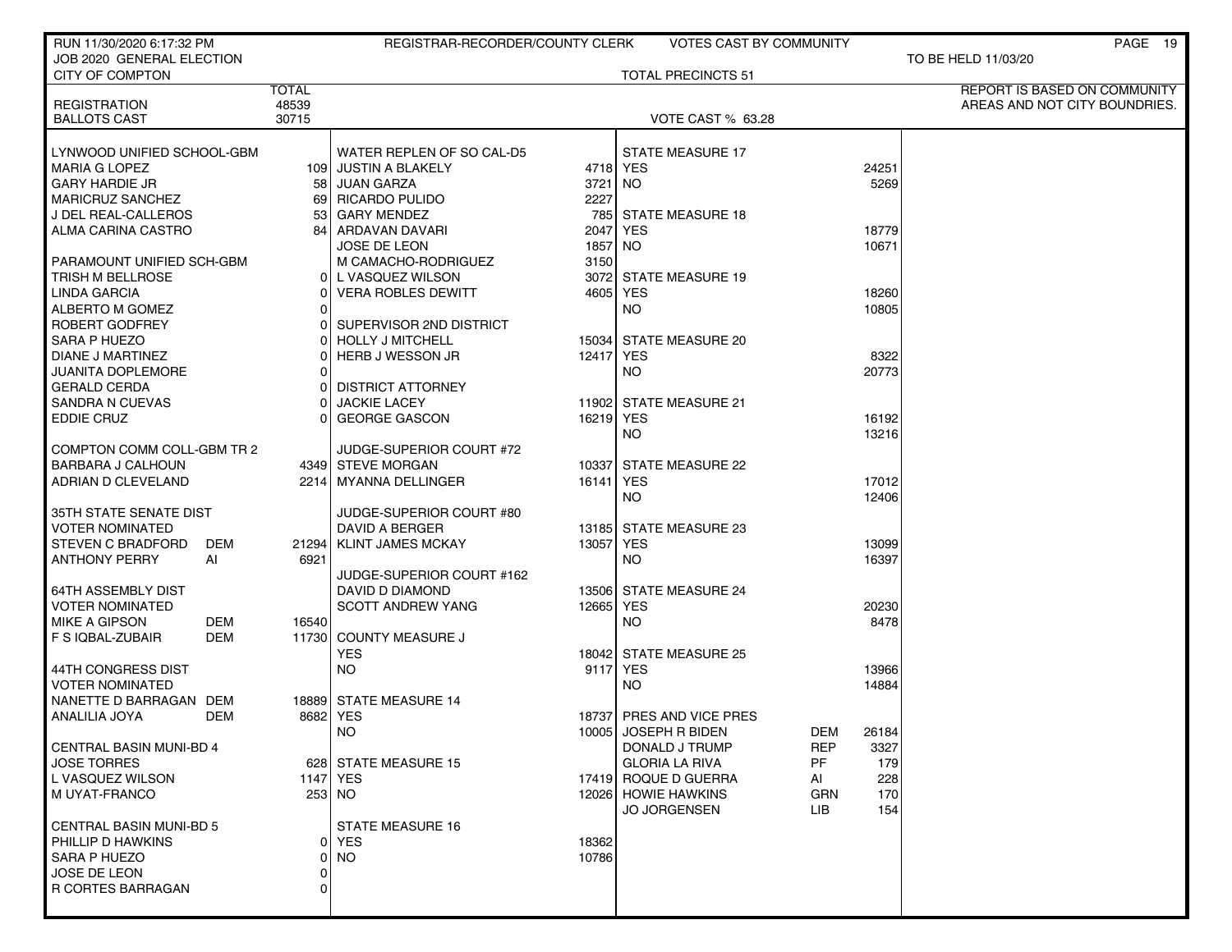| RUN 11/30/2020 6:17:32 PM                             |                | REGISTRAR-RECORDER/COUNTY CLERK               |           | VOTES CAST BY COMMUNITY           |                | PAGE 19                       |
|-------------------------------------------------------|----------------|-----------------------------------------------|-----------|-----------------------------------|----------------|-------------------------------|
| JOB 2020 GENERAL ELECTION                             |                |                                               |           |                                   |                | TO BE HELD 11/03/20           |
| <b>CITY OF COMPTON</b>                                |                |                                               |           | <b>TOTAL PRECINCTS 51</b>         |                |                               |
|                                                       | <b>TOTAL</b>   |                                               |           |                                   |                | REPORT IS BASED ON COMMUNITY  |
| <b>REGISTRATION</b><br><b>BALLOTS CAST</b>            | 48539<br>30715 |                                               |           | <b>VOTE CAST % 63.28</b>          |                | AREAS AND NOT CITY BOUNDRIES. |
|                                                       |                |                                               |           |                                   |                |                               |
| LYNWOOD UNIFIED SCHOOL-GBM                            |                | WATER REPLEN OF SO CAL-D5                     |           | <b>STATE MEASURE 17</b>           |                |                               |
| <b>MARIA G LOPEZ</b>                                  |                | 109 JUSTIN A BLAKELY                          | 4718 YES  |                                   | 24251          |                               |
| <b>GARY HARDIE JR</b>                                 |                | 58 JUAN GARZA                                 | 3721      | NO.                               | 5269           |                               |
| <b>MARICRUZ SANCHEZ</b>                               |                | 69 RICARDO PULIDO                             | 2227      |                                   |                |                               |
| J DEL REAL-CALLEROS                                   |                | 53 GARY MENDEZ                                |           | 785 STATE MEASURE 18              |                |                               |
| ALMA CARINA CASTRO                                    |                | 84 ARDAVAN DAVARI                             | 2047      | <b>YES</b>                        | 18779          |                               |
|                                                       |                | JOSE DE LEON                                  | 1857 NO   |                                   | 10671          |                               |
| PARAMOUNT UNIFIED SCH-GBM                             |                | M CAMACHO-RODRIGUEZ                           | 3150      |                                   |                |                               |
| TRISH M BELLROSE                                      |                | 0 L VASQUEZ WILSON                            | 3072      | <b>STATE MEASURE 19</b>           |                |                               |
| <b>LINDA GARCIA</b>                                   | ΩI             | <b>VERA ROBLES DEWITT</b>                     | 4605 YES  |                                   | 18260          |                               |
| ALBERTO M GOMEZ                                       | Οl             |                                               |           | NO.                               | 10805          |                               |
| ROBERT GODFREY                                        |                | SUPERVISOR 2ND DISTRICT                       |           |                                   |                |                               |
| SARA P HUEZO                                          |                | <b>HOLLY J MITCHELL</b>                       |           | 15034 STATE MEASURE 20            |                |                               |
| DIANE J MARTINEZ                                      |                | HERB J WESSON JR                              | 12417 YES |                                   | 8322           |                               |
| <b>JUANITA DOPLEMORE</b>                              | ΩI             |                                               |           | <b>NO</b>                         | 20773          |                               |
| <b>GERALD CERDA</b>                                   | ΩI             | <b>DISTRICT ATTORNEY</b>                      |           |                                   |                |                               |
| <b>SANDRA N CUEVAS</b>                                | Οl             | <b>JACKIE LACEY</b>                           |           | 11902 STATE MEASURE 21            |                |                               |
| <b>EDDIE CRUZ</b>                                     | 01             | <b>GEORGE GASCON</b>                          | 16219 YES |                                   | 16192          |                               |
|                                                       |                |                                               |           | <b>NO</b>                         | 13216          |                               |
| COMPTON COMM COLL-GBM TR 2                            |                | JUDGE-SUPERIOR COURT #72<br>4349 STEVE MORGAN |           | 10337 STATE MEASURE 22            |                |                               |
| <b>BARBARA J CALHOUN</b><br><b>ADRIAN D CLEVELAND</b> |                |                                               | 16141 YES |                                   |                |                               |
|                                                       |                | 2214   MYANNA DELLINGER                       |           | NO.                               | 17012<br>12406 |                               |
| 35TH STATE SENATE DIST                                |                | JUDGE-SUPERIOR COURT #80                      |           |                                   |                |                               |
| <b>VOTER NOMINATED</b>                                |                | DAVID A BERGER                                |           | 13185 STATE MEASURE 23            |                |                               |
| <b>STEVEN C BRADFORD</b>                              | DEM            | 21294   KLINT JAMES MCKAY                     | 13057     | <b>YES</b>                        | 13099          |                               |
| <b>ANTHONY PERRY</b>                                  | AI<br>6921     |                                               |           | <b>NO</b>                         | 16397          |                               |
|                                                       |                | JUDGE-SUPERIOR COURT #162                     |           |                                   |                |                               |
| <b>64TH ASSEMBLY DIST</b>                             |                | DAVID D DIAMOND                               |           | 13506 STATE MEASURE 24            |                |                               |
| <b>VOTER NOMINATED</b>                                |                | <b>SCOTT ANDREW YANG</b>                      | 12665     | <b>YES</b>                        | 20230          |                               |
| <b>MIKE A GIPSON</b>                                  | DEM<br>16540   |                                               |           | <b>NO</b>                         | 8478           |                               |
| F S IQBAL-ZUBAIR                                      | DEM            | 11730 COUNTY MEASURE J                        |           |                                   |                |                               |
|                                                       |                | YES.                                          |           | 18042 STATE MEASURE 25            |                |                               |
| 44TH CONGRESS DIST                                    |                | <b>NO</b>                                     | 9117      | <b>YES</b>                        | 13966          |                               |
| <b>VOTER NOMINATED</b>                                |                |                                               |           | NO                                | 14884          |                               |
| NANETTE D BARRAGAN DEM                                |                | 18889 STATE MEASURE 14                        |           |                                   |                |                               |
| ANALILIA JOYA                                         | DEM            | 8682 YES                                      |           | 18737 PRES AND VICE PRES          |                |                               |
|                                                       |                | NO.                                           |           | 10005 JOSEPH R BIDEN<br>DEM       | 26184          |                               |
| <b>CENTRAL BASIN MUNI-BD 4</b>                        |                |                                               |           | <b>REP</b><br>DONALD J TRUMP      | 3327           |                               |
| <b>JOSE TORRES</b>                                    |                | 628 STATE MEASURE 15                          |           | PF.<br><b>GLORIA LA RIVA</b>      | 179            |                               |
| L VASQUEZ WILSON                                      |                | 1147 YES                                      |           | 17419 ROQUE D GUERRA<br>AI        | 228            |                               |
| M UYAT-FRANCO                                         |                | 253 NO                                        |           | 12026 HOWIE HAWKINS<br><b>GRN</b> | 170            |                               |
|                                                       |                |                                               |           | <b>JO JORGENSEN</b><br>LIB.       | 154            |                               |
| <b>CENTRAL BASIN MUNI-BD 5</b>                        |                | STATE MEASURE 16                              |           |                                   |                |                               |
| PHILLIP D HAWKINS                                     |                | 0 YES                                         | 18362     |                                   |                |                               |
| SARA P HUEZO                                          | 01             | <b>NO</b>                                     | 10786     |                                   |                |                               |
| JOSE DE LEON<br>R CORTES BARRAGAN                     | Οl<br>$\Omega$ |                                               |           |                                   |                |                               |
|                                                       |                |                                               |           |                                   |                |                               |
|                                                       |                |                                               |           |                                   |                |                               |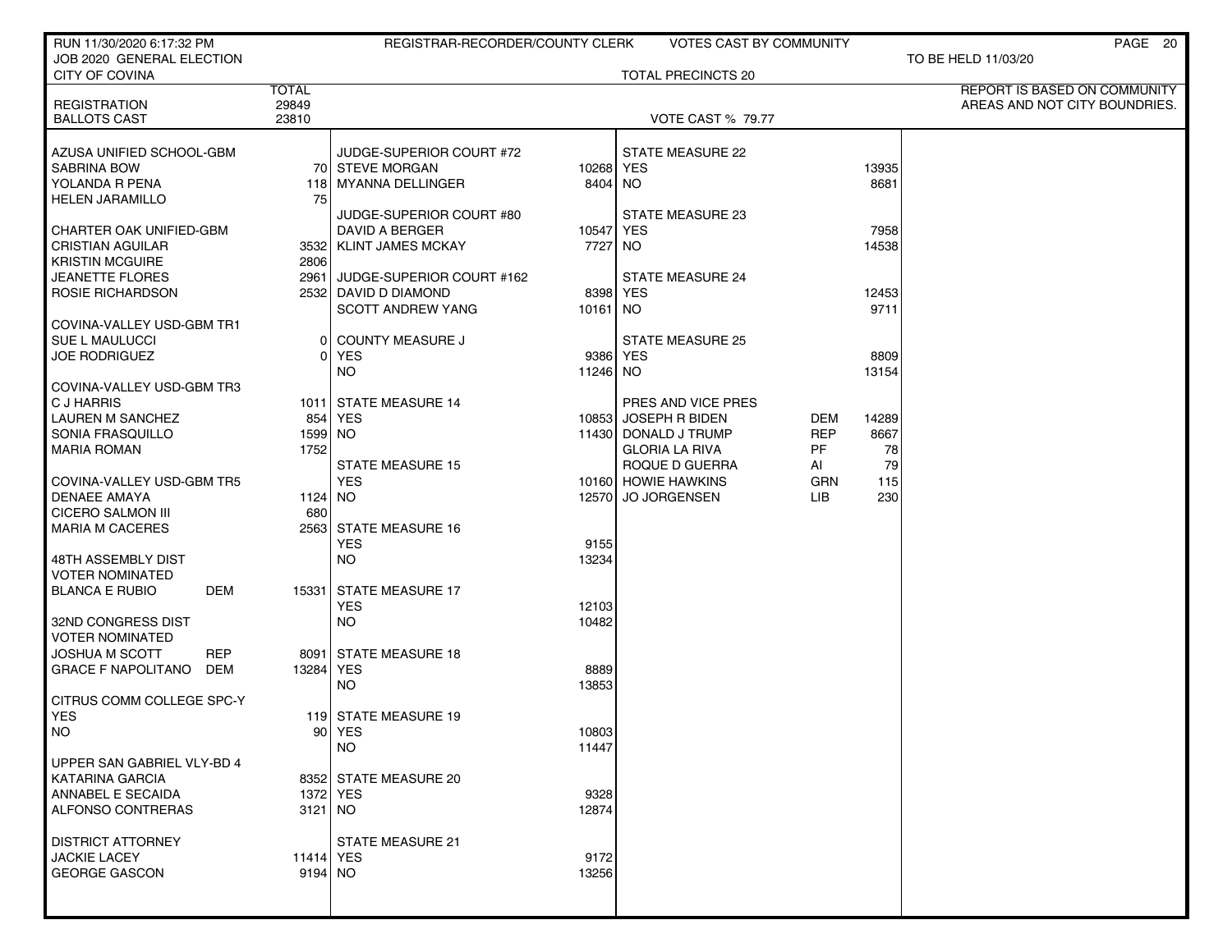| RUN 11/30/2020 6:17:32 PM        |              | REGISTRAR-RECORDER/COUNTY CLERK |           | VOTES CAST BY COMMUNITY  |            |       | PAGE 20                       |
|----------------------------------|--------------|---------------------------------|-----------|--------------------------|------------|-------|-------------------------------|
| JOB 2020 GENERAL ELECTION        |              |                                 |           |                          |            |       | TO BE HELD 11/03/20           |
| <b>CITY OF COVINA</b>            |              |                                 |           | TOTAL PRECINCTS 20       |            |       |                               |
|                                  | <b>TOTAL</b> |                                 |           |                          |            |       | REPORT IS BASED ON COMMUNITY  |
| <b>REGISTRATION</b>              | 29849        |                                 |           |                          |            |       | AREAS AND NOT CITY BOUNDRIES. |
| <b>BALLOTS CAST</b>              | 23810        |                                 |           | <b>VOTE CAST % 79.77</b> |            |       |                               |
| AZUSA UNIFIED SCHOOL-GBM         |              | JUDGE-SUPERIOR COURT #72        |           | <b>STATE MEASURE 22</b>  |            |       |                               |
| <b>SABRINA BOW</b>               |              | 70 STEVE MORGAN                 | 10268 YES |                          |            | 13935 |                               |
| YOLANDA R PENA                   | 118 I        | MYANNA DELLINGER                | 8404 NO   |                          |            | 8681  |                               |
| <b>HELEN JARAMILLO</b>           | 75           |                                 |           |                          |            |       |                               |
|                                  |              | JUDGE-SUPERIOR COURT #80        |           | <b>STATE MEASURE 23</b>  |            |       |                               |
| <b>CHARTER OAK UNIFIED-GBM</b>   |              | <b>DAVID A BERGER</b>           | 10547 YES |                          |            | 7958  |                               |
| <b>CRISTIAN AGUILAR</b>          |              | 3532 KLINT JAMES MCKAY          | 7727      | NO.                      |            | 14538 |                               |
| <b>KRISTIN MCGUIRE</b>           | 2806         |                                 |           |                          |            |       |                               |
| <b>JEANETTE FLORES</b>           | 2961         | JUDGE-SUPERIOR COURT #162       |           | <b>STATE MEASURE 24</b>  |            |       |                               |
| ROSIE RICHARDSON                 |              | 2532 DAVID D DIAMOND            |           | 8398 YES                 |            | 12453 |                               |
|                                  |              | <b>SCOTT ANDREW YANG</b>        | 10161 NO  |                          |            | 9711  |                               |
| COVINA-VALLEY USD-GBM TR1        |              |                                 |           |                          |            |       |                               |
| SUE L MAULUCCI                   | 0            | <b>COUNTY MEASURE J</b>         |           | <b>STATE MEASURE 25</b>  |            |       |                               |
| <b>JOE RODRIGUEZ</b>             | 01           | <b>YES</b>                      |           | 9386 YES                 |            | 8809  |                               |
|                                  |              | NO.                             | 11246 NO  |                          |            | 13154 |                               |
| COVINA-VALLEY USD-GBM TR3        |              |                                 |           |                          |            |       |                               |
| C J HARRIS                       |              | 1011 STATE MEASURE 14           |           | PRES AND VICE PRES       |            |       |                               |
| <b>LAUREN M SANCHEZ</b>          |              | 854 YES                         |           | 10853 JOSEPH R BIDEN     | DEM        | 14289 |                               |
| SONIA FRASQUILLO                 | 1599 NO      |                                 |           | 11430 DONALD J TRUMP     | <b>REP</b> | 8667  |                               |
| <b>MARIA ROMAN</b>               | 1752         |                                 |           | <b>GLORIA LA RIVA</b>    | PF         | 78    |                               |
|                                  |              | <b>STATE MEASURE 15</b>         |           | ROQUE D GUERRA           | AI         | 79    |                               |
| COVINA-VALLEY USD-GBM TR5        |              | <b>YES</b>                      |           | 10160 HOWIE HAWKINS      | GRN        | 115   |                               |
| <b>DENAEE AMAYA</b>              | 1124 NO      |                                 | 12570     | <b>JO JORGENSEN</b>      | LІВ        | 230   |                               |
| <b>CICERO SALMON III</b>         | 680          |                                 |           |                          |            |       |                               |
| <b>MARIA M CACERES</b>           |              | 2563 STATE MEASURE 16           |           |                          |            |       |                               |
|                                  |              | <b>YES</b>                      | 9155      |                          |            |       |                               |
| 48TH ASSEMBLY DIST               |              | <b>NO</b>                       | 13234     |                          |            |       |                               |
| <b>VOTER NOMINATED</b>           |              |                                 |           |                          |            |       |                               |
| <b>BLANCA E RUBIO</b><br>DEM     |              | 15331 STATE MEASURE 17          |           |                          |            |       |                               |
|                                  |              | <b>YES</b>                      | 12103     |                          |            |       |                               |
| 32ND CONGRESS DIST               |              | <b>NO</b>                       | 10482     |                          |            |       |                               |
| <b>VOTER NOMINATED</b>           |              |                                 |           |                          |            |       |                               |
| <b>JOSHUA M SCOTT</b><br>REP     |              | 8091 STATE MEASURE 18           |           |                          |            |       |                               |
| <b>GRACE F NAPOLITANO</b><br>DEM | 13284        | <b>YES</b>                      | 8889      |                          |            |       |                               |
|                                  |              | <b>NO</b>                       | 13853     |                          |            |       |                               |
| CITRUS COMM COLLEGE SPC-Y        |              |                                 |           |                          |            |       |                               |
| <b>YES</b>                       |              | 119 STATE MEASURE 19            |           |                          |            |       |                               |
| NO.                              |              | 90   YES                        | 10803     |                          |            |       |                               |
|                                  |              | <b>NO</b>                       | 11447     |                          |            |       |                               |
| UPPER SAN GABRIEL VLY-BD 4       |              |                                 |           |                          |            |       |                               |
| <b>KATARINA GARCIA</b>           |              | 8352 STATE MEASURE 20           |           |                          |            |       |                               |
| ANNABEL E SECAIDA                |              | 1372 YES                        | 9328      |                          |            |       |                               |
| <b>ALFONSO CONTRERAS</b>         | $3121$ NO    |                                 | 12874     |                          |            |       |                               |
|                                  |              |                                 |           |                          |            |       |                               |
| <b>DISTRICT ATTORNEY</b>         |              | STATE MEASURE 21                |           |                          |            |       |                               |
| <b>JACKIE LACEY</b>              | 11414 YES    |                                 | 9172      |                          |            |       |                               |
| <b>GEORGE GASCON</b>             | 9194 NO      |                                 | 13256     |                          |            |       |                               |
|                                  |              |                                 |           |                          |            |       |                               |
|                                  |              |                                 |           |                          |            |       |                               |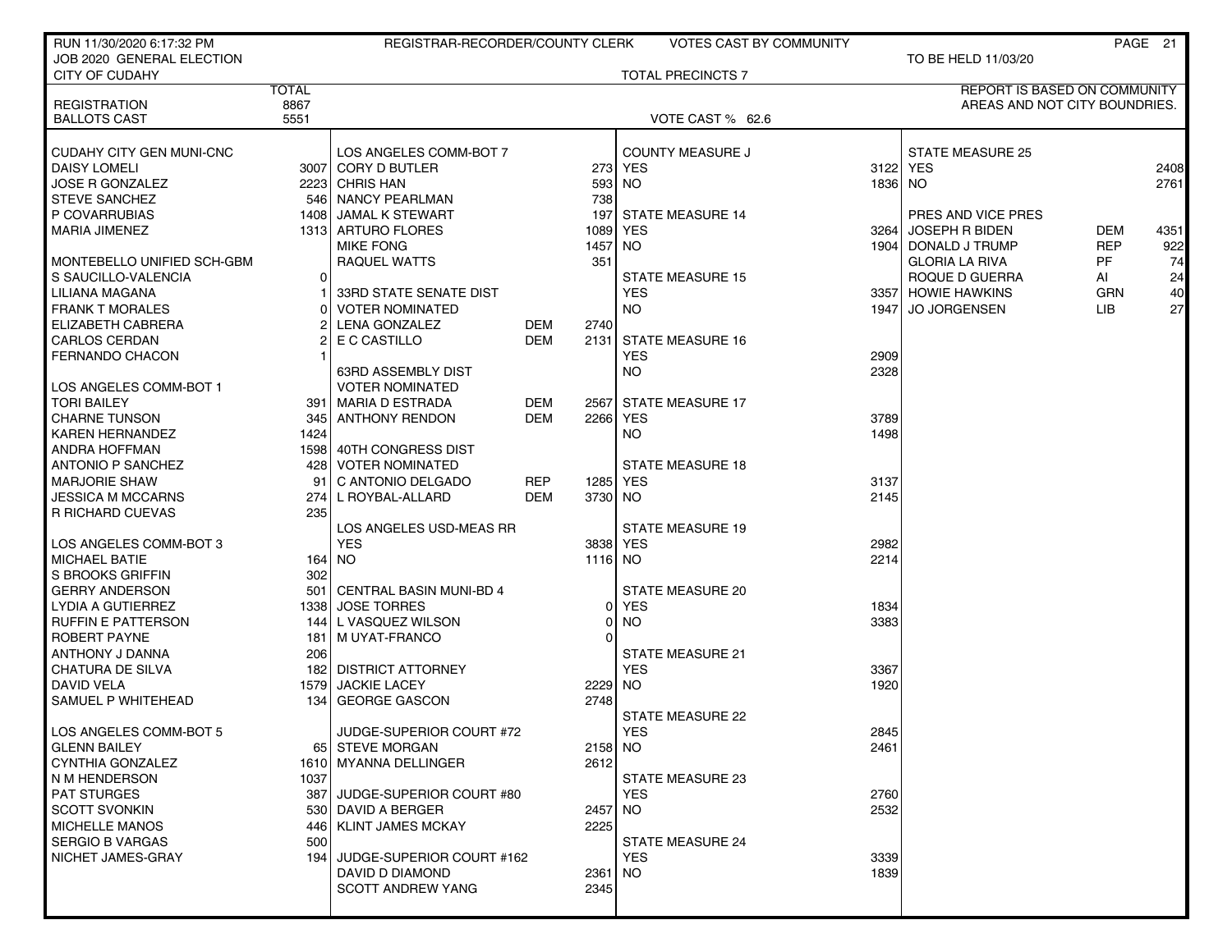| RUN 11/30/2020 6:17:32 PM                    |              | REGISTRAR-RECORDER/COUNTY CLERK                |                          |                | VOTES CAST BY COMMUNITY  |              |                                      |                          | PAGE 21     |
|----------------------------------------------|--------------|------------------------------------------------|--------------------------|----------------|--------------------------|--------------|--------------------------------------|--------------------------|-------------|
| JOB 2020 GENERAL ELECTION                    |              |                                                |                          |                |                          |              | TO BE HELD 11/03/20                  |                          |             |
| <b>CITY OF CUDAHY</b>                        |              |                                                |                          |                | <b>TOTAL PRECINCTS 7</b> |              |                                      |                          |             |
|                                              | <b>TOTAL</b> |                                                |                          |                |                          |              | REPORT IS BASED ON COMMUNITY         |                          |             |
| <b>REGISTRATION</b>                          | 8867         |                                                |                          |                |                          |              | AREAS AND NOT CITY BOUNDRIES.        |                          |             |
| <b>BALLOTS CAST</b>                          | 5551         |                                                |                          |                | VOTE CAST % 62.6         |              |                                      |                          |             |
|                                              |              |                                                |                          |                |                          |              |                                      |                          |             |
| CUDAHY CITY GEN MUNI-CNC                     |              | LOS ANGELES COMM-BOT 7                         |                          |                | <b>COUNTY MEASURE J</b>  |              | STATE MEASURE 25                     |                          |             |
| DAISY LOMELI                                 |              | 3007 CORY D BUTLER                             |                          |                | 273 YES                  |              | 3122 YES                             |                          | 2408        |
| <b>JOSE R GONZALEZ</b>                       |              | 2223 CHRIS HAN                                 |                          | 593            | NO.                      | 1836 NO      |                                      |                          | 2761        |
| <b>STEVE SANCHEZ</b>                         |              | 546 NANCY PEARLMAN<br>1408 JAMAL K STEWART     |                          | 738            |                          |              |                                      |                          |             |
| P COVARRUBIAS<br>MARIA JIMENEZ               |              |                                                |                          | 197            | <b>STATE MEASURE 14</b>  |              | PRES AND VICE PRES<br>JOSEPH R BIDEN |                          |             |
|                                              |              | 1313 ARTURO FLORES<br><b>MIKE FONG</b>         |                          | 1089<br>1457   | YES<br>NO.               | 3264         | 1904 DONALD J TRUMP                  | <b>DEM</b><br><b>REP</b> | 4351<br>922 |
| MONTEBELLO UNIFIED SCH-GBM                   |              | RAQUEL WATTS                                   |                          | 351            |                          |              | <b>GLORIA LA RIVA</b>                | <b>PF</b>                | 74          |
| S SAUCILLO-VALENCIA                          | $\Omega$     |                                                |                          |                | <b>STATE MEASURE 15</b>  |              |                                      |                          |             |
|                                              |              |                                                |                          |                |                          |              | ROQUE D GUERRA                       | AI                       | 24          |
| LILIANA MAGANA                               |              | 33RD STATE SENATE DIST                         |                          |                | <b>YES</b>               |              | 3357 HOWIE HAWKINS                   | <b>GRN</b><br><b>LIB</b> | 40<br>27    |
| <b>FRANK T MORALES</b>                       |              | <b>VOTER NOMINATED</b>                         |                          |                | NO.                      |              | 1947 JO JORGENSEN                    |                          |             |
| ELIZABETH CABRERA<br><b>CARLOS CERDAN</b>    |              | LENA GONZALEZ                                  | DEM<br><b>DEM</b>        | 2740           | <b>STATE MEASURE 16</b>  |              |                                      |                          |             |
|                                              |              | E C CASTILLO                                   |                          | 2131           |                          |              |                                      |                          |             |
| <b>FERNANDO CHACON</b>                       |              |                                                |                          |                | <b>YES</b>               | 2909<br>2328 |                                      |                          |             |
|                                              |              | 63RD ASSEMBLY DIST                             |                          |                | NO.                      |              |                                      |                          |             |
| LOS ANGELES COMM-BOT 1                       |              | <b>VOTER NOMINATED</b>                         |                          |                |                          |              |                                      |                          |             |
| <b>TORI BAILEY</b>                           |              | 391   MARIA D ESTRADA<br>345 ANTHONY RENDON    | DEM<br><b>DEM</b>        | 2567           | <b>STATE MEASURE 17</b>  |              |                                      |                          |             |
| <b>CHARNE TUNSON</b>                         |              |                                                |                          | 2266           | YES                      | 3789<br>1498 |                                      |                          |             |
| <b>KAREN HERNANDEZ</b>                       | 1424         |                                                |                          |                | NO.                      |              |                                      |                          |             |
| ANDRA HOFFMAN                                |              | 1598 40TH CONGRESS DIST<br>428 VOTER NOMINATED |                          |                | <b>STATE MEASURE 18</b>  |              |                                      |                          |             |
| ANTONIO P SANCHEZ                            |              |                                                |                          |                |                          |              |                                      |                          |             |
| <b>MARJORIE SHAW</b>                         | 91<br>274    | C ANTONIO DELGADO                              | <b>REP</b><br><b>DEM</b> | 1285           | YES                      | 3137<br>2145 |                                      |                          |             |
| <b>JESSICA M MCCARNS</b><br>R RICHARD CUEVAS | 235          | L ROYBAL-ALLARD                                |                          | 3730           | NO.                      |              |                                      |                          |             |
|                                              |              | LOS ANGELES USD-MEAS RR                        |                          |                | <b>STATE MEASURE 19</b>  |              |                                      |                          |             |
| I LOS ANGELES COMM-BOT 3                     |              | <b>YES</b>                                     |                          | 3838           | YES                      | 2982         |                                      |                          |             |
| <b>MICHAEL BATIE</b>                         |              | 164 NO                                         |                          | 1116           | NO.                      | 2214         |                                      |                          |             |
| S BROOKS GRIFFIN                             | 302          |                                                |                          |                |                          |              |                                      |                          |             |
| <b>GERRY ANDERSON</b>                        | 501          | CENTRAL BASIN MUNI-BD 4                        |                          |                | <b>STATE MEASURE 20</b>  |              |                                      |                          |             |
| LYDIA A GUTIERREZ                            |              | 1338 JOSE TORRES                               |                          | $\overline{0}$ | YES                      | 1834         |                                      |                          |             |
| <b>RUFFIN E PATTERSON</b>                    | 144          | L VASQUEZ WILSON                               |                          | 0              | <b>NO</b>                | 3383         |                                      |                          |             |
| <b>ROBERT PAYNE</b>                          | 181          | M UYAT-FRANCO                                  |                          | 0              |                          |              |                                      |                          |             |
| ANTHONY J DANNA                              | 206          |                                                |                          |                | <b>STATE MEASURE 21</b>  |              |                                      |                          |             |
| <b>CHATURA DE SILVA</b>                      |              | 182 DISTRICT ATTORNEY                          |                          |                | <b>YES</b>               | 3367         |                                      |                          |             |
| DAVID VELA                                   | 1579         | <b>JACKIE LACEY</b>                            |                          | 2229           | NO.                      | 1920         |                                      |                          |             |
| SAMUEL P WHITEHEAD                           | 134          | <b>GEORGE GASCON</b>                           |                          | 2748           |                          |              |                                      |                          |             |
|                                              |              |                                                |                          |                | STATE MEASURE 22         |              |                                      |                          |             |
| LOS ANGELES COMM-BOT 5                       |              | JUDGE-SUPERIOR COURT #72                       |                          |                | <b>YES</b>               | 2845         |                                      |                          |             |
| <b>GLENN BAILEY</b>                          |              | 65 STEVE MORGAN                                |                          | 2158 NO        |                          | 2461         |                                      |                          |             |
| CYNTHIA GONZALEZ                             |              | 1610 MYANNA DELLINGER                          |                          | 2612           |                          |              |                                      |                          |             |
| N M HENDERSON                                | 1037         |                                                |                          |                | STATE MEASURE 23         |              |                                      |                          |             |
| <b>PAT STURGES</b>                           |              | 387 JUDGE-SUPERIOR COURT #80                   |                          |                | <b>YES</b>               | 2760         |                                      |                          |             |
| <b>SCOTT SVONKIN</b>                         |              | 530 DAVID A BERGER                             |                          | 2457           | NO.                      | 2532         |                                      |                          |             |
| <b>MICHELLE MANOS</b>                        |              | 446   KLINT JAMES MCKAY                        |                          | 2225           |                          |              |                                      |                          |             |
| <b>SERGIO B VARGAS</b>                       | 500          |                                                |                          |                | <b>STATE MEASURE 24</b>  |              |                                      |                          |             |
| NICHET JAMES-GRAY                            | 194          | JUDGE-SUPERIOR COURT #162                      |                          |                | <b>YES</b>               | 3339         |                                      |                          |             |
|                                              |              | DAVID D DIAMOND                                |                          | 2361           | NO.                      | 1839         |                                      |                          |             |
|                                              |              | <b>SCOTT ANDREW YANG</b>                       |                          | 2345           |                          |              |                                      |                          |             |
|                                              |              |                                                |                          |                |                          |              |                                      |                          |             |
|                                              |              |                                                |                          |                |                          |              |                                      |                          |             |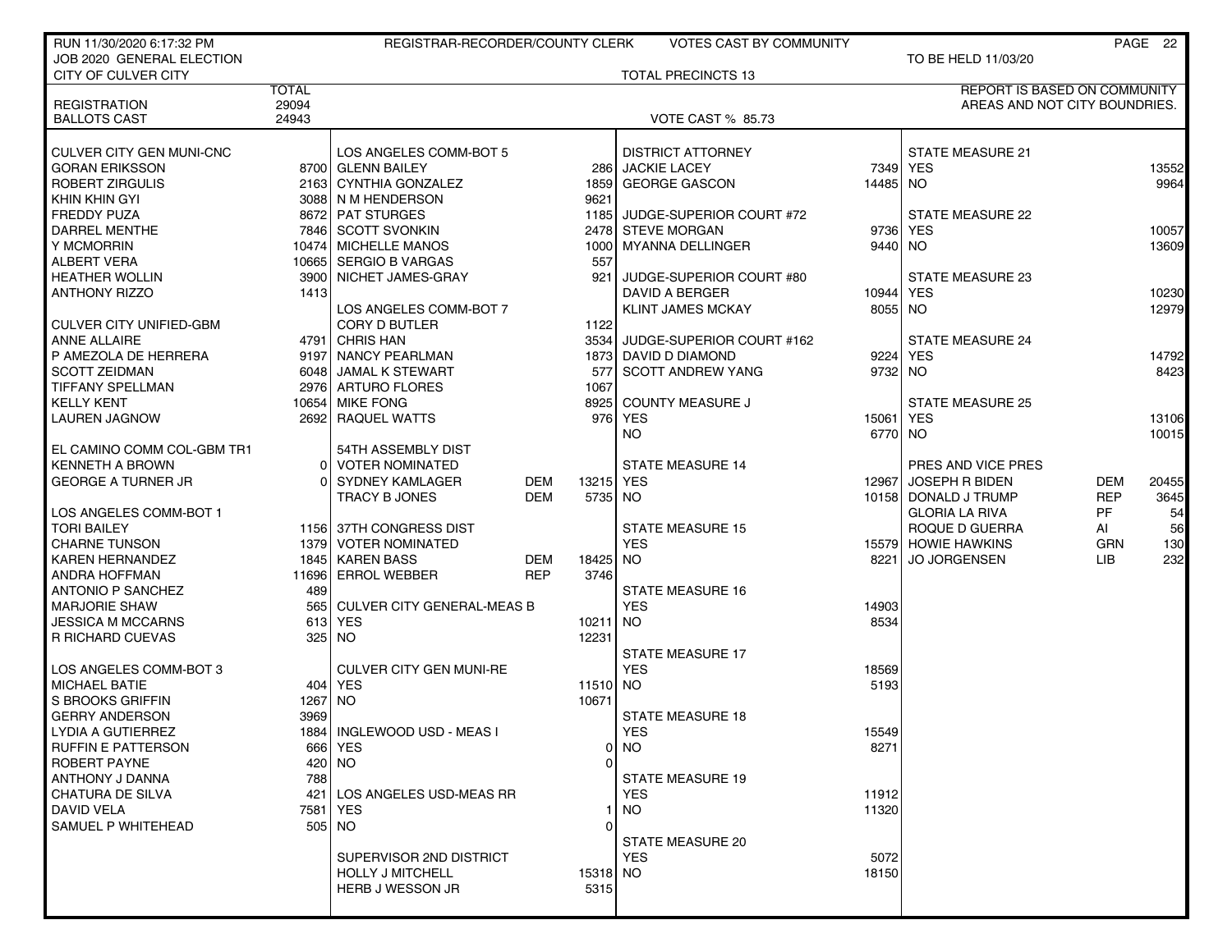| RUN 11/30/2020 6:17:32 PM      |              | REGISTRAR-RECORDER/COUNTY CLERK   |            |           | <b>VOTES CAST BY COMMUNITY</b> |          |                                     |            | PAGE 22 |
|--------------------------------|--------------|-----------------------------------|------------|-----------|--------------------------------|----------|-------------------------------------|------------|---------|
| JOB 2020 GENERAL ELECTION      |              |                                   |            |           |                                |          | TO BE HELD 11/03/20                 |            |         |
| CITY OF CULVER CITY            |              |                                   |            |           | <b>TOTAL PRECINCTS 13</b>      |          |                                     |            |         |
|                                | <b>TOTAL</b> |                                   |            |           |                                |          | <b>REPORT IS BASED ON COMMUNITY</b> |            |         |
| <b>REGISTRATION</b>            | 29094        |                                   |            |           |                                |          | AREAS AND NOT CITY BOUNDRIES.       |            |         |
| <b>BALLOTS CAST</b>            | 24943        |                                   |            |           | <b>VOTE CAST % 85.73</b>       |          |                                     |            |         |
|                                |              |                                   |            |           |                                |          |                                     |            |         |
| CULVER CITY GEN MUNI-CNC       |              | LOS ANGELES COMM-BOT 5            |            |           | <b>DISTRICT ATTORNEY</b>       |          | <b>STATE MEASURE 21</b>             |            |         |
| <b>GORAN ERIKSSON</b>          |              | 8700 GLENN BAILEY                 |            |           | 286 JACKIE LACEY               |          | 7349 YES                            |            | 13552   |
| <b>ROBERT ZIRGULIS</b>         |              | 2163 CYNTHIA GONZALEZ             |            | 1859      | <b>GEORGE GASCON</b>           | 14485 NO |                                     |            | 9964    |
| KHIN KHIN GYI                  |              | 3088 N M HENDERSON                |            | 9621      |                                |          |                                     |            |         |
| <b>FREDDY PUZA</b>             |              | 8672 PAT STURGES                  |            |           | 1185 JUDGE-SUPERIOR COURT #72  |          | STATE MEASURE 22                    |            |         |
| DARREL MENTHE                  |              | 7846 SCOTT SVONKIN                |            |           | 2478 STEVE MORGAN              | 9736     | <b>YES</b>                          |            | 10057   |
| Y MCMORRIN                     |              | 10474 MICHELLE MANOS              |            |           | 1000 MYANNA DELLINGER          | 9440 NO  |                                     |            | 13609   |
| <b>ALBERT VERA</b>             |              | 10665 SERGIO B VARGAS             |            | 557       |                                |          |                                     |            |         |
| <b>HEATHER WOLLIN</b>          |              | 3900 NICHET JAMES-GRAY            |            | 921       | JUDGE-SUPERIOR COURT #80       |          | <b>STATE MEASURE 23</b>             |            |         |
| <b>ANTHONY RIZZO</b>           | 1413         |                                   |            |           | DAVID A BERGER                 | 10944    | <b>YES</b>                          |            | 10230   |
|                                |              | LOS ANGELES COMM-BOT 7            |            |           | <b>KLINT JAMES MCKAY</b>       | 8055 NO  |                                     |            | 12979   |
| <b>CULVER CITY UNIFIED-GBM</b> |              | <b>CORY D BUTLER</b>              |            | 1122      |                                |          |                                     |            |         |
| <b>ANNE ALLAIRE</b>            |              | 4791 CHRIS HAN                    |            | 3534      | JUDGE-SUPERIOR COURT #162      |          | <b>STATE MEASURE 24</b>             |            |         |
| P AMEZOLA DE HERRERA           |              | 9197 NANCY PEARLMAN               |            |           | 1873 DAVID D DIAMOND           | 9224     | <b>YES</b>                          |            | 14792   |
| <b>SCOTT ZEIDMAN</b>           |              | 6048 JAMAL K STEWART              |            | 577       | SCOTT ANDREW YANG              | 9732 NO  |                                     |            | 8423    |
| TIFFANY SPELLMAN               |              | 2976 ARTURO FLORES                |            | 1067      |                                |          |                                     |            |         |
| <b>KELLY KENT</b>              |              | 10654 MIKE FONG                   |            |           | 8925 COUNTY MEASURE J          |          | <b>STATE MEASURE 25</b>             |            |         |
| <b>LAUREN JAGNOW</b>           |              | 2692 RAQUEL WATTS                 |            |           | 976 YES                        | 15061    | <b>YES</b>                          |            | 13106   |
|                                |              |                                   |            |           | <b>NO</b>                      | 6770 NO  |                                     |            | 10015   |
| EL CAMINO COMM COL-GBM TR1     |              | 54TH ASSEMBLY DIST                |            |           |                                |          |                                     |            |         |
| <b>KENNETH A BROWN</b>         | 01           | <b>VOTER NOMINATED</b>            |            |           | <b>STATE MEASURE 14</b>        |          | PRES AND VICE PRES                  |            |         |
| <b>GEORGE A TURNER JR</b>      | 0            | <b>SYDNEY KAMLAGER</b>            | DEM        | 13215 YES |                                | 12967    | JOSEPH R BIDEN                      | <b>DEM</b> | 20455   |
|                                |              | TRACY B JONES                     | <b>DEM</b> | 5735 NO   |                                |          | 10158 DONALD J TRUMP                | <b>REP</b> | 3645    |
| LOS ANGELES COMM-BOT 1         |              |                                   |            |           |                                |          | <b>GLORIA LA RIVA</b>               | PF         | 54      |
| <b>TORI BAILEY</b>             |              | 1156 37TH CONGRESS DIST           |            |           | <b>STATE MEASURE 15</b>        |          | ROQUE D GUERRA                      | Al         | 56      |
| <b>CHARNE TUNSON</b>           |              | 1379 VOTER NOMINATED              |            |           | <b>YES</b>                     |          | 15579 HOWIE HAWKINS                 | <b>GRN</b> | 130     |
| <b>KAREN HERNANDEZ</b>         |              | 1845 KAREN BASS                   | DEM        | 18425     | NO.                            | 8221     | <b>JO JORGENSEN</b>                 | LIB.       | 232     |
| ANDRA HOFFMAN                  |              | 11696 ERROL WEBBER                | <b>REP</b> | 3746      |                                |          |                                     |            |         |
| <b>ANTONIO P SANCHEZ</b>       | 489          |                                   |            |           | <b>STATE MEASURE 16</b>        |          |                                     |            |         |
| <b>MARJORIE SHAW</b>           | 565          | <b>CULVER CITY GENERAL-MEAS B</b> |            |           | <b>YES</b>                     | 14903    |                                     |            |         |
| <b>JESSICA M MCCARNS</b>       | 6131         | <b>YES</b>                        |            | 10211 NO  |                                | 8534     |                                     |            |         |
| <b>R RICHARD CUEVAS</b>        |              | 325   NO                          |            | 12231     |                                |          |                                     |            |         |
|                                |              |                                   |            |           | <b>STATE MEASURE 17</b>        |          |                                     |            |         |
| LOS ANGELES COMM-BOT 3         |              | <b>CULVER CITY GEN MUNI-RE</b>    |            |           | <b>YES</b>                     | 18569    |                                     |            |         |
| <b>MICHAEL BATIE</b>           |              | 404 YES                           |            | 11510 NO  |                                | 5193     |                                     |            |         |
| <b>S BROOKS GRIFFIN</b>        | 1267         | NO.                               |            | 10671     |                                |          |                                     |            |         |
| <b>GERRY ANDERSON</b>          | 3969         |                                   |            |           | <b>STATE MEASURE 18</b>        |          |                                     |            |         |
| LYDIA A GUTIERREZ              |              | 1884   INGLEWOOD USD - MEAS I     |            |           | <b>YES</b>                     | 15549    |                                     |            |         |
| <b>RUFFIN E PATTERSON</b>      |              | 666 YES                           |            |           | $0$ NO                         | 8271     |                                     |            |         |
| ROBERT PAYNE                   |              | 420 NO                            |            | O         |                                |          |                                     |            |         |
| ANTHONY J DANNA                | 788          |                                   |            |           | <b>STATE MEASURE 19</b>        |          |                                     |            |         |
| <b>CHATURA DE SILVA</b>        | 421          | LOS ANGELES USD-MEAS RR           |            |           | <b>YES</b>                     | 11912    |                                     |            |         |
| <b>DAVID VELA</b>              |              | 7581   YES                        |            |           | <b>NO</b>                      | 11320    |                                     |            |         |
| SAMUEL P WHITEHEAD             |              | 505 NO                            |            | 0         |                                |          |                                     |            |         |
|                                |              |                                   |            |           | STATE MEASURE 20               |          |                                     |            |         |
|                                |              | SUPERVISOR 2ND DISTRICT           |            |           | <b>YES</b>                     | 5072     |                                     |            |         |
|                                |              | <b>HOLLY J MITCHELL</b>           |            | 15318 NO  |                                | 18150    |                                     |            |         |
|                                |              | HERB J WESSON JR                  |            | 5315      |                                |          |                                     |            |         |
|                                |              |                                   |            |           |                                |          |                                     |            |         |
|                                |              |                                   |            |           |                                |          |                                     |            |         |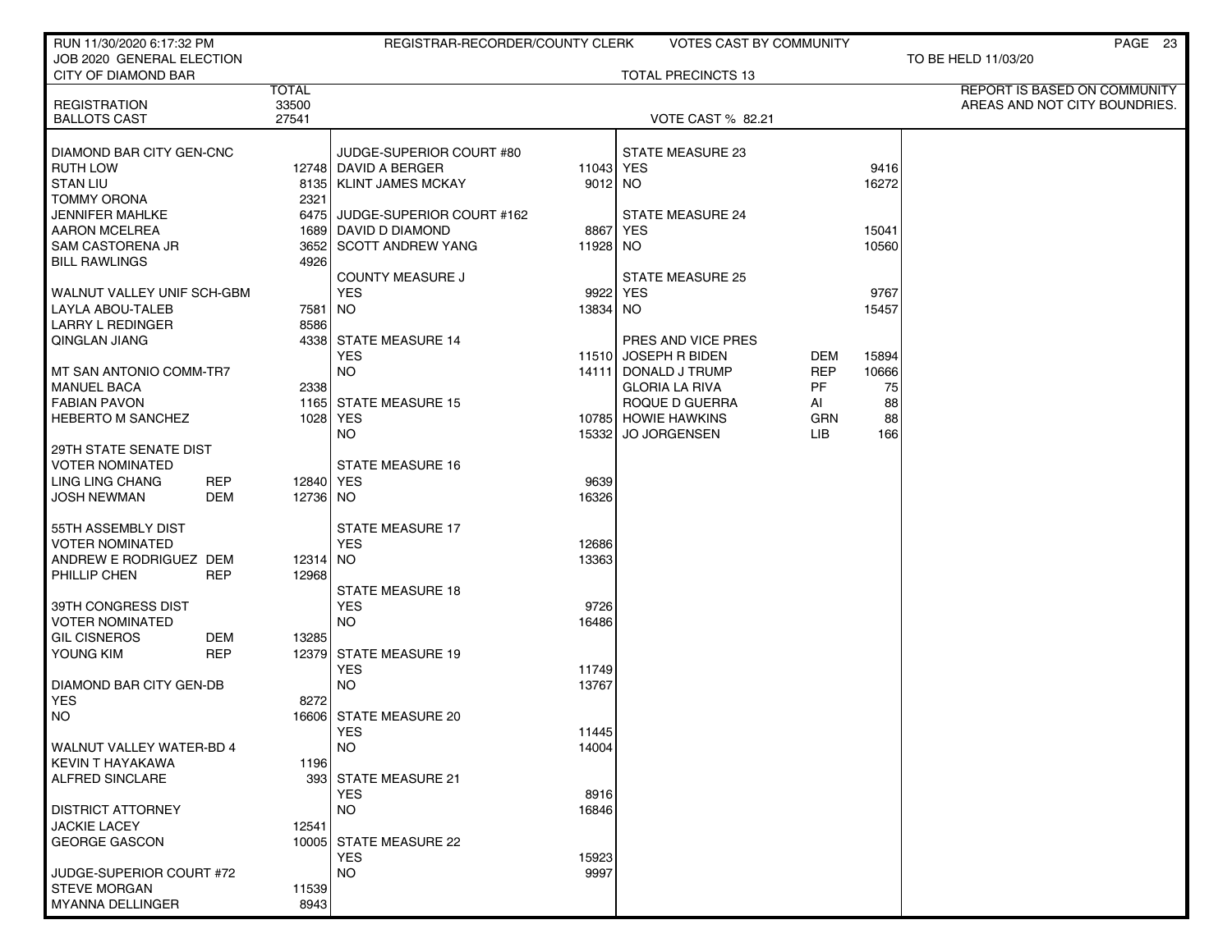| RUN 11/30/2020 6:17:32 PM                        |            |              | REGISTRAR-RECORDER/COUNTY CLERK     |               | <b>VOTES CAST BY COMMUNITY</b>             |            |       | PAGE 23                       |
|--------------------------------------------------|------------|--------------|-------------------------------------|---------------|--------------------------------------------|------------|-------|-------------------------------|
| JOB 2020 GENERAL ELECTION<br>CITY OF DIAMOND BAR |            |              |                                     |               |                                            |            |       | TO BE HELD 11/03/20           |
|                                                  |            | <b>TOTAL</b> |                                     |               | <b>TOTAL PRECINCTS 13</b>                  |            |       | REPORT IS BASED ON COMMUNITY  |
| <b>REGISTRATION</b>                              |            | 33500        |                                     |               |                                            |            |       | AREAS AND NOT CITY BOUNDRIES. |
| <b>BALLOTS CAST</b>                              |            | 27541        |                                     |               | <b>VOTE CAST % 82.21</b>                   |            |       |                               |
| DIAMOND BAR CITY GEN-CNC                         |            |              | JUDGE-SUPERIOR COURT #80            |               | STATE MEASURE 23                           |            |       |                               |
| <b>RUTH LOW</b>                                  |            |              | 12748 DAVID A BERGER                | 11043 YES     |                                            |            | 9416  |                               |
| <b>STAN LIU</b>                                  |            |              | 8135   KLINT JAMES MCKAY            | 9012 NO       |                                            |            | 16272 |                               |
| <b>TOMMY ORONA</b>                               |            | 2321         |                                     |               |                                            |            |       |                               |
| <b>JENNIFER MAHLKE</b>                           |            |              | 6475 JUDGE-SUPERIOR COURT #162      |               | <b>STATE MEASURE 24</b>                    |            |       |                               |
| <b>AARON MCELREA</b>                             |            |              | 1689 DAVID D DIAMOND                | 8867          | YES                                        |            | 15041 |                               |
| <b>SAM CASTORENA JR</b>                          |            |              | 3652 SCOTT ANDREW YANG              | 11928 NO      |                                            |            | 10560 |                               |
| <b>BILL RAWLINGS</b>                             |            | 4926         |                                     |               |                                            |            |       |                               |
|                                                  |            |              | <b>COUNTY MEASURE J</b>             |               | <b>STATE MEASURE 25</b>                    |            |       |                               |
| WALNUT VALLEY UNIF SCH-GBM                       |            |              | <b>YES</b>                          | 9922 YES      |                                            |            | 9767  |                               |
| LAYLA ABOU-TALEB                                 |            | 7581   NO    |                                     | 13834 NO      |                                            |            | 15457 |                               |
| <b>LARRY L REDINGER</b>                          |            | 8586         |                                     |               |                                            |            |       |                               |
| QINGLAN JIANG                                    |            |              | 4338 STATE MEASURE 14<br><b>YES</b> |               | PRES AND VICE PRES<br>11510 JOSEPH R BIDEN | DEM        | 15894 |                               |
| MT SAN ANTONIO COMM-TR7                          |            |              | <b>NO</b>                           |               | 14111 DONALD J TRUMP                       | <b>REP</b> | 10666 |                               |
| <b>MANUEL BACA</b>                               |            | 2338         |                                     |               | <b>GLORIA LA RIVA</b>                      | PF         | 75    |                               |
| <b>FABIAN PAVON</b>                              |            |              | 1165 STATE MEASURE 15               |               | ROQUE D GUERRA                             | AI         | 88    |                               |
| <b>HEBERTO M SANCHEZ</b>                         |            |              | 1028 YES                            |               | 10785 HOWIE HAWKINS                        | GRN        | 88    |                               |
|                                                  |            |              | NO.                                 | 15332         | JO JORGENSEN                               | LIB        | 166   |                               |
| 29TH STATE SENATE DIST                           |            |              |                                     |               |                                            |            |       |                               |
| <b>VOTER NOMINATED</b>                           |            |              | <b>STATE MEASURE 16</b>             |               |                                            |            |       |                               |
| LING LING CHANG                                  | <b>REP</b> | 12840 YES    |                                     | 9639          |                                            |            |       |                               |
| <b>JOSH NEWMAN</b>                               | DEM        | 12736 NO     |                                     | 16326         |                                            |            |       |                               |
|                                                  |            |              | <b>STATE MEASURE 17</b>             |               |                                            |            |       |                               |
| 55TH ASSEMBLY DIST<br><b>VOTER NOMINATED</b>     |            |              | <b>YES</b>                          | 12686         |                                            |            |       |                               |
| ANDREW E RODRIGUEZ DEM                           |            | 12314 NO     |                                     | 13363         |                                            |            |       |                               |
| PHILLIP CHEN                                     | <b>REP</b> | 12968        |                                     |               |                                            |            |       |                               |
|                                                  |            |              | <b>STATE MEASURE 18</b>             |               |                                            |            |       |                               |
| 39TH CONGRESS DIST                               |            |              | <b>YES</b>                          | 9726          |                                            |            |       |                               |
| <b>VOTER NOMINATED</b>                           |            |              | <b>NO</b>                           | 16486         |                                            |            |       |                               |
| <b>GIL CISNEROS</b>                              | DEM        | 13285        |                                     |               |                                            |            |       |                               |
| YOUNG KIM                                        | <b>REP</b> |              | 12379 STATE MEASURE 19              |               |                                            |            |       |                               |
|                                                  |            |              | <b>YES</b>                          | 11749         |                                            |            |       |                               |
| <b>DIAMOND BAR CITY GEN-DB</b>                   |            |              | <b>NO</b>                           | 13767         |                                            |            |       |                               |
| <b>YES</b>                                       |            | 8272         |                                     |               |                                            |            |       |                               |
| <b>NO</b>                                        |            |              | 16606 STATE MEASURE 20              |               |                                            |            |       |                               |
|                                                  |            |              | <b>YES</b>                          | 11445         |                                            |            |       |                               |
| WALNUT VALLEY WATER-BD 4                         |            |              | <b>NO</b>                           | 14004         |                                            |            |       |                               |
| KEVIN T HAYAKAWA                                 |            | 1196         |                                     |               |                                            |            |       |                               |
| ALFRED SINCLARE                                  |            |              | 393 STATE MEASURE 21<br><b>YES</b>  |               |                                            |            |       |                               |
| <b>DISTRICT ATTORNEY</b>                         |            |              | <b>NO</b>                           | 8916<br>16846 |                                            |            |       |                               |
| <b>JACKIE LACEY</b>                              |            | 12541        |                                     |               |                                            |            |       |                               |
| <b>GEORGE GASCON</b>                             |            |              | 10005 STATE MEASURE 22              |               |                                            |            |       |                               |
|                                                  |            |              | <b>YES</b>                          | 15923         |                                            |            |       |                               |
| JUDGE-SUPERIOR COURT #72                         |            |              | <b>NO</b>                           | 9997          |                                            |            |       |                               |
| <b>STEVE MORGAN</b>                              |            | 11539        |                                     |               |                                            |            |       |                               |
| <b>MYANNA DELLINGER</b>                          |            | 8943         |                                     |               |                                            |            |       |                               |
|                                                  |            |              |                                     |               |                                            |            |       |                               |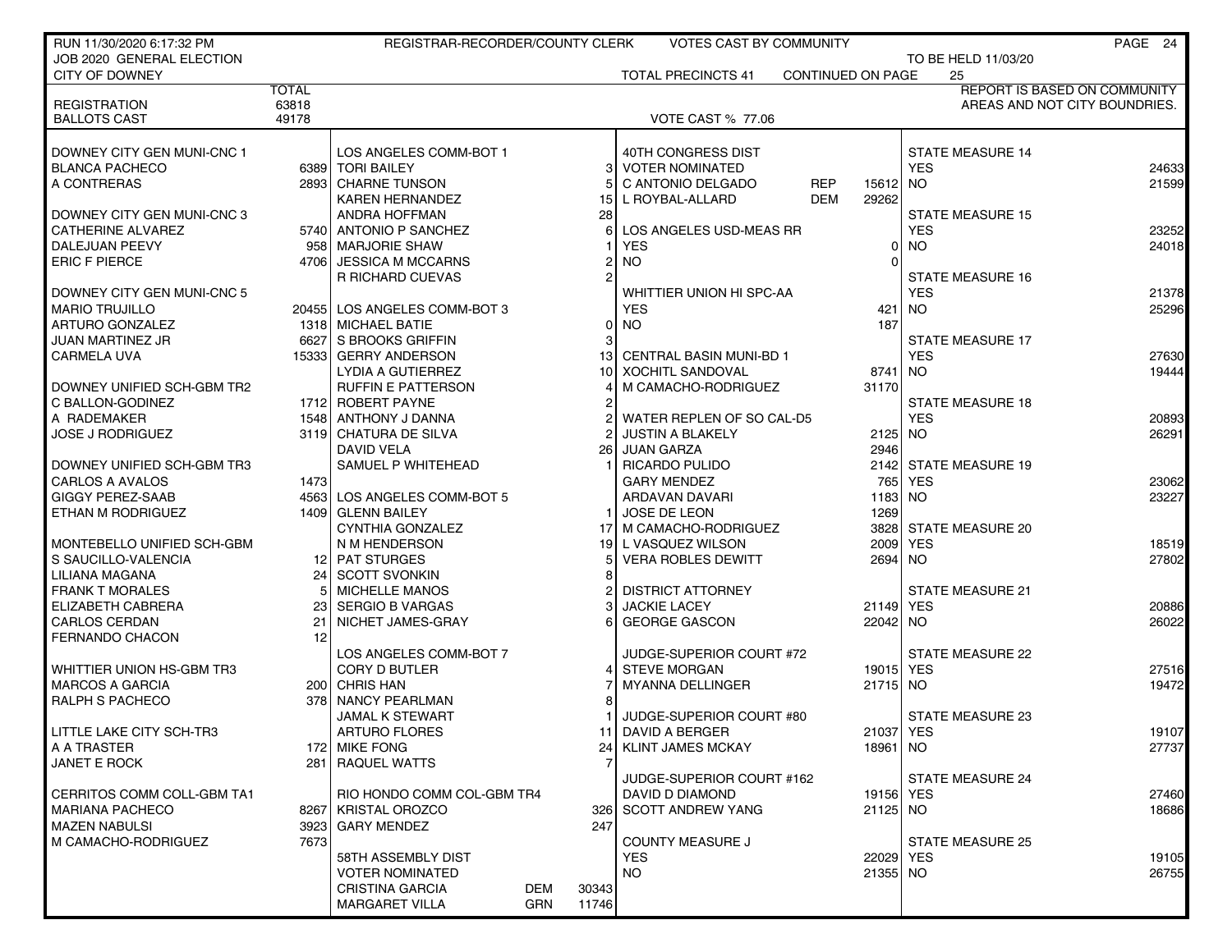| RUN 11/30/2020 6:17:32 PM  |              | REGISTRAR-RECORDER/COUNTY CLERK      |                | <b>VOTES CAST BY COMMUNITY</b> |                        |                         | PAGE 24                             |
|----------------------------|--------------|--------------------------------------|----------------|--------------------------------|------------------------|-------------------------|-------------------------------------|
| JOB 2020 GENERAL ELECTION  |              |                                      |                |                                |                        | TO BE HELD 11/03/20     |                                     |
| CITY OF DOWNEY             |              |                                      |                | <b>TOTAL PRECINCTS 41</b>      | CONTINUED ON PAGE      | 25                      |                                     |
|                            | <b>TOTAL</b> |                                      |                |                                |                        |                         | <b>REPORT IS BASED ON COMMUNITY</b> |
| <b>REGISTRATION</b>        | 63818        |                                      |                |                                |                        |                         | AREAS AND NOT CITY BOUNDRIES.       |
| <b>BALLOTS CAST</b>        | 49178        |                                      |                | <b>VOTE CAST % 77.06</b>       |                        |                         |                                     |
|                            |              |                                      |                |                                |                        |                         |                                     |
| DOWNEY CITY GEN MUNI-CNC 1 |              | LOS ANGELES COMM-BOT 1               |                | 40TH CONGRESS DIST             |                        | <b>STATE MEASURE 14</b> |                                     |
| <b>BLANCA PACHECO</b>      |              | 6389 TORI BAILEY                     | 31             | <b>VOTER NOMINATED</b>         |                        | <b>YES</b>              | 24633                               |
| A CONTRERAS                |              | 2893 CHARNE TUNSON                   |                | C ANTONIO DELGADO              | <b>REP</b><br>15612 NO |                         | 21599                               |
|                            |              | <b>KAREN HERNANDEZ</b>               | 15             | L ROYBAL-ALLARD                | DEM<br>29262           |                         |                                     |
| DOWNEY CITY GEN MUNI-CNC 3 |              | <b>ANDRA HOFFMAN</b>                 | 28             |                                |                        | <b>STATE MEASURE 15</b> |                                     |
| <b>CATHERINE ALVAREZ</b>   |              | 5740 ANTONIO P SANCHEZ               | 6              | LOS ANGELES USD-MEAS RR        |                        | <b>YES</b>              | 23252                               |
| DALEJUAN PEEVY             |              | 958   MARJORIE SHAW                  |                | <b>YES</b>                     | 0                      | <b>NO</b>               | 24018                               |
| <b>ERIC F PIERCE</b>       |              | 4706 JESSICA M MCCARNS               | 2              | <b>NO</b>                      |                        |                         |                                     |
|                            |              | R RICHARD CUEVAS                     | $\overline{2}$ |                                |                        | <b>STATE MEASURE 16</b> |                                     |
| DOWNEY CITY GEN MUNI-CNC 5 |              |                                      |                | WHITTIER UNION HI SPC-AA       |                        | <b>YES</b>              | 21378                               |
| <b>MARIO TRUJILLO</b>      |              | 20455 LOS ANGELES COMM-BOT 3         |                | <b>YES</b>                     |                        | 421   NO                | 25296                               |
| <b>ARTURO GONZALEZ</b>     |              | 1318 MICHAEL BATIE                   | 0              | <b>NO</b>                      | 187                    |                         |                                     |
| JUAN MARTINEZ JR           |              | 6627 S BROOKS GRIFFIN                |                |                                |                        | <b>STATE MEASURE 17</b> |                                     |
| CARMELA UVA                |              | 15333 GERRY ANDERSON                 |                | 13 CENTRAL BASIN MUNI-BD 1     |                        | <b>YES</b>              | 27630                               |
|                            |              | <b>LYDIA A GUTIERREZ</b>             |                | 10 XOCHITL SANDOVAL            | 8741 NO                |                         | 19444                               |
| DOWNEY UNIFIED SCH-GBM TR2 |              | <b>RUFFIN E PATTERSON</b>            |                | M CAMACHO-RODRIGUEZ            | 31170                  |                         |                                     |
| C BALLON-GODINEZ           |              | 1712 ROBERT PAYNE                    | 2              |                                |                        | <b>STATE MEASURE 18</b> |                                     |
| A RADEMAKER                |              | 1548 ANTHONY J DANNA                 |                | WATER REPLEN OF SO CAL-D5      |                        | <b>YES</b>              | 20893                               |
| <b>JOSE J RODRIGUEZ</b>    |              | 3119 CHATURA DE SILVA                |                | <b>JUSTIN A BLAKELY</b>        | 2125 NO                |                         | 26291                               |
|                            |              | DAVID VELA                           | <b>261</b>     | JUAN GARZA                     | 2946                   |                         |                                     |
| DOWNEY UNIFIED SCH-GBM TR3 |              | SAMUEL P WHITEHEAD                   |                | <b>RICARDO PULIDO</b>          |                        | 2142 STATE MEASURE 19   |                                     |
| <b>CARLOS A AVALOS</b>     | 1473         |                                      |                | <b>GARY MENDEZ</b>             | 765 l                  | <b>YES</b>              | 23062                               |
| <b>GIGGY PEREZ-SAAB</b>    |              | 4563 LOS ANGELES COMM-BOT 5          |                | ARDAVAN DAVARI                 | 1183 NO                |                         | 23227                               |
| ETHAN M RODRIGUEZ          |              | 1409 GLENN BAILEY                    |                | JOSE DE LEON                   | 1269                   |                         |                                     |
|                            |              | CYNTHIA GONZALEZ                     |                | 17 M CAMACHO-RODRIGUEZ         |                        | 3828 STATE MEASURE 20   |                                     |
| MONTEBELLO UNIFIED SCH-GBM |              | N M HENDERSON                        |                | 19 L VASQUEZ WILSON            | 2009                   | <b>YES</b>              | 18519                               |
| S SAUCILLO-VALENCIA        |              | 12 PAT STURGES                       | 5 <sup>1</sup> | <b>VERA ROBLES DEWITT</b>      | 2694 NO                |                         | 27802                               |
| LILIANA MAGANA             | 24           | SCOTT SVONKIN                        | 8              |                                |                        |                         |                                     |
| <b>FRANK T MORALES</b>     |              | <b>MICHELLE MANOS</b>                |                | <b>DISTRICT ATTORNEY</b>       |                        | <b>STATE MEASURE 21</b> |                                     |
| ELIZABETH CABRERA          | 23           | <b>SERGIO B VARGAS</b>               |                | <b>JACKIE LACEY</b>            | 21149 YES              |                         | 20886                               |
| <b>CARLOS CERDAN</b>       | 21           | NICHET JAMES-GRAY                    | 61             | <b>GEORGE GASCON</b>           | 22042 NO               |                         | 26022                               |
| <b>FERNANDO CHACON</b>     | 12           |                                      |                |                                |                        |                         |                                     |
|                            |              | LOS ANGELES COMM-BOT 7               |                | JUDGE-SUPERIOR COURT #72       |                        | <b>STATE MEASURE 22</b> |                                     |
| WHITTIER UNION HS-GBM TR3  |              | <b>CORY D BUTLER</b>                 |                | <b>STEVE MORGAN</b>            | 19015 YES              |                         | 27516                               |
| <b>MARCOS A GARCIA</b>     |              | 200 CHRIS HAN                        |                | <b>MYANNA DELLINGER</b>        | 21715 NO               |                         | 19472                               |
| <b>RALPH S PACHECO</b>     |              | 378 NANCY PEARLMAN                   |                |                                |                        |                         |                                     |
|                            |              | <b>JAMAL K STEWART</b>               |                | JUDGE-SUPERIOR COURT #80       |                        | <b>STATE MEASURE 23</b> |                                     |
| LITTLE LAKE CITY SCH-TR3   |              | <b>ARTURO FLORES</b>                 |                | 11 DAVID A BERGER              | 21037 YES              |                         | 19107                               |
| A A TRASTER                |              | 172 MIKE FONG                        | 24             | KLINT JAMES MCKAY              | 18961   NO             |                         | 27737                               |
| <b>JANET E ROCK</b>        |              | 281 RAQUEL WATTS                     |                |                                |                        |                         |                                     |
|                            |              |                                      |                | JUDGE-SUPERIOR COURT #162      |                        | <b>STATE MEASURE 24</b> |                                     |
| CERRITOS COMM COLL-GBM TA1 |              | RIO HONDO COMM COL-GBM TR4           |                | DAVID D DIAMOND                | 19156 YES              |                         | 27460                               |
| <b>MARIANA PACHECO</b>     |              | 8267   KRISTAL OROZCO                |                | 326 SCOTT ANDREW YANG          | 21125 NO               |                         | 18686                               |
| MAZEN NABULSI              |              | 3923 GARY MENDEZ                     | 247            |                                |                        |                         |                                     |
| M CAMACHO-RODRIGUEZ        | 7673         |                                      |                | <b>COUNTY MEASURE J</b>        |                        | <b>STATE MEASURE 25</b> |                                     |
|                            |              | 58TH ASSEMBLY DIST                   |                | <b>YES</b>                     | 22029 YES              |                         | 19105                               |
|                            |              | <b>VOTER NOMINATED</b>               |                | <b>NO</b>                      | 21355 NO               |                         | 26755                               |
|                            |              | <b>DEM</b><br><b>CRISTINA GARCIA</b> | 30343          |                                |                        |                         |                                     |
|                            |              | <b>MARGARET VILLA</b><br>GRN         | 11746          |                                |                        |                         |                                     |
|                            |              |                                      |                |                                |                        |                         |                                     |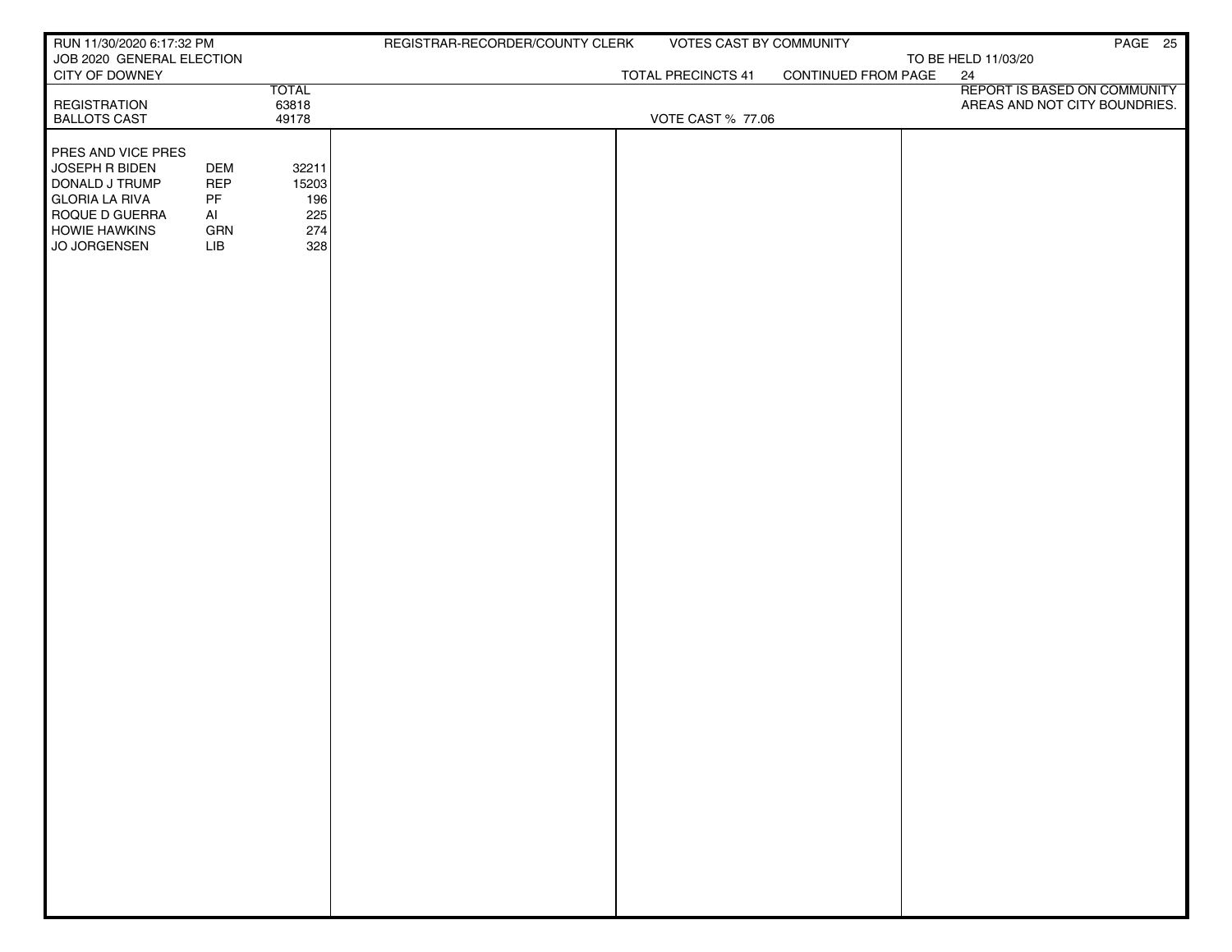| RUN 11/30/2020 6:17:32 PM                   |            |              | REGISTRAR-RECORDER/COUNTY CLERK | VOTES CAST BY COMMUNITY   |                     | PAGE 25                            |
|---------------------------------------------|------------|--------------|---------------------------------|---------------------------|---------------------|------------------------------------|
| JOB 2020 GENERAL ELECTION<br>CITY OF DOWNEY |            |              |                                 | <b>TOTAL PRECINCTS 41</b> | CONTINUED FROM PAGE | TO BE HELD 11/03/20                |
|                                             |            | <b>TOTAL</b> |                                 |                           |                     | 24<br>REPORT IS BASED ON COMMUNITY |
| <b>REGISTRATION</b>                         |            | 63818        |                                 |                           |                     | AREAS AND NOT CITY BOUNDRIES.      |
| <b>BALLOTS CAST</b>                         |            | 49178        |                                 | <b>VOTE CAST % 77.06</b>  |                     |                                    |
| <b>PRES AND VICE PRES</b>                   |            |              |                                 |                           |                     |                                    |
| JOSEPH R BIDEN                              | <b>DEM</b> | 32211        |                                 |                           |                     |                                    |
| DONALD J TRUMP                              | <b>REP</b> | 15203        |                                 |                           |                     |                                    |
| <b>GLORIA LA RIVA</b><br>ROQUE D GUERRA     | PF<br>Al   | 196<br>225   |                                 |                           |                     |                                    |
| <b>HOWIE HAWKINS</b>                        | GRN        | 274          |                                 |                           |                     |                                    |
| JO JORGENSEN                                | LIB        | 328          |                                 |                           |                     |                                    |
|                                             |            |              |                                 |                           |                     |                                    |
|                                             |            |              |                                 |                           |                     |                                    |
|                                             |            |              |                                 |                           |                     |                                    |
|                                             |            |              |                                 |                           |                     |                                    |
|                                             |            |              |                                 |                           |                     |                                    |
|                                             |            |              |                                 |                           |                     |                                    |
|                                             |            |              |                                 |                           |                     |                                    |
|                                             |            |              |                                 |                           |                     |                                    |
|                                             |            |              |                                 |                           |                     |                                    |
|                                             |            |              |                                 |                           |                     |                                    |
|                                             |            |              |                                 |                           |                     |                                    |
|                                             |            |              |                                 |                           |                     |                                    |
|                                             |            |              |                                 |                           |                     |                                    |
|                                             |            |              |                                 |                           |                     |                                    |
|                                             |            |              |                                 |                           |                     |                                    |
|                                             |            |              |                                 |                           |                     |                                    |
|                                             |            |              |                                 |                           |                     |                                    |
|                                             |            |              |                                 |                           |                     |                                    |
|                                             |            |              |                                 |                           |                     |                                    |
|                                             |            |              |                                 |                           |                     |                                    |
|                                             |            |              |                                 |                           |                     |                                    |
|                                             |            |              |                                 |                           |                     |                                    |
|                                             |            |              |                                 |                           |                     |                                    |
|                                             |            |              |                                 |                           |                     |                                    |
|                                             |            |              |                                 |                           |                     |                                    |
|                                             |            |              |                                 |                           |                     |                                    |
|                                             |            |              |                                 |                           |                     |                                    |
|                                             |            |              |                                 |                           |                     |                                    |
|                                             |            |              |                                 |                           |                     |                                    |
|                                             |            |              |                                 |                           |                     |                                    |
|                                             |            |              |                                 |                           |                     |                                    |
|                                             |            |              |                                 |                           |                     |                                    |
|                                             |            |              |                                 |                           |                     |                                    |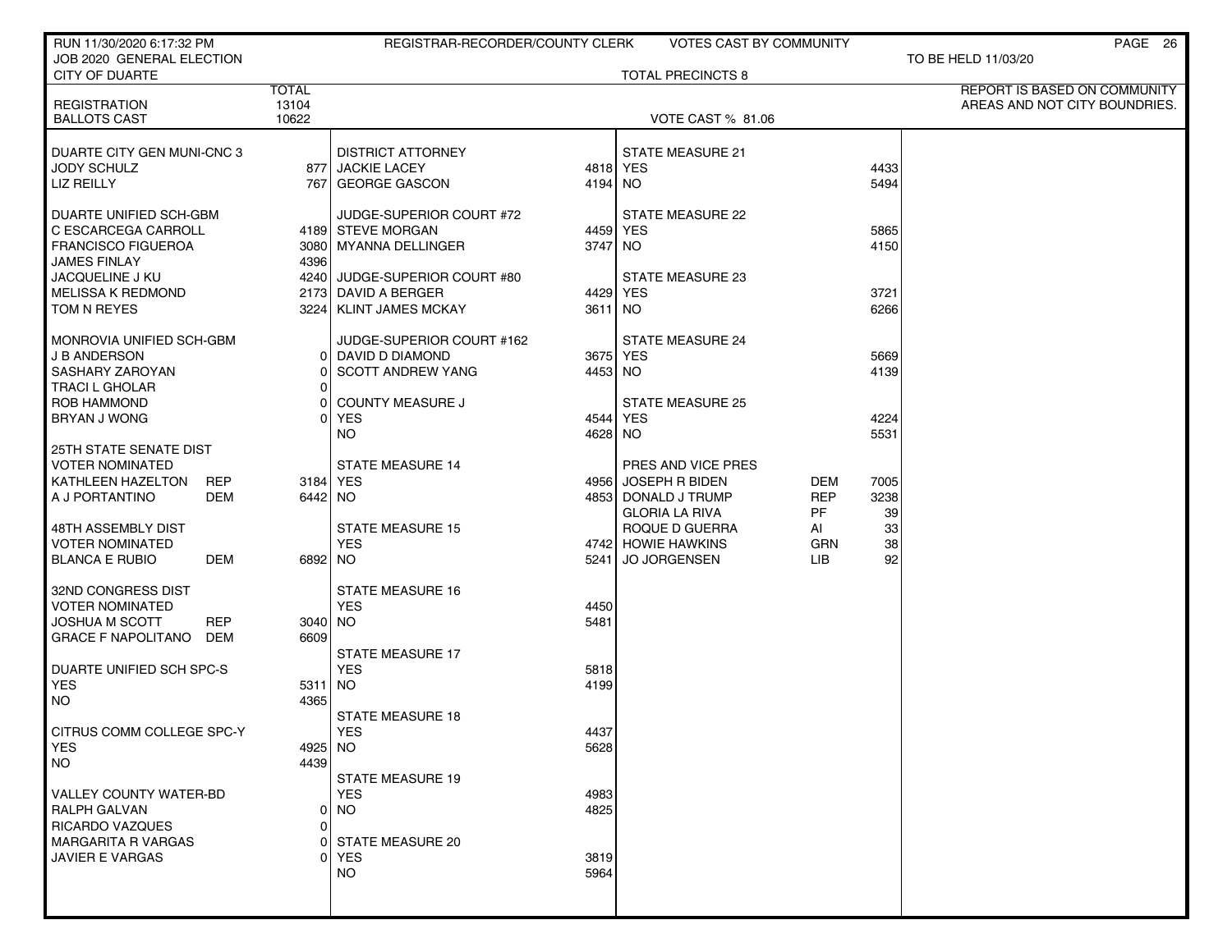| RUN 11/30/2020 6:17:32 PM                               |                | REGISTRAR-RECORDER/COUNTY CLERK            |                     | VOTES CAST BY COMMUNITY                 |                  |              | PAGE 26                       |
|---------------------------------------------------------|----------------|--------------------------------------------|---------------------|-----------------------------------------|------------------|--------------|-------------------------------|
| JOB 2020 GENERAL ELECTION<br><b>CITY OF DUARTE</b>      |                |                                            |                     | <b>TOTAL PRECINCTS 8</b>                |                  |              | TO BE HELD 11/03/20           |
|                                                         | <b>TOTAL</b>   |                                            |                     |                                         |                  |              | REPORT IS BASED ON COMMUNITY  |
| <b>REGISTRATION</b><br><b>BALLOTS CAST</b>              | 13104<br>10622 |                                            |                     | VOTE CAST % 81.06                       |                  |              | AREAS AND NOT CITY BOUNDRIES. |
|                                                         |                |                                            |                     |                                         |                  |              |                               |
| DUARTE CITY GEN MUNI-CNC 3                              |                | <b>DISTRICT ATTORNEY</b>                   |                     | <b>STATE MEASURE 21</b>                 |                  |              |                               |
| JODY SCHULZ<br><b>LIZ REILLY</b>                        |                | 877 JACKIE LACEY<br>767 GEORGE GASCON      | 4818 YES<br>4194 NO |                                         |                  | 4433<br>5494 |                               |
|                                                         |                |                                            |                     |                                         |                  |              |                               |
| DUARTE UNIFIED SCH-GBM                                  |                | JUDGE-SUPERIOR COURT #72                   |                     | <b>STATE MEASURE 22</b>                 |                  |              |                               |
| C ESCARCEGA CARROLL<br><b>FRANCISCO FIGUEROA</b>        |                | 4189 STEVE MORGAN<br>3080 MYANNA DELLINGER | 4459 YES<br>3747 NO |                                         |                  | 5865<br>4150 |                               |
| JAMES FINLAY                                            | 4396           |                                            |                     |                                         |                  |              |                               |
| <b>JACQUELINE J KU</b>                                  |                | 4240 JUDGE-SUPERIOR COURT #80              |                     | <b>STATE MEASURE 23</b>                 |                  |              |                               |
| <b>MELISSA K REDMOND</b>                                |                | 2173 DAVID A BERGER                        | 4429 YES            |                                         |                  | 3721         |                               |
| TOM N REYES                                             |                | 3224   KLINT JAMES MCKAY                   | 3611 NO             |                                         |                  | 6266         |                               |
| MONROVIA UNIFIED SCH-GBM                                |                | JUDGE-SUPERIOR COURT #162                  |                     | <b>STATE MEASURE 24</b>                 |                  |              |                               |
| <b>J B ANDERSON</b>                                     |                | 0 DAVID D DIAMOND                          | 3675 YES            |                                         |                  | 5669         |                               |
| SASHARY ZAROYAN<br><b>TRACI L GHOLAR</b>                | 0              | <b>SCOTT ANDREW YANG</b>                   | 4453 NO             |                                         |                  | 4139         |                               |
| <b>ROB HAMMOND</b>                                      |                | <b>COUNTY MEASURE J</b>                    |                     | <b>STATE MEASURE 25</b>                 |                  |              |                               |
| <b>BRYAN J WONG</b>                                     |                | <b>YES</b>                                 | 4544 YES            |                                         |                  | 4224         |                               |
|                                                         |                | NO.                                        | 4628 NO             |                                         |                  | 5531         |                               |
| <b>25TH STATE SENATE DIST</b><br><b>VOTER NOMINATED</b> |                | <b>STATE MEASURE 14</b>                    |                     | PRES AND VICE PRES                      |                  |              |                               |
| KATHLEEN HAZELTON<br><b>REP</b>                         | 3184 YES       |                                            |                     | 4956 JOSEPH R BIDEN                     | DEM              | 7005         |                               |
| A J PORTANTINO<br>DEM                                   | 6442 NO        |                                            |                     | 4853 DONALD J TRUMP                     | <b>REP</b>       | 3238         |                               |
| 48TH ASSEMBLY DIST                                      |                | <b>STATE MEASURE 15</b>                    |                     | <b>GLORIA LA RIVA</b><br>ROQUE D GUERRA | PF               | 39<br>33     |                               |
| <b>VOTER NOMINATED</b>                                  |                | <b>YES</b>                                 |                     | 4742 HOWIE HAWKINS                      | AI<br><b>GRN</b> | 38           |                               |
| <b>BLANCA E RUBIO</b><br>DEM                            | 6892 NO        |                                            |                     | 5241 JO JORGENSEN                       | LIB              | 92           |                               |
|                                                         |                |                                            |                     |                                         |                  |              |                               |
| 32ND CONGRESS DIST<br>VOTER NOMINATED                   |                | <b>STATE MEASURE 16</b><br><b>YES</b>      | 4450                |                                         |                  |              |                               |
| JOSHUA M SCOTT<br><b>REP</b>                            | 3040 NO        |                                            | 5481                |                                         |                  |              |                               |
| <b>GRACE F NAPOLITANO</b><br>DEM                        | 6609           |                                            |                     |                                         |                  |              |                               |
| DUARTE UNIFIED SCH SPC-S                                |                | <b>STATE MEASURE 17</b><br><b>YES</b>      | 5818                |                                         |                  |              |                               |
| <b>YES</b>                                              | 5311 NO        |                                            | 4199                |                                         |                  |              |                               |
| NO.                                                     | 4365           |                                            |                     |                                         |                  |              |                               |
|                                                         |                | <b>STATE MEASURE 18</b>                    |                     |                                         |                  |              |                               |
| CITRUS COMM COLLEGE SPC-Y<br><b>YES</b>                 | 4925 NO        | YES                                        | 4437<br>5628        |                                         |                  |              |                               |
| NO.                                                     | 4439           |                                            |                     |                                         |                  |              |                               |
|                                                         |                | <b>STATE MEASURE 19</b>                    |                     |                                         |                  |              |                               |
| VALLEY COUNTY WATER-BD<br><b>RALPH GALVAN</b>           | $\Omega$       | <b>YES</b><br><b>NO</b>                    | 4983<br>4825        |                                         |                  |              |                               |
| RICARDO VAZQUES                                         | O              |                                            |                     |                                         |                  |              |                               |
| <b>MARGARITA R VARGAS</b>                               |                | STATE MEASURE 20                           |                     |                                         |                  |              |                               |
| <b>JAVIER E VARGAS</b>                                  |                | <b>YES</b>                                 | 3819                |                                         |                  |              |                               |
|                                                         |                | <b>NO</b>                                  | 5964                |                                         |                  |              |                               |
|                                                         |                |                                            |                     |                                         |                  |              |                               |
|                                                         |                |                                            |                     |                                         |                  |              |                               |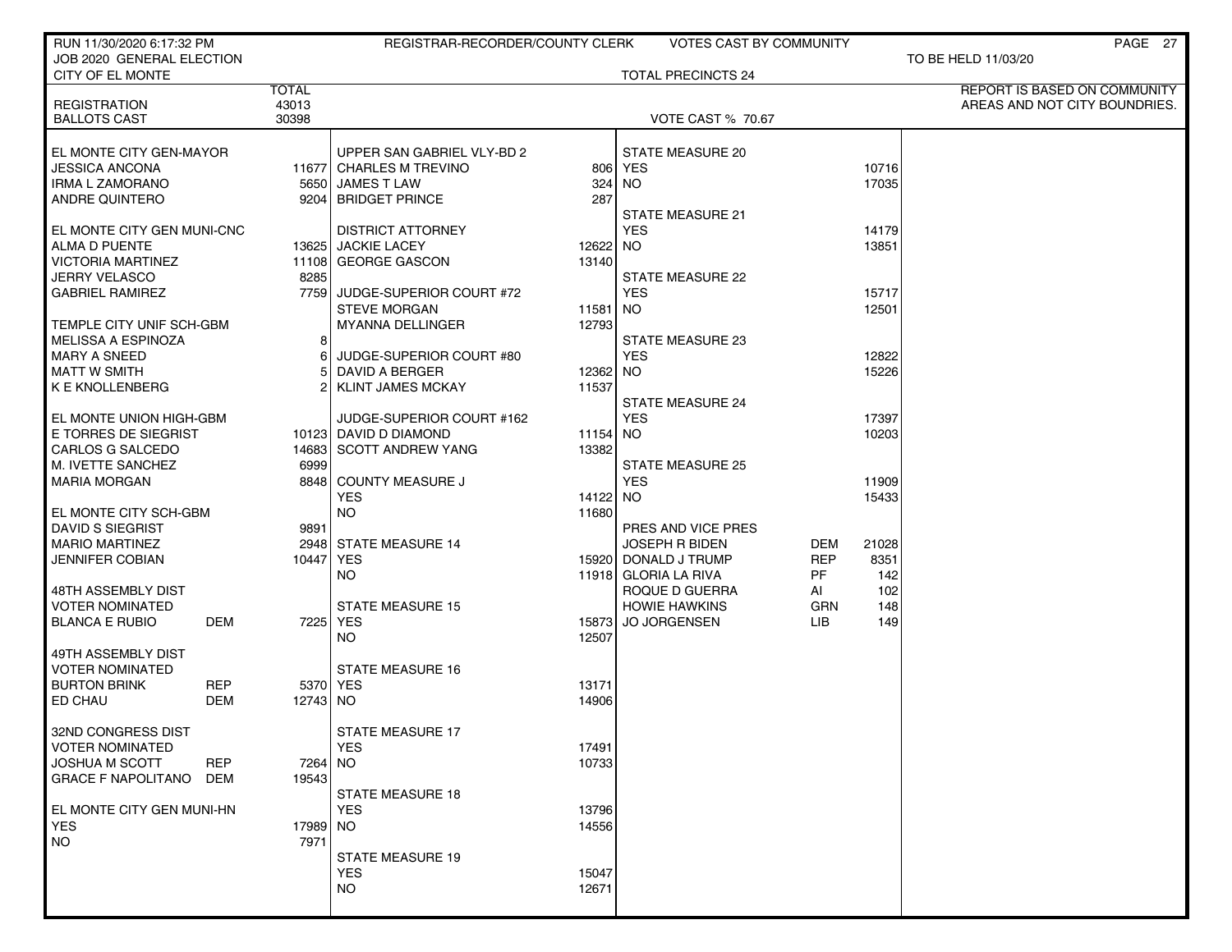| RUN 11/30/2020 6:17:32 PM                                     |                | REGISTRAR-RECORDER/COUNTY CLERK |                | <b>VOTES CAST BY COMMUNITY</b>                |            |               | PAGE 27                       |
|---------------------------------------------------------------|----------------|---------------------------------|----------------|-----------------------------------------------|------------|---------------|-------------------------------|
| JOB 2020 GENERAL ELECTION                                     |                |                                 |                |                                               |            |               | TO BE HELD 11/03/20           |
| CITY OF EL MONTE                                              | <b>TOTAL</b>   |                                 |                | <b>TOTAL PRECINCTS 24</b>                     |            |               | REPORT IS BASED ON COMMUNITY  |
| <b>REGISTRATION</b>                                           | 43013          |                                 |                |                                               |            |               | AREAS AND NOT CITY BOUNDRIES. |
| <b>BALLOTS CAST</b>                                           | 30398          |                                 |                | <b>VOTE CAST % 70.67</b>                      |            |               |                               |
|                                                               |                |                                 |                |                                               |            |               |                               |
| EL MONTE CITY GEN-MAYOR                                       |                | UPPER SAN GABRIEL VLY-BD 2      |                | <b>STATE MEASURE 20</b>                       |            |               |                               |
| <b>JESSICA ANCONA</b>                                         |                | 11677 CHARLES M TREVINO         |                | 806 YES                                       |            | 10716         |                               |
| <b>IRMA L ZAMORANO</b>                                        |                | 5650 JAMES T LAW                | 324            | NO.                                           |            | 17035         |                               |
| ANDRE QUINTERO                                                |                | 9204 BRIDGET PRINCE             | 287            |                                               |            |               |                               |
|                                                               |                |                                 |                | STATE MEASURE 21                              |            |               |                               |
| EL MONTE CITY GEN MUNI-CNC                                    |                | <b>DISTRICT ATTORNEY</b>        |                | <b>YES</b>                                    |            | 14179         |                               |
| ALMA D PUENTE<br><b>VICTORIA MARTINEZ</b>                     |                | 13625 JACKIE LACEY              | 12622          | NO.                                           |            | 13851         |                               |
| <b>JERRY VELASCO</b>                                          | 8285           | 11108 GEORGE GASCON             | 13140          | <b>STATE MEASURE 22</b>                       |            |               |                               |
| <b>GABRIEL RAMIREZ</b>                                        |                | 7759 JUDGE-SUPERIOR COURT #72   |                | <b>YES</b>                                    |            | 15717         |                               |
|                                                               |                | <b>STEVE MORGAN</b>             | 11581 NO       |                                               |            | 12501         |                               |
| TEMPLE CITY UNIF SCH-GBM                                      |                | MYANNA DELLINGER                | 12793          |                                               |            |               |                               |
| <b>MELISSA A ESPINOZA</b>                                     | 8 <sup>1</sup> |                                 |                | STATE MEASURE 23                              |            |               |                               |
| <b>MARY A SNEED</b>                                           | 6              | JUDGE-SUPERIOR COURT #80        |                | <b>YES</b>                                    |            | 12822         |                               |
| <b>MATT W SMITH</b>                                           | 5.             | DAVID A BERGER                  | 12362 NO       |                                               |            | 15226         |                               |
| <b>K E KNOLLENBERG</b>                                        | 2١             | KLINT JAMES MCKAY               | 11537          |                                               |            |               |                               |
|                                                               |                |                                 |                | <b>STATE MEASURE 24</b>                       |            |               |                               |
| EL MONTE UNION HIGH-GBM                                       |                | JUDGE-SUPERIOR COURT #162       |                | <b>YES</b>                                    |            | 17397         |                               |
| E TORRES DE SIEGRIST                                          |                | 10123 DAVID D DIAMOND           | 11154 NO       |                                               |            | 10203         |                               |
| CARLOS G SALCEDO                                              |                | 14683 SCOTT ANDREW YANG         | 13382          |                                               |            |               |                               |
| M. IVETTE SANCHEZ                                             | 6999           |                                 |                | <b>STATE MEASURE 25</b>                       |            |               |                               |
| <b>MARIA MORGAN</b>                                           |                | 8848 COUNTY MEASURE J           |                | <b>YES</b>                                    |            | 11909         |                               |
|                                                               |                | <b>YES</b>                      | 14122 NO       |                                               |            | 15433         |                               |
| EL MONTE CITY SCH-GBM                                         |                | <b>NO</b>                       | 11680          |                                               |            |               |                               |
| <b>DAVID S SIEGRIST</b>                                       | 9891           |                                 |                | PRES AND VICE PRES                            |            |               |                               |
| <b>MARIO MARTINEZ</b><br><b>JENNIFER COBIAN</b>               | 10447   YES    | 2948 STATE MEASURE 14           |                | <b>JOSEPH R BIDEN</b><br>15920 DONALD J TRUMP | DEM<br>REP | 21028<br>8351 |                               |
|                                                               |                | <b>NO</b>                       |                | 11918 GLORIA LA RIVA                          | PF         | 142           |                               |
| 48TH ASSEMBLY DIST                                            |                |                                 |                | ROQUE D GUERRA                                | AI         | 102           |                               |
| <b>VOTER NOMINATED</b>                                        |                | <b>STATE MEASURE 15</b>         |                | <b>HOWIE HAWKINS</b>                          | GRN        | 148           |                               |
| <b>BLANCA E RUBIO</b><br>DEM                                  |                | 7225 YES                        | 15873          | <b>JO JORGENSEN</b>                           | LIB.       | 149           |                               |
|                                                               |                | NO.                             | 12507          |                                               |            |               |                               |
| 49TH ASSEMBLY DIST                                            |                |                                 |                |                                               |            |               |                               |
| <b>VOTER NOMINATED</b>                                        |                | <b>STATE MEASURE 16</b>         |                |                                               |            |               |                               |
| <b>BURTON BRINK</b><br><b>REP</b>                             |                | 5370 YES                        | 13171          |                                               |            |               |                               |
| ED CHAU<br><b>DEM</b>                                         | 12743 NO       |                                 | 14906          |                                               |            |               |                               |
|                                                               |                |                                 |                |                                               |            |               |                               |
| 32ND CONGRESS DIST                                            |                | <b>STATE MEASURE 17</b>         |                |                                               |            |               |                               |
| <b>VOTER NOMINATED</b><br><b>JOSHUA M SCOTT</b><br><b>REP</b> | 7264 NO        | <b>YES</b>                      | 17491<br>10733 |                                               |            |               |                               |
| <b>GRACE F NAPOLITANO</b><br>DEM                              | 19543          |                                 |                |                                               |            |               |                               |
|                                                               |                | <b>STATE MEASURE 18</b>         |                |                                               |            |               |                               |
| EL MONTE CITY GEN MUNI-HN                                     |                | <b>YES</b>                      | 13796          |                                               |            |               |                               |
| <b>YES</b>                                                    | 17989 NO       |                                 | 14556          |                                               |            |               |                               |
| NO.                                                           | 7971           |                                 |                |                                               |            |               |                               |
|                                                               |                | <b>STATE MEASURE 19</b>         |                |                                               |            |               |                               |
|                                                               |                | <b>YES</b>                      | 15047          |                                               |            |               |                               |
|                                                               |                | <b>NO</b>                       | 12671          |                                               |            |               |                               |
|                                                               |                |                                 |                |                                               |            |               |                               |
|                                                               |                |                                 |                |                                               |            |               |                               |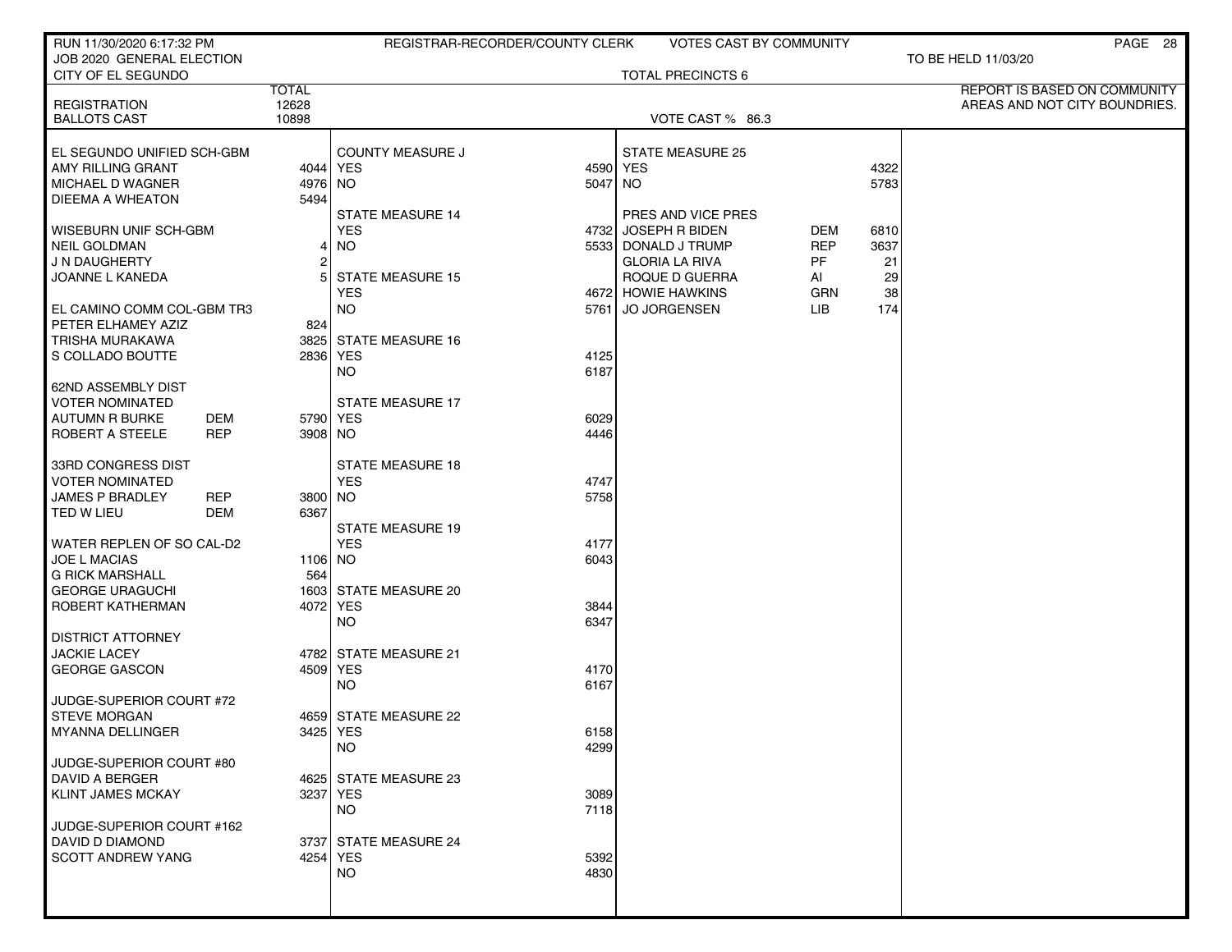| RUN 11/30/2020 6:17:32 PM                    |                 | REGISTRAR-RECORDER/COUNTY CLERK       | <b>VOTES CAST BY COMMUNITY</b> |            |      | PAGE 28                       |
|----------------------------------------------|-----------------|---------------------------------------|--------------------------------|------------|------|-------------------------------|
| JOB 2020 GENERAL ELECTION                    |                 |                                       |                                |            |      | TO BE HELD 11/03/20           |
| CITY OF EL SEGUNDO                           | <b>TOTAL</b>    |                                       | <b>TOTAL PRECINCTS 6</b>       |            |      | REPORT IS BASED ON COMMUNITY  |
| <b>REGISTRATION</b>                          | 12628           |                                       |                                |            |      | AREAS AND NOT CITY BOUNDRIES. |
| <b>BALLOTS CAST</b>                          | 10898           |                                       | VOTE CAST % 86.3               |            |      |                               |
|                                              |                 |                                       |                                |            |      |                               |
| EL SEGUNDO UNIFIED SCH-GBM                   |                 | <b>COUNTY MEASURE J</b>               | STATE MEASURE 25               |            |      |                               |
| AMY RILLING GRANT<br>MICHAEL D WAGNER        |                 | 4044 YES                              | 4590 YES                       |            | 4322 |                               |
| DIEEMA A WHEATON                             | 4976 NO<br>5494 |                                       | 5047 NO                        |            | 5783 |                               |
|                                              |                 | <b>STATE MEASURE 14</b>               | PRES AND VICE PRES             |            |      |                               |
| WISEBURN UNIF SCH-GBM                        |                 | <b>YES</b><br>4732                    | <b>JOSEPH R BIDEN</b>          | DEM        | 6810 |                               |
| <b>NEIL GOLDMAN</b>                          | 4               | NO.                                   | 5533 DONALD J TRUMP            | <b>REP</b> | 3637 |                               |
| J N DAUGHERTY                                | 2               |                                       | <b>GLORIA LA RIVA</b>          | PF         | 21   |                               |
| JOANNE L KANEDA                              | 51              | <b>STATE MEASURE 15</b>               | ROQUE D GUERRA                 | AI         | 29   |                               |
|                                              |                 | <b>YES</b>                            | 4672 HOWIE HAWKINS             | GRN        | 38   |                               |
| EL CAMINO COMM COL-GBM TR3                   |                 | <b>NO</b><br>5761                     | <b>JO JORGENSEN</b>            | LIB        | 174  |                               |
| PETER ELHAMEY AZIZ                           | 824             |                                       |                                |            |      |                               |
| TRISHA MURAKAWA                              |                 | 3825 STATE MEASURE 16                 |                                |            |      |                               |
| S COLLADO BOUTTE                             |                 | 2836 YES<br>4125<br><b>NO</b><br>6187 |                                |            |      |                               |
| 62ND ASSEMBLY DIST                           |                 |                                       |                                |            |      |                               |
| <b>VOTER NOMINATED</b>                       |                 | <b>STATE MEASURE 17</b>               |                                |            |      |                               |
| <b>AUTUMN R BURKE</b><br>DEM                 |                 | 5790 YES<br>6029                      |                                |            |      |                               |
| <b>REP</b><br>ROBERT A STEELE                | 3908 NO         | 4446                                  |                                |            |      |                               |
|                                              |                 |                                       |                                |            |      |                               |
| 33RD CONGRESS DIST                           |                 | <b>STATE MEASURE 18</b>               |                                |            |      |                               |
| <b>VOTER NOMINATED</b>                       |                 | <b>YES</b><br>4747                    |                                |            |      |                               |
| <b>JAMES P BRADLEY</b><br><b>REP</b>         | 3800 NO         | 5758                                  |                                |            |      |                               |
| TED W LIEU<br>DEM                            | 6367            | STATE MEASURE 19                      |                                |            |      |                               |
| WATER REPLEN OF SO CAL-D2                    |                 | <b>YES</b><br>4177                    |                                |            |      |                               |
| JOE L MACIAS                                 | 1106 NO         | 6043                                  |                                |            |      |                               |
| <b>G RICK MARSHALL</b>                       | 564             |                                       |                                |            |      |                               |
| <b>GEORGE URAGUCHI</b>                       |                 | 1603 STATE MEASURE 20                 |                                |            |      |                               |
| ROBERT KATHERMAN                             |                 | 4072 YES<br>3844                      |                                |            |      |                               |
|                                              |                 | <b>NO</b><br>6347                     |                                |            |      |                               |
| <b>DISTRICT ATTORNEY</b>                     |                 |                                       |                                |            |      |                               |
| <b>JACKIE LACEY</b>                          |                 | 4782 STATE MEASURE 21                 |                                |            |      |                               |
| <b>GEORGE GASCON</b>                         |                 | 4509 YES<br>4170<br>NO<br>6167        |                                |            |      |                               |
| JUDGE-SUPERIOR COURT #72                     |                 |                                       |                                |            |      |                               |
| <b>STEVE MORGAN</b>                          |                 | 4659 STATE MEASURE 22                 |                                |            |      |                               |
| MYANNA DELLINGER                             |                 | 3425 YES<br>6158                      |                                |            |      |                               |
|                                              |                 | <b>NO</b><br>4299                     |                                |            |      |                               |
| JUDGE-SUPERIOR COURT #80                     |                 |                                       |                                |            |      |                               |
| <b>DAVID A BERGER</b>                        |                 | 4625 STATE MEASURE 23                 |                                |            |      |                               |
| <b>KLINT JAMES MCKAY</b>                     |                 | 3237 YES<br>3089                      |                                |            |      |                               |
|                                              |                 | <b>NO</b><br>7118                     |                                |            |      |                               |
| JUDGE-SUPERIOR COURT #162<br>DAVID D DIAMOND |                 | 3737 STATE MEASURE 24                 |                                |            |      |                               |
| <b>SCOTT ANDREW YANG</b>                     |                 | 4254 YES<br>5392                      |                                |            |      |                               |
|                                              |                 | <b>NO</b><br>4830                     |                                |            |      |                               |
|                                              |                 |                                       |                                |            |      |                               |
|                                              |                 |                                       |                                |            |      |                               |
|                                              |                 |                                       |                                |            |      |                               |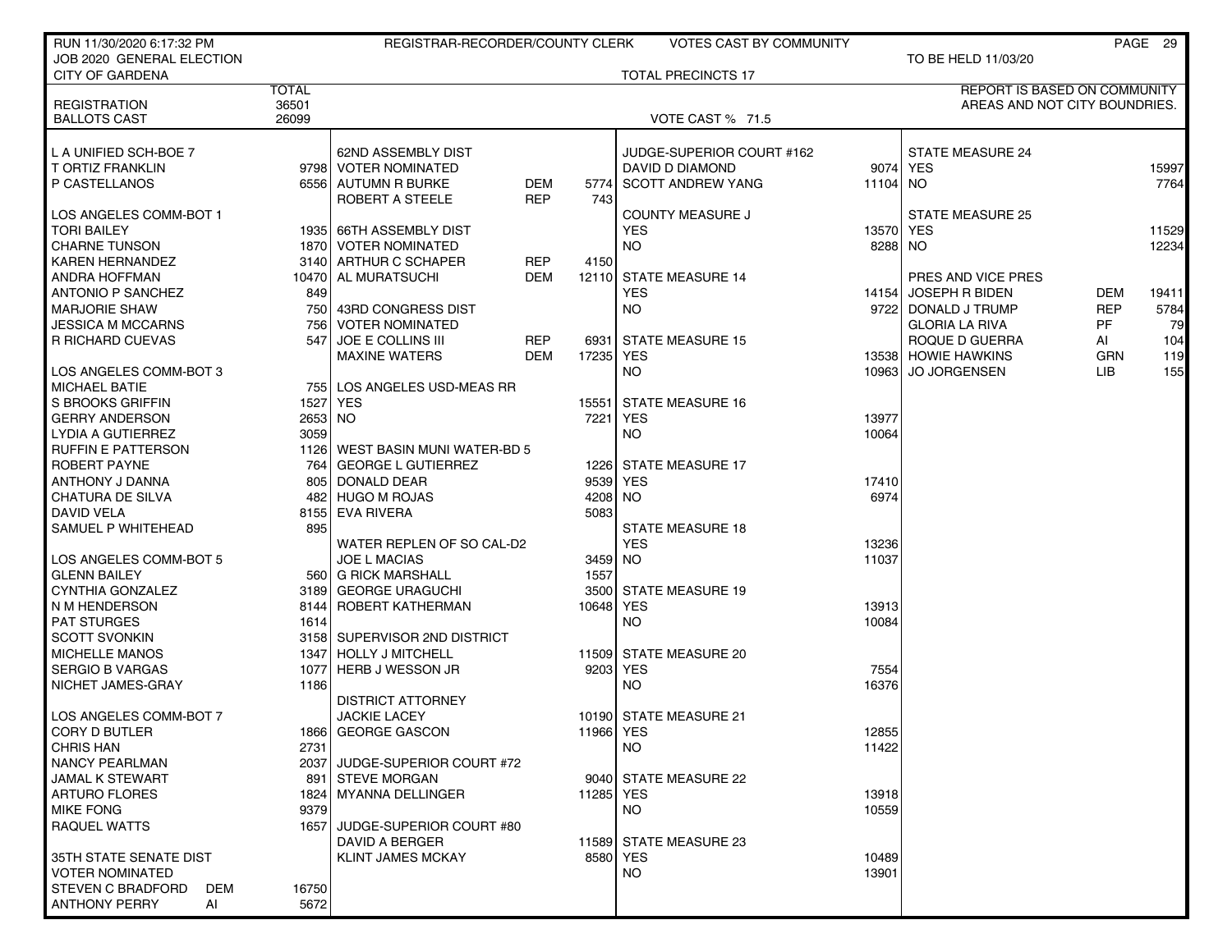| RUN 11/30/2020 6:17:32 PM                      |              | REGISTRAR-RECORDER/COUNTY CLERK           |            |           | <b>VOTES CAST BY COMMUNITY</b> |          |                                     |            | PAGE 29 |
|------------------------------------------------|--------------|-------------------------------------------|------------|-----------|--------------------------------|----------|-------------------------------------|------------|---------|
| JOB 2020 GENERAL ELECTION                      |              |                                           |            |           |                                |          | TO BE HELD 11/03/20                 |            |         |
| <b>CITY OF GARDENA</b>                         |              |                                           |            |           | <b>TOTAL PRECINCTS 17</b>      |          |                                     |            |         |
|                                                | <b>TOTAL</b> |                                           |            |           |                                |          | <b>REPORT IS BASED ON COMMUNITY</b> |            |         |
| <b>REGISTRATION</b>                            | 36501        |                                           |            |           |                                |          | AREAS AND NOT CITY BOUNDRIES.       |            |         |
| <b>BALLOTS CAST</b>                            | 26099        |                                           |            |           | VOTE CAST % 71.5               |          |                                     |            |         |
| L A UNIFIED SCH-BOE 7                          |              | 62ND ASSEMBLY DIST                        |            |           | JUDGE-SUPERIOR COURT #162      |          | <b>STATE MEASURE 24</b>             |            |         |
| T ORTIZ FRANKLIN                               |              | 9798 VOTER NOMINATED                      |            |           | DAVID D DIAMOND                |          | 9074 YES                            |            | 15997   |
| P CASTELLANOS                                  |              | 6556 AUTUMN R BURKE                       | DEM        | 5774      | <b>SCOTT ANDREW YANG</b>       | 11104 NO |                                     |            | 7764    |
|                                                |              | ROBERT A STEELE                           | <b>REP</b> | 743       |                                |          |                                     |            |         |
| LOS ANGELES COMM-BOT 1                         |              |                                           |            |           | <b>COUNTY MEASURE J</b>        |          | <b>STATE MEASURE 25</b>             |            |         |
| <b>TORI BAILEY</b>                             |              | 1935 66TH ASSEMBLY DIST                   |            |           | <b>YES</b>                     | 13570    | <b>YES</b>                          |            | 11529   |
| <b>CHARNE TUNSON</b>                           |              | 1870 VOTER NOMINATED                      |            |           | <b>NO</b>                      | 8288 NO  |                                     |            | 12234   |
| <b>KAREN HERNANDEZ</b>                         |              | 3140 ARTHUR C SCHAPER                     | REP        | 4150      |                                |          |                                     |            |         |
| ANDRA HOFFMAN                                  |              | 10470 AL MURATSUCHI                       | DEM        | 12110     | <b>STATE MEASURE 14</b>        |          | PRES AND VICE PRES                  |            |         |
| ANTONIO P SANCHEZ                              | 849          |                                           |            |           | YES                            | 14154    | <b>JOSEPH R BIDEN</b>               | DEM        | 19411   |
| <b>MARJORIE SHAW</b>                           |              | 750 43RD CONGRESS DIST                    |            |           | <b>NO</b>                      |          | 9722 DONALD J TRUMP                 | <b>REP</b> | 5784    |
| <b>JESSICA M MCCARNS</b>                       |              | 756   VOTER NOMINATED                     |            |           |                                |          | <b>GLORIA LA RIVA</b>               | PF         | 79      |
| R RICHARD CUEVAS                               | 547          | <b>JOE E COLLINS III</b>                  | REP        |           | 6931 STATE MEASURE 15          |          | ROQUE D GUERRA                      | AI         | 104     |
|                                                |              | <b>MAXINE WATERS</b>                      | <b>DEM</b> | 17235 YES |                                |          | 13538 HOWIE HAWKINS                 | <b>GRN</b> | 119     |
| LOS ANGELES COMM-BOT 3                         |              |                                           |            |           | <b>NO</b>                      | 10963    | <b>JO JORGENSEN</b>                 | LIB        | 155     |
| <b>MICHAEL BATIE</b>                           |              | 755 LOS ANGELES USD-MEAS RR               |            |           |                                |          |                                     |            |         |
| S BROOKS GRIFFIN                               | 1527 YES     |                                           |            | 15551     | STATE MEASURE 16               |          |                                     |            |         |
| <b>GERRY ANDERSON</b>                          | 2653 NO      |                                           |            | 7221      | <b>YES</b>                     | 13977    |                                     |            |         |
| LYDIA A GUTIERREZ                              | 3059         |                                           |            |           | <b>NO</b>                      | 10064    |                                     |            |         |
| <b>RUFFIN E PATTERSON</b>                      |              | 1126   WEST BASIN MUNI WATER-BD 5         |            |           |                                |          |                                     |            |         |
| <b>ROBERT PAYNE</b>                            |              | 764 GEORGE L GUTIERREZ                    |            |           | 1226 STATE MEASURE 17          |          |                                     |            |         |
| ANTHONY J DANNA                                | 805 l        | DONALD DEAR                               |            | 9539      | YES                            | 17410    |                                     |            |         |
| <b>CHATURA DE SILVA</b>                        |              | 482 HUGO M ROJAS                          |            | 4208      | NO.                            | 6974     |                                     |            |         |
| DAVID VELA                                     |              | 8155 EVA RIVERA                           |            | 5083      |                                |          |                                     |            |         |
| SAMUEL P WHITEHEAD                             | 895          |                                           |            |           | <b>STATE MEASURE 18</b>        |          |                                     |            |         |
|                                                |              | WATER REPLEN OF SO CAL-D2                 |            |           | <b>YES</b>                     | 13236    |                                     |            |         |
| LOS ANGELES COMM-BOT 5                         |              | <b>JOE L MACIAS</b>                       |            | 3459 NO   |                                | 11037    |                                     |            |         |
| <b>GLENN BAILEY</b>                            |              | 560 G RICK MARSHALL                       |            | 1557      |                                |          |                                     |            |         |
| CYNTHIA GONZALEZ                               |              | 3189 GEORGE URAGUCHI                      |            | 3500      | <b>STATE MEASURE 19</b>        |          |                                     |            |         |
| N M HENDERSON                                  |              | 8144 ROBERT KATHERMAN                     |            | 10648 YES |                                | 13913    |                                     |            |         |
| <b>PAT STURGES</b>                             | 1614         |                                           |            |           | <b>NO</b>                      | 10084    |                                     |            |         |
| <b>SCOTT SVONKIN</b>                           |              | 3158 SUPERVISOR 2ND DISTRICT              |            |           |                                |          |                                     |            |         |
| <b>MICHELLE MANOS</b>                          |              | 1347 HOLLY J MITCHELL                     |            |           | 11509 STATE MEASURE 20         |          |                                     |            |         |
| SERGIO B VARGAS                                | 1077         | <b>HERB J WESSON JR</b>                   |            | 9203      | YES                            | 7554     |                                     |            |         |
| NICHET JAMES-GRAY                              | 1186         |                                           |            |           | NO.                            | 16376    |                                     |            |         |
|                                                |              | <b>DISTRICT ATTORNEY</b>                  |            |           |                                |          |                                     |            |         |
| LOS ANGELES COMM-BOT 7<br><b>CORY D BUTLER</b> |              | <b>JACKIE LACEY</b><br>1866 GEORGE GASCON |            | 11966 YES | 10190 STATE MEASURE 21         | 12855    |                                     |            |         |
| <b>CHRIS HAN</b>                               | 2731         |                                           |            |           | NO.                            | 11422    |                                     |            |         |
| <b>NANCY PEARLMAN</b>                          |              | 2037 JUDGE-SUPERIOR COURT #72             |            |           |                                |          |                                     |            |         |
| <b>JAMAL K STEWART</b>                         |              | 891 STEVE MORGAN                          |            |           | 9040 STATE MEASURE 22          |          |                                     |            |         |
| <b>ARTURO FLORES</b>                           |              | 1824 MYANNA DELLINGER                     |            | 11285 YES |                                | 13918    |                                     |            |         |
| <b>MIKE FONG</b>                               | 9379         |                                           |            |           | NO.                            | 10559    |                                     |            |         |
| RAQUEL WATTS                                   | 16571        | JUDGE-SUPERIOR COURT #80                  |            |           |                                |          |                                     |            |         |
|                                                |              | DAVID A BERGER                            |            |           | 11589 STATE MEASURE 23         |          |                                     |            |         |
| 35TH STATE SENATE DIST                         |              | <b>KLINT JAMES MCKAY</b>                  |            |           | 8580 YES                       | 10489    |                                     |            |         |
| <b>VOTER NOMINATED</b>                         |              |                                           |            |           | <b>NO</b>                      | 13901    |                                     |            |         |
| <b>STEVEN C BRADFORD</b><br>DEM                | 16750        |                                           |            |           |                                |          |                                     |            |         |
| <b>ANTHONY PERRY</b><br>AI                     | 5672         |                                           |            |           |                                |          |                                     |            |         |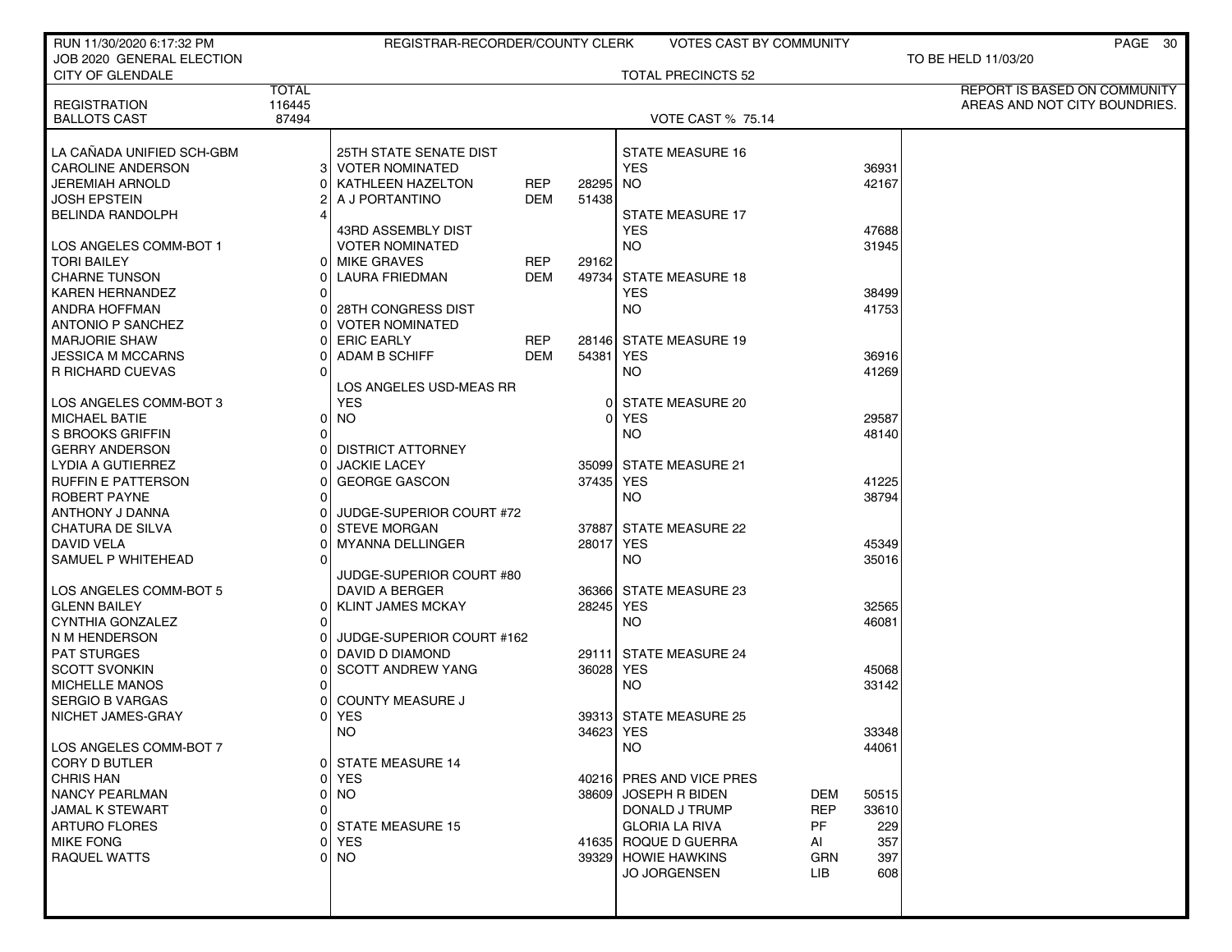| RUN 11/30/2020 6:17:32 PM               |                 | REGISTRAR-RECORDER/COUNTY CLERK            |            |             | VOTES CAST BY COMMUNITY                                     |                | PAGE 30                       |
|-----------------------------------------|-----------------|--------------------------------------------|------------|-------------|-------------------------------------------------------------|----------------|-------------------------------|
| JOB 2020 GENERAL ELECTION               |                 |                                            |            |             |                                                             |                | TO BE HELD 11/03/20           |
| <b>CITY OF GLENDALE</b>                 |                 |                                            |            |             | <b>TOTAL PRECINCTS 52</b>                                   |                |                               |
|                                         | TOTAL           |                                            |            |             |                                                             |                | REPORT IS BASED ON COMMUNITY  |
| <b>REGISTRATION</b>                     | 116445<br>87494 |                                            |            |             |                                                             |                | AREAS AND NOT CITY BOUNDRIES. |
| <b>BALLOTS CAST</b>                     |                 |                                            |            |             | <b>VOTE CAST % 75.14</b>                                    |                |                               |
| LA CAÑADA UNIFIED SCH-GBM               |                 | <b>25TH STATE SENATE DIST</b>              |            |             | <b>STATE MEASURE 16</b>                                     |                |                               |
| <b>CAROLINE ANDERSON</b>                |                 | <b>VOTER NOMINATED</b>                     |            |             | <b>YES</b>                                                  | 36931          |                               |
| JEREMIAH ARNOLD                         |                 | KATHLEEN HAZELTON                          | <b>REP</b> | 28295       | NO.                                                         | 42167          |                               |
| <b>JOSH EPSTEIN</b>                     |                 | A J PORTANTINO                             | <b>DEM</b> | 51438       |                                                             |                |                               |
| I BELINDA RANDOLPH                      |                 |                                            |            |             | <b>STATE MEASURE 17</b>                                     |                |                               |
|                                         |                 | 43RD ASSEMBLY DIST                         |            |             | <b>YES</b>                                                  | 47688          |                               |
| LOS ANGELES COMM-BOT 1                  |                 | <b>VOTER NOMINATED</b>                     |            |             | NO.                                                         | 31945          |                               |
| TORI BAILEY                             |                 | 0 MIKE GRAVES                              | REP        | 29162       |                                                             |                |                               |
| <b>CHARNE TUNSON</b>                    | ΟI              | <b>LAURA FRIEDMAN</b>                      | <b>DEM</b> | 49734       | <b>STATE MEASURE 18</b>                                     |                |                               |
| <b>KAREN HERNANDEZ</b>                  | 0               |                                            |            |             | <b>YES</b>                                                  | 38499          |                               |
| ANDRA HOFFMAN                           |                 | <b>28TH CONGRESS DIST</b>                  |            |             | <b>NO</b>                                                   | 41753          |                               |
| <b>ANTONIO P SANCHEZ</b>                |                 | <b>VOTER NOMINATED</b>                     |            |             |                                                             |                |                               |
| <b>MARJORIE SHAW</b>                    |                 | <b>ERIC EARLY</b>                          | REP        |             | 28146 STATE MEASURE 19                                      |                |                               |
| JESSICA M MCCARNS<br>I R RICHARD CUEVAS | $\Omega$        | <b>ADAM B SCHIFF</b>                       | <b>DEM</b> | 54381       | <b>YES</b><br>NO.                                           | 36916<br>41269 |                               |
|                                         |                 | LOS ANGELES USD-MEAS RR                    |            |             |                                                             |                |                               |
| LOS ANGELES COMM-BOT 3                  |                 | <b>YES</b>                                 |            | 01          | <b>STATE MEASURE 20</b>                                     |                |                               |
| MICHAEL BATIE                           |                 | 0 NO                                       |            | 0           | <b>YES</b>                                                  | 29587          |                               |
| l S BROOKS GRIFFIN                      | 0               |                                            |            |             | NO.                                                         | 48140          |                               |
| <b>GERRY ANDERSON</b>                   |                 | <b>DISTRICT ATTORNEY</b>                   |            |             |                                                             |                |                               |
| LYDIA A GUTIERREZ                       |                 | <b>JACKIE LACEY</b>                        |            |             | 35099 STATE MEASURE 21                                      |                |                               |
| RUFFIN E PATTERSON                      |                 | <b>GEORGE GASCON</b>                       |            | 37435 YES   |                                                             | 41225          |                               |
| <b>ROBERT PAYNE</b>                     |                 |                                            |            |             | NO.                                                         | 38794          |                               |
| ANTHONY J DANNA                         |                 | JUDGE-SUPERIOR COURT #72                   |            |             |                                                             |                |                               |
| CHATURA DE SILVA                        |                 | <b>STEVE MORGAN</b>                        |            |             | 37887 STATE MEASURE 22                                      |                |                               |
| <b>DAVID VELA</b>                       |                 | MYANNA DELLINGER                           |            | 28017 YES   |                                                             | 45349          |                               |
| SAMUEL P WHITEHEAD                      |                 |                                            |            |             | NO.                                                         | 35016          |                               |
| LOS ANGELES COMM-BOT 5                  |                 | JUDGE-SUPERIOR COURT #80<br>DAVID A BERGER |            |             | 36366 STATE MEASURE 23                                      |                |                               |
| GLENN BAILEY                            | 01              | KLINT JAMES MCKAY                          |            | 28245       | <b>YES</b>                                                  | 32565          |                               |
| CYNTHIA GONZALEZ                        | 01              |                                            |            |             | NO.                                                         | 46081          |                               |
| N M HENDERSON                           |                 | JUDGE-SUPERIOR COURT #162                  |            |             |                                                             |                |                               |
| PAT STURGES                             |                 | DAVID D DIAMOND                            |            |             | 29111 STATE MEASURE 24                                      |                |                               |
| I SCOTT SVONKIN                         |                 | <b>SCOTT ANDREW YANG</b>                   |            | 36028       | <b>YES</b>                                                  | 45068          |                               |
| <b>MICHELLE MANOS</b>                   |                 |                                            |            |             | <b>NO</b>                                                   | 33142          |                               |
| I SERGIO B VARGAS                       |                 | <b>COUNTY MEASURE J</b>                    |            |             |                                                             |                |                               |
| NICHET JAMES-GRAY                       | 01              | <b>YES</b>                                 |            |             | 39313 STATE MEASURE 25                                      |                |                               |
|                                         |                 | NO.                                        |            | 34623   YES |                                                             | 33348          |                               |
| LOS ANGELES COMM-BOT 7                  |                 |                                            |            |             | NO.                                                         | 44061          |                               |
| I CORY D BUTLER<br><b>CHRIS HAN</b>     | 01              | <b>STATE MEASURE 14</b>                    |            |             |                                                             |                |                               |
|                                         | 01              | <b>YES</b>                                 |            |             | 40216 PRES AND VICE PRES                                    |                |                               |
| I NANCY PEARLMAN<br>  JAMAL K STEWART   | $\Omega$        | 01 NO                                      |            |             | 38609 JOSEPH R BIDEN<br>DEM<br><b>REP</b><br>DONALD J TRUMP | 50515<br>33610 |                               |
| ARTURO FLORES                           |                 | <b>STATE MEASURE 15</b>                    |            |             | <b>GLORIA LA RIVA</b><br>PF                                 | 229            |                               |
| <b>MIKE FONG</b>                        |                 | 0 YES                                      |            |             | 41635 ROQUE D GUERRA<br>Al                                  | 357            |                               |
| RAQUEL WATTS                            |                 | 0 NO                                       |            |             | 39329 HOWIE HAWKINS<br><b>GRN</b>                           | 397            |                               |
|                                         |                 |                                            |            |             | <b>JO JORGENSEN</b><br>LIB                                  | 608            |                               |
|                                         |                 |                                            |            |             |                                                             |                |                               |
|                                         |                 |                                            |            |             |                                                             |                |                               |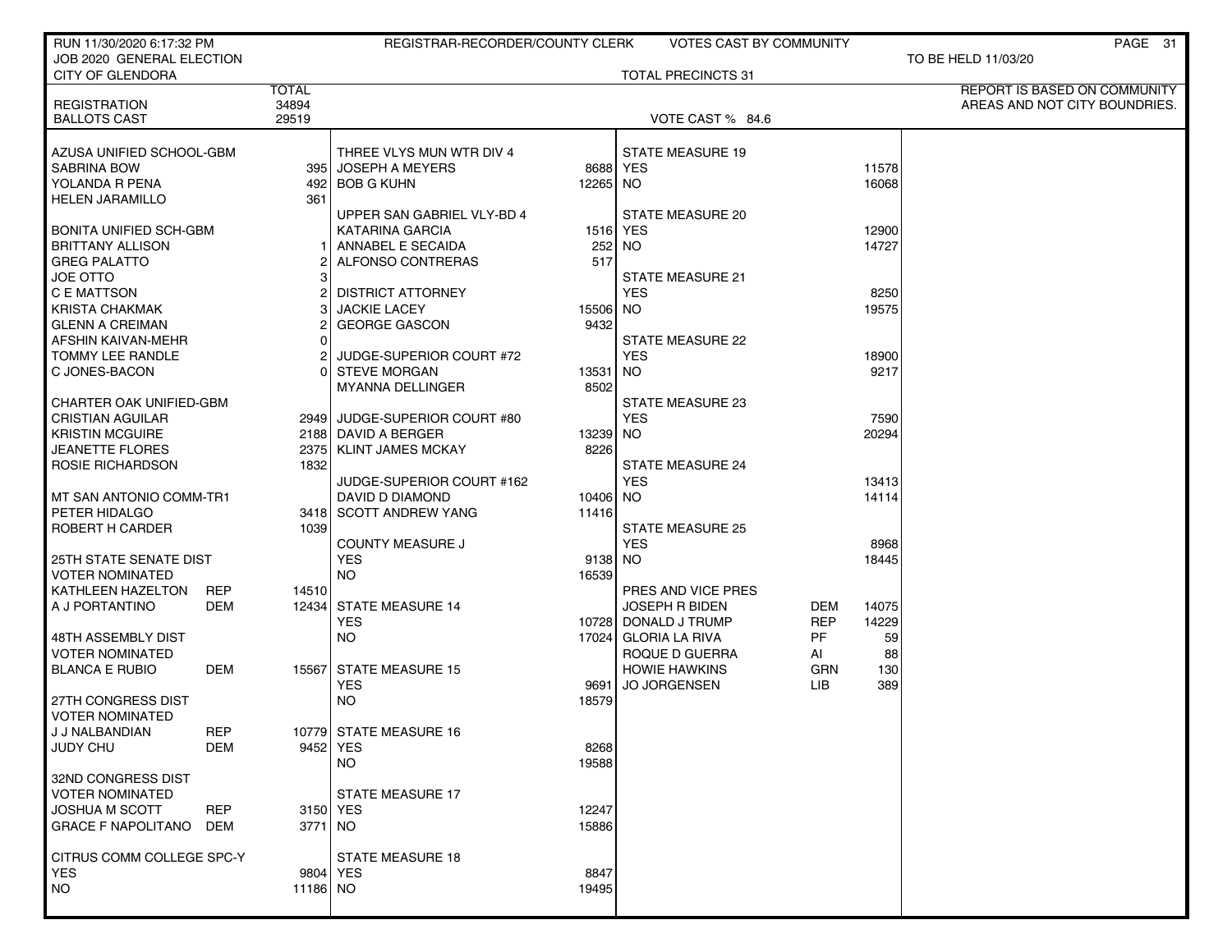| RUN 11/30/2020 6:17:32 PM                      |            |              | REGISTRAR-RECORDER/COUNTY CLERK      |                 | <b>VOTES CAST BY COMMUNITY</b> |            |                | PAGE 31                       |
|------------------------------------------------|------------|--------------|--------------------------------------|-----------------|--------------------------------|------------|----------------|-------------------------------|
| JOB 2020 GENERAL ELECTION                      |            |              |                                      |                 | <b>TOTAL PRECINCTS 31</b>      |            |                | TO BE HELD 11/03/20           |
| <b>CITY OF GLENDORA</b>                        |            | <b>TOTAL</b> |                                      |                 |                                |            |                | REPORT IS BASED ON COMMUNITY  |
| <b>REGISTRATION</b>                            |            | 34894        |                                      |                 |                                |            |                | AREAS AND NOT CITY BOUNDRIES. |
| <b>BALLOTS CAST</b>                            |            | 29519        |                                      |                 | VOTE CAST % 84.6               |            |                |                               |
|                                                |            |              |                                      |                 |                                |            |                |                               |
| AZUSA UNIFIED SCHOOL-GBM                       |            |              | THREE VLYS MUN WTR DIV 4             |                 | <b>STATE MEASURE 19</b>        |            |                |                               |
| <b>SABRINA BOW</b>                             |            |              | 395 JOSEPH A MEYERS                  | 8688 YES        |                                |            | 11578          |                               |
| YOLANDA R PENA                                 |            |              | 492 BOB G KUHN                       | 12265 NO        |                                |            | 16068          |                               |
| <b>HELEN JARAMILLO</b>                         |            | 361          |                                      |                 |                                |            |                |                               |
|                                                |            |              | UPPER SAN GABRIEL VLY-BD 4           |                 | <b>STATE MEASURE 20</b>        |            |                |                               |
| <b>BONITA UNIFIED SCH-GBM</b>                  |            |              | KATARINA GARCIA<br>ANNABEL E SECAIDA | 1516 YES<br>252 |                                |            | 12900<br>14727 |                               |
| <b>BRITTANY ALLISON</b><br><b>GREG PALATTO</b> |            |              | ALFONSO CONTRERAS                    | 517             | NO.                            |            |                |                               |
| <b>JOE OTTO</b>                                |            | зI           |                                      |                 | <b>STATE MEASURE 21</b>        |            |                |                               |
| C E MATTSON                                    |            | 21           | <b>DISTRICT ATTORNEY</b>             |                 | <b>YES</b>                     |            | 8250           |                               |
| <b>KRISTA CHAKMAK</b>                          |            | 3            | <b>JACKIE LACEY</b>                  | 15506 NO        |                                |            | 19575          |                               |
| <b>GLENN A CREIMAN</b>                         |            |              | <b>GEORGE GASCON</b>                 | 9432            |                                |            |                |                               |
| AFSHIN KAIVAN-MEHR                             |            | ΩI           |                                      |                 | <b>STATE MEASURE 22</b>        |            |                |                               |
| TOMMY LEE RANDLE                               |            |              | JUDGE-SUPERIOR COURT #72             |                 | <b>YES</b>                     |            | 18900          |                               |
| C JONES-BACON                                  |            |              | 0 STEVE MORGAN                       | 13531           | <b>NO</b>                      |            | 9217           |                               |
|                                                |            |              | <b>MYANNA DELLINGER</b>              | 8502            |                                |            |                |                               |
| <b>CHARTER OAK UNIFIED-GBM</b>                 |            |              |                                      |                 | <b>STATE MEASURE 23</b>        |            |                |                               |
| <b>CRISTIAN AGUILAR</b>                        |            |              | 2949 JUDGE-SUPERIOR COURT #80        |                 | <b>YES</b>                     |            | 7590           |                               |
| <b>KRISTIN MCGUIRE</b>                         |            |              | 2188 DAVID A BERGER                  | 13239 NO        |                                |            | 20294          |                               |
| <b>JEANETTE FLORES</b>                         |            |              | 2375 KLINT JAMES MCKAY               | 8226            |                                |            |                |                               |
| ROSIE RICHARDSON                               |            | 1832         |                                      |                 | <b>STATE MEASURE 24</b>        |            |                |                               |
|                                                |            |              | JUDGE-SUPERIOR COURT #162            |                 | <b>YES</b>                     |            | 13413          |                               |
| MT SAN ANTONIO COMM-TR1                        |            |              | DAVID D DIAMOND                      | 10406 NO        |                                |            | 14114          |                               |
| PETER HIDALGO                                  |            |              | 3418 SCOTT ANDREW YANG               | 11416           |                                |            |                |                               |
| ROBERT H CARDER                                |            | 1039         |                                      |                 | <b>STATE MEASURE 25</b>        |            |                |                               |
|                                                |            |              | <b>COUNTY MEASURE J</b>              |                 | <b>YES</b>                     |            | 8968           |                               |
| <b>25TH STATE SENATE DIST</b>                  |            |              | <b>YES</b>                           | 9138 NO         |                                |            | 18445          |                               |
| <b>VOTER NOMINATED</b>                         |            |              | <b>NO</b>                            | 16539           |                                |            |                |                               |
| KATHLEEN HAZELTON                              | REP        | 14510        |                                      |                 | PRES AND VICE PRES             |            |                |                               |
| A J PORTANTINO                                 | DEM        |              | 12434 STATE MEASURE 14               |                 | <b>JOSEPH R BIDEN</b>          | DEM        | 14075          |                               |
|                                                |            |              | <b>YES</b>                           |                 | 10728 DONALD J TRUMP           | <b>REP</b> | 14229          |                               |
| 48TH ASSEMBLY DIST                             |            |              | NO.                                  |                 | 17024 GLORIA LA RIVA           | PF         | 59             |                               |
| <b>VOTER NOMINATED</b>                         |            |              |                                      |                 | ROQUE D GUERRA                 | AI         | 88             |                               |
| <b>BLANCA E RUBIO</b>                          | DEM        |              | 15567 STATE MEASURE 15               |                 | <b>HOWIE HAWKINS</b>           | <b>GRN</b> | 130            |                               |
|                                                |            |              | <b>YES</b>                           | 9691            | <b>JO JORGENSEN</b>            | LIB.       | 389            |                               |
| 27TH CONGRESS DIST                             |            |              | <b>NO</b>                            | 18579           |                                |            |                |                               |
| <b>VOTER NOMINATED</b>                         |            |              |                                      |                 |                                |            |                |                               |
| J J NALBANDIAN                                 | REP        |              | 10779 STATE MEASURE 16               |                 |                                |            |                |                               |
| <b>JUDY CHU</b>                                | DEM        |              | 9452 YES                             | 8268            |                                |            |                |                               |
|                                                |            |              | <b>NO</b>                            | 19588           |                                |            |                |                               |
| 32ND CONGRESS DIST                             |            |              |                                      |                 |                                |            |                |                               |
| <b>VOTER NOMINATED</b>                         |            |              | <b>STATE MEASURE 17</b>              |                 |                                |            |                |                               |
| <b>JOSHUA M SCOTT</b>                          | <b>REP</b> |              | 3150 YES                             | 12247           |                                |            |                |                               |
| <b>GRACE F NAPOLITANO</b>                      | DEM        | 3771 NO      |                                      | 15886           |                                |            |                |                               |
| CITRUS COMM COLLEGE SPC-Y                      |            |              | <b>STATE MEASURE 18</b>              |                 |                                |            |                |                               |
| <b>YES</b>                                     |            |              | 9804 YES                             | 8847            |                                |            |                |                               |
| <b>NO</b>                                      |            | 11186 NO     |                                      | 19495           |                                |            |                |                               |
|                                                |            |              |                                      |                 |                                |            |                |                               |
|                                                |            |              |                                      |                 |                                |            |                |                               |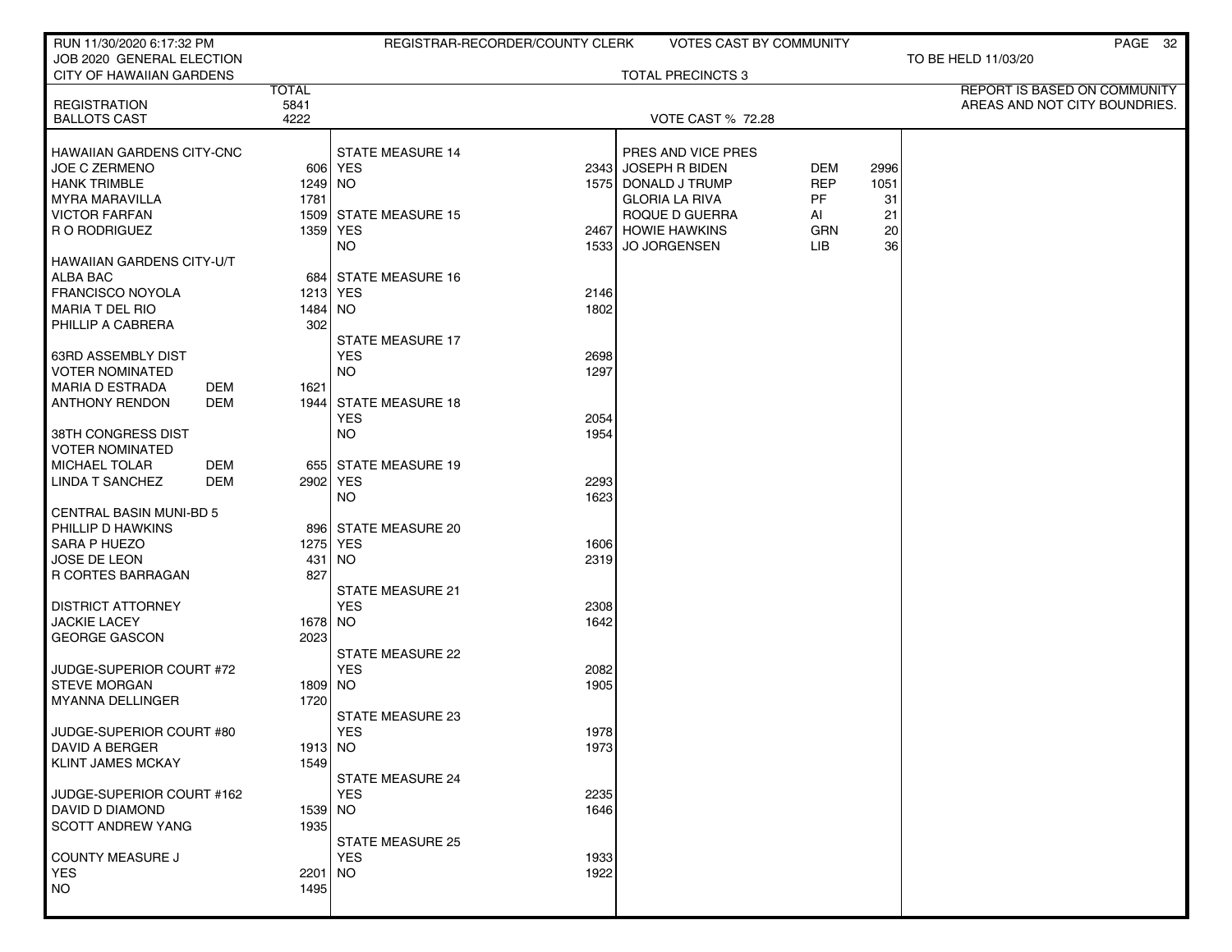| RUN 11/30/2020 6:17:32 PM                               |              | REGISTRAR-RECORDER/COUNTY CLERK       |                                                   | VOTES CAST BY COMMUNITY  |                    |          | PAGE 32                       |
|---------------------------------------------------------|--------------|---------------------------------------|---------------------------------------------------|--------------------------|--------------------|----------|-------------------------------|
| JOB 2020 GENERAL ELECTION<br>CITY OF HAWAIIAN GARDENS   |              |                                       |                                                   | <b>TOTAL PRECINCTS 3</b> |                    |          | TO BE HELD 11/03/20           |
|                                                         | <b>TOTAL</b> |                                       |                                                   |                          |                    |          | REPORT IS BASED ON COMMUNITY  |
| <b>REGISTRATION</b>                                     | 5841         |                                       |                                                   |                          |                    |          | AREAS AND NOT CITY BOUNDRIES. |
| <b>BALLOTS CAST</b>                                     | 4222         |                                       |                                                   | VOTE CAST % 72.28        |                    |          |                               |
| <b>HAWAIIAN GARDENS CITY-CNC</b>                        |              | <b>STATE MEASURE 14</b>               |                                                   | PRES AND VICE PRES       |                    |          |                               |
| <b>JOE C ZERMENO</b>                                    |              | 606 YES                               | 2343 JOSEPH R BIDEN                               |                          | DEM                | 2996     |                               |
| <b>HANK TRIMBLE</b>                                     | 1249 NO      |                                       | 1575 DONALD J TRUMP                               |                          | <b>REP</b>         | 1051     |                               |
| <b>MYRA MARAVILLA</b>                                   | 1781         |                                       | <b>GLORIA LA RIVA</b>                             |                          | PF.                | 31       |                               |
| <b>VICTOR FARFAN</b>                                    |              | 1509 STATE MEASURE 15                 | ROQUE D GUERRA                                    |                          | AI                 | 21       |                               |
| R O RODRIGUEZ                                           |              | 1359 YES<br>NO.                       | 2467 HOWIE HAWKINS<br>1533<br><b>JO JORGENSEN</b> |                          | <b>GRN</b><br>LIB. | 20<br>36 |                               |
| <b>HAWAIIAN GARDENS CITY-U/T</b>                        |              |                                       |                                                   |                          |                    |          |                               |
| <b>ALBA BAC</b>                                         |              | 684 STATE MEASURE 16                  |                                                   |                          |                    |          |                               |
| <b>FRANCISCO NOYOLA</b>                                 |              | 1213 YES                              | 2146                                              |                          |                    |          |                               |
| <b>MARIA T DEL RIO</b>                                  | 1484   NO    |                                       | 1802                                              |                          |                    |          |                               |
| PHILLIP A CABRERA                                       | 302          |                                       |                                                   |                          |                    |          |                               |
|                                                         |              | <b>STATE MEASURE 17</b>               |                                                   |                          |                    |          |                               |
| 63RD ASSEMBLY DIST                                      |              | <b>YES</b>                            | 2698                                              |                          |                    |          |                               |
| <b>VOTER NOMINATED</b><br><b>MARIA D ESTRADA</b><br>DEM | 1621         | <b>NO</b>                             | 1297                                              |                          |                    |          |                               |
| <b>ANTHONY RENDON</b><br>DEM                            |              | 1944 STATE MEASURE 18                 |                                                   |                          |                    |          |                               |
|                                                         |              | <b>YES</b>                            | 2054                                              |                          |                    |          |                               |
| 38TH CONGRESS DIST                                      |              | <b>NO</b>                             | 1954                                              |                          |                    |          |                               |
| <b>VOTER NOMINATED</b>                                  |              |                                       |                                                   |                          |                    |          |                               |
| <b>MICHAEL TOLAR</b><br>DEM                             |              | 655 STATE MEASURE 19                  |                                                   |                          |                    |          |                               |
| LINDA T SANCHEZ<br>DEM                                  |              | 2902   YES<br><b>NO</b>               | 2293<br>1623                                      |                          |                    |          |                               |
| <b>CENTRAL BASIN MUNI-BD 5</b>                          |              |                                       |                                                   |                          |                    |          |                               |
| PHILLIP D HAWKINS                                       |              | 896 STATE MEASURE 20                  |                                                   |                          |                    |          |                               |
| SARA P HUEZO                                            |              | 1275 YES                              | 1606                                              |                          |                    |          |                               |
| JOSE DE LEON                                            |              | 431   NO                              | 2319                                              |                          |                    |          |                               |
| R CORTES BARRAGAN                                       | 827          |                                       |                                                   |                          |                    |          |                               |
|                                                         |              | <b>STATE MEASURE 21</b>               |                                                   |                          |                    |          |                               |
| <b>DISTRICT ATTORNEY</b><br><b>JACKIE LACEY</b>         | 1678 NO      | <b>YES</b>                            | 2308<br>1642                                      |                          |                    |          |                               |
| <b>GEORGE GASCON</b>                                    | 2023         |                                       |                                                   |                          |                    |          |                               |
|                                                         |              | STATE MEASURE 22                      |                                                   |                          |                    |          |                               |
| JUDGE-SUPERIOR COURT #72                                |              | <b>YES</b>                            | 2082                                              |                          |                    |          |                               |
| <b>STEVE MORGAN</b>                                     | 1809 NO      |                                       | 1905                                              |                          |                    |          |                               |
| <b>MYANNA DELLINGER</b>                                 | 1720         |                                       |                                                   |                          |                    |          |                               |
|                                                         |              | <b>STATE MEASURE 23</b>               |                                                   |                          |                    |          |                               |
| JUDGE-SUPERIOR COURT #80<br><b>DAVID A BERGER</b>       | 1913 NO      | <b>YES</b>                            | 1978<br>1973                                      |                          |                    |          |                               |
| <b>KLINT JAMES MCKAY</b>                                | 1549         |                                       |                                                   |                          |                    |          |                               |
|                                                         |              | <b>STATE MEASURE 24</b>               |                                                   |                          |                    |          |                               |
| JUDGE-SUPERIOR COURT #162                               |              | <b>YES</b>                            | 2235                                              |                          |                    |          |                               |
| DAVID D DIAMOND                                         | 1539 NO      |                                       | 1646                                              |                          |                    |          |                               |
| <b>SCOTT ANDREW YANG</b>                                | 1935         |                                       |                                                   |                          |                    |          |                               |
| COUNTY MEASURE J                                        |              | <b>STATE MEASURE 25</b><br><b>YES</b> | 1933                                              |                          |                    |          |                               |
| <b>YES</b>                                              | 2201 NO      |                                       | 1922                                              |                          |                    |          |                               |
| <b>NO</b>                                               | 1495         |                                       |                                                   |                          |                    |          |                               |
|                                                         |              |                                       |                                                   |                          |                    |          |                               |
|                                                         |              |                                       |                                                   |                          |                    |          |                               |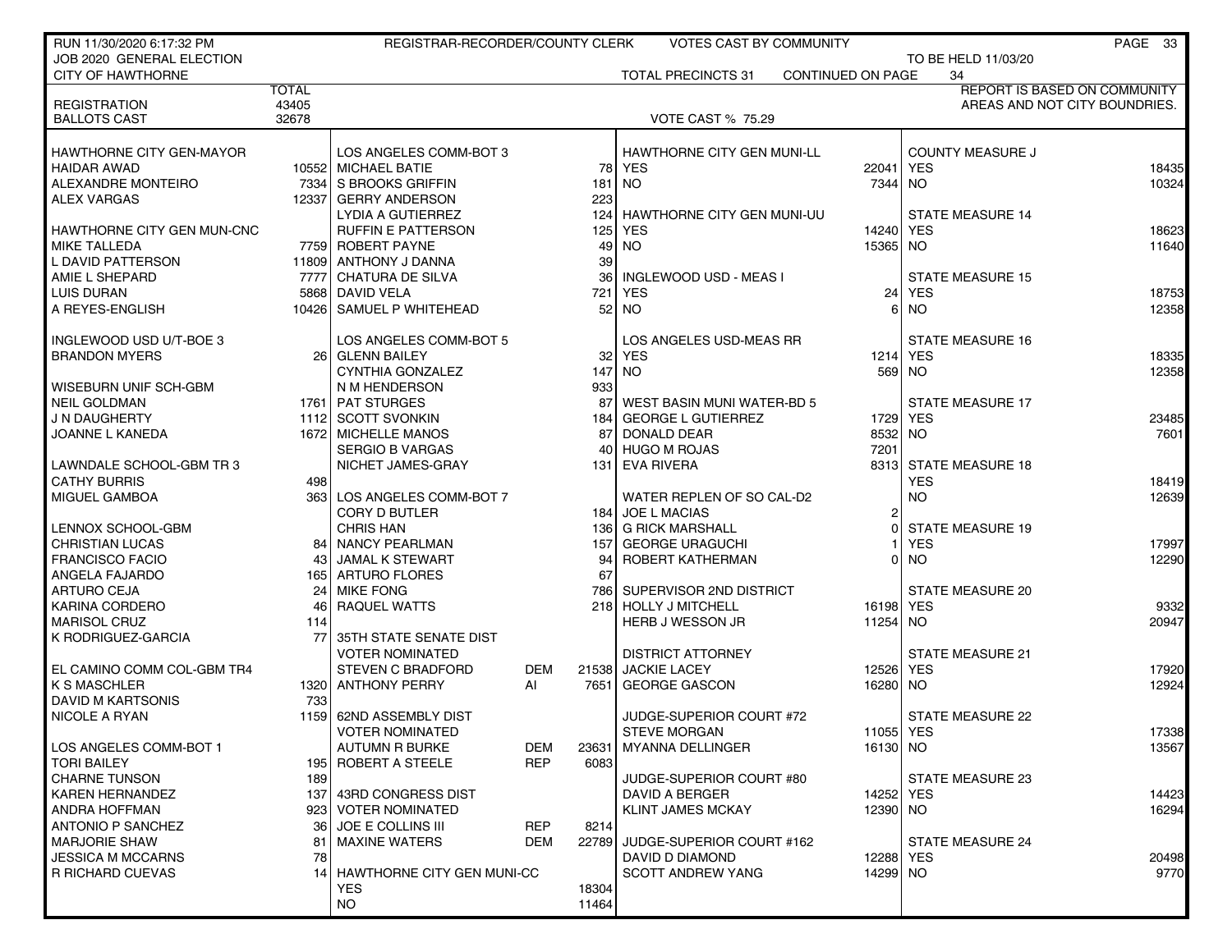| RUN 11/30/2020 6:17:32 PM         |              | REGISTRAR-RECORDER/COUNTY CLERK |            |                 | VOTES CAST BY COMMUNITY           |                   |                         | PAGE 33                       |
|-----------------------------------|--------------|---------------------------------|------------|-----------------|-----------------------------------|-------------------|-------------------------|-------------------------------|
| JOB 2020 GENERAL ELECTION         |              |                                 |            |                 |                                   |                   | TO BE HELD 11/03/20     |                               |
| <b>CITY OF HAWTHORNE</b>          |              |                                 |            |                 | <b>TOTAL PRECINCTS 31</b>         | CONTINUED ON PAGE | 34                      |                               |
|                                   | <b>TOTAL</b> |                                 |            |                 |                                   |                   |                         | REPORT IS BASED ON COMMUNITY  |
| <b>REGISTRATION</b>               | 43405        |                                 |            |                 |                                   |                   |                         | AREAS AND NOT CITY BOUNDRIES. |
| <b>BALLOTS CAST</b>               | 32678        |                                 |            |                 | <b>VOTE CAST % 75.29</b>          |                   |                         |                               |
|                                   |              |                                 |            |                 |                                   |                   |                         |                               |
| <b>HAWTHORNE CITY GEN-MAYOR</b>   |              | LOS ANGELES COMM-BOT 3          |            |                 | <b>HAWTHORNE CITY GEN MUNI-LL</b> |                   | <b>COUNTY MEASURE J</b> |                               |
| <b>HAIDAR AWAD</b>                |              | 10552 MICHAEL BATIE             |            | 78              | <b>YES</b>                        | 22041 YES         |                         | 18435                         |
| ALEXANDRE MONTEIRO                |              | 7334 S BROOKS GRIFFIN           |            | 181             | <b>NO</b>                         | 7344 NO           |                         | 10324                         |
| <b>ALEX VARGAS</b>                |              | 12337 GERRY ANDERSON            |            | 223             |                                   |                   |                         |                               |
|                                   |              | LYDIA A GUTIERREZ               |            | 124             | HAWTHORNE CITY GEN MUNI-UU        |                   | <b>STATE MEASURE 14</b> |                               |
| <b>HAWTHORNE CITY GEN MUN-CNC</b> |              | <b>RUFFIN E PATTERSON</b>       |            | 125             | YES                               | 14240 YES         |                         | 18623                         |
| MIKE TALLEDA                      |              | 7759 ROBERT PAYNE               |            | 49              | <b>NO</b>                         | 15365 NO          |                         | 11640                         |
| L DAVID PATTERSON                 |              | 11809 ANTHONY J DANNA           |            | 39              |                                   |                   |                         |                               |
| AMIE L SHEPARD                    |              | 7777 CHATURA DE SILVA           |            | 36              | INGLEWOOD USD - MEAS I            |                   | <b>STATE MEASURE 15</b> |                               |
| <b>LUIS DURAN</b>                 |              | 5868 DAVID VELA                 |            |                 | <b>YES</b>                        | 24                | <b>YES</b>              |                               |
| A REYES-ENGLISH                   |              | 10426 SAMUEL P WHITEHEAD        |            | 721             | <b>NO</b>                         |                   | <b>NO</b>               | 18753                         |
|                                   |              |                                 |            | 52              |                                   | 6                 |                         | 12358                         |
|                                   |              |                                 |            |                 |                                   |                   |                         |                               |
| INGLEWOOD USD U/T-BOE 3           |              | LOS ANGELES COMM-BOT 5          |            |                 | LOS ANGELES USD-MEAS RR           |                   | <b>STATE MEASURE 16</b> |                               |
| <b>BRANDON MYERS</b>              |              | 26 GLENN BAILEY                 |            | 32 <sub>1</sub> | <b>YES</b>                        |                   | 1214 YES                | 18335                         |
|                                   |              | CYNTHIA GONZALEZ                |            | 147             | <b>NO</b>                         |                   | 569 NO                  | 12358                         |
| WISEBURN UNIF SCH-GBM             |              | N M HENDERSON                   |            | 933             |                                   |                   |                         |                               |
| NEIL GOLDMAN                      |              | 1761 PAT STURGES                |            | 87              | WEST BASIN MUNI WATER-BD 5        |                   | <b>STATE MEASURE 17</b> |                               |
| J N DAUGHERTY                     |              | 1112 SCOTT SVONKIN              |            | 184 l           | <b>GEORGE L GUTIERREZ</b>         | 1729              | <b>YES</b>              | 23485                         |
| JOANNE L KANEDA                   |              | 1672 MICHELLE MANOS             |            | 87              | <b>DONALD DEAR</b>                | 8532              | <b>NO</b>               | 7601                          |
|                                   |              | <b>SERGIO B VARGAS</b>          |            | 40              | <b>HUGO M ROJAS</b>               | 7201              |                         |                               |
| LAWNDALE SCHOOL-GBM TR 3          |              | NICHET JAMES-GRAY               |            | 131             | <b>EVA RIVERA</b>                 |                   | 8313 STATE MEASURE 18   |                               |
| <b>CATHY BURRIS</b>               | 498          |                                 |            |                 |                                   |                   | <b>YES</b>              | 18419                         |
| MIGUEL GAMBOA                     |              | 363 LOS ANGELES COMM-BOT 7      |            |                 | WATER REPLEN OF SO CAL-D2         |                   | <b>NO</b>               | 12639                         |
|                                   |              | <b>CORY D BUTLER</b>            |            |                 | 184 JOE L MACIAS                  | 2                 |                         |                               |
| LENNOX SCHOOL-GBM                 |              | <b>CHRIS HAN</b>                |            | 136             | <b>G RICK MARSHALL</b>            | O                 | <b>STATE MEASURE 19</b> |                               |
| <b>CHRISTIAN LUCAS</b>            | 84           | ∣ NANCY PEARLMAN                |            | 157             | <b>GEORGE URAGUCHI</b>            |                   | <b>YES</b>              | 17997                         |
| <b>FRANCISCO FACIO</b>            | 43           | <b>JAMAL K STEWART</b>          |            | 94              | ROBERT KATHERMAN                  | 01                | <b>NO</b>               | 12290                         |
| ANGELA FAJARDO                    |              | 165 ARTURO FLORES               |            | 67              |                                   |                   |                         |                               |
| <b>ARTURO CEJA</b>                | 24           | <b>MIKE FONG</b>                |            | 786             | SUPERVISOR 2ND DISTRICT           |                   | <b>STATE MEASURE 20</b> |                               |
| KARINA CORDERO                    | 46           | <b>RAQUEL WATTS</b>             |            | 218             | <b>HOLLY J MITCHELL</b>           | 16198 YES         |                         | 9332                          |
| <b>MARISOL CRUZ</b>               | 114          |                                 |            |                 | <b>HERB J WESSON JR</b>           | 11254 NO          |                         | 20947                         |
| K RODRIGUEZ-GARCIA                | 77           | 35TH STATE SENATE DIST          |            |                 |                                   |                   |                         |                               |
|                                   |              | <b>VOTER NOMINATED</b>          |            |                 | <b>DISTRICT ATTORNEY</b>          |                   | <b>STATE MEASURE 21</b> |                               |
| EL CAMINO COMM COL-GBM TR4        |              | <b>STEVEN C BRADFORD</b>        | DEM        | 21538           | <b>JACKIE LACEY</b>               | 12526 YES         |                         | 17920                         |
| <b>K S MASCHLER</b>               |              | 1320 ANTHONY PERRY              | AI         | 7651            | <b>GEORGE GASCON</b>              | 16280 NO          |                         | 12924                         |
| <b>DAVID M KARTSONIS</b>          | 733          |                                 |            |                 |                                   |                   |                         |                               |
| NICOLE A RYAN                     |              | 1159 62ND ASSEMBLY DIST         |            |                 | JUDGE-SUPERIOR COURT #72          |                   | STATE MEASURE 22        |                               |
|                                   |              | <b>VOTER NOMINATED</b>          |            |                 | <b>STEVE MORGAN</b>               | 11055 YES         |                         | 17338                         |
| LOS ANGELES COMM-BOT 1            |              | <b>AUTUMN R BURKE</b>           | <b>DEM</b> | 23631           | <b>MYANNA DELLINGER</b>           | 16130 NO          |                         | 13567                         |
| <b>TORI BAILEY</b>                |              | 195 ROBERT A STEELE             | <b>REP</b> | 6083            |                                   |                   |                         |                               |
| <b>CHARNE TUNSON</b>              | 189          |                                 |            |                 | JUDGE-SUPERIOR COURT #80          |                   | <b>STATE MEASURE 23</b> |                               |
| KAREN HERNANDEZ                   |              | 137 43RD CONGRESS DIST          |            |                 | DAVID A BERGER                    | 14252 YES         |                         | 14423                         |
| ANDRA HOFFMAN                     |              | 923 VOTER NOMINATED             |            |                 | <b>KLINT JAMES MCKAY</b>          | 12390 NO          |                         | 16294                         |
| ANTONIO P SANCHEZ                 | 36           | <b>JOE E COLLINS III</b>        | <b>REP</b> | 8214            |                                   |                   |                         |                               |
| <b>MARJORIE SHAW</b>              | 81           | <b>MAXINE WATERS</b>            | DEM        | 22789           | JUDGE-SUPERIOR COURT #162         |                   | STATE MEASURE 24        |                               |
| <b>JESSICA M MCCARNS</b>          | 78           |                                 |            |                 | DAVID D DIAMOND                   | 12288 YES         |                         | 20498                         |
| R RICHARD CUEVAS                  |              | 14 HAWTHORNE CITY GEN MUNI-CC   |            |                 | <b>SCOTT ANDREW YANG</b>          | 14299 NO          |                         | 9770                          |
|                                   |              | <b>YES</b>                      |            | 18304           |                                   |                   |                         |                               |
|                                   |              | <b>NO</b>                       |            | 11464           |                                   |                   |                         |                               |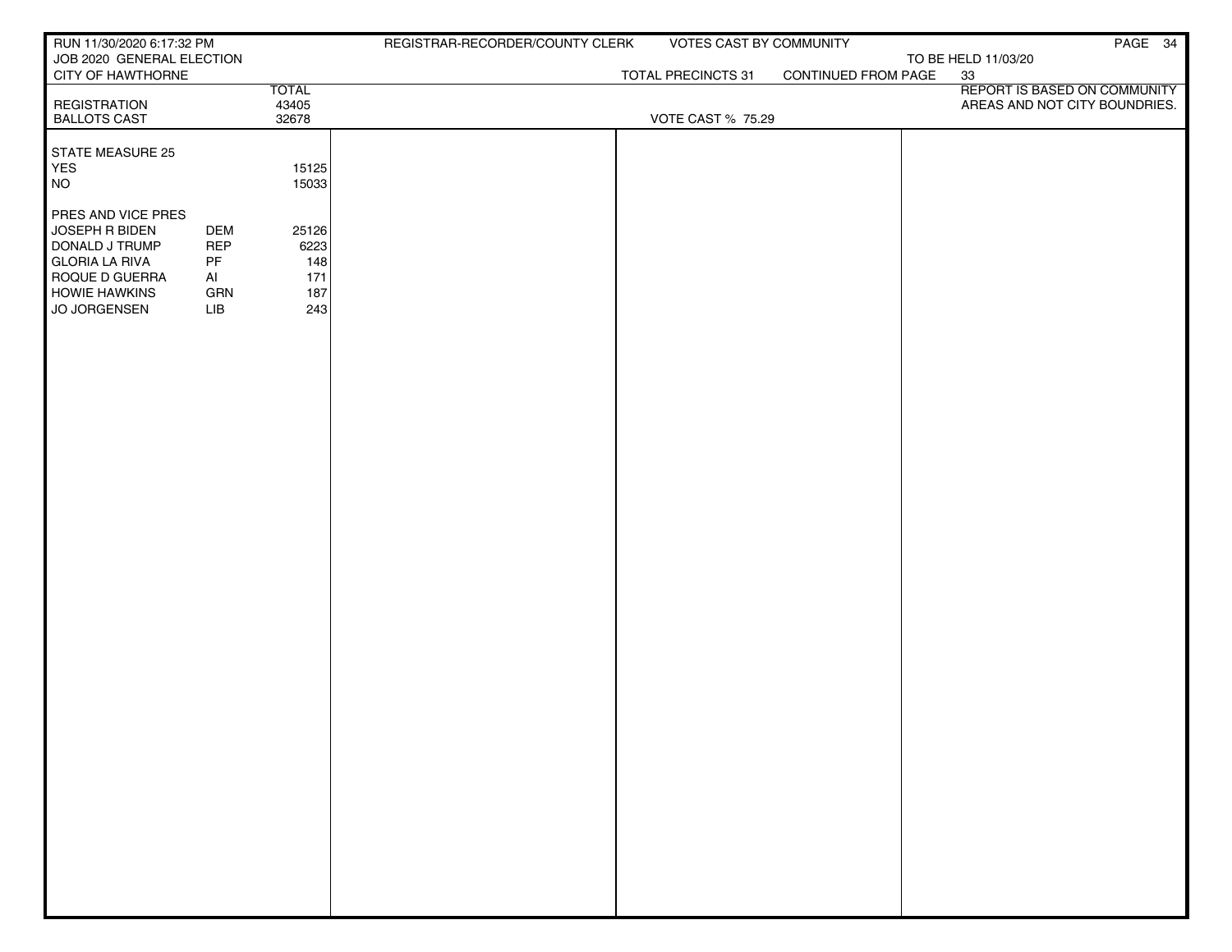| RUN 11/30/2020 6:17:32 PM                      |            |                | REGISTRAR-RECORDER/COUNTY CLERK | VOTES CAST BY COMMUNITY  |                     | PAGE 34                       |
|------------------------------------------------|------------|----------------|---------------------------------|--------------------------|---------------------|-------------------------------|
| JOB 2020 GENERAL ELECTION<br>CITY OF HAWTHORNE |            |                |                                 | TOTAL PRECINCTS 31       | CONTINUED FROM PAGE | TO BE HELD 11/03/20<br>33     |
|                                                |            | <b>TOTAL</b>   |                                 |                          |                     | REPORT IS BASED ON COMMUNITY  |
| <b>REGISTRATION</b><br><b>BALLOTS CAST</b>     |            | 43405<br>32678 |                                 | <b>VOTE CAST % 75.29</b> |                     | AREAS AND NOT CITY BOUNDRIES. |
|                                                |            |                |                                 |                          |                     |                               |
| STATE MEASURE 25                               |            |                |                                 |                          |                     |                               |
| YES<br><b>NO</b>                               |            | 15125<br>15033 |                                 |                          |                     |                               |
|                                                |            |                |                                 |                          |                     |                               |
| PRES AND VICE PRES<br>JOSEPH R BIDEN           | <b>DEM</b> | 25126          |                                 |                          |                     |                               |
| DONALD J TRUMP                                 | <b>REP</b> | 6223           |                                 |                          |                     |                               |
| <b>GLORIA LA RIVA</b>                          | PF         | 148            |                                 |                          |                     |                               |
| ROQUE D GUERRA<br><b>HOWIE HAWKINS</b>         | Al<br>GRN  | 171<br>187     |                                 |                          |                     |                               |
| JO JORGENSEN                                   | LIB        | 243            |                                 |                          |                     |                               |
|                                                |            |                |                                 |                          |                     |                               |
|                                                |            |                |                                 |                          |                     |                               |
|                                                |            |                |                                 |                          |                     |                               |
|                                                |            |                |                                 |                          |                     |                               |
|                                                |            |                |                                 |                          |                     |                               |
|                                                |            |                |                                 |                          |                     |                               |
|                                                |            |                |                                 |                          |                     |                               |
|                                                |            |                |                                 |                          |                     |                               |
|                                                |            |                |                                 |                          |                     |                               |
|                                                |            |                |                                 |                          |                     |                               |
|                                                |            |                |                                 |                          |                     |                               |
|                                                |            |                |                                 |                          |                     |                               |
|                                                |            |                |                                 |                          |                     |                               |
|                                                |            |                |                                 |                          |                     |                               |
|                                                |            |                |                                 |                          |                     |                               |
|                                                |            |                |                                 |                          |                     |                               |
|                                                |            |                |                                 |                          |                     |                               |
|                                                |            |                |                                 |                          |                     |                               |
|                                                |            |                |                                 |                          |                     |                               |
|                                                |            |                |                                 |                          |                     |                               |
|                                                |            |                |                                 |                          |                     |                               |
|                                                |            |                |                                 |                          |                     |                               |
|                                                |            |                |                                 |                          |                     |                               |
|                                                |            |                |                                 |                          |                     |                               |
|                                                |            |                |                                 |                          |                     |                               |
|                                                |            |                |                                 |                          |                     |                               |
|                                                |            |                |                                 |                          |                     |                               |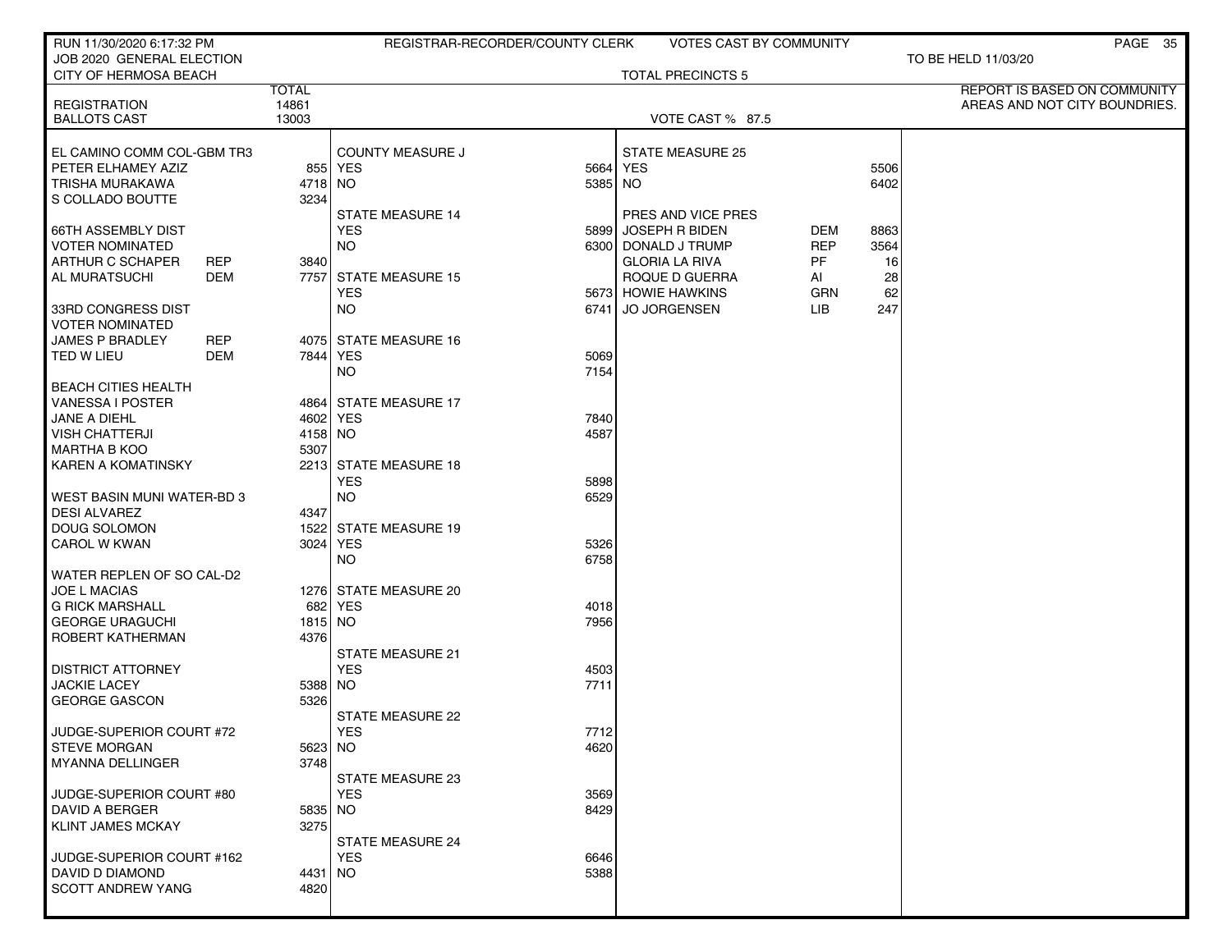| RUN 11/30/2020 6:17:32 PM      |                       | REGISTRAR-RECORDER/COUNTY CLERK |          | <b>VOTES CAST BY COMMUNITY</b> |            |      | PAGE 35                                                       |
|--------------------------------|-----------------------|---------------------------------|----------|--------------------------------|------------|------|---------------------------------------------------------------|
| JOB 2020 GENERAL ELECTION      |                       |                                 |          |                                |            |      | TO BE HELD 11/03/20                                           |
| CITY OF HERMOSA BEACH          |                       |                                 |          | <b>TOTAL PRECINCTS 5</b>       |            |      |                                                               |
| <b>REGISTRATION</b>            | <b>TOTAL</b><br>14861 |                                 |          |                                |            |      | REPORT IS BASED ON COMMUNITY<br>AREAS AND NOT CITY BOUNDRIES. |
| <b>BALLOTS CAST</b>            | 13003                 |                                 |          | VOTE CAST % 87.5               |            |      |                                                               |
|                                |                       |                                 |          |                                |            |      |                                                               |
| EL CAMINO COMM COL-GBM TR3     |                       | <b>COUNTY MEASURE J</b>         |          | STATE MEASURE 25               |            |      |                                                               |
| PETER ELHAMEY AZIZ             |                       | 855 YES                         | 5664 YES |                                |            | 5506 |                                                               |
| <b>TRISHA MURAKAWA</b>         | 4718 NO               |                                 | 5385 NO  |                                |            | 6402 |                                                               |
| S COLLADO BOUTTE               | 3234                  | <b>STATE MEASURE 14</b>         |          | PRES AND VICE PRES             |            |      |                                                               |
| <b>66TH ASSEMBLY DIST</b>      |                       | <b>YES</b>                      |          | 5899 JOSEPH R BIDEN            | DEM        | 8863 |                                                               |
| <b>VOTER NOMINATED</b>         |                       | NO.                             |          | 6300 DONALD J TRUMP            | <b>REP</b> | 3564 |                                                               |
| ARTHUR C SCHAPER<br><b>REP</b> | 3840                  |                                 |          | <b>GLORIA LA RIVA</b>          | PF         | 16   |                                                               |
| AL MURATSUCHI<br>DEM           |                       | 7757 STATE MEASURE 15           |          | ROQUE D GUERRA                 | Al         | 28   |                                                               |
|                                |                       | <b>YES</b>                      |          | 5673 HOWIE HAWKINS             | <b>GRN</b> | 62   |                                                               |
| 33RD CONGRESS DIST             |                       | NO.                             | 6741     | <b>JO JORGENSEN</b>            | LIB.       | 247  |                                                               |
| <b>VOTER NOMINATED</b>         |                       |                                 |          |                                |            |      |                                                               |
| <b>JAMES P BRADLEY</b><br>REP  |                       | 4075 STATE MEASURE 16           |          |                                |            |      |                                                               |
| <b>DEM</b><br>TED W LIEU       |                       | 7844 YES                        | 5069     |                                |            |      |                                                               |
| <b>BEACH CITIES HEALTH</b>     |                       | NO.                             | 7154     |                                |            |      |                                                               |
| <b>VANESSA I POSTER</b>        |                       | 4864 STATE MEASURE 17           |          |                                |            |      |                                                               |
| JANE A DIEHL                   |                       | 4602 YES                        | 7840     |                                |            |      |                                                               |
| <b>VISH CHATTERJI</b>          | 4158 NO               |                                 | 4587     |                                |            |      |                                                               |
| <b>MARTHA B KOO</b>            | 5307                  |                                 |          |                                |            |      |                                                               |
| KAREN A KOMATINSKY             |                       | 2213 STATE MEASURE 18           |          |                                |            |      |                                                               |
|                                |                       | <b>YES</b>                      | 5898     |                                |            |      |                                                               |
| WEST BASIN MUNI WATER-BD 3     |                       | <b>NO</b>                       | 6529     |                                |            |      |                                                               |
| <b>DESI ALVAREZ</b>            | 4347                  |                                 |          |                                |            |      |                                                               |
| <b>DOUG SOLOMON</b>            |                       | 1522 STATE MEASURE 19           |          |                                |            |      |                                                               |
| <b>CAROL W KWAN</b>            |                       | 3024 YES                        | 5326     |                                |            |      |                                                               |
| WATER REPLEN OF SO CAL-D2      |                       | <b>NO</b>                       | 6758     |                                |            |      |                                                               |
| <b>JOE L MACIAS</b>            |                       | 1276 STATE MEASURE 20           |          |                                |            |      |                                                               |
| <b>G RICK MARSHALL</b>         |                       | 682 YES                         | 4018     |                                |            |      |                                                               |
| <b>GEORGE URAGUCHI</b>         | 1815 NO               |                                 | 7956     |                                |            |      |                                                               |
| ROBERT KATHERMAN               | 4376                  |                                 |          |                                |            |      |                                                               |
|                                |                       | <b>STATE MEASURE 21</b>         |          |                                |            |      |                                                               |
| <b>DISTRICT ATTORNEY</b>       |                       | <b>YES</b>                      | 4503     |                                |            |      |                                                               |
| <b>JACKIE LACEY</b>            | 5388 NO               |                                 | 7711     |                                |            |      |                                                               |
| <b>GEORGE GASCON</b>           | 5326                  |                                 |          |                                |            |      |                                                               |
| JUDGE-SUPERIOR COURT #72       |                       | STATE MEASURE 22<br><b>YES</b>  | 7712     |                                |            |      |                                                               |
| <b>STEVE MORGAN</b>            | 5623 NO               |                                 | 4620     |                                |            |      |                                                               |
| MYANNA DELLINGER               | 3748                  |                                 |          |                                |            |      |                                                               |
|                                |                       | <b>STATE MEASURE 23</b>         |          |                                |            |      |                                                               |
| JUDGE-SUPERIOR COURT #80       |                       | <b>YES</b>                      | 3569     |                                |            |      |                                                               |
| DAVID A BERGER                 | 5835 NO               |                                 | 8429     |                                |            |      |                                                               |
| <b>KLINT JAMES MCKAY</b>       | 3275                  |                                 |          |                                |            |      |                                                               |
|                                |                       | <b>STATE MEASURE 24</b>         |          |                                |            |      |                                                               |
| JUDGE-SUPERIOR COURT #162      |                       | <b>YES</b>                      | 6646     |                                |            |      |                                                               |
| DAVID D DIAMOND                | 4431   NO             |                                 | 5388     |                                |            |      |                                                               |
| <b>SCOTT ANDREW YANG</b>       | 4820                  |                                 |          |                                |            |      |                                                               |
|                                |                       |                                 |          |                                |            |      |                                                               |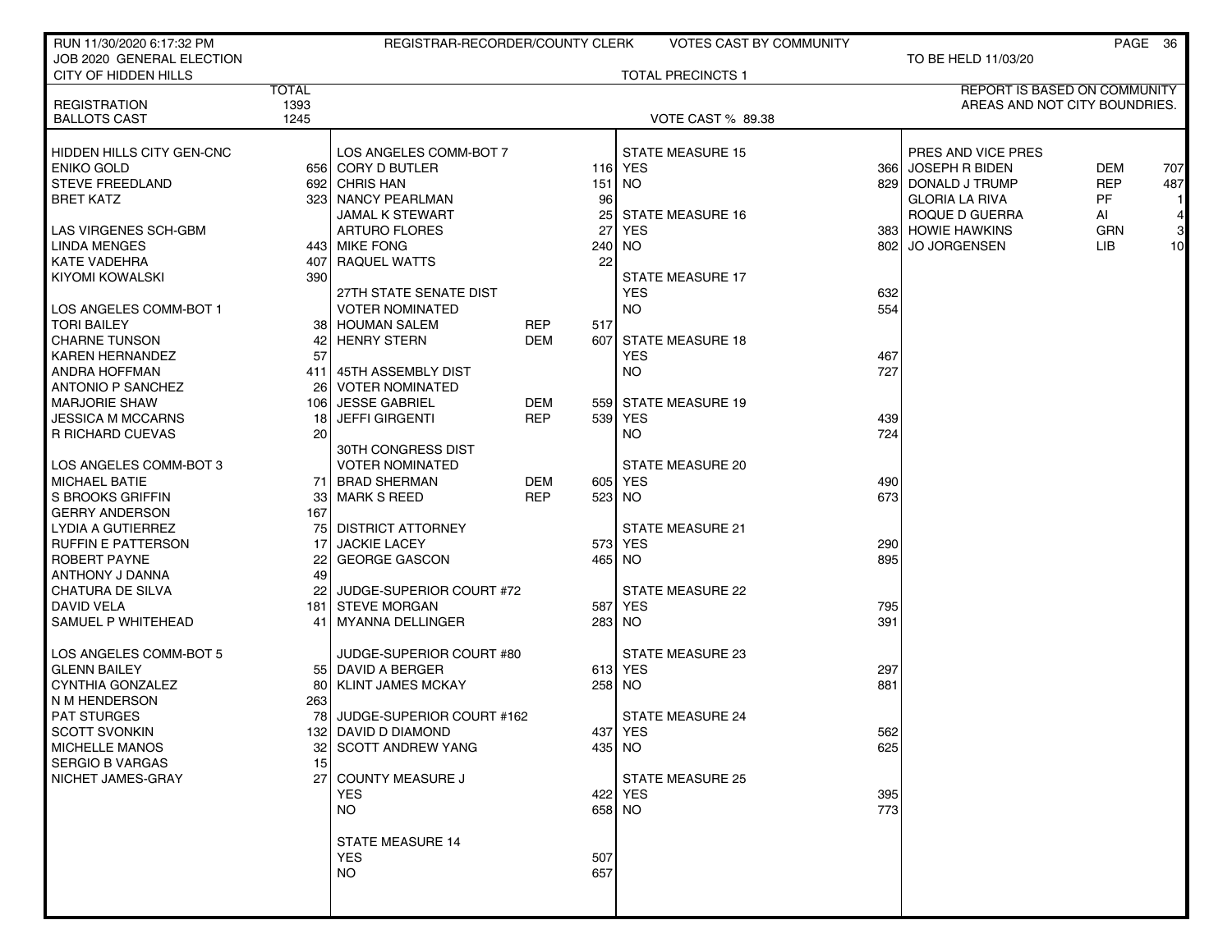| RUN 11/30/2020 6:17:32 PM                      |              | REGISTRAR-RECORDER/COUNTY CLERK                  |            |                 | <b>VOTES CAST BY COMMUNITY</b>     |            |                               |            | PAGE 36 |
|------------------------------------------------|--------------|--------------------------------------------------|------------|-----------------|------------------------------------|------------|-------------------------------|------------|---------|
| JOB 2020 GENERAL ELECTION                      |              |                                                  |            |                 |                                    |            | TO BE HELD 11/03/20           |            |         |
| <b>CITY OF HIDDEN HILLS</b>                    |              |                                                  |            |                 | <b>TOTAL PRECINCTS 1</b>           |            |                               |            |         |
|                                                | <b>TOTAL</b> |                                                  |            |                 |                                    |            | REPORT IS BASED ON COMMUNITY  |            |         |
| <b>REGISTRATION</b><br><b>BALLOTS CAST</b>     | 1393<br>1245 |                                                  |            |                 | VOTE CAST % 89.38                  |            | AREAS AND NOT CITY BOUNDRIES. |            |         |
|                                                |              |                                                  |            |                 |                                    |            |                               |            |         |
| HIDDEN HILLS CITY GEN-CNC                      |              | LOS ANGELES COMM-BOT 7                           |            |                 | <b>STATE MEASURE 15</b>            |            | PRES AND VICE PRES            |            |         |
| <b>ENIKO GOLD</b>                              |              | 656 CORY D BUTLER                                |            |                 | 116 YES                            |            | 366 JOSEPH R BIDEN            | DEM        | 707     |
| <b>STEVE FREEDLAND</b>                         |              | 692 CHRIS HAN                                    |            | 151 NO          |                                    |            | 829 DONALD J TRUMP            | <b>REP</b> | 487     |
| <b>BRET KATZ</b>                               |              | 323 NANCY PEARLMAN                               |            | 96              |                                    |            | <b>GLORIA LA RIVA</b>         | PF         |         |
|                                                |              | <b>JAMAL K STEWART</b>                           |            | 25 <sub>1</sub> | <b>STATE MEASURE 16</b>            |            | ROQUE D GUERRA                | AI         | 4       |
| LAS VIRGENES SCH-GBM                           |              | <b>ARTURO FLORES</b>                             |            | 27              | YES                                |            | 383 HOWIE HAWKINS             | GRN        | 3       |
| <b>LINDA MENGES</b>                            |              | 443 MIKE FONG                                    |            |                 | 240 NO                             | 8021       | <b>JO JORGENSEN</b>           | LIB.       | 10      |
| <b>KATE VADEHRA</b>                            | 4071         | <b>RAQUEL WATTS</b>                              |            | 22              |                                    |            |                               |            |         |
| KIYOMI KOWALSKI                                | 390          |                                                  |            |                 | <b>STATE MEASURE 17</b>            |            |                               |            |         |
| LOS ANGELES COMM-BOT 1                         |              | 27TH STATE SENATE DIST<br><b>VOTER NOMINATED</b> |            |                 | <b>YES</b><br><b>NO</b>            | 632<br>554 |                               |            |         |
| <b>TORI BAILEY</b>                             | 38 I         | <b>HOUMAN SALEM</b>                              | <b>REP</b> | 517             |                                    |            |                               |            |         |
| <b>CHARNE TUNSON</b>                           | 42           | <b>HENRY STERN</b>                               | <b>DEM</b> | 607             | <b>STATE MEASURE 18</b>            |            |                               |            |         |
| <b>KAREN HERNANDEZ</b>                         | 57           |                                                  |            |                 | <b>YES</b>                         | 467        |                               |            |         |
| <b>ANDRA HOFFMAN</b>                           | 4111         | 45TH ASSEMBLY DIST                               |            |                 | NO                                 | 727        |                               |            |         |
| <b>ANTONIO P SANCHEZ</b>                       | 26           | <b>VOTER NOMINATED</b>                           |            |                 |                                    |            |                               |            |         |
| <b>MARJORIE SHAW</b>                           | 106 l        | <b>JESSE GABRIEL</b>                             | <b>DEM</b> |                 | 559 STATE MEASURE 19               |            |                               |            |         |
| <b>JESSICA M MCCARNS</b>                       | 18           | <b>JEFFI GIRGENTI</b>                            | <b>REP</b> |                 | 539 YES                            | 439        |                               |            |         |
| R RICHARD CUEVAS                               | 20           |                                                  |            |                 | NO.                                | 724        |                               |            |         |
|                                                |              | 30TH CONGRESS DIST                               |            |                 |                                    |            |                               |            |         |
| LOS ANGELES COMM-BOT 3                         |              | <b>VOTER NOMINATED</b>                           |            |                 | <b>STATE MEASURE 20</b>            |            |                               |            |         |
| <b>MICHAEL BATIE</b>                           |              | 71 BRAD SHERMAN                                  | <b>DEM</b> |                 | 605 YES                            | 490        |                               |            |         |
| S BROOKS GRIFFIN                               | 33           | <b>MARK S REED</b>                               | <b>REP</b> | 523 NO          |                                    | 673        |                               |            |         |
| <b>GERRY ANDERSON</b>                          | 167          |                                                  |            |                 |                                    |            |                               |            |         |
| LYDIA A GUTIERREZ<br><b>RUFFIN E PATTERSON</b> | 17           | 75 DISTRICT ATTORNEY<br><b>JACKIE LACEY</b>      |            |                 | <b>STATE MEASURE 21</b><br>573 YES | 290        |                               |            |         |
| ROBERT PAYNE                                   | 221          | <b>GEORGE GASCON</b>                             |            |                 | 465 NO                             | 895        |                               |            |         |
| ANTHONY J DANNA                                | 49           |                                                  |            |                 |                                    |            |                               |            |         |
| <b>CHATURA DE SILVA</b>                        | 221          | JUDGE-SUPERIOR COURT #72                         |            |                 | <b>STATE MEASURE 22</b>            |            |                               |            |         |
| DAVID VELA                                     |              | 181 STEVE MORGAN                                 |            |                 | 587 YES                            | 795        |                               |            |         |
| SAMUEL P WHITEHEAD                             |              | 41   MYANNA DELLINGER                            |            |                 | 283 NO                             | 391        |                               |            |         |
|                                                |              |                                                  |            |                 |                                    |            |                               |            |         |
| LOS ANGELES COMM-BOT 5                         |              | JUDGE-SUPERIOR COURT #80                         |            |                 | <b>STATE MEASURE 23</b>            |            |                               |            |         |
| <b>GLENN BAILEY</b>                            |              | 55 DAVID A BERGER                                |            |                 | 613 YES                            | 297        |                               |            |         |
| <b>CYNTHIA GONZALEZ</b>                        | 80           | <b>KLINT JAMES MCKAY</b>                         |            |                 | 258 NO                             | 881        |                               |            |         |
| N M HENDERSON                                  | 263          |                                                  |            |                 |                                    |            |                               |            |         |
| <b>PAT STURGES</b>                             | 78 I         | JUDGE-SUPERIOR COURT #162                        |            |                 | <b>STATE MEASURE 24</b>            |            |                               |            |         |
| <b>SCOTT SVONKIN</b><br><b>MICHELLE MANOS</b>  |              | 132 DAVID D DIAMOND<br>32 SCOTT ANDREW YANG      |            |                 | 437 YES<br>435 NO                  | 562<br>625 |                               |            |         |
| <b>SERGIO B VARGAS</b>                         | 15           |                                                  |            |                 |                                    |            |                               |            |         |
| NICHET JAMES-GRAY                              | 27           | <b>COUNTY MEASURE J</b>                          |            |                 | <b>STATE MEASURE 25</b>            |            |                               |            |         |
|                                                |              | <b>YES</b>                                       |            |                 | 422 YES                            | 395        |                               |            |         |
|                                                |              | <b>NO</b>                                        |            |                 | 658 NO                             | 773        |                               |            |         |
|                                                |              |                                                  |            |                 |                                    |            |                               |            |         |
|                                                |              | <b>STATE MEASURE 14</b>                          |            |                 |                                    |            |                               |            |         |
|                                                |              | <b>YES</b>                                       |            | 507             |                                    |            |                               |            |         |
|                                                |              | <b>NO</b>                                        |            | 657             |                                    |            |                               |            |         |
|                                                |              |                                                  |            |                 |                                    |            |                               |            |         |
|                                                |              |                                                  |            |                 |                                    |            |                               |            |         |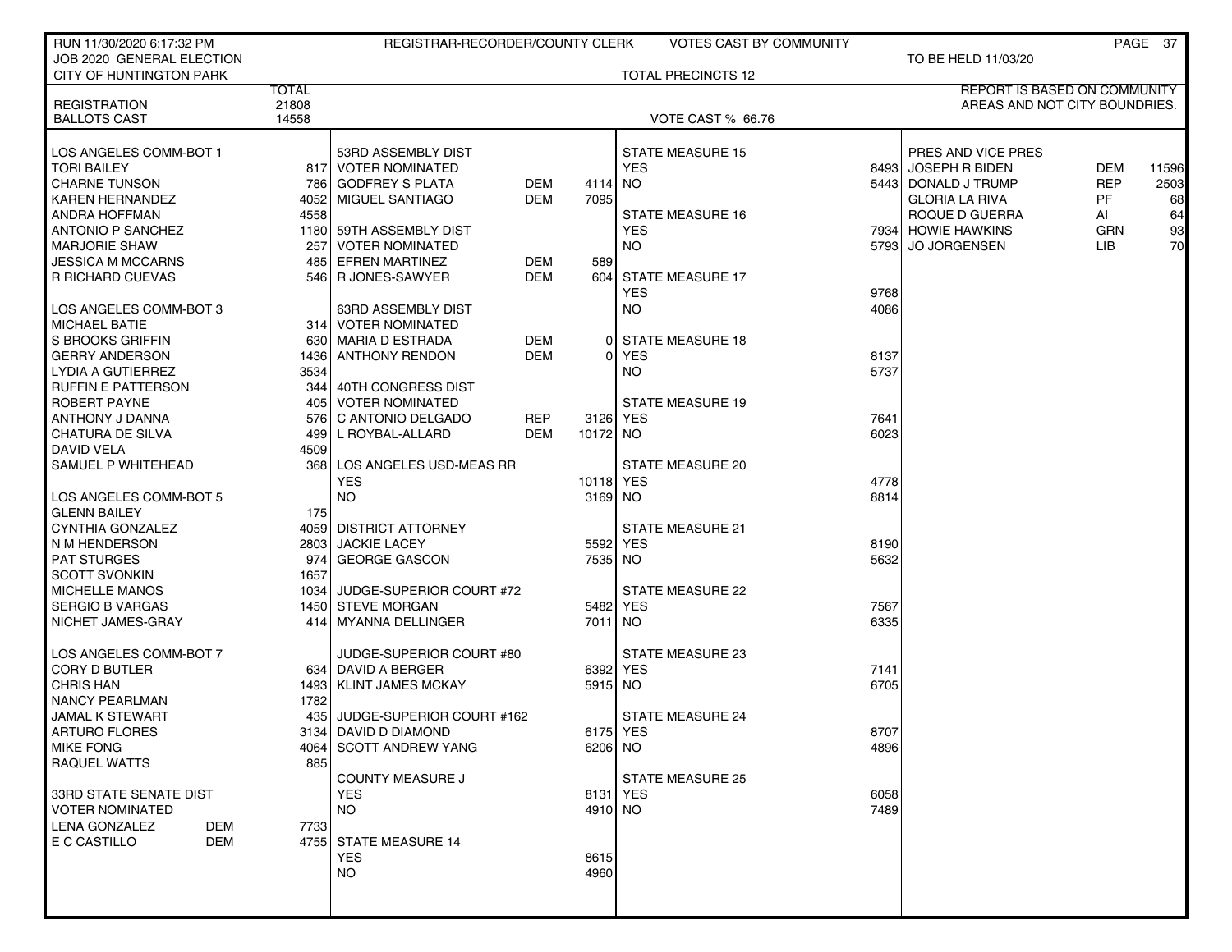| RUN 11/30/2020 6:17:32 PM      |              | REGISTRAR-RECORDER/COUNTY CLERK     |           | VOTES CAST BY COMMUNITY   |      |                               |            | PAGE 37 |
|--------------------------------|--------------|-------------------------------------|-----------|---------------------------|------|-------------------------------|------------|---------|
| JOB 2020 GENERAL ELECTION      |              |                                     |           |                           |      | TO BE HELD 11/03/20           |            |         |
| <b>CITY OF HUNTINGTON PARK</b> |              |                                     |           | <b>TOTAL PRECINCTS 12</b> |      |                               |            |         |
|                                | <b>TOTAL</b> |                                     |           |                           |      | REPORT IS BASED ON COMMUNITY  |            |         |
| <b>REGISTRATION</b>            | 21808        |                                     |           |                           |      | AREAS AND NOT CITY BOUNDRIES. |            |         |
| <b>BALLOTS CAST</b>            | 14558        |                                     |           | VOTE CAST % 66.76         |      |                               |            |         |
| LOS ANGELES COMM-BOT 1         |              | 53RD ASSEMBLY DIST                  |           | <b>STATE MEASURE 15</b>   |      | PRES AND VICE PRES            |            |         |
| <b>TORI BAILEY</b>             |              | 817 VOTER NOMINATED                 |           | <b>YES</b>                |      | 8493 JOSEPH R BIDEN           | <b>DEM</b> | 11596   |
| <b>CHARNE TUNSON</b>           |              | 786 GODFREY S PLATA<br><b>DEM</b>   | 4114      | NO.                       |      | 5443 DONALD J TRUMP           | <b>REP</b> | 2503    |
| <b>KAREN HERNANDEZ</b>         | 4052         | MIGUEL SANTIAGO<br>DEM              | 7095      |                           |      | <b>GLORIA LA RIVA</b>         | PF.        | 68      |
| <b>ANDRA HOFFMAN</b>           | 4558         |                                     |           | <b>STATE MEASURE 16</b>   |      | ROQUE D GUERRA                | AI         | 64      |
| <b>ANTONIO P SANCHEZ</b>       |              | 1180 59TH ASSEMBLY DIST             |           | <b>YES</b>                |      | 7934 HOWIE HAWKINS            | GRN        | 93      |
| <b>MARJORIE SHAW</b>           | 257          | I VOTER NOMINATED                   |           | <b>NO</b>                 |      | 5793 JO JORGENSEN             | LIB.       | 70      |
| <b>JESSICA M MCCARNS</b>       |              | 485 EFREN MARTINEZ<br>DEM           | 589       |                           |      |                               |            |         |
| <b>R RICHARD CUEVAS</b>        |              | 546 R JONES-SAWYER<br>DEM           |           | 604 STATE MEASURE 17      |      |                               |            |         |
|                                |              |                                     |           | <b>YES</b>                | 9768 |                               |            |         |
| LOS ANGELES COMM-BOT 3         |              | 63RD ASSEMBLY DIST                  |           | NO.                       | 4086 |                               |            |         |
| <b>MICHAEL BATIE</b>           |              | 314 VOTER NOMINATED                 |           |                           |      |                               |            |         |
| S BROOKS GRIFFIN               |              | 630   MARIA D ESTRADA<br>DEM        |           | 0 STATE MEASURE 18        |      |                               |            |         |
| <b>GERRY ANDERSON</b>          |              | <b>DEM</b><br>1436 ANTHONY RENDON   | $\Omega$  | YES                       | 8137 |                               |            |         |
| LYDIA A GUTIERREZ              | 3534         |                                     |           | NO.                       | 5737 |                               |            |         |
| <b>RUFFIN E PATTERSON</b>      |              | 344   40TH CONGRESS DIST            |           |                           |      |                               |            |         |
| ROBERT PAYNE                   |              | 405   VOTER NOMINATED               |           | <b>STATE MEASURE 19</b>   |      |                               |            |         |
| ANTHONY J DANNA                |              | 576 C ANTONIO DELGADO<br><b>REP</b> | 3126 YES  |                           | 7641 |                               |            |         |
| <b>CHATURA DE SILVA</b>        |              | 499 L ROYBAL-ALLARD<br>DEM          | 10172 NO  |                           | 6023 |                               |            |         |
| DAVID VELA                     | 4509         |                                     |           |                           |      |                               |            |         |
| SAMUEL P WHITEHEAD             |              | 368 LOS ANGELES USD-MEAS RR         |           | <b>STATE MEASURE 20</b>   |      |                               |            |         |
|                                |              | <b>YES</b>                          | 10118 YES |                           | 4778 |                               |            |         |
| LOS ANGELES COMM-BOT 5         |              | <b>NO</b>                           | 3169 NO   |                           | 8814 |                               |            |         |
| <b>GLENN BAILEY</b>            | 175          |                                     |           |                           |      |                               |            |         |
| CYNTHIA GONZALEZ               |              | 4059 DISTRICT ATTORNEY              |           | <b>STATE MEASURE 21</b>   |      |                               |            |         |
| N M HENDERSON                  | 28031        | <b>JACKIE LACEY</b>                 |           | 5592 YES                  | 8190 |                               |            |         |
| <b>PAT STURGES</b>             |              | 974 GEORGE GASCON                   | 7535 NO   |                           | 5632 |                               |            |         |
| <b>SCOTT SVONKIN</b>           | 1657         |                                     |           |                           |      |                               |            |         |
| <b>MICHELLE MANOS</b>          |              | 1034 JUDGE-SUPERIOR COURT #72       |           | <b>STATE MEASURE 22</b>   |      |                               |            |         |
| <b>SERGIO B VARGAS</b>         |              | 1450 STEVE MORGAN                   | 5482 YES  |                           | 7567 |                               |            |         |
| NICHET JAMES-GRAY              |              | 414   MYANNA DELLINGER              | 7011 NO   |                           | 6335 |                               |            |         |
|                                |              |                                     |           |                           |      |                               |            |         |
| LOS ANGELES COMM-BOT 7         |              | JUDGE-SUPERIOR COURT #80            |           | <b>STATE MEASURE 23</b>   |      |                               |            |         |
| CORY D BUTLER                  |              | 634 DAVID A BERGER                  |           | 6392 YES                  | 7141 |                               |            |         |
| <b>CHRIS HAN</b>               |              | 1493 KLINT JAMES MCKAY              | 5915 NO   |                           | 6705 |                               |            |         |
| <b>NANCY PEARLMAN</b>          | 1782         |                                     |           |                           |      |                               |            |         |
| <b>JAMAL K STEWART</b>         |              | 435 JUDGE-SUPERIOR COURT #162       |           | <b>STATE MEASURE 24</b>   |      |                               |            |         |
| <b>ARTURO FLORES</b>           |              | 3134 DAVID D DIAMOND                | 6175 YES  |                           | 8707 |                               |            |         |
| <b>MIKE FONG</b>               |              | 4064 SCOTT ANDREW YANG              | 6206 NO   |                           | 4896 |                               |            |         |
| <b>RAQUEL WATTS</b>            | 885          |                                     |           |                           |      |                               |            |         |
|                                |              | <b>COUNTY MEASURE J</b>             |           | <b>STATE MEASURE 25</b>   |      |                               |            |         |
| 33RD STATE SENATE DIST         |              | <b>YES</b>                          |           | 8131 YES                  | 6058 |                               |            |         |
| <b>VOTER NOMINATED</b>         |              | <b>NO</b>                           | 4910 NO   |                           | 7489 |                               |            |         |
| LENA GONZALEZ<br>DEM           | 7733         |                                     |           |                           |      |                               |            |         |
| <b>DEM</b><br>E C CASTILLO     |              | 4755 STATE MEASURE 14               |           |                           |      |                               |            |         |
|                                |              | <b>YES</b>                          | 8615      |                           |      |                               |            |         |
|                                |              | <b>NO</b>                           | 4960      |                           |      |                               |            |         |
|                                |              |                                     |           |                           |      |                               |            |         |
|                                |              |                                     |           |                           |      |                               |            |         |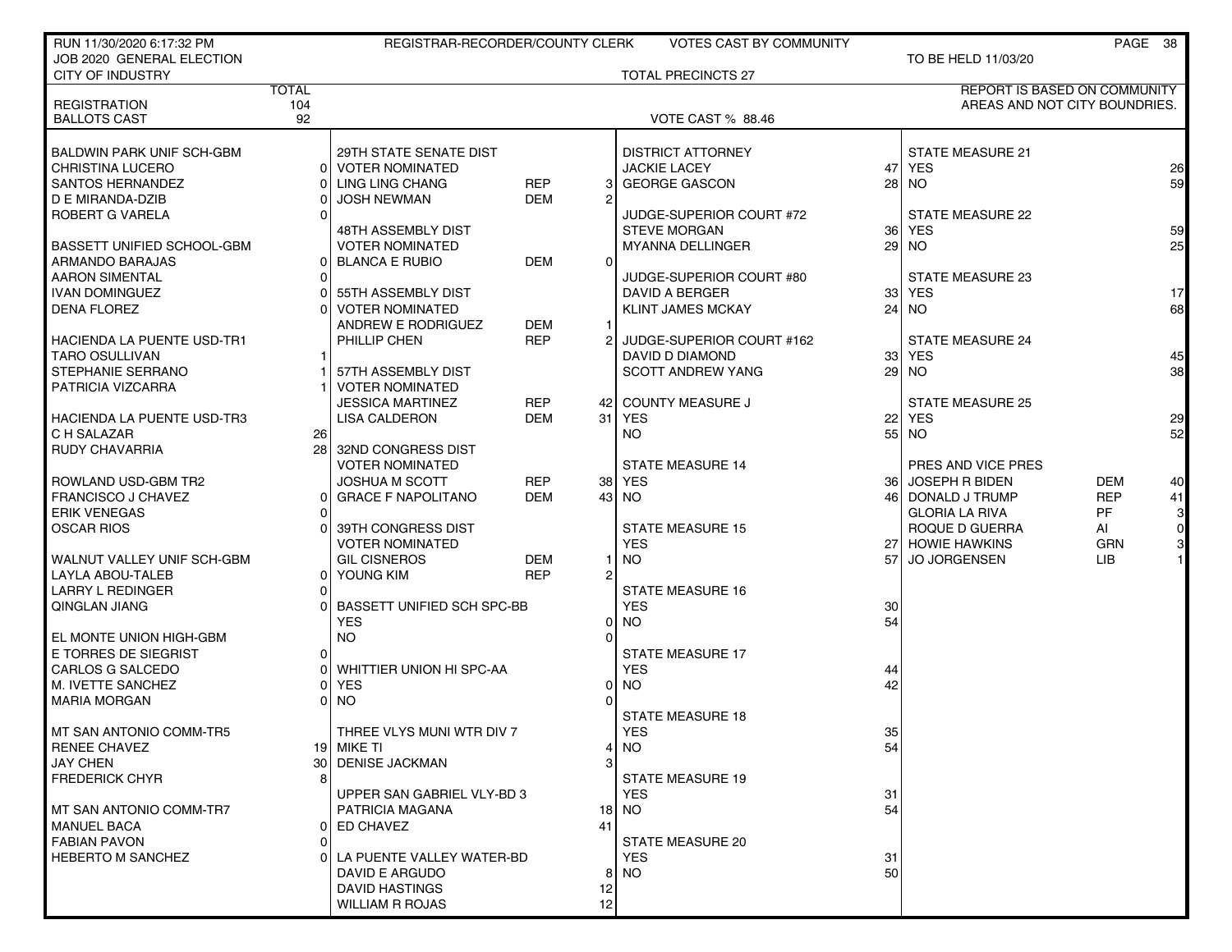| RUN 11/30/2020 6:17:32 PM                             |              | REGISTRAR-RECORDER/COUNTY CLERK   |                          |                | <b>VOTES CAST BY COMMUNITY</b> |                 |                         | PAGE 38                             |                 |
|-------------------------------------------------------|--------------|-----------------------------------|--------------------------|----------------|--------------------------------|-----------------|-------------------------|-------------------------------------|-----------------|
| JOB 2020 GENERAL ELECTION                             |              |                                   |                          |                |                                |                 | TO BE HELD 11/03/20     |                                     |                 |
| <b>CITY OF INDUSTRY</b>                               |              |                                   |                          |                | <b>TOTAL PRECINCTS 27</b>      |                 |                         |                                     |                 |
|                                                       | <b>TOTAL</b> |                                   |                          |                |                                |                 |                         | <b>REPORT IS BASED ON COMMUNITY</b> |                 |
| <b>REGISTRATION</b>                                   | 104          |                                   |                          |                |                                |                 |                         | AREAS AND NOT CITY BOUNDRIES.       |                 |
| <b>BALLOTS CAST</b>                                   | 92           |                                   |                          |                | VOTE CAST % 88.46              |                 |                         |                                     |                 |
| <b>BALDWIN PARK UNIF SCH-GBM</b>                      |              | 29TH STATE SENATE DIST            |                          |                | <b>DISTRICT ATTORNEY</b>       |                 | <b>STATE MEASURE 21</b> |                                     |                 |
| <b>CHRISTINA LUCERO</b>                               |              | 0 VOTER NOMINATED                 |                          |                | <b>JACKIE LACEY</b>            |                 | 47 YES                  |                                     | 26              |
| <b>SANTOS HERNANDEZ</b>                               |              | LING LING CHANG                   | <b>REP</b>               | 3              | <b>GEORGE GASCON</b>           | 28 <sup>1</sup> | <b>NO</b>               |                                     | 59              |
| D E MIRANDA-DZIB                                      |              | <b>JOSH NEWMAN</b>                | <b>DEM</b>               | 2              |                                |                 |                         |                                     |                 |
| ROBERT G VARELA                                       |              |                                   |                          |                | JUDGE-SUPERIOR COURT #72       |                 | STATE MEASURE 22        |                                     |                 |
|                                                       |              | 48TH ASSEMBLY DIST                |                          |                | <b>STEVE MORGAN</b>            | 36 l            | <b>YES</b>              |                                     | 59              |
| BASSETT UNIFIED SCHOOL-GBM                            |              | <b>VOTER NOMINATED</b>            |                          |                | <b>MYANNA DELLINGER</b>        | 29              | <b>NO</b>               |                                     | 25              |
| ARMANDO BARAJAS                                       |              | 0 BLANCA E RUBIO                  | <b>DEM</b>               | $\Omega$       |                                |                 |                         |                                     |                 |
| <b>AARON SIMENTAL</b>                                 |              |                                   |                          |                | JUDGE-SUPERIOR COURT #80       |                 | <b>STATE MEASURE 23</b> |                                     |                 |
| <b>IVAN DOMINGUEZ</b>                                 |              | 55TH ASSEMBLY DIST                |                          |                | DAVID A BERGER                 | 331             | <b>YES</b>              |                                     | 17 <sup>1</sup> |
| <b>DENA FLOREZ</b>                                    |              | <b>VOTER NOMINATED</b>            |                          |                | <b>KLINT JAMES MCKAY</b>       |                 | $24$ NO                 |                                     | 68              |
|                                                       |              | ANDREW E RODRIGUEZ                | <b>DEM</b>               |                |                                |                 |                         |                                     |                 |
| <b>HACIENDA LA PUENTE USD-TR1</b>                     |              | PHILLIP CHEN                      | <b>REP</b>               |                | JUDGE-SUPERIOR COURT #162      |                 | <b>STATE MEASURE 24</b> |                                     |                 |
| <b>TARO OSULLIVAN</b>                                 |              |                                   |                          |                | DAVID D DIAMOND                |                 | 33 YES                  |                                     | 45              |
| <b>STEPHANIE SERRANO</b>                              |              | 57TH ASSEMBLY DIST                |                          |                | <b>SCOTT ANDREW YANG</b>       | 29              | <b>NO</b>               |                                     | 38              |
| PATRICIA VIZCARRA                                     |              | <b>VOTER NOMINATED</b>            |                          |                |                                |                 |                         |                                     |                 |
|                                                       |              | <b>JESSICA MARTINEZ</b>           | <b>REP</b>               |                | 42 COUNTY MEASURE J            |                 | <b>STATE MEASURE 25</b> |                                     |                 |
| <b>HACIENDA LA PUENTE USD-TR3</b>                     |              | <b>LISA CALDERON</b>              | <b>DEM</b>               |                | 31 YES                         | 22              | <b>YES</b>              |                                     | 29              |
| C H SALAZAR                                           | 26 l         |                                   |                          |                | <b>NO</b>                      |                 | $55$ NO                 |                                     | 52              |
| <b>RUDY CHAVARRIA</b>                                 |              | 28 32ND CONGRESS DIST             |                          |                |                                |                 |                         |                                     |                 |
|                                                       |              | <b>VOTER NOMINATED</b>            |                          |                | <b>STATE MEASURE 14</b>        |                 | PRES AND VICE PRES      |                                     |                 |
| ROWLAND USD-GBM TR2                                   |              | <b>JOSHUA M SCOTT</b>             | <b>REP</b>               |                | 38 YES                         | 36 I            | <b>JOSEPH R BIDEN</b>   | <b>DEM</b>                          | 40              |
| <b>FRANCISCO J CHAVEZ</b>                             | 01           | <b>GRACE F NAPOLITANO</b>         | <b>DEM</b>               |                | 43 NO                          |                 | 46 DONALD J TRUMP       | <b>REP</b>                          | 41              |
| <b>ERIK VENEGAS</b>                                   |              |                                   |                          |                |                                |                 | <b>GLORIA LA RIVA</b>   | <b>PF</b>                           | 3 <sup>1</sup>  |
| <b>OSCAR RIOS</b>                                     |              | 39TH CONGRESS DIST                |                          |                | <b>STATE MEASURE 15</b>        |                 | ROQUE D GUERRA          | AI                                  | $\overline{O}$  |
|                                                       |              | <b>VOTER NOMINATED</b>            |                          |                | <b>YES</b>                     |                 | 27 HOWIE HAWKINS        | <b>GRN</b>                          | 3 <sub>l</sub>  |
| WALNUT VALLEY UNIF SCH-GBM<br><b>LAYLA ABOU-TALEB</b> |              | <b>GIL CISNEROS</b>               | <b>DEM</b><br><b>REP</b> | $\overline{2}$ | NO.                            | 57 <sup>1</sup> | <b>JO JORGENSEN</b>     | LIB                                 |                 |
| <b>LARRY L REDINGER</b>                               | 01<br>0      | YOUNG KIM                         |                          |                | <b>STATE MEASURE 16</b>        |                 |                         |                                     |                 |
| QINGLAN JIANG                                         |              | <b>BASSETT UNIFIED SCH SPC-BB</b> |                          |                | <b>YES</b>                     | 30              |                         |                                     |                 |
|                                                       |              | <b>YES</b>                        |                          | $\Omega$       | <b>NO</b>                      | 54              |                         |                                     |                 |
| EL MONTE UNION HIGH-GBM                               |              | <b>NO</b>                         |                          | $\Omega$       |                                |                 |                         |                                     |                 |
| E TORRES DE SIEGRIST                                  | Οl           |                                   |                          |                | <b>STATE MEASURE 17</b>        |                 |                         |                                     |                 |
| CARLOS G SALCEDO                                      |              | WHITTIER UNION HI SPC-AA          |                          |                | <b>YES</b>                     | 44              |                         |                                     |                 |
| M. IVETTE SANCHEZ                                     |              | <b>YES</b>                        |                          | $\Omega$       | <b>NO</b>                      | 42              |                         |                                     |                 |
| <b>MARIA MORGAN</b>                                   |              | <b>NO</b>                         |                          | $\Omega$       |                                |                 |                         |                                     |                 |
|                                                       |              |                                   |                          |                | <b>STATE MEASURE 18</b>        |                 |                         |                                     |                 |
| MT SAN ANTONIO COMM-TR5                               |              | THREE VLYS MUNI WTR DIV 7         |                          |                | <b>YES</b>                     | 35              |                         |                                     |                 |
| <b>RENEE CHAVEZ</b>                                   |              | 19 MIKE TI                        |                          | 41             | <b>NO</b>                      | 54              |                         |                                     |                 |
| <b>JAY CHEN</b>                                       |              | 30 DENISE JACKMAN                 |                          | 3              |                                |                 |                         |                                     |                 |
| <b>FREDERICK CHYR</b>                                 |              |                                   |                          |                | <b>STATE MEASURE 19</b>        |                 |                         |                                     |                 |
|                                                       |              | UPPER SAN GABRIEL VLY-BD 3        |                          |                | YES.                           | 31              |                         |                                     |                 |
| MT SAN ANTONIO COMM-TR7                               |              | PATRICIA MAGANA                   |                          |                | 18 NO                          | 54              |                         |                                     |                 |
| <b>MANUEL BACA</b>                                    |              | 0 ED CHAVEZ                       |                          | 41             |                                |                 |                         |                                     |                 |
| <b>FABIAN PAVON</b>                                   |              |                                   |                          |                | STATE MEASURE 20               |                 |                         |                                     |                 |
| <b>HEBERTO M SANCHEZ</b>                              |              | LA PUENTE VALLEY WATER-BD         |                          |                | <b>YES</b>                     | 31              |                         |                                     |                 |
|                                                       |              | DAVID E ARGUDO                    |                          | 8              | <b>NO</b>                      | 50              |                         |                                     |                 |
|                                                       |              | <b>DAVID HASTINGS</b>             |                          | 12             |                                |                 |                         |                                     |                 |
|                                                       |              | <b>WILLIAM R ROJAS</b>            |                          | 12             |                                |                 |                         |                                     |                 |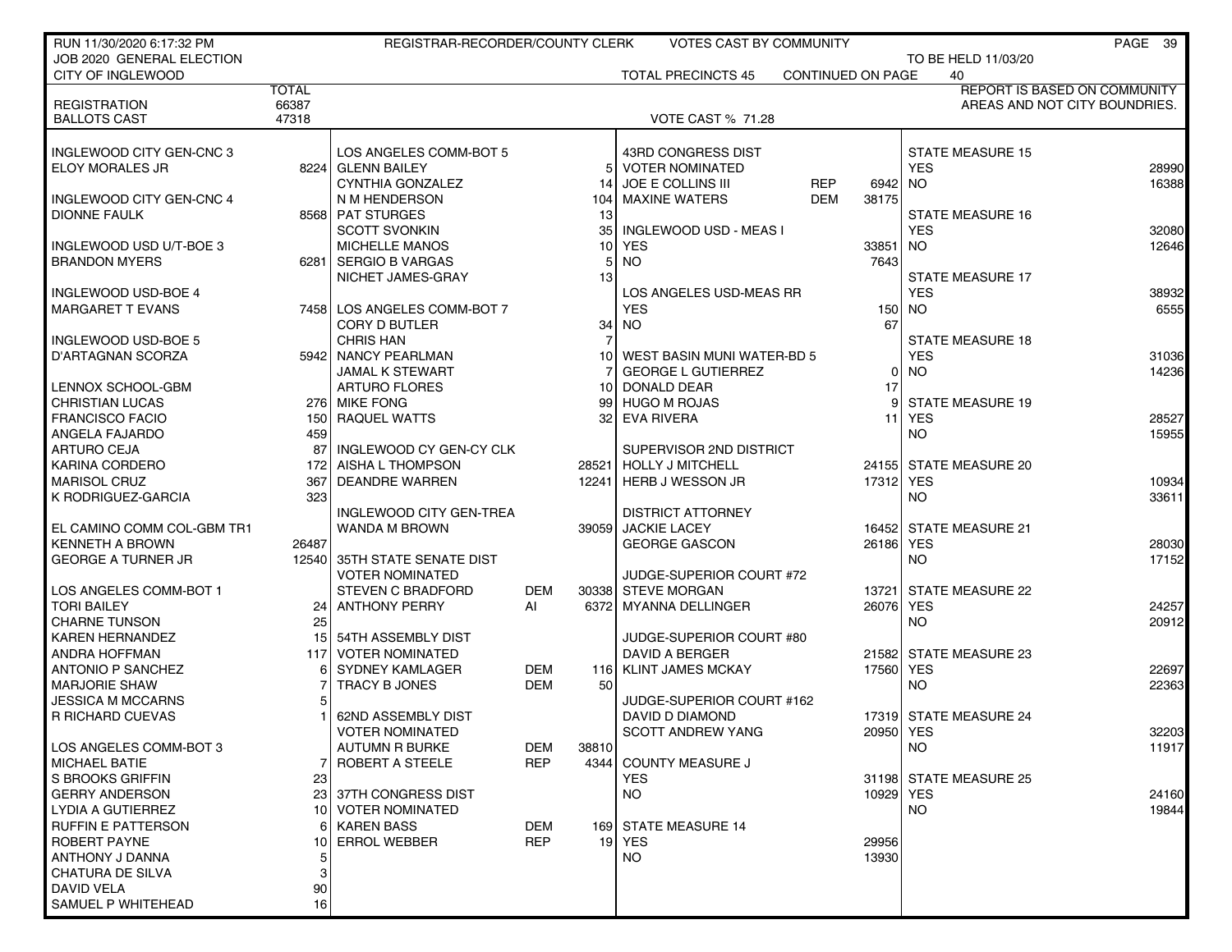| RUN 11/30/2020 6:17:32 PM                        |              | REGISTRAR-RECORDER/COUNTY CLERK                 |            |                | VOTES CAST BY COMMUNITY                           |                   |           |                                      | PAGE 39                             |
|--------------------------------------------------|--------------|-------------------------------------------------|------------|----------------|---------------------------------------------------|-------------------|-----------|--------------------------------------|-------------------------------------|
| JOB 2020 GENERAL ELECTION                        |              |                                                 |            |                |                                                   |                   |           | TO BE HELD 11/03/20                  |                                     |
| <b>CITY OF INGLEWOOD</b>                         |              |                                                 |            |                | <b>TOTAL PRECINCTS 45</b>                         | CONTINUED ON PAGE |           | 40                                   |                                     |
|                                                  | <b>TOTAL</b> |                                                 |            |                |                                                   |                   |           |                                      | <b>REPORT IS BASED ON COMMUNITY</b> |
| <b>REGISTRATION</b>                              | 66387        |                                                 |            |                |                                                   |                   |           |                                      | AREAS AND NOT CITY BOUNDRIES.       |
| <b>BALLOTS CAST</b>                              | 47318        |                                                 |            |                | <b>VOTE CAST % 71.28</b>                          |                   |           |                                      |                                     |
|                                                  |              |                                                 |            |                |                                                   |                   |           |                                      |                                     |
| INGLEWOOD CITY GEN-CNC 3                         |              | LOS ANGELES COMM-BOT 5                          |            |                | 43RD CONGRESS DIST                                |                   |           | <b>STATE MEASURE 15</b>              |                                     |
| ELOY MORALES JR                                  |              | 8224 GLENN BAILEY                               |            |                | <b>VOTER NOMINATED</b>                            |                   |           | <b>YES</b>                           | 28990                               |
|                                                  |              | <b>CYNTHIA GONZALEZ</b>                         |            | 14             | JOE E COLLINS III                                 | <b>REP</b>        | 6942 NO   |                                      | 16388                               |
| INGLEWOOD CITY GEN-CNC 4                         |              | N M HENDERSON                                   |            | 104            | <b>MAXINE WATERS</b>                              | <b>DEM</b>        | 38175     |                                      |                                     |
| <b>DIONNE FAULK</b>                              |              | 8568 PAT STURGES                                |            | 13             |                                                   |                   |           | <b>STATE MEASURE 16</b>              |                                     |
|                                                  |              | <b>SCOTT SVONKIN</b>                            |            | 35             | INGLEWOOD USD - MEAS I                            |                   |           | <b>YES</b>                           | 32080                               |
| INGLEWOOD USD U/T-BOE 3                          |              | <b>MICHELLE MANOS</b>                           |            | 10             | <b>YES</b>                                        |                   | 33851 NO  |                                      | 12646                               |
| <b>BRANDON MYERS</b>                             |              | 6281   SERGIO B VARGAS                          |            | 5 <sub>l</sub> | <b>NO</b>                                         |                   | 7643      |                                      |                                     |
|                                                  |              | NICHET JAMES-GRAY                               |            | 13             |                                                   |                   |           | <b>STATE MEASURE 17</b>              |                                     |
| INGLEWOOD USD-BOE 4                              |              |                                                 |            |                | LOS ANGELES USD-MEAS RR                           |                   |           | <b>YES</b>                           | 38932                               |
| <b>MARGARET T EVANS</b>                          |              | 7458 LOS ANGELES COMM-BOT 7                     |            |                | <b>YES</b>                                        |                   |           | 150 NO                               | 6555                                |
|                                                  |              | <b>CORY D BUTLER</b>                            |            | 34             | <b>NO</b>                                         |                   | 67        |                                      |                                     |
| INGLEWOOD USD-BOE 5                              |              | <b>CHRIS HAN</b>                                |            |                |                                                   |                   |           | <b>STATE MEASURE 18</b>              |                                     |
| D'ARTAGNAN SCORZA                                |              | 5942 NANCY PEARLMAN                             |            | 10 I           | WEST BASIN MUNI WATER-BD 5                        |                   |           | <b>YES</b>                           | 31036                               |
|                                                  |              | <b>JAMAL K STEWART</b>                          |            |                | <b>GEORGE L GUTIERREZ</b>                         |                   | 0         | <b>NO</b>                            | 14236                               |
| LENNOX SCHOOL-GBM                                |              | <b>ARTURO FLORES</b>                            |            | 10             | DONALD DEAR                                       |                   | 17        |                                      |                                     |
| <b>CHRISTIAN LUCAS</b>                           |              | 276 MIKE FONG                                   |            | 99 I           | <b>HUGO M ROJAS</b>                               |                   | 9         | <b>STATE MEASURE 19</b>              |                                     |
| <b>FRANCISCO FACIO</b>                           |              | 150 RAQUEL WATTS                                |            | 32 I           | <b>EVA RIVERA</b>                                 |                   |           | 11 YES                               | 28527                               |
| ANGELA FAJARDO                                   | 459          |                                                 |            |                |                                                   |                   |           | <b>NO</b>                            | 15955                               |
| <b>ARTURO CEJA</b>                               | 87           | INGLEWOOD CY GEN-CY CLK                         |            |                | SUPERVISOR 2ND DISTRICT                           |                   |           |                                      |                                     |
| KARINA CORDERO                                   | 172          | <b>AISHA L THOMPSON</b>                         |            | 28521          | <b>HOLLY J MITCHELL</b>                           |                   |           | 24155 STATE MEASURE 20               |                                     |
| <b>MARISOL CRUZ</b>                              | 367          | <b>DEANDRE WARREN</b>                           |            | 12241          | <b>HERB J WESSON JR</b>                           |                   | 17312 YES |                                      | 10934                               |
| K RODRIGUEZ-GARCIA                               | 323          |                                                 |            |                |                                                   |                   |           | NO.                                  | 33611                               |
|                                                  |              | INGLEWOOD CITY GEN-TREA                         |            |                | <b>DISTRICT ATTORNEY</b>                          |                   |           |                                      |                                     |
| EL CAMINO COMM COL-GBM TR1                       |              | WANDA M BROWN                                   |            | 39059          | <b>JACKIE LACEY</b>                               |                   |           | 16452 STATE MEASURE 21               |                                     |
| <b>KENNETH A BROWN</b>                           | 26487        |                                                 |            |                | <b>GEORGE GASCON</b>                              |                   | 26186 YES |                                      | 28030                               |
| <b>GEORGE A TURNER JR</b>                        |              | 12540 35TH STATE SENATE DIST                    |            |                |                                                   |                   |           | <b>NO</b>                            | 17152                               |
|                                                  |              | <b>VOTER NOMINATED</b>                          |            |                | JUDGE-SUPERIOR COURT #72                          |                   |           |                                      |                                     |
| LOS ANGELES COMM-BOT 1                           |              | <b>STEVEN C BRADFORD</b>                        | <b>DEM</b> | 30338          | <b>STEVE MORGAN</b>                               |                   | 13721     | <b>STATE MEASURE 22</b>              |                                     |
| <b>TORI BAILEY</b>                               | 24           | ANTHONY PERRY                                   | AI         | 6372           | <b>MYANNA DELLINGER</b>                           |                   | 26076 YES |                                      | 24257                               |
| <b>CHARNE TUNSON</b>                             | 25           |                                                 |            |                |                                                   |                   |           | <b>NO</b>                            | 20912                               |
| KAREN HERNANDEZ                                  | 15           | 54TH ASSEMBLY DIST                              |            |                | JUDGE-SUPERIOR COURT #80                          |                   |           |                                      |                                     |
| <b>ANDRA HOFFMAN</b>                             | 117          | <b>VOTER NOMINATED</b>                          |            |                | <b>DAVID A BERGER</b><br><b>KLINT JAMES MCKAY</b> |                   |           | 21582 STATE MEASURE 23<br><b>YES</b> |                                     |
| <b>ANTONIO P SANCHEZ</b><br><b>MARJORIE SHAW</b> |              | <b>SYDNEY KAMLAGER</b>                          | DEM        | 116 I          |                                                   |                   | 17560     | <b>NO</b>                            | 22697                               |
|                                                  |              | TRACY B JONES                                   | DEM        | 50             |                                                   |                   |           |                                      | 22363                               |
| <b>JESSICA M MCCARNS</b>                         |              | 62ND ASSEMBLY DIST                              |            |                | JUDGE-SUPERIOR COURT #162                         |                   |           |                                      |                                     |
| R RICHARD CUEVAS                                 |              |                                                 |            |                | DAVID D DIAMOND                                   |                   |           | 17319 STATE MEASURE 24               |                                     |
|                                                  |              | <b>VOTER NOMINATED</b>                          | <b>DEM</b> |                | <b>SCOTT ANDREW YANG</b>                          |                   | 20950 YES |                                      | 32203                               |
| LOS ANGELES COMM-BOT 3<br><b>MICHAEL BATIE</b>   |              | <b>AUTUMN R BURKE</b><br><b>ROBERT A STEELE</b> | <b>REP</b> | 38810<br>4344  | <b>COUNTY MEASURE J</b>                           |                   |           | NO.                                  | 11917                               |
| S BROOKS GRIFFIN                                 | 23           |                                                 |            |                | <b>YES</b>                                        |                   |           | 31198 STATE MEASURE 25               |                                     |
| <b>GERRY ANDERSON</b>                            |              | 23 37TH CONGRESS DIST                           |            |                | NO.                                               |                   | 10929 YES |                                      | 24160                               |
| LYDIA A GUTIERREZ                                |              | 10 VOTER NOMINATED                              |            |                |                                                   |                   |           | <b>NO</b>                            | 19844                               |
| <b>RUFFIN E PATTERSON</b>                        |              | <b>KAREN BASS</b>                               | DEM        |                | 169 STATE MEASURE 14                              |                   |           |                                      |                                     |
| ROBERT PAYNE                                     | 10           | <b>ERROL WEBBER</b>                             | <b>REP</b> |                | 19 YES                                            |                   | 29956     |                                      |                                     |
| ANTHONY J DANNA                                  | 5            |                                                 |            |                | NO                                                |                   | 13930     |                                      |                                     |
| CHATURA DE SILVA                                 | 3            |                                                 |            |                |                                                   |                   |           |                                      |                                     |
| DAVID VELA                                       | 90           |                                                 |            |                |                                                   |                   |           |                                      |                                     |
| SAMUEL P WHITEHEAD                               | 16           |                                                 |            |                |                                                   |                   |           |                                      |                                     |
|                                                  |              |                                                 |            |                |                                                   |                   |           |                                      |                                     |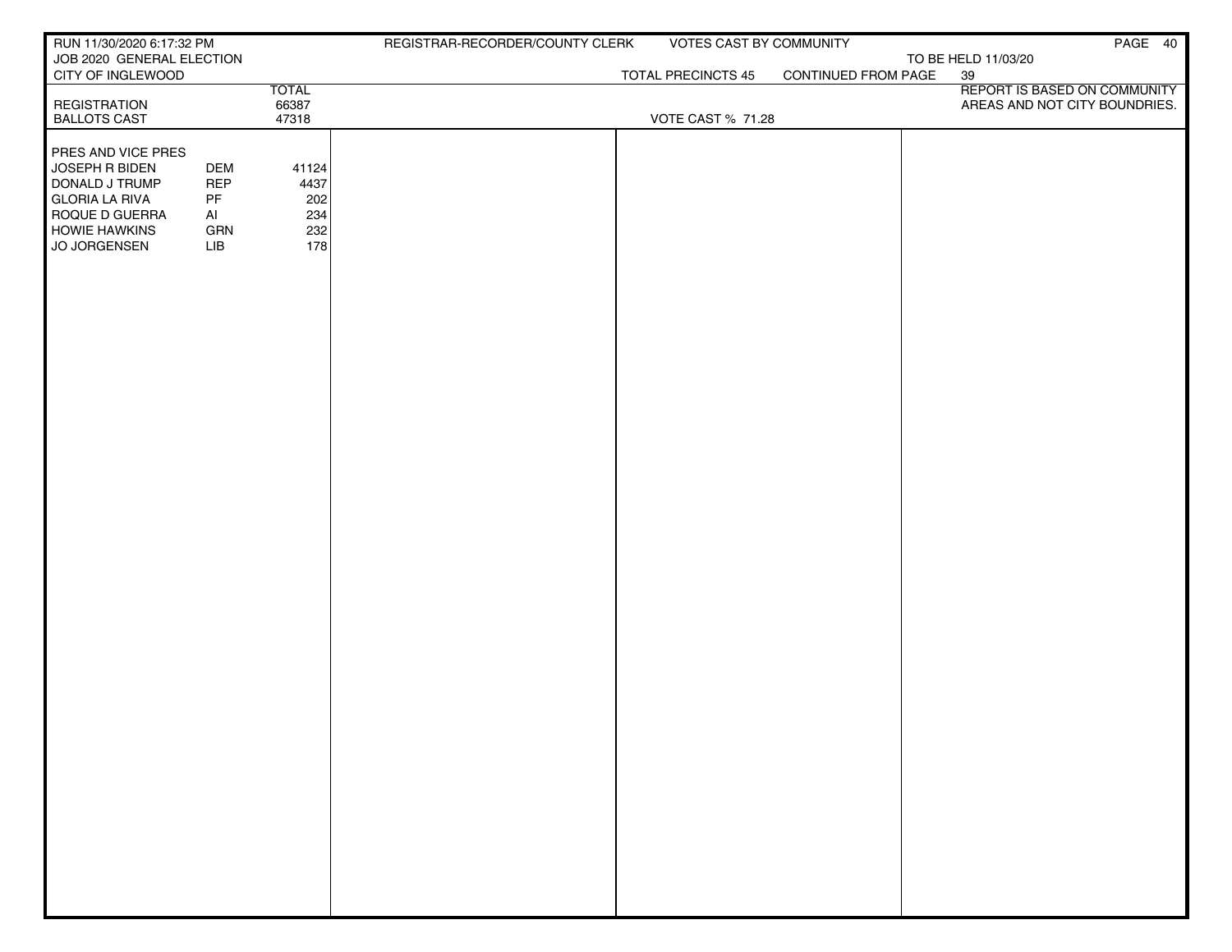| RUN 11/30/2020 6:17:32 PM              |            |              | REGISTRAR-RECORDER/COUNTY CLERK | VOTES CAST BY COMMUNITY   |                     | PAGE 40                            |
|----------------------------------------|------------|--------------|---------------------------------|---------------------------|---------------------|------------------------------------|
| JOB 2020 GENERAL ELECTION              |            |              |                                 | <b>TOTAL PRECINCTS 45</b> | CONTINUED FROM PAGE | TO BE HELD 11/03/20                |
| CITY OF INGLEWOOD                      |            | <b>TOTAL</b> |                                 |                           |                     | 39<br>REPORT IS BASED ON COMMUNITY |
| <b>REGISTRATION</b>                    |            | 66387        |                                 |                           |                     | AREAS AND NOT CITY BOUNDRIES.      |
| <b>BALLOTS CAST</b>                    |            | 47318        |                                 | VOTE CAST % 71.28         |                     |                                    |
| <b>PRES AND VICE PRES</b>              |            |              |                                 |                           |                     |                                    |
| JOSEPH R BIDEN                         | <b>DEM</b> | 41124        |                                 |                           |                     |                                    |
| DONALD J TRUMP                         | <b>REP</b> | 4437         |                                 |                           |                     |                                    |
| <b>GLORIA LA RIVA</b>                  | PF         | 202<br>234   |                                 |                           |                     |                                    |
| ROQUE D GUERRA<br><b>HOWIE HAWKINS</b> | Al<br>GRN  | 232          |                                 |                           |                     |                                    |
| JO JORGENSEN                           | LIB        | 178          |                                 |                           |                     |                                    |
|                                        |            |              |                                 |                           |                     |                                    |
|                                        |            |              |                                 |                           |                     |                                    |
|                                        |            |              |                                 |                           |                     |                                    |
|                                        |            |              |                                 |                           |                     |                                    |
|                                        |            |              |                                 |                           |                     |                                    |
|                                        |            |              |                                 |                           |                     |                                    |
|                                        |            |              |                                 |                           |                     |                                    |
|                                        |            |              |                                 |                           |                     |                                    |
|                                        |            |              |                                 |                           |                     |                                    |
|                                        |            |              |                                 |                           |                     |                                    |
|                                        |            |              |                                 |                           |                     |                                    |
|                                        |            |              |                                 |                           |                     |                                    |
|                                        |            |              |                                 |                           |                     |                                    |
|                                        |            |              |                                 |                           |                     |                                    |
|                                        |            |              |                                 |                           |                     |                                    |
|                                        |            |              |                                 |                           |                     |                                    |
|                                        |            |              |                                 |                           |                     |                                    |
|                                        |            |              |                                 |                           |                     |                                    |
|                                        |            |              |                                 |                           |                     |                                    |
|                                        |            |              |                                 |                           |                     |                                    |
|                                        |            |              |                                 |                           |                     |                                    |
|                                        |            |              |                                 |                           |                     |                                    |
|                                        |            |              |                                 |                           |                     |                                    |
|                                        |            |              |                                 |                           |                     |                                    |
|                                        |            |              |                                 |                           |                     |                                    |
|                                        |            |              |                                 |                           |                     |                                    |
|                                        |            |              |                                 |                           |                     |                                    |
|                                        |            |              |                                 |                           |                     |                                    |
|                                        |            |              |                                 |                           |                     |                                    |
|                                        |            |              |                                 |                           |                     |                                    |
|                                        |            |              |                                 |                           |                     |                                    |
|                                        |            |              |                                 |                           |                     |                                    |
|                                        |            |              |                                 |                           |                     |                                    |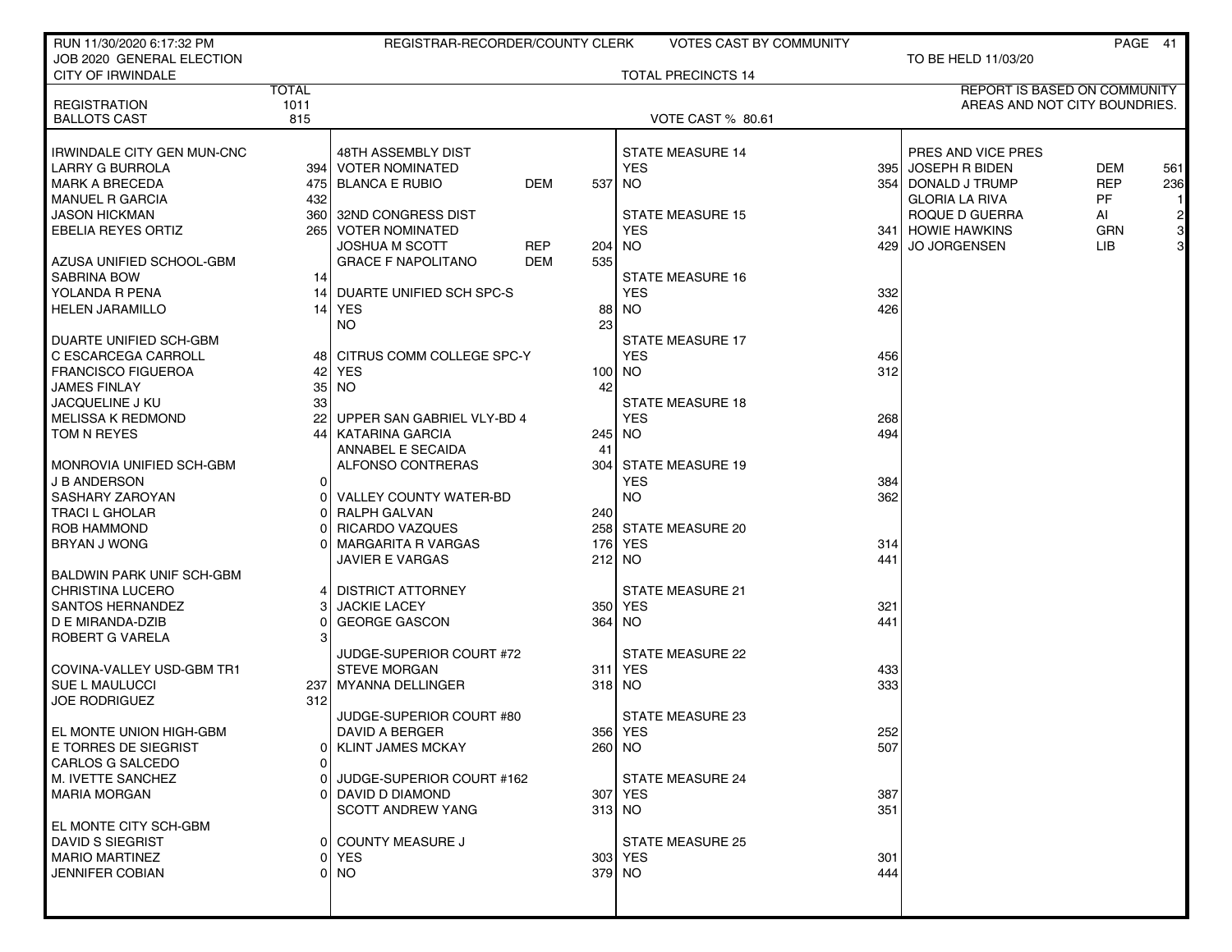| RUN 11/30/2020 6:17:32 PM                  |              | REGISTRAR-RECORDER/COUNTY CLERK     |     | <b>VOTES CAST BY COMMUNITY</b> |      |                               |            | PAGE 41        |
|--------------------------------------------|--------------|-------------------------------------|-----|--------------------------------|------|-------------------------------|------------|----------------|
| JOB 2020 GENERAL ELECTION                  |              |                                     |     |                                |      | TO BE HELD 11/03/20           |            |                |
| <b>CITY OF IRWINDALE</b>                   |              |                                     |     | <b>TOTAL PRECINCTS 14</b>      |      |                               |            |                |
|                                            | <b>TOTAL</b> |                                     |     |                                |      | REPORT IS BASED ON COMMUNITY  |            |                |
| <b>REGISTRATION</b><br><b>BALLOTS CAST</b> | 1011<br>815  |                                     |     | <b>VOTE CAST % 80.61</b>       |      | AREAS AND NOT CITY BOUNDRIES. |            |                |
|                                            |              |                                     |     |                                |      |                               |            |                |
| IRWINDALE CITY GEN MUN-CNC                 |              | 48TH ASSEMBLY DIST                  |     | <b>STATE MEASURE 14</b>        |      | PRES AND VICE PRES            |            |                |
| <b>LARRY G BURROLA</b>                     |              | 394   VOTER NOMINATED               |     | <b>YES</b>                     | 3951 | JOSEPH R BIDEN                | <b>DEM</b> | 561            |
| <b>MARK A BRECEDA</b>                      |              | <b>DEM</b><br>475 BLANCA E RUBIO    | 537 | NO.                            |      | 354   DONALD J TRUMP          | <b>REP</b> | 236            |
| MANUEL R GARCIA                            | 432          |                                     |     |                                |      | <b>GLORIA LA RIVA</b>         | <b>PF</b>  |                |
| <b>JASON HICKMAN</b>                       | 360 l        | 32ND CONGRESS DIST                  |     | <b>STATE MEASURE 15</b>        |      | ROQUE D GUERRA                | AI         |                |
| EBELIA REYES ORTIZ                         | 265 l        | <b>VOTER NOMINATED</b>              |     | <b>YES</b>                     |      | 341 HOWIE HAWKINS             | <b>GRN</b> | $\frac{2}{3}$  |
|                                            |              | <b>REP</b><br><b>JOSHUA M SCOTT</b> | 204 | NO.                            | 429  | <b>JO JORGENSEN</b>           | <b>LIB</b> | $\overline{3}$ |
| AZUSA UNIFIED SCHOOL-GBM                   |              | <b>GRACE F NAPOLITANO</b><br>DEM    | 535 |                                |      |                               |            |                |
| <b>SABRINA BOW</b>                         | 14           |                                     |     | <b>STATE MEASURE 16</b>        |      |                               |            |                |
| YOLANDA R PENA                             | 14           | <b>DUARTE UNIFIED SCH SPC-S</b>     |     | <b>YES</b>                     | 332  |                               |            |                |
| <b>HELEN JARAMILLO</b>                     |              | 14 YES                              | 88  | <b>NO</b>                      | 426  |                               |            |                |
|                                            |              | <b>NO</b>                           | 23  |                                |      |                               |            |                |
| DUARTE UNIFIED SCH-GBM                     |              |                                     |     | <b>STATE MEASURE 17</b>        |      |                               |            |                |
| C ESCARCEGA CARROLL                        |              | 48 CITRUS COMM COLLEGE SPC-Y        |     | <b>YES</b>                     | 456  |                               |            |                |
| <b>FRANCISCO FIGUEROA</b>                  | 42           | <b>YES</b>                          | 100 | <b>NO</b>                      | 312  |                               |            |                |
| <b>JAMES FINLAY</b>                        | 35           | NO.                                 | 42  |                                |      |                               |            |                |
| JACQUELINE J KU                            | 33           |                                     |     | <b>STATE MEASURE 18</b>        |      |                               |            |                |
| <b>MELISSA K REDMOND</b>                   | 221          | UPPER SAN GABRIEL VLY-BD 4          |     | <b>YES</b>                     | 268  |                               |            |                |
| TOM N REYES                                | 44           | KATARINA GARCIA                     | 245 | NO <sub>1</sub>                | 494  |                               |            |                |
|                                            |              | ANNABEL E SECAIDA                   | 41  |                                |      |                               |            |                |
| MONROVIA UNIFIED SCH-GBM                   |              | ALFONSO CONTRERAS                   | 304 | STATE MEASURE 19               |      |                               |            |                |
| <b>J B ANDERSON</b>                        | $\Omega$     |                                     |     | <b>YES</b>                     | 384  |                               |            |                |
| SASHARY ZAROYAN                            | $\Omega$     | VALLEY COUNTY WATER-BD              |     | NO.                            | 362  |                               |            |                |
| <b>TRACI L GHOLAR</b>                      | 0            | RALPH GALVAN                        | 240 |                                |      |                               |            |                |
| ROB HAMMOND                                | U            | <b>RICARDO VAZQUES</b>              |     | 258 STATE MEASURE 20           |      |                               |            |                |
| <b>BRYAN J WONG</b>                        |              | <b>MARGARITA R VARGAS</b>           |     | 176 YES                        | 314  |                               |            |                |
|                                            |              | <b>JAVIER E VARGAS</b>              |     | 212 NO                         | 441  |                               |            |                |
| BALDWIN PARK UNIF SCH-GBM                  |              |                                     |     |                                |      |                               |            |                |
| <b>CHRISTINA LUCERO</b>                    |              | <b>DISTRICT ATTORNEY</b>            |     | STATE MEASURE 21               |      |                               |            |                |
| SANTOS HERNANDEZ                           | 31           | <b>JACKIE LACEY</b>                 |     | 350 YES                        | 321  |                               |            |                |
| D E MIRANDA-DZIB                           | 0<br>3       | <b>GEORGE GASCON</b>                | 364 | NO.                            | 441  |                               |            |                |
| ROBERT G VARELA                            |              | JUDGE-SUPERIOR COURT #72            |     | <b>STATE MEASURE 22</b>        |      |                               |            |                |
| COVINA-VALLEY USD-GBM TR1                  |              | <b>STEVE MORGAN</b>                 |     | 311 YES                        | 433  |                               |            |                |
| SUE L MAULUCCI                             | 237          | MYANNA DELLINGER                    |     | 318 NO                         | 333  |                               |            |                |
| <b>JOE RODRIGUEZ</b>                       | 312          |                                     |     |                                |      |                               |            |                |
|                                            |              | JUDGE-SUPERIOR COURT #80            |     | <b>STATE MEASURE 23</b>        |      |                               |            |                |
| EL MONTE UNION HIGH-GBM                    |              | DAVID A BERGER                      |     | 356 YES                        | 252  |                               |            |                |
| E TORRES DE SIEGRIST                       | 0            | <b>KLINT JAMES MCKAY</b>            |     | 260 NO                         | 507  |                               |            |                |
| <b>CARLOS G SALCEDO</b>                    | $\Omega$     |                                     |     |                                |      |                               |            |                |
| M. IVETTE SANCHEZ                          | o١           | JUDGE-SUPERIOR COURT #162           |     | <b>STATE MEASURE 24</b>        |      |                               |            |                |
| <b>MARIA MORGAN</b>                        | ΩI           | DAVID D DIAMOND                     |     | 307 YES                        | 387  |                               |            |                |
|                                            |              | <b>SCOTT ANDREW YANG</b>            |     | $313$ NO                       | 351  |                               |            |                |
| EL MONTE CITY SCH-GBM                      |              |                                     |     |                                |      |                               |            |                |
| DAVID S SIEGRIST                           | $\Omega$     | <b>COUNTY MEASURE J</b>             |     | <b>STATE MEASURE 25</b>        |      |                               |            |                |
| <b>MARIO MARTINEZ</b>                      | Οl           | YES                                 |     | 303 YES                        | 301  |                               |            |                |
| <b>JENNIFER COBIAN</b>                     | Οl           | <b>NO</b>                           |     | 379 NO                         | 444  |                               |            |                |
|                                            |              |                                     |     |                                |      |                               |            |                |
|                                            |              |                                     |     |                                |      |                               |            |                |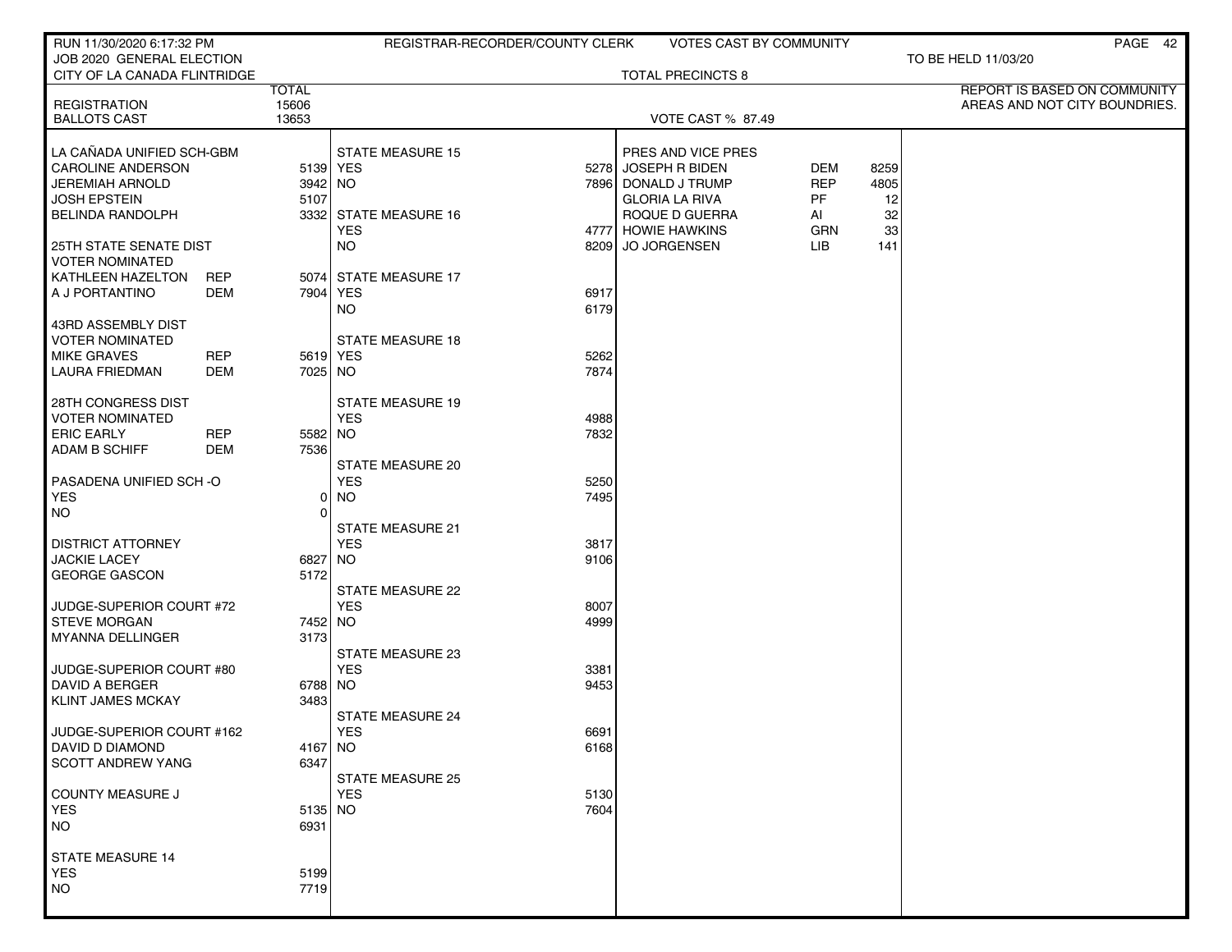| RUN 11/30/2020 6:17:32 PM                                 |            |                 |                                       | REGISTRAR-RECORDER/COUNTY CLERK | <b>VOTES CAST BY COMMUNITY</b> |            |      | PAGE 42                       |
|-----------------------------------------------------------|------------|-----------------|---------------------------------------|---------------------------------|--------------------------------|------------|------|-------------------------------|
| JOB 2020 GENERAL ELECTION<br>CITY OF LA CANADA FLINTRIDGE |            |                 |                                       |                                 | <b>TOTAL PRECINCTS 8</b>       |            |      | TO BE HELD 11/03/20           |
|                                                           |            | <b>TOTAL</b>    |                                       |                                 |                                |            |      | REPORT IS BASED ON COMMUNITY  |
| <b>REGISTRATION</b>                                       |            | 15606           |                                       |                                 |                                |            |      | AREAS AND NOT CITY BOUNDRIES. |
| <b>BALLOTS CAST</b>                                       |            | 13653           |                                       |                                 | <b>VOTE CAST % 87.49</b>       |            |      |                               |
| LA CAÑADA UNIFIED SCH-GBM                                 |            |                 | <b>STATE MEASURE 15</b>               |                                 | PRES AND VICE PRES             |            |      |                               |
| <b>CAROLINE ANDERSON</b>                                  |            | 5139 YES        |                                       |                                 | 5278 JOSEPH R BIDEN            | <b>DEM</b> | 8259 |                               |
| JEREMIAH ARNOLD                                           |            | 3942 NO         |                                       |                                 | 7896 DONALD J TRUMP            | <b>REP</b> | 4805 |                               |
| <b>JOSH EPSTEIN</b>                                       |            | 5107            |                                       |                                 | <b>GLORIA LA RIVA</b>          | <b>PF</b>  | 12   |                               |
| <b>BELINDA RANDOLPH</b>                                   |            |                 | 3332 STATE MEASURE 16                 |                                 | ROQUE D GUERRA                 | Al         | 32   |                               |
|                                                           |            |                 | <b>YES</b>                            |                                 | 4777 HOWIE HAWKINS             | GRN        | 33   |                               |
| <b>25TH STATE SENATE DIST</b>                             |            |                 | <b>NO</b>                             |                                 | 8209 JO JORGENSEN              | LIB        | 141  |                               |
| <b>VOTER NOMINATED</b><br>KATHLEEN HAZELTON               | <b>REP</b> |                 | 5074 STATE MEASURE 17                 |                                 |                                |            |      |                               |
| A J PORTANTINO                                            | DEM        | 7904   YES      |                                       | 6917                            |                                |            |      |                               |
|                                                           |            |                 | <b>NO</b>                             | 6179                            |                                |            |      |                               |
| 43RD ASSEMBLY DIST                                        |            |                 |                                       |                                 |                                |            |      |                               |
| <b>VOTER NOMINATED</b>                                    |            |                 | <b>STATE MEASURE 18</b>               |                                 |                                |            |      |                               |
| <b>MIKE GRAVES</b>                                        | <b>REP</b> | 5619 YES        |                                       | 5262                            |                                |            |      |                               |
| <b>LAURA FRIEDMAN</b>                                     | <b>DEM</b> | 7025 NO         |                                       | 7874                            |                                |            |      |                               |
|                                                           |            |                 |                                       |                                 |                                |            |      |                               |
| 28TH CONGRESS DIST                                        |            |                 | <b>STATE MEASURE 19</b><br><b>YES</b> |                                 |                                |            |      |                               |
| <b>VOTER NOMINATED</b><br><b>ERIC EARLY</b>               | <b>REP</b> | 5582 NO         |                                       | 4988<br>7832                    |                                |            |      |                               |
| <b>ADAM B SCHIFF</b>                                      | <b>DEM</b> | 7536            |                                       |                                 |                                |            |      |                               |
|                                                           |            |                 | <b>STATE MEASURE 20</b>               |                                 |                                |            |      |                               |
| PASADENA UNIFIED SCH-O                                    |            |                 | <b>YES</b>                            | 5250                            |                                |            |      |                               |
| <b>YES</b>                                                |            | Οl              | <b>NO</b>                             | 7495                            |                                |            |      |                               |
| <b>NO</b>                                                 |            | 0               |                                       |                                 |                                |            |      |                               |
|                                                           |            |                 | <b>STATE MEASURE 21</b>               |                                 |                                |            |      |                               |
| <b>DISTRICT ATTORNEY</b><br><b>JACKIE LACEY</b>           |            |                 | <b>YES</b>                            | 3817                            |                                |            |      |                               |
| GEORGE GASCON                                             |            | 6827 NO<br>5172 |                                       | 9106                            |                                |            |      |                               |
|                                                           |            |                 | STATE MEASURE 22                      |                                 |                                |            |      |                               |
| JUDGE-SUPERIOR COURT #72                                  |            |                 | <b>YES</b>                            | 8007                            |                                |            |      |                               |
| <b>STEVE MORGAN</b>                                       |            | 7452 NO         |                                       | 4999                            |                                |            |      |                               |
| <b>MYANNA DELLINGER</b>                                   |            | 3173            |                                       |                                 |                                |            |      |                               |
|                                                           |            |                 | STATE MEASURE 23                      |                                 |                                |            |      |                               |
| JUDGE-SUPERIOR COURT #80                                  |            |                 | <b>YES</b>                            | 3381                            |                                |            |      |                               |
| DAVID A BERGER<br><b>KLINT JAMES MCKAY</b>                |            | 6788 NO<br>3483 |                                       | 9453                            |                                |            |      |                               |
|                                                           |            |                 | <b>STATE MEASURE 24</b>               |                                 |                                |            |      |                               |
| JUDGE-SUPERIOR COURT #162                                 |            |                 | <b>YES</b>                            | 6691                            |                                |            |      |                               |
| DAVID D DIAMOND                                           |            | $4167$ NO       |                                       | 6168                            |                                |            |      |                               |
| <b>SCOTT ANDREW YANG</b>                                  |            | 6347            |                                       |                                 |                                |            |      |                               |
|                                                           |            |                 | <b>STATE MEASURE 25</b>               |                                 |                                |            |      |                               |
| COUNTY MEASURE J                                          |            |                 | <b>YES</b>                            | 5130                            |                                |            |      |                               |
| <b>YES</b>                                                |            | $5135$ NO       |                                       | 7604                            |                                |            |      |                               |
| <b>NO</b>                                                 |            | 6931            |                                       |                                 |                                |            |      |                               |
| <b>STATE MEASURE 14</b>                                   |            |                 |                                       |                                 |                                |            |      |                               |
| <b>YES</b>                                                |            | 5199            |                                       |                                 |                                |            |      |                               |
| <b>NO</b>                                                 |            | 7719            |                                       |                                 |                                |            |      |                               |
|                                                           |            |                 |                                       |                                 |                                |            |      |                               |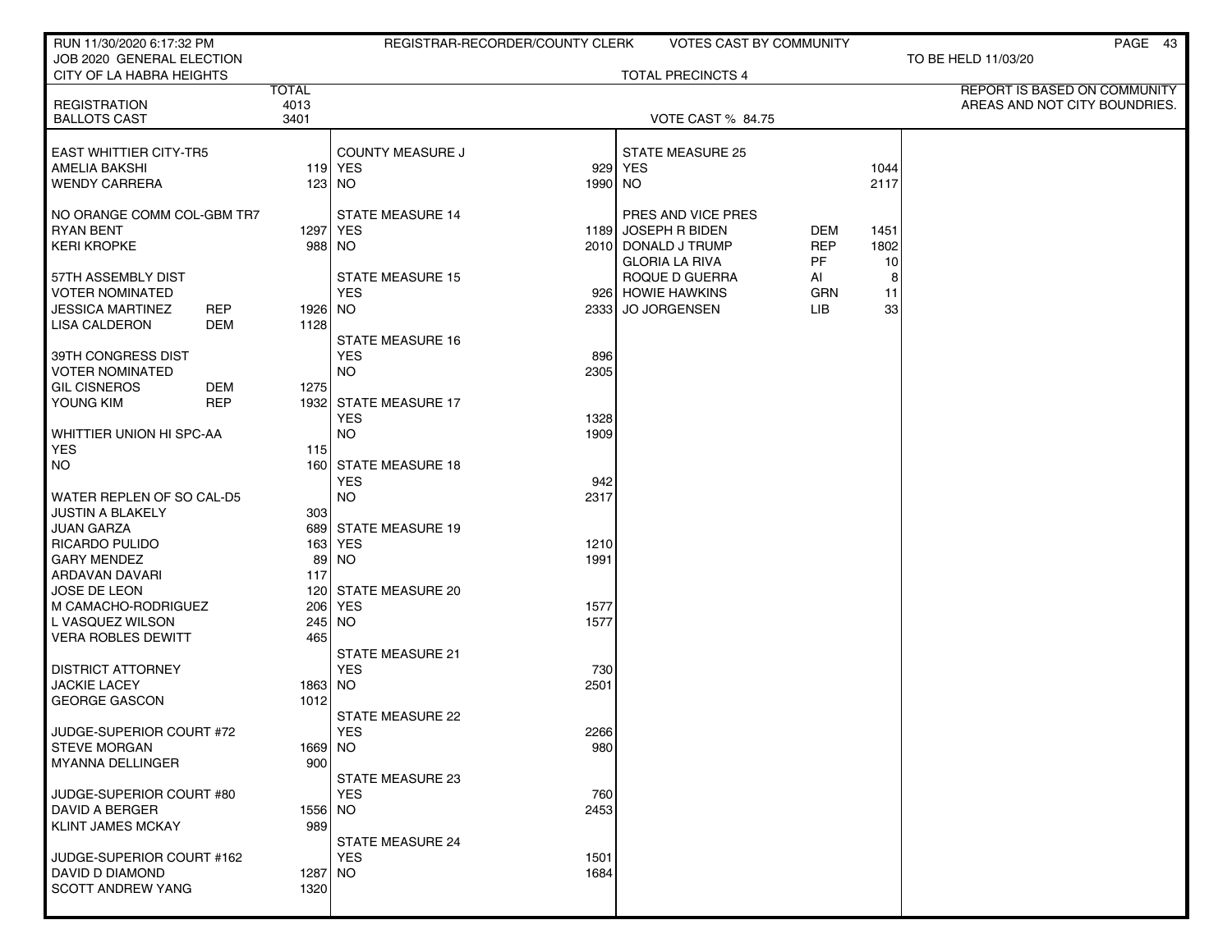| RUN 11/30/2020 6:17:32 PM                      |              | REGISTRAR-RECORDER/COUNTY CLERK     |         | <b>VOTES CAST BY COMMUNITY</b>              |            |      | PAGE 43                       |
|------------------------------------------------|--------------|-------------------------------------|---------|---------------------------------------------|------------|------|-------------------------------|
| JOB 2020 GENERAL ELECTION                      |              |                                     |         |                                             |            |      | TO BE HELD 11/03/20           |
| CITY OF LA HABRA HEIGHTS                       | <b>TOTAL</b> |                                     |         | <b>TOTAL PRECINCTS 4</b>                    |            |      | REPORT IS BASED ON COMMUNITY  |
| <b>REGISTRATION</b>                            | 4013         |                                     |         |                                             |            |      | AREAS AND NOT CITY BOUNDRIES. |
| <b>BALLOTS CAST</b>                            | 3401         |                                     |         | VOTE CAST % 84.75                           |            |      |                               |
| <b>EAST WHITTIER CITY-TR5</b>                  |              | <b>COUNTY MEASURE J</b>             |         | <b>STATE MEASURE 25</b>                     |            |      |                               |
| <b>AMELIA BAKSHI</b>                           |              | 119 YES                             |         | 929 YES                                     |            | 1044 |                               |
| <b>WENDY CARRERA</b>                           |              | 123 INO                             | 1990 NO |                                             |            | 2117 |                               |
|                                                |              | <b>STATE MEASURE 14</b>             |         |                                             |            |      |                               |
| NO ORANGE COMM COL-GBM TR7<br><b>RYAN BENT</b> |              | 1297   YES                          | 1189    | PRES AND VICE PRES<br><b>JOSEPH R BIDEN</b> | DEM        | 1451 |                               |
| <b>KERI KROPKE</b>                             |              | 988 NO                              |         | 2010 DONALD J TRUMP                         | <b>REP</b> | 1802 |                               |
|                                                |              |                                     |         | <b>GLORIA LA RIVA</b>                       | PF.        | 10   |                               |
|                                                |              | <b>STATE MEASURE 15</b>             |         |                                             |            |      |                               |
| 57TH ASSEMBLY DIST                             |              |                                     |         | ROQUE D GUERRA                              | AI         | 8    |                               |
| <b>VOTER NOMINATED</b>                         |              | <b>YES</b>                          |         | 926 HOWIE HAWKINS                           | <b>GRN</b> | 11   |                               |
| <b>JESSICA MARTINEZ</b><br><b>REP</b>          | 1926 NO      |                                     | 2333    | <b>JO JORGENSEN</b>                         | LIB        | 33   |                               |
| LISA CALDERON<br>DEM                           | 1128         |                                     |         |                                             |            |      |                               |
|                                                |              | <b>STATE MEASURE 16</b>             |         |                                             |            |      |                               |
| 39TH CONGRESS DIST                             |              | <b>YES</b>                          | 896     |                                             |            |      |                               |
| <b>VOTER NOMINATED</b><br><b>GIL CISNEROS</b>  |              | <b>NO</b>                           | 2305    |                                             |            |      |                               |
| DEM<br><b>REP</b>                              | 1275         |                                     |         |                                             |            |      |                               |
| YOUNG KIM                                      |              | 1932 STATE MEASURE 17<br><b>YES</b> |         |                                             |            |      |                               |
|                                                |              | <b>NO</b>                           | 1328    |                                             |            |      |                               |
| WHITTIER UNION HI SPC-AA                       |              |                                     | 1909    |                                             |            |      |                               |
| <b>YES</b><br><b>NO</b>                        | 115          |                                     |         |                                             |            |      |                               |
|                                                |              | 160 STATE MEASURE 18<br><b>YES</b>  | 942     |                                             |            |      |                               |
| WATER REPLEN OF SO CAL-D5                      |              | <b>NO</b>                           | 2317    |                                             |            |      |                               |
| <b>JUSTIN A BLAKELY</b>                        | 303          |                                     |         |                                             |            |      |                               |
| JUAN GARZA                                     |              | 689 STATE MEASURE 19                |         |                                             |            |      |                               |
| RICARDO PULIDO                                 |              | 163 YES                             | 1210    |                                             |            |      |                               |
| <b>GARY MENDEZ</b>                             |              | 89 NO                               | 1991    |                                             |            |      |                               |
| ARDAVAN DAVARI                                 | 117          |                                     |         |                                             |            |      |                               |
| <b>JOSE DE LEON</b>                            |              | 120 STATE MEASURE 20                |         |                                             |            |      |                               |
| M CAMACHO-RODRIGUEZ                            |              | 206 YES                             | 1577    |                                             |            |      |                               |
| L VASQUEZ WILSON                               |              | 245 NO                              | 1577    |                                             |            |      |                               |
| <b>VERA ROBLES DEWITT</b>                      | 465          |                                     |         |                                             |            |      |                               |
|                                                |              | STATE MEASURE 21                    |         |                                             |            |      |                               |
| <b>DISTRICT ATTORNEY</b>                       |              | <b>YES</b>                          | 730     |                                             |            |      |                               |
| <b>JACKIE LACEY</b>                            | 1863 NO      |                                     | 2501    |                                             |            |      |                               |
| <b>GEORGE GASCON</b>                           | 1012         |                                     |         |                                             |            |      |                               |
|                                                |              | STATE MEASURE 22                    |         |                                             |            |      |                               |
| JUDGE-SUPERIOR COURT #72                       |              | <b>YES</b>                          | 2266    |                                             |            |      |                               |
| <b>STEVE MORGAN</b>                            | 1669 NO      |                                     | 980     |                                             |            |      |                               |
| <b>MYANNA DELLINGER</b>                        | 900          |                                     |         |                                             |            |      |                               |
|                                                |              | STATE MEASURE 23                    |         |                                             |            |      |                               |
| JUDGE-SUPERIOR COURT #80                       |              | <b>YES</b>                          | 760     |                                             |            |      |                               |
| DAVID A BERGER                                 | 1556 NO      |                                     | 2453    |                                             |            |      |                               |
| <b>KLINT JAMES MCKAY</b>                       | 989          |                                     |         |                                             |            |      |                               |
|                                                |              | <b>STATE MEASURE 24</b>             |         |                                             |            |      |                               |
| JUDGE-SUPERIOR COURT #162                      |              | <b>YES</b>                          | 1501    |                                             |            |      |                               |
| DAVID D DIAMOND                                | 1287 NO      |                                     | 1684    |                                             |            |      |                               |
| <b>SCOTT ANDREW YANG</b>                       | 1320         |                                     |         |                                             |            |      |                               |
|                                                |              |                                     |         |                                             |            |      |                               |
|                                                |              |                                     |         |                                             |            |      |                               |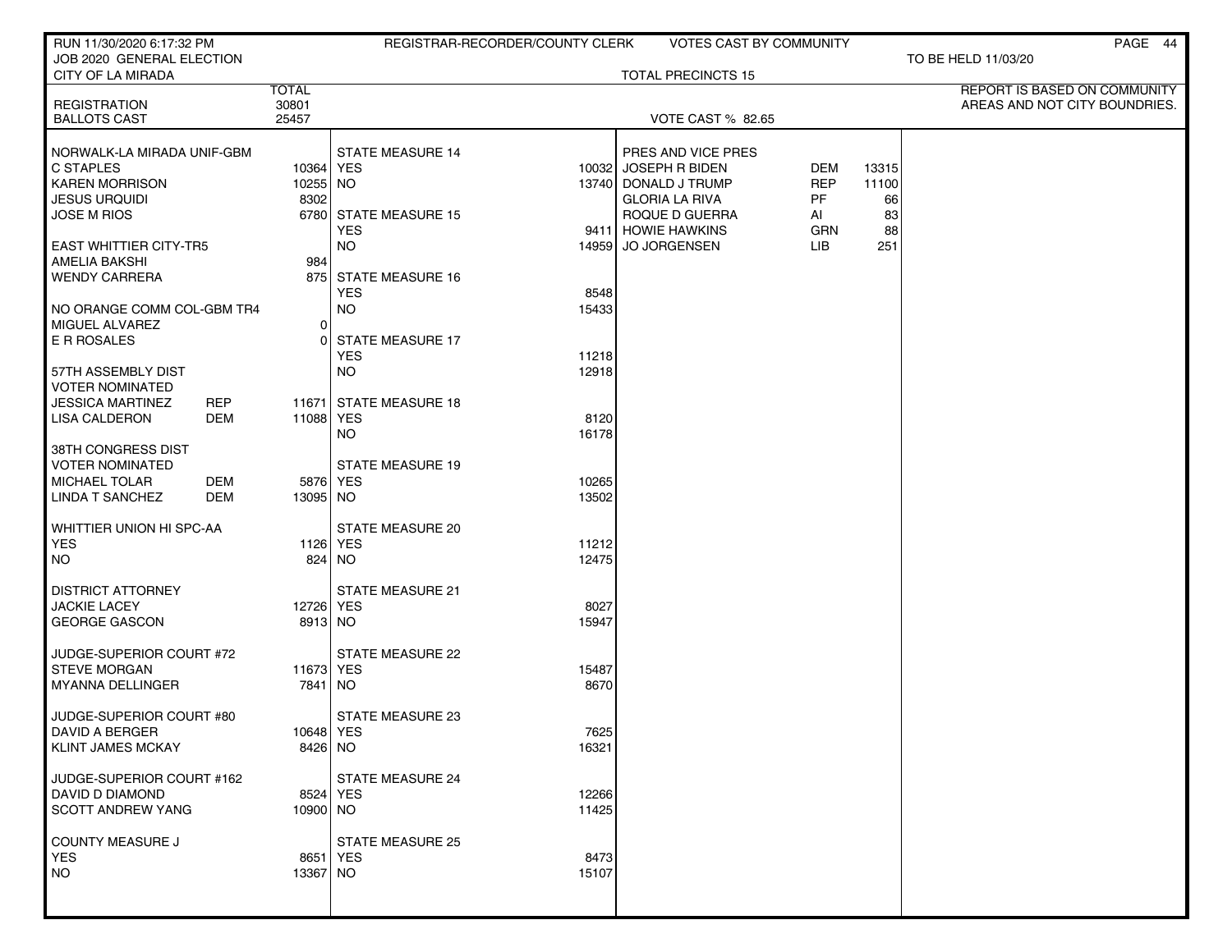| RUN 11/30/2020 6:17:32 PM                      |              | REGISTRAR-RECORDER/COUNTY CLERK |       | <b>VOTES CAST BY COMMUNITY</b> |            |       | PAGE 44                       |
|------------------------------------------------|--------------|---------------------------------|-------|--------------------------------|------------|-------|-------------------------------|
| JOB 2020 GENERAL ELECTION                      |              |                                 |       |                                |            |       | TO BE HELD 11/03/20           |
| CITY OF LA MIRADA                              | <b>TOTAL</b> |                                 |       | <b>TOTAL PRECINCTS 15</b>      |            |       | REPORT IS BASED ON COMMUNITY  |
| <b>REGISTRATION</b>                            | 30801        |                                 |       |                                |            |       | AREAS AND NOT CITY BOUNDRIES. |
| <b>BALLOTS CAST</b>                            | 25457        |                                 |       | <b>VOTE CAST % 82.65</b>       |            |       |                               |
|                                                |              |                                 |       |                                |            |       |                               |
| NORWALK-LA MIRADA UNIF-GBM                     |              | <b>STATE MEASURE 14</b>         |       | PRES AND VICE PRES             |            |       |                               |
| C STAPLES                                      | 10364 YES    |                                 |       | 10032 JOSEPH R BIDEN           | DEM        | 13315 |                               |
| <b>KAREN MORRISON</b>                          | 10255 NO     |                                 |       | 13740 DONALD J TRUMP           | <b>REP</b> | 11100 |                               |
| <b>JESUS URQUIDI</b>                           | 8302         |                                 |       | <b>GLORIA LA RIVA</b>          | PF         | 66    |                               |
| JOSE M RIOS                                    |              | 6780 STATE MEASURE 15           |       | ROQUE D GUERRA                 | AI         | 83    |                               |
|                                                |              | <b>YES</b>                      |       | 9411 HOWIE HAWKINS             | <b>GRN</b> | 88    |                               |
| <b>EAST WHITTIER CITY-TR5</b><br>AMELIA BAKSHI | 984          | <b>NO</b>                       | 14959 | JO JORGENSEN                   | <b>LIB</b> | 251   |                               |
| <b>WENDY CARRERA</b>                           |              | 875 STATE MEASURE 16            |       |                                |            |       |                               |
|                                                |              | <b>YES</b>                      | 8548  |                                |            |       |                               |
| NO ORANGE COMM COL-GBM TR4                     |              | <b>NO</b>                       | 15433 |                                |            |       |                               |
| MIGUEL ALVAREZ                                 | 0            |                                 |       |                                |            |       |                               |
| E R ROSALES                                    | 0            | <b>STATE MEASURE 17</b>         |       |                                |            |       |                               |
|                                                |              | <b>YES</b>                      | 11218 |                                |            |       |                               |
| 57TH ASSEMBLY DIST                             |              | <b>NO</b>                       | 12918 |                                |            |       |                               |
| VOTER NOMINATED                                |              |                                 |       |                                |            |       |                               |
| JESSICA MARTINEZ<br><b>REP</b>                 |              | 11671 STATE MEASURE 18          |       |                                |            |       |                               |
| <b>LISA CALDERON</b><br><b>DEM</b>             | 11088 YES    |                                 | 8120  |                                |            |       |                               |
|                                                |              | <b>NO</b>                       | 16178 |                                |            |       |                               |
| 38TH CONGRESS DIST                             |              |                                 |       |                                |            |       |                               |
| <b>VOTER NOMINATED</b>                         |              | <b>STATE MEASURE 19</b>         |       |                                |            |       |                               |
| <b>MICHAEL TOLAR</b><br><b>DEM</b>             |              | 5876 YES                        | 10265 |                                |            |       |                               |
| LINDA T SANCHEZ<br>DEM                         | 13095 NO     |                                 | 13502 |                                |            |       |                               |
| WHITTIER UNION HI SPC-AA                       |              | STATE MEASURE 20                |       |                                |            |       |                               |
| <b>YES</b>                                     |              | 1126 YES                        | 11212 |                                |            |       |                               |
| NO.                                            |              | 824 NO                          | 12475 |                                |            |       |                               |
|                                                |              |                                 |       |                                |            |       |                               |
| <b>DISTRICT ATTORNEY</b>                       |              | <b>STATE MEASURE 21</b>         |       |                                |            |       |                               |
| <b>JACKIE LACEY</b>                            | 12726 YES    |                                 | 8027  |                                |            |       |                               |
| <b>GEORGE GASCON</b>                           | 8913 NO      |                                 | 15947 |                                |            |       |                               |
|                                                |              |                                 |       |                                |            |       |                               |
| JUDGE-SUPERIOR COURT #72                       |              | STATE MEASURE 22                |       |                                |            |       |                               |
| <b>STEVE MORGAN</b>                            | 11673 YES    |                                 | 15487 |                                |            |       |                               |
| <b>MYANNA DELLINGER</b>                        | 7841   NO    |                                 | 8670  |                                |            |       |                               |
| JUDGE-SUPERIOR COURT #80                       |              | <b>STATE MEASURE 23</b>         |       |                                |            |       |                               |
| DAVID A BERGER                                 | 10648   YES  |                                 | 7625  |                                |            |       |                               |
| <b>KLINT JAMES MCKAY</b>                       | 8426 NO      |                                 | 16321 |                                |            |       |                               |
|                                                |              |                                 |       |                                |            |       |                               |
| JUDGE-SUPERIOR COURT #162                      |              | <b>STATE MEASURE 24</b>         |       |                                |            |       |                               |
| DAVID D DIAMOND                                |              | 8524 YES                        | 12266 |                                |            |       |                               |
| <b>SCOTT ANDREW YANG</b>                       | 10900 NO     |                                 | 11425 |                                |            |       |                               |
|                                                |              |                                 |       |                                |            |       |                               |
| <b>COUNTY MEASURE J</b>                        |              | <b>STATE MEASURE 25</b>         |       |                                |            |       |                               |
| <b>YES</b>                                     |              | 8651 YES                        | 8473  |                                |            |       |                               |
| NO.                                            | 13367 NO     |                                 | 15107 |                                |            |       |                               |
|                                                |              |                                 |       |                                |            |       |                               |
|                                                |              |                                 |       |                                |            |       |                               |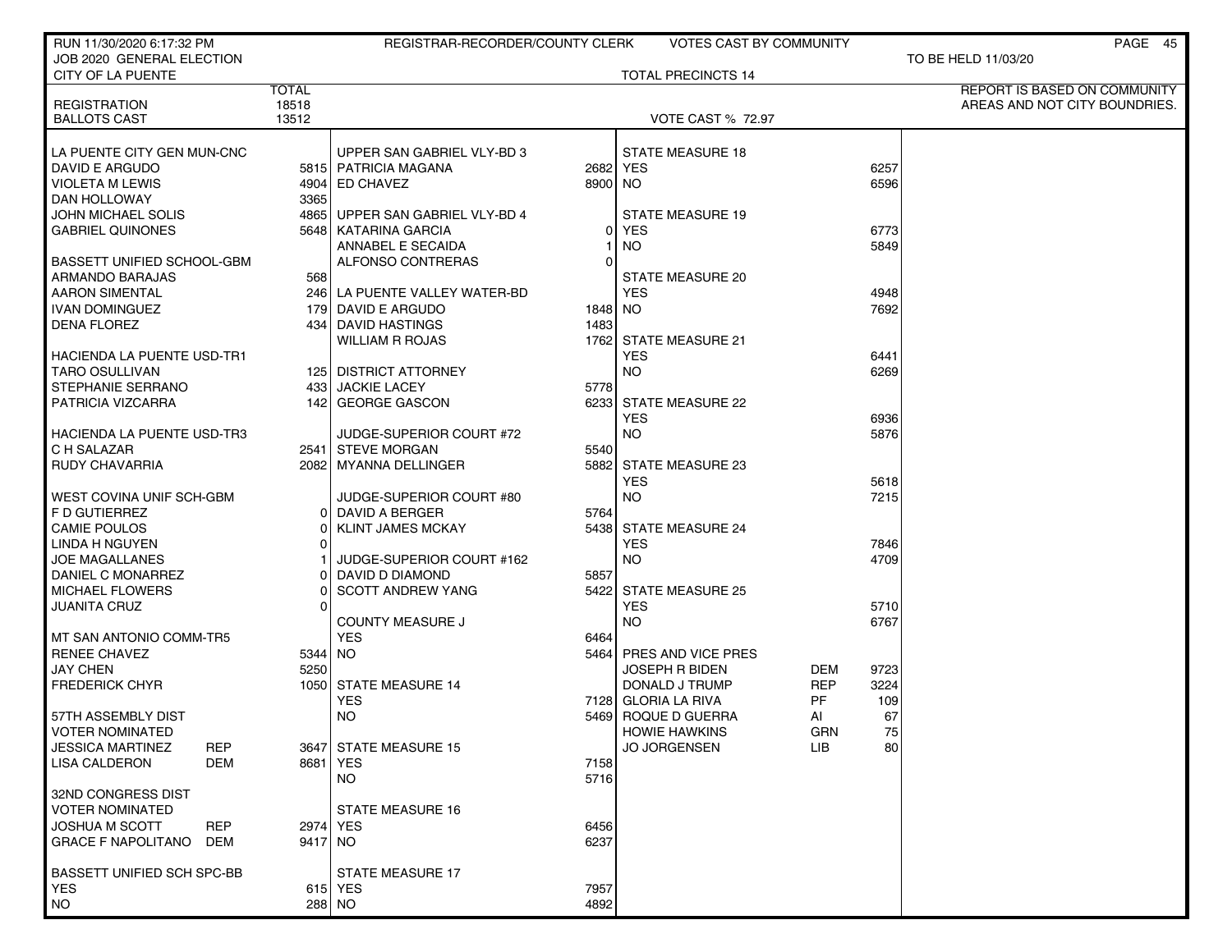| RUN 11/30/2020 6:17:32 PM                  |                | REGISTRAR-RECORDER/COUNTY CLERK |          | <b>VOTES CAST BY COMMUNITY</b>      |                  | PAGE 45                       |
|--------------------------------------------|----------------|---------------------------------|----------|-------------------------------------|------------------|-------------------------------|
| JOB 2020 GENERAL ELECTION                  |                |                                 |          |                                     |                  | TO BE HELD 11/03/20           |
| CITY OF LA PUENTE                          |                |                                 |          | <b>TOTAL PRECINCTS 14</b>           |                  |                               |
|                                            | <b>TOTAL</b>   |                                 |          |                                     |                  | REPORT IS BASED ON COMMUNITY  |
| <b>REGISTRATION</b><br><b>BALLOTS CAST</b> | 18518<br>13512 |                                 |          | <b>VOTE CAST % 72.97</b>            |                  | AREAS AND NOT CITY BOUNDRIES. |
|                                            |                |                                 |          |                                     |                  |                               |
| LA PUENTE CITY GEN MUN-CNC                 |                | UPPER SAN GABRIEL VLY-BD 3      |          | <b>STATE MEASURE 18</b>             |                  |                               |
| DAVID E ARGUDO                             |                | 5815   PATRICIA MAGANA          |          | 2682 YES                            | 6257             |                               |
| VIOLETA M LEWIS                            |                | 4904 ED CHAVEZ                  | 8900 NO  |                                     | 6596             |                               |
| DAN HOLLOWAY                               | 3365           |                                 |          |                                     |                  |                               |
| JOHN MICHAEL SOLIS                         |                | 4865 UPPER SAN GABRIEL VLY-BD 4 |          | <b>STATE MEASURE 19</b>             |                  |                               |
| <b>GABRIEL QUINONES</b>                    |                | 5648   KATARINA GARCIA          | 0        | <b>YES</b>                          | 6773             |                               |
|                                            |                | ANNABEL E SECAIDA               |          | NO.                                 | 5849             |                               |
| <b>BASSETT UNIFIED SCHOOL-GBM</b>          |                | ALFONSO CONTRERAS               | $\Omega$ |                                     |                  |                               |
| ARMANDO BARAJAS                            | 568            |                                 |          | STATE MEASURE 20                    |                  |                               |
| <b>AARON SIMENTAL</b>                      |                | 246 LA PUENTE VALLEY WATER-BD   |          | <b>YES</b>                          | 4948             |                               |
| <b>IVAN DOMINGUEZ</b>                      |                | 179 DAVID E ARGUDO              | 1848 NO  |                                     | 7692             |                               |
| <b>DENA FLOREZ</b>                         |                | 434 DAVID HASTINGS              | 1483     |                                     |                  |                               |
|                                            |                | WILLIAM R ROJAS                 |          | 1762 STATE MEASURE 21               |                  |                               |
| <b>HACIENDA LA PUENTE USD-TR1</b>          |                |                                 |          | <b>YES</b>                          | 6441             |                               |
| <b>TARO OSULLIVAN</b>                      |                | 125 DISTRICT ATTORNEY           |          | <b>NO</b>                           | 6269             |                               |
| STEPHANIE SERRANO                          |                | 433 JACKIE LACEY                | 5778     |                                     |                  |                               |
| PATRICIA VIZCARRA                          |                | 142 GEORGE GASCON               |          | 6233 STATE MEASURE 22               |                  |                               |
|                                            |                |                                 |          | <b>YES</b>                          | 6936             |                               |
| <b>HACIENDA LA PUENTE USD-TR3</b>          |                | JUDGE-SUPERIOR COURT #72        |          | <b>NO</b>                           | 5876             |                               |
| C H SALAZAR                                |                | 2541 STEVE MORGAN               | 5540     |                                     |                  |                               |
| <b>RUDY CHAVARRIA</b>                      |                | 2082 MYANNA DELLINGER           |          | 5882 STATE MEASURE 23               |                  |                               |
|                                            |                |                                 |          | <b>YES</b>                          | 5618             |                               |
| WEST COVINA UNIF SCH-GBM                   |                | JUDGE-SUPERIOR COURT #80        | 5764     | <b>NO</b>                           | 7215             |                               |
| F D GUTIERREZ                              |                | 0 DAVID A BERGER                |          |                                     |                  |                               |
| <b>CAMIE POULOS</b><br>LINDA H NGUYEN      | ΩI             | <b>KLINT JAMES MCKAY</b>        |          | 5438 STATE MEASURE 24<br><b>YES</b> | 7846             |                               |
| JOE MAGALLANES                             |                | JUDGE-SUPERIOR COURT #162       |          | <b>NO</b>                           | 4709             |                               |
| DANIEL C MONARREZ                          |                | DAVID D DIAMOND                 | 5857     |                                     |                  |                               |
| <b>MICHAEL FLOWERS</b>                     |                | <b>SCOTT ANDREW YANG</b>        |          | 5422 STATE MEASURE 25               |                  |                               |
| <b>JUANITA CRUZ</b>                        | <sup>0</sup>   |                                 |          | <b>YES</b>                          | 5710             |                               |
|                                            |                | <b>COUNTY MEASURE J</b>         |          | <b>NO</b>                           | 6767             |                               |
| I MT SAN ANTONIO COMM-TR5                  |                | <b>YES</b>                      | 6464     |                                     |                  |                               |
| <b>RENEE CHAVEZ</b>                        | 5344 NO        |                                 |          | 5464 PRES AND VICE PRES             |                  |                               |
| <b>JAY CHEN</b>                            | 5250           |                                 |          | <b>JOSEPH R BIDEN</b>               | 9723<br>DEM      |                               |
| <b>FREDERICK CHYR</b>                      |                | 1050 STATE MEASURE 14           |          | DONALD J TRUMP                      | 3224<br>REP      |                               |
|                                            |                | <b>YES</b>                      |          | 7128 GLORIA LA RIVA                 | PF<br>109        |                               |
| 57TH ASSEMBLY DIST                         |                | <b>NO</b>                       |          | 5469 ROQUE D GUERRA                 | 67<br>AI         |                               |
| VOTER NOMINATED                            |                |                                 |          | <b>HOWIE HAWKINS</b>                | GRN<br>75        |                               |
| <b>JESSICA MARTINEZ</b><br><b>REP</b>      |                | 3647 STATE MEASURE 15           |          | <b>JO JORGENSEN</b>                 | <b>LIB</b><br>80 |                               |
| <b>LISA CALDERON</b><br>DEM                |                | 8681   YES                      | 7158     |                                     |                  |                               |
|                                            |                | NO.                             | 5716     |                                     |                  |                               |
| 32ND CONGRESS DIST                         |                |                                 |          |                                     |                  |                               |
| <b>VOTER NOMINATED</b>                     |                | <b>STATE MEASURE 16</b>         |          |                                     |                  |                               |
| JOSHUA M SCOTT<br><b>REP</b>               |                | 2974 YES                        | 6456     |                                     |                  |                               |
| <b>GRACE F NAPOLITANO</b><br>DEM           | 9417 NO        |                                 | 6237     |                                     |                  |                               |
|                                            |                |                                 |          |                                     |                  |                               |
| BASSETT UNIFIED SCH SPC-BB                 |                | STATE MEASURE 17                |          |                                     |                  |                               |
| <b>YES</b>                                 |                | 615 YES                         | 7957     |                                     |                  |                               |
| NO                                         |                | 288 NO                          | 4892     |                                     |                  |                               |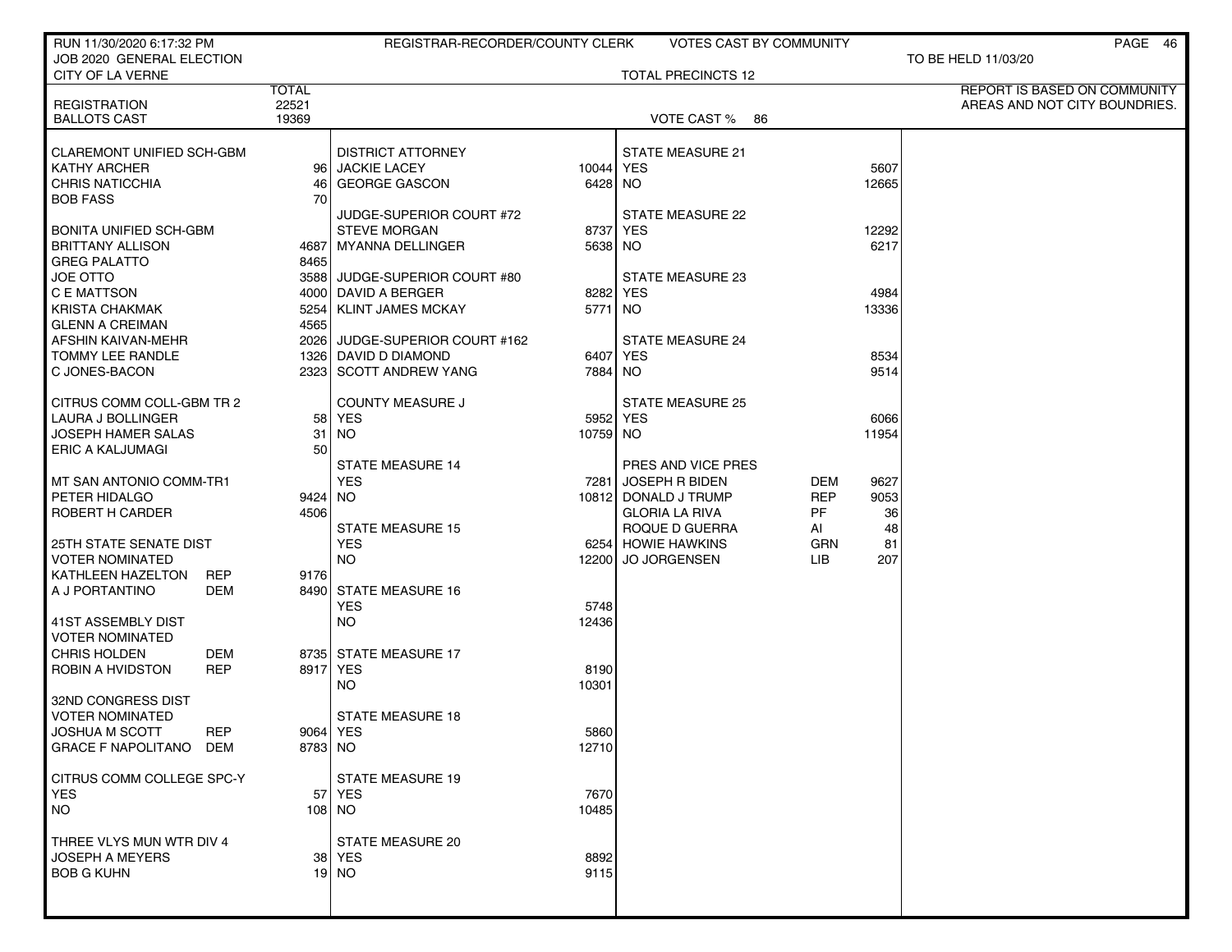| RUN 11/30/2020 6:17:32 PM                  |                 | REGISTRAR-RECORDER/COUNTY CLERK |           |                                               | <b>VOTES CAST BY COMMUNITY</b> |            | PAGE 46                       |
|--------------------------------------------|-----------------|---------------------------------|-----------|-----------------------------------------------|--------------------------------|------------|-------------------------------|
| JOB 2020 GENERAL ELECTION                  |                 |                                 |           |                                               |                                |            | TO BE HELD 11/03/20           |
| CITY OF LA VERNE                           |                 |                                 |           | <b>TOTAL PRECINCTS 12</b>                     |                                |            |                               |
|                                            | <b>TOTAL</b>    |                                 |           |                                               |                                |            | REPORT IS BASED ON COMMUNITY  |
| <b>REGISTRATION</b><br><b>BALLOTS CAST</b> | 22521<br>19369  |                                 |           | VOTE CAST % 86                                |                                |            | AREAS AND NOT CITY BOUNDRIES. |
|                                            |                 |                                 |           |                                               |                                |            |                               |
| <b>CLAREMONT UNIFIED SCH-GBM</b>           |                 | <b>DISTRICT ATTORNEY</b>        |           | <b>STATE MEASURE 21</b>                       |                                |            |                               |
| <b>KATHY ARCHER</b>                        |                 | 96 JACKIE LACEY                 | 10044 YES |                                               |                                | 5607       |                               |
| <b>CHRIS NATICCHIA</b>                     | 461             | <b>GEORGE GASCON</b>            | 6428 NO   |                                               |                                | 12665      |                               |
| <b>BOB FASS</b>                            | 70              |                                 |           |                                               |                                |            |                               |
|                                            |                 | JUDGE-SUPERIOR COURT #72        |           | <b>STATE MEASURE 22</b>                       |                                |            |                               |
| BONITA UNIFIED SCH-GBM                     |                 | <b>STEVE MORGAN</b>             |           | 8737 YES                                      |                                | 12292      |                               |
| <b>BRITTANY ALLISON</b>                    |                 | 4687 MYANNA DELLINGER           | 5638 NO   |                                               |                                | 6217       |                               |
| <b>GREG PALATTO</b>                        | 8465            |                                 |           |                                               |                                |            |                               |
| JOE OTTO                                   |                 | 3588 JUDGE-SUPERIOR COURT #80   |           | STATE MEASURE 23                              |                                |            |                               |
| C E MATTSON                                |                 | 4000 DAVID A BERGER             | 8282 YES  |                                               |                                | 4984       |                               |
| <b>KRISTA CHAKMAK</b>                      | 5254            | KLINT JAMES MCKAY               | 5771 NO   |                                               |                                | 13336      |                               |
| <b>GLENN A CREIMAN</b>                     | 4565            |                                 |           |                                               |                                |            |                               |
| AFSHIN KAIVAN-MEHR                         |                 | 2026 JUDGE-SUPERIOR COURT #162  |           | <b>STATE MEASURE 24</b>                       |                                |            |                               |
| TOMMY LEE RANDLE                           |                 | 1326 DAVID D DIAMOND            | 6407 YES  |                                               |                                | 8534       |                               |
| C JONES-BACON                              |                 | 2323 SCOTT ANDREW YANG          | 7884 NO   |                                               |                                | 9514       |                               |
|                                            |                 |                                 |           |                                               |                                |            |                               |
| CITRUS COMM COLL-GBM TR 2                  |                 | <b>COUNTY MEASURE J</b>         |           | <b>STATE MEASURE 25</b>                       |                                |            |                               |
| LAURA J BOLLINGER                          | 58              | YES                             |           | 5952 YES                                      |                                | 6066       |                               |
| <b>JOSEPH HAMER SALAS</b>                  | 31              | NO.                             | 10759 NO  |                                               |                                | 11954      |                               |
| <b>ERIC A KALJUMAGI</b>                    | 50              |                                 |           |                                               |                                |            |                               |
|                                            |                 | <b>STATE MEASURE 14</b>         |           | PRES AND VICE PRES                            |                                |            |                               |
| MT SAN ANTONIO COMM-TR1                    |                 | <b>YES</b>                      | 7281      | JOSEPH R BIDEN                                | DEM<br><b>REP</b>              | 9627       |                               |
| PETER HIDALGO<br>ROBERT H CARDER           | 9424 NO<br>4506 |                                 |           | 10812 DONALD J TRUMP<br><b>GLORIA LA RIVA</b> | PF.                            | 9053<br>36 |                               |
|                                            |                 | <b>STATE MEASURE 15</b>         |           | ROQUE D GUERRA                                | AI                             | 48         |                               |
| 25TH STATE SENATE DIST                     |                 | <b>YES</b>                      |           | 6254 HOWIE HAWKINS                            | <b>GRN</b>                     | 81         |                               |
| <b>VOTER NOMINATED</b>                     |                 | <b>NO</b>                       | 12200     | <b>JO JORGENSEN</b>                           | LІВ                            | 207        |                               |
| KATHLEEN HAZELTON<br><b>REP</b>            | 9176            |                                 |           |                                               |                                |            |                               |
| A J PORTANTINO<br>DEM                      |                 | 8490 STATE MEASURE 16           |           |                                               |                                |            |                               |
|                                            |                 | <b>YES</b>                      | 5748      |                                               |                                |            |                               |
| 41ST ASSEMBLY DIST                         |                 | NO.                             | 12436     |                                               |                                |            |                               |
| <b>VOTER NOMINATED</b>                     |                 |                                 |           |                                               |                                |            |                               |
| <b>CHRIS HOLDEN</b><br>DEM                 |                 | 8735 STATE MEASURE 17           |           |                                               |                                |            |                               |
| ROBIN A HVIDSTON<br><b>REP</b>             |                 | 8917 YES                        | 8190      |                                               |                                |            |                               |
|                                            |                 | NO.                             | 10301     |                                               |                                |            |                               |
| 32ND CONGRESS DIST                         |                 |                                 |           |                                               |                                |            |                               |
| <b>VOTER NOMINATED</b>                     |                 | <b>STATE MEASURE 18</b>         |           |                                               |                                |            |                               |
| <b>JOSHUA M SCOTT</b><br>REP               |                 | 9064   YES                      | 5860      |                                               |                                |            |                               |
| <b>GRACE F NAPOLITANO</b><br>DEM           | 8783 NO         |                                 | 12710     |                                               |                                |            |                               |
|                                            |                 |                                 |           |                                               |                                |            |                               |
| CITRUS COMM COLLEGE SPC-Y                  |                 | <b>STATE MEASURE 19</b>         |           |                                               |                                |            |                               |
| <b>YES</b>                                 |                 | 57 YES                          | 7670      |                                               |                                |            |                               |
| <b>NO</b>                                  |                 | 108 NO                          | 10485     |                                               |                                |            |                               |
| THREE VLYS MUN WTR DIV 4                   |                 | STATE MEASURE 20                |           |                                               |                                |            |                               |
| <b>JOSEPH A MEYERS</b>                     |                 | 38   YES                        | 8892      |                                               |                                |            |                               |
| <b>BOB G KUHN</b>                          |                 | $19$ NO                         | 9115      |                                               |                                |            |                               |
|                                            |                 |                                 |           |                                               |                                |            |                               |
|                                            |                 |                                 |           |                                               |                                |            |                               |
|                                            |                 |                                 |           |                                               |                                |            |                               |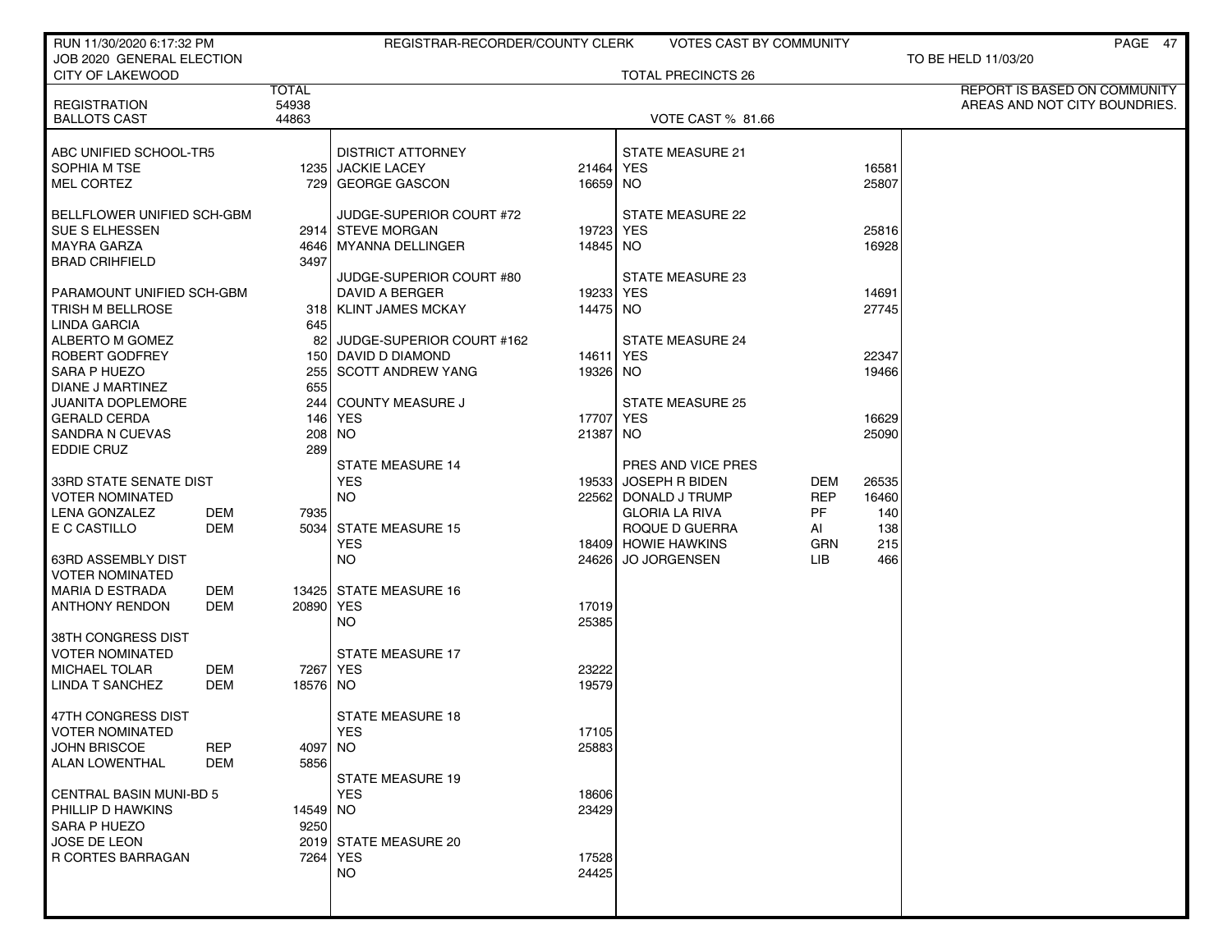| RUN 11/30/2020 6:17:32 PM                  |                | REGISTRAR-RECORDER/COUNTY CLERK |           | <b>VOTES CAST BY COMMUNITY</b>          |                  |            | PAGE 47                       |
|--------------------------------------------|----------------|---------------------------------|-----------|-----------------------------------------|------------------|------------|-------------------------------|
| JOB 2020 GENERAL ELECTION                  |                |                                 |           |                                         |                  |            | TO BE HELD 11/03/20           |
| <b>CITY OF LAKEWOOD</b>                    |                |                                 |           | <b>TOTAL PRECINCTS 26</b>               |                  |            |                               |
|                                            | <b>TOTAL</b>   |                                 |           |                                         |                  |            | REPORT IS BASED ON COMMUNITY  |
| <b>REGISTRATION</b><br><b>BALLOTS CAST</b> | 54938<br>44863 |                                 |           | VOTE CAST % 81.66                       |                  |            | AREAS AND NOT CITY BOUNDRIES. |
|                                            |                |                                 |           |                                         |                  |            |                               |
| ABC UNIFIED SCHOOL-TR5                     |                | <b>DISTRICT ATTORNEY</b>        |           | <b>STATE MEASURE 21</b>                 |                  |            |                               |
| SOPHIA M TSE                               |                | 1235 JACKIE LACEY               | 21464 YES |                                         |                  | 16581      |                               |
| <b>MEL CORTEZ</b>                          |                | 729 GEORGE GASCON               | 16659 NO  |                                         |                  | 25807      |                               |
|                                            |                |                                 |           |                                         |                  |            |                               |
| BELLFLOWER UNIFIED SCH-GBM                 |                | JUDGE-SUPERIOR COURT #72        |           | STATE MEASURE 22                        |                  |            |                               |
| SUE S ELHESSEN                             |                | 2914 STEVE MORGAN               | 19723 YES |                                         |                  | 25816      |                               |
| <b>MAYRA GARZA</b>                         |                | 4646 MYANNA DELLINGER           | 14845 NO  |                                         |                  | 16928      |                               |
| <b>BRAD CRIHFIELD</b>                      |                | 3497                            |           |                                         |                  |            |                               |
|                                            |                | JUDGE-SUPERIOR COURT #80        |           | STATE MEASURE 23                        |                  |            |                               |
| PARAMOUNT UNIFIED SCH-GBM                  |                | DAVID A BERGER                  | 19233 YES |                                         |                  | 14691      |                               |
| TRISH M BELLROSE                           |                | 318   KLINT JAMES MCKAY<br>645  | 14475 NO  |                                         |                  | 27745      |                               |
| LINDA GARCIA<br>ALBERTO M GOMEZ            |                | 82<br>JUDGE-SUPERIOR COURT #162 |           | STATE MEASURE 24                        |                  |            |                               |
| ROBERT GODFREY                             |                | 150 DAVID D DIAMOND             | 14611     | YES                                     |                  | 22347      |                               |
| SARA P HUEZO                               |                | <b>SCOTT ANDREW YANG</b><br>255 | 19326 NO  |                                         |                  | 19466      |                               |
| DIANE J MARTINEZ                           |                | 655                             |           |                                         |                  |            |                               |
| <b>JUANITA DOPLEMORE</b>                   |                | COUNTY MEASURE J<br>2441        |           | <b>STATE MEASURE 25</b>                 |                  |            |                               |
| <b>GERALD CERDA</b>                        |                | 146   YES                       | 17707 YES |                                         |                  | 16629      |                               |
| <b>SANDRA N CUEVAS</b>                     |                | NO.<br>208                      | 21387 NO  |                                         |                  | 25090      |                               |
| <b>EDDIE CRUZ</b>                          |                | 289                             |           |                                         |                  |            |                               |
|                                            |                | <b>STATE MEASURE 14</b>         |           | PRES AND VICE PRES                      |                  |            |                               |
| 33RD STATE SENATE DIST                     |                | <b>YES</b>                      |           | 19533 JOSEPH R BIDEN                    | DEM              | 26535      |                               |
| <b>VOTER NOMINATED</b>                     |                | NO.                             |           | 22562   DONALD J TRUMP                  | <b>REP</b>       | 16460      |                               |
| LENA GONZALEZ<br>E C CASTILLO              | DEM<br>DEM     | 7935<br><b>STATE MEASURE 15</b> |           | <b>GLORIA LA RIVA</b><br>ROQUE D GUERRA | <b>PF</b>        | 140<br>138 |                               |
|                                            |                | 5034<br><b>YES</b>              |           | 18409 HOWIE HAWKINS                     | AI<br><b>GRN</b> | 215        |                               |
| 63RD ASSEMBLY DIST                         |                | NO.                             | 246261    | <b>JO JORGENSEN</b>                     | LІВ              | 466        |                               |
| <b>VOTER NOMINATED</b>                     |                |                                 |           |                                         |                  |            |                               |
| <b>MARIA D ESTRADA</b>                     | DEM            | 13425 STATE MEASURE 16          |           |                                         |                  |            |                               |
| <b>ANTHONY RENDON</b>                      | DEM            | 20890 YES                       | 17019     |                                         |                  |            |                               |
|                                            |                | NO.                             | 25385     |                                         |                  |            |                               |
| 38TH CONGRESS DIST                         |                |                                 |           |                                         |                  |            |                               |
| <b>VOTER NOMINATED</b>                     |                | <b>STATE MEASURE 17</b>         |           |                                         |                  |            |                               |
| <b>MICHAEL TOLAR</b>                       | DEM            | 7267   YES                      | 23222     |                                         |                  |            |                               |
| <b>LINDA T SANCHEZ</b>                     | DEM            | 18576 NO                        | 19579     |                                         |                  |            |                               |
| 47TH CONGRESS DIST                         |                | STATE MEASURE 18                |           |                                         |                  |            |                               |
| <b>VOTER NOMINATED</b>                     |                | <b>YES</b>                      | 17105     |                                         |                  |            |                               |
| <b>JOHN BRISCOE</b>                        | <b>REP</b>     | 4097 NO                         | 25883     |                                         |                  |            |                               |
| ALAN LOWENTHAL                             | DEM            | 5856                            |           |                                         |                  |            |                               |
|                                            |                | <b>STATE MEASURE 19</b>         |           |                                         |                  |            |                               |
| CENTRAL BASIN MUNI-BD 5                    |                | <b>YES</b>                      | 18606     |                                         |                  |            |                               |
| PHILLIP D HAWKINS                          |                | 14549 NO                        | 23429     |                                         |                  |            |                               |
| SARA P HUEZO                               |                | 9250                            |           |                                         |                  |            |                               |
| JOSE DE LEON                               |                | 2019 STATE MEASURE 20           |           |                                         |                  |            |                               |
| R CORTES BARRAGAN                          |                | 7264   YES                      | 17528     |                                         |                  |            |                               |
|                                            |                | NO.                             | 24425     |                                         |                  |            |                               |
|                                            |                |                                 |           |                                         |                  |            |                               |
|                                            |                |                                 |           |                                         |                  |            |                               |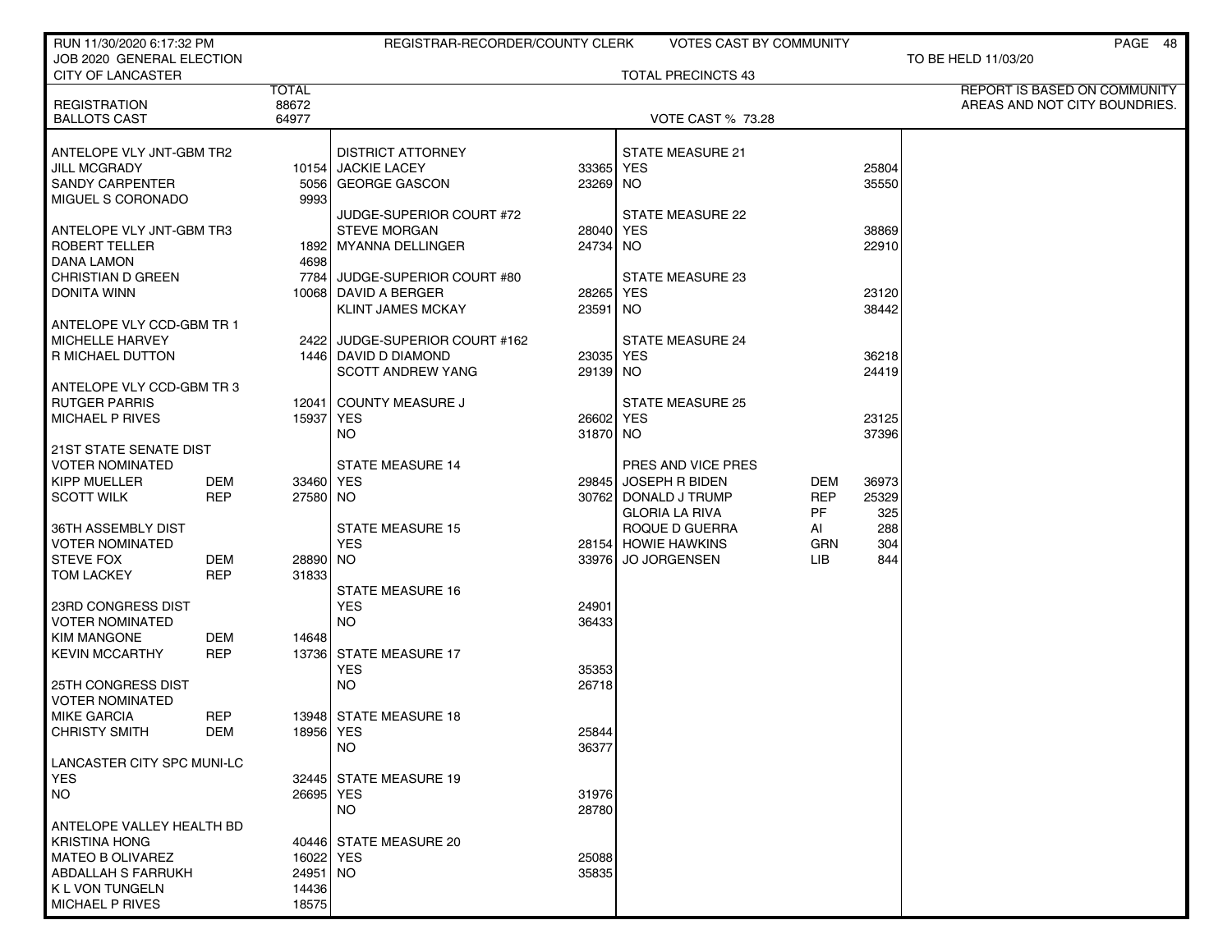| RUN 11/30/2020 6:17:32 PM                          |                          |                   | REGISTRAR-RECORDER/COUNTY CLERK                 |                       | <b>VOTES CAST BY COMMUNITY</b> |            |       | PAGE 48                       |
|----------------------------------------------------|--------------------------|-------------------|-------------------------------------------------|-----------------------|--------------------------------|------------|-------|-------------------------------|
| JOB 2020 GENERAL ELECTION                          |                          |                   |                                                 |                       |                                |            |       | TO BE HELD 11/03/20           |
| <b>CITY OF LANCASTER</b>                           |                          | <b>TOTAL</b>      |                                                 |                       | <b>TOTAL PRECINCTS 43</b>      |            |       | REPORT IS BASED ON COMMUNITY  |
| <b>REGISTRATION</b>                                |                          | 88672             |                                                 |                       |                                |            |       | AREAS AND NOT CITY BOUNDRIES. |
| <b>BALLOTS CAST</b>                                |                          | 64977             |                                                 |                       | <b>VOTE CAST % 73.28</b>       |            |       |                               |
|                                                    |                          |                   |                                                 |                       |                                |            |       |                               |
| ANTELOPE VLY JNT-GBM TR2                           |                          |                   | <b>DISTRICT ATTORNEY</b>                        |                       | <b>STATE MEASURE 21</b>        |            |       |                               |
| <b>JILL MCGRADY</b>                                |                          |                   | 10154 JACKIE LACEY                              | 33365 YES             |                                |            | 25804 |                               |
| <b>SANDY CARPENTER</b>                             |                          | 5056              | <b>GEORGE GASCON</b>                            | 23269 NO              |                                |            | 35550 |                               |
| MIGUEL S CORONADO                                  |                          | 9993              |                                                 |                       |                                |            |       |                               |
| ANTELOPE VLY JNT-GBM TR3                           |                          |                   | JUDGE-SUPERIOR COURT #72<br><b>STEVE MORGAN</b> |                       | <b>STATE MEASURE 22</b>        |            | 38869 |                               |
| ROBERT TELLER                                      |                          |                   | 1892 MYANNA DELLINGER                           | 28040 YES<br>24734 NO |                                |            | 22910 |                               |
| <b>DANA LAMON</b>                                  |                          | 4698              |                                                 |                       |                                |            |       |                               |
| <b>CHRISTIAN D GREEN</b>                           |                          | 7784              | JUDGE-SUPERIOR COURT #80                        |                       | STATE MEASURE 23               |            |       |                               |
| <b>DONITA WINN</b>                                 |                          | 10068             | DAVID A BERGER                                  | 28265 YES             |                                |            | 23120 |                               |
|                                                    |                          |                   | <b>KLINT JAMES MCKAY</b>                        | 23591 NO              |                                |            | 38442 |                               |
| ANTELOPE VLY CCD-GBM TR 1                          |                          |                   |                                                 |                       |                                |            |       |                               |
| MICHELLE HARVEY                                    |                          |                   | 2422 JUDGE-SUPERIOR COURT #162                  |                       | <b>STATE MEASURE 24</b>        |            |       |                               |
| R MICHAEL DUTTON                                   |                          |                   | 1446 DAVID D DIAMOND                            | 23035 YES             |                                |            | 36218 |                               |
|                                                    |                          |                   | <b>SCOTT ANDREW YANG</b>                        | 29139 NO              |                                |            | 24419 |                               |
| ANTELOPE VLY CCD-GBM TR 3                          |                          |                   |                                                 |                       |                                |            |       |                               |
| <b>RUTGER PARRIS</b><br><b>MICHAEL P RIVES</b>     |                          | 15937 YES         | 12041 COUNTY MEASURE J                          | 26602 YES             | <b>STATE MEASURE 25</b>        |            | 23125 |                               |
|                                                    |                          |                   | NO.                                             | 31870 NO              |                                |            | 37396 |                               |
| <b>21ST STATE SENATE DIST</b>                      |                          |                   |                                                 |                       |                                |            |       |                               |
| <b>VOTER NOMINATED</b>                             |                          |                   | <b>STATE MEASURE 14</b>                         |                       | PRES AND VICE PRES             |            |       |                               |
| <b>KIPP MUELLER</b>                                | DEM                      | 33460 YES         |                                                 | 29845                 | JOSEPH R BIDEN                 | DEM        | 36973 |                               |
| <b>SCOTT WILK</b>                                  | <b>REP</b>               | 27580 NO          |                                                 |                       | 30762 DONALD J TRUMP           | <b>REP</b> | 25329 |                               |
|                                                    |                          |                   |                                                 |                       | <b>GLORIA LA RIVA</b>          | PF         | 325   |                               |
| 36TH ASSEMBLY DIST                                 |                          |                   | <b>STATE MEASURE 15</b>                         |                       | ROQUE D GUERRA                 | AI         | 288   |                               |
| VOTER NOMINATED                                    |                          |                   | <b>YES</b>                                      |                       | 28154 HOWIE HAWKINS            | GRN        | 304   |                               |
| <b>STEVE FOX</b><br><b>TOM LACKEY</b>              | <b>DEM</b><br><b>REP</b> | 28890 NO<br>31833 |                                                 | 33976                 | <b>JO JORGENSEN</b>            | LIB        | 844   |                               |
|                                                    |                          |                   | <b>STATE MEASURE 16</b>                         |                       |                                |            |       |                               |
| 23RD CONGRESS DIST                                 |                          |                   | <b>YES</b>                                      | 24901                 |                                |            |       |                               |
| <b>VOTER NOMINATED</b>                             |                          |                   | <b>NO</b>                                       | 36433                 |                                |            |       |                               |
| <b>KIM MANGONE</b>                                 | DEM                      | 14648             |                                                 |                       |                                |            |       |                               |
| <b>KEVIN MCCARTHY</b>                              | <b>REP</b>               |                   | 13736 STATE MEASURE 17                          |                       |                                |            |       |                               |
|                                                    |                          |                   | <b>YES</b>                                      | 35353                 |                                |            |       |                               |
| <b>25TH CONGRESS DIST</b>                          |                          |                   | <b>NO</b>                                       | 26718                 |                                |            |       |                               |
| VOTER NOMINATED                                    |                          |                   |                                                 |                       |                                |            |       |                               |
| <b>MIKE GARCIA</b>                                 | <b>REP</b>               |                   | 13948 STATE MEASURE 18                          |                       |                                |            |       |                               |
| <b>CHRISTY SMITH</b>                               | DEM                      | 18956   YES       | <b>NO</b>                                       | 25844<br>36377        |                                |            |       |                               |
| LANCASTER CITY SPC MUNI-LC                         |                          |                   |                                                 |                       |                                |            |       |                               |
| <b>YES</b>                                         |                          |                   | 32445 STATE MEASURE 19                          |                       |                                |            |       |                               |
| NO.                                                |                          | 26695 YES         |                                                 | 31976                 |                                |            |       |                               |
|                                                    |                          |                   | <b>NO</b>                                       | 28780                 |                                |            |       |                               |
| ANTELOPE VALLEY HEALTH BD                          |                          |                   |                                                 |                       |                                |            |       |                               |
| <b>KRISTINA HONG</b>                               |                          |                   | 40446 STATE MEASURE 20                          |                       |                                |            |       |                               |
| <b>MATEO B OLIVAREZ</b>                            |                          | 16022 YES         |                                                 | 25088                 |                                |            |       |                               |
| <b>ABDALLAH S FARRUKH</b><br><b>KL VON TUNGELN</b> |                          | 24951 NO          |                                                 | 35835                 |                                |            |       |                               |
| MICHAEL P RIVES                                    |                          | 14436<br>18575    |                                                 |                       |                                |            |       |                               |
|                                                    |                          |                   |                                                 |                       |                                |            |       |                               |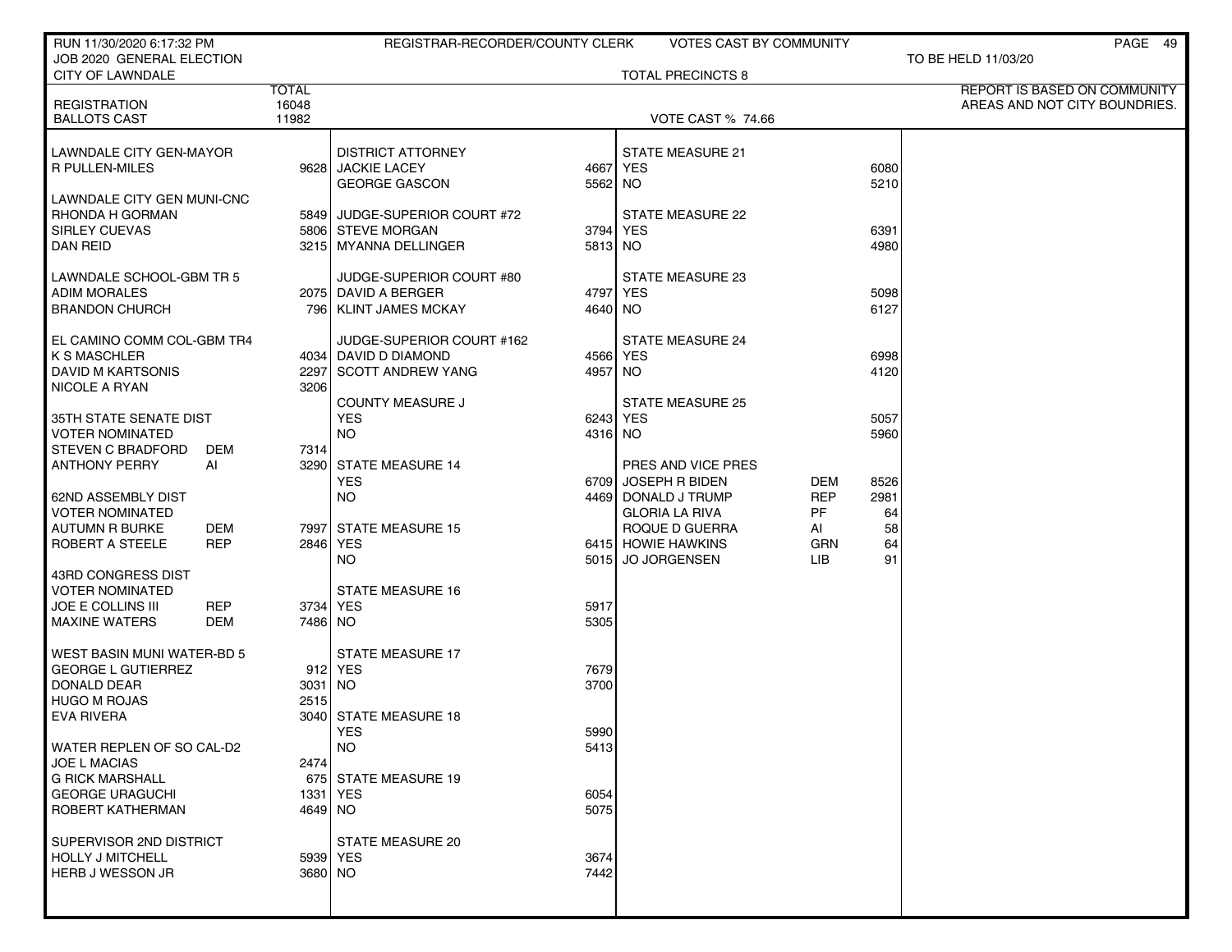| RUN 11/30/2020 6:17:32 PM                                 |           | REGISTRAR-RECORDER/COUNTY CLERK  |              | VOTES CAST BY COMMUNITY  |            |      | PAGE 49                                                       |
|-----------------------------------------------------------|-----------|----------------------------------|--------------|--------------------------|------------|------|---------------------------------------------------------------|
| JOB 2020 GENERAL ELECTION                                 |           |                                  |              |                          |            |      | TO BE HELD 11/03/20                                           |
| <b>CITY OF LAWNDALE</b>                                   |           |                                  |              | <b>TOTAL PRECINCTS 8</b> |            |      |                                                               |
| <b>TOTAL</b><br>16048<br><b>REGISTRATION</b>              |           |                                  |              |                          |            |      | REPORT IS BASED ON COMMUNITY<br>AREAS AND NOT CITY BOUNDRIES. |
| <b>BALLOTS CAST</b>                                       | 11982     |                                  |              | <b>VOTE CAST % 74.66</b> |            |      |                                                               |
|                                                           |           |                                  |              |                          |            |      |                                                               |
| LAWNDALE CITY GEN-MAYOR                                   |           | <b>DISTRICT ATTORNEY</b>         |              | <b>STATE MEASURE 21</b>  |            |      |                                                               |
| <b>R PULLEN-MILES</b>                                     |           | 9628 JACKIE LACEY                |              | 4667 YES                 |            | 6080 |                                                               |
|                                                           |           | <b>GEORGE GASCON</b>             | 5562 NO      |                          |            | 5210 |                                                               |
| LAWNDALE CITY GEN MUNI-CNC                                |           |                                  |              |                          |            |      |                                                               |
| RHONDA H GORMAN                                           |           | 5849 JUDGE-SUPERIOR COURT #72    |              | <b>STATE MEASURE 22</b>  |            |      |                                                               |
| <b>SIRLEY CUEVAS</b>                                      |           | 5806 STEVE MORGAN                | 3794         | YES                      |            | 6391 |                                                               |
| <b>DAN REID</b>                                           |           | 3215 MYANNA DELLINGER            | 5813 NO      |                          |            | 4980 |                                                               |
| LAWNDALE SCHOOL-GBM TR 5                                  |           | JUDGE-SUPERIOR COURT #80         |              | STATE MEASURE 23         |            |      |                                                               |
| <b>ADIM MORALES</b>                                       |           | 2075 DAVID A BERGER              | 4797 YES     |                          |            | 5098 |                                                               |
| <b>BRANDON CHURCH</b>                                     |           | 796   KLINT JAMES MCKAY          | 4640 NO      |                          |            | 6127 |                                                               |
|                                                           |           |                                  |              |                          |            |      |                                                               |
| EL CAMINO COMM COL-GBM TR4                                |           | JUDGE-SUPERIOR COURT #162        |              | <b>STATE MEASURE 24</b>  |            |      |                                                               |
| <b>K S MASCHLER</b>                                       |           | 4034 DAVID D DIAMOND             | 4566 YES     |                          |            | 6998 |                                                               |
| DAVID M KARTSONIS                                         |           | 2297 SCOTT ANDREW YANG           | 4957 NO      |                          |            | 4120 |                                                               |
| <b>NICOLE A RYAN</b>                                      | 3206      |                                  |              |                          |            |      |                                                               |
|                                                           |           | <b>COUNTY MEASURE J</b>          |              | <b>STATE MEASURE 25</b>  |            |      |                                                               |
| 35TH STATE SENATE DIST                                    |           | <b>YES</b>                       | 6243 YES     |                          |            | 5057 |                                                               |
| <b>VOTER NOMINATED</b><br><b>STEVEN C BRADFORD</b><br>DEM | 7314      | <b>NO</b>                        | 4316 NO      |                          |            | 5960 |                                                               |
| <b>ANTHONY PERRY</b><br>Al                                |           | 3290 STATE MEASURE 14            |              | PRES AND VICE PRES       |            |      |                                                               |
|                                                           |           | <b>YES</b>                       | 6709         | JOSEPH R BIDEN           | DEM        | 8526 |                                                               |
| 62ND ASSEMBLY DIST                                        |           | <b>NO</b>                        |              | 4469 DONALD J TRUMP      | <b>REP</b> | 2981 |                                                               |
| <b>VOTER NOMINATED</b>                                    |           |                                  |              | <b>GLORIA LA RIVA</b>    | PF         | 64   |                                                               |
| <b>AUTUMN R BURKE</b><br>DEM                              |           | 7997 STATE MEASURE 15            |              | ROQUE D GUERRA           | AI         | 58   |                                                               |
| ROBERT A STEELE<br><b>REP</b>                             |           | 2846 YES                         |              | 6415 HOWIE HAWKINS       | GRN        | 64   |                                                               |
|                                                           |           | <b>NO</b>                        | 5015         | <b>JO JORGENSEN</b>      | LIB.       | 91   |                                                               |
| 43RD CONGRESS DIST                                        |           |                                  |              |                          |            |      |                                                               |
| <b>VOTER NOMINATED</b>                                    |           | <b>STATE MEASURE 16</b>          |              |                          |            |      |                                                               |
| <b>JOE E COLLINS III</b><br><b>REP</b>                    |           | 3734 YES                         | 5917         |                          |            |      |                                                               |
| <b>MAXINE WATERS</b><br>DEM                               | 7486 NO   |                                  | 5305         |                          |            |      |                                                               |
| WEST BASIN MUNI WATER-BD 5                                |           | <b>STATE MEASURE 17</b>          |              |                          |            |      |                                                               |
| <b>GEORGE L GUTIERREZ</b>                                 |           | 912 YES                          | 7679         |                          |            |      |                                                               |
| DONALD DEAR                                               | $3031$ NO |                                  | 3700         |                          |            |      |                                                               |
| <b>HUGO M ROJAS</b>                                       | 2515      |                                  |              |                          |            |      |                                                               |
| <b>EVA RIVERA</b>                                         |           | 3040 STATE MEASURE 18            |              |                          |            |      |                                                               |
|                                                           |           | YES                              | 5990         |                          |            |      |                                                               |
| WATER REPLEN OF SO CAL-D2                                 |           | <b>NO</b>                        | 5413         |                          |            |      |                                                               |
| <b>JOE L MACIAS</b>                                       | 2474      |                                  |              |                          |            |      |                                                               |
| <b>G RICK MARSHALL</b>                                    |           | 675 STATE MEASURE 19<br>1331 YES |              |                          |            |      |                                                               |
| <b>GEORGE URAGUCHI</b><br>ROBERT KATHERMAN                | 4649 NO   |                                  | 6054<br>5075 |                          |            |      |                                                               |
|                                                           |           |                                  |              |                          |            |      |                                                               |
| SUPERVISOR 2ND DISTRICT                                   |           | STATE MEASURE 20                 |              |                          |            |      |                                                               |
| <b>HOLLY J MITCHELL</b>                                   |           | 5939 YES                         | 3674         |                          |            |      |                                                               |
| HERB J WESSON JR                                          | 3680 NO   |                                  | 7442         |                          |            |      |                                                               |
|                                                           |           |                                  |              |                          |            |      |                                                               |
|                                                           |           |                                  |              |                          |            |      |                                                               |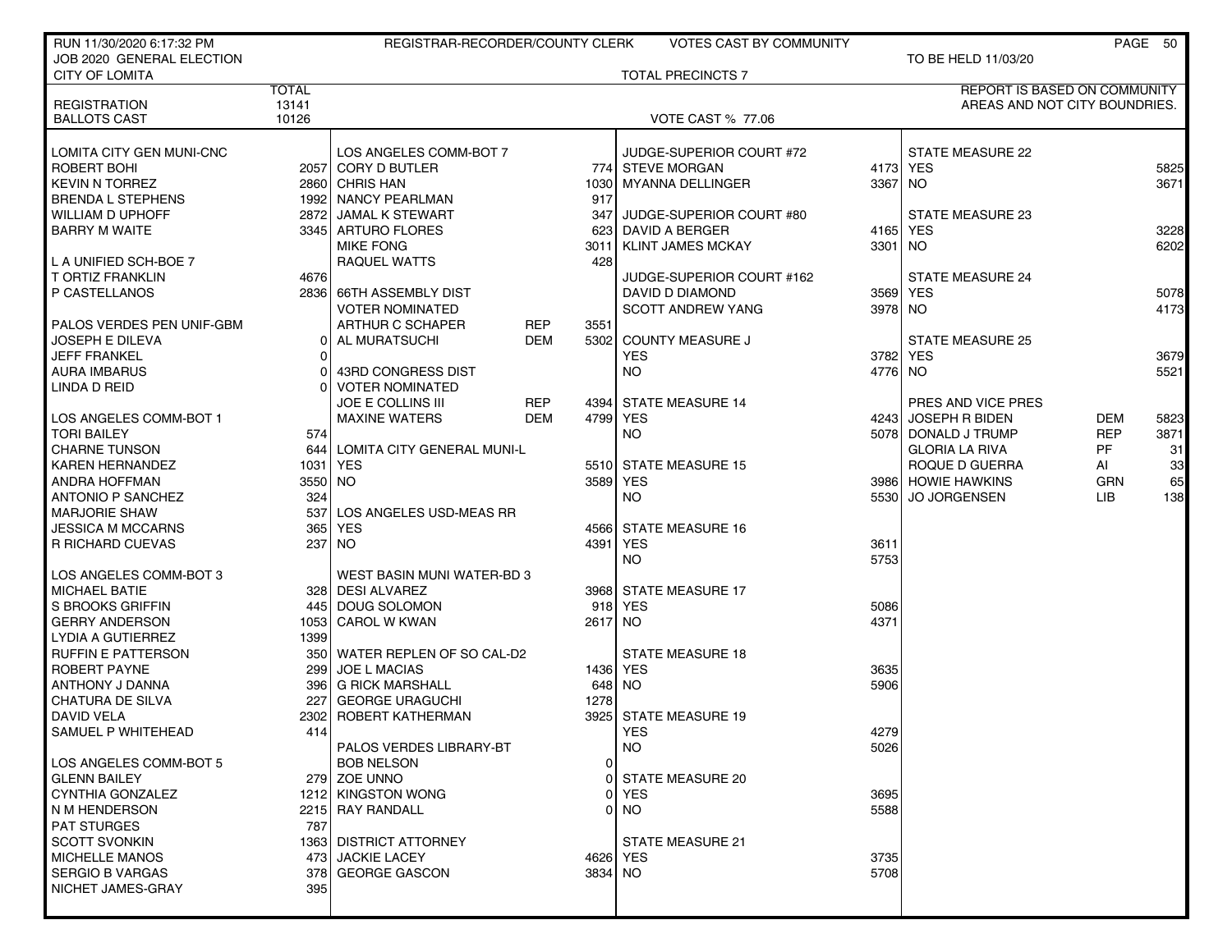| RUN 11/30/2020 6:17:32 PM |              | REGISTRAR-RECORDER/COUNTY CLERK              |            |         | <b>VOTES CAST BY COMMUNITY</b> |           |                                     |            | PAGE 50 |
|---------------------------|--------------|----------------------------------------------|------------|---------|--------------------------------|-----------|-------------------------------------|------------|---------|
| JOB 2020 GENERAL ELECTION |              |                                              |            |         |                                |           | TO BE HELD 11/03/20                 |            |         |
| <b>CITY OF LOMITA</b>     |              |                                              |            |         | <b>TOTAL PRECINCTS 7</b>       |           |                                     |            |         |
|                           | <b>TOTAL</b> |                                              |            |         |                                |           | <b>REPORT IS BASED ON COMMUNITY</b> |            |         |
| <b>REGISTRATION</b>       | 13141        |                                              |            |         |                                |           | AREAS AND NOT CITY BOUNDRIES.       |            |         |
| <b>BALLOTS CAST</b>       | 10126        |                                              |            |         | <b>VOTE CAST % 77.06</b>       |           |                                     |            |         |
|                           |              |                                              |            |         |                                |           |                                     |            |         |
| LOMITA CITY GEN MUNI-CNC  |              | LOS ANGELES COMM-BOT 7                       |            |         | JUDGE-SUPERIOR COURT #72       |           | <b>STATE MEASURE 22</b>             |            |         |
| ROBERT BOHI               |              | 2057 CORY D BUTLER                           |            |         | 774 STEVE MORGAN               | 4173 YES  |                                     |            | 5825    |
| <b>KEVIN N TORREZ</b>     |              | 2860 CHRIS HAN                               |            |         | 1030 MYANNA DELLINGER          | 3367 NO   |                                     |            | 3671    |
| BRENDA L STEPHENS         |              | 1992 NANCY PEARLMAN                          |            | 917     |                                |           |                                     |            |         |
| WILLIAM D UPHOFF          |              | 2872 JAMAL K STEWART                         |            | 347     | JUDGE-SUPERIOR COURT #80       |           | <b>STATE MEASURE 23</b>             |            |         |
| <b>BARRY M WAITE</b>      |              | 3345 ARTURO FLORES                           |            | 623     | DAVID A BERGER                 | 4165      | <b>YES</b>                          |            | 3228    |
|                           |              | <b>MIKE FONG</b>                             |            | 3011    | <b>KLINT JAMES MCKAY</b>       | 3301   NO |                                     |            | 6202    |
| L A UNIFIED SCH-BOE 7     |              | <b>RAQUEL WATTS</b>                          |            | 428     |                                |           |                                     |            |         |
| T ORTIZ FRANKLIN          | 4676         |                                              |            |         | JUDGE-SUPERIOR COURT #162      |           | <b>STATE MEASURE 24</b>             |            |         |
| P CASTELLANOS             |              | 2836 66TH ASSEMBLY DIST                      |            |         | DAVID D DIAMOND                |           | 3569 YES                            |            | 5078    |
|                           |              | <b>VOTER NOMINATED</b>                       |            |         | <b>SCOTT ANDREW YANG</b>       | 3978 NO   |                                     |            | 4173    |
| PALOS VERDES PEN UNIF-GBM |              | ARTHUR C SCHAPER                             | <b>REP</b> | 3551    |                                |           |                                     |            |         |
| JOSEPH E DILEVA           | 01           | AL MURATSUCHI                                | <b>DEM</b> |         | 5302 COUNTY MEASURE J          |           | <b>STATE MEASURE 25</b>             |            |         |
| <b>JEFF FRANKEL</b>       | $\Omega$     |                                              |            |         | <b>YES</b>                     | 3782 YES  |                                     |            | 3679    |
| <b>AURA IMBARUS</b>       | 0            | 43RD CONGRESS DIST                           |            |         | <b>NO</b>                      | 4776 NO   |                                     |            | 5521    |
| LINDA D REID              | $\Omega$     | <b>VOTER NOMINATED</b>                       |            |         |                                |           |                                     |            |         |
|                           |              | JOE E COLLINS III                            | <b>REP</b> |         | 4394 STATE MEASURE 14          |           | PRES AND VICE PRES                  |            |         |
| LOS ANGELES COMM-BOT 1    |              | <b>MAXINE WATERS</b>                         | DEM        |         | 4799 YES                       |           | 4243 JOSEPH R BIDEN                 | DEM        | 5823    |
| <b>TORI BAILEY</b>        | 574          |                                              |            |         | <b>NO</b>                      |           | 5078   DONALD J TRUMP               | <b>REP</b> | 3871    |
| <b>CHARNE TUNSON</b>      |              | 644 LOMITA CITY GENERAL MUNI-L               |            |         |                                |           | <b>GLORIA LA RIVA</b>               | PF         | 31      |
| KAREN HERNANDEZ           |              | 1031   YES                                   |            |         | 5510 STATE MEASURE 15          |           | ROQUE D GUERRA                      | AI         | 33      |
| ANDRA HOFFMAN             | 3550 NO      |                                              |            |         | 3589 YES                       |           | 3986 HOWIE HAWKINS                  | <b>GRN</b> | 65      |
| ANTONIO P SANCHEZ         | 324          |                                              |            |         | NO.                            | 5530      | <b>JO JORGENSEN</b>                 | LIB.       | 138     |
| <b>MARJORIE SHAW</b>      | 537          | LOS ANGELES USD-MEAS RR                      |            |         |                                |           |                                     |            |         |
| JESSICA M MCCARNS         | 365          | YES                                          |            |         | 4566 STATE MEASURE 16          |           |                                     |            |         |
| R RICHARD CUEVAS          | 237          | NO.                                          |            |         | 4391 YES                       | 3611      |                                     |            |         |
|                           |              |                                              |            |         | <b>NO</b>                      | 5753      |                                     |            |         |
| LOS ANGELES COMM-BOT 3    |              | WEST BASIN MUNI WATER-BD 3                   |            |         |                                |           |                                     |            |         |
| MICHAEL BATIE             |              | 328 DESI ALVAREZ                             |            |         | 3968 STATE MEASURE 17          |           |                                     |            |         |
| S BROOKS GRIFFIN          |              | 445 DOUG SOLOMON                             |            |         | 918 YES                        | 5086      |                                     |            |         |
| <b>GERRY ANDERSON</b>     |              | 1053 CAROL W KWAN                            |            | 2617 NO |                                | 4371      |                                     |            |         |
| LYDIA A GUTIERREZ         | 1399         |                                              |            |         |                                |           |                                     |            |         |
| RUFFIN E PATTERSON        |              | 350 WATER REPLEN OF SO CAL-D2                |            |         | <b>STATE MEASURE 18</b>        |           |                                     |            |         |
| ROBERT PAYNE              | 299          | <b>JOE L MACIAS</b>                          |            |         | 1436 YES                       | 3635      |                                     |            |         |
| ANTHONY J DANNA           |              | 396 G RICK MARSHALL                          |            | 648     | NO.                            | 5906      |                                     |            |         |
| CHATURA DE SILVA          | 227          | <b>GEORGE URAGUCHI</b>                       |            | 1278    |                                |           |                                     |            |         |
| <b>DAVID VELA</b>         |              | 2302 ROBERT KATHERMAN                        |            |         | 3925 STATE MEASURE 19          |           |                                     |            |         |
| SAMUEL P WHITEHEAD        | 414          |                                              |            |         | YES                            | 4279      |                                     |            |         |
|                           |              |                                              |            |         | <b>NO</b>                      | 5026      |                                     |            |         |
| LOS ANGELES COMM-BOT 5    |              | PALOS VERDES LIBRARY-BT<br><b>BOB NELSON</b> |            | 0       |                                |           |                                     |            |         |
| <b>GLENN BAILEY</b>       |              | 279 ZOE UNNO                                 |            |         | 0 STATE MEASURE 20             |           |                                     |            |         |
| CYNTHIA GONZALEZ          |              | 1212 KINGSTON WONG                           |            |         | 0 YES                          | 3695      |                                     |            |         |
| N M HENDERSON             |              | 2215 RAY RANDALL                             |            |         | $0$ NO                         | 5588      |                                     |            |         |
| <b>PAT STURGES</b>        | 787          |                                              |            |         |                                |           |                                     |            |         |
|                           |              |                                              |            |         |                                |           |                                     |            |         |
| <b>SCOTT SVONKIN</b>      |              | 1363 DISTRICT ATTORNEY                       |            |         | STATE MEASURE 21               |           |                                     |            |         |
| <b>MICHELLE MANOS</b>     |              | 473 JACKIE LACEY                             |            |         | 4626 YES                       | 3735      |                                     |            |         |
| <b>SERGIO B VARGAS</b>    |              | 378 GEORGE GASCON                            |            | 3834 NO |                                | 5708      |                                     |            |         |
| NICHET JAMES-GRAY         | 395          |                                              |            |         |                                |           |                                     |            |         |
|                           |              |                                              |            |         |                                |           |                                     |            |         |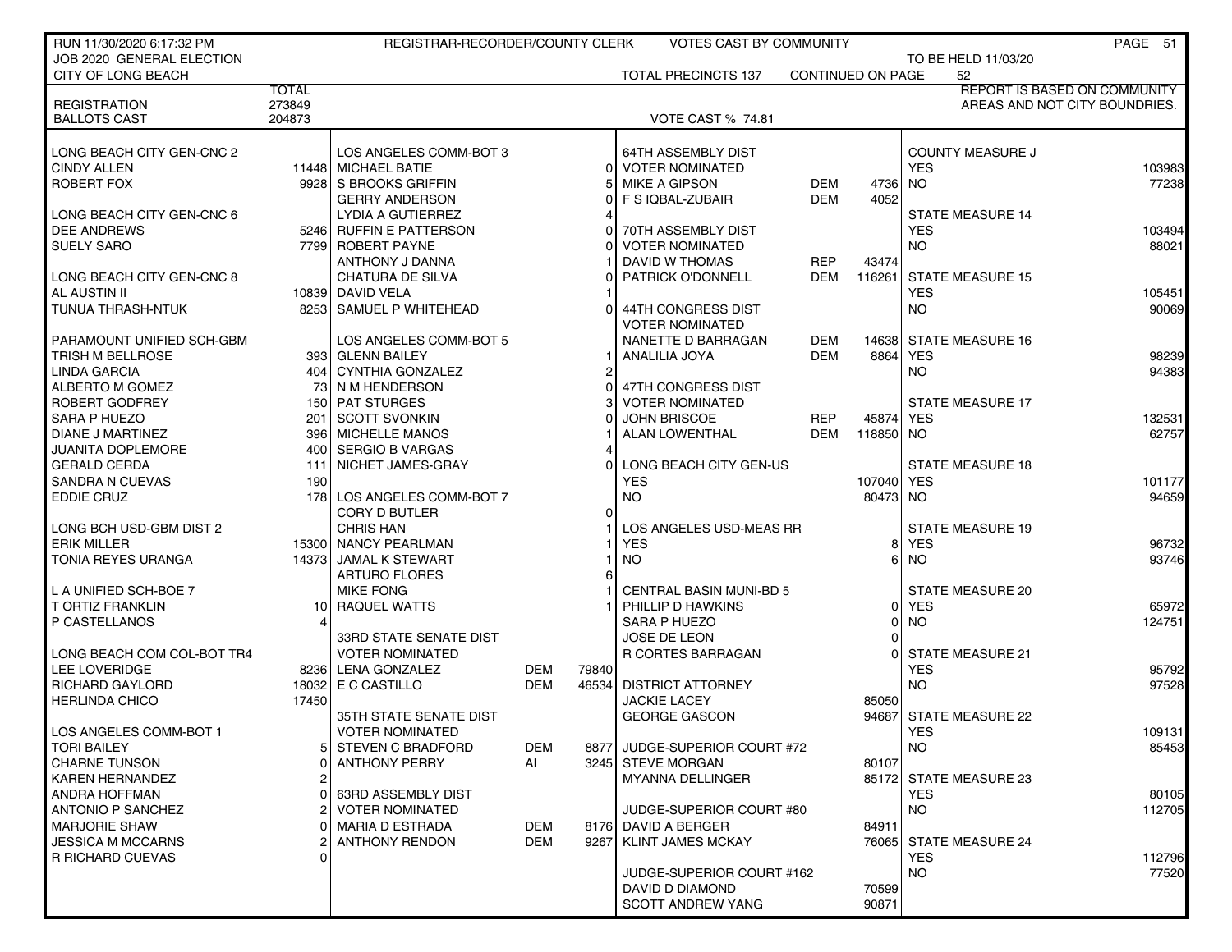| RUN 11/30/2020 6:17:32 PM  |              | REGISTRAR-RECORDER/COUNTY CLERK |            |          | <b>VOTES CAST BY COMMUNITY</b> |                   |                |            |                         | PAGE 51                             |
|----------------------------|--------------|---------------------------------|------------|----------|--------------------------------|-------------------|----------------|------------|-------------------------|-------------------------------------|
| JOB 2020 GENERAL ELECTION  |              |                                 |            |          |                                |                   |                |            | TO BE HELD 11/03/20     |                                     |
| CITY OF LONG BEACH         |              |                                 |            |          | <b>TOTAL PRECINCTS 137</b>     | CONTINUED ON PAGE |                |            | 52                      |                                     |
|                            | <b>TOTAL</b> |                                 |            |          |                                |                   |                |            |                         | <b>REPORT IS BASED ON COMMUNITY</b> |
| <b>REGISTRATION</b>        | 273849       |                                 |            |          |                                |                   |                |            |                         | AREAS AND NOT CITY BOUNDRIES.       |
| <b>BALLOTS CAST</b>        | 204873       |                                 |            |          | VOTE CAST % 74.81              |                   |                |            |                         |                                     |
|                            |              |                                 |            |          |                                |                   |                |            |                         |                                     |
| LONG BEACH CITY GEN-CNC 2  |              | LOS ANGELES COMM-BOT 3          |            |          | 64TH ASSEMBLY DIST             |                   |                |            | <b>COUNTY MEASURE J</b> |                                     |
| <b>CINDY ALLEN</b>         |              | 11448 MICHAEL BATIE             |            | $\Omega$ | <b>VOTER NOMINATED</b>         |                   |                | <b>YES</b> |                         | 103983                              |
| ROBERT FOX                 |              | 9928 S BROOKS GRIFFIN           |            |          | <b>MIKE A GIPSON</b>           | <b>DEM</b>        | 47361          | <b>NO</b>  |                         | 77238                               |
|                            |              | <b>GERRY ANDERSON</b>           |            |          | F S IQBAL-ZUBAIR               | <b>DEM</b>        | 4052           |            |                         |                                     |
| LONG BEACH CITY GEN-CNC 6  |              | LYDIA A GUTIERREZ               |            |          |                                |                   |                |            | <b>STATE MEASURE 14</b> |                                     |
| <b>DEE ANDREWS</b>         |              | 5246 RUFFIN E PATTERSON         |            |          | 70TH ASSEMBLY DIST             |                   |                | <b>YES</b> |                         | 103494                              |
| <b>SUELY SARO</b>          |              | 7799 ROBERT PAYNE               |            |          | <b>VOTER NOMINATED</b>         |                   |                | NO.        |                         | 88021                               |
|                            |              | ANTHONY J DANNA                 |            |          | DAVID W THOMAS                 | <b>REP</b>        | 43474          |            |                         |                                     |
| LONG BEACH CITY GEN-CNC 8  |              | <b>CHATURA DE SILVA</b>         |            |          | <b>PATRICK O'DONNELL</b>       | <b>DEM</b>        | 116261         |            | <b>STATE MEASURE 15</b> |                                     |
| AL AUSTIN II               |              | 10839 DAVID VELA                |            |          |                                |                   |                | <b>YES</b> |                         | 105451                              |
| TUNUA THRASH-NTUK          |              | 8253 SAMUEL P WHITEHEAD         |            |          | 44TH CONGRESS DIST             |                   |                | <b>NO</b>  |                         | 90069                               |
|                            |              |                                 |            |          | <b>VOTER NOMINATED</b>         |                   |                |            |                         |                                     |
|                            |              |                                 |            |          |                                | <b>DEM</b>        |                |            | <b>STATE MEASURE 16</b> |                                     |
| PARAMOUNT UNIFIED SCH-GBM  |              | LOS ANGELES COMM-BOT 5          |            |          | NANETTE D BARRAGAN             |                   | 14638          |            |                         |                                     |
| TRISH M BELLROSE           |              | 393 GLENN BAILEY                |            |          | ANALILIA JOYA                  | <b>DEM</b>        | 8864 YES       |            |                         | 98239                               |
| LINDA GARCIA               |              | 404   CYNTHIA GONZALEZ          |            | 2        |                                |                   |                | <b>NO</b>  |                         | 94383                               |
| ALBERTO M GOMEZ            | 73           | NM HENDERSON                    |            |          | 47TH CONGRESS DIST             |                   |                |            |                         |                                     |
| ROBERT GODFREY             |              | 150 PAT STURGES                 |            |          | <b>VOTER NOMINATED</b>         |                   |                |            | <b>STATE MEASURE 17</b> |                                     |
| <b>SARA P HUEZO</b>        | 201          | <b>SCOTT SVONKIN</b>            |            |          | <b>JOHN BRISCOE</b>            | <b>REP</b>        | 45874          | <b>YES</b> |                         | 132531                              |
| DIANE J MARTINEZ           |              | 396   MICHELLE MANOS            |            |          | ALAN LOWENTHAL                 | DEM               | 118850 NO      |            |                         | 62757                               |
| <b>JUANITA DOPLEMORE</b>   |              | 400 SERGIO B VARGAS             |            |          |                                |                   |                |            |                         |                                     |
| <b>GERALD CERDA</b>        | 111          | NICHET JAMES-GRAY               |            |          | LONG BEACH CITY GEN-US         |                   |                |            | <b>STATE MEASURE 18</b> |                                     |
| SANDRA N CUEVAS            | 190          |                                 |            |          | <b>YES</b>                     |                   | 107040         | <b>YES</b> |                         | 101177                              |
| <b>EDDIE CRUZ</b>          |              | 178 LOS ANGELES COMM-BOT 7      |            |          | <b>NO</b>                      |                   | 80473 NO       |            |                         | 94659                               |
|                            |              | CORY D BUTLER                   |            | $\Omega$ |                                |                   |                |            |                         |                                     |
| LONG BCH USD-GBM DIST 2    |              | <b>CHRIS HAN</b>                |            |          | LOS ANGELES USD-MEAS RR        |                   |                |            | <b>STATE MEASURE 19</b> |                                     |
| <b>ERIK MILLER</b>         |              | 15300 NANCY PEARLMAN            |            |          | <b>YES</b>                     |                   | 81             | <b>YES</b> |                         | 96732                               |
| TONIA REYES URANGA         |              | 14373 JAMAL K STEWART           |            |          | <b>NO</b>                      |                   | 61             | <b>NO</b>  |                         | 93746                               |
|                            |              | <b>ARTURO FLORES</b>            |            | 6        |                                |                   |                |            |                         |                                     |
| L A UNIFIED SCH-BOE 7      |              | <b>MIKE FONG</b>                |            |          | <b>CENTRAL BASIN MUNI-BD 5</b> |                   |                |            | STATE MEASURE 20        |                                     |
| <b>T ORTIZ FRANKLIN</b>    |              | 10 RAQUEL WATTS                 |            |          | PHILLIP D HAWKINS              |                   | 01             | <b>YES</b> |                         | 65972                               |
| P CASTELLANOS              |              |                                 |            |          | <b>SARA P HUEZO</b>            |                   | $\overline{0}$ | <b>NO</b>  |                         | 124751                              |
|                            |              | <b>33RD STATE SENATE DIST</b>   |            |          | JOSE DE LEON                   |                   |                |            |                         |                                     |
| LONG BEACH COM COL-BOT TR4 |              | <b>VOTER NOMINATED</b>          |            |          | <b>R CORTES BARRAGAN</b>       |                   | $\Omega$       |            | <b>STATE MEASURE 21</b> |                                     |
| LEE LOVERIDGE              |              | 8236 LENA GONZALEZ              | <b>DEM</b> | 79840    |                                |                   |                | <b>YES</b> |                         | 95792                               |
| <b>RICHARD GAYLORD</b>     |              | 18032 E C CASTILLO              | <b>DEM</b> | 46534    | <b>DISTRICT ATTORNEY</b>       |                   |                | <b>NO</b>  |                         | 97528                               |
| <b>HERLINDA CHICO</b>      | 17450        |                                 |            |          | <b>JACKIE LACEY</b>            |                   | 85050          |            |                         |                                     |
|                            |              | 35TH STATE SENATE DIST          |            |          | <b>GEORGE GASCON</b>           |                   |                |            | 94687 STATE MEASURE 22  |                                     |
| LOS ANGELES COMM-BOT 1     |              | <b>VOTER NOMINATED</b>          |            |          |                                |                   |                | YES        |                         | 109131                              |
| <b>TORI BAILEY</b>         |              | 5 STEVEN C BRADFORD             | <b>DEM</b> | 8877     | JUDGE-SUPERIOR COURT #72       |                   |                | <b>NO</b>  |                         | 85453                               |
| <b>CHARNE TUNSON</b>       |              | <b>ANTHONY PERRY</b>            | Al         |          | 3245 STEVE MORGAN              |                   | 80107          |            |                         |                                     |
| <b>KAREN HERNANDEZ</b>     |              |                                 |            |          | MYANNA DELLINGER               |                   |                |            | 85172 STATE MEASURE 23  |                                     |
| ANDRA HOFFMAN              |              | <b>63RD ASSEMBLY DIST</b>       |            |          |                                |                   |                | <b>YES</b> |                         | 80105                               |
| ANTONIO P SANCHEZ          |              | <b>VOTER NOMINATED</b>          |            |          | JUDGE-SUPERIOR COURT #80       |                   |                | <b>NO</b>  |                         | 112705                              |
| <b>MARJORIE SHAW</b>       |              | MARIA D ESTRADA                 | <b>DEM</b> |          | 8176 DAVID A BERGER            |                   | 84911          |            |                         |                                     |
| <b>JESSICA M MCCARNS</b>   |              | <b>ANTHONY RENDON</b>           | <b>DEM</b> | 9267     | <b>KLINT JAMES MCKAY</b>       |                   |                |            | 76065 STATE MEASURE 24  |                                     |
| R RICHARD CUEVAS           |              |                                 |            |          |                                |                   |                | <b>YES</b> |                         | 112796                              |
|                            |              |                                 |            |          | JUDGE-SUPERIOR COURT #162      |                   |                | <b>NO</b>  |                         | 77520                               |
|                            |              |                                 |            |          | DAVID D DIAMOND                |                   | 70599          |            |                         |                                     |
|                            |              |                                 |            |          | <b>SCOTT ANDREW YANG</b>       |                   | 90871          |            |                         |                                     |
|                            |              |                                 |            |          |                                |                   |                |            |                         |                                     |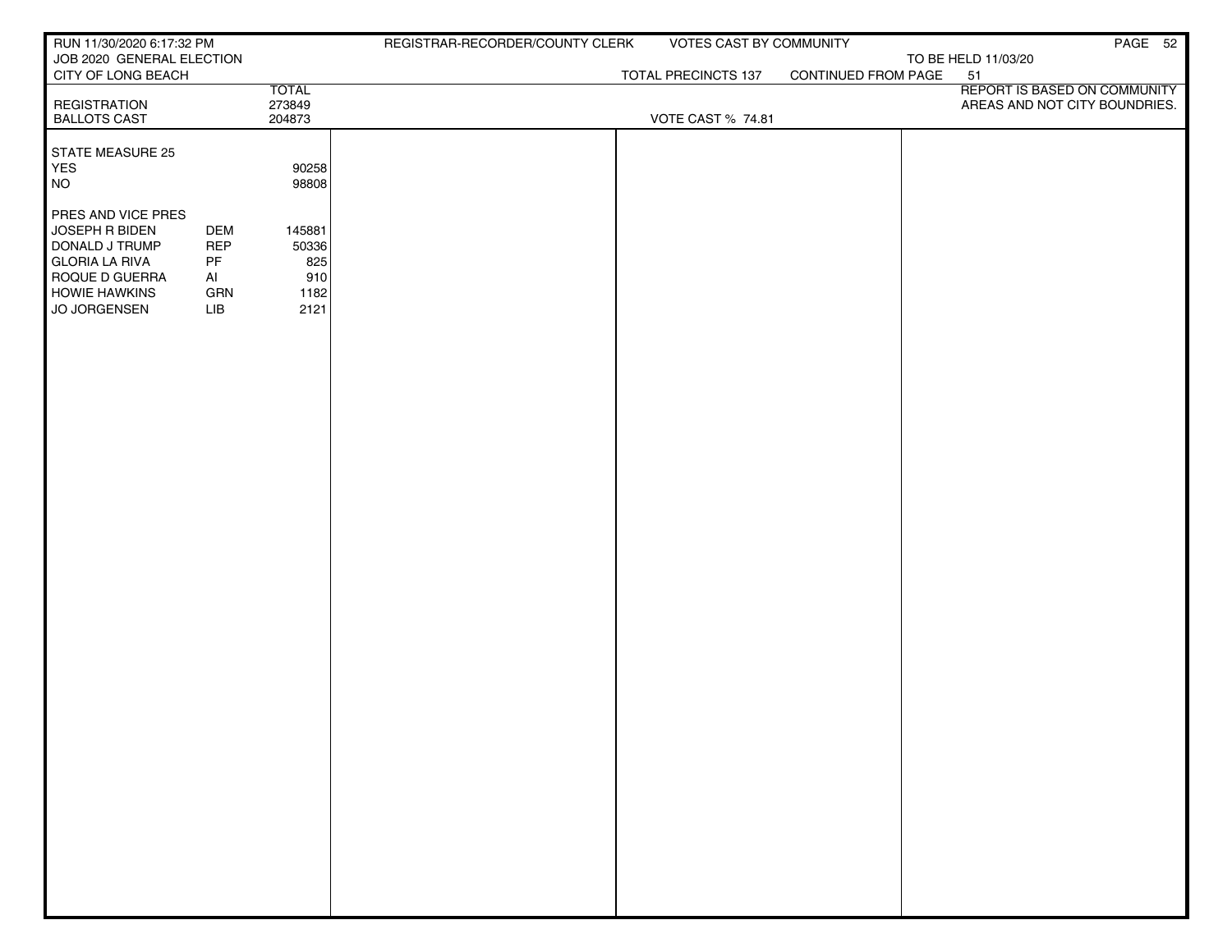| RUN 11/30/2020 6:17:32 PM                       |            |              | REGISTRAR-RECORDER/COUNTY CLERK | VOTES CAST BY COMMUNITY  |                     | PAGE 52                       |
|-------------------------------------------------|------------|--------------|---------------------------------|--------------------------|---------------------|-------------------------------|
| JOB 2020 GENERAL ELECTION<br>CITY OF LONG BEACH |            |              |                                 | TOTAL PRECINCTS 137      | CONTINUED FROM PAGE | TO BE HELD 11/03/20<br>51     |
|                                                 |            | <b>TOTAL</b> |                                 |                          |                     | REPORT IS BASED ON COMMUNITY  |
| <b>REGISTRATION</b>                             |            | 273849       |                                 |                          |                     | AREAS AND NOT CITY BOUNDRIES. |
| <b>BALLOTS CAST</b>                             |            | 204873       |                                 | <b>VOTE CAST % 74.81</b> |                     |                               |
| STATE MEASURE 25                                |            |              |                                 |                          |                     |                               |
| YES                                             |            | 90258        |                                 |                          |                     |                               |
| <b>NO</b>                                       |            | 98808        |                                 |                          |                     |                               |
| PRES AND VICE PRES                              |            |              |                                 |                          |                     |                               |
| JOSEPH R BIDEN                                  | <b>DEM</b> | 145881       |                                 |                          |                     |                               |
| DONALD J TRUMP                                  | <b>REP</b> | 50336        |                                 |                          |                     |                               |
| <b>GLORIA LA RIVA</b><br>ROQUE D GUERRA         | PF<br>AI   | 825<br>910   |                                 |                          |                     |                               |
| <b>HOWIE HAWKINS</b>                            | GRN        | 1182         |                                 |                          |                     |                               |
| JO JORGENSEN                                    | LIB        | 2121         |                                 |                          |                     |                               |
|                                                 |            |              |                                 |                          |                     |                               |
|                                                 |            |              |                                 |                          |                     |                               |
|                                                 |            |              |                                 |                          |                     |                               |
|                                                 |            |              |                                 |                          |                     |                               |
|                                                 |            |              |                                 |                          |                     |                               |
|                                                 |            |              |                                 |                          |                     |                               |
|                                                 |            |              |                                 |                          |                     |                               |
|                                                 |            |              |                                 |                          |                     |                               |
|                                                 |            |              |                                 |                          |                     |                               |
|                                                 |            |              |                                 |                          |                     |                               |
|                                                 |            |              |                                 |                          |                     |                               |
|                                                 |            |              |                                 |                          |                     |                               |
|                                                 |            |              |                                 |                          |                     |                               |
|                                                 |            |              |                                 |                          |                     |                               |
|                                                 |            |              |                                 |                          |                     |                               |
|                                                 |            |              |                                 |                          |                     |                               |
|                                                 |            |              |                                 |                          |                     |                               |
|                                                 |            |              |                                 |                          |                     |                               |
|                                                 |            |              |                                 |                          |                     |                               |
|                                                 |            |              |                                 |                          |                     |                               |
|                                                 |            |              |                                 |                          |                     |                               |
|                                                 |            |              |                                 |                          |                     |                               |
|                                                 |            |              |                                 |                          |                     |                               |
|                                                 |            |              |                                 |                          |                     |                               |
|                                                 |            |              |                                 |                          |                     |                               |
|                                                 |            |              |                                 |                          |                     |                               |
|                                                 |            |              |                                 |                          |                     |                               |
|                                                 |            |              |                                 |                          |                     |                               |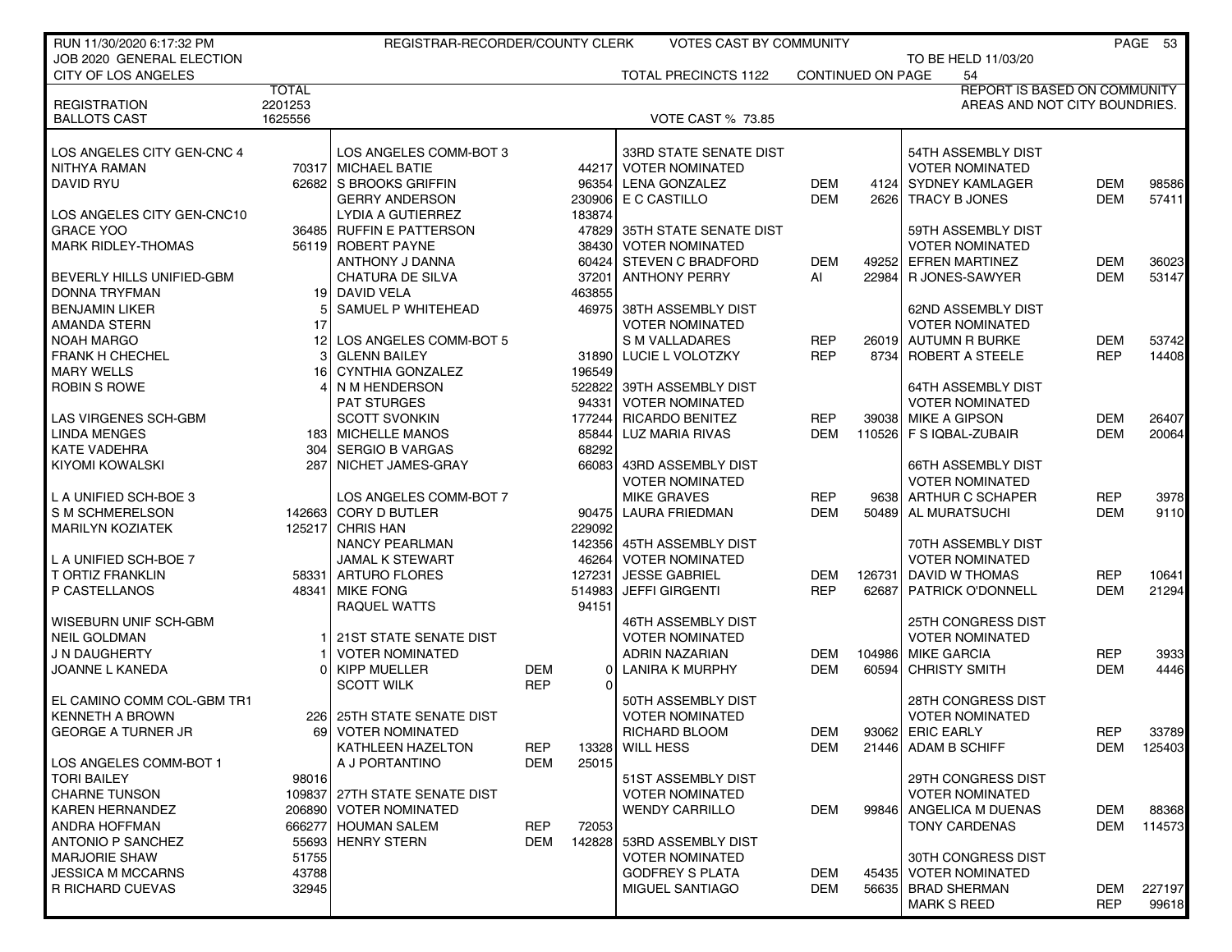| RUN 11/30/2020 6:17:32 PM                            |              | REGISTRAR-RECORDER/COUNTY CLERK                  |            |                      | <b>VOTES CAST BY COMMUNITY</b>               |                          |                          |                                              |                                     | PAGE 53 |
|------------------------------------------------------|--------------|--------------------------------------------------|------------|----------------------|----------------------------------------------|--------------------------|--------------------------|----------------------------------------------|-------------------------------------|---------|
| JOB 2020 GENERAL ELECTION                            |              |                                                  |            |                      |                                              |                          |                          | TO BE HELD 11/03/20                          |                                     |         |
| CITY OF LOS ANGELES                                  |              |                                                  |            |                      | <b>TOTAL PRECINCTS 1122</b>                  |                          | <b>CONTINUED ON PAGE</b> | 54                                           |                                     |         |
|                                                      | <b>TOTAL</b> |                                                  |            |                      |                                              |                          |                          |                                              | <b>REPORT IS BASED ON COMMUNITY</b> |         |
| <b>REGISTRATION</b>                                  | 2201253      |                                                  |            |                      |                                              |                          |                          |                                              | AREAS AND NOT CITY BOUNDRIES.       |         |
| <b>BALLOTS CAST</b>                                  | 1625556      |                                                  |            |                      | <b>VOTE CAST % 73.85</b>                     |                          |                          |                                              |                                     |         |
| LOS ANGELES CITY GEN-CNC 4                           |              | LOS ANGELES COMM-BOT 3                           |            |                      | 33RD STATE SENATE DIST                       |                          |                          | 54TH ASSEMBLY DIST                           |                                     |         |
| NITHYA RAMAN                                         |              | 70317 MICHAEL BATIE                              |            |                      | 44217 VOTER NOMINATED                        |                          |                          | <b>VOTER NOMINATED</b>                       |                                     |         |
| <b>DAVID RYU</b>                                     |              | 62682 S BROOKS GRIFFIN                           |            | 96354                | LENA GONZALEZ                                | DEM                      | 41241                    | <b>SYDNEY KAMLAGER</b>                       | <b>DEM</b>                          | 98586   |
|                                                      |              | <b>GERRY ANDERSON</b>                            |            | 230906               | E C CASTILLO                                 | <b>DEM</b>               | 2626                     | TRACY B JONES                                | <b>DEM</b>                          | 57411   |
| LOS ANGELES CITY GEN-CNC10                           |              | <b>LYDIA A GUTIERREZ</b>                         |            | 183874               |                                              |                          |                          |                                              |                                     |         |
| <b>GRACE YOO</b>                                     |              | 36485 RUFFIN E PATTERSON                         |            | 47829                | 35TH STATE SENATE DIST                       |                          |                          | 59TH ASSEMBLY DIST                           |                                     |         |
| <b>MARK RIDLEY-THOMAS</b>                            |              | 56119 ROBERT PAYNE                               |            | 38430                | <b>VOTER NOMINATED</b>                       |                          |                          | <b>VOTER NOMINATED</b>                       |                                     |         |
|                                                      |              | ANTHONY J DANNA                                  |            |                      | 60424 STEVEN C BRADFORD                      | <b>DEM</b>               | 49252                    | <b>EFREN MARTINEZ</b>                        | <b>DEM</b>                          | 36023   |
|                                                      |              | <b>CHATURA DE SILVA</b>                          |            | 37201                | <b>ANTHONY PERRY</b>                         |                          |                          |                                              | <b>DEM</b>                          |         |
| BEVERLY HILLS UNIFIED-GBM                            |              |                                                  |            | 463855               |                                              | Al                       | 22984                    | R JONES-SAWYER                               |                                     | 53147   |
| DONNA TRYFMAN                                        |              | 19 DAVID VELA<br>SAMUEL P WHITEHEAD              |            | 46975                |                                              |                          |                          |                                              |                                     |         |
| <b>BENJAMIN LIKER</b>                                | 17           |                                                  |            |                      | 38TH ASSEMBLY DIST<br><b>VOTER NOMINATED</b> |                          |                          | 62ND ASSEMBLY DIST                           |                                     |         |
| AMANDA STERN                                         |              |                                                  |            |                      |                                              |                          |                          | <b>VOTER NOMINATED</b>                       |                                     |         |
| <b>NOAH MARGO</b>                                    |              | 12 LOS ANGELES COMM-BOT 5<br><b>GLENN BAILEY</b> |            |                      | S M VALLADARES                               | REP                      |                          | 26019 AUTUMN R BURKE<br>8734 ROBERT A STEELE | DEM                                 | 53742   |
| <b>FRANK H CHECHEL</b><br><b>MARY WELLS</b>          |              | CYNTHIA GONZALEZ                                 |            | 31890                | LUCIE L VOLOTZKY                             | <b>REP</b>               |                          |                                              | <b>REP</b>                          | 14408   |
|                                                      | 16           |                                                  |            | 196549               |                                              |                          |                          |                                              |                                     |         |
| <b>ROBIN S ROWE</b>                                  |              | N M HENDERSON                                    |            | 522822               | 39TH ASSEMBLY DIST                           |                          |                          | 64TH ASSEMBLY DIST                           |                                     |         |
|                                                      |              | <b>PAT STURGES</b>                               |            | 94331                | VOTER NOMINATED                              |                          |                          | <b>VOTER NOMINATED</b>                       |                                     |         |
| LAS VIRGENES SCH-GBM                                 |              | <b>SCOTT SVONKIN</b>                             |            | 177244               | <b>RICARDO BENITEZ</b>                       | <b>REP</b>               | 39038 l                  | <b>MIKE A GIPSON</b>                         | <b>DEM</b>                          | 26407   |
| <b>LINDA MENGES</b>                                  |              | 183 MICHELLE MANOS                               |            | 85844                | LUZ MARIA RIVAS                              | <b>DEM</b>               | 110526                   | F S IQBAL-ZUBAIR                             | <b>DEM</b>                          | 20064   |
| <b>KATE VADEHRA</b>                                  | 304          | SERGIO B VARGAS                                  |            | 68292                |                                              |                          |                          |                                              |                                     |         |
| <b>KIYOMI KOWALSKI</b>                               |              | 287 NICHET JAMES-GRAY                            |            | 66083                | 43RD ASSEMBLY DIST                           |                          |                          | <b>66TH ASSEMBLY DIST</b>                    |                                     |         |
|                                                      |              |                                                  |            |                      | <b>VOTER NOMINATED</b>                       |                          |                          | <b>VOTER NOMINATED</b>                       |                                     |         |
| L A UNIFIED SCH-BOE 3                                |              | LOS ANGELES COMM-BOT 7                           |            |                      | <b>MIKE GRAVES</b>                           | REP                      | 96381                    | ARTHUR C SCHAPER                             | <b>REP</b>                          | 3978    |
| S M SCHMERELSON                                      |              | 142663 CORY D BUTLER                             |            |                      | 90475 LAURA FRIEDMAN                         | <b>DEM</b>               | 50489                    | AL MURATSUCHI                                | <b>DEM</b>                          | 9110    |
| <b>MARILYN KOZIATEK</b>                              |              | 125217 CHRIS HAN                                 |            | 229092               |                                              |                          |                          |                                              |                                     |         |
|                                                      |              | <b>NANCY PEARLMAN</b>                            |            |                      | 142356 45TH ASSEMBLY DIST                    |                          |                          | 70TH ASSEMBLY DIST                           |                                     |         |
| L A UNIFIED SCH-BOE 7                                |              | <b>JAMAL K STEWART</b>                           |            | 46264                | <b>VOTER NOMINATED</b>                       |                          |                          | <b>VOTER NOMINATED</b>                       |                                     |         |
| <b>T ORTIZ FRANKLIN</b>                              |              | 58331 ARTURO FLORES                              |            | 127231               | <b>JESSE GABRIEL</b>                         | <b>DEM</b>               | 126731                   | DAVID W THOMAS                               | <b>REP</b>                          | 10641   |
| P CASTELLANOS                                        |              | 48341 MIKE FONG                                  |            | 514983               | <b>JEFFI GIRGENTI</b>                        | <b>REP</b>               | 62687                    | PATRICK O'DONNELL                            | <b>DEM</b>                          | 21294   |
|                                                      |              | RAQUEL WATTS                                     |            | 94151                |                                              |                          |                          |                                              |                                     |         |
| WISEBURN UNIF SCH-GBM<br><b>NEIL GOLDMAN</b>         |              |                                                  |            |                      | 46TH ASSEMBLY DIST<br><b>VOTER NOMINATED</b> |                          |                          | 25TH CONGRESS DIST                           |                                     |         |
| J N DAUGHERTY                                        |              | 21ST STATE SENATE DIST<br><b>VOTER NOMINATED</b> |            |                      |                                              |                          |                          | <b>VOTER NOMINATED</b><br><b>MIKE GARCIA</b> | <b>REP</b>                          |         |
|                                                      |              | KIPP MUELLER                                     | <b>DEM</b> |                      | ADRIN NAZARIAN                               | <b>DEM</b><br><b>DEM</b> | 104986                   | <b>CHRISTY SMITH</b>                         | <b>DEM</b>                          | 3933    |
| JOANNE L KANEDA                                      |              |                                                  | <b>REP</b> | $\Omega$<br>$\Omega$ | <b>LANIRA K MURPHY</b>                       |                          | 60594                    |                                              |                                     | 4446    |
|                                                      |              | <b>SCOTT WILK</b>                                |            |                      | 50TH ASSEMBLY DIST                           |                          |                          |                                              |                                     |         |
| EL CAMINO COMM COL-GBM TR1<br><b>KENNETH A BROWN</b> |              |                                                  |            |                      |                                              |                          |                          | 28TH CONGRESS DIST                           |                                     |         |
|                                                      | <b>2261</b>  | <b>25TH STATE SENATE DIST</b>                    |            |                      | <b>VOTER NOMINATED</b>                       |                          |                          | <b>VOTER NOMINATED</b>                       |                                     |         |
| <b>GEORGE A TURNER JR</b>                            |              | 69   VOTER NOMINATED                             |            |                      | RICHARD BLOOM                                | DEM                      |                          | 93062 ERIC EARLY                             | <b>REP</b>                          | 33789   |
| LOS ANGELES COMM-BOT 1                               |              | KATHLEEN HAZELTON<br>A J PORTANTINO              | REP<br>DEM | 13328<br>25015       | <b>WILL HESS</b>                             | <b>DEM</b>               |                          | 21446 ADAM B SCHIFF                          | DEM                                 | 125403  |
| <b>TORI BAILEY</b>                                   | 98016        |                                                  |            |                      | 51ST ASSEMBLY DIST                           |                          |                          | 29TH CONGRESS DIST                           |                                     |         |
| <b>CHARNE TUNSON</b>                                 |              | 109837 27TH STATE SENATE DIST                    |            |                      | <b>VOTER NOMINATED</b>                       |                          |                          | <b>VOTER NOMINATED</b>                       |                                     |         |
| <b>KAREN HERNANDEZ</b>                               |              | 206890 VOTER NOMINATED                           |            |                      | <b>WENDY CARRILLO</b>                        | <b>DEM</b>               | 99846                    | ANGELICA M DUENAS                            | <b>DEM</b>                          | 88368   |
| ANDRA HOFFMAN                                        |              | 666277 HOUMAN SALEM                              | <b>REP</b> | 72053                |                                              |                          |                          | <b>TONY CARDENAS</b>                         | DEM                                 | 114573  |
| ANTONIO P SANCHEZ                                    |              | 55693 HENRY STERN                                | <b>DEM</b> | 142828               | 53RD ASSEMBLY DIST                           |                          |                          |                                              |                                     |         |
| <b>MARJORIE SHAW</b>                                 | 51755        |                                                  |            |                      | <b>VOTER NOMINATED</b>                       |                          |                          | 30TH CONGRESS DIST                           |                                     |         |
| <b>JESSICA M MCCARNS</b>                             | 43788        |                                                  |            |                      | <b>GODFREY S PLATA</b>                       | <b>DEM</b>               | 45435                    | <b>VOTER NOMINATED</b>                       |                                     |         |
| R RICHARD CUEVAS                                     | 32945        |                                                  |            |                      | MIGUEL SANTIAGO                              | <b>DEM</b>               |                          | 56635   BRAD SHERMAN                         | <b>DEM</b>                          | 227197  |
|                                                      |              |                                                  |            |                      |                                              |                          |                          | <b>MARK S REED</b>                           | <b>REP</b>                          | 99618   |
|                                                      |              |                                                  |            |                      |                                              |                          |                          |                                              |                                     |         |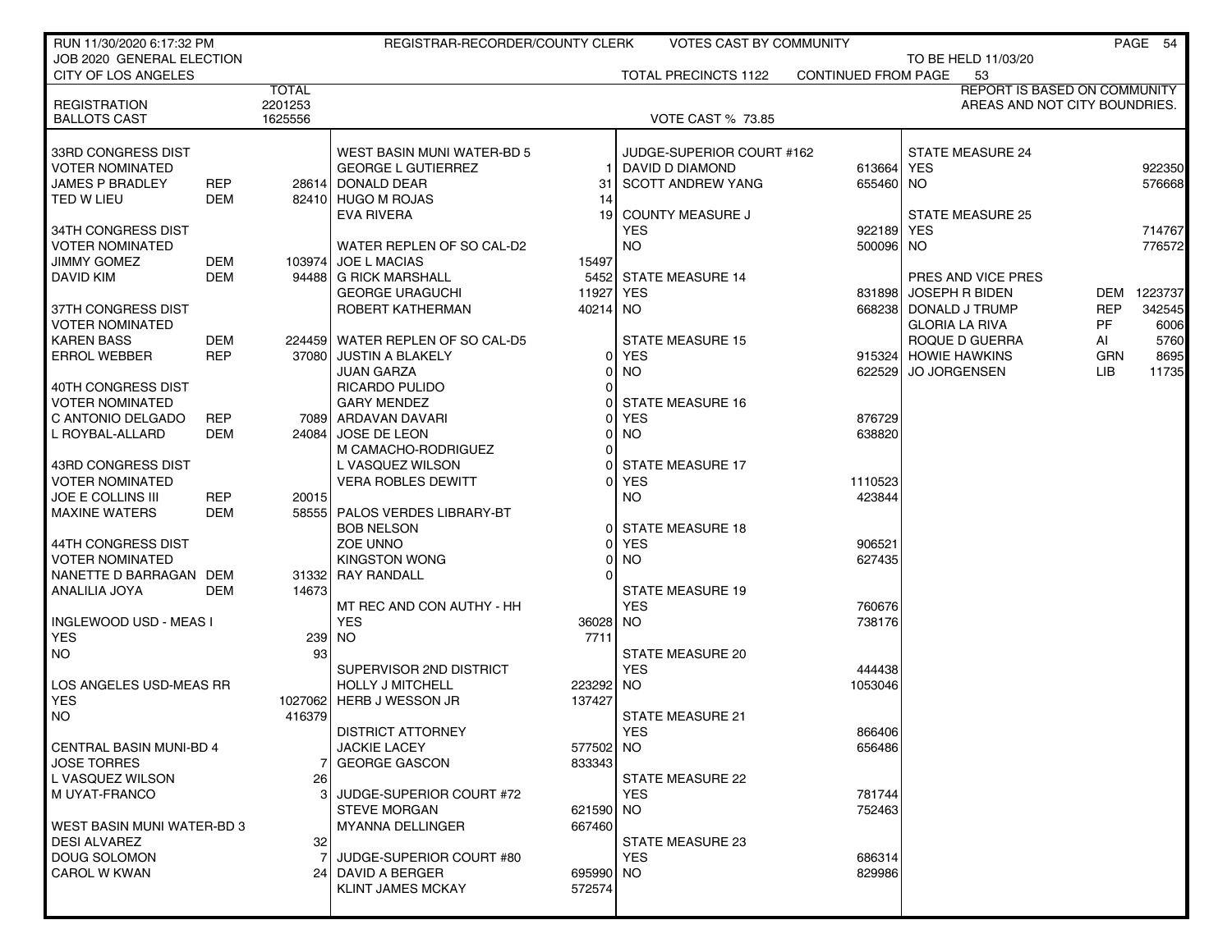| RUN 11/30/2020 6:17:32 PM                        |            |              | REGISTRAR-RECORDER/COUNTY CLERK         |                       | <b>VOTES CAST BY COMMUNITY</b>              |                            |                               |            | PAGE 54 |
|--------------------------------------------------|------------|--------------|-----------------------------------------|-----------------------|---------------------------------------------|----------------------------|-------------------------------|------------|---------|
| JOB 2020 GENERAL ELECTION                        |            |              |                                         |                       |                                             |                            | TO BE HELD 11/03/20           |            |         |
| <b>CITY OF LOS ANGELES</b>                       |            |              |                                         |                       | <b>TOTAL PRECINCTS 1122</b>                 | <b>CONTINUED FROM PAGE</b> | 53                            |            |         |
|                                                  |            | <b>TOTAL</b> |                                         |                       |                                             |                            | REPORT IS BASED ON COMMUNITY  |            |         |
| <b>REGISTRATION</b>                              |            | 2201253      |                                         |                       |                                             |                            | AREAS AND NOT CITY BOUNDRIES. |            |         |
| <b>BALLOTS CAST</b>                              |            | 1625556      |                                         |                       | <b>VOTE CAST % 73.85</b>                    |                            |                               |            |         |
|                                                  |            |              |                                         |                       |                                             |                            |                               |            |         |
| 33RD CONGRESS DIST                               |            |              | WEST BASIN MUNI WATER-BD 5              |                       | JUDGE-SUPERIOR COURT #162                   |                            | <b>STATE MEASURE 24</b>       |            | 922350  |
| <b>VOTER NOMINATED</b><br><b>JAMES P BRADLEY</b> | <b>REP</b> |              | <b>GEORGE L GUTIERREZ</b>               |                       | DAVID D DIAMOND<br><b>SCOTT ANDREW YANG</b> | 613664 YES                 |                               |            | 576668  |
| TED W LIEU                                       | DEM        |              | 28614 DONALD DEAR<br>82410 HUGO M ROJAS | 31                    |                                             | 655460 NO                  |                               |            |         |
|                                                  |            |              | <b>EVA RIVERA</b>                       | 14<br>19 <sup>1</sup> | <b>COUNTY MEASURE J</b>                     |                            | <b>STATE MEASURE 25</b>       |            |         |
| 34TH CONGRESS DIST                               |            |              |                                         |                       | <b>YES</b>                                  | 922189 YES                 |                               |            | 714767  |
| <b>VOTER NOMINATED</b>                           |            |              | WATER REPLEN OF SO CAL-D2               |                       | NO.                                         | 500096 NO                  |                               |            | 776572  |
| <b>JIMMY GOMEZ</b>                               | DEM        |              | 103974 JOE L MACIAS                     | 15497                 |                                             |                            |                               |            |         |
| <b>DAVID KIM</b>                                 | <b>DEM</b> |              | 94488 G RICK MARSHALL                   | 5452                  | <b>STATE MEASURE 14</b>                     |                            | PRES AND VICE PRES            |            |         |
|                                                  |            |              | <b>GEORGE URAGUCHI</b>                  | 11927                 | <b>YES</b>                                  |                            | 831898 JOSEPH R BIDEN         | DEM        | 1223737 |
| 37TH CONGRESS DIST                               |            |              | ROBERT KATHERMAN                        | 40214                 | <b>NO</b>                                   |                            | 668238 DONALD J TRUMP         | <b>REP</b> | 342545  |
| <b>VOTER NOMINATED</b>                           |            |              |                                         |                       |                                             |                            | <b>GLORIA LA RIVA</b>         | <b>PF</b>  | 6006    |
| <b>KAREN BASS</b>                                | DEM        |              | 224459 WATER REPLEN OF SO CAL-D5        |                       | <b>STATE MEASURE 15</b>                     |                            | ROQUE D GUERRA                | AI         | 5760    |
| <b>ERROL WEBBER</b>                              | <b>REP</b> |              | 37080 JUSTIN A BLAKELY                  |                       | <b>YES</b>                                  |                            | 915324 HOWIE HAWKINS          | <b>GRN</b> | 8695    |
|                                                  |            |              | <b>JUAN GARZA</b>                       |                       | <b>NO</b>                                   |                            | 622529 JO JORGENSEN           | LIB.       | 11735   |
| 40TH CONGRESS DIST                               |            |              | RICARDO PULIDO                          | $\Omega$              |                                             |                            |                               |            |         |
| <b>VOTER NOMINATED</b>                           |            |              | <b>GARY MENDEZ</b>                      |                       | <b>STATE MEASURE 16</b>                     |                            |                               |            |         |
| C ANTONIO DELGADO                                | <b>REP</b> |              | 7089 ARDAVAN DAVARI                     |                       | <b>YES</b>                                  | 876729                     |                               |            |         |
| L ROYBAL-ALLARD                                  | DEM        | 240841       | <b>JOSE DE LEON</b>                     |                       | <b>NO</b>                                   | 638820                     |                               |            |         |
|                                                  |            |              | M CAMACHO-RODRIGUEZ                     |                       |                                             |                            |                               |            |         |
| 43RD CONGRESS DIST                               |            |              | L VASQUEZ WILSON                        |                       | <b>STATE MEASURE 17</b>                     |                            |                               |            |         |
| <b>VOTER NOMINATED</b>                           |            |              | <b>VERA ROBLES DEWITT</b>               |                       | <b>YES</b>                                  | 1110523                    |                               |            |         |
| <b>JOE E COLLINS III</b>                         | <b>REP</b> | 20015        |                                         |                       | NO.                                         | 423844                     |                               |            |         |
| <b>MAXINE WATERS</b>                             | DEM        |              | 58555   PALOS VERDES LIBRARY-BT         |                       |                                             |                            |                               |            |         |
|                                                  |            |              | <b>BOB NELSON</b>                       | $\Omega$              | <b>STATE MEASURE 18</b>                     |                            |                               |            |         |
| 44TH CONGRESS DIST                               |            |              | <b>ZOE UNNO</b>                         |                       | <b>YES</b>                                  | 906521                     |                               |            |         |
| <b>VOTER NOMINATED</b>                           |            |              | <b>KINGSTON WONG</b>                    | 0                     | <b>NO</b>                                   | 627435                     |                               |            |         |
| NANETTE D BARRAGAN DEM                           |            |              | 31332 RAY RANDALL                       |                       |                                             |                            |                               |            |         |
| ANALILIA JOYA                                    | DEM        | 14673        |                                         |                       | <b>STATE MEASURE 19</b>                     |                            |                               |            |         |
|                                                  |            |              | MT REC AND CON AUTHY - HH               |                       | <b>YES</b>                                  | 760676                     |                               |            |         |
| INGLEWOOD USD - MEAS I<br><b>YES</b>             |            | 239 NO       | <b>YES</b>                              | 36028<br>7711         | NO.                                         | 738176                     |                               |            |         |
| <b>NO</b>                                        |            | 93           |                                         |                       | <b>STATE MEASURE 20</b>                     |                            |                               |            |         |
|                                                  |            |              | SUPERVISOR 2ND DISTRICT                 |                       | <b>YES</b>                                  | 444438                     |                               |            |         |
| LOS ANGELES USD-MEAS RR                          |            |              | <b>HOLLY J MITCHELL</b>                 | 223292                | <b>NO</b>                                   | 1053046                    |                               |            |         |
| <b>YES</b>                                       |            | 1027062      | HERB J WESSON JR                        | 137427                |                                             |                            |                               |            |         |
| <b>NO</b>                                        |            | 416379       |                                         |                       | <b>STATE MEASURE 21</b>                     |                            |                               |            |         |
|                                                  |            |              | <b>DISTRICT ATTORNEY</b>                |                       | YES                                         | 866406                     |                               |            |         |
| <b>CENTRAL BASIN MUNI-BD 4</b>                   |            |              | <b>JACKIE LACEY</b>                     | 577502                | <b>NO</b>                                   | 656486                     |                               |            |         |
| JOSE TORRES                                      |            |              | <b>GEORGE GASCON</b>                    | 833343                |                                             |                            |                               |            |         |
| L VASQUEZ WILSON                                 |            | 26           |                                         |                       | STATE MEASURE 22                            |                            |                               |            |         |
| M UYAT-FRANCO                                    |            |              | JUDGE-SUPERIOR COURT #72                |                       | <b>YES</b>                                  | 781744                     |                               |            |         |
|                                                  |            |              | <b>STEVE MORGAN</b>                     | 621590                | NO.                                         | 752463                     |                               |            |         |
| WEST BASIN MUNI WATER-BD 3                       |            |              | <b>MYANNA DELLINGER</b>                 | 667460                |                                             |                            |                               |            |         |
| <b>DESI ALVAREZ</b>                              |            | 32           |                                         |                       | STATE MEASURE 23                            |                            |                               |            |         |
| <b>DOUG SOLOMON</b>                              |            |              | JUDGE-SUPERIOR COURT #80                |                       | <b>YES</b>                                  | 686314                     |                               |            |         |
| <b>CAROL W KWAN</b>                              |            | 24           | DAVID A BERGER                          | 695990 NO             |                                             | 829986                     |                               |            |         |
|                                                  |            |              | KLINT JAMES MCKAY                       | 572574                |                                             |                            |                               |            |         |
|                                                  |            |              |                                         |                       |                                             |                            |                               |            |         |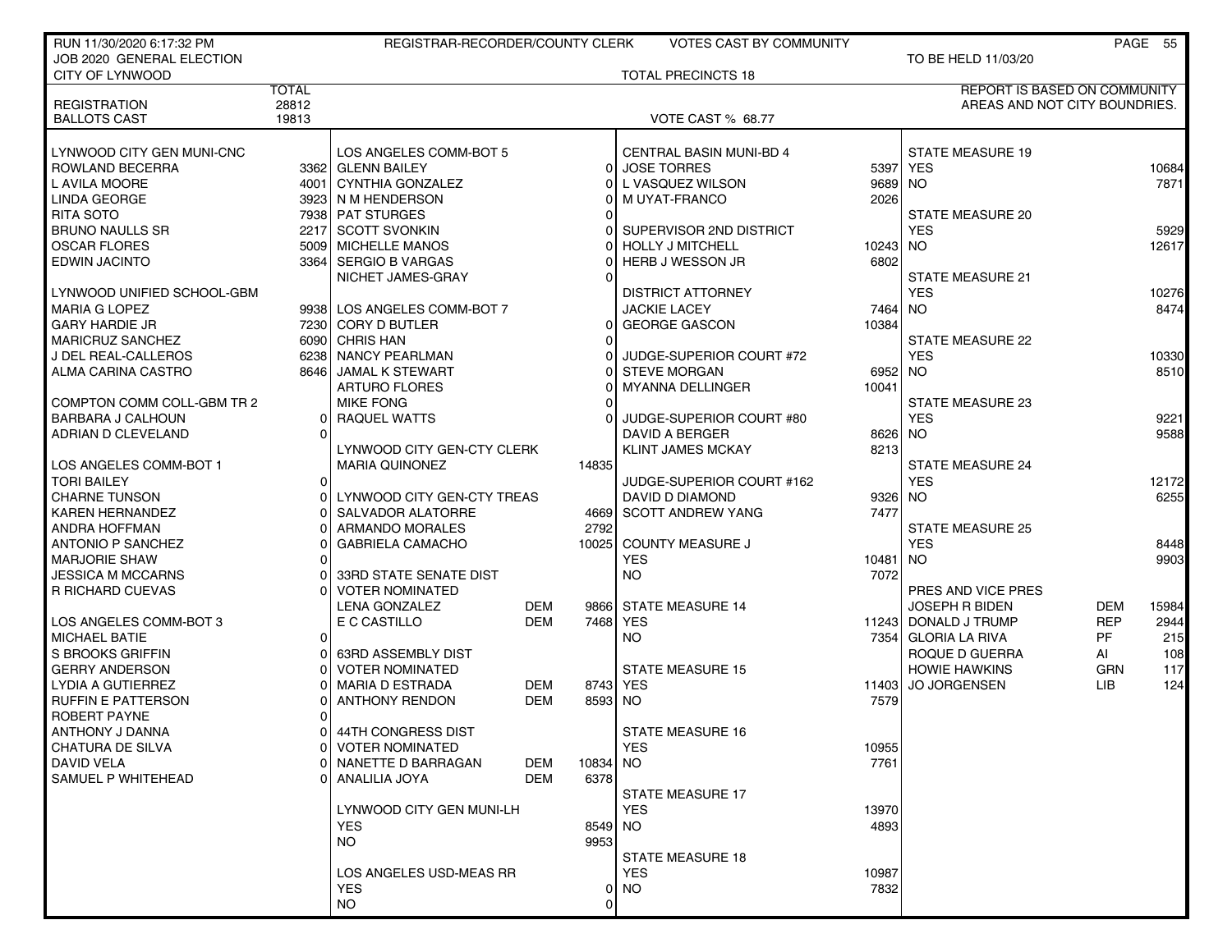| RUN 11/30/2020 6:17:32 PM                     |                | REGISTRAR-RECORDER/COUNTY CLERK             |            |                            | <b>VOTES CAST BY COMMUNITY</b>                |          |                                       |            | PAGE 55 |
|-----------------------------------------------|----------------|---------------------------------------------|------------|----------------------------|-----------------------------------------------|----------|---------------------------------------|------------|---------|
| JOB 2020 GENERAL ELECTION                     |                |                                             |            |                            |                                               |          | TO BE HELD 11/03/20                   |            |         |
| CITY OF LYNWOOD                               |                |                                             |            |                            | <b>TOTAL PRECINCTS 18</b>                     |          |                                       |            |         |
|                                               | <b>TOTAL</b>   |                                             |            |                            |                                               |          | <b>REPORT IS BASED ON COMMUNITY</b>   |            |         |
| <b>REGISTRATION</b>                           | 28812          |                                             |            |                            |                                               |          | AREAS AND NOT CITY BOUNDRIES.         |            |         |
| <b>BALLOTS CAST</b>                           | 19813          |                                             |            |                            | VOTE CAST % 68.77                             |          |                                       |            |         |
|                                               |                |                                             |            |                            |                                               |          |                                       |            |         |
| LYNWOOD CITY GEN MUNI-CNC                     |                | LOS ANGELES COMM-BOT 5<br>3362 GLENN BAILEY |            |                            | CENTRAL BASIN MUNI-BD 4<br><b>JOSE TORRES</b> |          | <b>STATE MEASURE 19</b><br>5397 YES   |            |         |
| ROWLAND BECERRA<br>L AVILA MOORE              |                | 4001 CYNTHIA GONZALEZ                       |            | $\overline{0}$<br>$\Omega$ | L VASQUEZ WILSON                              | 9689 NO  |                                       |            | 10684   |
|                                               |                | 3923 N M HENDERSON                          |            | 0                          | M UYAT-FRANCO                                 | 2026     |                                       |            | 7871    |
| LINDA GEORGE<br><b>RITA SOTO</b>              |                |                                             |            |                            |                                               |          | <b>STATE MEASURE 20</b>               |            |         |
| <b>BRUNO NAULLS SR</b>                        |                | 7938 PAT STURGES<br>2217 SCOTT SVONKIN      |            | 0                          | SUPERVISOR 2ND DISTRICT                       |          | <b>YES</b>                            |            | 5929    |
| <b>OSCAR FLORES</b>                           |                | 5009 MICHELLE MANOS                         |            | 0                          | <b>HOLLY J MITCHELL</b>                       | 10243 NO |                                       |            | 12617   |
| <b>EDWIN JACINTO</b>                          |                | 3364 SERGIO B VARGAS                        |            | 0                          | HERB J WESSON JR                              | 6802     |                                       |            |         |
|                                               |                | NICHET JAMES-GRAY                           |            | O                          |                                               |          | <b>STATE MEASURE 21</b>               |            |         |
| LYNWOOD UNIFIED SCHOOL-GBM                    |                |                                             |            |                            | <b>DISTRICT ATTORNEY</b>                      |          | <b>YES</b>                            |            | 10276   |
|                                               |                | 9938 LOS ANGELES COMM-BOT 7                 |            |                            |                                               | 7464 NO  |                                       |            | 8474    |
| <b>MARIA G LOPEZ</b><br><b>GARY HARDIE JR</b> |                | 7230 CORY D BUTLER                          |            | $\Omega$                   | <b>JACKIE LACEY</b><br><b>GEORGE GASCON</b>   | 10384    |                                       |            |         |
| <b>MARICRUZ SANCHEZ</b>                       |                | 6090 CHRIS HAN                              |            | 0                          |                                               |          |                                       |            |         |
|                                               |                | 6238 NANCY PEARLMAN                         |            |                            | JUDGE-SUPERIOR COURT #72                      |          | <b>STATE MEASURE 22</b><br><b>YES</b> |            | 10330   |
| J DEL REAL-CALLEROS<br>ALMA CARINA CASTRO     |                | 8646 JAMAL K STEWART                        |            | 0<br>0                     | <b>STEVE MORGAN</b>                           | 6952 NO  |                                       |            | 8510    |
|                                               |                | <b>ARTURO FLORES</b>                        |            | 0                          | <b>MYANNA DELLINGER</b>                       | 10041    |                                       |            |         |
| COMPTON COMM COLL-GBM TR 2                    |                | <b>MIKE FONG</b>                            |            |                            |                                               |          | STATE MEASURE 23                      |            |         |
| BARBARA J CALHOUN                             | 0              | RAQUEL WATTS                                |            | 0                          | JUDGE-SUPERIOR COURT #80                      |          | <b>YES</b>                            |            | 9221    |
| ADRIAN D CLEVELAND                            | $\Omega$       |                                             |            |                            | <b>DAVID A BERGER</b>                         | 8626 NO  |                                       |            | 9588    |
|                                               |                | LYNWOOD CITY GEN-CTY CLERK                  |            |                            | <b>KLINT JAMES MCKAY</b>                      | 8213     |                                       |            |         |
| LOS ANGELES COMM-BOT 1                        |                | <b>MARIA QUINONEZ</b>                       |            | 14835                      |                                               |          | <b>STATE MEASURE 24</b>               |            |         |
| <b>TORI BAILEY</b>                            | $\overline{0}$ |                                             |            |                            | JUDGE-SUPERIOR COURT #162                     |          | <b>YES</b>                            |            | 12172   |
| <b>CHARNE TUNSON</b>                          | 01             | LYNWOOD CITY GEN-CTY TREAS                  |            |                            | DAVID D DIAMOND                               | 9326 NO  |                                       |            | 6255    |
| <b>KAREN HERNANDEZ</b>                        | 0              | SALVADOR ALATORRE                           |            | 4669                       | <b>SCOTT ANDREW YANG</b>                      | 7477     |                                       |            |         |
| <b>ANDRA HOFFMAN</b>                          |                | ARMANDO MORALES                             |            | 2792                       |                                               |          | <b>STATE MEASURE 25</b>               |            |         |
| <b>ANTONIO P SANCHEZ</b>                      | o              | GABRIELA CAMACHO                            |            |                            | 10025 COUNTY MEASURE J                        |          | <b>YES</b>                            |            | 8448    |
| <b>MARJORIE SHAW</b>                          | 0              |                                             |            |                            | <b>YES</b>                                    | 10481 NO |                                       |            | 9903    |
| JESSICA M MCCARNS                             |                | 33RD STATE SENATE DIST                      |            |                            | <b>NO</b>                                     | 7072     |                                       |            |         |
| R RICHARD CUEVAS                              | 0              | <b>VOTER NOMINATED</b>                      |            |                            |                                               |          | PRES AND VICE PRES                    |            |         |
|                                               |                | <b>LENA GONZALEZ</b>                        | <b>DEM</b> |                            | 9866 STATE MEASURE 14                         |          | <b>JOSEPH R BIDEN</b>                 | <b>DEM</b> | 15984   |
| LOS ANGELES COMM-BOT 3                        |                | E C CASTILLO                                | <b>DEM</b> | 7468                       | <b>YES</b>                                    |          | 11243 DONALD J TRUMP                  | <b>REP</b> | 2944    |
| <b>MICHAEL BATIE</b>                          | $\overline{0}$ |                                             |            |                            | <b>NO</b>                                     |          | 7354 GLORIA LA RIVA                   | <b>PF</b>  | 215     |
| S BROOKS GRIFFIN                              | 0              | 63RD ASSEMBLY DIST                          |            |                            |                                               |          | ROQUE D GUERRA                        | AI         | 108     |
| <b>GERRY ANDERSON</b>                         | 0              | <b>VOTER NOMINATED</b>                      |            |                            | <b>STATE MEASURE 15</b>                       |          | <b>HOWIE HAWKINS</b>                  | <b>GRN</b> | 117     |
| LYDIA A GUTIERREZ                             | ი              | <b>MARIA D ESTRADA</b>                      | DEM        |                            | 8743 YES                                      | 11403    | <b>JO JORGENSEN</b>                   | LIB.       | 124     |
| RUFFIN E PATTERSON                            |                | <b>ANTHONY RENDON</b>                       | <b>DEM</b> | 8593 NO                    |                                               | 7579     |                                       |            |         |
| <b>ROBERT PAYNE</b>                           | 0              |                                             |            |                            |                                               |          |                                       |            |         |
| ANTHONY J DANNA                               |                | 0 44TH CONGRESS DIST                        |            |                            | <b>STATE MEASURE 16</b>                       |          |                                       |            |         |
| <b>CHATURA DE SILVA</b>                       | 01             | <b>VOTER NOMINATED</b>                      |            |                            | <b>YES</b>                                    | 10955    |                                       |            |         |
| <b>DAVID VELA</b>                             | U              | NANETTE D BARRAGAN                          | DEM        | 10834                      | <b>NO</b>                                     | 7761     |                                       |            |         |
| SAMUEL P WHITEHEAD                            |                | 0   ANALILIA JOYA                           | <b>DEM</b> | 6378                       |                                               |          |                                       |            |         |
|                                               |                |                                             |            |                            | STATE MEASURE 17                              |          |                                       |            |         |
|                                               |                | LYNWOOD CITY GEN MUNI-LH                    |            |                            | <b>YES</b>                                    | 13970    |                                       |            |         |
|                                               |                | <b>YES</b>                                  |            | 8549 NO                    |                                               | 4893     |                                       |            |         |
|                                               |                | NO.                                         |            | 9953                       |                                               |          |                                       |            |         |
|                                               |                |                                             |            |                            | <b>STATE MEASURE 18</b>                       |          |                                       |            |         |
|                                               |                | LOS ANGELES USD-MEAS RR                     |            |                            | <b>YES</b>                                    | 10987    |                                       |            |         |
|                                               |                | <b>YES</b>                                  |            | 0                          | <b>NO</b>                                     | 7832     |                                       |            |         |
|                                               |                | <b>NO</b>                                   |            | 0                          |                                               |          |                                       |            |         |
|                                               |                |                                             |            |                            |                                               |          |                                       |            |         |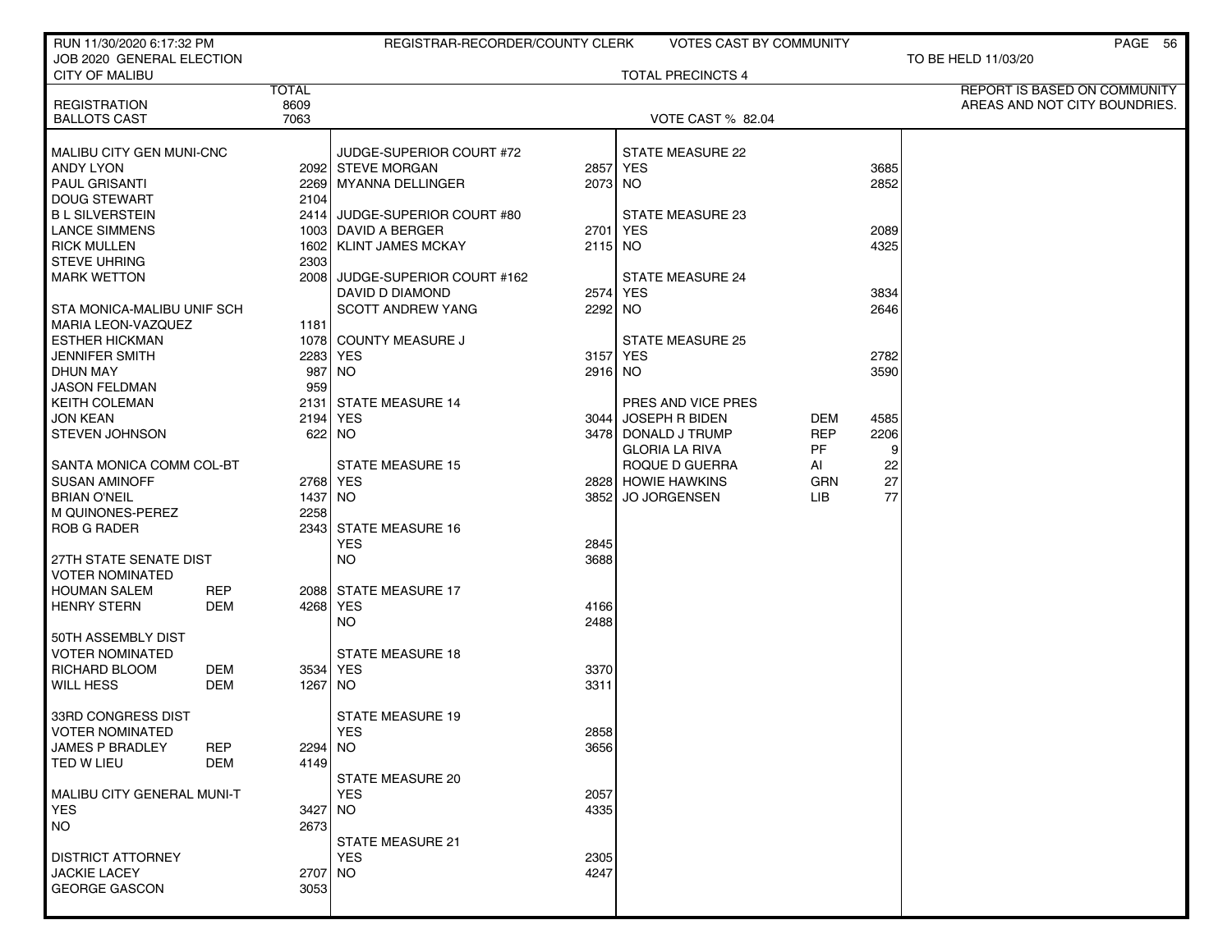| RUN 11/30/2020 6:17:32 PM                      |              | REGISTRAR-RECORDER/COUNTY CLERK |         | <b>VOTES CAST BY COMMUNITY</b> |            |      | PAGE 56                       |
|------------------------------------------------|--------------|---------------------------------|---------|--------------------------------|------------|------|-------------------------------|
| JOB 2020 GENERAL ELECTION                      |              |                                 |         |                                |            |      | TO BE HELD 11/03/20           |
| <b>CITY OF MALIBU</b>                          |              |                                 |         | <b>TOTAL PRECINCTS 4</b>       |            |      |                               |
|                                                | <b>TOTAL</b> |                                 |         |                                |            |      | REPORT IS BASED ON COMMUNITY  |
| <b>REGISTRATION</b>                            | 8609<br>7063 |                                 |         |                                |            |      | AREAS AND NOT CITY BOUNDRIES. |
| <b>BALLOTS CAST</b>                            |              |                                 |         | VOTE CAST % 82.04              |            |      |                               |
| MALIBU CITY GEN MUNI-CNC                       |              | JUDGE-SUPERIOR COURT #72        |         | STATE MEASURE 22               |            |      |                               |
| <b>ANDY LYON</b>                               |              | 2092 STEVE MORGAN               |         | 2857 YES                       |            | 3685 |                               |
| <b>PAUL GRISANTI</b>                           |              | 2269 MYANNA DELLINGER           | 2073 NO |                                |            | 2852 |                               |
| <b>DOUG STEWART</b>                            | 2104         |                                 |         |                                |            |      |                               |
| <b>BL SILVERSTEIN</b>                          |              | 2414 JUDGE-SUPERIOR COURT #80   |         | STATE MEASURE 23               |            |      |                               |
| <b>LANCE SIMMENS</b>                           |              | 1003 DAVID A BERGER             |         | 2701 YES                       |            | 2089 |                               |
| <b>RICK MULLEN</b>                             |              | 1602   KLINT JAMES MCKAY        | 2115 NO |                                |            | 4325 |                               |
| <b>STEVE UHRING</b>                            | 2303         |                                 |         |                                |            |      |                               |
| <b>MARK WETTON</b>                             |              | 2008 JUDGE-SUPERIOR COURT #162  |         | <b>STATE MEASURE 24</b>        |            |      |                               |
|                                                |              | DAVID D DIAMOND                 |         | 2574 YES                       |            | 3834 |                               |
| STA MONICA-MALIBU UNIF SCH                     |              | <b>SCOTT ANDREW YANG</b>        | 2292 NO |                                |            | 2646 |                               |
| <b>MARIA LEON-VAZQUEZ</b>                      | 1181         |                                 |         |                                |            |      |                               |
| <b>ESTHER HICKMAN</b>                          |              | 1078 COUNTY MEASURE J           |         | STATE MEASURE 25               |            |      |                               |
| JENNIFER SMITH                                 | 2283         | <b>YES</b>                      |         | 3157 YES                       |            | 2782 |                               |
| <b>DHUN MAY</b>                                |              | 987 NO                          | 2916 NO |                                |            | 3590 |                               |
| <b>JASON FELDMAN</b>                           | 959          |                                 |         |                                |            |      |                               |
| <b>KEITH COLEMAN</b>                           |              | 2131 STATE MEASURE 14           |         | PRES AND VICE PRES             |            |      |                               |
| <b>JON KEAN</b>                                | 2194         | <b>YES</b>                      |         | 3044 JOSEPH R BIDEN            | DEM        | 4585 |                               |
| <b>STEVEN JOHNSON</b>                          |              | 622 NO                          |         | 3478 DONALD J TRUMP            | <b>REP</b> | 2206 |                               |
|                                                |              |                                 |         | <b>GLORIA LA RIVA</b>          | <b>PF</b>  | 9    |                               |
| SANTA MONICA COMM COL-BT                       |              | <b>STATE MEASURE 15</b>         |         | ROQUE D GUERRA                 | AI         | 22   |                               |
| <b>SUSAN AMINOFF</b>                           |              | 2768 YES                        |         | 2828 HOWIE HAWKINS             | <b>GRN</b> | 27   |                               |
| <b>BRIAN O'NEIL</b>                            | 1437 NO      |                                 | 3852    | <b>JO JORGENSEN</b>            | LIB        | 77   |                               |
| M QUINONES-PEREZ                               | 2258         |                                 |         |                                |            |      |                               |
| <b>ROB G RADER</b>                             |              | 2343 STATE MEASURE 16           |         |                                |            |      |                               |
|                                                |              | <b>YES</b>                      | 2845    |                                |            |      |                               |
| 27TH STATE SENATE DIST                         |              | <b>NO</b>                       | 3688    |                                |            |      |                               |
| <b>VOTER NOMINATED</b>                         |              |                                 |         |                                |            |      |                               |
| <b>HOUMAN SALEM</b><br><b>REP</b>              |              | 2088 STATE MEASURE 17           |         |                                |            |      |                               |
| <b>HENRY STERN</b><br>DEM                      |              | 4268 YES                        | 4166    |                                |            |      |                               |
| 50TH ASSEMBLY DIST                             |              | <b>NO</b>                       | 2488    |                                |            |      |                               |
|                                                |              | <b>STATE MEASURE 18</b>         |         |                                |            |      |                               |
| VOTER NOMINATED<br><b>DEM</b><br>RICHARD BLOOM |              | 3534 YES                        | 3370    |                                |            |      |                               |
| <b>WILL HESS</b><br>DEM                        | 1267   NO    |                                 | 3311    |                                |            |      |                               |
|                                                |              |                                 |         |                                |            |      |                               |
| 33RD CONGRESS DIST                             |              | <b>STATE MEASURE 19</b>         |         |                                |            |      |                               |
| <b>VOTER NOMINATED</b>                         |              | <b>YES</b>                      | 2858    |                                |            |      |                               |
| <b>JAMES P BRADLEY</b><br><b>REP</b>           | 2294 NO      |                                 | 3656    |                                |            |      |                               |
| TED W LIEU<br><b>DEM</b>                       | 4149         |                                 |         |                                |            |      |                               |
|                                                |              | <b>STATE MEASURE 20</b>         |         |                                |            |      |                               |
| MALIBU CITY GENERAL MUNI-T                     |              | <b>YES</b>                      | 2057    |                                |            |      |                               |
| <b>YES</b>                                     | 3427 NO      |                                 | 4335    |                                |            |      |                               |
| <b>NO</b>                                      | 2673         |                                 |         |                                |            |      |                               |
|                                                |              | <b>STATE MEASURE 21</b>         |         |                                |            |      |                               |
| <b>DISTRICT ATTORNEY</b>                       |              | <b>YES</b>                      | 2305    |                                |            |      |                               |
| <b>JACKIE LACEY</b>                            | 2707 NO      |                                 | 4247    |                                |            |      |                               |
| <b>GEORGE GASCON</b>                           | 3053         |                                 |         |                                |            |      |                               |
|                                                |              |                                 |         |                                |            |      |                               |
|                                                |              |                                 |         |                                |            |      |                               |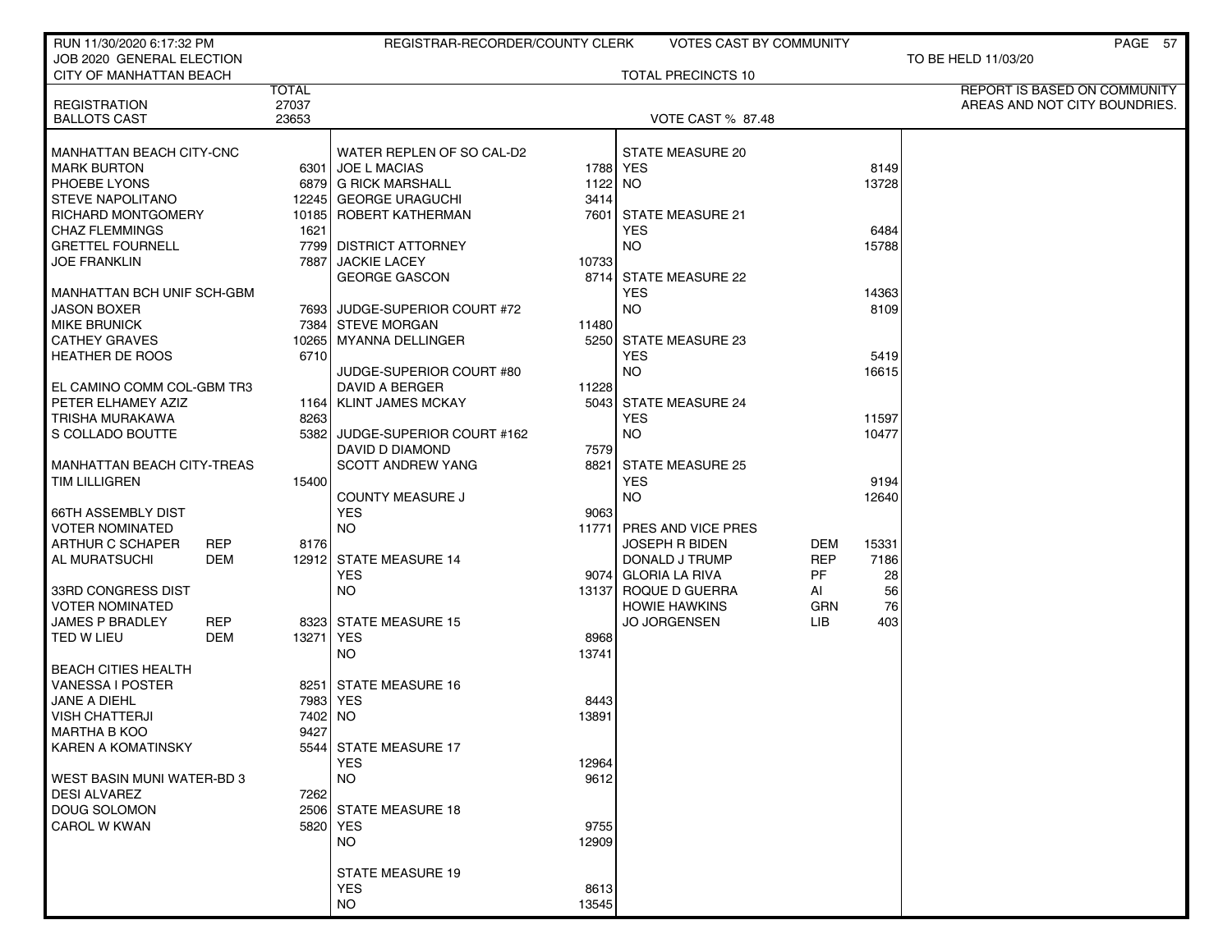| RUN 11/30/2020 6:17:32 PM         |              | REGISTRAR-RECORDER/COUNTY CLERK     |         | VOTES CAST BY COMMUNITY   |            |       | PAGE 57                       |
|-----------------------------------|--------------|-------------------------------------|---------|---------------------------|------------|-------|-------------------------------|
| JOB 2020 GENERAL ELECTION         |              |                                     |         |                           |            |       | TO BE HELD 11/03/20           |
| <b>CITY OF MANHATTAN BEACH</b>    |              |                                     |         | <b>TOTAL PRECINCTS 10</b> |            |       |                               |
|                                   | <b>TOTAL</b> |                                     |         |                           |            |       | REPORT IS BASED ON COMMUNITY  |
| <b>REGISTRATION</b>               | 27037        |                                     |         |                           |            |       | AREAS AND NOT CITY BOUNDRIES. |
| <b>BALLOTS CAST</b>               | 23653        |                                     |         | <b>VOTE CAST % 87.48</b>  |            |       |                               |
| MANHATTAN BEACH CITY-CNC          |              | WATER REPLEN OF SO CAL-D2           |         | <b>STATE MEASURE 20</b>   |            |       |                               |
| <b>MARK BURTON</b>                |              | 6301 JOE L MACIAS                   |         | 1788 YES                  |            | 8149  |                               |
| PHOEBE LYONS                      |              | 6879 G RICK MARSHALL                | 1122 NO |                           |            | 13728 |                               |
| <b>STEVE NAPOLITANO</b>           |              | 12245 GEORGE URAGUCHI               | 3414    |                           |            |       |                               |
| <b>RICHARD MONTGOMERY</b>         |              | 10185 ROBERT KATHERMAN              |         | 7601 STATE MEASURE 21     |            |       |                               |
| <b>CHAZ FLEMMINGS</b>             | 1621         |                                     |         | <b>YES</b>                |            | 6484  |                               |
| <b>GRETTEL FOURNELL</b>           |              | 7799 DISTRICT ATTORNEY              |         | <b>NO</b>                 |            | 15788 |                               |
| <b>JOE FRANKLIN</b>               |              | 7887 JACKIE LACEY                   | 10733   |                           |            |       |                               |
|                                   |              | <b>GEORGE GASCON</b>                |         | 8714 STATE MEASURE 22     |            |       |                               |
| MANHATTAN BCH UNIF SCH-GBM        |              |                                     |         | <b>YES</b>                |            | 14363 |                               |
| <b>JASON BOXER</b>                |              | 7693 JUDGE-SUPERIOR COURT #72       |         | <b>NO</b>                 |            | 8109  |                               |
| <b>MIKE BRUNICK</b>               |              | 7384 STEVE MORGAN                   | 11480   |                           |            |       |                               |
| <b>CATHEY GRAVES</b>              |              | 10265  MYANNA DELLINGER             |         | 5250 STATE MEASURE 23     |            |       |                               |
| <b>HEATHER DE ROOS</b>            | 6710         |                                     |         | <b>YES</b>                |            | 5419  |                               |
|                                   |              | JUDGE-SUPERIOR COURT #80            |         | NO.                       |            | 16615 |                               |
| EL CAMINO COMM COL-GBM TR3        |              | DAVID A BERGER                      | 11228   |                           |            |       |                               |
| PETER ELHAMEY AZIZ                |              | 1164   KLINT JAMES MCKAY            |         | 5043 STATE MEASURE 24     |            |       |                               |
| TRISHA MURAKAWA                   | 8263         |                                     |         | <b>YES</b>                |            | 11597 |                               |
| S COLLADO BOUTTE                  |              | 5382 JUDGE-SUPERIOR COURT #162      |         | <b>NO</b>                 |            | 10477 |                               |
|                                   |              | DAVID D DIAMOND                     | 7579    |                           |            |       |                               |
| <b>MANHATTAN BEACH CITY-TREAS</b> |              | <b>SCOTT ANDREW YANG</b>            |         | 8821 STATE MEASURE 25     |            |       |                               |
| <b>TIM LILLIGREN</b>              | 15400        |                                     |         | <b>YES</b>                |            | 9194  |                               |
|                                   |              | <b>COUNTY MEASURE J</b>             |         | <b>NO</b>                 |            | 12640 |                               |
| <b>66TH ASSEMBLY DIST</b>         |              | <b>YES</b>                          | 9063    |                           |            |       |                               |
| <b>VOTER NOMINATED</b>            |              | <b>NO</b>                           |         | 11771 PRES AND VICE PRES  |            |       |                               |
| ARTHUR C SCHAPER<br><b>REP</b>    | 8176         |                                     |         | <b>JOSEPH R BIDEN</b>     | DEM        | 15331 |                               |
| AL MURATSUCHI<br>DEM              |              | 12912 STATE MEASURE 14              |         | DONALD J TRUMP            | <b>REP</b> | 7186  |                               |
|                                   |              | <b>YES</b>                          |         | 9074 GLORIA LA RIVA       | <b>PF</b>  | 28    |                               |
| 33RD CONGRESS DIST                |              | NO.                                 |         | 13137 ROQUE D GUERRA      | AI         | 56    |                               |
| <b>VOTER NOMINATED</b>            |              |                                     |         | <b>HOWIE HAWKINS</b>      | GRN        | 76    |                               |
| <b>JAMES P BRADLEY</b><br>REP     |              | 8323 STATE MEASURE 15               |         | <b>JO JORGENSEN</b>       | LIB        | 403   |                               |
| TED W LIEU<br><b>DEM</b>          | 13271 YES    |                                     | 8968    |                           |            |       |                               |
|                                   |              | <b>NO</b>                           | 13741   |                           |            |       |                               |
| <b>BEACH CITIES HEALTH</b>        |              |                                     |         |                           |            |       |                               |
| VANESSA I POSTER                  |              | 8251 STATE MEASURE 16               |         |                           |            |       |                               |
| JANE A DIEHL                      |              | 7983 YES                            | 8443    |                           |            |       |                               |
| <b>VISH CHATTERJI</b>             | 7402 NO      |                                     | 13891   |                           |            |       |                               |
| MARTHA B KOO                      | 9427         |                                     |         |                           |            |       |                               |
| <b>KAREN A KOMATINSKY</b>         |              | 5544 STATE MEASURE 17<br><b>YES</b> | 12964   |                           |            |       |                               |
| WEST BASIN MUNI WATER-BD 3        |              | <b>NO</b>                           | 9612    |                           |            |       |                               |
| <b>DESI ALVAREZ</b>               | 7262         |                                     |         |                           |            |       |                               |
| <b>DOUG SOLOMON</b>               |              | 2506 STATE MEASURE 18               |         |                           |            |       |                               |
| CAROL W KWAN                      |              | 5820 YES                            | 9755    |                           |            |       |                               |
|                                   |              | NO.                                 | 12909   |                           |            |       |                               |
|                                   |              |                                     |         |                           |            |       |                               |
|                                   |              | <b>STATE MEASURE 19</b>             |         |                           |            |       |                               |
|                                   |              | <b>YES</b>                          | 8613    |                           |            |       |                               |
|                                   |              | NO.                                 | 13545   |                           |            |       |                               |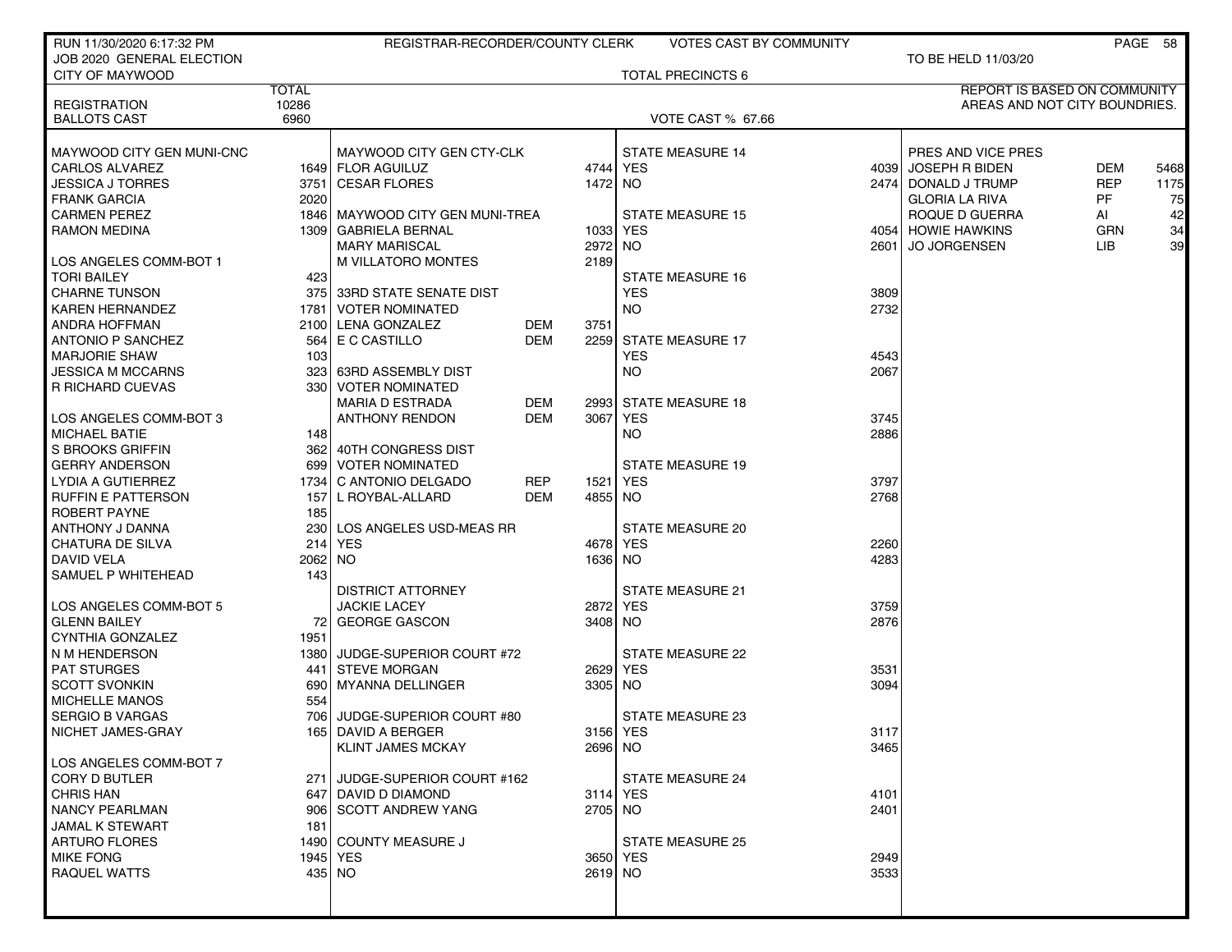| RUN 11/30/2020 6:17:32 PM |              | REGISTRAR-RECORDER/COUNTY CLERK   |                    | <b>VOTES CAST BY COMMUNITY</b> |      |                               |            | PAGE 58 |
|---------------------------|--------------|-----------------------------------|--------------------|--------------------------------|------|-------------------------------|------------|---------|
| JOB 2020 GENERAL ELECTION |              |                                   |                    |                                |      | TO BE HELD 11/03/20           |            |         |
| CITY OF MAYWOOD           |              |                                   |                    | <b>TOTAL PRECINCTS 6</b>       |      |                               |            |         |
|                           | <b>TOTAL</b> |                                   |                    |                                |      | REPORT IS BASED ON COMMUNITY  |            |         |
| <b>REGISTRATION</b>       | 10286        |                                   |                    |                                |      | AREAS AND NOT CITY BOUNDRIES. |            |         |
| <b>BALLOTS CAST</b>       | 6960         |                                   |                    | <b>VOTE CAST % 67.66</b>       |      |                               |            |         |
|                           |              |                                   |                    |                                |      |                               |            |         |
| MAYWOOD CITY GEN MUNI-CNC |              | MAYWOOD CITY GEN CTY-CLK          |                    | <b>STATE MEASURE 14</b>        |      | PRES AND VICE PRES            |            |         |
| <b>CARLOS ALVAREZ</b>     |              | 1649 FLOR AGUILUZ                 |                    | 4744 YES                       |      | 4039 JOSEPH R BIDEN           | <b>DEM</b> | 5468    |
| JESSICA J TORRES          | 3751         | ∣ CESAR FLORES                    |                    | 1472 NO                        |      | 2474 DONALD J TRUMP           | <b>REP</b> | 1175    |
| <b>FRANK GARCIA</b>       | 2020         |                                   |                    |                                |      | <b>GLORIA LA RIVA</b>         | PF         | 75      |
| <b>CARMEN PEREZ</b>       |              | 1846   MAYWOOD CITY GEN MUNI-TREA |                    | <b>STATE MEASURE 15</b>        |      | ROQUE D GUERRA                | AI         | 42      |
| <b>RAMON MEDINA</b>       |              | 1309   GABRIELA BERNAL            | 1033               | YES                            |      | 4054 HOWIE HAWKINS            | <b>GRN</b> | 34      |
|                           |              | <b>MARY MARISCAL</b>              | 2972               | NO.                            | 2601 | <b>JO JORGENSEN</b>           | LIB.       | 39      |
| LOS ANGELES COMM-BOT 1    |              | M VILLATORO MONTES                | 2189               |                                |      |                               |            |         |
| <b>TORI BAILEY</b>        | 423          |                                   |                    | STATE MEASURE 16               |      |                               |            |         |
| <b>CHARNE TUNSON</b>      |              | 375 33RD STATE SENATE DIST        |                    | <b>YES</b>                     | 3809 |                               |            |         |
| <b>KAREN HERNANDEZ</b>    | 1781         | I VOTER NOMINATED                 |                    | NO.                            | 2732 |                               |            |         |
| <b>ANDRA HOFFMAN</b>      | 2100         | LENA GONZALEZ                     | DEM<br>3751        |                                |      |                               |            |         |
| <b>ANTONIO P SANCHEZ</b>  | 564          | E C CASTILLO                      | DEM<br>2259        | <b>STATE MEASURE 17</b>        |      |                               |            |         |
| <b>MARJORIE SHAW</b>      | 103          |                                   |                    | <b>YES</b>                     | 4543 |                               |            |         |
| <b>JESSICA M MCCARNS</b>  |              | 323 63RD ASSEMBLY DIST            |                    | <b>NO</b>                      | 2067 |                               |            |         |
| <b>R RICHARD CUEVAS</b>   |              | 330 VOTER NOMINATED               |                    |                                |      |                               |            |         |
|                           |              | <b>MARIA D ESTRADA</b>            | DEM<br>2993        | <b>STATE MEASURE 18</b>        |      |                               |            |         |
| LOS ANGELES COMM-BOT 3    |              | <b>ANTHONY RENDON</b>             | <b>DEM</b><br>3067 | <b>YES</b>                     | 3745 |                               |            |         |
| <b>MICHAEL BATIE</b>      | 148          |                                   |                    | NO.                            | 2886 |                               |            |         |
| <b>S BROOKS GRIFFIN</b>   |              | 362 40TH CONGRESS DIST            |                    |                                |      |                               |            |         |
| <b>GERRY ANDERSON</b>     |              | 699 VOTER NOMINATED               |                    | <b>STATE MEASURE 19</b>        |      |                               |            |         |
| LYDIA A GUTIERREZ         | 1734         | C ANTONIO DELGADO                 | <b>REP</b><br>1521 | <b>YES</b>                     | 3797 |                               |            |         |
| <b>RUFFIN E PATTERSON</b> | 157          | L ROYBAL-ALLARD                   | <b>DEM</b>         | 4855 NO                        | 2768 |                               |            |         |
| ROBERT PAYNE              | 185          |                                   |                    |                                |      |                               |            |         |
| ANTHONY J DANNA           | 230          | LOS ANGELES USD-MEAS RR           |                    | STATE MEASURE 20               |      |                               |            |         |
| CHATURA DE SILVA          |              | 214 YES                           | 4678               | YES                            | 2260 |                               |            |         |
| <b>DAVID VELA</b>         | 2062 NO      |                                   |                    | 1636 NO                        | 4283 |                               |            |         |
| SAMUEL P WHITEHEAD        | 143          |                                   |                    |                                |      |                               |            |         |
|                           |              | <b>DISTRICT ATTORNEY</b>          |                    | <b>STATE MEASURE 21</b>        |      |                               |            |         |
| LOS ANGELES COMM-BOT 5    |              | <b>JACKIE LACEY</b>               | 2872               | YES                            | 3759 |                               |            |         |
| <b>GLENN BAILEY</b>       |              | 72 GEORGE GASCON                  |                    | 3408 NO                        | 2876 |                               |            |         |
| <b>CYNTHIA GONZALEZ</b>   | 1951         |                                   |                    |                                |      |                               |            |         |
| N M HENDERSON             |              | 1380 JUDGE-SUPERIOR COURT #72     |                    | <b>STATE MEASURE 22</b>        |      |                               |            |         |
| <b>PAT STURGES</b>        | 441          | STEVE MORGAN                      | 2629               | YES                            | 3531 |                               |            |         |
| <b>SCOTT SVONKIN</b>      | 690          | <b>MYANNA DELLINGER</b>           |                    | 3305 NO                        | 3094 |                               |            |         |
| <b>MICHELLE MANOS</b>     | 554          |                                   |                    |                                |      |                               |            |         |
| <b>SERGIO B VARGAS</b>    | 706          | JUDGE-SUPERIOR COURT #80          |                    | <b>STATE MEASURE 23</b>        |      |                               |            |         |
| NICHET JAMES-GRAY         |              | 165   DAVID A BERGER              |                    | 3156 YES                       | 3117 |                               |            |         |
|                           |              | <b>KLINT JAMES MCKAY</b>          |                    | 2696 NO                        | 3465 |                               |            |         |
| LOS ANGELES COMM-BOT 7    |              |                                   |                    |                                |      |                               |            |         |
| <b>CORY D BUTLER</b>      |              | 271 JUDGE-SUPERIOR COURT #162     |                    | <b>STATE MEASURE 24</b>        |      |                               |            |         |
| <b>CHRIS HAN</b>          |              | 647 DAVID D DIAMOND               |                    | 3114 YES                       | 4101 |                               |            |         |
| <b>NANCY PEARLMAN</b>     |              | 906 SCOTT ANDREW YANG             |                    | 2705 NO                        | 2401 |                               |            |         |
| <b>JAMAL K STEWART</b>    | 181          |                                   |                    |                                |      |                               |            |         |
| <b>ARTURO FLORES</b>      |              | 1490 COUNTY MEASURE J             |                    | <b>STATE MEASURE 25</b>        |      |                               |            |         |
| <b>MIKE FONG</b>          |              | 1945   YES                        |                    | 3650 YES                       | 2949 |                               |            |         |
| <b>RAQUEL WATTS</b>       |              | 435 NO                            |                    | 2619 NO                        | 3533 |                               |            |         |
|                           |              |                                   |                    |                                |      |                               |            |         |
|                           |              |                                   |                    |                                |      |                               |            |         |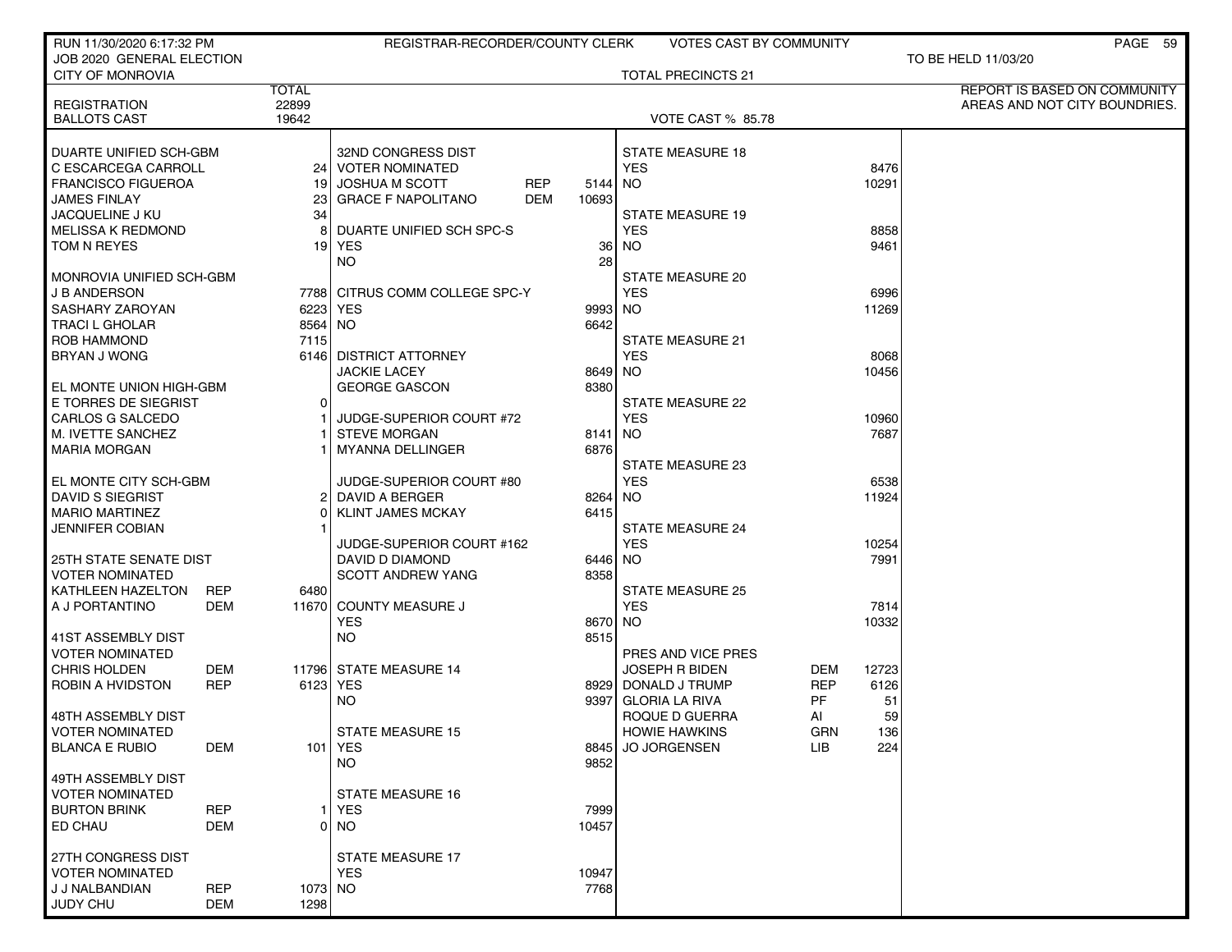| RUN 11/30/2020 6:17:32 PM                |            |              | REGISTRAR-RECORDER/COUNTY CLERK         |         | <b>VOTES CAST BY COMMUNITY</b>       |                   | PAGE 59                       |
|------------------------------------------|------------|--------------|-----------------------------------------|---------|--------------------------------------|-------------------|-------------------------------|
| JOB 2020 GENERAL ELECTION                |            |              |                                         |         |                                      |                   | TO BE HELD 11/03/20           |
| <b>CITY OF MONROVIA</b>                  |            | <b>TOTAL</b> |                                         |         | <b>TOTAL PRECINCTS 21</b>            |                   | REPORT IS BASED ON COMMUNITY  |
| <b>REGISTRATION</b>                      |            | 22899        |                                         |         |                                      |                   | AREAS AND NOT CITY BOUNDRIES. |
| <b>BALLOTS CAST</b>                      |            | 19642        |                                         |         | <b>VOTE CAST % 85.78</b>             |                   |                               |
|                                          |            |              |                                         |         |                                      |                   |                               |
| DUARTE UNIFIED SCH-GBM                   |            |              | 32ND CONGRESS DIST                      |         | <b>STATE MEASURE 18</b>              |                   |                               |
| C ESCARCEGA CARROLL                      |            |              | 24 VOTER NOMINATED                      |         | <b>YES</b>                           |                   | 8476                          |
| <b>FRANCISCO FIGUEROA</b>                |            | 191          | <b>JOSHUA M SCOTT</b><br><b>REP</b>     | 5144 NO |                                      |                   | 10291                         |
| <b>JAMES FINLAY</b>                      |            | 23 I         | <b>DEM</b><br><b>GRACE F NAPOLITANO</b> | 10693   |                                      |                   |                               |
| <b>JACQUELINE J KU</b>                   |            | 34           |                                         |         | <b>STATE MEASURE 19</b>              |                   |                               |
| <b>MELISSA K REDMOND</b>                 |            |              | DUARTE UNIFIED SCH SPC-S                |         | <b>YES</b>                           |                   | 8858                          |
| TOM N REYES                              |            |              | 19 YES<br><b>NO</b>                     | 36      | NO.                                  |                   | 9461                          |
| MONROVIA UNIFIED SCH-GBM                 |            |              |                                         | 28      | STATE MEASURE 20                     |                   |                               |
| <b>J B ANDERSON</b>                      |            |              | 7788 CITRUS COMM COLLEGE SPC-Y          |         | <b>YES</b>                           |                   | 6996                          |
| SASHARY ZAROYAN                          |            | 6223 YES     |                                         | 9993 NO |                                      |                   | 11269                         |
| <b>TRACI L GHOLAR</b>                    |            | 8564 NO      |                                         | 6642    |                                      |                   |                               |
| <b>ROB HAMMOND</b>                       |            | 7115         |                                         |         | <b>STATE MEASURE 21</b>              |                   |                               |
| <b>BRYAN J WONG</b>                      |            |              | 6146 DISTRICT ATTORNEY                  |         | <b>YES</b>                           |                   | 8068                          |
|                                          |            |              | <b>JACKIE LACEY</b>                     | 8649 NO |                                      |                   | 10456                         |
| EL MONTE UNION HIGH-GBM                  |            |              | <b>GEORGE GASCON</b>                    | 8380    |                                      |                   |                               |
| E TORRES DE SIEGRIST                     |            | $\Omega$     |                                         |         | <b>STATE MEASURE 22</b>              |                   |                               |
| CARLOS G SALCEDO                         |            |              | JUDGE-SUPERIOR COURT #72                |         | <b>YES</b>                           |                   | 10960                         |
| M. IVETTE SANCHEZ                        |            |              | <b>STEVE MORGAN</b>                     | 8141    | NO                                   |                   | 7687                          |
| <b>MARIA MORGAN</b>                      |            |              | <b>MYANNA DELLINGER</b>                 | 6876    |                                      |                   |                               |
|                                          |            |              |                                         |         | <b>STATE MEASURE 23</b>              |                   |                               |
| EL MONTE CITY SCH-GBM                    |            |              | JUDGE-SUPERIOR COURT #80                |         | <b>YES</b>                           |                   | 6538                          |
| <b>DAVID S SIEGRIST</b>                  |            | ΩI           | 2 DAVID A BERGER                        | 8264 NO |                                      |                   | 11924                         |
| <b>MARIO MARTINEZ</b><br>JENNIFER COBIAN |            |              | <b>KLINT JAMES MCKAY</b>                | 6415    | <b>STATE MEASURE 24</b>              |                   |                               |
|                                          |            |              | JUDGE-SUPERIOR COURT #162               |         | <b>YES</b>                           |                   | 10254                         |
| <b>25TH STATE SENATE DIST</b>            |            |              | DAVID D DIAMOND                         | 6446 NO |                                      |                   | 7991                          |
| VOTER NOMINATED                          |            |              | <b>SCOTT ANDREW YANG</b>                | 8358    |                                      |                   |                               |
| KATHLEEN HAZELTON                        | <b>REP</b> | 6480         |                                         |         | <b>STATE MEASURE 25</b>              |                   |                               |
| A J PORTANTINO                           | DEM        |              | 11670 COUNTY MEASURE J                  |         | <b>YES</b>                           |                   | 7814                          |
|                                          |            |              | <b>YES</b>                              | 8670 NO |                                      |                   | 10332                         |
| 41ST ASSEMBLY DIST                       |            |              | <b>NO</b>                               | 8515    |                                      |                   |                               |
| VOTER NOMINATED                          |            |              |                                         |         | PRES AND VICE PRES                   |                   |                               |
| <b>CHRIS HOLDEN</b>                      | DEM        |              | 11796 STATE MEASURE 14                  |         | <b>JOSEPH R BIDEN</b>                | <b>DEM</b>        | 12723                         |
| ROBIN A HVIDSTON                         | <b>REP</b> | 6123 YES     |                                         |         | 8929 DONALD J TRUMP                  | REP               | 6126                          |
|                                          |            |              | NO.                                     | 9397    | <b>GLORIA LA RIVA</b>                | PF                | 51                            |
| 48TH ASSEMBLY DIST                       |            |              |                                         |         | ROQUE D GUERRA                       | AI                | 59                            |
| VOTER NOMINATED<br><b>BLANCA E RUBIO</b> | DEM        |              | STATE MEASURE 15<br>101 YES             | 8845    | <b>HOWIE HAWKINS</b><br>JO JORGENSEN | GRN<br><b>LIB</b> | 136<br>224                    |
|                                          |            |              | <b>NO</b>                               | 9852    |                                      |                   |                               |
| 49TH ASSEMBLY DIST                       |            |              |                                         |         |                                      |                   |                               |
| <b>VOTER NOMINATED</b>                   |            |              | <b>STATE MEASURE 16</b>                 |         |                                      |                   |                               |
| <b>BURTON BRINK</b>                      | <b>REP</b> |              | <b>YES</b>                              | 7999    |                                      |                   |                               |
| ED CHAU                                  | DEM        |              | 0 NO                                    | 10457   |                                      |                   |                               |
|                                          |            |              |                                         |         |                                      |                   |                               |
| 27TH CONGRESS DIST                       |            |              | <b>STATE MEASURE 17</b>                 |         |                                      |                   |                               |
| <b>VOTER NOMINATED</b>                   |            |              | <b>YES</b>                              | 10947   |                                      |                   |                               |
| J J NALBANDIAN                           | <b>REP</b> | 1073 NO      |                                         | 7768    |                                      |                   |                               |
| JUDY CHU                                 | DEM        | 1298         |                                         |         |                                      |                   |                               |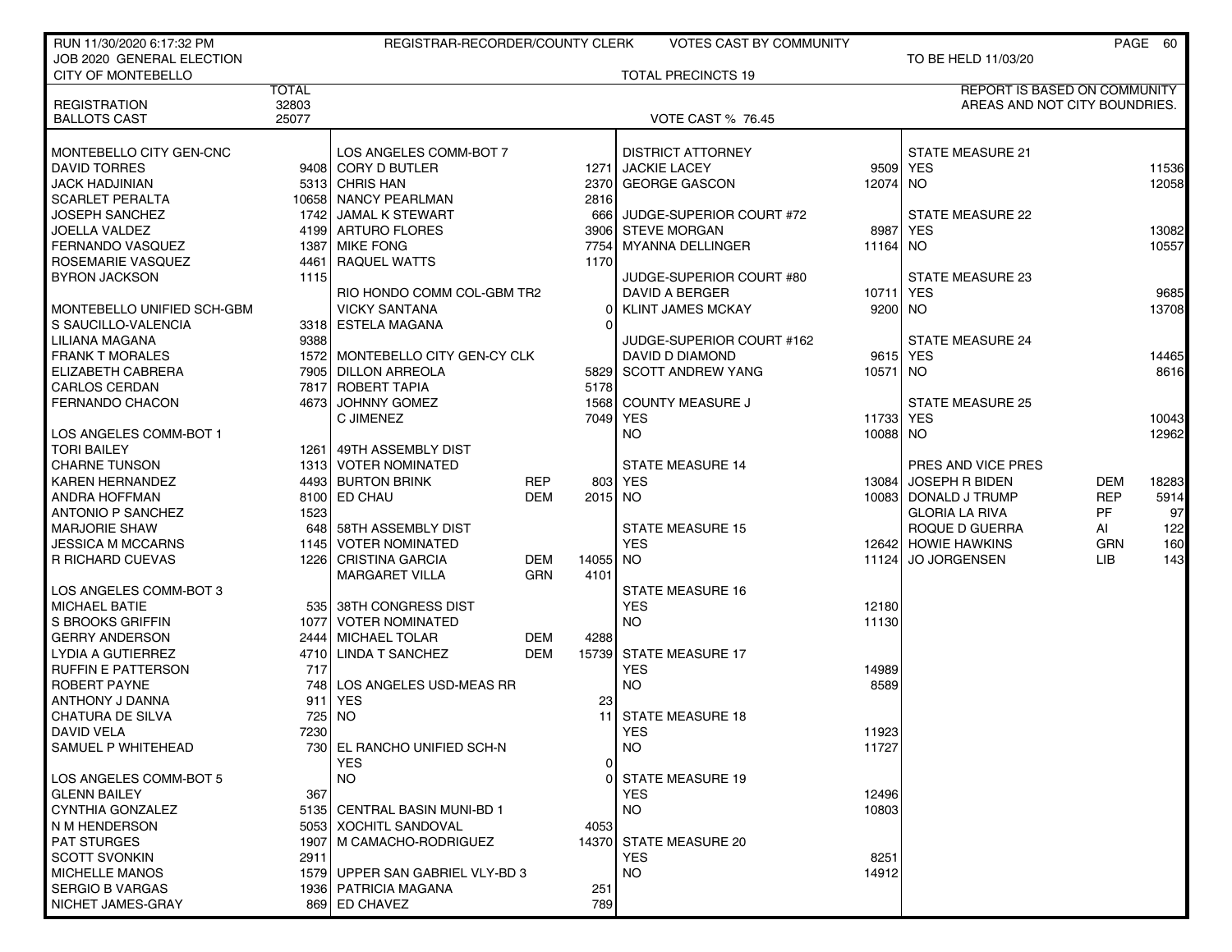| RUN 11/30/2020 6:17:32 PM                      |              | REGISTRAR-RECORDER/COUNTY CLERK              |            |                | <b>VOTES CAST BY COMMUNITY</b>                |          |                                     |            | PAGE 60        |
|------------------------------------------------|--------------|----------------------------------------------|------------|----------------|-----------------------------------------------|----------|-------------------------------------|------------|----------------|
| JOB 2020 GENERAL ELECTION                      |              |                                              |            |                |                                               |          | TO BE HELD 11/03/20                 |            |                |
| CITY OF MONTEBELLO                             |              |                                              |            |                | <b>TOTAL PRECINCTS 19</b>                     |          |                                     |            |                |
|                                                | <b>TOTAL</b> |                                              |            |                |                                               |          | <b>REPORT IS BASED ON COMMUNITY</b> |            |                |
| <b>REGISTRATION</b>                            | 32803        |                                              |            |                |                                               |          | AREAS AND NOT CITY BOUNDRIES.       |            |                |
| <b>BALLOTS CAST</b>                            | 25077        |                                              |            |                | <b>VOTE CAST % 76.45</b>                      |          |                                     |            |                |
|                                                |              |                                              |            |                |                                               |          |                                     |            |                |
| MONTEBELLO CITY GEN-CNC<br><b>DAVID TORRES</b> |              | LOS ANGELES COMM-BOT 7<br>9408 CORY D BUTLER |            |                | <b>DISTRICT ATTORNEY</b><br>1271 JACKIE LACEY |          | <b>STATE MEASURE 21</b><br>9509 YES |            |                |
|                                                |              | 5313 CHRIS HAN                               |            |                | <b>GEORGE GASCON</b>                          | 12074 NO |                                     |            | 11536<br>12058 |
| <b>JACK HADJINIAN</b><br>SCARLET PERALTA       |              | 10658 NANCY PEARLMAN                         |            | 2370<br>2816   |                                               |          |                                     |            |                |
| <b>JOSEPH SANCHEZ</b>                          |              | 1742 JAMAL K STEWART                         |            |                | 666 JUDGE-SUPERIOR COURT #72                  |          | <b>STATE MEASURE 22</b>             |            |                |
| <b>JOELLA VALDEZ</b>                           |              | 4199 ARTURO FLORES                           |            |                | 3906 STEVE MORGAN                             | 8987     | <b>YES</b>                          |            | 13082          |
| <b>FERNANDO VASQUEZ</b>                        |              | 1387 MIKE FONG                               |            | 7754           | <b>MYANNA DELLINGER</b>                       | 11164 NO |                                     |            | 10557          |
| ROSEMARIE VASQUEZ                              |              | 4461 RAQUEL WATTS                            |            | 1170           |                                               |          |                                     |            |                |
| <b>BYRON JACKSON</b>                           | 1115         |                                              |            |                | JUDGE-SUPERIOR COURT #80                      |          | <b>STATE MEASURE 23</b>             |            |                |
|                                                |              | RIO HONDO COMM COL-GBM TR2                   |            |                | DAVID A BERGER                                | 10711    | <b>YES</b>                          |            | 9685           |
| MONTEBELLO UNIFIED SCH-GBM                     |              | <b>VICKY SANTANA</b>                         |            | $\overline{0}$ | <b>KLINT JAMES MCKAY</b>                      | 9200 NO  |                                     |            | 13708          |
| S SAUCILLO-VALENCIA                            |              | 3318 ESTELA MAGANA                           |            | 0              |                                               |          |                                     |            |                |
| LILIANA MAGANA                                 | 9388         |                                              |            |                | JUDGE-SUPERIOR COURT #162                     |          | <b>STATE MEASURE 24</b>             |            |                |
| <b>FRANK T MORALES</b>                         |              | 1572 MONTEBELLO CITY GEN-CY CLK              |            |                | DAVID D DIAMOND                               | 9615 YES |                                     |            | 14465          |
| ELIZABETH CABRERA                              |              | 7905 DILLON ARREOLA                          |            |                | 5829 SCOTT ANDREW YANG                        | 10571 NO |                                     |            | 8616           |
| <b>CARLOS CERDAN</b>                           |              | 7817 ROBERT TAPIA                            |            | 5178           |                                               |          |                                     |            |                |
| <b>FERNANDO CHACON</b>                         |              | 4673 JOHNNY GOMEZ                            |            |                | 1568 COUNTY MEASURE J                         |          | <b>STATE MEASURE 25</b>             |            |                |
|                                                |              | C JIMENEZ                                    |            |                | 7049 YES                                      | 11733    | <b>YES</b>                          |            | 10043          |
| LOS ANGELES COMM-BOT 1                         |              |                                              |            |                | <b>NO</b>                                     | 10088 NO |                                     |            | 12962          |
| <b>TORI BAILEY</b>                             |              | 1261 49TH ASSEMBLY DIST                      |            |                |                                               |          |                                     |            |                |
| <b>CHARNE TUNSON</b>                           |              | 1313 VOTER NOMINATED                         |            |                | <b>STATE MEASURE 14</b>                       |          | PRES AND VICE PRES                  |            |                |
| <b>KAREN HERNANDEZ</b>                         |              | 4493 BURTON BRINK                            | <b>REP</b> |                | 803 YES                                       | 13084    | JOSEPH R BIDEN                      | <b>DEM</b> | 18283          |
| ANDRA HOFFMAN                                  |              | 8100 ED CHAU                                 | <b>DEM</b> | 2015 NO        |                                               |          | 10083 DONALD J TRUMP                | <b>REP</b> | 5914           |
| <b>ANTONIO P SANCHEZ</b>                       | 1523         |                                              |            |                |                                               |          | <b>GLORIA LA RIVA</b>               | PF         | 97             |
| <b>MARJORIE SHAW</b>                           |              | 648 58TH ASSEMBLY DIST                       |            |                | <b>STATE MEASURE 15</b>                       |          | ROQUE D GUERRA                      | AI         | 122            |
| <b>JESSICA M MCCARNS</b>                       |              | 1145 VOTER NOMINATED                         |            |                | <b>YES</b>                                    |          | 12642 HOWIE HAWKINS                 | <b>GRN</b> | 160            |
| <b>R RICHARD CUEVAS</b>                        |              | 1226 CRISTINA GARCIA                         | DEM        | 14055          | NO.                                           | 11124    | <b>JO JORGENSEN</b>                 | LIB.       | 143            |
|                                                |              | <b>MARGARET VILLA</b>                        | GRN        | 4101           |                                               |          |                                     |            |                |
| LOS ANGELES COMM-BOT 3                         |              |                                              |            |                | <b>STATE MEASURE 16</b>                       |          |                                     |            |                |
| <b>MICHAEL BATIE</b>                           |              | 535 38TH CONGRESS DIST                       |            |                | <b>YES</b>                                    | 12180    |                                     |            |                |
| S BROOKS GRIFFIN                               |              | 1077 VOTER NOMINATED                         |            |                | <b>NO</b>                                     | 11130    |                                     |            |                |
| <b>GERRY ANDERSON</b>                          |              | 2444 MICHAEL TOLAR                           | <b>DEM</b> | 4288           |                                               |          |                                     |            |                |
| LYDIA A GUTIERREZ                              |              | 4710 LINDA T SANCHEZ                         | DEM        |                | 15739 STATE MEASURE 17                        |          |                                     |            |                |
| <b>RUFFIN E PATTERSON</b>                      | 717          |                                              |            |                | <b>YES</b>                                    | 14989    |                                     |            |                |
| ROBERT PAYNE                                   | 748          | LOS ANGELES USD-MEAS RR                      |            |                | <b>NO</b>                                     | 8589     |                                     |            |                |
| ANTHONY J DANNA                                | 911          | <b>YES</b>                                   |            | 23             |                                               |          |                                     |            |                |
| <b>CHATURA DE SILVA</b>                        | 725          | NO                                           |            |                | 11 STATE MEASURE 18                           |          |                                     |            |                |
| DAVID VELA                                     | 7230         |                                              |            |                | YES                                           | 11923    |                                     |            |                |
| SAMUEL P WHITEHEAD                             |              | 730 EL RANCHO UNIFIED SCH-N                  |            |                | <b>NO</b>                                     | 11727    |                                     |            |                |
|                                                |              | YES.                                         |            | 0              |                                               |          |                                     |            |                |
| LOS ANGELES COMM-BOT 5                         |              | NO.                                          |            | 01             | <b>STATE MEASURE 19</b>                       |          |                                     |            |                |
| <b>GLENN BAILEY</b>                            | 367          |                                              |            |                | <b>YES</b>                                    | 12496    |                                     |            |                |
| CYNTHIA GONZALEZ                               |              | 5135 CENTRAL BASIN MUNI-BD 1                 |            |                | <b>NO</b>                                     | 10803    |                                     |            |                |
| N M HENDERSON                                  |              | 5053 XOCHITL SANDOVAL                        |            | 4053           |                                               |          |                                     |            |                |
| <b>PAT STURGES</b>                             |              | 1907   M CAMACHO-RODRIGUEZ                   |            |                | 14370 STATE MEASURE 20                        |          |                                     |            |                |
| <b>SCOTT SVONKIN</b>                           | 2911         |                                              |            |                | <b>YES</b>                                    | 8251     |                                     |            |                |
| <b>MICHELLE MANOS</b>                          |              | 1579 UPPER SAN GABRIEL VLY-BD 3              |            |                | <b>NO</b>                                     | 14912    |                                     |            |                |
| <b>SERGIO B VARGAS</b>                         |              | 1936   PATRICIA MAGANA                       |            | 251            |                                               |          |                                     |            |                |
| NICHET JAMES-GRAY                              |              | 869 ED CHAVEZ                                |            | 789            |                                               |          |                                     |            |                |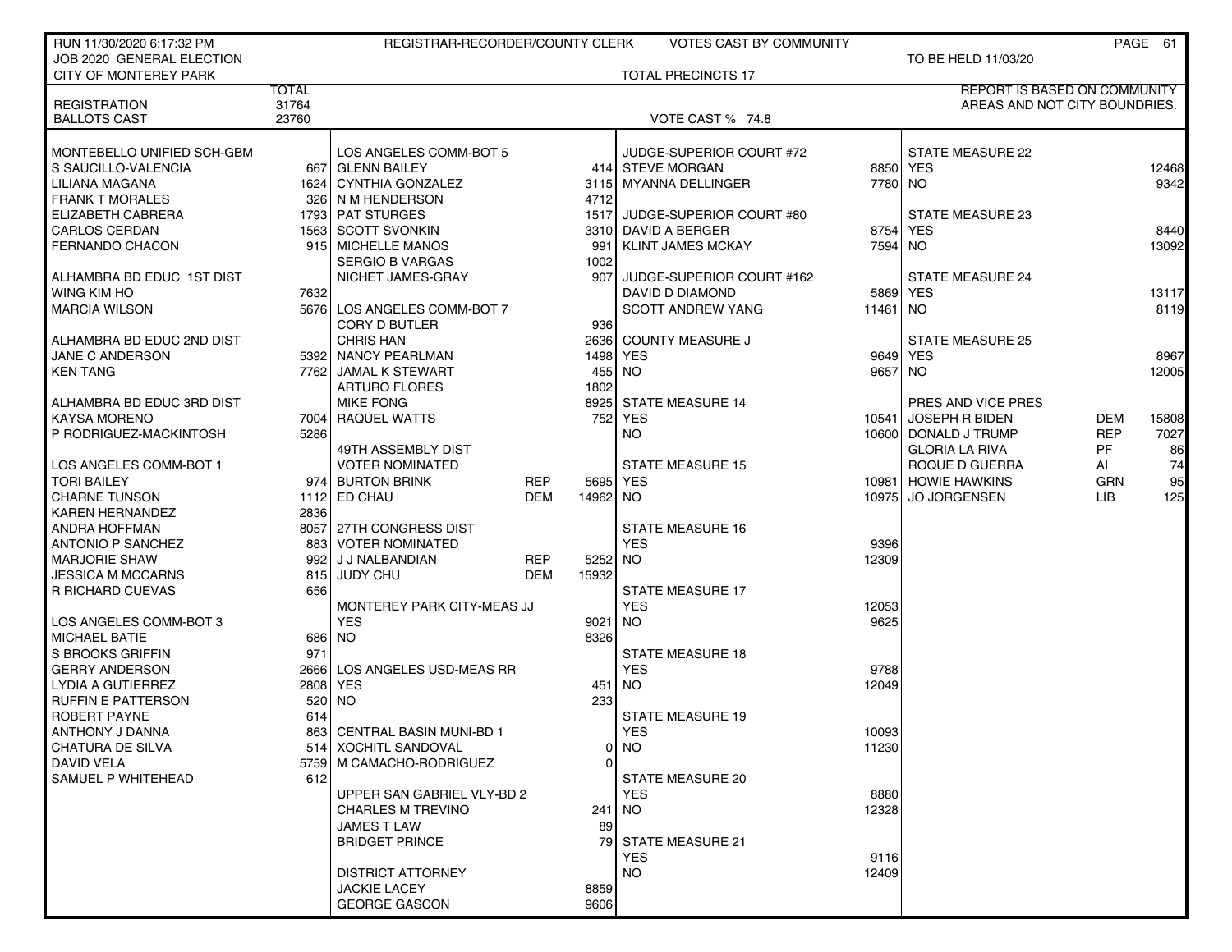| RUN 11/30/2020 6:17:32 PM             |              | REGISTRAR-RECORDER/COUNTY CLERK           |            |              | <b>VOTES CAST BY COMMUNITY</b>               |          |                                     |            | PAGE 61 |
|---------------------------------------|--------------|-------------------------------------------|------------|--------------|----------------------------------------------|----------|-------------------------------------|------------|---------|
| JOB 2020 GENERAL ELECTION             |              |                                           |            |              |                                              |          | TO BE HELD 11/03/20                 |            |         |
| <b>CITY OF MONTEREY PARK</b>          |              |                                           |            |              | <b>TOTAL PRECINCTS 17</b>                    |          |                                     |            |         |
|                                       | <b>TOTAL</b> |                                           |            |              |                                              |          | <b>REPORT IS BASED ON COMMUNITY</b> |            |         |
| <b>REGISTRATION</b>                   | 31764        |                                           |            |              |                                              |          | AREAS AND NOT CITY BOUNDRIES.       |            |         |
| <b>BALLOTS CAST</b>                   | 23760        |                                           |            |              | VOTE CAST % 74.8                             |          |                                     |            |         |
|                                       |              |                                           |            |              |                                              |          |                                     |            |         |
| MONTEBELLO UNIFIED SCH-GBM            |              | LOS ANGELES COMM-BOT 5                    |            |              | JUDGE-SUPERIOR COURT #72<br>414 STEVE MORGAN |          | STATE MEASURE 22<br>8850 YES        |            |         |
| S SAUCILLO-VALENCIA<br>LILIANA MAGANA |              | 667 GLENN BAILEY<br>1624 CYNTHIA GONZALEZ |            |              |                                              | 7780 NO  |                                     |            | 12468   |
| <b>FRANK T MORALES</b>                |              | 326 N M HENDERSON                         |            | 3115<br>4712 | <b>MYANNA DELLINGER</b>                      |          |                                     |            | 9342    |
| ELIZABETH CABRERA                     |              | 1793 PAT STURGES                          |            | 1517         | JUDGE-SUPERIOR COURT #80                     |          | STATE MEASURE 23                    |            |         |
| <b>CARLOS CERDAN</b>                  |              | 1563 SCOTT SVONKIN                        |            | 3310         | DAVID A BERGER                               | 8754     | <b>YES</b>                          |            | 8440    |
| <b>FERNANDO CHACON</b>                |              | 915   MICHELLE MANOS                      |            | 991          | <b>KLINT JAMES MCKAY</b>                     | 7594     | NO.                                 |            | 13092   |
|                                       |              | <b>SERGIO B VARGAS</b>                    |            | 1002         |                                              |          |                                     |            |         |
| ALHAMBRA BD EDUC 1ST DIST             |              | NICHET JAMES-GRAY                         |            | 907          | JUDGE-SUPERIOR COURT #162                    |          | <b>STATE MEASURE 24</b>             |            |         |
| WING KIM HO                           | 7632         |                                           |            |              | DAVID D DIAMOND                              | 5869     | <b>YES</b>                          |            | 13117   |
| <b>MARCIA WILSON</b>                  |              | 5676 LOS ANGELES COMM-BOT 7               |            |              | <b>SCOTT ANDREW YANG</b>                     | 11461 NO |                                     |            | 8119    |
|                                       |              | CORY D BUTLER                             |            | 936          |                                              |          |                                     |            |         |
| ALHAMBRA BD EDUC 2ND DIST             |              | <b>CHRIS HAN</b>                          |            | 2636         | <b>COUNTY MEASURE J</b>                      |          | <b>STATE MEASURE 25</b>             |            |         |
| JANE C ANDERSON                       |              | 5392 NANCY PEARLMAN                       |            | 1498         | <b>YES</b>                                   |          | 9649 YES                            |            | 8967    |
| <b>KEN TANG</b>                       |              | 7762 JAMAL K STEWART                      |            | 455          | <b>NO</b>                                    | 9657 NO  |                                     |            | 12005   |
|                                       |              | <b>ARTURO FLORES</b>                      |            | 1802         |                                              |          |                                     |            |         |
| ALHAMBRA BD EDUC 3RD DIST             |              | <b>MIKE FONG</b>                          |            | 8925         | <b>STATE MEASURE 14</b>                      |          | PRES AND VICE PRES                  |            |         |
| <b>KAYSA MORENO</b>                   |              | 7004 RAQUEL WATTS                         |            | 752          | <b>YES</b>                                   | 10541    | <b>JOSEPH R BIDEN</b>               | DEM        | 15808   |
| P RODRIGUEZ-MACKINTOSH                | 5286         |                                           |            |              | <b>NO</b>                                    |          | 10600 DONALD J TRUMP                | <b>REP</b> | 7027    |
|                                       |              | 49TH ASSEMBLY DIST                        |            |              |                                              |          | <b>GLORIA LA RIVA</b>               | <b>PF</b>  | 86      |
| LOS ANGELES COMM-BOT 1                |              | <b>VOTER NOMINATED</b>                    |            |              | <b>STATE MEASURE 15</b>                      |          | ROQUE D GUERRA                      | AI         | 74      |
| <b>TORI BAILEY</b>                    |              | 974 BURTON BRINK                          | REP        | 5695         | <b>YES</b>                                   | 10981    | <b>HOWIE HAWKINS</b>                | <b>GRN</b> | 95      |
| <b>CHARNE TUNSON</b>                  |              | 1112 ED CHAU                              | <b>DEM</b> | 14962        | NO.                                          | 10975    | <b>JO JORGENSEN</b>                 | LIB        | 125     |
| <b>KAREN HERNANDEZ</b>                | 2836         |                                           |            |              |                                              |          |                                     |            |         |
| <b>ANDRA HOFFMAN</b>                  |              | 8057 27TH CONGRESS DIST                   |            |              | <b>STATE MEASURE 16</b>                      |          |                                     |            |         |
| <b>ANTONIO P SANCHEZ</b>              | 883          | <b>VOTER NOMINATED</b>                    |            |              | <b>YES</b>                                   | 9396     |                                     |            |         |
| <b>MARJORIE SHAW</b>                  |              | 992 J J NALBANDIAN                        | <b>REP</b> | 5252         | <b>NO</b>                                    | 12309    |                                     |            |         |
| <b>JESSICA M MCCARNS</b>              | 815          | <b>JUDY CHU</b>                           | <b>DEM</b> | 15932        |                                              |          |                                     |            |         |
| <b>R RICHARD CUEVAS</b>               | 656          |                                           |            |              | <b>STATE MEASURE 17</b>                      |          |                                     |            |         |
|                                       |              | MONTEREY PARK CITY-MEAS JJ                |            |              | <b>YES</b>                                   | 12053    |                                     |            |         |
| LOS ANGELES COMM-BOT 3                |              | <b>YES</b>                                |            | 9021         | <b>NO</b>                                    | 9625     |                                     |            |         |
| <b>MICHAEL BATIE</b>                  | 686          | <b>NO</b>                                 |            | 8326         |                                              |          |                                     |            |         |
| S BROOKS GRIFFIN                      | 971          |                                           |            |              | <b>STATE MEASURE 18</b>                      |          |                                     |            |         |
| <b>GERRY ANDERSON</b>                 | 2666         | LOS ANGELES USD-MEAS RR                   |            |              | <b>YES</b>                                   | 9788     |                                     |            |         |
| LYDIA A GUTIERREZ                     | 2808         | <b>YES</b>                                |            | 451          | <b>NO</b>                                    | 12049    |                                     |            |         |
| <b>RUFFIN E PATTERSON</b>             | 520          | <b>NO</b>                                 |            | 233          |                                              |          |                                     |            |         |
| <b>ROBERT PAYNE</b>                   | 614          |                                           |            |              | <b>STATE MEASURE 19</b>                      |          |                                     |            |         |
| ANTHONY J DANNA                       |              | 863 CENTRAL BASIN MUNI-BD 1               |            |              | <b>YES</b>                                   | 10093    |                                     |            |         |
| CHATURA DE SILVA                      |              | 514 XOCHITL SANDOVAL                      |            |              | $0$ NO                                       | 11230    |                                     |            |         |
| DAVID VELA                            |              | 5759 M CAMACHO-RODRIGUEZ                  |            | $\Omega$     |                                              |          |                                     |            |         |
| SAMUEL P WHITEHEAD                    | 612          |                                           |            |              | <b>STATE MEASURE 20</b>                      |          |                                     |            |         |
|                                       |              | UPPER SAN GABRIEL VLY-BD 2                |            |              | <b>YES</b>                                   | 8880     |                                     |            |         |
|                                       |              | <b>CHARLES M TREVINO</b>                  |            | 241          | <b>NO</b>                                    | 12328    |                                     |            |         |
|                                       |              | <b>JAMES T LAW</b>                        |            | 89           |                                              |          |                                     |            |         |
|                                       |              | <b>BRIDGET PRINCE</b>                     |            |              | 79 STATE MEASURE 21                          |          |                                     |            |         |
|                                       |              |                                           |            |              | <b>YES</b>                                   | 9116     |                                     |            |         |
|                                       |              | DISTRICT ATTORNEY                         |            |              | <b>NO</b>                                    | 12409    |                                     |            |         |
|                                       |              | <b>JACKIE LACEY</b>                       |            | 8859         |                                              |          |                                     |            |         |
|                                       |              | <b>GEORGE GASCON</b>                      |            | 9606         |                                              |          |                                     |            |         |
|                                       |              |                                           |            |              |                                              |          |                                     |            |         |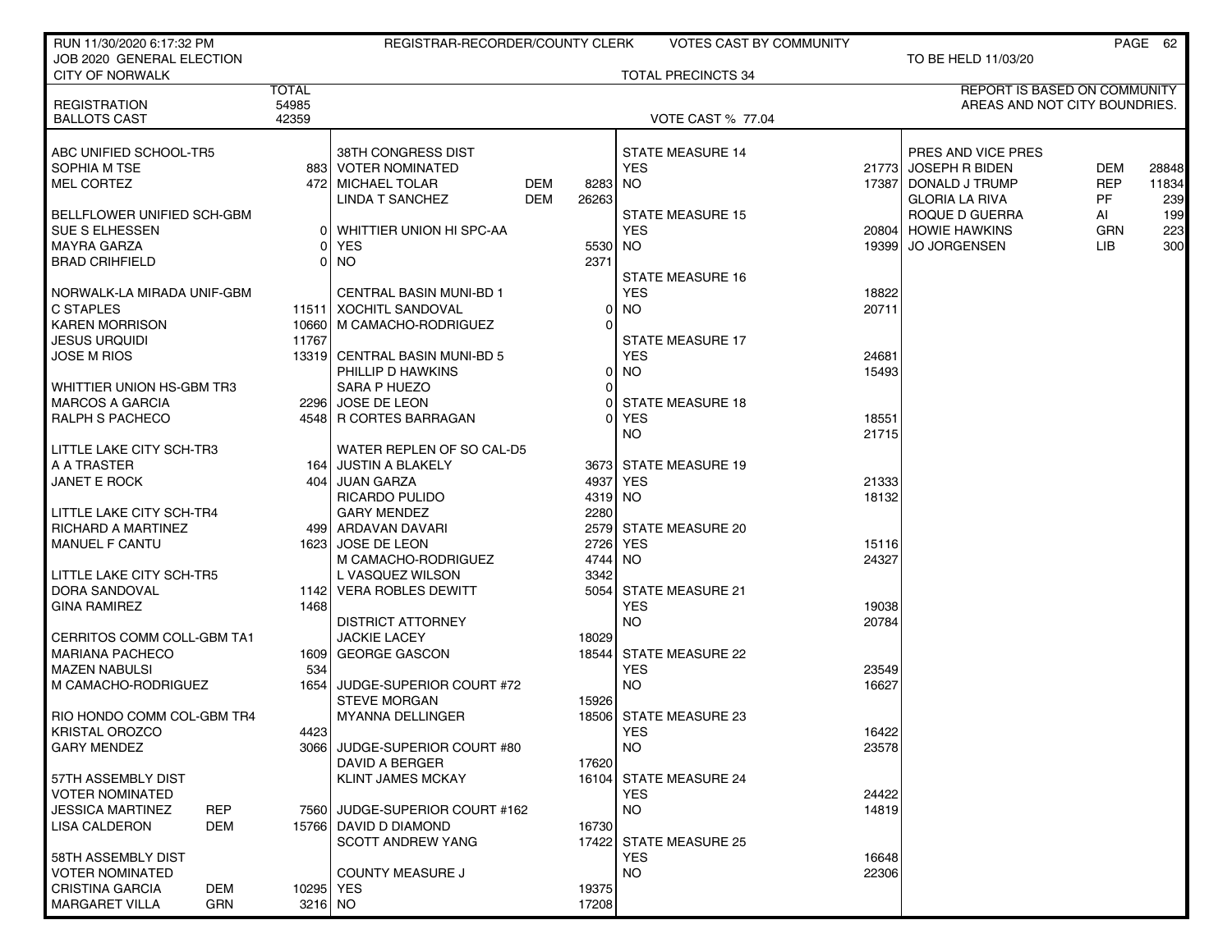| RUN 11/30/2020 6:17:32 PM  |                  | REGISTRAR-RECORDER/COUNTY CLERK                 |     |          | <b>VOTES CAST BY COMMUNITY</b> |                |                               |            | PAGE 62 |
|----------------------------|------------------|-------------------------------------------------|-----|----------|--------------------------------|----------------|-------------------------------|------------|---------|
| JOB 2020 GENERAL ELECTION  |                  |                                                 |     |          |                                |                | TO BE HELD 11/03/20           |            |         |
| <b>CITY OF NORWALK</b>     |                  |                                                 |     |          | <b>TOTAL PRECINCTS 34</b>      |                |                               |            |         |
|                            | <b>TOTAL</b>     |                                                 |     |          |                                |                | REPORT IS BASED ON COMMUNITY  |            |         |
| <b>REGISTRATION</b>        | 54985            |                                                 |     |          |                                |                | AREAS AND NOT CITY BOUNDRIES. |            |         |
| <b>BALLOTS CAST</b>        | 42359            |                                                 |     |          | <b>VOTE CAST % 77.04</b>       |                |                               |            |         |
| ABC UNIFIED SCHOOL-TR5     |                  | 38TH CONGRESS DIST                              |     |          | <b>STATE MEASURE 14</b>        |                | PRES AND VICE PRES            |            |         |
| SOPHIA M TSE               |                  | 883 VOTER NOMINATED                             |     |          | <b>YES</b>                     | 217731         | <b>JOSEPH R BIDEN</b>         | <b>DEM</b> | 28848   |
| <b>MEL CORTEZ</b>          |                  | 472 MICHAEL TOLAR                               | DEM | 8283     | NO.                            | 173871         | DONALD J TRUMP                | <b>REP</b> | 11834   |
|                            |                  | LINDA T SANCHEZ                                 | DEM | 26263    |                                |                | <b>GLORIA LA RIVA</b>         | PF         | 239     |
| BELLFLOWER UNIFIED SCH-GBM |                  |                                                 |     |          | <b>STATE MEASURE 15</b>        |                | ROQUE D GUERRA                | AI         | 199     |
| <b>SUE S ELHESSEN</b>      |                  | WHITTIER UNION HI SPC-AA                        |     |          | <b>YES</b>                     | 20804          | <b>HOWIE HAWKINS</b>          | <b>GRN</b> | 223     |
| MAYRA GARZA                |                  | YES                                             |     | 5530     | NO.                            | 193991         | <b>JO JORGENSEN</b>           | LІВ        | 300     |
| <b>BRAD CRIHFIELD</b>      |                  | NO                                              |     | 2371     |                                |                |                               |            |         |
|                            |                  |                                                 |     |          | <b>STATE MEASURE 16</b>        |                |                               |            |         |
| NORWALK-LA MIRADA UNIF-GBM |                  | <b>CENTRAL BASIN MUNI-BD 1</b>                  |     |          | <b>YES</b>                     | 18822          |                               |            |         |
| <b>C STAPLES</b>           |                  | 11511   XOCHITL SANDOVAL                        |     | 0        | <b>NO</b>                      | 20711          |                               |            |         |
| <b>KAREN MORRISON</b>      |                  | 10660   M CAMACHO-RODRIGUEZ                     |     | $\Omega$ |                                |                |                               |            |         |
| <b>JESUS URQUIDI</b>       | 11767            |                                                 |     |          | <b>STATE MEASURE 17</b>        |                |                               |            |         |
| <b>JOSE M RIOS</b>         |                  | 13319 CENTRAL BASIN MUNI-BD 5                   |     |          | <b>YES</b>                     | 24681          |                               |            |         |
|                            |                  | PHILLIP D HAWKINS                               |     | $\Omega$ | <b>NO</b>                      | 15493          |                               |            |         |
| WHITTIER UNION HS-GBM TR3  |                  | SARA P HUEZO                                    |     | $\Omega$ |                                |                |                               |            |         |
| <b>MARCOS A GARCIA</b>     |                  | 2296 JOSE DE LEON                               |     | 0        | <b>STATE MEASURE 18</b>        |                |                               |            |         |
| RALPH S PACHECO            |                  | 4548 R CORTES BARRAGAN                          |     | $\Omega$ | YES                            | 18551          |                               |            |         |
|                            |                  |                                                 |     |          | <b>NO</b>                      | 21715          |                               |            |         |
| LITTLE LAKE CITY SCH-TR3   |                  | WATER REPLEN OF SO CAL-D5                       |     |          |                                |                |                               |            |         |
| A A TRASTER                |                  | 164 JUSTIN A BLAKELY                            |     |          | 3673 STATE MEASURE 19          |                |                               |            |         |
| <b>JANET E ROCK</b>        | 404              | JUAN GARZA                                      |     | 4937     | YES                            | 21333          |                               |            |         |
|                            |                  | <b>RICARDO PULIDO</b>                           |     | 4319     | NO.                            | 18132          |                               |            |         |
| LITTLE LAKE CITY SCH-TR4   |                  | <b>GARY MENDEZ</b>                              |     | 2280     |                                |                |                               |            |         |
| <b>RICHARD A MARTINEZ</b>  |                  | 499   ARDAVAN DAVARI                            |     | 2579     | STATE MEASURE 20               |                |                               |            |         |
| <b>MANUEL F CANTU</b>      |                  | 1623 JOSE DE LEON                               |     | 2726     | YES                            | 15116          |                               |            |         |
|                            |                  | M CAMACHO-RODRIGUEZ                             |     | 4744     | NO.                            | 24327          |                               |            |         |
| LITTLE LAKE CITY SCH-TR5   |                  | L VASQUEZ WILSON                                |     | 3342     |                                |                |                               |            |         |
| DORA SANDOVAL              |                  | 1142 VERA ROBLES DEWITT                         |     | 5054     | STATE MEASURE 21               |                |                               |            |         |
| <b>GINA RAMIREZ</b>        | 1468             |                                                 |     |          | <b>YES</b>                     | 19038          |                               |            |         |
|                            |                  | <b>DISTRICT ATTORNEY</b>                        |     |          | <b>NO</b>                      | 20784          |                               |            |         |
| CERRITOS COMM COLL-GBM TA1 |                  | <b>JACKIE LACEY</b>                             |     | 18029    |                                |                |                               |            |         |
| <b>MARIANA PACHECO</b>     |                  | 1609 GEORGE GASCON                              |     | 18544    | <b>STATE MEASURE 22</b>        |                |                               |            |         |
| <b>MAZEN NABULSI</b>       | 534              |                                                 |     |          | <b>YES</b>                     | 23549          |                               |            |         |
| M CAMACHO-RODRIGUEZ        | 1654             | JUDGE-SUPERIOR COURT #72                        |     |          | <b>NO</b>                      | 16627          |                               |            |         |
| RIO HONDO COMM COL-GBM TR4 |                  | <b>STEVE MORGAN</b><br>MYANNA DELLINGER         |     | 15926    |                                |                |                               |            |         |
| KRISTAL OROZCO             |                  |                                                 |     |          | 18506 STATE MEASURE 23         |                |                               |            |         |
| <b>GARY MENDEZ</b>         | 4423             |                                                 |     |          | <b>YES</b><br>NO.              | 16422<br>23578 |                               |            |         |
|                            |                  | 3066 JUDGE-SUPERIOR COURT #80<br>DAVID A BERGER |     | 17620    |                                |                |                               |            |         |
| 57TH ASSEMBLY DIST         |                  | <b>KLINT JAMES MCKAY</b>                        |     |          | 16104 STATE MEASURE 24         |                |                               |            |         |
| <b>VOTER NOMINATED</b>     |                  |                                                 |     |          | <b>YES</b>                     | 24422          |                               |            |         |
| <b>JESSICA MARTINEZ</b>    | <b>REP</b>       | 7560 JUDGE-SUPERIOR COURT #162                  |     |          | <b>NO</b>                      | 14819          |                               |            |         |
| LISA CALDERON              | DEM              | 15766 DAVID D DIAMOND                           |     | 16730    |                                |                |                               |            |         |
|                            |                  | <b>SCOTT ANDREW YANG</b>                        |     |          | 17422 STATE MEASURE 25         |                |                               |            |         |
| 58TH ASSEMBLY DIST         |                  |                                                 |     |          | <b>YES</b>                     | 16648          |                               |            |         |
| <b>VOTER NOMINATED</b>     |                  | <b>COUNTY MEASURE J</b>                         |     |          | <b>NO</b>                      | 22306          |                               |            |         |
| <b>CRISTINA GARCIA</b>     | DEM<br>10295 YES |                                                 |     | 19375    |                                |                |                               |            |         |
| <b>MARGARET VILLA</b>      | GRN<br>$3216$ NO |                                                 |     | 17208    |                                |                |                               |            |         |
|                            |                  |                                                 |     |          |                                |                |                               |            |         |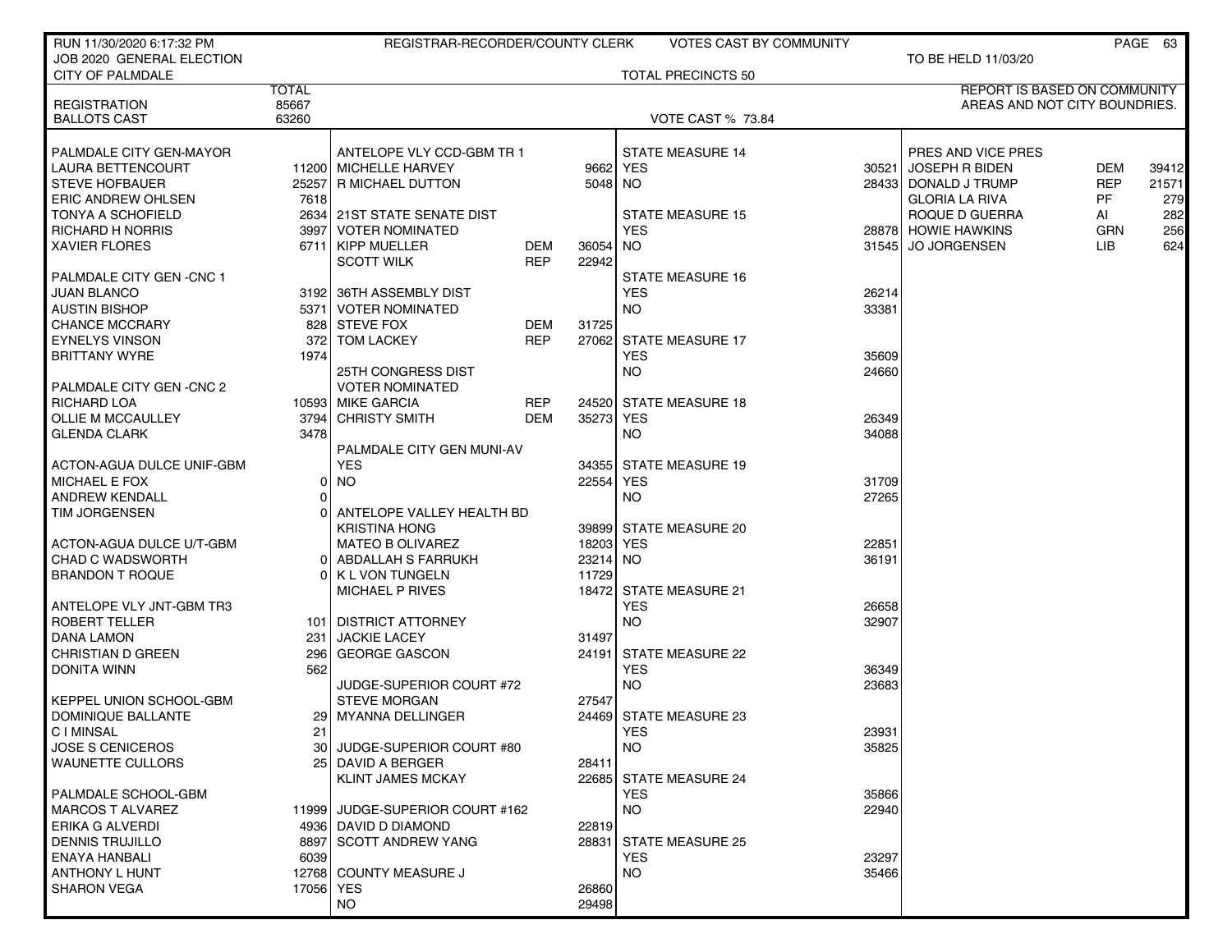| RUN 11/30/2020 6:17:32 PM       |              | REGISTRAR-RECORDER/COUNTY CLERK |            |          | <b>VOTES CAST BY COMMUNITY</b> |       |                               |            | PAGE 63 |
|---------------------------------|--------------|---------------------------------|------------|----------|--------------------------------|-------|-------------------------------|------------|---------|
| JOB 2020 GENERAL ELECTION       |              |                                 |            |          |                                |       | TO BE HELD 11/03/20           |            |         |
| <b>CITY OF PALMDALE</b>         |              |                                 |            |          | <b>TOTAL PRECINCTS 50</b>      |       |                               |            |         |
|                                 | <b>TOTAL</b> |                                 |            |          |                                |       | REPORT IS BASED ON COMMUNITY  |            |         |
| <b>REGISTRATION</b>             | 85667        |                                 |            |          |                                |       | AREAS AND NOT CITY BOUNDRIES. |            |         |
| <b>BALLOTS CAST</b>             | 63260        |                                 |            |          | <b>VOTE CAST % 73.84</b>       |       |                               |            |         |
| PALMDALE CITY GEN-MAYOR         |              | ANTELOPE VLY CCD-GBM TR 1       |            |          | <b>STATE MEASURE 14</b>        |       | PRES AND VICE PRES            |            |         |
| <b>LAURA BETTENCOURT</b>        |              | 11200 MICHELLE HARVEY           |            | 9662     | YES                            |       | 30521 JOSEPH R BIDEN          | <b>DEM</b> | 39412   |
| <b>STEVE HOFBAUER</b>           | 25257        | R MICHAEL DUTTON                |            | 5048     | NO.                            | 28433 | DONALD J TRUMP                | <b>REP</b> | 21571   |
| <b>ERIC ANDREW OHLSEN</b>       | 7618         |                                 |            |          |                                |       | <b>GLORIA LA RIVA</b>         | PF         | 279     |
| <b>TONYA A SCHOFIELD</b>        |              | 2634 21ST STATE SENATE DIST     |            |          | STATE MEASURE 15               |       | ROQUE D GUERRA                | AI         | 282     |
| <b>RICHARD H NORRIS</b>         | 3997         | <b>VOTER NOMINATED</b>          |            |          | <b>YES</b>                     |       | 28878 HOWIE HAWKINS           | <b>GRN</b> | 256     |
| <b>XAVIER FLORES</b>            |              | 6711 KIPP MUELLER               | <b>DEM</b> | 36054    | NO.                            |       | 31545 JO JORGENSEN            | <b>LIB</b> | 624     |
|                                 |              | <b>SCOTT WILK</b>               | <b>REP</b> | 22942    |                                |       |                               |            |         |
| <b>PALMDALE CITY GEN -CNC 1</b> |              |                                 |            |          | STATE MEASURE 16               |       |                               |            |         |
| <b>JUAN BLANCO</b>              |              | 3192 36TH ASSEMBLY DIST         |            |          | <b>YES</b>                     | 26214 |                               |            |         |
| <b>AUSTIN BISHOP</b>            |              | 5371   VOTER NOMINATED          |            |          | NO.                            | 33381 |                               |            |         |
| <b>CHANCE MCCRARY</b>           |              | 828 STEVE FOX                   | DEM        | 31725    |                                |       |                               |            |         |
| <b>EYNELYS VINSON</b>           | 372          | <b>TOM LACKEY</b>               | <b>REP</b> | 27062    | <b>STATE MEASURE 17</b>        |       |                               |            |         |
| <b>BRITTANY WYRE</b>            | 1974         |                                 |            |          | <b>YES</b>                     | 35609 |                               |            |         |
|                                 |              | <b>25TH CONGRESS DIST</b>       |            |          | NO.                            | 24660 |                               |            |         |
| PALMDALE CITY GEN -CNC 2        |              | <b>VOTER NOMINATED</b>          |            |          |                                |       |                               |            |         |
| RICHARD LOA                     |              | 10593 MIKE GARCIA               | <b>REP</b> |          | 24520 STATE MEASURE 18         |       |                               |            |         |
| OLLIE M MCCAULLEY               |              | 3794 CHRISTY SMITH              | <b>DEM</b> | 35273    | YES                            | 26349 |                               |            |         |
| <b>GLENDA CLARK</b>             | 3478         |                                 |            |          | <b>NO</b>                      | 34088 |                               |            |         |
|                                 |              | PALMDALE CITY GEN MUNI-AV       |            |          |                                |       |                               |            |         |
| ACTON-AGUA DULCE UNIF-GBM       |              | <b>YES</b>                      |            |          | 34355 STATE MEASURE 19         |       |                               |            |         |
| <b>MICHAEL E FOX</b>            | 0            | <b>NO</b>                       |            | 22554    | YES                            | 31709 |                               |            |         |
| <b>ANDREW KENDALL</b>           | $\Omega$     |                                 |            |          | NO.                            | 27265 |                               |            |         |
| <b>TIM JORGENSEN</b>            |              | ANTELOPE VALLEY HEALTH BD       |            |          |                                |       |                               |            |         |
|                                 |              | <b>KRISTINA HONG</b>            |            |          | 39899 STATE MEASURE 20         |       |                               |            |         |
| ACTON-AGUA DULCE U/T-GBM        |              | <b>MATEO B OLIVAREZ</b>         |            | 18203    | <b>YES</b>                     | 22851 |                               |            |         |
| <b>CHAD C WADSWORTH</b>         | 01           | ABDALLAH S FARRUKH              |            | 23214 NO |                                | 36191 |                               |            |         |
| <b>BRANDON T ROQUE</b>          |              | 0 K L VON TUNGELN               |            | 11729    |                                |       |                               |            |         |
|                                 |              | MICHAEL P RIVES                 |            | 18472    | <b>STATE MEASURE 21</b>        |       |                               |            |         |
| ANTELOPE VLY JNT-GBM TR3        |              |                                 |            |          | <b>YES</b>                     | 26658 |                               |            |         |
| ROBERT TELLER                   |              | 101   DISTRICT ATTORNEY         |            |          | NO.                            | 32907 |                               |            |         |
| <b>DANA LAMON</b>               | 231          | <b>JACKIE LACEY</b>             |            | 31497    |                                |       |                               |            |         |
| <b>CHRISTIAN D GREEN</b>        | 296          | <b>GEORGE GASCON</b>            |            | 24191    | <b>STATE MEASURE 22</b>        |       |                               |            |         |
| <b>DONITA WINN</b>              | 562          |                                 |            |          | <b>YES</b>                     | 36349 |                               |            |         |
|                                 |              | JUDGE-SUPERIOR COURT #72        |            |          | NO.                            | 23683 |                               |            |         |
| <b>KEPPEL UNION SCHOOL-GBM</b>  |              | <b>STEVE MORGAN</b>             |            | 27547    |                                |       |                               |            |         |
| DOMINIQUE BALLANTE              |              | 29   MYANNA DELLINGER           |            |          | 24469 STATE MEASURE 23         |       |                               |            |         |
| C I MINSAL                      | 21           |                                 |            |          | YES                            | 23931 |                               |            |         |
| <b>JOSE S CENICEROS</b>         |              | 30 JUDGE-SUPERIOR COURT #80     |            |          | <b>NO</b>                      | 35825 |                               |            |         |
| <b>WAUNETTE CULLORS</b>         |              | 25 DAVID A BERGER               |            | 28411    |                                |       |                               |            |         |
|                                 |              | KLINT JAMES MCKAY               |            |          | 22685 STATE MEASURE 24         |       |                               |            |         |
| PALMDALE SCHOOL-GBM             |              |                                 |            |          | <b>YES</b>                     | 35866 |                               |            |         |
| <b>MARCOS T ALVAREZ</b>         |              | 11999 JUDGE-SUPERIOR COURT #162 |            |          | <b>NO</b>                      | 22940 |                               |            |         |
| <b>ERIKA G ALVERDI</b>          |              | 4936 DAVID D DIAMOND            |            | 22819    |                                |       |                               |            |         |
| DENNIS TRUJILLO                 |              | 8897 SCOTT ANDREW YANG          |            | 28831    | <b>STATE MEASURE 25</b>        |       |                               |            |         |
| ENAYA HANBALI                   | 6039         |                                 |            |          | <b>YES</b>                     | 23297 |                               |            |         |
| ANTHONY L HUNT                  |              | 12768 COUNTY MEASURE J          |            |          | <b>NO</b>                      | 35466 |                               |            |         |
| <b>SHARON VEGA</b>              | 17056 YES    |                                 |            | 26860    |                                |       |                               |            |         |
|                                 |              | <b>NO</b>                       |            | 29498    |                                |       |                               |            |         |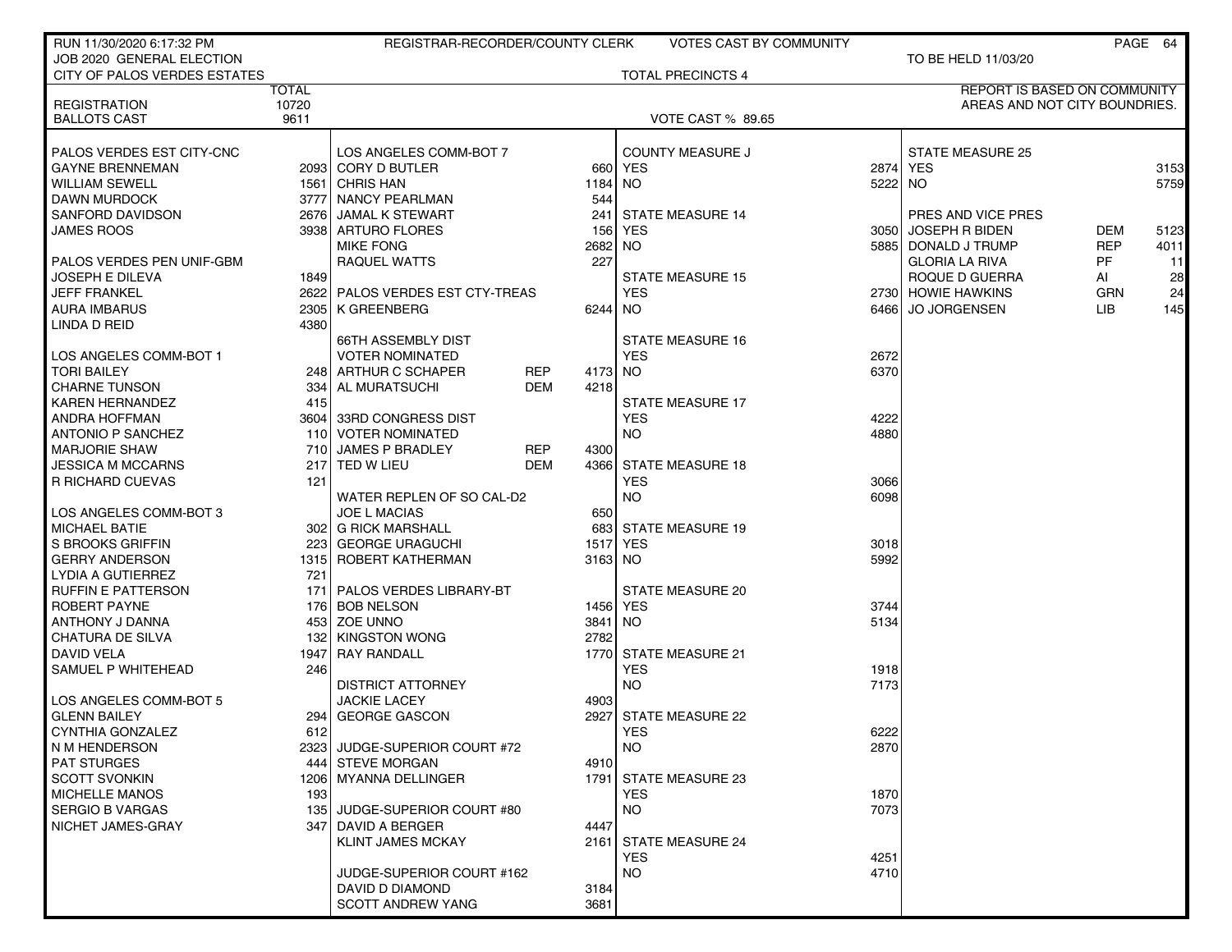| RUN 11/30/2020 6:17:32 PM                     |              | REGISTRAR-RECORDER/COUNTY CLERK |            |         | <b>VOTES CAST BY COMMUNITY</b>      |              |                               |            | PAGE 64 |
|-----------------------------------------------|--------------|---------------------------------|------------|---------|-------------------------------------|--------------|-------------------------------|------------|---------|
| JOB 2020 GENERAL ELECTION                     |              |                                 |            |         |                                     |              | TO BE HELD 11/03/20           |            |         |
| CITY OF PALOS VERDES ESTATES                  |              |                                 |            |         | <b>TOTAL PRECINCTS 4</b>            |              |                               |            |         |
|                                               | <b>TOTAL</b> |                                 |            |         |                                     |              | REPORT IS BASED ON COMMUNITY  |            |         |
| <b>REGISTRATION</b>                           | 10720        |                                 |            |         |                                     |              | AREAS AND NOT CITY BOUNDRIES. |            |         |
| <b>BALLOTS CAST</b>                           | 9611         |                                 |            |         | <b>VOTE CAST % 89.65</b>            |              |                               |            |         |
| PALOS VERDES EST CITY-CNC                     |              | LOS ANGELES COMM-BOT 7          |            |         | <b>COUNTY MEASURE J</b>             |              | STATE MEASURE 25              |            |         |
| <b>GAYNE BRENNEMAN</b>                        |              | 2093 CORY D BUTLER              |            |         | 660 YES                             |              | 2874 YES                      |            | 3153    |
| <b>WILLIAM SEWELL</b>                         |              | 1561 CHRIS HAN                  |            | 1184 NO |                                     | 5222 NO      |                               |            | 5759    |
| <b>DAWN MURDOCK</b>                           |              | 3777 NANCY PEARLMAN             |            | 544     |                                     |              |                               |            |         |
| SANFORD DAVIDSON                              |              | 2676 JAMAL K STEWART            |            |         | 241 STATE MEASURE 14                |              | PRES AND VICE PRES            |            |         |
| <b>JAMES ROOS</b>                             |              | 3938 ARTURO FLORES              |            | 1561    | YES                                 | 3050 l       | <b>JOSEPH R BIDEN</b>         | <b>DEM</b> | 5123    |
|                                               |              | <b>MIKE FONG</b>                |            | 2682    | <b>NO</b>                           |              | 5885 DONALD J TRUMP           | <b>REP</b> | 4011    |
| PALOS VERDES PEN UNIF-GBM                     |              | RAQUEL WATTS                    |            | 227     |                                     |              | <b>GLORIA LA RIVA</b>         | PF         | 11      |
| JOSEPH E DILEVA                               | 1849         |                                 |            |         | <b>STATE MEASURE 15</b>             |              | ROQUE D GUERRA                | Al         | 28      |
| <b>JEFF FRANKEL</b>                           |              | 2622 PALOS VERDES EST CTY-TREAS |            |         | <b>YES</b>                          |              | 2730 HOWIE HAWKINS            | <b>GRN</b> | 24      |
| <b>AURA IMBARUS</b>                           |              | 2305   K GREENBERG              |            | 6244 NO |                                     | 64661        | <b>JO JORGENSEN</b>           | LIB.       | 145     |
| LINDA D REID                                  | 4380         |                                 |            |         |                                     |              |                               |            |         |
|                                               |              | <b>66TH ASSEMBLY DIST</b>       |            |         | <b>STATE MEASURE 16</b>             |              |                               |            |         |
| LOS ANGELES COMM-BOT 1                        |              | <b>VOTER NOMINATED</b>          |            |         | <b>YES</b>                          | 2672         |                               |            |         |
| <b>TORI BAILEY</b>                            |              | 248 ARTHUR C SCHAPER            | <b>REP</b> | 4173    | <b>NO</b>                           | 6370         |                               |            |         |
| <b>CHARNE TUNSON</b>                          | 334          | AL MURATSUCHI                   | <b>DEM</b> | 4218    |                                     |              |                               |            |         |
| <b>KAREN HERNANDEZ</b>                        | 415          |                                 |            |         | <b>STATE MEASURE 17</b>             |              |                               |            |         |
| ANDRA HOFFMAN                                 |              | 3604 33RD CONGRESS DIST         |            |         | <b>YES</b>                          | 4222         |                               |            |         |
| <b>ANTONIO P SANCHEZ</b>                      |              | 110 VOTER NOMINATED             |            |         | <b>NO</b>                           | 4880         |                               |            |         |
| <b>MARJORIE SHAW</b>                          | 710          | JAMES P BRADLEY                 | <b>REP</b> | 4300    |                                     |              |                               |            |         |
| <b>JESSICA M MCCARNS</b>                      |              | 217 TED W LIEU                  | <b>DEM</b> |         | 4366 STATE MEASURE 18               |              |                               |            |         |
| R RICHARD CUEVAS                              | 121          |                                 |            |         | <b>YES</b>                          | 3066         |                               |            |         |
|                                               |              | WATER REPLEN OF SO CAL-D2       |            |         | <b>NO</b>                           | 6098         |                               |            |         |
| LOS ANGELES COMM-BOT 3                        |              | <b>JOE L MACIAS</b>             |            | 650     |                                     |              |                               |            |         |
| <b>MICHAEL BATIE</b>                          |              | 302 G RICK MARSHALL             |            |         | 683 STATE MEASURE 19                |              |                               |            |         |
| S BROOKS GRIFFIN                              |              | 223 GEORGE URAGUCHI             |            | 1517    | <b>YES</b>                          | 3018         |                               |            |         |
| <b>GERRY ANDERSON</b>                         |              | 1315 ROBERT KATHERMAN           |            | 3163 NO |                                     | 5992         |                               |            |         |
| <b>LYDIA A GUTIERREZ</b>                      | 721          |                                 |            |         |                                     |              |                               |            |         |
| <b>RUFFIN E PATTERSON</b>                     |              | 171   PALOS VERDES LIBRARY-BT   |            |         | STATE MEASURE 20                    |              |                               |            |         |
| ROBERT PAYNE                                  |              | 176 BOB NELSON                  |            |         | 1456 YES                            | 3744         |                               |            |         |
| ANTHONY J DANNA                               |              | 453 ZOE UNNO                    |            | 3841 NO |                                     | 5134         |                               |            |         |
| <b>CHATURA DE SILVA</b>                       | 1321         | <b>KINGSTON WONG</b>            |            | 2782    |                                     |              |                               |            |         |
| DAVID VELA                                    | 19471        | <b>RAY RANDALL</b>              |            |         | 1770 STATE MEASURE 21               |              |                               |            |         |
| SAMUEL P WHITEHEAD                            | 246          |                                 |            |         | <b>YES</b>                          | 1918         |                               |            |         |
|                                               |              | <b>DISTRICT ATTORNEY</b>        |            |         | <b>NO</b>                           | 7173         |                               |            |         |
| LOS ANGELES COMM-BOT 5                        |              | <b>JACKIE LACEY</b>             |            | 4903    |                                     |              |                               |            |         |
| <b>GLENN BAILEY</b>                           |              | 294 GEORGE GASCON               |            |         | 2927 STATE MEASURE 22               |              |                               |            |         |
| <b>CYNTHIA GONZALEZ</b>                       | 612          |                                 |            |         | <b>YES</b>                          | 6222         |                               |            |         |
| N M HENDERSON                                 |              | 2323 JUDGE-SUPERIOR COURT #72   |            |         | <b>NO</b>                           | 2870         |                               |            |         |
| <b>PAT STURGES</b>                            |              | 444 STEVE MORGAN                |            | 4910    |                                     |              |                               |            |         |
| <b>SCOTT SVONKIN</b><br><b>MICHELLE MANOS</b> |              | 1206   MYANNA DELLINGER         |            |         | 1791 STATE MEASURE 23<br><b>YES</b> |              |                               |            |         |
| <b>SERGIO B VARGAS</b>                        | 193          | 135 JUDGE-SUPERIOR COURT #80    |            |         | <b>NO</b>                           | 1870<br>7073 |                               |            |         |
| NICHET JAMES-GRAY                             | 347 I        | <b>DAVID A BERGER</b>           |            | 4447    |                                     |              |                               |            |         |
|                                               |              | <b>KLINT JAMES MCKAY</b>        |            |         | 2161 STATE MEASURE 24               |              |                               |            |         |
|                                               |              |                                 |            |         | YES.                                | 4251         |                               |            |         |
|                                               |              | JUDGE-SUPERIOR COURT #162       |            |         | <b>NO</b>                           | 4710         |                               |            |         |
|                                               |              | DAVID D DIAMOND                 |            | 3184    |                                     |              |                               |            |         |
|                                               |              | <b>SCOTT ANDREW YANG</b>        |            | 3681    |                                     |              |                               |            |         |
|                                               |              |                                 |            |         |                                     |              |                               |            |         |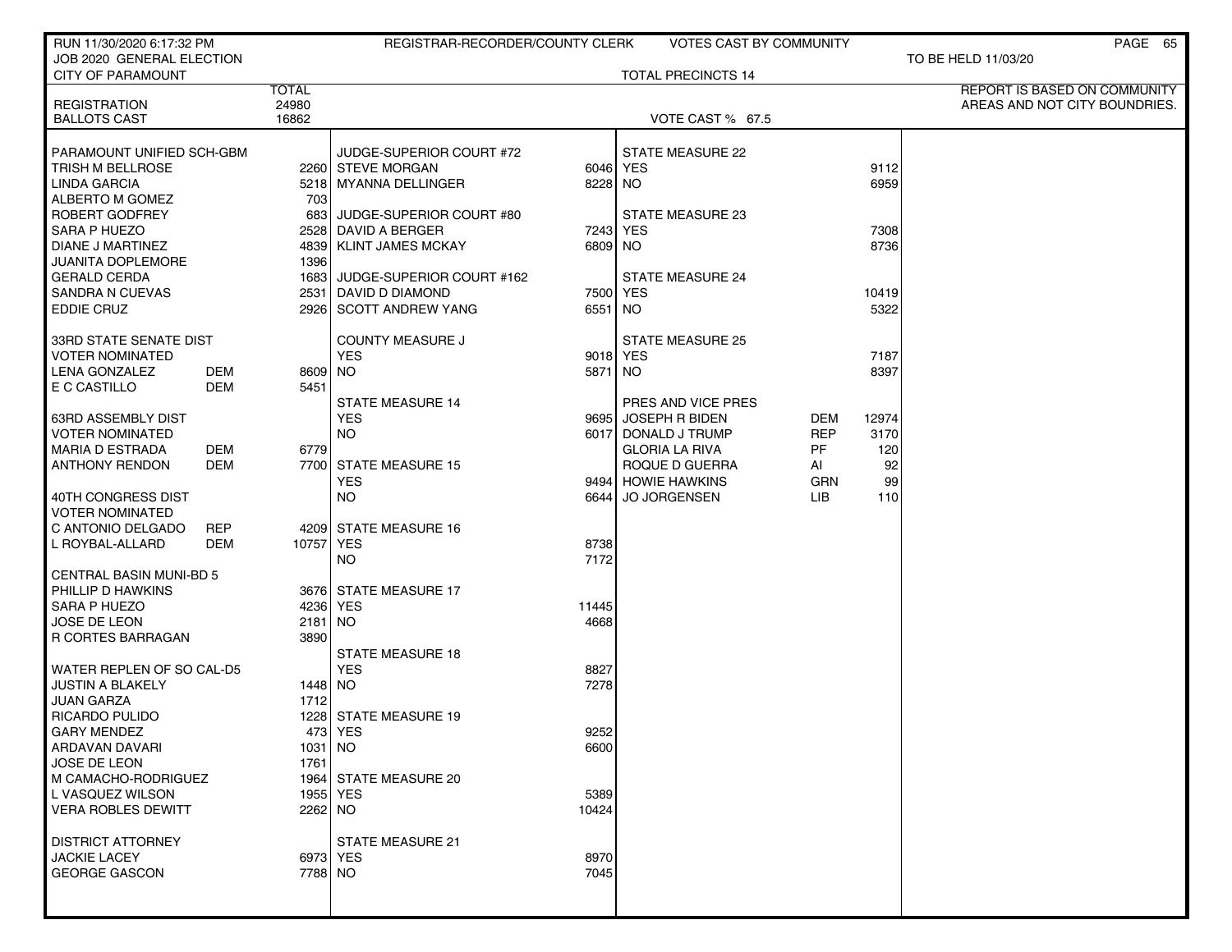| RUN 11/30/2020 6:17:32 PM                  |                       | REGISTRAR-RECORDER/COUNTY CLERK |          | <b>VOTES CAST BY COMMUNITY</b> |            |       | PAGE 65                                                              |
|--------------------------------------------|-----------------------|---------------------------------|----------|--------------------------------|------------|-------|----------------------------------------------------------------------|
| JOB 2020 GENERAL ELECTION                  |                       |                                 |          |                                |            |       | TO BE HELD 11/03/20                                                  |
| <b>CITY OF PARAMOUNT</b>                   |                       |                                 |          | <b>TOTAL PRECINCTS 14</b>      |            |       |                                                                      |
|                                            | <b>TOTAL</b><br>24980 |                                 |          |                                |            |       | <b>REPORT IS BASED ON COMMUNITY</b><br>AREAS AND NOT CITY BOUNDRIES. |
| <b>REGISTRATION</b><br><b>BALLOTS CAST</b> | 16862                 |                                 |          | VOTE CAST % 67.5               |            |       |                                                                      |
|                                            |                       |                                 |          |                                |            |       |                                                                      |
| PARAMOUNT UNIFIED SCH-GBM                  |                       | JUDGE-SUPERIOR COURT #72        |          | <b>STATE MEASURE 22</b>        |            |       |                                                                      |
| TRISH M BELLROSE                           |                       | 2260 STEVE MORGAN               |          | 6046 YES                       |            | 9112  |                                                                      |
| LINDA GARCIA                               |                       | 5218 MYANNA DELLINGER           | 8228 NO  |                                |            | 6959  |                                                                      |
| ALBERTO M GOMEZ                            | 703                   |                                 |          |                                |            |       |                                                                      |
| ROBERT GODFREY                             | 683                   | JUDGE-SUPERIOR COURT #80        |          | STATE MEASURE 23               |            |       |                                                                      |
| <b>SARA P HUEZO</b>                        |                       | 2528 DAVID A BERGER             |          | 7243 YES                       |            | 7308  |                                                                      |
| DIANE J MARTINEZ                           |                       | 4839 KLINT JAMES MCKAY          | 6809 NO  |                                |            | 8736  |                                                                      |
| <b>JUANITA DOPLEMORE</b>                   | 1396                  |                                 |          |                                |            |       |                                                                      |
| <b>GERALD CERDA</b>                        |                       | 1683 JUDGE-SUPERIOR COURT #162  |          | <b>STATE MEASURE 24</b>        |            |       |                                                                      |
| SANDRA N CUEVAS                            |                       | 2531   DAVID D DIAMOND          |          | 7500 YES                       |            | 10419 |                                                                      |
| <b>EDDIE CRUZ</b>                          |                       | 2926 SCOTT ANDREW YANG          | 6551 NO  |                                |            | 5322  |                                                                      |
| <b>33RD STATE SENATE DIST</b>              |                       | <b>COUNTY MEASURE J</b>         |          | <b>STATE MEASURE 25</b>        |            |       |                                                                      |
| <b>VOTER NOMINATED</b>                     |                       | <b>YES</b>                      | 9018 YES |                                |            | 7187  |                                                                      |
| <b>DEM</b><br>LENA GONZALEZ                | 8609 NO               |                                 | 5871 NO  |                                |            | 8397  |                                                                      |
| E C CASTILLO<br>DEM                        | 5451                  |                                 |          |                                |            |       |                                                                      |
|                                            |                       | <b>STATE MEASURE 14</b>         |          | PRES AND VICE PRES             |            |       |                                                                      |
| <b>63RD ASSEMBLY DIST</b>                  |                       | <b>YES</b>                      |          | 9695 JOSEPH R BIDEN            | DEM        | 12974 |                                                                      |
| <b>VOTER NOMINATED</b>                     |                       | <b>NO</b>                       | 6017     | DONALD J TRUMP                 | <b>REP</b> | 3170  |                                                                      |
| <b>MARIA D ESTRADA</b><br>DEM              | 6779                  |                                 |          | <b>GLORIA LA RIVA</b>          | <b>PF</b>  | 120   |                                                                      |
| <b>ANTHONY RENDON</b><br><b>DEM</b>        |                       | 7700 STATE MEASURE 15           |          | ROQUE D GUERRA                 | AI         | 92    |                                                                      |
|                                            |                       | <b>YES</b>                      |          | 9494 HOWIE HAWKINS             | GRN        | 99    |                                                                      |
| 40TH CONGRESS DIST                         |                       | <b>NO</b>                       |          | 6644 JO JORGENSEN              | LIB.       | 110   |                                                                      |
| VOTER NOMINATED                            |                       |                                 |          |                                |            |       |                                                                      |
| C ANTONIO DELGADO<br><b>REP</b>            |                       | 4209 STATE MEASURE 16           |          |                                |            |       |                                                                      |
| L ROYBAL-ALLARD<br><b>DEM</b>              | 10757 YES             |                                 | 8738     |                                |            |       |                                                                      |
| <b>CENTRAL BASIN MUNI-BD 5</b>             |                       | <b>NO</b>                       | 7172     |                                |            |       |                                                                      |
| PHILLIP D HAWKINS                          |                       | 3676 STATE MEASURE 17           |          |                                |            |       |                                                                      |
| SARA P HUEZO                               |                       | 4236 YES                        | 11445    |                                |            |       |                                                                      |
| JOSE DE LEON                               | 2181 NO               |                                 | 4668     |                                |            |       |                                                                      |
| R CORTES BARRAGAN                          | 3890                  |                                 |          |                                |            |       |                                                                      |
|                                            |                       | <b>STATE MEASURE 18</b>         |          |                                |            |       |                                                                      |
| WATER REPLEN OF SO CAL-D5                  |                       | <b>YES</b>                      | 8827     |                                |            |       |                                                                      |
| <b>JUSTIN A BLAKELY</b>                    | 1448 NO               |                                 | 7278     |                                |            |       |                                                                      |
| JUAN GARZA                                 | 1712                  |                                 |          |                                |            |       |                                                                      |
| RICARDO PULIDO                             |                       | 1228 STATE MEASURE 19           |          |                                |            |       |                                                                      |
| <b>GARY MENDEZ</b>                         |                       | 473 YES                         | 9252     |                                |            |       |                                                                      |
| ARDAVAN DAVARI                             | 1031 NO               |                                 | 6600     |                                |            |       |                                                                      |
| JOSE DE LEON                               | 1761                  |                                 |          |                                |            |       |                                                                      |
| M CAMACHO-RODRIGUEZ                        |                       | 1964 STATE MEASURE 20           |          |                                |            |       |                                                                      |
| L VASQUEZ WILSON                           |                       | 1955   YES                      | 5389     |                                |            |       |                                                                      |
| <b>VERA ROBLES DEWITT</b>                  | 2262 NO               |                                 | 10424    |                                |            |       |                                                                      |
| <b>DISTRICT ATTORNEY</b>                   |                       | <b>STATE MEASURE 21</b>         |          |                                |            |       |                                                                      |
| <b>JACKIE LACEY</b>                        |                       | 6973 YES                        | 8970     |                                |            |       |                                                                      |
| <b>GEORGE GASCON</b>                       | 7788 NO               |                                 | 7045     |                                |            |       |                                                                      |
|                                            |                       |                                 |          |                                |            |       |                                                                      |
|                                            |                       |                                 |          |                                |            |       |                                                                      |
|                                            |                       |                                 |          |                                |            |       |                                                                      |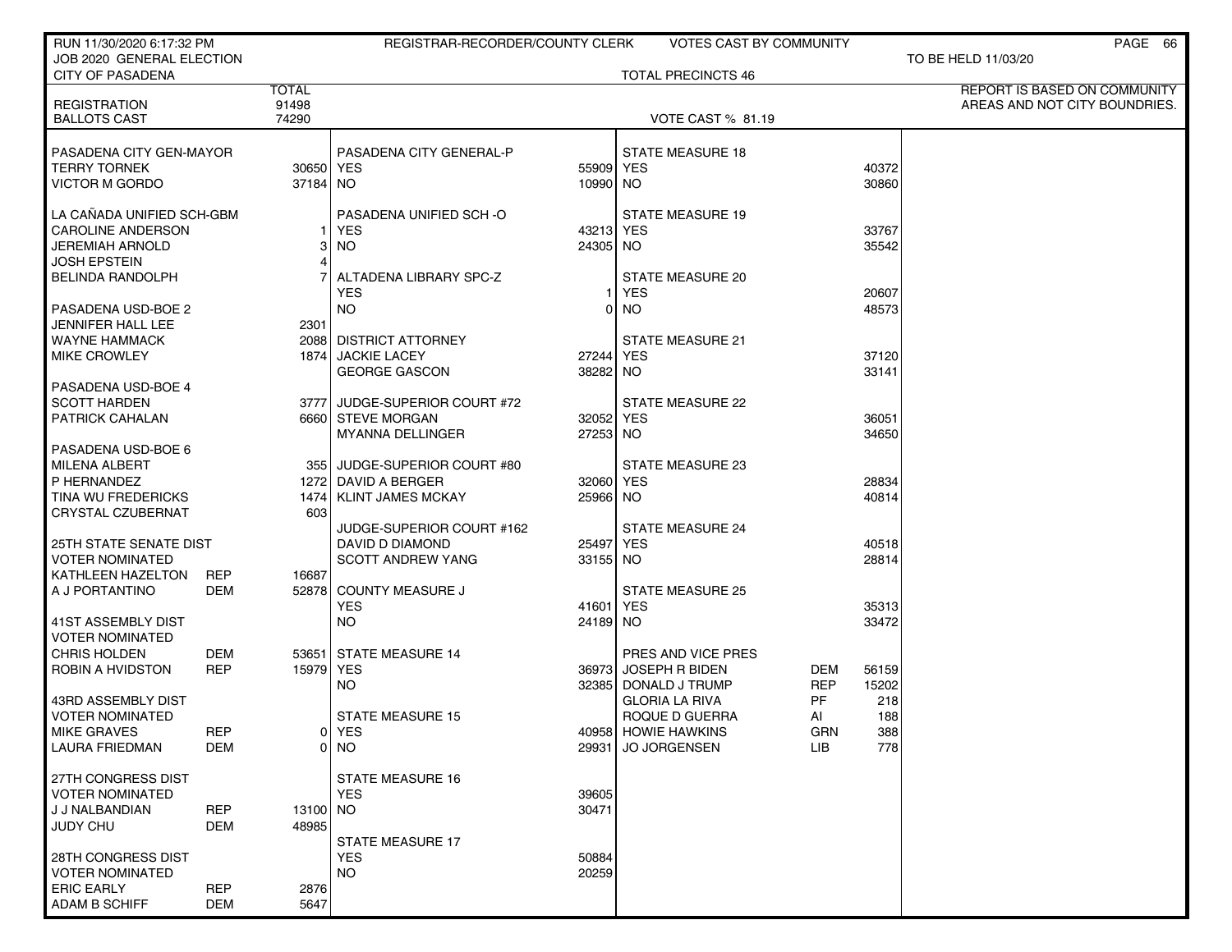| RUN 11/30/2020 6:17:32 PM                            |                   |                | REGISTRAR-RECORDER/COUNTY CLERK |                | <b>VOTES CAST BY COMMUNITY</b>             |            |                | PAGE 66                       |
|------------------------------------------------------|-------------------|----------------|---------------------------------|----------------|--------------------------------------------|------------|----------------|-------------------------------|
| JOB 2020 GENERAL ELECTION<br><b>CITY OF PASADENA</b> |                   |                |                                 |                | <b>TOTAL PRECINCTS 46</b>                  |            |                | TO BE HELD 11/03/20           |
|                                                      |                   | <b>TOTAL</b>   |                                 |                |                                            |            |                | REPORT IS BASED ON COMMUNITY  |
| <b>REGISTRATION</b>                                  |                   | 91498<br>74290 |                                 |                |                                            |            |                | AREAS AND NOT CITY BOUNDRIES. |
| <b>BALLOTS CAST</b>                                  |                   |                |                                 |                | <b>VOTE CAST % 81.19</b>                   |            |                |                               |
| PASADENA CITY GEN-MAYOR                              |                   |                | PASADENA CITY GENERAL-P         |                | <b>STATE MEASURE 18</b>                    |            |                |                               |
| <b>TERRY TORNEK</b>                                  |                   | 30650 YES      |                                 | 55909 YES      |                                            |            | 40372          |                               |
| <b>VICTOR M GORDO</b>                                |                   | 37184 NO       |                                 | 10990 NO       |                                            |            | 30860          |                               |
| LA CANADA UNIFIED SCH-GBM                            |                   |                | PASADENA UNIFIED SCH-O          |                | <b>STATE MEASURE 19</b>                    |            |                |                               |
| <b>CAROLINE ANDERSON</b>                             |                   |                | YES                             | 43213 YES      |                                            |            | 33767          |                               |
| <b>JEREMIAH ARNOLD</b>                               |                   | 31             | NO                              | 24305 NO       |                                            |            | 35542          |                               |
| <b>JOSH EPSTEIN</b>                                  |                   | 41             |                                 |                |                                            |            |                |                               |
| <b>BELINDA RANDOLPH</b>                              |                   |                | ALTADENA LIBRARY SPC-Z          |                | STATE MEASURE 20                           |            |                |                               |
|                                                      |                   |                | <b>YES</b>                      |                | <b>YES</b>                                 |            | 20607          |                               |
| PASADENA USD-BOE 2<br>JENNIFER HALL LEE              |                   | 2301           | <b>NO</b>                       | $\overline{0}$ | NO.                                        |            | 48573          |                               |
| <b>WAYNE HAMMACK</b>                                 |                   |                | 2088 DISTRICT ATTORNEY          |                | <b>STATE MEASURE 21</b>                    |            |                |                               |
| <b>MIKE CROWLEY</b>                                  |                   |                | 1874 JACKIE LACEY               | 27244 YES      |                                            |            | 37120          |                               |
|                                                      |                   |                | <b>GEORGE GASCON</b>            | 38282 NO       |                                            |            | 33141          |                               |
| PASADENA USD-BOE 4                                   |                   |                |                                 |                |                                            |            |                |                               |
| <b>SCOTT HARDEN</b>                                  |                   |                | 3777 JUDGE-SUPERIOR COURT #72   |                | <b>STATE MEASURE 22</b>                    |            |                |                               |
| <b>PATRICK CAHALAN</b>                               |                   |                | 6660 STEVE MORGAN               | 32052 YES      |                                            |            | 36051          |                               |
| PASADENA USD-BOE 6                                   |                   |                | <b>MYANNA DELLINGER</b>         | 27253 NO       |                                            |            | 34650          |                               |
| <b>MILENA ALBERT</b>                                 |                   |                | 355 JUDGE-SUPERIOR COURT #80    |                | <b>STATE MEASURE 23</b>                    |            |                |                               |
| P HERNANDEZ                                          |                   |                | 1272 DAVID A BERGER             | 32060 YES      |                                            |            | 28834          |                               |
| TINA WU FREDERICKS                                   |                   |                | 1474   KLINT JAMES MCKAY        | 25966 NO       |                                            |            | 40814          |                               |
| <b>CRYSTAL CZUBERNAT</b>                             |                   | 603            |                                 |                |                                            |            |                |                               |
|                                                      |                   |                | JUDGE-SUPERIOR COURT #162       |                | <b>STATE MEASURE 24</b>                    |            |                |                               |
| <b>25TH STATE SENATE DIST</b>                        |                   |                | DAVID D DIAMOND                 | 25497   YES    |                                            |            | 40518          |                               |
| <b>VOTER NOMINATED</b><br>KATHLEEN HAZELTON          | <b>REP</b>        | 16687          | <b>SCOTT ANDREW YANG</b>        | 33155 NO       |                                            |            | 28814          |                               |
| A J PORTANTINO                                       | DEM               |                | 52878 COUNTY MEASURE J          |                | <b>STATE MEASURE 25</b>                    |            |                |                               |
|                                                      |                   |                | YES                             | 41601 YES      |                                            |            | 35313          |                               |
| 41ST ASSEMBLY DIST                                   |                   |                | <b>NO</b>                       | 24189 NO       |                                            |            | 33472          |                               |
| <b>VOTER NOMINATED</b>                               |                   |                |                                 |                |                                            |            |                |                               |
| <b>CHRIS HOLDEN</b><br><b>ROBIN A HVIDSTON</b>       | DEM<br><b>REP</b> | 15979 YES      | 53651 STATE MEASURE 14          |                | PRES AND VICE PRES<br>36973 JOSEPH R BIDEN | DEM        |                |                               |
|                                                      |                   |                | NO.                             |                | 32385 DONALD J TRUMP                       | <b>REP</b> | 56159<br>15202 |                               |
| 43RD ASSEMBLY DIST                                   |                   |                |                                 |                | <b>GLORIA LA RIVA</b>                      | PF         | 218            |                               |
| <b>VOTER NOMINATED</b>                               |                   |                | <b>STATE MEASURE 15</b>         |                | ROQUE D GUERRA                             | AI         | 188            |                               |
| <b>MIKE GRAVES</b>                                   | <b>REP</b>        |                | 0   YES                         |                | 40958 HOWIE HAWKINS                        | <b>GRN</b> | 388            |                               |
| <b>LAURA FRIEDMAN</b>                                | DEM               |                | 0 NO                            |                | 29931 JO JORGENSEN                         | <b>LIB</b> | 778            |                               |
| 27TH CONGRESS DIST                                   |                   |                | <b>STATE MEASURE 16</b>         |                |                                            |            |                |                               |
| <b>VOTER NOMINATED</b>                               |                   |                | <b>YES</b>                      | 39605          |                                            |            |                |                               |
| J J NALBANDIAN                                       | <b>REP</b>        | 13100 NO       |                                 | 30471          |                                            |            |                |                               |
| <b>JUDY CHU</b>                                      | DEM               | 48985          |                                 |                |                                            |            |                |                               |
|                                                      |                   |                | <b>STATE MEASURE 17</b>         |                |                                            |            |                |                               |
| 28TH CONGRESS DIST                                   |                   |                | <b>YES</b>                      | 50884          |                                            |            |                |                               |
| <b>VOTER NOMINATED</b><br><b>ERIC EARLY</b>          | <b>REP</b>        | 2876           | <b>NO</b>                       | 20259          |                                            |            |                |                               |
| <b>ADAM B SCHIFF</b>                                 | <b>DEM</b>        | 5647           |                                 |                |                                            |            |                |                               |
|                                                      |                   |                |                                 |                |                                            |            |                |                               |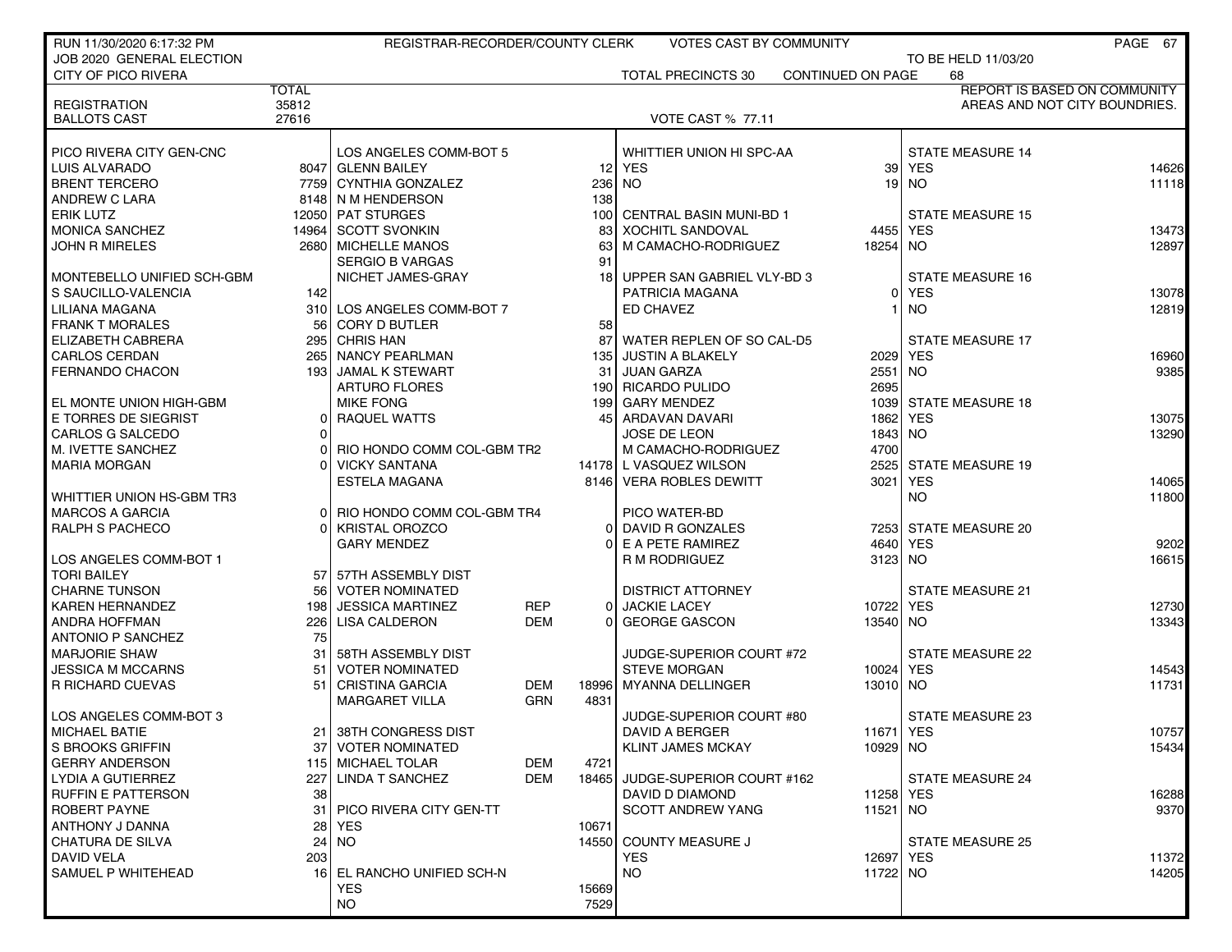| RUN 11/30/2020 6:17:32 PM                    |                | REGISTRAR-RECORDER/COUNTY CLERK |            |                  | <b>VOTES CAST BY COMMUNITY</b> |                   |                         | PAGE 67                             |
|----------------------------------------------|----------------|---------------------------------|------------|------------------|--------------------------------|-------------------|-------------------------|-------------------------------------|
| JOB 2020 GENERAL ELECTION                    |                |                                 |            |                  |                                |                   | TO BE HELD 11/03/20     |                                     |
| <b>CITY OF PICO RIVERA</b>                   |                |                                 |            |                  | <b>TOTAL PRECINCTS 30</b>      | CONTINUED ON PAGE | 68                      |                                     |
|                                              | <b>TOTAL</b>   |                                 |            |                  |                                |                   |                         | <b>REPORT IS BASED ON COMMUNITY</b> |
| <b>REGISTRATION</b>                          | 35812          |                                 |            |                  |                                |                   |                         | AREAS AND NOT CITY BOUNDRIES.       |
| <b>BALLOTS CAST</b>                          | 27616          |                                 |            |                  | <b>VOTE CAST % 77.11</b>       |                   |                         |                                     |
|                                              |                |                                 |            |                  |                                |                   |                         |                                     |
| PICO RIVERA CITY GEN-CNC                     |                | LOS ANGELES COMM-BOT 5          |            |                  | WHITTIER UNION HI SPC-AA       |                   | <b>STATE MEASURE 14</b> |                                     |
| <b>LUIS ALVARADO</b>                         |                | 8047 GLENN BAILEY               |            |                  | 12 YES                         |                   | 39 YES                  | 14626                               |
| <b>BRENT TERCERO</b>                         |                | 7759 CYNTHIA GONZALEZ           |            |                  | 236 NO                         |                   | $19$ NO                 | 11118                               |
| ANDREW C LARA                                |                | 8148 N M HENDERSON              |            | 138              |                                |                   |                         |                                     |
| <b>ERIK LUTZ</b>                             |                | 12050 PAT STURGES               |            | 100 <sub>l</sub> | <b>CENTRAL BASIN MUNI-BD 1</b> |                   | <b>STATE MEASURE 15</b> |                                     |
| <b>MONICA SANCHEZ</b>                        |                | 14964 SCOTT SVONKIN             |            | 83               | <b>XOCHITL SANDOVAL</b>        | 4455   YES        |                         | 13473                               |
| <b>JOHN R MIRELES</b>                        |                | 2680 MICHELLE MANOS             |            | 63               | M CAMACHO-RODRIGUEZ            | 18254 NO          |                         | 12897                               |
|                                              |                | <b>SERGIO B VARGAS</b>          |            | 91               |                                |                   |                         |                                     |
| MONTEBELLO UNIFIED SCH-GBM                   |                | NICHET JAMES-GRAY               |            | 18               | UPPER SAN GABRIEL VLY-BD 3     |                   | <b>STATE MEASURE 16</b> |                                     |
| S SAUCILLO-VALENCIA                          | 142            |                                 |            |                  | PATRICIA MAGANA                | ٥I                | <b>YES</b>              | 13078                               |
| LILIANA MAGANA                               |                | 310 LOS ANGELES COMM-BOT 7      |            |                  | ED CHAVEZ                      |                   | <b>NO</b>               | 12819                               |
| <b>FRANK T MORALES</b>                       |                | 56 CORY D BUTLER                |            | 58 <sub>1</sub>  |                                |                   |                         |                                     |
| <b>ELIZABETH CABRERA</b>                     | 295            | <b>CHRIS HAN</b>                |            | 87               | WATER REPLEN OF SO CAL-D5      |                   | <b>STATE MEASURE 17</b> |                                     |
| <b>CARLOS CERDAN</b>                         |                | 265 NANCY PEARLMAN              |            | 135              | JUSTIN A BLAKELY               | 2029 YES          |                         | 16960                               |
| <b>FERNANDO CHACON</b>                       |                | 193 JAMAL K STEWART             |            | 31               | I JUAN GARZA                   | 2551 NO           |                         | 9385                                |
|                                              |                | <b>ARTURO FLORES</b>            |            |                  | 190 RICARDO PULIDO             | 2695              |                         |                                     |
| EL MONTE UNION HIGH-GBM                      |                | <b>MIKE FONG</b>                |            |                  | 199 GARY MENDEZ                | 1039              | <b>STATE MEASURE 18</b> |                                     |
| E TORRES DE SIEGRIST                         | 0 <sup>1</sup> | RAQUEL WATTS                    |            |                  | 45 ARDAVAN DAVARI              | 1862 YES          |                         | 13075                               |
| CARLOS G SALCEDO                             |                |                                 |            |                  | JOSE DE LEON                   | 1843 NO           |                         | 13290                               |
| M. IVETTE SANCHEZ                            |                | RIO HONDO COMM COL-GBM TR2      |            |                  | M CAMACHO-RODRIGUEZ            | 4700              |                         |                                     |
| <b>MARIA MORGAN</b>                          |                | <b>VICKY SANTANA</b>            |            |                  | 14178 L VASQUEZ WILSON         |                   | 2525 STATE MEASURE 19   |                                     |
|                                              |                | <b>ESTELA MAGANA</b>            |            |                  | 8146 VERA ROBLES DEWITT        | 3021 YES          |                         | 14065                               |
| WHITTIER UNION HS-GBM TR3                    |                |                                 |            |                  |                                |                   | <b>NO</b>               | 11800                               |
| <b>MARCOS A GARCIA</b>                       |                | 0 RIO HONDO COMM COL-GBM TR4    |            |                  | PICO WATER-BD                  |                   |                         |                                     |
| <b>RALPH S PACHECO</b>                       | ΩI             | <b>KRISTAL OROZCO</b>           |            | $\Omega$         | DAVID R GONZALES               |                   | 7253 STATE MEASURE 20   |                                     |
|                                              |                | <b>GARY MENDEZ</b>              |            |                  | E A PETE RAMIREZ               | 4640              | <b>YES</b>              | 9202<br>16615                       |
| LOS ANGELES COMM-BOT 1<br><b>TORI BAILEY</b> |                | 57 57TH ASSEMBLY DIST           |            |                  | R M RODRIGUEZ                  | 3123 NO           |                         |                                     |
| <b>CHARNE TUNSON</b>                         | 56             | <b>VOTER NOMINATED</b>          |            |                  | <b>DISTRICT ATTORNEY</b>       |                   | <b>STATE MEASURE 21</b> |                                     |
| <b>KAREN HERNANDEZ</b>                       | 198            | <b>JESSICA MARTINEZ</b>         | <b>REP</b> | $\Omega$         | <b>JACKIE LACEY</b>            | 10722 YES         |                         | 12730                               |
| ANDRA HOFFMAN                                |                | 226 LISA CALDERON               | <b>DEM</b> | ΩI               | <b>GEORGE GASCON</b>           | 13540 NO          |                         | 13343                               |
| <b>ANTONIO P SANCHEZ</b>                     | 75             |                                 |            |                  |                                |                   |                         |                                     |
| <b>MARJORIE SHAW</b>                         | 31             | 58TH ASSEMBLY DIST              |            |                  | JUDGE-SUPERIOR COURT #72       |                   | <b>STATE MEASURE 22</b> |                                     |
| <b>JESSICA M MCCARNS</b>                     | 51             | <b>VOTER NOMINATED</b>          |            |                  | <b>STEVE MORGAN</b>            | 10024 YES         |                         | 14543                               |
| R RICHARD CUEVAS                             | 51             | <b>CRISTINA GARCIA</b>          | DEM        | 18996            | <b>MYANNA DELLINGER</b>        | 13010 NO          |                         | 11731                               |
|                                              |                | <b>MARGARET VILLA</b>           | GRN        | 4831             |                                |                   |                         |                                     |
| LOS ANGELES COMM-BOT 3                       |                |                                 |            |                  | JUDGE-SUPERIOR COURT #80       |                   | STATE MEASURE 23        |                                     |
| MICHAEL BATIE                                |                | 21 38TH CONGRESS DIST           |            |                  | DAVID A BERGER                 | 11671 YES         |                         | 10757                               |
| <b>S BROOKS GRIFFIN</b>                      | 37             | <b>VOTER NOMINATED</b>          |            |                  | <b>KLINT JAMES MCKAY</b>       | 10929 NO          |                         | 15434                               |
| <b>GERRY ANDERSON</b>                        |                | 115 MICHAEL TOLAR               | DEM        | 4721             |                                |                   |                         |                                     |
| LYDIA A GUTIERREZ                            | 227            | LINDA T SANCHEZ                 | <b>DEM</b> | 18465            | JUDGE-SUPERIOR COURT #162      |                   | <b>STATE MEASURE 24</b> |                                     |
| <b>RUFFIN E PATTERSON</b>                    | 38             |                                 |            |                  | DAVID D DIAMOND                | 11258 YES         |                         | 16288                               |
| ROBERT PAYNE                                 | 31             | PICO RIVERA CITY GEN-TT         |            |                  | <b>SCOTT ANDREW YANG</b>       | 11521 NO          |                         | 9370                                |
| ANTHONY J DANNA                              | 28             | <b>YES</b>                      |            | 10671            |                                |                   |                         |                                     |
| CHATURA DE SILVA                             | 24             | NO.                             |            |                  | 14550 COUNTY MEASURE J         |                   | STATE MEASURE 25        |                                     |
| DAVID VELA                                   | 203            |                                 |            |                  | <b>YES</b>                     | 12697 YES         |                         | 11372                               |
| SAMUEL P WHITEHEAD                           |                | 16 EL RANCHO UNIFIED SCH-N      |            |                  | <b>NO</b>                      | 11722 NO          |                         | 14205                               |
|                                              |                | <b>YES</b>                      |            | 15669            |                                |                   |                         |                                     |
|                                              |                | <b>NO</b>                       |            | 7529             |                                |                   |                         |                                     |
|                                              |                |                                 |            |                  |                                |                   |                         |                                     |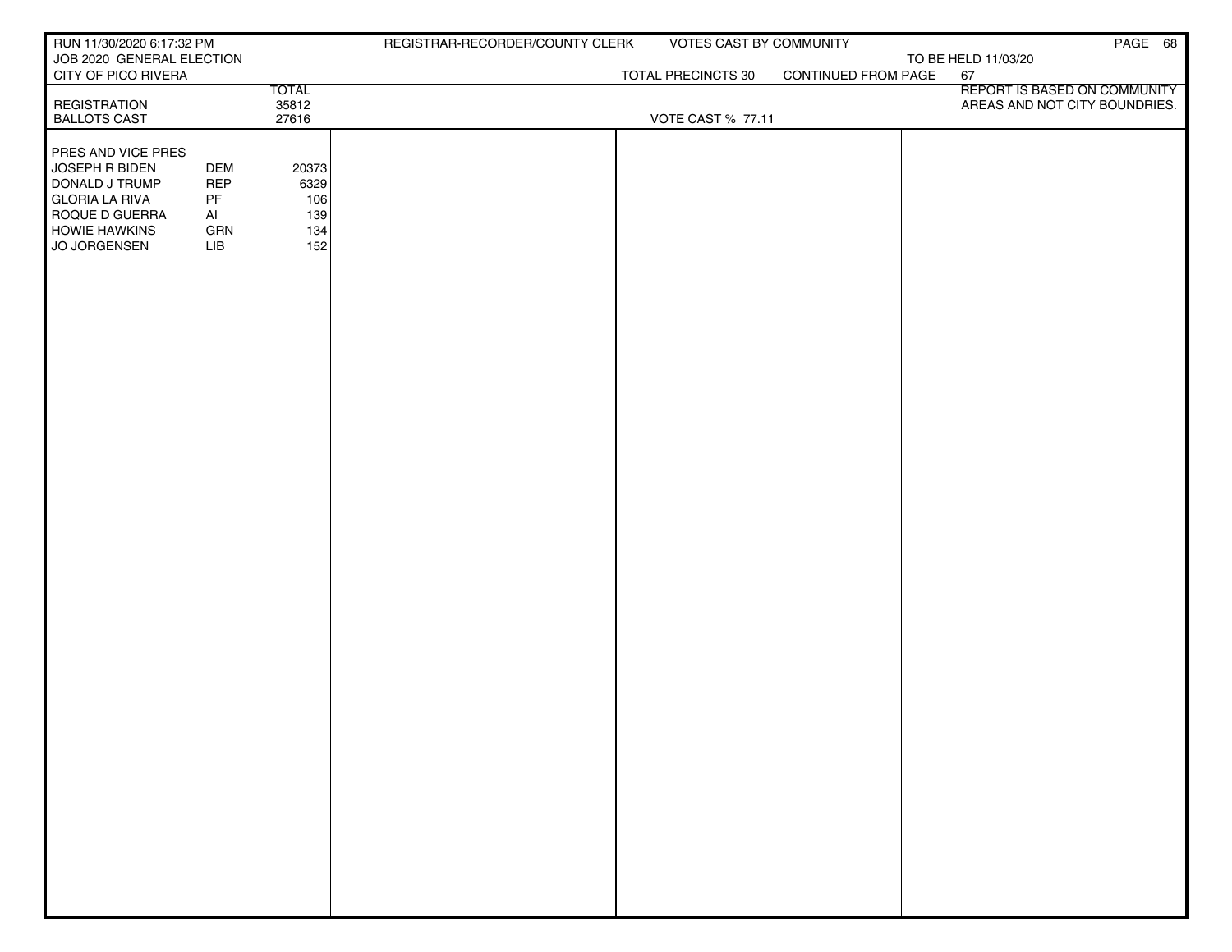| RUN 11/30/2020 6:17:32 PM<br>REGISTRAR-RECORDER/COUNTY CLERK<br>VOTES CAST BY COMMUNITY | PAGE 68                       |
|-----------------------------------------------------------------------------------------|-------------------------------|
| JOB 2020 GENERAL ELECTION<br>TO BE HELD 11/03/20                                        |                               |
| CONTINUED FROM PAGE<br>CITY OF PICO RIVERA<br>TOTAL PRECINCTS 30<br>67<br><b>TOTAL</b>  | REPORT IS BASED ON COMMUNITY  |
| <b>REGISTRATION</b><br>35812                                                            | AREAS AND NOT CITY BOUNDRIES. |
| 27616<br><b>BALLOTS CAST</b><br><b>VOTE CAST % 77.11</b>                                |                               |
|                                                                                         |                               |
| <b>PRES AND VICE PRES</b><br>JOSEPH R BIDEN<br><b>DEM</b><br>20373                      |                               |
| DONALD J TRUMP<br><b>REP</b><br>6329                                                    |                               |
| <b>GLORIA LA RIVA</b><br>PF<br>106                                                      |                               |
| ROQUE D GUERRA<br>Al<br>139                                                             |                               |
| <b>HOWIE HAWKINS</b><br>GRN<br>134                                                      |                               |
| 152<br>JO JORGENSEN<br>LIB                                                              |                               |
|                                                                                         |                               |
|                                                                                         |                               |
|                                                                                         |                               |
|                                                                                         |                               |
|                                                                                         |                               |
|                                                                                         |                               |
|                                                                                         |                               |
|                                                                                         |                               |
|                                                                                         |                               |
|                                                                                         |                               |
|                                                                                         |                               |
|                                                                                         |                               |
|                                                                                         |                               |
|                                                                                         |                               |
|                                                                                         |                               |
|                                                                                         |                               |
|                                                                                         |                               |
|                                                                                         |                               |
|                                                                                         |                               |
|                                                                                         |                               |
|                                                                                         |                               |
|                                                                                         |                               |
|                                                                                         |                               |
|                                                                                         |                               |
|                                                                                         |                               |
|                                                                                         |                               |
|                                                                                         |                               |
|                                                                                         |                               |
|                                                                                         |                               |
|                                                                                         |                               |
|                                                                                         |                               |
|                                                                                         |                               |
|                                                                                         |                               |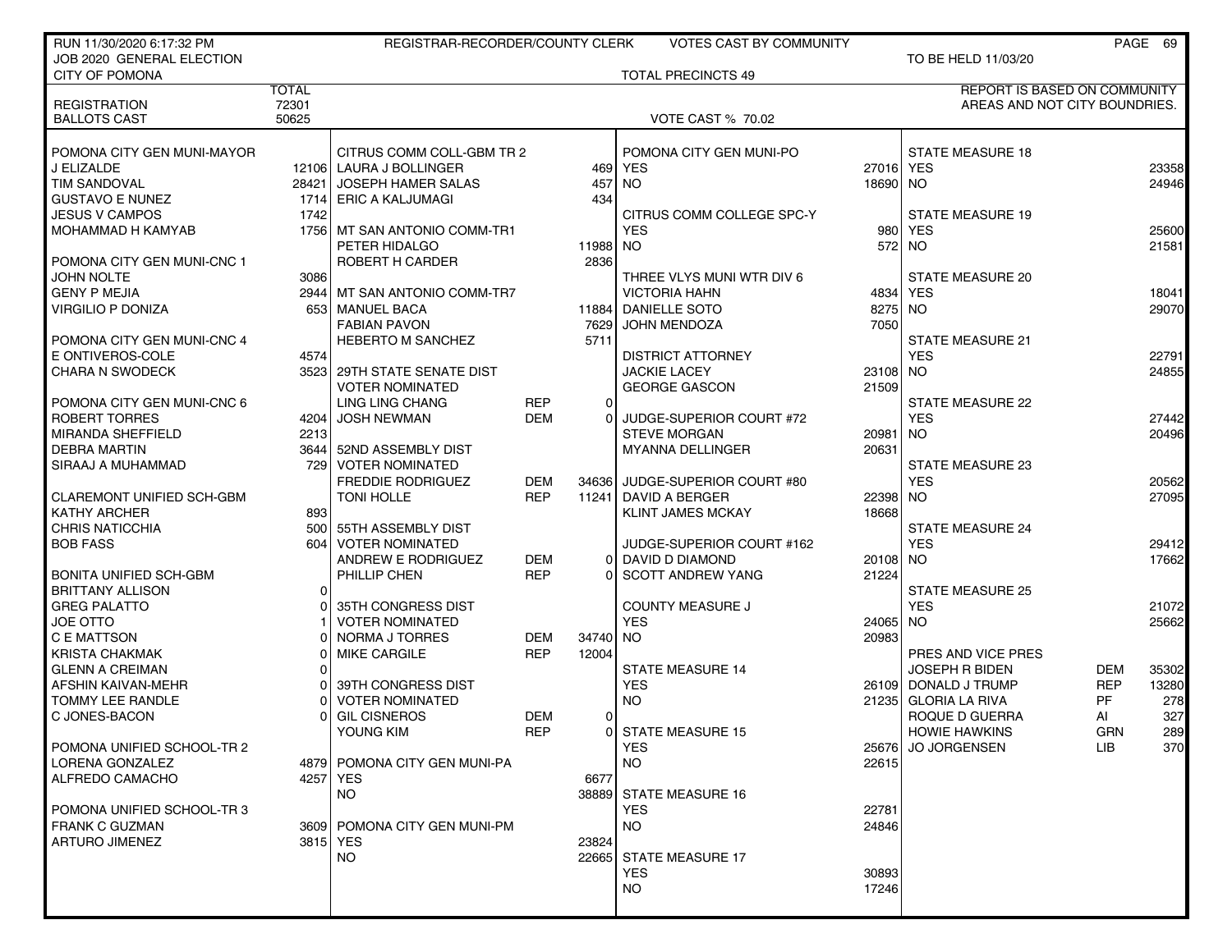| RUN 11/30/2020 6:17:32 PM                      |                | REGISTRAR-RECORDER/COUNTY CLERK            |            |          | <b>VOTES CAST BY COMMUNITY</b>              |           |                                       |            | PAGE 69        |
|------------------------------------------------|----------------|--------------------------------------------|------------|----------|---------------------------------------------|-----------|---------------------------------------|------------|----------------|
| JOB 2020 GENERAL ELECTION                      |                |                                            |            |          |                                             |           | TO BE HELD 11/03/20                   |            |                |
| <b>CITY OF POMONA</b>                          |                |                                            |            |          | <b>TOTAL PRECINCTS 49</b>                   |           |                                       |            |                |
|                                                | <b>TOTAL</b>   |                                            |            |          |                                             |           | REPORT IS BASED ON COMMUNITY          |            |                |
| <b>REGISTRATION</b><br><b>BALLOTS CAST</b>     | 72301<br>50625 |                                            |            |          | <b>VOTE CAST % 70.02</b>                    |           | AREAS AND NOT CITY BOUNDRIES.         |            |                |
|                                                |                |                                            |            |          |                                             |           |                                       |            |                |
| POMONA CITY GEN MUNI-MAYOR                     |                | CITRUS COMM COLL-GBM TR 2                  |            |          | POMONA CITY GEN MUNI-PO                     |           | <b>STATE MEASURE 18</b>               |            |                |
| J ELIZALDE                                     |                | 12106 LAURA J BOLLINGER                    |            | 469      | YES                                         | 27016 YES |                                       |            | 23358          |
| <b>TIM SANDOVAL</b>                            | 28421 l        | JOSEPH HAMER SALAS                         |            | 457      | <b>NO</b>                                   | 18690 NO  |                                       |            | 24946          |
| <b>GUSTAVO E NUNEZ</b>                         |                | 1714 ERIC A KALJUMAGI                      |            | 434      |                                             |           |                                       |            |                |
| <b>JESUS V CAMPOS</b>                          | 1742           |                                            |            |          | CITRUS COMM COLLEGE SPC-Y                   |           | <b>STATE MEASURE 19</b>               |            |                |
| MOHAMMAD H KAMYAB                              |                | 1756 MT SAN ANTONIO COMM-TR1               |            |          | <b>YES</b>                                  | 980       | <b>YES</b>                            |            | 25600          |
|                                                |                | PETER HIDALGO                              |            | 11988    | <b>NO</b>                                   |           | 572 NO                                |            | 21581          |
| POMONA CITY GEN MUNI-CNC 1                     |                | ROBERT H CARDER                            |            | 2836     |                                             |           |                                       |            |                |
| JOHN NOLTE                                     | 3086           |                                            |            |          | THREE VLYS MUNI WTR DIV 6                   |           | <b>STATE MEASURE 20</b>               |            |                |
| <b>GENY P MEJIA</b>                            |                | 2944   MT SAN ANTONIO COMM-TR7             |            |          | <b>VICTORIA HAHN</b>                        |           | 4834 YES                              |            | 18041          |
| <b>VIRGILIO P DONIZA</b>                       |                | 653   MANUEL BACA                          |            |          | 11884 DANIELLE SOTO                         | 8275 NO   |                                       |            | 29070          |
|                                                |                | <b>FABIAN PAVON</b>                        |            | 7629     | <b>JOHN MENDOZA</b>                         | 7050      |                                       |            |                |
| POMONA CITY GEN MUNI-CNC 4<br>E ONTIVEROS-COLE | 4574           | <b>HEBERTO M SANCHEZ</b>                   |            | 5711     | <b>DISTRICT ATTORNEY</b>                    |           | <b>STATE MEASURE 21</b><br><b>YES</b> |            | 22791          |
| <b>CHARA N SWODECK</b>                         |                | 3523 29TH STATE SENATE DIST                |            |          | <b>JACKIE LACEY</b>                         | 23108 NO  |                                       |            | 24855          |
|                                                |                | <b>VOTER NOMINATED</b>                     |            |          | <b>GEORGE GASCON</b>                        | 21509     |                                       |            |                |
| POMONA CITY GEN MUNI-CNC 6                     |                | <b>LING LING CHANG</b>                     | <b>REP</b> | 0        |                                             |           | <b>STATE MEASURE 22</b>               |            |                |
| ROBERT TORRES                                  |                | 4204 JOSH NEWMAN                           | <b>DEM</b> | $\Omega$ | JUDGE-SUPERIOR COURT #72                    |           | <b>YES</b>                            |            | 27442          |
| <b>MIRANDA SHEFFIELD</b>                       | 2213           |                                            |            |          | <b>STEVE MORGAN</b>                         | 20981 NO  |                                       |            | 20496          |
| <b>DEBRA MARTIN</b>                            |                | 3644 52ND ASSEMBLY DIST                    |            |          | <b>MYANNA DELLINGER</b>                     | 20631     |                                       |            |                |
| SIRAAJ A MUHAMMAD                              |                | 729 VOTER NOMINATED                        |            |          |                                             |           | <b>STATE MEASURE 23</b>               |            |                |
|                                                |                | <b>FREDDIE RODRIGUEZ</b>                   | <b>DEM</b> | 34636    | JUDGE-SUPERIOR COURT #80                    |           | <b>YES</b>                            |            | 20562          |
| <b>CLAREMONT UNIFIED SCH-GBM</b>               |                | <b>TONI HOLLE</b>                          | <b>REP</b> | 11241    | DAVID A BERGER                              | 22398 NO  |                                       |            | 27095          |
| <b>KATHY ARCHER</b>                            | 893            |                                            |            |          | <b>KLINT JAMES MCKAY</b>                    | 18668     |                                       |            |                |
| <b>CHRIS NATICCHIA</b>                         | 500 l          | 55TH ASSEMBLY DIST                         |            |          |                                             |           | <b>STATE MEASURE 24</b>               |            |                |
| <b>BOB FASS</b>                                | 604            | VOTER NOMINATED<br>ANDREW E RODRIGUEZ      | <b>DEM</b> |          | JUDGE-SUPERIOR COURT #162                   | 20108 NO  | <b>YES</b>                            |            | 29412<br>17662 |
| <b>BONITA UNIFIED SCH-GBM</b>                  |                | PHILLIP CHEN                               | <b>REP</b> | $\Omega$ | DAVID D DIAMOND<br><b>SCOTT ANDREW YANG</b> | 21224     |                                       |            |                |
| <b>BRITTANY ALLISON</b>                        | 0              |                                            |            |          |                                             |           | <b>STATE MEASURE 25</b>               |            |                |
| <b>GREG PALATTO</b>                            |                | 35TH CONGRESS DIST                         |            |          | <b>COUNTY MEASURE J</b>                     |           | <b>YES</b>                            |            | 21072          |
| JOE OTTO                                       |                | <b>VOTER NOMINATED</b>                     |            |          | <b>YES</b>                                  | 24065 NO  |                                       |            | 25662          |
| C E MATTSON                                    |                | NORMA J TORRES                             | <b>DEM</b> | 34740    | <b>NO</b>                                   | 20983     |                                       |            |                |
| <b>KRISTA CHAKMAK</b>                          |                | <b>MIKE CARGILE</b>                        | <b>REP</b> | 12004    |                                             |           | PRES AND VICE PRES                    |            |                |
| <b>GLENN A CREIMAN</b>                         |                |                                            |            |          | <b>STATE MEASURE 14</b>                     |           | <b>JOSEPH R BIDEN</b>                 | <b>DEM</b> | 35302          |
| AFSHIN KAIVAN-MEHR                             |                | 39TH CONGRESS DIST                         |            |          | <b>YES</b>                                  |           | 26109 DONALD J TRUMP                  | <b>REP</b> | 13280          |
| TOMMY LEE RANDLE                               |                | <b>VOTER NOMINATED</b>                     |            |          | <b>NO</b>                                   |           | 21235 GLORIA LA RIVA                  | PF         | 278            |
| C JONES-BACON                                  |                | <b>GIL CISNEROS</b>                        | DEM        | 0        |                                             |           | ROQUE D GUERRA                        | AI         | 327            |
|                                                |                | YOUNG KIM                                  | <b>REP</b> |          | 0 STATE MEASURE 15                          |           | <b>HOWIE HAWKINS</b>                  | <b>GRN</b> | 289            |
| POMONA UNIFIED SCHOOL-TR 2                     |                |                                            |            |          | <b>YES</b>                                  |           | 25676 JO JORGENSEN                    | LIB.       | 370            |
| LORENA GONZALEZ<br>ALFREDO CAMACHO             |                | 4879 POMONA CITY GEN MUNI-PA<br>4257   YES |            | 6677     | NO.                                         | 22615     |                                       |            |                |
|                                                |                | NO.                                        |            |          | 38889 STATE MEASURE 16                      |           |                                       |            |                |
| POMONA UNIFIED SCHOOL-TR3                      |                |                                            |            |          | <b>YES</b>                                  | 22781     |                                       |            |                |
| <b>FRANK C GUZMAN</b>                          |                | 3609 POMONA CITY GEN MUNI-PM               |            |          | NO.                                         | 24846     |                                       |            |                |
| <b>ARTURO JIMENEZ</b>                          |                | 3815 YES                                   |            | 23824    |                                             |           |                                       |            |                |
|                                                |                | <b>NO</b>                                  |            | 22665    | STATE MEASURE 17                            |           |                                       |            |                |
|                                                |                |                                            |            |          | <b>YES</b>                                  | 30893     |                                       |            |                |
|                                                |                |                                            |            |          | NO.                                         | 17246     |                                       |            |                |
|                                                |                |                                            |            |          |                                             |           |                                       |            |                |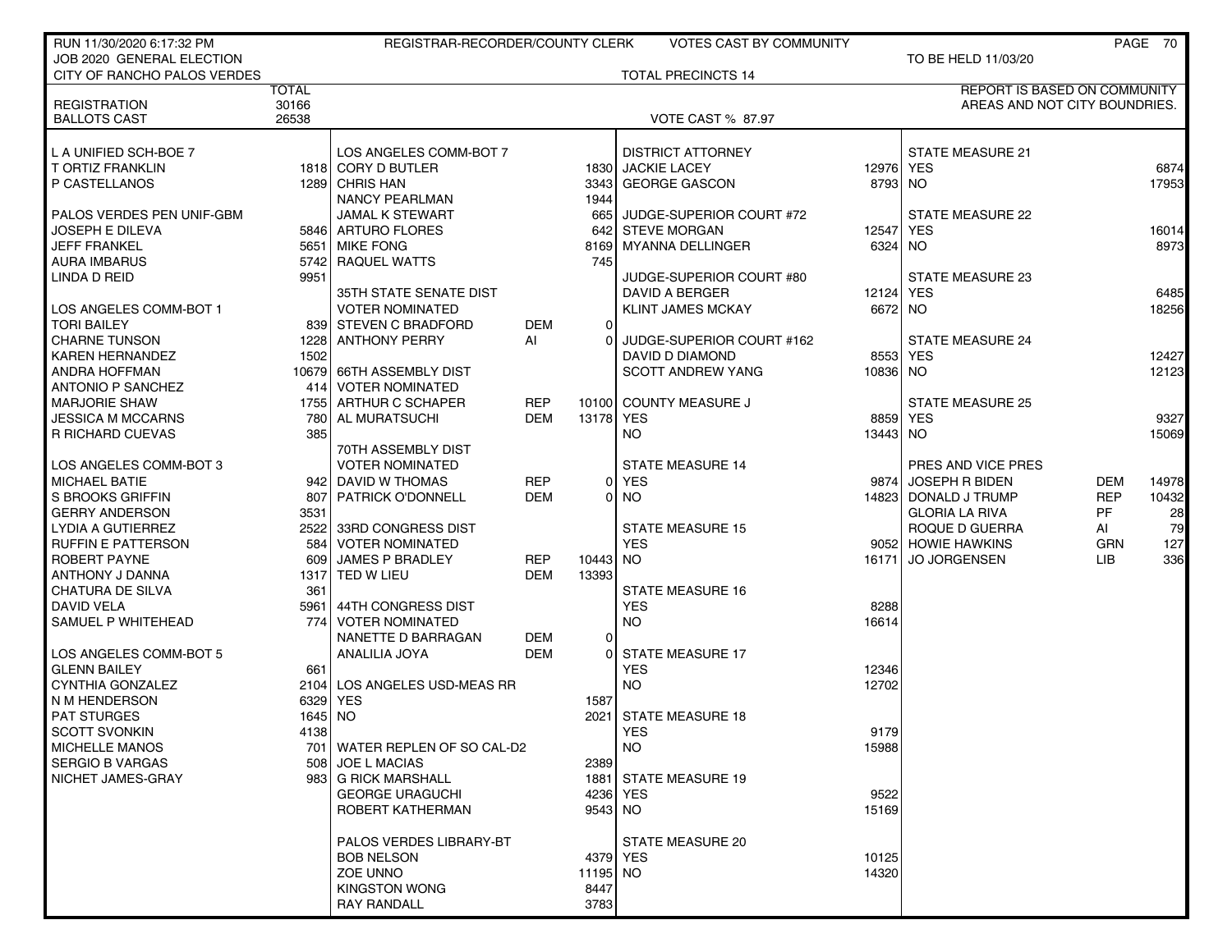| RUN 11/30/2020 6:17:32 PM                        |              | REGISTRAR-RECORDER/COUNTY CLERK              |            |                | <b>VOTES CAST BY COMMUNITY</b>                  |          |                                       |            | PAGE 70       |
|--------------------------------------------------|--------------|----------------------------------------------|------------|----------------|-------------------------------------------------|----------|---------------------------------------|------------|---------------|
| JOB 2020 GENERAL ELECTION                        |              |                                              |            |                |                                                 |          | TO BE HELD 11/03/20                   |            |               |
| CITY OF RANCHO PALOS VERDES                      |              |                                              |            |                | <b>TOTAL PRECINCTS 14</b>                       |          |                                       |            |               |
|                                                  | <b>TOTAL</b> |                                              |            |                |                                                 |          | <b>REPORT IS BASED ON COMMUNITY</b>   |            |               |
| <b>REGISTRATION</b>                              | 30166        |                                              |            |                |                                                 |          | AREAS AND NOT CITY BOUNDRIES.         |            |               |
| <b>BALLOTS CAST</b>                              | 26538        |                                              |            |                | <b>VOTE CAST % 87.97</b>                        |          |                                       |            |               |
|                                                  |              |                                              |            |                |                                                 |          |                                       |            |               |
| L A UNIFIED SCH-BOE 7<br><b>T ORTIZ FRANKLIN</b> |              | LOS ANGELES COMM-BOT 7<br>1818 CORY D BUTLER |            |                | <b>DISTRICT ATTORNEY</b><br><b>JACKIE LACEY</b> | 12976    | <b>STATE MEASURE 21</b><br><b>YES</b> |            |               |
| P CASTELLANOS                                    |              | 1289 CHRIS HAN                               |            | 1830<br>3343   | <b>GEORGE GASCON</b>                            | 8793 NO  |                                       |            | 6874<br>17953 |
|                                                  |              | <b>NANCY PEARLMAN</b>                        |            | 1944           |                                                 |          |                                       |            |               |
| PALOS VERDES PEN UNIF-GBM                        |              | <b>JAMAL K STEWART</b>                       |            | 665            | JUDGE-SUPERIOR COURT #72                        |          | STATE MEASURE 22                      |            |               |
| <b>JOSEPH E DILEVA</b>                           |              | 5846 ARTURO FLORES                           |            | 642            | <b>STEVE MORGAN</b>                             | 12547    | <b>YES</b>                            |            | 16014         |
| <b>JEFF FRANKEL</b>                              |              | 5651 MIKE FONG                               |            | 8169           | <b>MYANNA DELLINGER</b>                         | 6324     | NO.                                   |            | 8973          |
| <b>AURA IMBARUS</b>                              |              | 5742 RAQUEL WATTS                            |            | 745            |                                                 |          |                                       |            |               |
| LINDA D REID                                     | 9951         |                                              |            |                | JUDGE-SUPERIOR COURT #80                        |          | <b>STATE MEASURE 23</b>               |            |               |
|                                                  |              | 35TH STATE SENATE DIST                       |            |                | DAVID A BERGER                                  | 12124    | <b>YES</b>                            |            | 6485          |
| LOS ANGELES COMM-BOT 1                           |              | <b>VOTER NOMINATED</b>                       |            |                | <b>KLINT JAMES MCKAY</b>                        | 6672     | <b>NO</b>                             |            | 18256         |
| <b>TORI BAILEY</b>                               |              | 839 STEVEN C BRADFORD                        | <b>DEM</b> | 0              |                                                 |          |                                       |            |               |
| <b>CHARNE TUNSON</b>                             | 1228         | <b>ANTHONY PERRY</b>                         | Al         | 0              | JUDGE-SUPERIOR COURT #162                       |          | <b>STATE MEASURE 24</b>               |            |               |
| <b>KAREN HERNANDEZ</b>                           | 1502         |                                              |            |                | DAVID D DIAMOND                                 | 8553     | <b>YES</b>                            |            | 12427         |
| <b>ANDRA HOFFMAN</b>                             |              | 10679 66TH ASSEMBLY DIST                     |            |                | <b>SCOTT ANDREW YANG</b>                        | 10836    | NO.                                   |            | 12123         |
| <b>ANTONIO P SANCHEZ</b>                         | 414          | <b>VOTER NOMINATED</b>                       |            |                |                                                 |          |                                       |            |               |
| <b>MARJORIE SHAW</b>                             |              | 1755 ARTHUR C SCHAPER                        | <b>REP</b> |                | 10100 COUNTY MEASURE J                          |          | <b>STATE MEASURE 25</b>               |            |               |
| <b>JESSICA M MCCARNS</b>                         | 7801         | AL MURATSUCHI                                | <b>DEM</b> | 13178          | <b>YES</b>                                      | 8859     | <b>YES</b>                            |            | 9327          |
| <b>R RICHARD CUEVAS</b>                          | 385          |                                              |            |                | <b>NO</b>                                       | 13443 NO |                                       |            | 15069         |
|                                                  |              | 70TH ASSEMBLY DIST                           |            |                |                                                 |          |                                       |            |               |
| LOS ANGELES COMM-BOT 3                           |              | <b>VOTER NOMINATED</b>                       |            |                | <b>STATE MEASURE 14</b>                         |          | PRES AND VICE PRES                    |            |               |
| <b>MICHAEL BATIE</b>                             | 9421         | DAVID W THOMAS                               | <b>REP</b> | ΟI             | <b>YES</b>                                      | 9874     | <b>JOSEPH R BIDEN</b>                 | <b>DEM</b> | 14978         |
| S BROOKS GRIFFIN                                 |              | 807   PATRICK O'DONNELL                      | <b>DEM</b> | $\overline{0}$ | <b>NO</b>                                       | 14823    | DONALD J TRUMP                        | <b>REP</b> | 10432         |
| <b>GERRY ANDERSON</b>                            | 3531         |                                              |            |                |                                                 |          | <b>GLORIA LA RIVA</b>                 | <b>PF</b>  | 28            |
| LYDIA A GUTIERREZ                                | 25221        | 33RD CONGRESS DIST                           |            |                | <b>STATE MEASURE 15</b>                         |          | ROQUE D GUERRA                        | Al         | 79            |
| <b>RUFFIN E PATTERSON</b>                        | 584          | <b>VOTER NOMINATED</b>                       |            |                | <b>YES</b>                                      | 90521    | <b>HOWIE HAWKINS</b>                  | <b>GRN</b> | 127           |
| <b>ROBERT PAYNE</b>                              | 609          | <b>JAMES P BRADLEY</b>                       | <b>REP</b> | 10443          | <b>NO</b>                                       | 16171    | <b>JO JORGENSEN</b>                   | LIB.       | 336           |
| ANTHONY J DANNA                                  | 1317         | <b>TED W LIEU</b>                            | <b>DEM</b> | 13393          |                                                 |          |                                       |            |               |
| CHATURA DE SILVA                                 | 361          |                                              |            |                | <b>STATE MEASURE 16</b>                         |          |                                       |            |               |
| <b>DAVID VELA</b>                                |              | 5961 44TH CONGRESS DIST                      |            |                | <b>YES</b>                                      | 8288     |                                       |            |               |
| SAMUEL P WHITEHEAD                               | 774          | <b>VOTER NOMINATED</b>                       |            |                | <b>NO</b>                                       | 16614    |                                       |            |               |
|                                                  |              | NANETTE D BARRAGAN                           | <b>DEM</b> | 0              |                                                 |          |                                       |            |               |
| LOS ANGELES COMM-BOT 5                           |              | ANALILIA JOYA                                | <b>DEM</b> | $\overline{0}$ | <b>STATE MEASURE 17</b>                         |          |                                       |            |               |
| <b>GLENN BAILEY</b>                              | 661          |                                              |            |                | <b>YES</b>                                      | 12346    |                                       |            |               |
| <b>CYNTHIA GONZALEZ</b>                          | 2104         | LOS ANGELES USD-MEAS RR                      |            |                | <b>NO</b>                                       | 12702    |                                       |            |               |
| N M HENDERSON                                    | 6329         | <b>YES</b>                                   |            | 1587           |                                                 |          |                                       |            |               |
| PAT STURGES                                      | 1645 NO      |                                              |            | 2021           | <b>STATE MEASURE 18</b>                         |          |                                       |            |               |
| <b>SCOTT SVONKIN</b>                             | 4138         |                                              |            |                | <b>YES</b>                                      | 9179     |                                       |            |               |
| <b>MICHELLE MANOS</b>                            |              | 701 WATER REPLEN OF SO CAL-D2                |            |                | <b>NO</b>                                       | 15988    |                                       |            |               |
| <b>SERGIO B VARGAS</b>                           |              | 508 JOE L MACIAS                             |            | 2389           |                                                 |          |                                       |            |               |
| NICHET JAMES-GRAY                                |              | 983 G RICK MARSHALL                          |            | 1881           | STATE MEASURE 19                                |          |                                       |            |               |
|                                                  |              | <b>GEORGE URAGUCHI</b>                       |            |                | 4236 YES                                        | 9522     |                                       |            |               |
|                                                  |              | ROBERT KATHERMAN                             |            | 9543 NO        |                                                 | 15169    |                                       |            |               |
|                                                  |              |                                              |            |                |                                                 |          |                                       |            |               |
|                                                  |              | PALOS VERDES LIBRARY-BT                      |            |                | STATE MEASURE 20                                |          |                                       |            |               |
|                                                  |              | <b>BOB NELSON</b>                            |            | 4379 YES       |                                                 | 10125    |                                       |            |               |
|                                                  |              | ZOE UNNO                                     |            | 11195 NO       |                                                 | 14320    |                                       |            |               |
|                                                  |              | <b>KINGSTON WONG</b>                         |            | 8447           |                                                 |          |                                       |            |               |
|                                                  |              | <b>RAY RANDALL</b>                           |            | 3783           |                                                 |          |                                       |            |               |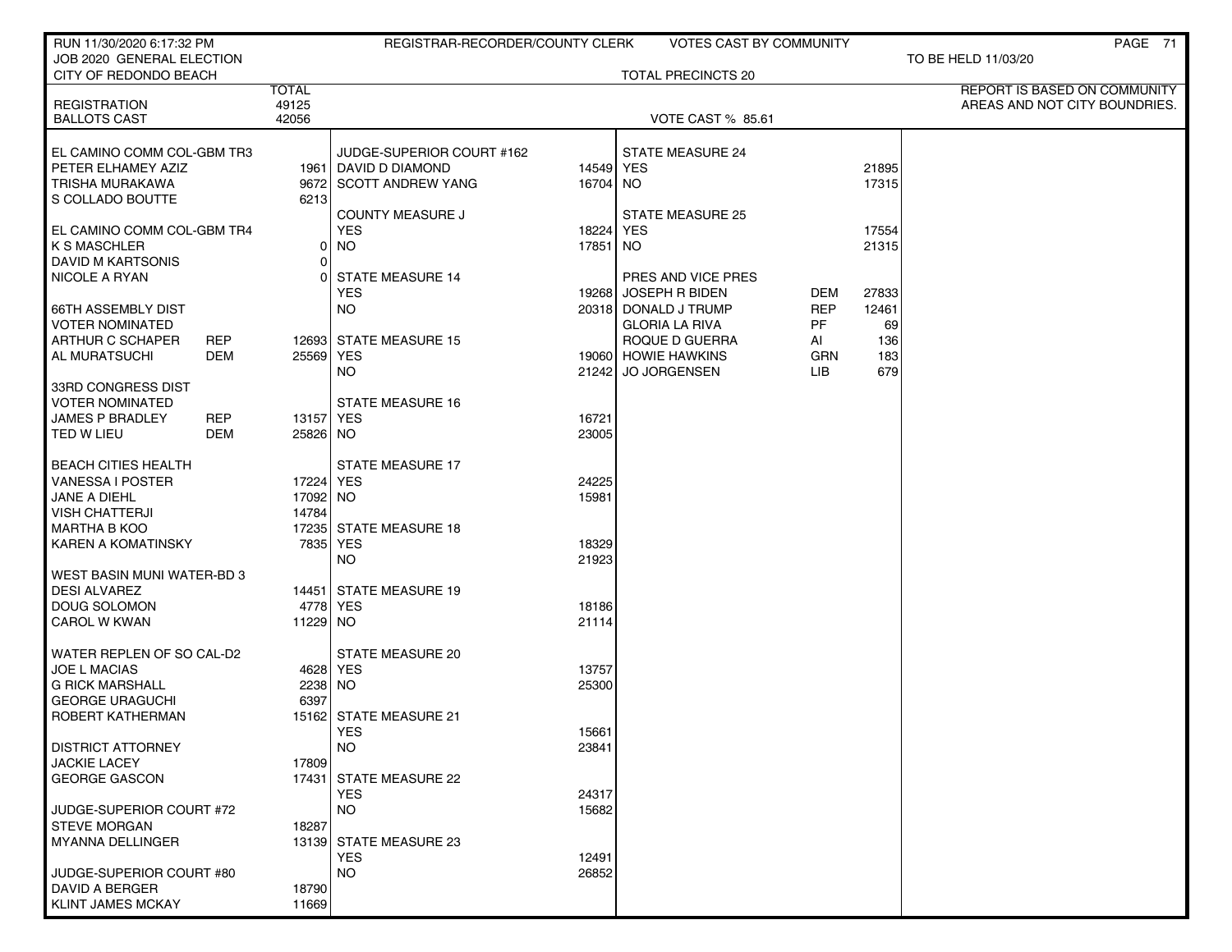| RUN 11/30/2020 6:17:32 PM                        |                       | REGISTRAR-RECORDER/COUNTY CLERK    |           | VOTES CAST BY COMMUNITY   |            |       | PAGE 71                                                       |
|--------------------------------------------------|-----------------------|------------------------------------|-----------|---------------------------|------------|-------|---------------------------------------------------------------|
| JOB 2020 GENERAL ELECTION                        |                       |                                    |           |                           |            |       | TO BE HELD 11/03/20                                           |
| CITY OF REDONDO BEACH                            |                       |                                    |           | <b>TOTAL PRECINCTS 20</b> |            |       |                                                               |
|                                                  | <b>TOTAL</b><br>49125 |                                    |           |                           |            |       | REPORT IS BASED ON COMMUNITY<br>AREAS AND NOT CITY BOUNDRIES. |
| <b>REGISTRATION</b><br><b>BALLOTS CAST</b>       | 42056                 |                                    |           | <b>VOTE CAST % 85.61</b>  |            |       |                                                               |
|                                                  |                       |                                    |           |                           |            |       |                                                               |
| EL CAMINO COMM COL-GBM TR3                       |                       | JUDGE-SUPERIOR COURT #162          |           | <b>STATE MEASURE 24</b>   |            |       |                                                               |
| PETER ELHAMEY AZIZ                               |                       | 1961   DAVID D DIAMOND             | 14549 YES |                           |            | 21895 |                                                               |
| TRISHA MURAKAWA                                  |                       | 9672 SCOTT ANDREW YANG             | 16704 NO  |                           |            | 17315 |                                                               |
| S COLLADO BOUTTE                                 | 6213                  |                                    |           |                           |            |       |                                                               |
|                                                  |                       | <b>COUNTY MEASURE J</b>            |           | <b>STATE MEASURE 25</b>   |            |       |                                                               |
| EL CAMINO COMM COL-GBM TR4                       |                       | <b>YES</b>                         | 18224     | YES                       |            | 17554 |                                                               |
| <b>K S MASCHLER</b>                              | $\overline{0}$        | <b>NO</b>                          | 17851     | NO.                       |            | 21315 |                                                               |
| DAVID M KARTSONIS                                | $\overline{0}$        |                                    |           |                           |            |       |                                                               |
| NICOLE A RYAN                                    | U                     | <b>STATE MEASURE 14</b>            |           | PRES AND VICE PRES        |            |       |                                                               |
|                                                  |                       | <b>YES</b>                         | 19268     | <b>JOSEPH R BIDEN</b>     | DEM        | 27833 |                                                               |
| <b>66TH ASSEMBLY DIST</b>                        |                       | <b>NO</b>                          |           | 20318 DONALD J TRUMP      | <b>REP</b> | 12461 |                                                               |
| <b>VOTER NOMINATED</b>                           |                       |                                    |           | <b>GLORIA LA RIVA</b>     | PF         | 69    |                                                               |
| ARTHUR C SCHAPER<br>REP                          |                       | 12693 STATE MEASURE 15             |           | ROQUE D GUERRA            | AI         | 136   |                                                               |
| AL MURATSUCHI<br>DEM                             | 25569 YES             |                                    |           | 19060 HOWIE HAWKINS       | <b>GRN</b> | 183   |                                                               |
|                                                  |                       | NO.                                | 212421    | <b>JO JORGENSEN</b>       | LIB.       | 679   |                                                               |
| 33RD CONGRESS DIST                               |                       |                                    |           |                           |            |       |                                                               |
| <b>VOTER NOMINATED</b>                           |                       | <b>STATE MEASURE 16</b>            |           |                           |            |       |                                                               |
| <b>REP</b><br><b>JAMES P BRADLEY</b>             | 13157 YES             |                                    | 16721     |                           |            |       |                                                               |
| TED W LIEU<br>DEM                                | 25826 NO              |                                    | 23005     |                           |            |       |                                                               |
|                                                  |                       |                                    |           |                           |            |       |                                                               |
| <b>BEACH CITIES HEALTH</b>                       |                       | <b>STATE MEASURE 17</b>            |           |                           |            |       |                                                               |
| <b>VANESSA I POSTER</b>                          | 17224 YES             |                                    | 24225     |                           |            |       |                                                               |
| JANE A DIEHL                                     | 17092 NO              |                                    | 15981     |                           |            |       |                                                               |
| <b>VISH CHATTERJI</b>                            | 14784                 |                                    |           |                           |            |       |                                                               |
| <b>MARTHA B KOO</b><br><b>KAREN A KOMATINSKY</b> |                       | 17235 STATE MEASURE 18<br>7835 YES | 18329     |                           |            |       |                                                               |
|                                                  |                       | <b>NO</b>                          | 21923     |                           |            |       |                                                               |
| WEST BASIN MUNI WATER-BD 3                       |                       |                                    |           |                           |            |       |                                                               |
| <b>DESI ALVAREZ</b>                              |                       | 14451 STATE MEASURE 19             |           |                           |            |       |                                                               |
| DOUG SOLOMON                                     |                       | 4778 YES                           | 18186     |                           |            |       |                                                               |
| CAROL W KWAN                                     | 11229 NO              |                                    | 21114     |                           |            |       |                                                               |
|                                                  |                       |                                    |           |                           |            |       |                                                               |
| WATER REPLEN OF SO CAL-D2                        |                       | <b>STATE MEASURE 20</b>            |           |                           |            |       |                                                               |
| <b>JOE L MACIAS</b>                              |                       | 4628 YES                           | 13757     |                           |            |       |                                                               |
| <b>G RICK MARSHALL</b>                           | 2238 NO               |                                    | 25300     |                           |            |       |                                                               |
| <b>GEORGE URAGUCHI</b>                           | 6397                  |                                    |           |                           |            |       |                                                               |
| ROBERT KATHERMAN                                 |                       | 15162 STATE MEASURE 21             |           |                           |            |       |                                                               |
|                                                  |                       | YES                                | 15661     |                           |            |       |                                                               |
| <b>DISTRICT ATTORNEY</b>                         |                       | <b>NO</b>                          | 23841     |                           |            |       |                                                               |
| <b>JACKIE LACEY</b>                              | 17809                 |                                    |           |                           |            |       |                                                               |
| <b>GEORGE GASCON</b>                             |                       | 17431 STATE MEASURE 22             |           |                           |            |       |                                                               |
|                                                  |                       | <b>YES</b>                         | 24317     |                           |            |       |                                                               |
| JUDGE-SUPERIOR COURT #72                         |                       | <b>NO</b>                          | 15682     |                           |            |       |                                                               |
| <b>STEVE MORGAN</b>                              | 18287                 |                                    |           |                           |            |       |                                                               |
| <b>MYANNA DELLINGER</b>                          |                       | 13139 STATE MEASURE 23             |           |                           |            |       |                                                               |
|                                                  |                       | <b>YES</b>                         | 12491     |                           |            |       |                                                               |
| JUDGE-SUPERIOR COURT #80                         |                       | <b>NO</b>                          | 26852     |                           |            |       |                                                               |
| DAVID A BERGER                                   | 18790                 |                                    |           |                           |            |       |                                                               |
| KLINT JAMES MCKAY                                | 11669                 |                                    |           |                           |            |       |                                                               |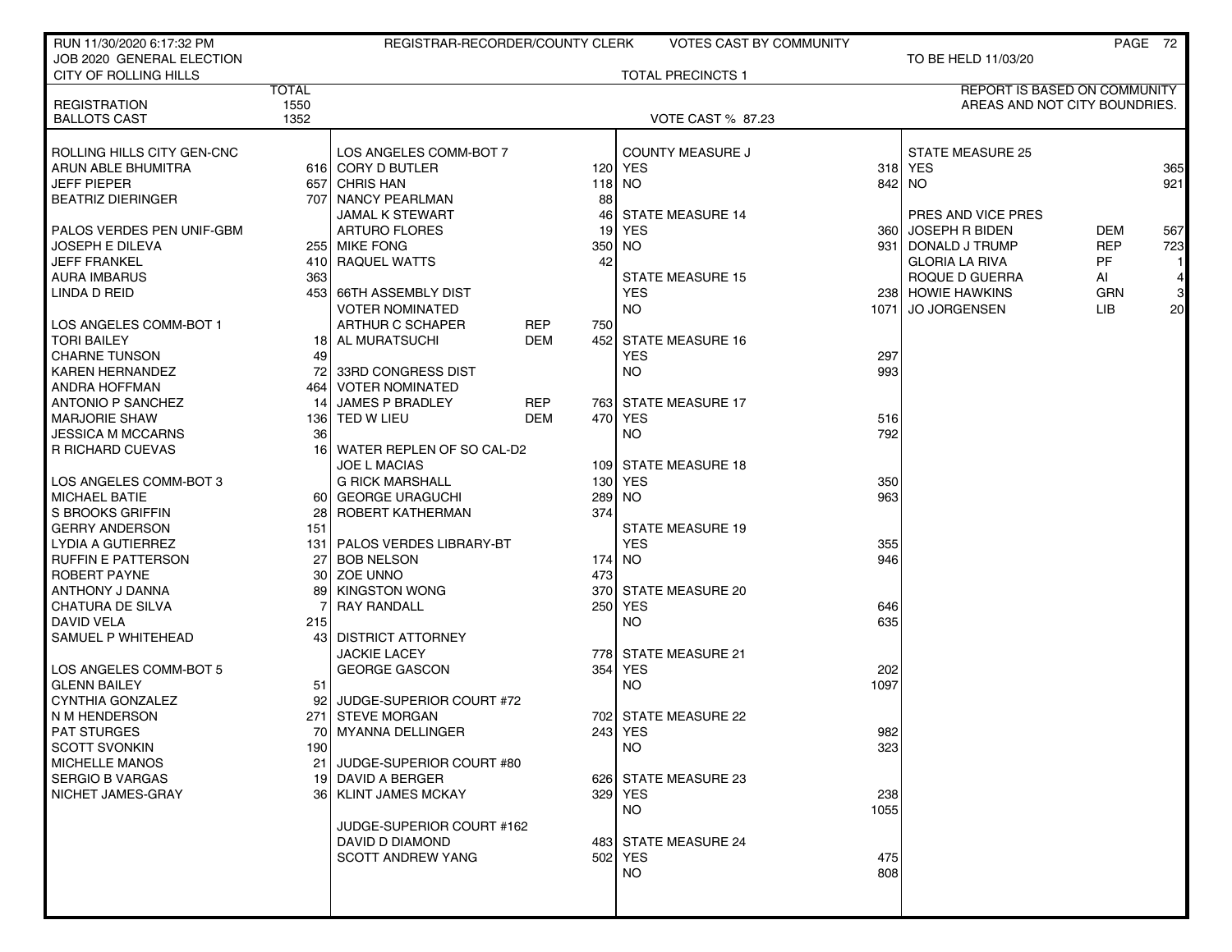| RUN 11/30/2020 6:17:32 PM    |              | REGISTRAR-RECORDER/COUNTY CLERK |            |     | <b>VOTES CAST BY COMMUNITY</b> |            |                               |            | PAGE 72         |
|------------------------------|--------------|---------------------------------|------------|-----|--------------------------------|------------|-------------------------------|------------|-----------------|
| JOB 2020 GENERAL ELECTION    |              |                                 |            |     |                                |            | TO BE HELD 11/03/20           |            |                 |
| <b>CITY OF ROLLING HILLS</b> |              |                                 |            |     | <b>TOTAL PRECINCTS 1</b>       |            |                               |            |                 |
|                              | <b>TOTAL</b> |                                 |            |     |                                |            | REPORT IS BASED ON COMMUNITY  |            |                 |
| <b>REGISTRATION</b>          | 1550         |                                 |            |     |                                |            | AREAS AND NOT CITY BOUNDRIES. |            |                 |
| <b>BALLOTS CAST</b>          | 1352         |                                 |            |     | <b>VOTE CAST % 87.23</b>       |            |                               |            |                 |
|                              |              |                                 |            |     |                                |            |                               |            |                 |
| ROLLING HILLS CITY GEN-CNC   |              | LOS ANGELES COMM-BOT 7          |            |     | <b>COUNTY MEASURE J</b>        |            | <b>STATE MEASURE 25</b>       |            |                 |
| ARUN ABLE BHUMITRA           |              | 616 CORY D BUTLER               |            |     | 120 YES                        |            | 318 YES                       |            | 365             |
| JEFF PIEPER                  | 657 l        | <b>CHRIS HAN</b>                |            |     | $118$ NO                       |            | 842 NO                        |            | 921             |
| BEATRIZ DIERINGER            |              | 707 NANCY PEARLMAN              |            | 88  |                                |            |                               |            |                 |
|                              |              | <b>JAMAL K STEWART</b>          |            | 46  | <b>STATE MEASURE 14</b>        |            | PRES AND VICE PRES            |            |                 |
| PALOS VERDES PEN UNIF-GBM    |              | <b>ARTURO FLORES</b>            |            | 19  | YES                            | 3601       | <b>JOSEPH R BIDEN</b>         | <b>DEM</b> | 567             |
| JOSEPH E DILEVA              |              | 255 MIKE FONG                   |            | 350 | <b>NO</b>                      | 931 L      | DONALD J TRUMP                | <b>REP</b> | 723             |
| <b>JEFF FRANKEL</b>          |              | 410 RAQUEL WATTS                |            | 42  |                                |            | <b>GLORIA LA RIVA</b>         | <b>PF</b>  |                 |
| AURA IMBARUS                 | 363          |                                 |            |     | <b>STATE MEASURE 15</b>        |            | ROQUE D GUERRA                | Al         | $\vert 4 \vert$ |
| LINDA D REID                 |              | 453 66TH ASSEMBLY DIST          |            |     | <b>YES</b>                     |            | 238 HOWIE HAWKINS             | <b>GRN</b> | $\mathbf{3}$    |
|                              |              | <b>VOTER NOMINATED</b>          |            |     | <b>NO</b>                      | 10711      | <b>JO JORGENSEN</b>           | LIB        | 20              |
| LOS ANGELES COMM-BOT 1       |              | ARTHUR C SCHAPER                | <b>REP</b> | 750 |                                |            |                               |            |                 |
| <b>TORI BAILEY</b>           |              | <b>18   AL MURATSUCHI</b>       | DEM        |     | 452 STATE MEASURE 16           |            |                               |            |                 |
|                              |              |                                 |            |     |                                |            |                               |            |                 |
| <b>CHARNE TUNSON</b>         | 49           |                                 |            |     | <b>YES</b>                     | 297<br>993 |                               |            |                 |
| KAREN HERNANDEZ              | 72 l         | 33RD CONGRESS DIST              |            |     | NO.                            |            |                               |            |                 |
| ANDRA HOFFMAN                | 464 l        | <b>VOTER NOMINATED</b>          |            |     |                                |            |                               |            |                 |
| <b>ANTONIO P SANCHEZ</b>     | 14           | <b>JAMES P BRADLEY</b>          | REP        |     | 763 STATE MEASURE 17           |            |                               |            |                 |
| <b>MARJORIE SHAW</b>         |              | 136 TED W LIEU                  | <b>DEM</b> |     | 470 YES                        | 516        |                               |            |                 |
| JESSICA M MCCARNS            | 36           |                                 |            |     | <b>NO</b>                      | 792        |                               |            |                 |
| <b>R RICHARD CUEVAS</b>      | 16 I         | WATER REPLEN OF SO CAL-D2       |            |     |                                |            |                               |            |                 |
|                              |              | <b>JOE L MACIAS</b>             |            |     | 109 STATE MEASURE 18           |            |                               |            |                 |
| LOS ANGELES COMM-BOT 3       |              | <b>G RICK MARSHALL</b>          |            | 130 | YES                            | 350        |                               |            |                 |
| MICHAEL BATIE                |              | 60 GEORGE URAGUCHI              |            | 289 | NO.                            | 963        |                               |            |                 |
| S BROOKS GRIFFIN             | 28 I         | ROBERT KATHERMAN                |            | 374 |                                |            |                               |            |                 |
| <b>GERRY ANDERSON</b>        | 151          |                                 |            |     | <b>STATE MEASURE 19</b>        |            |                               |            |                 |
| LYDIA A GUTIERREZ            | 131 l        | PALOS VERDES LIBRARY-BT         |            |     | <b>YES</b>                     | 355        |                               |            |                 |
| RUFFIN E PATTERSON           | 27 I         | <b>BOB NELSON</b>               |            | 174 | NO.                            | 946        |                               |            |                 |
| ROBERT PAYNE                 |              | 30 ZOE UNNO                     |            | 473 |                                |            |                               |            |                 |
| ANTHONY J DANNA              | 891          | <b>KINGSTON WONG</b>            |            | 370 | STATE MEASURE 20               |            |                               |            |                 |
| CHATURA DE SILVA             |              | <b>RAY RANDALL</b>              |            |     | 250 YES                        | 646        |                               |            |                 |
| <b>DAVID VELA</b>            | 215          |                                 |            |     | <b>NO</b>                      | 635        |                               |            |                 |
| SAMUEL P WHITEHEAD           |              | 43 DISTRICT ATTORNEY            |            |     |                                |            |                               |            |                 |
|                              |              | <b>JACKIE LACEY</b>             |            |     | 778 STATE MEASURE 21           |            |                               |            |                 |
| LOS ANGELES COMM-BOT 5       |              | <b>GEORGE GASCON</b>            |            | 354 | <b>YES</b>                     | 202        |                               |            |                 |
| <b>GLENN BAILEY</b>          | 51           |                                 |            |     | <b>NO</b>                      | 1097       |                               |            |                 |
| CYNTHIA GONZALEZ             | 92 I         | JUDGE-SUPERIOR COURT #72        |            |     |                                |            |                               |            |                 |
| N M HENDERSON                | 271 l        | <b>STEVE MORGAN</b>             |            |     | 702 STATE MEASURE 22           |            |                               |            |                 |
| <b>PAT STURGES</b>           |              | 70   MYANNA DELLINGER           |            |     | 243 YES                        | 982        |                               |            |                 |
| <b>SCOTT SVONKIN</b>         | 190          |                                 |            |     | <b>NO</b>                      | 323        |                               |            |                 |
| <b>MICHELLE MANOS</b>        |              | 21 JUDGE-SUPERIOR COURT #80     |            |     |                                |            |                               |            |                 |
| <b>SERGIO B VARGAS</b>       |              | 19 DAVID A BERGER               |            |     | 626 STATE MEASURE 23           |            |                               |            |                 |
| NICHET JAMES-GRAY            |              | 36 KLINT JAMES MCKAY            |            |     | 329 YES                        | 238        |                               |            |                 |
|                              |              |                                 |            |     | <b>NO</b>                      | 1055       |                               |            |                 |
|                              |              | JUDGE-SUPERIOR COURT #162       |            |     |                                |            |                               |            |                 |
|                              |              | DAVID D DIAMOND                 |            |     | 483 STATE MEASURE 24           |            |                               |            |                 |
|                              |              | <b>SCOTT ANDREW YANG</b>        |            |     | 502 YES                        | 475        |                               |            |                 |
|                              |              |                                 |            |     | <b>NO</b>                      | 808        |                               |            |                 |
|                              |              |                                 |            |     |                                |            |                               |            |                 |
|                              |              |                                 |            |     |                                |            |                               |            |                 |
|                              |              |                                 |            |     |                                |            |                               |            |                 |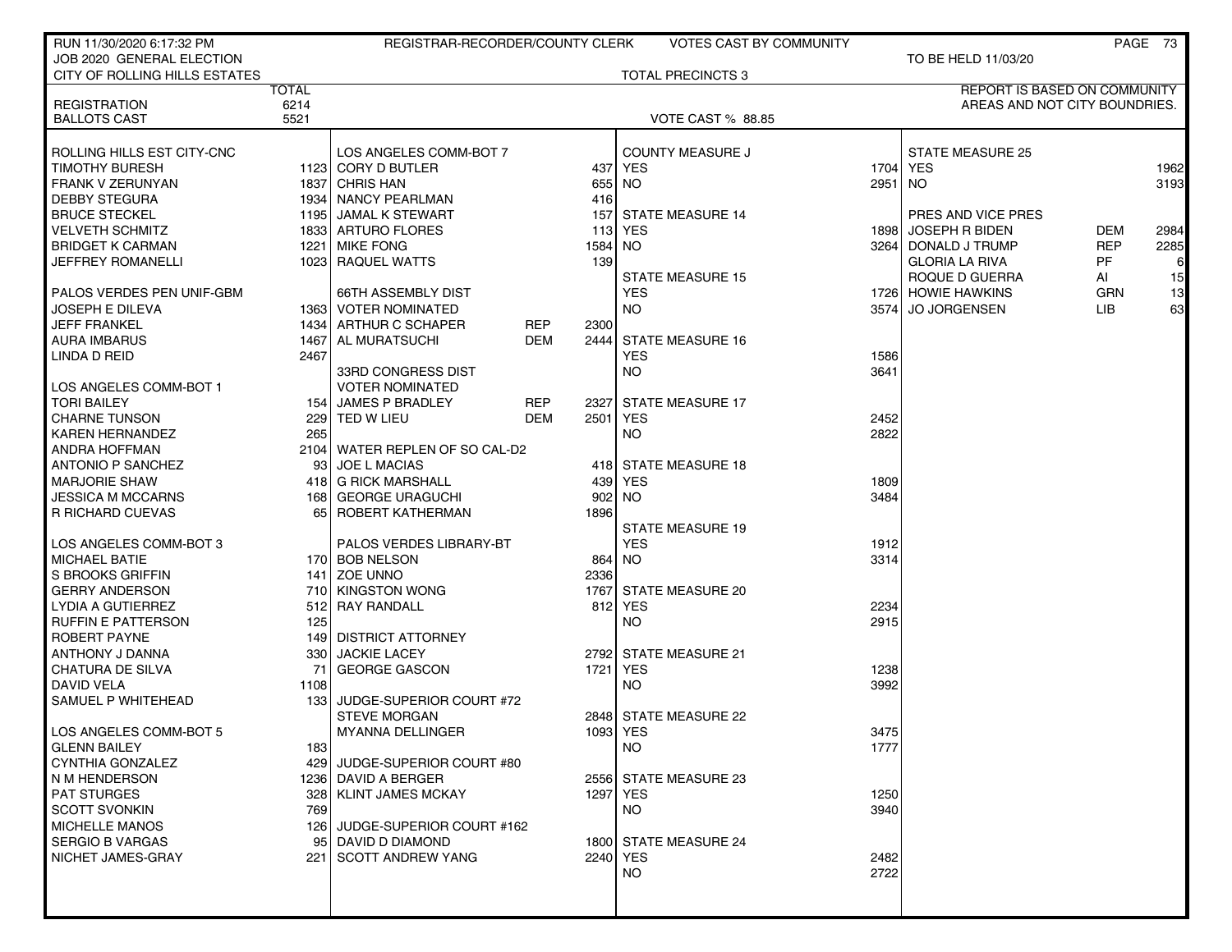| RUN 11/30/2020 6:17:32 PM                         |                  | REGISTRAR-RECORDER/COUNTY CLERK      |            |             | <b>VOTES CAST BY COMMUNITY</b> |         |                                            |                          | PAGE 73      |
|---------------------------------------------------|------------------|--------------------------------------|------------|-------------|--------------------------------|---------|--------------------------------------------|--------------------------|--------------|
| JOB 2020 GENERAL ELECTION                         |                  |                                      |            |             |                                |         | TO BE HELD 11/03/20                        |                          |              |
| CITY OF ROLLING HILLS ESTATES                     |                  |                                      |            |             | <b>TOTAL PRECINCTS 3</b>       |         |                                            |                          |              |
|                                                   | <b>TOTAL</b>     |                                      |            |             |                                |         | REPORT IS BASED ON COMMUNITY               |                          |              |
| <b>REGISTRATION</b>                               | 6214             |                                      |            |             |                                |         | AREAS AND NOT CITY BOUNDRIES.              |                          |              |
| <b>BALLOTS CAST</b>                               | 5521             |                                      |            |             | <b>VOTE CAST % 88.85</b>       |         |                                            |                          |              |
|                                                   |                  |                                      |            |             |                                |         |                                            |                          |              |
| ROLLING HILLS EST CITY-CNC                        |                  | LOS ANGELES COMM-BOT 7               |            |             | <b>COUNTY MEASURE J</b>        |         | <b>STATE MEASURE 25</b>                    |                          |              |
| <b>TIMOTHY BURESH</b>                             |                  | 1123 CORY D BUTLER                   |            |             | 437 YES                        |         | 1704 YES                                   |                          | 1962         |
| FRANK V ZERUNYAN                                  |                  | 1837 CHRIS HAN                       |            | 655         | <b>NO</b>                      | 2951 NO |                                            |                          | 3193         |
| <b>DEBBY STEGURA</b>                              |                  | 1934 NANCY PEARLMAN                  |            | 416         |                                |         |                                            |                          |              |
| <b>BRUCE STECKEL</b>                              |                  | 1195 JAMAL K STEWART                 |            | 157         | <b>STATE MEASURE 14</b>        |         | PRES AND VICE PRES                         |                          |              |
| <b>VELVETH SCHMITZ</b><br><b>BRIDGET K CARMAN</b> |                  | 1833 ARTURO FLORES<br>1221 MIKE FONG |            | 113<br>1584 | YES<br>NO                      |         | 1898 JOSEPH R BIDEN<br>3264 DONALD J TRUMP | <b>DEM</b><br><b>REP</b> | 2984<br>2285 |
| JEFFREY ROMANELLI                                 |                  | 1023 RAQUEL WATTS                    |            | 139         |                                |         | <b>GLORIA LA RIVA</b>                      | <b>PF</b>                | 6            |
|                                                   |                  |                                      |            |             | <b>STATE MEASURE 15</b>        |         | ROQUE D GUERRA                             | Al                       | 15           |
| PALOS VERDES PEN UNIF-GBM                         |                  | 66TH ASSEMBLY DIST                   |            |             | <b>YES</b>                     |         | 1726 HOWIE HAWKINS                         | <b>GRN</b>               | 13           |
| <b>JOSEPH E DILEVA</b>                            |                  | 1363 VOTER NOMINATED                 |            |             | NO.                            |         | 3574 JO JORGENSEN                          | LIB.                     | 63           |
| <b>JEFF FRANKEL</b>                               |                  | 1434 ARTHUR C SCHAPER                | REP        | 2300        |                                |         |                                            |                          |              |
| <b>AURA IMBARUS</b>                               |                  | 1467 AL MURATSUCHI                   | <b>DEM</b> |             | 2444 STATE MEASURE 16          |         |                                            |                          |              |
| LINDA D REID                                      | 2467             |                                      |            |             | <b>YES</b>                     | 1586    |                                            |                          |              |
|                                                   |                  | 33RD CONGRESS DIST                   |            |             | NO.                            | 3641    |                                            |                          |              |
| LOS ANGELES COMM-BOT 1                            |                  | <b>VOTER NOMINATED</b>               |            |             |                                |         |                                            |                          |              |
| <b>TORI BAILEY</b>                                |                  | 154 JAMES P BRADLEY                  | <b>REP</b> |             | 2327 STATE MEASURE 17          |         |                                            |                          |              |
| <b>CHARNE TUNSON</b>                              |                  | 229 TED W LIEU                       | <b>DEM</b> | 2501        | YES                            | 2452    |                                            |                          |              |
| <b>KAREN HERNANDEZ</b>                            | 265              |                                      |            |             | <b>NO</b>                      | 2822    |                                            |                          |              |
| ANDRA HOFFMAN                                     |                  | 2104 WATER REPLEN OF SO CAL-D2       |            |             |                                |         |                                            |                          |              |
| <b>ANTONIO P SANCHEZ</b>                          |                  | 93 JOE L MACIAS                      |            |             | 418 STATE MEASURE 18           |         |                                            |                          |              |
| <b>MARJORIE SHAW</b>                              |                  | 418 G RICK MARSHALL                  |            | 439         | YES                            | 1809    |                                            |                          |              |
| <b>JESSICA M MCCARNS</b>                          |                  | 168 GEORGE URAGUCHI                  |            | 902         | <b>NO</b>                      | 3484    |                                            |                          |              |
| R RICHARD CUEVAS                                  |                  | 65 ROBERT KATHERMAN                  |            | 1896        |                                |         |                                            |                          |              |
|                                                   |                  |                                      |            |             | <b>STATE MEASURE 19</b>        |         |                                            |                          |              |
| LOS ANGELES COMM-BOT 3                            |                  | PALOS VERDES LIBRARY-BT              |            |             | <b>YES</b>                     | 1912    |                                            |                          |              |
| <b>MICHAEL BATIE</b>                              |                  | 170 BOB NELSON                       |            |             | 864 NO                         | 3314    |                                            |                          |              |
| S BROOKS GRIFFIN                                  |                  | 141 ZOE UNNO                         |            | 2336        |                                |         |                                            |                          |              |
| <b>GERRY ANDERSON</b>                             |                  | 710 KINGSTON WONG                    |            | 1767        | <b>STATE MEASURE 20</b>        |         |                                            |                          |              |
| LYDIA A GUTIERREZ                                 |                  | 512 RAY RANDALL                      |            |             | 812 YES                        | 2234    |                                            |                          |              |
| <b>RUFFIN E PATTERSON</b>                         | 125              |                                      |            |             | <b>NO</b>                      | 2915    |                                            |                          |              |
| <b>ROBERT PAYNE</b>                               |                  | 149 DISTRICT ATTORNEY                |            |             |                                |         |                                            |                          |              |
| ANTHONY J DANNA                                   |                  | 330 JACKIE LACEY                     |            |             | 2792 STATE MEASURE 21          |         |                                            |                          |              |
| <b>CHATURA DE SILVA</b>                           | 71               | <b>GEORGE GASCON</b>                 |            | 1721        | YES                            | 1238    |                                            |                          |              |
| <b>DAVID VELA</b>                                 | 1108             |                                      |            |             | <b>NO</b>                      | 3992    |                                            |                          |              |
| SAMUEL P WHITEHEAD                                | 133 <sub>1</sub> | JUDGE-SUPERIOR COURT #72             |            |             |                                |         |                                            |                          |              |
|                                                   |                  | <b>STEVE MORGAN</b>                  |            |             | 2848 STATE MEASURE 22          |         |                                            |                          |              |
| LOS ANGELES COMM-BOT 5                            |                  | MYANNA DELLINGER                     |            |             | 1093 YES                       | 3475    |                                            |                          |              |
| <b>GLENN BAILEY</b>                               | 183              |                                      |            |             | NO.                            | 1777    |                                            |                          |              |
| CYNTHIA GONZALEZ                                  |                  | 429 JUDGE-SUPERIOR COURT #80         |            |             |                                |         |                                            |                          |              |
| N M HENDERSON                                     |                  | 1236 DAVID A BERGER                  |            |             | 2556 STATE MEASURE 23          |         |                                            |                          |              |
| <b>PAT STURGES</b>                                |                  | 328 KLINT JAMES MCKAY                |            |             | 1297 YES                       | 1250    |                                            |                          |              |
| <b>SCOTT SVONKIN</b>                              | 769              |                                      |            |             | <b>NO</b>                      | 3940    |                                            |                          |              |
| <b>MICHELLE MANOS</b>                             |                  | 126 JUDGE-SUPERIOR COURT #162        |            |             |                                |         |                                            |                          |              |
| <b>SERGIO B VARGAS</b>                            |                  | 95 DAVID D DIAMOND                   |            |             | 1800 STATE MEASURE 24          |         |                                            |                          |              |
| NICHET JAMES-GRAY                                 |                  | 221 SCOTT ANDREW YANG                |            |             | 2240 YES                       | 2482    |                                            |                          |              |
|                                                   |                  |                                      |            |             | <b>NO</b>                      | 2722    |                                            |                          |              |
|                                                   |                  |                                      |            |             |                                |         |                                            |                          |              |
|                                                   |                  |                                      |            |             |                                |         |                                            |                          |              |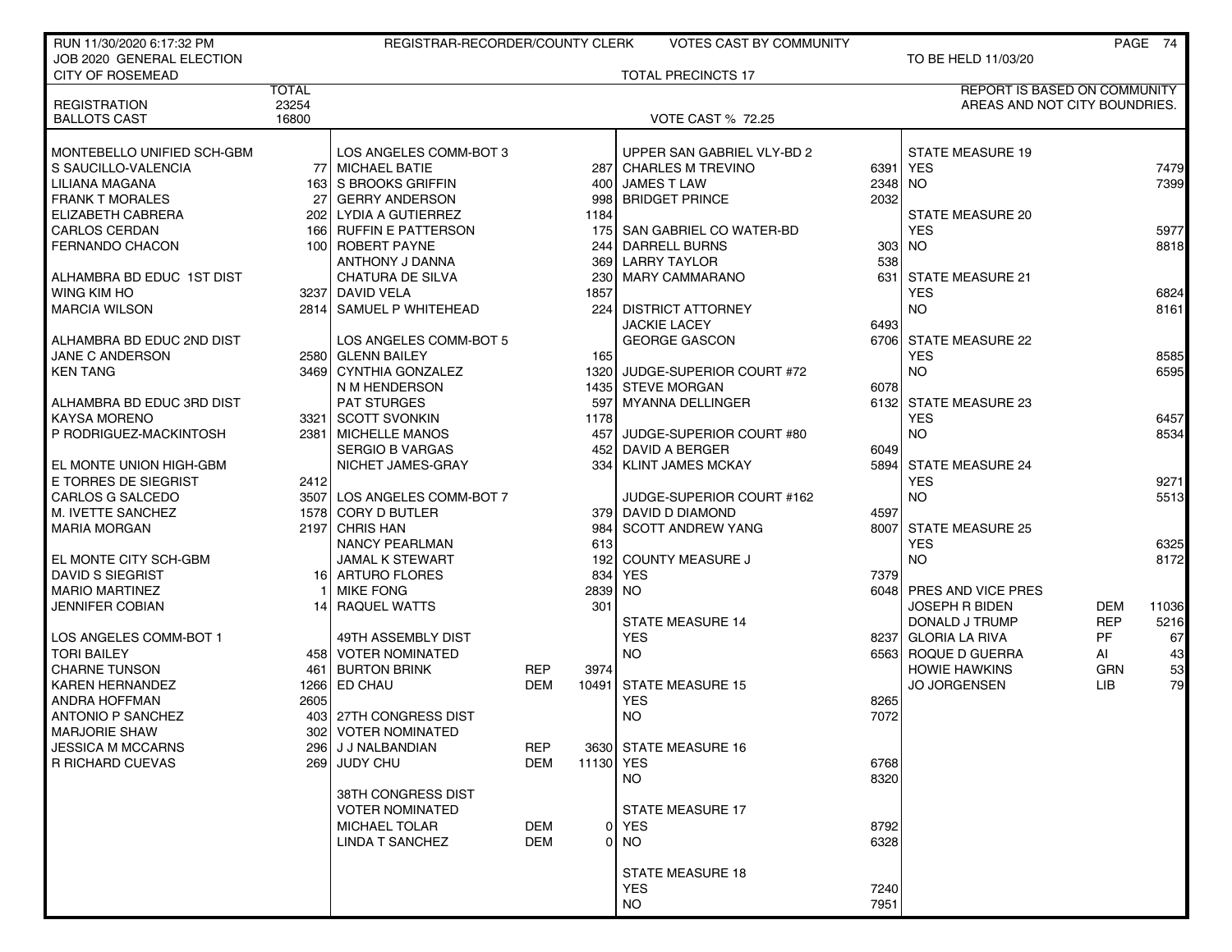| RUN 11/30/2020 6:17:32 PM                  |                | REGISTRAR-RECORDER/COUNTY CLERK            |                          |               | <b>VOTES CAST BY COMMUNITY</b> |                  |                                             |                   | PAGE 74  |
|--------------------------------------------|----------------|--------------------------------------------|--------------------------|---------------|--------------------------------|------------------|---------------------------------------------|-------------------|----------|
| JOB 2020 GENERAL ELECTION                  |                |                                            |                          |               |                                |                  | TO BE HELD 11/03/20                         |                   |          |
| <b>CITY OF ROSEMEAD</b>                    |                |                                            |                          |               | <b>TOTAL PRECINCTS 17</b>      |                  |                                             |                   |          |
|                                            | <b>TOTAL</b>   |                                            |                          |               |                                |                  | <b>REPORT IS BASED ON COMMUNITY</b>         |                   |          |
| <b>REGISTRATION</b><br><b>BALLOTS CAST</b> | 23254<br>16800 |                                            |                          |               | <b>VOTE CAST % 72.25</b>       |                  | AREAS AND NOT CITY BOUNDRIES.               |                   |          |
|                                            |                |                                            |                          |               |                                |                  |                                             |                   |          |
| MONTEBELLO UNIFIED SCH-GBM                 |                | LOS ANGELES COMM-BOT 3                     |                          |               | UPPER SAN GABRIEL VLY-BD 2     |                  | <b>STATE MEASURE 19</b>                     |                   |          |
| S SAUCILLO-VALENCIA                        |                | 77 MICHAEL BATIE                           |                          |               | 287 CHARLES M TREVINO          | 6391             | YES                                         |                   | 7479     |
| LILIANA MAGANA                             |                | 163 S BROOKS GRIFFIN                       |                          | 400           | <b>JAMES T LAW</b>             | 2348             | NO.                                         |                   | 7399     |
| <b>FRANK T MORALES</b>                     |                | 27 GERRY ANDERSON                          |                          | 998           | <b>BRIDGET PRINCE</b>          | 2032             |                                             |                   |          |
| ELIZABETH CABRERA                          |                | 202 LYDIA A GUTIERREZ                      |                          | 1184          |                                |                  | <b>STATE MEASURE 20</b>                     |                   |          |
| <b>CARLOS CERDAN</b>                       |                | 166 RUFFIN E PATTERSON                     |                          | 175           | SAN GABRIEL CO WATER-BD        |                  | <b>YES</b>                                  |                   | 5977     |
| <b>FERNANDO CHACON</b>                     |                | 100 ROBERT PAYNE                           |                          | 244           | <b>DARRELL BURNS</b>           | 303 <sub>1</sub> | NO.                                         |                   | 8818     |
|                                            |                | ANTHONY J DANNA                            |                          | 369           | <b>LARRY TAYLOR</b>            | 538              |                                             |                   |          |
| ALHAMBRA BD EDUC 1ST DIST                  |                | <b>CHATURA DE SILVA</b>                    |                          | 230           | <b>MARY CAMMARANO</b>          | 631              | <b>STATE MEASURE 21</b>                     |                   |          |
| WING KIM HO                                |                | 3237 DAVID VELA                            |                          | 1857          |                                |                  | <b>YES</b>                                  |                   | 6824     |
| <b>MARCIA WILSON</b>                       |                | 2814 SAMUEL P WHITEHEAD                    |                          | 224           | <b>DISTRICT ATTORNEY</b>       |                  | NO.                                         |                   | 8161     |
|                                            |                |                                            |                          |               | <b>JACKIE LACEY</b>            | 6493             |                                             |                   |          |
| ALHAMBRA BD EDUC 2ND DIST                  |                | LOS ANGELES COMM-BOT 5                     |                          |               | <b>GEORGE GASCON</b>           |                  | 6706 STATE MEASURE 22                       |                   |          |
| JANE C ANDERSON                            |                | 2580 GLENN BAILEY                          |                          | 165           |                                |                  | <b>YES</b>                                  |                   | 8585     |
| <b>KEN TANG</b>                            |                | 3469 CYNTHIA GONZALEZ                      |                          | 1320          | JUDGE-SUPERIOR COURT #72       |                  | <b>NO</b>                                   |                   | 6595     |
|                                            |                | N M HENDERSON                              |                          | 1435          | <b>STEVE MORGAN</b>            | 6078             |                                             |                   |          |
| ALHAMBRA BD EDUC 3RD DIST                  |                | <b>PAT STURGES</b>                         |                          | 597           | <b>MYANNA DELLINGER</b>        | 6132             | <b>STATE MEASURE 23</b>                     |                   |          |
| <b>KAYSA MORENO</b>                        |                | 3321 SCOTT SVONKIN                         |                          | 1178          |                                |                  | <b>YES</b>                                  |                   | 6457     |
| P RODRIGUEZ-MACKINTOSH                     |                | 2381   MICHELLE MANOS                      |                          | 457           | JUDGE-SUPERIOR COURT #80       |                  | <b>NO</b>                                   |                   | 8534     |
|                                            |                | <b>SERGIO B VARGAS</b>                     |                          | 452           | <b>DAVID A BERGER</b>          | 6049             |                                             |                   |          |
| EL MONTE UNION HIGH-GBM                    |                | NICHET JAMES-GRAY                          |                          | 334           | <b>KLINT JAMES MCKAY</b>       | 5894             | <b>STATE MEASURE 24</b>                     |                   |          |
| E TORRES DE SIEGRIST                       | 2412           |                                            |                          |               |                                |                  | <b>YES</b>                                  |                   | 9271     |
| CARLOS G SALCEDO                           |                | 3507 LOS ANGELES COMM-BOT 7                |                          |               | JUDGE-SUPERIOR COURT #162      |                  | <b>NO</b>                                   |                   | 5513     |
| M. IVETTE SANCHEZ                          |                | 1578 CORY D BUTLER                         |                          |               | 379 DAVID D DIAMOND            | 4597             |                                             |                   |          |
| <b>MARIA MORGAN</b>                        |                | 2197 CHRIS HAN                             |                          | 984           | <b>SCOTT ANDREW YANG</b>       |                  | 8007 STATE MEASURE 25                       |                   |          |
|                                            |                | <b>NANCY PEARLMAN</b>                      |                          | 613           |                                |                  | <b>YES</b>                                  |                   | 6325     |
| EL MONTE CITY SCH-GBM                      |                | <b>JAMAL K STEWART</b>                     |                          | 192           | <b>COUNTY MEASURE J</b>        |                  | <b>NO</b>                                   |                   | 8172     |
| <b>DAVID S SIEGRIST</b>                    |                | 16 ARTURO FLORES                           |                          | 834           | <b>YES</b>                     | 7379             |                                             |                   |          |
| <b>MARIO MARTINEZ</b>                      |                | <b>MIKE FONG</b>                           |                          | 2839          | <b>NO</b>                      |                  | 6048 PRES AND VICE PRES                     |                   |          |
| <b>JENNIFER COBIAN</b>                     | 14 I           | RAQUEL WATTS                               |                          | 301           |                                |                  | JOSEPH R BIDEN                              | <b>DEM</b>        | 11036    |
|                                            |                |                                            |                          |               | <b>STATE MEASURE 14</b>        |                  | DONALD J TRUMP                              | <b>REP</b>        | 5216     |
| LOS ANGELES COMM-BOT 1                     |                | 49TH ASSEMBLY DIST                         |                          |               | <b>YES</b>                     |                  | 8237 GLORIA LA RIVA                         | PF.               | 67       |
| <b>TORI BAILEY</b><br><b>CHARNE TUNSON</b> |                | 458 VOTER NOMINATED<br><b>BURTON BRINK</b> |                          |               | <b>NO</b>                      |                  | 6563 ROQUE D GUERRA<br><b>HOWIE HAWKINS</b> | AI                | 43       |
| <b>KAREN HERNANDEZ</b>                     | 461            | 1266 ED CHAU                               | <b>REP</b><br><b>DEM</b> | 3974<br>10491 | <b>STATE MEASURE 15</b>        |                  | <b>JO JORGENSEN</b>                         | <b>GRN</b><br>LIB | 53<br>79 |
| ANDRA HOFFMAN                              | 2605           |                                            |                          |               | <b>YES</b>                     | 8265             |                                             |                   |          |
| <b>ANTONIO P SANCHEZ</b>                   | 4031           | 27TH CONGRESS DIST                         |                          |               | <b>NO</b>                      | 7072             |                                             |                   |          |
| <b>MARJORIE SHAW</b>                       |                | 302   VOTER NOMINATED                      |                          |               |                                |                  |                                             |                   |          |
| <b>JESSICA M MCCARNS</b>                   |                | 296 J J NALBANDIAN                         | <b>REP</b>               |               | 3630 STATE MEASURE 16          |                  |                                             |                   |          |
| R RICHARD CUEVAS                           |                | 269 JUDY CHU                               | <b>DEM</b>               | 11130 YES     |                                | 6768             |                                             |                   |          |
|                                            |                |                                            |                          |               | <b>NO</b>                      | 8320             |                                             |                   |          |
|                                            |                | 38TH CONGRESS DIST                         |                          |               |                                |                  |                                             |                   |          |
|                                            |                | <b>VOTER NOMINATED</b>                     |                          |               | STATE MEASURE 17               |                  |                                             |                   |          |
|                                            |                | MICHAEL TOLAR                              | DEM                      |               | 0 YES                          | 8792             |                                             |                   |          |
|                                            |                | <b>LINDA T SANCHEZ</b>                     | <b>DEM</b>               |               | $0$ NO                         | 6328             |                                             |                   |          |
|                                            |                |                                            |                          |               |                                |                  |                                             |                   |          |
|                                            |                |                                            |                          |               | <b>STATE MEASURE 18</b>        |                  |                                             |                   |          |
|                                            |                |                                            |                          |               | <b>YES</b>                     | 7240             |                                             |                   |          |
|                                            |                |                                            |                          |               | <b>NO</b>                      | 7951             |                                             |                   |          |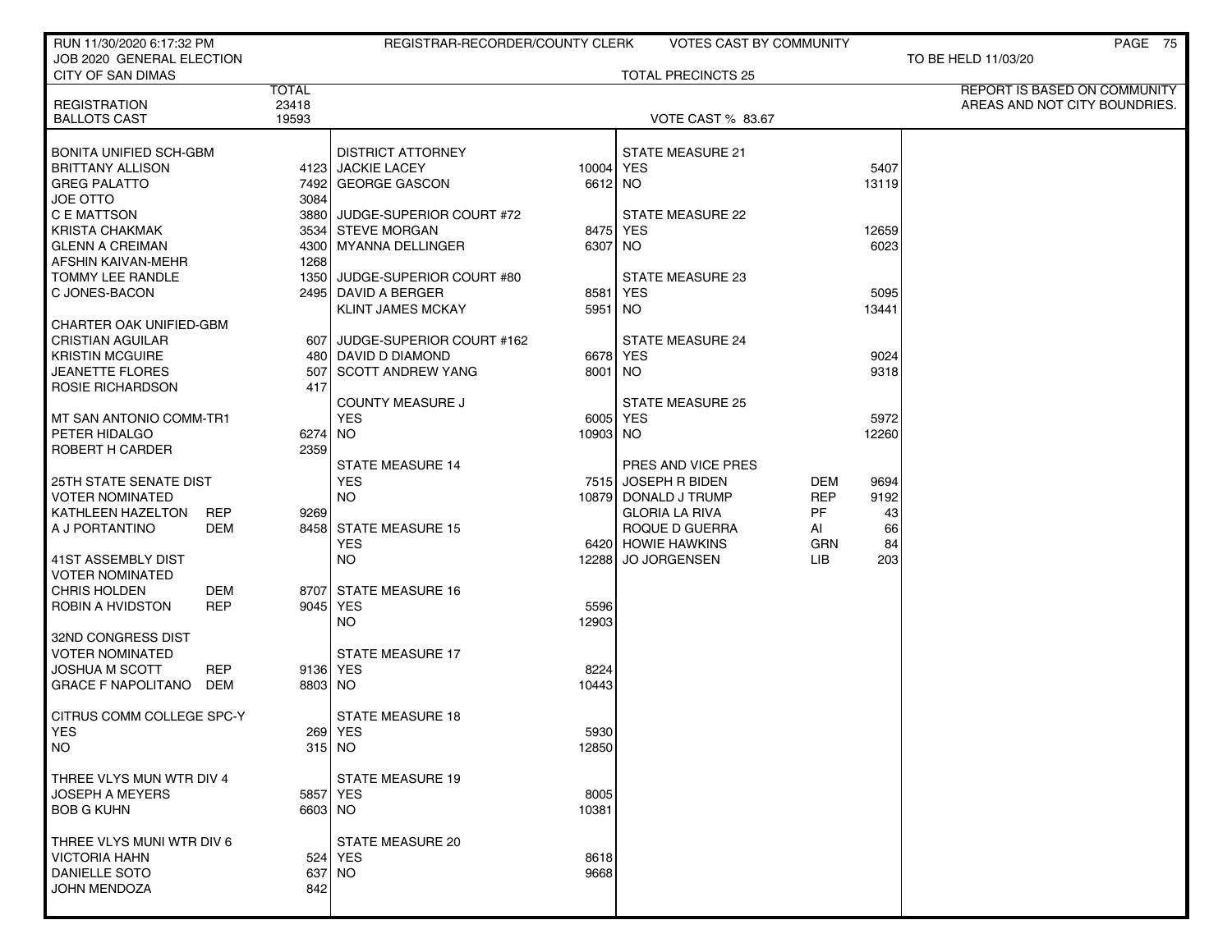| RUN 11/30/2020 6:17:32 PM                     |              | REGISTRAR-RECORDER/COUNTY CLERK |           | VOTES CAST BY COMMUNITY   |     |               | PAGE 75                             |
|-----------------------------------------------|--------------|---------------------------------|-----------|---------------------------|-----|---------------|-------------------------------------|
| JOB 2020 GENERAL ELECTION                     |              |                                 |           |                           |     |               | TO BE HELD 11/03/20                 |
| CITY OF SAN DIMAS                             | <b>TOTAL</b> |                                 |           | <b>TOTAL PRECINCTS 25</b> |     |               | <b>REPORT IS BASED ON COMMUNITY</b> |
| <b>REGISTRATION</b>                           | 23418        |                                 |           |                           |     |               | AREAS AND NOT CITY BOUNDRIES.       |
| <b>BALLOTS CAST</b>                           | 19593        |                                 |           | <b>VOTE CAST % 83.67</b>  |     |               |                                     |
|                                               |              |                                 |           |                           |     |               |                                     |
| <b>BONITA UNIFIED SCH-GBM</b>                 |              | <b>DISTRICT ATTORNEY</b>        |           | <b>STATE MEASURE 21</b>   |     |               |                                     |
| <b>BRITTANY ALLISON</b>                       |              | 4123 JACKIE LACEY               | 10004 YES |                           |     | 5407          |                                     |
| <b>GREG PALATTO</b>                           |              | 7492 GEORGE GASCON              | 6612 NO   |                           |     | 13119         |                                     |
| <b>JOE OTTO</b>                               | 3084         |                                 |           |                           |     |               |                                     |
| C E MATTSON                                   |              | 3880 JUDGE-SUPERIOR COURT #72   |           | <b>STATE MEASURE 22</b>   |     |               |                                     |
| <b>KRISTA CHAKMAK</b>                         |              | 3534 STEVE MORGAN               |           | 8475 YES                  |     | 12659         |                                     |
| <b>GLENN A CREIMAN</b>                        |              | 4300 MYANNA DELLINGER           | 6307 NO   |                           |     | 6023          |                                     |
| AFSHIN KAIVAN-MEHR                            | 1268         |                                 |           |                           |     |               |                                     |
| TOMMY LEE RANDLE                              |              | 1350 JUDGE-SUPERIOR COURT #80   |           | STATE MEASURE 23          |     |               |                                     |
| C JONES-BACON                                 |              | 2495 DAVID A BERGER             | 8581      | YES                       |     | 5095<br>13441 |                                     |
| CHARTER OAK UNIFIED-GBM                       |              | <b>KLINT JAMES MCKAY</b>        | 5951      | NO                        |     |               |                                     |
| <b>CRISTIAN AGUILAR</b>                       |              | 607 JUDGE-SUPERIOR COURT #162   |           | <b>STATE MEASURE 24</b>   |     |               |                                     |
| <b>KRISTIN MCGUIRE</b>                        |              | 480 DAVID D DIAMOND             |           | 6678 YES                  |     | 9024          |                                     |
| <b>JEANETTE FLORES</b>                        |              | 507 SCOTT ANDREW YANG           | 8001 NO   |                           |     | 9318          |                                     |
| ROSIE RICHARDSON                              | 417          |                                 |           |                           |     |               |                                     |
|                                               |              | <b>COUNTY MEASURE J</b>         |           | <b>STATE MEASURE 25</b>   |     |               |                                     |
| MT SAN ANTONIO COMM-TR1                       |              | <b>YES</b>                      |           | 6005 YES                  |     | 5972          |                                     |
| PETER HIDALGO                                 | 6274 NO      |                                 | 10903 NO  |                           |     | 12260         |                                     |
| ROBERT H CARDER                               | 2359         |                                 |           |                           |     |               |                                     |
|                                               |              | <b>STATE MEASURE 14</b>         |           | PRES AND VICE PRES        |     |               |                                     |
| <b>25TH STATE SENATE DIST</b>                 |              | <b>YES</b>                      |           | 7515 JOSEPH R BIDEN       | DEM | 9694          |                                     |
| <b>VOTER NOMINATED</b>                        |              | NO.                             |           | 10879 DONALD J TRUMP      | REP | 9192          |                                     |
| <b>REP</b><br>KATHLEEN HAZELTON               | 9269         |                                 |           | <b>GLORIA LA RIVA</b>     | PF  | 43            |                                     |
| A J PORTANTINO<br>DEM                         |              | 8458 STATE MEASURE 15           |           | ROQUE D GUERRA            | AI  | 66            |                                     |
|                                               |              | <b>YES</b>                      |           | 6420 HOWIE HAWKINS        | GRN | 84            |                                     |
| 41ST ASSEMBLY DIST                            |              | NO.                             | 12288     | <b>JO JORGENSEN</b>       | LIB | 203           |                                     |
| <b>VOTER NOMINATED</b><br>CHRIS HOLDEN<br>DEM |              | 8707 STATE MEASURE 16           |           |                           |     |               |                                     |
| ROBIN A HVIDSTON<br><b>REP</b>                |              | 9045 YES                        | 5596      |                           |     |               |                                     |
|                                               |              | NO.                             | 12903     |                           |     |               |                                     |
| 32ND CONGRESS DIST                            |              |                                 |           |                           |     |               |                                     |
| <b>VOTER NOMINATED</b>                        |              | <b>STATE MEASURE 17</b>         |           |                           |     |               |                                     |
| <b>JOSHUA M SCOTT</b><br><b>REP</b>           |              | 9136 YES                        | 8224      |                           |     |               |                                     |
| DEM<br><b>GRACE F NAPOLITANO</b>              | 8803 NO      |                                 | 10443     |                           |     |               |                                     |
|                                               |              |                                 |           |                           |     |               |                                     |
| CITRUS COMM COLLEGE SPC-Y                     |              | <b>STATE MEASURE 18</b>         |           |                           |     |               |                                     |
| YES                                           |              | 269   YES                       | 5930      |                           |     |               |                                     |
| <b>NO</b>                                     |              | $315$ NO                        | 12850     |                           |     |               |                                     |
|                                               |              |                                 |           |                           |     |               |                                     |
| THREE VLYS MUN WTR DIV 4                      |              | <b>STATE MEASURE 19</b>         |           |                           |     |               |                                     |
| <b>JOSEPH A MEYERS</b>                        |              | 5857 YES                        | 8005      |                           |     |               |                                     |
| <b>BOB G KUHN</b>                             | 6603 NO      |                                 | 10381     |                           |     |               |                                     |
| THREE VLYS MUNI WTR DIV 6                     |              | STATE MEASURE 20                |           |                           |     |               |                                     |
| <b>VICTORIA HAHN</b>                          |              | 524 YES                         | 8618      |                           |     |               |                                     |
| <b>DANIELLE SOTO</b>                          |              | 637 NO                          | 9668      |                           |     |               |                                     |
| JOHN MENDOZA                                  | 842          |                                 |           |                           |     |               |                                     |
|                                               |              |                                 |           |                           |     |               |                                     |
|                                               |              |                                 |           |                           |     |               |                                     |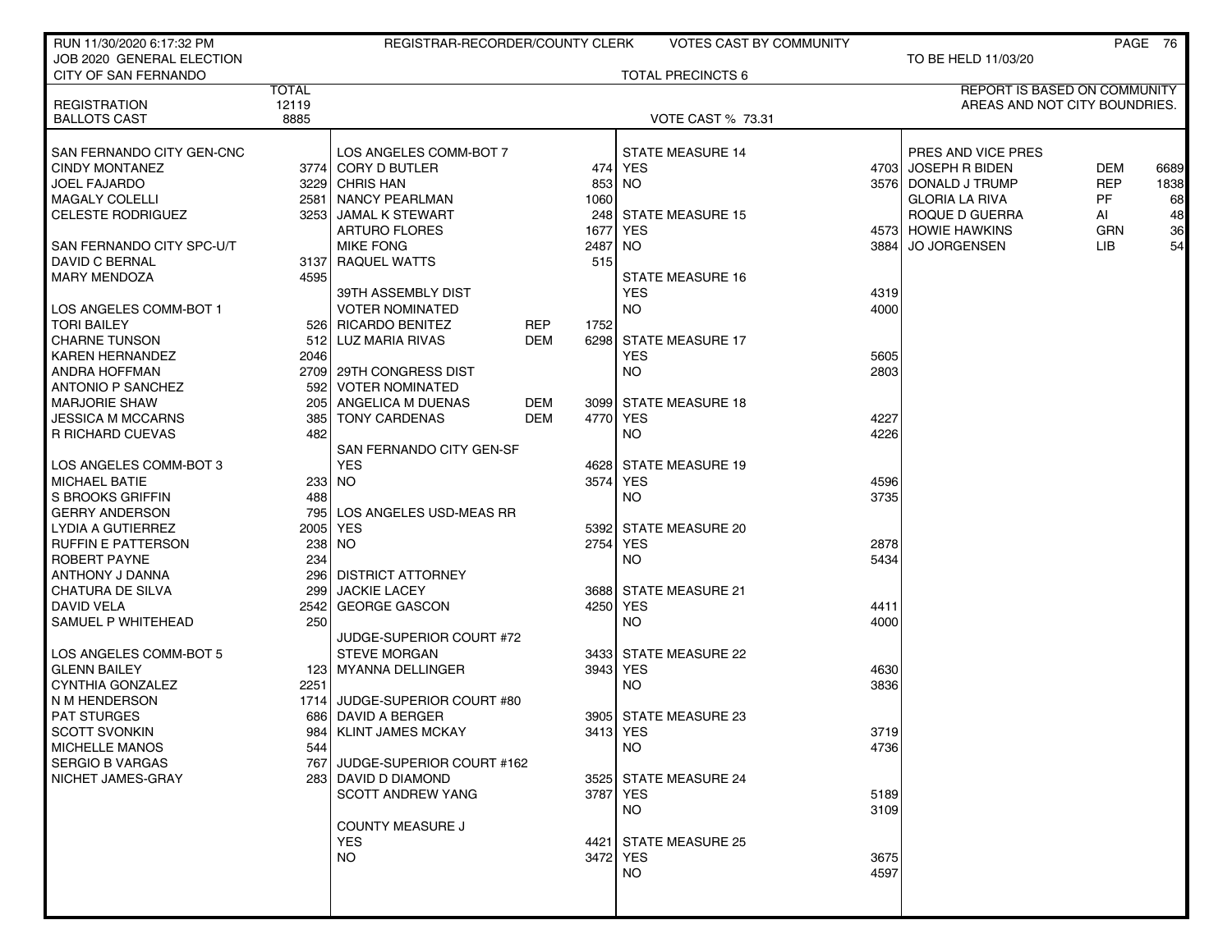| RUN 11/30/2020 6:17:32 PM                  |                    | REGISTRAR-RECORDER/COUNTY CLERK |            |          | <b>VOTES CAST BY COMMUNITY</b> |      |                               |            | PAGE 76 |
|--------------------------------------------|--------------------|---------------------------------|------------|----------|--------------------------------|------|-------------------------------|------------|---------|
| JOB 2020 GENERAL ELECTION                  |                    |                                 |            |          |                                |      | TO BE HELD 11/03/20           |            |         |
| <b>CITY OF SAN FERNANDO</b>                |                    |                                 |            |          | <b>TOTAL PRECINCTS 6</b>       |      |                               |            |         |
|                                            | <b>TOTAL</b>       |                                 |            |          |                                |      | REPORT IS BASED ON COMMUNITY  |            |         |
| <b>REGISTRATION</b>                        | 12119              |                                 |            |          |                                |      | AREAS AND NOT CITY BOUNDRIES. |            |         |
| <b>BALLOTS CAST</b>                        | 8885               |                                 |            |          | <b>VOTE CAST % 73.31</b>       |      |                               |            |         |
| SAN FERNANDO CITY GEN-CNC                  |                    | LOS ANGELES COMM-BOT 7          |            |          | <b>STATE MEASURE 14</b>        |      | PRES AND VICE PRES            |            |         |
| <b>CINDY MONTANEZ</b>                      |                    | 3774 CORY D BUTLER              |            |          | 474 YES                        |      | 4703 JOSEPH R BIDEN           | <b>DEM</b> | 6689    |
| <b>JOEL FAJARDO</b>                        |                    | 3229 CHRIS HAN                  |            | 853      | NO.                            |      | 3576 DONALD J TRUMP           | <b>REP</b> | 1838    |
| MAGALY COLELLI                             |                    | 2581 NANCY PEARLMAN             |            | 1060     |                                |      | <b>GLORIA LA RIVA</b>         | PF         | 68      |
| <b>CELESTE RODRIGUEZ</b>                   |                    | 3253 JAMAL K STEWART            |            |          | 248 STATE MEASURE 15           |      | ROQUE D GUERRA                | AI         | 48      |
|                                            |                    | <b>ARTURO FLORES</b>            |            | 1677     | <b>YES</b>                     |      | 4573 HOWIE HAWKINS            | <b>GRN</b> | 36      |
| SAN FERNANDO CITY SPC-U/T                  |                    | <b>MIKE FONG</b>                |            | 2487     | NO.                            |      | 3884 JO JORGENSEN             | LIB.       | 54      |
| DAVID C BERNAL                             |                    | 3137 RAQUEL WATTS               |            | 515      |                                |      |                               |            |         |
| <b>MARY MENDOZA</b>                        | 4595               |                                 |            |          | <b>STATE MEASURE 16</b>        |      |                               |            |         |
|                                            |                    | 39TH ASSEMBLY DIST              |            |          | <b>YES</b>                     | 4319 |                               |            |         |
| LOS ANGELES COMM-BOT 1                     |                    | <b>VOTER NOMINATED</b>          |            |          | NO.                            | 4000 |                               |            |         |
| <b>TORI BAILEY</b>                         |                    | 526 RICARDO BENITEZ             | REP        | 1752     |                                |      |                               |            |         |
| <b>CHARNE TUNSON</b>                       |                    | 512 LUZ MARIA RIVAS             | DEM        |          | 6298 STATE MEASURE 17          |      |                               |            |         |
| <b>KAREN HERNANDEZ</b>                     | 2046               |                                 |            |          | <b>YES</b>                     | 5605 |                               |            |         |
| ANDRA HOFFMAN                              |                    | 2709 29TH CONGRESS DIST         |            |          | NO.                            | 2803 |                               |            |         |
| <b>ANTONIO P SANCHEZ</b>                   | 592                | <b>VOTER NOMINATED</b>          |            |          |                                |      |                               |            |         |
| <b>MARJORIE SHAW</b>                       | 205 l              | ANGELICA M DUENAS               | <b>DEM</b> |          | 3099 STATE MEASURE 18          |      |                               |            |         |
| <b>JESSICA M MCCARNS</b>                   | 385                | <b>TONY CARDENAS</b>            | DEM        |          | 4770 YES                       | 4227 |                               |            |         |
| R RICHARD CUEVAS                           | 482                |                                 |            |          | NO.                            | 4226 |                               |            |         |
|                                            |                    | SAN FERNANDO CITY GEN-SF        |            |          |                                |      |                               |            |         |
| LOS ANGELES COMM-BOT 3                     |                    | <b>YES</b>                      |            |          | 4628 STATE MEASURE 19          |      |                               |            |         |
| <b>MICHAEL BATIE</b>                       |                    | 233 NO                          |            | 3574     | <b>YES</b>                     | 4596 |                               |            |         |
| S BROOKS GRIFFIN                           | 488                |                                 |            |          | NO.                            | 3735 |                               |            |         |
| <b>GERRY ANDERSON</b>                      | 795 l              | LOS ANGELES USD-MEAS RR         |            |          |                                |      |                               |            |         |
| LYDIA A GUTIERREZ                          | 2005               | <b>YES</b>                      |            |          | 5392 STATE MEASURE 20          |      |                               |            |         |
| <b>RUFFIN E PATTERSON</b>                  | 238                | NO.                             |            | 2754     | <b>YES</b>                     | 2878 |                               |            |         |
| ROBERT PAYNE                               | 234                | <b>DISTRICT ATTORNEY</b>        |            |          | NO.                            | 5434 |                               |            |         |
| ANTHONY J DANNA<br><b>CHATURA DE SILVA</b> | <b>2961</b><br>299 | <b>JACKIE LACEY</b>             |            |          | 3688 STATE MEASURE 21          |      |                               |            |         |
| DAVID VELA                                 | 2542               | GEORGE GASCON                   |            | 4250 YES |                                | 4411 |                               |            |         |
| SAMUEL P WHITEHEAD                         | 250                |                                 |            |          | <b>NO</b>                      | 4000 |                               |            |         |
|                                            |                    | JUDGE-SUPERIOR COURT #72        |            |          |                                |      |                               |            |         |
| LOS ANGELES COMM-BOT 5                     |                    | <b>STEVE MORGAN</b>             |            |          | 3433 STATE MEASURE 22          |      |                               |            |         |
| <b>GLENN BAILEY</b>                        |                    | 123 MYANNA DELLINGER            |            |          | 3943 YES                       | 4630 |                               |            |         |
| CYNTHIA GONZALEZ                           | 2251               |                                 |            |          | NO.                            | 3836 |                               |            |         |
| N M HENDERSON                              |                    | 1714 JUDGE-SUPERIOR COURT #80   |            |          |                                |      |                               |            |         |
| <b>PAT STURGES</b>                         |                    | 686 DAVID A BERGER              |            |          | 3905 STATE MEASURE 23          |      |                               |            |         |
| <b>SCOTT SVONKIN</b>                       |                    | 984   KLINT JAMES MCKAY         |            | 3413 YES |                                | 3719 |                               |            |         |
| <b>MICHELLE MANOS</b>                      | 544                |                                 |            |          | NO.                            | 4736 |                               |            |         |
| <b>SERGIO B VARGAS</b>                     |                    | 767 JUDGE-SUPERIOR COURT #162   |            |          |                                |      |                               |            |         |
| NICHET JAMES-GRAY                          |                    | 283 DAVID D DIAMOND             |            |          | 3525 STATE MEASURE 24          |      |                               |            |         |
|                                            |                    | SCOTT ANDREW YANG               |            | 3787 YES |                                | 5189 |                               |            |         |
|                                            |                    |                                 |            |          | NO.                            | 3109 |                               |            |         |
|                                            |                    | <b>COUNTY MEASURE J</b>         |            |          |                                |      |                               |            |         |
|                                            |                    | <b>YES</b>                      |            |          | 4421 STATE MEASURE 25          |      |                               |            |         |
|                                            |                    | NO.                             |            | 3472 YES |                                | 3675 |                               |            |         |
|                                            |                    |                                 |            |          | <b>NO</b>                      | 4597 |                               |            |         |
|                                            |                    |                                 |            |          |                                |      |                               |            |         |
|                                            |                    |                                 |            |          |                                |      |                               |            |         |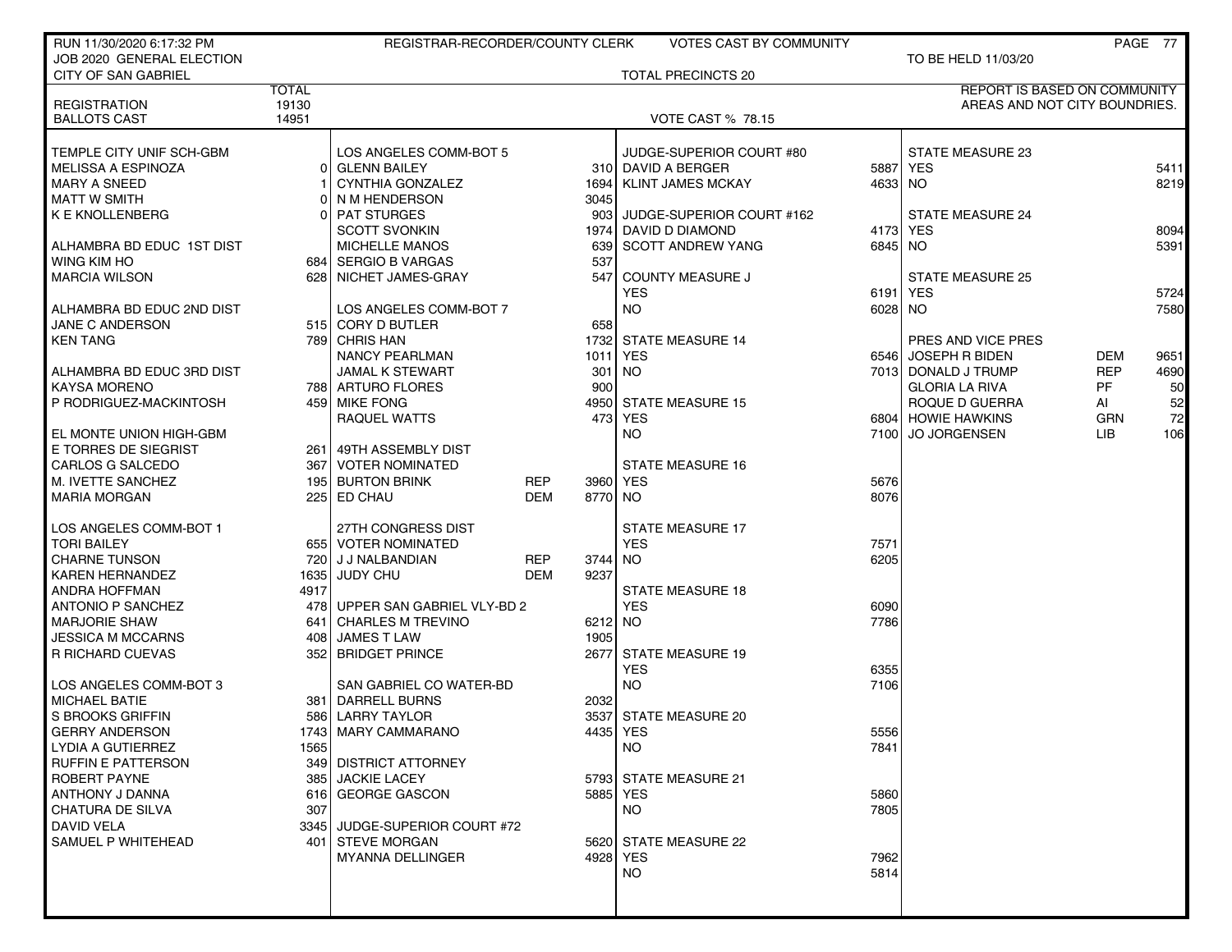| RUN 11/30/2020 6:17:32 PM  |              | REGISTRAR-RECORDER/COUNTY CLERK |            |         | <b>VOTES CAST BY COMMUNITY</b> |         |                                     |            | PAGE 77 |
|----------------------------|--------------|---------------------------------|------------|---------|--------------------------------|---------|-------------------------------------|------------|---------|
| JOB 2020 GENERAL ELECTION  |              |                                 |            |         |                                |         | TO BE HELD 11/03/20                 |            |         |
| <b>CITY OF SAN GABRIEL</b> |              |                                 |            |         | TOTAL PRECINCTS 20             |         |                                     |            |         |
|                            | <b>TOTAL</b> |                                 |            |         |                                |         | <b>REPORT IS BASED ON COMMUNITY</b> |            |         |
| <b>REGISTRATION</b>        | 19130        |                                 |            |         |                                |         | AREAS AND NOT CITY BOUNDRIES.       |            |         |
| <b>BALLOTS CAST</b>        | 14951        |                                 |            |         | <b>VOTE CAST % 78.15</b>       |         |                                     |            |         |
|                            |              |                                 |            |         |                                |         |                                     |            |         |
| TEMPLE CITY UNIF SCH-GBM   |              | LOS ANGELES COMM-BOT 5          |            |         | JUDGE-SUPERIOR COURT #80       |         | STATE MEASURE 23                    |            |         |
| <b>MELISSA A ESPINOZA</b>  | 01           | <b>GLENN BAILEY</b>             |            |         | 310 DAVID A BERGER             |         | 5887 YES                            |            | 5411    |
| <b>MARY A SNEED</b>        |              | CYNTHIA GONZALEZ                |            | 1694    | KLINT JAMES MCKAY              | 4633 NO |                                     |            | 8219    |
| MATT W SMITH               |              | 0 NM HENDERSON                  |            | 3045    |                                |         |                                     |            |         |
| K E KNOLLENBERG            |              | 0 PAT STURGES                   |            |         | 903 JUDGE-SUPERIOR COURT #162  |         | <b>STATE MEASURE 24</b>             |            |         |
|                            |              | <b>SCOTT SVONKIN</b>            |            | 1974    | DAVID D DIAMOND                |         | 4173 YES                            |            | 8094    |
| ALHAMBRA BD EDUC 1ST DIST  |              | <b>MICHELLE MANOS</b>           |            | 639     | <b>SCOTT ANDREW YANG</b>       | 6845 NO |                                     |            | 5391    |
| WING KIM HO                |              | 684   SERGIO B VARGAS           |            | 537     |                                |         |                                     |            |         |
| <b>MARCIA WILSON</b>       |              | 628 NICHET JAMES-GRAY           |            | 547     | <b>COUNTY MEASURE J</b>        |         | <b>STATE MEASURE 25</b>             |            |         |
|                            |              |                                 |            |         | <b>YES</b>                     |         | 6191 YES                            |            | 5724    |
| ALHAMBRA BD EDUC 2ND DIST  |              | LOS ANGELES COMM-BOT 7          |            |         | <b>NO</b>                      | 6028 NO |                                     |            | 7580    |
| JANE C ANDERSON            |              | 515 CORY D BUTLER               |            | 658     |                                |         |                                     |            |         |
| <b>KEN TANG</b>            |              | 789 CHRIS HAN                   |            |         | 1732 STATE MEASURE 14          |         | PRES AND VICE PRES                  |            |         |
|                            |              | <b>NANCY PEARLMAN</b>           |            |         | 1011 YES                       |         | 6546 JOSEPH R BIDEN                 | <b>DEM</b> | 9651    |
| ALHAMBRA BD EDUC 3RD DIST  |              | <b>JAMAL K STEWART</b>          |            |         | 301 NO                         |         | 7013 DONALD J TRUMP                 | <b>REP</b> | 4690    |
| <b>KAYSA MORENO</b>        |              | 788 ARTURO FLORES               |            | 900     |                                |         | <b>GLORIA LA RIVA</b>               | <b>PF</b>  | 50      |
| P RODRIGUEZ-MACKINTOSH     |              | 459 MIKE FONG                   |            |         | 4950 STATE MEASURE 15          |         | ROQUE D GUERRA                      | AI         | 52      |
|                            |              | RAQUEL WATTS                    |            |         | 473 YES                        |         | 6804 HOWIE HAWKINS                  | <b>GRN</b> | 72      |
| EL MONTE UNION HIGH-GBM    |              |                                 |            |         | <b>NO</b>                      | 7100    | <b>JO JORGENSEN</b>                 | LIB        | 106     |
| E TORRES DE SIEGRIST       |              | 261 49TH ASSEMBLY DIST          |            |         |                                |         |                                     |            |         |
| CARLOS G SALCEDO           |              | 367 VOTER NOMINATED             |            |         | <b>STATE MEASURE 16</b>        |         |                                     |            |         |
| M. IVETTE SANCHEZ          |              | 195 BURTON BRINK                | REP        |         | 3960 YES                       | 5676    |                                     |            |         |
| <b>MARIA MORGAN</b>        |              | 225 ED CHAU                     | <b>DEM</b> | 8770 NO |                                | 8076    |                                     |            |         |
|                            |              |                                 |            |         |                                |         |                                     |            |         |
| LOS ANGELES COMM-BOT 1     |              | 27TH CONGRESS DIST              |            |         | <b>STATE MEASURE 17</b>        |         |                                     |            |         |
| TORI BAILEY                |              | 655 VOTER NOMINATED             |            |         | <b>YES</b>                     | 7571    |                                     |            |         |
| <b>CHARNE TUNSON</b>       |              | 720 J J NALBANDIAN              | <b>REP</b> | 3744    | NO                             | 6205    |                                     |            |         |
| <b>KAREN HERNANDEZ</b>     |              | 1635 JUDY CHU                   | <b>DEM</b> | 9237    |                                |         |                                     |            |         |
| ANDRA HOFFMAN              | 4917         |                                 |            |         | <b>STATE MEASURE 18</b>        |         |                                     |            |         |
| <b>ANTONIO P SANCHEZ</b>   |              | 478 UPPER SAN GABRIEL VLY-BD 2  |            |         | <b>YES</b>                     | 6090    |                                     |            |         |
| <b>MARJORIE SHAW</b>       |              | 641 CHARLES M TREVINO           |            | 6212 NO |                                | 7786    |                                     |            |         |
| JESSICA M MCCARNS          | 408 l        | JAMES T LAW                     |            | 1905    |                                |         |                                     |            |         |
| R RICHARD CUEVAS           |              | 352 BRIDGET PRINCE              |            |         | 2677 STATE MEASURE 19          |         |                                     |            |         |
|                            |              |                                 |            |         | <b>YES</b>                     | 6355    |                                     |            |         |
| LOS ANGELES COMM-BOT 3     |              | SAN GABRIEL CO WATER-BD         |            |         | <b>NO</b>                      | 7106    |                                     |            |         |
| MICHAEL BATIE              |              | 381   DARRELL BURNS             |            | 2032    |                                |         |                                     |            |         |
| S BROOKS GRIFFIN           |              | 586 LARRY TAYLOR                |            |         | 3537 STATE MEASURE 20          |         |                                     |            |         |
| GERRY ANDERSON             |              | 1743 MARY CAMMARANO             |            |         | 4435 YES                       | 5556    |                                     |            |         |
| <b>LYDIA A GUTIERREZ</b>   | 1565         |                                 |            |         | NO                             | 7841    |                                     |            |         |
| <b>RUFFIN E PATTERSON</b>  |              | 349 DISTRICT ATTORNEY           |            |         |                                |         |                                     |            |         |
| ROBERT PAYNE               |              | 385 JACKIE LACEY                |            |         | 5793 STATE MEASURE 21          |         |                                     |            |         |
| ANTHONY J DANNA            |              | 616 GEORGE GASCON               |            |         | 5885 YES                       | 5860    |                                     |            |         |
| CHATURA DE SILVA           | 307          |                                 |            |         | NO.                            | 7805    |                                     |            |         |
| DAVID VELA                 |              | 3345 JUDGE-SUPERIOR COURT #72   |            |         |                                |         |                                     |            |         |
| SAMUEL P WHITEHEAD         |              | 401 STEVE MORGAN                |            |         | 5620 STATE MEASURE 22          |         |                                     |            |         |
|                            |              | <b>MYANNA DELLINGER</b>         |            |         | 4928 YES                       | 7962    |                                     |            |         |
|                            |              |                                 |            |         | <b>NO</b>                      | 5814    |                                     |            |         |
|                            |              |                                 |            |         |                                |         |                                     |            |         |
|                            |              |                                 |            |         |                                |         |                                     |            |         |
|                            |              |                                 |            |         |                                |         |                                     |            |         |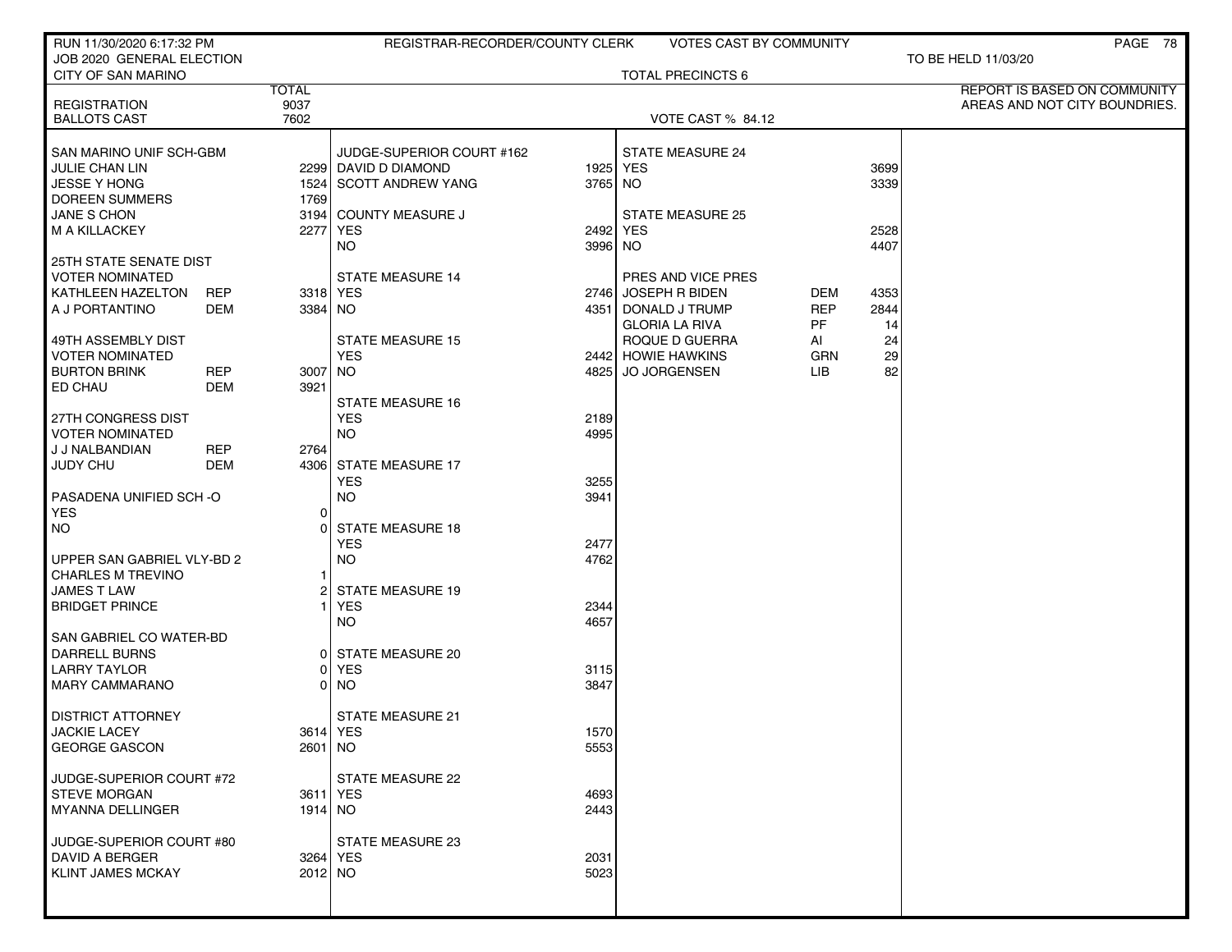| RUN 11/30/2020 6:17:32 PM                              |                | REGISTRAR-RECORDER/COUNTY CLERK       |              | <b>VOTES CAST BY COMMUNITY</b>       |            |          | PAGE 78                       |
|--------------------------------------------------------|----------------|---------------------------------------|--------------|--------------------------------------|------------|----------|-------------------------------|
| JOB 2020 GENERAL ELECTION<br><b>CITY OF SAN MARINO</b> |                |                                       |              | <b>TOTAL PRECINCTS 6</b>             |            |          | TO BE HELD 11/03/20           |
|                                                        | <b>TOTAL</b>   |                                       |              |                                      |            |          | REPORT IS BASED ON COMMUNITY  |
| <b>REGISTRATION</b>                                    | 9037           |                                       |              |                                      |            |          | AREAS AND NOT CITY BOUNDRIES. |
| <b>BALLOTS CAST</b>                                    | 7602           |                                       |              | VOTE CAST % 84.12                    |            |          |                               |
| SAN MARINO UNIF SCH-GBM                                |                | JUDGE-SUPERIOR COURT #162             |              | STATE MEASURE 24                     |            |          |                               |
| JULIE CHAN LIN                                         |                | 2299 DAVID D DIAMOND                  |              | 1925 YES                             |            | 3699     |                               |
| <b>JESSE Y HONG</b>                                    |                | 1524 SCOTT ANDREW YANG                | 3765 NO      |                                      |            | 3339     |                               |
| DOREEN SUMMERS                                         | 1769           |                                       |              |                                      |            |          |                               |
| JANE S CHON                                            |                | 3194 COUNTY MEASURE J                 |              | <b>STATE MEASURE 25</b>              |            |          |                               |
| M A KILLACKEY                                          | 2277           | <b>YES</b>                            | 2492 YES     |                                      |            | 2528     |                               |
|                                                        |                | NO.                                   | 3996 NO      |                                      |            | 4407     |                               |
| 25TH STATE SENATE DIST                                 |                |                                       |              |                                      |            |          |                               |
| <b>VOTER NOMINATED</b>                                 |                | <b>STATE MEASURE 14</b>               |              | PRES AND VICE PRES                   |            |          |                               |
| KATHLEEN HAZELTON<br><b>REP</b>                        |                | 3318 YES                              |              | 2746 JOSEPH R BIDEN                  | <b>DEM</b> | 4353     |                               |
| A J PORTANTINO                                         | DEM<br>3384 NO |                                       |              | 4351 DONALD J TRUMP                  | <b>REP</b> | 2844     |                               |
|                                                        |                |                                       |              | <b>GLORIA LA RIVA</b>                | PF         | 14       |                               |
| 49TH ASSEMBLY DIST<br><b>VOTER NOMINATED</b>           |                | <b>STATE MEASURE 15</b><br><b>YES</b> |              | ROQUE D GUERRA<br>2442 HOWIE HAWKINS | AI<br>GRN  | 24<br>29 |                               |
| <b>REP</b><br><b>BURTON BRINK</b>                      | 3007           | NO.                                   |              | 4825 JO JORGENSEN                    | LIB.       | 82       |                               |
| ED CHAU                                                | DEM<br>3921    |                                       |              |                                      |            |          |                               |
|                                                        |                | <b>STATE MEASURE 16</b>               |              |                                      |            |          |                               |
| 27TH CONGRESS DIST                                     |                | <b>YES</b>                            | 2189         |                                      |            |          |                               |
| <b>VOTER NOMINATED</b>                                 |                | <b>NO</b>                             | 4995         |                                      |            |          |                               |
| J J NALBANDIAN<br><b>REP</b>                           | 2764           |                                       |              |                                      |            |          |                               |
| <b>JUDY CHU</b><br>DEM                                 |                | 4306 STATE MEASURE 17                 |              |                                      |            |          |                               |
|                                                        |                | <b>YES</b>                            | 3255         |                                      |            |          |                               |
| PASADENA UNIFIED SCH-O                                 |                | <b>NO</b>                             | 3941         |                                      |            |          |                               |
| <b>YES</b>                                             | $\Omega$       |                                       |              |                                      |            |          |                               |
| NO.                                                    | 0              | <b>STATE MEASURE 18</b>               |              |                                      |            |          |                               |
| UPPER SAN GABRIEL VLY-BD 2                             |                | <b>YES</b>                            | 2477<br>4762 |                                      |            |          |                               |
| <b>CHARLES M TREVINO</b>                               | 1              | <b>NO</b>                             |              |                                      |            |          |                               |
| <b>JAMES T LAW</b>                                     | 2              | STATE MEASURE 19                      |              |                                      |            |          |                               |
| <b>BRIDGET PRINCE</b>                                  |                | <b>YES</b>                            | 2344         |                                      |            |          |                               |
|                                                        |                | <b>NO</b>                             | 4657         |                                      |            |          |                               |
| SAN GABRIEL CO WATER-BD                                |                |                                       |              |                                      |            |          |                               |
| DARRELL BURNS                                          | 01             | STATE MEASURE 20                      |              |                                      |            |          |                               |
| <b>LARRY TAYLOR</b>                                    | 01             | <b>YES</b>                            | 3115         |                                      |            |          |                               |
| <b>MARY CAMMARANO</b>                                  | 01             | <b>NO</b>                             | 3847         |                                      |            |          |                               |
|                                                        |                |                                       |              |                                      |            |          |                               |
| <b>DISTRICT ATTORNEY</b><br>JACKIE LACEY               |                | <b>STATE MEASURE 21</b><br>3614 YES   | 1570         |                                      |            |          |                               |
| <b>GEORGE GASCON</b>                                   | $2601$ NO      |                                       | 5553         |                                      |            |          |                               |
|                                                        |                |                                       |              |                                      |            |          |                               |
| JUDGE-SUPERIOR COURT #72                               |                | STATE MEASURE 22                      |              |                                      |            |          |                               |
| <b>STEVE MORGAN</b>                                    | 3611 YES       |                                       | 4693         |                                      |            |          |                               |
| <b>MYANNA DELLINGER</b>                                | 1914 NO        |                                       | 2443         |                                      |            |          |                               |
|                                                        |                |                                       |              |                                      |            |          |                               |
| JUDGE-SUPERIOR COURT #80                               |                | STATE MEASURE 23                      |              |                                      |            |          |                               |
| DAVID A BERGER<br><b>KLINT JAMES MCKAY</b>             | 2012 NO        | 3264 YES                              | 2031<br>5023 |                                      |            |          |                               |
|                                                        |                |                                       |              |                                      |            |          |                               |
|                                                        |                |                                       |              |                                      |            |          |                               |
|                                                        |                |                                       |              |                                      |            |          |                               |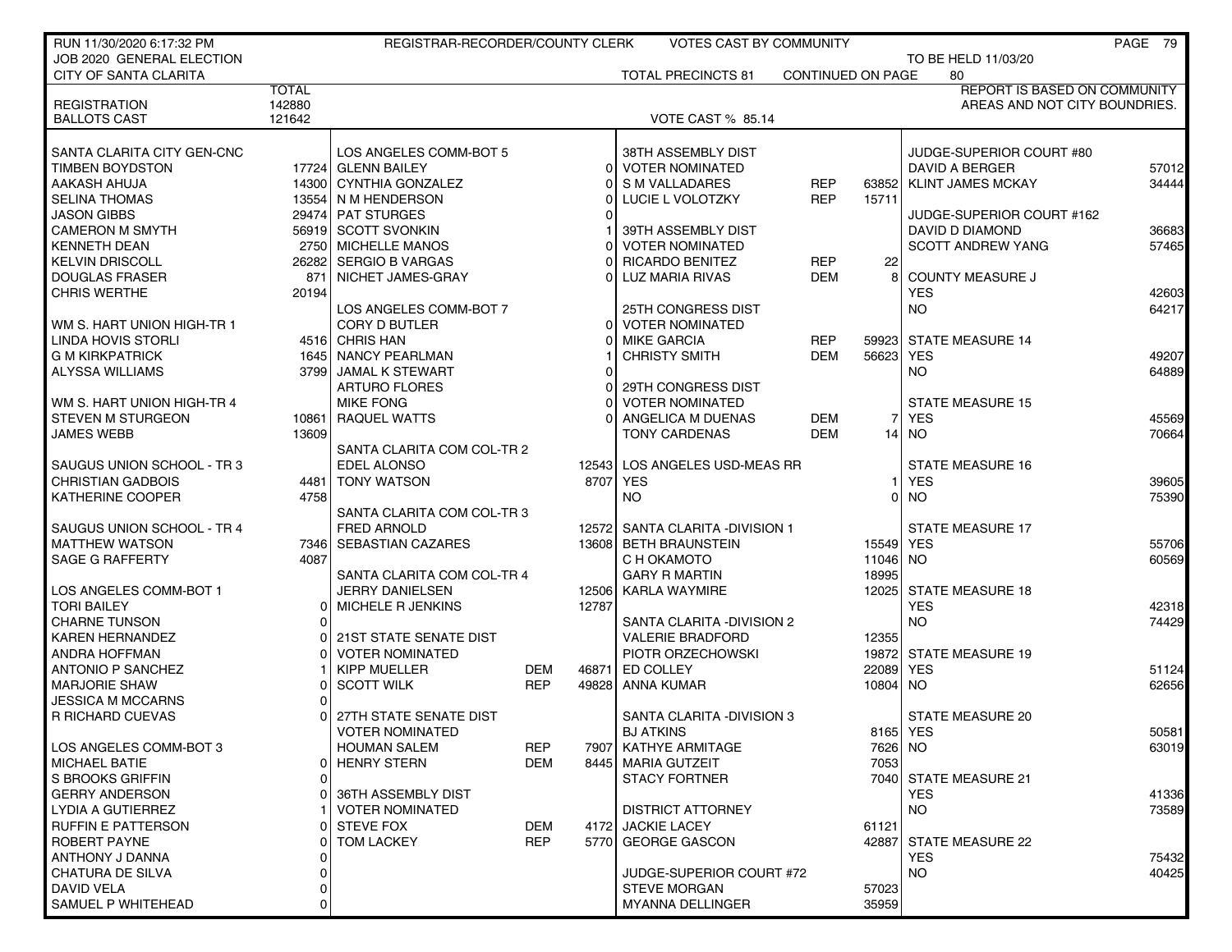| RUN 11/30/2020 6:17:32 PM                    |              | REGISTRAR-RECORDER/COUNTY CLERK |            |          | <b>VOTES CAST BY COMMUNITY</b>                      |                          |           |                                     | PAGE 79        |
|----------------------------------------------|--------------|---------------------------------|------------|----------|-----------------------------------------------------|--------------------------|-----------|-------------------------------------|----------------|
| JOB 2020 GENERAL ELECTION                    |              |                                 |            |          |                                                     |                          |           | TO BE HELD 11/03/20                 |                |
| <b>CITY OF SANTA CLARITA</b>                 |              |                                 |            |          | <b>TOTAL PRECINCTS 81</b>                           | <b>CONTINUED ON PAGE</b> |           | 80                                  |                |
|                                              | <b>TOTAL</b> |                                 |            |          |                                                     |                          |           | <b>REPORT IS BASED ON COMMUNITY</b> |                |
| <b>REGISTRATION</b>                          | 142880       |                                 |            |          |                                                     |                          |           | AREAS AND NOT CITY BOUNDRIES.       |                |
| <b>BALLOTS CAST</b>                          | 121642       |                                 |            |          | <b>VOTE CAST % 85.14</b>                            |                          |           |                                     |                |
|                                              |              |                                 |            |          |                                                     |                          |           |                                     |                |
| SANTA CLARITA CITY GEN-CNC                   |              | LOS ANGELES COMM-BOT 5          |            |          | 38TH ASSEMBLY DIST                                  |                          |           | JUDGE-SUPERIOR COURT #80            |                |
| <b>TIMBEN BOYDSTON</b>                       |              | 17724 GLENN BAILEY              |            | $\Omega$ | <b>VOTER NOMINATED</b>                              |                          |           | DAVID A BERGER                      | 57012          |
| AAKASH AHUJA                                 |              | 14300 CYNTHIA GONZALEZ          |            |          | S M VALLADARES                                      | <b>REP</b>               | 63852     | <b>KLINT JAMES MCKAY</b>            | 34444          |
| <b>SELINA THOMAS</b>                         |              | 13554 N M HENDERSON             |            |          | LUCIE L VOLOTZKY                                    | <b>REP</b>               | 15711     |                                     |                |
| <b>JASON GIBBS</b>                           |              | 29474 PAT STURGES               |            |          |                                                     |                          |           | JUDGE-SUPERIOR COURT #162           |                |
| <b>CAMERON M SMYTH</b>                       |              | 56919 SCOTT SVONKIN             |            |          | 39TH ASSEMBLY DIST                                  |                          |           | DAVID D DIAMOND                     | 36683          |
| <b>KENNETH DEAN</b>                          |              | 2750 MICHELLE MANOS             |            |          | <b>VOTER NOMINATED</b>                              |                          |           | <b>SCOTT ANDREW YANG</b>            | 57465          |
| <b>KELVIN DRISCOLL</b>                       |              | 26282 SERGIO B VARGAS           |            | U        | <b>RICARDO BENITEZ</b>                              | <b>REP</b>               | 22<br>8   |                                     |                |
| <b>DOUGLAS FRASER</b>                        | 871          | NICHET JAMES-GRAY               |            |          | LUZ MARIA RIVAS                                     | <b>DEM</b>               |           | <b>COUNTY MEASURE J</b>             |                |
| <b>CHRIS WERTHE</b>                          | 20194        |                                 |            |          |                                                     |                          |           | <b>YES</b><br><b>NO</b>             | 42603<br>64217 |
|                                              |              | LOS ANGELES COMM-BOT 7          |            | $\Omega$ | <b>25TH CONGRESS DIST</b><br><b>VOTER NOMINATED</b> |                          |           |                                     |                |
| WM S. HART UNION HIGH TR 1                   |              | CORY D BUTLER<br>4516 CHRIS HAN |            |          |                                                     |                          | 59923     | <b>STATE MEASURE 14</b>             |                |
| LINDA HOVIS STORLI<br><b>G M KIRKPATRICK</b> |              | 1645 NANCY PEARLMAN             |            |          | <b>MIKE GARCIA</b><br><b>CHRISTY SMITH</b>          | <b>REP</b><br><b>DEM</b> | 56623     | <b>YES</b>                          |                |
| <b>ALYSSA WILLIAMS</b>                       |              | 3799 JAMAL K STEWART            |            | $\Omega$ |                                                     |                          |           | NO.                                 | 49207<br>64889 |
|                                              |              | <b>ARTURO FLORES</b>            |            |          | 29TH CONGRESS DIST                                  |                          |           |                                     |                |
| WM S. HART UNION HIGH-TR 4                   |              | <b>MIKE FONG</b>                |            |          | <b>VOTER NOMINATED</b>                              |                          |           | <b>STATE MEASURE 15</b>             |                |
| <b>STEVEN M STURGEON</b>                     |              | 10861 RAQUEL WATTS              |            |          | ANGELICA M DUENAS                                   | <b>DEM</b>               | 71        | <b>YES</b>                          | 45569          |
| <b>JAMES WEBB</b>                            | 13609        |                                 |            |          | <b>TONY CARDENAS</b>                                | <b>DEM</b>               |           | $14$ NO                             | 70664          |
|                                              |              | SANTA CLARITA COM COL-TR 2      |            |          |                                                     |                          |           |                                     |                |
| SAUGUS UNION SCHOOL - TR 3                   |              | <b>EDEL ALONSO</b>              |            | 12543    | LOS ANGELES USD-MEAS RR                             |                          |           | <b>STATE MEASURE 16</b>             |                |
| <b>CHRISTIAN GADBOIS</b>                     |              | 4481   TONY WATSON              |            | 8707     | <b>YES</b>                                          |                          | 1         | <b>YES</b>                          | 39605          |
| <b>KATHERINE COOPER</b>                      | 4758         |                                 |            |          | NO.                                                 |                          | 0١        | <b>NO</b>                           | 75390          |
|                                              |              | SANTA CLARITA COM COL-TR 3      |            |          |                                                     |                          |           |                                     |                |
| SAUGUS UNION SCHOOL - TR 4                   |              | <b>FRED ARNOLD</b>              |            | 125721   | SANTA CLARITA -DIVISION 1                           |                          |           | <b>STATE MEASURE 17</b>             |                |
| <b>MATTHEW WATSON</b>                        |              | 7346 SEBASTIAN CAZARES          |            |          | 13608 BETH BRAUNSTEIN                               |                          | 15549 YES |                                     | 55706          |
| <b>SAGE G RAFFERTY</b>                       | 4087         |                                 |            |          | C H OKAMOTO                                         |                          | 11046 NO  |                                     | 60569          |
|                                              |              | SANTA CLARITA COM COL-TR 4      |            |          | <b>GARY R MARTIN</b>                                |                          | 18995     |                                     |                |
| LOS ANGELES COMM-BOT 1                       |              | <b>JERRY DANIELSEN</b>          |            | 12506    | <b>KARLA WAYMIRE</b>                                |                          | 12025     | <b>STATE MEASURE 18</b>             |                |
| <b>TORI BAILEY</b>                           | 01           | MICHELE R JENKINS               |            | 12787    |                                                     |                          |           | <b>YES</b>                          | 42318          |
| <b>CHARNE TUNSON</b>                         |              |                                 |            |          | SANTA CLARITA - DIVISION 2                          |                          |           | <b>NO</b>                           | 74429          |
| <b>KAREN HERNANDEZ</b>                       |              | 21ST STATE SENATE DIST          |            |          | <b>VALERIE BRADFORD</b>                             |                          | 12355     |                                     |                |
| <b>ANDRA HOFFMAN</b>                         |              | <b>VOTER NOMINATED</b>          |            |          | PIOTR ORZECHOWSKI                                   |                          |           | 19872 STATE MEASURE 19              |                |
| <b>ANTONIO P SANCHEZ</b>                     |              | KIPP MUELLER                    | DEM        | 46871    | ED COLLEY                                           |                          | 22089     | <b>YES</b>                          | 51124          |
| <b>MARJORIE SHAW</b>                         |              | <b>SCOTT WILK</b>               | <b>REP</b> | 49828    | <b>ANNA KUMAR</b>                                   |                          | 10804 NO  |                                     | 62656          |
| JESSICA M MCCARNS                            |              |                                 |            |          |                                                     |                          |           |                                     |                |
| R RICHARD CUEVAS                             |              | 27TH STATE SENATE DIST          |            |          | SANTA CLARITA - DIVISION 3                          |                          |           | <b>STATE MEASURE 20</b>             |                |
|                                              |              | <b>VOTER NOMINATED</b>          |            |          | <b>BJ ATKINS</b>                                    |                          |           | 8165   YES                          | 50581          |
| LOS ANGELES COMM-BOT 3                       |              | <b>HOUMAN SALEM</b>             | <b>REP</b> | 79071    | KATHYE ARMITAGE                                     |                          | 7626 NO   |                                     | 63019          |
| <b>MICHAEL BATIE</b>                         | 01           | <b>HENRY STERN</b>              | <b>DEM</b> | 8445     | <b>MARIA GUTZEIT</b>                                |                          | 7053      |                                     |                |
| S BROOKS GRIFFIN                             | 0            |                                 |            |          | <b>STACY FORTNER</b>                                |                          |           | 7040 STATE MEASURE 21               |                |
| <b>GERRY ANDERSON</b>                        | ΟI           | 36TH ASSEMBLY DIST              |            |          |                                                     |                          |           | <b>YES</b>                          | 41336          |
| LYDIA A GUTIERREZ                            |              | <b>VOTER NOMINATED</b>          |            |          | <b>DISTRICT ATTORNEY</b>                            |                          |           | <b>NO</b>                           | 73589          |
| <b>RUFFIN E PATTERSON</b>                    |              | <b>STEVE FOX</b>                | <b>DEM</b> | 4172     | <b>JACKIE LACEY</b>                                 |                          | 61121     |                                     |                |
| ROBERT PAYNE                                 | 01           | <b>TOM LACKEY</b>               | <b>REP</b> | 5770     | <b>GEORGE GASCON</b>                                |                          | 42887     | STATE MEASURE 22                    |                |
| ANTHONY J DANNA                              |              |                                 |            |          |                                                     |                          |           | <b>YES</b>                          | 75432          |
| <b>CHATURA DE SILVA</b>                      | 0            |                                 |            |          | JUDGE-SUPERIOR COURT #72                            |                          |           | <b>NO</b>                           | 40425          |
| DAVID VELA                                   | 0            |                                 |            |          | <b>STEVE MORGAN</b>                                 |                          | 57023     |                                     |                |
| SAMUEL P WHITEHEAD                           | 0            |                                 |            |          | <b>MYANNA DELLINGER</b>                             |                          | 35959     |                                     |                |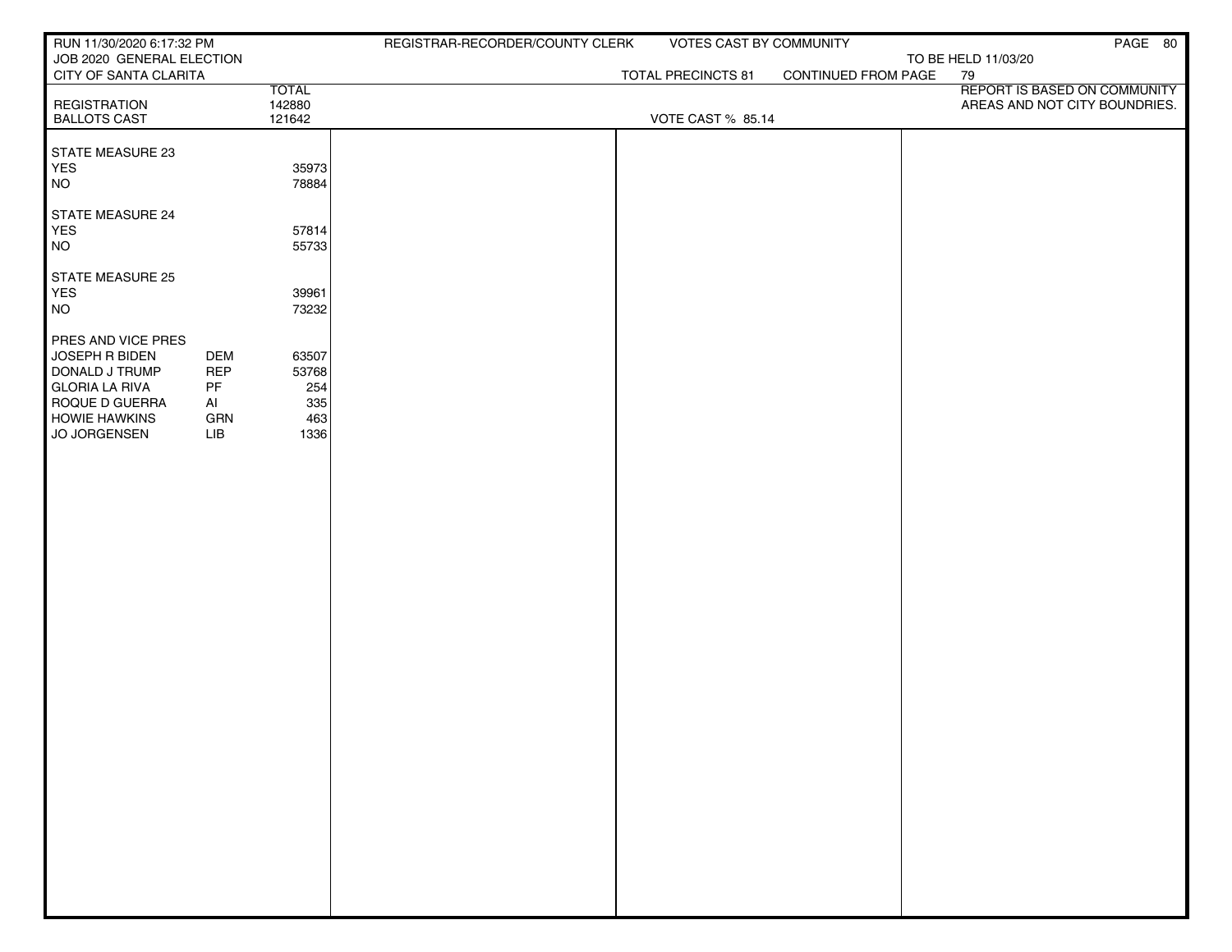| RUN 11/30/2020 6:17:32 PM                                                                                                                 |                                                                            |                                             | REGISTRAR-RECORDER/COUNTY CLERK | VOTES CAST BY COMMUNITY  |                     | PAGE 80                                                       |
|-------------------------------------------------------------------------------------------------------------------------------------------|----------------------------------------------------------------------------|---------------------------------------------|---------------------------------|--------------------------|---------------------|---------------------------------------------------------------|
| JOB 2020 GENERAL ELECTION<br>CITY OF SANTA CLARITA                                                                                        |                                                                            |                                             |                                 | TOTAL PRECINCTS 81       | CONTINUED FROM PAGE | TO BE HELD 11/03/20<br>79                                     |
| <b>REGISTRATION</b><br><b>BALLOTS CAST</b>                                                                                                |                                                                            | <b>TOTAL</b><br>142880<br>121642            |                                 | <b>VOTE CAST % 85.14</b> |                     | REPORT IS BASED ON COMMUNITY<br>AREAS AND NOT CITY BOUNDRIES. |
| STATE MEASURE 23<br>YES<br><b>NO</b>                                                                                                      |                                                                            | 35973<br>78884                              |                                 |                          |                     |                                                               |
| STATE MEASURE 24<br>YES<br><b>NO</b>                                                                                                      |                                                                            | 57814<br>55733                              |                                 |                          |                     |                                                               |
| STATE MEASURE 25<br>YES<br><b>NO</b>                                                                                                      |                                                                            | 39961<br>73232                              |                                 |                          |                     |                                                               |
| PRES AND VICE PRES<br>JOSEPH R BIDEN<br>DONALD J TRUMP<br><b>GLORIA LA RIVA</b><br>ROQUE D GUERRA<br><b>HOWIE HAWKINS</b><br>JO JORGENSEN | <b>DEM</b><br><b>REP</b><br>$\ensuremath{\mathsf{PF}}$<br>AI<br>GRN<br>LIB | 63507<br>53768<br>254<br>335<br>463<br>1336 |                                 |                          |                     |                                                               |
|                                                                                                                                           |                                                                            |                                             |                                 |                          |                     |                                                               |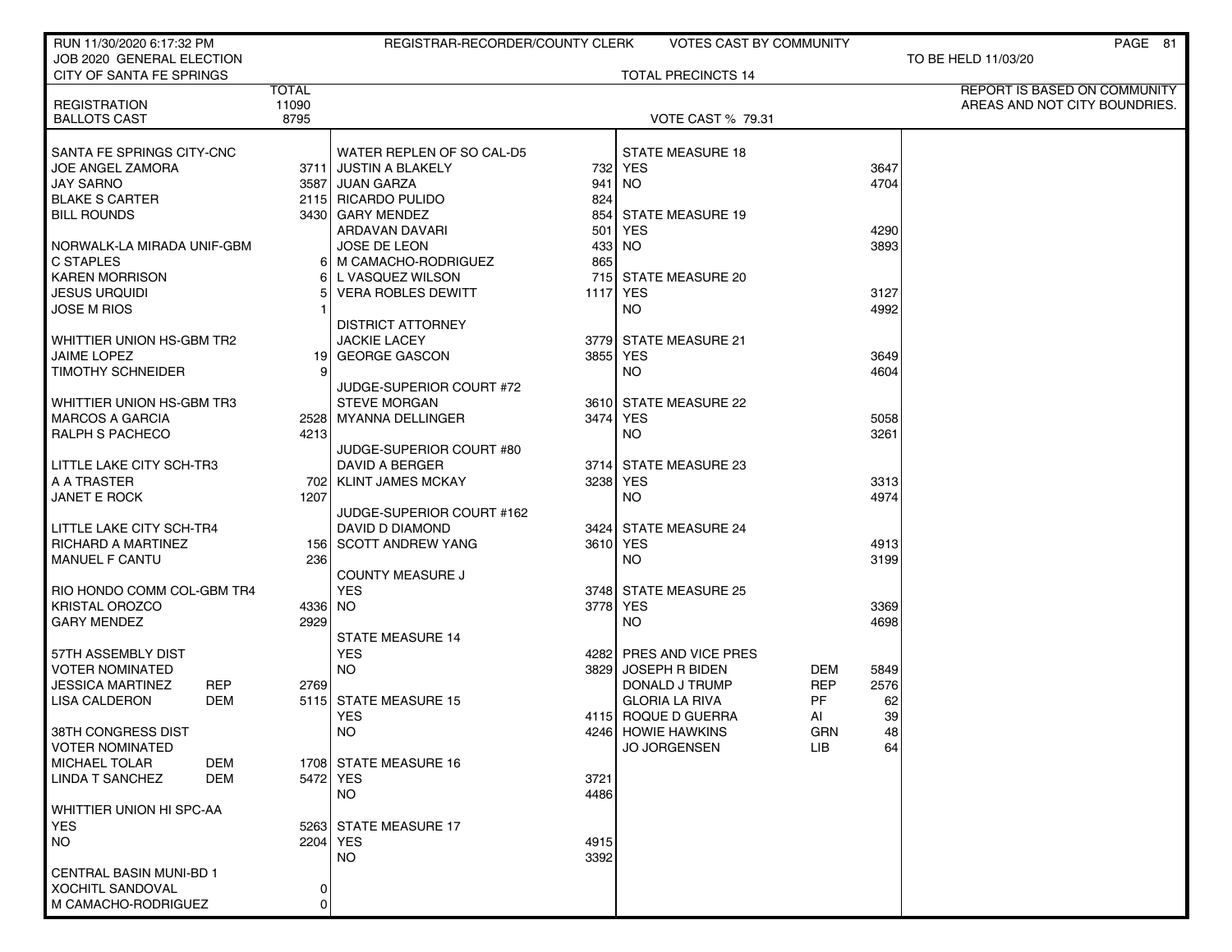| RUN 11/30/2020 6:17:32 PM                  |                | REGISTRAR-RECORDER/COUNTY CLERK |          | <b>VOTES CAST BY COMMUNITY</b> |                  | PAGE 81                       |
|--------------------------------------------|----------------|---------------------------------|----------|--------------------------------|------------------|-------------------------------|
| JOB 2020 GENERAL ELECTION                  |                |                                 |          |                                |                  | TO BE HELD 11/03/20           |
| CITY OF SANTA FE SPRINGS                   |                |                                 |          | <b>TOTAL PRECINCTS 14</b>      |                  |                               |
|                                            | <b>TOTAL</b>   |                                 |          |                                |                  | REPORT IS BASED ON COMMUNITY  |
| <b>REGISTRATION</b><br><b>BALLOTS CAST</b> | 11090<br>8795  |                                 |          | <b>VOTE CAST % 79.31</b>       |                  | AREAS AND NOT CITY BOUNDRIES. |
|                                            |                |                                 |          |                                |                  |                               |
| SANTA FE SPRINGS CITY-CNC                  |                | WATER REPLEN OF SO CAL-D5       |          | <b>STATE MEASURE 18</b>        |                  |                               |
| <b>JOE ANGEL ZAMORA</b>                    |                | 3711 JUSTIN A BLAKELY           |          | 732 YES                        | 3647             |                               |
| <b>JAY SARNO</b>                           |                | 3587 JUAN GARZA                 | 941      | NO.                            | 4704             |                               |
| <b>BLAKE S CARTER</b>                      |                | 2115 RICARDO PULIDO             | 824      |                                |                  |                               |
| <b>BILL ROUNDS</b>                         |                | 3430 GARY MENDEZ                | 854      | STATE MEASURE 19               |                  |                               |
|                                            |                | ARDAVAN DAVARI                  | 501      | YES                            | 4290             |                               |
| NORWALK-LA MIRADA UNIF-GBM                 |                | <b>JOSE DE LEON</b>             |          | 433 NO                         | 3893             |                               |
| <b>C STAPLES</b>                           |                | 6 M CAMACHO-RODRIGUEZ           | 865      |                                |                  |                               |
| KAREN MORRISON                             | 61             | L VASQUEZ WILSON                | 715      | <b>STATE MEASURE 20</b>        |                  |                               |
| <b>JESUS URQUIDI</b>                       |                | <b>VERA ROBLES DEWITT</b>       | 1117 YES |                                | 3127             |                               |
| <b>JOSE M RIOS</b>                         |                |                                 |          | NO.                            | 4992             |                               |
|                                            |                | DISTRICT ATTORNEY               |          |                                |                  |                               |
| WHITTIER UNION HS-GBM TR2                  |                | <b>JACKIE LACEY</b>             |          | 3779 STATE MEASURE 21          |                  |                               |
| JAIME LOPEZ                                | 19             | <b>GEORGE GASCON</b>            | 3855 YES |                                | 3649             |                               |
| <b>TIMOTHY SCHNEIDER</b>                   | 9 <sup>1</sup> |                                 |          | <b>NO</b>                      | 4604             |                               |
|                                            |                | JUDGE-SUPERIOR COURT #72        |          |                                |                  |                               |
| WHITTIER UNION HS-GBM TR3                  |                | <b>STEVE MORGAN</b>             |          | 3610 STATE MEASURE 22          |                  |                               |
| <b>MARCOS A GARCIA</b>                     |                | 2528 MYANNA DELLINGER           | 3474 YES |                                | 5058             |                               |
| <b>RALPH S PACHECO</b>                     | 4213           |                                 |          | <b>NO</b>                      | 3261             |                               |
|                                            |                | JUDGE-SUPERIOR COURT #80        |          |                                |                  |                               |
| LITTLE LAKE CITY SCH-TR3                   |                | DAVID A BERGER                  |          | 3714 STATE MEASURE 23          |                  |                               |
| A A TRASTER                                |                | 702   KLINT JAMES MCKAY         | 3238 YES |                                | 3313             |                               |
| <b>JANET E ROCK</b>                        | 1207           |                                 |          | NO.                            | 4974             |                               |
|                                            |                | JUDGE-SUPERIOR COURT #162       |          |                                |                  |                               |
| LITTLE LAKE CITY SCH-TR4                   |                | DAVID D DIAMOND                 |          | 3424 STATE MEASURE 24          |                  |                               |
| <b>RICHARD A MARTINEZ</b>                  |                | 156 SCOTT ANDREW YANG           | 3610 YES |                                | 4913             |                               |
| <b>MANUEL F CANTU</b>                      | 236            |                                 |          | <b>NO</b>                      | 3199             |                               |
|                                            |                | <b>COUNTY MEASURE J</b>         |          |                                |                  |                               |
| RIO HONDO COMM COL-GBM TR4                 |                | <b>YES</b>                      |          | 3748 STATE MEASURE 25          |                  |                               |
| <b>KRISTAL OROZCO</b>                      | 4336 NO        |                                 | 3778 YES |                                | 3369             |                               |
| <b>GARY MENDEZ</b>                         | 2929           |                                 |          | <b>NO</b>                      | 4698             |                               |
|                                            |                | <b>STATE MEASURE 14</b>         |          |                                |                  |                               |
| 57TH ASSEMBLY DIST                         |                | <b>YES</b>                      |          | 4282 PRES AND VICE PRES        |                  |                               |
| <b>VOTER NOMINATED</b>                     |                | <b>NO</b>                       |          | 3829 JOSEPH R BIDEN            | DEM<br>5849      |                               |
| <b>JESSICA MARTINEZ</b><br>REP             | 2769           |                                 |          | DONALD J TRUMP                 | 2576<br>REP      |                               |
| <b>LISA CALDERON</b><br><b>DEM</b>         |                | 5115 STATE MEASURE 15           |          | <b>GLORIA LA RIVA</b>          | PF<br>62         |                               |
|                                            |                | YES                             |          | 4115 ROQUE D GUERRA            | 39<br>AI         |                               |
| 38TH CONGRESS DIST                         |                | NO.                             |          | 4246 HOWIE HAWKINS             | GRN              | 48                            |
| <b>VOTER NOMINATED</b>                     |                |                                 |          | <b>JO JORGENSEN</b>            | <b>LIB</b><br>64 |                               |
| MICHAEL TOLAR<br>DEM                       |                | 1708 STATE MEASURE 16           |          |                                |                  |                               |
| LINDA T SANCHEZ<br>DEM                     |                | 5472 YES                        | 3721     |                                |                  |                               |
|                                            |                | NO.                             | 4486     |                                |                  |                               |
| WHITTIER UNION HI SPC-AA                   |                |                                 |          |                                |                  |                               |
| <b>YES</b>                                 |                | 5263 STATE MEASURE 17           |          |                                |                  |                               |
| NO                                         |                | 2204 YES                        | 4915     |                                |                  |                               |
|                                            |                | <b>NO</b>                       | 3392     |                                |                  |                               |
| <b>CENTRAL BASIN MUNI-BD 1</b>             |                |                                 |          |                                |                  |                               |
| XOCHITL SANDOVAL                           | 0              |                                 |          |                                |                  |                               |
| M CAMACHO-RODRIGUEZ                        | 0              |                                 |          |                                |                  |                               |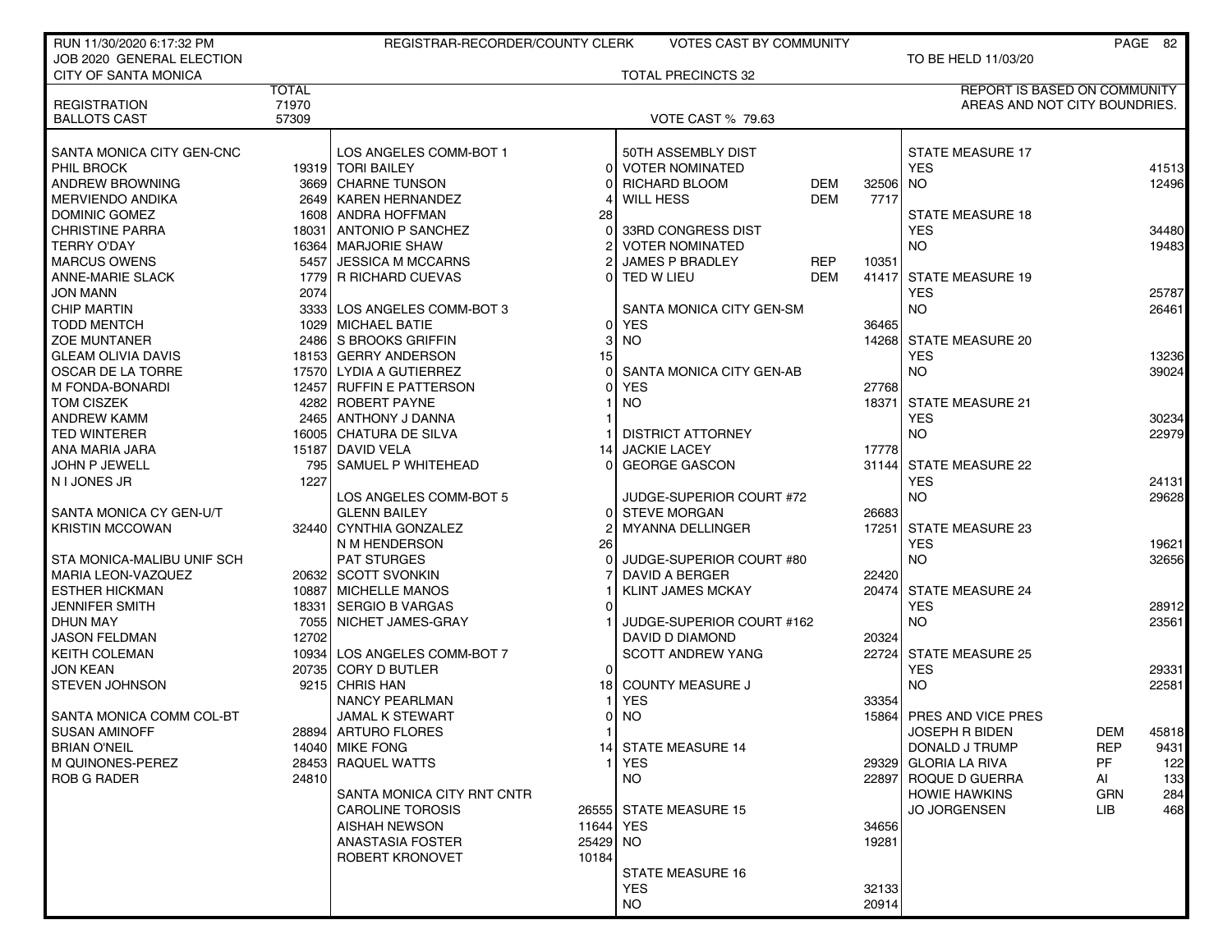| RUN 11/30/2020 6:17:32 PM            |              | REGISTRAR-RECORDER/COUNTY CLERK             |                       | <b>VOTES CAST BY COMMUNITY</b>          |                        |                                       |            | PAGE 82        |
|--------------------------------------|--------------|---------------------------------------------|-----------------------|-----------------------------------------|------------------------|---------------------------------------|------------|----------------|
| JOB 2020 GENERAL ELECTION            |              |                                             |                       |                                         |                        | TO BE HELD 11/03/20                   |            |                |
| <b>CITY OF SANTA MONICA</b>          |              |                                             |                       | <b>TOTAL PRECINCTS 32</b>               |                        |                                       |            |                |
|                                      | <b>TOTAL</b> |                                             |                       |                                         |                        | <b>REPORT IS BASED ON COMMUNITY</b>   |            |                |
| <b>REGISTRATION</b>                  | 71970        |                                             |                       |                                         |                        | AREAS AND NOT CITY BOUNDRIES.         |            |                |
| <b>BALLOTS CAST</b>                  | 57309        |                                             |                       | <b>VOTE CAST % 79.63</b>                |                        |                                       |            |                |
|                                      |              |                                             |                       |                                         |                        |                                       |            |                |
| SANTA MONICA CITY GEN-CNC            |              | LOS ANGELES COMM-BOT 1<br>19319 TORI BAILEY |                       | 50TH ASSEMBLY DIST<br>0 VOTER NOMINATED |                        | <b>STATE MEASURE 17</b><br><b>YES</b> |            |                |
| PHIL BROCK<br><b>ANDREW BROWNING</b> |              | 3669 CHARNE TUNSON                          |                       | <b>RICHARD BLOOM</b>                    | <b>DEM</b><br>32506 NO |                                       |            | 41513<br>12496 |
| <b>MERVIENDO ANDIKA</b>              |              | 2649 KAREN HERNANDEZ                        |                       | <b>WILL HESS</b>                        | <b>DEM</b><br>7717     |                                       |            |                |
| DOMINIC GOMEZ                        |              | 1608 ANDRA HOFFMAN                          | 28                    |                                         |                        | <b>STATE MEASURE 18</b>               |            |                |
| <b>CHRISTINE PARRA</b>               | 18031        | ANTONIO P SANCHEZ                           | $\Omega$              | 33RD CONGRESS DIST                      |                        | <b>YES</b>                            |            | 34480          |
| <b>TERRY O'DAY</b>                   |              | 16364   MARJORIE SHAW                       |                       | <b>VOTER NOMINATED</b>                  |                        | <b>NO</b>                             |            | 19483          |
| <b>MARCUS OWENS</b>                  |              | 5457 JESSICA M MCCARNS                      | $\overline{2}$        | JAMES P BRADLEY                         | REP<br>10351           |                                       |            |                |
| <b>ANNE-MARIE SLACK</b>              |              | 1779 R RICHARD CUEVAS                       | $\Omega$              | TED W LIEU                              | <b>DEM</b><br>41417    | <b>STATE MEASURE 19</b>               |            |                |
| <b>JON MANN</b>                      | 2074         |                                             |                       |                                         |                        | <b>YES</b>                            |            | 25787          |
| <b>CHIP MARTIN</b>                   |              | 3333 LOS ANGELES COMM-BOT 3                 |                       | SANTA MONICA CITY GEN-SM                |                        | <b>NO</b>                             |            | 26461          |
| <b>TODD MENTCH</b>                   |              | 1029 MICHAEL BATIE                          | $\Omega$              | YES                                     | 36465                  |                                       |            |                |
| <b>ZOE MUNTANER</b>                  |              | 2486 S BROOKS GRIFFIN                       | 3                     | <b>NO</b>                               |                        | 14268 STATE MEASURE 20                |            |                |
| <b>GLEAM OLIVIA DAVIS</b>            |              | 18153 GERRY ANDERSON                        | 15                    |                                         |                        | <b>YES</b>                            |            | 13236          |
| OSCAR DE LA TORRE                    |              | 17570 LYDIA A GUTIERREZ                     | 0                     | SANTA MONICA CITY GEN-AB                |                        | <b>NO</b>                             |            | 39024          |
| M FONDA-BONARDI                      |              | 12457 RUFFIN E PATTERSON                    |                       | <b>YES</b>                              | 27768                  |                                       |            |                |
| TOM CISZEK                           |              | 4282 ROBERT PAYNE                           |                       | <b>NO</b>                               | 18371                  | <b>STATE MEASURE 21</b>               |            |                |
| <b>ANDREW KAMM</b>                   |              | 2465   ANTHONY J DANNA                      |                       |                                         |                        | <b>YES</b>                            |            | 30234          |
| <b>TED WINTERER</b>                  |              | 16005 CHATURA DE SILVA                      |                       | <b>DISTRICT ATTORNEY</b>                |                        | <b>NO</b>                             |            | 22979          |
| ANA MARIA JARA                       |              | 15187 DAVID VELA                            | 14                    | <b>JACKIE LACEY</b>                     | 17778                  |                                       |            |                |
| JOHN P JEWELL                        |              | 795 SAMUEL P WHITEHEAD                      | $\Omega$              | <b>GEORGE GASCON</b>                    | 31144                  | <b>STATE MEASURE 22</b>               |            |                |
| N I JONES JR                         | 1227         |                                             |                       |                                         |                        | <b>YES</b>                            |            | 24131          |
|                                      |              | LOS ANGELES COMM-BOT 5                      |                       | JUDGE-SUPERIOR COURT #72                |                        | <b>NO</b>                             |            | 29628          |
| SANTA MONICA CY GEN-U/T              |              | <b>GLENN BAILEY</b>                         | $\Omega$              | <b>STEVE MORGAN</b>                     | 26683                  |                                       |            |                |
| <b>KRISTIN MCCOWAN</b>               |              | 32440 CYNTHIA GONZALEZ                      |                       | <b>MYANNA DELLINGER</b>                 |                        | 17251 STATE MEASURE 23                |            |                |
|                                      |              | N M HENDERSON                               | 26                    |                                         |                        | <b>YES</b>                            |            | 19621          |
| STA MONICA-MALIBU UNIF SCH           |              | <b>PAT STURGES</b>                          | $\Omega$              | JUDGE-SUPERIOR COURT #80                |                        | <b>NO</b>                             |            | 32656          |
| MARIA LEON-VAZQUEZ                   |              | 20632 SCOTT SVONKIN                         |                       | <b>DAVID A BERGER</b>                   | 22420                  |                                       |            |                |
| <b>ESTHER HICKMAN</b>                |              | 10887 MICHELLE MANOS                        |                       | <b>KLINT JAMES MCKAY</b>                | 20474                  | <b>STATE MEASURE 24</b>               |            |                |
| <b>JENNIFER SMITH</b>                |              | 18331 SERGIO B VARGAS                       | O                     |                                         |                        | <b>YES</b>                            |            | 28912          |
| DHUN MAY                             |              | 7055 NICHET JAMES-GRAY                      |                       | JUDGE-SUPERIOR COURT #162               |                        | <b>NO</b>                             |            | 23561          |
| <b>JASON FELDMAN</b>                 | 12702        |                                             |                       | DAVID D DIAMOND                         | 20324                  |                                       |            |                |
| <b>KEITH COLEMAN</b>                 |              | 10934 LOS ANGELES COMM-BOT 7                |                       | <b>SCOTT ANDREW YANG</b>                |                        | 22724 STATE MEASURE 25                |            |                |
| <b>JON KEAN</b>                      |              | 20735 CORY D BUTLER                         | 0                     |                                         |                        | <b>YES</b>                            |            | 29331          |
| <b>STEVEN JOHNSON</b>                |              | 9215 CHRIS HAN                              | 18                    | <b>COUNTY MEASURE J</b>                 |                        | <b>NO</b>                             |            | 22581          |
|                                      |              | <b>NANCY PEARLMAN</b>                       |                       | <b>YES</b>                              | 33354                  |                                       |            |                |
| SANTA MONICA COMM COL-BT             |              | <b>JAMAL K STEWART</b>                      | 0                     | <b>NO</b>                               | 15864                  | PRES AND VICE PRES                    |            |                |
| <b>SUSAN AMINOFF</b>                 |              | 28894  ARTURO FLORES                        |                       |                                         |                        | <b>JOSEPH R BIDEN</b>                 | DEM        | 45818          |
| <b>BRIAN O'NEIL</b>                  |              | 14040 MIKE FONG                             |                       | 14 STATE MEASURE 14                     |                        | DONALD J TRUMP                        | <b>REP</b> | 9431           |
| M QUINONES-PEREZ                     |              | 28453 RAQUEL WATTS                          |                       | <b>YES</b>                              |                        | 29329 GLORIA LA RIVA                  | PF.        | 122            |
| <b>ROB G RADER</b>                   | 24810        |                                             |                       | NO.                                     |                        | 22897 ROQUE D GUERRA                  | AI         | 133            |
|                                      |              | SANTA MONICA CITY RNT CNTR                  |                       |                                         |                        | <b>HOWIE HAWKINS</b>                  | GRN        | 284            |
|                                      |              | <b>CAROLINE TOROSIS</b>                     |                       | 26555 STATE MEASURE 15                  |                        | <b>JO JORGENSEN</b>                   | LIB.       | 468            |
|                                      |              | <b>AISHAH NEWSON</b>                        | 11644 YES<br>25429 NO |                                         | 34656                  |                                       |            |                |
|                                      |              | <b>ANASTASIA FOSTER</b>                     | 10184                 |                                         | 19281                  |                                       |            |                |
|                                      |              | ROBERT KRONOVET                             |                       | <b>STATE MEASURE 16</b>                 |                        |                                       |            |                |
|                                      |              |                                             |                       | <b>YES</b>                              | 32133                  |                                       |            |                |
|                                      |              |                                             |                       | NO.                                     | 20914                  |                                       |            |                |
|                                      |              |                                             |                       |                                         |                        |                                       |            |                |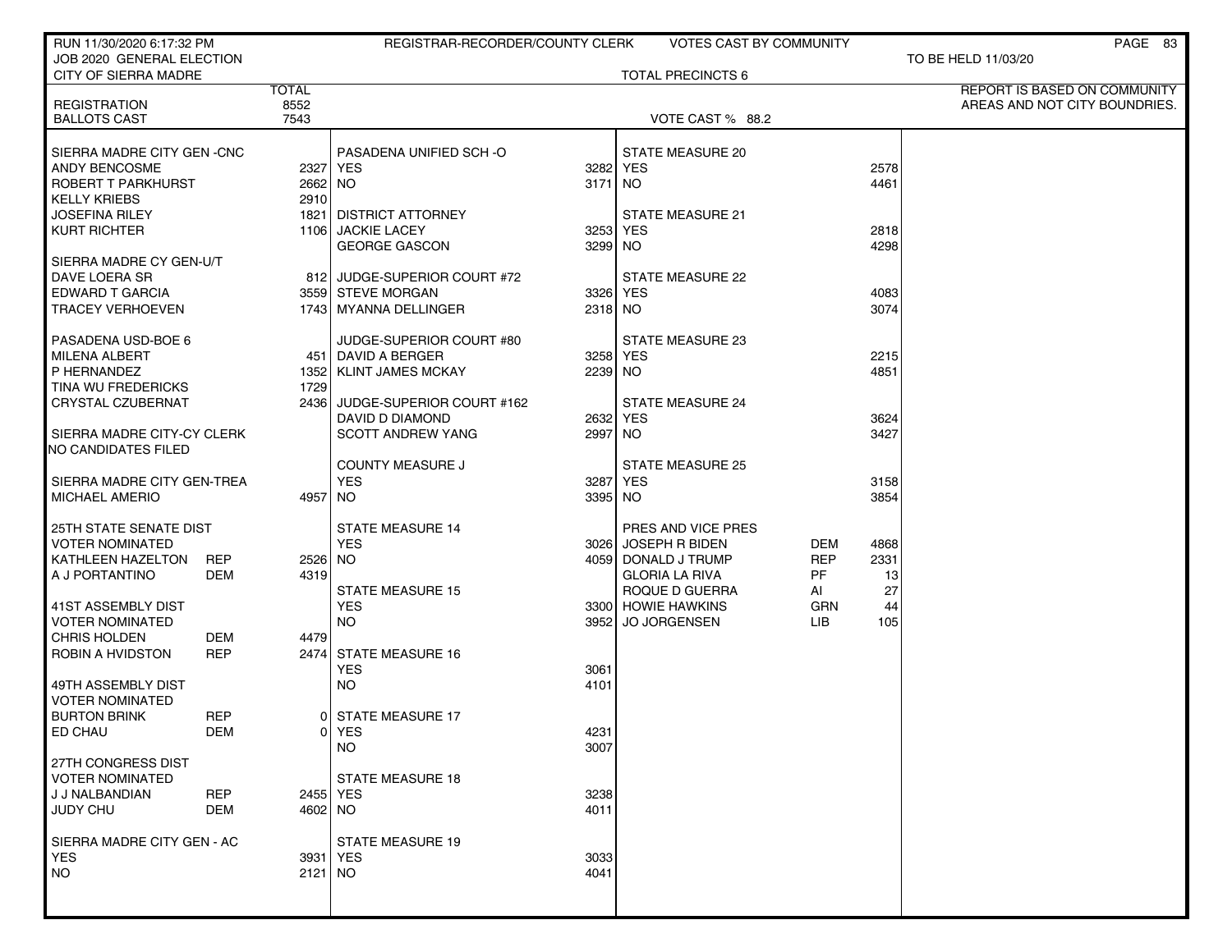| RUN 11/30/2020 6:17:32 PM                                  |              | REGISTRAR-RECORDER/COUNTY CLERK                  |                     | <b>VOTES CAST BY COMMUNITY</b>       |            |              | PAGE 83                             |
|------------------------------------------------------------|--------------|--------------------------------------------------|---------------------|--------------------------------------|------------|--------------|-------------------------------------|
| JOB 2020 GENERAL ELECTION<br>CITY OF SIERRA MADRE          |              |                                                  |                     | <b>TOTAL PRECINCTS 6</b>             |            |              | TO BE HELD 11/03/20                 |
|                                                            | <b>TOTAL</b> |                                                  |                     |                                      |            |              | <b>REPORT IS BASED ON COMMUNITY</b> |
| <b>REGISTRATION</b>                                        | 8552         |                                                  |                     |                                      |            |              | AREAS AND NOT CITY BOUNDRIES.       |
| <b>BALLOTS CAST</b>                                        | 7543         |                                                  |                     | VOTE CAST % 88.2                     |            |              |                                     |
| SIERRA MADRE CITY GEN - CNC                                |              | PASADENA UNIFIED SCH-O                           |                     | <b>STATE MEASURE 20</b>              |            |              |                                     |
| <b>ANDY BENCOSME</b>                                       |              | 2327 YES                                         | 3282 YES            |                                      |            | 2578         |                                     |
| ROBERT T PARKHURST                                         | 2662 NO      |                                                  | 3171 NO             |                                      |            | 4461         |                                     |
| <b>KELLY KRIEBS</b>                                        | 2910         |                                                  |                     |                                      |            |              |                                     |
| <b>JOSEFINA RILEY</b>                                      | 1821         | <b>DISTRICT ATTORNEY</b>                         |                     | <b>STATE MEASURE 21</b>              |            |              |                                     |
| <b>KURT RICHTER</b>                                        | 1106l        | <b>JACKIE LACEY</b><br><b>GEORGE GASCON</b>      | 3253<br>3299 NO     | YES                                  |            | 2818<br>4298 |                                     |
| SIERRA MADRE CY GEN-U/T                                    |              |                                                  |                     |                                      |            |              |                                     |
| DAVE LOERA SR                                              |              | 812 JUDGE-SUPERIOR COURT #72                     |                     | <b>STATE MEASURE 22</b>              |            |              |                                     |
| EDWARD T GARCIA                                            |              | 3559 STEVE MORGAN                                | 3326 YES            |                                      |            | 4083         |                                     |
| <b>TRACEY VERHOEVEN</b>                                    |              | 1743   MYANNA DELLINGER                          | 2318 NO             |                                      |            | 3074         |                                     |
|                                                            |              |                                                  |                     |                                      |            |              |                                     |
| PASADENA USD-BOE 6                                         |              | JUDGE-SUPERIOR COURT #80                         |                     | <b>STATE MEASURE 23</b>              |            |              |                                     |
| <b>MILENA ALBERT</b><br>P HERNANDEZ                        |              | 451   DAVID A BERGER<br>1352   KLINT JAMES MCKAY | 3258 YES<br>2239 NO |                                      |            | 2215<br>4851 |                                     |
| TINA WU FREDERICKS                                         | 1729         |                                                  |                     |                                      |            |              |                                     |
| CRYSTAL CZUBERNAT                                          | 24361        | JUDGE-SUPERIOR COURT #162                        |                     | <b>STATE MEASURE 24</b>              |            |              |                                     |
|                                                            |              | DAVID D DIAMOND                                  | 2632 YES            |                                      |            | 3624         |                                     |
| SIERRA MADRE CITY-CY CLERK                                 |              | <b>SCOTT ANDREW YANG</b>                         | 2997                | NO.                                  |            | 3427         |                                     |
| <b>NO CANDIDATES FILED</b>                                 |              |                                                  |                     |                                      |            |              |                                     |
|                                                            |              | <b>COUNTY MEASURE J</b>                          |                     | <b>STATE MEASURE 25</b>              |            |              |                                     |
| SIERRA MADRE CITY GEN-TREA<br><b>MICHAEL AMERIO</b>        | 4957 NO      | <b>YES</b>                                       | 3287<br>3395 NO     | YES                                  |            | 3158<br>3854 |                                     |
|                                                            |              |                                                  |                     |                                      |            |              |                                     |
| <b>25TH STATE SENATE DIST</b>                              |              | <b>STATE MEASURE 14</b>                          |                     | PRES AND VICE PRES                   |            |              |                                     |
| <b>VOTER NOMINATED</b>                                     |              | <b>YES</b>                                       | 3026                | <b>JOSEPH R BIDEN</b>                | DEM        | 4868         |                                     |
| KATHLEEN HAZELTON<br><b>REP</b>                            | 2526 NO      |                                                  |                     | 4059 DONALD J TRUMP                  | <b>REP</b> | 2331         |                                     |
| A J PORTANTINO<br>DEM                                      | 4319         |                                                  |                     | <b>GLORIA LA RIVA</b>                | <b>PF</b>  | 13           |                                     |
| 41ST ASSEMBLY DIST                                         |              | <b>STATE MEASURE 15</b><br><b>YES</b>            |                     | ROQUE D GUERRA<br>3300 HOWIE HAWKINS | AI<br>GRN  | 27<br>44     |                                     |
| <b>VOTER NOMINATED</b>                                     |              | <b>NO</b>                                        | 3952                | <b>JO JORGENSEN</b>                  | LIB        | 105          |                                     |
| <b>CHRIS HOLDEN</b><br>DEM                                 | 4479         |                                                  |                     |                                      |            |              |                                     |
| <b>ROBIN A HVIDSTON</b><br><b>REP</b>                      | 2474         | <b>STATE MEASURE 16</b>                          |                     |                                      |            |              |                                     |
|                                                            |              | <b>YES</b>                                       | 3061                |                                      |            |              |                                     |
| 49TH ASSEMBLY DIST                                         |              | NO.                                              | 4101                |                                      |            |              |                                     |
| VOTER NOMINATED                                            |              |                                                  |                     |                                      |            |              |                                     |
| <b>BURTON BRINK</b><br><b>REP</b><br>ED CHAU<br><b>DEM</b> |              | 0 STATE MEASURE 17<br>0 YES                      | 4231                |                                      |            |              |                                     |
|                                                            |              | <b>NO</b>                                        | 3007                |                                      |            |              |                                     |
| 27TH CONGRESS DIST                                         |              |                                                  |                     |                                      |            |              |                                     |
| <b>VOTER NOMINATED</b>                                     |              | <b>STATE MEASURE 18</b>                          |                     |                                      |            |              |                                     |
| J J NALBANDIAN<br><b>REP</b>                               |              | 2455 YES                                         | 3238                |                                      |            |              |                                     |
| <b>JUDY CHU</b><br><b>DEM</b>                              | 4602 NO      |                                                  | 4011                |                                      |            |              |                                     |
| SIERRA MADRE CITY GEN - AC                                 |              | STATE MEASURE 19                                 |                     |                                      |            |              |                                     |
| <b>YES</b>                                                 |              | 3931   YES                                       | 3033                |                                      |            |              |                                     |
| <b>NO</b>                                                  | $2121$ NO    |                                                  | 4041                |                                      |            |              |                                     |
|                                                            |              |                                                  |                     |                                      |            |              |                                     |
|                                                            |              |                                                  |                     |                                      |            |              |                                     |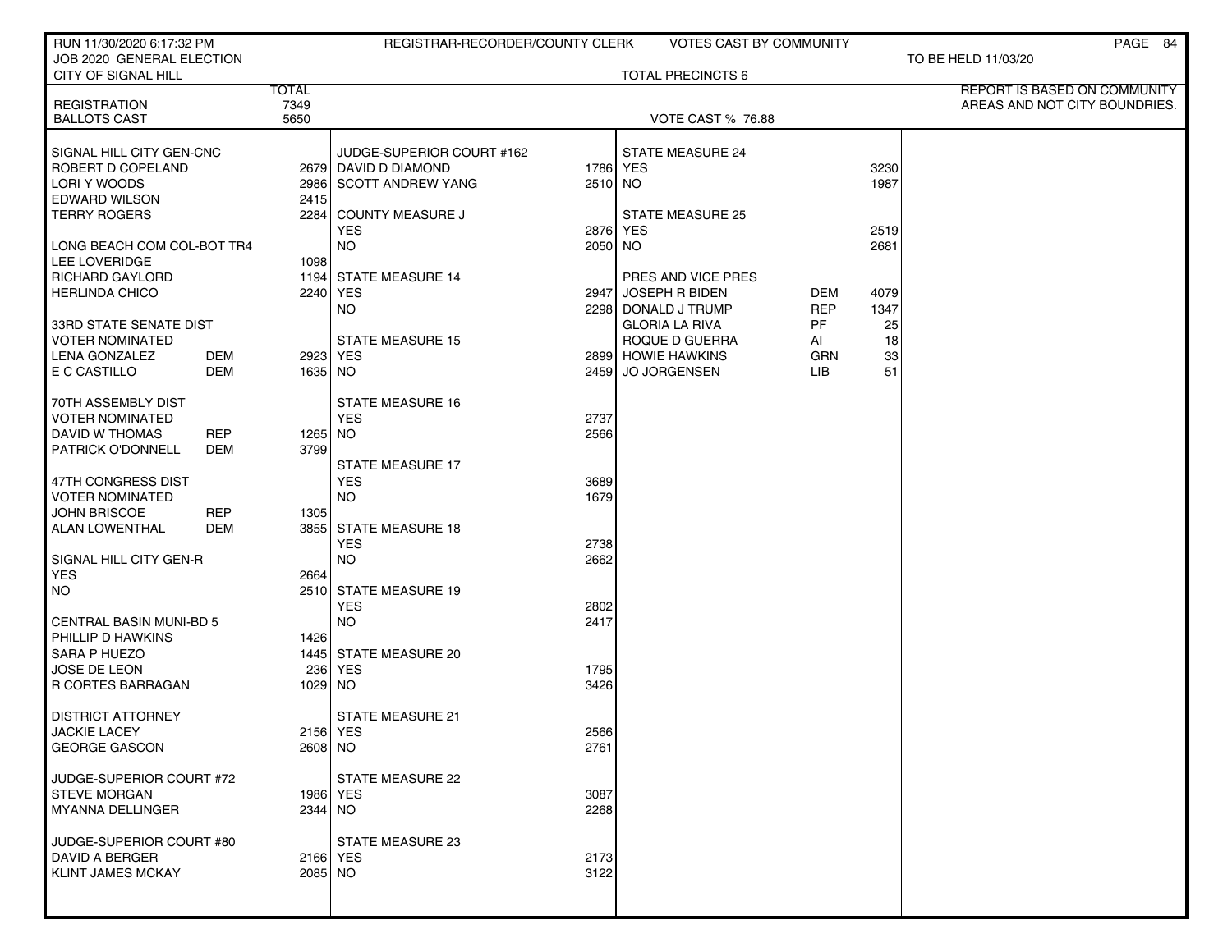| RUN 11/30/2020 6:17:32 PM                        |              | REGISTRAR-RECORDER/COUNTY CLERK     |          | <b>VOTES CAST BY COMMUNITY</b>          |                  |          | PAGE 84                       |
|--------------------------------------------------|--------------|-------------------------------------|----------|-----------------------------------------|------------------|----------|-------------------------------|
| JOB 2020 GENERAL ELECTION<br>CITY OF SIGNAL HILL |              |                                     |          | <b>TOTAL PRECINCTS 6</b>                |                  |          | TO BE HELD 11/03/20           |
|                                                  | <b>TOTAL</b> |                                     |          |                                         |                  |          | REPORT IS BASED ON COMMUNITY  |
| <b>REGISTRATION</b>                              | 7349         |                                     |          |                                         |                  |          | AREAS AND NOT CITY BOUNDRIES. |
| <b>BALLOTS CAST</b>                              | 5650         |                                     |          | VOTE CAST % 76.88                       |                  |          |                               |
| SIGNAL HILL CITY GEN-CNC                         |              | JUDGE-SUPERIOR COURT #162           |          | <b>STATE MEASURE 24</b>                 |                  |          |                               |
| ROBERT D COPELAND                                |              | 2679 DAVID D DIAMOND                | 1786 YES |                                         |                  | 3230     |                               |
| LORI Y WOODS                                     |              | 2986 SCOTT ANDREW YANG              | 2510 NO  |                                         |                  | 1987     |                               |
| <b>EDWARD WILSON</b>                             | 2415         |                                     |          |                                         |                  |          |                               |
| <b>TERRY ROGERS</b>                              | 2284         | <b>COUNTY MEASURE J</b>             |          | <b>STATE MEASURE 25</b>                 |                  |          |                               |
|                                                  |              | <b>YES</b>                          | 2876 YES |                                         |                  | 2519     |                               |
| LONG BEACH COM COL-BOT TR4                       |              | <b>NO</b>                           | 2050 NO  |                                         |                  | 2681     |                               |
| LEE LOVERIDGE                                    | 1098         |                                     |          |                                         |                  |          |                               |
| <b>RICHARD GAYLORD</b>                           |              | 1194 STATE MEASURE 14               |          | PRES AND VICE PRES                      |                  |          |                               |
| <b>HERLINDA CHICO</b>                            | 2240         | <b>YES</b>                          | 2947     | JOSEPH R BIDEN                          | DEM              | 4079     |                               |
|                                                  |              | NO.                                 |          | 2298 DONALD J TRUMP                     | <b>REP</b><br>PF | 1347     |                               |
| 33RD STATE SENATE DIST<br><b>VOTER NOMINATED</b> |              | <b>STATE MEASURE 15</b>             |          | <b>GLORIA LA RIVA</b><br>ROQUE D GUERRA | AI               | 25<br>18 |                               |
| <b>LENA GONZALEZ</b><br>DEM                      |              | 2923 YES                            |          | 2899 HOWIE HAWKINS                      | GRN              | 33       |                               |
| E C CASTILLO<br><b>DEM</b>                       | 1635 NO      |                                     | 2459     | <b>JO JORGENSEN</b>                     | <b>LIB</b>       | 51       |                               |
|                                                  |              |                                     |          |                                         |                  |          |                               |
| 70TH ASSEMBLY DIST                               |              | <b>STATE MEASURE 16</b>             |          |                                         |                  |          |                               |
| VOTER NOMINATED                                  |              | <b>YES</b>                          | 2737     |                                         |                  |          |                               |
| DAVID W THOMAS<br><b>REP</b>                     | 1265 NO      |                                     | 2566     |                                         |                  |          |                               |
| PATRICK O'DONNELL<br>DEM                         | 3799         |                                     |          |                                         |                  |          |                               |
|                                                  |              | <b>STATE MEASURE 17</b>             |          |                                         |                  |          |                               |
| 47TH CONGRESS DIST                               |              | <b>YES</b>                          | 3689     |                                         |                  |          |                               |
| <b>VOTER NOMINATED</b>                           |              | <b>NO</b>                           | 1679     |                                         |                  |          |                               |
| JOHN BRISCOE<br><b>REP</b>                       | 1305         |                                     |          |                                         |                  |          |                               |
| <b>ALAN LOWENTHAL</b><br>DEM                     |              | 3855 STATE MEASURE 18<br><b>YES</b> | 2738     |                                         |                  |          |                               |
| SIGNAL HILL CITY GEN-R                           |              | <b>NO</b>                           | 2662     |                                         |                  |          |                               |
| <b>YES</b>                                       | 2664         |                                     |          |                                         |                  |          |                               |
| <b>NO</b>                                        |              | 2510 STATE MEASURE 19               |          |                                         |                  |          |                               |
|                                                  |              | <b>YES</b>                          | 2802     |                                         |                  |          |                               |
| <b>CENTRAL BASIN MUNI-BD 5</b>                   |              | <b>NO</b>                           | 2417     |                                         |                  |          |                               |
| PHILLIP D HAWKINS                                | 1426         |                                     |          |                                         |                  |          |                               |
| <b>SARA P HUEZO</b>                              |              | 1445 STATE MEASURE 20               |          |                                         |                  |          |                               |
| JOSE DE LEON                                     | 236          | <b>YES</b>                          | 1795     |                                         |                  |          |                               |
| <b>R CORTES BARRAGAN</b>                         | 1029         | NO.                                 | 3426     |                                         |                  |          |                               |
|                                                  |              | <b>STATE MEASURE 21</b>             |          |                                         |                  |          |                               |
| <b>DISTRICT ATTORNEY</b><br><b>JACKIE LACEY</b>  |              | 2156 YES                            | 2566     |                                         |                  |          |                               |
| <b>GEORGE GASCON</b>                             |              | 2608 NO                             | 2761     |                                         |                  |          |                               |
|                                                  |              |                                     |          |                                         |                  |          |                               |
| JUDGE-SUPERIOR COURT #72                         |              | <b>STATE MEASURE 22</b>             |          |                                         |                  |          |                               |
| <b>STEVE MORGAN</b>                              |              | 1986 YES                            | 3087     |                                         |                  |          |                               |
| <b>MYANNA DELLINGER</b>                          |              | 2344 NO                             | 2268     |                                         |                  |          |                               |
|                                                  |              |                                     |          |                                         |                  |          |                               |
| JUDGE-SUPERIOR COURT #80                         |              | STATE MEASURE 23                    |          |                                         |                  |          |                               |
| DAVID A BERGER                                   |              | 2166   YES                          | 2173     |                                         |                  |          |                               |
| <b>KLINT JAMES MCKAY</b>                         |              | 2085 NO                             | 3122     |                                         |                  |          |                               |
|                                                  |              |                                     |          |                                         |                  |          |                               |
|                                                  |              |                                     |          |                                         |                  |          |                               |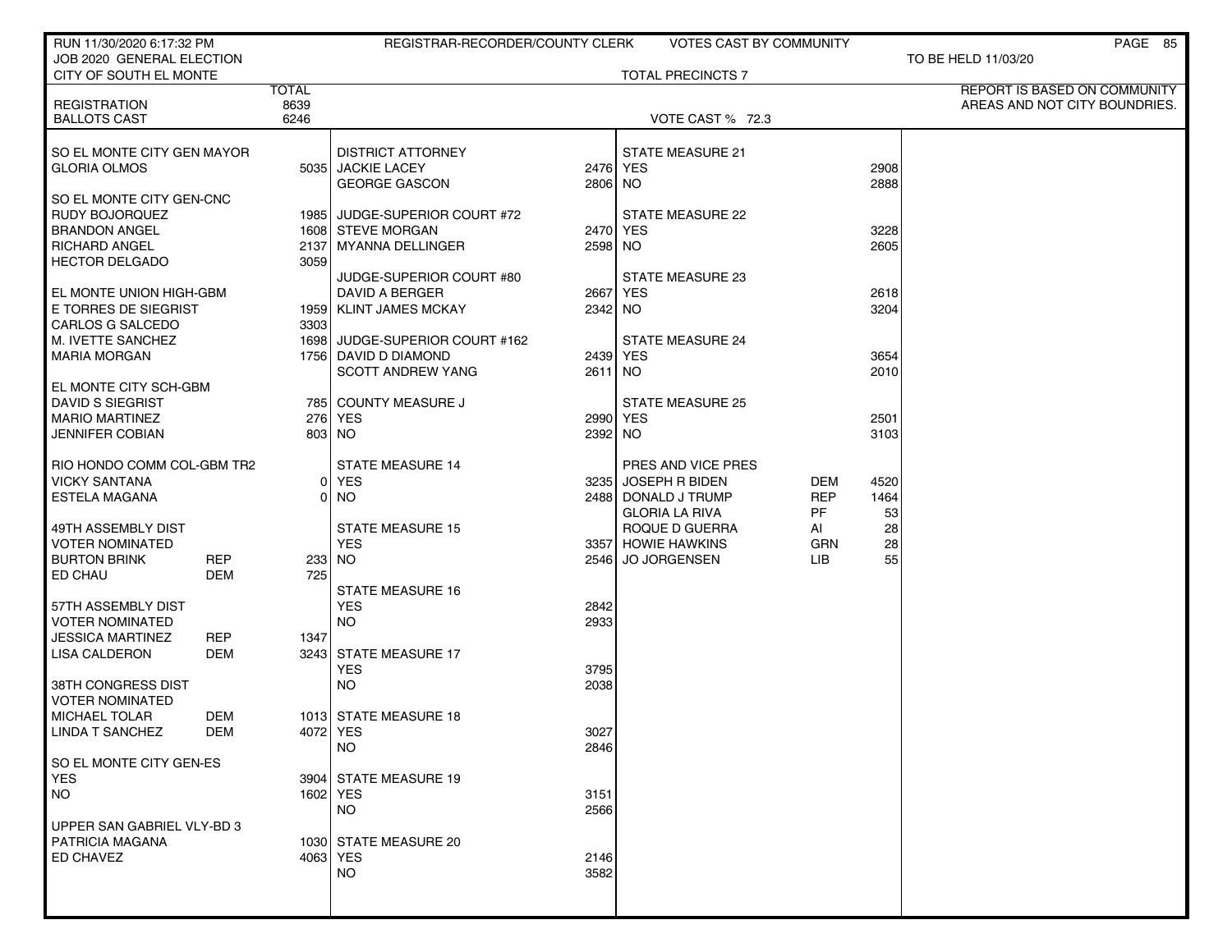| RUN 11/30/2020 6:17:32 PM                  |                      | REGISTRAR-RECORDER/COUNTY CLERK |          | VOTES CAST BY COMMUNITY  |            |      | PAGE 85                       |
|--------------------------------------------|----------------------|---------------------------------|----------|--------------------------|------------|------|-------------------------------|
| JOB 2020 GENERAL ELECTION                  |                      |                                 |          |                          |            |      | TO BE HELD 11/03/20           |
| CITY OF SOUTH EL MONTE                     |                      |                                 |          | <b>TOTAL PRECINCTS 7</b> |            |      |                               |
|                                            | <b>TOTAL</b><br>8639 |                                 |          |                          |            |      | REPORT IS BASED ON COMMUNITY  |
| <b>REGISTRATION</b><br><b>BALLOTS CAST</b> | 6246                 |                                 |          | VOTE CAST % 72.3         |            |      | AREAS AND NOT CITY BOUNDRIES. |
|                                            |                      |                                 |          |                          |            |      |                               |
| SO EL MONTE CITY GEN MAYOR                 |                      | <b>DISTRICT ATTORNEY</b>        |          | <b>STATE MEASURE 21</b>  |            |      |                               |
| <b>GLORIA OLMOS</b>                        |                      | 5035 JACKIE LACEY               |          | 2476 YES                 |            | 2908 |                               |
|                                            |                      | <b>GEORGE GASCON</b>            | 2806 NO  |                          |            | 2888 |                               |
| SO EL MONTE CITY GEN-CNC                   |                      |                                 |          |                          |            |      |                               |
| RUDY BOJORQUEZ                             |                      | 1985 JUDGE-SUPERIOR COURT #72   |          | STATE MEASURE 22         |            |      |                               |
| <b>BRANDON ANGEL</b>                       |                      | 1608 STEVE MORGAN               | 2470 YES |                          |            | 3228 |                               |
| <b>RICHARD ANGEL</b>                       |                      | 2137 MYANNA DELLINGER           | 2598 NO  |                          |            | 2605 |                               |
| <b>HECTOR DELGADO</b>                      | 3059                 |                                 |          |                          |            |      |                               |
|                                            |                      | JUDGE-SUPERIOR COURT #80        |          | <b>STATE MEASURE 23</b>  |            |      |                               |
| EL MONTE UNION HIGH-GBM                    |                      | DAVID A BERGER                  | 2667 YES |                          |            | 2618 |                               |
| E TORRES DE SIEGRIST                       |                      | 1959 KLINT JAMES MCKAY          | 2342 NO  |                          |            | 3204 |                               |
| CARLOS G SALCEDO                           | 3303                 |                                 |          |                          |            |      |                               |
| M. IVETTE SANCHEZ                          |                      | 1698 JUDGE-SUPERIOR COURT #162  |          | <b>STATE MEASURE 24</b>  |            |      |                               |
| <b>MARIA MORGAN</b>                        |                      | 1756 DAVID D DIAMOND            | 2439 YES |                          |            | 3654 |                               |
|                                            |                      | <b>SCOTT ANDREW YANG</b>        | 2611 NO  |                          |            | 2010 |                               |
| EL MONTE CITY SCH-GBM                      |                      |                                 |          |                          |            |      |                               |
| DAVID S SIEGRIST                           |                      | 785 COUNTY MEASURE J            |          | <b>STATE MEASURE 25</b>  |            |      |                               |
| <b>MARIO MARTINEZ</b>                      |                      | 276 YES                         | 2990 YES |                          |            | 2501 |                               |
| JENNIFER COBIAN                            |                      | 803 NO                          | 2392 NO  |                          |            | 3103 |                               |
| RIO HONDO COMM COL-GBM TR2                 |                      | <b>STATE MEASURE 14</b>         |          | PRES AND VICE PRES       |            |      |                               |
| <b>VICKY SANTANA</b>                       | Οl                   | <b>YES</b>                      |          | 3235 JOSEPH R BIDEN      | DEM        | 4520 |                               |
| <b>ESTELA MAGANA</b>                       | 01                   | NO.                             |          | 2488 DONALD J TRUMP      | <b>REP</b> | 1464 |                               |
|                                            |                      |                                 |          | <b>GLORIA LA RIVA</b>    | PF         | 53   |                               |
| 49TH ASSEMBLY DIST                         |                      | <b>STATE MEASURE 15</b>         |          | ROQUE D GUERRA           | AI         | 28   |                               |
| <b>VOTER NOMINATED</b>                     |                      | <b>YES</b>                      |          | 3357 HOWIE HAWKINS       | <b>GRN</b> | 28   |                               |
| <b>BURTON BRINK</b>                        | <b>REP</b>           | 233 NO                          |          | 2546 JO JORGENSEN        | LIB        | 55   |                               |
| ED CHAU                                    | 725<br>DEM           |                                 |          |                          |            |      |                               |
|                                            |                      | <b>STATE MEASURE 16</b>         |          |                          |            |      |                               |
| 57TH ASSEMBLY DIST                         |                      | <b>YES</b>                      | 2842     |                          |            |      |                               |
| <b>VOTER NOMINATED</b>                     |                      | <b>NO</b>                       | 2933     |                          |            |      |                               |
| JESSICA MARTINEZ                           | <b>REP</b><br>1347   |                                 |          |                          |            |      |                               |
| <b>LISA CALDERON</b>                       | DEM                  | 3243 STATE MEASURE 17           |          |                          |            |      |                               |
|                                            |                      | <b>YES</b>                      | 3795     |                          |            |      |                               |
| 38TH CONGRESS DIST                         |                      | <b>NO</b>                       | 2038     |                          |            |      |                               |
| VOTER NOMINATED                            |                      |                                 |          |                          |            |      |                               |
| <b>MICHAEL TOLAR</b>                       | DEM                  | 1013 STATE MEASURE 18           |          |                          |            |      |                               |
| LINDA T SANCHEZ                            | DEM                  | 4072   YES                      | 3027     |                          |            |      |                               |
|                                            |                      | NO.                             | 2846     |                          |            |      |                               |
| SO EL MONTE CITY GEN-ES                    |                      |                                 |          |                          |            |      |                               |
| <b>YES</b>                                 |                      | 3904 STATE MEASURE 19           |          |                          |            |      |                               |
| <b>NO</b>                                  |                      | 1602 YES                        | 3151     |                          |            |      |                               |
|                                            |                      | <b>NO</b>                       | 2566     |                          |            |      |                               |
| UPPER SAN GABRIEL VLY-BD 3                 |                      |                                 |          |                          |            |      |                               |
| <b>PATRICIA MAGANA</b>                     |                      | 1030 STATE MEASURE 20           |          |                          |            |      |                               |
| ED CHAVEZ                                  |                      | 4063 YES                        | 2146     |                          |            |      |                               |
|                                            |                      | NO.                             | 3582     |                          |            |      |                               |
|                                            |                      |                                 |          |                          |            |      |                               |
|                                            |                      |                                 |          |                          |            |      |                               |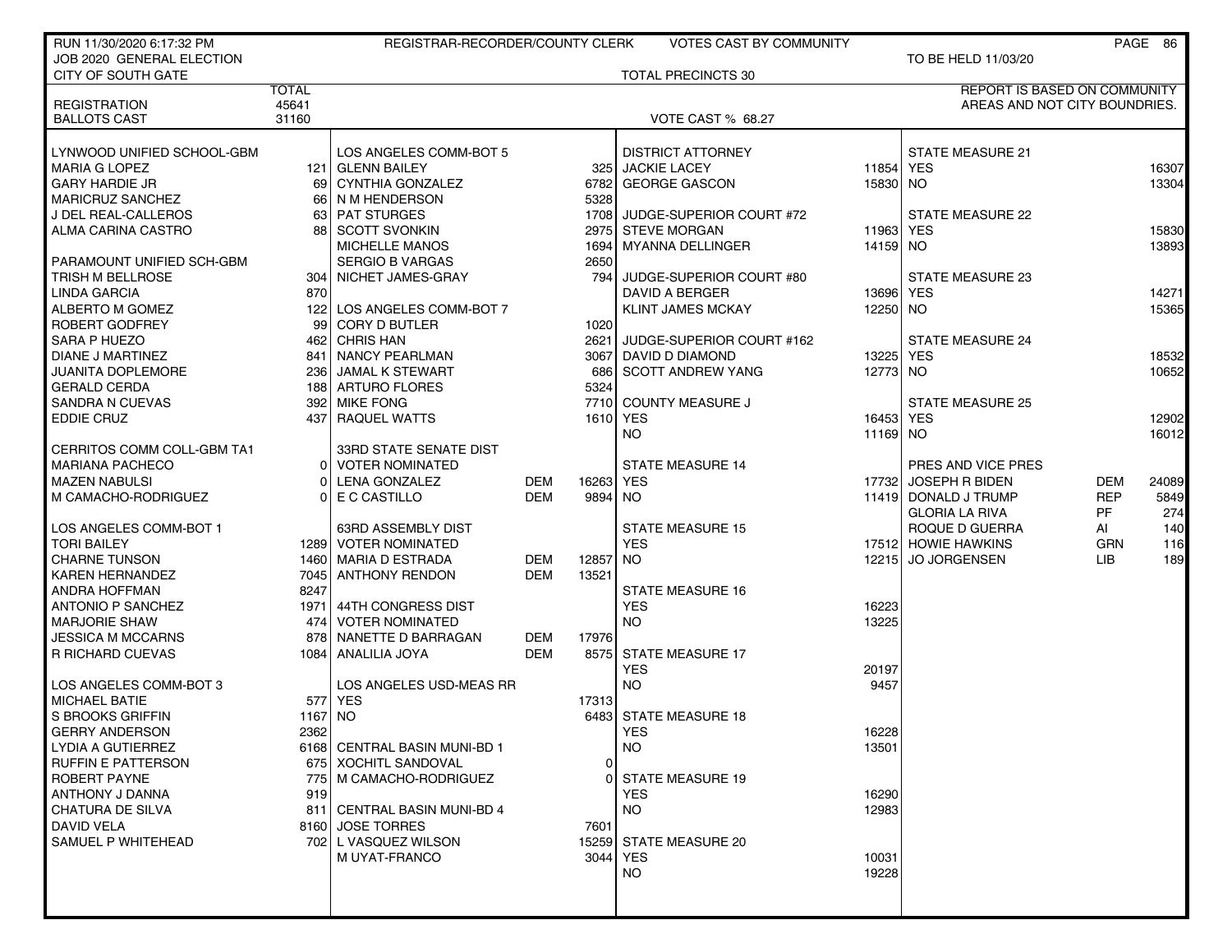| RUN 11/30/2020 6:17:32 PM  |              | REGISTRAR-RECORDER/COUNTY CLERK |            |       | <b>VOTES CAST BY COMMUNITY</b> |           |                                     |            | PAGE 86 |
|----------------------------|--------------|---------------------------------|------------|-------|--------------------------------|-----------|-------------------------------------|------------|---------|
| JOB 2020 GENERAL ELECTION  |              |                                 |            |       |                                |           | TO BE HELD 11/03/20                 |            |         |
| <b>CITY OF SOUTH GATE</b>  |              |                                 |            |       | <b>TOTAL PRECINCTS 30</b>      |           |                                     |            |         |
|                            | <b>TOTAL</b> |                                 |            |       |                                |           | <b>REPORT IS BASED ON COMMUNITY</b> |            |         |
| <b>REGISTRATION</b>        | 45641        |                                 |            |       |                                |           | AREAS AND NOT CITY BOUNDRIES.       |            |         |
| <b>BALLOTS CAST</b>        | 31160        |                                 |            |       | <b>VOTE CAST % 68.27</b>       |           |                                     |            |         |
|                            |              |                                 |            |       |                                |           |                                     |            |         |
| LYNWOOD UNIFIED SCHOOL-GBM |              | LOS ANGELES COMM-BOT 5          |            |       | <b>DISTRICT ATTORNEY</b>       |           | <b>STATE MEASURE 21</b>             |            |         |
| <b>MARIA G LOPEZ</b>       |              | 121 GLENN BAILEY                |            |       | 325 JACKIE LACEY               | 11854     | <b>YES</b>                          |            | 16307   |
| <b>GARY HARDIE JR</b>      | 69           | CYNTHIA GONZALEZ                |            | 6782  | <b>GEORGE GASCON</b>           | 15830 NO  |                                     |            | 13304   |
| MARICRUZ SANCHEZ           | 66 I         | N M HENDERSON                   |            | 5328  |                                |           |                                     |            |         |
| J DEL REAL-CALLEROS        |              | 63 PAT STURGES                  |            |       | 1708 JUDGE-SUPERIOR COURT #72  |           | <b>STATE MEASURE 22</b>             |            |         |
| ALMA CARINA CASTRO         | 88           | <b>SCOTT SVONKIN</b>            |            | 2975  | <b>STEVE MORGAN</b>            | 11963     | <b>YES</b>                          |            | 15830   |
|                            |              | <b>MICHELLE MANOS</b>           |            | 1694  | <b>MYANNA DELLINGER</b>        | 14159 NO  |                                     |            | 13893   |
| PARAMOUNT UNIFIED SCH-GBM  |              | <b>SERGIO B VARGAS</b>          |            | 2650  |                                |           |                                     |            |         |
| TRISH M BELLROSE           | 304 l        | NICHET JAMES-GRAY               |            | 794   | JUDGE-SUPERIOR COURT #80       |           | <b>STATE MEASURE 23</b>             |            |         |
| LINDA GARCIA               | 870          |                                 |            |       | DAVID A BERGER                 | 13696 YES |                                     |            | 14271   |
| ALBERTO M GOMEZ            | 122          | LOS ANGELES COMM-BOT 7          |            |       | <b>KLINT JAMES MCKAY</b>       | 12250 NO  |                                     |            | 15365   |
| ROBERT GODFREY             | 99           | <b>CORY D BUTLER</b>            |            | 1020  |                                |           |                                     |            |         |
| SARA P HUEZO               | 462          | <b>CHRIS HAN</b>                |            | 2621  | JUDGE-SUPERIOR COURT #162      |           | <b>STATE MEASURE 24</b>             |            |         |
| <b>DIANE J MARTINEZ</b>    | 841 I        | NANCY PEARLMAN                  |            | 3067  | DAVID D DIAMOND                | 13225     | <b>YES</b>                          |            | 18532   |
| <b>JUANITA DOPLEMORE</b>   | 236 l        | JAMAL K STEWART                 |            | 686   | <b>SCOTT ANDREW YANG</b>       | 12773 NO  |                                     |            | 10652   |
| <b>GERALD CERDA</b>        |              | 188 ARTURO FLORES               |            | 5324  |                                |           |                                     |            |         |
| <b>SANDRA N CUEVAS</b>     | 392 l        | <b>MIKE FONG</b>                |            | 7710  | COUNTY MEASURE J               |           | <b>STATE MEASURE 25</b>             |            |         |
| EDDIE CRUZ                 | 437          | <b>RAQUEL WATTS</b>             |            | 1610  | <b>YES</b>                     | 16453     | <b>YES</b>                          |            | 12902   |
|                            |              |                                 |            |       | <b>NO</b>                      | 11169 NO  |                                     |            | 16012   |
| CERRITOS COMM COLL-GBM TA1 |              | 33RD STATE SENATE DIST          |            |       |                                |           |                                     |            |         |
| <b>MARIANA PACHECO</b>     | 01           | <b>VOTER NOMINATED</b>          |            |       | <b>STATE MEASURE 14</b>        |           | PRES AND VICE PRES                  |            |         |
| <b>MAZEN NABULSI</b>       | $\Omega$     | <b>LENA GONZALEZ</b>            | <b>DEM</b> | 16263 | <b>YES</b>                     | 17732     | <b>JOSEPH R BIDEN</b>               | <b>DEM</b> | 24089   |
| M CAMACHO-RODRIGUEZ        | Οl           | E C CASTILLO                    | <b>DEM</b> | 9894  | NO.                            |           | 11419 DONALD J TRUMP                | <b>REP</b> | 5849    |
|                            |              |                                 |            |       |                                |           | <b>GLORIA LA RIVA</b>               | <b>PF</b>  | 274     |
| LOS ANGELES COMM-BOT 1     |              | 63RD ASSEMBLY DIST              |            |       | <b>STATE MEASURE 15</b>        |           | ROQUE D GUERRA                      | Al         | 140     |
| <b>TORI BAILEY</b>         |              | 1289 VOTER NOMINATED            |            |       | <b>YES</b>                     |           | 17512 HOWIE HAWKINS                 | <b>GRN</b> | 116     |
| <b>CHARNE TUNSON</b>       |              | 1460   MARIA D ESTRADA          | <b>DEM</b> | 12857 | <b>NO</b>                      |           | 12215 JO JORGENSEN                  | LIB.       | 189     |
| <b>KAREN HERNANDEZ</b>     |              | 7045 ANTHONY RENDON             | <b>DEM</b> | 13521 |                                |           |                                     |            |         |
| ANDRA HOFFMAN              | 8247         |                                 |            |       | <b>STATE MEASURE 16</b>        |           |                                     |            |         |
| <b>ANTONIO P SANCHEZ</b>   |              | 1971 44TH CONGRESS DIST         |            |       | <b>YES</b>                     | 16223     |                                     |            |         |
| <b>MARJORIE SHAW</b>       |              | 474 VOTER NOMINATED             |            |       | NO.                            | 13225     |                                     |            |         |
| <b>JESSICA M MCCARNS</b>   | 878          | NANETTE D BARRAGAN              | DEM        | 17976 |                                |           |                                     |            |         |
| <b>R RICHARD CUEVAS</b>    |              | 1084 ANALILIA JOYA              | <b>DEM</b> | 8575  | <b>STATE MEASURE 17</b>        |           |                                     |            |         |
|                            |              |                                 |            |       | <b>YES</b>                     | 20197     |                                     |            |         |
| LOS ANGELES COMM-BOT 3     |              | LOS ANGELES USD-MEAS RR         |            |       | <b>NO</b>                      | 9457      |                                     |            |         |
| <b>MICHAEL BATIE</b>       |              | 577 YES                         |            | 17313 |                                |           |                                     |            |         |
| S BROOKS GRIFFIN           | 1167         | NO                              |            | 6483  | <b>STATE MEASURE 18</b>        |           |                                     |            |         |
| GERRY ANDERSON             | 2362         |                                 |            |       | <b>YES</b>                     | 16228     |                                     |            |         |
| <b>LYDIA A GUTIERREZ</b>   |              | 6168 CENTRAL BASIN MUNI-BD 1    |            |       | <b>NO</b>                      | 13501     |                                     |            |         |
| <b>RUFFIN E PATTERSON</b>  |              | 675   XOCHITL SANDOVAL          |            | 0     |                                |           |                                     |            |         |
| ROBERT PAYNE               |              | 775   M CAMACHO-RODRIGUEZ       |            | 0     | <b>STATE MEASURE 19</b>        |           |                                     |            |         |
| ANTHONY J DANNA            | 919          |                                 |            |       | <b>YES</b>                     | 16290     |                                     |            |         |
| <b>CHATURA DE SILVA</b>    |              | 811 CENTRAL BASIN MUNI-BD 4     |            |       | <b>NO</b>                      | 12983     |                                     |            |         |
| <b>DAVID VELA</b>          |              | 8160 JOSE TORRES                |            | 7601  |                                |           |                                     |            |         |
| SAMUEL P WHITEHEAD         |              | 702 L VASQUEZ WILSON            |            |       | 15259 STATE MEASURE 20         |           |                                     |            |         |
|                            |              | M UYAT-FRANCO                   |            | 3044  | <b>YES</b>                     | 10031     |                                     |            |         |
|                            |              |                                 |            |       | <b>NO</b>                      | 19228     |                                     |            |         |
|                            |              |                                 |            |       |                                |           |                                     |            |         |
|                            |              |                                 |            |       |                                |           |                                     |            |         |
|                            |              |                                 |            |       |                                |           |                                     |            |         |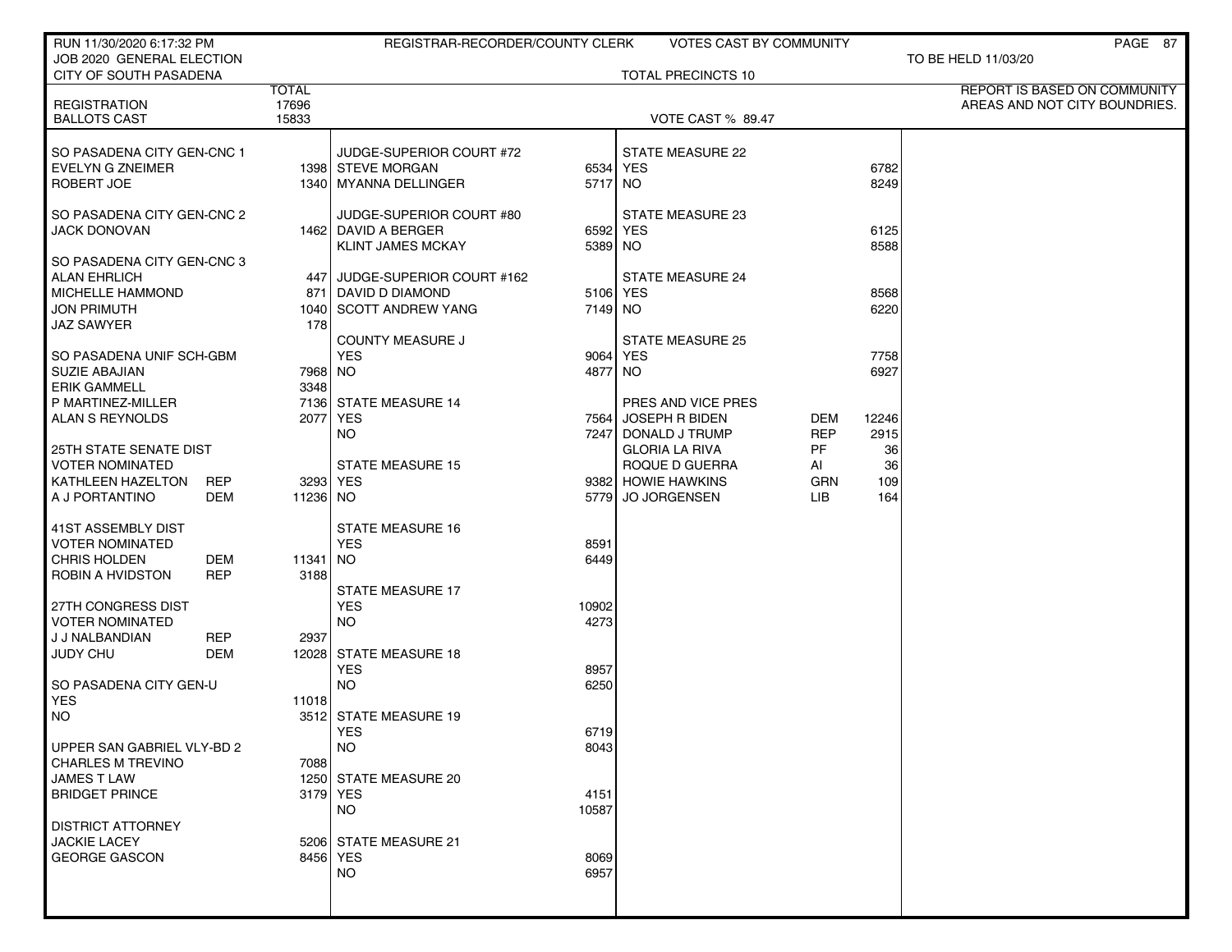| RUN 11/30/2020 6:17:32 PM                           |            |                | REGISTRAR-RECORDER/COUNTY CLERK   |               | <b>VOTES CAST BY COMMUNITY</b>            |                   |               | PAGE 87                       |
|-----------------------------------------------------|------------|----------------|-----------------------------------|---------------|-------------------------------------------|-------------------|---------------|-------------------------------|
| JOB 2020 GENERAL ELECTION<br>CITY OF SOUTH PASADENA |            |                |                                   |               | <b>TOTAL PRECINCTS 10</b>                 |                   |               | TO BE HELD 11/03/20           |
|                                                     |            | <b>TOTAL</b>   |                                   |               |                                           |                   |               | REPORT IS BASED ON COMMUNITY  |
| <b>REGISTRATION</b>                                 |            | 17696<br>15833 |                                   |               |                                           |                   |               | AREAS AND NOT CITY BOUNDRIES. |
| <b>BALLOTS CAST</b>                                 |            |                |                                   |               | <b>VOTE CAST % 89.47</b>                  |                   |               |                               |
| SO PASADENA CITY GEN-CNC 1                          |            |                | JUDGE-SUPERIOR COURT #72          |               | <b>STATE MEASURE 22</b>                   |                   |               |                               |
| EVELYN G ZNEIMER                                    |            |                | 1398 STEVE MORGAN                 |               | 6534 YES                                  |                   | 6782          |                               |
| ROBERT JOE                                          |            |                | 1340   MYANNA DELLINGER           | 5717 NO       |                                           |                   | 8249          |                               |
| SO PASADENA CITY GEN-CNC 2                          |            |                | JUDGE-SUPERIOR COURT #80          |               | STATE MEASURE 23                          |                   |               |                               |
| <b>JACK DONOVAN</b>                                 |            |                | 1462 DAVID A BERGER               |               | 6592 YES                                  |                   | 6125          |                               |
|                                                     |            |                | <b>KLINT JAMES MCKAY</b>          | 5389 NO       |                                           |                   | 8588          |                               |
| SO PASADENA CITY GEN-CNC 3                          |            |                |                                   |               |                                           |                   |               |                               |
| <b>ALAN EHRLICH</b>                                 |            |                | 447 JUDGE-SUPERIOR COURT #162     |               | <b>STATE MEASURE 24</b>                   |                   |               |                               |
| <b>MICHELLE HAMMOND</b><br><b>JON PRIMUTH</b>       |            |                | 871 DAVID D DIAMOND               | 5106 YES      |                                           |                   | 8568<br>6220  |                               |
| <b>JAZ SAWYER</b>                                   |            | 178            | 1040 SCOTT ANDREW YANG            | 7149 NO       |                                           |                   |               |                               |
|                                                     |            |                | <b>COUNTY MEASURE J</b>           |               | <b>STATE MEASURE 25</b>                   |                   |               |                               |
| SO PASADENA UNIF SCH-GBM                            |            |                | <b>YES</b>                        | 9064 YES      |                                           |                   | 7758          |                               |
| SUZIE ABAJIAN                                       |            | 7968   NO      |                                   | 4877 NO       |                                           |                   | 6927          |                               |
| <b>ERIK GAMMELL</b>                                 |            | 3348           |                                   |               |                                           |                   |               |                               |
| P MARTINEZ-MILLER                                   |            |                | 7136 STATE MEASURE 14<br>2077 YES |               | PRES AND VICE PRES<br>7564 JOSEPH R BIDEN |                   |               |                               |
| ALAN S REYNOLDS                                     |            |                | NO.                               |               | 7247 DONALD J TRUMP                       | DEM<br><b>REP</b> | 12246<br>2915 |                               |
| 25TH STATE SENATE DIST                              |            |                |                                   |               | <b>GLORIA LA RIVA</b>                     | PF                | 36            |                               |
| <b>VOTER NOMINATED</b>                              |            |                | <b>STATE MEASURE 15</b>           |               | ROQUE D GUERRA                            | AI                | 36            |                               |
| KATHLEEN HAZELTON                                   | <b>REP</b> |                | 3293 YES                          |               | 9382 HOWIE HAWKINS                        | GRN               | 109           |                               |
| A J PORTANTINO                                      | DEM        | 11236 NO       |                                   |               | 5779 JO JORGENSEN                         | LIB               | 164           |                               |
| 41ST ASSEMBLY DIST                                  |            |                | <b>STATE MEASURE 16</b>           |               |                                           |                   |               |                               |
| <b>VOTER NOMINATED</b>                              |            |                | <b>YES</b>                        | 8591          |                                           |                   |               |                               |
| CHRIS HOLDEN                                        | DEM        | 11341 NO       |                                   | 6449          |                                           |                   |               |                               |
| ROBIN A HVIDSTON                                    | <b>REP</b> | 3188           |                                   |               |                                           |                   |               |                               |
|                                                     |            |                | <b>STATE MEASURE 17</b>           |               |                                           |                   |               |                               |
| 27TH CONGRESS DIST<br><b>VOTER NOMINATED</b>        |            |                | <b>YES</b><br><b>NO</b>           | 10902<br>4273 |                                           |                   |               |                               |
| J J NALBANDIAN                                      | <b>REP</b> | 2937           |                                   |               |                                           |                   |               |                               |
| JUDY CHU                                            | DEM        |                | 12028 STATE MEASURE 18            |               |                                           |                   |               |                               |
|                                                     |            |                | <b>YES</b>                        | 8957          |                                           |                   |               |                               |
| SO PASADENA CITY GEN-U                              |            |                | <b>NO</b>                         | 6250          |                                           |                   |               |                               |
| <b>YES</b>                                          |            | 11018          |                                   |               |                                           |                   |               |                               |
| <b>NO</b>                                           |            |                | 3512 STATE MEASURE 19<br>YES      | 6719          |                                           |                   |               |                               |
| UPPER SAN GABRIEL VLY-BD 2                          |            |                | <b>NO</b>                         | 8043          |                                           |                   |               |                               |
| <b>CHARLES M TREVINO</b>                            |            | 7088           |                                   |               |                                           |                   |               |                               |
| <b>JAMES T LAW</b>                                  |            |                | 1250 STATE MEASURE 20             |               |                                           |                   |               |                               |
| <b>BRIDGET PRINCE</b>                               |            |                | 3179 YES                          | 4151          |                                           |                   |               |                               |
| <b>DISTRICT ATTORNEY</b>                            |            |                | <b>NO</b>                         | 10587         |                                           |                   |               |                               |
| <b>JACKIE LACEY</b>                                 |            |                | 5206 STATE MEASURE 21             |               |                                           |                   |               |                               |
| <b>GEORGE GASCON</b>                                |            |                | 8456 YES                          | 8069          |                                           |                   |               |                               |
|                                                     |            |                | <b>NO</b>                         | 6957          |                                           |                   |               |                               |
|                                                     |            |                |                                   |               |                                           |                   |               |                               |
|                                                     |            |                |                                   |               |                                           |                   |               |                               |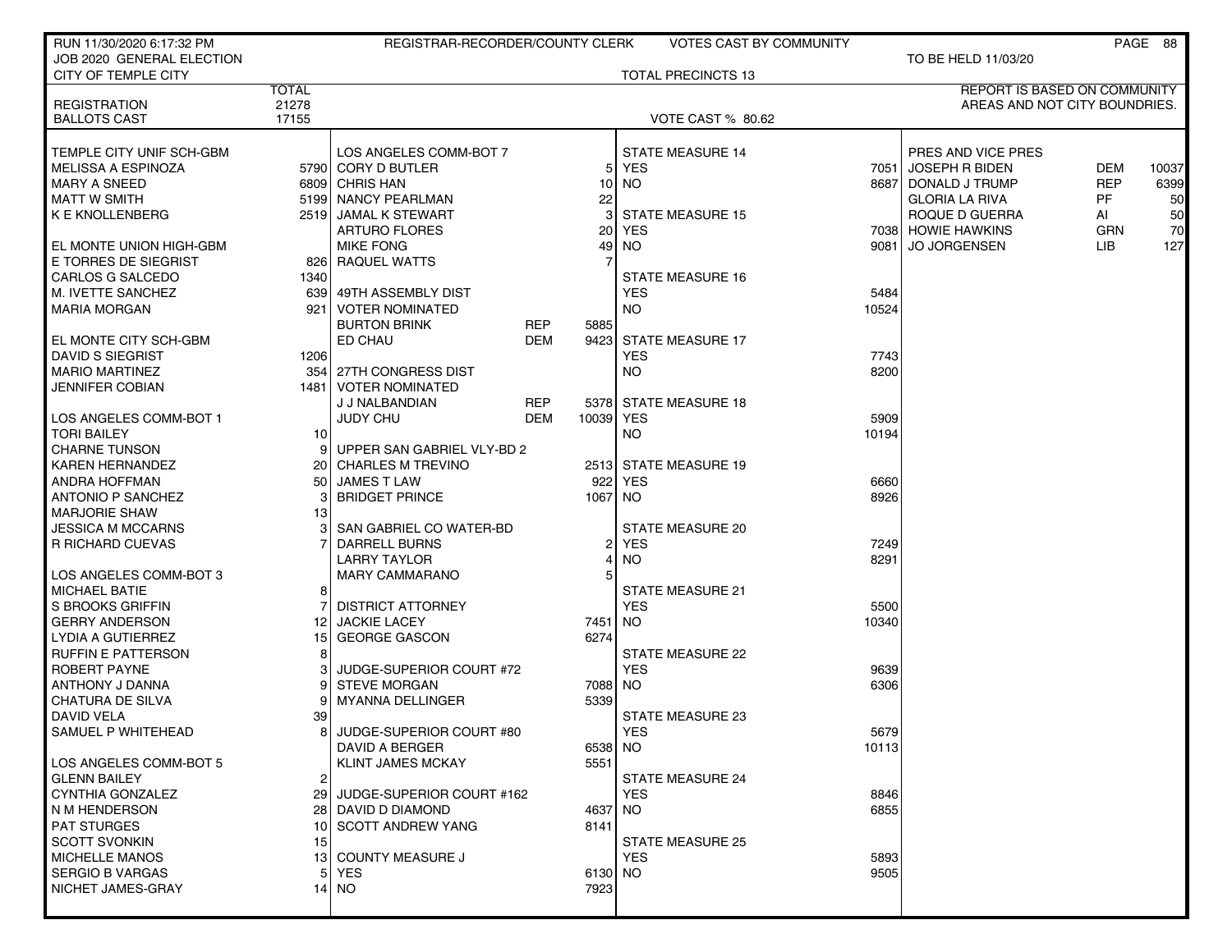| RUN 11/30/2020 6:17:32 PM           |                 | REGISTRAR-RECORDER/COUNTY CLERK |            |                | <b>VOTES CAST BY COMMUNITY</b> |       |                               |            | PAGE 88 |
|-------------------------------------|-----------------|---------------------------------|------------|----------------|--------------------------------|-------|-------------------------------|------------|---------|
| JOB 2020 GENERAL ELECTION           |                 |                                 |            |                |                                |       | TO BE HELD 11/03/20           |            |         |
| CITY OF TEMPLE CITY                 |                 |                                 |            |                | <b>TOTAL PRECINCTS 13</b>      |       |                               |            |         |
|                                     | <b>TOTAL</b>    |                                 |            |                |                                |       | REPORT IS BASED ON COMMUNITY  |            |         |
| <b>REGISTRATION</b>                 | 21278<br>17155  |                                 |            |                | VOTE CAST % 80.62              |       | AREAS AND NOT CITY BOUNDRIES. |            |         |
| <b>BALLOTS CAST</b>                 |                 |                                 |            |                |                                |       |                               |            |         |
| TEMPLE CITY UNIF SCH-GBM            |                 | LOS ANGELES COMM-BOT 7          |            |                | <b>STATE MEASURE 14</b>        |       | PRES AND VICE PRES            |            |         |
| <b>MELISSA A ESPINOZA</b>           |                 | 5790 CORY D BUTLER              |            | 5 <sub>l</sub> | <b>YES</b>                     |       | 7051 JOSEPH R BIDEN           | <b>DEM</b> | 10037   |
| <b>MARY A SNEED</b>                 |                 | 6809 CHRIS HAN                  |            | 10             | <b>NO</b>                      |       | 8687 DONALD J TRUMP           | <b>REP</b> | 6399    |
| <b>MATT W SMITH</b>                 |                 | 5199 NANCY PEARLMAN             |            | 22             |                                |       | <b>GLORIA LA RIVA</b>         | <b>PF</b>  | 50      |
| <b>K E KNOLLENBERG</b>              |                 | 2519 JAMAL K STEWART            |            | 3              | <b>STATE MEASURE 15</b>        |       | ROQUE D GUERRA                | AI         | 50      |
|                                     |                 | <b>ARTURO FLORES</b>            |            | 20             | <b>YES</b>                     |       | 7038 HOWIE HAWKINS            | <b>GRN</b> | 70      |
| EL MONTE UNION HIGH-GBM             |                 | <b>MIKE FONG</b>                |            | 49             | <b>NO</b>                      |       | 9081   JO JORGENSEN           | LIB.       | 127     |
| E TORRES DE SIEGRIST                |                 | 826 RAQUEL WATTS                |            |                |                                |       |                               |            |         |
| CARLOS G SALCEDO                    | 1340            |                                 |            |                | <b>STATE MEASURE 16</b>        |       |                               |            |         |
| M. IVETTE SANCHEZ                   |                 | 639 49TH ASSEMBLY DIST          |            |                | <b>YES</b>                     | 5484  |                               |            |         |
| <b>MARIA MORGAN</b>                 | 921             | VOTER NOMINATED                 |            |                | <b>NO</b>                      | 10524 |                               |            |         |
|                                     |                 | <b>BURTON BRINK</b>             | <b>REP</b> | 5885           |                                |       |                               |            |         |
| EL MONTE CITY SCH-GBM               |                 | ED CHAU                         | <b>DEM</b> | 9423           | <b>STATE MEASURE 17</b>        |       |                               |            |         |
| <b>DAVID S SIEGRIST</b>             | 1206            |                                 |            |                | <b>YES</b>                     | 7743  |                               |            |         |
| <b>MARIO MARTINEZ</b>               |                 | 354 27TH CONGRESS DIST          |            |                | <b>NO</b>                      | 8200  |                               |            |         |
| <b>JENNIFER COBIAN</b>              |                 | 1481   VOTER NOMINATED          |            |                |                                |       |                               |            |         |
|                                     |                 | J J NALBANDIAN                  | REP        |                | 5378 STATE MEASURE 18          |       |                               |            |         |
| LOS ANGELES COMM-BOT 1              |                 | JUDY CHU                        | DEM        | 10039 YES      |                                | 5909  |                               |            |         |
| <b>TORI BAILEY</b>                  | 10 <sup>1</sup> |                                 |            |                | <b>NO</b>                      | 10194 |                               |            |         |
| <b>CHARNE TUNSON</b>                |                 | UPPER SAN GABRIEL VLY-BD 2      |            |                |                                |       |                               |            |         |
| <b>KAREN HERNANDEZ</b>              |                 | 20 CHARLES M TREVINO            |            |                | 2513 STATE MEASURE 19          |       |                               |            |         |
| ANDRA HOFFMAN                       |                 | 50 JAMES T LAW                  |            | 922            | <b>YES</b>                     | 6660  |                               |            |         |
| <b>ANTONIO P SANCHEZ</b>            |                 | <b>BRIDGET PRINCE</b>           |            | 1067           | NO.                            | 8926  |                               |            |         |
| <b>MARJORIE SHAW</b>                | 13 <sup>1</sup> |                                 |            |                |                                |       |                               |            |         |
| <b>JESSICA M MCCARNS</b>            | з               | SAN GABRIEL CO WATER-BD         |            |                | <b>STATE MEASURE 20</b>        |       |                               |            |         |
| R RICHARD CUEVAS                    |                 | DARRELL BURNS                   |            | 21             | <b>YES</b>                     | 7249  |                               |            |         |
|                                     |                 | <b>LARRY TAYLOR</b>             |            | 4              | <b>NO</b>                      | 8291  |                               |            |         |
| LOS ANGELES COMM-BOT 3              |                 | <b>MARY CAMMARANO</b>           |            | 5              |                                |       |                               |            |         |
| <b>MICHAEL BATIE</b>                | 8               |                                 |            |                | STATE MEASURE 21               |       |                               |            |         |
| S BROOKS GRIFFIN                    |                 | <b>DISTRICT ATTORNEY</b>        |            |                | <b>YES</b>                     | 5500  |                               |            |         |
| <b>GERRY ANDERSON</b>               | 12 I            | <b>JACKIE LACEY</b>             |            | 7451           | NO                             | 10340 |                               |            |         |
| LYDIA A GUTIERREZ                   | 15 I            | <b>GEORGE GASCON</b>            |            | 6274           |                                |       |                               |            |         |
| <b>RUFFIN E PATTERSON</b>           | 8 <sup>1</sup>  |                                 |            |                | <b>STATE MEASURE 22</b>        |       |                               |            |         |
| <b>ROBERT PAYNE</b>                 |                 | JUDGE-SUPERIOR COURT #72        |            |                | <b>YES</b>                     | 9639  |                               |            |         |
| ANTHONY J DANNA<br>CHATURA DE SILVA | 9               | <b>STEVE MORGAN</b>             |            | 7088           | NO.                            | 6306  |                               |            |         |
| <b>DAVID VELA</b>                   | 39              | <b>MYANNA DELLINGER</b>         |            | 5339           | STATE MEASURE 23               |       |                               |            |         |
| SAMUEL P WHITEHEAD                  |                 | 8 JUDGE-SUPERIOR COURT #80      |            |                | <b>YES</b>                     | 5679  |                               |            |         |
|                                     |                 | DAVID A BERGER                  |            | 6538           | <b>NO</b>                      | 10113 |                               |            |         |
| LOS ANGELES COMM-BOT 5              |                 | <b>KLINT JAMES MCKAY</b>        |            | 5551           |                                |       |                               |            |         |
| <b>GLENN BAILEY</b>                 | 2               |                                 |            |                | <b>STATE MEASURE 24</b>        |       |                               |            |         |
| CYNTHIA GONZALEZ                    |                 | 29 JUDGE-SUPERIOR COURT #162    |            |                | <b>YES</b>                     | 8846  |                               |            |         |
| N M HENDERSON                       |                 | 28 DAVID D DIAMOND              |            | 4637           | NO.                            | 6855  |                               |            |         |
| <b>PAT STURGES</b>                  |                 | 10 SCOTT ANDREW YANG            |            | 8141           |                                |       |                               |            |         |
| <b>SCOTT SVONKIN</b>                | 15              |                                 |            |                | <b>STATE MEASURE 25</b>        |       |                               |            |         |
| <b>MICHELLE MANOS</b>               |                 | 13 COUNTY MEASURE J             |            |                | <b>YES</b>                     | 5893  |                               |            |         |
| <b>SERGIO B VARGAS</b>              | 51              | <b>YES</b>                      |            | 6130 NO        |                                | 9505  |                               |            |         |
| NICHET JAMES-GRAY                   |                 | 14   NO                         |            | 7923           |                                |       |                               |            |         |
|                                     |                 |                                 |            |                |                                |       |                               |            |         |
|                                     |                 |                                 |            |                |                                |       |                               |            |         |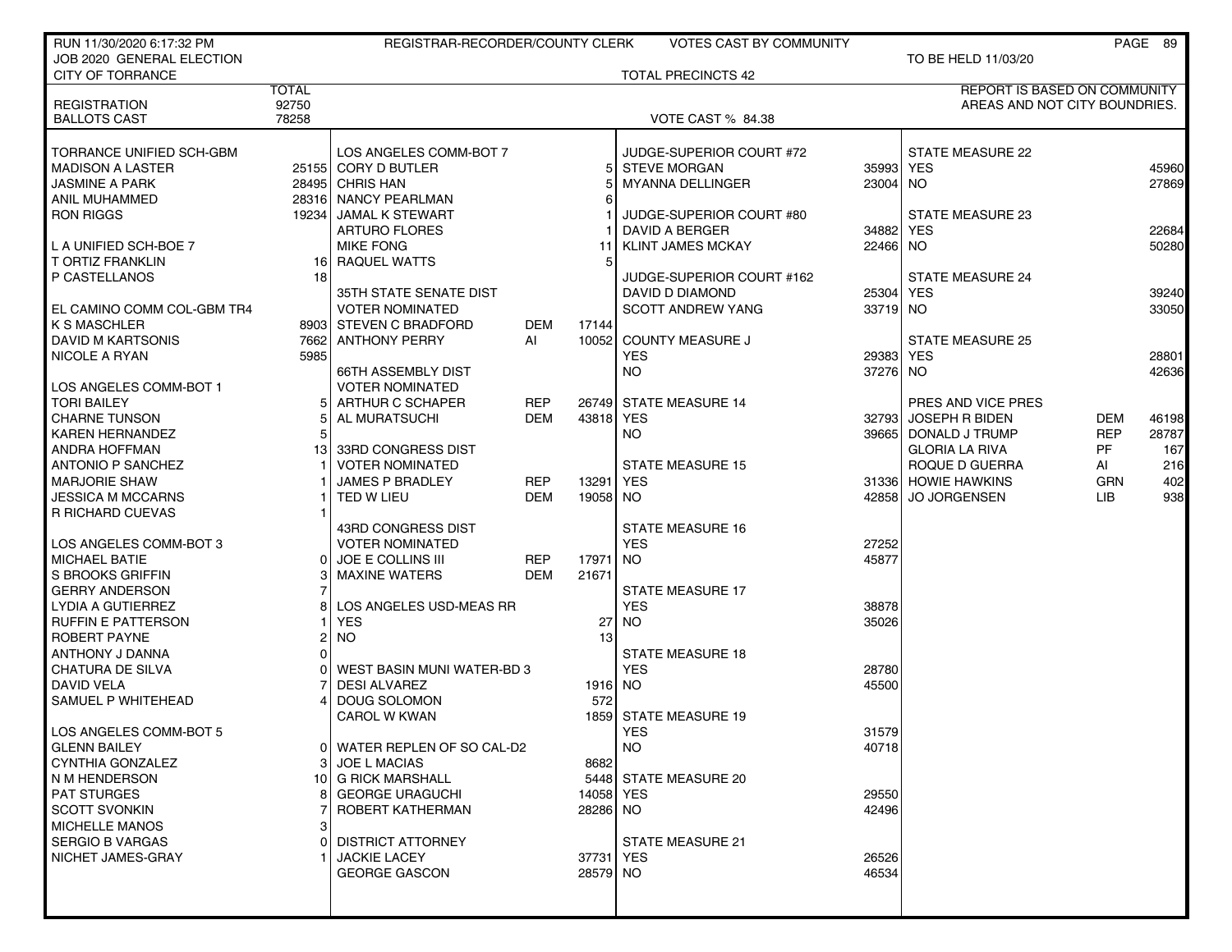| RUN 11/30/2020 6:17:32 PM                           |              | REGISTRAR-RECORDER/COUNTY CLERK               |            |           | <b>VOTES CAST BY COMMUNITY</b>                  |           |                                     |            | PAGE 89 |
|-----------------------------------------------------|--------------|-----------------------------------------------|------------|-----------|-------------------------------------------------|-----------|-------------------------------------|------------|---------|
| JOB 2020 GENERAL ELECTION                           |              |                                               |            |           |                                                 |           | TO BE HELD 11/03/20                 |            |         |
| <b>CITY OF TORRANCE</b>                             |              |                                               |            |           | <b>TOTAL PRECINCTS 42</b>                       |           |                                     |            |         |
|                                                     | <b>TOTAL</b> |                                               |            |           |                                                 |           | <b>REPORT IS BASED ON COMMUNITY</b> |            |         |
| <b>REGISTRATION</b>                                 | 92750        |                                               |            |           |                                                 |           | AREAS AND NOT CITY BOUNDRIES.       |            |         |
| <b>BALLOTS CAST</b>                                 | 78258        |                                               |            |           | VOTE CAST % 84.38                               |           |                                     |            |         |
|                                                     |              |                                               |            |           |                                                 |           |                                     |            |         |
| TORRANCE UNIFIED SCH-GBM<br><b>MADISON A LASTER</b> |              | LOS ANGELES COMM-BOT 7<br>25155 CORY D BUTLER |            | 51        | JUDGE-SUPERIOR COURT #72<br><b>STEVE MORGAN</b> | 35993     | STATE MEASURE 22<br><b>YES</b>      |            | 45960   |
| <b>JASMINE A PARK</b>                               |              | 28495 CHRIS HAN                               |            |           | <b>MYANNA DELLINGER</b>                         | 23004 NO  |                                     |            | 27869   |
| ANIL MUHAMMED                                       |              | 28316 NANCY PEARLMAN                          |            |           |                                                 |           |                                     |            |         |
| <b>RON RIGGS</b>                                    |              | 19234 JAMAL K STEWART                         |            |           | JUDGE-SUPERIOR COURT #80                        |           | STATE MEASURE 23                    |            |         |
|                                                     |              | <b>ARTURO FLORES</b>                          |            |           | DAVID A BERGER                                  | 34882     | <b>YES</b>                          |            | 22684   |
| L A UNIFIED SCH-BOE 7                               |              | <b>MIKE FONG</b>                              |            | 11        | <b>KLINT JAMES MCKAY</b>                        | 22466     | NO.                                 |            | 50280   |
| <b>T ORTIZ FRANKLIN</b>                             |              | 16 RAQUEL WATTS                               |            | 5         |                                                 |           |                                     |            |         |
| P CASTELLANOS                                       | 18           |                                               |            |           | JUDGE-SUPERIOR COURT #162                       |           | <b>STATE MEASURE 24</b>             |            |         |
|                                                     |              | 35TH STATE SENATE DIST                        |            |           | DAVID D DIAMOND                                 | 25304 YES |                                     |            | 39240   |
| EL CAMINO COMM COL-GBM TR4                          |              | <b>VOTER NOMINATED</b>                        |            |           | <b>SCOTT ANDREW YANG</b>                        | 33719 NO  |                                     |            | 33050   |
| I K S MASCHLER                                      |              | 8903 STEVEN C BRADFORD                        | DEM        | 17144     |                                                 |           |                                     |            |         |
| DAVID M KARTSONIS                                   |              | 7662 ANTHONY PERRY                            | Al         | 10052     | <b>COUNTY MEASURE J</b>                         |           | <b>STATE MEASURE 25</b>             |            |         |
| <b>NICOLE A RYAN</b>                                | 5985         |                                               |            |           | <b>YES</b>                                      | 29383     | <b>YES</b>                          |            | 28801   |
|                                                     |              | <b>66TH ASSEMBLY DIST</b>                     |            |           | NO.                                             | 37276 NO  |                                     |            | 42636   |
| LOS ANGELES COMM-BOT 1                              |              | <b>VOTER NOMINATED</b>                        |            |           |                                                 |           |                                     |            |         |
| <b>TORI BAILEY</b>                                  |              | ARTHUR C SCHAPER                              | <b>REP</b> |           | 26749 STATE MEASURE 14                          |           | PRES AND VICE PRES                  |            |         |
| CHARNE TUNSON                                       |              | AL MURATSUCHI                                 | <b>DEM</b> | 43818     | <b>YES</b>                                      | 327931    | <b>JOSEPH R BIDEN</b>               | <b>DEM</b> | 46198   |
| <b>KAREN HERNANDEZ</b>                              |              |                                               |            |           | <b>NO</b>                                       | 39665     | DONALD J TRUMP                      | <b>REP</b> | 28787   |
| ANDRA HOFFMAN                                       | 13           | 33RD CONGRESS DIST                            |            |           |                                                 |           | <b>GLORIA LA RIVA</b>               | <b>PF</b>  | 167     |
| <b>ANTONIO P SANCHEZ</b>                            |              | <b>VOTER NOMINATED</b>                        |            |           | <b>STATE MEASURE 15</b>                         |           | ROQUE D GUERRA                      | AI         | 216     |
| <b>MARJORIE SHAW</b>                                |              | <b>JAMES P BRADLEY</b>                        | <b>REP</b> | 13291     | YES                                             |           | 31336 HOWIE HAWKINS                 | <b>GRN</b> | 402     |
| <b>JESSICA M MCCARNS</b>                            |              | TED W LIEU                                    | <b>DEM</b> | 19058 NO  |                                                 | 42858     | <b>JO JORGENSEN</b>                 | <b>LIB</b> | 938     |
| R RICHARD CUEVAS                                    |              |                                               |            |           |                                                 |           |                                     |            |         |
|                                                     |              | 43RD CONGRESS DIST                            |            |           | <b>STATE MEASURE 16</b>                         |           |                                     |            |         |
| LOS ANGELES COMM-BOT 3                              |              | <b>VOTER NOMINATED</b>                        |            |           | <b>YES</b>                                      | 27252     |                                     |            |         |
| <b>MICHAEL BATIE</b>                                |              | <b>JOE E COLLINS III</b>                      | <b>REP</b> | 17971     | <b>NO</b>                                       | 45877     |                                     |            |         |
| <b>S BROOKS GRIFFIN</b>                             |              | <b>MAXINE WATERS</b>                          | <b>DEM</b> | 21671     |                                                 |           |                                     |            |         |
| <b>GERRY ANDERSON</b>                               |              |                                               |            |           | <b>STATE MEASURE 17</b>                         |           |                                     |            |         |
| LYDIA A GUTIERREZ                                   |              | LOS ANGELES USD-MEAS RR                       |            |           | <b>YES</b>                                      | 38878     |                                     |            |         |
| <b>RUFFIN E PATTERSON</b>                           |              | <b>YES</b>                                    |            | 27        | <b>NO</b>                                       | 35026     |                                     |            |         |
| <b>ROBERT PAYNE</b>                                 |              | <b>NO</b>                                     |            | 13        |                                                 |           |                                     |            |         |
| ANTHONY J DANNA                                     |              |                                               |            |           | <b>STATE MEASURE 18</b>                         |           |                                     |            |         |
| <b>CHATURA DE SILVA</b>                             |              | WEST BASIN MUNI WATER-BD 3                    |            |           | <b>YES</b>                                      | 28780     |                                     |            |         |
| <b>DAVID VELA</b>                                   |              | <b>DESI ALVAREZ</b>                           |            | 1916 NO   |                                                 | 45500     |                                     |            |         |
| SAMUEL P WHITEHEAD                                  |              | DOUG SOLOMON                                  |            | 572       |                                                 |           |                                     |            |         |
|                                                     |              | CAROL W KWAN                                  |            |           | 1859 STATE MEASURE 19                           |           |                                     |            |         |
| I LOS ANGELES COMM-BOT 5                            |              |                                               |            |           | YES                                             | 31579     |                                     |            |         |
| <b>GLENN BAILEY</b>                                 |              | WATER REPLEN OF SO CAL-D2                     |            |           | <b>NO</b>                                       | 40718     |                                     |            |         |
| CYNTHIA GONZALEZ                                    |              | <b>JOE L MACIAS</b>                           |            | 8682      |                                                 |           |                                     |            |         |
| N M HENDERSON                                       |              | 10 G RICK MARSHALL                            |            |           | 5448 STATE MEASURE 20                           |           |                                     |            |         |
| <b>PAT STURGES</b>                                  |              | <b>GEORGE URAGUCHI</b>                        |            | 14058 YES |                                                 | 29550     |                                     |            |         |
| <b>SCOTT SVONKIN</b>                                |              | ROBERT KATHERMAN                              |            | 28286 NO  |                                                 | 42496     |                                     |            |         |
| <b>MICHELLE MANOS</b>                               |              |                                               |            |           |                                                 |           |                                     |            |         |
| <b>SERGIO B VARGAS</b>                              |              | <b>DISTRICT ATTORNEY</b>                      |            |           | STATE MEASURE 21                                |           |                                     |            |         |
| NICHET JAMES-GRAY                                   |              | <b>JACKIE LACEY</b>                           |            | 37731 YES |                                                 | 26526     |                                     |            |         |
|                                                     |              | <b>GEORGE GASCON</b>                          |            | 28579 NO  |                                                 | 46534     |                                     |            |         |
|                                                     |              |                                               |            |           |                                                 |           |                                     |            |         |
|                                                     |              |                                               |            |           |                                                 |           |                                     |            |         |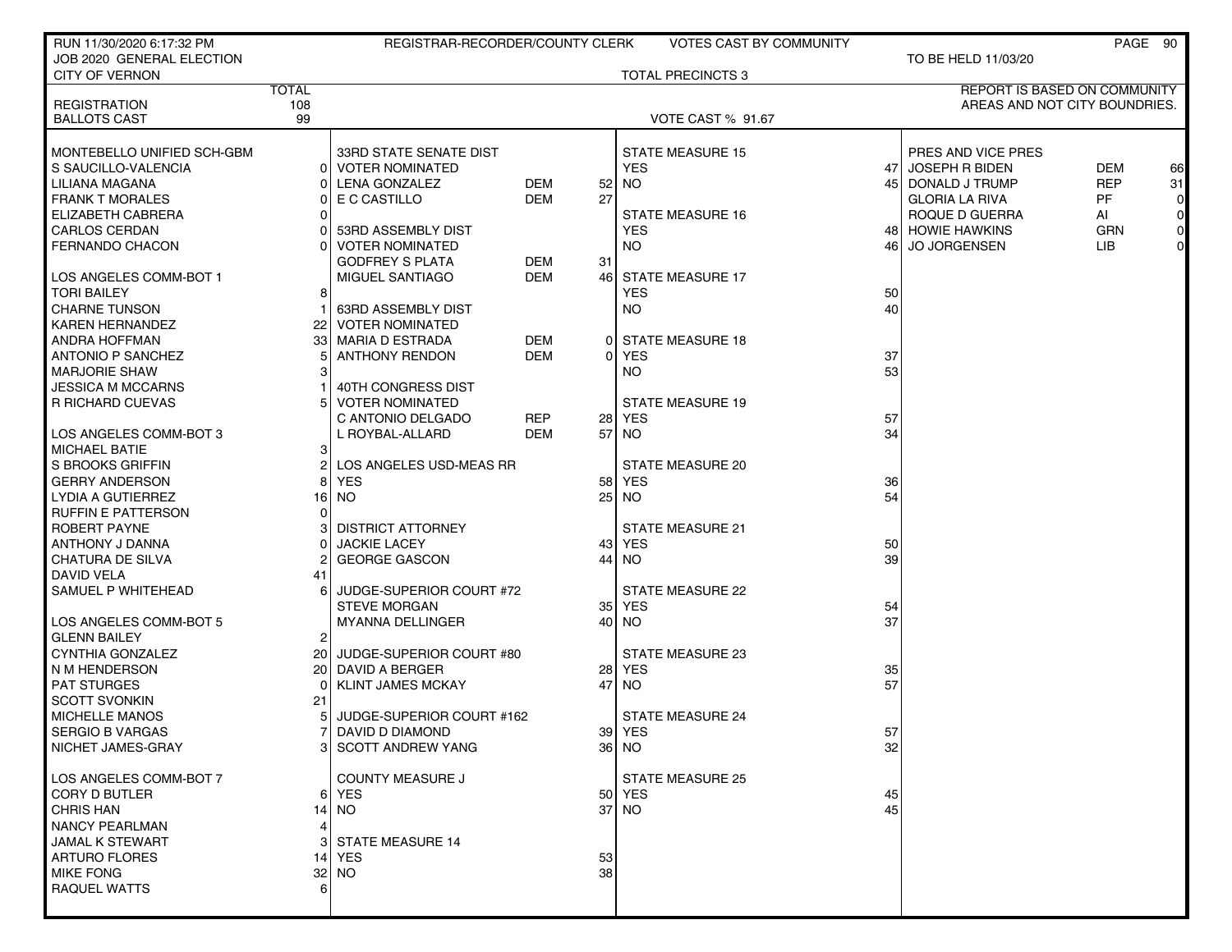| RUN 11/30/2020 6:17:32 PM  |              | REGISTRAR-RECORDER/COUNTY CLERK |            |                 | <b>VOTES CAST BY COMMUNITY</b> |      |                               |            | PAGE 90        |
|----------------------------|--------------|---------------------------------|------------|-----------------|--------------------------------|------|-------------------------------|------------|----------------|
| JOB 2020 GENERAL ELECTION  |              |                                 |            |                 |                                |      | TO BE HELD 11/03/20           |            |                |
| <b>CITY OF VERNON</b>      |              |                                 |            |                 | <b>TOTAL PRECINCTS 3</b>       |      |                               |            |                |
|                            | <b>TOTAL</b> |                                 |            |                 |                                |      | REPORT IS BASED ON COMMUNITY  |            |                |
| <b>REGISTRATION</b>        | 108          |                                 |            |                 |                                |      | AREAS AND NOT CITY BOUNDRIES. |            |                |
| <b>BALLOTS CAST</b>        | 99           |                                 |            |                 | <b>VOTE CAST % 91.67</b>       |      |                               |            |                |
| MONTEBELLO UNIFIED SCH-GBM |              | 33RD STATE SENATE DIST          |            |                 | <b>STATE MEASURE 15</b>        |      | PRES AND VICE PRES            |            |                |
| S SAUCILLO-VALENCIA        |              | <b>VOTER NOMINATED</b>          |            |                 | <b>YES</b>                     | 47   | <b>JOSEPH R BIDEN</b>         | DEM        | 66             |
| LILIANA MAGANA             |              | <b>LENA GONZALEZ</b>            | DEM        | 52 <sub>1</sub> | NO.                            | 45 I | DONALD J TRUMP                | <b>REP</b> | 31             |
| <b>FRANK T MORALES</b>     |              | E C CASTILLO                    | DEM        | 27              |                                |      | <b>GLORIA LA RIVA</b>         | <b>PF</b>  | $\overline{0}$ |
| ELIZABETH CABRERA          |              |                                 |            |                 | <b>STATE MEASURE 16</b>        |      | ROQUE D GUERRA                | Al         | $\circ$        |
| <b>CARLOS CERDAN</b>       |              | 53RD ASSEMBLY DIST              |            |                 | <b>YES</b>                     |      | 48 HOWIE HAWKINS              | <b>GRN</b> | $\circ$        |
| <b>FERNANDO CHACON</b>     |              | <b>VOTER NOMINATED</b>          |            |                 | <b>NO</b>                      | 46 I | <b>JO JORGENSEN</b>           | LIB.       | $\overline{0}$ |
|                            |              | <b>GODFREY S PLATA</b>          | DEM        | 31              |                                |      |                               |            |                |
| LOS ANGELES COMM-BOT 1     |              | MIGUEL SANTIAGO                 | <b>DEM</b> | 461             | <b>STATE MEASURE 17</b>        |      |                               |            |                |
| <b>TORI BAILEY</b>         |              |                                 |            |                 | YES.                           | 50   |                               |            |                |
| <b>CHARNE TUNSON</b>       |              | 63RD ASSEMBLY DIST              |            |                 | <b>NO</b>                      | 40   |                               |            |                |
| <b>KAREN HERNANDEZ</b>     | 22           | <b>VOTER NOMINATED</b>          |            |                 |                                |      |                               |            |                |
| ANDRA HOFFMAN              | 33           | MARIA D ESTRADA                 | <b>DEM</b> |                 | 0 STATE MEASURE 18             |      |                               |            |                |
| <b>ANTONIO P SANCHEZ</b>   |              | <b>ANTHONY RENDON</b>           | <b>DEM</b> | 0               | <b>YES</b>                     | 37   |                               |            |                |
| <b>MARJORIE SHAW</b>       |              |                                 |            |                 | NO.                            | 53   |                               |            |                |
| <b>JESSICA M MCCARNS</b>   |              | 40TH CONGRESS DIST              |            |                 |                                |      |                               |            |                |
| R RICHARD CUEVAS           |              | <b>VOTER NOMINATED</b>          |            |                 | <b>STATE MEASURE 19</b>        |      |                               |            |                |
|                            |              | C ANTONIO DELGADO               | REP        |                 | <b>28 YES</b>                  | 57   |                               |            |                |
| I LOS ANGELES COMM-BOT 3   |              | L ROYBAL-ALLARD                 | DEM        | 57              | <b>NO</b>                      | 34   |                               |            |                |
| <b>MICHAEL BATIE</b>       | 3            |                                 |            |                 |                                |      |                               |            |                |
| S BROOKS GRIFFIN           |              | LOS ANGELES USD-MEAS RR         |            |                 | <b>STATE MEASURE 20</b>        |      |                               |            |                |
| <b>GERRY ANDERSON</b>      |              | <b>YES</b>                      |            | 58              | YES                            | 36   |                               |            |                |
| LYDIA A GUTIERREZ          | 16           | NO.                             |            | 25              | NO.                            | 54   |                               |            |                |
| <b>RUFFIN E PATTERSON</b>  |              |                                 |            |                 |                                |      |                               |            |                |
| ROBERT PAYNE               |              | <b>DISTRICT ATTORNEY</b>        |            |                 | <b>STATE MEASURE 21</b>        |      |                               |            |                |
| ANTHONY J DANNA            |              | <b>JACKIE LACEY</b>             |            | 431             | YES                            | 50   |                               |            |                |
| <b>CHATURA DE SILVA</b>    |              | <b>GEORGE GASCON</b>            |            | 44              | <b>NO</b>                      | 39   |                               |            |                |
| DAVID VELA                 | 41           |                                 |            |                 |                                |      |                               |            |                |
| SAMUEL P WHITEHEAD         |              | JUDGE-SUPERIOR COURT #72        |            |                 | <b>STATE MEASURE 22</b>        |      |                               |            |                |
|                            |              | <b>STEVE MORGAN</b>             |            |                 | 35 YES                         | 54   |                               |            |                |
| LOS ANGELES COMM-BOT 5     |              | MYANNA DELLINGER                |            |                 | 40 NO                          | 37   |                               |            |                |
| <b>GLENN BAILEY</b>        | 2            |                                 |            |                 |                                |      |                               |            |                |
| CYNTHIA GONZALEZ           | 20 l         | JUDGE-SUPERIOR COURT #80        |            |                 | <b>STATE MEASURE 23</b>        |      |                               |            |                |
| N M HENDERSON              |              | 20 DAVID A BERGER               |            |                 | <b>28 YES</b>                  | 35   |                               |            |                |
| <b>PAT STURGES</b>         |              | <b>KLINT JAMES MCKAY</b>        |            | 47              | NO.                            | 57   |                               |            |                |
| <b>SCOTT SVONKIN</b>       | 21           |                                 |            |                 |                                |      |                               |            |                |
| <b>MICHELLE MANOS</b>      |              | JUDGE-SUPERIOR COURT #162       |            |                 | <b>STATE MEASURE 24</b>        |      |                               |            |                |
| <b>SERGIO B VARGAS</b>     |              | DAVID D DIAMOND                 |            |                 | 39 YES                         | 57   |                               |            |                |
| NICHET JAMES-GRAY          |              | 3 SCOTT ANDREW YANG             |            |                 | 36 NO                          | 32   |                               |            |                |
| LOS ANGELES COMM-BOT 7     |              | <b>COUNTY MEASURE J</b>         |            |                 | <b>STATE MEASURE 25</b>        |      |                               |            |                |
| CORY D BUTLER              |              | 6 YES                           |            |                 | 50 YES                         | 45   |                               |            |                |
| <b>CHRIS HAN</b>           | 14           | NO.                             |            |                 | $37$ NO                        | 45   |                               |            |                |
| <b>NANCY PEARLMAN</b>      |              |                                 |            |                 |                                |      |                               |            |                |
| <b>JAMAL K STEWART</b>     |              | <b>STATE MEASURE 14</b>         |            |                 |                                |      |                               |            |                |
| <b>ARTURO FLORES</b>       | 14           | YES                             |            | 53              |                                |      |                               |            |                |
| <b>MIKE FONG</b>           |              | $32$ NO                         |            | 38              |                                |      |                               |            |                |
| <b>RAQUEL WATTS</b>        |              |                                 |            |                 |                                |      |                               |            |                |
|                            |              |                                 |            |                 |                                |      |                               |            |                |
|                            |              |                                 |            |                 |                                |      |                               |            |                |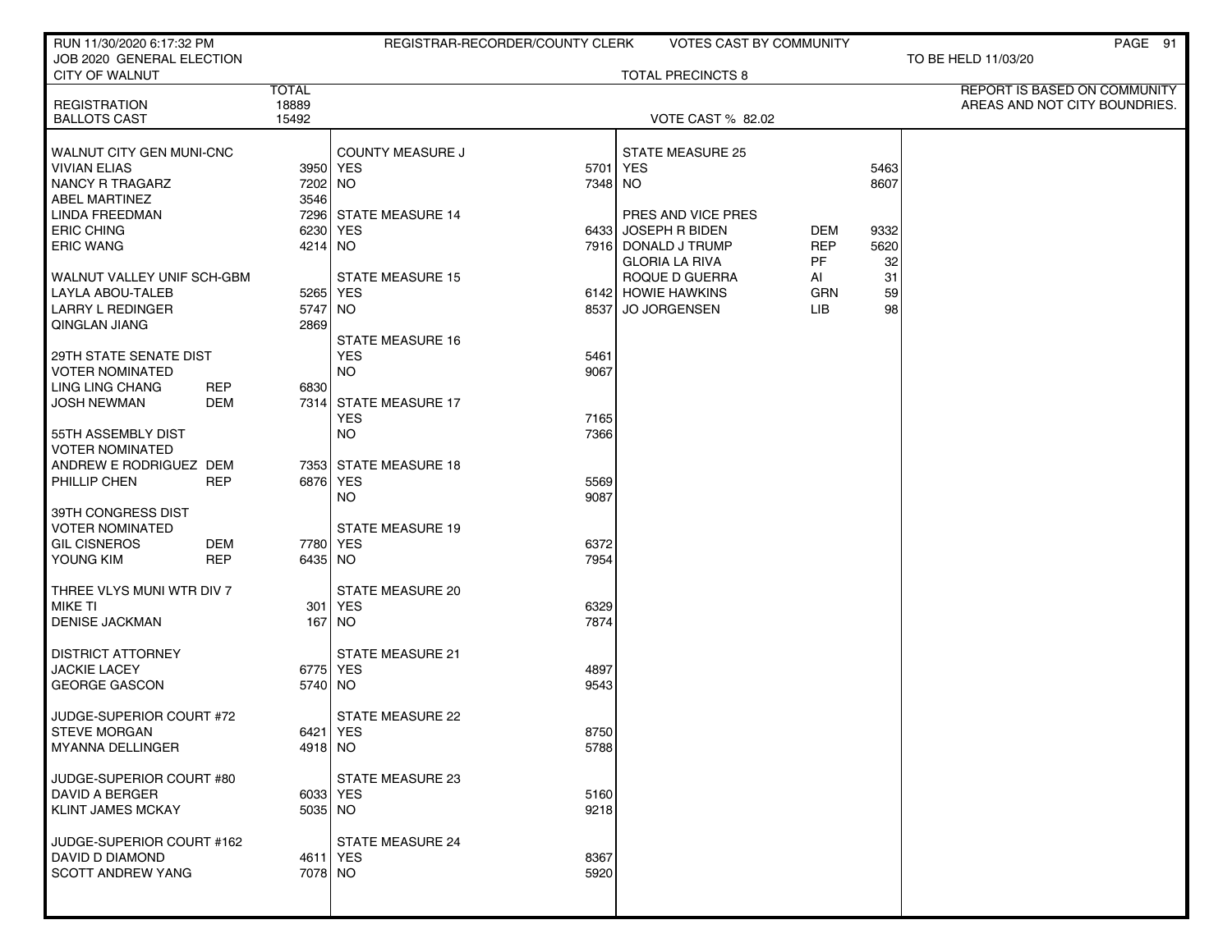| RUN 11/30/2020 6:17:32 PM  |                       | REGISTRAR-RECORDER/COUNTY CLERK |         | <b>VOTES CAST BY COMMUNITY</b> |            |      | PAGE 91                                                       |
|----------------------------|-----------------------|---------------------------------|---------|--------------------------------|------------|------|---------------------------------------------------------------|
| JOB 2020 GENERAL ELECTION  |                       |                                 |         |                                |            |      | TO BE HELD 11/03/20                                           |
| <b>CITY OF WALNUT</b>      |                       |                                 |         | <b>TOTAL PRECINCTS 8</b>       |            |      |                                                               |
| <b>REGISTRATION</b>        | <b>TOTAL</b><br>18889 |                                 |         |                                |            |      | REPORT IS BASED ON COMMUNITY<br>AREAS AND NOT CITY BOUNDRIES. |
| <b>BALLOTS CAST</b>        | 15492                 |                                 |         | <b>VOTE CAST % 82.02</b>       |            |      |                                                               |
|                            |                       |                                 |         |                                |            |      |                                                               |
| WALNUT CITY GEN MUNI-CNC   |                       | <b>COUNTY MEASURE J</b>         |         | <b>STATE MEASURE 25</b>        |            |      |                                                               |
| <b>VIVIAN ELIAS</b>        |                       | 3950 YES                        | 5701    | <b>YES</b>                     |            | 5463 |                                                               |
| <b>NANCY R TRAGARZ</b>     | 7202 NO               |                                 | 7348 NO |                                |            | 8607 |                                                               |
| <b>ABEL MARTINEZ</b>       | 3546                  |                                 |         |                                |            |      |                                                               |
| LINDA FREEDMAN             |                       | 7296 STATE MEASURE 14           |         | PRES AND VICE PRES             |            |      |                                                               |
| <b>ERIC CHING</b>          |                       | 6230 YES                        |         | 6433 JOSEPH R BIDEN            | DEM        | 9332 |                                                               |
| <b>ERIC WANG</b>           | 4214 NO               |                                 |         | 7916 DONALD J TRUMP            | <b>REP</b> | 5620 |                                                               |
|                            |                       |                                 |         | <b>GLORIA LA RIVA</b>          | PF         | 32   |                                                               |
| WALNUT VALLEY UNIF SCH-GBM |                       | <b>STATE MEASURE 15</b>         |         | ROQUE D GUERRA                 | AI         | 31   |                                                               |
| LAYLA ABOU-TALEB           |                       | 5265 YES                        |         | 6142 HOWIE HAWKINS             | <b>GRN</b> | 59   |                                                               |
| <b>LARRY L REDINGER</b>    | 5747 NO               |                                 | 8537    | <b>JO JORGENSEN</b>            | <b>LIB</b> | 98   |                                                               |
| QINGLAN JIANG              | 2869                  |                                 |         |                                |            |      |                                                               |
|                            |                       | <b>STATE MEASURE 16</b>         |         |                                |            |      |                                                               |
| 29TH STATE SENATE DIST     |                       | <b>YES</b>                      | 5461    |                                |            |      |                                                               |
| <b>VOTER NOMINATED</b>     |                       | NO.                             | 9067    |                                |            |      |                                                               |
| <b>LING LING CHANG</b>     | <b>REP</b><br>6830    |                                 |         |                                |            |      |                                                               |
| <b>JOSH NEWMAN</b>         | DEM<br>7314           | <b>STATE MEASURE 17</b>         |         |                                |            |      |                                                               |
|                            |                       | <b>YES</b>                      | 7165    |                                |            |      |                                                               |
| 55TH ASSEMBLY DIST         |                       | <b>NO</b>                       | 7366    |                                |            |      |                                                               |
| <b>VOTER NOMINATED</b>     |                       |                                 |         |                                |            |      |                                                               |
| ANDREW E RODRIGUEZ DEM     |                       | 7353 STATE MEASURE 18           |         |                                |            |      |                                                               |
| PHILLIP CHEN               | <b>REP</b>            | 6876 YES                        | 5569    |                                |            |      |                                                               |
| 39TH CONGRESS DIST         |                       | NO.                             | 9087    |                                |            |      |                                                               |
| <b>VOTER NOMINATED</b>     |                       | <b>STATE MEASURE 19</b>         |         |                                |            |      |                                                               |
| <b>GIL CISNEROS</b>        | DEM                   | 7780 YES                        | 6372    |                                |            |      |                                                               |
| YOUNG KIM                  | <b>REP</b><br>6435 NO |                                 | 7954    |                                |            |      |                                                               |
|                            |                       |                                 |         |                                |            |      |                                                               |
| THREE VLYS MUNI WTR DIV 7  |                       | <b>STATE MEASURE 20</b>         |         |                                |            |      |                                                               |
| <b>MIKE TI</b>             |                       | 301 YES                         | 6329    |                                |            |      |                                                               |
| <b>DENISE JACKMAN</b>      |                       | 167 NO                          | 7874    |                                |            |      |                                                               |
|                            |                       |                                 |         |                                |            |      |                                                               |
| <b>DISTRICT ATTORNEY</b>   |                       | <b>STATE MEASURE 21</b>         |         |                                |            |      |                                                               |
| <b>JACKIE LACEY</b>        |                       | 6775 YES                        | 4897    |                                |            |      |                                                               |
| <b>GEORGE GASCON</b>       | 5740 NO               |                                 | 9543    |                                |            |      |                                                               |
|                            |                       |                                 |         |                                |            |      |                                                               |
| JUDGE-SUPERIOR COURT #72   |                       | STATE MEASURE 22                |         |                                |            |      |                                                               |
| <b>STEVE MORGAN</b>        |                       | 6421 YES                        | 8750    |                                |            |      |                                                               |
| <b>MYANNA DELLINGER</b>    | 4918 NO               |                                 | 5788    |                                |            |      |                                                               |
|                            |                       |                                 |         |                                |            |      |                                                               |
| JUDGE-SUPERIOR COURT #80   |                       | STATE MEASURE 23                |         |                                |            |      |                                                               |
| <b>DAVID A BERGER</b>      |                       | 6033 YES                        | 5160    |                                |            |      |                                                               |
| <b>KLINT JAMES MCKAY</b>   | $5035$ NO             |                                 | 9218    |                                |            |      |                                                               |
| JUDGE-SUPERIOR COURT #162  |                       | STATE MEASURE 24                |         |                                |            |      |                                                               |
| DAVID D DIAMOND            |                       | 4611 YES                        | 8367    |                                |            |      |                                                               |
| <b>SCOTT ANDREW YANG</b>   | 7078 NO               |                                 | 5920    |                                |            |      |                                                               |
|                            |                       |                                 |         |                                |            |      |                                                               |
|                            |                       |                                 |         |                                |            |      |                                                               |
|                            |                       |                                 |         |                                |            |      |                                                               |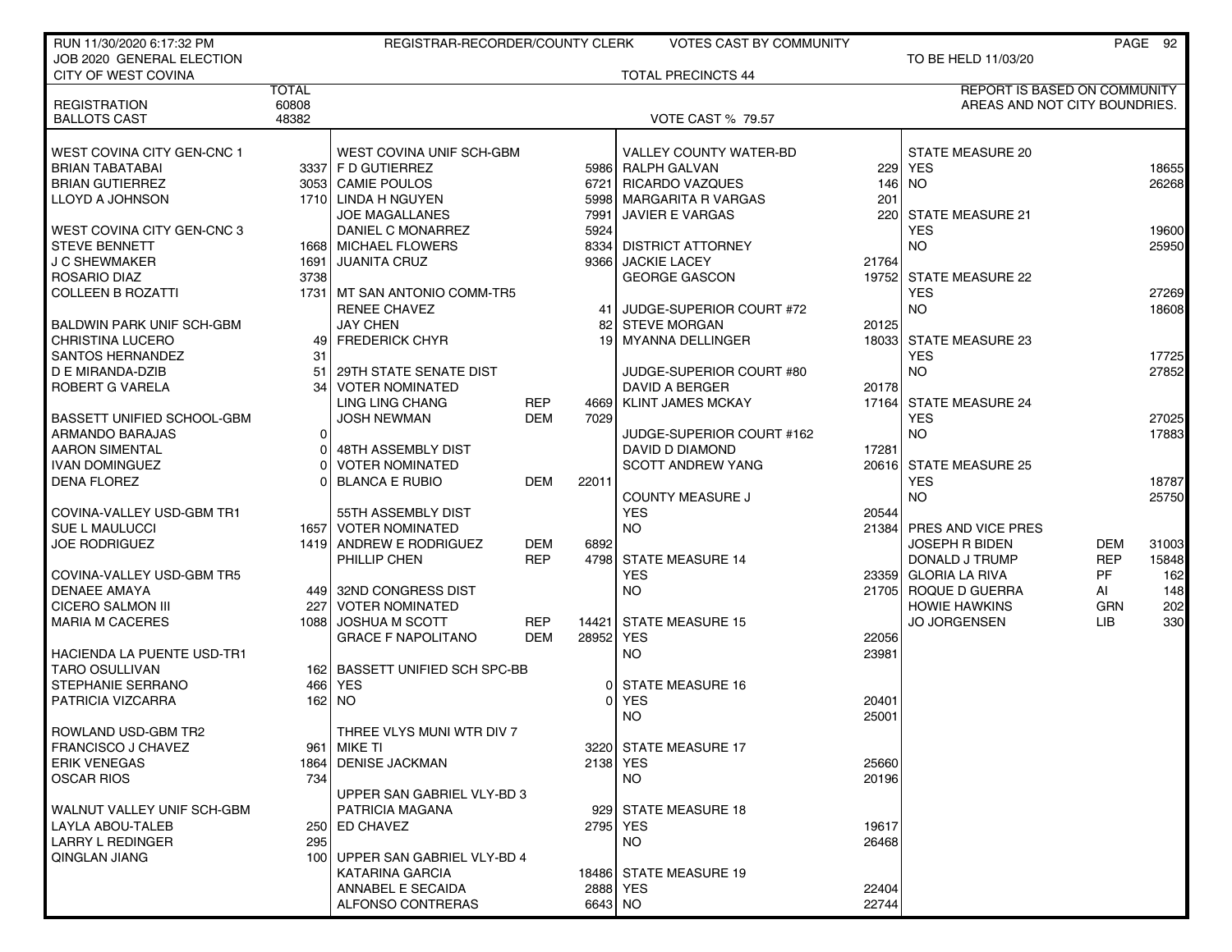| RUN 11/30/2020 6:17:32 PM        |              | REGISTRAR-RECORDER/COUNTY CLERK |            |           | <b>VOTES CAST BY COMMUNITY</b> |       |                                     |            | PAGE 92 |
|----------------------------------|--------------|---------------------------------|------------|-----------|--------------------------------|-------|-------------------------------------|------------|---------|
| JOB 2020 GENERAL ELECTION        |              |                                 |            |           |                                |       | TO BE HELD 11/03/20                 |            |         |
| <b>CITY OF WEST COVINA</b>       |              |                                 |            |           | <b>TOTAL PRECINCTS 44</b>      |       |                                     |            |         |
|                                  | <b>TOTAL</b> |                                 |            |           |                                |       | <b>REPORT IS BASED ON COMMUNITY</b> |            |         |
| <b>REGISTRATION</b>              | 60808        |                                 |            |           |                                |       | AREAS AND NOT CITY BOUNDRIES.       |            |         |
| <b>BALLOTS CAST</b>              | 48382        |                                 |            |           | <b>VOTE CAST % 79.57</b>       |       |                                     |            |         |
| WEST COVINA CITY GEN-CNC 1       |              | WEST COVINA UNIF SCH-GBM        |            |           | <b>VALLEY COUNTY WATER-BD</b>  |       | STATE MEASURE 20                    |            |         |
| <b>BRIAN TABATABAI</b>           |              | 3337 F D GUTIERREZ              |            |           | 5986 RALPH GALVAN              | 229   | <b>YES</b>                          |            | 18655   |
| <b>BRIAN GUTIERREZ</b>           |              | 3053 CAMIE POULOS               |            | 6721      | <b>RICARDO VAZQUES</b>         |       | 146 NO                              |            | 26268   |
| LLOYD A JOHNSON                  |              | 1710 LINDA H NGUYEN             |            |           | 5998 MARGARITA R VARGAS        | 201   |                                     |            |         |
|                                  |              | JOE MAGALLANES                  |            | 7991      | <b>JAVIER E VARGAS</b>         |       | 220 STATE MEASURE 21                |            |         |
| WEST COVINA CITY GEN-CNC 3       |              | DANIEL C MONARREZ               |            | 5924      |                                |       | <b>YES</b>                          |            | 19600   |
| <b>STEVE BENNETT</b>             |              | 1668 MICHAEL FLOWERS            |            |           | 8334 DISTRICT ATTORNEY         |       | NO                                  |            | 25950   |
| <b>J C SHEWMAKER</b>             |              | 1691 JUANITA CRUZ               |            |           | 9366 JACKIE LACEY              | 21764 |                                     |            |         |
| ROSARIO DIAZ                     | 3738         |                                 |            |           | <b>GEORGE GASCON</b>           | 19752 | STATE MEASURE 22                    |            |         |
| <b>COLLEEN B ROZATTI</b>         |              | 1731   MT SAN ANTONIO COMM-TR5  |            |           |                                |       | <b>YES</b>                          |            | 27269   |
|                                  |              | <b>RENEE CHAVEZ</b>             |            |           | 41 JUDGE-SUPERIOR COURT #72    |       | NO.                                 |            | 18608   |
| <b>BALDWIN PARK UNIF SCH-GBM</b> |              | JAY CHEN                        |            | 82        | <b>STEVE MORGAN</b>            | 20125 |                                     |            |         |
| <b>CHRISTINA LUCERO</b>          |              | 49 FREDERICK CHYR               |            |           | 19 MYANNA DELLINGER            |       | 18033 STATE MEASURE 23              |            |         |
| SANTOS HERNANDEZ                 | 31           |                                 |            |           |                                |       | <b>YES</b>                          |            | 17725   |
| D E MIRANDA-DZIB                 | 51           | 29TH STATE SENATE DIST          |            |           | JUDGE-SUPERIOR COURT #80       |       | <b>NO</b>                           |            | 27852   |
| ROBERT G VARELA                  |              | 34 VOTER NOMINATED              |            |           | DAVID A BERGER                 | 20178 |                                     |            |         |
|                                  |              | <b>LING LING CHANG</b>          | <b>REP</b> | 4669      | <b>KLINT JAMES MCKAY</b>       | 17164 | <b>STATE MEASURE 24</b>             |            |         |
| BASSETT UNIFIED SCHOOL-GBM       |              | <b>JOSH NEWMAN</b>              | <b>DEM</b> | 7029      |                                |       | <b>YES</b>                          |            | 27025   |
| ARMANDO BARAJAS                  | Οl           |                                 |            |           | JUDGE-SUPERIOR COURT #162      |       | <b>NO</b>                           |            | 17883   |
| <b>AARON SIMENTAL</b>            | 01           | 48TH ASSEMBLY DIST              |            |           | DAVID D DIAMOND                | 17281 |                                     |            |         |
| <b>IVAN DOMINGUEZ</b>            | ΩI           | <b>VOTER NOMINATED</b>          |            |           | <b>SCOTT ANDREW YANG</b>       |       | 20616 STATE MEASURE 25              |            |         |
| <b>DENA FLOREZ</b>               |              | <b>BLANCA E RUBIO</b>           | <b>DEM</b> | 22011     |                                |       | <b>YES</b>                          |            | 18787   |
|                                  |              |                                 |            |           | <b>COUNTY MEASURE J</b>        |       | <b>NO</b>                           |            | 25750   |
| COVINA-VALLEY USD-GBM TR1        |              | 55TH ASSEMBLY DIST              |            |           | <b>YES</b>                     | 20544 |                                     |            |         |
| SUE L MAULUCCI                   |              | 1657 VOTER NOMINATED            |            |           | <b>NO</b>                      |       | 21384 PRES AND VICE PRES            |            |         |
| <b>JOE RODRIGUEZ</b>             |              | 1419 ANDREW E RODRIGUEZ         | DEM        | 6892      |                                |       | <b>JOSEPH R BIDEN</b>               | DEM        | 31003   |
|                                  |              | PHILLIP CHEN                    | <b>REP</b> |           | 4798 STATE MEASURE 14          |       | DONALD J TRUMP                      | <b>REP</b> | 15848   |
| COVINA-VALLEY USD-GBM TR5        |              |                                 |            |           | <b>YES</b>                     |       | 23359 GLORIA LA RIVA                | <b>PF</b>  | 162     |
| <b>DENAEE AMAYA</b>              |              | 449 32ND CONGRESS DIST          |            |           | <b>NO</b>                      |       | 21705 ROQUE D GUERRA                | AI         | 148     |
| <b>CICERO SALMON III</b>         |              | 227 VOTER NOMINATED             |            |           |                                |       | <b>HOWIE HAWKINS</b>                | <b>GRN</b> | 202     |
| <b>MARIA M CACERES</b>           |              | 1088 JOSHUA M SCOTT             | <b>REP</b> |           | 14421 STATE MEASURE 15         |       | <b>JO JORGENSEN</b>                 | <b>LIB</b> | 330     |
|                                  |              | <b>GRACE F NAPOLITANO</b>       | <b>DEM</b> | 28952 YES |                                | 22056 |                                     |            |         |
| HACIENDA LA PUENTE USD-TR1       |              |                                 |            |           | <b>NO</b>                      | 23981 |                                     |            |         |
| <b>TARO OSULLIVAN</b>            |              | 162 BASSETT UNIFIED SCH SPC-BB  |            |           |                                |       |                                     |            |         |
| STEPHANIE SERRANO                |              | 466 YES                         |            |           | <b>STATE MEASURE 16</b>        |       |                                     |            |         |
| <b>PATRICIA VIZCARRA</b>         |              | 162 NO                          |            | ΩI        | <b>YES</b>                     | 20401 |                                     |            |         |
|                                  |              |                                 |            |           | <b>NO</b>                      | 25001 |                                     |            |         |
| ROWLAND USD-GBM TR2              |              | THREE VLYS MUNI WTR DIV 7       |            |           |                                |       |                                     |            |         |
| <b>FRANCISCO J CHAVEZ</b>        |              | 961 MIKE TI                     |            |           | 3220 STATE MEASURE 17          |       |                                     |            |         |
| <b>ERIK VENEGAS</b>              |              | 1864 DENISE JACKMAN             |            |           | 2138 YES                       | 25660 |                                     |            |         |
| <b>OSCAR RIOS</b>                | 7341         |                                 |            |           | NO.                            | 20196 |                                     |            |         |
|                                  |              | UPPER SAN GABRIEL VLY-BD 3      |            |           |                                |       |                                     |            |         |
| WALNUT VALLEY UNIF SCH-GBM       |              | PATRICIA MAGANA                 |            | 929       | <b>STATE MEASURE 18</b>        |       |                                     |            |         |
| LAYLA ABOU-TALEB                 |              | 250 ED CHAVEZ                   |            |           | 2795 YES                       | 19617 |                                     |            |         |
| <b>LARRY L REDINGER</b>          | 295          |                                 |            |           | NO.                            | 26468 |                                     |            |         |
| QINGLAN JIANG                    |              | 100 UPPER SAN GABRIEL VLY-BD 4  |            |           |                                |       |                                     |            |         |
|                                  |              | KATARINA GARCIA                 |            |           | 18486 STATE MEASURE 19         |       |                                     |            |         |
|                                  |              | ANNABEL E SECAIDA               |            |           | 2888 YES                       | 22404 |                                     |            |         |
|                                  |              | ALFONSO CONTRERAS               |            | 6643 NO   |                                | 22744 |                                     |            |         |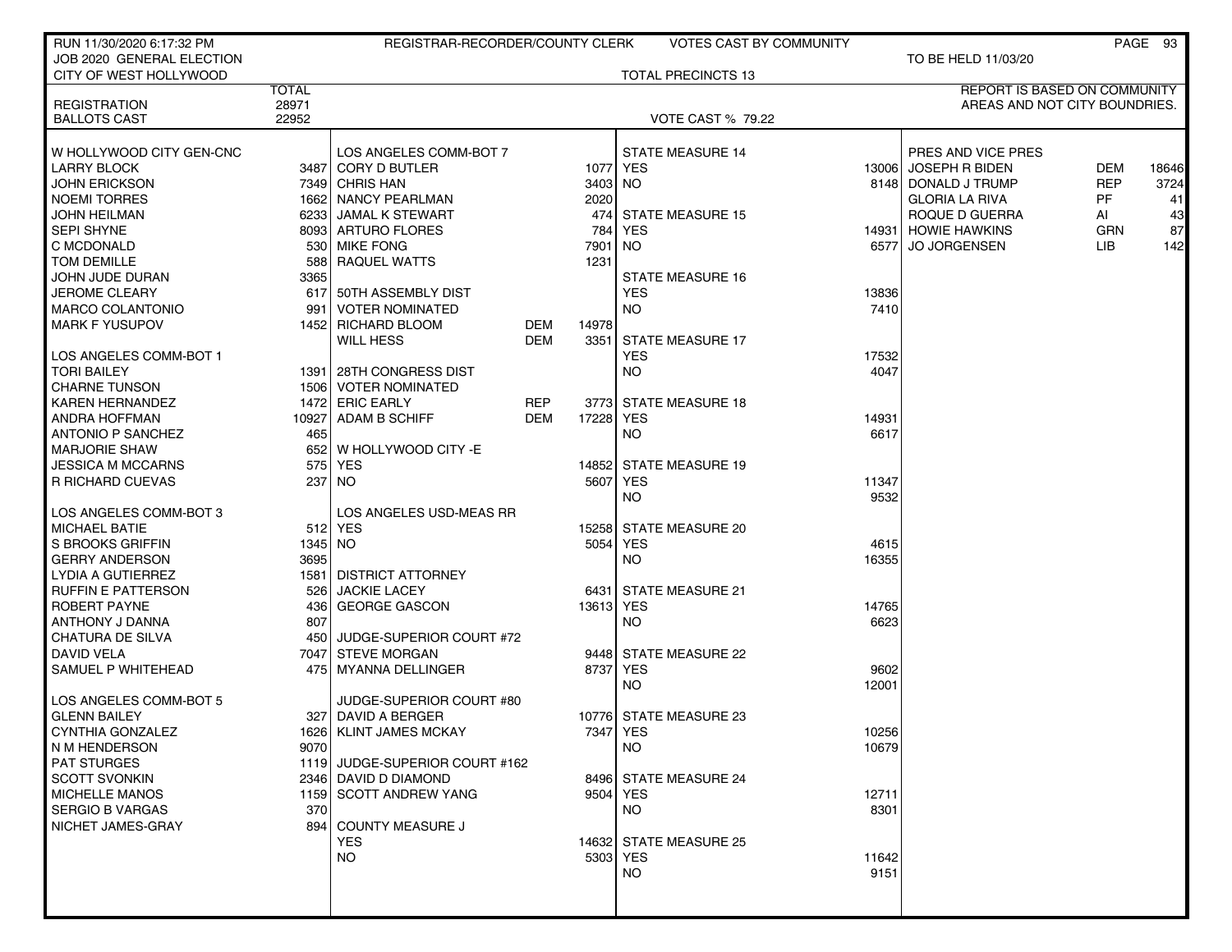| RUN 11/30/2020 6:17:32 PM |              | REGISTRAR-RECORDER/COUNTY CLERK |            |           | VOTES CAST BY COMMUNITY   |       |                               |            | PAGE 93 |
|---------------------------|--------------|---------------------------------|------------|-----------|---------------------------|-------|-------------------------------|------------|---------|
| JOB 2020 GENERAL ELECTION |              |                                 |            |           |                           |       | TO BE HELD 11/03/20           |            |         |
| CITY OF WEST HOLLYWOOD    |              |                                 |            |           | <b>TOTAL PRECINCTS 13</b> |       |                               |            |         |
|                           | <b>TOTAL</b> |                                 |            |           |                           |       | REPORT IS BASED ON COMMUNITY  |            |         |
| <b>REGISTRATION</b>       | 28971        |                                 |            |           |                           |       | AREAS AND NOT CITY BOUNDRIES. |            |         |
| <b>BALLOTS CAST</b>       | 22952        |                                 |            |           | <b>VOTE CAST % 79.22</b>  |       |                               |            |         |
|                           |              |                                 |            |           |                           |       |                               |            |         |
| W HOLLYWOOD CITY GEN-CNC  |              | LOS ANGELES COMM-BOT 7          |            |           | <b>STATE MEASURE 14</b>   |       | PRES AND VICE PRES            |            |         |
| <b>LARRY BLOCK</b>        |              | 3487 CORY D BUTLER              |            |           | 1077 YES                  |       | 13006 JOSEPH R BIDEN          | DEM        | 18646   |
| <b>JOHN ERICKSON</b>      |              | 7349 CHRIS HAN                  |            | 3403      | NO.                       |       | 8148 DONALD J TRUMP           | <b>REP</b> | 3724    |
| <b>NOEMI TORRES</b>       |              | 1662 NANCY PEARLMAN             |            | 2020      |                           |       | <b>GLORIA LA RIVA</b>         | PF         | 41      |
| <b>JOHN HEILMAN</b>       |              | 6233 JAMAL K STEWART            |            |           | 474 STATE MEASURE 15      |       | ROQUE D GUERRA                | AI         | 43      |
| <b>SEPI SHYNE</b>         |              | 8093 ARTURO FLORES              |            | 784       | <b>YES</b>                |       | 14931 HOWIE HAWKINS           | GRN        | 87      |
| C MCDONALD                |              | 530 MIKE FONG                   |            | 7901      | NO.                       | 65771 | <b>JO JORGENSEN</b>           | LIB.       | 142     |
| TOM DEMILLE               |              | 588 RAQUEL WATTS                |            | 1231      |                           |       |                               |            |         |
| JOHN JUDE DURAN           | 3365         |                                 |            |           | <b>STATE MEASURE 16</b>   |       |                               |            |         |
|                           |              | 617 50TH ASSEMBLY DIST          |            |           | <b>YES</b>                | 13836 |                               |            |         |
| <b>JEROME CLEARY</b>      |              |                                 |            |           |                           | 7410  |                               |            |         |
| <b>MARCO COLANTONIO</b>   | 991          | <b>VOTER NOMINATED</b>          |            |           | NO.                       |       |                               |            |         |
| <b>MARK F YUSUPOV</b>     |              | 1452 RICHARD BLOOM              | DEM        | 14978     |                           |       |                               |            |         |
|                           |              | <b>WILL HESS</b>                | DEM        | 3351      | <b>STATE MEASURE 17</b>   |       |                               |            |         |
| LOS ANGELES COMM-BOT 1    |              |                                 |            |           | <b>YES</b>                | 17532 |                               |            |         |
| <b>TORI BAILEY</b>        |              | 1391 28TH CONGRESS DIST         |            |           | NO.                       | 4047  |                               |            |         |
| <b>CHARNE TUNSON</b>      |              | 1506   VOTER NOMINATED          |            |           |                           |       |                               |            |         |
| <b>KAREN HERNANDEZ</b>    |              | 1472 ERIC EARLY                 | <b>REP</b> |           | 3773 STATE MEASURE 18     |       |                               |            |         |
| <b>ANDRA HOFFMAN</b>      |              | 10927 ADAM B SCHIFF             | DEM        | 17228     | YES                       | 14931 |                               |            |         |
| <b>ANTONIO P SANCHEZ</b>  | 465          |                                 |            |           | NO.                       | 6617  |                               |            |         |
| <b>MARJORIE SHAW</b>      |              | 652 W HOLLYWOOD CITY - E        |            |           |                           |       |                               |            |         |
| <b>JESSICA M MCCARNS</b>  |              | 575 YES                         |            | 14852     | <b>STATE MEASURE 19</b>   |       |                               |            |         |
| <b>R RICHARD CUEVAS</b>   |              | 237 NO                          |            | 5607      | YES                       | 11347 |                               |            |         |
|                           |              |                                 |            |           | NO.                       | 9532  |                               |            |         |
| LOS ANGELES COMM-BOT 3    |              | LOS ANGELES USD-MEAS RR         |            |           |                           |       |                               |            |         |
| <b>MICHAEL BATIE</b>      |              | 512 YES                         |            |           | 15258 STATE MEASURE 20    |       |                               |            |         |
| S BROOKS GRIFFIN          | 1345 NO      |                                 |            | 5054      | <b>YES</b>                | 4615  |                               |            |         |
| <b>GERRY ANDERSON</b>     | 3695         |                                 |            |           | NO.                       | 16355 |                               |            |         |
| LYDIA A GUTIERREZ         |              | 1581 DISTRICT ATTORNEY          |            |           |                           |       |                               |            |         |
| <b>RUFFIN E PATTERSON</b> | 526          | <b>JACKIE LACEY</b>             |            | 6431      | <b>STATE MEASURE 21</b>   |       |                               |            |         |
| ROBERT PAYNE              |              | 436 GEORGE GASCON               |            | 13613 YES |                           | 14765 |                               |            |         |
| ANTHONY J DANNA           | 807          |                                 |            |           | <b>NO</b>                 | 6623  |                               |            |         |
| CHATURA DE SILVA          |              | 450 JUDGE-SUPERIOR COURT #72    |            |           |                           |       |                               |            |         |
| DAVID VELA                |              | 7047 STEVE MORGAN               |            |           | 9448 STATE MEASURE 22     |       |                               |            |         |
| SAMUEL P WHITEHEAD        |              | 475   MYANNA DELLINGER          |            | 8737      | YES                       | 9602  |                               |            |         |
|                           |              |                                 |            |           | NO.                       | 12001 |                               |            |         |
| LOS ANGELES COMM-BOT 5    |              | JUDGE-SUPERIOR COURT #80        |            |           |                           |       |                               |            |         |
| <b>GLENN BAILEY</b>       |              | 327 DAVID A BERGER              |            |           | 10776 STATE MEASURE 23    |       |                               |            |         |
| CYNTHIA GONZALEZ          |              | 1626   KLINT JAMES MCKAY        |            |           | 7347 YES                  | 10256 |                               |            |         |
| N M HENDERSON             | 9070         |                                 |            |           | NO.                       | 10679 |                               |            |         |
| <b>PAT STURGES</b>        |              | 1119 JUDGE-SUPERIOR COURT #162  |            |           |                           |       |                               |            |         |
| <b>SCOTT SVONKIN</b>      |              | 2346 DAVID D DIAMOND            |            |           | 8496 STATE MEASURE 24     |       |                               |            |         |
| <b>MICHELLE MANOS</b>     |              | 1159 SCOTT ANDREW YANG          |            |           | 9504 YES                  | 12711 |                               |            |         |
| <b>SERGIO B VARGAS</b>    | 370          |                                 |            |           | NO.                       | 8301  |                               |            |         |
| NICHET JAMES-GRAY         |              | 894 COUNTY MEASURE J            |            |           |                           |       |                               |            |         |
|                           |              | <b>YES</b>                      |            |           | 14632 STATE MEASURE 25    |       |                               |            |         |
|                           |              | <b>NO</b>                       |            |           | 5303 YES                  | 11642 |                               |            |         |
|                           |              |                                 |            |           | NO                        | 9151  |                               |            |         |
|                           |              |                                 |            |           |                           |       |                               |            |         |
|                           |              |                                 |            |           |                           |       |                               |            |         |
|                           |              |                                 |            |           |                           |       |                               |            |         |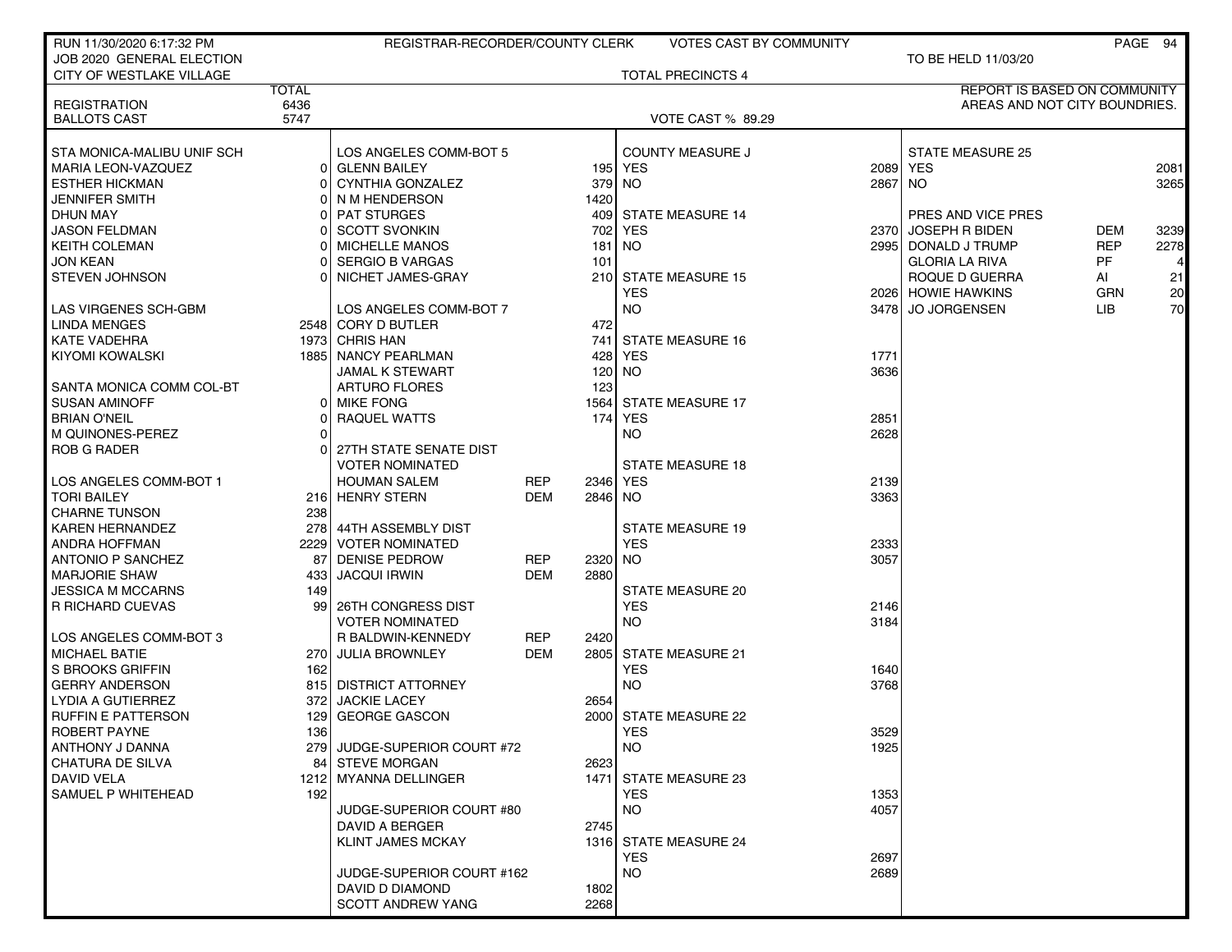| RUN 11/30/2020 6:17:32 PM                  |              | REGISTRAR-RECORDER/COUNTY CLERK |            |         | <b>VOTES CAST BY COMMUNITY</b> |              |                               |            | PAGE 94 |
|--------------------------------------------|--------------|---------------------------------|------------|---------|--------------------------------|--------------|-------------------------------|------------|---------|
| JOB 2020 GENERAL ELECTION                  |              |                                 |            |         |                                |              | TO BE HELD 11/03/20           |            |         |
| CITY OF WESTLAKE VILLAGE                   |              |                                 |            |         | <b>TOTAL PRECINCTS 4</b>       |              |                               |            |         |
|                                            | <b>TOTAL</b> |                                 |            |         |                                |              | REPORT IS BASED ON COMMUNITY  |            |         |
| <b>REGISTRATION</b><br><b>BALLOTS CAST</b> | 6436<br>5747 |                                 |            |         | <b>VOTE CAST % 89.29</b>       |              | AREAS AND NOT CITY BOUNDRIES. |            |         |
|                                            |              |                                 |            |         |                                |              |                               |            |         |
| STA MONICA-MALIBU UNIF SCH                 |              | LOS ANGELES COMM-BOT 5          |            |         | <b>COUNTY MEASURE J</b>        |              | <b>STATE MEASURE 25</b>       |            |         |
| <b>MARIA LEON-VAZQUEZ</b>                  |              | 0 GLENN BAILEY                  |            |         | 195 YES                        |              | 2089 YES                      |            | 2081    |
| <b>ESTHER HICKMAN</b>                      |              | 0 CYNTHIA GONZALEZ              |            | 379     | NO.                            | 2867 NO      |                               |            | 3265    |
| <b>JENNIFER SMITH</b>                      |              | 0 N M HENDERSON                 |            | 1420    |                                |              |                               |            |         |
| <b>DHUN MAY</b>                            |              | 0 PAT STURGES                   |            |         | 409 STATE MEASURE 14           |              | PRES AND VICE PRES            |            |         |
| <b>JASON FELDMAN</b>                       |              | 0 SCOTT SVONKIN                 |            | 702     | <b>YES</b>                     | 2370 l       | JOSEPH R BIDEN                | DEM        | 3239    |
| <b>KEITH COLEMAN</b>                       |              | 0   MICHELLE MANOS              |            | 181     | <b>NO</b>                      |              | 2995   DONALD J TRUMP         | <b>REP</b> | 2278    |
| <b>JON KEAN</b>                            |              | 0 SERGIO B VARGAS               |            | 101     |                                |              | <b>GLORIA LA RIVA</b>         | <b>PF</b>  |         |
| <b>STEVEN JOHNSON</b>                      |              | 0 NICHET JAMES-GRAY             |            | 210     | <b>STATE MEASURE 15</b>        |              | ROQUE D GUERRA                | Al         | 21      |
|                                            |              |                                 |            |         | <b>YES</b>                     |              | 2026 HOWIE HAWKINS            | <b>GRN</b> | 20      |
| LAS VIRGENES SCH-GBM                       |              | LOS ANGELES COMM-BOT 7          |            |         | <b>NO</b>                      |              | 3478 JO JORGENSEN             | <b>LIB</b> | 70      |
| <b>LINDA MENGES</b>                        |              | 2548 CORY D BUTLER              |            | 472     |                                |              |                               |            |         |
| <b>KATE VADEHRA</b>                        |              | 1973 CHRIS HAN                  |            |         | 741 STATE MEASURE 16           |              |                               |            |         |
| <b>KIYOMI KOWALSKI</b>                     |              | 1885 NANCY PEARLMAN             |            | 428     | <b>YES</b>                     | 1771         |                               |            |         |
|                                            |              | <b>JAMAL K STEWART</b>          |            | 120     | NO <sub>1</sub>                | 3636         |                               |            |         |
| SANTA MONICA COMM COL-BT                   |              | <b>ARTURO FLORES</b>            |            | 123     |                                |              |                               |            |         |
| <b>SUSAN AMINOFF</b>                       |              | 0 MIKE FONG                     |            | 1564    | <b>STATE MEASURE 17</b>        |              |                               |            |         |
| <b>BRIAN O'NEIL</b>                        | 01           | RAQUEL WATTS                    |            | 174     | <b>YES</b>                     | 2851         |                               |            |         |
| M QUINONES-PEREZ                           | $\Omega$     |                                 |            |         | <b>NO</b>                      | 2628         |                               |            |         |
| <b>ROB G RADER</b>                         | ΩI           | 27TH STATE SENATE DIST          |            |         |                                |              |                               |            |         |
|                                            |              | <b>VOTER NOMINATED</b>          |            |         | <b>STATE MEASURE 18</b>        |              |                               |            |         |
| LOS ANGELES COMM-BOT 1                     |              | <b>HOUMAN SALEM</b>             | <b>REP</b> | 2346    | YES                            | 2139         |                               |            |         |
| <b>TORI BAILEY</b>                         |              | 216 HENRY STERN                 | <b>DEM</b> | 2846 NO |                                | 3363         |                               |            |         |
| <b>CHARNE TUNSON</b>                       | 238          |                                 |            |         |                                |              |                               |            |         |
| <b>KAREN HERNANDEZ</b>                     |              | 278 44TH ASSEMBLY DIST          |            |         | <b>STATE MEASURE 19</b>        |              |                               |            |         |
| ANDRA HOFFMAN                              |              | 2229 VOTER NOMINATED            |            |         | <b>YES</b>                     | 2333         |                               |            |         |
| <b>ANTONIO P SANCHEZ</b>                   |              | 87 DENISE PEDROW                | REP        | 2320    | NO.                            | 3057         |                               |            |         |
| <b>MARJORIE SHAW</b>                       | 433 l        | <b>JACQUI IRWIN</b>             | DEM        | 2880    |                                |              |                               |            |         |
| <b>JESSICA M MCCARNS</b>                   | 149          |                                 |            |         | <b>STATE MEASURE 20</b>        |              |                               |            |         |
| <b>R RICHARD CUEVAS</b>                    | 991          | 26TH CONGRESS DIST              |            |         | <b>YES</b>                     | 2146         |                               |            |         |
|                                            |              | <b>VOTER NOMINATED</b>          |            |         | <b>NO</b>                      | 3184         |                               |            |         |
| LOS ANGELES COMM-BOT 3                     |              | R BALDWIN-KENNEDY               | REP        | 2420    |                                |              |                               |            |         |
| <b>MICHAEL BATIE</b>                       |              | 270 JULIA BROWNLEY              | <b>DEM</b> |         | 2805 STATE MEASURE 21          |              |                               |            |         |
| S BROOKS GRIFFIN                           | 162          |                                 |            |         | <b>YES</b>                     | 1640         |                               |            |         |
| <b>GERRY ANDERSON</b>                      |              | 815 DISTRICT ATTORNEY           |            |         | <b>NO</b>                      | 3768         |                               |            |         |
| LYDIA A GUTIERREZ                          |              | 372 JACKIE LACEY                |            | 2654    |                                |              |                               |            |         |
| <b>RUFFIN E PATTERSON</b>                  |              | 129 GEORGE GASCON               |            |         | 2000 STATE MEASURE 22          |              |                               |            |         |
| ROBERT PAYNE                               | 136          | 279 JUDGE-SUPERIOR COURT #72    |            |         | <b>YES</b><br><b>NO</b>        | 3529<br>1925 |                               |            |         |
| ANTHONY J DANNA<br>CHATURA DE SILVA        |              | 84 STEVE MORGAN                 |            | 2623    |                                |              |                               |            |         |
| DAVID VELA                                 |              | 1212 MYANNA DELLINGER           |            |         | 1471 STATE MEASURE 23          |              |                               |            |         |
| SAMUEL P WHITEHEAD                         | 192          |                                 |            |         | <b>YES</b>                     | 1353         |                               |            |         |
|                                            |              | JUDGE-SUPERIOR COURT #80        |            |         | <b>NO</b>                      | 4057         |                               |            |         |
|                                            |              | DAVID A BERGER                  |            | 2745    |                                |              |                               |            |         |
|                                            |              | <b>KLINT JAMES MCKAY</b>        |            |         | 1316 STATE MEASURE 24          |              |                               |            |         |
|                                            |              |                                 |            |         | <b>YES</b>                     | 2697         |                               |            |         |
|                                            |              | JUDGE-SUPERIOR COURT #162       |            |         | <b>NO</b>                      | 2689         |                               |            |         |
|                                            |              | DAVID D DIAMOND                 |            | 1802    |                                |              |                               |            |         |
|                                            |              | <b>SCOTT ANDREW YANG</b>        |            | 2268    |                                |              |                               |            |         |
|                                            |              |                                 |            |         |                                |              |                               |            |         |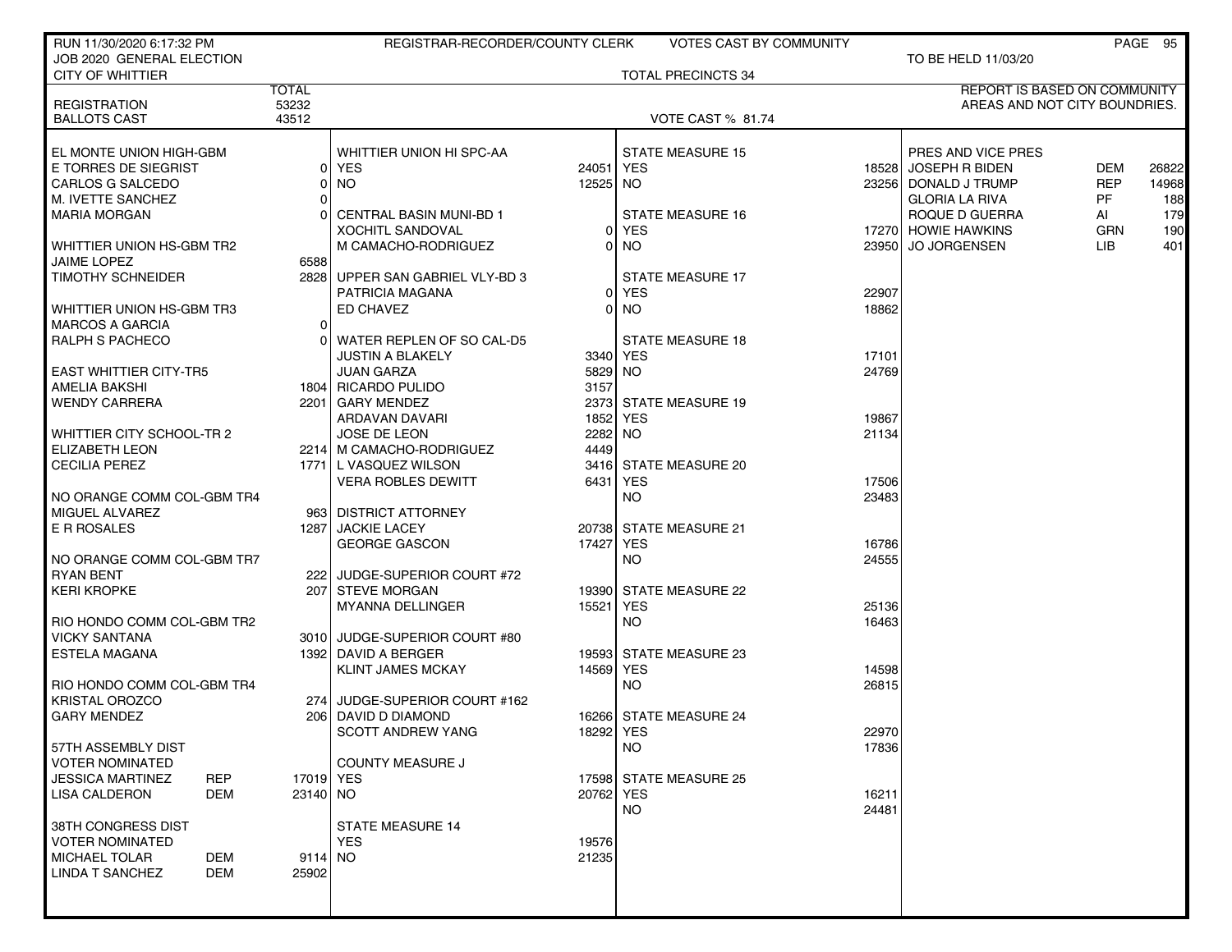| RUN 11/30/2020 6:17:32 PM                    |                         | REGISTRAR-RECORDER/COUNTY CLERK                 |           | VOTES CAST BY COMMUNITY              |       |                               |            | PAGE 95 |
|----------------------------------------------|-------------------------|-------------------------------------------------|-----------|--------------------------------------|-------|-------------------------------|------------|---------|
| JOB 2020 GENERAL ELECTION                    |                         |                                                 |           |                                      |       | TO BE HELD 11/03/20           |            |         |
| <b>CITY OF WHITTIER</b>                      | <b>TOTAL</b>            |                                                 |           | <b>TOTAL PRECINCTS 34</b>            |       | REPORT IS BASED ON COMMUNITY  |            |         |
| <b>REGISTRATION</b>                          | 53232                   |                                                 |           |                                      |       | AREAS AND NOT CITY BOUNDRIES. |            |         |
| <b>BALLOTS CAST</b>                          | 43512                   |                                                 |           | <b>VOTE CAST % 81.74</b>             |       |                               |            |         |
|                                              |                         |                                                 |           |                                      |       |                               |            |         |
| EL MONTE UNION HIGH-GBM                      |                         | WHITTIER UNION HI SPC-AA                        |           | <b>STATE MEASURE 15</b>              |       | PRES AND VICE PRES            |            |         |
| E TORRES DE SIEGRIST                         |                         | 0 YES                                           | 24051     | YES                                  |       | 18528 JOSEPH R BIDEN          | <b>DEM</b> | 26822   |
| CARLOS G SALCEDO                             |                         | <b>NO</b>                                       | 12525     | NO.                                  | 23256 | DONALD J TRUMP                | <b>REP</b> | 14968   |
| M. IVETTE SANCHEZ                            |                         |                                                 |           |                                      |       | <b>GLORIA LA RIVA</b>         | PF         | 188     |
| MARIA MORGAN                                 |                         | <b>CENTRAL BASIN MUNI-BD 1</b>                  |           | <b>STATE MEASURE 16</b>              |       | ROQUE D GUERRA                | Al         | 179     |
|                                              |                         | <b>XOCHITL SANDOVAL</b>                         | 0         | <b>YES</b>                           |       | 17270 HOWIE HAWKINS           | <b>GRN</b> | 190     |
| WHITTIER UNION HS-GBM TR2                    |                         | M CAMACHO-RODRIGUEZ                             |           | NO.                                  | 23950 | <b>JO JORGENSEN</b>           | LIB.       | 401     |
| JAIME LOPEZ                                  | 6588                    |                                                 |           |                                      |       |                               |            |         |
| <b>TIMOTHY SCHNEIDER</b>                     |                         | 2828 UPPER SAN GABRIEL VLY-BD 3                 |           | <b>STATE MEASURE 17</b>              |       |                               |            |         |
|                                              |                         | PATRICIA MAGANA                                 | 01        | YES                                  | 22907 |                               |            |         |
| WHITTIER UNION HS-GBM TR3                    |                         | ED CHAVEZ                                       | 0         | NO.                                  | 18862 |                               |            |         |
| <b>MARCOS A GARCIA</b>                       | 0                       |                                                 |           |                                      |       |                               |            |         |
| <b>RALPH S PACHECO</b>                       |                         | WATER REPLEN OF SO CAL-D5                       |           | <b>STATE MEASURE 18</b>              |       |                               |            |         |
|                                              |                         | <b>JUSTIN A BLAKELY</b>                         |           | 3340 YES                             | 17101 |                               |            |         |
| <b>EAST WHITTIER CITY-TR5</b>                |                         | <b>JUAN GARZA</b>                               | 5829      | NO.                                  | 24769 |                               |            |         |
| AMELIA BAKSHI                                |                         | 1804 RICARDO PULIDO                             | 3157      |                                      |       |                               |            |         |
| <b>WENDY CARRERA</b>                         |                         | 2201 GARY MENDEZ                                |           | 2373 STATE MEASURE 19                |       |                               |            |         |
|                                              |                         | ARDAVAN DAVARI                                  | 1852      | YES                                  | 19867 |                               |            |         |
| WHITTIER CITY SCHOOL-TR 2                    |                         | <b>JOSE DE LEON</b>                             | 2282      | <b>NO</b>                            | 21134 |                               |            |         |
| <b>ELIZABETH LEON</b>                        |                         | 2214 M CAMACHO-RODRIGUEZ                        | 4449      |                                      |       |                               |            |         |
| <b>CECILIA PEREZ</b>                         |                         | 1771 L VASQUEZ WILSON                           |           | 3416 STATE MEASURE 20                |       |                               |            |         |
|                                              |                         | <b>VERA ROBLES DEWITT</b>                       | 6431      | YES                                  | 17506 |                               |            |         |
| NO ORANGE COMM COL-GBM TR4                   |                         |                                                 |           | NO.                                  | 23483 |                               |            |         |
| MIGUEL ALVAREZ                               |                         | 963 DISTRICT ATTORNEY                           |           |                                      |       |                               |            |         |
| E R ROSALES                                  | 12871                   | <b>JACKIE LACEY</b>                             |           | 20738 STATE MEASURE 21               |       |                               |            |         |
|                                              |                         | <b>GEORGE GASCON</b>                            | 17427     | YES                                  | 16786 |                               |            |         |
| NO ORANGE COMM COL-GBM TR7                   |                         |                                                 |           | NO.                                  | 24555 |                               |            |         |
| <b>RYAN BENT</b>                             |                         | 222 JUDGE-SUPERIOR COURT #72                    |           |                                      |       |                               |            |         |
| <b>KERI KROPKE</b>                           |                         | 207 STEVE MORGAN                                | 19390     | <b>STATE MEASURE 22</b>              |       |                               |            |         |
|                                              |                         | MYANNA DELLINGER                                | 15521     | <b>YES</b>                           | 25136 |                               |            |         |
| RIO HONDO COMM COL-GBM TR2                   |                         |                                                 |           | <b>NO</b>                            | 16463 |                               |            |         |
| <b>VICKY SANTANA</b><br><b>ESTELA MAGANA</b> |                         | 3010 JUDGE-SUPERIOR COURT #80                   |           |                                      |       |                               |            |         |
|                                              |                         | 1392 DAVID A BERGER<br><b>KLINT JAMES MCKAY</b> | 14569     | 19593 STATE MEASURE 23<br><b>YES</b> | 14598 |                               |            |         |
| RIO HONDO COMM COL-GBM TR4                   |                         |                                                 |           | NO.                                  | 26815 |                               |            |         |
| <b>KRISTAL OROZCO</b>                        |                         | 274 JUDGE-SUPERIOR COURT #162                   |           |                                      |       |                               |            |         |
| <b>GARY MENDEZ</b>                           |                         | 206 DAVID D DIAMOND                             |           | 16266 STATE MEASURE 24               |       |                               |            |         |
|                                              |                         | SCOTT ANDREW YANG                               | 18292 YES |                                      | 22970 |                               |            |         |
| 57TH ASSEMBLY DIST                           |                         |                                                 |           | NO.                                  | 17836 |                               |            |         |
| <b>VOTER NOMINATED</b>                       |                         | <b>COUNTY MEASURE J</b>                         |           |                                      |       |                               |            |         |
| <b>JESSICA MARTINEZ</b>                      | <b>REP</b><br>17019 YES |                                                 |           | 17598 STATE MEASURE 25               |       |                               |            |         |
| LISA CALDERON                                | DEM<br>23140 NO         |                                                 | 20762 YES |                                      | 16211 |                               |            |         |
|                                              |                         |                                                 |           | NO.                                  | 24481 |                               |            |         |
| 38TH CONGRESS DIST                           |                         | STATE MEASURE 14                                |           |                                      |       |                               |            |         |
| <b>VOTER NOMINATED</b>                       |                         | <b>YES</b>                                      | 19576     |                                      |       |                               |            |         |
| <b>MICHAEL TOLAR</b>                         | DEM<br>9114 NO          |                                                 | 21235     |                                      |       |                               |            |         |
| LINDA T SANCHEZ                              | DEM<br>25902            |                                                 |           |                                      |       |                               |            |         |
|                                              |                         |                                                 |           |                                      |       |                               |            |         |
|                                              |                         |                                                 |           |                                      |       |                               |            |         |
|                                              |                         |                                                 |           |                                      |       |                               |            |         |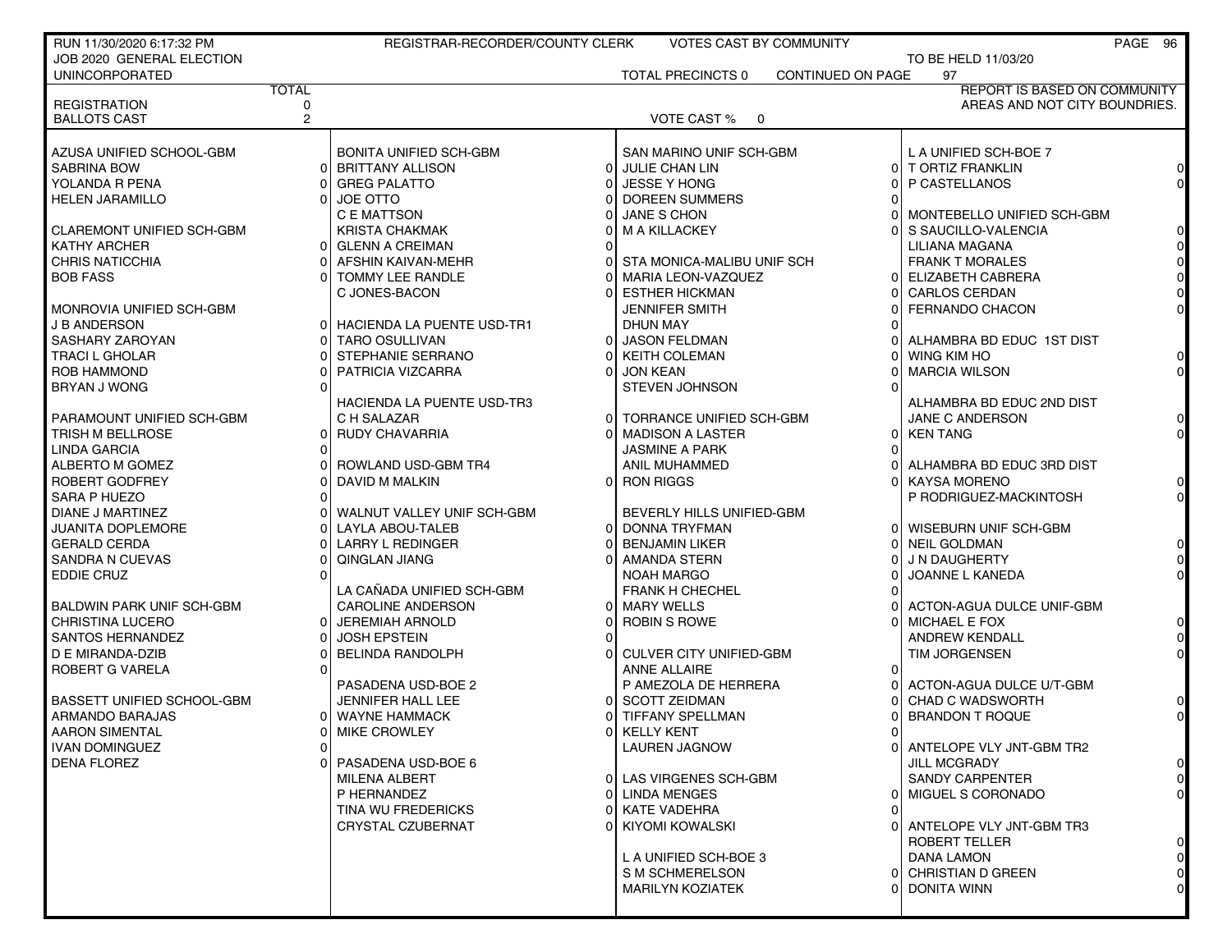| RUN 11/30/2020 6:17:32 PM         |              | REGISTRAR-RECORDER/COUNTY CLERK |          | VOTES CAST BY COMMUNITY                        |                          |                                                | PAGE 96        |
|-----------------------------------|--------------|---------------------------------|----------|------------------------------------------------|--------------------------|------------------------------------------------|----------------|
| JOB 2020 GENERAL ELECTION         |              |                                 |          |                                                |                          | TO BE HELD 11/03/20                            |                |
| <b>UNINCORPORATED</b>             |              |                                 |          | <b>TOTAL PRECINCTS 0</b>                       | <b>CONTINUED ON PAGE</b> | 97                                             |                |
|                                   | <b>TOTAL</b> |                                 |          |                                                |                          | <b>REPORT IS BASED ON COMMUNITY</b>            |                |
| <b>REGISTRATION</b>               | 0            |                                 |          |                                                |                          | AREAS AND NOT CITY BOUNDRIES.                  |                |
| <b>BALLOTS CAST</b>               | $\mathbf{2}$ |                                 |          | VOTE CAST % 0                                  |                          |                                                |                |
|                                   |              |                                 |          |                                                |                          |                                                |                |
| AZUSA UNIFIED SCHOOL-GBM          |              | BONITA UNIFIED SCH-GBM          |          | SAN MARINO UNIF SCH-GBM                        |                          | L A UNIFIED SCH-BOE 7                          |                |
| <b>SABRINA BOW</b>                |              | 0 BRITTANY ALLISON              |          | 0 JULIE CHAN LIN                               |                          | 0 T ORTIZ FRANKLIN                             |                |
| YOLANDA R PENA                    |              | <b>GREG PALATTO</b>             |          | <b>JESSE Y HONG</b>                            |                          | P CASTELLANOS                                  |                |
| <b>HELEN JARAMILLO</b>            |              | JOE OTTO                        |          | 0 DOREEN SUMMERS                               |                          |                                                |                |
|                                   |              | C E MATTSON                     |          | JANE S CHON                                    |                          | MONTEBELLO UNIFIED SCH-GBM                     |                |
| <b>CLAREMONT UNIFIED SCH-GBM</b>  |              | <b>KRISTA CHAKMAK</b>           |          | <b>M A KILLACKEY</b>                           |                          | S SAUCILLO-VALENCIA                            |                |
| <b>KATHY ARCHER</b>               |              | 0 GLENN A CREIMAN               |          |                                                |                          | LILIANA MAGANA                                 |                |
| <b>CHRIS NATICCHIA</b>            |              | AFSHIN KAIVAN-MEHR              |          | STA MONICA-MALIBU UNIF SCH                     |                          | <b>FRANK T MORALES</b>                         |                |
| <b>BOB FASS</b>                   |              | TOMMY LEE RANDLE                |          | <b>MARIA LEON-VAZQUEZ</b>                      |                          | 0 ELIZABETH CABRERA                            |                |
| MONROVIA UNIFIED SCH-GBM          |              | C JONES-BACON                   |          | <b>ESTHER HICKMAN</b><br><b>JENNIFER SMITH</b> |                          | <b>CARLOS CERDAN</b><br><b>FERNANDO CHACON</b> |                |
| <b>J B ANDERSON</b>               |              | 0 HACIENDA LA PUENTE USD-TR1    |          | DHUN MAY                                       |                          |                                                |                |
| SASHARY ZAROYAN                   |              | 0 TARO OSULLIVAN                | 01       | <b>JASON FELDMAN</b>                           |                          | ALHAMBRA BD EDUC 1ST DIST                      |                |
| <b>TRACI L GHOLAR</b>             |              | STEPHANIE SERRANO               |          | <b>KEITH COLEMAN</b>                           |                          | WING KIM HO                                    |                |
| ROB HAMMOND                       |              | PATRICIA VIZCARRA               |          | <b>JON KEAN</b>                                |                          | <b>MARCIA WILSON</b>                           |                |
| BRYAN J WONG                      |              |                                 |          | <b>STEVEN JOHNSON</b>                          |                          |                                                |                |
|                                   |              | HACIENDA LA PUENTE USD-TR3      |          |                                                |                          | ALHAMBRA BD EDUC 2ND DIST                      |                |
| PARAMOUNT UNIFIED SCH-GBM         |              | C H SALAZAR                     | $\Omega$ | TORRANCE UNIFIED SCH-GBM                       |                          | JANE C ANDERSON                                |                |
| TRISH M BELLROSE                  |              | 0 RUDY CHAVARRIA                |          | <b>MADISON A LASTER</b>                        |                          | 0 KEN TANG                                     |                |
| <b>LINDA GARCIA</b>               |              |                                 |          | <b>JASMINE A PARK</b>                          |                          |                                                |                |
| ALBERTO M GOMEZ                   |              | ROWLAND USD-GBM TR4             |          | ANIL MUHAMMED                                  |                          | ALHAMBRA BD EDUC 3RD DIST                      |                |
| ROBERT GODFREY                    |              | DAVID M MALKIN                  |          | 0 RON RIGGS                                    |                          | <b>KAYSA MORENO</b>                            |                |
| SARA P HUEZO                      |              |                                 |          |                                                |                          | P RODRIGUEZ-MACKINTOSH                         |                |
| DIANE J MARTINEZ                  |              | WALNUT VALLEY UNIF SCH-GBM      |          | BEVERLY HILLS UNIFIED-GBM                      |                          |                                                |                |
| JUANITA DOPLEMORE                 |              | LAYLA ABOU-TALEB                |          | 0 DONNA TRYFMAN                                |                          | 0 WISEBURN UNIF SCH-GBM                        |                |
| <b>GERALD CERDA</b>               |              | <b>LARRY L REDINGER</b>         |          | <b>BENJAMIN LIKER</b>                          |                          | 0 NEIL GOLDMAN                                 |                |
| <b>SANDRA N CUEVAS</b>            |              | QINGLAN JIANG                   |          | AMANDA STERN                                   |                          | J N DAUGHERTY                                  |                |
| EDDIE CRUZ                        |              |                                 |          | NOAH MARGO                                     |                          | JOANNE L KANEDA                                |                |
|                                   |              | LA CAÑADA UNIFIED SCH-GBM       |          | <b>FRANK H CHECHEL</b>                         |                          |                                                |                |
| <b>BALDWIN PARK UNIF SCH-GBM</b>  |              | CAROLINE ANDERSON               |          | 0 MARY WELLS                                   |                          | ACTON-AGUA DULCE UNIF-GBM                      |                |
| <b>CHRISTINA LUCERO</b>           |              | <b>JEREMIAH ARNOLD</b>          |          | <b>ROBIN S ROWE</b>                            |                          | MICHAEL E FOX                                  |                |
| SANTOS HERNANDEZ                  |              | <b>JOSH EPSTEIN</b>             |          |                                                |                          | <b>ANDREW KENDALL</b>                          |                |
| D E MIRANDA-DZIB                  |              | <b>BELINDA RANDOLPH</b>         |          | <b>CULVER CITY UNIFIED-GBM</b>                 |                          | <b>TIM JORGENSEN</b>                           |                |
| ROBERT G VARELA                   |              |                                 |          | <b>ANNE ALLAIRE</b>                            |                          |                                                |                |
|                                   |              | PASADENA USD-BOE 2              |          | P AMEZOLA DE HERRERA                           |                          | ACTON-AGUA DULCE U/T-GBM                       |                |
| <b>BASSETT UNIFIED SCHOOL-GBM</b> |              | <b>JENNIFER HALL LEE</b>        | ΩI       | <b>SCOTT ZEIDMAN</b>                           |                          | <b>CHAD C WADSWORTH</b>                        |                |
| ARMANDO BARAJAS                   |              | 0 WAYNE HAMMACK                 |          | TIFFANY SPELLMAN                               |                          | <b>BRANDON T ROQUE</b>                         |                |
| <b>AARON SIMENTAL</b>             |              | <b>MIKE CROWLEY</b>             |          | 0 KELLY KENT                                   |                          |                                                |                |
| <b>IVAN DOMINGUEZ</b>             | 0            |                                 |          | <b>LAUREN JAGNOW</b>                           |                          | 0 ANTELOPE VLY JNT-GBM TR2                     |                |
| <b>DENA FLOREZ</b>                |              | PASADENA USD-BOE 6              |          |                                                |                          | <b>JILL MCGRADY</b>                            | 0              |
|                                   |              | MILENA ALBERT                   |          | 0 LAS VIRGENES SCH-GBM                         |                          | <b>SANDY CARPENTER</b>                         | $\overline{0}$ |
|                                   |              | P HERNANDEZ                     |          | 0 LINDA MENGES                                 |                          | 0   MIGUEL S CORONADO                          |                |
|                                   |              | <b>TINA WU FREDERICKS</b>       |          | 0 KATE VADEHRA                                 |                          |                                                |                |
|                                   |              | CRYSTAL CZUBERNAT               |          | 0 KIYOMI KOWALSKI                              |                          | ANTELOPE VLY JNT-GBM TR3                       |                |
|                                   |              |                                 |          |                                                |                          | <b>ROBERT TELLER</b>                           | 0              |
|                                   |              |                                 |          | L A UNIFIED SCH-BOE 3                          |                          | <b>DANA LAMON</b>                              | $\overline{0}$ |
|                                   |              |                                 |          | S M SCHMERELSON                                |                          | 0 CHRISTIAN D GREEN                            | 01             |
|                                   |              |                                 |          | <b>MARILYN KOZIATEK</b>                        |                          | 0 DONITA WINN                                  |                |
|                                   |              |                                 |          |                                                |                          |                                                |                |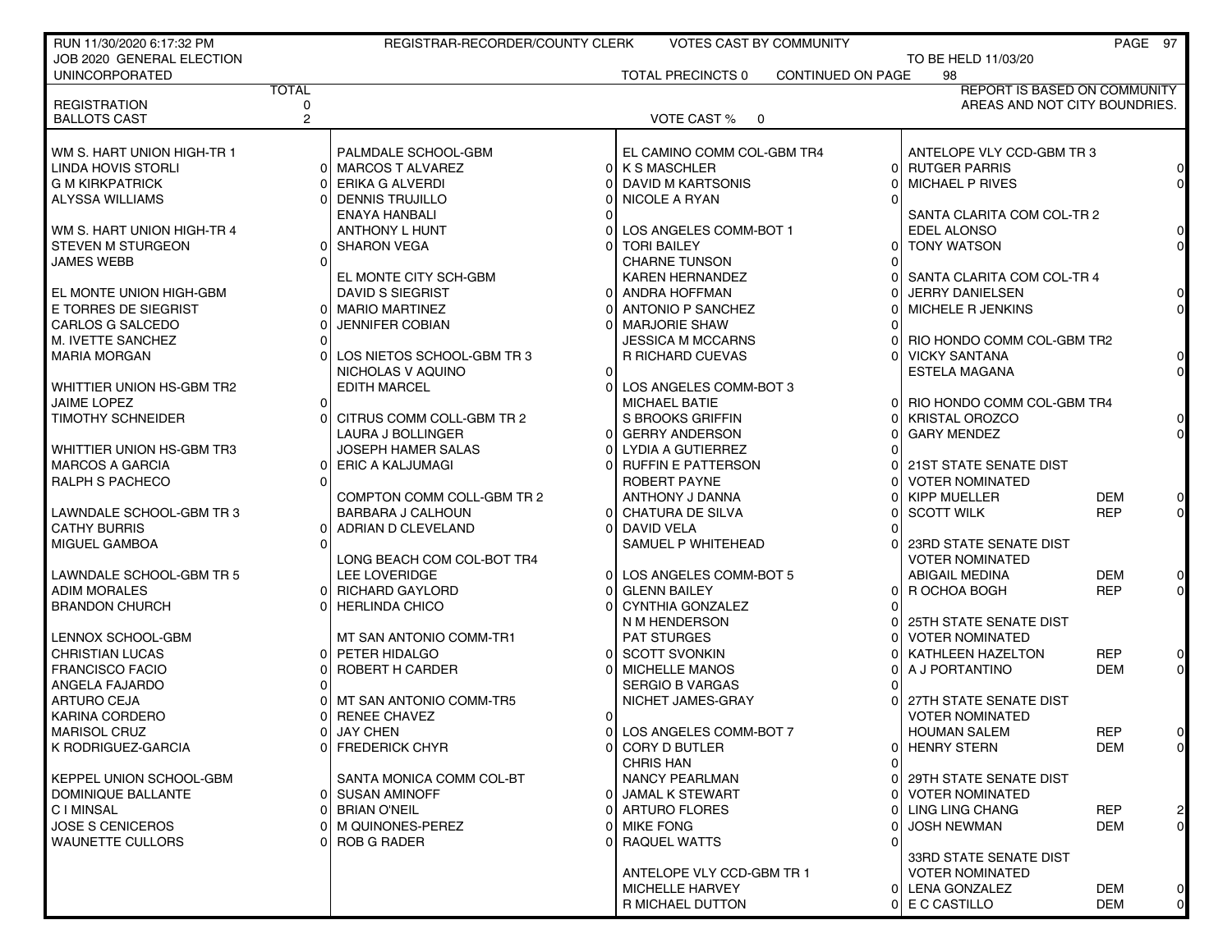| RUN 11/30/2020 6:17:32 PM            |                     | REGISTRAR-RECORDER/COUNTY CLERK |          | <b>VOTES CAST BY COMMUNITY</b>                |     |                                                  | PAGE 97           |         |
|--------------------------------------|---------------------|---------------------------------|----------|-----------------------------------------------|-----|--------------------------------------------------|-------------------|---------|
| JOB 2020 GENERAL ELECTION            |                     |                                 |          |                                               |     | TO BE HELD 11/03/20                              |                   |         |
| <b>UNINCORPORATED</b>                |                     |                                 |          | TOTAL PRECINCTS 0<br><b>CONTINUED ON PAGE</b> |     | 98                                               |                   |         |
|                                      | <b>TOTAL</b>        |                                 |          |                                               |     | <b>REPORT IS BASED ON COMMUNITY</b>              |                   |         |
| <b>REGISTRATION</b>                  | 0<br>$\overline{2}$ |                                 |          |                                               |     | AREAS AND NOT CITY BOUNDRIES.                    |                   |         |
| <b>BALLOTS CAST</b>                  |                     |                                 |          | VOTE CAST % 0                                 |     |                                                  |                   |         |
| WM S. HART UNION HIGH-TR 1           |                     | PALMDALE SCHOOL-GBM             |          | EL CAMINO COMM COL-GBM TR4                    |     | ANTELOPE VLY CCD-GBM TR 3                        |                   |         |
| LINDA HOVIS STORLI                   |                     | 0 MARCOS T ALVAREZ              |          | 0 K S MASCHLER                                |     | 0 RUTGER PARRIS                                  |                   |         |
| <b>G M KIRKPATRICK</b>               |                     | ERIKA G ALVERDI                 |          | DAVID M KARTSONIS                             |     | MICHAEL P RIVES                                  |                   |         |
| ALYSSA WILLIAMS                      |                     | 0 DENNIS TRUJILLO               |          | NICOLE A RYAN                                 |     |                                                  |                   |         |
|                                      |                     | ENAYA HANBALI                   |          |                                               |     | SANTA CLARITA COM COL-TR 2                       |                   |         |
| WM S. HART UNION HIGH-TR 4           |                     | ANTHONY L HUNT                  |          | LOS ANGELES COMM-BOT 1                        |     | EDEL ALONSO                                      |                   |         |
| <b>STEVEN M STURGEON</b>             |                     | 0 SHARON VEGA                   |          | <b>TORI BAILEY</b>                            | 0١  | <b>TONY WATSON</b>                               |                   |         |
| <b>JAMES WEBB</b>                    |                     |                                 |          | <b>CHARNE TUNSON</b>                          |     |                                                  |                   |         |
|                                      |                     | EL MONTE CITY SCH-GBM           |          | <b>KAREN HERNANDEZ</b>                        |     | SANTA CLARITA COM COL-TR 4                       |                   |         |
| EL MONTE UNION HIGH-GBM              |                     | DAVID S SIEGRIST                | $\Omega$ | ANDRA HOFFMAN                                 |     | <b>JERRY DANIELSEN</b>                           |                   |         |
| E TORRES DE SIEGRIST                 |                     | 0 MARIO MARTINEZ                |          | ANTONIO P SANCHEZ                             |     | <b>MICHELE R JENKINS</b>                         |                   |         |
| CARLOS G SALCEDO                     |                     | <b>JENNIFER COBIAN</b>          |          | <b>MARJORIE SHAW</b>                          |     |                                                  |                   |         |
| M. IVETTE SANCHEZ                    |                     |                                 |          | JESSICA M MCCARNS                             |     | RIO HONDO COMM COL-GBM TR2                       |                   |         |
| MARIA MORGAN                         |                     | LOS NIETOS SCHOOL-GBM TR 3      |          | R RICHARD CUEVAS                              | ΩI  | <b>VICKY SANTANA</b>                             |                   |         |
|                                      |                     | NICHOLAS V AQUINO               | $\Omega$ |                                               |     | ESTELA MAGANA                                    |                   |         |
| WHITTIER UNION HS-GBM TR2            |                     | <b>EDITH MARCEL</b>             |          | LOS ANGELES COMM-BOT 3                        |     |                                                  |                   |         |
| JAIME LOPEZ                          |                     |                                 |          | <b>MICHAEL BATIE</b>                          | ΩL  | RIO HONDO COMM COL-GBM TR4                       |                   |         |
| <b>TIMOTHY SCHNEIDER</b>             |                     | CITRUS COMM COLL-GBM TR 2       |          | S BROOKS GRIFFIN                              |     | <b>KRISTAL OROZCO</b>                            |                   |         |
|                                      |                     | <b>LAURA J BOLLINGER</b>        |          | <b>GERRY ANDERSON</b>                         |     | <b>GARY MENDEZ</b>                               |                   |         |
| WHITTIER UNION HS-GBM TR3            |                     | JOSEPH HAMER SALAS              | $\Omega$ | LYDIA A GUTIERREZ                             |     |                                                  |                   |         |
| <b>MARCOS A GARCIA</b>               |                     | 0 ERIC A KALJUMAGI              |          | <b>RUFFIN E PATTERSON</b>                     |     | 21ST STATE SENATE DIST                           |                   |         |
| <b>RALPH S PACHECO</b>               |                     |                                 |          | ROBERT PAYNE                                  |     | <b>VOTER NOMINATED</b>                           |                   |         |
|                                      |                     | COMPTON COMM COLL-GBM TR 2      |          | ANTHONY J DANNA                               |     | <b>KIPP MUELLER</b>                              | <b>DEM</b>        |         |
| LAWNDALE SCHOOL-GBM TR 3             |                     | BARBARA J CALHOUN               |          | 0 CHATURA DE SILVA                            |     | <b>SCOTT WILK</b>                                | <b>REP</b>        |         |
| <b>CATHY BURRIS</b>                  |                     | ADRIAN D CLEVELAND              |          | DAVID VELA                                    |     |                                                  |                   |         |
| MIGUEL GAMBOA                        |                     |                                 |          | SAMUEL P WHITEHEAD                            |     | 23RD STATE SENATE DIST                           |                   |         |
|                                      |                     | LONG BEACH COM COL-BOT TR4      |          |                                               |     | <b>VOTER NOMINATED</b>                           |                   |         |
| LAWNDALE SCHOOL-GBM TR 5             |                     | LEE LOVERIDGE                   | $\Omega$ | LOS ANGELES COMM-BOT 5                        |     | <b>ABIGAIL MEDINA</b>                            | <b>DEM</b>        |         |
| <b>ADIM MORALES</b>                  |                     | 0 RICHARD GAYLORD               | $\Omega$ | <b>GLENN BAILEY</b>                           | 0   | R OCHOA BOGH                                     | <b>REP</b>        |         |
| <b>BRANDON CHURCH</b>                |                     | 0 HERLINDA CHICO                |          | <b>CYNTHIA GONZALEZ</b>                       |     |                                                  |                   |         |
|                                      |                     |                                 |          | N M HENDERSON                                 |     | 25TH STATE SENATE DIST                           |                   |         |
| LENNOX SCHOOL-GBM                    |                     | MT SAN ANTONIO COMM-TR1         |          | <b>PAT STURGES</b>                            |     | <b>VOTER NOMINATED</b>                           |                   |         |
| <b>CHRISTIAN LUCAS</b>               |                     | 0 PETER HIDALGO                 |          | 0 SCOTT SVONKIN                               |     | KATHLEEN HAZELTON                                | <b>REP</b>        |         |
| <b>FRANCISCO FACIO</b>               |                     | ROBERT H CARDER                 |          | <b>MICHELLE MANOS</b>                         |     | A J PORTANTINO                                   | <b>DEM</b>        |         |
| ANGELA FAJARDO                       |                     |                                 |          | <b>SERGIO B VARGAS</b>                        |     |                                                  |                   |         |
| <b>ARTURO CEJA</b><br>KARINA CORDERO |                     | MT SAN ANTONIO COMM-TR5         | $\Omega$ | NICHET JAMES-GRAY                             |     | 27TH STATE SENATE DIST<br><b>VOTER NOMINATED</b> |                   |         |
|                                      |                     | <b>RENEE CHAVEZ</b>             |          | 0 LOS ANGELES COMM-BOT 7                      |     |                                                  |                   |         |
| MARISOL CRUZ<br>K RODRIGUEZ-GARCIA   |                     | 0 JAY CHEN<br>0 FREDERICK CHYR  |          | 0 CORY D BUTLER                               |     | <b>HOUMAN SALEM</b><br>0 HENRY STERN             | <b>REP</b><br>DEM | U<br>01 |
|                                      |                     |                                 |          | <b>CHRIS HAN</b>                              |     |                                                  |                   |         |
| KEPPEL UNION SCHOOL-GBM              |                     | SANTA MONICA COMM COL-BT        |          | <b>NANCY PEARLMAN</b>                         | ΟI  | 29TH STATE SENATE DIST                           |                   |         |
| DOMINIQUE BALLANTE                   |                     | 0 SUSAN AMINOFF                 |          | 0 JAMAL K STEWART                             | 0 I | <b>VOTER NOMINATED</b>                           |                   |         |
| <b>CIMINSAL</b>                      |                     | 0 BRIAN O'NEIL                  |          | 0 ARTURO FLORES                               |     | LING LING CHANG                                  | <b>REP</b>        |         |
| <b>JOSE S CENICEROS</b>              |                     | 0 M QUINONES-PEREZ              |          | 0 MIKE FONG                                   |     | <b>JOSH NEWMAN</b>                               | DEM               | 0       |
| <b>WAUNETTE CULLORS</b>              |                     | 0 ROB G RADER                   |          | 0 RAQUEL WATTS                                |     |                                                  |                   |         |
|                                      |                     |                                 |          |                                               |     | 33RD STATE SENATE DIST                           |                   |         |
|                                      |                     |                                 |          | ANTELOPE VLY CCD-GBM TR 1                     |     | <b>VOTER NOMINATED</b>                           |                   |         |
|                                      |                     |                                 |          | MICHELLE HARVEY                               |     | 0 LENA GONZALEZ                                  | DEM               |         |
|                                      |                     |                                 |          | R MICHAEL DUTTON                              |     | 0 E C CASTILLO                                   | DEM               | 0       |
|                                      |                     |                                 |          |                                               |     |                                                  |                   |         |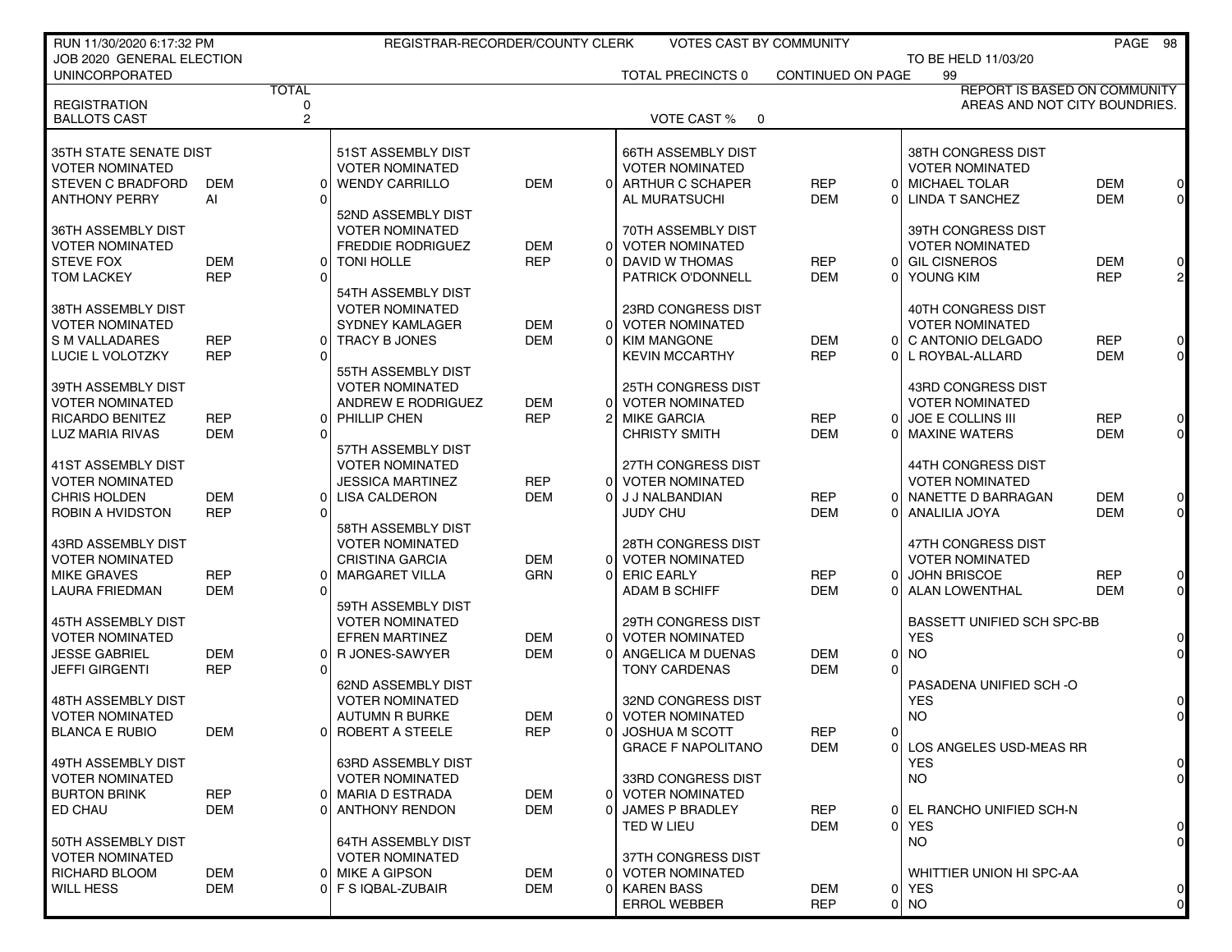| RUN 11/30/2020 6:17:32 PM                    |            |                   | REGISTRAR-RECORDER/COUNTY CLERK |                          |                | <b>VOTES CAST BY COMMUNITY</b>            |                   |                |                                               |            | PAGE 98                          |
|----------------------------------------------|------------|-------------------|---------------------------------|--------------------------|----------------|-------------------------------------------|-------------------|----------------|-----------------------------------------------|------------|----------------------------------|
| JOB 2020 GENERAL ELECTION                    |            |                   |                                 |                          |                |                                           |                   |                | TO BE HELD 11/03/20                           |            |                                  |
| <b>UNINCORPORATED</b>                        |            |                   |                                 |                          |                | <b>TOTAL PRECINCTS 0</b>                  | CONTINUED ON PAGE |                | 99                                            |            |                                  |
|                                              |            | <b>TOTAL</b>      |                                 |                          |                |                                           |                   |                | REPORT IS BASED ON COMMUNITY                  |            |                                  |
| <b>REGISTRATION</b><br><b>BALLOTS CAST</b>   |            | 0<br>$\mathbf{2}$ |                                 |                          |                | VOTE CAST %<br>$\overline{0}$             |                   |                | AREAS AND NOT CITY BOUNDRIES.                 |            |                                  |
|                                              |            |                   |                                 |                          |                |                                           |                   |                |                                               |            |                                  |
| 35TH STATE SENATE DIST                       |            |                   | 51ST ASSEMBLY DIST              |                          |                | <b>66TH ASSEMBLY DIST</b>                 |                   |                | 38TH CONGRESS DIST                            |            |                                  |
| <b>VOTER NOMINATED</b>                       |            |                   | <b>VOTER NOMINATED</b>          |                          |                | <b>VOTER NOMINATED</b>                    |                   |                | <b>VOTER NOMINATED</b>                        |            |                                  |
| <b>STEVEN C BRADFORD</b>                     | <b>DEM</b> |                   | 0 WENDY CARRILLO                | <b>DEM</b>               | $\Omega$       | ARTHUR C SCHAPER                          | <b>REP</b>        | $\Omega$       | <b>MICHAEL TOLAR</b>                          | <b>DEM</b> | $\overline{0}$                   |
| <b>ANTHONY PERRY</b>                         | AI         | $\Omega$          |                                 |                          |                | AL MURATSUCHI                             | <b>DEM</b>        | 0              | LINDA T SANCHEZ                               | <b>DEM</b> | $\overline{0}$                   |
|                                              |            |                   | 52ND ASSEMBLY DIST              |                          |                |                                           |                   |                |                                               |            |                                  |
| 36TH ASSEMBLY DIST                           |            |                   | <b>VOTER NOMINATED</b>          |                          |                | 70TH ASSEMBLY DIST                        |                   |                | 39TH CONGRESS DIST                            |            |                                  |
| <b>VOTER NOMINATED</b>                       |            |                   | <b>FREDDIE RODRIGUEZ</b>        | <b>DEM</b>               | $\Omega$       | <b>VOTER NOMINATED</b>                    |                   |                | <b>VOTER NOMINATED</b>                        |            |                                  |
| <b>STEVE FOX</b>                             | <b>DEM</b> |                   | 0 TONI HOLLE                    | <b>REP</b>               | $\Omega$       | DAVID W THOMAS                            | <b>REP</b>        | 0              | <b>GIL CISNEROS</b>                           | DEM        | $\overline{0}$                   |
| <b>TOM LACKEY</b>                            | <b>REP</b> | ΩI                |                                 |                          |                | PATRICK O'DONNELL                         | <b>DEM</b>        | 0              | YOUNG KIM                                     | <b>REP</b> | $2 \vert$                        |
|                                              |            |                   | 54TH ASSEMBLY DIST              |                          |                |                                           |                   |                |                                               |            |                                  |
| 38TH ASSEMBLY DIST                           |            |                   | <b>VOTER NOMINATED</b>          |                          |                | 23RD CONGRESS DIST                        |                   |                | 40TH CONGRESS DIST                            |            |                                  |
| <b>VOTER NOMINATED</b>                       |            |                   | SYDNEY KAMLAGER                 | <b>DEM</b>               |                | 0 VOTER NOMINATED                         |                   |                | <b>VOTER NOMINATED</b>                        |            |                                  |
| S M VALLADARES                               | <b>REP</b> |                   | 0 TRACY B JONES                 | <b>DEM</b>               | 0              | <b>KIM MANGONE</b>                        | <b>DEM</b>        | $\overline{0}$ | C ANTONIO DELGADO                             | <b>REP</b> | $\overline{0}$                   |
| LUCIE L VOLOTZKY                             | <b>REP</b> | $\Omega$          |                                 |                          |                | <b>KEVIN MCCARTHY</b>                     | <b>REP</b>        | $\Omega$       | L ROYBAL-ALLARD                               | <b>DEM</b> | $\overline{0}$                   |
|                                              |            |                   | 55TH ASSEMBLY DIST              |                          |                |                                           |                   |                |                                               |            |                                  |
| 39TH ASSEMBLY DIST                           |            |                   | <b>VOTER NOMINATED</b>          |                          |                | <b>25TH CONGRESS DIST</b>                 |                   |                | 43RD CONGRESS DIST                            |            |                                  |
| <b>VOTER NOMINATED</b>                       |            |                   | ANDREW E RODRIGUEZ              | <b>DEM</b>               | $\overline{0}$ | <b>VOTER NOMINATED</b>                    |                   |                | <b>VOTER NOMINATED</b>                        |            |                                  |
| RICARDO BENITEZ                              | <b>REP</b> |                   | 0 PHILLIP CHEN                  | <b>REP</b>               | $\overline{2}$ | <b>MIKE GARCIA</b>                        | <b>REP</b>        | 0              | JOE E COLLINS III                             | <b>REP</b> | $\overline{0}$                   |
| LUZ MARIA RIVAS                              | <b>DEM</b> | $\Omega$          |                                 |                          |                | <b>CHRISTY SMITH</b>                      | <b>DEM</b>        | $\Omega$       | <b>MAXINE WATERS</b>                          | <b>DEM</b> | $\overline{0}$                   |
|                                              |            |                   | 57TH ASSEMBLY DIST              |                          |                |                                           |                   |                |                                               |            |                                  |
| 41ST ASSEMBLY DIST                           |            |                   | <b>VOTER NOMINATED</b>          |                          |                | 27TH CONGRESS DIST                        |                   |                | 44TH CONGRESS DIST                            |            |                                  |
| <b>VOTER NOMINATED</b>                       |            |                   | <b>JESSICA MARTINEZ</b>         | <b>REP</b>               | 0              | <b>VOTER NOMINATED</b>                    |                   |                | <b>VOTER NOMINATED</b>                        |            |                                  |
| <b>CHRIS HOLDEN</b>                          | <b>DEM</b> |                   | 0 LISA CALDERON                 | <b>DEM</b>               |                | 0 J J NALBANDIAN                          | <b>REP</b>        | $\overline{0}$ | NANETTE D BARRAGAN                            | <b>DEM</b> | $\overline{0}$                   |
| ROBIN A HVIDSTON                             | <b>REP</b> | ΩI                |                                 |                          |                | <b>JUDY CHU</b>                           | <b>DEM</b>        | 0              | ANALILIA JOYA                                 | <b>DEM</b> | $\overline{0}$                   |
|                                              |            |                   | 58TH ASSEMBLY DIST              |                          |                |                                           |                   |                |                                               |            |                                  |
| 43RD ASSEMBLY DIST                           |            |                   | <b>VOTER NOMINATED</b>          |                          |                | <b>28TH CONGRESS DIST</b>                 |                   |                | 47TH CONGRESS DIST                            |            |                                  |
| <b>VOTER NOMINATED</b><br><b>MIKE GRAVES</b> | <b>REP</b> |                   | <b>CRISTINA GARCIA</b>          | <b>DEM</b><br><b>GRN</b> | $\Omega$<br>0  | <b>VOTER NOMINATED</b>                    | <b>REP</b>        | 0              | <b>VOTER NOMINATED</b><br><b>JOHN BRISCOE</b> | <b>REP</b> |                                  |
| LAURA FRIEDMAN                               | <b>DEM</b> | ΩI                | 0   MARGARET VILLA              |                          |                | <b>ERIC EARLY</b><br><b>ADAM B SCHIFF</b> | <b>DEM</b>        | $\Omega$       | <b>ALAN LOWENTHAL</b>                         | <b>DEM</b> | $\overline{0}$<br>$\overline{0}$ |
|                                              |            |                   | 59TH ASSEMBLY DIST              |                          |                |                                           |                   |                |                                               |            |                                  |
| 45TH ASSEMBLY DIST                           |            |                   | <b>VOTER NOMINATED</b>          |                          |                | 29TH CONGRESS DIST                        |                   |                | BASSETT UNIFIED SCH SPC-BB                    |            |                                  |
| <b>VOTER NOMINATED</b>                       |            |                   | <b>EFREN MARTINEZ</b>           | <b>DEM</b>               | $\Omega$       | <b>VOTER NOMINATED</b>                    |                   |                | <b>YES</b>                                    |            | 01                               |
| <b>JESSE GABRIEL</b>                         | <b>DEM</b> |                   | 0 R JONES-SAWYER                | <b>DEM</b>               | $\Omega$       | ANGELICA M DUENAS                         | <b>DEM</b>        | 0              | <b>NO</b>                                     |            | $\Omega$                         |
| <b>JEFFI GIRGENTI</b>                        | <b>REP</b> | ΩI                |                                 |                          |                | <b>TONY CARDENAS</b>                      | <b>DEM</b>        | $\Omega$       |                                               |            |                                  |
|                                              |            |                   | 62ND ASSEMBLY DIST              |                          |                |                                           |                   |                | PASADENA UNIFIED SCH-O                        |            |                                  |
| 48TH ASSEMBLY DIST                           |            |                   | <b>VOTER NOMINATED</b>          |                          |                | 32ND CONGRESS DIST                        |                   |                | <b>YES</b>                                    |            |                                  |
| <b>VOTER NOMINATED</b>                       |            |                   | <b>AUTUMN R BURKE</b>           | <b>DEM</b>               |                | 0 VOTER NOMINATED                         |                   |                | <b>NO</b>                                     |            | $\overline{0}$                   |
| <b>BLANCA E RUBIO</b>                        | DEM        |                   | 0 ROBERT A STEELE               | REP                      |                | 0 JOSHUA M SCOTT                          | REP               | 0              |                                               |            |                                  |
|                                              |            |                   |                                 |                          |                | <b>GRACE F NAPOLITANO</b>                 | DEM               | $\Omega$       | LOS ANGELES USD-MEAS RR                       |            |                                  |
| 49TH ASSEMBLY DIST                           |            |                   | 63RD ASSEMBLY DIST              |                          |                |                                           |                   |                | <b>YES</b>                                    |            | $\overline{0}$                   |
| <b>VOTER NOMINATED</b>                       |            |                   | <b>VOTER NOMINATED</b>          |                          |                | 33RD CONGRESS DIST                        |                   |                | <b>NO</b>                                     |            | $\overline{0}$                   |
| <b>BURTON BRINK</b>                          | <b>REP</b> |                   | 0 MARIA D ESTRADA               | DEM                      | 01             | <b>VOTER NOMINATED</b>                    |                   |                |                                               |            |                                  |
| ED CHAU                                      | DEM        |                   | 0 ANTHONY RENDON                | <b>DEM</b>               |                | 0 JAMES P BRADLEY                         | <b>REP</b>        | $\Omega$       | EL RANCHO UNIFIED SCH-N                       |            |                                  |
|                                              |            |                   |                                 |                          |                | TED W LIEU                                | DEM               | $\overline{0}$ | <b>YES</b>                                    |            | $\overline{0}$                   |
| 50TH ASSEMBLY DIST                           |            |                   | 64TH ASSEMBLY DIST              |                          |                |                                           |                   |                | NO.                                           |            | $\overline{0}$                   |
| <b>VOTER NOMINATED</b>                       |            |                   | <b>VOTER NOMINATED</b>          |                          |                | 37TH CONGRESS DIST                        |                   |                |                                               |            |                                  |
| RICHARD BLOOM                                | DEM        |                   | 0 MIKE A GIPSON                 | DEM                      | 0              | <b>VOTER NOMINATED</b>                    |                   |                | WHITTIER UNION HI SPC-AA                      |            |                                  |
| <b>WILL HESS</b>                             | <b>DEM</b> |                   | 0 F S IQBAL-ZUBAIR              | <b>DEM</b>               | ٥I             | <b>KAREN BASS</b>                         | DEM               | $\overline{0}$ | <b>YES</b>                                    |            | $\overline{O}$                   |
|                                              |            |                   |                                 |                          |                | <b>ERROL WEBBER</b>                       | <b>REP</b>        |                | 0 NO                                          |            | $\circ$                          |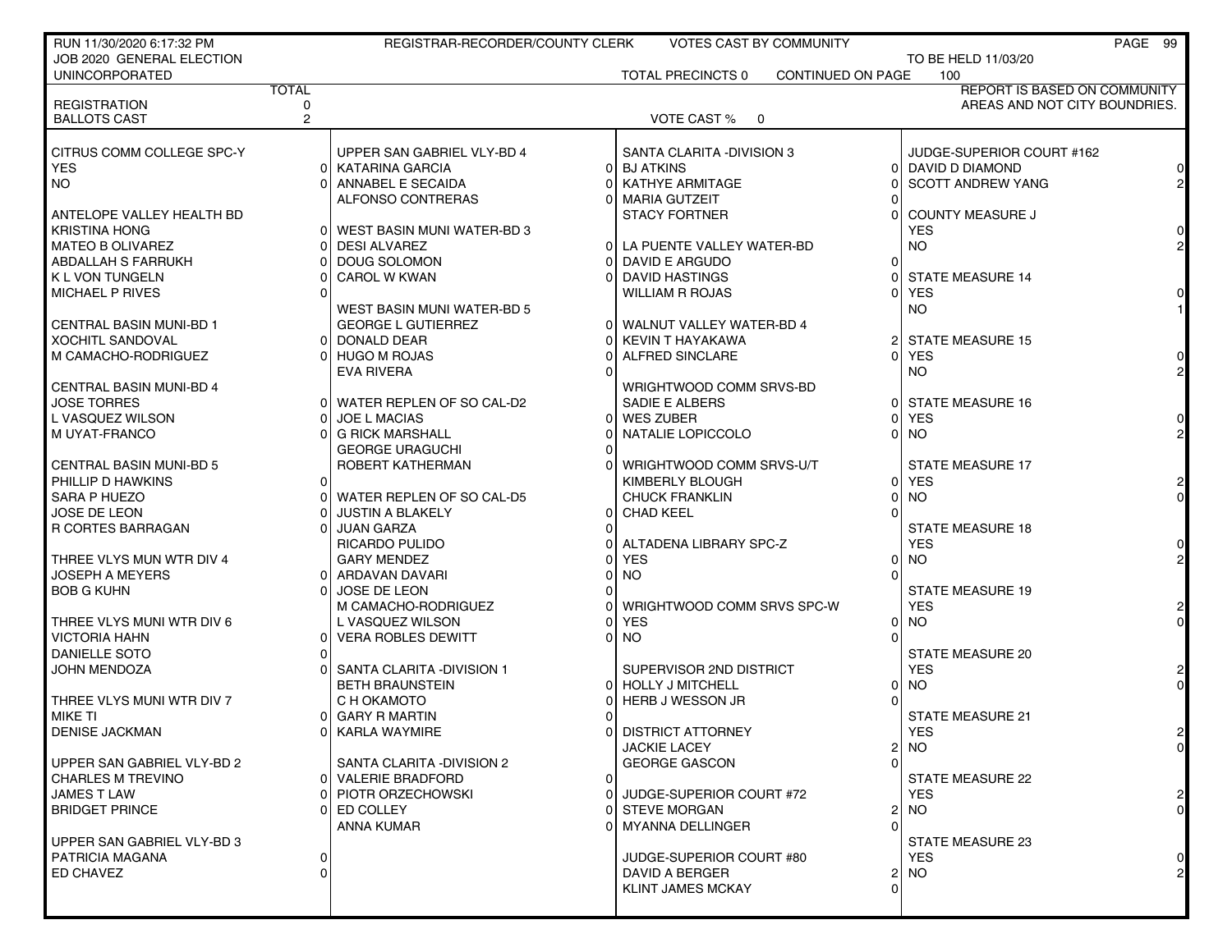| RUN 11/30/2020 6:17:32 PM      |                | REGISTRAR-RECORDER/COUNTY CLERK                         |                                     | <b>VOTES CAST BY COMMUNITY</b> |          |                               | PAGE 99        |
|--------------------------------|----------------|---------------------------------------------------------|-------------------------------------|--------------------------------|----------|-------------------------------|----------------|
| JOB 2020 GENERAL ELECTION      |                |                                                         |                                     |                                |          | TO BE HELD 11/03/20           |                |
| <b>UNINCORPORATED</b>          |                |                                                         | <b>TOTAL PRECINCTS 0</b>            | CONTINUED ON PAGE              |          | 100                           |                |
|                                | <b>TOTAL</b>   |                                                         |                                     |                                |          | REPORT IS BASED ON COMMUNITY  |                |
| <b>REGISTRATION</b>            | 0              |                                                         |                                     |                                |          | AREAS AND NOT CITY BOUNDRIES. |                |
| <b>BALLOTS CAST</b>            | $\overline{2}$ |                                                         | VOTE CAST % 0                       |                                |          |                               |                |
|                                |                |                                                         |                                     |                                |          |                               |                |
| CITRUS COMM COLLEGE SPC-Y      |                | UPPER SAN GABRIEL VLY-BD 4                              | SANTA CLARITA - DIVISION 3          |                                |          | JUDGE-SUPERIOR COURT #162     |                |
| <b>YES</b>                     |                | 0 KATARINA GARCIA                                       | 0 BJ ATKINS                         |                                |          | 0 DAVID D DIAMOND             |                |
| NO.                            |                | 0 ANNABEL E SECAIDA                                     | <b>KATHYE ARMITAGE</b>              |                                |          | <b>SCOTT ANDREW YANG</b>      |                |
|                                |                | ALFONSO CONTRERAS                                       | 0 MARIA GUTZEIT                     |                                |          |                               |                |
| ANTELOPE VALLEY HEALTH BD      |                |                                                         | <b>STACY FORTNER</b>                |                                |          | <b>COUNTY MEASURE J</b>       |                |
| <b>KRISTINA HONG</b>           |                | 0   WEST BASIN MUNI WATER-BD 3                          |                                     |                                |          | <b>YES</b>                    |                |
| <b>MATEO B OLIVAREZ</b>        |                | 0 DESI ALVAREZ                                          | 0 LA PUENTE VALLEY WATER-BD         |                                |          | NO.                           |                |
| ABDALLAH S FARRUKH             |                | DOUG SOLOMON                                            | DAVID E ARGUDO<br>$\Omega$          |                                |          |                               |                |
| <b>K L VON TUNGELN</b>         |                | <b>CAROL W KWAN</b>                                     | <b>DAVID HASTINGS</b><br>0          |                                |          | <b>STATE MEASURE 14</b>       |                |
| MICHAEL P RIVES                |                |                                                         | <b>WILLIAM R ROJAS</b>              |                                |          | <b>YES</b>                    |                |
| <b>CENTRAL BASIN MUNI-BD 1</b> |                | WEST BASIN MUNI WATER-BD 5<br><b>GEORGE L GUTIERREZ</b> | 0 WALNUT VALLEY WATER-BD 4          |                                |          | NO.                           |                |
|                                |                |                                                         |                                     |                                |          | 2 STATE MEASURE 15            |                |
| <b>XOCHITL SANDOVAL</b>        |                | 0 DONALD DEAR<br>0 HUGO M ROJAS                         | KEVIN T HAYAKAWA<br>ALFRED SINCLARE |                                |          | 0 YES                         |                |
| M CAMACHO-RODRIGUEZ            |                | <b>EVA RIVERA</b>                                       |                                     |                                |          | NO.                           |                |
| CENTRAL BASIN MUNI-BD 4        |                |                                                         | WRIGHTWOOD COMM SRVS-BD             |                                |          |                               |                |
| <b>JOSE TORRES</b>             |                | 0 WATER REPLEN OF SO CAL-D2                             | SADIE E ALBERS                      |                                |          | 0 STATE MEASURE 16            |                |
| L VASQUEZ WILSON               |                | <b>JOE L MACIAS</b>                                     | 0 WES ZUBER                         |                                |          | <b>YES</b>                    |                |
| M UYAT-FRANCO                  |                | 0 G RICK MARSHALL                                       | NATALIE LOPICCOLO                   |                                |          | NO.                           |                |
|                                |                | <b>GEORGE URAGUCHI</b>                                  |                                     |                                |          |                               |                |
| <b>CENTRAL BASIN MUNI-BD 5</b> |                | ROBERT KATHERMAN                                        | WRIGHTWOOD COMM SRVS-U/T            |                                |          | <b>STATE MEASURE 17</b>       |                |
| PHILLIP D HAWKINS              | 01             |                                                         | KIMBERLY BLOUGH                     |                                |          | 0 YES                         |                |
| SARA P HUEZO                   |                | 0 WATER REPLEN OF SO CAL-D5                             | <b>CHUCK FRANKLIN</b>               |                                |          | <b>NO</b>                     |                |
| <b>JOSE DE LEON</b>            |                | JUSTIN A BLAKELY                                        | 0 CHAD KEEL                         |                                |          |                               |                |
| R CORTES BARRAGAN              |                | 0 JUAN GARZA                                            |                                     |                                |          | STATE MEASURE 18              |                |
|                                |                | RICARDO PULIDO                                          | 0 ALTADENA LIBRARY SPC-Z            |                                |          | <b>YES</b>                    |                |
| THREE VLYS MUN WTR DIV 4       |                | <b>GARY MENDEZ</b>                                      | <b>YES</b>                          |                                | ΩI       | <b>NO</b>                     |                |
| <b>JOSEPH A MEYERS</b>         |                | 0  ARDAVAN DAVARI                                       | <b>NO</b>                           |                                |          |                               |                |
| <b>BOB G KUHN</b>              | ΩL             | <b>JOSE DE LEON</b>                                     |                                     |                                |          | STATE MEASURE 19              |                |
|                                |                | M CAMACHO-RODRIGUEZ                                     | WRIGHTWOOD COMM SRVS SPC-W          |                                |          | <b>YES</b>                    |                |
| THREE VLYS MUNI WTR DIV 6      |                | L VASQUEZ WILSON                                        | <b>YES</b>                          |                                |          | <b>NO</b>                     |                |
| <b>VICTORIA HAHN</b>           |                | 0 VERA ROBLES DEWITT                                    | $0$ NO                              |                                |          |                               |                |
| <b>DANIELLE SOTO</b>           |                |                                                         |                                     |                                |          | <b>STATE MEASURE 20</b>       |                |
| <b>JOHN MENDOZA</b>            |                | 0 SANTA CLARITA -DIVISION 1                             | SUPERVISOR 2ND DISTRICT             |                                |          | <b>YES</b>                    |                |
|                                |                | <b>BETH BRAUNSTEIN</b>                                  | 0 HOLLY J MITCHELL                  |                                |          | 0 NO                          |                |
| THREE VLYS MUNI WTR DIV 7      |                | C H OKAMOTO                                             | <b>HERB J WESSON JR</b>             |                                |          |                               |                |
| MIKE TI                        |                | 0 GARY R MARTIN                                         |                                     |                                |          | <b>STATE MEASURE 21</b>       |                |
| <b>DENISE JACKMAN</b>          |                | 01 KARLA WAYMIRE                                        | 0 DISTRICT ATTORNEY                 |                                |          | YES                           |                |
|                                |                |                                                         | <b>JACKIE LACEY</b>                 |                                |          | 2 NO                          | $\overline{0}$ |
| UPPER SAN GABRIEL VLY-BD 2     |                | SANTA CLARITA -DIVISION 2                               | <b>GEORGE GASCON</b>                |                                |          |                               |                |
| <b>CHARLES M TREVINO</b>       |                | 0 VALERIE BRADFORD                                      | $\mathbf{0}$                        |                                |          | <b>STATE MEASURE 22</b>       |                |
| <b>JAMES T LAW</b>             |                | 0 PIOTR ORZECHOWSKI                                     | JUDGE-SUPERIOR COURT #72<br>0       |                                |          | YES.                          |                |
| <b>BRIDGET PRINCE</b>          |                | 0 ED COLLEY                                             | <b>STEVE MORGAN</b><br>0            |                                | 21       | NO.                           |                |
|                                |                | ANNA KUMAR                                              | MYANNA DELLINGER<br>0               |                                |          |                               |                |
| UPPER SAN GABRIEL VLY-BD 3     |                |                                                         |                                     |                                |          | STATE MEASURE 23              |                |
| PATRICIA MAGANA                | $\Omega$       |                                                         | JUDGE-SUPERIOR COURT #80            |                                |          | <b>YES</b>                    |                |
| ED CHAVEZ                      | Ωl             |                                                         | DAVID A BERGER                      |                                |          | 2 INO                         |                |
|                                |                |                                                         | <b>KLINT JAMES MCKAY</b>            |                                | $\Omega$ |                               |                |
|                                |                |                                                         |                                     |                                |          |                               |                |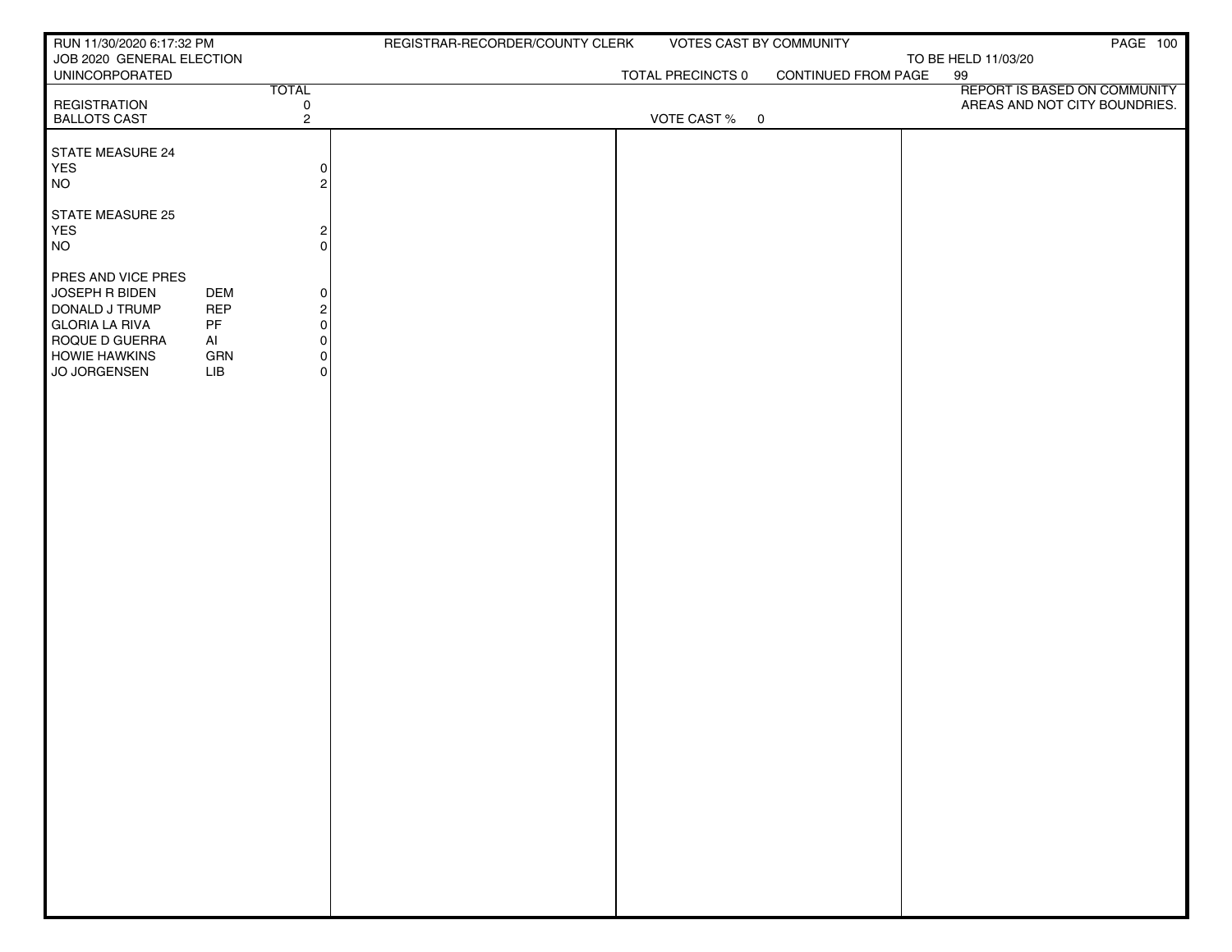| RUN 11/30/2020 6:17:32 PM                   |            |                                        | REGISTRAR-RECORDER/COUNTY CLERK | VOTES CAST BY COMMUNITY |                     |                     | <b>PAGE 100</b>               |
|---------------------------------------------|------------|----------------------------------------|---------------------------------|-------------------------|---------------------|---------------------|-------------------------------|
| JOB 2020 GENERAL ELECTION<br>UNINCORPORATED |            |                                        |                                 |                         | CONTINUED FROM PAGE | TO BE HELD 11/03/20 |                               |
|                                             |            | <b>TOTAL</b>                           |                                 | TOTAL PRECINCTS 0       |                     | 99                  | REPORT IS BASED ON COMMUNITY  |
| <b>REGISTRATION</b>                         |            | $\mathsf{O}\xspace$                    |                                 |                         |                     |                     | AREAS AND NOT CITY BOUNDRIES. |
| <b>BALLOTS CAST</b>                         |            | $\overline{2}$                         |                                 | VOTE CAST % 0           |                     |                     |                               |
| STATE MEASURE 24                            |            |                                        |                                 |                         |                     |                     |                               |
| YES                                         |            | $\circ$                                |                                 |                         |                     |                     |                               |
| <b>NO</b>                                   |            | $\overline{2}$                         |                                 |                         |                     |                     |                               |
| STATE MEASURE 25                            |            |                                        |                                 |                         |                     |                     |                               |
| YES                                         |            |                                        |                                 |                         |                     |                     |                               |
| <b>NO</b>                                   |            | $\frac{2}{0}$                          |                                 |                         |                     |                     |                               |
|                                             |            |                                        |                                 |                         |                     |                     |                               |
| PRES AND VICE PRES<br>JOSEPH R BIDEN        | <b>DEM</b> | $\mathsf{O}\hspace{0.02cm}$            |                                 |                         |                     |                     |                               |
| DONALD J TRUMP                              | <b>REP</b> |                                        |                                 |                         |                     |                     |                               |
| <b>GLORIA LA RIVA</b>                       | PF         | $\begin{bmatrix} 2 \\ 0 \end{bmatrix}$ |                                 |                         |                     |                     |                               |
| ROQUE D GUERRA                              | AI         | $\mathsf{O}\hspace{0.02cm}$            |                                 |                         |                     |                     |                               |
| <b>HOWIE HAWKINS</b><br>JO JORGENSEN        | GRN<br>LIB | $\mathsf{O}\hspace{0.02cm}$<br>$\circ$ |                                 |                         |                     |                     |                               |
|                                             |            |                                        |                                 |                         |                     |                     |                               |
|                                             |            |                                        |                                 |                         |                     |                     |                               |
|                                             |            |                                        |                                 |                         |                     |                     |                               |
|                                             |            |                                        |                                 |                         |                     |                     |                               |
|                                             |            |                                        |                                 |                         |                     |                     |                               |
|                                             |            |                                        |                                 |                         |                     |                     |                               |
|                                             |            |                                        |                                 |                         |                     |                     |                               |
|                                             |            |                                        |                                 |                         |                     |                     |                               |
|                                             |            |                                        |                                 |                         |                     |                     |                               |
|                                             |            |                                        |                                 |                         |                     |                     |                               |
|                                             |            |                                        |                                 |                         |                     |                     |                               |
|                                             |            |                                        |                                 |                         |                     |                     |                               |
|                                             |            |                                        |                                 |                         |                     |                     |                               |
|                                             |            |                                        |                                 |                         |                     |                     |                               |
|                                             |            |                                        |                                 |                         |                     |                     |                               |
|                                             |            |                                        |                                 |                         |                     |                     |                               |
|                                             |            |                                        |                                 |                         |                     |                     |                               |
|                                             |            |                                        |                                 |                         |                     |                     |                               |
|                                             |            |                                        |                                 |                         |                     |                     |                               |
|                                             |            |                                        |                                 |                         |                     |                     |                               |
|                                             |            |                                        |                                 |                         |                     |                     |                               |
|                                             |            |                                        |                                 |                         |                     |                     |                               |
|                                             |            |                                        |                                 |                         |                     |                     |                               |
|                                             |            |                                        |                                 |                         |                     |                     |                               |
|                                             |            |                                        |                                 |                         |                     |                     |                               |
|                                             |            |                                        |                                 |                         |                     |                     |                               |
|                                             |            |                                        |                                 |                         |                     |                     |                               |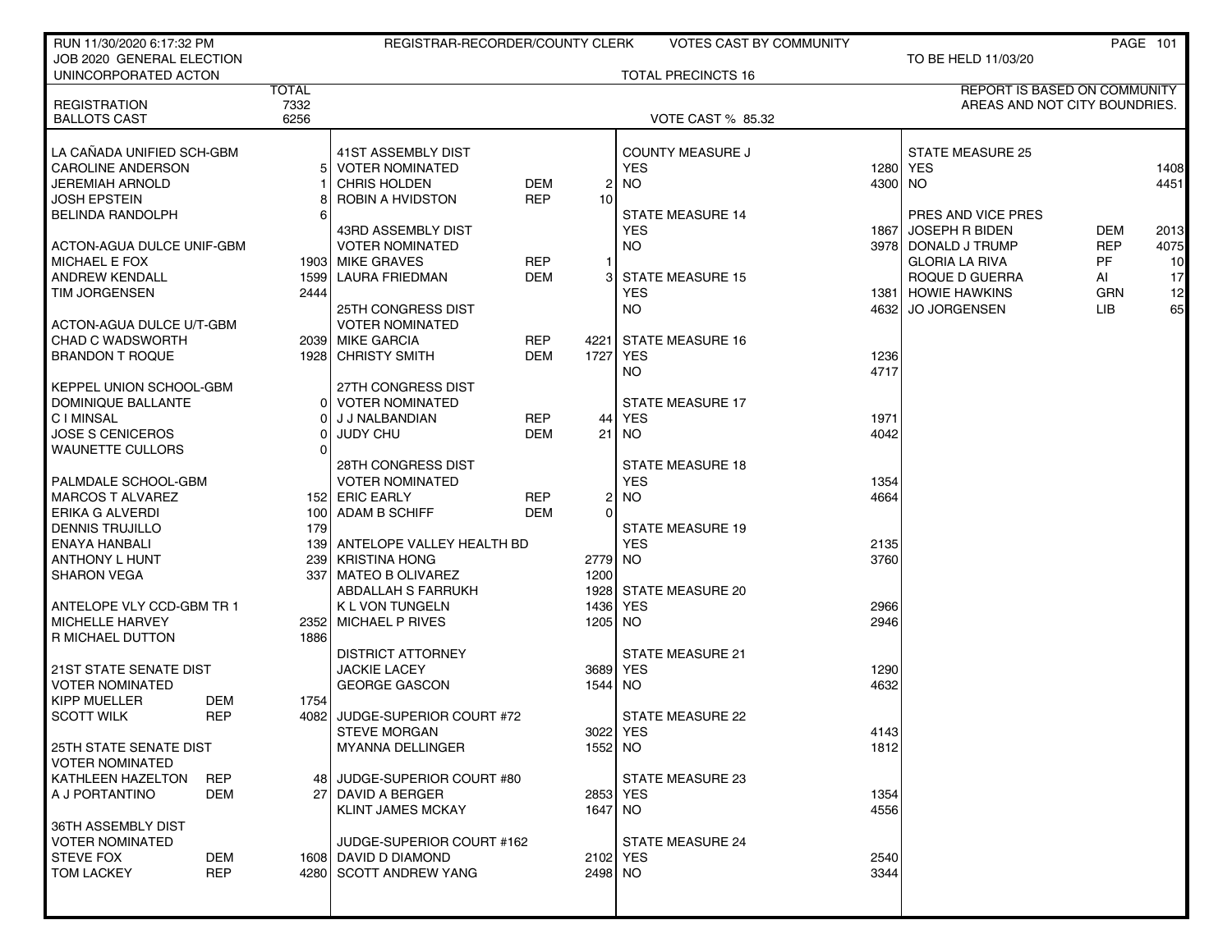| RUN 11/30/2020 6:17:32 PM     |                    | REGISTRAR-RECORDER/COUNTY CLERK |            |          | VOTES CAST BY COMMUNITY   |         |                                     |            | <b>PAGE 101</b> |
|-------------------------------|--------------------|---------------------------------|------------|----------|---------------------------|---------|-------------------------------------|------------|-----------------|
| JOB 2020 GENERAL ELECTION     |                    |                                 |            |          |                           |         | TO BE HELD 11/03/20                 |            |                 |
| UNINCORPORATED ACTON          |                    |                                 |            |          | <b>TOTAL PRECINCTS 16</b> |         |                                     |            |                 |
|                               | <b>TOTAL</b>       |                                 |            |          |                           |         | <b>REPORT IS BASED ON COMMUNITY</b> |            |                 |
| <b>REGISTRATION</b>           | 7332               |                                 |            |          |                           |         | AREAS AND NOT CITY BOUNDRIES.       |            |                 |
| <b>BALLOTS CAST</b>           | 6256               |                                 |            |          | <b>VOTE CAST % 85.32</b>  |         |                                     |            |                 |
|                               |                    |                                 |            |          |                           |         |                                     |            |                 |
| LA CANADA UNIFIED SCH-GBM     |                    | 41ST ASSEMBLY DIST              |            |          | <b>COUNTY MEASURE J</b>   |         | <b>STATE MEASURE 25</b>             |            |                 |
| <b>CAROLINE ANDERSON</b>      |                    | <b>VOTER NOMINATED</b>          |            |          | <b>YES</b>                |         | 1280   YES                          |            | 1408            |
| <b>JEREMIAH ARNOLD</b>        |                    | <b>CHRIS HOLDEN</b>             | <b>DEM</b> | 2        | <b>NO</b>                 | 4300 NO |                                     |            | 4451            |
| <b>JOSH EPSTEIN</b>           |                    | ROBIN A HVIDSTON                | <b>REP</b> | 10       |                           |         |                                     |            |                 |
| <b>BELINDA RANDOLPH</b>       |                    |                                 |            |          | <b>STATE MEASURE 14</b>   |         | PRES AND VICE PRES                  |            |                 |
|                               |                    | 43RD ASSEMBLY DIST              |            |          | <b>YES</b>                | 18671   | <b>JOSEPH R BIDEN</b>               | <b>DEM</b> | 2013            |
| ACTON-AGUA DULCE UNIF-GBM     |                    | <b>VOTER NOMINATED</b>          |            |          | <b>NO</b>                 |         | 3978 DONALD J TRUMP                 | <b>REP</b> | 4075            |
| <b>MICHAEL E FOX</b>          |                    | 1903 MIKE GRAVES                | <b>REP</b> |          |                           |         | <b>GLORIA LA RIVA</b>               | PF         | 10              |
| <b>ANDREW KENDALL</b>         |                    | 1599 LAURA FRIEDMAN             | <b>DEM</b> |          | <b>STATE MEASURE 15</b>   |         | ROQUE D GUERRA                      | Al         | 17              |
| <b>TIM JORGENSEN</b>          | 2444               |                                 |            |          | <b>YES</b>                |         | 1381 HOWIE HAWKINS                  | <b>GRN</b> | 12              |
|                               |                    | <b>25TH CONGRESS DIST</b>       |            |          | NO.                       |         | 4632 JO JORGENSEN                   | LIB        | 65              |
| ACTON-AGUA DULCE U/T-GBM      |                    | <b>VOTER NOMINATED</b>          |            |          |                           |         |                                     |            |                 |
| <b>CHAD C WADSWORTH</b>       |                    | 2039 MIKE GARCIA                | <b>REP</b> | 4221     | <b>STATE MEASURE 16</b>   |         |                                     |            |                 |
| <b>BRANDON T ROQUE</b>        |                    | 1928 CHRISTY SMITH              | <b>DEM</b> | 1727     | <b>YES</b>                | 1236    |                                     |            |                 |
|                               |                    |                                 |            |          | NO.                       | 4717    |                                     |            |                 |
| KEPPEL UNION SCHOOL-GBM       |                    | 27TH CONGRESS DIST              |            |          |                           |         |                                     |            |                 |
| DOMINIQUE BALLANTE            |                    | 0 VOTER NOMINATED               |            |          | <b>STATE MEASURE 17</b>   |         |                                     |            |                 |
| <b>CIMINSAL</b>               |                    | J J NALBANDIAN                  | <b>REP</b> | 44       | <b>YES</b>                | 1971    |                                     |            |                 |
| <b>JOSE S CENICEROS</b>       |                    | <b>JUDY CHU</b>                 | DEM        | 21       | NO.                       | 4042    |                                     |            |                 |
| WAUNETTE CULLORS              |                    |                                 |            |          |                           |         |                                     |            |                 |
|                               |                    | <b>28TH CONGRESS DIST</b>       |            |          | <b>STATE MEASURE 18</b>   |         |                                     |            |                 |
| PALMDALE SCHOOL-GBM           |                    | <b>VOTER NOMINATED</b>          |            |          | <b>YES</b>                | 1354    |                                     |            |                 |
| <b>MARCOS T ALVAREZ</b>       |                    | 152 ERIC EARLY                  | <b>REP</b> | 2        | <b>NO</b>                 | 4664    |                                     |            |                 |
| <b>ERIKA G ALVERDI</b>        |                    | 100 ADAM B SCHIFF               | DEM        | $\Omega$ |                           |         |                                     |            |                 |
| <b>DENNIS TRUJILLO</b>        | 179                |                                 |            |          | <b>STATE MEASURE 19</b>   |         |                                     |            |                 |
| ENAYA HANBALI                 |                    | 139 ANTELOPE VALLEY HEALTH BD   |            |          | <b>YES</b>                | 2135    |                                     |            |                 |
| ANTHONY L HUNT                |                    | 239 KRISTINA HONG               |            | 2779     | NO.                       | 3760    |                                     |            |                 |
| <b>SHARON VEGA</b>            |                    | 337   MATEO B OLIVAREZ          |            | 1200     |                           |         |                                     |            |                 |
|                               |                    | ABDALLAH S FARRUKH              |            | 1928     | <b>STATE MEASURE 20</b>   |         |                                     |            |                 |
| ANTELOPE VLY CCD-GBM TR 1     |                    | <b>K L VON TUNGELN</b>          |            | 1436 YES |                           | 2966    |                                     |            |                 |
| <b>MICHELLE HARVEY</b>        |                    | 2352 MICHAEL P RIVES            |            | 1205     | NO.                       | 2946    |                                     |            |                 |
| R MICHAEL DUTTON              | 1886               | <b>DISTRICT ATTORNEY</b>        |            |          | <b>STATE MEASURE 21</b>   |         |                                     |            |                 |
| <b>21ST STATE SENATE DIST</b> |                    | <b>JACKIE LACEY</b>             |            | 3689     | YES                       | 1290    |                                     |            |                 |
| <b>VOTER NOMINATED</b>        |                    | <b>GEORGE GASCON</b>            |            | 1544     | NO.                       | 4632    |                                     |            |                 |
| KIPP MUELLER                  | DEM<br>1754        |                                 |            |          |                           |         |                                     |            |                 |
| <b>SCOTT WILK</b>             | <b>REP</b><br>4082 | JUDGE-SUPERIOR COURT #72        |            |          | STATE MEASURE 22          |         |                                     |            |                 |
|                               |                    | <b>STEVE MORGAN</b>             |            | 3022 YES |                           | 4143    |                                     |            |                 |
| 25TH STATE SENATE DIST        |                    | <b>MYANNA DELLINGER</b>         |            | 1552 NO  |                           | 1812    |                                     |            |                 |
| <b>VOTER NOMINATED</b>        |                    |                                 |            |          |                           |         |                                     |            |                 |
| KATHLEEN HAZELTON             | <b>REP</b>         | 48 JUDGE-SUPERIOR COURT #80     |            |          | STATE MEASURE 23          |         |                                     |            |                 |
| A J PORTANTINO                | DEM                | 27 DAVID A BERGER               |            | 2853 YES |                           | 1354    |                                     |            |                 |
|                               |                    | <b>KLINT JAMES MCKAY</b>        |            | 1647     | NO.                       | 4556    |                                     |            |                 |
| 36TH ASSEMBLY DIST            |                    |                                 |            |          |                           |         |                                     |            |                 |
| <b>VOTER NOMINATED</b>        |                    | JUDGE-SUPERIOR COURT #162       |            |          | STATE MEASURE 24          |         |                                     |            |                 |
| <b>STEVE FOX</b>              | DEM                | 1608 DAVID D DIAMOND            |            | 2102 YES |                           | 2540    |                                     |            |                 |
| <b>TOM LACKEY</b>             | <b>REP</b>         | 4280 SCOTT ANDREW YANG          |            | 2498 NO  |                           | 3344    |                                     |            |                 |
|                               |                    |                                 |            |          |                           |         |                                     |            |                 |
|                               |                    |                                 |            |          |                           |         |                                     |            |                 |
|                               |                    |                                 |            |          |                           |         |                                     |            |                 |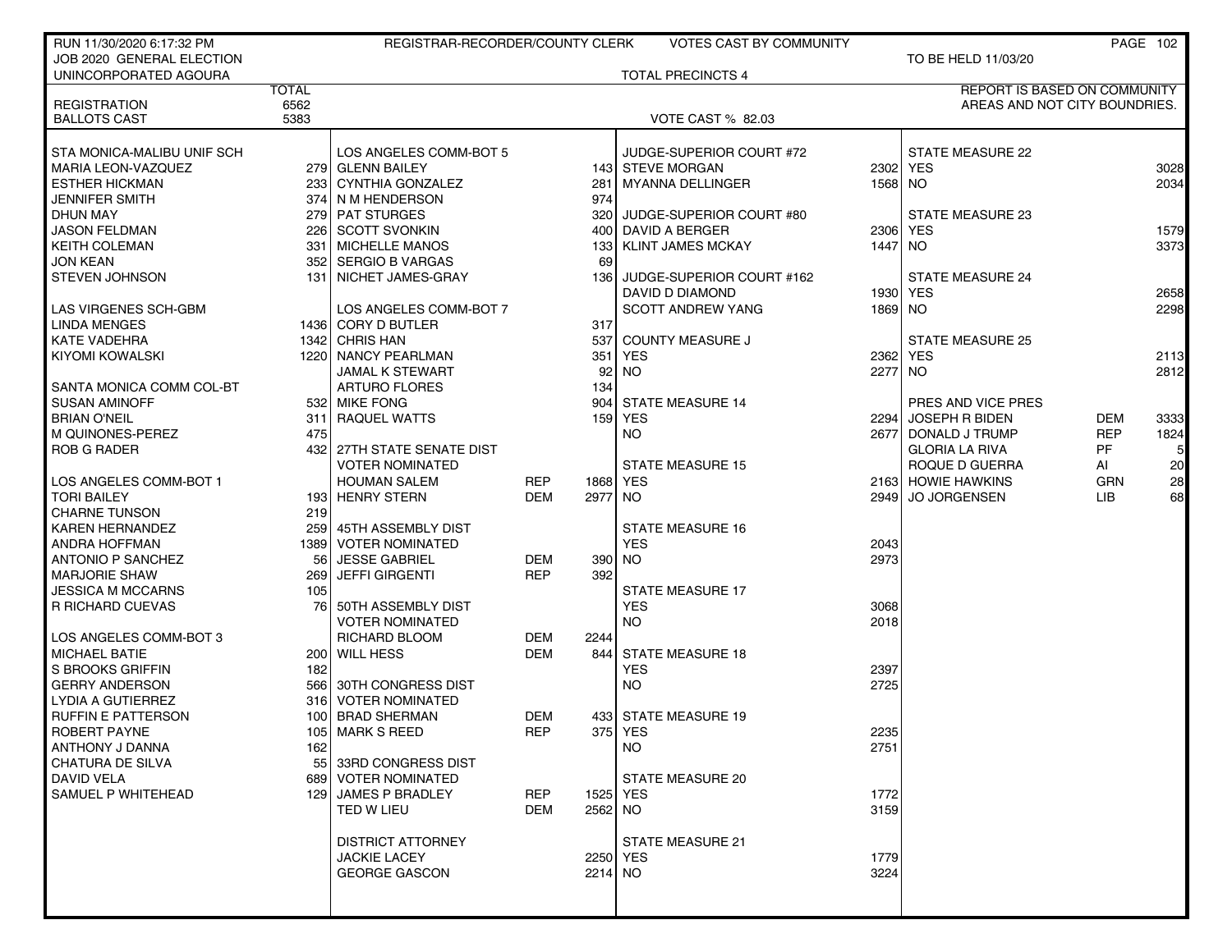| RUN 11/30/2020 6:17:32 PM             |              | REGISTRAR-RECORDER/COUNTY CLERK                      |                   |                     | <b>VOTES CAST BY COMMUNITY</b> |         |                                         |                          | PAGE 102       |
|---------------------------------------|--------------|------------------------------------------------------|-------------------|---------------------|--------------------------------|---------|-----------------------------------------|--------------------------|----------------|
| JOB 2020 GENERAL ELECTION             |              |                                                      |                   |                     |                                |         | TO BE HELD 11/03/20                     |                          |                |
| UNINCORPORATED AGOURA                 |              |                                                      |                   |                     | <b>TOTAL PRECINCTS 4</b>       |         |                                         |                          |                |
|                                       | <b>TOTAL</b> |                                                      |                   |                     |                                |         | <b>REPORT IS BASED ON COMMUNITY</b>     |                          |                |
| <b>REGISTRATION</b>                   | 6562         |                                                      |                   |                     |                                |         | AREAS AND NOT CITY BOUNDRIES.           |                          |                |
| <b>BALLOTS CAST</b>                   | 5383         |                                                      |                   |                     | <b>VOTE CAST % 82.03</b>       |         |                                         |                          |                |
|                                       |              |                                                      |                   |                     |                                |         |                                         |                          |                |
| STA MONICA-MALIBU UNIF SCH            |              | LOS ANGELES COMM-BOT 5                               |                   |                     | JUDGE-SUPERIOR COURT #72       |         | <b>STATE MEASURE 22</b>                 |                          |                |
| MARIA LEON-VAZQUEZ                    |              | 279 GLENN BAILEY                                     |                   |                     | 143 STEVE MORGAN               |         | 2302 YES                                |                          | 3028           |
| ESTHER HICKMAN                        |              | 233 CYNTHIA GONZALEZ                                 |                   | 281                 | MYANNA DELLINGER               | 1568 NO |                                         |                          | 2034           |
| JENNIFER SMITH                        |              | 374 N M HENDERSON                                    |                   | 974                 |                                |         |                                         |                          |                |
| <b>DHUN MAY</b>                       |              | 279 PAT STURGES                                      |                   | 320                 | JUDGE-SUPERIOR COURT #80       |         | STATE MEASURE 23                        |                          |                |
| JASON FELDMAN                         |              | 226 SCOTT SVONKIN                                    |                   | 400                 | DAVID A BERGER                 | 2306    | YES                                     |                          | 1579           |
| KEITH COLEMAN                         | 331          | MICHELLE MANOS                                       |                   | 133                 | <b>KLINT JAMES MCKAY</b>       | 1447 NO |                                         |                          | 3373           |
| <b>JON KEAN</b>                       |              | 352 SERGIO B VARGAS                                  |                   | 69                  |                                |         |                                         |                          |                |
| <b>STEVEN JOHNSON</b>                 |              | 131   NICHET JAMES-GRAY                              |                   |                     | 136 JUDGE-SUPERIOR COURT #162  |         | <b>STATE MEASURE 24</b>                 |                          |                |
|                                       |              |                                                      |                   |                     | DAVID D DIAMOND                |         | 1930   YES                              |                          | 2658           |
| LAS VIRGENES SCH-GBM                  |              | LOS ANGELES COMM-BOT 7                               |                   |                     | <b>SCOTT ANDREW YANG</b>       | 1869 NO |                                         |                          | 2298           |
| LINDA MENGES                          |              | 1436 CORY D BUTLER                                   |                   | 317                 |                                |         |                                         |                          |                |
| KATE VADEHRA                          |              | 1342 CHRIS HAN                                       |                   | 537                 | <b>COUNTY MEASURE J</b>        |         | <b>STATE MEASURE 25</b>                 |                          |                |
| KIYOMI KOWALSKI                       |              | 1220 NANCY PEARLMAN                                  |                   |                     | 351 YES                        |         | 2362 YES                                |                          | 2113           |
|                                       |              | <b>JAMAL K STEWART</b>                               |                   | 92                  | <b>NO</b>                      | 2277 NO |                                         |                          | 2812           |
| SANTA MONICA COMM COL-BT              |              | <b>ARTURO FLORES</b>                                 |                   | 134                 |                                |         |                                         |                          |                |
| <b>SUSAN AMINOFF</b>                  |              | 532 MIKE FONG                                        |                   |                     | 904 STATE MEASURE 14           |         | PRES AND VICE PRES                      |                          |                |
| <b>BRIAN O'NEIL</b>                   |              | 311 RAQUEL WATTS                                     |                   |                     | 159 YES                        |         | 2294 JOSEPH R BIDEN                     | DEM                      | 3333           |
| <b>M QUINONES-PEREZ</b>               | 475          |                                                      |                   |                     | <b>NO</b>                      |         | 2677 DONALD J TRUMP                     | <b>REP</b>               | 1824           |
| ROB G RADER                           |              | 432 27TH STATE SENATE DIST<br><b>VOTER NOMINATED</b> |                   |                     | <b>STATE MEASURE 15</b>        |         | <b>GLORIA LA RIVA</b><br>ROQUE D GUERRA | PF                       | 5 <sup>5</sup> |
|                                       |              |                                                      |                   |                     |                                |         | 2163 HOWIE HAWKINS                      | Al                       | 20             |
| LOS ANGELES COMM-BOT 1<br>TORI BAILEY |              | <b>HOUMAN SALEM</b><br>193 HENRY STERN               | REP<br><b>DEM</b> | 1868 YES<br>2977 NO |                                |         | 2949 JO JORGENSEN                       | <b>GRN</b><br><b>LIB</b> | 28<br>68       |
| <b>CHARNE TUNSON</b>                  | 219          |                                                      |                   |                     |                                |         |                                         |                          |                |
| KAREN HERNANDEZ                       |              | 259 45TH ASSEMBLY DIST                               |                   |                     | <b>STATE MEASURE 16</b>        |         |                                         |                          |                |
| ANDRA HOFFMAN                         |              | 1389 VOTER NOMINATED                                 |                   |                     | <b>YES</b>                     | 2043    |                                         |                          |                |
| <b>ANTONIO P SANCHEZ</b>              | 56 I         | <b>JESSE GABRIEL</b>                                 | <b>DEM</b>        | 390 NO              |                                | 2973    |                                         |                          |                |
| MARJORIE SHAW                         | 269          | <b>JEFFI GIRGENTI</b>                                | <b>REP</b>        | 392                 |                                |         |                                         |                          |                |
| JESSICA M MCCARNS                     | 105          |                                                      |                   |                     | <b>STATE MEASURE 17</b>        |         |                                         |                          |                |
| R RICHARD CUEVAS                      |              | 76 50TH ASSEMBLY DIST                                |                   |                     | <b>YES</b>                     | 3068    |                                         |                          |                |
|                                       |              | <b>VOTER NOMINATED</b>                               |                   |                     | <b>NO</b>                      | 2018    |                                         |                          |                |
| LOS ANGELES COMM-BOT 3                |              | RICHARD BLOOM                                        | DEM               | 2244                |                                |         |                                         |                          |                |
| <b>MICHAEL BATIE</b>                  |              | 200 WILL HESS                                        | DEM               |                     | 844 STATE MEASURE 18           |         |                                         |                          |                |
| S BROOKS GRIFFIN                      | 182          |                                                      |                   |                     | <b>YES</b>                     | 2397    |                                         |                          |                |
| <b>GERRY ANDERSON</b>                 |              | 566 30TH CONGRESS DIST                               |                   |                     | NO.                            | 2725    |                                         |                          |                |
| LYDIA A GUTIERREZ                     |              | 316 VOTER NOMINATED                                  |                   |                     |                                |         |                                         |                          |                |
| <b>RUFFIN E PATTERSON</b>             |              | 100 BRAD SHERMAN                                     | DEM               |                     | 433 STATE MEASURE 19           |         |                                         |                          |                |
| ROBERT PAYNE                          |              | 105   MARK S REED                                    | REP               |                     | 375 YES                        | 2235    |                                         |                          |                |
| ANTHONY J DANNA                       | 162          |                                                      |                   |                     | <b>NO</b>                      | 2751    |                                         |                          |                |
| CHATURA DE SILVA                      |              | 55 33RD CONGRESS DIST                                |                   |                     |                                |         |                                         |                          |                |
| <b>DAVID VELA</b>                     |              | 689   VOTER NOMINATED                                |                   |                     | STATE MEASURE 20               |         |                                         |                          |                |
| SAMUEL P WHITEHEAD                    |              | 129 JAMES P BRADLEY                                  | <b>REP</b>        | 1525 YES            |                                | 1772    |                                         |                          |                |
|                                       |              | TED W LIEU                                           | <b>DEM</b>        | 2562 NO             |                                | 3159    |                                         |                          |                |
|                                       |              |                                                      |                   |                     |                                |         |                                         |                          |                |
|                                       |              | <b>DISTRICT ATTORNEY</b>                             |                   |                     | STATE MEASURE 21               |         |                                         |                          |                |
|                                       |              | <b>JACKIE LACEY</b>                                  |                   | 2250 YES            |                                | 1779    |                                         |                          |                |
|                                       |              | <b>GEORGE GASCON</b>                                 |                   | 2214 NO             |                                | 3224    |                                         |                          |                |
|                                       |              |                                                      |                   |                     |                                |         |                                         |                          |                |
|                                       |              |                                                      |                   |                     |                                |         |                                         |                          |                |
|                                       |              |                                                      |                   |                     |                                |         |                                         |                          |                |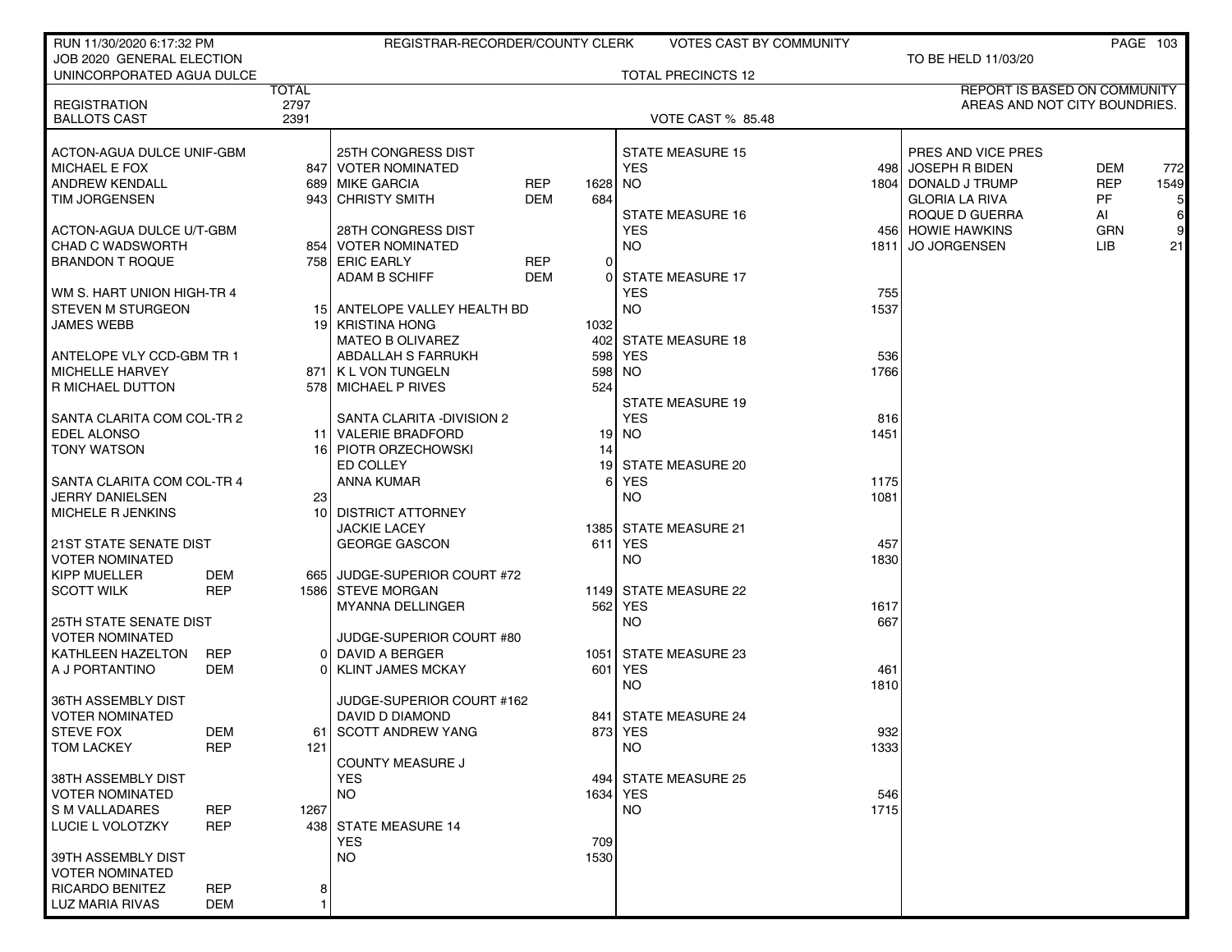| RUN 11/30/2020 6:17:32 PM                              |                          |              | REGISTRAR-RECORDER/COUNTY CLERK                |                   |               | <b>VOTES CAST BY COMMUNITY</b> |             |                                     |            | PAGE 103 |
|--------------------------------------------------------|--------------------------|--------------|------------------------------------------------|-------------------|---------------|--------------------------------|-------------|-------------------------------------|------------|----------|
| JOB 2020 GENERAL ELECTION<br>UNINCORPORATED AGUA DULCE |                          |              |                                                |                   |               | <b>TOTAL PRECINCTS 12</b>      |             | TO BE HELD 11/03/20                 |            |          |
|                                                        |                          | <b>TOTAL</b> |                                                |                   |               |                                |             | <b>REPORT IS BASED ON COMMUNITY</b> |            |          |
| <b>REGISTRATION</b>                                    |                          | 2797         |                                                |                   |               |                                |             | AREAS AND NOT CITY BOUNDRIES.       |            |          |
| <b>BALLOTS CAST</b>                                    |                          | 2391         |                                                |                   |               | <b>VOTE CAST % 85.48</b>       |             |                                     |            |          |
| ACTON-AGUA DULCE UNIF-GBM                              |                          |              | 25TH CONGRESS DIST                             |                   |               | <b>STATE MEASURE 15</b>        |             | PRES AND VICE PRES                  |            |          |
| <b>MICHAEL E FOX</b>                                   |                          |              | 847   VOTER NOMINATED                          |                   |               | <b>YES</b>                     |             | 498 JOSEPH R BIDEN                  | DEM        | 772      |
| <b>ANDREW KENDALL</b>                                  |                          |              | 689 MIKE GARCIA                                | <b>REP</b>        | 1628          | NO.                            |             | 1804   DONALD J TRUMP               | <b>REP</b> | 1549     |
| <b>TIM JORGENSEN</b>                                   |                          |              | 943 CHRISTY SMITH                              | <b>DEM</b>        | 684           |                                |             | <b>GLORIA LA RIVA</b>               | <b>PF</b>  | 5        |
|                                                        |                          |              |                                                |                   |               | <b>STATE MEASURE 16</b>        |             | ROQUE D GUERRA                      | AI         | $6 \mid$ |
| ACTON-AGUA DULCE U/T-GBM                               |                          |              | <b>28TH CONGRESS DIST</b>                      |                   |               | <b>YES</b>                     |             | 456 HOWIE HAWKINS                   | <b>GRN</b> | 9        |
| <b>CHAD C WADSWORTH</b>                                |                          |              | 854   VOTER NOMINATED                          |                   |               | <b>NO</b>                      |             | 1811 JO JORGENSEN                   | <b>LIB</b> | 21       |
| <b>BRANDON T ROQUE</b>                                 |                          |              | 758 ERIC EARLY<br><b>ADAM B SCHIFF</b>         | <b>REP</b><br>DEM | $\Omega$<br>0 | <b>STATE MEASURE 17</b>        |             |                                     |            |          |
| WM S. HART UNION HIGH-TR 4                             |                          |              |                                                |                   |               | <b>YES</b>                     | 755         |                                     |            |          |
| <b>STEVEN M STURGEON</b>                               |                          |              | 15 ANTELOPE VALLEY HEALTH BD                   |                   |               | <b>NO</b>                      | 1537        |                                     |            |          |
| <b>JAMES WEBB</b>                                      |                          |              | 19 KRISTINA HONG                               |                   | 1032          |                                |             |                                     |            |          |
|                                                        |                          |              | <b>MATEO B OLIVAREZ</b>                        |                   | 402           | <b>STATE MEASURE 18</b>        |             |                                     |            |          |
| ANTELOPE VLY CCD-GBM TR 1                              |                          |              | <b>ABDALLAH S FARRUKH</b>                      |                   | 598           | <b>YES</b>                     | 536         |                                     |            |          |
| MICHELLE HARVEY                                        |                          |              | 871   K L VON TUNGELN                          |                   | 598           | NO.                            | 1766        |                                     |            |          |
| <b>R MICHAEL DUTTON</b>                                |                          |              | 578 MICHAEL P RIVES                            |                   | 524           |                                |             |                                     |            |          |
|                                                        |                          |              |                                                |                   |               | <b>STATE MEASURE 19</b>        |             |                                     |            |          |
| SANTA CLARITA COM COL-TR 2<br><b>EDEL ALONSO</b>       |                          |              | SANTA CLARITA - DIVISION 2<br>VALERIE BRADFORD |                   | 19            | <b>YES</b><br><b>NO</b>        | 816<br>1451 |                                     |            |          |
| <b>TONY WATSON</b>                                     |                          | 11           | 16 PIOTR ORZECHOWSKI                           |                   | 14            |                                |             |                                     |            |          |
|                                                        |                          |              | ED COLLEY                                      |                   | 19            | STATE MEASURE 20               |             |                                     |            |          |
| SANTA CLARITA COM COL-TR 4                             |                          |              | <b>ANNA KUMAR</b>                              |                   |               | <b>YES</b>                     | 1175        |                                     |            |          |
| <b>JERRY DANIELSEN</b>                                 |                          | 23           |                                                |                   |               | NO.                            | 1081        |                                     |            |          |
| MICHELE R JENKINS                                      |                          |              | 10 DISTRICT ATTORNEY                           |                   |               |                                |             |                                     |            |          |
|                                                        |                          |              | <b>JACKIE LACEY</b>                            |                   |               | 1385 STATE MEASURE 21          |             |                                     |            |          |
| <b>21ST STATE SENATE DIST</b><br>VOTER NOMINATED       |                          |              | <b>GEORGE GASCON</b>                           |                   | 611           | <b>YES</b>                     | 457<br>1830 |                                     |            |          |
| <b>KIPP MUELLER</b>                                    | DEM                      |              | 665 JUDGE-SUPERIOR COURT #72                   |                   |               | NO.                            |             |                                     |            |          |
| <b>SCOTT WILK</b>                                      | <b>REP</b>               |              | 1586 STEVE MORGAN                              |                   |               | 1149 STATE MEASURE 22          |             |                                     |            |          |
|                                                        |                          |              | MYANNA DELLINGER                               |                   | 562           | <b>YES</b>                     | 1617        |                                     |            |          |
| <b>25TH STATE SENATE DIST</b>                          |                          |              |                                                |                   |               | NO.                            | 667         |                                     |            |          |
| <b>VOTER NOMINATED</b>                                 |                          |              | JUDGE-SUPERIOR COURT #80                       |                   |               |                                |             |                                     |            |          |
| KATHLEEN HAZELTON                                      | <b>REP</b>               |              | 0 DAVID A BERGER                               |                   | 1051          | <b>STATE MEASURE 23</b>        |             |                                     |            |          |
| A J PORTANTINO                                         | <b>DEM</b>               |              | 0 KLINT JAMES MCKAY                            |                   | 601           | YES                            | 461         |                                     |            |          |
| 36TH ASSEMBLY DIST                                     |                          |              | JUDGE-SUPERIOR COURT #162                      |                   |               | NO.                            | 1810        |                                     |            |          |
| <b>VOTER NOMINATED</b>                                 |                          |              | DAVID D DIAMOND                                |                   |               | 841 STATE MEASURE 24           |             |                                     |            |          |
| <b>STEVE FOX</b>                                       | DEM                      |              | 61   SCOTT ANDREW YANG                         |                   |               | 873 YES                        | 932         |                                     |            |          |
| <b>TOM LACKEY</b>                                      | <b>REP</b>               | 121          |                                                |                   |               | <b>NO</b>                      | 1333        |                                     |            |          |
|                                                        |                          |              | COUNTY MEASURE J                               |                   |               |                                |             |                                     |            |          |
| 38TH ASSEMBLY DIST                                     |                          |              | <b>YES</b>                                     |                   |               | 494 STATE MEASURE 25           |             |                                     |            |          |
| <b>VOTER NOMINATED</b>                                 |                          |              | <b>NO</b>                                      |                   |               | 1634 YES                       | 546         |                                     |            |          |
| <b>S M VALLADARES</b><br>LUCIE L VOLOTZKY              | <b>REP</b><br><b>REP</b> | 1267         | 438 STATE MEASURE 14                           |                   |               | <b>NO</b>                      | 1715        |                                     |            |          |
|                                                        |                          |              | <b>YES</b>                                     |                   | 709           |                                |             |                                     |            |          |
| 39TH ASSEMBLY DIST                                     |                          |              | <b>NO</b>                                      |                   | 1530          |                                |             |                                     |            |          |
| <b>VOTER NOMINATED</b>                                 |                          |              |                                                |                   |               |                                |             |                                     |            |          |
| <b>RICARDO BENITEZ</b>                                 | <b>REP</b>               | 8            |                                                |                   |               |                                |             |                                     |            |          |
| LUZ MARIA RIVAS                                        | DEM                      |              |                                                |                   |               |                                |             |                                     |            |          |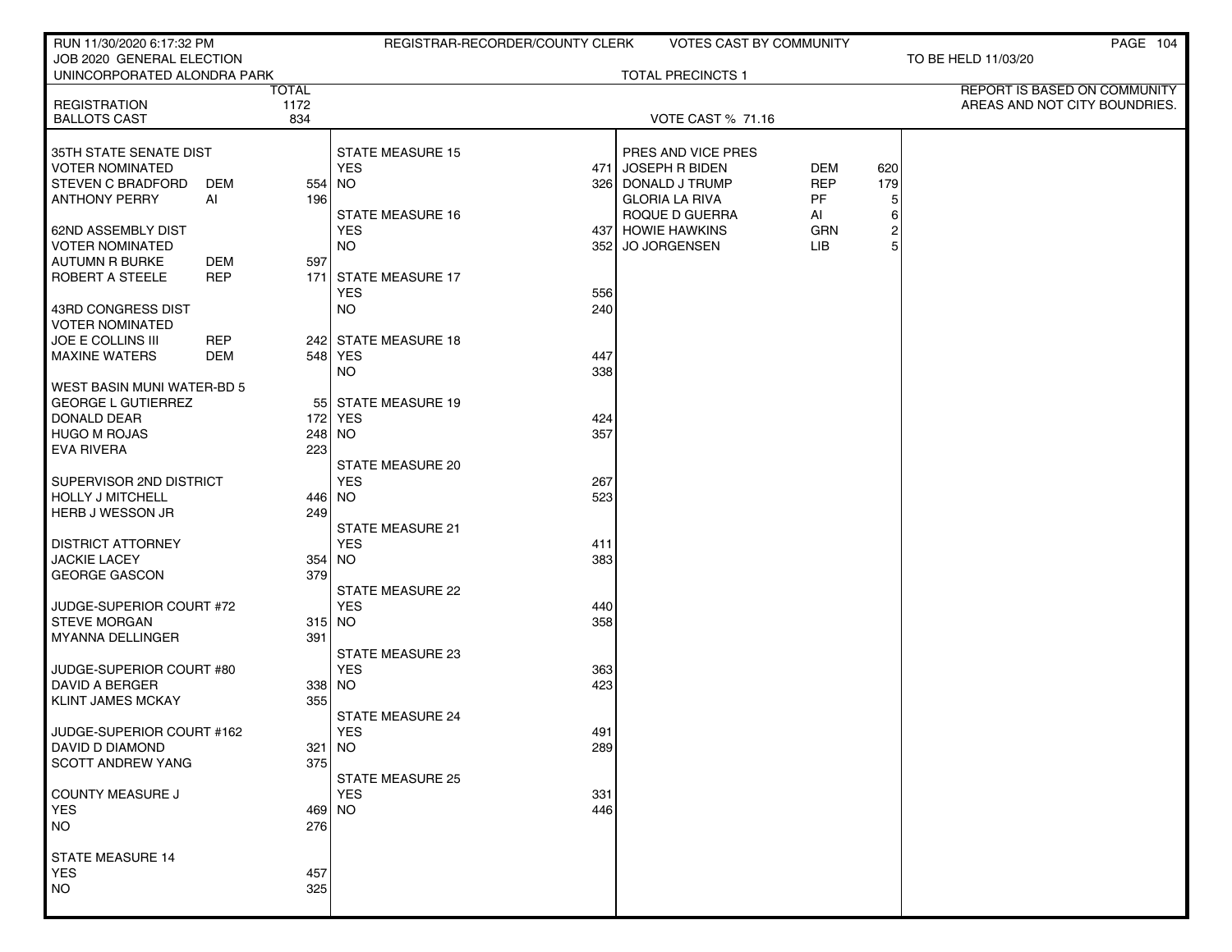| RUN 11/30/2020 6:17:32 PM                                |            |              | REGISTRAR-RECORDER/COUNTY CLERK |            |                                         | <b>VOTES CAST BY COMMUNITY</b> |                         | PAGE 104                      |
|----------------------------------------------------------|------------|--------------|---------------------------------|------------|-----------------------------------------|--------------------------------|-------------------------|-------------------------------|
| JOB 2020 GENERAL ELECTION<br>UNINCORPORATED ALONDRA PARK |            |              |                                 |            | <b>TOTAL PRECINCTS 1</b>                |                                |                         | TO BE HELD 11/03/20           |
|                                                          |            | <b>TOTAL</b> |                                 |            |                                         |                                |                         | REPORT IS BASED ON COMMUNITY  |
| <b>REGISTRATION</b><br><b>BALLOTS CAST</b>               |            | 1172<br>834  |                                 |            | <b>VOTE CAST % 71.16</b>                |                                |                         | AREAS AND NOT CITY BOUNDRIES. |
|                                                          |            |              |                                 |            |                                         |                                |                         |                               |
| 35TH STATE SENATE DIST                                   |            |              | STATE MEASURE 15                |            | PRES AND VICE PRES                      |                                |                         |                               |
| <b>VOTER NOMINATED</b>                                   |            |              | <b>YES</b>                      |            | 471 JOSEPH R BIDEN                      | DEM                            | 620                     |                               |
| <b>STEVEN C BRADFORD</b>                                 | DEM        | 554 NO       |                                 | 326        | DONALD J TRUMP                          | <b>REP</b>                     | 179                     |                               |
| <b>ANTHONY PERRY</b>                                     | AI         | 196          | <b>STATE MEASURE 16</b>         |            | <b>GLORIA LA RIVA</b><br>ROQUE D GUERRA | PF<br>Al                       | 5<br>6                  |                               |
| <b>62ND ASSEMBLY DIST</b>                                |            |              | <b>YES</b>                      |            | 437 HOWIE HAWKINS                       | <b>GRN</b>                     | $\overline{\mathbf{c}}$ |                               |
| <b>VOTER NOMINATED</b>                                   |            |              | <b>NO</b>                       | 352        | JO JORGENSEN                            | LIB                            | 5                       |                               |
| <b>AUTUMN R BURKE</b>                                    | DEM        | 597          |                                 |            |                                         |                                |                         |                               |
| ROBERT A STEELE                                          | <b>REP</b> |              | 171 STATE MEASURE 17            |            |                                         |                                |                         |                               |
| 43RD CONGRESS DIST                                       |            |              | <b>YES</b><br><b>NO</b>         | 556<br>240 |                                         |                                |                         |                               |
| <b>VOTER NOMINATED</b>                                   |            |              |                                 |            |                                         |                                |                         |                               |
| JOE E COLLINS III                                        | <b>REP</b> |              | 242 STATE MEASURE 18            |            |                                         |                                |                         |                               |
| <b>MAXINE WATERS</b>                                     | <b>DEM</b> |              | 548 YES                         | 447        |                                         |                                |                         |                               |
|                                                          |            |              | <b>NO</b>                       | 338        |                                         |                                |                         |                               |
| WEST BASIN MUNI WATER-BD 5<br><b>GEORGE L GUTIERREZ</b>  |            |              | 55 STATE MEASURE 19             |            |                                         |                                |                         |                               |
| DONALD DEAR                                              |            |              | 172 YES                         | 424        |                                         |                                |                         |                               |
| <b>HUGO M ROJAS</b>                                      |            | 248 NO       |                                 | 357        |                                         |                                |                         |                               |
| <b>EVA RIVERA</b>                                        |            | 223          |                                 |            |                                         |                                |                         |                               |
|                                                          |            |              | <b>STATE MEASURE 20</b>         |            |                                         |                                |                         |                               |
| SUPERVISOR 2ND DISTRICT<br><b>HOLLY J MITCHELL</b>       |            | 446 NO       | <b>YES</b>                      | 267<br>523 |                                         |                                |                         |                               |
| HERB J WESSON JR                                         |            | 249          |                                 |            |                                         |                                |                         |                               |
|                                                          |            |              | <b>STATE MEASURE 21</b>         |            |                                         |                                |                         |                               |
| <b>DISTRICT ATTORNEY</b>                                 |            |              | <b>YES</b>                      | 411        |                                         |                                |                         |                               |
| <b>JACKIE LACEY</b>                                      |            | 354 NO       |                                 | 383        |                                         |                                |                         |                               |
| GEORGE GASCON                                            |            | 379          | <b>STATE MEASURE 22</b>         |            |                                         |                                |                         |                               |
| JUDGE-SUPERIOR COURT #72                                 |            |              | <b>YES</b>                      | 440        |                                         |                                |                         |                               |
| <b>STEVE MORGAN</b>                                      |            | 315 NO       |                                 | 358        |                                         |                                |                         |                               |
| <b>MYANNA DELLINGER</b>                                  |            | 391          |                                 |            |                                         |                                |                         |                               |
|                                                          |            |              | <b>STATE MEASURE 23</b>         |            |                                         |                                |                         |                               |
| JUDGE-SUPERIOR COURT #80<br>DAVID A BERGER               |            | 338 NO       | <b>YES</b>                      | 363<br>423 |                                         |                                |                         |                               |
| KLINT JAMES MCKAY                                        |            | 355          |                                 |            |                                         |                                |                         |                               |
|                                                          |            |              | <b>STATE MEASURE 24</b>         |            |                                         |                                |                         |                               |
| JUDGE-SUPERIOR COURT #162                                |            |              | YES                             | 491        |                                         |                                |                         |                               |
| DAVID D DIAMOND                                          |            | $321$ NO     |                                 | 289        |                                         |                                |                         |                               |
| <b>SCOTT ANDREW YANG</b>                                 |            | 375          | STATE MEASURE 25                |            |                                         |                                |                         |                               |
| COUNTY MEASURE J                                         |            |              | <b>YES</b>                      | 331        |                                         |                                |                         |                               |
| <b>YES</b>                                               |            | 469 NO       |                                 | 446        |                                         |                                |                         |                               |
| <b>NO</b>                                                |            | 276          |                                 |            |                                         |                                |                         |                               |
|                                                          |            |              |                                 |            |                                         |                                |                         |                               |
| STATE MEASURE 14<br><b>YES</b>                           |            | 457          |                                 |            |                                         |                                |                         |                               |
| <b>NO</b>                                                |            | 325          |                                 |            |                                         |                                |                         |                               |
|                                                          |            |              |                                 |            |                                         |                                |                         |                               |
|                                                          |            |              |                                 |            |                                         |                                |                         |                               |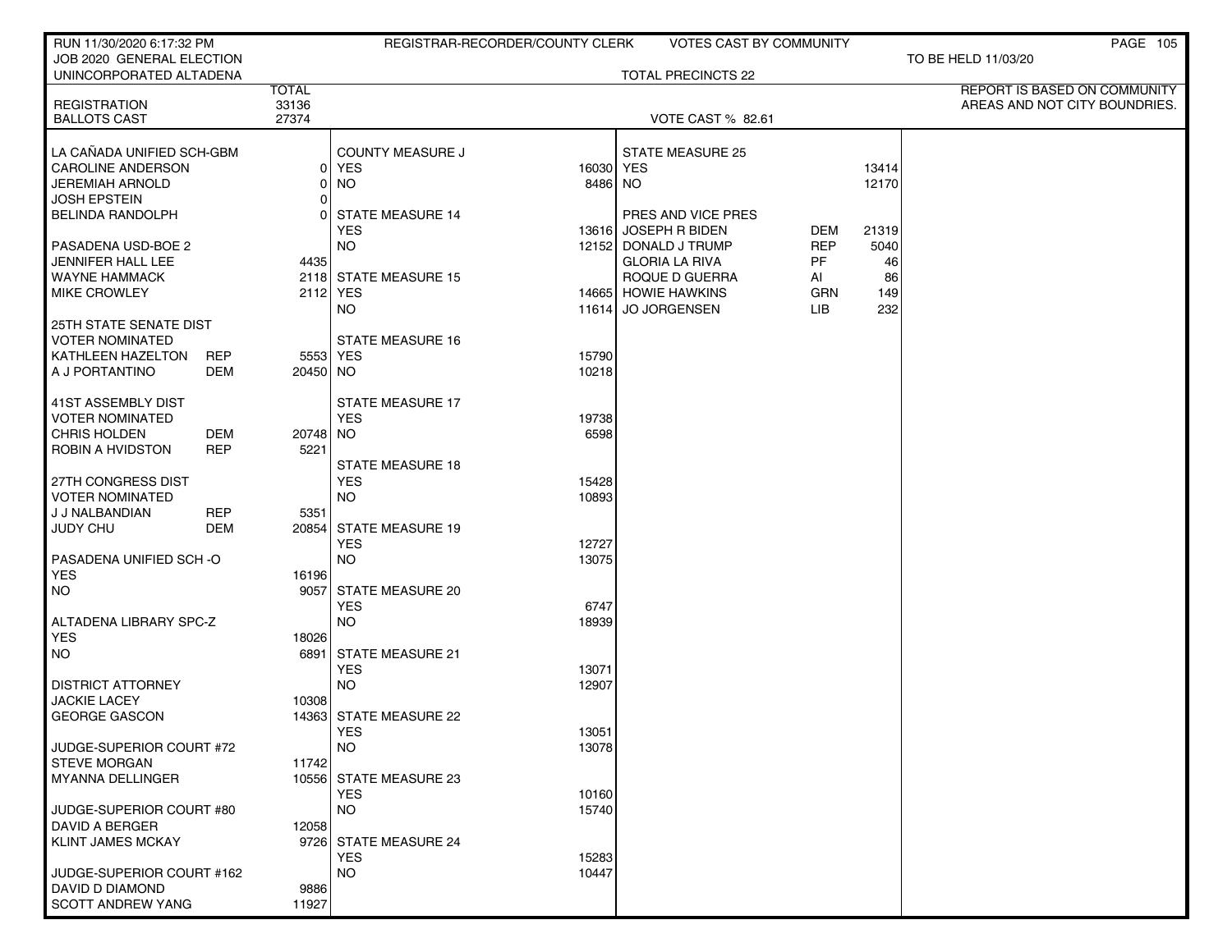| RUN 11/30/2020 6:17:32 PM                                    |                     |                                     | REGISTRAR-RECORDER/COUNTY CLERK | <b>VOTES CAST BY COMMUNITY</b> |            |       | <b>PAGE 105</b>                     |
|--------------------------------------------------------------|---------------------|-------------------------------------|---------------------------------|--------------------------------|------------|-------|-------------------------------------|
| JOB 2020 GENERAL ELECTION                                    |                     |                                     |                                 |                                |            |       | TO BE HELD 11/03/20                 |
| UNINCORPORATED ALTADENA                                      | <b>TOTAL</b>        |                                     |                                 | TOTAL PRECINCTS 22             |            |       | <b>REPORT IS BASED ON COMMUNITY</b> |
| <b>REGISTRATION</b>                                          | 33136               |                                     |                                 |                                |            |       | AREAS AND NOT CITY BOUNDRIES.       |
| <b>BALLOTS CAST</b>                                          | 27374               |                                     |                                 | <b>VOTE CAST % 82.61</b>       |            |       |                                     |
|                                                              |                     |                                     |                                 |                                |            |       |                                     |
| LA CAÑADA UNIFIED SCH-GBM                                    |                     | <b>COUNTY MEASURE J</b>             |                                 | <b>STATE MEASURE 25</b>        |            |       |                                     |
| <b>CAROLINE ANDERSON</b>                                     | 01                  | YES                                 | 16030 YES                       |                                |            | 13414 |                                     |
| <b>JEREMIAH ARNOLD</b><br><b>JOSH EPSTEIN</b>                | 0<br>$\overline{0}$ | <b>NO</b>                           | 8486 NO                         |                                |            | 12170 |                                     |
| <b>BELINDA RANDOLPH</b>                                      | 0                   | <b>STATE MEASURE 14</b>             |                                 | PRES AND VICE PRES             |            |       |                                     |
|                                                              |                     | <b>YES</b>                          |                                 | 13616 JOSEPH R BIDEN           | DEM        | 21319 |                                     |
| PASADENA USD-BOE 2                                           |                     | <b>NO</b>                           |                                 | 12152 DONALD J TRUMP           | <b>REP</b> | 5040  |                                     |
| JENNIFER HALL LEE                                            | 4435                |                                     |                                 | <b>GLORIA LA RIVA</b>          | PF         | 46    |                                     |
| <b>WAYNE HAMMACK</b>                                         |                     | 2118 STATE MEASURE 15               |                                 | ROQUE D GUERRA                 | AI         | 86    |                                     |
| <b>MIKE CROWLEY</b>                                          |                     | 2112 YES                            |                                 | 14665 HOWIE HAWKINS            | GRN        | 149   |                                     |
|                                                              |                     | NO.                                 |                                 | 11614 JO JORGENSEN             | LIB        | 232   |                                     |
| 25TH STATE SENATE DIST                                       |                     |                                     |                                 |                                |            |       |                                     |
| <b>VOTER NOMINATED</b>                                       |                     | <b>STATE MEASURE 16</b>             |                                 |                                |            |       |                                     |
| KATHLEEN HAZELTON<br><b>REP</b>                              |                     | 5553 YES                            | 15790                           |                                |            |       |                                     |
| A J PORTANTINO<br>DEM                                        | 20450 NO            |                                     | 10218                           |                                |            |       |                                     |
|                                                              |                     |                                     |                                 |                                |            |       |                                     |
| 41ST ASSEMBLY DIST                                           |                     | <b>STATE MEASURE 17</b>             |                                 |                                |            |       |                                     |
| <b>VOTER NOMINATED</b>                                       |                     | <b>YES</b>                          | 19738                           |                                |            |       |                                     |
| <b>CHRIS HOLDEN</b><br>DEM<br>ROBIN A HVIDSTON<br><b>REP</b> | 20748 NO<br>5221    |                                     | 6598                            |                                |            |       |                                     |
|                                                              |                     | <b>STATE MEASURE 18</b>             |                                 |                                |            |       |                                     |
| 27TH CONGRESS DIST                                           |                     | <b>YES</b>                          | 15428                           |                                |            |       |                                     |
| <b>VOTER NOMINATED</b>                                       |                     | NO.                                 | 10893                           |                                |            |       |                                     |
| <b>REP</b><br>J J NALBANDIAN                                 | 5351                |                                     |                                 |                                |            |       |                                     |
| <b>JUDY CHU</b><br>DEM                                       | 20854               | <b>STATE MEASURE 19</b>             |                                 |                                |            |       |                                     |
|                                                              |                     | <b>YES</b>                          | 12727                           |                                |            |       |                                     |
| PASADENA UNIFIED SCH-O                                       |                     | <b>NO</b>                           | 13075                           |                                |            |       |                                     |
| <b>YES</b>                                                   | 16196               |                                     |                                 |                                |            |       |                                     |
| NO                                                           | 9057                | <b>STATE MEASURE 20</b>             |                                 |                                |            |       |                                     |
|                                                              |                     | <b>YES</b>                          | 6747                            |                                |            |       |                                     |
| ALTADENA LIBRARY SPC-Z                                       |                     | <b>NO</b>                           | 18939                           |                                |            |       |                                     |
| <b>YES</b><br>  NO                                           | 18026<br>6891       | <b>STATE MEASURE 21</b>             |                                 |                                |            |       |                                     |
|                                                              |                     | <b>YES</b>                          | 13071                           |                                |            |       |                                     |
| <b>DISTRICT ATTORNEY</b>                                     |                     | NO.                                 | 12907                           |                                |            |       |                                     |
| <b>JACKIE LACEY</b>                                          | 10308               |                                     |                                 |                                |            |       |                                     |
| <b>GEORGE GASCON</b>                                         |                     | 14363 STATE MEASURE 22              |                                 |                                |            |       |                                     |
|                                                              |                     | YES                                 | 13051                           |                                |            |       |                                     |
| JUDGE-SUPERIOR COURT #72                                     |                     | <b>NO</b>                           | 13078                           |                                |            |       |                                     |
| <b>STEVE MORGAN</b>                                          | 11742               |                                     |                                 |                                |            |       |                                     |
| <b>MYANNA DELLINGER</b>                                      |                     | 10556 STATE MEASURE 23              |                                 |                                |            |       |                                     |
|                                                              |                     | <b>YES</b>                          | 10160                           |                                |            |       |                                     |
| JUDGE-SUPERIOR COURT #80                                     |                     | <b>NO</b>                           | 15740                           |                                |            |       |                                     |
| DAVID A BERGER                                               | 12058               |                                     |                                 |                                |            |       |                                     |
| <b>KLINT JAMES MCKAY</b>                                     |                     | 9726 STATE MEASURE 24<br><b>YES</b> |                                 |                                |            |       |                                     |
| JUDGE-SUPERIOR COURT #162                                    |                     | <b>NO</b>                           | 15283<br>10447                  |                                |            |       |                                     |
| DAVID D DIAMOND                                              | 9886                |                                     |                                 |                                |            |       |                                     |
| <b>SCOTT ANDREW YANG</b>                                     | 11927               |                                     |                                 |                                |            |       |                                     |
|                                                              |                     |                                     |                                 |                                |            |       |                                     |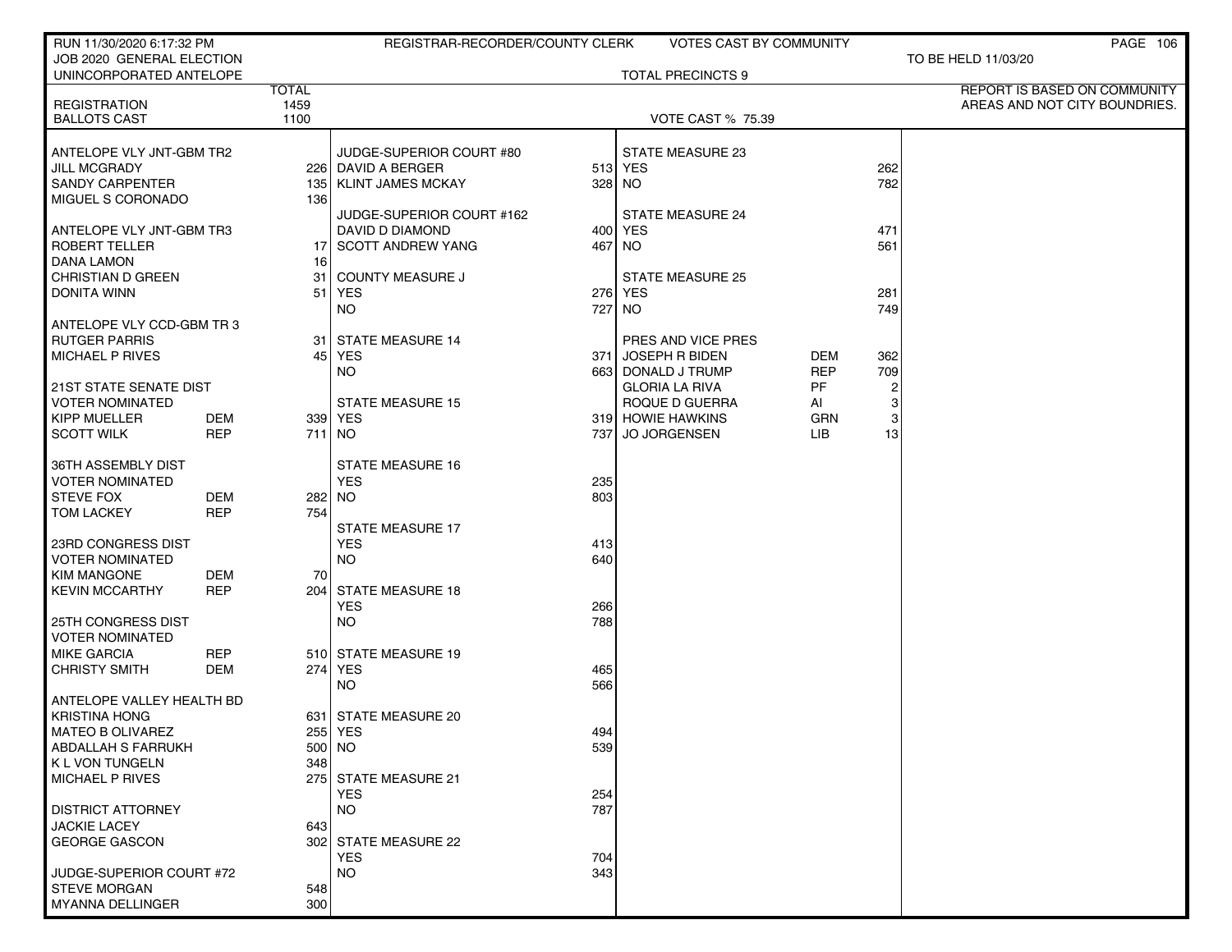| RUN 11/30/2020 6:17:32 PM                            |            |              | REGISTRAR-RECORDER/COUNTY CLERK    |        | <b>VOTES CAST BY COMMUNITY</b>     |            |                | PAGE 106                      |
|------------------------------------------------------|------------|--------------|------------------------------------|--------|------------------------------------|------------|----------------|-------------------------------|
| JOB 2020 GENERAL ELECTION<br>UNINCORPORATED ANTELOPE |            |              |                                    |        | <b>TOTAL PRECINCTS 9</b>           |            |                | TO BE HELD 11/03/20           |
|                                                      |            | <b>TOTAL</b> |                                    |        |                                    |            |                | REPORT IS BASED ON COMMUNITY  |
| <b>REGISTRATION</b>                                  |            | 1459         |                                    |        |                                    |            |                | AREAS AND NOT CITY BOUNDRIES. |
| <b>BALLOTS CAST</b>                                  |            | 1100         |                                    |        | <b>VOTE CAST % 75.39</b>           |            |                |                               |
| ANTELOPE VLY JNT-GBM TR2                             |            |              | JUDGE-SUPERIOR COURT #80           |        | <b>STATE MEASURE 23</b>            |            |                |                               |
| <b>JILL MCGRADY</b>                                  |            |              | 226   DAVID A BERGER               |        | 513 YES                            |            | 262            |                               |
| SANDY CARPENTER                                      |            |              | 135   KLINT JAMES MCKAY            | 328 NO |                                    |            | 782            |                               |
| MIGUEL S CORONADO                                    |            | 136          |                                    |        |                                    |            |                |                               |
|                                                      |            |              | JUDGE-SUPERIOR COURT #162          |        | <b>STATE MEASURE 24</b>            |            |                |                               |
| ANTELOPE VLY JNT-GBM TR3                             |            |              | DAVID D DIAMOND                    |        | 400 YES                            |            | 471            |                               |
| <b>ROBERT TELLER</b>                                 |            |              | 17 SCOTT ANDREW YANG               |        | 467 NO                             |            | 561            |                               |
| DANA LAMON<br><b>CHRISTIAN D GREEN</b>               |            | 16           |                                    |        |                                    |            |                |                               |
| <b>DONITA WINN</b>                                   |            | 31<br>51     | <b>COUNTY MEASURE J</b><br>YES     |        | <b>STATE MEASURE 25</b><br>276 YES |            | 281            |                               |
|                                                      |            |              | NO.                                |        | 727 NO                             |            | 749            |                               |
| ANTELOPE VLY CCD-GBM TR 3                            |            |              |                                    |        |                                    |            |                |                               |
| <b>RUTGER PARRIS</b>                                 |            |              | 31 STATE MEASURE 14                |        | PRES AND VICE PRES                 |            |                |                               |
| <b>MICHAEL P RIVES</b>                               |            |              | 45 YES                             |        | 371 JOSEPH R BIDEN                 | DEM        | 362            |                               |
|                                                      |            |              | NO.                                |        | 663 DONALD J TRUMP                 | <b>REP</b> | 709            |                               |
| 21ST STATE SENATE DIST                               |            |              |                                    |        | <b>GLORIA LA RIVA</b>              | <b>PF</b>  | $\overline{2}$ |                               |
| <b>VOTER NOMINATED</b>                               |            |              | <b>STATE MEASURE 15</b>            |        | ROQUE D GUERRA                     | AI         | 3              |                               |
| <b>KIPP MUELLER</b>                                  | DEM        |              | 339 YES                            |        | 319 HOWIE HAWKINS                  | <b>GRN</b> | 3              |                               |
| <b>SCOTT WILK</b>                                    | <b>REP</b> |              | 711 NO                             |        | 737 JO JORGENSEN                   | LIB.       | 13             |                               |
| 36TH ASSEMBLY DIST                                   |            |              | <b>STATE MEASURE 16</b>            |        |                                    |            |                |                               |
| <b>VOTER NOMINATED</b>                               |            |              | <b>YES</b>                         | 235    |                                    |            |                |                               |
| <b>STEVE FOX</b>                                     | DEM        | 282 NO       |                                    | 803    |                                    |            |                |                               |
| <b>TOM LACKEY</b>                                    | <b>REP</b> | 754          |                                    |        |                                    |            |                |                               |
|                                                      |            |              | <b>STATE MEASURE 17</b>            |        |                                    |            |                |                               |
| 23RD CONGRESS DIST                                   |            |              | <b>YES</b>                         | 413    |                                    |            |                |                               |
| <b>VOTER NOMINATED</b>                               |            |              | <b>NO</b>                          | 640    |                                    |            |                |                               |
| <b>KIM MANGONE</b>                                   | DEM        | 70 l         |                                    |        |                                    |            |                |                               |
| <b>KEVIN MCCARTHY</b>                                | <b>REP</b> |              | 204 STATE MEASURE 18<br><b>YES</b> | 266    |                                    |            |                |                               |
| <b>25TH CONGRESS DIST</b>                            |            |              | <b>NO</b>                          | 788    |                                    |            |                |                               |
| <b>VOTER NOMINATED</b>                               |            |              |                                    |        |                                    |            |                |                               |
| <b>MIKE GARCIA</b>                                   | <b>REP</b> |              | 510 STATE MEASURE 19               |        |                                    |            |                |                               |
| <b>CHRISTY SMITH</b>                                 | DEM        |              | 274 YES                            | 465    |                                    |            |                |                               |
|                                                      |            |              | <b>NO</b>                          | 566    |                                    |            |                |                               |
| ANTELOPE VALLEY HEALTH BD                            |            |              |                                    |        |                                    |            |                |                               |
| <b>KRISTINA HONG</b>                                 |            | 631          | <b>STATE MEASURE 20</b>            |        |                                    |            |                |                               |
| MATEO B OLIVAREZ                                     |            |              | 255  YES                           | 494    |                                    |            |                |                               |
| ABDALLAH S FARRUKH<br>K L VON TUNGELN                |            | 348          | $500$ NO                           | 539    |                                    |            |                |                               |
| MICHAEL P RIVES                                      |            |              | 275 STATE MEASURE 21               |        |                                    |            |                |                               |
|                                                      |            |              | <b>YES</b>                         | 254    |                                    |            |                |                               |
| <b>DISTRICT ATTORNEY</b>                             |            |              | <b>NO</b>                          | 787    |                                    |            |                |                               |
| <b>JACKIE LACEY</b>                                  |            | 643          |                                    |        |                                    |            |                |                               |
| <b>GEORGE GASCON</b>                                 |            |              | 302 STATE MEASURE 22               |        |                                    |            |                |                               |
|                                                      |            |              | <b>YES</b>                         | 704    |                                    |            |                |                               |
| JUDGE-SUPERIOR COURT #72                             |            |              | <b>NO</b>                          | 343    |                                    |            |                |                               |
| <b>STEVE MORGAN</b>                                  |            | 548          |                                    |        |                                    |            |                |                               |
| <b>MYANNA DELLINGER</b>                              |            | 300          |                                    |        |                                    |            |                |                               |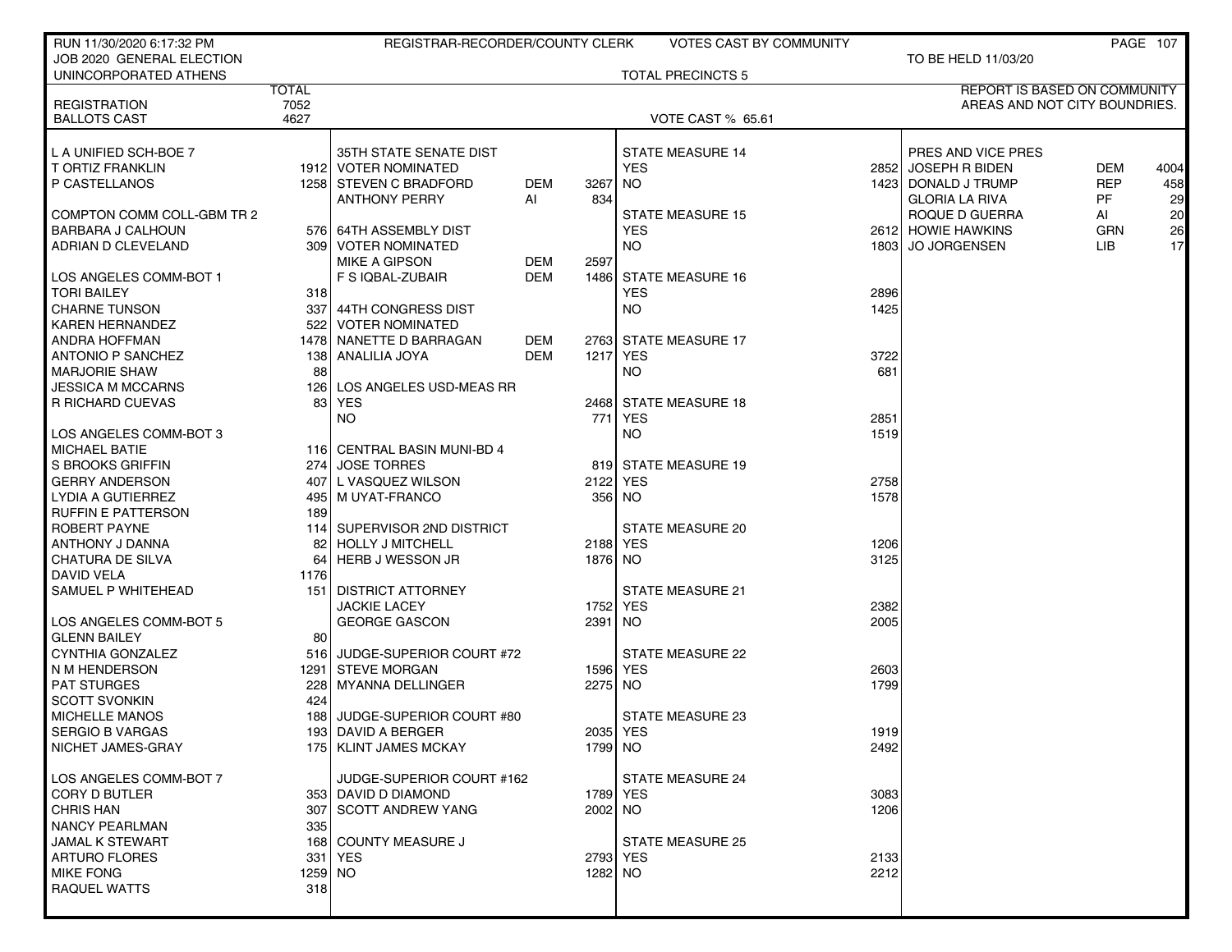| RUN 11/30/2020 6:17:32 PM  |              | REGISTRAR-RECORDER/COUNTY CLERK |            |          | <b>VOTES CAST BY COMMUNITY</b> |      |                                     |            | <b>PAGE 107</b> |
|----------------------------|--------------|---------------------------------|------------|----------|--------------------------------|------|-------------------------------------|------------|-----------------|
| JOB 2020 GENERAL ELECTION  |              |                                 |            |          |                                |      | TO BE HELD 11/03/20                 |            |                 |
| UNINCORPORATED ATHENS      |              |                                 |            |          | <b>TOTAL PRECINCTS 5</b>       |      |                                     |            |                 |
|                            | <b>TOTAL</b> |                                 |            |          |                                |      | <b>REPORT IS BASED ON COMMUNITY</b> |            |                 |
| <b>REGISTRATION</b>        | 7052         |                                 |            |          |                                |      | AREAS AND NOT CITY BOUNDRIES.       |            |                 |
| <b>BALLOTS CAST</b>        | 4627         |                                 |            |          | <b>VOTE CAST % 65.61</b>       |      |                                     |            |                 |
|                            |              |                                 |            |          |                                |      |                                     |            |                 |
| L A UNIFIED SCH-BOE 7      |              | 35TH STATE SENATE DIST          |            |          | <b>STATE MEASURE 14</b>        |      | PRES AND VICE PRES                  |            |                 |
| T ORTIZ FRANKLIN           |              | 1912 VOTER NOMINATED            |            |          | <b>YES</b>                     |      | 2852 JOSEPH R BIDEN                 | <b>DEM</b> | 4004            |
| P CASTELLANOS              |              | 1258 STEVEN C BRADFORD          | <b>DEM</b> | 3267     | NO.                            |      | 1423 DONALD J TRUMP                 | <b>REP</b> | 458             |
|                            |              | <b>ANTHONY PERRY</b>            | Al         | 834      |                                |      | <b>GLORIA LA RIVA</b>               | PF.        | 29              |
| COMPTON COMM COLL-GBM TR 2 |              |                                 |            |          | <b>STATE MEASURE 15</b>        |      | ROQUE D GUERRA                      | Al         | 20              |
| <b>BARBARA J CALHOUN</b>   |              | 576 64TH ASSEMBLY DIST          |            |          | <b>YES</b>                     |      | 2612 HOWIE HAWKINS                  | <b>GRN</b> | 26              |
| ADRIAN D CLEVELAND         |              | 309   VOTER NOMINATED           |            |          | NO.                            |      | 1803 JO JORGENSEN                   | LIB.       | 17              |
|                            |              | <b>MIKE A GIPSON</b>            | DEM        | 2597     |                                |      |                                     |            |                 |
| LOS ANGELES COMM-BOT 1     |              | F S IQBAL-ZUBAIR                | <b>DEM</b> | 1486     | <b>STATE MEASURE 16</b>        |      |                                     |            |                 |
| <b>TORI BAILEY</b>         | 318          |                                 |            |          | <b>YES</b>                     | 2896 |                                     |            |                 |
| <b>CHARNE TUNSON</b>       |              | 337 44TH CONGRESS DIST          |            |          | NO.                            | 1425 |                                     |            |                 |
| <b>KAREN HERNANDEZ</b>     |              | 522 VOTER NOMINATED             |            |          |                                |      |                                     |            |                 |
| <b>ANDRA HOFFMAN</b>       |              | 1478 NANETTE D BARRAGAN         | DEM        |          | 2763 STATE MEASURE 17          |      |                                     |            |                 |
| ANTONIO P SANCHEZ          |              | 138 ANALILIA JOYA               | DEM        |          | 1217 YES                       | 3722 |                                     |            |                 |
| <b>MARJORIE SHAW</b>       | 88           |                                 |            |          | NO.                            | 681  |                                     |            |                 |
| <b>JESSICA M MCCARNS</b>   | 126 l        | LOS ANGELES USD-MEAS RR         |            |          |                                |      |                                     |            |                 |
| R RICHARD CUEVAS           |              | 83 YES                          |            |          | 2468 STATE MEASURE 18          |      |                                     |            |                 |
|                            |              | NO.                             |            | 771      | YES                            | 2851 |                                     |            |                 |
| LOS ANGELES COMM-BOT 3     |              |                                 |            |          | NO.                            | 1519 |                                     |            |                 |
| <b>MICHAEL BATIE</b>       |              | 116 CENTRAL BASIN MUNI-BD 4     |            |          |                                |      |                                     |            |                 |
| <b>S BROOKS GRIFFIN</b>    | 274 l        | <b>JOSE TORRES</b>              |            |          | 819 STATE MEASURE 19           |      |                                     |            |                 |
| <b>GERRY ANDERSON</b>      | 407          | L VASQUEZ WILSON                |            |          | 2122 YES                       | 2758 |                                     |            |                 |
| LYDIA A GUTIERREZ          |              | 495   M UYAT-FRANCO             |            |          | 356 NO                         | 1578 |                                     |            |                 |
| <b>RUFFIN E PATTERSON</b>  | 189          |                                 |            |          |                                |      |                                     |            |                 |
| ROBERT PAYNE               |              | 114 SUPERVISOR 2ND DISTRICT     |            |          | STATE MEASURE 20               |      |                                     |            |                 |
| ANTHONY J DANNA            | 82           | HOLLY J MITCHELL                |            | 2188 YES |                                | 1206 |                                     |            |                 |
| CHATURA DE SILVA           | 64           | HERB J WESSON JR                |            | 1876 NO  |                                | 3125 |                                     |            |                 |
| <b>DAVID VELA</b>          | 1176         |                                 |            |          |                                |      |                                     |            |                 |
| SAMUEL P WHITEHEAD         |              | 151 DISTRICT ATTORNEY           |            |          | <b>STATE MEASURE 21</b>        |      |                                     |            |                 |
|                            |              | <b>JACKIE LACEY</b>             |            |          | 1752 YES                       | 2382 |                                     |            |                 |
| LOS ANGELES COMM-BOT 5     |              | <b>GEORGE GASCON</b>            |            | 2391     | NO.                            | 2005 |                                     |            |                 |
| <b>GLENN BAILEY</b>        | 80           |                                 |            |          |                                |      |                                     |            |                 |
| CYNTHIA GONZALEZ           |              | 516 JUDGE-SUPERIOR COURT #72    |            |          | <b>STATE MEASURE 22</b>        |      |                                     |            |                 |
| N M HENDERSON              |              | 1291 STEVE MORGAN               |            |          | 1596 YES                       | 2603 |                                     |            |                 |
| <b>PAT STURGES</b>         | <b>2281</b>  | MYANNA DELLINGER                |            | 2275 NO  |                                | 1799 |                                     |            |                 |
| <b>SCOTT SVONKIN</b>       | 424          |                                 |            |          |                                |      |                                     |            |                 |
| <b>MICHELLE MANOS</b>      | 1881         | JUDGE-SUPERIOR COURT #80        |            |          | <b>STATE MEASURE 23</b>        |      |                                     |            |                 |
| <b>SERGIO B VARGAS</b>     |              | 193  DAVID A BERGER             |            |          | 2035 YES                       | 1919 |                                     |            |                 |
| NICHET JAMES-GRAY          |              | 175   KLINT JAMES MCKAY         |            | 1799 NO  |                                | 2492 |                                     |            |                 |
|                            |              |                                 |            |          |                                |      |                                     |            |                 |
| LOS ANGELES COMM-BOT 7     |              | JUDGE-SUPERIOR COURT #162       |            |          | <b>STATE MEASURE 24</b>        |      |                                     |            |                 |
| <b>CORY D BUTLER</b>       |              | 353 DAVID D DIAMOND             |            |          | 1789 YES                       | 3083 |                                     |            |                 |
| <b>CHRIS HAN</b>           |              | 307 SCOTT ANDREW YANG           |            | 2002 NO  |                                | 1206 |                                     |            |                 |
| <b>NANCY PEARLMAN</b>      | 335          |                                 |            |          |                                |      |                                     |            |                 |
| JAMAL K STEWART            |              | 168 COUNTY MEASURE J            |            |          | <b>STATE MEASURE 25</b>        |      |                                     |            |                 |
| <b>ARTURO FLORES</b>       |              | 331   YES                       |            | 2793 YES |                                | 2133 |                                     |            |                 |
| <b>MIKE FONG</b>           | 1259 NO      |                                 |            | 1282 NO  |                                | 2212 |                                     |            |                 |
| <b>RAQUEL WATTS</b>        | 318          |                                 |            |          |                                |      |                                     |            |                 |
|                            |              |                                 |            |          |                                |      |                                     |            |                 |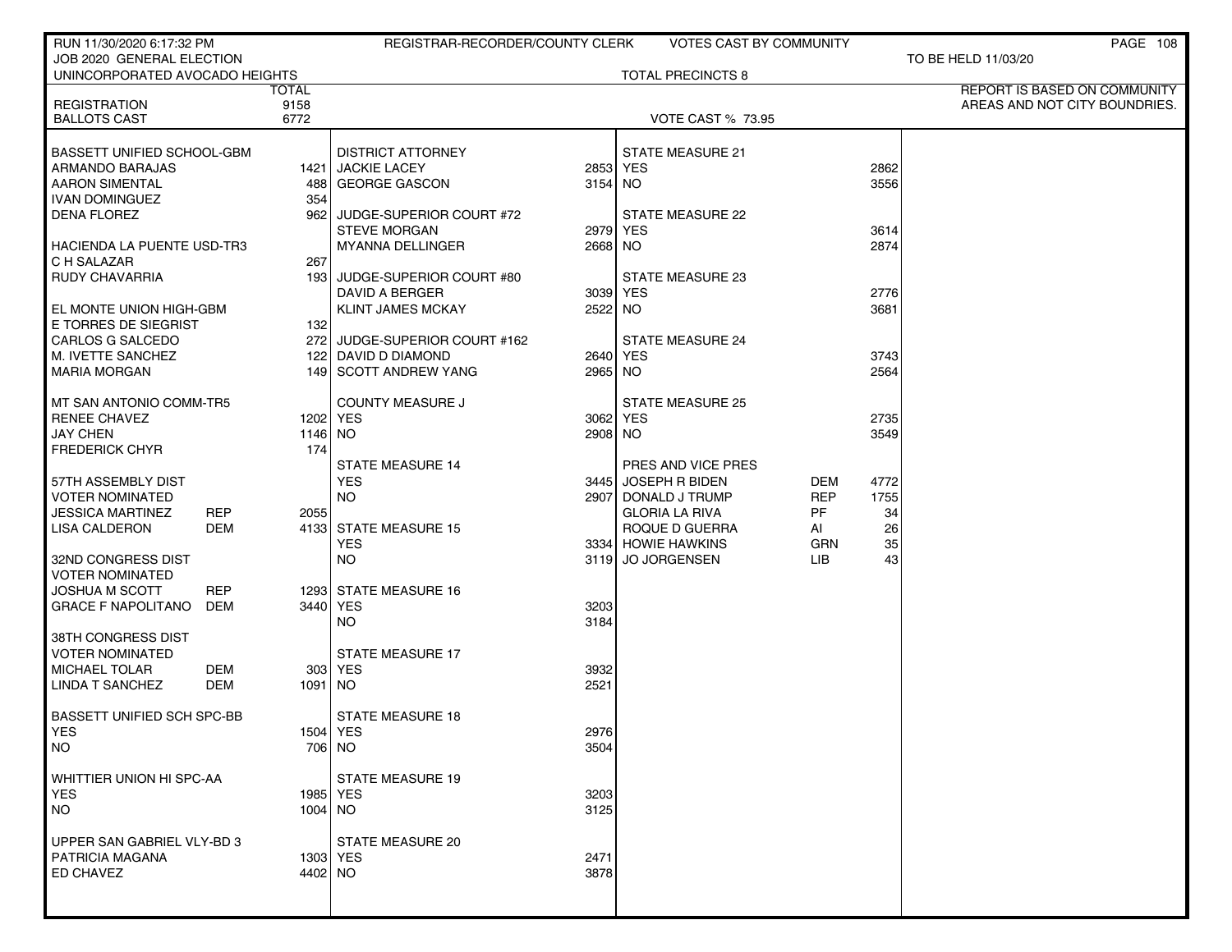| RUN 11/30/2020 6:17:32 PM                                     |              | REGISTRAR-RECORDER/COUNTY CLERK |          | VOTES CAST BY COMMUNITY                 |                         |          | PAGE 108                            |
|---------------------------------------------------------------|--------------|---------------------------------|----------|-----------------------------------------|-------------------------|----------|-------------------------------------|
| JOB 2020 GENERAL ELECTION                                     |              |                                 |          |                                         |                         |          | TO BE HELD 11/03/20                 |
| UNINCORPORATED AVOCADO HEIGHTS                                |              |                                 |          | <b>TOTAL PRECINCTS 8</b>                |                         |          |                                     |
|                                                               | TOTAL        |                                 |          |                                         |                         |          | <b>REPORT IS BASED ON COMMUNITY</b> |
| <b>REGISTRATION</b><br><b>BALLOTS CAST</b>                    | 9158<br>6772 |                                 |          | <b>VOTE CAST % 73.95</b>                |                         |          | AREAS AND NOT CITY BOUNDRIES.       |
|                                                               |              |                                 |          |                                         |                         |          |                                     |
| <b>BASSETT UNIFIED SCHOOL-GBM</b>                             |              | <b>DISTRICT ATTORNEY</b>        |          | <b>STATE MEASURE 21</b>                 |                         |          |                                     |
| ARMANDO BARAJAS                                               |              | 1421 JACKIE LACEY               | 2853 YES |                                         |                         | 2862     |                                     |
| <b>AARON SIMENTAL</b>                                         | 488          | GEORGE GASCON                   | 3154 NO  |                                         |                         | 3556     |                                     |
| <b>IVAN DOMINGUEZ</b>                                         | 354          |                                 |          |                                         |                         |          |                                     |
| <b>DENA FLOREZ</b>                                            | 962          | JUDGE-SUPERIOR COURT #72        |          | STATE MEASURE 22                        |                         |          |                                     |
|                                                               |              | <b>STEVE MORGAN</b>             | 2979 YES |                                         |                         | 3614     |                                     |
| HACIENDA LA PUENTE USD-TR3                                    |              | <b>MYANNA DELLINGER</b>         | 2668 NO  |                                         |                         | 2874     |                                     |
| C H SALAZAR                                                   | 267          |                                 |          |                                         |                         |          |                                     |
| RUDY CHAVARRIA                                                |              | 193 JUDGE-SUPERIOR COURT #80    |          | STATE MEASURE 23                        |                         |          |                                     |
|                                                               |              | DAVID A BERGER                  | 3039 YES |                                         |                         | 2776     |                                     |
| EL MONTE UNION HIGH-GBM                                       |              | <b>KLINT JAMES MCKAY</b>        | 2522 NO  |                                         |                         | 3681     |                                     |
| E TORRES DE SIEGRIST                                          | 132          |                                 |          |                                         |                         |          |                                     |
| <b>CARLOS G SALCEDO</b>                                       |              | 272 JUDGE-SUPERIOR COURT #162   |          | <b>STATE MEASURE 24</b>                 |                         |          |                                     |
| M. IVETTE SANCHEZ                                             |              | 122 DAVID D DIAMOND             | 2640 YES |                                         |                         | 3743     |                                     |
| <b>MARIA MORGAN</b>                                           |              | 149 SCOTT ANDREW YANG           | 2965 NO  |                                         |                         | 2564     |                                     |
|                                                               |              |                                 |          |                                         |                         |          |                                     |
| MT SAN ANTONIO COMM-TR5                                       |              | <b>COUNTY MEASURE J</b>         |          | <b>STATE MEASURE 25</b>                 |                         |          |                                     |
| <b>RENEE CHAVEZ</b>                                           |              | 1202   YES                      | 3062 YES |                                         |                         | 2735     |                                     |
| <b>JAY CHEN</b>                                               | 1146 NO      |                                 | 2908 NO  |                                         |                         | 3549     |                                     |
| <b>FREDERICK CHYR</b>                                         | 174          |                                 |          |                                         |                         |          |                                     |
|                                                               |              | <b>STATE MEASURE 14</b>         |          | PRES AND VICE PRES                      |                         |          |                                     |
| 57TH ASSEMBLY DIST                                            |              | <b>YES</b>                      |          | 3445 JOSEPH R BIDEN                     | DEM                     | 4772     |                                     |
| VOTER NOMINATED                                               |              | <b>NO</b>                       |          | 2907 DONALD J TRUMP                     | <b>REP</b><br><b>PF</b> | 1755     |                                     |
| JESSICA MARTINEZ<br><b>REP</b><br><b>LISA CALDERON</b><br>DEM | 2055         | 4133 STATE MEASURE 15           |          | <b>GLORIA LA RIVA</b><br>ROQUE D GUERRA |                         | 34<br>26 |                                     |
|                                                               |              | <b>YES</b>                      |          | 3334 HOWIE HAWKINS                      | Al<br>GRN               | 35       |                                     |
| 32ND CONGRESS DIST                                            |              | <b>NO</b>                       |          | 3119 JO JORGENSEN                       | LIB.                    | 43       |                                     |
| VOTER NOMINATED                                               |              |                                 |          |                                         |                         |          |                                     |
| JOSHUA M SCOTT<br><b>REP</b>                                  |              | 1293 STATE MEASURE 16           |          |                                         |                         |          |                                     |
| GRACE F NAPOLITANO<br>DEM                                     |              | 3440 YES                        | 3203     |                                         |                         |          |                                     |
|                                                               |              | NO.                             | 3184     |                                         |                         |          |                                     |
| 38TH CONGRESS DIST                                            |              |                                 |          |                                         |                         |          |                                     |
| <b>VOTER NOMINATED</b>                                        |              | <b>STATE MEASURE 17</b>         |          |                                         |                         |          |                                     |
| <b>MICHAEL TOLAR</b><br>DEM                                   |              | 303 YES                         | 3932     |                                         |                         |          |                                     |
| <b>LINDA T SANCHEZ</b><br>DEM                                 | 1091 NO      |                                 | 2521     |                                         |                         |          |                                     |
|                                                               |              |                                 |          |                                         |                         |          |                                     |
| BASSETT UNIFIED SCH SPC-BB                                    |              | <b>STATE MEASURE 18</b>         |          |                                         |                         |          |                                     |
| YES                                                           |              | 1504 YES                        | 2976     |                                         |                         |          |                                     |
| <b>NO</b>                                                     |              | 706 NO                          | 3504     |                                         |                         |          |                                     |
| WHITTIER UNION HI SPC-AA                                      |              | STATE MEASURE 19                |          |                                         |                         |          |                                     |
| <b>YES</b>                                                    |              | 1985   YES                      | 3203     |                                         |                         |          |                                     |
| <b>NO</b>                                                     | 1004 NO      |                                 | 3125     |                                         |                         |          |                                     |
|                                                               |              |                                 |          |                                         |                         |          |                                     |
| UPPER SAN GABRIEL VLY-BD 3                                    |              | <b>STATE MEASURE 20</b>         |          |                                         |                         |          |                                     |
| PATRICIA MAGANA                                               |              | 1303   YES                      | 2471     |                                         |                         |          |                                     |
| ED CHAVEZ                                                     | 4402 NO      |                                 | 3878     |                                         |                         |          |                                     |
|                                                               |              |                                 |          |                                         |                         |          |                                     |
|                                                               |              |                                 |          |                                         |                         |          |                                     |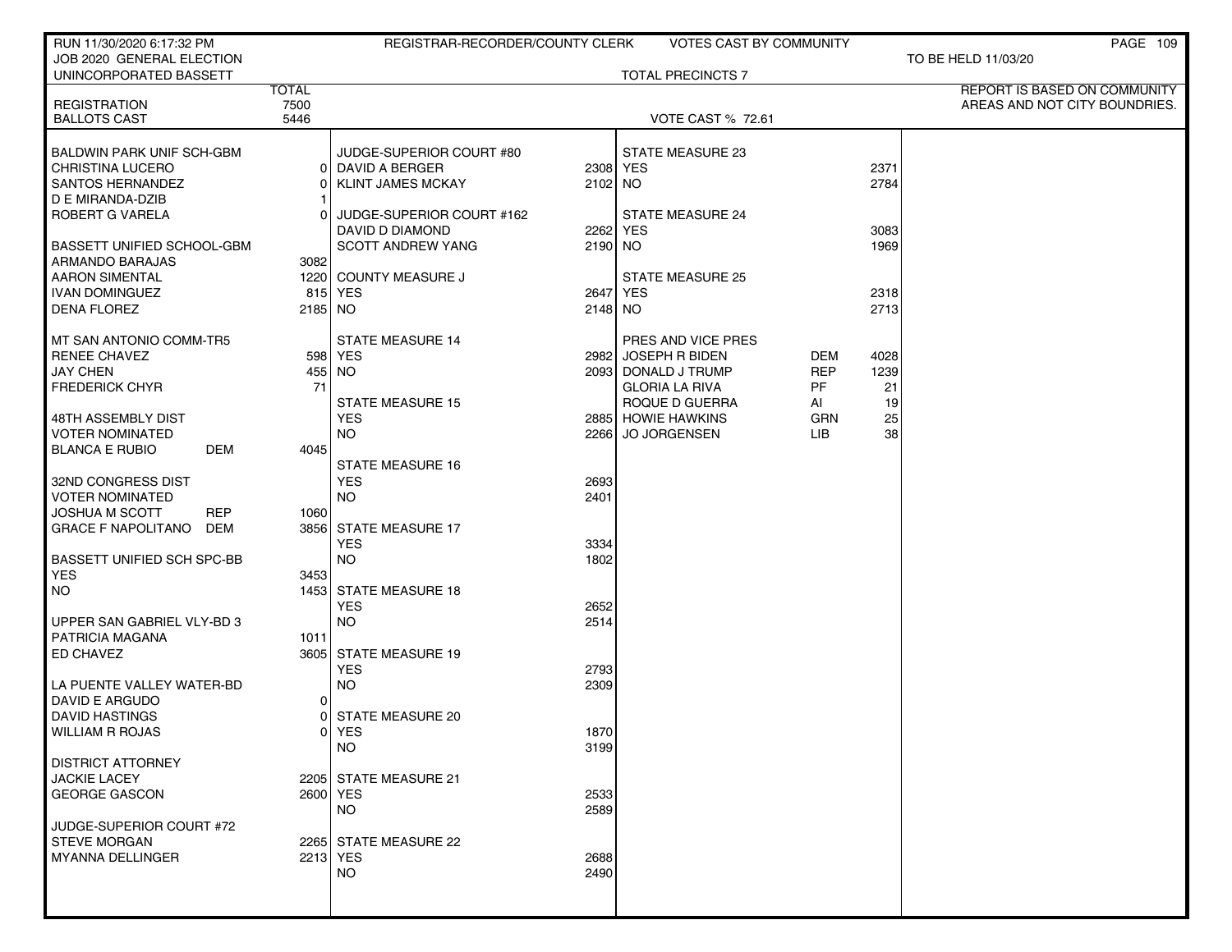| RUN 11/30/2020 6:17:32 PM                            |                      | REGISTRAR-RECORDER/COUNTY CLERK |         | <b>VOTES CAST BY COMMUNITY</b> |            |      | PAGE 109                                                      |
|------------------------------------------------------|----------------------|---------------------------------|---------|--------------------------------|------------|------|---------------------------------------------------------------|
| JOB 2020 GENERAL ELECTION                            |                      |                                 |         |                                |            |      | TO BE HELD 11/03/20                                           |
| UNINCORPORATED BASSETT                               |                      |                                 |         | <b>TOTAL PRECINCTS 7</b>       |            |      |                                                               |
| <b>REGISTRATION</b>                                  | <b>TOTAL</b><br>7500 |                                 |         |                                |            |      | REPORT IS BASED ON COMMUNITY<br>AREAS AND NOT CITY BOUNDRIES. |
| <b>BALLOTS CAST</b>                                  | 5446                 |                                 |         | <b>VOTE CAST % 72.61</b>       |            |      |                                                               |
|                                                      |                      |                                 |         |                                |            |      |                                                               |
| <b>BALDWIN PARK UNIF SCH-GBM</b>                     |                      | JUDGE-SUPERIOR COURT #80        |         | STATE MEASURE 23               |            |      |                                                               |
| <b>CHRISTINA LUCERO</b>                              | 01                   | DAVID A BERGER                  |         | 2308 YES                       |            | 2371 |                                                               |
| <b>SANTOS HERNANDEZ</b>                              | 0                    | <b>KLINT JAMES MCKAY</b>        | 2102 NO |                                |            | 2784 |                                                               |
| D E MIRANDA-DZIB                                     |                      |                                 |         |                                |            |      |                                                               |
| ROBERT G VARELA                                      | 0                    | JUDGE-SUPERIOR COURT #162       |         | <b>STATE MEASURE 24</b>        |            |      |                                                               |
|                                                      |                      | DAVID D DIAMOND                 |         | 2262 YES                       |            | 3083 |                                                               |
| <b>BASSETT UNIFIED SCHOOL-GBM</b><br>ARMANDO BARAJAS | 3082                 | <b>SCOTT ANDREW YANG</b>        | 2190 NO |                                |            | 1969 |                                                               |
| <b>AARON SIMENTAL</b>                                |                      | 1220 COUNTY MEASURE J           |         | <b>STATE MEASURE 25</b>        |            |      |                                                               |
| <b>IVAN DOMINGUEZ</b>                                | 815                  | <b>YES</b>                      |         | 2647 YES                       |            | 2318 |                                                               |
| <b>DENA FLOREZ</b>                                   | 2185 NO              |                                 | 2148 NO |                                |            | 2713 |                                                               |
|                                                      |                      |                                 |         |                                |            |      |                                                               |
| MT SAN ANTONIO COMM-TR5                              |                      | <b>STATE MEASURE 14</b>         |         | PRES AND VICE PRES             |            |      |                                                               |
| <b>RENEE CHAVEZ</b>                                  |                      | 598 YES                         | 2982    | <b>JOSEPH R BIDEN</b>          | DEM        | 4028 |                                                               |
| <b>JAY CHEN</b>                                      |                      | 455 NO                          |         | 2093 DONALD J TRUMP            | <b>REP</b> | 1239 |                                                               |
| <b>FREDERICK CHYR</b>                                | 71                   |                                 |         | <b>GLORIA LA RIVA</b>          | PF         | 21   |                                                               |
|                                                      |                      | <b>STATE MEASURE 15</b>         |         | ROQUE D GUERRA                 | AI         | 19   |                                                               |
| 48TH ASSEMBLY DIST                                   |                      | <b>YES</b>                      |         | 2885 HOWIE HAWKINS             | <b>GRN</b> | 25   |                                                               |
| <b>VOTER NOMINATED</b>                               |                      | <b>NO</b>                       | 2266    | <b>JO JORGENSEN</b>            | LIB.       | 38   |                                                               |
| <b>BLANCA E RUBIO</b><br>DEM                         | 4045                 | <b>STATE MEASURE 16</b>         |         |                                |            |      |                                                               |
| 32ND CONGRESS DIST                                   |                      | <b>YES</b>                      | 2693    |                                |            |      |                                                               |
| <b>VOTER NOMINATED</b>                               |                      | <b>NO</b>                       | 2401    |                                |            |      |                                                               |
| <b>JOSHUA M SCOTT</b><br><b>REP</b>                  | 1060                 |                                 |         |                                |            |      |                                                               |
| <b>GRACE F NAPOLITANO</b><br>DEM                     | 3856                 | <b>STATE MEASURE 17</b>         |         |                                |            |      |                                                               |
|                                                      |                      | <b>YES</b>                      | 3334    |                                |            |      |                                                               |
| <b>BASSETT UNIFIED SCH SPC-BB</b>                    |                      | <b>NO</b>                       | 1802    |                                |            |      |                                                               |
| <b>YES</b>                                           | 3453                 |                                 |         |                                |            |      |                                                               |
| <b>NO</b>                                            |                      | 1453 STATE MEASURE 18           |         |                                |            |      |                                                               |
|                                                      |                      | <b>YES</b>                      | 2652    |                                |            |      |                                                               |
| UPPER SAN GABRIEL VLY-BD 3                           |                      | <b>NO</b>                       | 2514    |                                |            |      |                                                               |
| PATRICIA MAGANA<br><b>ED CHAVEZ</b>                  | 1011                 | 3605 STATE MEASURE 19           |         |                                |            |      |                                                               |
|                                                      |                      | <b>YES</b>                      | 2793    |                                |            |      |                                                               |
| LA PUENTE VALLEY WATER-BD                            |                      | <b>NO</b>                       | 2309    |                                |            |      |                                                               |
| DAVID E ARGUDO                                       | 0                    |                                 |         |                                |            |      |                                                               |
| <b>DAVID HASTINGS</b>                                | 0                    | <b>STATE MEASURE 20</b>         |         |                                |            |      |                                                               |
| <b>WILLIAM R ROJAS</b>                               | 0                    | <b>YES</b>                      | 1870    |                                |            |      |                                                               |
|                                                      |                      | NO.                             | 3199    |                                |            |      |                                                               |
| <b>DISTRICT ATTORNEY</b>                             |                      |                                 |         |                                |            |      |                                                               |
| <b>JACKIE LACEY</b>                                  |                      | 2205 STATE MEASURE 21           |         |                                |            |      |                                                               |
| <b>GEORGE GASCON</b>                                 |                      | 2600 YES                        | 2533    |                                |            |      |                                                               |
|                                                      |                      | NO.                             | 2589    |                                |            |      |                                                               |
| JUDGE-SUPERIOR COURT #72<br><b>STEVE MORGAN</b>      |                      | 2265 STATE MEASURE 22           |         |                                |            |      |                                                               |
| <b>MYANNA DELLINGER</b>                              |                      | 2213 YES                        | 2688    |                                |            |      |                                                               |
|                                                      |                      | <b>NO</b>                       | 2490    |                                |            |      |                                                               |
|                                                      |                      |                                 |         |                                |            |      |                                                               |
|                                                      |                      |                                 |         |                                |            |      |                                                               |
|                                                      |                      |                                 |         |                                |            |      |                                                               |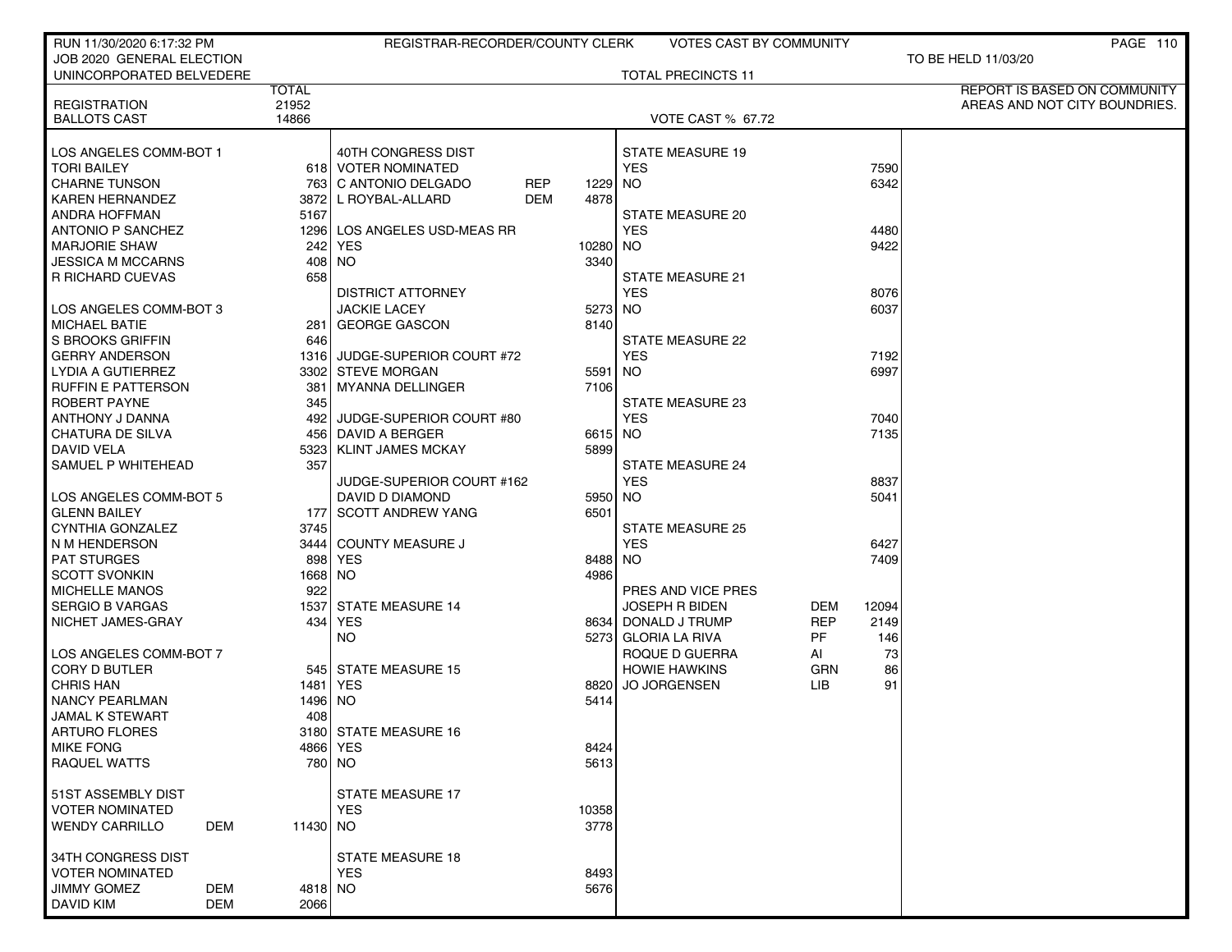| RUN 11/30/2020 6:17:32 PM       |                   | REGISTRAR-RECORDER/COUNTY CLERK   |                    | <b>VOTES CAST BY COMMUNITY</b> |            |       | PAGE 110                      |
|---------------------------------|-------------------|-----------------------------------|--------------------|--------------------------------|------------|-------|-------------------------------|
| JOB 2020 GENERAL ELECTION       |                   |                                   |                    |                                |            |       | TO BE HELD 11/03/20           |
| UNINCORPORATED BELVEDERE        |                   |                                   |                    | <b>TOTAL PRECINCTS 11</b>      |            |       |                               |
|                                 | <b>TOTAL</b>      |                                   |                    |                                |            |       | REPORT IS BASED ON COMMUNITY  |
| <b>REGISTRATION</b>             | 21952             |                                   |                    |                                |            |       | AREAS AND NOT CITY BOUNDRIES. |
| <b>BALLOTS CAST</b>             | 14866             |                                   |                    | <b>VOTE CAST % 67.72</b>       |            |       |                               |
|                                 |                   |                                   |                    |                                |            |       |                               |
| LOS ANGELES COMM-BOT 1          |                   | 40TH CONGRESS DIST                |                    | <b>STATE MEASURE 19</b>        |            |       |                               |
| <b>TORI BAILEY</b>              |                   | 618 VOTER NOMINATED               |                    | <b>YES</b>                     |            | 7590  |                               |
| CHARNE TUNSON                   |                   | 763   C ANTONIO DELGADO           | REP<br>1229        | <b>NO</b>                      |            | 6342  |                               |
| <b>KAREN HERNANDEZ</b>          |                   | 3872 L ROYBAL-ALLARD              | <b>DEM</b><br>4878 |                                |            |       |                               |
| <b>ANDRA HOFFMAN</b>            | 5167              |                                   |                    | <b>STATE MEASURE 20</b>        |            |       |                               |
| <b>ANTONIO P SANCHEZ</b>        |                   | 1296   LOS ANGELES USD-MEAS RR    |                    | <b>YES</b>                     |            | 4480  |                               |
| <b>MARJORIE SHAW</b>            |                   | 242<br>YES                        |                    | 10280 NO                       |            | 9422  |                               |
| JESSICA M MCCARNS               |                   | 408 NO                            | 3340               |                                |            |       |                               |
| R RICHARD CUEVAS                |                   | 658                               |                    | <b>STATE MEASURE 21</b>        |            |       |                               |
|                                 |                   | <b>DISTRICT ATTORNEY</b>          |                    | <b>YES</b>                     |            | 8076  |                               |
| LOS ANGELES COMM-BOT 3          |                   | <b>JACKIE LACEY</b>               | 5273               | <b>NO</b>                      |            | 6037  |                               |
| <b>MICHAEL BATIE</b>            |                   | 281 GEORGE GASCON                 | 8140               |                                |            |       |                               |
| <b>S BROOKS GRIFFIN</b>         |                   | 646                               |                    | <b>STATE MEASURE 22</b>        |            |       |                               |
| GERRY ANDERSON                  |                   | 1316 JUDGE-SUPERIOR COURT #72     |                    | <b>YES</b>                     |            | 7192  |                               |
| LYDIA A GUTIERREZ               |                   | 3302 STEVE MORGAN                 | 5591               | <b>NO</b>                      |            | 6997  |                               |
| <b>RUFFIN E PATTERSON</b>       |                   | 381<br>MYANNA DELLINGER           | 7106               |                                |            |       |                               |
| ROBERT PAYNE                    |                   | 345                               |                    | STATE MEASURE 23               |            |       |                               |
| ANTHONY J DANNA                 |                   | JUDGE-SUPERIOR COURT #80<br>492 l |                    | <b>YES</b>                     |            | 7040  |                               |
| <b>CHATURA DE SILVA</b>         |                   | 456 DAVID A BERGER                |                    | 6615 NO                        |            | 7135  |                               |
| <b>DAVID VELA</b>               |                   | 5323  KLINT JAMES MCKAY           | 5899               |                                |            |       |                               |
| SAMUEL P WHITEHEAD              |                   | 357                               |                    | <b>STATE MEASURE 24</b>        |            |       |                               |
|                                 |                   | JUDGE-SUPERIOR COURT #162         |                    | <b>YES</b>                     |            | 8837  |                               |
| LOS ANGELES COMM-BOT 5          |                   | DAVID D DIAMOND                   |                    | 5950 NO                        |            | 5041  |                               |
| <b>GLENN BAILEY</b>             |                   | 177 SCOTT ANDREW YANG             | 6501               |                                |            |       |                               |
| <b>CYNTHIA GONZALEZ</b>         |                   | 3745                              |                    | <b>STATE MEASURE 25</b>        |            |       |                               |
| N M HENDERSON                   |                   | 3444 COUNTY MEASURE J             |                    | <b>YES</b>                     |            | 6427  |                               |
| <b>PAT STURGES</b>              |                   | 898 YES                           | 8488               | <b>NO</b>                      |            | 7409  |                               |
| SCOTT SVONKIN                   |                   | 1668 NO                           | 4986               |                                |            |       |                               |
| <b>MICHELLE MANOS</b>           |                   | 922                               |                    | PRES AND VICE PRES             |            |       |                               |
| SERGIO B VARGAS                 |                   | 1537 STATE MEASURE 14             |                    | <b>JOSEPH R BIDEN</b>          | DEM        | 12094 |                               |
| NICHET JAMES-GRAY               |                   | 434<br><b>YES</b>                 |                    | 8634 DONALD J TRUMP            | <b>REP</b> | 2149  |                               |
|                                 |                   | NO.                               |                    | 5273 GLORIA LA RIVA            | PF         | 146   |                               |
| LOS ANGELES COMM-BOT 7          |                   |                                   |                    | ROQUE D GUERRA                 | AI         | 73    |                               |
| <b>CORY D BUTLER</b>            |                   | 545 STATE MEASURE 15              |                    | <b>HOWIE HAWKINS</b>           | GRN        | 86    |                               |
| <b>CHRIS HAN</b>                |                   | 1481 YES                          | 8820               | <b>JO JORGENSEN</b>            | <b>LIB</b> | 91    |                               |
| <b>NANCY PEARLMAN</b>           |                   | 1496   NO                         | 5414               |                                |            |       |                               |
| <b>JAMAL K STEWART</b>          |                   | 408                               |                    |                                |            |       |                               |
| ARTURO FLORES                   |                   | 3180 STATE MEASURE 16             |                    |                                |            |       |                               |
| <b>MIKE FONG</b>                |                   | 4866 YES                          | 8424               |                                |            |       |                               |
| RAQUEL WATTS                    |                   | 780 NO                            | 5613               |                                |            |       |                               |
|                                 |                   |                                   |                    |                                |            |       |                               |
| 51ST ASSEMBLY DIST              |                   | <b>STATE MEASURE 17</b>           |                    |                                |            |       |                               |
| <b>VOTER NOMINATED</b>          |                   | <b>YES</b>                        | 10358              |                                |            |       |                               |
| <b>WENDY CARRILLO</b>           | DEM               | 11430 NO                          | 3778               |                                |            |       |                               |
|                                 |                   |                                   |                    |                                |            |       |                               |
| 34TH CONGRESS DIST              |                   | <b>STATE MEASURE 18</b>           |                    |                                |            |       |                               |
| VOTER NOMINATED                 |                   | <b>YES</b>                        | 8493               |                                |            |       |                               |
| JIMMY GOMEZ<br><b>DAVID KIM</b> | DEM<br><b>DEM</b> | 4818 NO                           | 5676               |                                |            |       |                               |
|                                 |                   | 2066                              |                    |                                |            |       |                               |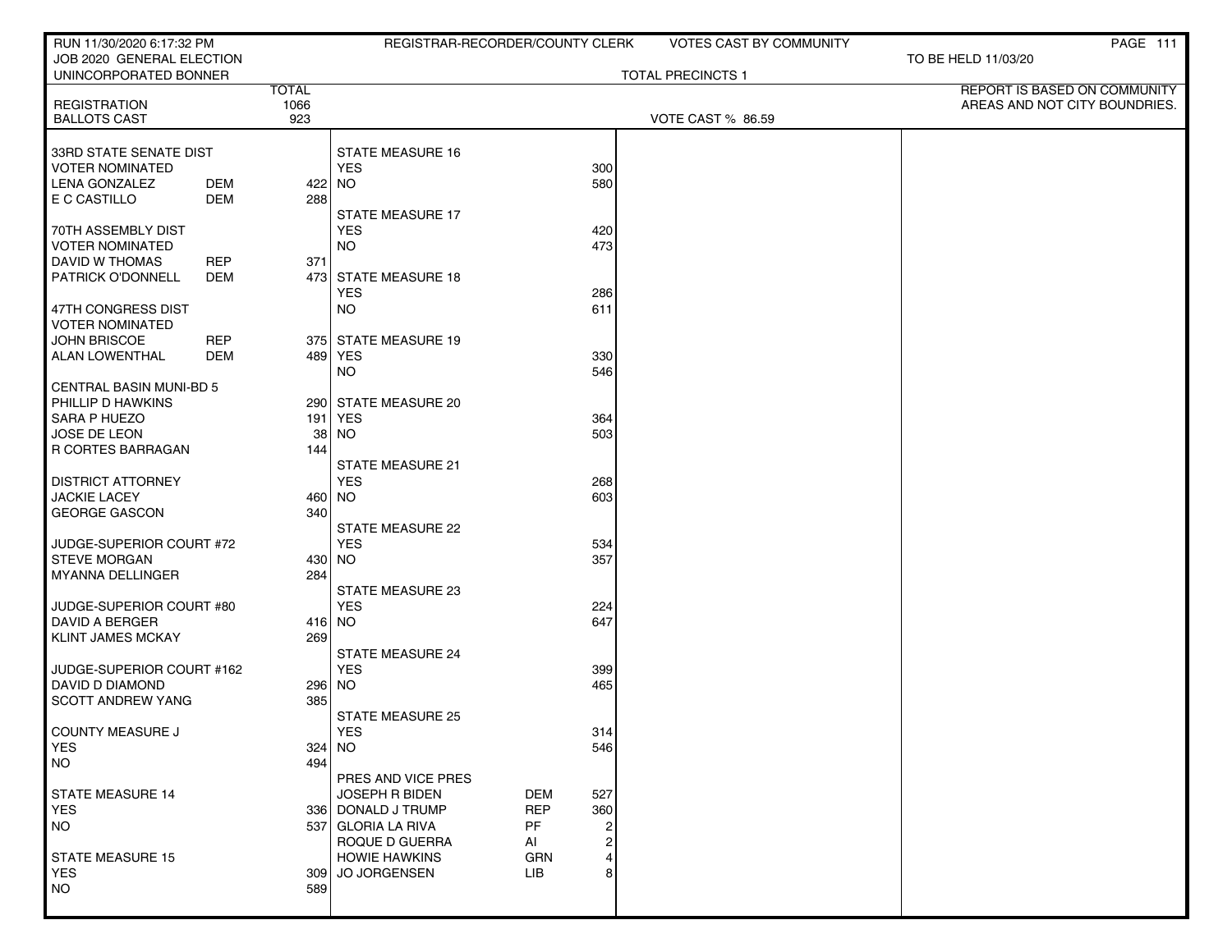| RUN 11/30/2020 6:17:32 PM                          |                   | REGISTRAR-RECORDER/COUNTY CLERK            |                                     | VOTES CAST BY COMMUNITY  |                               | PAGE 111 |
|----------------------------------------------------|-------------------|--------------------------------------------|-------------------------------------|--------------------------|-------------------------------|----------|
| JOB 2020 GENERAL ELECTION<br>UNINCORPORATED BONNER |                   |                                            |                                     | <b>TOTAL PRECINCTS 1</b> | TO BE HELD 11/03/20           |          |
|                                                    | <b>TOTAL</b>      |                                            |                                     |                          | REPORT IS BASED ON COMMUNITY  |          |
| <b>REGISTRATION</b>                                | 1066<br>923       |                                            |                                     |                          | AREAS AND NOT CITY BOUNDRIES. |          |
| <b>BALLOTS CAST</b>                                |                   |                                            |                                     | VOTE CAST % 86.59        |                               |          |
| 33RD STATE SENATE DIST                             |                   | <b>STATE MEASURE 16</b>                    |                                     |                          |                               |          |
| <b>VOTER NOMINATED</b>                             |                   | <b>YES</b>                                 | 300                                 |                          |                               |          |
| <b>LENA GONZALEZ</b>                               | <b>DEM</b>        | 422 NO                                     | 580                                 |                          |                               |          |
| E C CASTILLO                                       | DEM<br>288        |                                            |                                     |                          |                               |          |
|                                                    |                   | STATE MEASURE 17                           |                                     |                          |                               |          |
| 70TH ASSEMBLY DIST<br><b>VOTER NOMINATED</b>       |                   | <b>YES</b><br><b>NO</b>                    | 420<br>473                          |                          |                               |          |
| DAVID W THOMAS                                     | 371<br><b>REP</b> |                                            |                                     |                          |                               |          |
| <b>PATRICK O'DONNELL</b>                           | <b>DEM</b>        | 473 STATE MEASURE 18                       |                                     |                          |                               |          |
|                                                    |                   | <b>YES</b>                                 | 286                                 |                          |                               |          |
| 47TH CONGRESS DIST                                 |                   | <b>NO</b>                                  | 611                                 |                          |                               |          |
| <b>VOTER NOMINATED</b>                             |                   |                                            |                                     |                          |                               |          |
| <b>JOHN BRISCOE</b>                                | <b>REP</b>        | 375 STATE MEASURE 19                       |                                     |                          |                               |          |
| ALAN LOWENTHAL                                     | <b>DEM</b>        | 489 YES<br><b>NO</b>                       | 330<br>546                          |                          |                               |          |
| <b>CENTRAL BASIN MUNI-BD 5</b>                     |                   |                                            |                                     |                          |                               |          |
| PHILLIP D HAWKINS                                  |                   | 290 STATE MEASURE 20                       |                                     |                          |                               |          |
| SARA P HUEZO                                       |                   | 191   YES                                  | 364                                 |                          |                               |          |
| JOSE DE LEON                                       | 38 l              | <b>NO</b>                                  | 503                                 |                          |                               |          |
| R CORTES BARRAGAN                                  | 144               |                                            |                                     |                          |                               |          |
|                                                    |                   | <b>STATE MEASURE 21</b>                    |                                     |                          |                               |          |
| <b>DISTRICT ATTORNEY</b><br><b>JACKIE LACEY</b>    |                   | <b>YES</b><br>460 NO                       | 268<br>603                          |                          |                               |          |
| <b>GEORGE GASCON</b>                               | 340               |                                            |                                     |                          |                               |          |
|                                                    |                   | <b>STATE MEASURE 22</b>                    |                                     |                          |                               |          |
| JUDGE-SUPERIOR COURT #72                           |                   | <b>YES</b>                                 | 534                                 |                          |                               |          |
| <b>STEVE MORGAN</b>                                |                   | 430 NO                                     | 357                                 |                          |                               |          |
| MYANNA DELLINGER                                   | 284               |                                            |                                     |                          |                               |          |
| JUDGE-SUPERIOR COURT #80                           |                   | <b>STATE MEASURE 23</b><br><b>YES</b>      | 224                                 |                          |                               |          |
| DAVID A BERGER                                     |                   | 416 NO                                     | 647                                 |                          |                               |          |
| <b>KLINT JAMES MCKAY</b>                           | 269               |                                            |                                     |                          |                               |          |
|                                                    |                   | <b>STATE MEASURE 24</b>                    |                                     |                          |                               |          |
| JUDGE-SUPERIOR COURT #162                          |                   | <b>YES</b>                                 | 399                                 |                          |                               |          |
| DAVID D DIAMOND                                    |                   | 296 NO                                     | 465                                 |                          |                               |          |
| <b>SCOTT ANDREW YANG</b>                           | 385               | <b>STATE MEASURE 25</b>                    |                                     |                          |                               |          |
| COUNTY MEASURE J                                   |                   | YES                                        | 314                                 |                          |                               |          |
| <b>YES</b>                                         |                   | $324$ NO                                   | 546                                 |                          |                               |          |
| <b>NO</b>                                          | 494               |                                            |                                     |                          |                               |          |
|                                                    |                   | PRES AND VICE PRES                         |                                     |                          |                               |          |
| STATE MEASURE 14                                   |                   | <b>JOSEPH R BIDEN</b>                      | DEM<br>527                          |                          |                               |          |
| YES<br>NO                                          |                   | 336   DONALD J TRUMP<br>537 GLORIA LA RIVA | <b>REP</b><br>360<br><b>PF</b><br>2 |                          |                               |          |
|                                                    |                   | ROQUE D GUERRA                             | $\overline{c}$<br>AI                |                          |                               |          |
| <b>STATE MEASURE 15</b>                            |                   | <b>HOWIE HAWKINS</b>                       | $\overline{4}$<br><b>GRN</b>        |                          |                               |          |
| <b>YES</b>                                         |                   | 309 JO JORGENSEN                           | 8<br>LIB                            |                          |                               |          |
| NO                                                 | 589               |                                            |                                     |                          |                               |          |
|                                                    |                   |                                            |                                     |                          |                               |          |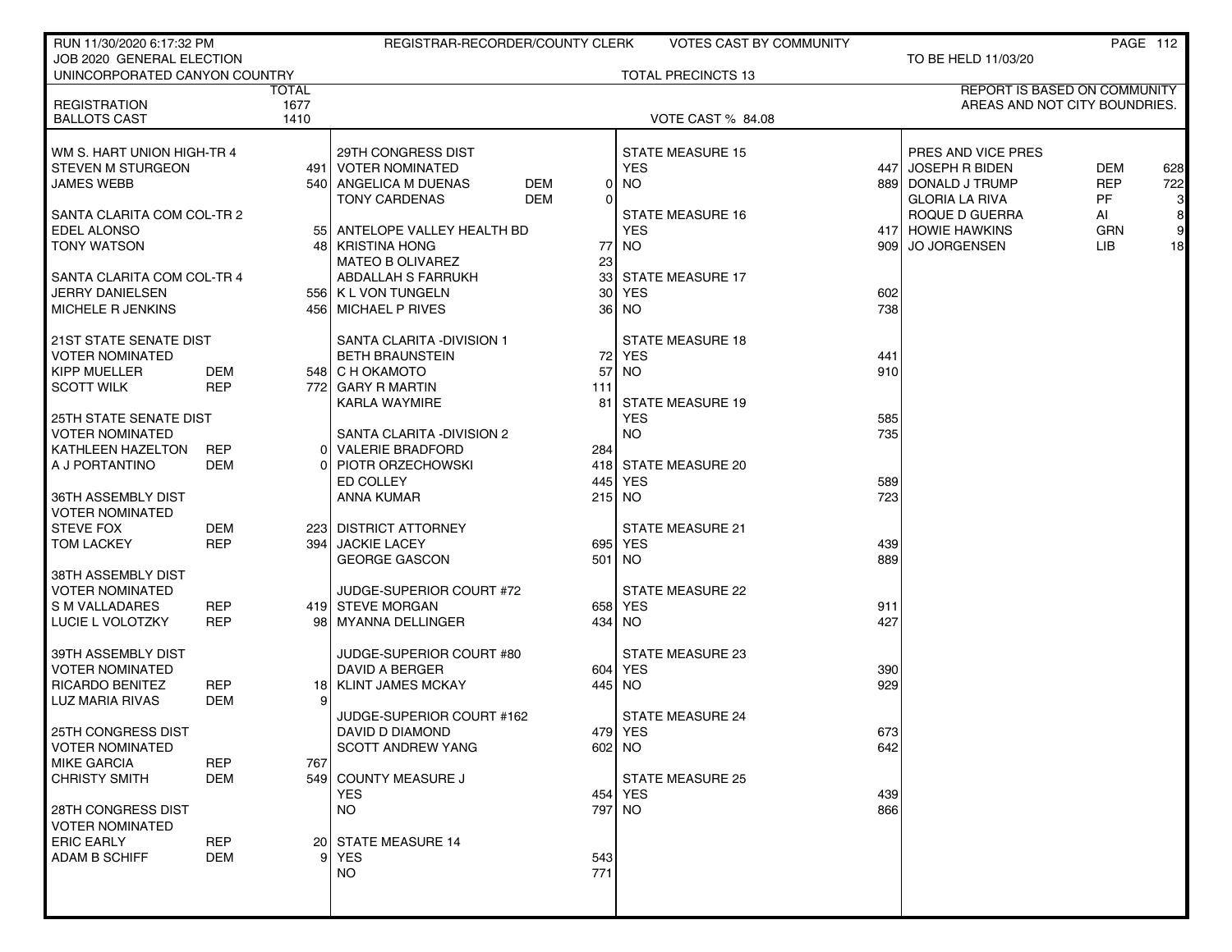| RUN 11/30/2020 6:17:32 PM                   |                          |       | REGISTRAR-RECORDER/COUNTY CLERK |            | VOTES CAST BY COMMUNITY   |                  |                                     |            | PAGE 112       |
|---------------------------------------------|--------------------------|-------|---------------------------------|------------|---------------------------|------------------|-------------------------------------|------------|----------------|
| JOB 2020 GENERAL ELECTION                   |                          |       |                                 |            |                           |                  | TO BE HELD 11/03/20                 |            |                |
| UNINCORPORATED CANYON COUNTRY               |                          |       |                                 |            | <b>TOTAL PRECINCTS 13</b> |                  |                                     |            |                |
|                                             |                          | TOTAL |                                 |            |                           |                  | <b>REPORT IS BASED ON COMMUNITY</b> |            |                |
| <b>REGISTRATION</b>                         |                          | 1677  |                                 |            |                           |                  | AREAS AND NOT CITY BOUNDRIES.       |            |                |
| <b>BALLOTS CAST</b>                         |                          | 1410  |                                 |            | VOTE CAST % 84.08         |                  |                                     |            |                |
|                                             |                          |       |                                 |            |                           |                  |                                     |            |                |
| WM S. HART UNION HIGH-TR 4                  |                          |       | 29TH CONGRESS DIST              |            | <b>STATE MEASURE 15</b>   |                  | PRES AND VICE PRES                  |            |                |
| <b>STEVEN M STURGEON</b>                    |                          |       | 491   VOTER NOMINATED           |            | <b>YES</b>                | 4471             | <b>JOSEPH R BIDEN</b>               | <b>DEM</b> | 628            |
| <b>JAMES WEBB</b>                           |                          |       | 540 ANGELICA M DUENAS<br>DEM    | 01         | <b>NO</b>                 |                  | 889 DONALD J TRUMP                  | <b>REP</b> | 722            |
|                                             |                          |       | <b>DEM</b><br>TONY CARDENAS     | 0          |                           |                  | <b>GLORIA LA RIVA</b>               | PF         | $3 \mid$       |
| SANTA CLARITA COM COL-TR 2                  |                          |       |                                 |            | <b>STATE MEASURE 16</b>   |                  | ROQUE D GUERRA                      | AI         | 8 <sup>1</sup> |
| <b>EDEL ALONSO</b>                          |                          |       | 55 ANTELOPE VALLEY HEALTH BD    |            | <b>YES</b>                |                  | 417 HOWIE HAWKINS                   | <b>GRN</b> | 9              |
| <b>TONY WATSON</b>                          |                          |       | 48   KRISTINA HONG              | 77         | NO.                       | 909 <sub>l</sub> | <b>JO JORGENSEN</b>                 | LIB        | 18             |
|                                             |                          |       | MATEO B OLIVAREZ                | 23         |                           |                  |                                     |            |                |
| SANTA CLARITA COM COL-TR 4                  |                          |       | ABDALLAH S FARRUKH              | 33         | STATE MEASURE 17          |                  |                                     |            |                |
| <b>JERRY DANIELSEN</b>                      |                          |       | 556   K L VON TUNGELN           | 30         | <b>YES</b>                | 602              |                                     |            |                |
| MICHELE R JENKINS                           |                          |       | 456 MICHAEL P RIVES             |            | 36   NO                   | 738              |                                     |            |                |
|                                             |                          |       |                                 |            |                           |                  |                                     |            |                |
| <b>21ST STATE SENATE DIST</b>               |                          |       | SANTA CLARITA - DIVISION 1      |            | <b>STATE MEASURE 18</b>   |                  |                                     |            |                |
| <b>VOTER NOMINATED</b>                      |                          |       | <b>BETH BRAUNSTEIN</b>          |            | 72 YES                    | 441              |                                     |            |                |
| <b>KIPP MUELLER</b>                         | DEM                      |       | 548 C H OKAMOTO                 | 57         | <b>NO</b>                 | 910              |                                     |            |                |
| <b>SCOTT WILK</b>                           | <b>REP</b>               |       | 772 GARY R MARTIN               | 111        |                           |                  |                                     |            |                |
|                                             |                          |       | KARLA WAYMIRE                   | 81         | STATE MEASURE 19          |                  |                                     |            |                |
| <b>25TH STATE SENATE DIST</b>               |                          |       |                                 |            | <b>YES</b>                | 585              |                                     |            |                |
| <b>VOTER NOMINATED</b>                      |                          |       | SANTA CLARITA -DIVISION 2       |            | <b>NO</b>                 | 735              |                                     |            |                |
| KATHLEEN HAZELTON                           | <b>REP</b>               |       | 0 VALERIE BRADFORD              | 284        |                           |                  |                                     |            |                |
| A J PORTANTINO                              | DEM                      |       | 0 PIOTR ORZECHOWSKI             |            | 418 STATE MEASURE 20      |                  |                                     |            |                |
|                                             |                          |       | ED COLLEY                       | 445        | YES                       | 589              |                                     |            |                |
| 36TH ASSEMBLY DIST                          |                          |       | ANNA KUMAR                      |            | 215 NO                    | 723              |                                     |            |                |
| <b>VOTER NOMINATED</b>                      |                          |       |                                 |            |                           |                  |                                     |            |                |
| <b>STEVE FOX</b>                            | DEM                      |       | 223 DISTRICT ATTORNEY           |            | <b>STATE MEASURE 21</b>   |                  |                                     |            |                |
| <b>TOM LACKEY</b>                           | <b>REP</b>               |       | 394 JACKIE LACEY                |            | 695 YES                   | 439              |                                     |            |                |
|                                             |                          |       | <b>GEORGE GASCON</b>            |            | 501 NO                    | 889              |                                     |            |                |
| 38TH ASSEMBLY DIST                          |                          |       |                                 |            |                           |                  |                                     |            |                |
| <b>VOTER NOMINATED</b>                      |                          |       | JUDGE-SUPERIOR COURT #72        |            | <b>STATE MEASURE 22</b>   |                  |                                     |            |                |
| S M VALLADARES                              | <b>REP</b>               |       | 419 STEVE MORGAN                |            | 658 YES                   | 911              |                                     |            |                |
| LUCIE L VOLOTZKY                            | <b>REP</b>               |       | 98   MYANNA DELLINGER           |            | 434   NO                  | 427              |                                     |            |                |
|                                             |                          |       |                                 |            |                           |                  |                                     |            |                |
| 39TH ASSEMBLY DIST                          |                          |       | JUDGE-SUPERIOR COURT #80        |            | <b>STATE MEASURE 23</b>   |                  |                                     |            |                |
| <b>VOTER NOMINATED</b>                      |                          |       | DAVID A BERGER                  |            | 604 YES                   | 390              |                                     |            |                |
| <b>RICARDO BENITEZ</b>                      | <b>REP</b>               |       | 18 KLINT JAMES MCKAY            |            | 445   NO                  | 929              |                                     |            |                |
| LUZ MARIA RIVAS                             | <b>DEM</b>               | 9     |                                 |            |                           |                  |                                     |            |                |
|                                             |                          |       | JUDGE-SUPERIOR COURT #162       |            | <b>STATE MEASURE 24</b>   |                  |                                     |            |                |
| <b>25TH CONGRESS DIST</b>                   |                          |       | DAVID D DIAMOND                 |            | 479 YES                   | 673              |                                     |            |                |
| <b>VOTER NOMINATED</b>                      |                          |       | <b>SCOTT ANDREW YANG</b>        |            | 602 NO                    | 642              |                                     |            |                |
| <b>MIKE GARCIA</b>                          | <b>REP</b>               | 767   |                                 |            |                           |                  |                                     |            |                |
| <b>CHRISTY SMITH</b>                        | <b>DEM</b>               |       | 549 COUNTY MEASURE J            |            | <b>STATE MEASURE 25</b>   |                  |                                     |            |                |
|                                             |                          |       | <b>YES</b>                      |            | 454 YES                   | 439              |                                     |            |                |
| 28TH CONGRESS DIST                          |                          |       | NO.                             |            | 797 NO                    | 866              |                                     |            |                |
|                                             |                          |       |                                 |            |                           |                  |                                     |            |                |
| <b>VOTER NOMINATED</b><br><b>ERIC EARLY</b> |                          |       |                                 |            |                           |                  |                                     |            |                |
|                                             | <b>REP</b><br><b>DEM</b> | 91    | 20 STATE MEASURE 14             |            |                           |                  |                                     |            |                |
| <b>ADAM B SCHIFF</b>                        |                          |       | YES<br><b>NO</b>                | 543<br>771 |                           |                  |                                     |            |                |
|                                             |                          |       |                                 |            |                           |                  |                                     |            |                |
|                                             |                          |       |                                 |            |                           |                  |                                     |            |                |
|                                             |                          |       |                                 |            |                           |                  |                                     |            |                |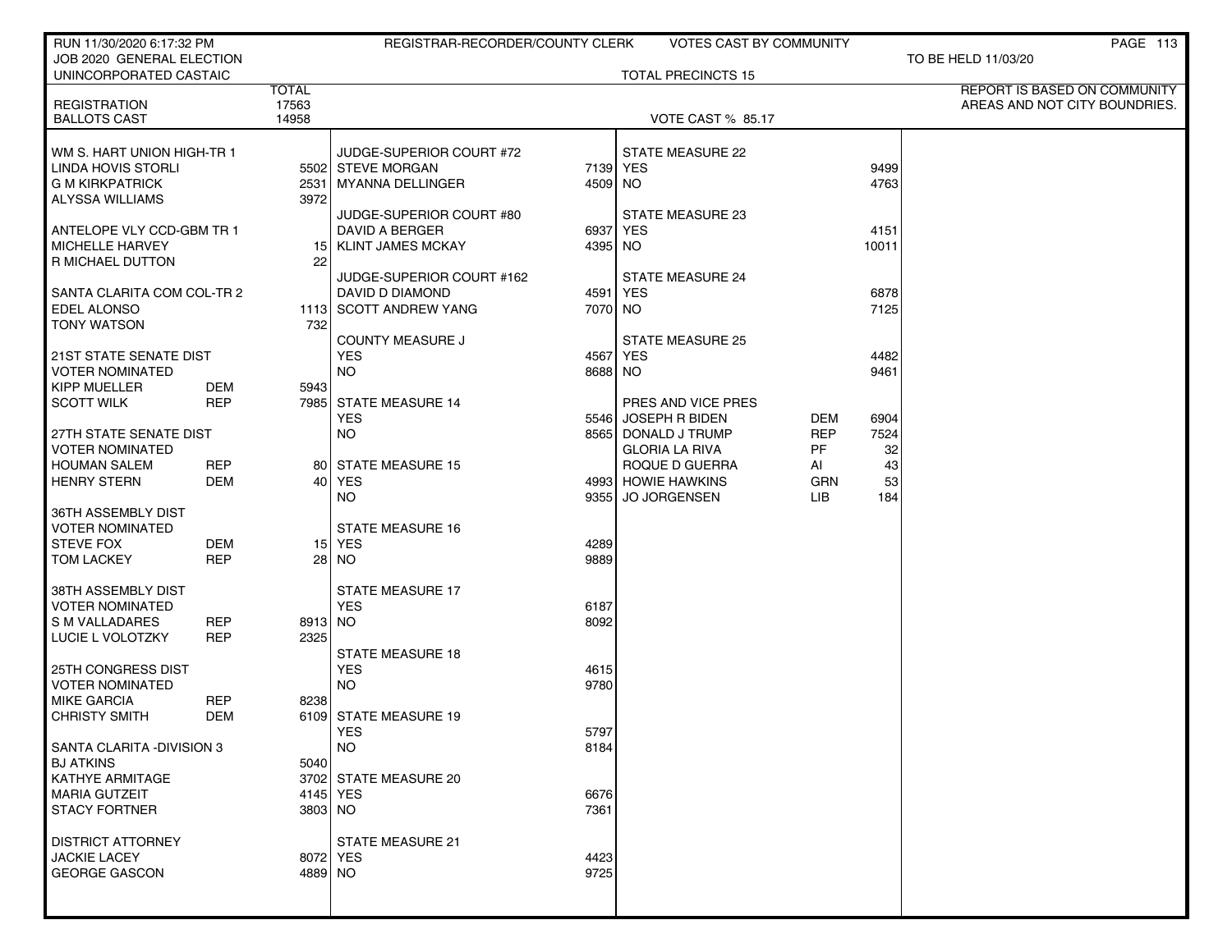| RUN 11/30/2020 6:17:32 PM                       |                   |              | REGISTRAR-RECORDER/COUNTY CLERK       |              | <b>VOTES CAST BY COMMUNITY</b>       |                  |          | PAGE 113                      |
|-------------------------------------------------|-------------------|--------------|---------------------------------------|--------------|--------------------------------------|------------------|----------|-------------------------------|
| JOB 2020 GENERAL ELECTION                       |                   |              |                                       |              |                                      |                  |          | TO BE HELD 11/03/20           |
| UNINCORPORATED CASTAIC                          |                   | <b>TOTAL</b> |                                       |              | <b>TOTAL PRECINCTS 15</b>            |                  |          | REPORT IS BASED ON COMMUNITY  |
| <b>REGISTRATION</b>                             |                   | 17563        |                                       |              |                                      |                  |          | AREAS AND NOT CITY BOUNDRIES. |
| <b>BALLOTS CAST</b>                             |                   | 14958        |                                       |              | VOTE CAST % 85.17                    |                  |          |                               |
|                                                 |                   |              |                                       |              |                                      |                  |          |                               |
| WM S. HART UNION HIGH TR 1                      |                   |              | JUDGE-SUPERIOR COURT #72              |              | <b>STATE MEASURE 22</b>              |                  |          |                               |
| <b>LINDA HOVIS STORLI</b>                       |                   |              | 5502 STEVE MORGAN                     | 7139 YES     |                                      |                  | 9499     |                               |
| <b>G M KIRKPATRICK</b><br>ALYSSA WILLIAMS       |                   | 3972         | 2531   MYANNA DELLINGER               | 4509 NO      |                                      |                  | 4763     |                               |
|                                                 |                   |              | JUDGE-SUPERIOR COURT #80              |              | STATE MEASURE 23                     |                  |          |                               |
| ANTELOPE VLY CCD-GBM TR 1                       |                   |              | <b>DAVID A BERGER</b>                 | 6937 YES     |                                      |                  | 4151     |                               |
| MICHELLE HARVEY                                 |                   |              | 15   KLINT JAMES MCKAY                | 4395 NO      |                                      |                  | 10011    |                               |
| R MICHAEL DUTTON                                |                   | 22           |                                       |              |                                      |                  |          |                               |
|                                                 |                   |              | JUDGE-SUPERIOR COURT #162             |              | <b>STATE MEASURE 24</b>              |                  |          |                               |
| SANTA CLARITA COM COL-TR 2                      |                   |              | DAVID D DIAMOND                       | 4591         | <b>YES</b>                           |                  | 6878     |                               |
| EDEL ALONSO                                     |                   |              | 1113 SCOTT ANDREW YANG                | 7070 NO      |                                      |                  | 7125     |                               |
| <b>TONY WATSON</b>                              |                   | 732          | <b>COUNTY MEASURE J</b>               |              | <b>STATE MEASURE 25</b>              |                  |          |                               |
| 21ST STATE SENATE DIST                          |                   |              | YES                                   |              | 4567 YES                             |                  | 4482     |                               |
| <b>VOTER NOMINATED</b>                          |                   |              | <b>NO</b>                             | 8688 NO      |                                      |                  | 9461     |                               |
| <b>KIPP MUELLER</b>                             | DEM               | 5943         |                                       |              |                                      |                  |          |                               |
| <b>SCOTT WILK</b>                               | <b>REP</b>        |              | 7985 STATE MEASURE 14                 |              | PRES AND VICE PRES                   |                  |          |                               |
|                                                 |                   |              | <b>YES</b>                            |              | 5546 JOSEPH R BIDEN                  | DEM              | 6904     |                               |
| 27TH STATE SENATE DIST                          |                   |              | <b>NO</b>                             |              | 8565 DONALD J TRUMP                  | <b>REP</b>       | 7524     |                               |
| <b>VOTER NOMINATED</b>                          |                   |              |                                       |              | <b>GLORIA LA RIVA</b>                | PF               | 32       |                               |
| <b>HOUMAN SALEM</b><br><b>HENRY STERN</b>       | <b>REP</b><br>DEM | 40 l         | 80 STATE MEASURE 15<br><b>YES</b>     |              | ROQUE D GUERRA<br>4993 HOWIE HAWKINS | AI<br><b>GRN</b> | 43<br>53 |                               |
|                                                 |                   |              | NO.                                   | 9355         | JO JORGENSEN                         | LIB.             | 184      |                               |
| 36TH ASSEMBLY DIST                              |                   |              |                                       |              |                                      |                  |          |                               |
| <b>VOTER NOMINATED</b>                          |                   |              | <b>STATE MEASURE 16</b>               |              |                                      |                  |          |                               |
| <b>STEVE FOX</b>                                | DEM               |              | 15 YES                                | 4289         |                                      |                  |          |                               |
| <b>TOM LACKEY</b>                               | <b>REP</b>        |              | 28   NO                               | 9889         |                                      |                  |          |                               |
|                                                 |                   |              |                                       |              |                                      |                  |          |                               |
| 38TH ASSEMBLY DIST<br><b>VOTER NOMINATED</b>    |                   |              | <b>STATE MEASURE 17</b><br><b>YES</b> | 6187         |                                      |                  |          |                               |
| S M VALLADARES                                  | <b>REP</b>        | 8913 NO      |                                       | 8092         |                                      |                  |          |                               |
| LUCIE L VOLOTZKY                                | <b>REP</b>        | 2325         |                                       |              |                                      |                  |          |                               |
|                                                 |                   |              | <b>STATE MEASURE 18</b>               |              |                                      |                  |          |                               |
| 25TH CONGRESS DIST                              |                   |              | <b>YES</b>                            | 4615         |                                      |                  |          |                               |
| <b>VOTER NOMINATED</b>                          |                   |              | <b>NO</b>                             | 9780         |                                      |                  |          |                               |
| <b>MIKE GARCIA</b>                              | REP               | 8238         |                                       |              |                                      |                  |          |                               |
| <b>CHRISTY SMITH</b>                            | DEM               |              | 6109 STATE MEASURE 19                 |              |                                      |                  |          |                               |
| SANTA CLARITA - DIVISION 3                      |                   |              | YES<br><b>NO</b>                      | 5797<br>8184 |                                      |                  |          |                               |
| <b>BJ ATKINS</b>                                |                   | 5040         |                                       |              |                                      |                  |          |                               |
| KATHYE ARMITAGE                                 |                   |              | 3702 STATE MEASURE 20                 |              |                                      |                  |          |                               |
| <b>MARIA GUTZEIT</b>                            |                   |              | 4145 YES                              | 6676         |                                      |                  |          |                               |
| <b>STACY FORTNER</b>                            |                   | 3803 NO      |                                       | 7361         |                                      |                  |          |                               |
|                                                 |                   |              |                                       |              |                                      |                  |          |                               |
| <b>DISTRICT ATTORNEY</b><br><b>JACKIE LACEY</b> |                   |              | STATE MEASURE 21<br>8072 YES          |              |                                      |                  |          |                               |
| <b>GEORGE GASCON</b>                            |                   | 4889 NO      |                                       | 4423<br>9725 |                                      |                  |          |                               |
|                                                 |                   |              |                                       |              |                                      |                  |          |                               |
|                                                 |                   |              |                                       |              |                                      |                  |          |                               |
|                                                 |                   |              |                                       |              |                                      |                  |          |                               |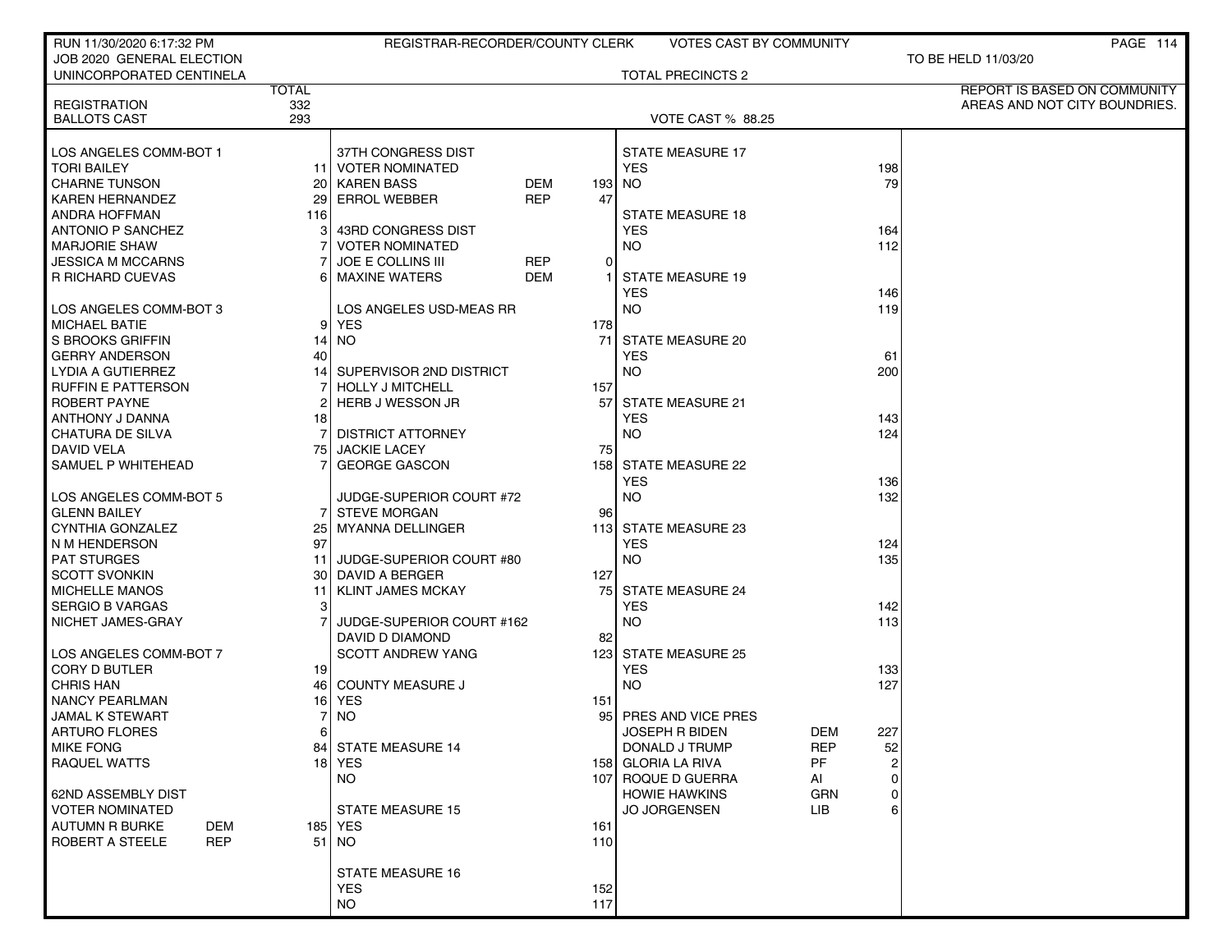| RUN 11/30/2020 6:17:32 PM            |       | REGISTRAR-RECORDER/COUNTY CLERK |            |     | <b>VOTES CAST BY COMMUNITY</b> |            |     | PAGE 114                      |
|--------------------------------------|-------|---------------------------------|------------|-----|--------------------------------|------------|-----|-------------------------------|
| JOB 2020 GENERAL ELECTION            |       |                                 |            |     |                                |            |     | TO BE HELD 11/03/20           |
| UNINCORPORATED CENTINELA             |       |                                 |            |     | TOTAL PRECINCTS 2              |            |     |                               |
|                                      | TOTAL |                                 |            |     |                                |            |     | REPORT IS BASED ON COMMUNITY  |
| <b>REGISTRATION</b>                  | 332   |                                 |            |     |                                |            |     | AREAS AND NOT CITY BOUNDRIES. |
| <b>BALLOTS CAST</b>                  | 293   |                                 |            |     | <b>VOTE CAST % 88.25</b>       |            |     |                               |
|                                      |       |                                 |            |     |                                |            |     |                               |
| LOS ANGELES COMM-BOT 1               |       | 37TH CONGRESS DIST              |            |     | <b>STATE MEASURE 17</b>        |            |     |                               |
| <b>TORI BAILEY</b>                   |       | 11 VOTER NOMINATED              |            |     | <b>YES</b>                     |            | 198 |                               |
| <b>CHARNE TUNSON</b>                 |       | 20 KAREN BASS                   | <b>DEM</b> |     | 193 NO                         |            | 79  |                               |
| <b>KAREN HERNANDEZ</b>               |       | 29 ERROL WEBBER                 | <b>REP</b> | 47  |                                |            |     |                               |
| <b>ANDRA HOFFMAN</b>                 | 116   |                                 |            |     | <b>STATE MEASURE 18</b>        |            |     |                               |
| <b>ANTONIO P SANCHEZ</b>             |       | 43RD CONGRESS DIST              |            |     | <b>YES</b>                     |            | 164 |                               |
| <b>MARJORIE SHAW</b>                 |       | <b>VOTER NOMINATED</b>          |            |     | <b>NO</b>                      |            | 112 |                               |
| JESSICA M MCCARNS                    |       | <b>JOE E COLLINS III</b>        | <b>REP</b> | 0   |                                |            |     |                               |
| R RICHARD CUEVAS                     |       | 6 MAXINE WATERS                 | <b>DEM</b> |     | <b>STATE MEASURE 19</b>        |            |     |                               |
|                                      |       |                                 |            |     | <b>YES</b>                     |            | 146 |                               |
| LOS ANGELES COMM-BOT 3               |       | LOS ANGELES USD-MEAS RR         |            |     | <b>NO</b>                      |            | 119 |                               |
| <b>MICHAEL BATIE</b>                 |       | 9 YES                           |            | 178 |                                |            |     |                               |
| <b>S BROOKS GRIFFIN</b>              |       | 14   NO                         |            | 71  | <b>STATE MEASURE 20</b>        |            |     |                               |
| <b>GERRY ANDERSON</b>                | 40    |                                 |            |     | <b>YES</b>                     |            | 61  |                               |
| LYDIA A GUTIERREZ                    |       | SUPERVISOR 2ND DISTRICT         |            |     | <b>NO</b>                      |            | 200 |                               |
| <b>RUFFIN E PATTERSON</b>            |       | <b>HOLLY J MITCHELL</b>         |            | 157 |                                |            |     |                               |
| ROBERT PAYNE                         |       | <b>HERB J WESSON JR</b>         |            |     | 57 STATE MEASURE 21            |            |     |                               |
| <b>ANTHONY J DANNA</b>               | 18    |                                 |            |     | <b>YES</b>                     |            | 143 |                               |
| CHATURA DE SILVA                     |       | <b>DISTRICT ATTORNEY</b>        |            |     | <b>NO</b>                      |            | 124 |                               |
| <b>DAVID VELA</b>                    |       | 75 JACKIE LACEY                 |            | 75  |                                |            |     |                               |
| SAMUEL P WHITEHEAD                   |       | <b>GEORGE GASCON</b>            |            |     | 158 STATE MEASURE 22           |            |     |                               |
|                                      |       |                                 |            |     | <b>YES</b>                     |            | 136 |                               |
| LOS ANGELES COMM-BOT 5               |       | JUDGE-SUPERIOR COURT #72        |            |     | <b>NO</b>                      |            | 132 |                               |
| <b>GLENN BAILEY</b>                  |       | <b>7I STEVE MORGAN</b>          |            | 96  |                                |            |     |                               |
| <b>CYNTHIA GONZALEZ</b>              |       | 25   MYANNA DELLINGER           |            |     | 113 STATE MEASURE 23           |            |     |                               |
| N M HENDERSON                        | 97    |                                 |            |     | <b>YES</b>                     |            | 124 |                               |
| <b>PAT STURGES</b>                   | 11    | JUDGE-SUPERIOR COURT #80        |            |     | <b>NO</b>                      |            | 135 |                               |
| <b>SCOTT SVONKIN</b>                 |       | 30 DAVID A BERGER               |            | 127 |                                |            |     |                               |
| <b>MICHELLE MANOS</b>                | 11    | <b>KLINT JAMES MCKAY</b>        |            |     | 75 STATE MEASURE 24            |            |     |                               |
| <b>SERGIO B VARGAS</b>               | 3     |                                 |            |     | <b>YES</b>                     |            | 142 |                               |
| NICHET JAMES-GRAY                    |       | JUDGE-SUPERIOR COURT #162       |            |     | <b>NO</b>                      |            | 113 |                               |
|                                      |       | DAVID D DIAMOND                 |            | 82  |                                |            |     |                               |
| LOS ANGELES COMM-BOT 7               |       | <b>SCOTT ANDREW YANG</b>        |            |     | 123 STATE MEASURE 25           |            |     |                               |
| <b>CORY D BUTLER</b>                 | 19 I  |                                 |            |     | <b>YES</b>                     |            | 133 |                               |
| <b>CHRIS HAN</b>                     |       | 46 COUNTY MEASURE J             |            |     | <b>NO</b>                      |            | 127 |                               |
| <b>NANCY PEARLMAN</b>                |       | 16   YES                        |            | 151 |                                |            |     |                               |
| <b>JAMAL K STEWART</b>               | 7     | <b>NO</b>                       |            |     | 95 PRES AND VICE PRES          |            |     |                               |
| <b>ARTURO FLORES</b>                 |       |                                 |            |     | JOSEPH R BIDEN                 | DEM        | 227 |                               |
| <b>MIKE FONG</b>                     |       | 84 STATE MEASURE 14             |            |     | DONALD J TRUMP                 | <b>REP</b> | 52  |                               |
| <b>RAQUEL WATTS</b>                  |       | 18 YES                          |            |     | 158 GLORIA LA RIVA             | PF         |     |                               |
|                                      |       | <b>NO</b>                       |            |     | 107 ROQUE D GUERRA             | AI         | 0   |                               |
| 62ND ASSEMBLY DIST                   |       |                                 |            |     | <b>HOWIE HAWKINS</b>           | GRN        |     |                               |
| <b>VOTER NOMINATED</b>               |       | STATE MEASURE 15                |            |     | <b>JO JORGENSEN</b>            | <b>LIB</b> |     |                               |
| <b>AUTUMN R BURKE</b><br>DEM         |       | 185 YES                         |            | 161 |                                |            |     |                               |
| <b>ROBERT A STEELE</b><br><b>REP</b> |       | 51   NO                         |            | 110 |                                |            |     |                               |
|                                      |       |                                 |            |     |                                |            |     |                               |
|                                      |       | <b>STATE MEASURE 16</b>         |            |     |                                |            |     |                               |
|                                      |       | <b>YES</b>                      |            | 152 |                                |            |     |                               |
|                                      |       | <b>NO</b>                       |            | 117 |                                |            |     |                               |
|                                      |       |                                 |            |     |                                |            |     |                               |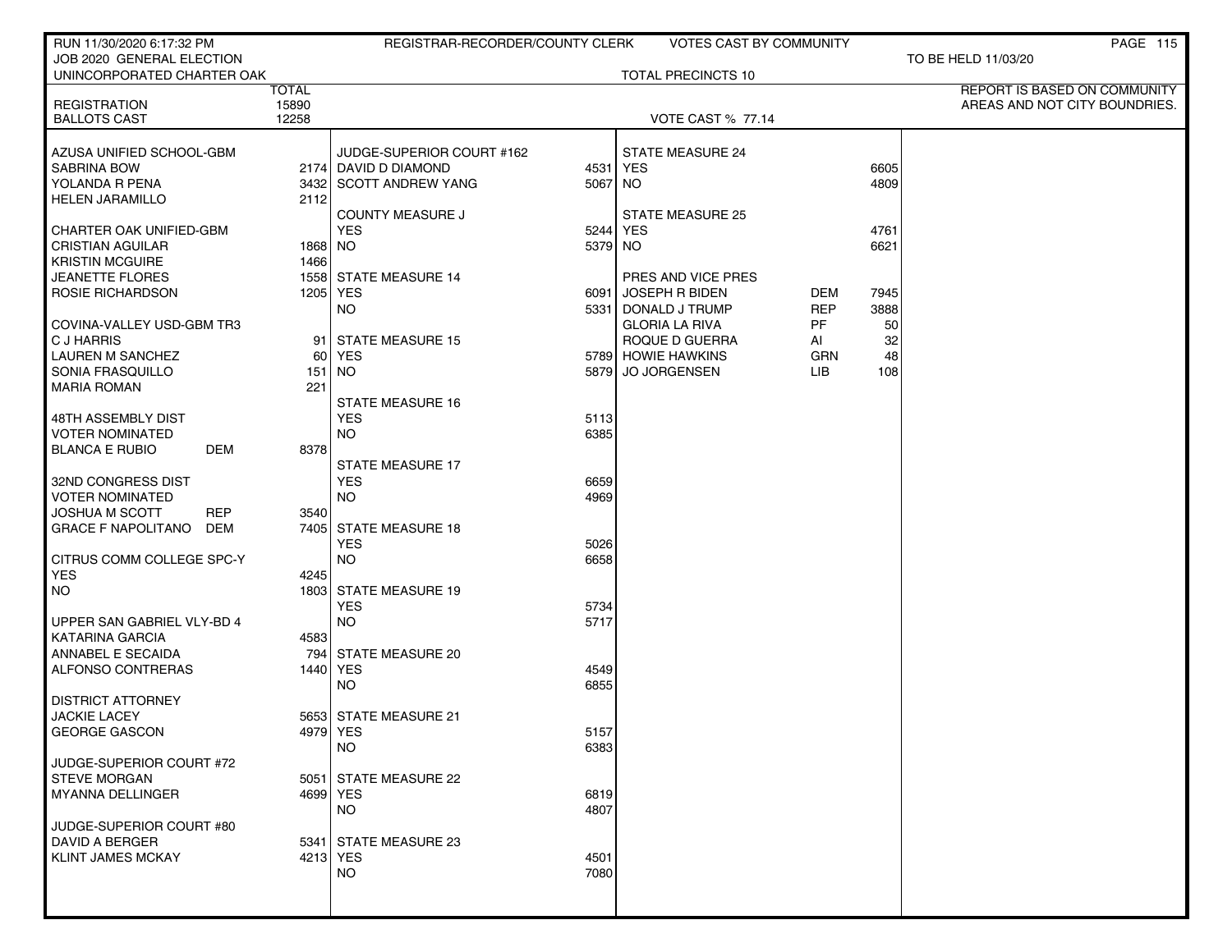| RUN 11/30/2020 6:17:32 PM                  |                | REGISTRAR-RECORDER/COUNTY CLERK |              | <b>VOTES CAST BY COMMUNITY</b> |            |      | <b>PAGE 115</b>               |
|--------------------------------------------|----------------|---------------------------------|--------------|--------------------------------|------------|------|-------------------------------|
| JOB 2020 GENERAL ELECTION                  |                |                                 |              |                                |            |      | TO BE HELD 11/03/20           |
| UNINCORPORATED CHARTER OAK                 |                |                                 |              | <b>TOTAL PRECINCTS 10</b>      |            |      |                               |
|                                            | <b>TOTAL</b>   |                                 |              |                                |            |      | REPORT IS BASED ON COMMUNITY  |
| <b>REGISTRATION</b><br><b>BALLOTS CAST</b> | 15890<br>12258 |                                 |              | <b>VOTE CAST % 77.14</b>       |            |      | AREAS AND NOT CITY BOUNDRIES. |
|                                            |                |                                 |              |                                |            |      |                               |
| AZUSA UNIFIED SCHOOL-GBM                   |                | JUDGE-SUPERIOR COURT #162       |              | <b>STATE MEASURE 24</b>        |            |      |                               |
| <b>SABRINA BOW</b>                         |                | 2174 DAVID D DIAMOND            | 4531         | <b>YES</b>                     |            | 6605 |                               |
| YOLANDA R PENA                             |                | 3432 SCOTT ANDREW YANG          | 5067 NO      |                                |            | 4809 |                               |
| <b>HELEN JARAMILLO</b>                     | 2112           |                                 |              |                                |            |      |                               |
|                                            |                | <b>COUNTY MEASURE J</b>         |              | STATE MEASURE 25               |            |      |                               |
| CHARTER OAK UNIFIED-GBM                    |                | <b>YES</b>                      | 5244 YES     |                                |            | 4761 |                               |
| <b>CRISTIAN AGUILAR</b>                    | 1868 NO        |                                 | 5379 NO      |                                |            | 6621 |                               |
| <b>KRISTIN MCGUIRE</b>                     | 1466           |                                 |              |                                |            |      |                               |
| <b>JEANETTE FLORES</b>                     |                | 1558 STATE MEASURE 14           |              | PRES AND VICE PRES             |            |      |                               |
| ROSIE RICHARDSON                           |                | 1205   YES                      | 6091         | JOSEPH R BIDEN                 | DEM        | 7945 |                               |
|                                            |                | <b>NO</b>                       |              | 5331 DONALD J TRUMP            | <b>REP</b> | 3888 |                               |
| COVINA-VALLEY USD-GBM TR3                  |                |                                 |              | <b>GLORIA LA RIVA</b>          | PF         | 50   |                               |
| C J HARRIS                                 | 91             | <b>STATE MEASURE 15</b>         |              | ROQUE D GUERRA                 | AI         | 32   |                               |
| <b>LAUREN M SANCHEZ</b>                    | 60 l           | YES                             |              | 5789 HOWIE HAWKINS             | <b>GRN</b> | 48   |                               |
| SONIA FRASQUILLO                           |                | 151   NO                        | 5879         | JO JORGENSEN                   | LIB        | 108  |                               |
| <b>MARIA ROMAN</b>                         | 221            |                                 |              |                                |            |      |                               |
|                                            |                | <b>STATE MEASURE 16</b>         |              |                                |            |      |                               |
| 48TH ASSEMBLY DIST                         |                | <b>YES</b>                      | 5113         |                                |            |      |                               |
| <b>VOTER NOMINATED</b>                     |                | <b>NO</b>                       | 6385         |                                |            |      |                               |
| <b>BLANCA E RUBIO</b><br>DEM               | 8378           |                                 |              |                                |            |      |                               |
|                                            |                | <b>STATE MEASURE 17</b>         |              |                                |            |      |                               |
| 32ND CONGRESS DIST                         |                | <b>YES</b>                      | 6659         |                                |            |      |                               |
| <b>VOTER NOMINATED</b>                     |                | NO.                             | 4969         |                                |            |      |                               |
| <b>REP</b><br><b>JOSHUA M SCOTT</b>        | 3540           |                                 |              |                                |            |      |                               |
| <b>GRACE F NAPOLITANO</b><br>DEM           |                | 7405 STATE MEASURE 18<br>YES    | 5026         |                                |            |      |                               |
| CITRUS COMM COLLEGE SPC-Y                  |                | <b>NO</b>                       | 6658         |                                |            |      |                               |
| <b>YES</b>                                 | 4245           |                                 |              |                                |            |      |                               |
| NO.                                        |                | 1803 STATE MEASURE 19           |              |                                |            |      |                               |
|                                            |                | YES                             | 5734         |                                |            |      |                               |
| UPPER SAN GABRIEL VLY-BD 4                 |                | <b>NO</b>                       | 5717         |                                |            |      |                               |
| <b>KATARINA GARCIA</b>                     | 4583           |                                 |              |                                |            |      |                               |
| ANNABEL E SECAIDA                          |                | 794 STATE MEASURE 20            |              |                                |            |      |                               |
| ALFONSO CONTRERAS                          |                | 1440   YES                      | 4549         |                                |            |      |                               |
|                                            |                | NO.                             | 6855         |                                |            |      |                               |
| <b>DISTRICT ATTORNEY</b>                   |                |                                 |              |                                |            |      |                               |
| <b>JACKIE LACEY</b>                        |                | 5653 STATE MEASURE 21           |              |                                |            |      |                               |
| <b>GEORGE GASCON</b>                       |                | 4979 YES                        | 5157         |                                |            |      |                               |
|                                            |                | NO.                             | 6383         |                                |            |      |                               |
| JUDGE-SUPERIOR COURT #72                   |                |                                 |              |                                |            |      |                               |
| <b>STEVE MORGAN</b>                        |                | 5051 STATE MEASURE 22           |              |                                |            |      |                               |
| MYANNA DELLINGER                           |                | 4699 YES                        | 6819         |                                |            |      |                               |
|                                            |                | <b>NO</b>                       | 4807         |                                |            |      |                               |
| JUDGE-SUPERIOR COURT #80                   |                |                                 |              |                                |            |      |                               |
| DAVID A BERGER                             |                | 5341 STATE MEASURE 23           |              |                                |            |      |                               |
| <b>KLINT JAMES MCKAY</b>                   |                | 4213 YES<br><b>NO</b>           | 4501<br>7080 |                                |            |      |                               |
|                                            |                |                                 |              |                                |            |      |                               |
|                                            |                |                                 |              |                                |            |      |                               |
|                                            |                |                                 |              |                                |            |      |                               |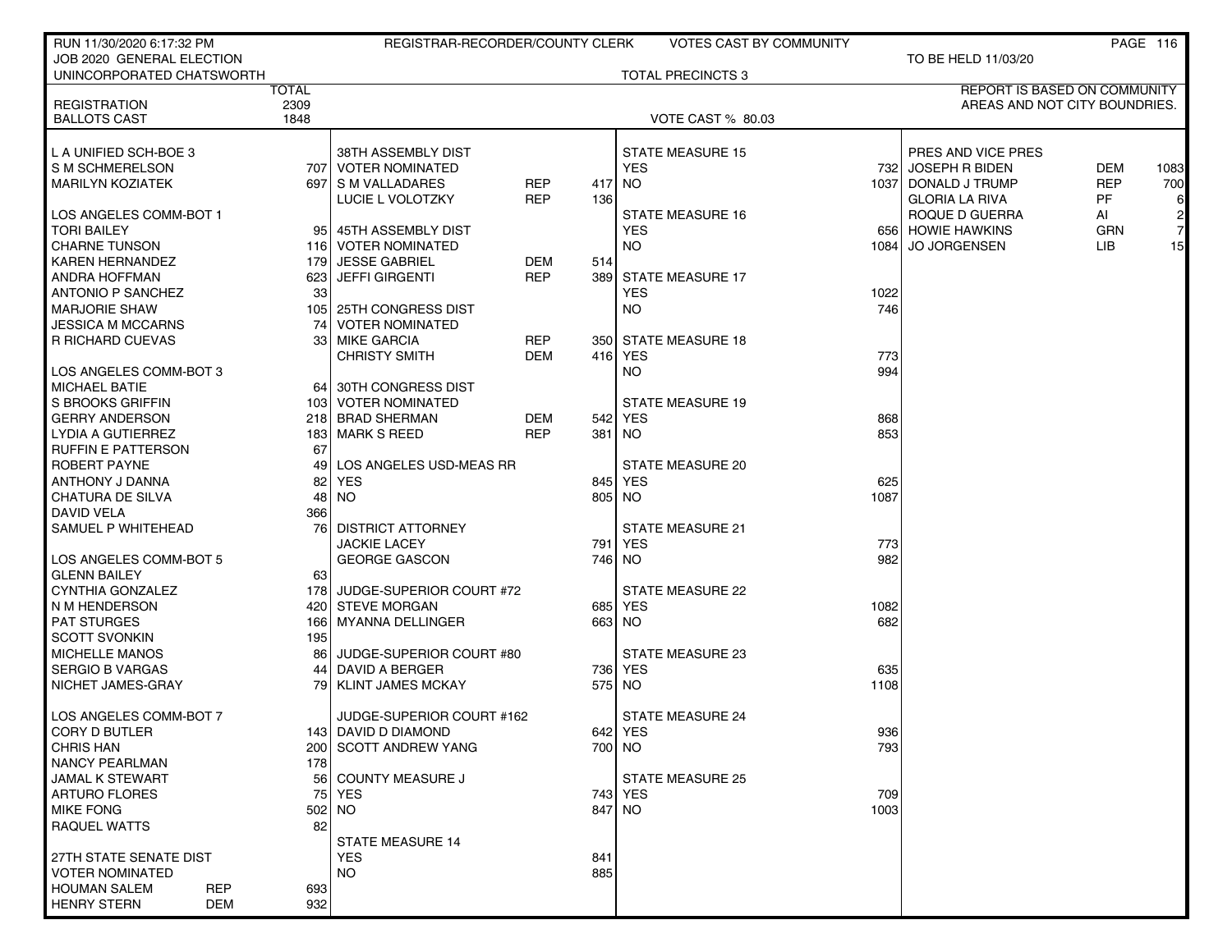| RUN 11/30/2020 6:17:32 PM         |              | REGISTRAR-RECORDER/COUNTY CLERK  |            |            | <b>VOTES CAST BY COMMUNITY</b> |             |                               |            | PAGE 116       |
|-----------------------------------|--------------|----------------------------------|------------|------------|--------------------------------|-------------|-------------------------------|------------|----------------|
| JOB 2020 GENERAL ELECTION         |              |                                  |            |            |                                |             | TO BE HELD 11/03/20           |            |                |
| UNINCORPORATED CHATSWORTH         |              |                                  |            |            | <b>TOTAL PRECINCTS 3</b>       |             |                               |            |                |
|                                   | <b>TOTAL</b> |                                  |            |            |                                |             | REPORT IS BASED ON COMMUNITY  |            |                |
| <b>REGISTRATION</b>               | 2309         |                                  |            |            |                                |             | AREAS AND NOT CITY BOUNDRIES. |            |                |
| <b>BALLOTS CAST</b>               | 1848         |                                  |            |            | <b>VOTE CAST % 80.03</b>       |             |                               |            |                |
|                                   |              |                                  |            |            |                                |             |                               |            |                |
| L A UNIFIED SCH-BOE 3             |              | 38TH ASSEMBLY DIST               |            |            | <b>STATE MEASURE 15</b>        |             | PRES AND VICE PRES            |            |                |
| I S M SCHMERELSON                 | 707 l        | VOTER NOMINATED                  |            |            | <b>YES</b>                     |             | 732 JOSEPH R BIDEN            | DEM        | 1083           |
| MARILYN KOZIATEK                  |              | 697 S M VALLADARES               | <b>REP</b> | 417        | NO.                            |             | 1037 DONALD J TRUMP           | <b>REP</b> | 700            |
|                                   |              | LUCIE L VOLOTZKY                 | <b>REP</b> | 136        |                                |             | <b>GLORIA LA RIVA</b>         | PF         | 6              |
| LOS ANGELES COMM-BOT 1            |              |                                  |            |            | <b>STATE MEASURE 16</b>        |             | ROQUE D GUERRA                | AI         | $\mathbf{2}$   |
| <b>TORI BAILEY</b>                | 95           | 45TH ASSEMBLY DIST               |            |            | YES                            |             | 656 HOWIE HAWKINS             | <b>GRN</b> | $\overline{7}$ |
| CHARNE TUNSON                     |              | 116 VOTER NOMINATED              |            |            | NO.                            | 1084 l      | <b>JO JORGENSEN</b>           | LIB        | 15             |
| KAREN HERNANDEZ                   | 179          | <b>JESSE GABRIEL</b>             | DEM        | 514        |                                |             |                               |            |                |
| ANDRA HOFFMAN                     | 623          | <b>JEFFI GIRGENTI</b>            | <b>REP</b> | 3891       | <b>STATE MEASURE 17</b>        |             |                               |            |                |
| ANTONIO P SANCHEZ                 | 33           |                                  |            |            | YES                            | 1022        |                               |            |                |
| <b>MARJORIE SHAW</b>              |              | 105 25TH CONGRESS DIST           |            |            | NO.                            | 746         |                               |            |                |
| <b>JESSICA M MCCARNS</b>          | 74           | <b>VOTER NOMINATED</b>           |            |            |                                |             |                               |            |                |
| I R RICHARD CUEVAS                | 33           | <b>MIKE GARCIA</b>               | <b>REP</b> |            | 350 STATE MEASURE 18           |             |                               |            |                |
|                                   |              | <b>CHRISTY SMITH</b>             | <b>DEM</b> |            | 416 YES                        | 773         |                               |            |                |
| LOS ANGELES COMM-BOT 3            |              |                                  |            |            | NO.                            | 994         |                               |            |                |
| MICHAEL BATIE                     | 64           | 30TH CONGRESS DIST               |            |            |                                |             |                               |            |                |
| l S BROOKS GRIFFIN                |              | 103 VOTER NOMINATED              |            |            | <b>STATE MEASURE 19</b>        |             |                               |            |                |
| <b>GERRY ANDERSON</b>             |              | 218 BRAD SHERMAN                 | DEM        | 542        | YES                            | 868         |                               |            |                |
| LYDIA A GUTIERREZ                 | 183          | │ MARK S REED                    | <b>REP</b> | 381        | NO.                            | 853         |                               |            |                |
| I RUFFIN E PATTERSON              | 67           |                                  |            |            |                                |             |                               |            |                |
| ROBERT PAYNE                      | 49           | LOS ANGELES USD-MEAS RR          |            |            | STATE MEASURE 20               |             |                               |            |                |
| I ANTHONY J DANNA                 | 82           | <b>YES</b>                       |            | 845        | YES                            | 625         |                               |            |                |
| CHATURA DE SILVA                  | 48           | NO.                              |            | 805        | NO.                            | 1087        |                               |            |                |
| <b>DAVID VELA</b>                 | 366          |                                  |            |            |                                |             |                               |            |                |
| SAMUEL P WHITEHEAD                | 76           | DISTRICT ATTORNEY                |            |            | STATE MEASURE 21               |             |                               |            |                |
|                                   |              | <b>JACKIE LACEY</b>              |            | 791        | <b>YES</b>                     | 773         |                               |            |                |
| LOS ANGELES COMM-BOT 5            |              | <b>GEORGE GASCON</b>             |            | 746        | NO.                            | 982         |                               |            |                |
| <b>GLENN BAILEY</b>               | 63           |                                  |            |            |                                |             |                               |            |                |
| CYNTHIA GONZALEZ                  |              | 178 JUDGE-SUPERIOR COURT #72     |            |            | <b>STATE MEASURE 22</b>        |             |                               |            |                |
| I N M HENDERSON                   | 420          | STEVE MORGAN                     |            | 685        | YES                            | 1082        |                               |            |                |
| <b>PAT STURGES</b>                | 166          | MYANNA DELLINGER                 |            |            | 663 NO                         | 682         |                               |            |                |
| <b>SCOTT SVONKIN</b>              | 195          |                                  |            |            |                                |             |                               |            |                |
| <b>MICHELLE MANOS</b>             | 86           | JUDGE-SUPERIOR COURT #80         |            |            | STATE MEASURE 23               |             |                               |            |                |
| I SERGIO B VARGAS                 | 44           | DAVID A BERGER                   |            | 7361       | YES                            | 635         |                               |            |                |
| I NICHET JAMES-GRAY               | 79           | <b>KLINT JAMES MCKAY</b>         |            | 575 I      | NO.                            | 1108        |                               |            |                |
| LOS ANGELES COMM-BOT 7            |              |                                  |            |            | <b>STATE MEASURE 24</b>        |             |                               |            |                |
|                                   |              | JUDGE-SUPERIOR COURT #162        |            |            |                                |             |                               |            |                |
| CORY D BUTLER                     |              | 143 DAVID D DIAMOND              |            |            | 642 YES                        | 936         |                               |            |                |
| <b>CHRIS HAN</b>                  |              | 200 SCOTT ANDREW YANG            |            |            | 700   NO                       | 793         |                               |            |                |
| NANCY PEARLMAN                    | 178          |                                  |            |            |                                |             |                               |            |                |
| JAMAL K STEWART<br>ARTURO FLORES  | 56           | <b>COUNTY MEASURE J</b><br>  YES |            |            | <b>STATE MEASURE 25</b>        |             |                               |            |                |
| <b>MIKE FONG</b>                  | 75           |                                  |            |            | 743 YES                        | 709<br>1003 |                               |            |                |
|                                   | $502$ NO     |                                  |            |            | 847 NO                         |             |                               |            |                |
| RAQUEL WATTS                      | 82           |                                  |            |            |                                |             |                               |            |                |
| 27TH STATE SENATE DIST            |              | <b>STATE MEASURE 14</b>          |            |            |                                |             |                               |            |                |
| <b>VOTER NOMINATED</b>            |              | <b>YES</b><br><b>NO</b>          |            | 841<br>885 |                                |             |                               |            |                |
| <b>HOUMAN SALEM</b><br><b>REP</b> | 693          |                                  |            |            |                                |             |                               |            |                |
| <b>HENRY STERN</b><br><b>DEM</b>  | 932          |                                  |            |            |                                |             |                               |            |                |
|                                   |              |                                  |            |            |                                |             |                               |            |                |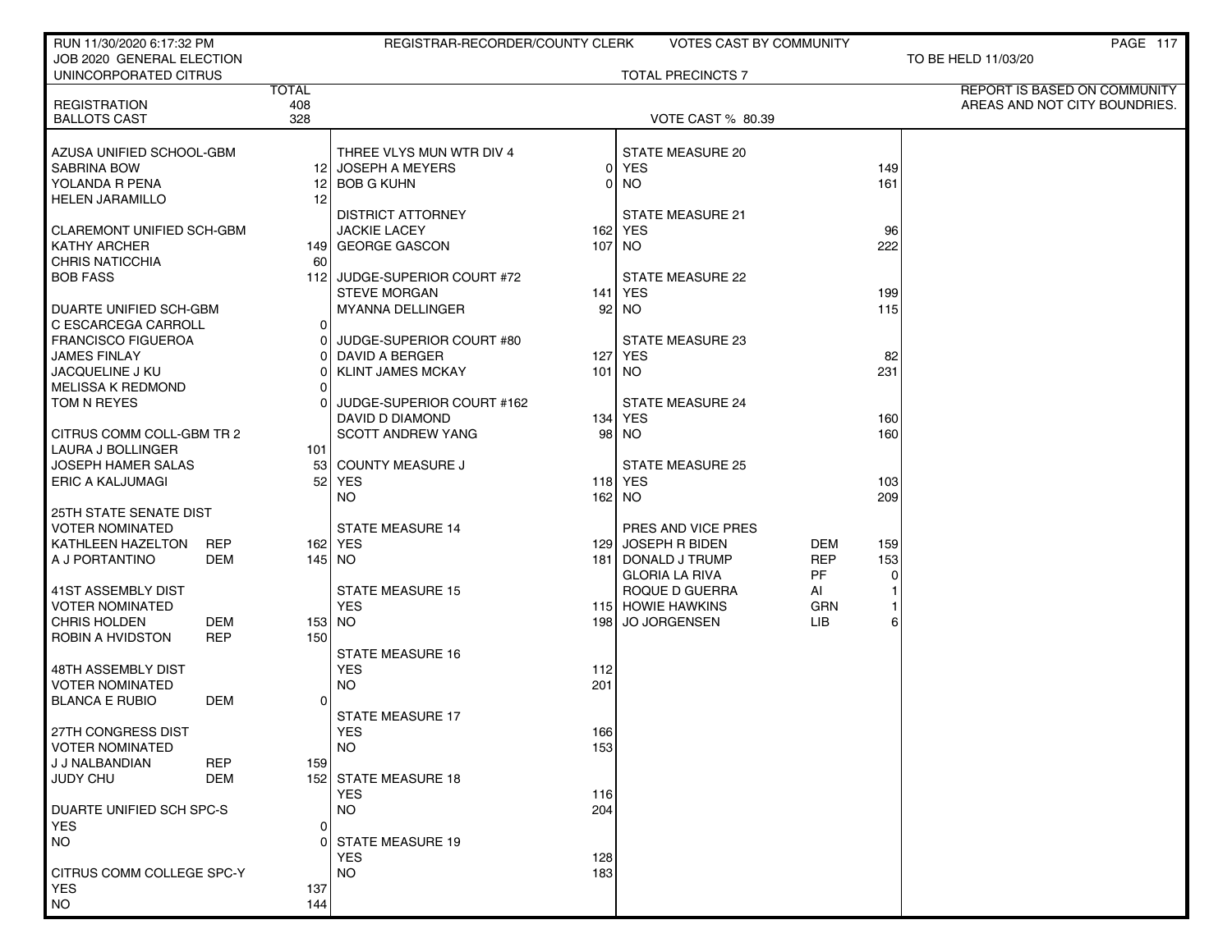| RUN 11/30/2020 6:17:32 PM                   |                | REGISTRAR-RECORDER/COUNTY CLERK |          | VOTES CAST BY COMMUNITY  |            |           | PAGE 117                      |
|---------------------------------------------|----------------|---------------------------------|----------|--------------------------|------------|-----------|-------------------------------|
| JOB 2020 GENERAL ELECTION                   |                |                                 |          |                          |            |           | TO BE HELD 11/03/20           |
| UNINCORPORATED CITRUS                       |                |                                 |          | <b>TOTAL PRECINCTS 7</b> |            |           |                               |
|                                             | <b>TOTAL</b>   |                                 |          |                          |            |           | REPORT IS BASED ON COMMUNITY  |
| <b>REGISTRATION</b>                         | 408            |                                 |          |                          |            |           | AREAS AND NOT CITY BOUNDRIES. |
| <b>BALLOTS CAST</b>                         | 328            |                                 |          | <b>VOTE CAST % 80.39</b> |            |           |                               |
|                                             |                |                                 |          |                          |            |           |                               |
| AZUSA UNIFIED SCHOOL-GBM                    |                | THREE VLYS MUN WTR DIV 4        |          | <b>STATE MEASURE 20</b>  |            |           |                               |
| <b>SABRINA BOW</b>                          |                | 12 JOSEPH A MEYERS              |          | 0 YES                    |            | 149       |                               |
| YOLANDA R PENA                              |                | 12 BOB G KUHN                   | 0        | <b>NO</b>                |            | 161       |                               |
| <b>HELEN JARAMILLO</b>                      | 12             |                                 |          |                          |            |           |                               |
|                                             |                | <b>DISTRICT ATTORNEY</b>        |          | STATE MEASURE 21         |            |           |                               |
| <b>CLAREMONT UNIFIED SCH-GBM</b>            |                | <b>JACKIE LACEY</b>             |          | 162 YES                  |            | 96        |                               |
| <b>KATHY ARCHER</b>                         |                | 149 GEORGE GASCON               | 107 NO   |                          |            | 222       |                               |
| <b>CHRIS NATICCHIA</b>                      | 60             |                                 |          |                          |            |           |                               |
| <b>BOB FASS</b>                             |                | 112 JUDGE-SUPERIOR COURT #72    |          | <b>STATE MEASURE 22</b>  |            |           |                               |
|                                             |                | <b>STEVE MORGAN</b>             |          | 141 YES                  |            | 199       |                               |
| DUARTE UNIFIED SCH-GBM                      |                | <b>MYANNA DELLINGER</b>         |          | 92 NO                    |            | 115       |                               |
| C ESCARCEGA CARROLL                         | 0l             |                                 |          |                          |            |           |                               |
| <b>FRANCISCO FIGUEROA</b>                   | $\Omega$       | JUDGE-SUPERIOR COURT #80        |          | STATE MEASURE 23         |            |           |                               |
| <b>JAMES FINLAY</b>                         | 01             | DAVID A BERGER                  | $101$ NO | 127 YES                  |            | 82<br>231 |                               |
| JACQUELINE J KU<br><b>MELISSA K REDMOND</b> | 0              | <b>KLINT JAMES MCKAY</b>        |          |                          |            |           |                               |
| TOM N REYES                                 | 0<br>0         | JUDGE-SUPERIOR COURT #162       |          | <b>STATE MEASURE 24</b>  |            |           |                               |
|                                             |                | DAVID D DIAMOND                 |          | <b>134 YES</b>           |            | 160       |                               |
| CITRUS COMM COLL-GBM TR 2                   |                | <b>SCOTT ANDREW YANG</b>        | 98       | NO.                      |            | 160       |                               |
| LAURA J BOLLINGER                           | 101            |                                 |          |                          |            |           |                               |
| <b>JOSEPH HAMER SALAS</b>                   |                | 53 COUNTY MEASURE J             |          | <b>STATE MEASURE 25</b>  |            |           |                               |
| <b>ERIC A KALJUMAGI</b>                     | 521            | <b>YES</b>                      |          | 118 YES                  |            | 103       |                               |
|                                             |                | NO.                             | 162 NO   |                          |            | 209       |                               |
| <b>25TH STATE SENATE DIST</b>               |                |                                 |          |                          |            |           |                               |
| <b>VOTER NOMINATED</b>                      |                | <b>STATE MEASURE 14</b>         |          | PRES AND VICE PRES       |            |           |                               |
| KATHLEEN HAZELTON<br><b>REP</b>             |                | 162 YES                         |          | 129 JOSEPH R BIDEN       | DEM        | 159       |                               |
| <b>DEM</b><br>A J PORTANTINO                |                | 145   NO                        |          | 181 DONALD J TRUMP       | <b>REP</b> | 153       |                               |
|                                             |                |                                 |          | <b>GLORIA LA RIVA</b>    | PF         | $\Omega$  |                               |
| 41ST ASSEMBLY DIST                          |                | <b>STATE MEASURE 15</b>         |          | ROQUE D GUERRA           | AI         |           |                               |
| <b>VOTER NOMINATED</b>                      |                | <b>YES</b>                      |          | 115 HOWIE HAWKINS        | GRN        |           |                               |
| <b>CHRIS HOLDEN</b><br>DEM                  |                | 153 NO                          |          | 198 JO JORGENSEN         | LIB        | 6         |                               |
| ROBIN A HVIDSTON<br>REP                     | 150            |                                 |          |                          |            |           |                               |
|                                             |                | <b>STATE MEASURE 16</b>         |          |                          |            |           |                               |
| 48TH ASSEMBLY DIST                          |                | <b>YES</b>                      | 112      |                          |            |           |                               |
| <b>VOTER NOMINATED</b>                      |                | <b>NO</b>                       | 201      |                          |            |           |                               |
| <b>BLANCA E RUBIO</b><br>DEM                | $\overline{0}$ |                                 |          |                          |            |           |                               |
|                                             |                | <b>STATE MEASURE 17</b>         |          |                          |            |           |                               |
| <b>27TH CONGRESS DIST</b>                   |                | YES                             | 166      |                          |            |           |                               |
| <b>VOTER NOMINATED</b>                      |                | <b>NO</b>                       | 153      |                          |            |           |                               |
| J J NALBANDIAN<br><b>REP</b>                | 159            |                                 |          |                          |            |           |                               |
| <b>DEM</b><br><b>JUDY CHU</b>               |                | 152 STATE MEASURE 18            |          |                          |            |           |                               |
|                                             |                | <b>YES</b>                      | 116      |                          |            |           |                               |
| DUARTE UNIFIED SCH SPC-S                    |                | <b>NO</b>                       | 204      |                          |            |           |                               |
| <b>YES</b>                                  | $\overline{0}$ |                                 |          |                          |            |           |                               |
| NO.                                         | 0              | <b>STATE MEASURE 19</b>         |          |                          |            |           |                               |
|                                             |                | <b>YES</b>                      | 128      |                          |            |           |                               |
| CITRUS COMM COLLEGE SPC-Y                   |                | <b>NO</b>                       | 183      |                          |            |           |                               |
| <b>YES</b>                                  | 137            |                                 |          |                          |            |           |                               |
| <b>NO</b>                                   | 144            |                                 |          |                          |            |           |                               |
|                                             |                |                                 |          |                          |            |           |                               |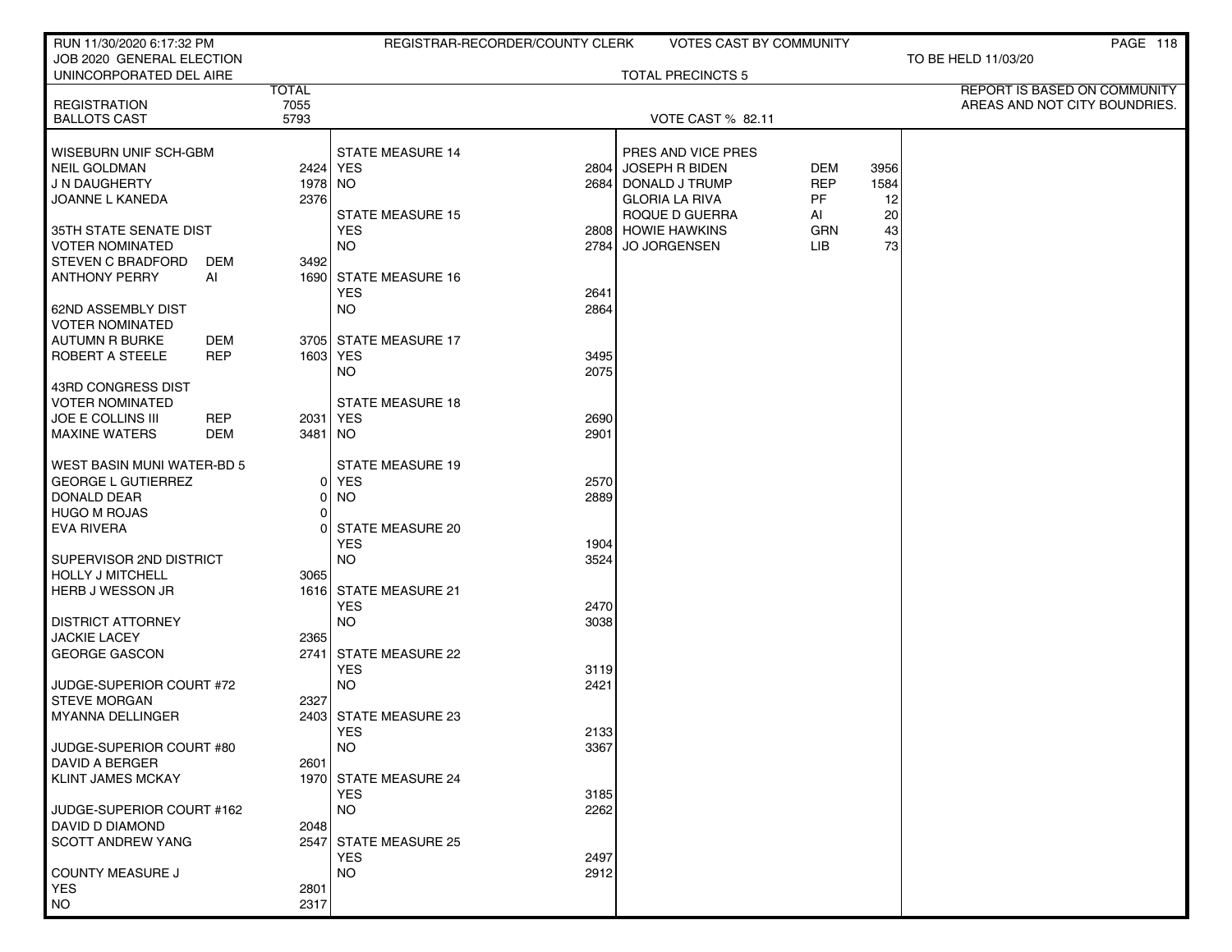| RUN 11/30/2020 6:17:32 PM                    |                 | REGISTRAR-RECORDER/COUNTY CLERK             | <b>VOTES CAST BY COMMUNITY</b>          |                   |            | PAGE 118                            |
|----------------------------------------------|-----------------|---------------------------------------------|-----------------------------------------|-------------------|------------|-------------------------------------|
| JOB 2020 GENERAL ELECTION                    |                 |                                             |                                         |                   |            | TO BE HELD 11/03/20                 |
| UNINCORPORATED DEL AIRE                      | <b>TOTAL</b>    |                                             | <b>TOTAL PRECINCTS 5</b>                |                   |            | <b>REPORT IS BASED ON COMMUNITY</b> |
| <b>REGISTRATION</b>                          | 7055            |                                             |                                         |                   |            | AREAS AND NOT CITY BOUNDRIES.       |
| <b>BALLOTS CAST</b>                          | 5793            |                                             | VOTE CAST % 82.11                       |                   |            |                                     |
|                                              |                 |                                             |                                         |                   |            |                                     |
| <b>WISEBURN UNIF SCH-GBM</b>                 |                 | <b>STATE MEASURE 14</b>                     | PRES AND VICE PRES                      |                   |            |                                     |
| NEIL GOLDMAN                                 |                 | 2424 YES<br>2804                            | <b>JOSEPH R BIDEN</b>                   | DEM<br><b>REP</b> | 3956       |                                     |
| J N DAUGHERTY<br>JOANNE L KANEDA             | 1978 NO<br>2376 | 2684                                        | DONALD J TRUMP<br><b>GLORIA LA RIVA</b> | <b>PF</b>         | 1584<br>12 |                                     |
|                                              |                 | <b>STATE MEASURE 15</b>                     | ROQUE D GUERRA                          | AI                | 20         |                                     |
| 35TH STATE SENATE DIST                       |                 | <b>YES</b>                                  | 2808 HOWIE HAWKINS                      | GRN               | 43         |                                     |
| <b>VOTER NOMINATED</b>                       |                 | <b>NO</b><br>2784                           | <b>JO JORGENSEN</b>                     | LIB               | 73         |                                     |
| <b>STEVEN C BRADFORD</b><br>DEM              | 3492            |                                             |                                         |                   |            |                                     |
| <b>ANTHONY PERRY</b><br>Al                   |                 | 1690 STATE MEASURE 16                       |                                         |                   |            |                                     |
|                                              |                 | <b>YES</b><br>2641                          |                                         |                   |            |                                     |
| 62ND ASSEMBLY DIST<br><b>VOTER NOMINATED</b> |                 | <b>NO</b><br>2864                           |                                         |                   |            |                                     |
| AUTUMN R BURKE<br>DEM                        |                 | 3705 STATE MEASURE 17                       |                                         |                   |            |                                     |
| <b>ROBERT A STEELE</b><br>REP                |                 | 1603 YES<br>3495                            |                                         |                   |            |                                     |
|                                              |                 | NO.<br>2075                                 |                                         |                   |            |                                     |
| 43RD CONGRESS DIST                           |                 |                                             |                                         |                   |            |                                     |
| <b>VOTER NOMINATED</b>                       |                 | <b>STATE MEASURE 18</b>                     |                                         |                   |            |                                     |
| <b>REP</b><br><b>JOE E COLLINS III</b>       |                 | 2031   YES<br>2690                          |                                         |                   |            |                                     |
| <b>MAXINE WATERS</b><br><b>DEM</b>           | 3481            | NO<br>2901                                  |                                         |                   |            |                                     |
| <b>WEST BASIN MUNI WATER-BD 5</b>            |                 | <b>STATE MEASURE 19</b>                     |                                         |                   |            |                                     |
| <b>GEORGE L GUTIERREZ</b>                    | 0               | <b>YES</b><br>2570                          |                                         |                   |            |                                     |
| DONALD DEAR                                  | $\Omega$        | <b>NO</b><br>2889                           |                                         |                   |            |                                     |
| <b>HUGO M ROJAS</b>                          | 01              |                                             |                                         |                   |            |                                     |
| EVA RIVERA                                   |                 | <b>STATE MEASURE 20</b>                     |                                         |                   |            |                                     |
|                                              |                 | <b>YES</b><br>1904                          |                                         |                   |            |                                     |
| SUPERVISOR 2ND DISTRICT                      |                 | <b>NO</b><br>3524                           |                                         |                   |            |                                     |
| <b>HOLLY J MITCHELL</b>                      | 3065            |                                             |                                         |                   |            |                                     |
| HERB J WESSON JR                             |                 | 1616 STATE MEASURE 21<br><b>YES</b><br>2470 |                                         |                   |            |                                     |
| <b>DISTRICT ATTORNEY</b>                     |                 | <b>NO</b><br>3038                           |                                         |                   |            |                                     |
| <b>JACKIE LACEY</b>                          | 2365            |                                             |                                         |                   |            |                                     |
| <b>GEORGE GASCON</b>                         | 2741            | <b>STATE MEASURE 22</b>                     |                                         |                   |            |                                     |
|                                              |                 | <b>YES</b><br>3119                          |                                         |                   |            |                                     |
| JUDGE-SUPERIOR COURT #72                     |                 | <b>NO</b><br>2421                           |                                         |                   |            |                                     |
| <b>STEVE MORGAN</b>                          | 2327            |                                             |                                         |                   |            |                                     |
| MYANNA DELLINGER                             |                 | 2403 STATE MEASURE 23<br><b>YES</b><br>2133 |                                         |                   |            |                                     |
| JUDGE-SUPERIOR COURT #80                     |                 | <b>NO</b><br>3367                           |                                         |                   |            |                                     |
| <b>DAVID A BERGER</b>                        | 2601            |                                             |                                         |                   |            |                                     |
| KLINT JAMES MCKAY                            |                 | 1970 STATE MEASURE 24                       |                                         |                   |            |                                     |
|                                              |                 | <b>YES</b><br>3185                          |                                         |                   |            |                                     |
| JUDGE-SUPERIOR COURT #162                    |                 | <b>NO</b><br>2262                           |                                         |                   |            |                                     |
| DAVID D DIAMOND                              | 2048            |                                             |                                         |                   |            |                                     |
| <b>SCOTT ANDREW YANG</b>                     |                 | 2547 STATE MEASURE 25<br><b>YES</b><br>2497 |                                         |                   |            |                                     |
| <b>COUNTY MEASURE J</b>                      |                 | <b>NO</b><br>2912                           |                                         |                   |            |                                     |
| <b>YES</b>                                   | 2801            |                                             |                                         |                   |            |                                     |
| <b>NO</b>                                    | 2317            |                                             |                                         |                   |            |                                     |
|                                              |                 |                                             |                                         |                   |            |                                     |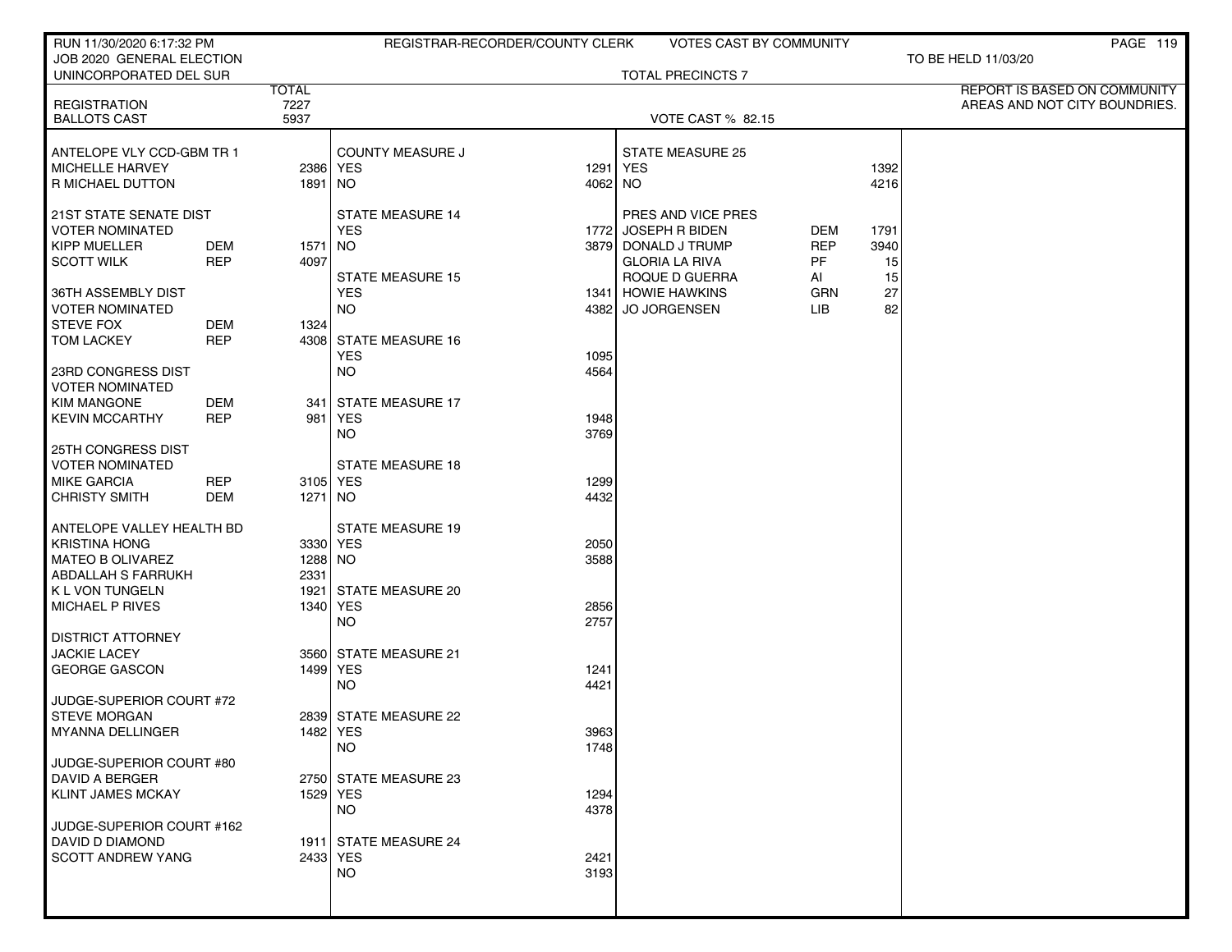| RUN 11/30/2020 6:17:32 PM                           |            |              |                         | REGISTRAR-RECORDER/COUNTY CLERK | <b>VOTES CAST BY COMMUNITY</b> |            |      | PAGE 119                      |
|-----------------------------------------------------|------------|--------------|-------------------------|---------------------------------|--------------------------------|------------|------|-------------------------------|
| JOB 2020 GENERAL ELECTION<br>UNINCORPORATED DEL SUR |            |              |                         |                                 | <b>TOTAL PRECINCTS 7</b>       |            |      | TO BE HELD 11/03/20           |
|                                                     |            | <b>TOTAL</b> |                         |                                 |                                |            |      | REPORT IS BASED ON COMMUNITY  |
| <b>REGISTRATION</b>                                 |            | 7227         |                         |                                 |                                |            |      | AREAS AND NOT CITY BOUNDRIES. |
| <b>BALLOTS CAST</b>                                 |            | 5937         |                         |                                 | <b>VOTE CAST % 82.15</b>       |            |      |                               |
| ANTELOPE VLY CCD-GBM TR 1                           |            |              | <b>COUNTY MEASURE J</b> |                                 | <b>STATE MEASURE 25</b>        |            |      |                               |
| MICHELLE HARVEY                                     |            |              | 2386 YES                |                                 | 1291 YES                       |            | 1392 |                               |
| <b>R MICHAEL DUTTON</b>                             |            | 1891   NO    |                         | 4062 NO                         |                                |            | 4216 |                               |
| 21ST STATE SENATE DIST                              |            |              | <b>STATE MEASURE 14</b> |                                 | PRES AND VICE PRES             |            |      |                               |
| <b>VOTER NOMINATED</b>                              |            |              | <b>YES</b>              | 1772                            | JOSEPH R BIDEN                 | DEM        | 1791 |                               |
| <b>KIPP MUELLER</b>                                 | DEM        | 1571   NO    |                         |                                 | 3879 DONALD J TRUMP            | <b>REP</b> | 3940 |                               |
| <b>SCOTT WILK</b>                                   | <b>REP</b> | 4097         |                         |                                 | <b>GLORIA LA RIVA</b>          | PF         | 15   |                               |
|                                                     |            |              | <b>STATE MEASURE 15</b> |                                 | ROQUE D GUERRA                 | AI         | 15   |                               |
| 36TH ASSEMBLY DIST                                  |            |              | <b>YES</b>              |                                 | 1341 HOWIE HAWKINS             | <b>GRN</b> | 27   |                               |
| VOTER NOMINATED                                     |            |              | <b>NO</b>               |                                 | 4382 JO JORGENSEN              | <b>LIB</b> | 82   |                               |
| <b>STEVE FOX</b>                                    | DEM        | 1324         |                         |                                 |                                |            |      |                               |
| <b>TOM LACKEY</b>                                   | <b>REP</b> |              | 4308 STATE MEASURE 16   |                                 |                                |            |      |                               |
|                                                     |            |              | <b>YES</b>              | 1095                            |                                |            |      |                               |
| 23RD CONGRESS DIST                                  |            |              | <b>NO</b>               | 4564                            |                                |            |      |                               |
| VOTER NOMINATED                                     |            |              |                         |                                 |                                |            |      |                               |
| <b>KIM MANGONE</b>                                  | DEM        |              | 341   STATE MEASURE 17  |                                 |                                |            |      |                               |
| <b>KEVIN MCCARTHY</b>                               | <b>REP</b> | 981          | <b>YES</b>              | 1948                            |                                |            |      |                               |
|                                                     |            |              | <b>NO</b>               | 3769                            |                                |            |      |                               |
| 25TH CONGRESS DIST                                  |            |              |                         |                                 |                                |            |      |                               |
| <b>VOTER NOMINATED</b>                              |            |              | <b>STATE MEASURE 18</b> |                                 |                                |            |      |                               |
| <b>MIKE GARCIA</b>                                  | <b>REP</b> | 3105 YES     |                         | 1299                            |                                |            |      |                               |
| <b>CHRISTY SMITH</b>                                | DEM        | 1271   NO    |                         | 4432                            |                                |            |      |                               |
| ANTELOPE VALLEY HEALTH BD                           |            |              | <b>STATE MEASURE 19</b> |                                 |                                |            |      |                               |
| <b>KRISTINA HONG</b>                                |            |              | 3330 YES                | 2050                            |                                |            |      |                               |
| <b>MATEO B OLIVAREZ</b>                             |            | 1288 NO      |                         | 3588                            |                                |            |      |                               |
| <b>ABDALLAH S FARRUKH</b>                           |            | 2331         |                         |                                 |                                |            |      |                               |
| K L VON TUNGELN                                     |            |              | 1921 STATE MEASURE 20   |                                 |                                |            |      |                               |
| MICHAEL P RIVES                                     |            |              | 1340 YES                | 2856                            |                                |            |      |                               |
|                                                     |            |              | NO                      | 2757                            |                                |            |      |                               |
| <b>DISTRICT ATTORNEY</b>                            |            |              |                         |                                 |                                |            |      |                               |
| <b>JACKIE LACEY</b>                                 |            |              | 3560 STATE MEASURE 21   |                                 |                                |            |      |                               |
| <b>GEORGE GASCON</b>                                |            | 1499 YES     |                         | 1241                            |                                |            |      |                               |
|                                                     |            |              | <b>NO</b>               | 4421                            |                                |            |      |                               |
| JUDGE-SUPERIOR COURT #72                            |            |              |                         |                                 |                                |            |      |                               |
| <b>STEVE MORGAN</b>                                 |            |              | 2839 STATE MEASURE 22   |                                 |                                |            |      |                               |
| <b>MYANNA DELLINGER</b>                             |            |              | 1482   YES              | 3963                            |                                |            |      |                               |
|                                                     |            |              | <b>NO</b>               | 1748                            |                                |            |      |                               |
| JUDGE-SUPERIOR COURT #80                            |            |              |                         |                                 |                                |            |      |                               |
| <b>DAVID A BERGER</b>                               |            |              | 2750 STATE MEASURE 23   |                                 |                                |            |      |                               |
| <b>KLINT JAMES MCKAY</b>                            |            |              | 1529 YES                | 1294                            |                                |            |      |                               |
|                                                     |            |              | <b>NO</b>               | 4378                            |                                |            |      |                               |
| JUDGE-SUPERIOR COURT #162                           |            |              |                         |                                 |                                |            |      |                               |
| DAVID D DIAMOND                                     |            |              | 1911 STATE MEASURE 24   |                                 |                                |            |      |                               |
| SCOTT ANDREW YANG                                   |            |              | 2433 YES                | 2421                            |                                |            |      |                               |
|                                                     |            |              | <b>NO</b>               | 3193                            |                                |            |      |                               |
|                                                     |            |              |                         |                                 |                                |            |      |                               |
|                                                     |            |              |                         |                                 |                                |            |      |                               |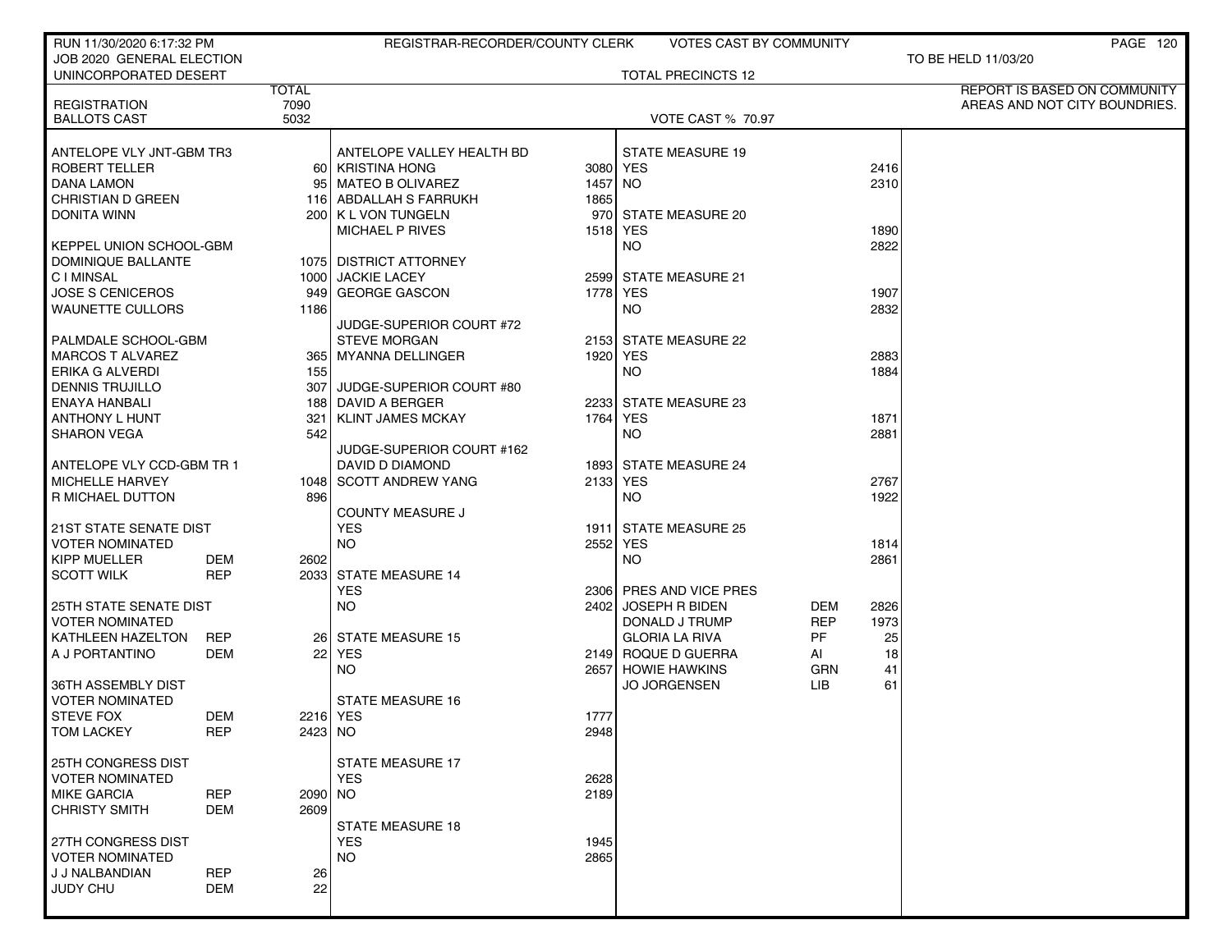| JOB 2020 GENERAL ELECTION<br>TO BE HELD 11/03/20<br>UNINCORPORATED DESERT<br><b>TOTAL PRECINCTS 12</b><br><b>TOTAL</b><br>REPORT IS BASED ON COMMUNITY<br>7090<br><b>REGISTRATION</b><br>AREAS AND NOT CITY BOUNDRIES.<br>5032<br><b>BALLOTS CAST</b><br><b>VOTE CAST % 70.97</b><br>ANTELOPE VLY JNT-GBM TR3<br>ANTELOPE VALLEY HEALTH BD<br><b>STATE MEASURE 19</b><br><b>ROBERT TELLER</b><br>60 KRISTINA HONG<br>3080 YES<br>2416<br><b>DANA LAMON</b><br>2310<br>95 MATEO B OLIVAREZ<br>1457 NO<br>CHRISTIAN D GREEN<br>116 ABDALLAH S FARRUKH<br>1865<br><b>DONITA WINN</b><br>200 K L VON TUNGELN<br>970 STATE MEASURE 20<br><b>MICHAEL P RIVES</b><br>1518 YES<br>1890<br>2822<br><b>KEPPEL UNION SCHOOL-GBM</b><br>NO.<br>DOMINIQUE BALLANTE<br>1075 DISTRICT ATTORNEY<br><b>CIMINSAL</b><br>1000 JACKIE LACEY<br>2599 STATE MEASURE 21<br>1778 YES<br>1907<br><b>JOSE S CENICEROS</b><br>GEORGE GASCON<br>9491<br>2832<br><b>WAUNETTE CULLORS</b><br>1186<br>NO.<br>JUDGE-SUPERIOR COURT #72<br>PALMDALE SCHOOL-GBM<br><b>STEVE MORGAN</b><br>2153 STATE MEASURE 22<br><b>MARCOS T ALVAREZ</b><br>1920 YES<br>2883<br>365   MYANNA DELLINGER<br>1884<br>ERIKA G ALVERDI<br>155<br>NO.<br><b>DENNIS TRUJILLO</b><br>JUDGE-SUPERIOR COURT #80<br>307<br>ENAYA HANBALI<br>188 DAVID A BERGER<br>2233 STATE MEASURE 23<br><b>ANTHONY L HUNT</b><br><b>KLINT JAMES MCKAY</b><br>1764<br>YES<br>1871<br>321<br><b>NO</b><br><b>SHARON VEGA</b><br>542<br>2881<br>JUDGE-SUPERIOR COURT #162<br>1893 STATE MEASURE 24<br>ANTELOPE VLY CCD-GBM TR 1<br>DAVID D DIAMOND<br>MICHELLE HARVEY<br>2133 YES<br>2767<br>1048 SCOTT ANDREW YANG<br>1922<br>R MICHAEL DUTTON<br>896<br>NO.<br><b>COUNTY MEASURE J</b><br><b>YES</b><br><b>21ST STATE SENATE DIST</b><br>1911 STATE MEASURE 25<br><b>VOTER NOMINATED</b><br><b>NO</b><br>2552<br><b>YES</b><br>1814<br><b>KIPP MUELLER</b><br>2861<br>DEM<br>2602<br>NO.<br><b>SCOTT WILK</b><br><b>REP</b><br>2033 STATE MEASURE 14<br><b>YES</b><br>2306 PRES AND VICE PRES<br><b>NO</b><br><b>25TH STATE SENATE DIST</b><br>2402<br><b>JOSEPH R BIDEN</b><br>DEM<br>2826<br><b>REP</b><br><b>VOTER NOMINATED</b><br>DONALD J TRUMP<br>1973<br>PF<br>KATHLEEN HAZELTON<br><b>REP</b><br>26 STATE MEASURE 15<br><b>GLORIA LA RIVA</b><br>25<br>A J PORTANTINO<br>DEM<br>22 YES<br>2149 ROQUE D GUERRA<br>AI<br>18<br><b>NO</b><br>2657 HOWIE HAWKINS<br>GRN<br>41<br><b>JO JORGENSEN</b><br>LІВ<br>61<br>36TH ASSEMBLY DIST<br><b>VOTER NOMINATED</b><br><b>STATE MEASURE 16</b><br><b>STEVE FOX</b><br>DEM<br>2216 YES<br>1777<br>TOM LACKEY<br>REP<br>2423   NO<br>2948<br><b>25TH CONGRESS DIST</b><br><b>STATE MEASURE 17</b><br><b>YES</b><br><b>VOTER NOMINATED</b><br>2628<br><b>REP</b><br>2189<br><b>MIKE GARCIA</b><br>2090 NO<br><b>CHRISTY SMITH</b><br><b>DEM</b><br>2609<br><b>STATE MEASURE 18</b><br>27TH CONGRESS DIST<br><b>YES</b><br>1945<br><b>VOTER NOMINATED</b><br><b>NO</b><br>2865<br>J J NALBANDIAN<br><b>REP</b><br>26<br>22<br><b>JUDY CHU</b><br><b>DEM</b> | RUN 11/30/2020 6:17:32 PM |  | REGISTRAR-RECORDER/COUNTY CLERK | VOTES CAST BY COMMUNITY |  | PAGE 120 |
|-----------------------------------------------------------------------------------------------------------------------------------------------------------------------------------------------------------------------------------------------------------------------------------------------------------------------------------------------------------------------------------------------------------------------------------------------------------------------------------------------------------------------------------------------------------------------------------------------------------------------------------------------------------------------------------------------------------------------------------------------------------------------------------------------------------------------------------------------------------------------------------------------------------------------------------------------------------------------------------------------------------------------------------------------------------------------------------------------------------------------------------------------------------------------------------------------------------------------------------------------------------------------------------------------------------------------------------------------------------------------------------------------------------------------------------------------------------------------------------------------------------------------------------------------------------------------------------------------------------------------------------------------------------------------------------------------------------------------------------------------------------------------------------------------------------------------------------------------------------------------------------------------------------------------------------------------------------------------------------------------------------------------------------------------------------------------------------------------------------------------------------------------------------------------------------------------------------------------------------------------------------------------------------------------------------------------------------------------------------------------------------------------------------------------------------------------------------------------------------------------------------------------------------------------------------------------------------------------------------------------------------------------------------------------------------------------------------------------------------------------------------------------------------------------------------------------------------------------------------------------------------------------------------------------------------------------------------------------------------------------------------------------------------|---------------------------|--|---------------------------------|-------------------------|--|----------|
|                                                                                                                                                                                                                                                                                                                                                                                                                                                                                                                                                                                                                                                                                                                                                                                                                                                                                                                                                                                                                                                                                                                                                                                                                                                                                                                                                                                                                                                                                                                                                                                                                                                                                                                                                                                                                                                                                                                                                                                                                                                                                                                                                                                                                                                                                                                                                                                                                                                                                                                                                                                                                                                                                                                                                                                                                                                                                                                                                                                                                                   |                           |  |                                 |                         |  |          |
|                                                                                                                                                                                                                                                                                                                                                                                                                                                                                                                                                                                                                                                                                                                                                                                                                                                                                                                                                                                                                                                                                                                                                                                                                                                                                                                                                                                                                                                                                                                                                                                                                                                                                                                                                                                                                                                                                                                                                                                                                                                                                                                                                                                                                                                                                                                                                                                                                                                                                                                                                                                                                                                                                                                                                                                                                                                                                                                                                                                                                                   |                           |  |                                 |                         |  |          |
|                                                                                                                                                                                                                                                                                                                                                                                                                                                                                                                                                                                                                                                                                                                                                                                                                                                                                                                                                                                                                                                                                                                                                                                                                                                                                                                                                                                                                                                                                                                                                                                                                                                                                                                                                                                                                                                                                                                                                                                                                                                                                                                                                                                                                                                                                                                                                                                                                                                                                                                                                                                                                                                                                                                                                                                                                                                                                                                                                                                                                                   |                           |  |                                 |                         |  |          |
|                                                                                                                                                                                                                                                                                                                                                                                                                                                                                                                                                                                                                                                                                                                                                                                                                                                                                                                                                                                                                                                                                                                                                                                                                                                                                                                                                                                                                                                                                                                                                                                                                                                                                                                                                                                                                                                                                                                                                                                                                                                                                                                                                                                                                                                                                                                                                                                                                                                                                                                                                                                                                                                                                                                                                                                                                                                                                                                                                                                                                                   |                           |  |                                 |                         |  |          |
|                                                                                                                                                                                                                                                                                                                                                                                                                                                                                                                                                                                                                                                                                                                                                                                                                                                                                                                                                                                                                                                                                                                                                                                                                                                                                                                                                                                                                                                                                                                                                                                                                                                                                                                                                                                                                                                                                                                                                                                                                                                                                                                                                                                                                                                                                                                                                                                                                                                                                                                                                                                                                                                                                                                                                                                                                                                                                                                                                                                                                                   |                           |  |                                 |                         |  |          |
|                                                                                                                                                                                                                                                                                                                                                                                                                                                                                                                                                                                                                                                                                                                                                                                                                                                                                                                                                                                                                                                                                                                                                                                                                                                                                                                                                                                                                                                                                                                                                                                                                                                                                                                                                                                                                                                                                                                                                                                                                                                                                                                                                                                                                                                                                                                                                                                                                                                                                                                                                                                                                                                                                                                                                                                                                                                                                                                                                                                                                                   |                           |  |                                 |                         |  |          |
|                                                                                                                                                                                                                                                                                                                                                                                                                                                                                                                                                                                                                                                                                                                                                                                                                                                                                                                                                                                                                                                                                                                                                                                                                                                                                                                                                                                                                                                                                                                                                                                                                                                                                                                                                                                                                                                                                                                                                                                                                                                                                                                                                                                                                                                                                                                                                                                                                                                                                                                                                                                                                                                                                                                                                                                                                                                                                                                                                                                                                                   |                           |  |                                 |                         |  |          |
|                                                                                                                                                                                                                                                                                                                                                                                                                                                                                                                                                                                                                                                                                                                                                                                                                                                                                                                                                                                                                                                                                                                                                                                                                                                                                                                                                                                                                                                                                                                                                                                                                                                                                                                                                                                                                                                                                                                                                                                                                                                                                                                                                                                                                                                                                                                                                                                                                                                                                                                                                                                                                                                                                                                                                                                                                                                                                                                                                                                                                                   |                           |  |                                 |                         |  |          |
|                                                                                                                                                                                                                                                                                                                                                                                                                                                                                                                                                                                                                                                                                                                                                                                                                                                                                                                                                                                                                                                                                                                                                                                                                                                                                                                                                                                                                                                                                                                                                                                                                                                                                                                                                                                                                                                                                                                                                                                                                                                                                                                                                                                                                                                                                                                                                                                                                                                                                                                                                                                                                                                                                                                                                                                                                                                                                                                                                                                                                                   |                           |  |                                 |                         |  |          |
|                                                                                                                                                                                                                                                                                                                                                                                                                                                                                                                                                                                                                                                                                                                                                                                                                                                                                                                                                                                                                                                                                                                                                                                                                                                                                                                                                                                                                                                                                                                                                                                                                                                                                                                                                                                                                                                                                                                                                                                                                                                                                                                                                                                                                                                                                                                                                                                                                                                                                                                                                                                                                                                                                                                                                                                                                                                                                                                                                                                                                                   |                           |  |                                 |                         |  |          |
|                                                                                                                                                                                                                                                                                                                                                                                                                                                                                                                                                                                                                                                                                                                                                                                                                                                                                                                                                                                                                                                                                                                                                                                                                                                                                                                                                                                                                                                                                                                                                                                                                                                                                                                                                                                                                                                                                                                                                                                                                                                                                                                                                                                                                                                                                                                                                                                                                                                                                                                                                                                                                                                                                                                                                                                                                                                                                                                                                                                                                                   |                           |  |                                 |                         |  |          |
|                                                                                                                                                                                                                                                                                                                                                                                                                                                                                                                                                                                                                                                                                                                                                                                                                                                                                                                                                                                                                                                                                                                                                                                                                                                                                                                                                                                                                                                                                                                                                                                                                                                                                                                                                                                                                                                                                                                                                                                                                                                                                                                                                                                                                                                                                                                                                                                                                                                                                                                                                                                                                                                                                                                                                                                                                                                                                                                                                                                                                                   |                           |  |                                 |                         |  |          |
|                                                                                                                                                                                                                                                                                                                                                                                                                                                                                                                                                                                                                                                                                                                                                                                                                                                                                                                                                                                                                                                                                                                                                                                                                                                                                                                                                                                                                                                                                                                                                                                                                                                                                                                                                                                                                                                                                                                                                                                                                                                                                                                                                                                                                                                                                                                                                                                                                                                                                                                                                                                                                                                                                                                                                                                                                                                                                                                                                                                                                                   |                           |  |                                 |                         |  |          |
|                                                                                                                                                                                                                                                                                                                                                                                                                                                                                                                                                                                                                                                                                                                                                                                                                                                                                                                                                                                                                                                                                                                                                                                                                                                                                                                                                                                                                                                                                                                                                                                                                                                                                                                                                                                                                                                                                                                                                                                                                                                                                                                                                                                                                                                                                                                                                                                                                                                                                                                                                                                                                                                                                                                                                                                                                                                                                                                                                                                                                                   |                           |  |                                 |                         |  |          |
|                                                                                                                                                                                                                                                                                                                                                                                                                                                                                                                                                                                                                                                                                                                                                                                                                                                                                                                                                                                                                                                                                                                                                                                                                                                                                                                                                                                                                                                                                                                                                                                                                                                                                                                                                                                                                                                                                                                                                                                                                                                                                                                                                                                                                                                                                                                                                                                                                                                                                                                                                                                                                                                                                                                                                                                                                                                                                                                                                                                                                                   |                           |  |                                 |                         |  |          |
|                                                                                                                                                                                                                                                                                                                                                                                                                                                                                                                                                                                                                                                                                                                                                                                                                                                                                                                                                                                                                                                                                                                                                                                                                                                                                                                                                                                                                                                                                                                                                                                                                                                                                                                                                                                                                                                                                                                                                                                                                                                                                                                                                                                                                                                                                                                                                                                                                                                                                                                                                                                                                                                                                                                                                                                                                                                                                                                                                                                                                                   |                           |  |                                 |                         |  |          |
|                                                                                                                                                                                                                                                                                                                                                                                                                                                                                                                                                                                                                                                                                                                                                                                                                                                                                                                                                                                                                                                                                                                                                                                                                                                                                                                                                                                                                                                                                                                                                                                                                                                                                                                                                                                                                                                                                                                                                                                                                                                                                                                                                                                                                                                                                                                                                                                                                                                                                                                                                                                                                                                                                                                                                                                                                                                                                                                                                                                                                                   |                           |  |                                 |                         |  |          |
|                                                                                                                                                                                                                                                                                                                                                                                                                                                                                                                                                                                                                                                                                                                                                                                                                                                                                                                                                                                                                                                                                                                                                                                                                                                                                                                                                                                                                                                                                                                                                                                                                                                                                                                                                                                                                                                                                                                                                                                                                                                                                                                                                                                                                                                                                                                                                                                                                                                                                                                                                                                                                                                                                                                                                                                                                                                                                                                                                                                                                                   |                           |  |                                 |                         |  |          |
|                                                                                                                                                                                                                                                                                                                                                                                                                                                                                                                                                                                                                                                                                                                                                                                                                                                                                                                                                                                                                                                                                                                                                                                                                                                                                                                                                                                                                                                                                                                                                                                                                                                                                                                                                                                                                                                                                                                                                                                                                                                                                                                                                                                                                                                                                                                                                                                                                                                                                                                                                                                                                                                                                                                                                                                                                                                                                                                                                                                                                                   |                           |  |                                 |                         |  |          |
|                                                                                                                                                                                                                                                                                                                                                                                                                                                                                                                                                                                                                                                                                                                                                                                                                                                                                                                                                                                                                                                                                                                                                                                                                                                                                                                                                                                                                                                                                                                                                                                                                                                                                                                                                                                                                                                                                                                                                                                                                                                                                                                                                                                                                                                                                                                                                                                                                                                                                                                                                                                                                                                                                                                                                                                                                                                                                                                                                                                                                                   |                           |  |                                 |                         |  |          |
|                                                                                                                                                                                                                                                                                                                                                                                                                                                                                                                                                                                                                                                                                                                                                                                                                                                                                                                                                                                                                                                                                                                                                                                                                                                                                                                                                                                                                                                                                                                                                                                                                                                                                                                                                                                                                                                                                                                                                                                                                                                                                                                                                                                                                                                                                                                                                                                                                                                                                                                                                                                                                                                                                                                                                                                                                                                                                                                                                                                                                                   |                           |  |                                 |                         |  |          |
|                                                                                                                                                                                                                                                                                                                                                                                                                                                                                                                                                                                                                                                                                                                                                                                                                                                                                                                                                                                                                                                                                                                                                                                                                                                                                                                                                                                                                                                                                                                                                                                                                                                                                                                                                                                                                                                                                                                                                                                                                                                                                                                                                                                                                                                                                                                                                                                                                                                                                                                                                                                                                                                                                                                                                                                                                                                                                                                                                                                                                                   |                           |  |                                 |                         |  |          |
|                                                                                                                                                                                                                                                                                                                                                                                                                                                                                                                                                                                                                                                                                                                                                                                                                                                                                                                                                                                                                                                                                                                                                                                                                                                                                                                                                                                                                                                                                                                                                                                                                                                                                                                                                                                                                                                                                                                                                                                                                                                                                                                                                                                                                                                                                                                                                                                                                                                                                                                                                                                                                                                                                                                                                                                                                                                                                                                                                                                                                                   |                           |  |                                 |                         |  |          |
|                                                                                                                                                                                                                                                                                                                                                                                                                                                                                                                                                                                                                                                                                                                                                                                                                                                                                                                                                                                                                                                                                                                                                                                                                                                                                                                                                                                                                                                                                                                                                                                                                                                                                                                                                                                                                                                                                                                                                                                                                                                                                                                                                                                                                                                                                                                                                                                                                                                                                                                                                                                                                                                                                                                                                                                                                                                                                                                                                                                                                                   |                           |  |                                 |                         |  |          |
|                                                                                                                                                                                                                                                                                                                                                                                                                                                                                                                                                                                                                                                                                                                                                                                                                                                                                                                                                                                                                                                                                                                                                                                                                                                                                                                                                                                                                                                                                                                                                                                                                                                                                                                                                                                                                                                                                                                                                                                                                                                                                                                                                                                                                                                                                                                                                                                                                                                                                                                                                                                                                                                                                                                                                                                                                                                                                                                                                                                                                                   |                           |  |                                 |                         |  |          |
|                                                                                                                                                                                                                                                                                                                                                                                                                                                                                                                                                                                                                                                                                                                                                                                                                                                                                                                                                                                                                                                                                                                                                                                                                                                                                                                                                                                                                                                                                                                                                                                                                                                                                                                                                                                                                                                                                                                                                                                                                                                                                                                                                                                                                                                                                                                                                                                                                                                                                                                                                                                                                                                                                                                                                                                                                                                                                                                                                                                                                                   |                           |  |                                 |                         |  |          |
|                                                                                                                                                                                                                                                                                                                                                                                                                                                                                                                                                                                                                                                                                                                                                                                                                                                                                                                                                                                                                                                                                                                                                                                                                                                                                                                                                                                                                                                                                                                                                                                                                                                                                                                                                                                                                                                                                                                                                                                                                                                                                                                                                                                                                                                                                                                                                                                                                                                                                                                                                                                                                                                                                                                                                                                                                                                                                                                                                                                                                                   |                           |  |                                 |                         |  |          |
|                                                                                                                                                                                                                                                                                                                                                                                                                                                                                                                                                                                                                                                                                                                                                                                                                                                                                                                                                                                                                                                                                                                                                                                                                                                                                                                                                                                                                                                                                                                                                                                                                                                                                                                                                                                                                                                                                                                                                                                                                                                                                                                                                                                                                                                                                                                                                                                                                                                                                                                                                                                                                                                                                                                                                                                                                                                                                                                                                                                                                                   |                           |  |                                 |                         |  |          |
|                                                                                                                                                                                                                                                                                                                                                                                                                                                                                                                                                                                                                                                                                                                                                                                                                                                                                                                                                                                                                                                                                                                                                                                                                                                                                                                                                                                                                                                                                                                                                                                                                                                                                                                                                                                                                                                                                                                                                                                                                                                                                                                                                                                                                                                                                                                                                                                                                                                                                                                                                                                                                                                                                                                                                                                                                                                                                                                                                                                                                                   |                           |  |                                 |                         |  |          |
|                                                                                                                                                                                                                                                                                                                                                                                                                                                                                                                                                                                                                                                                                                                                                                                                                                                                                                                                                                                                                                                                                                                                                                                                                                                                                                                                                                                                                                                                                                                                                                                                                                                                                                                                                                                                                                                                                                                                                                                                                                                                                                                                                                                                                                                                                                                                                                                                                                                                                                                                                                                                                                                                                                                                                                                                                                                                                                                                                                                                                                   |                           |  |                                 |                         |  |          |
|                                                                                                                                                                                                                                                                                                                                                                                                                                                                                                                                                                                                                                                                                                                                                                                                                                                                                                                                                                                                                                                                                                                                                                                                                                                                                                                                                                                                                                                                                                                                                                                                                                                                                                                                                                                                                                                                                                                                                                                                                                                                                                                                                                                                                                                                                                                                                                                                                                                                                                                                                                                                                                                                                                                                                                                                                                                                                                                                                                                                                                   |                           |  |                                 |                         |  |          |
|                                                                                                                                                                                                                                                                                                                                                                                                                                                                                                                                                                                                                                                                                                                                                                                                                                                                                                                                                                                                                                                                                                                                                                                                                                                                                                                                                                                                                                                                                                                                                                                                                                                                                                                                                                                                                                                                                                                                                                                                                                                                                                                                                                                                                                                                                                                                                                                                                                                                                                                                                                                                                                                                                                                                                                                                                                                                                                                                                                                                                                   |                           |  |                                 |                         |  |          |
|                                                                                                                                                                                                                                                                                                                                                                                                                                                                                                                                                                                                                                                                                                                                                                                                                                                                                                                                                                                                                                                                                                                                                                                                                                                                                                                                                                                                                                                                                                                                                                                                                                                                                                                                                                                                                                                                                                                                                                                                                                                                                                                                                                                                                                                                                                                                                                                                                                                                                                                                                                                                                                                                                                                                                                                                                                                                                                                                                                                                                                   |                           |  |                                 |                         |  |          |
|                                                                                                                                                                                                                                                                                                                                                                                                                                                                                                                                                                                                                                                                                                                                                                                                                                                                                                                                                                                                                                                                                                                                                                                                                                                                                                                                                                                                                                                                                                                                                                                                                                                                                                                                                                                                                                                                                                                                                                                                                                                                                                                                                                                                                                                                                                                                                                                                                                                                                                                                                                                                                                                                                                                                                                                                                                                                                                                                                                                                                                   |                           |  |                                 |                         |  |          |
|                                                                                                                                                                                                                                                                                                                                                                                                                                                                                                                                                                                                                                                                                                                                                                                                                                                                                                                                                                                                                                                                                                                                                                                                                                                                                                                                                                                                                                                                                                                                                                                                                                                                                                                                                                                                                                                                                                                                                                                                                                                                                                                                                                                                                                                                                                                                                                                                                                                                                                                                                                                                                                                                                                                                                                                                                                                                                                                                                                                                                                   |                           |  |                                 |                         |  |          |
|                                                                                                                                                                                                                                                                                                                                                                                                                                                                                                                                                                                                                                                                                                                                                                                                                                                                                                                                                                                                                                                                                                                                                                                                                                                                                                                                                                                                                                                                                                                                                                                                                                                                                                                                                                                                                                                                                                                                                                                                                                                                                                                                                                                                                                                                                                                                                                                                                                                                                                                                                                                                                                                                                                                                                                                                                                                                                                                                                                                                                                   |                           |  |                                 |                         |  |          |
|                                                                                                                                                                                                                                                                                                                                                                                                                                                                                                                                                                                                                                                                                                                                                                                                                                                                                                                                                                                                                                                                                                                                                                                                                                                                                                                                                                                                                                                                                                                                                                                                                                                                                                                                                                                                                                                                                                                                                                                                                                                                                                                                                                                                                                                                                                                                                                                                                                                                                                                                                                                                                                                                                                                                                                                                                                                                                                                                                                                                                                   |                           |  |                                 |                         |  |          |
|                                                                                                                                                                                                                                                                                                                                                                                                                                                                                                                                                                                                                                                                                                                                                                                                                                                                                                                                                                                                                                                                                                                                                                                                                                                                                                                                                                                                                                                                                                                                                                                                                                                                                                                                                                                                                                                                                                                                                                                                                                                                                                                                                                                                                                                                                                                                                                                                                                                                                                                                                                                                                                                                                                                                                                                                                                                                                                                                                                                                                                   |                           |  |                                 |                         |  |          |
|                                                                                                                                                                                                                                                                                                                                                                                                                                                                                                                                                                                                                                                                                                                                                                                                                                                                                                                                                                                                                                                                                                                                                                                                                                                                                                                                                                                                                                                                                                                                                                                                                                                                                                                                                                                                                                                                                                                                                                                                                                                                                                                                                                                                                                                                                                                                                                                                                                                                                                                                                                                                                                                                                                                                                                                                                                                                                                                                                                                                                                   |                           |  |                                 |                         |  |          |
|                                                                                                                                                                                                                                                                                                                                                                                                                                                                                                                                                                                                                                                                                                                                                                                                                                                                                                                                                                                                                                                                                                                                                                                                                                                                                                                                                                                                                                                                                                                                                                                                                                                                                                                                                                                                                                                                                                                                                                                                                                                                                                                                                                                                                                                                                                                                                                                                                                                                                                                                                                                                                                                                                                                                                                                                                                                                                                                                                                                                                                   |                           |  |                                 |                         |  |          |
|                                                                                                                                                                                                                                                                                                                                                                                                                                                                                                                                                                                                                                                                                                                                                                                                                                                                                                                                                                                                                                                                                                                                                                                                                                                                                                                                                                                                                                                                                                                                                                                                                                                                                                                                                                                                                                                                                                                                                                                                                                                                                                                                                                                                                                                                                                                                                                                                                                                                                                                                                                                                                                                                                                                                                                                                                                                                                                                                                                                                                                   |                           |  |                                 |                         |  |          |
|                                                                                                                                                                                                                                                                                                                                                                                                                                                                                                                                                                                                                                                                                                                                                                                                                                                                                                                                                                                                                                                                                                                                                                                                                                                                                                                                                                                                                                                                                                                                                                                                                                                                                                                                                                                                                                                                                                                                                                                                                                                                                                                                                                                                                                                                                                                                                                                                                                                                                                                                                                                                                                                                                                                                                                                                                                                                                                                                                                                                                                   |                           |  |                                 |                         |  |          |
|                                                                                                                                                                                                                                                                                                                                                                                                                                                                                                                                                                                                                                                                                                                                                                                                                                                                                                                                                                                                                                                                                                                                                                                                                                                                                                                                                                                                                                                                                                                                                                                                                                                                                                                                                                                                                                                                                                                                                                                                                                                                                                                                                                                                                                                                                                                                                                                                                                                                                                                                                                                                                                                                                                                                                                                                                                                                                                                                                                                                                                   |                           |  |                                 |                         |  |          |
|                                                                                                                                                                                                                                                                                                                                                                                                                                                                                                                                                                                                                                                                                                                                                                                                                                                                                                                                                                                                                                                                                                                                                                                                                                                                                                                                                                                                                                                                                                                                                                                                                                                                                                                                                                                                                                                                                                                                                                                                                                                                                                                                                                                                                                                                                                                                                                                                                                                                                                                                                                                                                                                                                                                                                                                                                                                                                                                                                                                                                                   |                           |  |                                 |                         |  |          |
|                                                                                                                                                                                                                                                                                                                                                                                                                                                                                                                                                                                                                                                                                                                                                                                                                                                                                                                                                                                                                                                                                                                                                                                                                                                                                                                                                                                                                                                                                                                                                                                                                                                                                                                                                                                                                                                                                                                                                                                                                                                                                                                                                                                                                                                                                                                                                                                                                                                                                                                                                                                                                                                                                                                                                                                                                                                                                                                                                                                                                                   |                           |  |                                 |                         |  |          |
|                                                                                                                                                                                                                                                                                                                                                                                                                                                                                                                                                                                                                                                                                                                                                                                                                                                                                                                                                                                                                                                                                                                                                                                                                                                                                                                                                                                                                                                                                                                                                                                                                                                                                                                                                                                                                                                                                                                                                                                                                                                                                                                                                                                                                                                                                                                                                                                                                                                                                                                                                                                                                                                                                                                                                                                                                                                                                                                                                                                                                                   |                           |  |                                 |                         |  |          |
|                                                                                                                                                                                                                                                                                                                                                                                                                                                                                                                                                                                                                                                                                                                                                                                                                                                                                                                                                                                                                                                                                                                                                                                                                                                                                                                                                                                                                                                                                                                                                                                                                                                                                                                                                                                                                                                                                                                                                                                                                                                                                                                                                                                                                                                                                                                                                                                                                                                                                                                                                                                                                                                                                                                                                                                                                                                                                                                                                                                                                                   |                           |  |                                 |                         |  |          |
|                                                                                                                                                                                                                                                                                                                                                                                                                                                                                                                                                                                                                                                                                                                                                                                                                                                                                                                                                                                                                                                                                                                                                                                                                                                                                                                                                                                                                                                                                                                                                                                                                                                                                                                                                                                                                                                                                                                                                                                                                                                                                                                                                                                                                                                                                                                                                                                                                                                                                                                                                                                                                                                                                                                                                                                                                                                                                                                                                                                                                                   |                           |  |                                 |                         |  |          |
|                                                                                                                                                                                                                                                                                                                                                                                                                                                                                                                                                                                                                                                                                                                                                                                                                                                                                                                                                                                                                                                                                                                                                                                                                                                                                                                                                                                                                                                                                                                                                                                                                                                                                                                                                                                                                                                                                                                                                                                                                                                                                                                                                                                                                                                                                                                                                                                                                                                                                                                                                                                                                                                                                                                                                                                                                                                                                                                                                                                                                                   |                           |  |                                 |                         |  |          |
|                                                                                                                                                                                                                                                                                                                                                                                                                                                                                                                                                                                                                                                                                                                                                                                                                                                                                                                                                                                                                                                                                                                                                                                                                                                                                                                                                                                                                                                                                                                                                                                                                                                                                                                                                                                                                                                                                                                                                                                                                                                                                                                                                                                                                                                                                                                                                                                                                                                                                                                                                                                                                                                                                                                                                                                                                                                                                                                                                                                                                                   |                           |  |                                 |                         |  |          |
|                                                                                                                                                                                                                                                                                                                                                                                                                                                                                                                                                                                                                                                                                                                                                                                                                                                                                                                                                                                                                                                                                                                                                                                                                                                                                                                                                                                                                                                                                                                                                                                                                                                                                                                                                                                                                                                                                                                                                                                                                                                                                                                                                                                                                                                                                                                                                                                                                                                                                                                                                                                                                                                                                                                                                                                                                                                                                                                                                                                                                                   |                           |  |                                 |                         |  |          |
|                                                                                                                                                                                                                                                                                                                                                                                                                                                                                                                                                                                                                                                                                                                                                                                                                                                                                                                                                                                                                                                                                                                                                                                                                                                                                                                                                                                                                                                                                                                                                                                                                                                                                                                                                                                                                                                                                                                                                                                                                                                                                                                                                                                                                                                                                                                                                                                                                                                                                                                                                                                                                                                                                                                                                                                                                                                                                                                                                                                                                                   |                           |  |                                 |                         |  |          |
|                                                                                                                                                                                                                                                                                                                                                                                                                                                                                                                                                                                                                                                                                                                                                                                                                                                                                                                                                                                                                                                                                                                                                                                                                                                                                                                                                                                                                                                                                                                                                                                                                                                                                                                                                                                                                                                                                                                                                                                                                                                                                                                                                                                                                                                                                                                                                                                                                                                                                                                                                                                                                                                                                                                                                                                                                                                                                                                                                                                                                                   |                           |  |                                 |                         |  |          |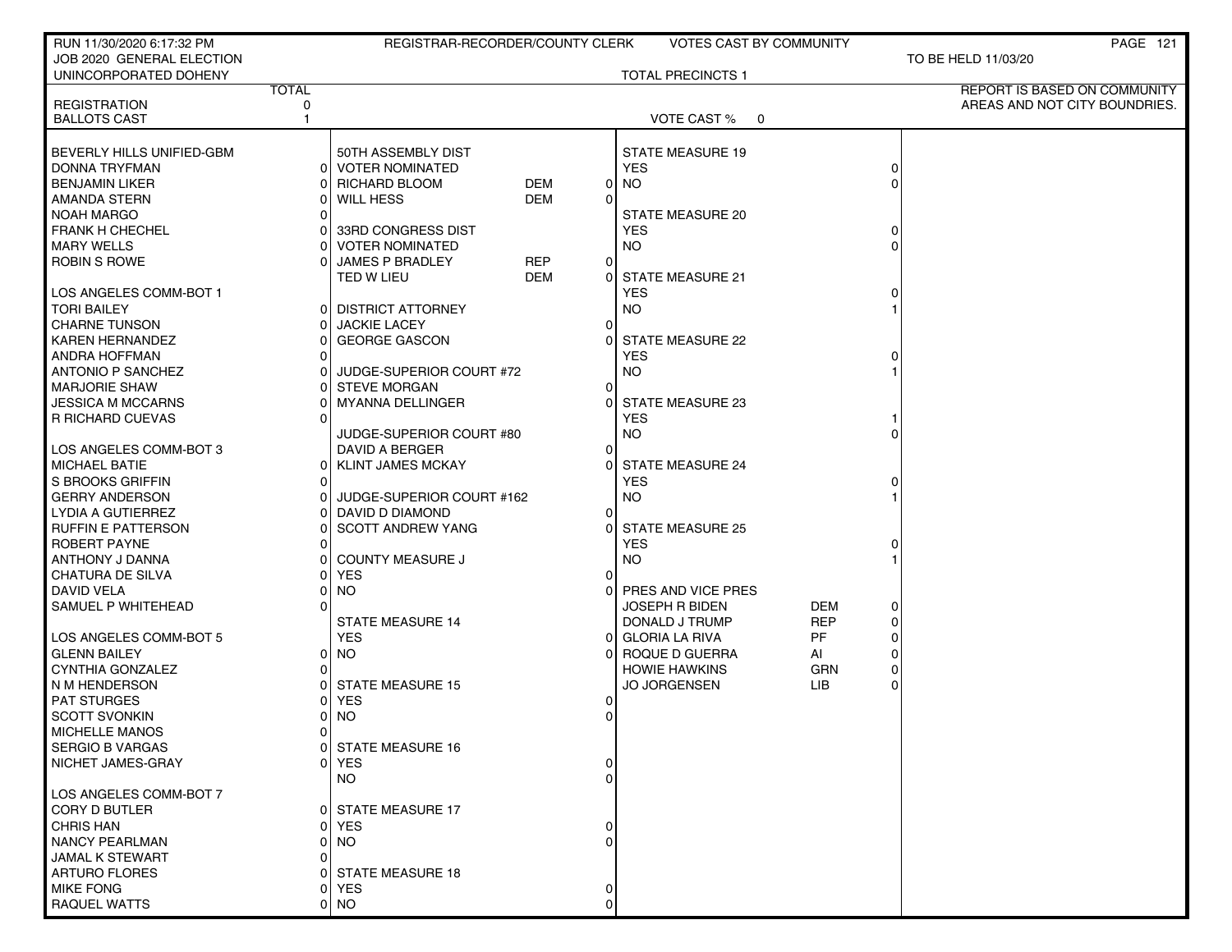| RUN 11/30/2020 6:17:32 PM              |                      | REGISTRAR-RECORDER/COUNTY CLERK       |            |                  | <b>VOTES CAST BY COMMUNITY</b>        |            |   |                     | <b>PAGE 121</b>               |
|----------------------------------------|----------------------|---------------------------------------|------------|------------------|---------------------------------------|------------|---|---------------------|-------------------------------|
| JOB 2020 GENERAL ELECTION              |                      |                                       |            |                  |                                       |            |   | TO BE HELD 11/03/20 |                               |
| UNINCORPORATED DOHENY                  |                      |                                       |            |                  | <b>TOTAL PRECINCTS 1</b>              |            |   |                     |                               |
|                                        | <b>TOTAL</b>         |                                       |            |                  |                                       |            |   |                     | REPORT IS BASED ON COMMUNITY  |
| <b>REGISTRATION</b>                    | 0                    |                                       |            |                  |                                       |            |   |                     | AREAS AND NOT CITY BOUNDRIES. |
| <b>BALLOTS CAST</b>                    | 1                    |                                       |            |                  | VOTE CAST % 0                         |            |   |                     |                               |
| BEVERLY HILLS UNIFIED-GBM              |                      | 50TH ASSEMBLY DIST                    |            |                  |                                       |            |   |                     |                               |
| <b>DONNA TRYFMAN</b>                   |                      | 0 VOTER NOMINATED                     |            |                  | <b>STATE MEASURE 19</b><br><b>YES</b> |            | 0 |                     |                               |
| <b>BENJAMIN LIKER</b>                  | ΩI                   | <b>RICHARD BLOOM</b>                  | DEM        | $\overline{0}$   | <b>NO</b>                             |            |   |                     |                               |
| AMANDA STERN                           | ΩI                   | <b>WILL HESS</b>                      | <b>DEM</b> | $\Omega$         |                                       |            |   |                     |                               |
| <b>NOAH MARGO</b>                      |                      |                                       |            |                  | STATE MEASURE 20                      |            |   |                     |                               |
| <b>FRANK H CHECHEL</b>                 | ΩI                   | 33RD CONGRESS DIST                    |            |                  | <b>YES</b>                            |            |   |                     |                               |
| <b>MARY WELLS</b>                      |                      | <b>VOTER NOMINATED</b>                |            |                  | <b>NO</b>                             |            |   |                     |                               |
| <b>ROBIN S ROWE</b>                    |                      | <b>JAMES P BRADLEY</b>                | <b>REP</b> | $\mathbf 0$      |                                       |            |   |                     |                               |
|                                        |                      | TED W LIEU                            | DEM        | $\overline{0}$   | <b>STATE MEASURE 21</b>               |            |   |                     |                               |
| LOS ANGELES COMM-BOT 1                 |                      |                                       |            |                  | <b>YES</b>                            |            |   |                     |                               |
| <b>TORI BAILEY</b>                     | 01                   | <b>DISTRICT ATTORNEY</b>              |            |                  | <b>NO</b>                             |            |   |                     |                               |
| <b>CHARNE TUNSON</b>                   | ΩI                   | <b>JACKIE LACEY</b>                   |            | $\Omega$         |                                       |            |   |                     |                               |
| <b>KAREN HERNANDEZ</b>                 | 01                   | <b>GEORGE GASCON</b>                  |            |                  | STATE MEASURE 22                      |            |   |                     |                               |
| <b>ANDRA HOFFMAN</b>                   | ΩI                   |                                       |            |                  | <b>YES</b>                            |            |   |                     |                               |
| ANTONIO P SANCHEZ                      |                      | JUDGE-SUPERIOR COURT #72              |            |                  | <b>NO</b>                             |            |   |                     |                               |
| <b>MARJORIE SHAW</b>                   | ΩI                   | <b>STEVE MORGAN</b>                   |            | 0                |                                       |            |   |                     |                               |
| <b>JESSICA M MCCARNS</b>               |                      | <b>MYANNA DELLINGER</b>               |            | $\Omega$         | <b>STATE MEASURE 23</b>               |            |   |                     |                               |
| R RICHARD CUEVAS                       |                      |                                       |            |                  | <b>YES</b>                            |            |   |                     |                               |
|                                        |                      | JUDGE-SUPERIOR COURT #80              |            |                  | <b>NO</b>                             |            |   |                     |                               |
| LOS ANGELES COMM-BOT 3                 |                      | DAVID A BERGER                        |            | 0                |                                       |            |   |                     |                               |
| <b>MICHAEL BATIE</b>                   | 01                   | <b>KLINT JAMES MCKAY</b>              |            | 0                | <b>STATE MEASURE 24</b>               |            |   |                     |                               |
| S BROOKS GRIFFIN                       | $\Omega$             |                                       |            |                  | <b>YES</b>                            |            |   |                     |                               |
| <b>GERRY ANDERSON</b>                  | ΩI                   | JUDGE-SUPERIOR COURT #162             |            |                  | <b>NO</b>                             |            |   |                     |                               |
| LYDIA A GUTIERREZ                      | ΩI                   | DAVID D DIAMOND                       |            | $\Omega$         |                                       |            |   |                     |                               |
| RUFFIN E PATTERSON                     | ΩI                   | <b>SCOTT ANDREW YANG</b>              |            | $\Omega$         | <b>STATE MEASURE 25</b>               |            |   |                     |                               |
| ROBERT PAYNE                           |                      |                                       |            |                  | <b>YES</b>                            |            |   |                     |                               |
| ANTHONY J DANNA                        | ΩI                   | <b>COUNTY MEASURE J</b>               |            |                  | <b>NO</b>                             |            |   |                     |                               |
| CHATURA DE SILVA                       | o١                   | <b>YES</b>                            |            | 0                |                                       |            |   |                     |                               |
| DAVID VELA                             | n                    | <b>NO</b>                             |            | 0                | PRES AND VICE PRES                    |            |   |                     |                               |
| SAMUEL P WHITEHEAD                     |                      |                                       |            |                  | <b>JOSEPH R BIDEN</b>                 | <b>DEM</b> |   |                     |                               |
|                                        |                      | <b>STATE MEASURE 14</b>               |            |                  | DONALD J TRUMP                        | <b>REP</b> | 0 |                     |                               |
| LOS ANGELES COMM-BOT 5                 |                      | <b>YES</b>                            |            | 0                | <b>GLORIA LA RIVA</b>                 | <b>PF</b>  |   |                     |                               |
| <b>GLENN BAILEY</b>                    | 01                   | NO                                    |            | $\Omega$         | ROQUE D GUERRA                        | AI         |   |                     |                               |
| CYNTHIA GONZALEZ                       | ΩI                   |                                       |            |                  | <b>HOWIE HAWKINS</b>                  | <b>GRN</b> |   |                     |                               |
| N M HENDERSON                          |                      | <b>STATE MEASURE 15</b><br><b>YES</b> |            |                  | <b>JO JORGENSEN</b>                   | LIB        |   |                     |                               |
| <b>PAT STURGES</b>                     | 01                   |                                       |            | 0<br>$\mathbf 0$ |                                       |            |   |                     |                               |
| <b>SCOTT SVONKIN</b><br>MICHELLE MANOS | 01<br>$\overline{0}$ | <b>NO</b>                             |            |                  |                                       |            |   |                     |                               |
| <b>SERGIO B VARGAS</b>                 | ΩI                   | <b>STATE MEASURE 16</b>               |            |                  |                                       |            |   |                     |                               |
| NICHET JAMES-GRAY                      |                      | 0 YES                                 |            | 0                |                                       |            |   |                     |                               |
|                                        |                      | NO.                                   |            | ∩                |                                       |            |   |                     |                               |
| LOS ANGELES COMM-BOT 7                 |                      |                                       |            |                  |                                       |            |   |                     |                               |
| CORY D BUTLER                          |                      | 0 STATE MEASURE 17                    |            |                  |                                       |            |   |                     |                               |
| <b>CHRIS HAN</b>                       |                      | 0 YES                                 |            |                  |                                       |            |   |                     |                               |
| <b>NANCY PEARLMAN</b>                  |                      | 0 NO                                  |            |                  |                                       |            |   |                     |                               |
| JAMAL K STEWART                        |                      |                                       |            |                  |                                       |            |   |                     |                               |
| <b>ARTURO FLORES</b>                   |                      | <b>STATE MEASURE 18</b>               |            |                  |                                       |            |   |                     |                               |
| <b>MIKE FONG</b>                       | 01                   | <b>YES</b>                            |            |                  |                                       |            |   |                     |                               |
| RAQUEL WATTS                           |                      | 0 NO                                  |            |                  |                                       |            |   |                     |                               |
|                                        |                      |                                       |            |                  |                                       |            |   |                     |                               |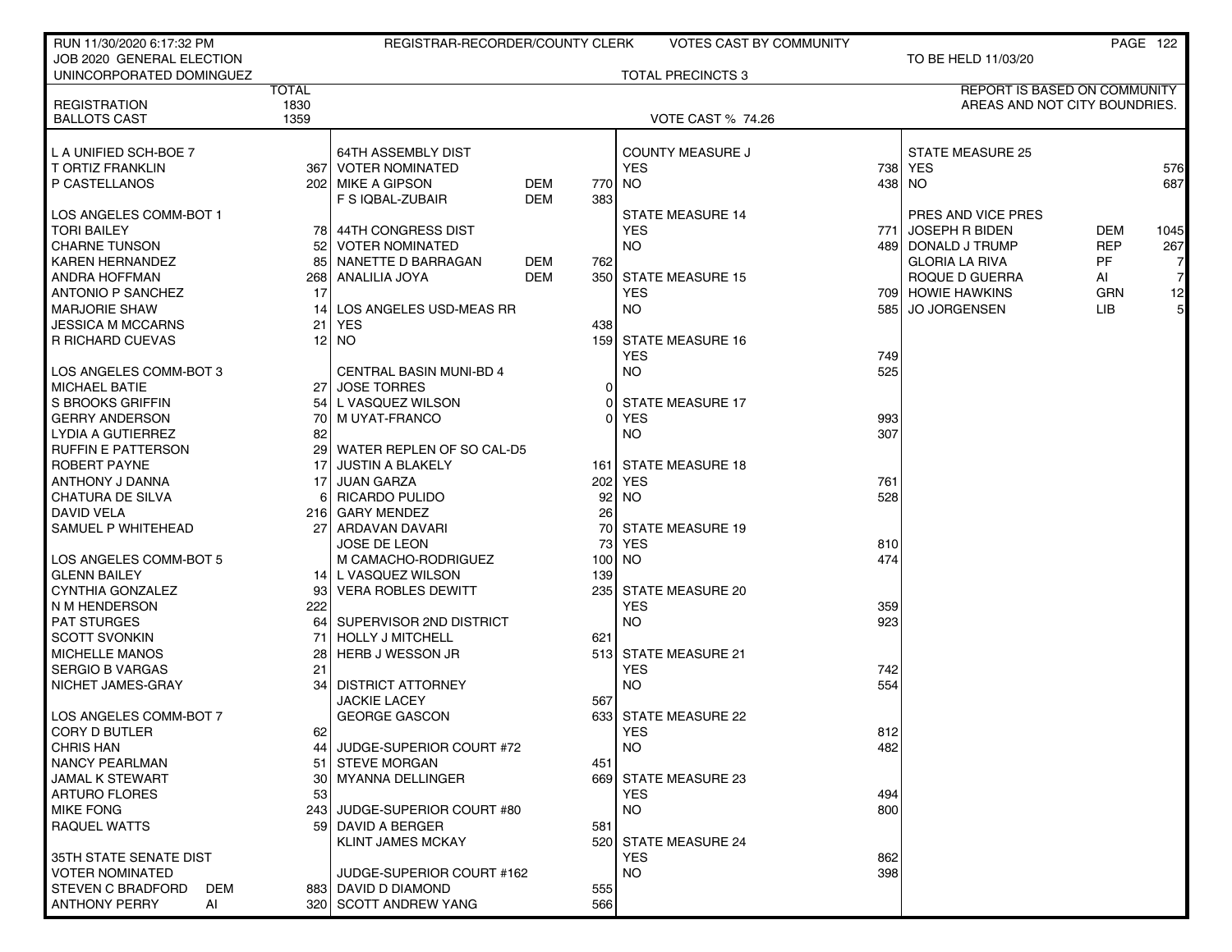| RUN 11/30/2020 6:17:32 PM  |              | REGISTRAR-RECORDER/COUNTY CLERK |            |                  | <b>VOTES CAST BY COMMUNITY</b> |       |                               |            | PAGE 122       |
|----------------------------|--------------|---------------------------------|------------|------------------|--------------------------------|-------|-------------------------------|------------|----------------|
| JOB 2020 GENERAL ELECTION  |              |                                 |            |                  |                                |       | TO BE HELD 11/03/20           |            |                |
| UNINCORPORATED DOMINGUEZ   |              |                                 |            |                  | <b>TOTAL PRECINCTS 3</b>       |       |                               |            |                |
|                            | <b>TOTAL</b> |                                 |            |                  |                                |       | REPORT IS BASED ON COMMUNITY  |            |                |
| <b>REGISTRATION</b>        | 1830         |                                 |            |                  |                                |       | AREAS AND NOT CITY BOUNDRIES. |            |                |
| <b>BALLOTS CAST</b>        | 1359         |                                 |            |                  | <b>VOTE CAST % 74.26</b>       |       |                               |            |                |
|                            |              |                                 |            |                  |                                |       |                               |            |                |
| L A UNIFIED SCH-BOE 7      |              | <b>64TH ASSEMBLY DIST</b>       |            |                  | <b>COUNTY MEASURE J</b>        |       | <b>STATE MEASURE 25</b>       |            |                |
| T ORTIZ FRANKLIN           | 367          | VOTER NOMINATED                 |            |                  | <b>YES</b>                     |       | 738   YES                     |            | 576            |
| P CASTELLANOS              |              | 202 MIKE A GIPSON               | DEM        | 770              | NO.                            | 4381  | <b>NO</b>                     |            | 687            |
|                            |              | F S IQBAL-ZUBAIR                | <b>DEM</b> | 383              |                                |       |                               |            |                |
| LOS ANGELES COMM-BOT 1     |              |                                 |            |                  | <b>STATE MEASURE 14</b>        |       | PRES AND VICE PRES            |            |                |
| <b>TORI BAILEY</b>         | 78 I         | 44TH CONGRESS DIST              |            |                  | <b>YES</b>                     | 771 I | <b>JOSEPH R BIDEN</b>         | <b>DEM</b> | 1045           |
| CHARNE TUNSON              | 52           | <b>VOTER NOMINATED</b>          |            |                  | NO.                            |       | 489   DONALD J TRUMP          | <b>REP</b> | 267            |
| KAREN HERNANDEZ            | 85           | NANETTE D BARRAGAN              | DEM        | 762              |                                |       | <b>GLORIA LA RIVA</b>         | PF.        |                |
| ANDRA HOFFMAN              | 268          | ANALILIA JOYA                   | DEM        | 350              | <b>STATE MEASURE 15</b>        |       | ROQUE D GUERRA                | AI         | $\overline{7}$ |
| <b>ANTONIO P SANCHEZ</b>   | 17           |                                 |            |                  | YES                            |       | 709 HOWIE HAWKINS             | <b>GRN</b> | 12             |
| <b>MARJORIE SHAW</b>       | 14           | LOS ANGELES USD-MEAS RR         |            |                  | NO.                            | 5851  | <b>JO JORGENSEN</b>           | <b>LIB</b> | 5 <sup>1</sup> |
| JESSICA M MCCARNS          | 21           | <b>YES</b>                      |            | 438              |                                |       |                               |            |                |
| I R RICHARD CUEVAS         | 12           | NO.                             |            | 1591             | <b>STATE MEASURE 16</b>        |       |                               |            |                |
|                            |              |                                 |            |                  | YES                            | 749   |                               |            |                |
| LOS ANGELES COMM-BOT 3     |              | <b>CENTRAL BASIN MUNI-BD 4</b>  |            |                  | <b>NO</b>                      | 525   |                               |            |                |
| MICHAEL BATIE              | 27           | <b>JOSE TORRES</b>              |            | 0                |                                |       |                               |            |                |
| I S BROOKS GRIFFIN         | 54           | L VASQUEZ WILSON                |            | $\Omega$         | <b>STATE MEASURE 17</b>        |       |                               |            |                |
| <b>GERRY ANDERSON</b>      | 70           | M UYAT-FRANCO                   |            | ΩI               | YES                            | 993   |                               |            |                |
| LYDIA A GUTIERREZ          | 82           |                                 |            |                  | <b>NO</b>                      | 307   |                               |            |                |
| I RUFFIN E PATTERSON       | 29           | WATER REPLEN OF SO CAL-D5       |            |                  |                                |       |                               |            |                |
| ROBERT PAYNE               | 17           | <b>JUSTIN A BLAKELY</b>         |            | 161              | STATE MEASURE 18               |       |                               |            |                |
| ANTHONY J DANNA            | 17           | <b>JUAN GARZA</b>               |            | 202              | YES                            | 761   |                               |            |                |
| CHATURA DE SILVA           | 6            | <b>RICARDO PULIDO</b>           |            | 92               | NO.                            | 528   |                               |            |                |
| I DAVID VELA               |              | 216 GARY MENDEZ                 |            | 26               |                                |       |                               |            |                |
| SAMUEL P WHITEHEAD         | 27           | ARDAVAN DAVARI                  |            | 70 l             | <b>STATE MEASURE 19</b>        |       |                               |            |                |
|                            |              | <b>JOSE DE LEON</b>             |            | 73               | <b>YES</b>                     | 810   |                               |            |                |
| LOS ANGELES COMM-BOT 5     |              | M CAMACHO-RODRIGUEZ             |            | 100 <sub>l</sub> | NO.                            | 474   |                               |            |                |
| l GLENN BAILEY             |              | 14 L VASQUEZ WILSON             |            | 139              |                                |       |                               |            |                |
| CYNTHIA GONZALEZ           | 93           | <b>VERA ROBLES DEWITT</b>       |            | 2351             | <b>STATE MEASURE 20</b>        |       |                               |            |                |
| I N M HENDERSON            | 222          |                                 |            |                  | YES                            | 359   |                               |            |                |
| <b>PAT STURGES</b>         | 64           | SUPERVISOR 2ND DISTRICT         |            |                  | <b>NO</b>                      | 923   |                               |            |                |
| <b>SCOTT SVONKIN</b>       | 71           | <b>HOLLY J MITCHELL</b>         |            | 621              |                                |       |                               |            |                |
| <b>I MICHELLE MANOS</b>    | 28           | <b>HERB J WESSON JR</b>         |            |                  | 513 STATE MEASURE 21           |       |                               |            |                |
| SERGIO B VARGAS            | 21           |                                 |            |                  | <b>YES</b>                     | 742   |                               |            |                |
| I NICHET JAMES-GRAY        | 34           | <b>DISTRICT ATTORNEY</b>        |            |                  | <b>NO</b>                      | 554   |                               |            |                |
|                            |              | <b>JACKIE LACEY</b>             |            | 567              |                                |       |                               |            |                |
| LOS ANGELES COMM-BOT 7     |              | <b>GEORGE GASCON</b>            |            |                  | 633 STATE MEASURE 22           |       |                               |            |                |
| CORY D BUTLER              | 62           |                                 |            |                  | <b>YES</b>                     | 812   |                               |            |                |
| <b>CHRIS HAN</b>           | 44           | JUDGE-SUPERIOR COURT #72        |            |                  | NO                             | 482   |                               |            |                |
| NANCY PEARLMAN             | 51           | <b>STEVE MORGAN</b>             |            | 451              |                                |       |                               |            |                |
| I JAMAL K STEWART          | 30           | MYANNA DELLINGER                |            | 6691             | <b>STATE MEASURE 23</b>        |       |                               |            |                |
| ARTURO FLORES              | 53           |                                 |            |                  | <b>YES</b>                     | 494   |                               |            |                |
| <b>MIKE FONG</b>           |              | 243 JUDGE-SUPERIOR COURT #80    |            |                  | NO.                            | 800   |                               |            |                |
| RAQUEL WATTS               | 59 I         | <b>DAVID A BERGER</b>           |            | 581              |                                |       |                               |            |                |
|                            |              | <b>KLINT JAMES MCKAY</b>        |            |                  | 520 STATE MEASURE 24           |       |                               |            |                |
| I 35TH STATE SENATE DIST   |              |                                 |            |                  | <b>YES</b>                     | 862   |                               |            |                |
| <b>VOTER NOMINATED</b>     |              | JUDGE-SUPERIOR COURT #162       |            |                  | NO.                            | 398   |                               |            |                |
| I STEVEN C BRADFORD<br>DEM |              | 883 DAVID D DIAMOND             |            | 555              |                                |       |                               |            |                |
| <b>ANTHONY PERRY</b><br>AI |              | 320 SCOTT ANDREW YANG           |            | 566              |                                |       |                               |            |                |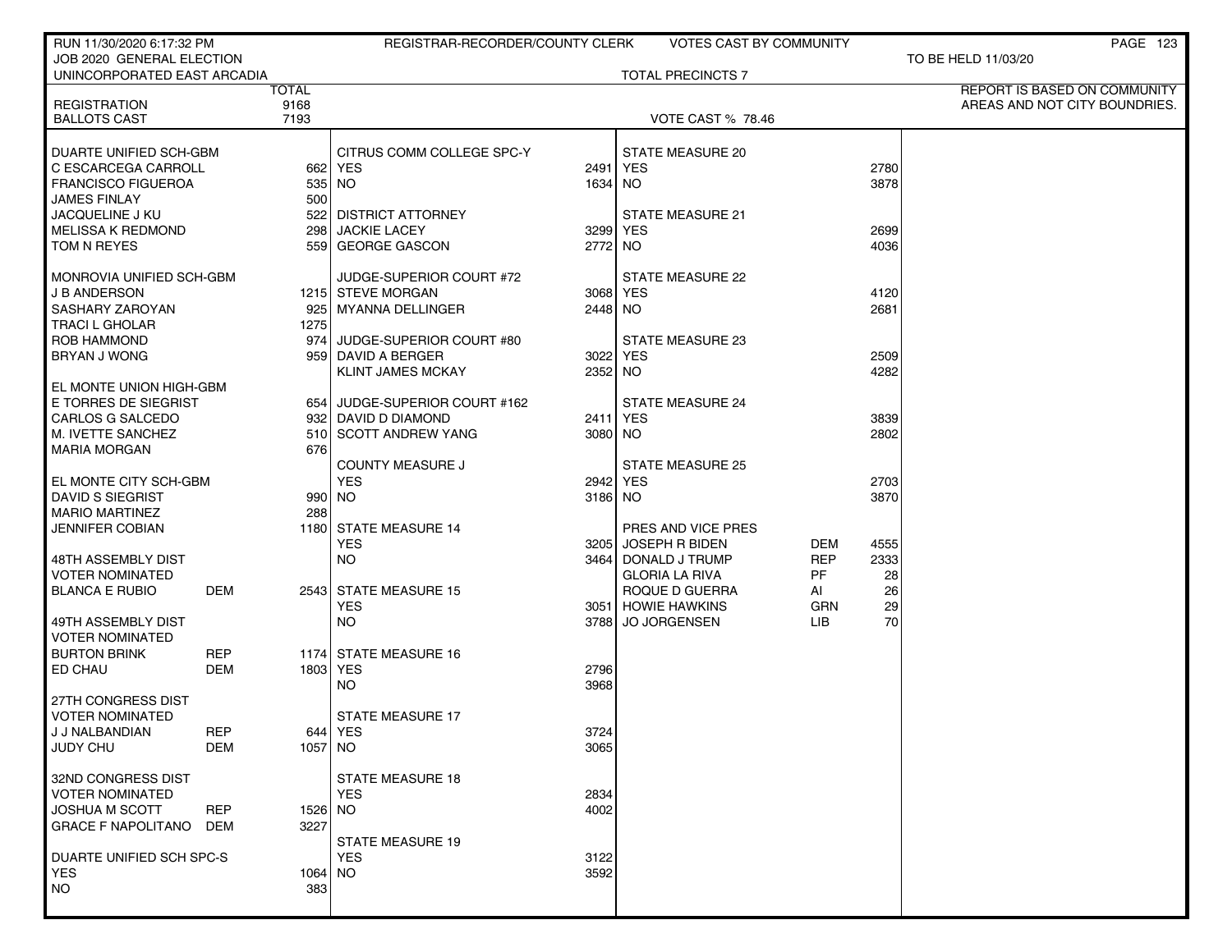| RUN 11/30/2020 6:17:32 PM                       |            |                | REGISTRAR-RECORDER/COUNTY CLERK |          | VOTES CAST BY COMMUNITY  |           |      | <b>PAGE 123</b>               |
|-------------------------------------------------|------------|----------------|---------------------------------|----------|--------------------------|-----------|------|-------------------------------|
| JOB 2020 GENERAL ELECTION                       |            |                |                                 |          |                          |           |      | TO BE HELD 11/03/20           |
| UNINCORPORATED EAST ARCADIA                     |            |                |                                 |          | <b>TOTAL PRECINCTS 7</b> |           |      |                               |
|                                                 |            | <b>TOTAL</b>   |                                 |          |                          |           |      | REPORT IS BASED ON COMMUNITY  |
| <b>REGISTRATION</b><br><b>BALLOTS CAST</b>      |            | 9168<br>7193   |                                 |          | <b>VOTE CAST % 78.46</b> |           |      | AREAS AND NOT CITY BOUNDRIES. |
|                                                 |            |                |                                 |          |                          |           |      |                               |
| DUARTE UNIFIED SCH-GBM                          |            |                | CITRUS COMM COLLEGE SPC-Y       |          | STATE MEASURE 20         |           |      |                               |
| C ESCARCEGA CARROLL                             |            |                | 662 YES                         |          | 2491 YES                 |           | 2780 |                               |
| <b>FRANCISCO FIGUEROA</b>                       |            |                | 535 NO                          | 1634 NO  |                          |           | 3878 |                               |
| <b>JAMES FINLAY</b>                             |            | 500            |                                 |          |                          |           |      |                               |
| <b>JACQUELINE J KU</b>                          |            |                | 522 DISTRICT ATTORNEY           |          | STATE MEASURE 21         |           |      |                               |
| <b>MELISSA K REDMOND</b>                        |            | 298            | <b>JACKIE LACEY</b>             |          | 3299 YES                 |           | 2699 |                               |
| TOM N REYES                                     |            | 5591           | <b>GEORGE GASCON</b>            | 2772 NO  |                          |           | 4036 |                               |
|                                                 |            |                |                                 |          |                          |           |      |                               |
| MONROVIA UNIFIED SCH-GBM                        |            |                | JUDGE-SUPERIOR COURT #72        |          | <b>STATE MEASURE 22</b>  |           |      |                               |
| <b>J B ANDERSON</b>                             |            |                | 1215 STEVE MORGAN               | 3068 YES |                          |           | 4120 |                               |
| SASHARY ZAROYAN                                 |            | 1275           | 925   MYANNA DELLINGER          | 2448 NO  |                          |           | 2681 |                               |
| <b>TRACI L GHOLAR</b><br>ROB HAMMOND            |            |                | 974 JUDGE-SUPERIOR COURT #80    |          | <b>STATE MEASURE 23</b>  |           |      |                               |
| <b>BRYAN J WONG</b>                             |            |                | 959 DAVID A BERGER              | 3022 YES |                          |           | 2509 |                               |
|                                                 |            |                | <b>KLINT JAMES MCKAY</b>        | 2352 NO  |                          |           | 4282 |                               |
| EL MONTE UNION HIGH-GBM                         |            |                |                                 |          |                          |           |      |                               |
| E TORRES DE SIEGRIST                            |            |                | 654 JUDGE-SUPERIOR COURT #162   |          | <b>STATE MEASURE 24</b>  |           |      |                               |
| <b>CARLOS G SALCEDO</b>                         |            |                | 932 DAVID D DIAMOND             | 2411 YES |                          |           | 3839 |                               |
| M. IVETTE SANCHEZ                               |            |                | 510 SCOTT ANDREW YANG           | 3080 NO  |                          |           | 2802 |                               |
| MARIA MORGAN                                    |            | 676            |                                 |          |                          |           |      |                               |
|                                                 |            |                | <b>COUNTY MEASURE J</b>         |          | <b>STATE MEASURE 25</b>  |           |      |                               |
| EL MONTE CITY SCH-GBM                           |            |                | <b>YES</b>                      | 2942 YES |                          |           | 2703 |                               |
| DAVID S SIEGRIST                                |            |                | 990 NO                          | 3186 NO  |                          |           | 3870 |                               |
| <b>MARIO MARTINEZ</b><br><b>JENNIFER COBIAN</b> |            | 288            | 1180 STATE MEASURE 14           |          | PRES AND VICE PRES       |           |      |                               |
|                                                 |            |                | <b>YES</b>                      |          | 3205 JOSEPH R BIDEN      | DEM       | 4555 |                               |
| 48TH ASSEMBLY DIST                              |            |                | NO.                             |          | 3464 DONALD J TRUMP      | REP       | 2333 |                               |
| <b>VOTER NOMINATED</b>                          |            |                |                                 |          | <b>GLORIA LA RIVA</b>    | <b>PF</b> | 28   |                               |
| <b>BLANCA E RUBIO</b>                           | DEM        |                | 2543 STATE MEASURE 15           |          | ROQUE D GUERRA           | ΑI        | 26   |                               |
|                                                 |            |                | YES                             |          | 3051 HOWIE HAWKINS       | GRN       | 29   |                               |
| 49TH ASSEMBLY DIST                              |            |                | NO.                             | 3788     | <b>JO JORGENSEN</b>      | LIB.      | 70   |                               |
| <b>VOTER NOMINATED</b>                          |            |                |                                 |          |                          |           |      |                               |
| <b>BURTON BRINK</b>                             | REP        |                | 1174 STATE MEASURE 16           |          |                          |           |      |                               |
| ED CHAU                                         | DEM        |                | 1803 YES                        | 2796     |                          |           |      |                               |
| 27TH CONGRESS DIST                              |            |                | NO.                             | 3968     |                          |           |      |                               |
| <b>VOTER NOMINATED</b>                          |            |                | STATE MEASURE 17                |          |                          |           |      |                               |
| J J NALBANDIAN                                  | REP        |                | 644   YES                       | 3724     |                          |           |      |                               |
| <b>JUDY CHU</b>                                 | DEM        | 1057 NO        |                                 | 3065     |                          |           |      |                               |
|                                                 |            |                |                                 |          |                          |           |      |                               |
| 32ND CONGRESS DIST                              |            |                | <b>STATE MEASURE 18</b>         |          |                          |           |      |                               |
| <b>VOTER NOMINATED</b>                          |            |                | <b>YES</b>                      | 2834     |                          |           |      |                               |
| <b>JOSHUA M SCOTT</b>                           | <b>REP</b> | 1526 NO        |                                 | 4002     |                          |           |      |                               |
| <b>GRACE F NAPOLITANO</b>                       | DEM        | 3227           |                                 |          |                          |           |      |                               |
|                                                 |            |                | <b>STATE MEASURE 19</b>         |          |                          |           |      |                               |
| DUARTE UNIFIED SCH SPC-S                        |            |                | <b>YES</b>                      | 3122     |                          |           |      |                               |
| YES<br>NO                                       |            | 1064 NO<br>383 |                                 | 3592     |                          |           |      |                               |
|                                                 |            |                |                                 |          |                          |           |      |                               |
|                                                 |            |                |                                 |          |                          |           |      |                               |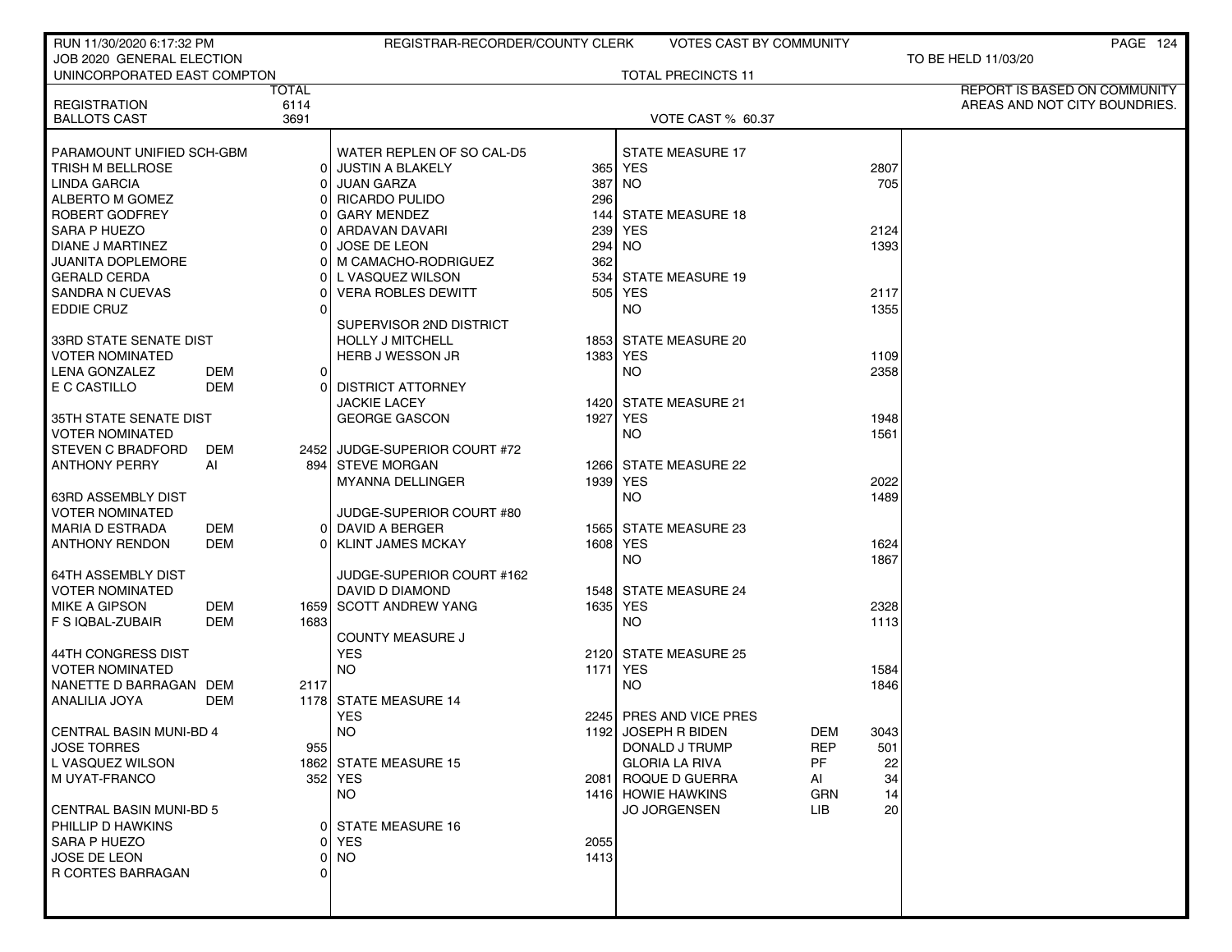| RUN 11/30/2020 6:17:32 PM   |     |       | REGISTRAR-RECORDER/COUNTY CLERK |                 | VOTES CAST BY COMMUNITY   |            | PAGE 124                      |
|-----------------------------|-----|-------|---------------------------------|-----------------|---------------------------|------------|-------------------------------|
| JOB 2020 GENERAL ELECTION   |     |       |                                 |                 |                           |            | TO BE HELD 11/03/20           |
| UNINCORPORATED EAST COMPTON |     |       |                                 |                 | <b>TOTAL PRECINCTS 11</b> |            |                               |
|                             |     | TOTAL |                                 |                 |                           |            | REPORT IS BASED ON COMMUNITY  |
| <b>REGISTRATION</b>         |     | 6114  |                                 |                 |                           |            | AREAS AND NOT CITY BOUNDRIES. |
| <b>BALLOTS CAST</b>         |     | 3691  |                                 |                 | VOTE CAST % 60.37         |            |                               |
|                             |     |       |                                 |                 |                           |            |                               |
| PARAMOUNT UNIFIED SCH-GBM   |     |       | WATER REPLEN OF SO CAL-D5       |                 | <b>STATE MEASURE 17</b>   |            |                               |
| TRISH M BELLROSE            |     |       | 0 JUSTIN A BLAKELY              |                 | 365 YES                   |            | 2807                          |
| <b>LINDA GARCIA</b>         |     |       | JUAN GARZA                      | 387             | NO.                       |            | 705                           |
| ALBERTO M GOMEZ             |     |       | 0 RICARDO PULIDO                | 296             |                           |            |                               |
| ROBERT GODFREY              |     |       | <b>GARY MENDEZ</b>              | 144             | <b>STATE MEASURE 18</b>   |            |                               |
| SARA P HUEZO                |     |       | ARDAVAN DAVARI                  | 239             | <b>YES</b>                |            | 2124                          |
| <b>DIANE J MARTINEZ</b>     |     |       | <b>JOSE DE LEON</b>             | 294             | <b>NO</b>                 |            | 1393                          |
| JUANITA DOPLEMORE           |     |       | 0 M CAMACHO-RODRIGUEZ           | 362             |                           |            |                               |
| <b>GERALD CERDA</b>         |     |       | 0 L VASQUEZ WILSON              | 534             | <b>STATE MEASURE 19</b>   |            |                               |
| SANDRA N CUEVAS             |     |       | <b>VERA ROBLES DEWITT</b>       |                 | 505 YES                   |            | 2117                          |
| <b>EDDIE CRUZ</b>           |     |       |                                 |                 | NO.                       |            | 1355                          |
|                             |     |       |                                 |                 |                           |            |                               |
|                             |     |       | SUPERVISOR 2ND DISTRICT         |                 |                           |            |                               |
| 33RD STATE SENATE DIST      |     |       | HOLLY J MITCHELL                |                 | 1853 STATE MEASURE 20     |            |                               |
| <b>VOTER NOMINATED</b>      |     |       | HERB J WESSON JR                | 1383 YES        |                           |            | 1109                          |
| LENA GONZALEZ               | DEM | 0 I   |                                 |                 | NO.                       |            | 2358                          |
| E C CASTILLO                | DEM |       | 0 DISTRICT ATTORNEY             |                 |                           |            |                               |
|                             |     |       | <b>JACKIE LACEY</b>             |                 | 1420 STATE MEASURE 21     |            |                               |
| I 35TH STATE SENATE DIST    |     |       | <b>GEORGE GASCON</b>            | 1927 YES        |                           |            | 1948                          |
| I VOTER NOMINATED           |     |       |                                 |                 | NO.                       |            | 1561                          |
| I STEVEN C BRADFORD         | DEM |       | 2452 JUDGE-SUPERIOR COURT #72   |                 |                           |            |                               |
| ANTHONY PERRY               | Al  |       | 894 STEVE MORGAN                |                 | 1266 STATE MEASURE 22     |            |                               |
|                             |     |       | <b>MYANNA DELLINGER</b>         | 1939 YES        |                           |            | 2022                          |
| 63RD ASSEMBLY DIST          |     |       |                                 |                 | NO.                       |            | 1489                          |
| VOTER NOMINATED             |     |       | JUDGE-SUPERIOR COURT #80        |                 |                           |            |                               |
| MARIA D ESTRADA             | DEM |       | 0 DAVID A BERGER                |                 | 1565 STATE MEASURE 23     |            |                               |
| ANTHONY RENDON              | DEM |       | 0 KLINT JAMES MCKAY             | 1608 YES        |                           |            | 1624                          |
|                             |     |       |                                 |                 | NO.                       |            | 1867                          |
| 64TH ASSEMBLY DIST          |     |       | JUDGE-SUPERIOR COURT #162       |                 |                           |            |                               |
| I VOTER NOMINATED           |     |       | DAVID D DIAMOND                 |                 | 1548 STATE MEASURE 24     |            |                               |
| MIKE A GIPSON               | DEM |       | 1659 SCOTT ANDREW YANG          | 1635            | <b>YES</b>                |            | 2328                          |
|                             | DEM | 1683  |                                 |                 | NO.                       |            | 1113                          |
| F S IQBAL-ZUBAIR            |     |       |                                 |                 |                           |            |                               |
|                             |     |       | <b>COUNTY MEASURE J</b>         |                 | 2120 STATE MEASURE 25     |            |                               |
| 44TH CONGRESS DIST          |     |       | <b>YES</b>                      |                 |                           |            |                               |
| VOTER NOMINATED             |     |       | <b>NO</b>                       | <b>1171 YES</b> |                           |            | 1584                          |
| NANETTE D BARRAGAN DEM      |     | 2117  |                                 |                 | NO.                       |            | 1846                          |
| ANALILIA JOYA               | DEM |       | 1178 STATE MEASURE 14           |                 |                           |            |                               |
|                             |     |       | <b>YES</b>                      |                 | 2245 PRES AND VICE PRES   |            |                               |
| CENTRAL BASIN MUNI-BD 4     |     |       | <b>NO</b>                       |                 | 1192 JOSEPH R BIDEN       | DEM        | 3043                          |
| JOSE TORRES                 |     | 955   |                                 |                 | DONALD J TRUMP            | <b>REP</b> | 501                           |
| L VASQUEZ WILSON            |     |       | 1862 STATE MEASURE 15           |                 | <b>GLORIA LA RIVA</b>     | PF         | 22                            |
| M UYAT-FRANCO               |     |       | 352 YES                         |                 | 2081 ROQUE D GUERRA       | AI         | 34                            |
|                             |     |       | <b>NO</b>                       |                 | 1416 HOWIE HAWKINS        | <b>GRN</b> | 14                            |
| CENTRAL BASIN MUNI-BD 5     |     |       |                                 |                 | <b>JO JORGENSEN</b>       | LIB        | 20                            |
| PHILLIP D HAWKINS           |     |       | 0 STATE MEASURE 16              |                 |                           |            |                               |
| I SARA P HUEZO              |     | ΩI    | <b>YES</b>                      | 2055            |                           |            |                               |
| <b>I JOSE DE LEON</b>       |     |       | 0 NO                            | 1413            |                           |            |                               |
| R CORTES BARRAGAN           |     | ΩI    |                                 |                 |                           |            |                               |
|                             |     |       |                                 |                 |                           |            |                               |
|                             |     |       |                                 |                 |                           |            |                               |
|                             |     |       |                                 |                 |                           |            |                               |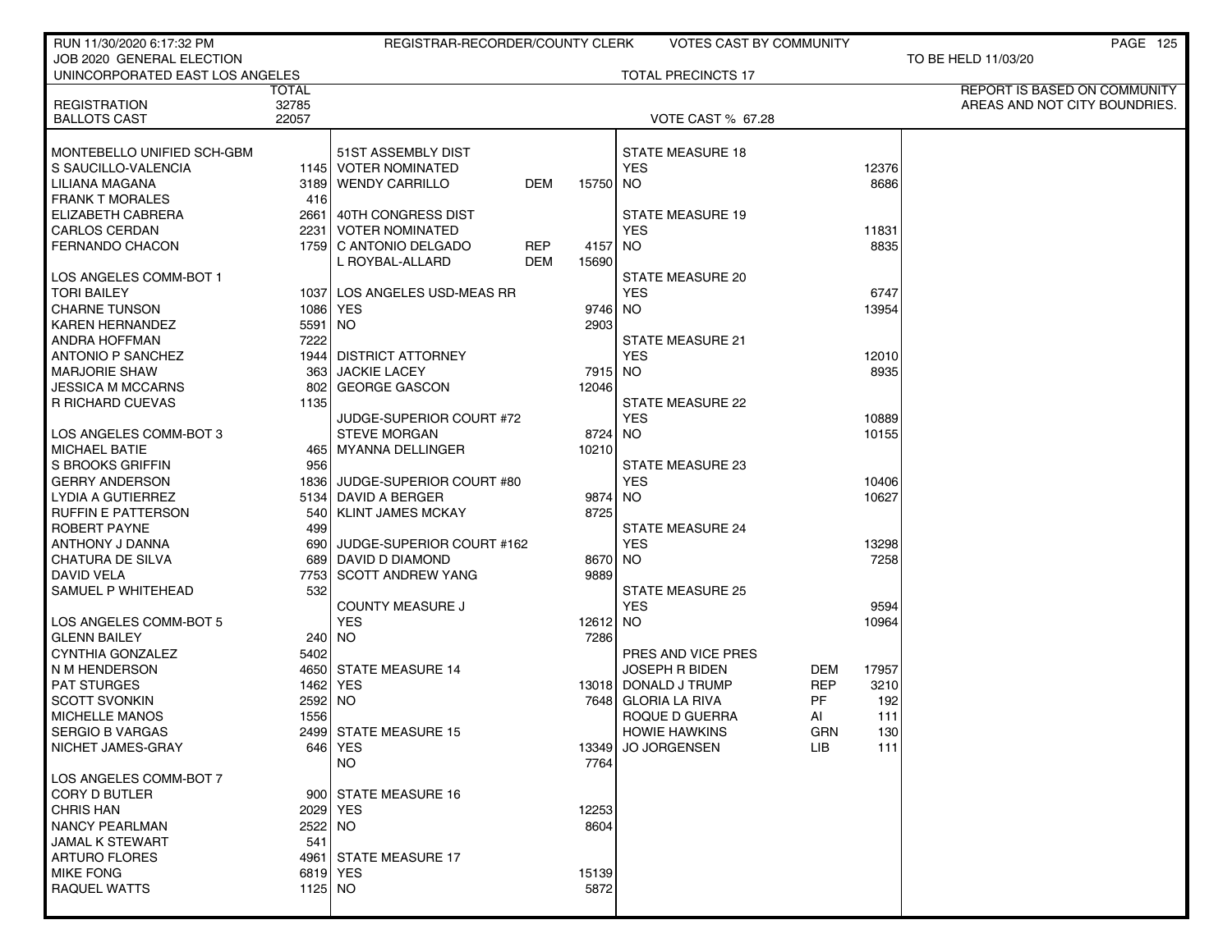| RUN 11/30/2020 6:17:32 PM       |         | REGISTRAR-RECORDER/COUNTY CLERK     |          | VOTES CAST BY COMMUNITY   |                     | <b>PAGE 125</b>                     |
|---------------------------------|---------|-------------------------------------|----------|---------------------------|---------------------|-------------------------------------|
| JOB 2020 GENERAL ELECTION       |         |                                     |          |                           |                     | TO BE HELD 11/03/20                 |
| UNINCORPORATED EAST LOS ANGELES |         |                                     |          | <b>TOTAL PRECINCTS 17</b> |                     |                                     |
|                                 | TOTAL   |                                     |          |                           |                     | <b>REPORT IS BASED ON COMMUNITY</b> |
| <b>REGISTRATION</b>             | 32785   |                                     |          |                           |                     | AREAS AND NOT CITY BOUNDRIES.       |
| <b>BALLOTS CAST</b>             | 22057   |                                     |          | VOTE CAST % 67.28         |                     |                                     |
|                                 |         |                                     |          |                           |                     |                                     |
| MONTEBELLO UNIFIED SCH-GBM      |         | 51ST ASSEMBLY DIST                  |          | <b>STATE MEASURE 18</b>   |                     |                                     |
| S SAUCILLO-VALENCIA             |         | 1145 VOTER NOMINATED                |          | <b>YES</b>                | 12376               |                                     |
| LILIANA MAGANA                  | 31891   | <b>WENDY CARRILLO</b><br><b>DEM</b> | 15750 NO |                           | 8686                |                                     |
| <b>FRANK T MORALES</b>          | 416     |                                     |          |                           |                     |                                     |
| ELIZABETH CABRERA               |         | 2661 40TH CONGRESS DIST             |          | <b>STATE MEASURE 19</b>   |                     |                                     |
| <b>CARLOS CERDAN</b>            |         | 2231   VOTER NOMINATED              |          | <b>YES</b>                | 11831               |                                     |
| <b>FERNANDO CHACON</b>          |         | 1759 C ANTONIO DELGADO<br>REP       | 4157     | NO                        | 8835                |                                     |
|                                 |         | L ROYBAL-ALLARD<br><b>DEM</b>       | 15690    |                           |                     |                                     |
| LOS ANGELES COMM-BOT 1          |         |                                     |          | STATE MEASURE 20          |                     |                                     |
| <b>TORI BAILEY</b>              |         | 1037 LOS ANGELES USD-MEAS RR        |          | <b>YES</b>                | 6747                |                                     |
| <b>CHARNE TUNSON</b>            |         | 1086 YES                            | 9746 NO  |                           | 13954               |                                     |
| <b>KAREN HERNANDEZ</b>          | 5591 NO |                                     | 2903     |                           |                     |                                     |
| ANDRA HOFFMAN                   | 7222    |                                     |          | <b>STATE MEASURE 21</b>   |                     |                                     |
| <b>ANTONIO P SANCHEZ</b>        |         | 1944 DISTRICT ATTORNEY              |          | <b>YES</b>                | 12010               |                                     |
| <b>MARJORIE SHAW</b>            | 363 l   | <b>JACKIE LACEY</b>                 | 7915 NO  |                           | 8935                |                                     |
| <b>JESSICA M MCCARNS</b>        | 802 l   | <b>GEORGE GASCON</b>                | 12046    |                           |                     |                                     |
|                                 | 1135    |                                     |          | <b>STATE MEASURE 22</b>   |                     |                                     |
| R RICHARD CUEVAS                |         |                                     |          |                           |                     |                                     |
|                                 |         | JUDGE-SUPERIOR COURT #72            |          | <b>YES</b>                | 10889               |                                     |
| LOS ANGELES COMM-BOT 3          |         | <b>STEVE MORGAN</b>                 | 8724 NO  |                           | 10155               |                                     |
| <b>MICHAEL BATIE</b>            |         | 465 MYANNA DELLINGER                | 10210    |                           |                     |                                     |
| S BROOKS GRIFFIN                | 956     |                                     |          | STATE MEASURE 23          |                     |                                     |
| <b>GERRY ANDERSON</b>           |         | 1836 JUDGE-SUPERIOR COURT #80       |          | <b>YES</b>                | 10406               |                                     |
| LYDIA A GUTIERREZ               |         | 5134 DAVID A BERGER                 | 9874     | NO                        | 10627               |                                     |
| <b>RUFFIN E PATTERSON</b>       | 540 l   | <b>KLINT JAMES MCKAY</b>            | 8725     |                           |                     |                                     |
| ROBERT PAYNE                    | 499     |                                     |          | <b>STATE MEASURE 24</b>   |                     |                                     |
| ANTHONY J DANNA                 | 690     | JUDGE-SUPERIOR COURT #162           |          | <b>YES</b>                | 13298               |                                     |
| CHATURA DE SILVA                | 689     | DAVID D DIAMOND                     | 8670 NO  |                           | 7258                |                                     |
| DAVID VELA                      | 7753    | <b>SCOTT ANDREW YANG</b>            | 9889     |                           |                     |                                     |
| SAMUEL P WHITEHEAD              | 532     |                                     |          | <b>STATE MEASURE 25</b>   |                     |                                     |
|                                 |         | <b>COUNTY MEASURE J</b>             |          | <b>YES</b>                | 9594                |                                     |
| LOS ANGELES COMM-BOT 5          |         | <b>YES</b>                          | 12612 NO |                           | 10964               |                                     |
| <b>GLENN BAILEY</b>             |         | 240 NO                              | 7286     |                           |                     |                                     |
| CYNTHIA GONZALEZ                | 5402    |                                     |          | PRES AND VICE PRES        |                     |                                     |
| N M HENDERSON                   |         | 4650 STATE MEASURE 14               |          | <b>JOSEPH R BIDEN</b>     | <b>DEM</b><br>17957 |                                     |
| <b>PAT STURGES</b>              |         | 1462   YES                          |          | 13018 DONALD J TRUMP      | REP<br>3210         |                                     |
| <b>SCOTT SVONKIN</b>            | 2592 NO |                                     | 7648     | GLORIA LA RIVA            | PF<br>192           |                                     |
| <b>MICHELLE MANOS</b>           | 1556    |                                     |          | ROQUE D GUERRA            | 111<br>ΑI           |                                     |
| SERGIO B VARGAS                 |         | 2499 STATE MEASURE 15               |          | <b>HOWIE HAWKINS</b>      | GRN<br>130          |                                     |
| NICHET JAMES-GRAY               |         | 646 YES                             | 13349    | <b>JO JORGENSEN</b>       | 111<br>LIB.         |                                     |
|                                 |         | NO.                                 | 7764     |                           |                     |                                     |
| LOS ANGELES COMM-BOT 7          |         |                                     |          |                           |                     |                                     |
| <b>CORY D BUTLER</b>            |         | 900 STATE MEASURE 16                |          |                           |                     |                                     |
| <b>CHRIS HAN</b>                |         | 2029 YES                            | 12253    |                           |                     |                                     |
| <b>NANCY PEARLMAN</b>           | 2522 NO |                                     | 8604     |                           |                     |                                     |
| JAMAL K STEWART                 | 541     |                                     |          |                           |                     |                                     |
| <b>ARTURO FLORES</b>            |         | 4961 STATE MEASURE 17               |          |                           |                     |                                     |
| <b>MIKE FONG</b>                |         | 6819 YES                            | 15139    |                           |                     |                                     |
| <b>RAQUEL WATTS</b>             | 1125 NO |                                     | 5872     |                           |                     |                                     |
|                                 |         |                                     |          |                           |                     |                                     |
|                                 |         |                                     |          |                           |                     |                                     |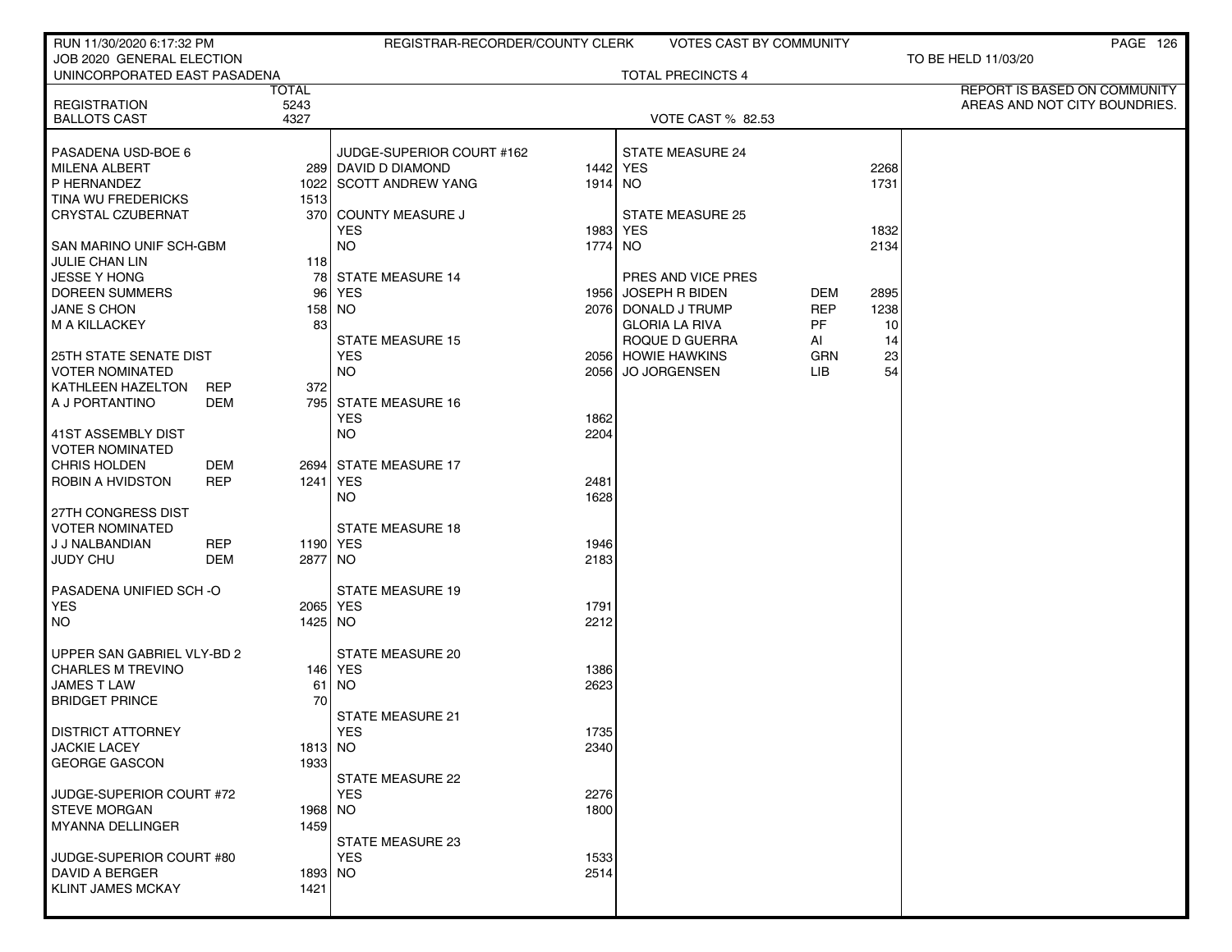| RUN 11/30/2020 6:17:32 PM                    |            |           | REGISTRAR-RECORDER/COUNTY CLERK |              | <b>VOTES CAST BY COMMUNITY</b> |            |      | PAGE 126                      |
|----------------------------------------------|------------|-----------|---------------------------------|--------------|--------------------------------|------------|------|-------------------------------|
| JOB 2020 GENERAL ELECTION                    |            |           |                                 |              |                                |            |      | TO BE HELD 11/03/20           |
| UNINCORPORATED EAST PASADENA                 |            | TOTAL     |                                 |              | <b>TOTAL PRECINCTS 4</b>       |            |      | REPORT IS BASED ON COMMUNITY  |
| <b>REGISTRATION</b>                          |            | 5243      |                                 |              |                                |            |      | AREAS AND NOT CITY BOUNDRIES. |
| <b>BALLOTS CAST</b>                          |            | 4327      |                                 |              | <b>VOTE CAST % 82.53</b>       |            |      |                               |
| PASADENA USD-BOE 6                           |            |           | JUDGE-SUPERIOR COURT #162       |              | <b>STATE MEASURE 24</b>        |            |      |                               |
| <b>MILENA ALBERT</b>                         |            |           | 289 DAVID D DIAMOND             |              | 1442 YES                       |            | 2268 |                               |
| P HERNANDEZ                                  |            |           | 1022 SCOTT ANDREW YANG          | 1914 NO      |                                |            | 1731 |                               |
| TINA WU FREDERICKS                           |            | 1513      |                                 |              |                                |            |      |                               |
| CRYSTAL CZUBERNAT                            |            |           | 370 COUNTY MEASURE J            |              | <b>STATE MEASURE 25</b>        |            |      |                               |
|                                              |            |           | <b>YES</b>                      | 1983 YES     |                                |            | 1832 |                               |
| SAN MARINO UNIF SCH-GBM                      |            |           | <b>NO</b>                       | 1774 NO      |                                |            | 2134 |                               |
| <b>JULIE CHAN LIN</b><br><b>JESSE Y HONG</b> |            | 118<br>78 | <b>STATE MEASURE 14</b>         |              | PRES AND VICE PRES             |            |      |                               |
| DOREEN SUMMERS                               |            | 96 l      | YES                             |              | 1956 JOSEPH R BIDEN            | DEM        | 2895 |                               |
| JANE S CHON                                  |            |           | 158 NO                          |              | 2076 DONALD J TRUMP            | <b>REP</b> | 1238 |                               |
| M A KILLACKEY                                |            | 83        |                                 |              | <b>GLORIA LA RIVA</b>          | PF         | 10   |                               |
|                                              |            |           | <b>STATE MEASURE 15</b>         |              | ROQUE D GUERRA                 | AI         | 14   |                               |
| <b>25TH STATE SENATE DIST</b>                |            |           | <b>YES</b>                      |              | 2056 HOWIE HAWKINS             | <b>GRN</b> | 23   |                               |
| <b>VOTER NOMINATED</b>                       |            |           | <b>NO</b>                       | 2056         | <b>JO JORGENSEN</b>            | LIB.       | 54   |                               |
| KATHLEEN HAZELTON                            | <b>REP</b> | 372       |                                 |              |                                |            |      |                               |
| A J PORTANTINO                               | DEM        |           | 795 STATE MEASURE 16            |              |                                |            |      |                               |
| 41ST ASSEMBLY DIST                           |            |           | <b>YES</b><br><b>NO</b>         | 1862<br>2204 |                                |            |      |                               |
| <b>VOTER NOMINATED</b>                       |            |           |                                 |              |                                |            |      |                               |
| CHRIS HOLDEN                                 | <b>DEM</b> |           | 2694 STATE MEASURE 17           |              |                                |            |      |                               |
| ROBIN A HVIDSTON                             | <b>REP</b> |           | 1241 YES                        | 2481         |                                |            |      |                               |
|                                              |            |           | NO.                             | 1628         |                                |            |      |                               |
| 27TH CONGRESS DIST                           |            |           |                                 |              |                                |            |      |                               |
| <b>VOTER NOMINATED</b>                       |            |           | <b>STATE MEASURE 18</b>         |              |                                |            |      |                               |
| J J NALBANDIAN                               | <b>REP</b> |           | 1190 YES                        | 1946         |                                |            |      |                               |
| JUDY CHU                                     | DEM        | 2877 NO   |                                 | 2183         |                                |            |      |                               |
| PASADENA UNIFIED SCH-O                       |            |           | <b>STATE MEASURE 19</b>         |              |                                |            |      |                               |
| <b>YES</b>                                   |            |           | 2065   YES                      | 1791         |                                |            |      |                               |
| <b>NO</b>                                    |            | 1425 NO   |                                 | 2212         |                                |            |      |                               |
| UPPER SAN GABRIEL VLY-BD 2                   |            |           | <b>STATE MEASURE 20</b>         |              |                                |            |      |                               |
| <b>CHARLES M TREVINO</b>                     |            |           | 146   YES                       | 1386         |                                |            |      |                               |
| <b>JAMES T LAW</b>                           |            | 61        | <b>NO</b>                       | 2623         |                                |            |      |                               |
| <b>BRIDGET PRINCE</b>                        |            | 70        |                                 |              |                                |            |      |                               |
|                                              |            |           | STATE MEASURE 21                |              |                                |            |      |                               |
| <b>DISTRICT ATTORNEY</b>                     |            |           | YES                             | 1735         |                                |            |      |                               |
| <b>JACKIE LACEY</b>                          |            | $1813$ NO |                                 | 2340         |                                |            |      |                               |
| <b>GEORGE GASCON</b>                         |            | 1933      | <b>STATE MEASURE 22</b>         |              |                                |            |      |                               |
| JUDGE-SUPERIOR COURT #72                     |            |           | <b>YES</b>                      | 2276         |                                |            |      |                               |
| <b>STEVE MORGAN</b>                          |            | 1968 NO   |                                 | 1800         |                                |            |      |                               |
| MYANNA DELLINGER                             |            | 1459      |                                 |              |                                |            |      |                               |
|                                              |            |           | STATE MEASURE 23                |              |                                |            |      |                               |
| JUDGE-SUPERIOR COURT #80                     |            |           | <b>YES</b>                      | 1533         |                                |            |      |                               |
| DAVID A BERGER                               |            | 1893 NO   |                                 | 2514         |                                |            |      |                               |
| <b>KLINT JAMES MCKAY</b>                     |            | 1421      |                                 |              |                                |            |      |                               |
|                                              |            |           |                                 |              |                                |            |      |                               |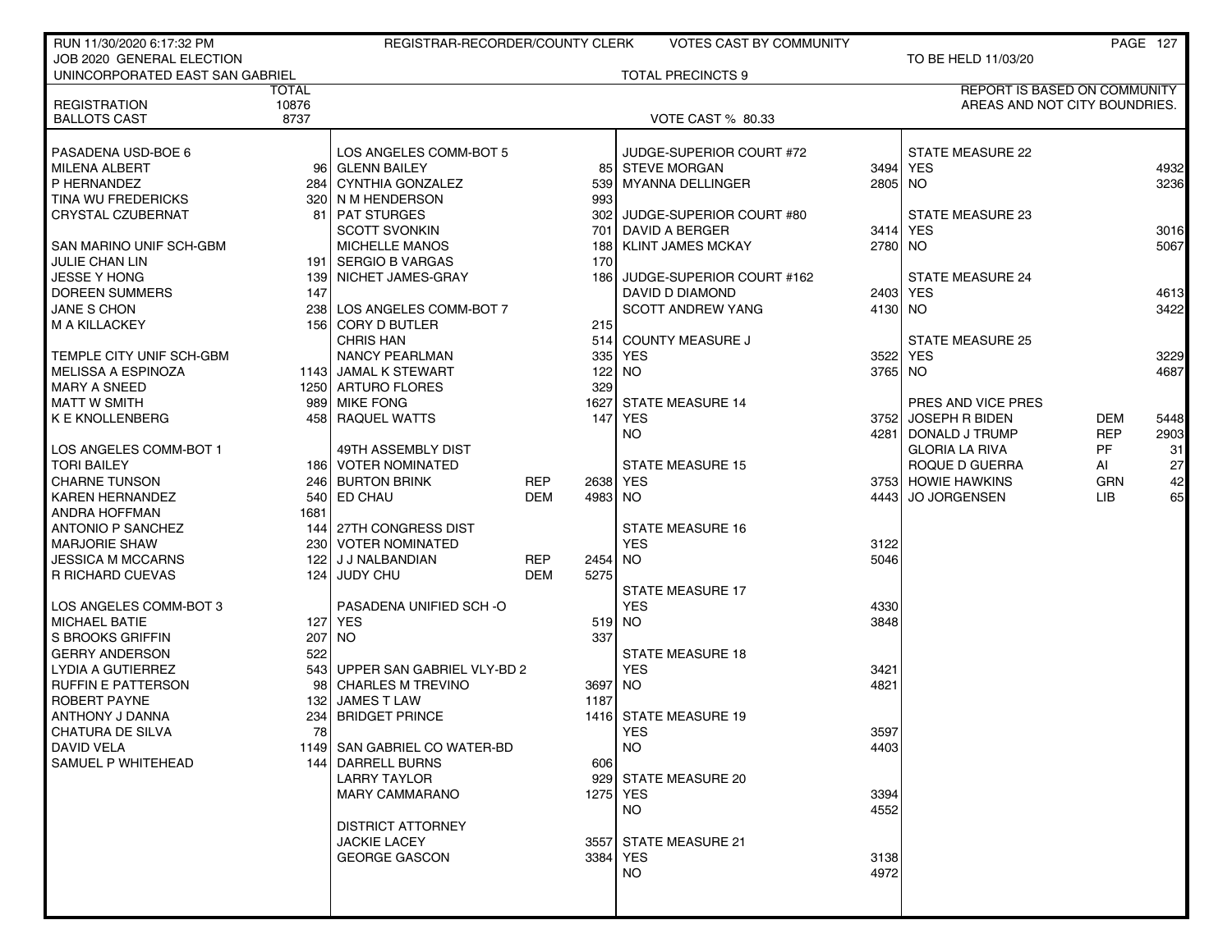| RUN 11/30/2020 6:17:32 PM       |              | REGISTRAR-RECORDER/COUNTY CLERK |            |         | <b>VOTES CAST BY COMMUNITY</b> |           |                                     |            | PAGE 127 |
|---------------------------------|--------------|---------------------------------|------------|---------|--------------------------------|-----------|-------------------------------------|------------|----------|
| JOB 2020 GENERAL ELECTION       |              |                                 |            |         |                                |           | TO BE HELD 11/03/20                 |            |          |
| UNINCORPORATED EAST SAN GABRIEL |              |                                 |            |         | <b>TOTAL PRECINCTS 9</b>       |           |                                     |            |          |
|                                 | <b>TOTAL</b> |                                 |            |         |                                |           | <b>REPORT IS BASED ON COMMUNITY</b> |            |          |
| <b>REGISTRATION</b>             | 10876        |                                 |            |         |                                |           | AREAS AND NOT CITY BOUNDRIES.       |            |          |
| <b>BALLOTS CAST</b>             | 8737         |                                 |            |         | <b>VOTE CAST % 80.33</b>       |           |                                     |            |          |
| PASADENA USD-BOE 6              |              | LOS ANGELES COMM-BOT 5          |            |         | JUDGE-SUPERIOR COURT #72       |           | STATE MEASURE 22                    |            |          |
| <b>MILENA ALBERT</b>            |              | 96 GLENN BAILEY                 |            |         | 85 STEVE MORGAN                |           | 3494 YES                            |            | 4932     |
| P HERNANDEZ                     |              | 284 CYNTHIA GONZALEZ            |            | 539     | <b>MYANNA DELLINGER</b>        | 2805 NO   |                                     |            | 3236     |
| TINA WU FREDERICKS              |              | 320 N M HENDERSON               |            | 993     |                                |           |                                     |            |          |
| CRYSTAL CZUBERNAT               | 81           | <b>I PAT STURGES</b>            |            | 302     | JUDGE-SUPERIOR COURT #80       |           | STATE MEASURE 23                    |            |          |
|                                 |              | <b>SCOTT SVONKIN</b>            |            | 701     | <b>DAVID A BERGER</b>          |           | 3414 YES                            |            | 3016     |
| SAN MARINO UNIF SCH-GBM         |              | <b>MICHELLE MANOS</b>           |            | 188     | <b>KLINT JAMES MCKAY</b>       | 2780 NO   |                                     |            | 5067     |
| JULIE CHAN LIN                  |              | 191   SERGIO B VARGAS           |            | 170     |                                |           |                                     |            |          |
| <b>JESSE Y HONG</b>             |              | 139 NICHET JAMES-GRAY           |            | 186     | JUDGE-SUPERIOR COURT #162      |           | <b>STATE MEASURE 24</b>             |            |          |
| DOREEN SUMMERS                  | 147          |                                 |            |         | DAVID D DIAMOND                |           | 2403 YES                            |            | 4613     |
| JANE S CHON                     | 238 l        | LOS ANGELES COMM-BOT 7          |            |         | <b>SCOTT ANDREW YANG</b>       | $4130$ NO |                                     |            | 3422     |
| <b>M A KILLACKEY</b>            |              | 156 CORY D BUTLER               |            | 215     |                                |           |                                     |            |          |
|                                 |              | <b>CHRIS HAN</b>                |            | 514     | <b>COUNTY MEASURE J</b>        |           | <b>STATE MEASURE 25</b>             |            |          |
| TEMPLE CITY UNIF SCH-GBM        |              | <b>NANCY PEARLMAN</b>           |            | 335     | <b>YES</b>                     |           | 3522 YES                            |            | 3229     |
| MELISSA A ESPINOZA              |              | 1143 JAMAL K STEWART            |            | 122     | <b>NO</b>                      | 3765 NO   |                                     |            | 4687     |
| <b>MARY A SNEED</b>             |              | 1250 ARTURO FLORES              |            | 329     |                                |           |                                     |            |          |
| <b>MATT W SMITH</b>             |              | 989 MIKE FONG                   |            |         | 1627 STATE MEASURE 14          |           | PRES AND VICE PRES                  |            |          |
| K E KNOLLENBERG                 |              | 458 RAQUEL WATTS                |            | 147     | <b>YES</b>                     |           | 3752 JOSEPH R BIDEN                 | <b>DEM</b> | 5448     |
|                                 |              |                                 |            |         | <b>NO</b>                      |           | 4281 DONALD J TRUMP                 | <b>REP</b> | 2903     |
| LOS ANGELES COMM-BOT 1          |              | 49TH ASSEMBLY DIST              |            |         |                                |           | <b>GLORIA LA RIVA</b>               | PF         | 31       |
| <b>TORI BAILEY</b>              |              | 186 VOTER NOMINATED             |            |         | <b>STATE MEASURE 15</b>        |           | ROQUE D GUERRA                      | AI         | 27       |
| <b>CHARNE TUNSON</b>            |              | 246 BURTON BRINK                | <b>REP</b> | 2638    | YES                            |           | 3753 HOWIE HAWKINS                  | <b>GRN</b> | 42       |
| <b>KAREN HERNANDEZ</b>          |              | 540 ED CHAU                     | <b>DEM</b> | 4983 NO |                                |           | 4443 JO JORGENSEN                   | LIB        | 65       |
| ANDRA HOFFMAN                   | 1681         |                                 |            |         |                                |           |                                     |            |          |
| <b>ANTONIO P SANCHEZ</b>        |              | 144 27TH CONGRESS DIST          |            |         | <b>STATE MEASURE 16</b>        |           |                                     |            |          |
| <b>MARJORIE SHAW</b>            | <b>2301</b>  | <b>VOTER NOMINATED</b>          |            |         | <b>YES</b>                     | 3122      |                                     |            |          |
| <b>JESSICA M MCCARNS</b>        | 122 l        | J J NALBANDIAN                  | <b>REP</b> | 2454    | NO.                            | 5046      |                                     |            |          |
| <b>R RICHARD CUEVAS</b>         |              | 124 JUDY CHU                    | <b>DEM</b> | 5275    |                                |           |                                     |            |          |
|                                 |              |                                 |            |         | <b>STATE MEASURE 17</b>        |           |                                     |            |          |
| LOS ANGELES COMM-BOT 3          |              | PASADENA UNIFIED SCH-O          |            |         | <b>YES</b>                     | 4330      |                                     |            |          |
| <b>MICHAEL BATIE</b>            |              | 127   YES                       |            | 519     | <b>NO</b>                      | 3848      |                                     |            |          |
| S BROOKS GRIFFIN                |              | 207 NO                          |            | 337     |                                |           |                                     |            |          |
| <b>GERRY ANDERSON</b>           | 522          |                                 |            |         | <b>STATE MEASURE 18</b>        |           |                                     |            |          |
| LYDIA A GUTIERREZ               |              | 543 UPPER SAN GABRIEL VLY-BD 2  |            |         | <b>YES</b>                     | 3421      |                                     |            |          |
| RUFFIN E PATTERSON              | 98           | <b>CHARLES M TREVINO</b>        |            | 3697    | NO                             | 4821      |                                     |            |          |
| ROBERT PAYNE                    | 132          | <b>JAMES T LAW</b>              |            | 1187    |                                |           |                                     |            |          |
| ANTHONY J DANNA                 | 234          | <b>BRIDGET PRINCE</b>           |            |         | 1416 STATE MEASURE 19          |           |                                     |            |          |
| CHATURA DE SILVA                | 78           |                                 |            |         | YES                            | 3597      |                                     |            |          |
| <b>DAVID VELA</b>               |              | 1149 SAN GABRIEL CO WATER-BD    |            |         | <b>NO</b>                      | 4403      |                                     |            |          |
| SAMUEL P WHITEHEAD              |              | 144 DARRELL BURNS               |            | 606     |                                |           |                                     |            |          |
|                                 |              | <b>LARRY TAYLOR</b>             |            |         | 929 STATE MEASURE 20           |           |                                     |            |          |
|                                 |              | <b>MARY CAMMARANO</b>           |            |         | 1275 YES                       | 3394      |                                     |            |          |
|                                 |              |                                 |            |         | NO.                            | 4552      |                                     |            |          |
|                                 |              | <b>DISTRICT ATTORNEY</b>        |            |         |                                |           |                                     |            |          |
|                                 |              | <b>JACKIE LACEY</b>             |            |         | 3557 STATE MEASURE 21          |           |                                     |            |          |
|                                 |              | <b>GEORGE GASCON</b>            |            |         | 3384 YES                       | 3138      |                                     |            |          |
|                                 |              |                                 |            |         | <b>NO</b>                      | 4972      |                                     |            |          |
|                                 |              |                                 |            |         |                                |           |                                     |            |          |
|                                 |              |                                 |            |         |                                |           |                                     |            |          |
|                                 |              |                                 |            |         |                                |           |                                     |            |          |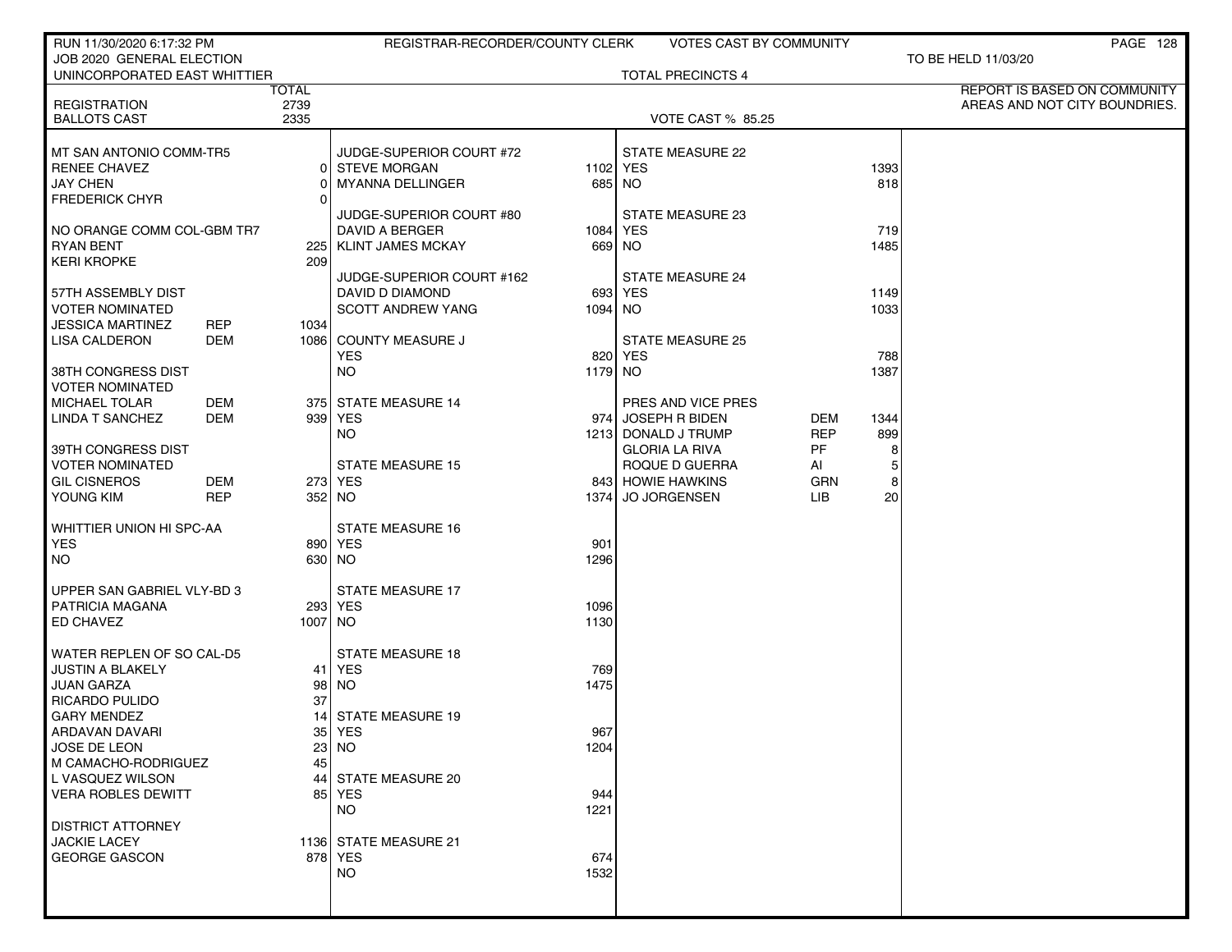| RUN 11/30/2020 6:17:32 PM                            |              | REGISTRAR-RECORDER/COUNTY CLERK           |             | <b>VOTES CAST BY COMMUNITY</b>      |            |             | PAGE 128                      |
|------------------------------------------------------|--------------|-------------------------------------------|-------------|-------------------------------------|------------|-------------|-------------------------------|
| JOB 2020 GENERAL ELECTION                            |              |                                           |             |                                     |            |             | TO BE HELD 11/03/20           |
| UNINCORPORATED EAST WHITTIER                         | <b>TOTAL</b> |                                           |             | <b>TOTAL PRECINCTS 4</b>            |            |             | REPORT IS BASED ON COMMUNITY  |
| <b>REGISTRATION</b>                                  | 2739         |                                           |             |                                     |            |             | AREAS AND NOT CITY BOUNDRIES. |
| <b>BALLOTS CAST</b>                                  | 2335         |                                           |             | <b>VOTE CAST % 85.25</b>            |            |             |                               |
| MT SAN ANTONIO COMM-TR5                              |              | JUDGE-SUPERIOR COURT #72                  |             | STATE MEASURE 22                    |            |             |                               |
| <b>RENEE CHAVEZ</b>                                  | 01           | <b>STEVE MORGAN</b>                       | 1102 YES    |                                     |            | 1393        |                               |
| <b>JAY CHEN</b>                                      |              | <b>MYANNA DELLINGER</b>                   |             | 685 NO                              |            | 818         |                               |
| <b>FREDERICK CHYR</b>                                |              |                                           |             |                                     |            |             |                               |
|                                                      |              | JUDGE-SUPERIOR COURT #80                  |             | STATE MEASURE 23                    |            |             |                               |
| NO ORANGE COMM COL-GBM TR7<br><b>RYAN BENT</b>       |              | DAVID A BERGER<br>225   KLINT JAMES MCKAY | 1084 YES    |                                     |            | 719<br>1485 |                               |
| <b>KERI KROPKE</b>                                   | 209          |                                           | 669 NO      |                                     |            |             |                               |
|                                                      |              | JUDGE-SUPERIOR COURT #162                 |             | <b>STATE MEASURE 24</b>             |            |             |                               |
| 57TH ASSEMBLY DIST                                   |              | DAVID D DIAMOND                           |             | 693 YES                             |            | 1149        |                               |
| <b>VOTER NOMINATED</b>                               |              | <b>SCOTT ANDREW YANG</b>                  | 1094 NO     |                                     |            | 1033        |                               |
| JESSICA MARTINEZ<br><b>REP</b>                       | 1034         |                                           |             |                                     |            |             |                               |
| <b>DEM</b><br><b>LISA CALDERON</b>                   |              | 1086 COUNTY MEASURE J                     |             | <b>STATE MEASURE 25</b><br>820 YES  |            |             |                               |
| 38TH CONGRESS DIST                                   |              | <b>YES</b><br><b>NO</b>                   | 1179 NO     |                                     |            | 788<br>1387 |                               |
| <b>VOTER NOMINATED</b>                               |              |                                           |             |                                     |            |             |                               |
| <b>MICHAEL TOLAR</b>                                 | DEM          | 375 STATE MEASURE 14                      |             | PRES AND VICE PRES                  |            |             |                               |
| <b>LINDA T SANCHEZ</b><br>DEM                        |              | 939 YES                                   |             | 974 JOSEPH R BIDEN                  | DEM        | 1344        |                               |
|                                                      |              | NO.                                       |             | 1213 DONALD J TRUMP                 | <b>REP</b> | 899         |                               |
| 39TH CONGRESS DIST                                   |              |                                           |             | <b>GLORIA LA RIVA</b>               | <b>PF</b>  | 8           |                               |
| <b>VOTER NOMINATED</b><br><b>GIL CISNEROS</b><br>DEM |              | <b>STATE MEASURE 15</b><br>273 YES        |             | ROQUE D GUERRA<br>843 HOWIE HAWKINS | Al<br>GRN  | 5<br>8      |                               |
| YOUNG KIM<br><b>REP</b>                              |              | 352 NO                                    |             | 1374 JO JORGENSEN                   | LIB        | 20          |                               |
|                                                      |              |                                           |             |                                     |            |             |                               |
| WHITTIER UNION HI SPC-AA                             |              | <b>STATE MEASURE 16</b>                   |             |                                     |            |             |                               |
| <b>YES</b>                                           |              | 890 YES                                   | 901         |                                     |            |             |                               |
| <b>NO</b>                                            |              | 630 NO                                    | 1296        |                                     |            |             |                               |
| UPPER SAN GABRIEL VLY-BD 3                           |              | <b>STATE MEASURE 17</b>                   |             |                                     |            |             |                               |
| <b>PATRICIA MAGANA</b>                               |              | 293 YES                                   | 1096        |                                     |            |             |                               |
| ED CHAVEZ                                            | 1007 NO      |                                           | 1130        |                                     |            |             |                               |
|                                                      |              |                                           |             |                                     |            |             |                               |
| WATER REPLEN OF SO CAL-D5                            |              | <b>STATE MEASURE 18</b>                   |             |                                     |            |             |                               |
| <b>JUSTIN A BLAKELY</b><br><b>JUAN GARZA</b>         | 98           | 41 YES<br><b>NO</b>                       | 769<br>1475 |                                     |            |             |                               |
| <b>RICARDO PULIDO</b>                                | 37           |                                           |             |                                     |            |             |                               |
| <b>GARY MENDEZ</b>                                   | 14           | <b>STATE MEASURE 19</b>                   |             |                                     |            |             |                               |
| ARDAVAN DAVARI                                       |              | 35  YES                                   | 967         |                                     |            |             |                               |
| <b>JOSE DE LEON</b>                                  |              | $23$ NO                                   | 1204        |                                     |            |             |                               |
| M CAMACHO-RODRIGUEZ                                  | 45           |                                           |             |                                     |            |             |                               |
| L VASQUEZ WILSON<br><b>VERA ROBLES DEWITT</b>        | 44           | <b>STATE MEASURE 20</b><br>85 YES         |             |                                     |            |             |                               |
|                                                      |              | <b>NO</b>                                 | 944<br>1221 |                                     |            |             |                               |
| <b>DISTRICT ATTORNEY</b>                             |              |                                           |             |                                     |            |             |                               |
| <b>JACKIE LACEY</b>                                  |              | 1136 STATE MEASURE 21                     |             |                                     |            |             |                               |
| <b>GEORGE GASCON</b>                                 |              | 878 YES                                   | 674         |                                     |            |             |                               |
|                                                      |              | <b>NO</b>                                 | 1532        |                                     |            |             |                               |
|                                                      |              |                                           |             |                                     |            |             |                               |
|                                                      |              |                                           |             |                                     |            |             |                               |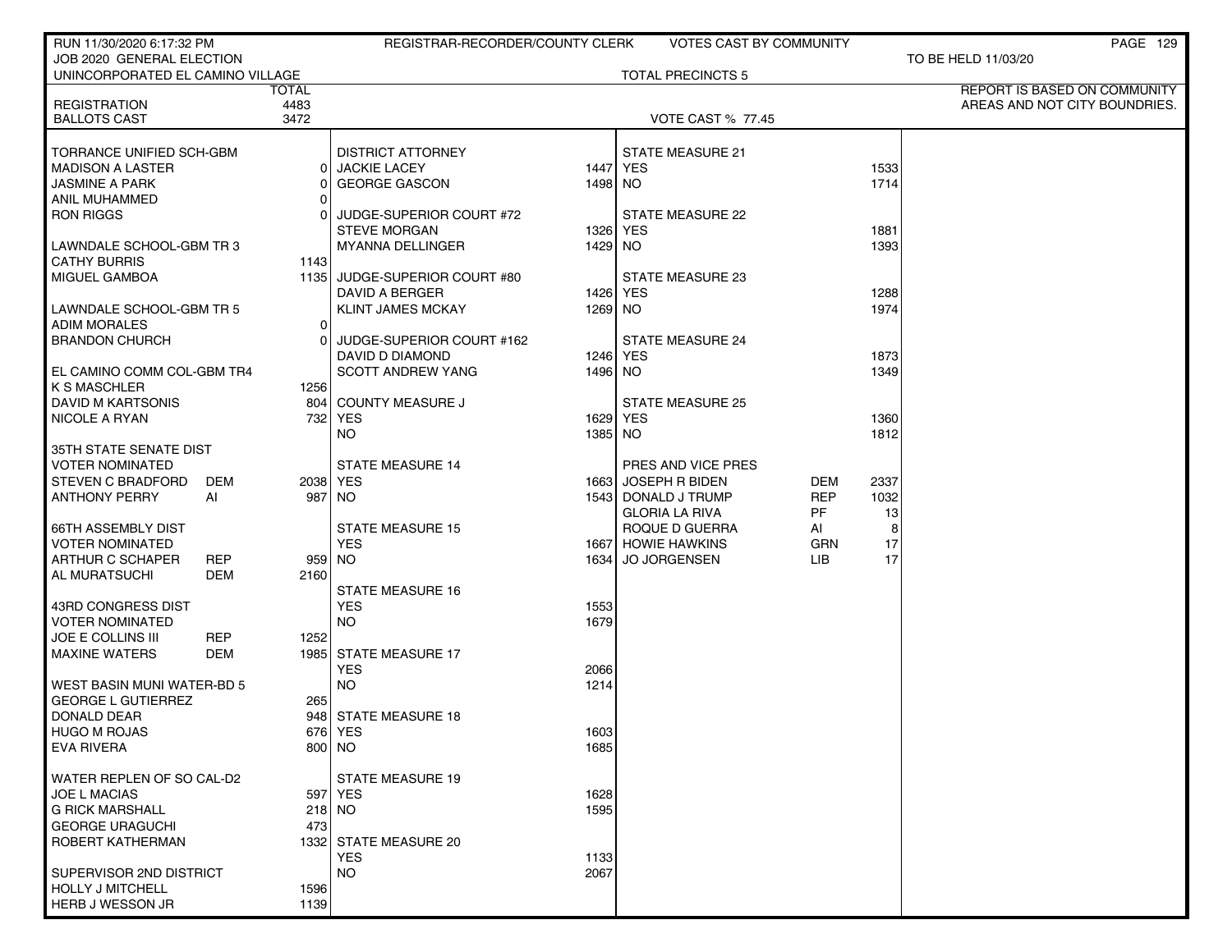| RUN 11/30/2020 6:17:32 PM         |            |            | REGISTRAR-RECORDER/COUNTY CLERK |          | <b>VOTES CAST BY COMMUNITY</b> |            |      | PAGE 129                      |
|-----------------------------------|------------|------------|---------------------------------|----------|--------------------------------|------------|------|-------------------------------|
| JOB 2020 GENERAL ELECTION         |            |            |                                 |          | <b>TOTAL PRECINCTS 5</b>       |            |      | TO BE HELD 11/03/20           |
| UNINCORPORATED EL CAMINO VILLAGE  |            | TOTAL      |                                 |          |                                |            |      | REPORT IS BASED ON COMMUNITY  |
| <b>REGISTRATION</b>               |            | 4483       |                                 |          |                                |            |      | AREAS AND NOT CITY BOUNDRIES. |
| <b>BALLOTS CAST</b>               |            | 3472       |                                 |          | <b>VOTE CAST % 77.45</b>       |            |      |                               |
|                                   |            |            |                                 |          |                                |            |      |                               |
| TORRANCE UNIFIED SCH-GBM          |            |            | <b>DISTRICT ATTORNEY</b>        |          | <b>STATE MEASURE 21</b>        |            |      |                               |
| <b>MADISON A LASTER</b>           |            |            | 0 JACKIE LACEY                  | 1447 YES |                                |            | 1533 |                               |
| <b>JASMINE A PARK</b>             |            | Οl         | <b>GEORGE GASCON</b>            | 1498 NO  |                                |            | 1714 |                               |
| ANIL MUHAMMED                     |            | Οl         |                                 |          |                                |            |      |                               |
| <b>RON RIGGS</b>                  |            | ΩI         | JUDGE-SUPERIOR COURT #72        |          | STATE MEASURE 22               |            |      |                               |
|                                   |            |            | <b>STEVE MORGAN</b>             | 1326 YES |                                |            | 1881 |                               |
| LAWNDALE SCHOOL-GBM TR 3          |            |            | MYANNA DELLINGER                | 1429 NO  |                                |            | 1393 |                               |
| <b>CATHY BURRIS</b>               |            | 1143 l     |                                 |          |                                |            |      |                               |
| MIGUEL GAMBOA                     |            |            | 1135 JUDGE-SUPERIOR COURT #80   |          | STATE MEASURE 23               |            |      |                               |
|                                   |            |            | DAVID A BERGER                  | 1426 YES |                                |            | 1288 |                               |
| LAWNDALE SCHOOL-GBM TR 5          |            |            | <b>KLINT JAMES MCKAY</b>        | 1269 NO  |                                |            | 1974 |                               |
| <b>ADIM MORALES</b>               |            | 01         |                                 |          |                                |            |      |                               |
| <b>BRANDON CHURCH</b>             |            | ΩI         | JUDGE-SUPERIOR COURT #162       |          | <b>STATE MEASURE 24</b>        |            |      |                               |
|                                   |            |            | DAVID D DIAMOND                 | 1246 YES |                                |            | 1873 |                               |
| EL CAMINO COMM COL-GBM TR4        |            |            | <b>SCOTT ANDREW YANG</b>        | 1496 NO  |                                |            | 1349 |                               |
| K S MASCHLER                      |            | 1256       |                                 |          |                                |            |      |                               |
| DAVID M KARTSONIS                 |            |            | 804 COUNTY MEASURE J            |          | <b>STATE MEASURE 25</b>        |            |      |                               |
| NICOLE A RYAN                     |            |            | 732 YES                         | 1629 YES |                                |            | 1360 |                               |
|                                   |            |            | NO.                             | 1385 NO  |                                |            | 1812 |                               |
| 35TH STATE SENATE DIST            |            |            |                                 |          |                                |            |      |                               |
| <b>VOTER NOMINATED</b>            |            |            | <b>STATE MEASURE 14</b>         |          | PRES AND VICE PRES             |            |      |                               |
| <b>STEVEN C BRADFORD</b>          | DEM        | 2038   YES |                                 |          | 1663 JOSEPH R BIDEN            | DEM        | 2337 |                               |
| <b>ANTHONY PERRY</b>              | AI         | 987   NO   |                                 |          | 1543 DONALD J TRUMP            | <b>REP</b> | 1032 |                               |
|                                   |            |            |                                 |          | <b>GLORIA LA RIVA</b>          | PF         | 13   |                               |
| <b>66TH ASSEMBLY DIST</b>         |            |            | <b>STATE MEASURE 15</b>         |          | ROQUE D GUERRA                 | AI         | 8    |                               |
| <b>VOTER NOMINATED</b>            |            |            | <b>YES</b>                      |          | 1667 HOWIE HAWKINS             | <b>GRN</b> | 17   |                               |
| ARTHUR C SCHAPER                  | <b>REP</b> | 959 NO     |                                 | 1634     | <b>JO JORGENSEN</b>            | LIB.       | 17   |                               |
| AL MURATSUCHI                     | DEM        | 2160       |                                 |          |                                |            |      |                               |
|                                   |            |            | <b>STATE MEASURE 16</b>         |          |                                |            |      |                               |
| 43RD CONGRESS DIST                |            |            | <b>YES</b>                      | 1553     |                                |            |      |                               |
| <b>VOTER NOMINATED</b>            |            |            | <b>NO</b>                       | 1679     |                                |            |      |                               |
| <b>JOE E COLLINS III</b>          | <b>REP</b> | 1252       |                                 |          |                                |            |      |                               |
| <b>MAXINE WATERS</b>              | DEM        |            | 1985 STATE MEASURE 17           |          |                                |            |      |                               |
|                                   |            |            | <b>YES</b>                      | 2066     |                                |            |      |                               |
| <b>WEST BASIN MUNI WATER-BD 5</b> |            |            | <b>NO</b>                       | 1214     |                                |            |      |                               |
| <b>GEORGE L GUTIERREZ</b>         |            | 265        |                                 |          |                                |            |      |                               |
| DONALD DEAR                       |            |            | 948 STATE MEASURE 18            |          |                                |            |      |                               |
| HUGO M ROJAS                      |            |            | 676   YES                       | 1603     |                                |            |      |                               |
| <b>EVA RIVERA</b>                 |            | 800 NO     |                                 | 1685     |                                |            |      |                               |
| WATER REPLEN OF SO CAL-D2         |            |            | <b>STATE MEASURE 19</b>         |          |                                |            |      |                               |
| <b>JOE L MACIAS</b>               |            |            | 597 YES                         | 1628     |                                |            |      |                               |
| <b>G RICK MARSHALL</b>            |            |            | 218 NO                          | 1595     |                                |            |      |                               |
| <b>GEORGE URAGUCHI</b>            |            | 473        |                                 |          |                                |            |      |                               |
| ROBERT KATHERMAN                  |            |            | 1332 STATE MEASURE 20           |          |                                |            |      |                               |
|                                   |            |            | <b>YES</b>                      | 1133     |                                |            |      |                               |
| SUPERVISOR 2ND DISTRICT           |            |            | <b>NO</b>                       | 2067     |                                |            |      |                               |
| HOLLY J MITCHELL                  |            | 1596       |                                 |          |                                |            |      |                               |
| HERB J WESSON JR                  |            | 1139       |                                 |          |                                |            |      |                               |
|                                   |            |            |                                 |          |                                |            |      |                               |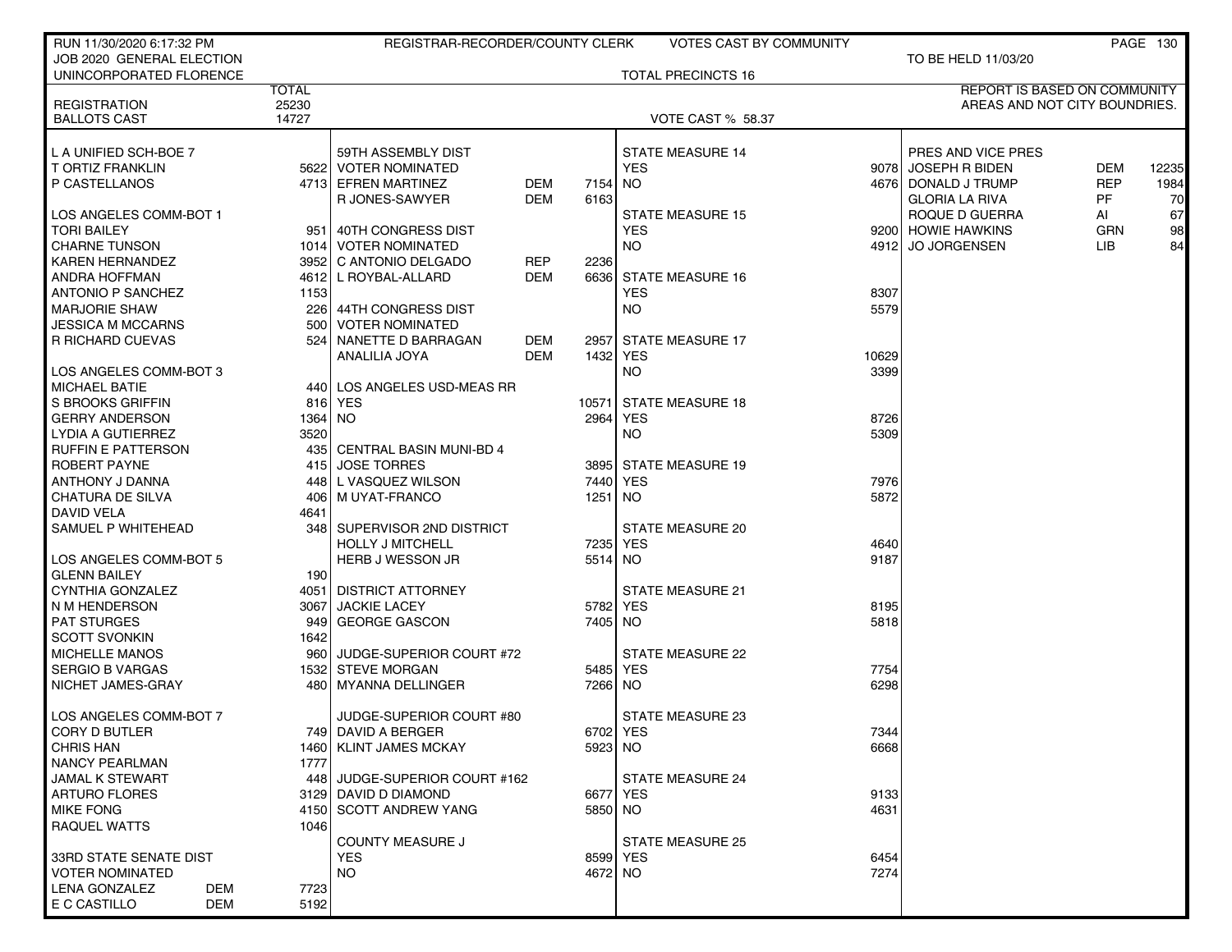| RUN 11/30/2020 6:17:32 PM                          |              | REGISTRAR-RECORDER/COUNTY CLERK |     |          | <b>VOTES CAST BY COMMUNITY</b> |              |                               |            | <b>PAGE 130</b> |
|----------------------------------------------------|--------------|---------------------------------|-----|----------|--------------------------------|--------------|-------------------------------|------------|-----------------|
| JOB 2020 GENERAL ELECTION                          |              |                                 |     |          |                                |              | TO BE HELD 11/03/20           |            |                 |
| UNINCORPORATED FLORENCE                            |              |                                 |     |          | <b>TOTAL PRECINCTS 16</b>      |              |                               |            |                 |
|                                                    | <b>TOTAL</b> |                                 |     |          |                                |              | REPORT IS BASED ON COMMUNITY  |            |                 |
| <b>REGISTRATION</b>                                | 25230        |                                 |     |          |                                |              | AREAS AND NOT CITY BOUNDRIES. |            |                 |
| <b>BALLOTS CAST</b>                                | 14727        |                                 |     |          | <b>VOTE CAST % 58.37</b>       |              |                               |            |                 |
|                                                    |              |                                 |     |          |                                |              |                               |            |                 |
| L A UNIFIED SCH-BOE 7                              |              | 59TH ASSEMBLY DIST              |     |          | <b>STATE MEASURE 14</b>        |              | PRES AND VICE PRES            |            |                 |
| T ORTIZ FRANKLIN                                   |              | 5622 VOTER NOMINATED            |     |          | <b>YES</b>                     |              | 9078 JOSEPH R BIDEN           | <b>DEM</b> | 12235           |
| P CASTELLANOS                                      |              | 4713 EFREN MARTINEZ             | DEM | 7154     | <b>NO</b>                      |              | 4676 DONALD J TRUMP           | <b>REP</b> | 1984            |
|                                                    |              | R JONES-SAWYER                  | DEM | 6163     |                                |              | <b>GLORIA LA RIVA</b>         | PF         | 70              |
| LOS ANGELES COMM-BOT 1                             |              |                                 |     |          | <b>STATE MEASURE 15</b>        |              | ROQUE D GUERRA                | AI         | 67              |
| <b>TORI BAILEY</b>                                 | 951          | 40TH CONGRESS DIST              |     |          | <b>YES</b>                     |              | 9200 HOWIE HAWKINS            | <b>GRN</b> | 98              |
| I CHARNE TUNSON                                    |              | 1014 VOTER NOMINATED            |     |          | <b>NO</b>                      |              | 4912 JO JORGENSEN             | LIB.       | 84              |
| KAREN HERNANDEZ                                    |              | 3952 C ANTONIO DELGADO          | REP | 2236     |                                |              |                               |            |                 |
| ANDRA HOFFMAN                                      |              | 4612 L ROYBAL-ALLARD            | DEM | 6636     | STATE MEASURE 16               |              |                               |            |                 |
| <b>ANTONIO P SANCHEZ</b>                           | 1153         |                                 |     |          | <b>YES</b>                     | 8307         |                               |            |                 |
| <b>MARJORIE SHAW</b>                               | 226          | ∣ 44TH CONGRESS DIST            |     |          | NO                             | 5579         |                               |            |                 |
| JESSICA M MCCARNS                                  | 500          | <b>VOTER NOMINATED</b>          |     |          |                                |              |                               |            |                 |
| R RICHARD CUEVAS                                   | 524          | NANETTE D BARRAGAN              | DEM | 2957     | <b>STATE MEASURE 17</b>        |              |                               |            |                 |
|                                                    |              | ANALILIA JOYA                   | DEM | 1432     | YES                            | 10629        |                               |            |                 |
| LOS ANGELES COMM-BOT 3                             |              |                                 |     |          | NO                             | 3399         |                               |            |                 |
| MICHAEL BATIE                                      | 440          | LOS ANGELES USD-MEAS RR         |     |          |                                |              |                               |            |                 |
| l S BROOKS GRIFFIN                                 |              | 816 YES                         |     | 10571    | <b>STATE MEASURE 18</b>        |              |                               |            |                 |
| <b>GERRY ANDERSON</b>                              | 1364 NO      |                                 |     | 2964     | <b>YES</b>                     | 8726         |                               |            |                 |
| LYDIA A GUTIERREZ                                  | 3520         |                                 |     |          | <b>NO</b>                      | 5309         |                               |            |                 |
| I RUFFIN E PATTERSON                               |              | 435 CENTRAL BASIN MUNI-BD 4     |     |          |                                |              |                               |            |                 |
| ROBERT PAYNE                                       |              | 415 JOSE TORRES                 |     | 3895     | <b>STATE MEASURE 19</b>        |              |                               |            |                 |
| ANTHONY J DANNA                                    | 448          | L VASQUEZ WILSON                |     | 7440     | <b>YES</b>                     | 7976         |                               |            |                 |
| CHATURA DE SILVA                                   | 406          | M UYAT-FRANCO                   |     | 1251     | <b>NO</b>                      | 5872         |                               |            |                 |
| <b>DAVID VELA</b>                                  | 4641         |                                 |     |          |                                |              |                               |            |                 |
| SAMUEL P WHITEHEAD                                 | 348          | I SUPERVISOR 2ND DISTRICT       |     |          | STATE MEASURE 20               |              |                               |            |                 |
|                                                    |              | <b>HOLLY J MITCHELL</b>         |     | 7235     | YES                            | 4640         |                               |            |                 |
| LOS ANGELES COMM-BOT 5                             |              | <b>HERB J WESSON JR</b>         |     | 5514 NO  |                                | 9187         |                               |            |                 |
| <b>GLENN BAILEY</b>                                | 190          |                                 |     |          |                                |              |                               |            |                 |
| CYNTHIA GONZALEZ                                   | 4051         | <b>DISTRICT ATTORNEY</b>        |     |          | <b>STATE MEASURE 21</b>        |              |                               |            |                 |
| N M HENDERSON                                      | 3067         | <b>JACKIE LACEY</b>             |     | 5782 YES |                                | 8195         |                               |            |                 |
| <b>PAT STURGES</b>                                 |              | 949 GEORGE GASCON               |     | 7405 NO  |                                | 5818         |                               |            |                 |
| <b>SCOTT SVONKIN</b>                               | 1642         |                                 |     |          |                                |              |                               |            |                 |
| <b>MICHELLE MANOS</b>                              | 960          | JUDGE-SUPERIOR COURT #72        |     |          | STATE MEASURE 22               |              |                               |            |                 |
| I SERGIO B VARGAS                                  |              | 1532 STEVE MORGAN               |     | 5485     | YES                            | 7754         |                               |            |                 |
| I NICHET JAMES-GRAY                                | 480          | MYANNA DELLINGER                |     | 7266 NO  |                                | 6298         |                               |            |                 |
|                                                    |              |                                 |     |          |                                |              |                               |            |                 |
| LOS ANGELES COMM-BOT 7                             |              | JUDGE-SUPERIOR COURT #80        |     |          | STATE MEASURE 23               |              |                               |            |                 |
| CORY D BUTLER                                      |              | 749 DAVID A BERGER              |     | 6702 YES |                                | 7344         |                               |            |                 |
| <b>CHRIS HAN</b>                                   |              | 1460 KLINT JAMES MCKAY          |     | 5923 NO  |                                | 6668         |                               |            |                 |
| NANCY PEARLMAN                                     | 1777         |                                 |     |          |                                |              |                               |            |                 |
| JAMAL K STEWART                                    |              | 448 JUDGE-SUPERIOR COURT #162   |     |          | <b>STATE MEASURE 24</b>        |              |                               |            |                 |
| ARTURO FLORES                                      |              | 3129 DAVID D DIAMOND            |     | 6677 YES |                                | 9133         |                               |            |                 |
| <b>MIKE FONG</b>                                   |              | 4150 SCOTT ANDREW YANG          |     | 5850 NO  |                                | 4631         |                               |            |                 |
| RAQUEL WATTS                                       | 1046         |                                 |     |          |                                |              |                               |            |                 |
|                                                    |              | <b>COUNTY MEASURE J</b>         |     |          | <b>STATE MEASURE 25</b>        |              |                               |            |                 |
|                                                    |              |                                 |     |          |                                |              |                               |            |                 |
| I 33RD STATE SENATE DIST<br><b>VOTER NOMINATED</b> |              | <b>YES</b><br><b>NO</b>         |     | 8599 YES |                                | 6454<br>7274 |                               |            |                 |
| LENA GONZALEZ                                      | 7723         |                                 |     | 4672 NO  |                                |              |                               |            |                 |
| DEM<br>E C CASTILLO<br>DEM                         | 5192         |                                 |     |          |                                |              |                               |            |                 |
|                                                    |              |                                 |     |          |                                |              |                               |            |                 |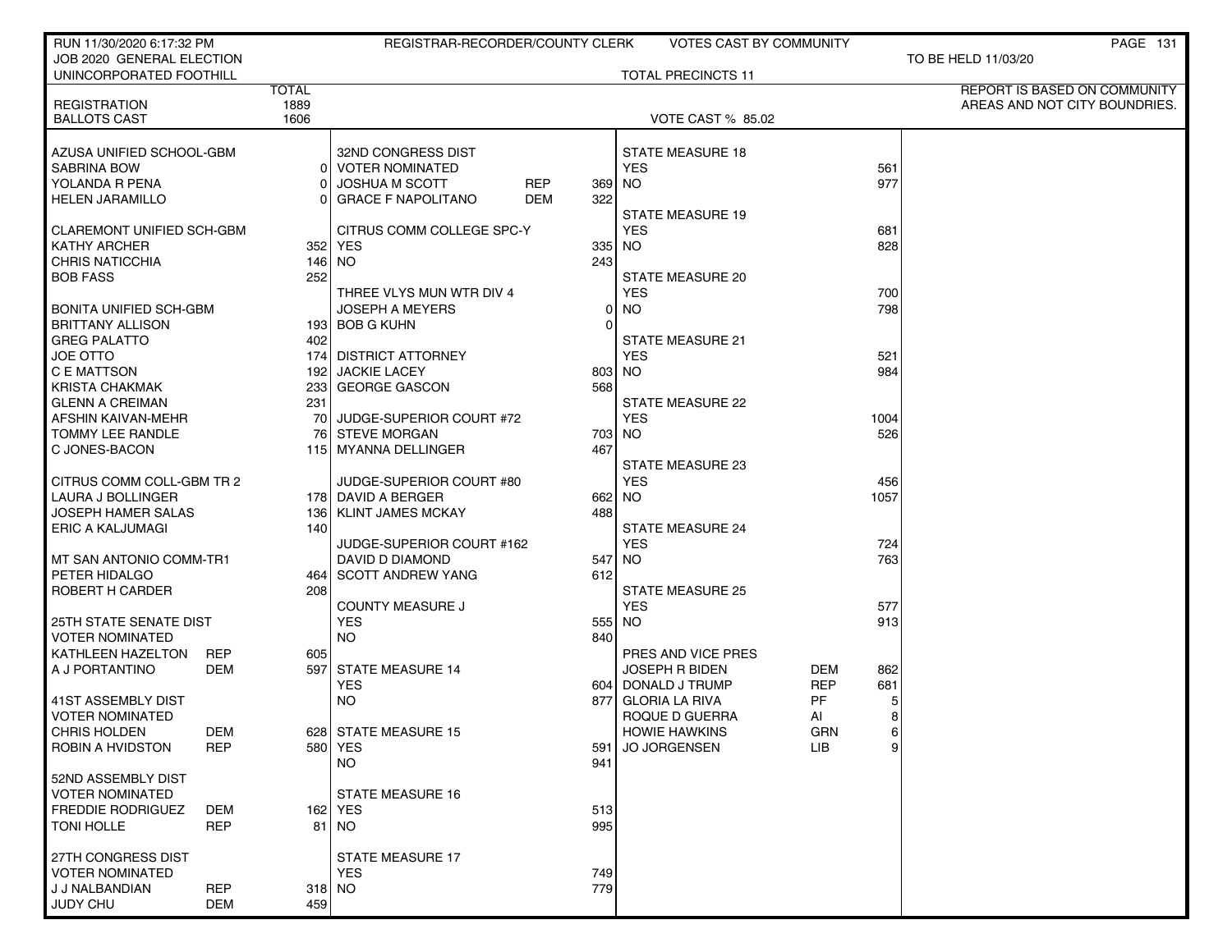| RUN 11/30/2020 6:17:32 PM                    |                   | REGISTRAR-RECORDER/COUNTY CLERK         |        | VOTES CAST BY COMMUNITY   |            |      | <b>PAGE 131</b>               |
|----------------------------------------------|-------------------|-----------------------------------------|--------|---------------------------|------------|------|-------------------------------|
| JOB 2020 GENERAL ELECTION                    |                   |                                         |        |                           |            |      | TO BE HELD 11/03/20           |
| UNINCORPORATED FOOTHILL                      |                   |                                         |        | <b>TOTAL PRECINCTS 11</b> |            |      |                               |
|                                              | <b>TOTAL</b>      |                                         |        |                           |            |      | REPORT IS BASED ON COMMUNITY  |
| <b>REGISTRATION</b><br><b>BALLOTS CAST</b>   | 1889<br>1606      |                                         |        | <b>VOTE CAST % 85.02</b>  |            |      | AREAS AND NOT CITY BOUNDRIES. |
|                                              |                   |                                         |        |                           |            |      |                               |
| AZUSA UNIFIED SCHOOL-GBM                     |                   | 32ND CONGRESS DIST                      |        | <b>STATE MEASURE 18</b>   |            |      |                               |
| SABRINA BOW                                  |                   | <b>VOTER NOMINATED</b><br>01            |        | <b>YES</b>                |            | 561  |                               |
| YOLANDA R PENA                               |                   | <b>JOSHUA M SCOTT</b><br>REP            | 369 NO |                           |            | 977  |                               |
| HELEN JARAMILLO                              |                   | <b>DEM</b><br><b>GRACE F NAPOLITANO</b> | 322    |                           |            |      |                               |
|                                              |                   |                                         |        | <b>STATE MEASURE 19</b>   |            |      |                               |
| CLAREMONT UNIFIED SCH-GBM                    |                   | CITRUS COMM COLLEGE SPC-Y               |        | <b>YES</b>                |            | 681  |                               |
| <b>KATHY ARCHER</b>                          |                   | 352 YES                                 | 335    | NO.                       |            | 828  |                               |
| <b>CHRIS NATICCHIA</b>                       |                   | 146   NO                                | 243    |                           |            |      |                               |
| <b>BOB FASS</b>                              | 252               |                                         |        | <b>STATE MEASURE 20</b>   |            |      |                               |
|                                              |                   | THREE VLYS MUN WTR DIV 4                |        | <b>YES</b>                |            | 700  |                               |
| <b>BONITA UNIFIED SCH-GBM</b>                |                   | <b>JOSEPH A MEYERS</b>                  | 0      | <b>NO</b>                 |            | 798  |                               |
| <b>BRITTANY ALLISON</b>                      |                   | 193 BOB G KUHN                          |        |                           |            |      |                               |
| <b>GREG PALATTO</b>                          | 402               |                                         |        | <b>STATE MEASURE 21</b>   |            |      |                               |
| JOE OTTO                                     |                   | 174   DISTRICT ATTORNEY                 |        | <b>YES</b>                |            | 521  |                               |
| C E MATTSON                                  | 192 l             | <b>JACKIE LACEY</b>                     | 803 NO |                           |            | 984  |                               |
| I KRISTA CHAKMAK                             | 233               | <b>GEORGE GASCON</b>                    | 568    |                           |            |      |                               |
| I GLENN A CREIMAN                            | 231               |                                         |        | <b>STATE MEASURE 22</b>   |            |      |                               |
| <b>AFSHIN KAIVAN-MEHR</b>                    | 70 l              | JUDGE-SUPERIOR COURT #72                |        | <b>YES</b>                |            | 1004 |                               |
| TOMMY LEE RANDLE                             | 76                | <b>STEVE MORGAN</b>                     | 703    | <b>NO</b>                 |            | 526  |                               |
| C JONES-BACON                                |                   | 115   MYANNA DELLINGER                  | 467    |                           |            |      |                               |
|                                              |                   |                                         |        | <b>STATE MEASURE 23</b>   |            |      |                               |
| CITRUS COMM COLL-GBM TR 2                    |                   | JUDGE-SUPERIOR COURT #80                |        | <b>YES</b>                |            | 456  |                               |
| LAURA J BOLLINGER                            |                   | 178 DAVID A BERGER                      | 662    | <b>NO</b>                 |            | 1057 |                               |
| JOSEPH HAMER SALAS                           |                   | 136   KLINT JAMES MCKAY                 | 488    |                           |            |      |                               |
| <b>ERIC A KALJUMAGI</b>                      | 140               |                                         |        | <b>STATE MEASURE 24</b>   |            |      |                               |
|                                              |                   | JUDGE-SUPERIOR COURT #162               |        | <b>YES</b>                |            | 724  |                               |
| MT SAN ANTONIO COMM-TR1                      |                   | DAVID D DIAMOND                         | 547    | <b>NO</b>                 |            | 763  |                               |
| PETER HIDALGO                                |                   | 464 SCOTT ANDREW YANG                   | 612    |                           |            |      |                               |
| ROBERT H CARDER                              | 208               |                                         |        | <b>STATE MEASURE 25</b>   |            |      |                               |
|                                              |                   | <b>COUNTY MEASURE J</b>                 |        | <b>YES</b>                |            | 577  |                               |
| 25TH STATE SENATE DIST                       |                   | <b>YES</b>                              | 555    | <b>NO</b>                 |            | 913  |                               |
| VOTER NOMINATED                              |                   | <b>NO</b>                               | 840    |                           |            |      |                               |
| I KATHLEEN HAZELTON                          | <b>REP</b><br>605 |                                         |        | PRES AND VICE PRES        |            |      |                               |
| A J PORTANTINO                               | DEM               | 597 STATE MEASURE 14                    |        | <b>JOSEPH R BIDEN</b>     | DEM        | 862  |                               |
|                                              |                   | <b>YES</b>                              |        | 604 DONALD J TRUMP        | REP        | 681  |                               |
| 41ST ASSEMBLY DIST                           |                   | <b>NO</b>                               |        | 877 GLORIA LA RIVA        | PF         | 5    |                               |
| <b>VOTER NOMINATED</b>                       |                   |                                         |        | ROQUE D GUERRA            | AI         | 8    |                               |
| CHRIS HOLDEN                                 | DEM               | 628 STATE MEASURE 15                    |        | <b>HOWIE HAWKINS</b>      | <b>GRN</b> | 6    |                               |
| <b>ROBIN A HVIDSTON</b>                      | <b>REP</b>        | 580 YES                                 | 591    | JO JORGENSEN              | <b>LIB</b> | 9    |                               |
|                                              |                   | <b>NO</b>                               | 941    |                           |            |      |                               |
| 52ND ASSEMBLY DIST<br><b>VOTER NOMINATED</b> |                   |                                         |        |                           |            |      |                               |
| <b>FREDDIE RODRIGUEZ</b>                     |                   | <b>STATE MEASURE 16</b>                 |        |                           |            |      |                               |
| <b>TONI HOLLE</b>                            | DEM               | 162 YES                                 | 513    |                           |            |      |                               |
|                                              | <b>REP</b><br>81  | NO                                      | 995    |                           |            |      |                               |
| 27TH CONGRESS DIST                           |                   | STATE MEASURE 17                        |        |                           |            |      |                               |
| <b>VOTER NOMINATED</b>                       |                   | <b>YES</b>                              | 749    |                           |            |      |                               |
| J J NALBANDIAN                               | <b>REP</b>        | $318$ NO                                | 779    |                           |            |      |                               |
| JUDY CHU                                     | DEM<br>459        |                                         |        |                           |            |      |                               |
|                                              |                   |                                         |        |                           |            |      |                               |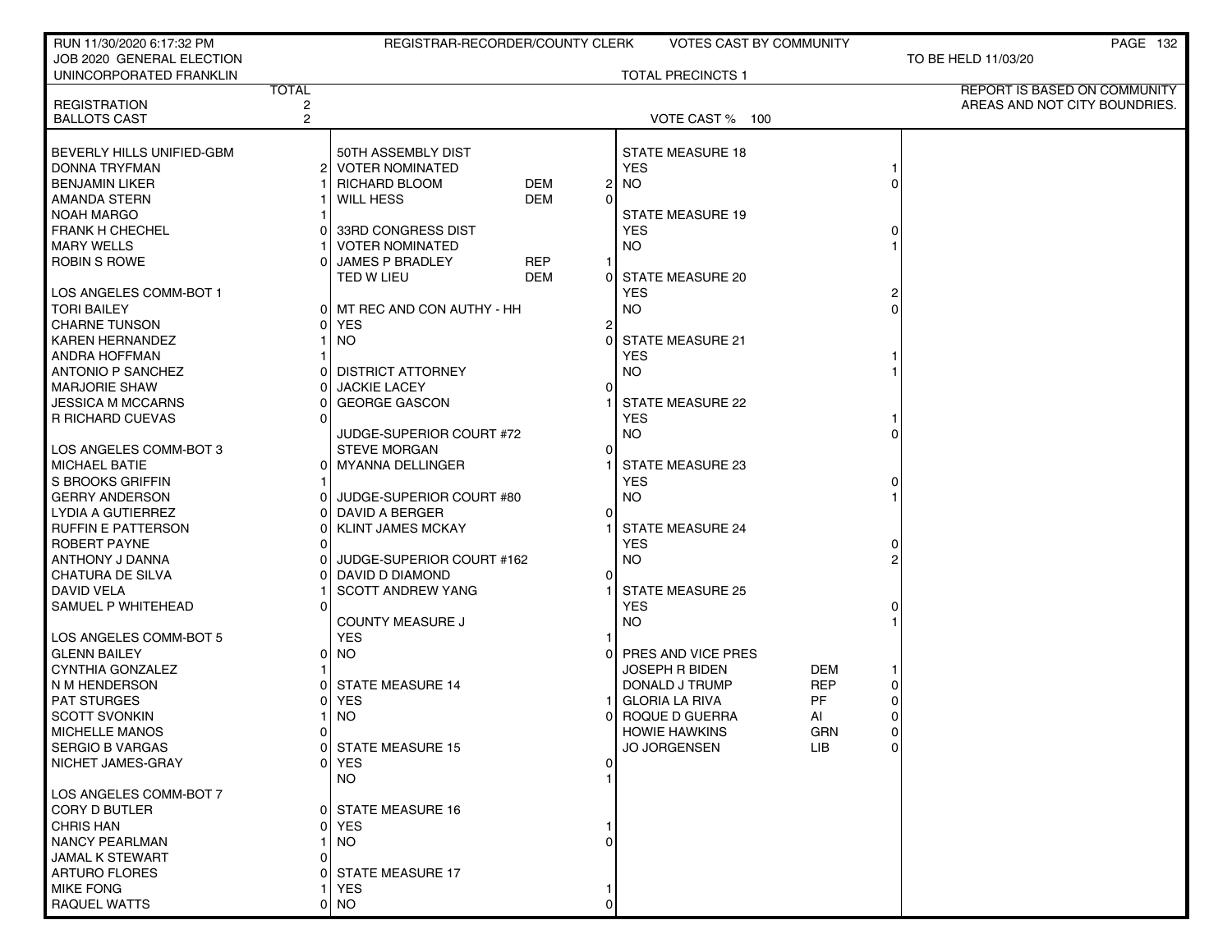| RUN 11/30/2020 6:17:32 PM                  |                     | REGISTRAR-RECORDER/COUNTY CLERK |            |          | <b>VOTES CAST BY COMMUNITY</b> |            |                |                               | <b>PAGE 132</b> |
|--------------------------------------------|---------------------|---------------------------------|------------|----------|--------------------------------|------------|----------------|-------------------------------|-----------------|
| JOB 2020 GENERAL ELECTION                  |                     |                                 |            |          |                                |            |                | TO BE HELD 11/03/20           |                 |
| UNINCORPORATED FRANKLIN                    |                     |                                 |            |          | <b>TOTAL PRECINCTS 1</b>       |            |                |                               |                 |
|                                            | <b>TOTAL</b>        |                                 |            |          |                                |            |                | REPORT IS BASED ON COMMUNITY  |                 |
| <b>REGISTRATION</b><br><b>BALLOTS CAST</b> | 2<br>$\overline{2}$ |                                 |            |          | VOTE CAST % 100                |            |                | AREAS AND NOT CITY BOUNDRIES. |                 |
|                                            |                     |                                 |            |          |                                |            |                |                               |                 |
| BEVERLY HILLS UNIFIED-GBM                  |                     | 50TH ASSEMBLY DIST              |            |          | <b>STATE MEASURE 18</b>        |            |                |                               |                 |
| DONNA TRYFMAN                              | 21                  | <b>VOTER NOMINATED</b>          |            |          | <b>YES</b>                     |            |                |                               |                 |
| <b>BENJAMIN LIKER</b>                      |                     | RICHARD BLOOM                   | <b>DEM</b> | 2        | <b>NO</b>                      |            |                |                               |                 |
| AMANDA STERN                               |                     | WILL HESS                       | <b>DEM</b> | $\Omega$ |                                |            |                |                               |                 |
| <b>NOAH MARGO</b>                          |                     |                                 |            |          | <b>STATE MEASURE 19</b>        |            |                |                               |                 |
| <b>FRANK H CHECHEL</b>                     |                     | 33RD CONGRESS DIST              |            |          | <b>YES</b>                     |            |                |                               |                 |
| <b>MARY WELLS</b>                          |                     | <b>VOTER NOMINATED</b>          |            |          | <b>NO</b>                      |            |                |                               |                 |
| <b>ROBIN S ROWE</b>                        |                     | <b>JAMES P BRADLEY</b>          | <b>REP</b> |          |                                |            |                |                               |                 |
|                                            |                     | TED W LIEU                      | <b>DEM</b> | 0        | STATE MEASURE 20               |            |                |                               |                 |
| LOS ANGELES COMM-BOT 1                     |                     |                                 |            |          | <b>YES</b>                     |            |                |                               |                 |
| <b>TORI BAILEY</b>                         |                     | 0 MT REC AND CON AUTHY - HH     |            |          | <b>NO</b>                      |            |                |                               |                 |
| <b>CHARNE TUNSON</b>                       |                     | <b>YES</b>                      |            | 2        |                                |            |                |                               |                 |
| <b>KAREN HERNANDEZ</b>                     |                     | NO.                             |            | $\Omega$ | <b>STATE MEASURE 21</b>        |            |                |                               |                 |
| <b>ANDRA HOFFMAN</b>                       |                     |                                 |            |          | <b>YES</b>                     |            |                |                               |                 |
| <b>ANTONIO P SANCHEZ</b>                   |                     | <b>DISTRICT ATTORNEY</b>        |            |          | <b>NO</b>                      |            |                |                               |                 |
| <b>MARJORIE SHAW</b>                       |                     | <b>JACKIE LACEY</b>             |            | $\Omega$ |                                |            |                |                               |                 |
| JESSICA M MCCARNS                          |                     | <b>GEORGE GASCON</b>            |            |          | STATE MEASURE 22               |            |                |                               |                 |
| <b>R RICHARD CUEVAS</b>                    |                     |                                 |            |          | <b>YES</b>                     |            |                |                               |                 |
|                                            |                     | JUDGE-SUPERIOR COURT #72        |            |          | <b>NO</b>                      |            |                |                               |                 |
| LOS ANGELES COMM-BOT 3                     |                     | <b>STEVE MORGAN</b>             |            | O        |                                |            |                |                               |                 |
| <b>MICHAEL BATIE</b>                       |                     | 0 MYANNA DELLINGER              |            |          | <b>STATE MEASURE 23</b>        |            |                |                               |                 |
| S BROOKS GRIFFIN                           |                     |                                 |            |          | <b>YES</b>                     |            |                |                               |                 |
| <b>GERRY ANDERSON</b>                      |                     | JUDGE-SUPERIOR COURT #80        |            |          | <b>NO</b>                      |            |                |                               |                 |
| LYDIA A GUTIERREZ                          |                     | DAVID A BERGER                  |            |          |                                |            |                |                               |                 |
| <b>RUFFIN E PATTERSON</b>                  |                     | <b>KLINT JAMES MCKAY</b>        |            |          | <b>STATE MEASURE 24</b>        |            |                |                               |                 |
| ROBERT PAYNE                               |                     |                                 |            |          | <b>YES</b>                     |            |                |                               |                 |
| ANTHONY J DANNA                            |                     | JUDGE-SUPERIOR COURT #162       |            |          | <b>NO</b>                      |            |                |                               |                 |
| CHATURA DE SILVA                           |                     | DAVID D DIAMOND                 |            | $\Omega$ |                                |            |                |                               |                 |
| DAVID VELA                                 |                     | <b>SCOTT ANDREW YANG</b>        |            |          | <b>STATE MEASURE 25</b>        |            |                |                               |                 |
| SAMUEL P WHITEHEAD                         |                     |                                 |            |          | <b>YES</b>                     |            |                |                               |                 |
|                                            |                     | <b>COUNTY MEASURE J</b>         |            |          | <b>NO</b>                      |            |                |                               |                 |
| LOS ANGELES COMM-BOT 5                     |                     | <b>YES</b>                      |            |          |                                |            |                |                               |                 |
| <b>GLENN BAILEY</b>                        | οI                  | NO.                             |            | 0        | PRES AND VICE PRES             |            |                |                               |                 |
| <b>CYNTHIA GONZALEZ</b>                    |                     |                                 |            |          | <b>JOSEPH R BIDEN</b>          | DEM        |                |                               |                 |
| N M HENDERSON                              |                     | <b>STATE MEASURE 14</b>         |            |          | DONALD J TRUMP                 | <b>REP</b> | 0              |                               |                 |
| <b>PAT STURGES</b>                         |                     | <b>YES</b>                      |            |          | <b>GLORIA LA RIVA</b>          | PF         |                |                               |                 |
| <b>SCOTT SVONKIN</b>                       |                     | <b>NO</b>                       |            | 0        | ROQUE D GUERRA                 | AI         | 0              |                               |                 |
| <b>MICHELLE MANOS</b>                      | 01                  |                                 |            |          | <b>HOWIE HAWKINS</b>           | GRN        | $\overline{0}$ |                               |                 |
| <b>SERGIO B VARGAS</b>                     |                     | 0 STATE MEASURE 15              |            |          | <b>JO JORGENSEN</b>            | LIB.       | $\Omega$       |                               |                 |
| NICHET JAMES-GRAY                          |                     | 0 IYES                          |            | $\Omega$ |                                |            |                |                               |                 |
|                                            |                     | NO.                             |            |          |                                |            |                |                               |                 |
| LOS ANGELES COMM-BOT 7                     |                     |                                 |            |          |                                |            |                |                               |                 |
| <b>CORY D BUTLER</b>                       | 01                  | <b>STATE MEASURE 16</b>         |            |          |                                |            |                |                               |                 |
| <b>CHRIS HAN</b>                           | ΩI                  | <b>YES</b>                      |            |          |                                |            |                |                               |                 |
| <b>NANCY PEARLMAN</b>                      |                     | NO.                             |            |          |                                |            |                |                               |                 |
| JAMAL K STEWART                            |                     |                                 |            |          |                                |            |                |                               |                 |
| <b>ARTURO FLORES</b>                       |                     | <b>STATE MEASURE 17</b>         |            |          |                                |            |                |                               |                 |
| <b>MIKE FONG</b>                           |                     | YES.                            |            |          |                                |            |                |                               |                 |
| RAQUEL WATTS                               | ΩI                  | <b>NO</b>                       |            |          |                                |            |                |                               |                 |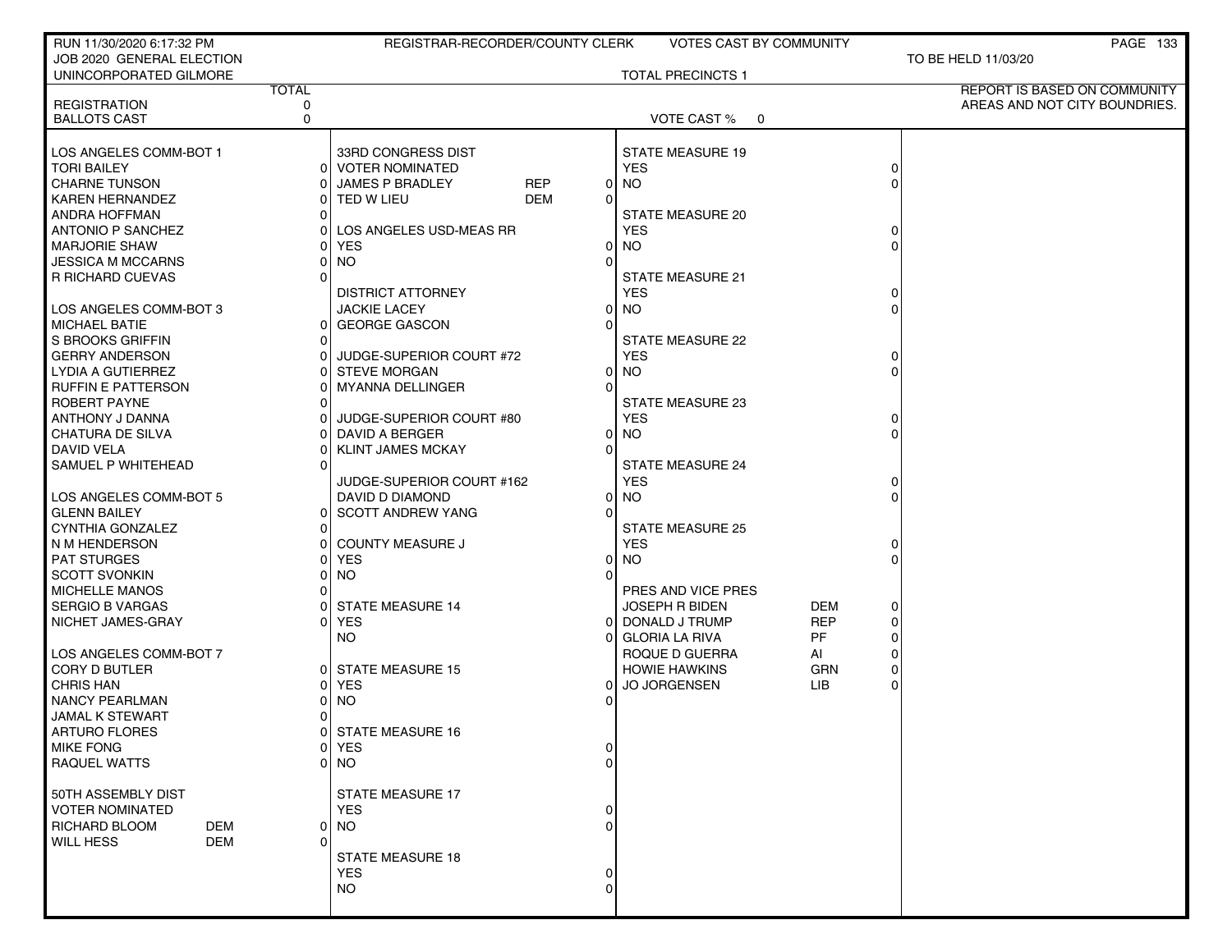| RUN 11/30/2020 6:17:32 PM         |              | REGISTRAR-RECORDER/COUNTY CLERK |                                             | <b>VOTES CAST BY COMMUNITY</b> |          | <b>PAGE 133</b>               |
|-----------------------------------|--------------|---------------------------------|---------------------------------------------|--------------------------------|----------|-------------------------------|
| JOB 2020 GENERAL ELECTION         |              |                                 |                                             |                                |          | TO BE HELD 11/03/20           |
| UNINCORPORATED GILMORE            |              |                                 | <b>TOTAL PRECINCTS 1</b>                    |                                |          |                               |
|                                   | <b>TOTAL</b> |                                 |                                             |                                |          | REPORT IS BASED ON COMMUNITY  |
| <b>REGISTRATION</b>               | 0            |                                 |                                             |                                |          | AREAS AND NOT CITY BOUNDRIES. |
| <b>BALLOTS CAST</b>               | $\Omega$     |                                 | VOTE CAST % 0                               |                                |          |                               |
|                                   |              |                                 |                                             |                                |          |                               |
| LOS ANGELES COMM-BOT 1            |              | 33RD CONGRESS DIST              | <b>STATE MEASURE 19</b>                     |                                |          |                               |
| <b>TORI BAILEY</b>                |              | 0 VOTER NOMINATED               | <b>YES</b>                                  |                                | 0        |                               |
| <b>CHARNE TUNSON</b>              |              | JAMES P BRADLEY<br><b>REP</b>   | $0$ NO                                      |                                |          |                               |
| <b>KAREN HERNANDEZ</b>            |              | <b>DEM</b><br>0 TED W LIEU      | $\Omega$                                    |                                |          |                               |
| <b>ANDRA HOFFMAN</b>              |              |                                 | STATE MEASURE 20                            |                                |          |                               |
| ANTONIO P SANCHEZ                 |              | LOS ANGELES USD-MEAS RR         | <b>YES</b>                                  |                                | 0        |                               |
| <b>MARJORIE SHAW</b>              | ΩI           | <b>YES</b>                      | $0$ NO                                      |                                | U        |                               |
| JESSICA M MCCARNS                 | ΩI           | <b>NO</b>                       | $\Omega$                                    |                                |          |                               |
| R RICHARD CUEVAS                  |              |                                 | STATE MEASURE 21                            |                                |          |                               |
|                                   |              | <b>DISTRICT ATTORNEY</b>        | <b>YES</b>                                  |                                | O        |                               |
| LOS ANGELES COMM-BOT 3            |              | <b>JACKIE LACEY</b>             | $0$ NO                                      |                                | 0        |                               |
| <b>MICHAEL BATIE</b>              |              | 0 GEORGE GASCON                 |                                             |                                |          |                               |
| S BROOKS GRIFFIN                  | $\Omega$     |                                 | <b>STATE MEASURE 22</b>                     |                                |          |                               |
| <b>GERRY ANDERSON</b>             | 01           | JUDGE-SUPERIOR COURT #72        | <b>YES</b>                                  |                                | 0        |                               |
| LYDIA A GUTIERREZ                 |              | <b>STEVE MORGAN</b>             | <b>NO</b><br>0                              |                                | 0        |                               |
| <b>RUFFIN E PATTERSON</b>         |              | <b>MYANNA DELLINGER</b>         | $\Omega$                                    |                                |          |                               |
| ROBERT PAYNE                      |              |                                 | STATE MEASURE 23                            |                                |          |                               |
| ANTHONY J DANNA                   |              | JUDGE-SUPERIOR COURT #80        | <b>YES</b>                                  |                                | 0        |                               |
| <b>CHATURA DE SILVA</b>           |              | DAVID A BERGER                  | <b>NO</b><br>0                              |                                |          |                               |
| <b>DAVID VELA</b>                 |              | <b>KLINT JAMES MCKAY</b>        | $\Omega$                                    |                                |          |                               |
| SAMUEL P WHITEHEAD                | $\Omega$     |                                 | <b>STATE MEASURE 24</b>                     |                                |          |                               |
|                                   |              | JUDGE-SUPERIOR COURT #162       | <b>YES</b>                                  |                                | O        |                               |
| LOS ANGELES COMM-BOT 5            |              | DAVID D DIAMOND                 | $0$ NO                                      |                                | 0        |                               |
| <b>GLENN BAILEY</b>               |              | 0 SCOTT ANDREW YANG             |                                             |                                |          |                               |
| CYNTHIA GONZALEZ                  | $\Omega$     |                                 | <b>STATE MEASURE 25</b>                     |                                |          |                               |
| N M HENDERSON                     |              | 0 COUNTY MEASURE J              | <b>YES</b>                                  |                                | 0        |                               |
| <b>PAT STURGES</b>                |              | 0 YES                           | $0$ NO                                      |                                |          |                               |
| <b>SCOTT SVONKIN</b>              |              | <b>NO</b>                       |                                             |                                |          |                               |
| <b>MICHELLE MANOS</b>             |              |                                 | PRES AND VICE PRES                          |                                |          |                               |
| <b>SERGIO B VARGAS</b>            |              | <b>STATE MEASURE 14</b>         | <b>JOSEPH R BIDEN</b>                       | DEM                            | 0        |                               |
| NICHET JAMES-GRAY                 | ΩI           | <b>YES</b>                      | 0 DONALD J TRUMP<br>O                       | <b>REP</b><br>PF               | 0        |                               |
| LOS ANGELES COMM-BOT 7            |              | NO.                             | <b>GLORIA LA RIVA</b>                       |                                | 0<br>0   |                               |
| <b>CORY D BUTLER</b>              |              | 0 STATE MEASURE 15              | ROQUE D GUERRA                              | AI                             | 0        |                               |
| <b>CHRIS HAN</b>                  | ΩI           | <b>YES</b>                      | <b>HOWIE HAWKINS</b><br><b>JO JORGENSEN</b> | GRN<br><b>LIB</b>              | $\Omega$ |                               |
| <b>NANCY PEARLMAN</b>             | 01           | <b>NO</b>                       | 0                                           |                                |          |                               |
| <b>JAMAL K STEWART</b>            | $\Omega$     |                                 |                                             |                                |          |                               |
|                                   |              |                                 |                                             |                                |          |                               |
| ARTURO FLORES<br><b>MIKE FONG</b> |              | 0  STATE MEASURE 16<br>0 YES    |                                             |                                |          |                               |
| <b>RAQUEL WATTS</b>               |              | 0 NO                            | $\Omega$                                    |                                |          |                               |
|                                   |              |                                 |                                             |                                |          |                               |
| 50TH ASSEMBLY DIST                |              | STATE MEASURE 17                |                                             |                                |          |                               |
| <b>VOTER NOMINATED</b>            |              | <b>YES</b>                      |                                             |                                |          |                               |
| RICHARD BLOOM<br>DEM              |              | 0 NO                            |                                             |                                |          |                               |
| <b>WILL HESS</b><br><b>DEM</b>    |              |                                 |                                             |                                |          |                               |
|                                   |              | <b>STATE MEASURE 18</b>         |                                             |                                |          |                               |
|                                   |              | <b>YES</b>                      |                                             |                                |          |                               |
|                                   |              | NO.                             | $\Omega$                                    |                                |          |                               |
|                                   |              |                                 |                                             |                                |          |                               |
|                                   |              |                                 |                                             |                                |          |                               |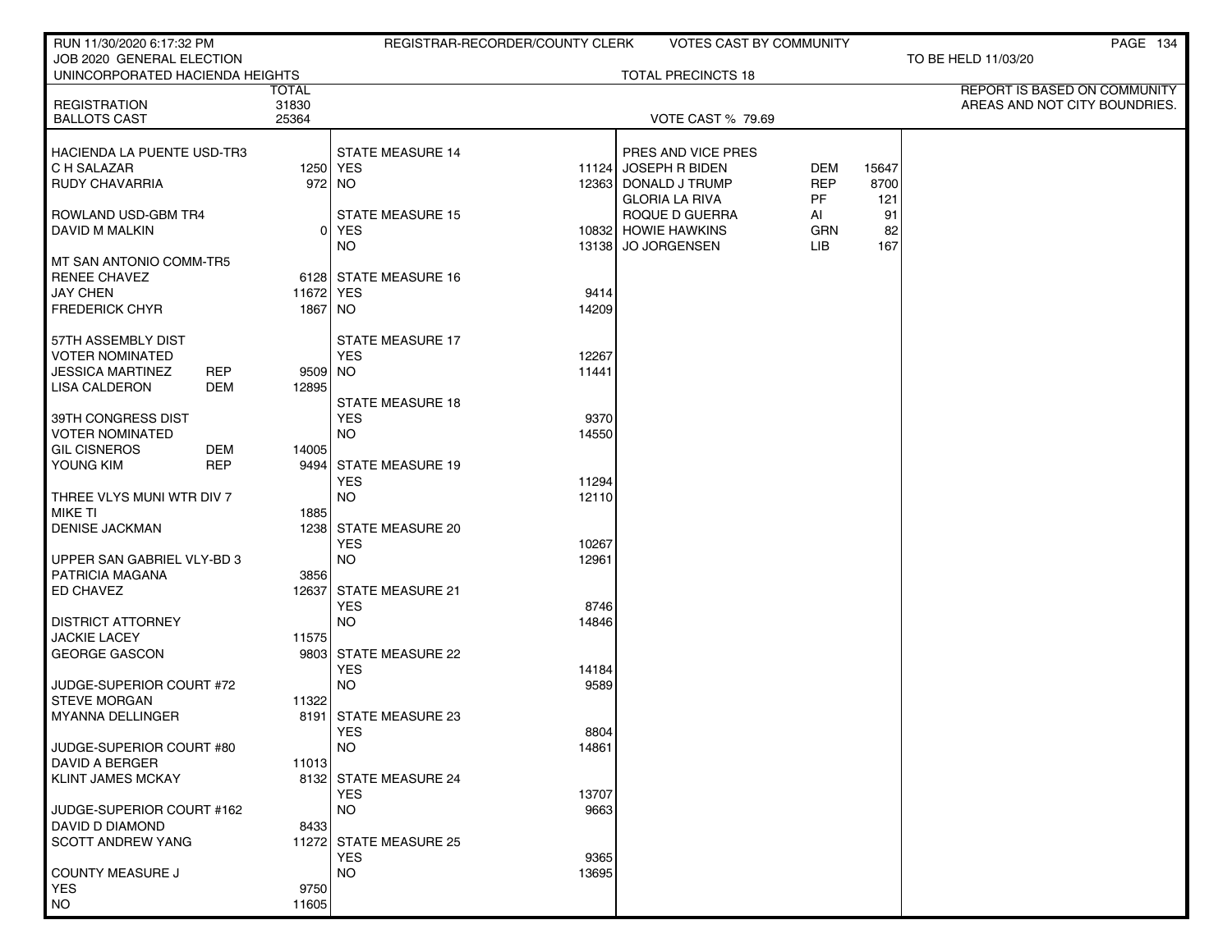| RUN 11/30/2020 6:17:32 PM                             |                       | REGISTRAR-RECORDER/COUNTY CLERK     | <b>VOTES CAST BY COMMUNITY</b>      |       | PAGE 134                                                      |
|-------------------------------------------------------|-----------------------|-------------------------------------|-------------------------------------|-------|---------------------------------------------------------------|
| JOB 2020 GENERAL ELECTION                             |                       |                                     |                                     |       | TO BE HELD 11/03/20                                           |
| UNINCORPORATED HACIENDA HEIGHTS                       |                       |                                     | <b>TOTAL PRECINCTS 18</b>           |       |                                                               |
| <b>REGISTRATION</b>                                   | <b>TOTAL</b><br>31830 |                                     |                                     |       | REPORT IS BASED ON COMMUNITY<br>AREAS AND NOT CITY BOUNDRIES. |
| <b>BALLOTS CAST</b>                                   | 25364                 |                                     | <b>VOTE CAST % 79.69</b>            |       |                                                               |
|                                                       |                       |                                     |                                     |       |                                                               |
| <b>HACIENDA LA PUENTE USD-TR3</b>                     |                       | <b>STATE MEASURE 14</b>             | PRES AND VICE PRES                  |       |                                                               |
| C H SALAZAR                                           |                       | 1250 YES<br>11124                   | <b>JOSEPH R BIDEN</b><br><b>DEM</b> | 15647 |                                                               |
| <b>RUDY CHAVARRIA</b>                                 |                       | 972 NO                              | <b>REP</b><br>12363 DONALD J TRUMP  | 8700  |                                                               |
|                                                       |                       |                                     | PF<br><b>GLORIA LA RIVA</b>         | 121   |                                                               |
| ROWLAND USD-GBM TR4                                   |                       | <b>STATE MEASURE 15</b>             | ROQUE D GUERRA<br>AI                | 91    |                                                               |
| DAVID M MALKIN                                        |                       | 0 YES                               | 10832 HOWIE HAWKINS<br>GRN          | 82    |                                                               |
|                                                       |                       | <b>NO</b><br>13138                  | <b>JO JORGENSEN</b><br>LIB.         | 167   |                                                               |
| MT SAN ANTONIO COMM-TR5<br><b>RENEE CHAVEZ</b>        |                       | 6128 STATE MEASURE 16               |                                     |       |                                                               |
| <b>JAY CHEN</b>                                       | 11672 YES             | 9414                                |                                     |       |                                                               |
| <b>FREDERICK CHYR</b>                                 | 1867 NO               | 14209                               |                                     |       |                                                               |
|                                                       |                       |                                     |                                     |       |                                                               |
| 57TH ASSEMBLY DIST                                    |                       | <b>STATE MEASURE 17</b>             |                                     |       |                                                               |
| <b>VOTER NOMINATED</b>                                |                       | <b>YES</b><br>12267                 |                                     |       |                                                               |
| <b>JESSICA MARTINEZ</b><br><b>REP</b>                 | 9509 NO               | 11441                               |                                     |       |                                                               |
| <b>LISA CALDERON</b><br>DEM                           | 12895                 |                                     |                                     |       |                                                               |
|                                                       |                       | <b>STATE MEASURE 18</b>             |                                     |       |                                                               |
| 39TH CONGRESS DIST                                    |                       | <b>YES</b><br>9370                  |                                     |       |                                                               |
| <b>VOTER NOMINATED</b>                                |                       | <b>NO</b><br>14550                  |                                     |       |                                                               |
| <b>GIL CISNEROS</b><br>DEM<br>YOUNG KIM<br><b>REP</b> | 14005                 | 9494 STATE MEASURE 19               |                                     |       |                                                               |
|                                                       |                       | 11294<br><b>YES</b>                 |                                     |       |                                                               |
| THREE VLYS MUNI WTR DIV 7                             |                       | <b>NO</b><br>12110                  |                                     |       |                                                               |
| <b>MIKE TI</b>                                        | 1885                  |                                     |                                     |       |                                                               |
| <b>DENISE JACKMAN</b>                                 |                       | 1238 STATE MEASURE 20               |                                     |       |                                                               |
|                                                       |                       | <b>YES</b><br>10267                 |                                     |       |                                                               |
| UPPER SAN GABRIEL VLY-BD 3                            |                       | <b>NO</b><br>12961                  |                                     |       |                                                               |
| <b>PATRICIA MAGANA</b>                                | 3856                  |                                     |                                     |       |                                                               |
| ED CHAVEZ                                             |                       | 12637 STATE MEASURE 21              |                                     |       |                                                               |
|                                                       |                       | <b>YES</b><br>8746                  |                                     |       |                                                               |
| DISTRICT ATTORNEY<br><b>JACKIE LACEY</b>              | 11575                 | <b>NO</b><br>14846                  |                                     |       |                                                               |
| <b>GEORGE GASCON</b>                                  |                       | 9803 STATE MEASURE 22               |                                     |       |                                                               |
|                                                       |                       | <b>YES</b><br>14184                 |                                     |       |                                                               |
| JUDGE-SUPERIOR COURT #72                              |                       | <b>NO</b><br>9589                   |                                     |       |                                                               |
| <b>STEVE MORGAN</b>                                   | 11322                 |                                     |                                     |       |                                                               |
| <b>MYANNA DELLINGER</b>                               |                       | 8191 STATE MEASURE 23               |                                     |       |                                                               |
|                                                       |                       | YES<br>8804                         |                                     |       |                                                               |
| JUDGE-SUPERIOR COURT #80                              |                       | <b>NO</b><br>14861                  |                                     |       |                                                               |
| DAVID A BERGER                                        | 11013                 |                                     |                                     |       |                                                               |
| <b>KLINT JAMES MCKAY</b>                              |                       | 8132 STATE MEASURE 24<br><b>YES</b> |                                     |       |                                                               |
| JUDGE-SUPERIOR COURT #162                             |                       | 13707<br><b>NO</b><br>9663          |                                     |       |                                                               |
| DAVID D DIAMOND                                       | 8433                  |                                     |                                     |       |                                                               |
| <b>SCOTT ANDREW YANG</b>                              |                       | 11272 STATE MEASURE 25              |                                     |       |                                                               |
|                                                       |                       | <b>YES</b><br>9365                  |                                     |       |                                                               |
| <b>COUNTY MEASURE J</b>                               |                       | <b>NO</b><br>13695                  |                                     |       |                                                               |
| <b>YES</b>                                            | 9750                  |                                     |                                     |       |                                                               |
| <b>NO</b>                                             | 11605                 |                                     |                                     |       |                                                               |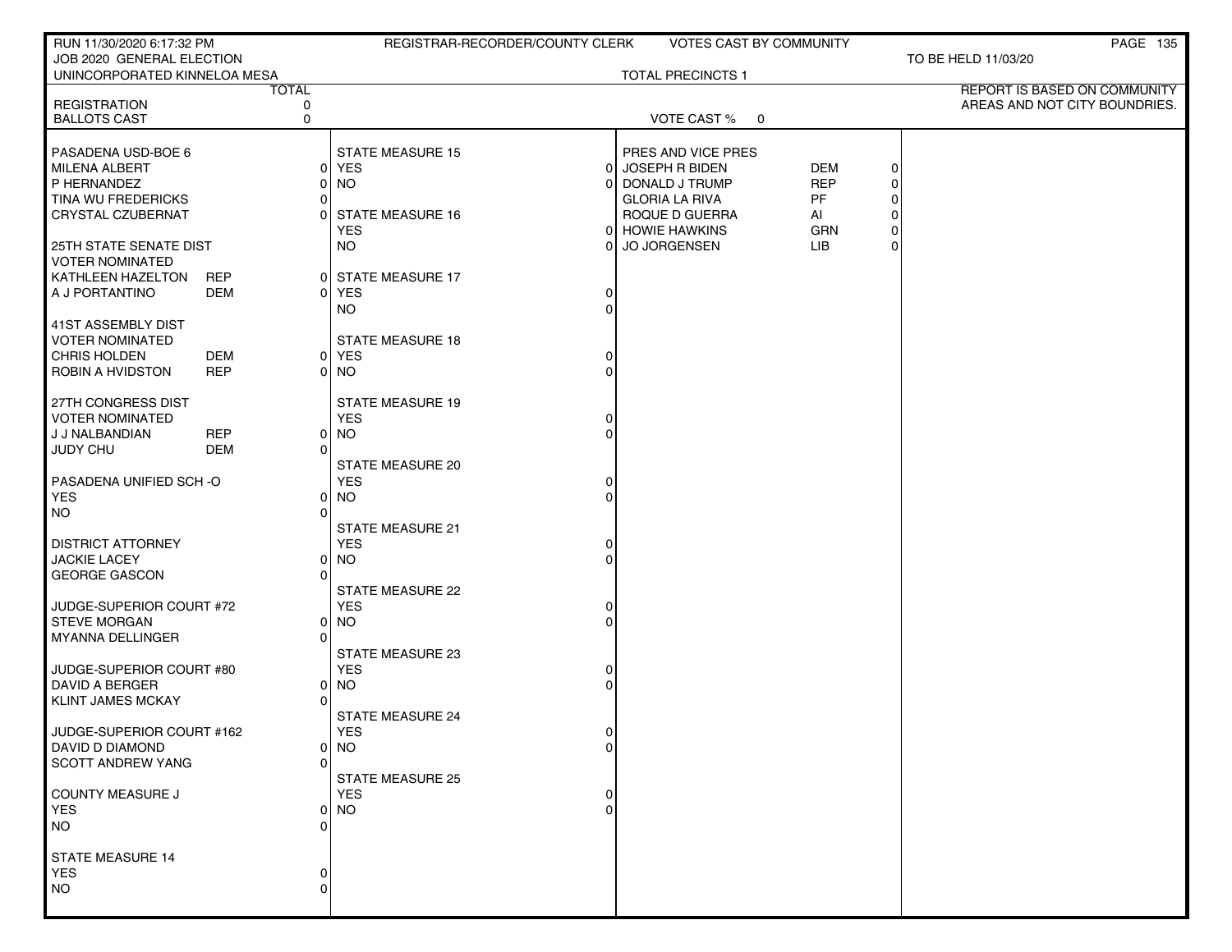| RUN 11/30/2020 6:17:32 PM                         |            |                   | REGISTRAR-RECORDER/COUNTY CLERK |                |                          | <b>VOTES CAST BY COMMUNITY</b> |             | PAGE 135                                                      |
|---------------------------------------------------|------------|-------------------|---------------------------------|----------------|--------------------------|--------------------------------|-------------|---------------------------------------------------------------|
| JOB 2020 GENERAL ELECTION                         |            |                   |                                 |                |                          |                                |             | TO BE HELD 11/03/20                                           |
| UNINCORPORATED KINNELOA MESA                      |            |                   |                                 |                | <b>TOTAL PRECINCTS 1</b> |                                |             |                                                               |
| <b>REGISTRATION</b>                               |            | <b>TOTAL</b><br>0 |                                 |                |                          |                                |             | REPORT IS BASED ON COMMUNITY<br>AREAS AND NOT CITY BOUNDRIES. |
| <b>BALLOTS CAST</b>                               |            | 0                 |                                 |                | VOTE CAST %              | $\overline{\mathbf{0}}$        |             |                                                               |
|                                                   |            |                   |                                 |                |                          |                                |             |                                                               |
| PASADENA USD-BOE 6                                |            |                   | <b>STATE MEASURE 15</b>         |                | PRES AND VICE PRES       |                                |             |                                                               |
| MILENA ALBERT                                     |            | 01                | YES                             |                | 0 JOSEPH R BIDEN         | <b>DEM</b>                     | $\mathbf 0$ |                                                               |
| P HERNANDEZ                                       |            | 01                | <b>NO</b>                       |                | 0 DONALD J TRUMP         | <b>REP</b>                     | $\mathbf 0$ |                                                               |
| TINA WU FREDERICKS                                |            |                   |                                 |                | <b>GLORIA LA RIVA</b>    | <b>PF</b>                      | $\mathbf 0$ |                                                               |
| CRYSTAL CZUBERNAT                                 |            |                   | <b>STATE MEASURE 16</b>         |                | ROQUE D GUERRA           | Al                             | 0           |                                                               |
|                                                   |            |                   | <b>YES</b>                      |                | 0 HOWIE HAWKINS          | GRN                            | $\mathbf 0$ |                                                               |
| 25TH STATE SENATE DIST                            |            |                   | <b>NO</b>                       |                | 0 JO JORGENSEN           | LIB                            | $\Omega$    |                                                               |
| <b>VOTER NOMINATED</b>                            |            |                   |                                 |                |                          |                                |             |                                                               |
| KATHLEEN HAZELTON                                 | <b>REP</b> | Οl                | <b>STATE MEASURE 17</b>         |                |                          |                                |             |                                                               |
| A J PORTANTINO                                    | DEM        | ΩI                | <b>YES</b>                      | $\overline{0}$ |                          |                                |             |                                                               |
|                                                   |            |                   | NO.                             | $\Omega$       |                          |                                |             |                                                               |
| 41ST ASSEMBLY DIST                                |            |                   |                                 |                |                          |                                |             |                                                               |
| <b>VOTER NOMINATED</b>                            |            |                   | <b>STATE MEASURE 18</b>         |                |                          |                                |             |                                                               |
| CHRIS HOLDEN                                      | DEM        |                   | 0 YES                           | 0<br>O         |                          |                                |             |                                                               |
| ROBIN A HVIDSTON                                  | <b>REP</b> |                   | 0 NO                            |                |                          |                                |             |                                                               |
| 27TH CONGRESS DIST                                |            |                   | <b>STATE MEASURE 19</b>         |                |                          |                                |             |                                                               |
| <b>VOTER NOMINATED</b>                            |            |                   | <b>YES</b>                      | 0              |                          |                                |             |                                                               |
| J J NALBANDIAN                                    | <b>REP</b> |                   | $0$ NO                          | 0              |                          |                                |             |                                                               |
| JUDY CHU                                          | <b>DEM</b> | <sup>0</sup>      |                                 |                |                          |                                |             |                                                               |
|                                                   |            |                   | <b>STATE MEASURE 20</b>         |                |                          |                                |             |                                                               |
| PASADENA UNIFIED SCH-O                            |            |                   | <b>YES</b>                      | 0              |                          |                                |             |                                                               |
| YES                                               |            | 01                | <b>NO</b>                       | 0              |                          |                                |             |                                                               |
| <b>NO</b>                                         |            |                   |                                 |                |                          |                                |             |                                                               |
|                                                   |            |                   | <b>STATE MEASURE 21</b>         |                |                          |                                |             |                                                               |
| <b>DISTRICT ATTORNEY</b>                          |            |                   | <b>YES</b>                      | 0              |                          |                                |             |                                                               |
| <b>JACKIE LACEY</b>                               |            |                   | $0$ NO                          | 0              |                          |                                |             |                                                               |
| <b>GEORGE GASCON</b>                              |            | $\Omega$          |                                 |                |                          |                                |             |                                                               |
|                                                   |            |                   | <b>STATE MEASURE 22</b>         |                |                          |                                |             |                                                               |
| JUDGE-SUPERIOR COURT #72                          |            |                   | <b>YES</b>                      | 0              |                          |                                |             |                                                               |
| <b>STEVE MORGAN</b>                               |            | 01                | <b>NO</b>                       | ٥l             |                          |                                |             |                                                               |
| <b>MYANNA DELLINGER</b>                           |            |                   |                                 |                |                          |                                |             |                                                               |
|                                                   |            |                   | STATE MEASURE 23                |                |                          |                                |             |                                                               |
| JUDGE-SUPERIOR COURT #80                          |            |                   | <b>YES</b>                      | 0              |                          |                                |             |                                                               |
| <b>DAVID A BERGER</b><br><b>KLINT JAMES MCKAY</b> |            | $\Omega$          | <b>NO</b>                       | 0              |                          |                                |             |                                                               |
|                                                   |            |                   | <b>STATE MEASURE 24</b>         |                |                          |                                |             |                                                               |
| JUDGE-SUPERIOR COURT #162                         |            |                   | <b>YES</b>                      | $\overline{0}$ |                          |                                |             |                                                               |
| DAVID D DIAMOND                                   |            |                   | 0 NO                            | $\Omega$       |                          |                                |             |                                                               |
| <b>SCOTT ANDREW YANG</b>                          |            |                   |                                 |                |                          |                                |             |                                                               |
|                                                   |            |                   | <b>STATE MEASURE 25</b>         |                |                          |                                |             |                                                               |
| COUNTY MEASURE J                                  |            |                   | <b>YES</b>                      | 0              |                          |                                |             |                                                               |
| <b>YES</b>                                        |            | ΩI                | <b>NO</b>                       | $\Omega$       |                          |                                |             |                                                               |
| <b>NO</b>                                         |            | <sup>0</sup>      |                                 |                |                          |                                |             |                                                               |
|                                                   |            |                   |                                 |                |                          |                                |             |                                                               |
| <b>STATE MEASURE 14</b>                           |            |                   |                                 |                |                          |                                |             |                                                               |
| <b>YES</b>                                        |            |                   |                                 |                |                          |                                |             |                                                               |
| <b>NO</b>                                         |            |                   |                                 |                |                          |                                |             |                                                               |
|                                                   |            |                   |                                 |                |                          |                                |             |                                                               |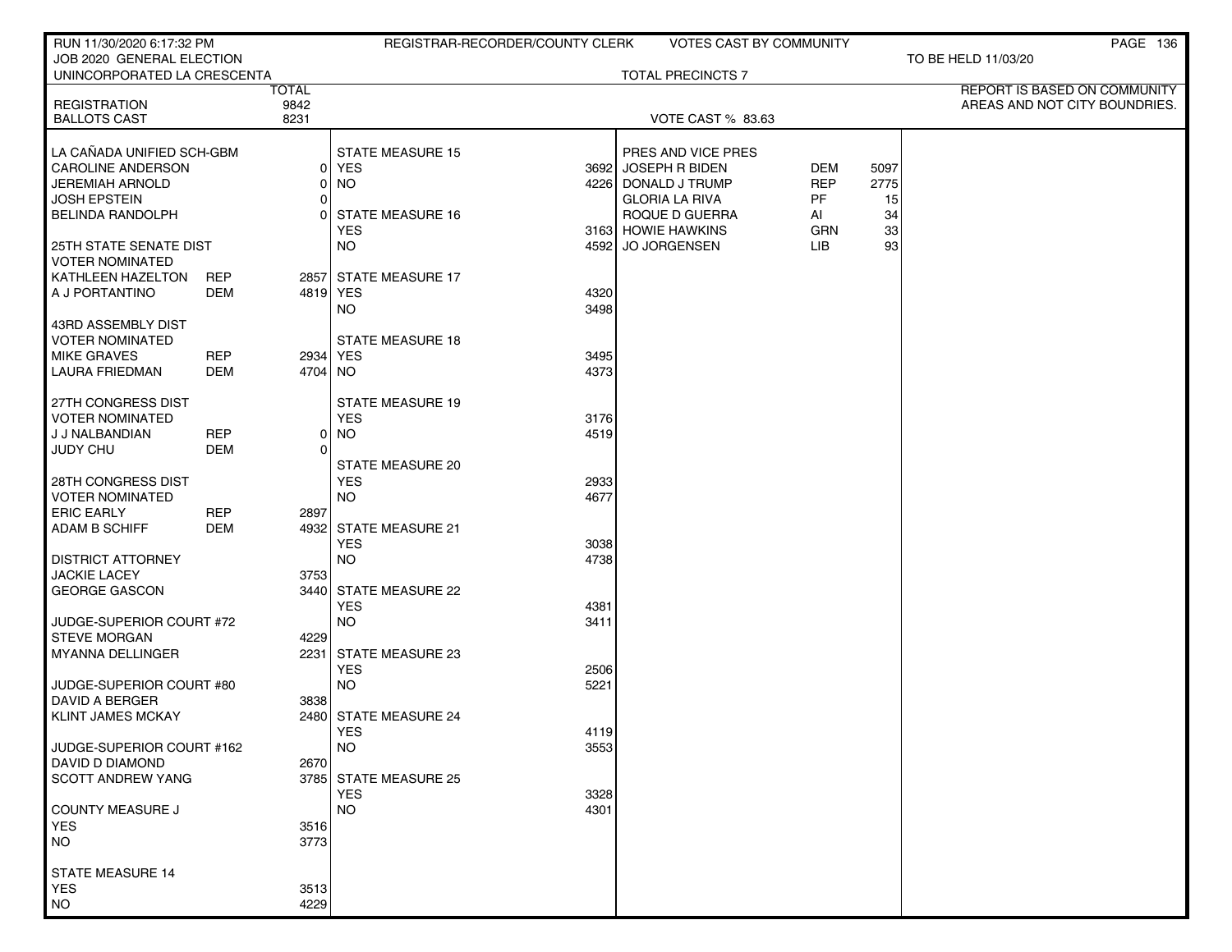| RUN 11/30/2020 6:17:32 PM                                |            |              |                         | REGISTRAR-RECORDER/COUNTY CLERK |                                         | <b>VOTES CAST BY COMMUNITY</b> |          | PAGE 136                      |
|----------------------------------------------------------|------------|--------------|-------------------------|---------------------------------|-----------------------------------------|--------------------------------|----------|-------------------------------|
| JOB 2020 GENERAL ELECTION<br>UNINCORPORATED LA CRESCENTA |            |              |                         |                                 | <b>TOTAL PRECINCTS 7</b>                |                                |          | TO BE HELD 11/03/20           |
|                                                          |            | <b>TOTAL</b> |                         |                                 |                                         |                                |          | REPORT IS BASED ON COMMUNITY  |
| <b>REGISTRATION</b><br><b>BALLOTS CAST</b>               |            | 9842<br>8231 |                         |                                 | <b>VOTE CAST % 83.63</b>                |                                |          | AREAS AND NOT CITY BOUNDRIES. |
|                                                          |            |              |                         |                                 |                                         |                                |          |                               |
| LA CAÑADA UNIFIED SCH-GBM                                |            |              | STATE MEASURE 15        |                                 | PRES AND VICE PRES                      |                                |          |                               |
| <b>CAROLINE ANDERSON</b>                                 |            | Οl           | YES                     |                                 | 3692 JOSEPH R BIDEN                     | DEM                            | 5097     |                               |
| JEREMIAH ARNOLD                                          |            |              | <b>NO</b>               | 4226                            | DONALD J TRUMP<br><b>GLORIA LA RIVA</b> | <b>REP</b>                     | 2775     |                               |
| <b>JOSH EPSTEIN</b><br><b>BELINDA RANDOLPH</b>           |            | 0<br>0       | <b>STATE MEASURE 16</b> |                                 | ROQUE D GUERRA                          | PF<br>AI                       | 15<br>34 |                               |
|                                                          |            |              | <b>YES</b>              |                                 | 3163 HOWIE HAWKINS                      | <b>GRN</b>                     | 33       |                               |
| <b>25TH STATE SENATE DIST</b>                            |            |              | <b>NO</b>               | 4592                            | JO JORGENSEN                            | LIB                            | 93       |                               |
| <b>VOTER NOMINATED</b>                                   |            |              |                         |                                 |                                         |                                |          |                               |
| KATHLEEN HAZELTON                                        | <b>REP</b> |              | 2857 STATE MEASURE 17   |                                 |                                         |                                |          |                               |
| A J PORTANTINO                                           | DEM        | 4819 YES     | <b>NO</b>               | 4320<br>3498                    |                                         |                                |          |                               |
| 43RD ASSEMBLY DIST                                       |            |              |                         |                                 |                                         |                                |          |                               |
| VOTER NOMINATED                                          |            |              | <b>STATE MEASURE 18</b> |                                 |                                         |                                |          |                               |
| <b>MIKE GRAVES</b>                                       | <b>REP</b> | 2934 YES     |                         | 3495                            |                                         |                                |          |                               |
| <b>LAURA FRIEDMAN</b>                                    | <b>DEM</b> | 4704 NO      |                         | 4373                            |                                         |                                |          |                               |
| 27TH CONGRESS DIST                                       |            |              | <b>STATE MEASURE 19</b> |                                 |                                         |                                |          |                               |
| <b>VOTER NOMINATED</b>                                   |            |              | <b>YES</b>              | 3176                            |                                         |                                |          |                               |
| J J NALBANDIAN                                           | <b>REP</b> | 01           | <b>NO</b>               | 4519                            |                                         |                                |          |                               |
| <b>JUDY CHU</b>                                          | <b>DEM</b> | 0            | <b>STATE MEASURE 20</b> |                                 |                                         |                                |          |                               |
| <b>28TH CONGRESS DIST</b>                                |            |              | <b>YES</b>              | 2933                            |                                         |                                |          |                               |
| <b>VOTER NOMINATED</b>                                   |            |              | <b>NO</b>               | 4677                            |                                         |                                |          |                               |
| <b>ERIC EARLY</b>                                        | <b>REP</b> | 2897         |                         |                                 |                                         |                                |          |                               |
| <b>ADAM B SCHIFF</b>                                     | DEM        |              | 4932 STATE MEASURE 21   |                                 |                                         |                                |          |                               |
| <b>DISTRICT ATTORNEY</b>                                 |            |              | <b>YES</b><br><b>NO</b> | 3038<br>4738                    |                                         |                                |          |                               |
| <b>JACKIE LACEY</b>                                      |            | 3753         |                         |                                 |                                         |                                |          |                               |
| <b>GEORGE GASCON</b>                                     |            |              | 3440 STATE MEASURE 22   |                                 |                                         |                                |          |                               |
|                                                          |            |              | <b>YES</b>              | 4381                            |                                         |                                |          |                               |
| JUDGE-SUPERIOR COURT #72                                 |            |              | <b>NO</b>               | 3411                            |                                         |                                |          |                               |
| <b>STEVE MORGAN</b><br><b>MYANNA DELLINGER</b>           |            | 4229         | 2231 STATE MEASURE 23   |                                 |                                         |                                |          |                               |
|                                                          |            |              | <b>YES</b>              | 2506                            |                                         |                                |          |                               |
| JUDGE-SUPERIOR COURT #80                                 |            |              | <b>NO</b>               | 5221                            |                                         |                                |          |                               |
| DAVID A BERGER                                           |            | 3838         |                         |                                 |                                         |                                |          |                               |
| <b>KLINT JAMES MCKAY</b>                                 |            |              | 2480 STATE MEASURE 24   |                                 |                                         |                                |          |                               |
| JUDGE-SUPERIOR COURT #162                                |            |              | YES<br><b>NO</b>        | 4119<br>3553                    |                                         |                                |          |                               |
| DAVID D DIAMOND                                          |            | 2670         |                         |                                 |                                         |                                |          |                               |
| <b>SCOTT ANDREW YANG</b>                                 |            |              | 3785 STATE MEASURE 25   |                                 |                                         |                                |          |                               |
|                                                          |            |              | <b>YES</b>              | 3328                            |                                         |                                |          |                               |
| COUNTY MEASURE J<br><b>YES</b>                           |            | 3516         | <b>NO</b>               | 4301                            |                                         |                                |          |                               |
| <b>NO</b>                                                |            | 3773         |                         |                                 |                                         |                                |          |                               |
|                                                          |            |              |                         |                                 |                                         |                                |          |                               |
| <b>STATE MEASURE 14</b>                                  |            |              |                         |                                 |                                         |                                |          |                               |
| <b>YES</b><br><b>NO</b>                                  |            | 3513<br>4229 |                         |                                 |                                         |                                |          |                               |
|                                                          |            |              |                         |                                 |                                         |                                |          |                               |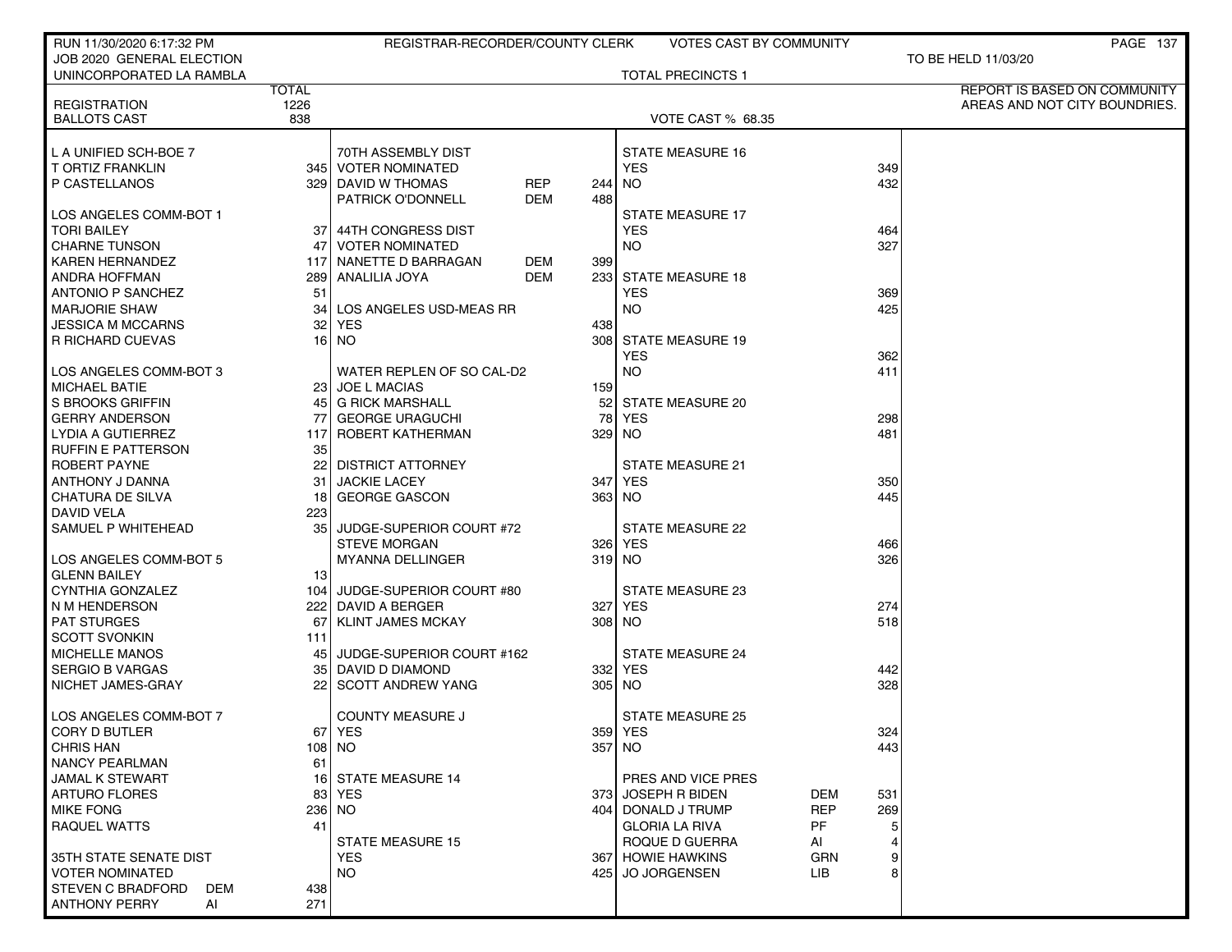| RUN 11/30/2020 6:17:32 PM                          |              | REGISTRAR-RECORDER/COUNTY CLERK |            |     | VOTES CAST BY COMMUNITY               |            | PAGE 137                      |
|----------------------------------------------------|--------------|---------------------------------|------------|-----|---------------------------------------|------------|-------------------------------|
| JOB 2020 GENERAL ELECTION                          |              |                                 |            |     |                                       |            | TO BE HELD 11/03/20           |
| UNINCORPORATED LA RAMBLA                           |              |                                 |            |     | <b>TOTAL PRECINCTS 1</b>              |            |                               |
|                                                    | <b>TOTAL</b> |                                 |            |     |                                       |            | REPORT IS BASED ON COMMUNITY  |
| <b>REGISTRATION</b>                                | 1226         |                                 |            |     |                                       |            | AREAS AND NOT CITY BOUNDRIES. |
| <b>BALLOTS CAST</b>                                | 838          |                                 |            |     | <b>VOTE CAST % 68.35</b>              |            |                               |
|                                                    |              |                                 |            |     |                                       |            |                               |
| L A UNIFIED SCH-BOE 7                              |              | 70TH ASSEMBLY DIST              |            |     | STATE MEASURE 16                      |            |                               |
| T ORTIZ FRANKLIN                                   |              | 345   VOTER NOMINATED           |            |     | <b>YES</b>                            |            | 349                           |
| P CASTELLANOS                                      |              | 329 DAVID W THOMAS              | <b>REP</b> | 244 | <b>NO</b>                             |            | 432                           |
|                                                    |              | PATRICK O'DONNELL               | <b>DEM</b> | 488 |                                       |            |                               |
| LOS ANGELES COMM-BOT 1                             |              |                                 |            |     | <b>STATE MEASURE 17</b>               |            |                               |
| <b>TORI BAILEY</b>                                 | 37           | 44TH CONGRESS DIST              |            |     | <b>YES</b>                            |            | 464                           |
| CHARNE TUNSON                                      | 47           | <b>VOTER NOMINATED</b>          |            |     | <b>NO</b>                             |            | 327                           |
| <b>KAREN HERNANDEZ</b>                             |              | 117 NANETTE D BARRAGAN          | DEM        | 399 |                                       |            |                               |
| <b>ANDRA HOFFMAN</b>                               |              | 289 ANALILIA JOYA               | DEM        |     | 233 STATE MEASURE 18                  |            |                               |
| <b>ANTONIO P SANCHEZ</b>                           | 51           |                                 |            |     | <b>YES</b>                            |            | 369                           |
| <b>MARJORIE SHAW</b>                               | 34           | LOS ANGELES USD-MEAS RR         |            |     | <b>NO</b>                             |            | 425                           |
| JESSICA M MCCARNS                                  | 32           | <b>YES</b>                      |            | 438 |                                       |            |                               |
| R RICHARD CUEVAS                                   |              | 16 NO                           |            |     | 308 STATE MEASURE 19                  |            |                               |
|                                                    |              |                                 |            |     | <b>YES</b>                            |            | 362                           |
| LOS ANGELES COMM-BOT 3                             |              | WATER REPLEN OF SO CAL-D2       |            |     | <b>NO</b>                             |            | 411                           |
| <b>MICHAEL BATIE</b>                               |              | 23 JOE L MACIAS                 |            | 159 |                                       |            |                               |
| S BROOKS GRIFFIN                                   |              | 45 G RICK MARSHALL              |            |     | 52 STATE MEASURE 20                   |            |                               |
| <b>GERRY ANDERSON</b>                              | 77           | <b>GEORGE URAGUCHI</b>          |            |     | <b>78 YES</b>                         |            | 298                           |
| LYDIA A GUTIERREZ                                  | 117          | ROBERT KATHERMAN                |            |     | 329 NO                                |            | 481                           |
| <b>RUFFIN E PATTERSON</b>                          | 35           |                                 |            |     |                                       |            |                               |
| ROBERT PAYNE                                       |              | 22 DISTRICT ATTORNEY            |            |     | <b>STATE MEASURE 21</b>               |            |                               |
| ANTHONY J DANNA                                    | 31           | <b>JACKIE LACEY</b>             |            |     | 347 YES                               |            | 350                           |
| <b>CHATURA DE SILVA</b>                            | 18           | <b>GEORGE GASCON</b>            |            |     | 363 NO                                |            | 445                           |
| <b>DAVID VELA</b>                                  | 223          |                                 |            |     |                                       |            |                               |
| SAMUEL P WHITEHEAD                                 | 35 I         | JUDGE-SUPERIOR COURT #72        |            |     | STATE MEASURE 22                      |            |                               |
|                                                    |              | <b>STEVE MORGAN</b>             |            |     | 326 YES                               |            | 466                           |
| LOS ANGELES COMM-BOT 5                             |              | <b>MYANNA DELLINGER</b>         |            |     | 319 NO                                |            | 326                           |
| <b>GLENN BAILEY</b>                                | 13           |                                 |            |     |                                       |            |                               |
| CYNTHIA GONZALEZ                                   |              | 104 JUDGE-SUPERIOR COURT #80    |            |     | <b>STATE MEASURE 23</b>               |            |                               |
| N M HENDERSON                                      |              | 222 DAVID A BERGER              |            |     | 327 YES                               |            | 274                           |
| <b>PAT STURGES</b>                                 | 67           | <b>KLINT JAMES MCKAY</b>        |            |     | 308 NO                                |            | 518                           |
| <b>SCOTT SVONKIN</b>                               | 111          |                                 |            |     |                                       |            |                               |
| <b>MICHELLE MANOS</b>                              |              | 45 JUDGE-SUPERIOR COURT #162    |            |     | <b>STATE MEASURE 24</b>               |            |                               |
| <b>SERGIO B VARGAS</b>                             |              | 35 DAVID D DIAMOND              |            |     | 332 YES                               |            | 442                           |
| NICHET JAMES-GRAY                                  |              | 22 SCOTT ANDREW YANG            |            |     | 305 NO                                |            | 328                           |
|                                                    |              |                                 |            |     |                                       |            |                               |
| LOS ANGELES COMM-BOT 7                             |              | <b>COUNTY MEASURE J</b>         |            |     | <b>STATE MEASURE 25</b>               |            |                               |
| CORY D BUTLER                                      |              | 671 YES                         |            |     | 359 YES                               |            | 324                           |
| <b>CHRIS HAN</b>                                   |              | 108   NO                        |            |     | 357 NO                                |            | 443                           |
| <b>NANCY PEARLMAN</b>                              | 61           |                                 |            |     |                                       |            |                               |
| JAMAL K STEWART                                    |              | 16 STATE MEASURE 14             |            |     | PRES AND VICE PRES                    |            |                               |
| <b>ARTURO FLORES</b>                               |              | 83 YES                          |            |     | 373 JOSEPH R BIDEN                    | DEM        | 531                           |
| <b>MIKE FONG</b>                                   |              | 236   NO                        |            |     | 404 DONALD J TRUMP                    | <b>REP</b> | 269                           |
| <b>RAQUEL WATTS</b>                                | 41           |                                 |            |     | <b>GLORIA LA RIVA</b>                 | PF.        |                               |
|                                                    |              | <b>STATE MEASURE 15</b>         |            |     | ROQUE D GUERRA                        | AI         |                               |
| 35TH STATE SENATE DIST                             |              | <b>YES</b><br>NO.               |            |     | 367 HOWIE HAWKINS<br>425 JO JORGENSEN | <b>GRN</b> |                               |
| <b>VOTER NOMINATED</b><br><b>STEVEN C BRADFORD</b> | 438          |                                 |            |     |                                       | LIB.       |                               |
| DEM<br><b>ANTHONY PERRY</b>                        |              |                                 |            |     |                                       |            |                               |
| AI                                                 | 271          |                                 |            |     |                                       |            |                               |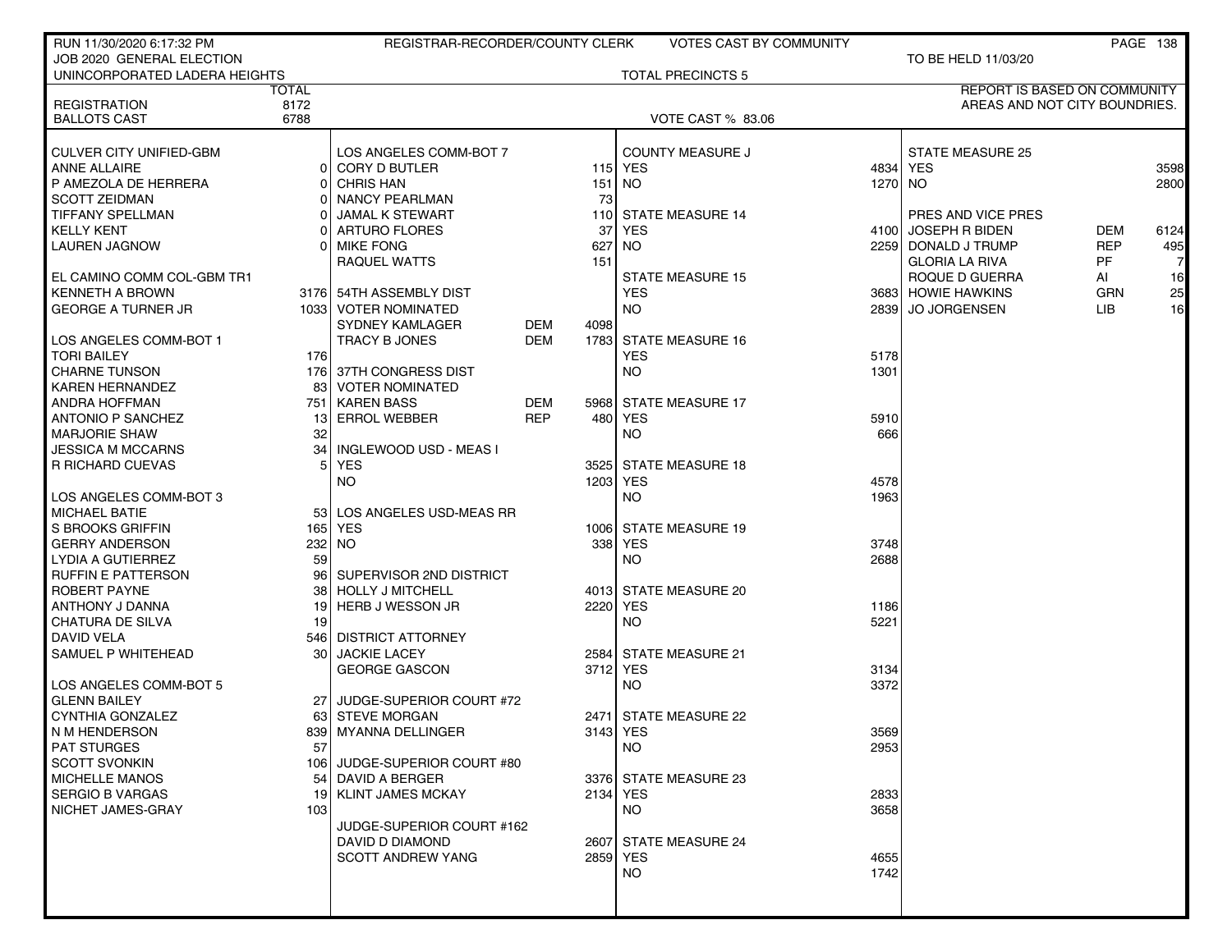| RUN 11/30/2020 6:17:32 PM      |              | REGISTRAR-RECORDER/COUNTY CLERK |            |      | VOTES CAST BY COMMUNITY  |      |                                     |            | <b>PAGE 138</b> |
|--------------------------------|--------------|---------------------------------|------------|------|--------------------------|------|-------------------------------------|------------|-----------------|
| JOB 2020 GENERAL ELECTION      |              |                                 |            |      |                          |      | TO BE HELD 11/03/20                 |            |                 |
| UNINCORPORATED LADERA HEIGHTS  |              |                                 |            |      | <b>TOTAL PRECINCTS 5</b> |      |                                     |            |                 |
|                                | <b>TOTAL</b> |                                 |            |      |                          |      | <b>REPORT IS BASED ON COMMUNITY</b> |            |                 |
| <b>REGISTRATION</b>            | 8172         |                                 |            |      |                          |      | AREAS AND NOT CITY BOUNDRIES.       |            |                 |
| <b>BALLOTS CAST</b>            | 6788         |                                 |            |      | <b>VOTE CAST % 83.06</b> |      |                                     |            |                 |
|                                |              |                                 |            |      |                          |      |                                     |            |                 |
| <b>CULVER CITY UNIFIED-GBM</b> |              | LOS ANGELES COMM-BOT 7          |            |      | <b>COUNTY MEASURE J</b>  |      | <b>STATE MEASURE 25</b>             |            |                 |
| <b>ANNE ALLAIRE</b>            |              | CORY D BUTLER                   |            |      | 115 YES                  |      | 4834   YES                          |            | 3598            |
| P AMEZOLA DE HERRERA           |              | <b>CHRIS HAN</b>                |            | 151  | NO.                      |      | 1270 NO                             |            | 2800            |
| <b>SCOTT ZEIDMAN</b>           |              | <b>NANCY PEARLMAN</b>           |            | 73   |                          |      |                                     |            |                 |
| TIFFANY SPELLMAN               |              | <b>JAMAL K STEWART</b>          |            |      | 110 STATE MEASURE 14     |      | PRES AND VICE PRES                  |            |                 |
| <b>KELLY KENT</b>              |              | <b>ARTURO FLORES</b>            |            | 37   | <b>YES</b>               |      | 4100 JOSEPH R BIDEN                 | DEM        | 6124            |
| LAUREN JAGNOW                  |              | <b>MIKE FONG</b>                |            | 627  | <b>NO</b>                |      | 2259 DONALD J TRUMP                 | <b>REP</b> | 495             |
|                                |              | RAQUEL WATTS                    |            | 151  |                          |      | <b>GLORIA LA RIVA</b>               | PF         | 7               |
| EL CAMINO COMM COL-GBM TR1     |              |                                 |            |      | <b>STATE MEASURE 15</b>  |      | ROQUE D GUERRA                      | Al         | 16              |
| <b>KENNETH A BROWN</b>         |              | 3176 54TH ASSEMBLY DIST         |            |      | <b>YES</b>               |      | 3683 HOWIE HAWKINS                  | <b>GRN</b> | 25              |
| <b>GEORGE A TURNER JR</b>      |              | 1033 VOTER NOMINATED            |            |      | NO.                      |      | 2839 JO JORGENSEN                   | LIB        | 16              |
|                                |              | SYDNEY KAMLAGER                 | DEM        | 4098 |                          |      |                                     |            |                 |
| LOS ANGELES COMM-BOT 1         |              | TRACY B JONES                   | <b>DEM</b> |      | 1783 STATE MEASURE 16    |      |                                     |            |                 |
| <b>TORI BAILEY</b>             | 176          |                                 |            |      | <b>YES</b>               | 5178 |                                     |            |                 |
| <b>CHARNE TUNSON</b>           |              | 176 37TH CONGRESS DIST          |            |      | NO.                      | 1301 |                                     |            |                 |
| <b>KAREN HERNANDEZ</b>         | 83           | <b>VOTER NOMINATED</b>          |            |      |                          |      |                                     |            |                 |
| ANDRA HOFFMAN                  |              | 751   KAREN BASS                | <b>DEM</b> |      | 5968 STATE MEASURE 17    |      |                                     |            |                 |
| <b>ANTONIO P SANCHEZ</b>       | 131          | <b>ERROL WEBBER</b>             | <b>REP</b> | 480  | YES                      | 5910 |                                     |            |                 |
| <b>MARJORIE SHAW</b>           | 32           |                                 |            |      | NO.                      | 666  |                                     |            |                 |
| <b>JESSICA M MCCARNS</b>       | 34           | INGLEWOOD USD - MEAS I          |            |      |                          |      |                                     |            |                 |
| <b>R RICHARD CUEVAS</b>        | 51           | <b>YES</b>                      |            | 3525 | <b>STATE MEASURE 18</b>  |      |                                     |            |                 |
|                                |              | <b>NO</b>                       |            |      | 1203 YES                 | 4578 |                                     |            |                 |
| LOS ANGELES COMM-BOT 3         |              |                                 |            |      | NO.                      | 1963 |                                     |            |                 |
|                                |              |                                 |            |      |                          |      |                                     |            |                 |
| <b>MICHAEL BATIE</b>           |              | 53 LOS ANGELES USD-MEAS RR      |            |      |                          |      |                                     |            |                 |
| S BROOKS GRIFFIN               |              | 165 YES                         |            |      | 1006 STATE MEASURE 19    |      |                                     |            |                 |
| <b>GERRY ANDERSON</b>          |              | 232   NO                        |            | 338  | <b>YES</b>               | 3748 |                                     |            |                 |
| LYDIA A GUTIERREZ              | 59           |                                 |            |      | <b>NO</b>                | 2688 |                                     |            |                 |
| <b>RUFFIN E PATTERSON</b>      | 961          | SUPERVISOR 2ND DISTRICT         |            |      |                          |      |                                     |            |                 |
| ROBERT PAYNE                   |              | 38 HOLLY J MITCHELL             |            |      | 4013 STATE MEASURE 20    |      |                                     |            |                 |
| ANTHONY J DANNA                | 19           | <b>HERB J WESSON JR</b>         |            |      | 2220 YES                 | 1186 |                                     |            |                 |
| CHATURA DE SILVA               | 19           |                                 |            |      | <b>NO</b>                | 5221 |                                     |            |                 |
| DAVID VELA                     |              | 546 DISTRICT ATTORNEY           |            |      |                          |      |                                     |            |                 |
| SAMUEL P WHITEHEAD             | 30 I         | <b>JACKIE LACEY</b>             |            |      | 2584 STATE MEASURE 21    |      |                                     |            |                 |
|                                |              | <b>GEORGE GASCON</b>            |            | 3712 | <b>YES</b>               | 3134 |                                     |            |                 |
| LOS ANGELES COMM-BOT 5         |              |                                 |            |      | NO.                      | 3372 |                                     |            |                 |
| <b>GLENN BAILEY</b>            |              | JUDGE-SUPERIOR COURT #72        |            |      |                          |      |                                     |            |                 |
| <b>CYNTHIA GONZALEZ</b>        |              | 63 STEVE MORGAN                 |            | 2471 | <b>STATE MEASURE 22</b>  |      |                                     |            |                 |
| N M HENDERSON                  |              | 839   MYANNA DELLINGER          |            |      | 3143 YES                 | 3569 |                                     |            |                 |
| <b>PAT STURGES</b>             | 57           |                                 |            |      | NO.                      | 2953 |                                     |            |                 |
| <b>SCOTT SVONKIN</b>           |              | 106 JUDGE-SUPERIOR COURT #80    |            |      |                          |      |                                     |            |                 |
| <b>MICHELLE MANOS</b>          |              | 54 DAVID A BERGER               |            |      | 3376 STATE MEASURE 23    |      |                                     |            |                 |
| <b>SERGIO B VARGAS</b>         |              | 19 KLINT JAMES MCKAY            |            |      | 2134 YES                 | 2833 |                                     |            |                 |
| NICHET JAMES-GRAY              | 103          |                                 |            |      | NO.                      | 3658 |                                     |            |                 |
|                                |              | JUDGE-SUPERIOR COURT #162       |            |      |                          |      |                                     |            |                 |
|                                |              | DAVID D DIAMOND                 |            |      | 2607 STATE MEASURE 24    |      |                                     |            |                 |
|                                |              | <b>SCOTT ANDREW YANG</b>        |            |      | 2859 YES                 | 4655 |                                     |            |                 |
|                                |              |                                 |            |      | NO                       | 1742 |                                     |            |                 |
|                                |              |                                 |            |      |                          |      |                                     |            |                 |
|                                |              |                                 |            |      |                          |      |                                     |            |                 |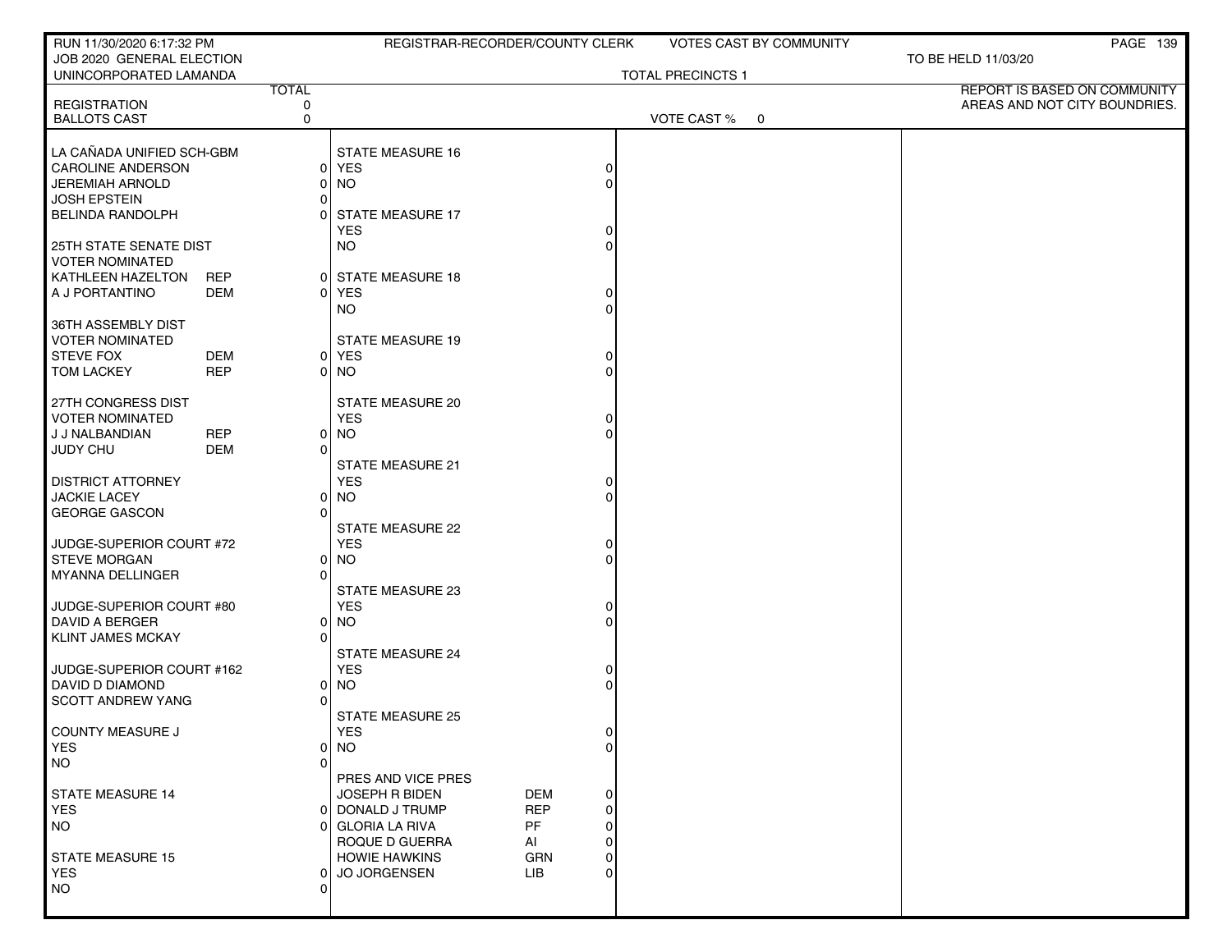| RUN 11/30/2020 6:17:32 PM                      |            |                    | REGISTRAR-RECORDER/COUNTY CLERK  |            |               |                          | <b>VOTES CAST BY COMMUNITY</b> |                               | <b>PAGE 139</b>                     |
|------------------------------------------------|------------|--------------------|----------------------------------|------------|---------------|--------------------------|--------------------------------|-------------------------------|-------------------------------------|
| JOB 2020 GENERAL ELECTION                      |            |                    |                                  |            |               |                          |                                | TO BE HELD 11/03/20           |                                     |
| UNINCORPORATED LAMANDA                         |            | <b>TOTAL</b>       |                                  |            |               | <b>TOTAL PRECINCTS 1</b> |                                |                               | <b>REPORT IS BASED ON COMMUNITY</b> |
| <b>REGISTRATION</b>                            |            | 0                  |                                  |            |               |                          |                                | AREAS AND NOT CITY BOUNDRIES. |                                     |
| <b>BALLOTS CAST</b>                            |            | 0                  |                                  |            |               | VOTE CAST % 0            |                                |                               |                                     |
| LA CAÑADA UNIFIED SCH-GBM                      |            |                    | <b>STATE MEASURE 16</b>          |            |               |                          |                                |                               |                                     |
| <b>CAROLINE ANDERSON</b>                       |            | ΟI                 | YES                              |            | 0             |                          |                                |                               |                                     |
| <b>JEREMIAH ARNOLD</b>                         |            | 01                 | <b>NO</b>                        |            | $\Omega$      |                          |                                |                               |                                     |
| <b>JOSH EPSTEIN</b>                            |            | ΩI                 |                                  |            |               |                          |                                |                               |                                     |
| <b>BELINDA RANDOLPH</b>                        |            |                    | <b>STATE MEASURE 17</b>          |            |               |                          |                                |                               |                                     |
| 25TH STATE SENATE DIST                         |            |                    | <b>YES</b><br><b>NO</b>          |            | 0<br>$\Omega$ |                          |                                |                               |                                     |
| <b>VOTER NOMINATED</b>                         |            |                    |                                  |            |               |                          |                                |                               |                                     |
| KATHLEEN HAZELTON                              | <b>REP</b> |                    | 0 STATE MEASURE 18               |            |               |                          |                                |                               |                                     |
| A J PORTANTINO                                 | DEM        | ΩI                 | <b>YES</b>                       |            | 0             |                          |                                |                               |                                     |
|                                                |            |                    | NO.                              |            | $\Omega$      |                          |                                |                               |                                     |
| 36TH ASSEMBLY DIST                             |            |                    |                                  |            |               |                          |                                |                               |                                     |
| <b>VOTER NOMINATED</b><br><b>STEVE FOX</b>     | DEM        |                    | <b>STATE MEASURE 19</b><br>0 YES |            |               |                          |                                |                               |                                     |
| <b>TOM LACKEY</b>                              | <b>REP</b> |                    | 0 NO                             |            | $\Omega$      |                          |                                |                               |                                     |
|                                                |            |                    |                                  |            |               |                          |                                |                               |                                     |
| 27TH CONGRESS DIST                             |            |                    | STATE MEASURE 20                 |            |               |                          |                                |                               |                                     |
| <b>VOTER NOMINATED</b>                         |            |                    | <b>YES</b>                       |            | 0             |                          |                                |                               |                                     |
| J J NALBANDIAN                                 | <b>REP</b> | 01                 | <b>NO</b>                        |            | $\Omega$      |                          |                                |                               |                                     |
| JUDY CHU                                       | <b>DEM</b> | $\Omega$           | <b>STATE MEASURE 21</b>          |            |               |                          |                                |                               |                                     |
| <b>DISTRICT ATTORNEY</b>                       |            |                    | <b>YES</b>                       |            | 0             |                          |                                |                               |                                     |
| <b>JACKIE LACEY</b>                            |            | ΩI                 | <b>NO</b>                        |            | $\Omega$      |                          |                                |                               |                                     |
| <b>GEORGE GASCON</b>                           |            |                    |                                  |            |               |                          |                                |                               |                                     |
|                                                |            |                    | <b>STATE MEASURE 22</b>          |            |               |                          |                                |                               |                                     |
| JUDGE-SUPERIOR COURT #72                       |            |                    | <b>YES</b>                       |            | 0             |                          |                                |                               |                                     |
| <b>STEVE MORGAN</b><br><b>MYANNA DELLINGER</b> |            | ΟI<br>$\Omega$     | <b>NO</b>                        |            |               |                          |                                |                               |                                     |
|                                                |            |                    | STATE MEASURE 23                 |            |               |                          |                                |                               |                                     |
| JUDGE-SUPERIOR COURT #80                       |            |                    | <b>YES</b>                       |            | 0             |                          |                                |                               |                                     |
| <b>DAVID A BERGER</b>                          |            | 01                 | <b>NO</b>                        |            | $\Omega$      |                          |                                |                               |                                     |
| <b>KLINT JAMES MCKAY</b>                       |            | <sup>n</sup>       |                                  |            |               |                          |                                |                               |                                     |
| JUDGE-SUPERIOR COURT #162                      |            |                    | STATE MEASURE 24<br><b>YES</b>   |            | 0             |                          |                                |                               |                                     |
| DAVID D DIAMOND                                |            | ΩI                 | <b>NO</b>                        |            | $\Omega$      |                          |                                |                               |                                     |
| <b>SCOTT ANDREW YANG</b>                       |            |                    |                                  |            |               |                          |                                |                               |                                     |
|                                                |            |                    | <b>STATE MEASURE 25</b>          |            |               |                          |                                |                               |                                     |
| COUNTY MEASURE J                               |            |                    | <b>YES</b>                       |            | 0             |                          |                                |                               |                                     |
| YES                                            |            |                    | $0$ NO                           |            | 0             |                          |                                |                               |                                     |
| <b>NO</b>                                      |            | <sup>n</sup>       | PRES AND VICE PRES               |            |               |                          |                                |                               |                                     |
| <b>STATE MEASURE 14</b>                        |            |                    | <b>JOSEPH R BIDEN</b>            | DEM        | 0             |                          |                                |                               |                                     |
| YES.                                           |            |                    | 0 DONALD J TRUMP                 | <b>REP</b> | 0             |                          |                                |                               |                                     |
| <b>NO</b>                                      |            |                    | <b>GLORIA LA RIVA</b>            | <b>PF</b>  | 0             |                          |                                |                               |                                     |
|                                                |            |                    | ROQUE D GUERRA                   | Al         | 0             |                          |                                |                               |                                     |
| <b>STATE MEASURE 15</b>                        |            |                    | <b>HOWIE HAWKINS</b>             | <b>GRN</b> | $\Omega$      |                          |                                |                               |                                     |
| <b>YES</b><br><b>NO</b>                        |            | 01<br><sup>0</sup> | <b>JO JORGENSEN</b>              | <b>LIB</b> | $\Omega$      |                          |                                |                               |                                     |
|                                                |            |                    |                                  |            |               |                          |                                |                               |                                     |
|                                                |            |                    |                                  |            |               |                          |                                |                               |                                     |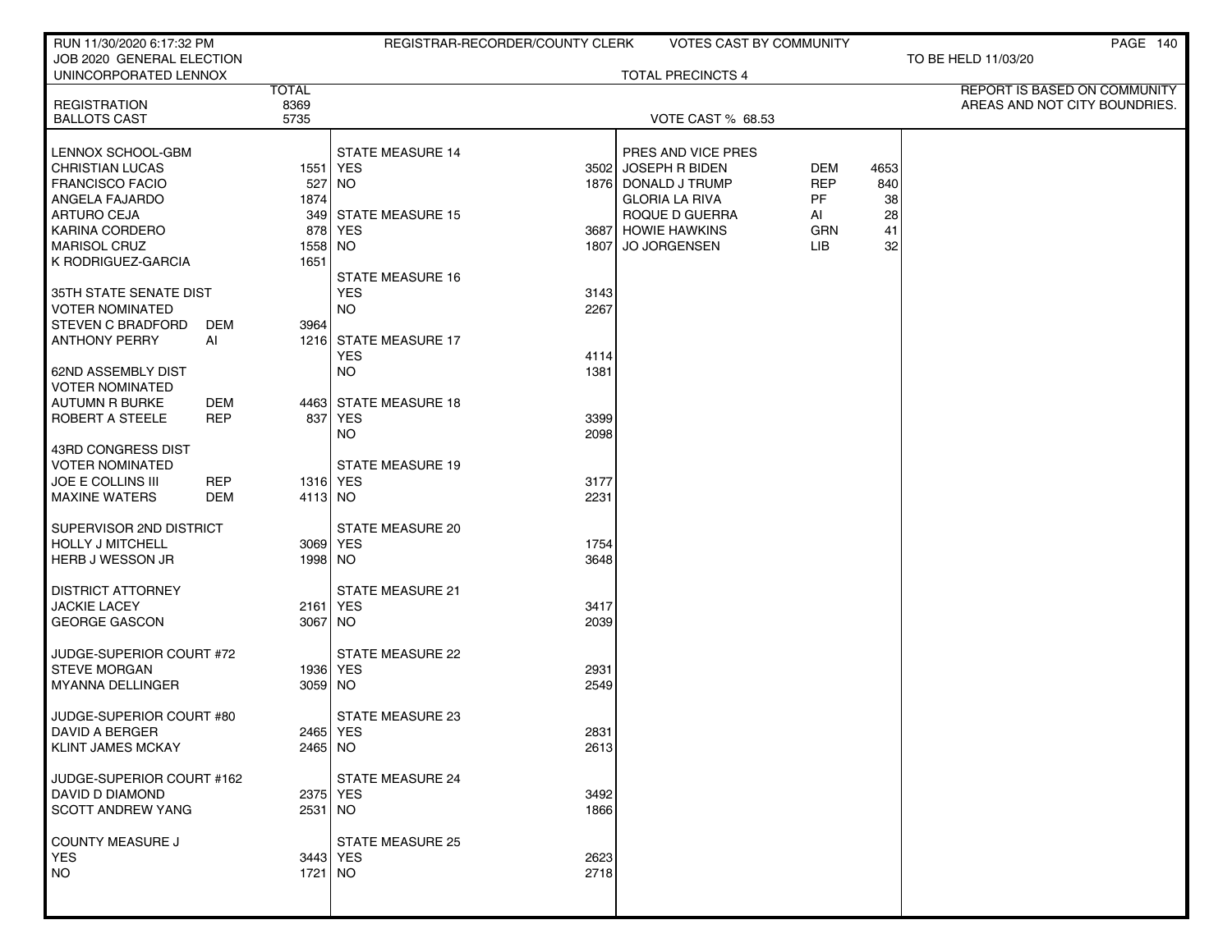| RUN 11/30/2020 6:17:32 PM                       |                 |                         | REGISTRAR-RECORDER/COUNTY CLERK |                          | <b>VOTES CAST BY COMMUNITY</b> |      | PAGE 140                      |
|-------------------------------------------------|-----------------|-------------------------|---------------------------------|--------------------------|--------------------------------|------|-------------------------------|
| JOB 2020 GENERAL ELECTION                       |                 |                         |                                 |                          |                                |      | TO BE HELD 11/03/20           |
| UNINCORPORATED LENNOX                           | <b>TOTAL</b>    |                         |                                 | <b>TOTAL PRECINCTS 4</b> |                                |      | REPORT IS BASED ON COMMUNITY  |
| <b>REGISTRATION</b>                             | 8369            |                         |                                 |                          |                                |      | AREAS AND NOT CITY BOUNDRIES. |
| <b>BALLOTS CAST</b>                             | 5735            |                         |                                 | VOTE CAST % 68.53        |                                |      |                               |
| LENNOX SCHOOL-GBM                               |                 | <b>STATE MEASURE 14</b> |                                 | PRES AND VICE PRES       |                                |      |                               |
| <b>CHRISTIAN LUCAS</b>                          |                 | 1551   YES              | 3502                            | JOSEPH R BIDEN           | <b>DEM</b>                     | 4653 |                               |
| <b>FRANCISCO FACIO</b>                          | 527             | NO.                     |                                 | 1876 DONALD J TRUMP      | <b>REP</b>                     | 840  |                               |
| ANGELA FAJARDO                                  | 1874            |                         |                                 | <b>GLORIA LA RIVA</b>    | PF.                            | 38   |                               |
| <b>ARTURO CEJA</b>                              | 349             | <b>STATE MEASURE 15</b> |                                 | ROQUE D GUERRA           | AI                             | 28   |                               |
| KARINA CORDERO                                  |                 | 878 YES                 |                                 | 3687 HOWIE HAWKINS       | <b>GRN</b>                     | 41   |                               |
| <b>MARISOL CRUZ</b><br>K RODRIGUEZ-GARCIA       | 1558 NO<br>1651 |                         | 1807                            | <b>JO JORGENSEN</b>      | LIB                            | 32   |                               |
|                                                 |                 | <b>STATE MEASURE 16</b> |                                 |                          |                                |      |                               |
| 35TH STATE SENATE DIST                          |                 | <b>YES</b>              | 3143                            |                          |                                |      |                               |
| <b>VOTER NOMINATED</b>                          |                 | NO.                     | 2267                            |                          |                                |      |                               |
| <b>STEVEN C BRADFORD</b><br>DEM                 | 3964            |                         |                                 |                          |                                |      |                               |
| <b>ANTHONY PERRY</b><br>Al                      |                 | 1216 STATE MEASURE 17   |                                 |                          |                                |      |                               |
|                                                 |                 | <b>YES</b>              | 4114                            |                          |                                |      |                               |
| 62ND ASSEMBLY DIST                              |                 | NO.                     | 1381                            |                          |                                |      |                               |
| <b>VOTER NOMINATED</b><br>AUTUMN R BURKE<br>DEM |                 | 4463 STATE MEASURE 18   |                                 |                          |                                |      |                               |
| ROBERT A STEELE<br>REP                          | 837             | YES                     | 3399                            |                          |                                |      |                               |
|                                                 |                 | <b>NO</b>               | 2098                            |                          |                                |      |                               |
| 43RD CONGRESS DIST                              |                 |                         |                                 |                          |                                |      |                               |
| <b>VOTER NOMINATED</b>                          |                 | <b>STATE MEASURE 19</b> |                                 |                          |                                |      |                               |
| <b>JOE E COLLINS III</b><br>REP                 |                 | 1316 YES                | 3177                            |                          |                                |      |                               |
| <b>MAXINE WATERS</b><br>DEM                     | 4113 NO         |                         | 2231                            |                          |                                |      |                               |
| SUPERVISOR 2ND DISTRICT                         |                 | <b>STATE MEASURE 20</b> |                                 |                          |                                |      |                               |
| HOLLY J MITCHELL                                |                 | 3069 YES                | 1754                            |                          |                                |      |                               |
| HERB J WESSON JR                                | 1998 NO         |                         | 3648                            |                          |                                |      |                               |
|                                                 |                 |                         |                                 |                          |                                |      |                               |
| <b>DISTRICT ATTORNEY</b>                        |                 | STATE MEASURE 21        |                                 |                          |                                |      |                               |
| <b>JACKIE LACEY</b>                             |                 | 2161   YES              | 3417                            |                          |                                |      |                               |
| <b>GEORGE GASCON</b>                            | 3067 NO         |                         | 2039                            |                          |                                |      |                               |
| JUDGE-SUPERIOR COURT #72                        |                 | <b>STATE MEASURE 22</b> |                                 |                          |                                |      |                               |
| <b>STEVE MORGAN</b>                             |                 | 1936   YES              | 2931                            |                          |                                |      |                               |
| MYANNA DELLINGER                                | 3059 NO         |                         | 2549                            |                          |                                |      |                               |
|                                                 |                 |                         |                                 |                          |                                |      |                               |
| JUDGE-SUPERIOR COURT #80                        |                 | <b>STATE MEASURE 23</b> |                                 |                          |                                |      |                               |
| <b>DAVID A BERGER</b><br>KLINT JAMES MCKAY      | 2465 NO         | 2465 YES                | 2831<br>2613                    |                          |                                |      |                               |
|                                                 |                 |                         |                                 |                          |                                |      |                               |
| JUDGE-SUPERIOR COURT #162                       |                 | <b>STATE MEASURE 24</b> |                                 |                          |                                |      |                               |
| DAVID D DIAMOND                                 |                 | 2375 YES                | 3492                            |                          |                                |      |                               |
| <b>SCOTT ANDREW YANG</b>                        | 2531 NO         |                         | 1866                            |                          |                                |      |                               |
|                                                 |                 | <b>STATE MEASURE 25</b> |                                 |                          |                                |      |                               |
| COUNTY MEASURE J<br><b>YES</b>                  |                 | 3443 YES                | 2623                            |                          |                                |      |                               |
| NO                                              | 1721   NO       |                         | 2718                            |                          |                                |      |                               |
|                                                 |                 |                         |                                 |                          |                                |      |                               |
|                                                 |                 |                         |                                 |                          |                                |      |                               |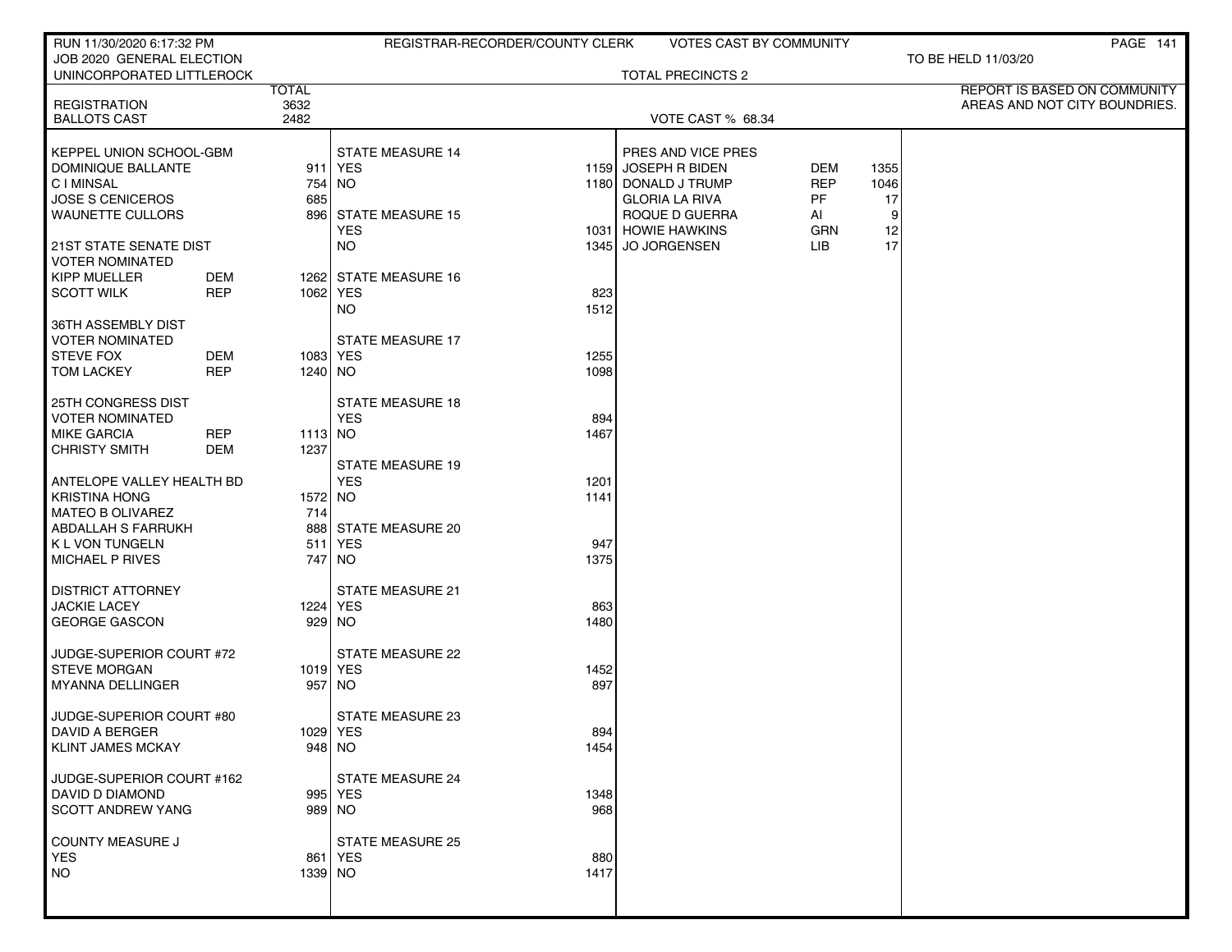| RUN 11/30/2020 6:17:32 PM                              |                   |                    | REGISTRAR-RECORDER/COUNTY CLERK      |             |                                         | VOTES CAST BY COMMUNITY |         | PAGE 141                      |
|--------------------------------------------------------|-------------------|--------------------|--------------------------------------|-------------|-----------------------------------------|-------------------------|---------|-------------------------------|
| JOB 2020 GENERAL ELECTION<br>UNINCORPORATED LITTLEROCK |                   |                    |                                      |             | <b>TOTAL PRECINCTS 2</b>                |                         |         | TO BE HELD 11/03/20           |
|                                                        |                   | <b>TOTAL</b>       |                                      |             |                                         |                         |         | REPORT IS BASED ON COMMUNITY  |
| <b>REGISTRATION</b>                                    |                   | 3632               |                                      |             |                                         |                         |         | AREAS AND NOT CITY BOUNDRIES. |
| <b>BALLOTS CAST</b>                                    |                   | 2482               |                                      |             | VOTE CAST % 68.34                       |                         |         |                               |
| KEPPEL UNION SCHOOL-GBM                                |                   |                    | <b>STATE MEASURE 14</b>              |             | PRES AND VICE PRES                      |                         |         |                               |
| DOMINIQUE BALLANTE                                     |                   |                    | 911 YES                              |             | 1159 JOSEPH R BIDEN                     | <b>DEM</b>              | 1355    |                               |
| <b>CIMINSAL</b>                                        |                   | 754 NO             |                                      |             | 1180 DONALD J TRUMP                     | <b>REP</b>              | 1046    |                               |
| <b>JOSE S CENICEROS</b><br><b>WAUNETTE CULLORS</b>     |                   | 685                | 896 STATE MEASURE 15                 |             | <b>GLORIA LA RIVA</b><br>ROQUE D GUERRA | PF<br>Al                | 17<br>9 |                               |
|                                                        |                   |                    | <b>YES</b>                           |             | 1031 HOWIE HAWKINS                      | GRN                     | 12      |                               |
| 21ST STATE SENATE DIST<br><b>VOTER NOMINATED</b>       |                   |                    | <b>NO</b>                            |             | 1345 JO JORGENSEN                       | LIB.                    | 17      |                               |
| <b>KIPP MUELLER</b>                                    | DEM               |                    | 1262 STATE MEASURE 16                |             |                                         |                         |         |                               |
| <b>SCOTT WILK</b>                                      | <b>REP</b>        | 1062 YES           |                                      | 823         |                                         |                         |         |                               |
| 36TH ASSEMBLY DIST                                     |                   |                    | <b>NO</b>                            | 1512        |                                         |                         |         |                               |
| <b>VOTER NOMINATED</b><br><b>STEVE FOX</b>             | <b>DEM</b>        | 1083 YES           | <b>STATE MEASURE 17</b>              | 1255        |                                         |                         |         |                               |
| <b>TOM LACKEY</b>                                      | <b>REP</b>        | 1240 NO            |                                      | 1098        |                                         |                         |         |                               |
|                                                        |                   |                    |                                      |             |                                         |                         |         |                               |
| 25TH CONGRESS DIST                                     |                   |                    | <b>STATE MEASURE 18</b>              |             |                                         |                         |         |                               |
| <b>VOTER NOMINATED</b>                                 |                   |                    | <b>YES</b>                           | 894         |                                         |                         |         |                               |
| <b>MIKE GARCIA</b><br><b>CHRISTY SMITH</b>             | <b>REP</b><br>DEM | 1113 NO<br>1237    |                                      | 1467        |                                         |                         |         |                               |
|                                                        |                   |                    | <b>STATE MEASURE 19</b>              |             |                                         |                         |         |                               |
| ANTELOPE VALLEY HEALTH BD                              |                   |                    | <b>YES</b>                           | 1201        |                                         |                         |         |                               |
| <b>KRISTINA HONG</b>                                   |                   | 1572 NO            |                                      | 1141        |                                         |                         |         |                               |
| <b>MATEO B OLIVAREZ</b>                                |                   | 714                |                                      |             |                                         |                         |         |                               |
| ABDALLAH S FARRUKH<br>K L VON TUNGELN                  |                   | 888<br>511         | <b>STATE MEASURE 20</b><br>YES       | 947         |                                         |                         |         |                               |
| MICHAEL P RIVES                                        |                   |                    | 747   NO                             | 1375        |                                         |                         |         |                               |
|                                                        |                   |                    |                                      |             |                                         |                         |         |                               |
| <b>DISTRICT ATTORNEY</b>                               |                   |                    | <b>STATE MEASURE 21</b>              |             |                                         |                         |         |                               |
| <b>JACKIE LACEY</b><br><b>GEORGE GASCON</b>            |                   | 1224 YES<br>929 NO |                                      | 863<br>1480 |                                         |                         |         |                               |
|                                                        |                   |                    |                                      |             |                                         |                         |         |                               |
| JUDGE-SUPERIOR COURT #72                               |                   |                    | <b>STATE MEASURE 22</b>              |             |                                         |                         |         |                               |
| <b>STEVE MORGAN</b>                                    |                   | 1019 YES           |                                      | 1452        |                                         |                         |         |                               |
| <b>MYANNA DELLINGER</b>                                |                   | 957 NO             |                                      | 897         |                                         |                         |         |                               |
| JUDGE-SUPERIOR COURT #80                               |                   |                    | <b>STATE MEASURE 23</b>              |             |                                         |                         |         |                               |
| DAVID A BERGER                                         |                   | 1029   YES         |                                      | 894         |                                         |                         |         |                               |
| <b>KLINT JAMES MCKAY</b>                               |                   | $948$ NO           |                                      | 1454        |                                         |                         |         |                               |
| JUDGE-SUPERIOR COURT #162                              |                   |                    | STATE MEASURE 24                     |             |                                         |                         |         |                               |
| DAVID D DIAMOND                                        |                   |                    | 995 YES                              | 1348        |                                         |                         |         |                               |
| <b>SCOTT ANDREW YANG</b>                               |                   | 989 NO             |                                      | 968         |                                         |                         |         |                               |
|                                                        |                   |                    |                                      |             |                                         |                         |         |                               |
| COUNTY MEASURE J<br><b>YES</b>                         |                   |                    | <b>STATE MEASURE 25</b><br>861   YES | 880         |                                         |                         |         |                               |
| <b>NO</b>                                              |                   | 1339 NO            |                                      | 1417        |                                         |                         |         |                               |
|                                                        |                   |                    |                                      |             |                                         |                         |         |                               |
|                                                        |                   |                    |                                      |             |                                         |                         |         |                               |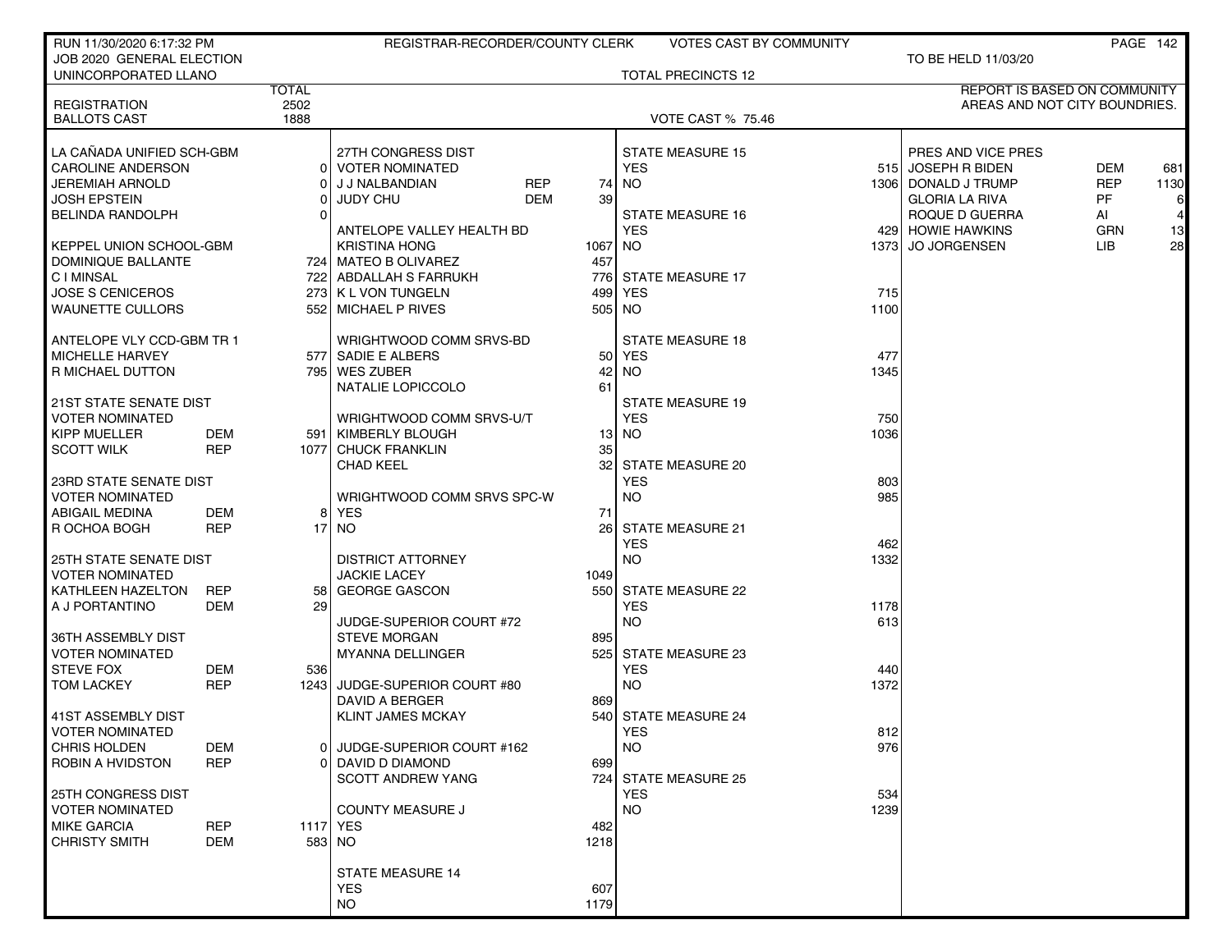| RUN 11/30/2020 6:17:32 PM                             |            |              | REGISTRAR-RECORDER/COUNTY CLERK                 |      | <b>VOTES CAST BY COMMUNITY</b>        |       |                                          |            | PAGE 142 |
|-------------------------------------------------------|------------|--------------|-------------------------------------------------|------|---------------------------------------|-------|------------------------------------------|------------|----------|
| JOB 2020 GENERAL ELECTION                             |            |              |                                                 |      |                                       |       | TO BE HELD 11/03/20                      |            |          |
| UNINCORPORATED LLANO                                  |            | <b>TOTAL</b> |                                                 |      | <b>TOTAL PRECINCTS 12</b>             |       | REPORT IS BASED ON COMMUNITY             |            |          |
| <b>REGISTRATION</b>                                   |            | 2502         |                                                 |      |                                       |       | AREAS AND NOT CITY BOUNDRIES.            |            |          |
| <b>BALLOTS CAST</b>                                   |            | 1888         |                                                 |      | <b>VOTE CAST % 75.46</b>              |       |                                          |            |          |
|                                                       |            |              |                                                 |      |                                       |       |                                          |            |          |
| LA CAÑADA UNIFIED SCH-GBM<br><b>CAROLINE ANDERSON</b> |            |              | 27TH CONGRESS DIST<br><b>VOTER NOMINATED</b>    |      | <b>STATE MEASURE 15</b><br><b>YES</b> |       | PRES AND VICE PRES<br>515 JOSEPH R BIDEN | <b>DEM</b> | 681      |
| <b>JEREMIAH ARNOLD</b>                                |            |              | J J NALBANDIAN<br>REP                           | 74   | <b>NO</b>                             |       | 1306   DONALD J TRUMP                    | <b>REP</b> | 1130     |
| <b>JOSH EPSTEIN</b>                                   |            |              | DEM<br><b>JUDY CHU</b>                          | 39   |                                       |       | <b>GLORIA LA RIVA</b>                    | <b>PF</b>  | 6        |
| <b>BELINDA RANDOLPH</b>                               |            |              |                                                 |      | <b>STATE MEASURE 16</b>               |       | ROQUE D GUERRA                           | Al         |          |
|                                                       |            |              | ANTELOPE VALLEY HEALTH BD                       |      | <b>YES</b>                            |       | 429 HOWIE HAWKINS                        | <b>GRN</b> | 13       |
| KEPPEL UNION SCHOOL-GBM                               |            |              | <b>KRISTINA HONG</b>                            | 1067 | NO.                                   | 13731 | <b>JO JORGENSEN</b>                      | LIB        | 28       |
| DOMINIQUE BALLANTE                                    |            |              | 724   MATEO B OLIVAREZ                          | 457  |                                       |       |                                          |            |          |
| <b>CIMINSAL</b>                                       |            |              | 722 ABDALLAH S FARRUKH                          | 776  | <b>STATE MEASURE 17</b>               |       |                                          |            |          |
| <b>JOSE S CENICEROS</b>                               |            |              | 273 K L VON TUNGELN                             | 499  | <b>YES</b>                            | 715   |                                          |            |          |
| <b>WAUNETTE CULLORS</b>                               |            |              | 552 MICHAEL P RIVES                             | 505  | NO.                                   | 1100  |                                          |            |          |
| ANTELOPE VLY CCD-GBM TR 1                             |            |              | WRIGHTWOOD COMM SRVS-BD                         |      | <b>STATE MEASURE 18</b>               |       |                                          |            |          |
| <b>MICHELLE HARVEY</b>                                |            |              | 577 SADIE E ALBERS                              | 50   | <b>YES</b>                            | 477   |                                          |            |          |
| <b>R MICHAEL DUTTON</b>                               |            |              | 795 WES ZUBER                                   | 42   | <b>NO</b>                             | 1345  |                                          |            |          |
|                                                       |            |              | NATALIE LOPICCOLO                               | 61   |                                       |       |                                          |            |          |
| <b>21ST STATE SENATE DIST</b>                         |            |              |                                                 |      | <b>STATE MEASURE 19</b>               |       |                                          |            |          |
| <b>VOTER NOMINATED</b>                                |            |              | WRIGHTWOOD COMM SRVS-U/T                        |      | <b>YES</b>                            | 750   |                                          |            |          |
| <b>KIPP MUELLER</b>                                   | DEM        |              | 591   KIMBERLY BLOUGH                           | 13   | <b>NO</b>                             | 1036  |                                          |            |          |
| <b>SCOTT WILK</b>                                     | <b>REP</b> |              | 1077 CHUCK FRANKLIN                             | 35   |                                       |       |                                          |            |          |
| 23RD STATE SENATE DIST                                |            |              | <b>CHAD KEEL</b>                                | 321  | <b>STATE MEASURE 20</b><br><b>YES</b> | 803   |                                          |            |          |
| <b>VOTER NOMINATED</b>                                |            |              | WRIGHTWOOD COMM SRVS SPC-W                      |      | <b>NO</b>                             | 985   |                                          |            |          |
| <b>ABIGAIL MEDINA</b>                                 | DEM        |              | 8 YES                                           | 71   |                                       |       |                                          |            |          |
| R OCHOA BOGH                                          | <b>REP</b> |              | 17   NO                                         | 26   | <b>STATE MEASURE 21</b>               |       |                                          |            |          |
|                                                       |            |              |                                                 |      | <b>YES</b>                            | 462   |                                          |            |          |
| 25TH STATE SENATE DIST                                |            |              | <b>DISTRICT ATTORNEY</b>                        |      | <b>NO</b>                             | 1332  |                                          |            |          |
| <b>VOTER NOMINATED</b>                                |            |              | <b>JACKIE LACEY</b>                             | 1049 |                                       |       |                                          |            |          |
| KATHLEEN HAZELTON                                     | <b>REP</b> |              | 58 GEORGE GASCON                                |      | 550 STATE MEASURE 22                  |       |                                          |            |          |
| A J PORTANTINO                                        | DEM        | 29           |                                                 |      | <b>YES</b>                            | 1178  |                                          |            |          |
| 36TH ASSEMBLY DIST                                    |            |              | JUDGE-SUPERIOR COURT #72<br><b>STEVE MORGAN</b> | 895  | <b>NO</b>                             | 613   |                                          |            |          |
| <b>VOTER NOMINATED</b>                                |            |              | <b>MYANNA DELLINGER</b>                         |      | 525 STATE MEASURE 23                  |       |                                          |            |          |
| <b>STEVE FOX</b>                                      | DEM        | 536          |                                                 |      | <b>YES</b>                            | 440   |                                          |            |          |
| <b>TOM LACKEY</b>                                     | <b>REP</b> | 12431        | JUDGE-SUPERIOR COURT #80                        |      | <b>NO</b>                             | 1372  |                                          |            |          |
|                                                       |            |              | DAVID A BERGER                                  | 869  |                                       |       |                                          |            |          |
| 41ST ASSEMBLY DIST                                    |            |              | <b>KLINT JAMES MCKAY</b>                        |      | 540 STATE MEASURE 24                  |       |                                          |            |          |
| <b>VOTER NOMINATED</b>                                |            |              |                                                 |      | <b>YES</b>                            | 812   |                                          |            |          |
| CHRIS HOLDEN                                          | DEM        | Οl           | JUDGE-SUPERIOR COURT #162                       |      | <b>NO</b>                             | 976   |                                          |            |          |
| <b>ROBIN A HVIDSTON</b>                               | <b>REP</b> | ΩI           | DAVID D DIAMOND                                 | 699  |                                       |       |                                          |            |          |
| 25TH CONGRESS DIST                                    |            |              | <b>SCOTT ANDREW YANG</b>                        |      | 724 STATE MEASURE 25<br><b>YES</b>    | 534   |                                          |            |          |
| <b>VOTER NOMINATED</b>                                |            |              | <b>COUNTY MEASURE J</b>                         |      | <b>NO</b>                             | 1239  |                                          |            |          |
| <b>MIKE GARCIA</b>                                    | <b>REP</b> | 1117 YES     |                                                 | 482  |                                       |       |                                          |            |          |
| <b>CHRISTY SMITH</b>                                  | <b>DEM</b> |              | 583 NO                                          | 1218 |                                       |       |                                          |            |          |
|                                                       |            |              |                                                 |      |                                       |       |                                          |            |          |
|                                                       |            |              | <b>STATE MEASURE 14</b>                         |      |                                       |       |                                          |            |          |
|                                                       |            |              | <b>YES</b><br><b>NO</b>                         | 607  |                                       |       |                                          |            |          |
|                                                       |            |              |                                                 | 1179 |                                       |       |                                          |            |          |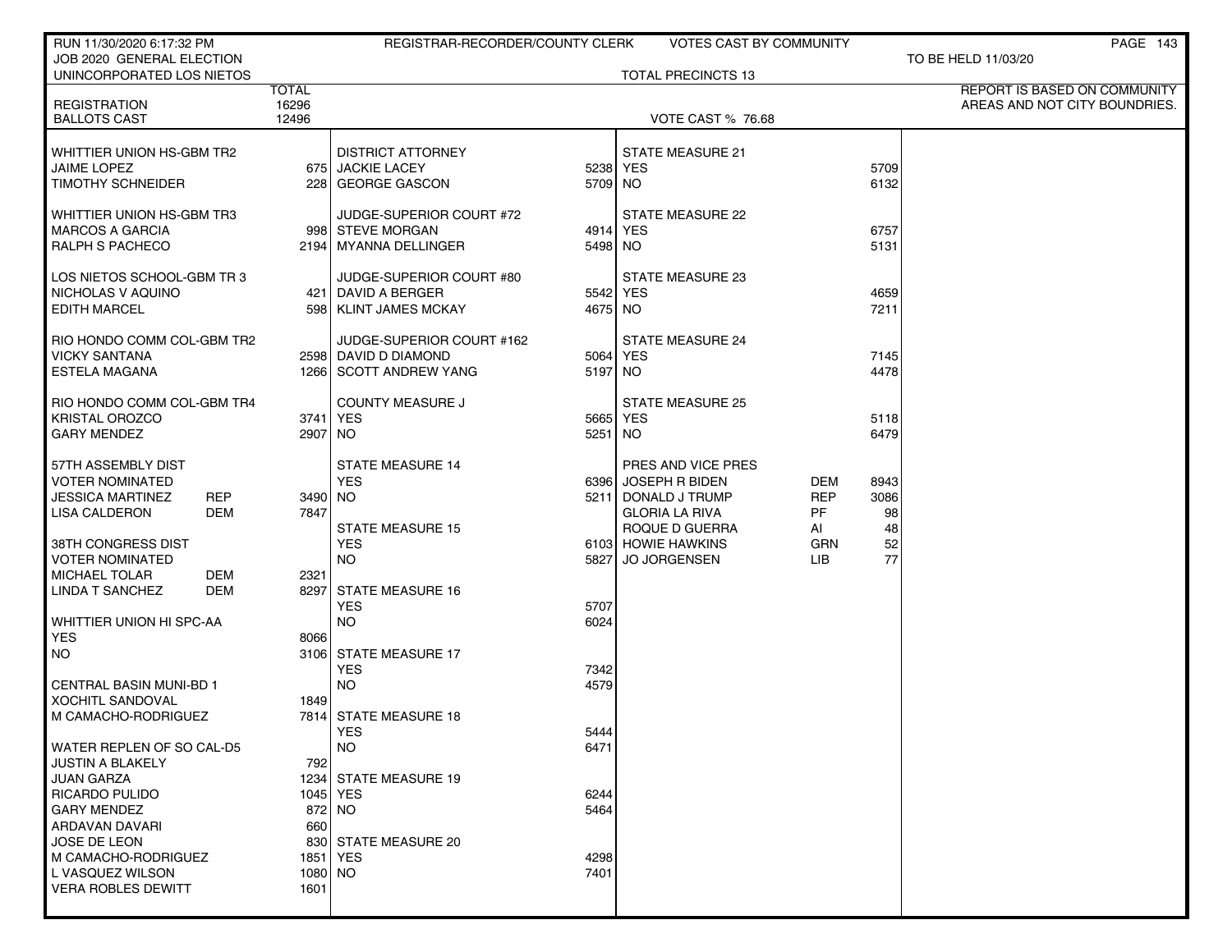| RUN 11/30/2020 6:17:32 PM                      |              | REGISTRAR-RECORDER/COUNTY CLERK       |                     | VOTES CAST BY COMMUNITY   |            |              | PAGE 143                      |
|------------------------------------------------|--------------|---------------------------------------|---------------------|---------------------------|------------|--------------|-------------------------------|
| JOB 2020 GENERAL ELECTION                      |              |                                       |                     |                           |            |              | TO BE HELD 11/03/20           |
| UNINCORPORATED LOS NIETOS                      | <b>TOTAL</b> |                                       |                     | <b>TOTAL PRECINCTS 13</b> |            |              | REPORT IS BASED ON COMMUNITY  |
| <b>REGISTRATION</b>                            | 16296        |                                       |                     |                           |            |              | AREAS AND NOT CITY BOUNDRIES. |
| <b>BALLOTS CAST</b>                            | 12496        |                                       |                     | <b>VOTE CAST % 76.68</b>  |            |              |                               |
|                                                |              |                                       |                     |                           |            |              |                               |
| WHITTIER UNION HS-GBM TR2                      |              | <b>DISTRICT ATTORNEY</b>              |                     | <b>STATE MEASURE 21</b>   |            |              |                               |
| <b>JAIME LOPEZ</b><br><b>TIMOTHY SCHNEIDER</b> |              | 675 JACKIE LACEY<br>228 GEORGE GASCON | 5238 YES<br>5709 NO |                           |            | 5709<br>6132 |                               |
|                                                |              |                                       |                     |                           |            |              |                               |
| WHITTIER UNION HS-GBM TR3                      |              | JUDGE-SUPERIOR COURT #72              |                     | STATE MEASURE 22          |            |              |                               |
| <b>MARCOS A GARCIA</b>                         |              | 998 STEVE MORGAN                      | 4914 YES            |                           |            | 6757         |                               |
| RALPH S PACHECO                                |              | 2194   MYANNA DELLINGER               | 5498 NO             |                           |            | 5131         |                               |
|                                                |              |                                       |                     |                           |            |              |                               |
| LOS NIETOS SCHOOL-GBM TR 3                     |              | JUDGE-SUPERIOR COURT #80              |                     | STATE MEASURE 23          |            |              |                               |
| NICHOLAS V AQUINO                              |              | 421 DAVID A BERGER                    | 5542 YES            |                           |            | 4659         |                               |
| <b>EDITH MARCEL</b>                            |              | 598   KLINT JAMES MCKAY               | 4675 NO             |                           |            | 7211         |                               |
| RIO HONDO COMM COL-GBM TR2                     |              | JUDGE-SUPERIOR COURT #162             |                     | <b>STATE MEASURE 24</b>   |            |              |                               |
| <b>VICKY SANTANA</b>                           |              | 2598 DAVID D DIAMOND                  | 5064 YES            |                           |            | 7145         |                               |
| ESTELA MAGANA                                  |              | 1266 SCOTT ANDREW YANG                | 5197 NO             |                           |            | 4478         |                               |
|                                                |              |                                       |                     |                           |            |              |                               |
| RIO HONDO COMM COL-GBM TR4                     |              | <b>COUNTY MEASURE J</b>               |                     | <b>STATE MEASURE 25</b>   |            |              |                               |
| <b>KRISTAL OROZCO</b>                          |              | 3741   YES                            | 5665 YES            |                           |            | 5118         |                               |
| <b>GARY MENDEZ</b>                             | 2907 NO      |                                       | 5251 NO             |                           |            | 6479         |                               |
| 57TH ASSEMBLY DIST                             |              | <b>STATE MEASURE 14</b>               |                     | PRES AND VICE PRES        |            |              |                               |
| VOTER NOMINATED                                |              | <b>YES</b>                            |                     | 6396 JOSEPH R BIDEN       | DEM        | 8943         |                               |
| JESSICA MARTINEZ<br>REP                        | 3490 NO      |                                       |                     | 5211 DONALD J TRUMP       | <b>REP</b> | 3086         |                               |
| <b>DEM</b><br><b>LISA CALDERON</b>             | 7847         |                                       |                     | <b>GLORIA LA RIVA</b>     | PF         | 98           |                               |
|                                                |              | <b>STATE MEASURE 15</b>               |                     | ROQUE D GUERRA            | AI         | 48           |                               |
| 38TH CONGRESS DIST                             |              | <b>YES</b>                            |                     | 6103 HOWIE HAWKINS        | GRN        | 52           |                               |
| VOTER NOMINATED                                |              | <b>NO</b>                             |                     | 5827 JO JORGENSEN         | LIB        | 77           |                               |
| <b>MICHAEL TOLAR</b><br>DEM                    | 2321         |                                       |                     |                           |            |              |                               |
| <b>LINDA T SANCHEZ</b><br>DEM                  |              | 8297 STATE MEASURE 16                 |                     |                           |            |              |                               |
| WHITTIER UNION HI SPC-AA                       |              | <b>YES</b><br><b>NO</b>               | 5707<br>6024        |                           |            |              |                               |
| <b>YES</b>                                     | 8066         |                                       |                     |                           |            |              |                               |
| NO.                                            |              | 3106 STATE MEASURE 17                 |                     |                           |            |              |                               |
|                                                |              | <b>YES</b>                            | 7342                |                           |            |              |                               |
| CENTRAL BASIN MUNI-BD 1                        |              | <b>NO</b>                             | 4579                |                           |            |              |                               |
| <b>XOCHITL SANDOVAL</b>                        | 1849         |                                       |                     |                           |            |              |                               |
| M CAMACHO-RODRIGUEZ                            |              | 7814 STATE MEASURE 18                 |                     |                           |            |              |                               |
| WATER REPLEN OF SO CAL-D5                      |              | YES<br><b>NO</b>                      | 5444<br>6471        |                           |            |              |                               |
| JUSTIN A BLAKELY                               | 792          |                                       |                     |                           |            |              |                               |
| JUAN GARZA                                     |              | 1234 STATE MEASURE 19                 |                     |                           |            |              |                               |
| RICARDO PULIDO                                 |              | 1045 YES                              | 6244                |                           |            |              |                               |
| <b>GARY MENDEZ</b>                             |              | 872 NO                                | 5464                |                           |            |              |                               |
| ARDAVAN DAVARI                                 | 660          |                                       |                     |                           |            |              |                               |
| JOSE DE LEON                                   |              | 830 STATE MEASURE 20                  |                     |                           |            |              |                               |
| M CAMACHO-RODRIGUEZ                            |              | 1851   YES                            | 4298                |                           |            |              |                               |
| L VASQUEZ WILSON                               | 1080 NO      |                                       | 7401                |                           |            |              |                               |
| <b>VERA ROBLES DEWITT</b>                      | 1601         |                                       |                     |                           |            |              |                               |
|                                                |              |                                       |                     |                           |            |              |                               |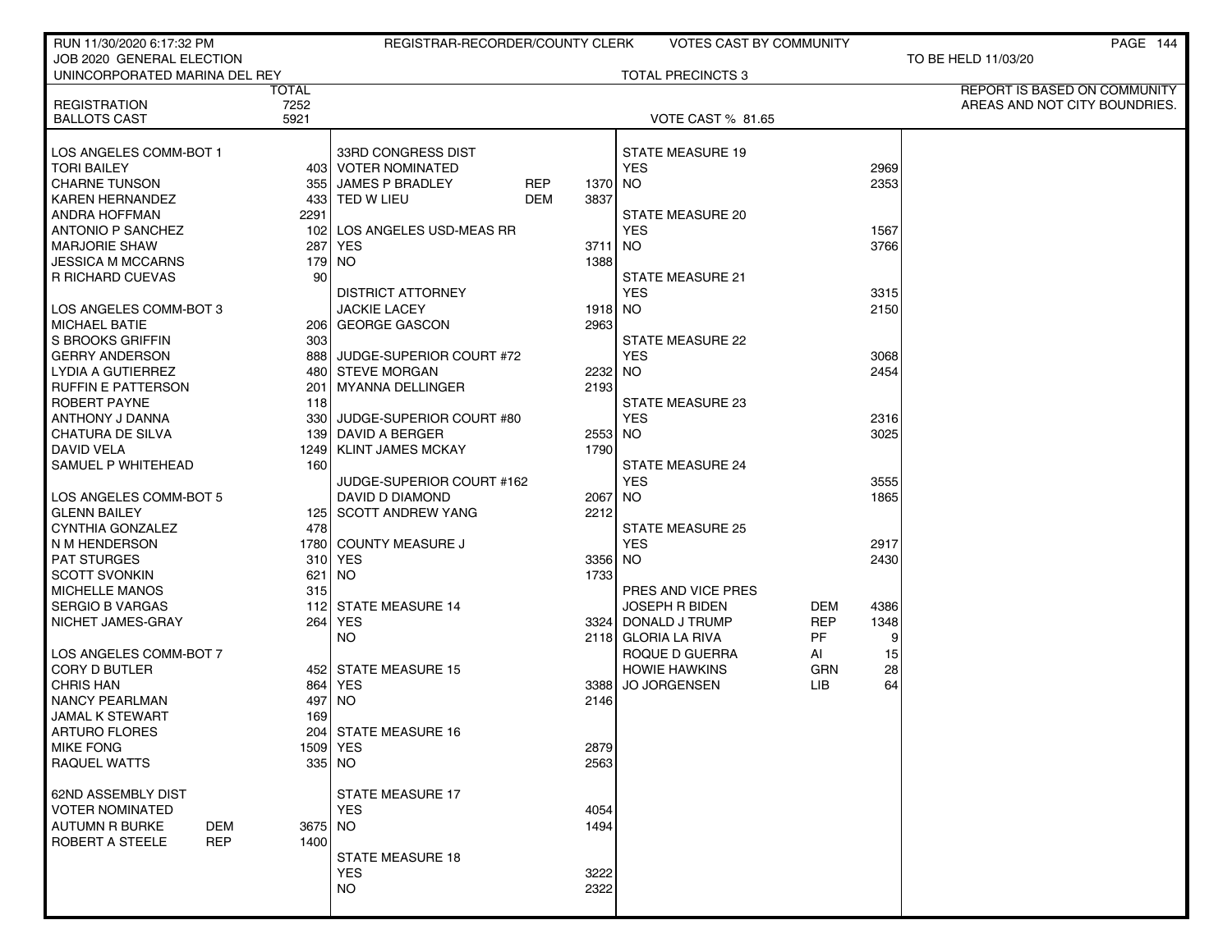| RUN 11/30/2020 6:17:32 PM                    |          | REGISTRAR-RECORDER/COUNTY CLERK             |         | <b>VOTES CAST BY COMMUNITY</b>         |            |          | PAGE 144                      |
|----------------------------------------------|----------|---------------------------------------------|---------|----------------------------------------|------------|----------|-------------------------------|
| JOB 2020 GENERAL ELECTION                    |          |                                             |         |                                        |            |          | TO BE HELD 11/03/20           |
| UNINCORPORATED MARINA DEL REY                |          |                                             |         | <b>TOTAL PRECINCTS 3</b>               |            |          |                               |
|                                              | TOTAL    |                                             |         |                                        |            |          | REPORT IS BASED ON COMMUNITY  |
| <b>REGISTRATION</b>                          | 7252     |                                             |         |                                        |            |          | AREAS AND NOT CITY BOUNDRIES. |
| <b>BALLOTS CAST</b>                          | 5921     |                                             |         | <b>VOTE CAST % 81.65</b>               |            |          |                               |
|                                              |          |                                             |         |                                        |            |          |                               |
| LOS ANGELES COMM-BOT 1<br><b>TORI BAILEY</b> |          | 33RD CONGRESS DIST<br>403   VOTER NOMINATED |         | <b>STATE MEASURE 19</b><br><b>YES</b>  |            | 2969     |                               |
| <b>CHARNE TUNSON</b>                         |          | 355 JAMES P BRADLEY<br>REP                  | 1370    | NO.                                    |            | 2353     |                               |
| <b>KAREN HERNANDEZ</b>                       |          | 433 TED W LIEU<br>DEM                       | 3837    |                                        |            |          |                               |
| ANDRA HOFFMAN                                | 2291     |                                             |         | STATE MEASURE 20                       |            |          |                               |
| <b>ANTONIO P SANCHEZ</b>                     | 1021     | LOS ANGELES USD-MEAS RR                     |         | <b>YES</b>                             |            | 1567     |                               |
| <b>MARJORIE SHAW</b>                         | 287      | <b>YES</b>                                  | 3711    | NO.                                    |            | 3766     |                               |
| <b>JESSICA M MCCARNS</b>                     |          | 179   NO                                    | 1388    |                                        |            |          |                               |
| R RICHARD CUEVAS                             | 90       |                                             |         | <b>STATE MEASURE 21</b>                |            |          |                               |
|                                              |          | <b>DISTRICT ATTORNEY</b>                    |         | <b>YES</b>                             |            | 3315     |                               |
| LOS ANGELES COMM-BOT 3                       |          | <b>JACKIE LACEY</b>                         | 1918 NO |                                        |            | 2150     |                               |
| <b>MICHAEL BATIE</b>                         |          | 206 GEORGE GASCON                           | 2963    |                                        |            |          |                               |
| S BROOKS GRIFFIN                             | 303      |                                             |         | STATE MEASURE 22                       |            |          |                               |
| <b>GERRY ANDERSON</b>                        |          | 888 JUDGE-SUPERIOR COURT #72                |         | <b>YES</b>                             |            | 3068     |                               |
| LYDIA A GUTIERREZ                            |          | 480 STEVE MORGAN                            | 2232 NO |                                        |            | 2454     |                               |
| <b>RUFFIN E PATTERSON</b>                    | 201      | MYANNA DELLINGER                            | 2193    |                                        |            |          |                               |
| ROBERT PAYNE                                 | 118      |                                             |         | STATE MEASURE 23                       |            |          |                               |
| ANTHONY J DANNA                              | 3301     | JUDGE-SUPERIOR COURT #80                    |         | <b>YES</b>                             |            | 2316     |                               |
| CHATURA DE SILVA                             |          | 139 DAVID A BERGER                          | 2553    | NO.                                    |            | 3025     |                               |
| <b>DAVID VELA</b>                            |          | 1249 KLINT JAMES MCKAY                      | 1790    |                                        |            |          |                               |
| SAMUEL P WHITEHEAD                           | 160      |                                             |         | <b>STATE MEASURE 24</b>                |            |          |                               |
|                                              |          | JUDGE-SUPERIOR COURT #162                   |         | <b>YES</b>                             |            | 3555     |                               |
| LOS ANGELES COMM-BOT 5                       |          | DAVID D DIAMOND                             | 2067    | NO.                                    |            | 1865     |                               |
| <b>GLENN BAILEY</b>                          |          | 125 SCOTT ANDREW YANG                       | 2212    |                                        |            |          |                               |
| CYNTHIA GONZALEZ                             | 478      |                                             |         | <b>STATE MEASURE 25</b>                |            |          |                               |
| N M HENDERSON                                |          | 1780 COUNTY MEASURE J                       |         | <b>YES</b>                             |            | 2917     |                               |
| <b>PAT STURGES</b>                           |          | 310 YES                                     | 3356 NO |                                        |            | 2430     |                               |
| <b>SCOTT SVONKIN</b>                         | 621      | NO.                                         | 1733    |                                        |            |          |                               |
| <b>MICHELLE MANOS</b>                        | 315      |                                             |         | PRES AND VICE PRES                     |            |          |                               |
| <b>SERGIO B VARGAS</b>                       |          | 112 STATE MEASURE 14                        |         | <b>JOSEPH R BIDEN</b>                  | DEM        | 4386     |                               |
| NICHET JAMES-GRAY                            | 264 l    | <b>YES</b>                                  |         | 3324 DONALD J TRUMP                    | <b>REP</b> | 1348     |                               |
| LOS ANGELES COMM-BOT 7                       |          | NO.                                         |         | 2118 GLORIA LA RIVA                    | PF         | 9        |                               |
| <b>CORY D BUTLER</b>                         |          | 452 STATE MEASURE 15                        |         | ROQUE D GUERRA<br><b>HOWIE HAWKINS</b> | AI<br>GRN  | 15<br>28 |                               |
| <b>CHRIS HAN</b>                             |          | 864 YES                                     | 3388    | <b>JO JORGENSEN</b>                    | LIB        | 64       |                               |
| <b>NANCY PEARLMAN</b>                        | 497      | NO.                                         | 2146    |                                        |            |          |                               |
| <b>JAMAL K STEWART</b>                       | 169      |                                             |         |                                        |            |          |                               |
| ARTURO FLORES                                |          | 204 STATE MEASURE 16                        |         |                                        |            |          |                               |
| <b>MIKE FONG</b>                             | 1509 YES |                                             | 2879    |                                        |            |          |                               |
| <b>RAQUEL WATTS</b>                          |          | 335 NO                                      | 2563    |                                        |            |          |                               |
|                                              |          |                                             |         |                                        |            |          |                               |
| 62ND ASSEMBLY DIST                           |          | <b>STATE MEASURE 17</b>                     |         |                                        |            |          |                               |
| <b>VOTER NOMINATED</b>                       |          | <b>YES</b>                                  | 4054    |                                        |            |          |                               |
| AUTUMN R BURKE<br><b>DEM</b>                 | 3675 NO  |                                             | 1494    |                                        |            |          |                               |
| <b>ROBERT A STEELE</b><br><b>REP</b>         | 1400     |                                             |         |                                        |            |          |                               |
|                                              |          | <b>STATE MEASURE 18</b>                     |         |                                        |            |          |                               |
|                                              |          | <b>YES</b>                                  | 3222    |                                        |            |          |                               |
|                                              |          | <b>NO</b>                                   | 2322    |                                        |            |          |                               |
|                                              |          |                                             |         |                                        |            |          |                               |
|                                              |          |                                             |         |                                        |            |          |                               |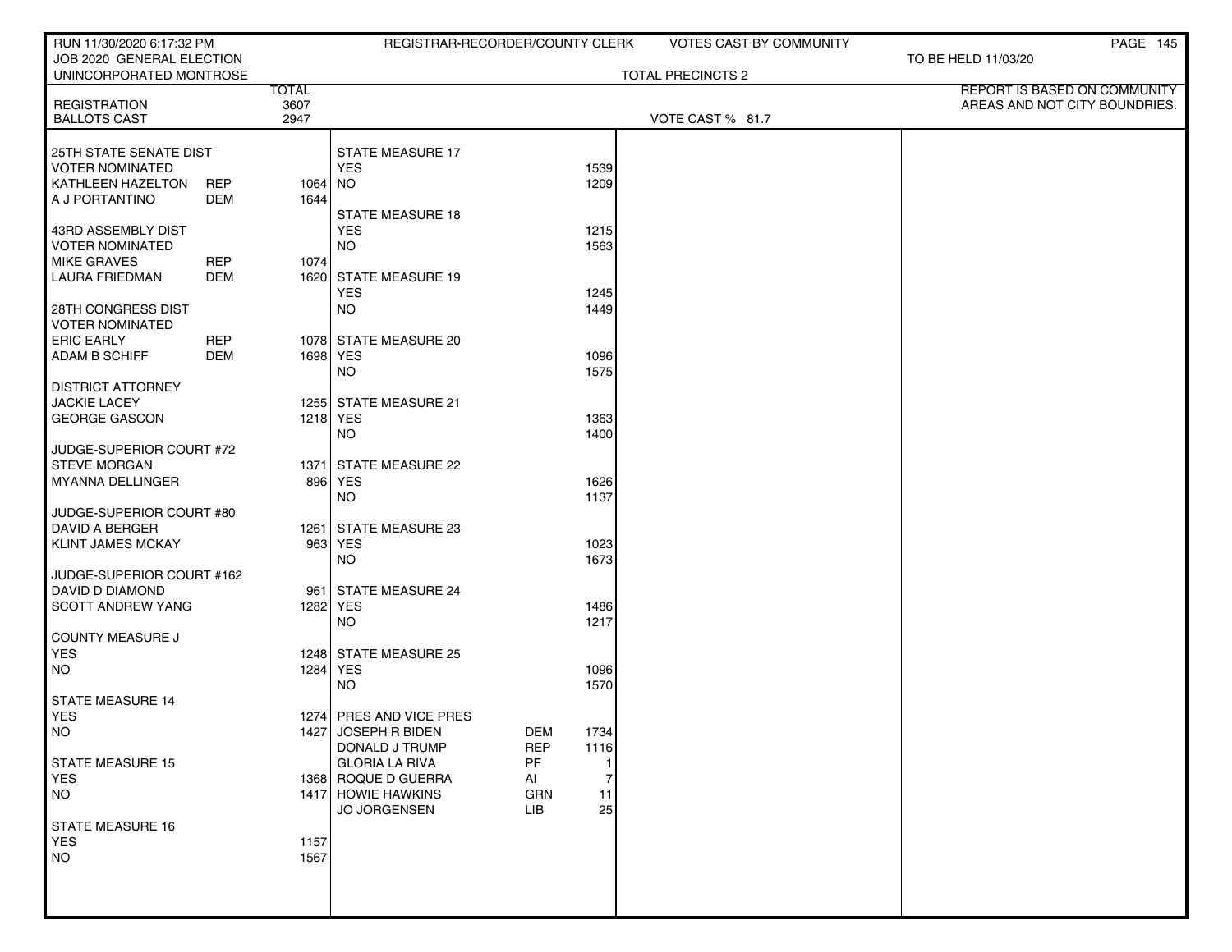| RUN 11/30/2020 6:17:32 PM                            |            |              | REGISTRAR-RECORDER/COUNTY CLERK   |                   |                | <b>VOTES CAST BY COMMUNITY</b> |                     | PAGE 145                      |
|------------------------------------------------------|------------|--------------|-----------------------------------|-------------------|----------------|--------------------------------|---------------------|-------------------------------|
| JOB 2020 GENERAL ELECTION<br>UNINCORPORATED MONTROSE |            |              |                                   |                   |                | <b>TOTAL PRECINCTS 2</b>       | TO BE HELD 11/03/20 |                               |
|                                                      |            | <b>TOTAL</b> |                                   |                   |                |                                |                     | REPORT IS BASED ON COMMUNITY  |
| <b>REGISTRATION</b>                                  |            | 3607         |                                   |                   |                |                                |                     | AREAS AND NOT CITY BOUNDRIES. |
| <b>BALLOTS CAST</b>                                  |            | 2947         |                                   |                   |                | VOTE CAST % 81.7               |                     |                               |
| 25TH STATE SENATE DIST                               |            |              | <b>STATE MEASURE 17</b>           |                   |                |                                |                     |                               |
| <b>VOTER NOMINATED</b>                               |            |              | <b>YES</b>                        |                   | 1539           |                                |                     |                               |
| KATHLEEN HAZELTON                                    | <b>REP</b> | $1064$ NO    |                                   |                   | 1209           |                                |                     |                               |
| A J PORTANTINO                                       | DEM        | 1644         |                                   |                   |                |                                |                     |                               |
|                                                      |            |              | <b>STATE MEASURE 18</b>           |                   |                |                                |                     |                               |
| 43RD ASSEMBLY DIST                                   |            |              | <b>YES</b>                        |                   | 1215           |                                |                     |                               |
| <b>VOTER NOMINATED</b><br><b>MIKE GRAVES</b>         | <b>REP</b> | 1074         | <b>NO</b>                         |                   | 1563           |                                |                     |                               |
| <b>LAURA FRIEDMAN</b>                                | DEM        |              | 1620 STATE MEASURE 19             |                   |                |                                |                     |                               |
|                                                      |            |              | <b>YES</b>                        |                   | 1245           |                                |                     |                               |
| 28TH CONGRESS DIST                                   |            |              | <b>NO</b>                         |                   | 1449           |                                |                     |                               |
| <b>VOTER NOMINATED</b>                               |            |              |                                   |                   |                |                                |                     |                               |
| <b>ERIC EARLY</b>                                    | <b>REP</b> |              | 1078 STATE MEASURE 20             |                   |                |                                |                     |                               |
| <b>ADAM B SCHIFF</b>                                 | <b>DEM</b> |              | 1698 YES                          |                   | 1096           |                                |                     |                               |
|                                                      |            |              | NO.                               |                   | 1575           |                                |                     |                               |
| <b>DISTRICT ATTORNEY</b>                             |            |              |                                   |                   |                |                                |                     |                               |
| <b>JACKIE LACEY</b><br><b>GEORGE GASCON</b>          |            |              | 1255 STATE MEASURE 21<br>1218 YES |                   | 1363           |                                |                     |                               |
|                                                      |            |              | <b>NO</b>                         |                   | 1400           |                                |                     |                               |
| JUDGE-SUPERIOR COURT #72                             |            |              |                                   |                   |                |                                |                     |                               |
| <b>STEVE MORGAN</b>                                  |            |              | 1371 STATE MEASURE 22             |                   |                |                                |                     |                               |
| MYANNA DELLINGER                                     |            |              | 896 YES                           |                   | 1626           |                                |                     |                               |
|                                                      |            |              | NO.                               |                   | 1137           |                                |                     |                               |
| JUDGE-SUPERIOR COURT #80                             |            |              |                                   |                   |                |                                |                     |                               |
| <b>DAVID A BERGER</b><br><b>KLINT JAMES MCKAY</b>    |            |              | 1261 STATE MEASURE 23<br>963 YES  |                   | 1023           |                                |                     |                               |
|                                                      |            |              | <b>NO</b>                         |                   | 1673           |                                |                     |                               |
| JUDGE-SUPERIOR COURT #162                            |            |              |                                   |                   |                |                                |                     |                               |
| DAVID D DIAMOND                                      |            |              | 961 STATE MEASURE 24              |                   |                |                                |                     |                               |
| <b>SCOTT ANDREW YANG</b>                             |            |              | 1282 YES                          |                   | 1486           |                                |                     |                               |
|                                                      |            |              | NO.                               |                   | 1217           |                                |                     |                               |
| <b>COUNTY MEASURE J</b>                              |            |              |                                   |                   |                |                                |                     |                               |
| <b>YES</b>                                           |            |              | 1248 STATE MEASURE 25             |                   |                |                                |                     |                               |
| <b>NO</b>                                            |            |              | 1284 YES<br>NO.                   |                   | 1096<br>1570   |                                |                     |                               |
| STATE MEASURE 14                                     |            |              |                                   |                   |                |                                |                     |                               |
| <b>YES</b>                                           |            |              | 1274 PRES AND VICE PRES           |                   |                |                                |                     |                               |
| <b>NO</b>                                            |            |              | 1427 JOSEPH R BIDEN               | <b>DEM</b>        | 1734           |                                |                     |                               |
|                                                      |            |              | DONALD J TRUMP                    | <b>REP</b>        | 1116           |                                |                     |                               |
| <b>STATE MEASURE 15</b>                              |            |              | <b>GLORIA LA RIVA</b>             | PF                | 1              |                                |                     |                               |
| <b>YES</b>                                           |            |              | 1368 ROQUE D GUERRA               | AI                | $\overline{7}$ |                                |                     |                               |
| <b>NO</b>                                            |            |              | 1417 HOWIE HAWKINS                | GRN<br><b>LIB</b> | 11<br>25       |                                |                     |                               |
| <b>STATE MEASURE 16</b>                              |            |              | JO JORGENSEN                      |                   |                |                                |                     |                               |
| <b>YES</b>                                           |            | 1157         |                                   |                   |                |                                |                     |                               |
| <b>NO</b>                                            |            | 1567         |                                   |                   |                |                                |                     |                               |
|                                                      |            |              |                                   |                   |                |                                |                     |                               |
|                                                      |            |              |                                   |                   |                |                                |                     |                               |
|                                                      |            |              |                                   |                   |                |                                |                     |                               |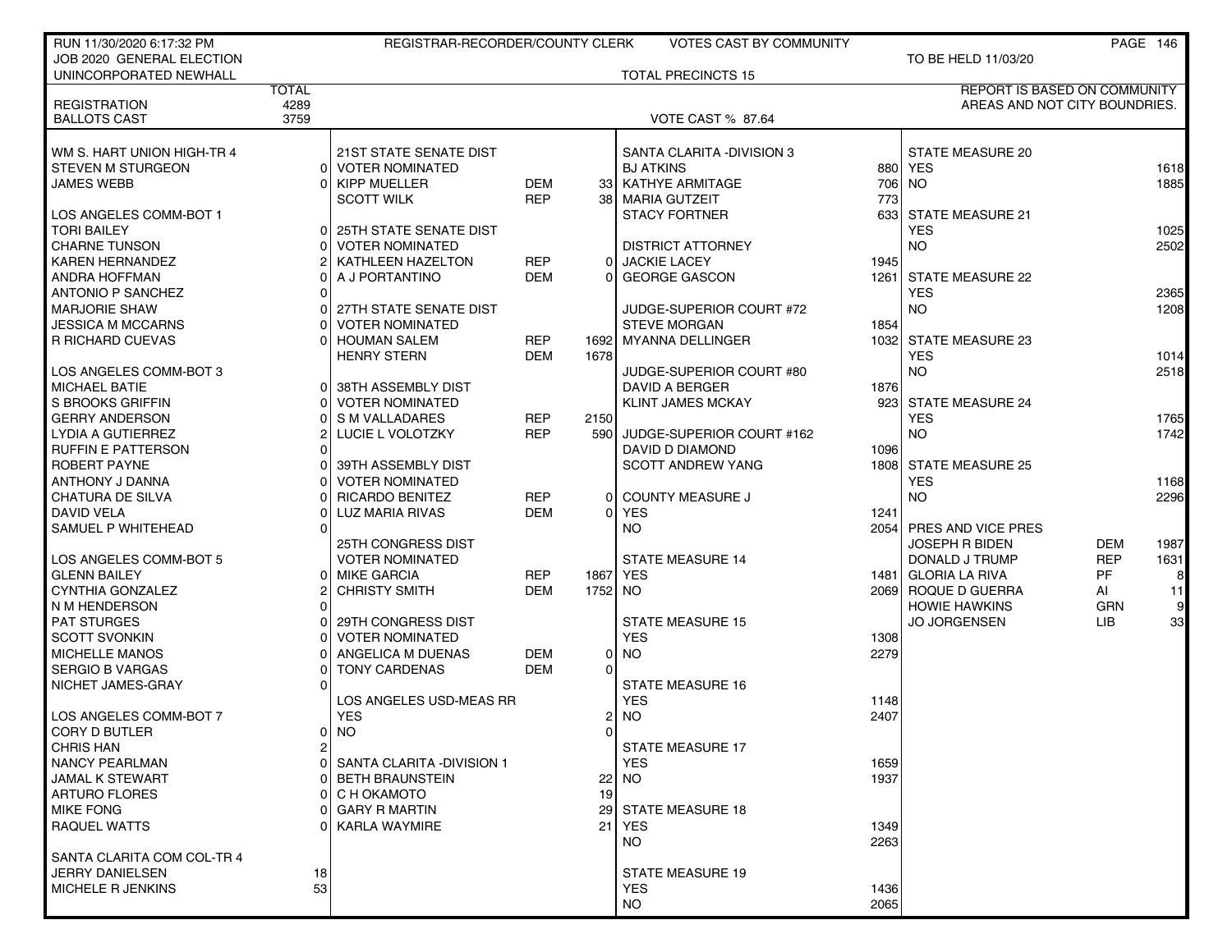| RUN 11/30/2020 6:17:32 PM                  |              | REGISTRAR-RECORDER/COUNTY CLERK                         |                          |                | <b>VOTES CAST BY COMMUNITY</b> |      |                               |            | PAGE 146       |
|--------------------------------------------|--------------|---------------------------------------------------------|--------------------------|----------------|--------------------------------|------|-------------------------------|------------|----------------|
| JOB 2020 GENERAL ELECTION                  |              |                                                         |                          |                |                                |      | TO BE HELD 11/03/20           |            |                |
| UNINCORPORATED NEWHALL                     |              |                                                         |                          |                | <b>TOTAL PRECINCTS 15</b>      |      |                               |            |                |
|                                            | <b>TOTAL</b> |                                                         |                          |                |                                |      | REPORT IS BASED ON COMMUNITY  |            |                |
| <b>REGISTRATION</b>                        | 4289         |                                                         |                          |                |                                |      | AREAS AND NOT CITY BOUNDRIES. |            |                |
| <b>BALLOTS CAST</b>                        | 3759         |                                                         |                          |                | VOTE CAST % 87.64              |      |                               |            |                |
|                                            |              |                                                         |                          |                |                                |      |                               |            |                |
| WM S. HART UNION HIGH-TR 4                 |              | <b>21ST STATE SENATE DIST</b>                           |                          |                | SANTA CLARITA - DIVISION 3     |      | STATE MEASURE 20              |            |                |
| <b>STEVEN M STURGEON</b>                   |              | 0 VOTER NOMINATED                                       |                          |                | <b>BJ ATKINS</b>               |      | 880 YES                       |            | 1618           |
| <b>JAMES WEBB</b>                          |              | 0 KIPP MUELLER                                          | <b>DEM</b>               |                | 33 KATHYE ARMITAGE             |      | 706 NO                        |            | 1885           |
|                                            |              | <b>SCOTT WILK</b>                                       | <b>REP</b>               | 38             | MARIA GUTZEIT                  | 773  |                               |            |                |
| LOS ANGELES COMM-BOT 1                     |              |                                                         |                          |                | <b>STACY FORTNER</b>           |      | 633 STATE MEASURE 21          |            |                |
| <b>TORI BAILEY</b><br><b>CHARNE TUNSON</b> |              | <b>25TH STATE SENATE DIST</b><br><b>VOTER NOMINATED</b> |                          |                | <b>DISTRICT ATTORNEY</b>       |      | <b>YES</b><br><b>NO</b>       |            | 1025           |
|                                            |              |                                                         |                          |                | <b>JACKIE LACEY</b>            | 1945 |                               |            | 2502           |
| <b>KAREN HERNANDEZ</b>                     |              | KATHLEEN HAZELTON                                       | REP<br><b>DEM</b>        | 0              |                                |      | 1261 STATE MEASURE 22         |            |                |
| ANDRA HOFFMAN                              |              | A J PORTANTINO                                          |                          | 01             | <b>GEORGE GASCON</b>           |      | <b>YES</b>                    |            |                |
| ANTONIO P SANCHEZ<br><b>MARJORIE SHAW</b>  |              |                                                         |                          |                |                                |      | NO.                           |            | 2365<br>1208   |
|                                            |              | 27TH STATE SENATE DIST                                  |                          |                | JUDGE-SUPERIOR COURT #72       |      |                               |            |                |
| JESSICA M MCCARNS                          |              | <b>VOTER NOMINATED</b>                                  |                          |                | <b>STEVE MORGAN</b>            | 1854 | 1032 STATE MEASURE 23         |            |                |
| R RICHARD CUEVAS                           |              | <b>HOUMAN SALEM</b>                                     | <b>REP</b><br><b>DEM</b> | 1692           | MYANNA DELLINGER               |      | <b>YES</b>                    |            |                |
| LOS ANGELES COMM-BOT 3                     |              | <b>HENRY STERN</b>                                      |                          | 1678           | JUDGE-SUPERIOR COURT #80       |      | NO.                           |            | 1014<br>2518   |
| <b>MICHAEL BATIE</b>                       |              | 38TH ASSEMBLY DIST                                      |                          |                | <b>DAVID A BERGER</b>          | 1876 |                               |            |                |
| S BROOKS GRIFFIN                           |              | <b>VOTER NOMINATED</b>                                  |                          |                | <b>KLINT JAMES MCKAY</b>       |      | 923 STATE MEASURE 24          |            |                |
| <b>GERRY ANDERSON</b>                      |              | S M VALLADARES                                          | <b>REP</b>               | 2150           |                                |      | <b>YES</b>                    |            | 1765           |
| LYDIA A GUTIERREZ                          |              | LUCIE L VOLOTZKY                                        | <b>REP</b>               | 590            | JUDGE-SUPERIOR COURT #162      |      | <b>NO</b>                     |            | 1742           |
| <b>RUFFIN E PATTERSON</b>                  |              |                                                         |                          |                | DAVID D DIAMOND                | 1096 |                               |            |                |
| ROBERT PAYNE                               |              | 39TH ASSEMBLY DIST                                      |                          |                | <b>SCOTT ANDREW YANG</b>       |      | 1808 STATE MEASURE 25         |            |                |
| ANTHONY J DANNA                            |              | <b>VOTER NOMINATED</b>                                  |                          |                |                                |      | <b>YES</b>                    |            | 1168           |
| CHATURA DE SILVA                           |              | <b>RICARDO BENITEZ</b>                                  | <b>REP</b>               | 01             | <b>COUNTY MEASURE J</b>        |      | NO.                           |            | 2296           |
| <b>DAVID VELA</b>                          |              | LUZ MARIA RIVAS                                         | <b>DEM</b>               |                | 0 YES                          | 1241 |                               |            |                |
| SAMUEL P WHITEHEAD                         |              |                                                         |                          |                | NO.                            |      | 2054 PRES AND VICE PRES       |            |                |
|                                            |              | <b>25TH CONGRESS DIST</b>                               |                          |                |                                |      | <b>JOSEPH R BIDEN</b>         | DEM        | 1987           |
| LOS ANGELES COMM-BOT 5                     |              | <b>VOTER NOMINATED</b>                                  |                          |                | <b>STATE MEASURE 14</b>        |      | DONALD J TRUMP                | <b>REP</b> | 1631           |
| <b>GLENN BAILEY</b>                        |              | 0 MIKE GARCIA                                           | <b>REP</b>               |                | 1867 YES                       |      | 1481 GLORIA LA RIVA           | PF         | 8              |
| CYNTHIA GONZALEZ                           |              | <b>CHRISTY SMITH</b>                                    | <b>DEM</b>               | 1752 NO        |                                |      | 2069 ROQUE D GUERRA           | AI         | 11             |
| N M HENDERSON                              |              |                                                         |                          |                |                                |      | <b>HOWIE HAWKINS</b>          | <b>GRN</b> | 9 <sub>l</sub> |
| <b>PAT STURGES</b>                         |              | 29TH CONGRESS DIST                                      |                          |                | <b>STATE MEASURE 15</b>        |      | <b>JO JORGENSEN</b>           | LIB        | 33             |
| <b>SCOTT SVONKIN</b>                       |              | <b>VOTER NOMINATED</b>                                  |                          |                | <b>YES</b>                     | 1308 |                               |            |                |
| <b>MICHELLE MANOS</b>                      |              | ANGELICA M DUENAS                                       | DEM                      | $\overline{0}$ | <b>NO</b>                      | 2279 |                               |            |                |
| <b>SERGIO B VARGAS</b>                     |              | <b>TONY CARDENAS</b>                                    | DEM                      | 0              |                                |      |                               |            |                |
| NICHET JAMES-GRAY                          |              |                                                         |                          |                | <b>STATE MEASURE 16</b>        |      |                               |            |                |
|                                            |              | LOS ANGELES USD-MEAS RR                                 |                          |                | <b>YES</b>                     | 1148 |                               |            |                |
| LOS ANGELES COMM-BOT 7                     |              | <b>YES</b>                                              |                          | 21             | <b>NO</b>                      | 2407 |                               |            |                |
| CORY D BUTLER                              |              | 0 NO                                                    |                          | 0              |                                |      |                               |            |                |
| <b>CHRIS HAN</b>                           |              |                                                         |                          |                | <b>STATE MEASURE 17</b>        |      |                               |            |                |
| <b>NANCY PEARLMAN</b>                      |              | SANTA CLARITA - DIVISION 1                              |                          |                | <b>YES</b>                     | 1659 |                               |            |                |
| JAMAL K STEWART                            |              | <b>BETH BRAUNSTEIN</b>                                  |                          | 22 I           | <b>NO</b>                      | 1937 |                               |            |                |
| <b>ARTURO FLORES</b>                       |              | C H OKAMOTO                                             |                          | 19             |                                |      |                               |            |                |
| <b>MIKE FONG</b>                           |              | <b>GARY R MARTIN</b>                                    |                          | 29             | STATE MEASURE 18               |      |                               |            |                |
| RAQUEL WATTS                               |              | KARLA WAYMIRE                                           |                          | 211            | <b>YES</b>                     | 1349 |                               |            |                |
|                                            |              |                                                         |                          |                | NO.                            | 2263 |                               |            |                |
| SANTA CLARITA COM COL-TR 4                 |              |                                                         |                          |                |                                |      |                               |            |                |
| <b>JERRY DANIELSEN</b>                     | 18           |                                                         |                          |                | <b>STATE MEASURE 19</b>        |      |                               |            |                |
| MICHELE R JENKINS                          | 53           |                                                         |                          |                | <b>YES</b>                     | 1436 |                               |            |                |
|                                            |              |                                                         |                          |                | <b>NO</b>                      | 2065 |                               |            |                |
|                                            |              |                                                         |                          |                |                                |      |                               |            |                |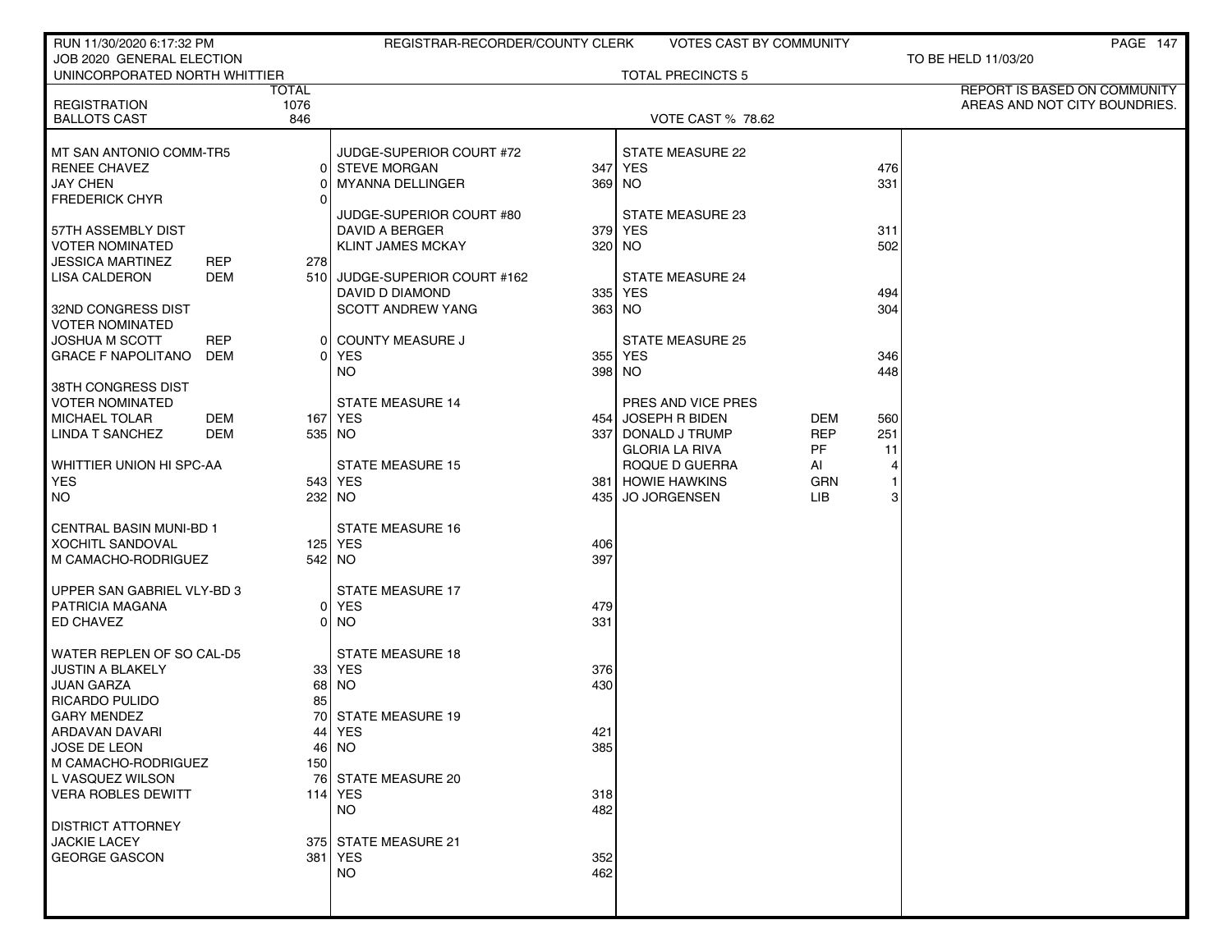| RUN 11/30/2020 6:17:32 PM                                  |                   |        | REGISTRAR-RECORDER/COUNTY CLERK                   |            | <b>VOTES CAST BY COMMUNITY</b>          |                  |                      | PAGE 147                      |
|------------------------------------------------------------|-------------------|--------|---------------------------------------------------|------------|-----------------------------------------|------------------|----------------------|-------------------------------|
| JOB 2020 GENERAL ELECTION<br>UNINCORPORATED NORTH WHITTIER |                   |        |                                                   |            | <b>TOTAL PRECINCTS 5</b>                |                  |                      | TO BE HELD 11/03/20           |
|                                                            |                   | TOTAL  |                                                   |            |                                         |                  |                      | REPORT IS BASED ON COMMUNITY  |
| <b>REGISTRATION</b>                                        |                   | 1076   |                                                   |            |                                         |                  |                      | AREAS AND NOT CITY BOUNDRIES. |
| <b>BALLOTS CAST</b>                                        |                   | 846    |                                                   |            | <b>VOTE CAST % 78.62</b>                |                  |                      |                               |
| MT SAN ANTONIO COMM-TR5                                    |                   |        | JUDGE-SUPERIOR COURT #72                          |            | STATE MEASURE 22                        |                  |                      |                               |
| <b>RENEE CHAVEZ</b>                                        |                   |        | 0 STEVE MORGAN                                    |            | 347 YES                                 |                  | 476                  |                               |
| <b>JAY CHEN</b>                                            |                   |        | <b>MYANNA DELLINGER</b>                           |            | 369 NO                                  |                  | 331                  |                               |
| <b>FREDERICK CHYR</b>                                      |                   | ΩI     |                                                   |            |                                         |                  |                      |                               |
| 57TH ASSEMBLY DIST                                         |                   |        | JUDGE-SUPERIOR COURT #80<br><b>DAVID A BERGER</b> |            | STATE MEASURE 23<br>379 YES             |                  | 311                  |                               |
| <b>VOTER NOMINATED</b>                                     |                   |        | <b>KLINT JAMES MCKAY</b>                          |            | 320 NO                                  |                  | 502                  |                               |
| <b>JESSICA MARTINEZ</b>                                    | <b>REP</b>        | 278    |                                                   |            |                                         |                  |                      |                               |
| LISA CALDERON                                              | DEM               |        | 510 JUDGE-SUPERIOR COURT #162                     |            | <b>STATE MEASURE 24</b>                 |                  |                      |                               |
|                                                            |                   |        | DAVID D DIAMOND                                   |            | 335 YES                                 |                  | 494                  |                               |
| 32ND CONGRESS DIST                                         |                   |        | <b>SCOTT ANDREW YANG</b>                          |            | 363 NO                                  |                  | 304                  |                               |
| <b>VOTER NOMINATED</b>                                     |                   |        |                                                   |            |                                         |                  |                      |                               |
| <b>JOSHUA M SCOTT</b><br><b>GRACE F NAPOLITANO</b>         | <b>REP</b><br>DEM |        | 0 COUNTY MEASURE J<br>0 YES                       |            | <b>STATE MEASURE 25</b><br>355 YES      |                  | 346                  |                               |
|                                                            |                   |        | NO.                                               |            | 398 NO                                  |                  | 448                  |                               |
| 38TH CONGRESS DIST                                         |                   |        |                                                   |            |                                         |                  |                      |                               |
| <b>VOTER NOMINATED</b>                                     |                   |        | <b>STATE MEASURE 14</b>                           |            | PRES AND VICE PRES                      |                  |                      |                               |
| <b>MICHAEL TOLAR</b>                                       | DEM               |        | 167 YES                                           |            | 454 JOSEPH R BIDEN                      | DEM              | 560                  |                               |
| <b>LINDA T SANCHEZ</b>                                     | DEM               |        | 535 NO                                            |            | 337 DONALD J TRUMP                      | <b>REP</b>       | 251                  |                               |
| WHITTIER UNION HI SPC-AA                                   |                   |        | <b>STATE MEASURE 15</b>                           |            | <b>GLORIA LA RIVA</b><br>ROQUE D GUERRA | PF.              | 11<br>$\overline{4}$ |                               |
| <b>YES</b>                                                 |                   |        | 543 YES                                           |            | 381 HOWIE HAWKINS                       | AI<br><b>GRN</b> | $\mathbf 1$          |                               |
| <b>NO</b>                                                  |                   | 232 NO |                                                   | 435        | <b>JO JORGENSEN</b>                     | LIB.             | 3                    |                               |
|                                                            |                   |        |                                                   |            |                                         |                  |                      |                               |
| <b>CENTRAL BASIN MUNI-BD 1</b>                             |                   |        | <b>STATE MEASURE 16</b>                           |            |                                         |                  |                      |                               |
| <b>XOCHITL SANDOVAL</b>                                    |                   |        | 125 YES                                           | 406        |                                         |                  |                      |                               |
| M CAMACHO-RODRIGUEZ                                        |                   |        | 542 NO                                            | 397        |                                         |                  |                      |                               |
| UPPER SAN GABRIEL VLY-BD 3                                 |                   |        | <b>STATE MEASURE 17</b>                           |            |                                         |                  |                      |                               |
| PATRICIA MAGANA                                            |                   |        | 0 YES                                             | 479        |                                         |                  |                      |                               |
| ED CHAVEZ                                                  |                   |        | 0 NO                                              | 331        |                                         |                  |                      |                               |
| WATER REPLEN OF SO CAL-D5                                  |                   |        | <b>STATE MEASURE 18</b>                           |            |                                         |                  |                      |                               |
| <b>JUSTIN A BLAKELY</b>                                    |                   |        | 33 YES                                            | 376        |                                         |                  |                      |                               |
| <b>JUAN GARZA</b>                                          |                   |        | 68   NO                                           | 430        |                                         |                  |                      |                               |
| RICARDO PULIDO                                             |                   | 85     |                                                   |            |                                         |                  |                      |                               |
| <b>GARY MENDEZ</b>                                         |                   |        | 70 STATE MEASURE 19                               |            |                                         |                  |                      |                               |
| ARDAVAN DAVARI                                             |                   |        | 441 YES                                           | 421        |                                         |                  |                      |                               |
| JOSE DE LEON<br>M CAMACHO-RODRIGUEZ                        |                   | 150    | $46$ NO                                           | 385        |                                         |                  |                      |                               |
| L VASQUEZ WILSON                                           |                   |        | 76 STATE MEASURE 20                               |            |                                         |                  |                      |                               |
| <b>VERA ROBLES DEWITT</b>                                  |                   |        | 114 $YES$                                         | 318        |                                         |                  |                      |                               |
|                                                            |                   |        | <b>NO</b>                                         | 482        |                                         |                  |                      |                               |
| <b>DISTRICT ATTORNEY</b>                                   |                   |        |                                                   |            |                                         |                  |                      |                               |
| <b>JACKIE LACEY</b>                                        |                   |        | 375 STATE MEASURE 21                              |            |                                         |                  |                      |                               |
| <b>GEORGE GASCON</b>                                       |                   |        | 381 YES<br><b>NO</b>                              | 352<br>462 |                                         |                  |                      |                               |
|                                                            |                   |        |                                                   |            |                                         |                  |                      |                               |
|                                                            |                   |        |                                                   |            |                                         |                  |                      |                               |
|                                                            |                   |        |                                                   |            |                                         |                  |                      |                               |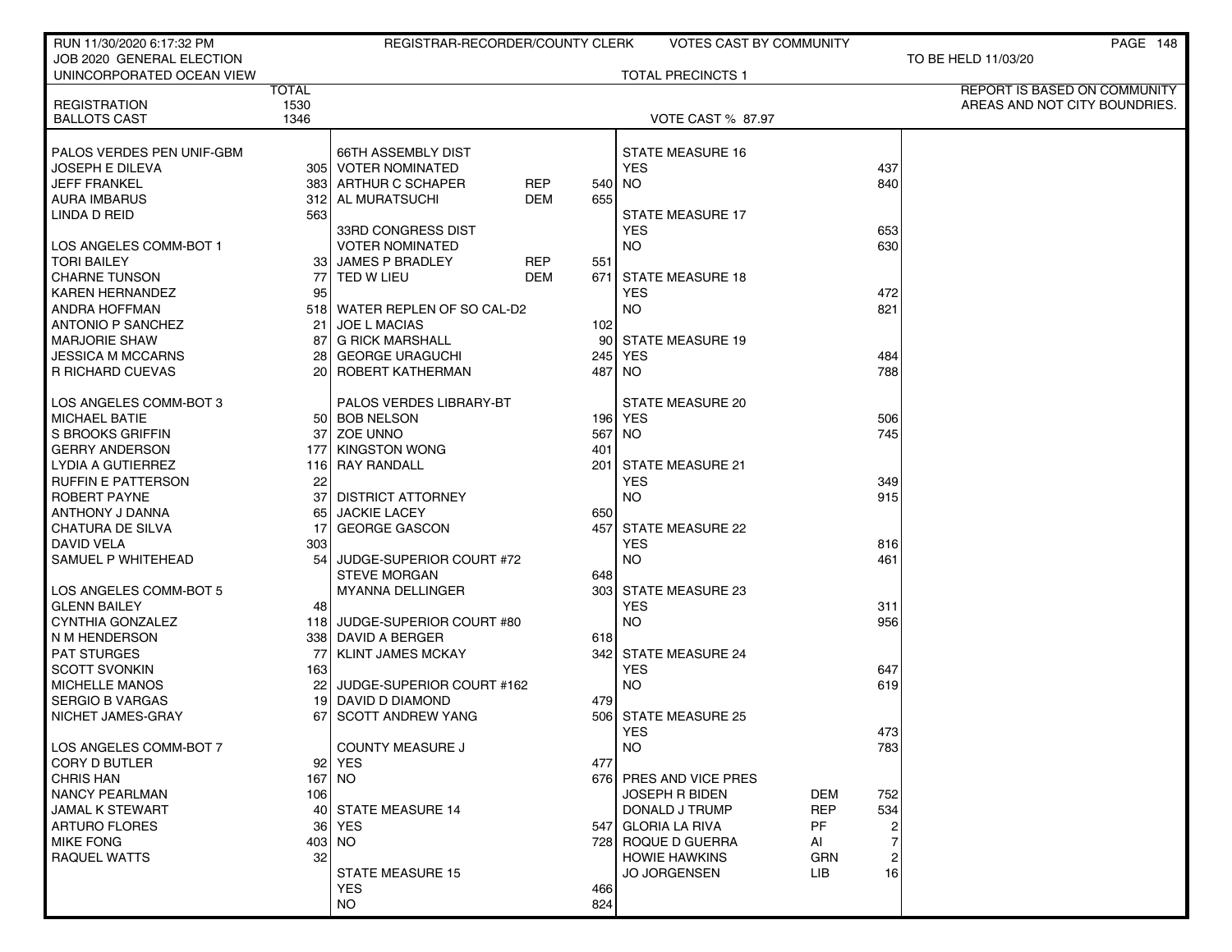| RUN 11/30/2020 6:17:32 PM           |          | REGISTRAR-RECORDER/COUNTY CLERK |            |     | VOTES CAST BY COMMUNITY     |            |                | PAGE 148                      |
|-------------------------------------|----------|---------------------------------|------------|-----|-----------------------------|------------|----------------|-------------------------------|
| JOB 2020 GENERAL ELECTION           |          |                                 |            |     |                             |            |                | TO BE HELD 11/03/20           |
| UNINCORPORATED OCEAN VIEW           |          |                                 |            |     | <b>TOTAL PRECINCTS 1</b>    |            |                |                               |
| <b>TOTAL</b>                        |          |                                 |            |     |                             |            |                | REPORT IS BASED ON COMMUNITY  |
| 1530<br><b>REGISTRATION</b>         |          |                                 |            |     |                             |            |                | AREAS AND NOT CITY BOUNDRIES. |
| <b>BALLOTS CAST</b><br>1346         |          |                                 |            |     | <b>VOTE CAST % 87.97</b>    |            |                |                               |
|                                     |          |                                 |            |     |                             |            |                |                               |
| PALOS VERDES PEN UNIF-GBM           |          | <b>66TH ASSEMBLY DIST</b>       |            |     | <b>STATE MEASURE 16</b>     |            |                |                               |
| JOSEPH E DILEVA                     |          | 305   VOTER NOMINATED           |            |     | <b>YES</b>                  |            | 437            |                               |
| JEFF FRANKEL                        |          | 383 ARTHUR C SCHAPER            | REP        |     | 540 NO                      |            | 840            |                               |
| <b>AURA IMBARUS</b>                 |          | 312 AL MURATSUCHI               | <b>DEM</b> | 655 |                             |            |                |                               |
| LINDA D REID                        | 563      |                                 |            |     | <b>STATE MEASURE 17</b>     |            |                |                               |
|                                     |          | 33RD CONGRESS DIST              |            |     | <b>YES</b>                  |            | 653            |                               |
| LOS ANGELES COMM-BOT 1              |          | <b>VOTER NOMINATED</b>          |            |     | NO.                         |            | 630            |                               |
| <b>TORI BAILEY</b>                  |          | 33 JAMES P BRADLEY              | <b>REP</b> | 551 |                             |            |                |                               |
| CHARNE TUNSON                       | 77       | TED W LIEU                      | DEM        | 671 | <b>STATE MEASURE 18</b>     |            |                |                               |
| <b>KAREN HERNANDEZ</b>              | 95       |                                 |            |     | <b>YES</b>                  |            | 472            |                               |
| <b>ANDRA HOFFMAN</b>                |          | 518 WATER REPLEN OF SO CAL-D2   |            |     | <b>NO</b>                   |            | 821            |                               |
| <b>ANTONIO P SANCHEZ</b>            | 21       | <b>JOE L MACIAS</b>             |            | 102 |                             |            |                |                               |
| <b>MARJORIE SHAW</b>                | 87       | <b>G RICK MARSHALL</b>          |            | 90  | <b>STATE MEASURE 19</b>     |            |                |                               |
| JESSICA M MCCARNS                   | 28       | <b>GEORGE URAGUCHI</b>          |            | 245 | <b>YES</b>                  |            | 484            |                               |
| R RICHARD CUEVAS                    |          | 20 ROBERT KATHERMAN             |            |     | 487 NO                      |            | 788            |                               |
|                                     |          |                                 |            |     |                             |            |                |                               |
| LOS ANGELES COMM-BOT 3              |          | PALOS VERDES LIBRARY-BT         |            |     | STATE MEASURE 20<br>196 YES |            |                |                               |
| <b>MICHAEL BATIE</b>                |          | 50 BOB NELSON                   |            |     |                             |            | 506<br>745     |                               |
| S BROOKS GRIFFIN                    | 37       | <b>ZOE UNNO</b>                 |            | 567 | NO.                         |            |                |                               |
| GERRY ANDERSON<br>LYDIA A GUTIERREZ | 177      | KINGSTON WONG                   |            | 401 | <b>STATE MEASURE 21</b>     |            |                |                               |
| <b>RUFFIN E PATTERSON</b>           |          | 116 RAY RANDALL                 |            | 201 |                             |            | 349            |                               |
| ROBERT PAYNE                        | 22<br>37 | DISTRICT ATTORNEY               |            |     | <b>YES</b><br><b>NO</b>     |            | 915            |                               |
| ANTHONY J DANNA                     | 65       | <b>JACKIE LACEY</b>             |            | 650 |                             |            |                |                               |
| CHATURA DE SILVA                    | 17       | <b>GEORGE GASCON</b>            |            | 457 | <b>STATE MEASURE 22</b>     |            |                |                               |
| <b>DAVID VELA</b>                   | 303      |                                 |            |     | <b>YES</b>                  |            | 816            |                               |
| SAMUEL P WHITEHEAD                  | 54       | JUDGE-SUPERIOR COURT #72        |            |     | <b>NO</b>                   |            | 461            |                               |
|                                     |          | <b>STEVE MORGAN</b>             |            | 648 |                             |            |                |                               |
| LOS ANGELES COMM-BOT 5              |          | <b>MYANNA DELLINGER</b>         |            |     | 303 STATE MEASURE 23        |            |                |                               |
| <b>GLENN BAILEY</b>                 | 48       |                                 |            |     | <b>YES</b>                  |            | 311            |                               |
| CYNTHIA GONZALEZ                    | 118 I    | JUDGE-SUPERIOR COURT #80        |            |     | <b>NO</b>                   |            | 956            |                               |
| N M HENDERSON                       |          | 338   DAVID A BERGER            |            | 618 |                             |            |                |                               |
| <b>PAT STURGES</b>                  | 77       | KLINT JAMES MCKAY               |            |     | 342 STATE MEASURE 24        |            |                |                               |
| <b>SCOTT SVONKIN</b>                | 163      |                                 |            |     | <b>YES</b>                  |            | 647            |                               |
| MICHELLE MANOS                      | 22       | JUDGE-SUPERIOR COURT #162       |            |     | <b>NO</b>                   |            | 619            |                               |
| <b>SERGIO B VARGAS</b>              |          | 19 DAVID D DIAMOND              |            | 479 |                             |            |                |                               |
| NICHET JAMES-GRAY                   | 67       | <b>SCOTT ANDREW YANG</b>        |            | 506 | <b>STATE MEASURE 25</b>     |            |                |                               |
|                                     |          |                                 |            |     | YES                         |            | 473            |                               |
| LOS ANGELES COMM-BOT 7              |          | COUNTY MEASURE J                |            |     | <b>NO</b>                   |            | 783            |                               |
| CORY D BUTLER                       |          | 92 YES                          |            | 477 |                             |            |                |                               |
| <b>CHRIS HAN</b>                    |          | 167 NO                          |            |     | 676 PRES AND VICE PRES      |            |                |                               |
| <b>NANCY PEARLMAN</b>               | 106      |                                 |            |     | <b>JOSEPH R BIDEN</b>       | <b>DEM</b> | 752            |                               |
| JAMAL K STEWART                     |          | 40 STATE MEASURE 14             |            |     | DONALD J TRUMP              | <b>REP</b> | 534            |                               |
| <b>ARTURO FLORES</b>                | 36       | YES                             |            |     | 547 GLORIA LA RIVA          | PF         |                |                               |
| <b>MIKE FONG</b>                    |          | 403 INO                         |            |     | 728 ROQUE D GUERRA          | AI         |                |                               |
| RAQUEL WATTS                        | 32       |                                 |            |     | <b>HOWIE HAWKINS</b>        | GRN        | $\overline{c}$ |                               |
|                                     |          | <b>STATE MEASURE 15</b>         |            |     | <b>JO JORGENSEN</b>         | LIB.       | 16             |                               |
|                                     |          | <b>YES</b>                      |            | 466 |                             |            |                |                               |
|                                     |          | <b>NO</b>                       |            | 824 |                             |            |                |                               |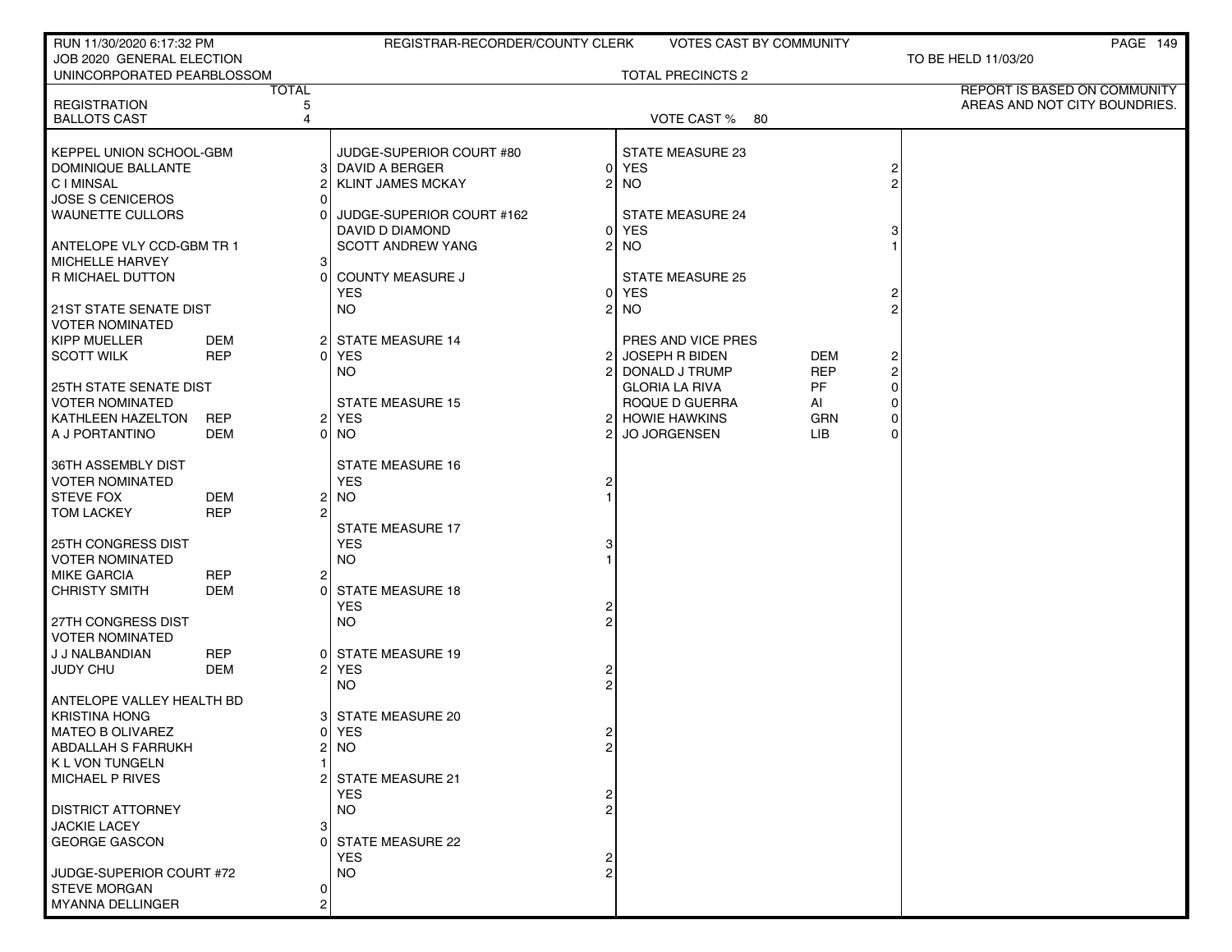| RUN 11/30/2020 6:17:32 PM                       |                   |                | REGISTRAR-RECORDER/COUNTY CLERK | VOTES CAST BY COMMUNITY      |            |          | PAGE 149                      |
|-------------------------------------------------|-------------------|----------------|---------------------------------|------------------------------|------------|----------|-------------------------------|
| JOB 2020 GENERAL ELECTION                       |                   |                |                                 |                              |            |          | TO BE HELD 11/03/20           |
| UNINCORPORATED PEARBLOSSOM                      |                   |                |                                 | <b>TOTAL PRECINCTS 2</b>     |            |          |                               |
|                                                 | <b>TOTAL</b>      |                |                                 |                              |            |          | REPORT IS BASED ON COMMUNITY  |
| <b>REGISTRATION</b><br><b>BALLOTS CAST</b>      |                   | 5<br>4         |                                 | VOTE CAST % 80               |            |          | AREAS AND NOT CITY BOUNDRIES. |
|                                                 |                   |                |                                 |                              |            |          |                               |
| KEPPEL UNION SCHOOL-GBM                         |                   |                | JUDGE-SUPERIOR COURT #80        | STATE MEASURE 23             |            |          |                               |
| DOMINIQUE BALLANTE                              |                   |                | 3 DAVID A BERGER                | 0 YES                        |            | 2        |                               |
| C I MINSAL                                      |                   | ا 2            | 2<br><b>KLINT JAMES MCKAY</b>   | <b>NO</b>                    |            | 2        |                               |
| <b>JOSE S CENICEROS</b>                         |                   | ΩI             |                                 |                              |            |          |                               |
| <b>WAUNETTE CULLORS</b>                         |                   | ΩI             | JUDGE-SUPERIOR COURT #162       | <b>STATE MEASURE 24</b>      |            |          |                               |
|                                                 |                   |                | DAVID D DIAMOND                 | <b>YES</b><br>0              |            | 3        |                               |
| ANTELOPE VLY CCD-GBM TR 1                       |                   |                | SCOTT ANDREW YANG<br>2          | <b>NO</b>                    |            |          |                               |
| MICHELLE HARVEY                                 |                   | 3              |                                 |                              |            |          |                               |
| R MICHAEL DUTTON                                |                   | $\Omega$       | <b>COUNTY MEASURE J</b>         | <b>STATE MEASURE 25</b>      |            |          |                               |
|                                                 |                   |                | <b>YES</b>                      | <b>YES</b><br>$\overline{0}$ |            |          |                               |
| 21ST STATE SENATE DIST                          |                   |                | <b>NO</b><br>$\overline{2}$     | <b>NO</b>                    |            |          |                               |
| <b>VOTER NOMINATED</b>                          |                   |                |                                 |                              |            |          |                               |
| <b>KIPP MUELLER</b>                             | DEM               |                | 2 STATE MEASURE 14              | PRES AND VICE PRES           |            |          |                               |
| <b>SCOTT WILK</b>                               | <b>REP</b>        |                | 0 YES<br>$\overline{2}$         | <b>JOSEPH R BIDEN</b>        | <b>DEM</b> | 2        |                               |
|                                                 |                   |                | NO.<br>2                        | DONALD J TRUMP               | <b>REP</b> | 2        |                               |
| 25TH STATE SENATE DIST                          |                   |                |                                 | <b>GLORIA LA RIVA</b>        | PF         | $\Omega$ |                               |
| <b>VOTER NOMINATED</b>                          |                   |                | <b>STATE MEASURE 15</b>         | ROQUE D GUERRA               | AI         | 0        |                               |
| KATHLEEN HAZELTON                               | <b>REP</b>        |                | 2 YES                           | 2 HOWIE HAWKINS              | GRN        | 0        |                               |
| A J PORTANTINO                                  | DEM               | 0 I            | NO.<br>2                        | <b>JO JORGENSEN</b>          | LIB.       | 0        |                               |
|                                                 |                   |                |                                 |                              |            |          |                               |
| <b>36TH ASSEMBLY DIST</b>                       |                   |                | <b>STATE MEASURE 16</b>         |                              |            |          |                               |
| <b>VOTER NOMINATED</b>                          |                   |                | <b>YES</b>                      |                              |            |          |                               |
| <b>STEVE FOX</b>                                | DEM<br><b>REP</b> | 21<br>ا 2      | NO.                             |                              |            |          |                               |
| <b>TOM LACKEY</b>                               |                   |                | <b>STATE MEASURE 17</b>         |                              |            |          |                               |
| <b>25TH CONGRESS DIST</b>                       |                   |                | <b>YES</b>                      |                              |            |          |                               |
| <b>VOTER NOMINATED</b>                          |                   |                | <b>NO</b>                       |                              |            |          |                               |
| <b>MIKE GARCIA</b>                              | <b>REP</b>        | 2              |                                 |                              |            |          |                               |
| <b>CHRISTY SMITH</b>                            | DEM               | ΩI             | <b>STATE MEASURE 18</b>         |                              |            |          |                               |
|                                                 |                   |                | <b>YES</b>                      |                              |            |          |                               |
| 27TH CONGRESS DIST                              |                   |                | <b>NO</b>                       |                              |            |          |                               |
| <b>VOTER NOMINATED</b>                          |                   |                |                                 |                              |            |          |                               |
| J J NALBANDIAN                                  | <b>REP</b>        |                | 0 STATE MEASURE 19              |                              |            |          |                               |
| <b>JUDY CHU</b>                                 | DEM               |                | 2 YES                           |                              |            |          |                               |
|                                                 |                   |                | <b>NO</b>                       |                              |            |          |                               |
| ANTELOPE VALLEY HEALTH BD                       |                   |                |                                 |                              |            |          |                               |
| <b>KRISTINA HONG</b>                            |                   |                | 3 STATE MEASURE 20              |                              |            |          |                               |
| MATEO B OLIVAREZ                                |                   |                | 0   YES                         |                              |            |          |                               |
| <b>ABDALLAH S FARRUKH</b>                       |                   | 21             | NO<br>$\overline{2}$            |                              |            |          |                               |
| K L VON TUNGELN                                 |                   |                |                                 |                              |            |          |                               |
| <b>MICHAEL P RIVES</b>                          |                   |                | 2 STATE MEASURE 21              |                              |            |          |                               |
|                                                 |                   |                | <b>YES</b>                      |                              |            |          |                               |
| <b>DISTRICT ATTORNEY</b>                        |                   |                | <b>NO</b>                       |                              |            |          |                               |
| <b>JACKIE LACEY</b>                             |                   | 31             |                                 |                              |            |          |                               |
| <b>GEORGE GASCON</b>                            |                   | $\Omega$       | STATE MEASURE 22                |                              |            |          |                               |
|                                                 |                   |                | <b>YES</b>                      |                              |            |          |                               |
| JUDGE-SUPERIOR COURT #72<br><b>STEVE MORGAN</b> |                   | 01             | NO.                             |                              |            |          |                               |
| MYANNA DELLINGER                                |                   | $\overline{2}$ |                                 |                              |            |          |                               |
|                                                 |                   |                |                                 |                              |            |          |                               |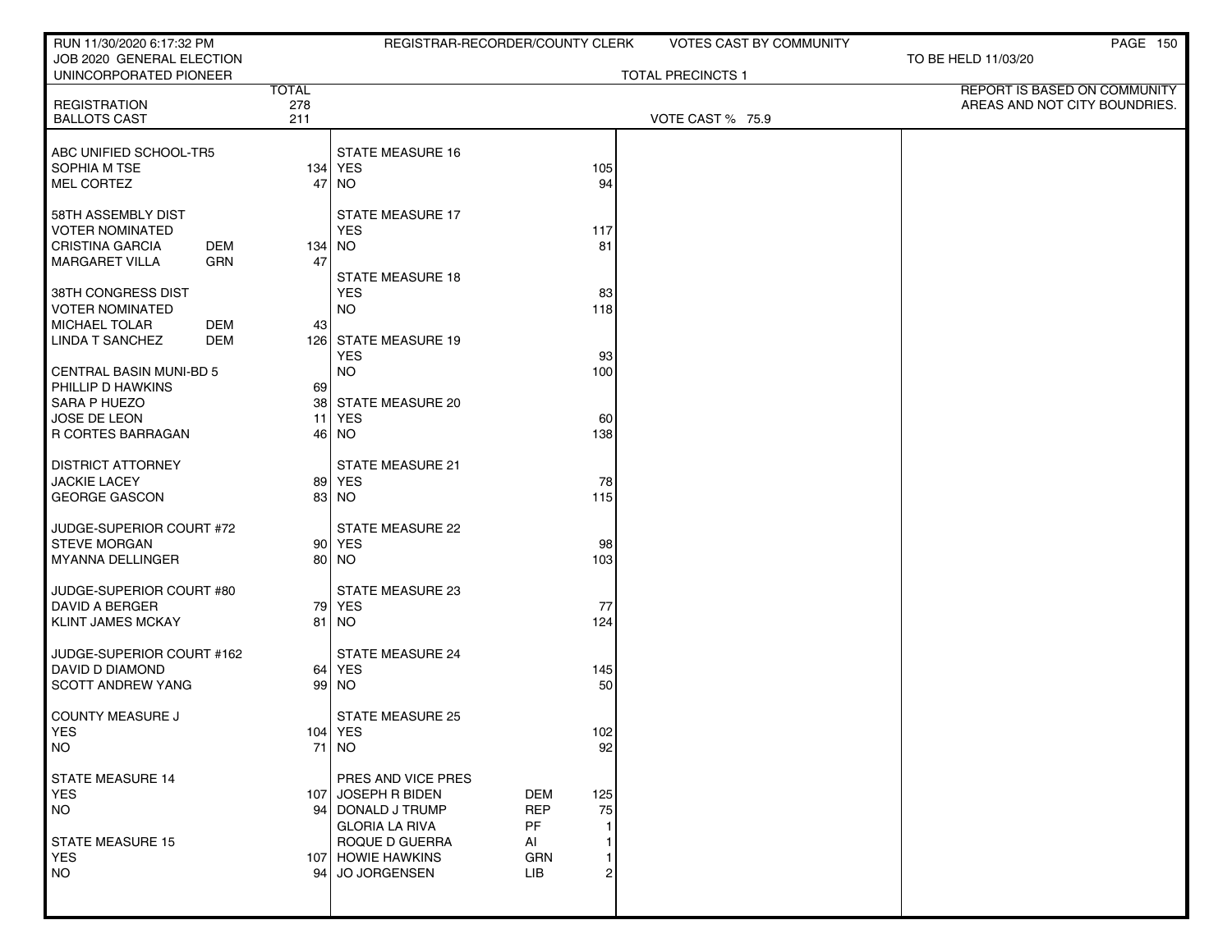| RUN 11/30/2020 6:17:32 PM                           |              |                                    | REGISTRAR-RECORDER/COUNTY CLERK | <b>VOTES CAST BY COMMUNITY</b> | PAGE 150                      |
|-----------------------------------------------------|--------------|------------------------------------|---------------------------------|--------------------------------|-------------------------------|
| JOB 2020 GENERAL ELECTION<br>UNINCORPORATED PIONEER |              |                                    |                                 | <b>TOTAL PRECINCTS 1</b>       | TO BE HELD 11/03/20           |
|                                                     | <b>TOTAL</b> |                                    |                                 |                                | REPORT IS BASED ON COMMUNITY  |
| <b>REGISTRATION</b><br><b>BALLOTS CAST</b>          | 278<br>211   |                                    |                                 | VOTE CAST % 75.9               | AREAS AND NOT CITY BOUNDRIES. |
|                                                     |              |                                    |                                 |                                |                               |
| ABC UNIFIED SCHOOL-TR5                              |              | <b>STATE MEASURE 16</b>            |                                 |                                |                               |
| SOPHIA M TSE                                        |              | 134   YES                          | 105                             |                                |                               |
| <b>MEL CORTEZ</b>                                   |              | 47   NO                            | 94                              |                                |                               |
| 58TH ASSEMBLY DIST                                  |              | STATE MEASURE 17                   |                                 |                                |                               |
| <b>VOTER NOMINATED</b>                              |              | <b>YES</b>                         | 117                             |                                |                               |
| <b>CRISTINA GARCIA</b><br>DEM                       |              | 134 NO                             | 81                              |                                |                               |
| <b>MARGARET VILLA</b><br><b>GRN</b>                 | 47           |                                    |                                 |                                |                               |
|                                                     |              | <b>STATE MEASURE 18</b>            |                                 |                                |                               |
| 38TH CONGRESS DIST                                  |              | <b>YES</b>                         | 83                              |                                |                               |
| <b>VOTER NOMINATED</b>                              |              | <b>NO</b>                          | 118                             |                                |                               |
| <b>MICHAEL TOLAR</b><br>DEM                         | 43           |                                    |                                 |                                |                               |
| <b>LINDA T SANCHEZ</b><br>DEM                       |              | 126 STATE MEASURE 19<br><b>YES</b> | 93                              |                                |                               |
| <b>CENTRAL BASIN MUNI-BD 5</b>                      |              | <b>NO</b>                          | 100                             |                                |                               |
| PHILLIP D HAWKINS                                   | 69 I         |                                    |                                 |                                |                               |
| SARA P HUEZO                                        |              | 38 STATE MEASURE 20                |                                 |                                |                               |
| <b>JOSE DE LEON</b>                                 |              | 11 YES                             | 60                              |                                |                               |
| R CORTES BARRAGAN                                   |              | 46 NO                              | 138                             |                                |                               |
| <b>DISTRICT ATTORNEY</b>                            |              | <b>STATE MEASURE 21</b>            |                                 |                                |                               |
| <b>JACKIE LACEY</b>                                 |              | 89 YES                             | 78                              |                                |                               |
| <b>GEORGE GASCON</b>                                |              | 83 NO                              | 115                             |                                |                               |
|                                                     |              |                                    |                                 |                                |                               |
| JUDGE-SUPERIOR COURT #72<br><b>STEVE MORGAN</b>     |              | STATE MEASURE 22<br>90 YES         | 98                              |                                |                               |
| MYANNA DELLINGER                                    |              | 80 NO                              | 103                             |                                |                               |
|                                                     |              |                                    |                                 |                                |                               |
| JUDGE-SUPERIOR COURT #80                            |              | STATE MEASURE 23                   |                                 |                                |                               |
| DAVID A BERGER                                      |              | 79 YES                             | 77                              |                                |                               |
| KLINT JAMES MCKAY                                   |              | 81   NO                            | 124                             |                                |                               |
| JUDGE-SUPERIOR COURT #162                           |              | STATE MEASURE 24                   |                                 |                                |                               |
| <b>DAVID D DIAMOND</b>                              |              | 64 YES                             | 145                             |                                |                               |
| <b>SCOTT ANDREW YANG</b>                            |              | 99 NO                              | 50                              |                                |                               |
| COUNTY MEASURE J                                    |              | <b>STATE MEASURE 25</b>            |                                 |                                |                               |
| YES                                                 |              | 104 YES                            | 102                             |                                |                               |
| <b>NO</b>                                           |              | $71$ NO                            | 92                              |                                |                               |
| <b>STATE MEASURE 14</b>                             |              | PRES AND VICE PRES                 |                                 |                                |                               |
| <b>YES</b>                                          |              | 107 JOSEPH R BIDEN                 | <b>DEM</b><br>125               |                                |                               |
| <b>NO</b>                                           |              | 94 DONALD J TRUMP                  | <b>REP</b><br>75                |                                |                               |
|                                                     |              | <b>GLORIA LA RIVA</b>              | PF<br>1                         |                                |                               |
| <b>STATE MEASURE 15</b>                             |              | ROQUE D GUERRA                     | Al<br>1                         |                                |                               |
| <b>YES</b>                                          |              | 107 HOWIE HAWKINS                  | <b>GRN</b><br>1                 |                                |                               |
| <b>NO</b>                                           |              | 94 JO JORGENSEN                    | LIB<br>2                        |                                |                               |
|                                                     |              |                                    |                                 |                                |                               |
|                                                     |              |                                    |                                 |                                |                               |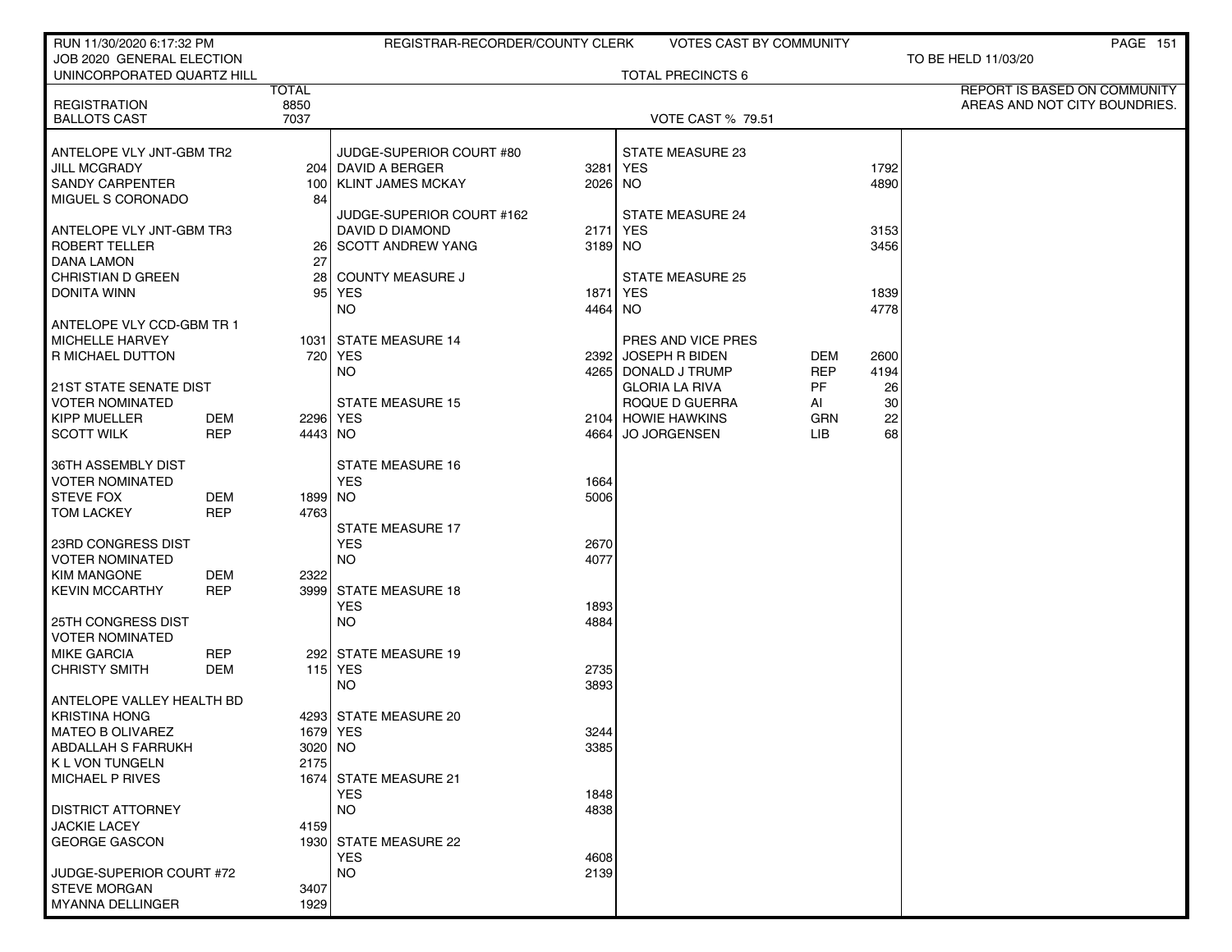| RUN 11/30/2020 6:17:32 PM                       |            |              | REGISTRAR-RECORDER/COUNTY CLERK     |         | VOTES CAST BY COMMUNITY  |            |      | PAGE 151                      |
|-------------------------------------------------|------------|--------------|-------------------------------------|---------|--------------------------|------------|------|-------------------------------|
| JOB 2020 GENERAL ELECTION                       |            |              |                                     |         |                          |            |      | TO BE HELD 11/03/20           |
| UNINCORPORATED QUARTZ HILL                      |            |              |                                     |         | <b>TOTAL PRECINCTS 6</b> |            |      |                               |
|                                                 |            | <b>TOTAL</b> |                                     |         |                          |            |      | REPORT IS BASED ON COMMUNITY  |
| <b>REGISTRATION</b>                             |            | 8850         |                                     |         |                          |            |      | AREAS AND NOT CITY BOUNDRIES. |
| <b>BALLOTS CAST</b>                             |            | 7037         |                                     |         | <b>VOTE CAST % 79.51</b> |            |      |                               |
| ANTELOPE VLY JNT-GBM TR2                        |            |              | JUDGE-SUPERIOR COURT #80            |         | STATE MEASURE 23         |            |      |                               |
| <b>JILL MCGRADY</b>                             |            |              | 204   DAVID A BERGER                | 3281    | <b>YES</b>               |            | 1792 |                               |
| <b>SANDY CARPENTER</b>                          |            | 100 l        | <b>KLINT JAMES MCKAY</b>            | 2026 NO |                          |            | 4890 |                               |
| MIGUEL S CORONADO                               |            | 84           |                                     |         |                          |            |      |                               |
|                                                 |            |              | JUDGE-SUPERIOR COURT #162           |         | <b>STATE MEASURE 24</b>  |            |      |                               |
| ANTELOPE VLY JNT-GBM TR3                        |            |              | DAVID D DIAMOND                     | 2171    | YES                      |            | 3153 |                               |
| ROBERT TELLER                                   |            |              | 26 SCOTT ANDREW YANG                | 3189 NO |                          |            | 3456 |                               |
| DANA LAMON                                      |            | 27           |                                     |         |                          |            |      |                               |
| <b>CHRISTIAN D GREEN</b>                        |            | 28 I         | <b>COUNTY MEASURE J</b>             |         | <b>STATE MEASURE 25</b>  |            |      |                               |
| DONITA WINN                                     |            | 95 l         | YES                                 | 1871    | YES                      |            | 1839 |                               |
|                                                 |            |              | NO.                                 | 4464 NO |                          |            | 4778 |                               |
| ANTELOPE VLY CCD-GBM TR 1                       |            |              |                                     |         |                          |            |      |                               |
| <b>MICHELLE HARVEY</b>                          |            |              | 1031 STATE MEASURE 14               |         | PRES AND VICE PRES       |            |      |                               |
| R MICHAEL DUTTON                                |            |              | 720 YES                             | 2392    | JOSEPH R BIDEN           | DEM        | 2600 |                               |
|                                                 |            |              | NO.                                 |         | 4265 DONALD J TRUMP      | REP        | 4194 |                               |
| 21ST STATE SENATE DIST                          |            |              |                                     |         | <b>GLORIA LA RIVA</b>    | PF         | 26   |                               |
| <b>VOTER NOMINATED</b>                          |            |              | <b>STATE MEASURE 15</b>             |         | ROQUE D GUERRA           | AI         | 30   |                               |
| <b>KIPP MUELLER</b>                             | DEM        |              | 2296 YES                            |         | 2104 HOWIE HAWKINS       | <b>GRN</b> | 22   |                               |
| <b>SCOTT WILK</b>                               | <b>REP</b> | 4443 NO      |                                     | 4664    | <b>JO JORGENSEN</b>      | LIB.       | 68   |                               |
|                                                 |            |              |                                     |         |                          |            |      |                               |
| 36TH ASSEMBLY DIST                              |            |              | <b>STATE MEASURE 16</b>             |         |                          |            |      |                               |
| <b>VOTER NOMINATED</b>                          |            |              | <b>YES</b>                          | 1664    |                          |            |      |                               |
| <b>STEVE FOX</b>                                | DEM        | 1899 NO      |                                     | 5006    |                          |            |      |                               |
| <b>TOM LACKEY</b>                               | <b>REP</b> | 4763         |                                     |         |                          |            |      |                               |
|                                                 |            |              | <b>STATE MEASURE 17</b>             |         |                          |            |      |                               |
| 23RD CONGRESS DIST                              |            |              | <b>YES</b>                          | 2670    |                          |            |      |                               |
| <b>VOTER NOMINATED</b>                          |            |              | NO.                                 | 4077    |                          |            |      |                               |
| <b>KIM MANGONE</b>                              | DEM        | 2322         |                                     |         |                          |            |      |                               |
| <b>KEVIN MCCARTHY</b>                           | <b>REP</b> |              | 3999 STATE MEASURE 18               |         |                          |            |      |                               |
|                                                 |            |              | <b>YES</b>                          | 1893    |                          |            |      |                               |
| <b>25TH CONGRESS DIST</b>                       |            |              | NO.                                 | 4884    |                          |            |      |                               |
| <b>VOTER NOMINATED</b>                          |            |              |                                     |         |                          |            |      |                               |
| <b>MIKE GARCIA</b>                              | REP        |              | 292 STATE MEASURE 19                |         |                          |            |      |                               |
| <b>CHRISTY SMITH</b>                            | DEM        |              | <b>115 YES</b>                      | 2735    |                          |            |      |                               |
|                                                 |            |              | NO.                                 | 3893    |                          |            |      |                               |
| ANTELOPE VALLEY HEALTH BD                       |            |              |                                     |         |                          |            |      |                               |
| <b>KRISTINA HONG</b>                            |            |              | 4293 STATE MEASURE 20               |         |                          |            |      |                               |
| MATEO B OLIVAREZ                                |            |              | 1679   YES                          | 3244    |                          |            |      |                               |
| <b>ABDALLAH S FARRUKH</b>                       |            | 3020 NO      |                                     | 3385    |                          |            |      |                               |
| K L VON TUNGELN                                 |            | 2175         |                                     |         |                          |            |      |                               |
| MICHAEL P RIVES                                 |            |              | 1674 STATE MEASURE 21               |         |                          |            |      |                               |
|                                                 |            |              | <b>YES</b>                          | 1848    |                          |            |      |                               |
| <b>DISTRICT ATTORNEY</b>                        |            |              | <b>NO</b>                           | 4838    |                          |            |      |                               |
| <b>JACKIE LACEY</b><br><b>GEORGE GASCON</b>     |            | 4159         |                                     |         |                          |            |      |                               |
|                                                 |            |              | 1930 STATE MEASURE 22<br><b>YES</b> |         |                          |            |      |                               |
|                                                 |            |              | <b>NO</b>                           | 4608    |                          |            |      |                               |
| JUDGE-SUPERIOR COURT #72<br><b>STEVE MORGAN</b> |            | 3407         |                                     | 2139    |                          |            |      |                               |
| MYANNA DELLINGER                                |            | 1929         |                                     |         |                          |            |      |                               |
|                                                 |            |              |                                     |         |                          |            |      |                               |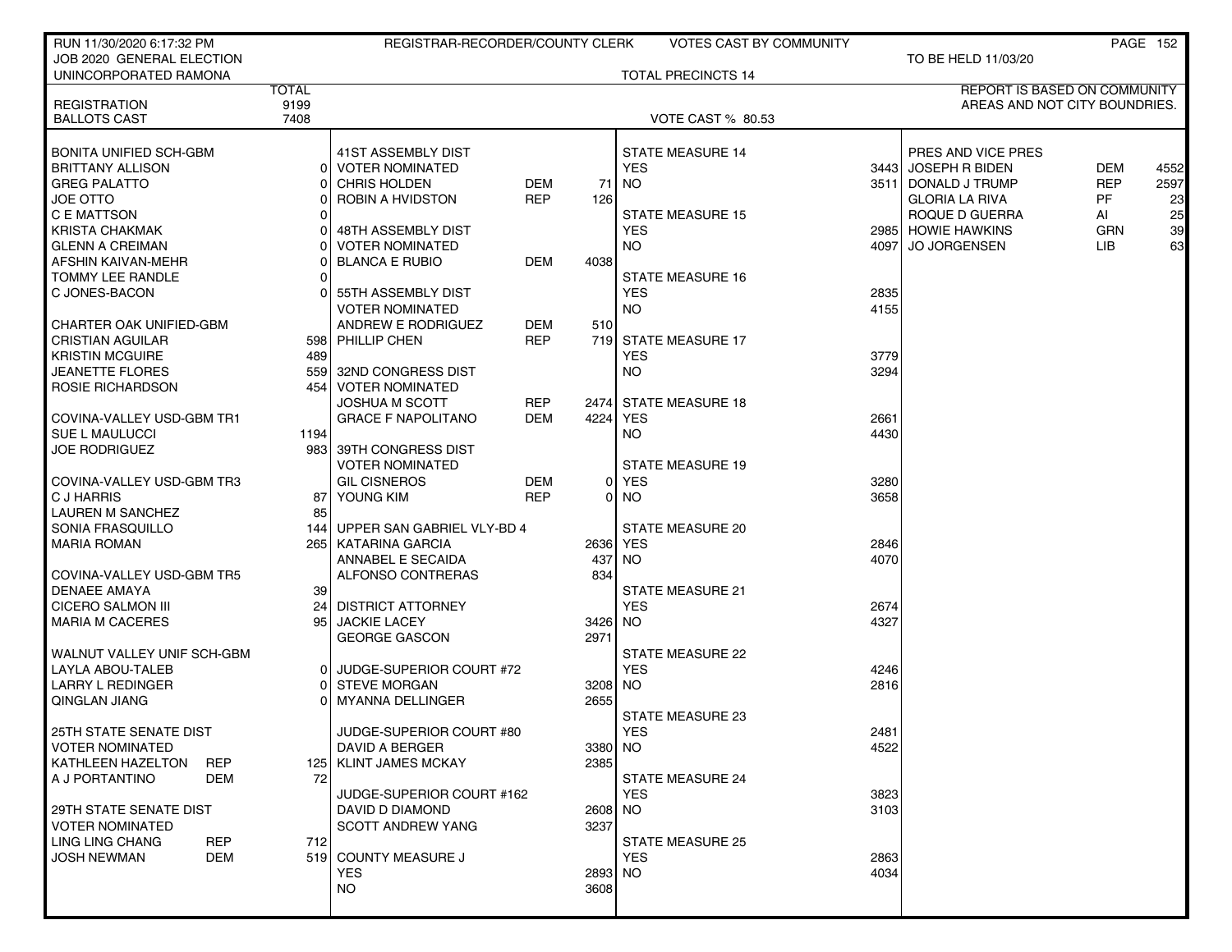| RUN 11/30/2020 6:17:32 PM       |              | REGISTRAR-RECORDER/COUNTY CLERK |            |         | <b>VOTES CAST BY COMMUNITY</b> |      |                                     |            | <b>PAGE 152</b> |
|---------------------------------|--------------|---------------------------------|------------|---------|--------------------------------|------|-------------------------------------|------------|-----------------|
| JOB 2020 GENERAL ELECTION       |              |                                 |            |         |                                |      | TO BE HELD 11/03/20                 |            |                 |
| UNINCORPORATED RAMONA           |              |                                 |            |         | <b>TOTAL PRECINCTS 14</b>      |      |                                     |            |                 |
|                                 | <b>TOTAL</b> |                                 |            |         |                                |      | <b>REPORT IS BASED ON COMMUNITY</b> |            |                 |
| <b>REGISTRATION</b>             | 9199         |                                 |            |         |                                |      | AREAS AND NOT CITY BOUNDRIES.       |            |                 |
| <b>BALLOTS CAST</b>             | 7408         |                                 |            |         | <b>VOTE CAST % 80.53</b>       |      |                                     |            |                 |
|                                 |              |                                 |            |         |                                |      |                                     |            |                 |
| BONITA UNIFIED SCH-GBM          |              | 41ST ASSEMBLY DIST              |            |         | <b>STATE MEASURE 14</b>        |      | PRES AND VICE PRES                  |            |                 |
| <b>BRITTANY ALLISON</b>         | 01           | <b>VOTER NOMINATED</b>          |            |         | <b>YES</b>                     |      | 3443 JOSEPH R BIDEN                 | <b>DEM</b> | 4552            |
| <b>GREG PALATTO</b>             |              | <b>CHRIS HOLDEN</b>             | <b>DEM</b> | 71      | <b>NO</b>                      |      | 3511 DONALD J TRUMP                 | <b>REP</b> | 2597            |
| JOE OTTO                        |              | ROBIN A HVIDSTON                | <b>REP</b> | 126     |                                |      | <b>GLORIA LA RIVA</b>               | PF         | 23              |
| C E MATTSON                     |              |                                 |            |         | <b>STATE MEASURE 15</b>        |      | ROQUE D GUERRA                      | AI         | 25              |
| KRISTA CHAKMAK                  |              | 48TH ASSEMBLY DIST              |            |         | <b>YES</b>                     |      | 2985 HOWIE HAWKINS                  | <b>GRN</b> | 39              |
| <b>GLENN A CREIMAN</b>          |              | <b>VOTER NOMINATED</b>          |            |         | <b>NO</b>                      | 4097 | <b>JO JORGENSEN</b>                 | <b>LIB</b> | 63              |
| AFSHIN KAIVAN-MEHR              |              | <b>BLANCA E RUBIO</b>           | DEM        | 4038    |                                |      |                                     |            |                 |
| TOMMY LEE RANDLE                |              |                                 |            |         | <b>STATE MEASURE 16</b>        |      |                                     |            |                 |
| C JONES-BACON                   |              | 55TH ASSEMBLY DIST              |            |         | <b>YES</b>                     | 2835 |                                     |            |                 |
|                                 |              | <b>VOTER NOMINATED</b>          |            |         | NO.                            | 4155 |                                     |            |                 |
| CHARTER OAK UNIFIED-GBM         |              | ANDREW E RODRIGUEZ              | DEM        | 510     |                                |      |                                     |            |                 |
| <b>CRISTIAN AGUILAR</b>         |              | 598 PHILLIP CHEN                | <b>REP</b> |         | 719 STATE MEASURE 17           |      |                                     |            |                 |
| <b>KRISTIN MCGUIRE</b>          | 489          |                                 |            |         | <b>YES</b>                     | 3779 |                                     |            |                 |
| <b>JEANETTE FLORES</b>          |              | 559 32ND CONGRESS DIST          |            |         | NO.                            | 3294 |                                     |            |                 |
| ROSIE RICHARDSON                |              | 454   VOTER NOMINATED           |            |         |                                |      |                                     |            |                 |
|                                 |              | <b>JOSHUA M SCOTT</b>           | <b>REP</b> |         | 2474 STATE MEASURE 18          |      |                                     |            |                 |
| COVINA-VALLEY USD-GBM TR1       |              | <b>GRACE F NAPOLITANO</b>       | <b>DEM</b> | 4224    | <b>YES</b>                     | 2661 |                                     |            |                 |
| SUE L MAULUCCI                  | 1194         |                                 |            |         | NO.                            | 4430 |                                     |            |                 |
| <b>JOE RODRIGUEZ</b>            |              | 983 39TH CONGRESS DIST          |            |         |                                |      |                                     |            |                 |
|                                 |              | <b>VOTER NOMINATED</b>          |            |         | <b>STATE MEASURE 19</b>        |      |                                     |            |                 |
| COVINA-VALLEY USD-GBM TR3       |              | <b>GIL CISNEROS</b>             | <b>DEM</b> |         | 0 YES                          | 3280 |                                     |            |                 |
| C J HARRIS                      | 87           | YOUNG KIM                       | <b>REP</b> |         | $0$ NO                         | 3658 |                                     |            |                 |
| <b>LAUREN M SANCHEZ</b>         | 85           |                                 |            |         |                                |      |                                     |            |                 |
| SONIA FRASQUILLO                | 144          | UPPER SAN GABRIEL VLY-BD 4      |            |         | STATE MEASURE 20               |      |                                     |            |                 |
| <b>MARIA ROMAN</b>              |              | 265 KATARINA GARCIA             |            |         | 2636 YES                       | 2846 |                                     |            |                 |
|                                 |              | ANNABEL E SECAIDA               |            | 437     | NO.                            | 4070 |                                     |            |                 |
| COVINA-VALLEY USD-GBM TR5       |              | ALFONSO CONTRERAS               |            | 834     |                                |      |                                     |            |                 |
| <b>DENAEE AMAYA</b>             | 39 l         |                                 |            |         | <b>STATE MEASURE 21</b>        |      |                                     |            |                 |
| <b>CICERO SALMON III</b>        |              | 24 DISTRICT ATTORNEY            |            |         | <b>YES</b>                     | 2674 |                                     |            |                 |
| <b>MARIA M CACERES</b>          | 95           | <b>JACKIE LACEY</b>             |            | 3426    | NO.                            | 4327 |                                     |            |                 |
|                                 |              | <b>GEORGE GASCON</b>            |            | 2971    |                                |      |                                     |            |                 |
| WALNUT VALLEY UNIF SCH-GBM      |              |                                 |            |         | <b>STATE MEASURE 22</b>        |      |                                     |            |                 |
| <b>LAYLA ABOU-TALEB</b>         | 01           | JUDGE-SUPERIOR COURT #72        |            |         | <b>YES</b>                     | 4246 |                                     |            |                 |
| LARRY L REDINGER                |              | <b>STEVE MORGAN</b>             |            | 3208    | NO.                            | 2816 |                                     |            |                 |
| QINGLAN JIANG                   |              | MYANNA DELLINGER                |            | 2655    |                                |      |                                     |            |                 |
|                                 |              |                                 |            |         | STATE MEASURE 23               |      |                                     |            |                 |
| 25TH STATE SENATE DIST          |              | JUDGE-SUPERIOR COURT #80        |            |         | YES                            | 2481 |                                     |            |                 |
| <b>VOTER NOMINATED</b>          |              | DAVID A BERGER                  |            | 3380 NO |                                | 4522 |                                     |            |                 |
| KATHLEEN HAZELTON<br><b>REP</b> |              | 125   KLINT JAMES MCKAY         |            | 2385    |                                |      |                                     |            |                 |
| A J PORTANTINO<br>DEM           | 72           |                                 |            |         | <b>STATE MEASURE 24</b>        |      |                                     |            |                 |
|                                 |              | JUDGE-SUPERIOR COURT #162       |            |         | <b>YES</b>                     | 3823 |                                     |            |                 |
| 29TH STATE SENATE DIST          |              | DAVID D DIAMOND                 |            | 2608 NO |                                | 3103 |                                     |            |                 |
| <b>VOTER NOMINATED</b>          |              | <b>SCOTT ANDREW YANG</b>        |            | 3237    |                                |      |                                     |            |                 |
| LING LING CHANG<br><b>REP</b>   | 712          |                                 |            |         | <b>STATE MEASURE 25</b>        |      |                                     |            |                 |
| <b>JOSH NEWMAN</b><br>DEM       |              | 519 COUNTY MEASURE J            |            |         | <b>YES</b>                     | 2863 |                                     |            |                 |
|                                 |              | YES                             |            | 2893 NO |                                | 4034 |                                     |            |                 |
|                                 |              | <b>NO</b>                       |            | 3608    |                                |      |                                     |            |                 |
|                                 |              |                                 |            |         |                                |      |                                     |            |                 |
|                                 |              |                                 |            |         |                                |      |                                     |            |                 |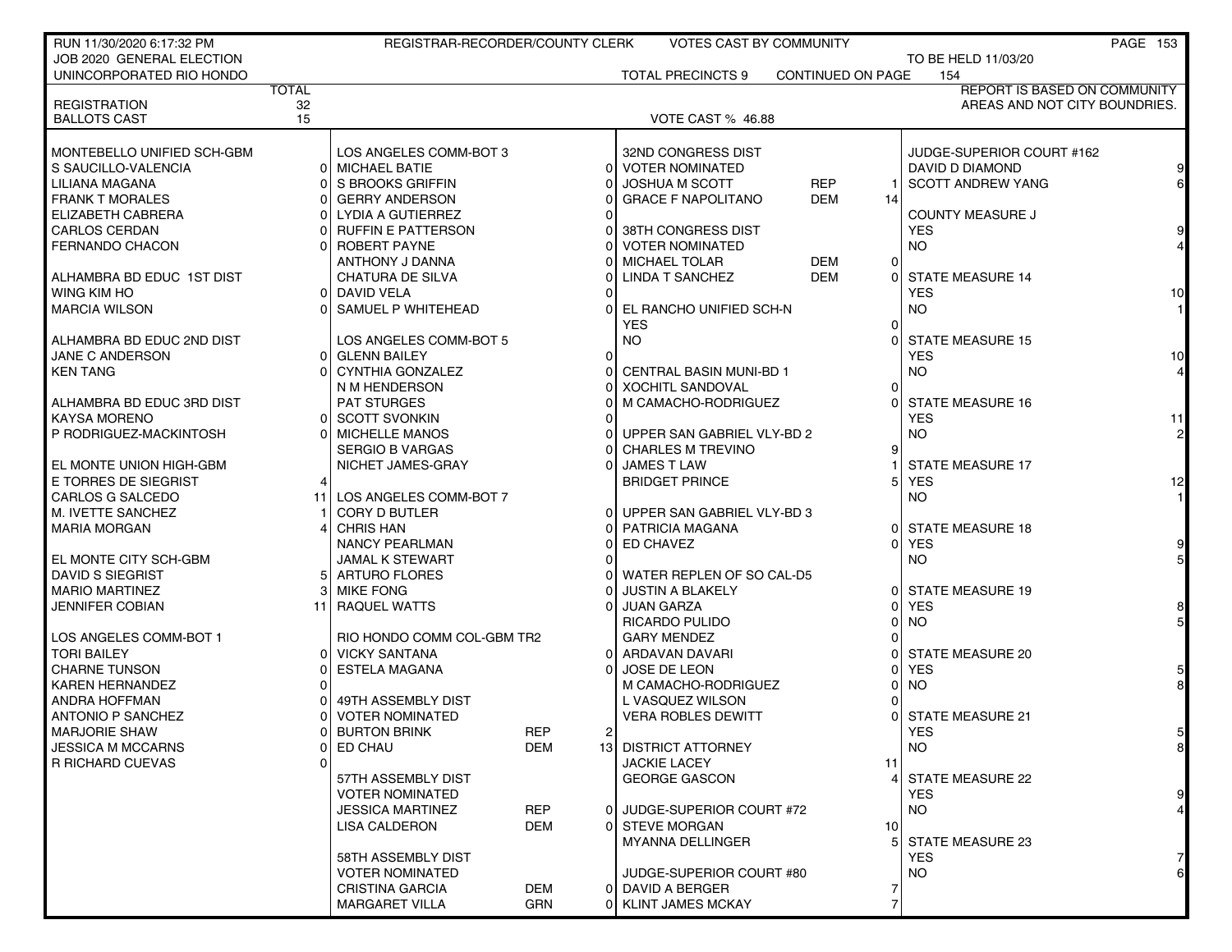| RUN 11/30/2020 6:17:32 PM  |              | REGISTRAR-RECORDER/COUNTY CLERK                 |            |                | VOTES CAST BY COMMUNITY        |                          |                 |                                     | PAGE 153 |
|----------------------------|--------------|-------------------------------------------------|------------|----------------|--------------------------------|--------------------------|-----------------|-------------------------------------|----------|
| JOB 2020 GENERAL ELECTION  |              |                                                 |            |                |                                |                          |                 | TO BE HELD 11/03/20                 |          |
| UNINCORPORATED RIO HONDO   |              |                                                 |            |                | <b>TOTAL PRECINCTS 9</b>       | <b>CONTINUED ON PAGE</b> |                 | 154                                 |          |
|                            | <b>TOTAL</b> |                                                 |            |                |                                |                          |                 | <b>REPORT IS BASED ON COMMUNITY</b> |          |
| <b>REGISTRATION</b>        | 32<br>15     |                                                 |            |                |                                |                          |                 | AREAS AND NOT CITY BOUNDRIES.       |          |
| <b>BALLOTS CAST</b>        |              |                                                 |            |                | VOTE CAST % 46.88              |                          |                 |                                     |          |
| MONTEBELLO UNIFIED SCH-GBM |              | LOS ANGELES COMM-BOT 3                          |            |                | 32ND CONGRESS DIST             |                          |                 | JUDGE-SUPERIOR COURT #162           |          |
| S SAUCILLO-VALENCIA        |              | 0 MICHAEL BATIE                                 |            | $\Omega$       | <b>VOTER NOMINATED</b>         |                          |                 | DAVID D DIAMOND                     |          |
| LILIANA MAGANA             |              | 0 S BROOKS GRIFFIN                              |            |                | <b>JOSHUA M SCOTT</b>          | <b>REP</b>               |                 | <b>SCOTT ANDREW YANG</b>            |          |
| <b>FRANK T MORALES</b>     |              | <b>GERRY ANDERSON</b>                           |            |                | <b>GRACE F NAPOLITANO</b>      | <b>DEM</b>               | 14              |                                     |          |
| ELIZABETH CABRERA          |              | LYDIA A GUTIERREZ                               |            |                |                                |                          |                 | <b>COUNTY MEASURE J</b>             |          |
| <b>CARLOS CERDAN</b>       |              | <b>RUFFIN E PATTERSON</b>                       |            |                | 38TH CONGRESS DIST             |                          |                 | <b>YES</b>                          |          |
| FERNANDO CHACON            |              | ROBERT PAYNE                                    |            |                | <b>VOTER NOMINATED</b>         |                          |                 | NO.                                 |          |
|                            |              | ANTHONY J DANNA                                 |            |                | <b>MICHAEL TOLAR</b>           | <b>DEM</b>               | $\overline{0}$  |                                     |          |
| ALHAMBRA BD EDUC 1ST DIST  |              | CHATURA DE SILVA                                |            |                | LINDA T SANCHEZ                | <b>DEM</b>               | 0               | <b>STATE MEASURE 14</b>             |          |
| WING KIM HO                |              | DAVID VELA                                      |            |                |                                |                          |                 | <b>YES</b>                          | 10       |
| <b>MARCIA WILSON</b>       | ΩL           | SAMUEL P WHITEHEAD                              |            |                | EL RANCHO UNIFIED SCH-N        |                          |                 | <b>NO</b>                           |          |
|                            |              |                                                 |            |                | <b>YES</b>                     |                          | 0               |                                     |          |
| ALHAMBRA BD EDUC 2ND DIST  |              | LOS ANGELES COMM-BOT 5                          |            |                | <b>NO</b>                      |                          |                 | <b>STATE MEASURE 15</b>             |          |
| JANE C ANDERSON            |              | 0 GLENN BAILEY                                  |            | $\Omega$       |                                |                          |                 | <b>YES</b>                          | 10       |
| <b>KEN TANG</b>            |              | CYNTHIA GONZALEZ                                |            |                | <b>CENTRAL BASIN MUNI-BD 1</b> |                          |                 | NO.                                 |          |
|                            |              | N M HENDERSON                                   |            |                | <b>XOCHITL SANDOVAL</b>        |                          | o               |                                     |          |
| ALHAMBRA BD EDUC 3RD DIST  |              | <b>PAT STURGES</b>                              |            |                | M CAMACHO-RODRIGUEZ            |                          |                 | <b>STATE MEASURE 16</b>             |          |
| <b>KAYSA MORENO</b>        | 01           | <b>SCOTT SVONKIN</b>                            |            |                |                                |                          |                 | <b>YES</b>                          | 11       |
| P RODRIGUEZ-MACKINTOSH     |              | <b>MICHELLE MANOS</b>                           |            |                | UPPER SAN GABRIEL VLY-BD 2     |                          |                 | <b>NO</b>                           |          |
|                            |              | <b>SERGIO B VARGAS</b>                          |            |                | <b>CHARLES M TREVINO</b>       |                          | 9               |                                     |          |
| EL MONTE UNION HIGH-GBM    |              | NICHET JAMES-GRAY                               |            |                | <b>JAMES T LAW</b>             |                          |                 | <b>STATE MEASURE 17</b>             |          |
| E TORRES DE SIEGRIST       |              |                                                 |            |                | <b>BRIDGET PRINCE</b>          |                          | 5.              | <b>YES</b>                          | 12       |
| CARLOS G SALCEDO           | 11           | LOS ANGELES COMM-BOT 7                          |            |                |                                |                          |                 | <b>NO</b>                           |          |
| M. IVETTE SANCHEZ          |              | <b>CORY D BUTLER</b>                            |            |                | UPPER SAN GABRIEL VLY-BD 3     |                          |                 |                                     |          |
| <b>MARIA MORGAN</b>        |              | <b>CHRIS HAN</b>                                |            |                | PATRICIA MAGANA                |                          | ΩI              | <b>STATE MEASURE 18</b>             |          |
|                            |              | <b>NANCY PEARLMAN</b>                           |            |                | ED CHAVEZ                      |                          | 0               | <b>YES</b>                          |          |
| EL MONTE CITY SCH-GBM      |              | <b>JAMAL K STEWART</b>                          |            |                |                                |                          |                 | NO.                                 |          |
| DAVID S SIEGRIST           |              | 5 ARTURO FLORES                                 |            |                | WATER REPLEN OF SO CAL-D5      |                          |                 |                                     |          |
| <b>MARIO MARTINEZ</b>      |              | <b>MIKE FONG</b>                                |            |                | <b>JUSTIN A BLAKELY</b>        |                          | 0               | <b>STATE MEASURE 19</b>             |          |
| JENNIFER COBIAN            | 11           | <b>RAQUEL WATTS</b>                             |            |                | <b>JUAN GARZA</b>              |                          | U               | <b>YES</b>                          |          |
|                            |              |                                                 |            |                | RICARDO PULIDO                 |                          |                 | <b>NO</b>                           |          |
| LOS ANGELES COMM-BOT 1     |              | RIO HONDO COMM COL-GBM TR2                      |            |                | <b>GARY MENDEZ</b>             |                          |                 |                                     |          |
| <b>TORI BAILEY</b>         |              | 0 VICKY SANTANA                                 |            |                | ARDAVAN DAVARI                 |                          |                 | <b>STATE MEASURE 20</b>             |          |
| <b>CHARNE TUNSON</b>       |              | <b>ESTELA MAGANA</b>                            |            |                | <b>JOSE DE LEON</b>            |                          |                 | <b>YES</b>                          |          |
| <b>KAREN HERNANDEZ</b>     |              |                                                 |            |                | M CAMACHO-RODRIGUEZ            |                          |                 | <b>NO</b>                           |          |
| ANDRA HOFFMAN              |              | 49TH ASSEMBLY DIST                              |            |                | L VASQUEZ WILSON               |                          |                 |                                     |          |
| ANTONIO P SANCHEZ          |              | <b>VOTER NOMINATED</b>                          |            |                | <b>VERA ROBLES DEWITT</b>      |                          |                 | <b>STATE MEASURE 21</b>             |          |
| <b>MARJORIE SHAW</b>       |              | <b>BURTON BRINK</b>                             | <b>REP</b> | $\overline{2}$ |                                |                          |                 | YES.                                | 5        |
| <b>JESSICA M MCCARNS</b>   | 01           | ED CHAU                                         | <b>DEM</b> |                | <b>13 DISTRICT ATTORNEY</b>    |                          |                 | <b>NO</b>                           | 8        |
| <b>R RICHARD CUEVAS</b>    |              |                                                 |            |                | <b>JACKIE LACEY</b>            |                          | 11              |                                     |          |
|                            |              | 57TH ASSEMBLY DIST                              |            |                | <b>GEORGE GASCON</b>           |                          |                 | STATE MEASURE 22                    |          |
|                            |              | <b>VOTER NOMINATED</b>                          |            |                |                                |                          |                 | YES.                                | 9        |
|                            |              | <b>JESSICA MARTINEZ</b>                         | <b>REP</b> | $\Omega$       | JUDGE-SUPERIOR COURT #72       |                          |                 | NO.                                 |          |
|                            |              | LISA CALDERON                                   | DEM        | $\Omega$       | <b>STEVE MORGAN</b>            |                          | 10 <sup>1</sup> |                                     |          |
|                            |              |                                                 |            |                | <b>MYANNA DELLINGER</b>        |                          | 51              | STATE MEASURE 23                    |          |
|                            |              | 58TH ASSEMBLY DIST                              |            |                | JUDGE-SUPERIOR COURT #80       |                          |                 | <b>YES</b><br>NO.                   | 7        |
|                            |              | <b>VOTER NOMINATED</b>                          | DEM        |                | 0 DAVID A BERGER               |                          |                 |                                     |          |
|                            |              | <b>CRISTINA GARCIA</b><br><b>MARGARET VILLA</b> | GRN        |                | 0 KLINT JAMES MCKAY            |                          |                 |                                     |          |
|                            |              |                                                 |            |                |                                |                          |                 |                                     |          |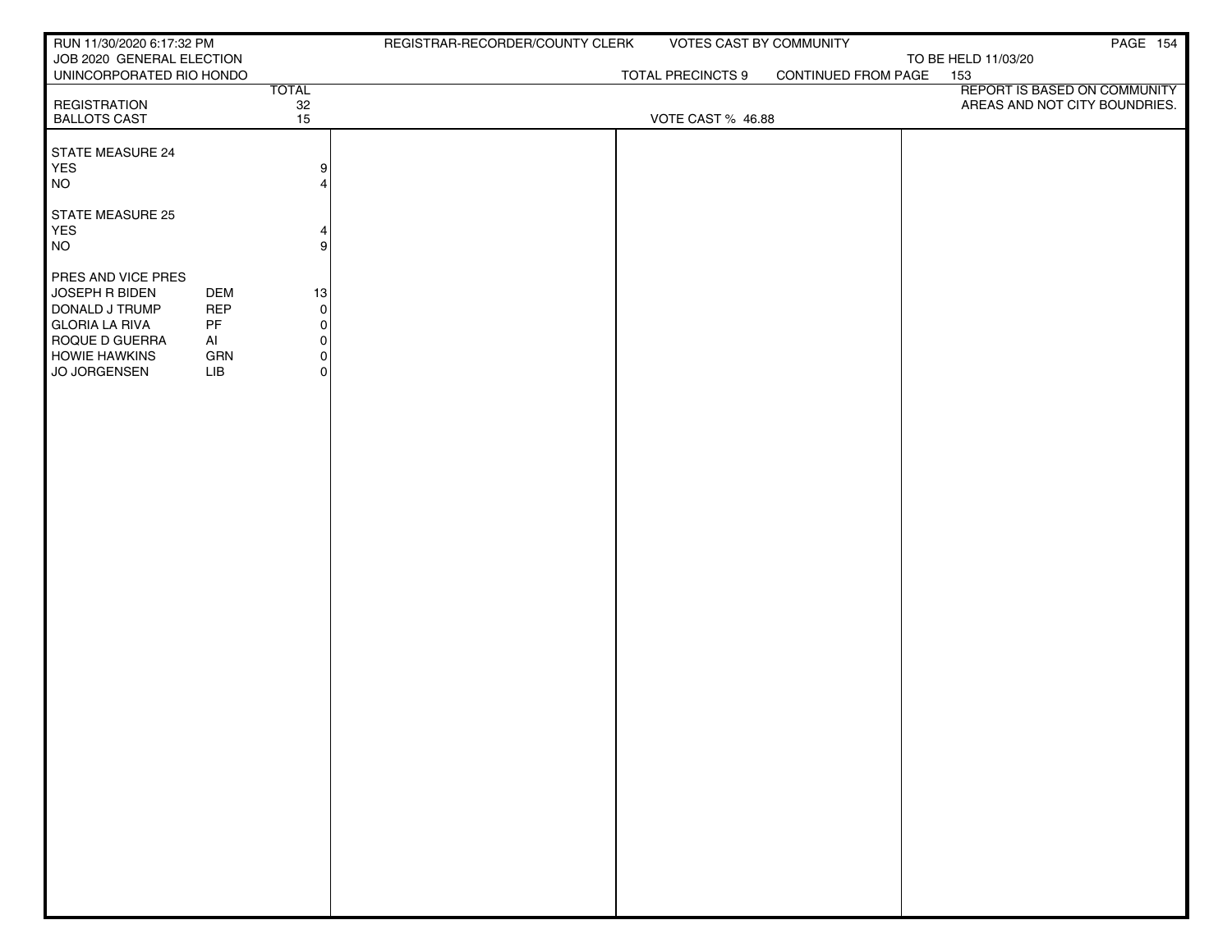| RUN 11/30/2020 6:17:32 PM      |            |                                         | REGISTRAR-RECORDER/COUNTY CLERK | VOTES CAST BY COMMUNITY |                     |                                     | PAGE 154 |
|--------------------------------|------------|-----------------------------------------|---------------------------------|-------------------------|---------------------|-------------------------------------|----------|
| JOB 2020 GENERAL ELECTION      |            |                                         |                                 |                         |                     | TO BE HELD 11/03/20                 |          |
| UNINCORPORATED RIO HONDO       |            | <b>TOTAL</b>                            |                                 | TOTAL PRECINCTS 9       | CONTINUED FROM PAGE | 153<br>REPORT IS BASED ON COMMUNITY |          |
| <b>REGISTRATION</b>            |            |                                         |                                 |                         |                     | AREAS AND NOT CITY BOUNDRIES.       |          |
| <b>BALLOTS CAST</b>            |            | $\begin{array}{c} 32 \\ 15 \end{array}$ |                                 | VOTE CAST % 46.88       |                     |                                     |          |
|                                |            |                                         |                                 |                         |                     |                                     |          |
| <b>STATE MEASURE 24</b><br>YES |            | 9                                       |                                 |                         |                     |                                     |          |
| <b>NO</b>                      |            | $\boldsymbol{\Delta}$                   |                                 |                         |                     |                                     |          |
|                                |            |                                         |                                 |                         |                     |                                     |          |
| STATE MEASURE 25               |            |                                         |                                 |                         |                     |                                     |          |
| YES                            |            | 4                                       |                                 |                         |                     |                                     |          |
| <b>NO</b>                      |            | 9                                       |                                 |                         |                     |                                     |          |
| PRES AND VICE PRES             |            |                                         |                                 |                         |                     |                                     |          |
| JOSEPH R BIDEN                 | <b>DEM</b> | 13                                      |                                 |                         |                     |                                     |          |
| DONALD J TRUMP                 | <b>REP</b> | 0                                       |                                 |                         |                     |                                     |          |
| <b>GLORIA LA RIVA</b>          | PF         | $\Omega$                                |                                 |                         |                     |                                     |          |
| ROQUE D GUERRA                 | AI         | 0                                       |                                 |                         |                     |                                     |          |
| <b>HOWIE HAWKINS</b>           | GRN        | 0                                       |                                 |                         |                     |                                     |          |
| JO JORGENSEN                   | LIB        | $\overline{0}$                          |                                 |                         |                     |                                     |          |
|                                |            |                                         |                                 |                         |                     |                                     |          |
|                                |            |                                         |                                 |                         |                     |                                     |          |
|                                |            |                                         |                                 |                         |                     |                                     |          |
|                                |            |                                         |                                 |                         |                     |                                     |          |
|                                |            |                                         |                                 |                         |                     |                                     |          |
|                                |            |                                         |                                 |                         |                     |                                     |          |
|                                |            |                                         |                                 |                         |                     |                                     |          |
|                                |            |                                         |                                 |                         |                     |                                     |          |
|                                |            |                                         |                                 |                         |                     |                                     |          |
|                                |            |                                         |                                 |                         |                     |                                     |          |
|                                |            |                                         |                                 |                         |                     |                                     |          |
|                                |            |                                         |                                 |                         |                     |                                     |          |
|                                |            |                                         |                                 |                         |                     |                                     |          |
|                                |            |                                         |                                 |                         |                     |                                     |          |
|                                |            |                                         |                                 |                         |                     |                                     |          |
|                                |            |                                         |                                 |                         |                     |                                     |          |
|                                |            |                                         |                                 |                         |                     |                                     |          |
|                                |            |                                         |                                 |                         |                     |                                     |          |
|                                |            |                                         |                                 |                         |                     |                                     |          |
|                                |            |                                         |                                 |                         |                     |                                     |          |
|                                |            |                                         |                                 |                         |                     |                                     |          |
|                                |            |                                         |                                 |                         |                     |                                     |          |
|                                |            |                                         |                                 |                         |                     |                                     |          |
|                                |            |                                         |                                 |                         |                     |                                     |          |
|                                |            |                                         |                                 |                         |                     |                                     |          |
|                                |            |                                         |                                 |                         |                     |                                     |          |
|                                |            |                                         |                                 |                         |                     |                                     |          |
|                                |            |                                         |                                 |                         |                     |                                     |          |
|                                |            |                                         |                                 |                         |                     |                                     |          |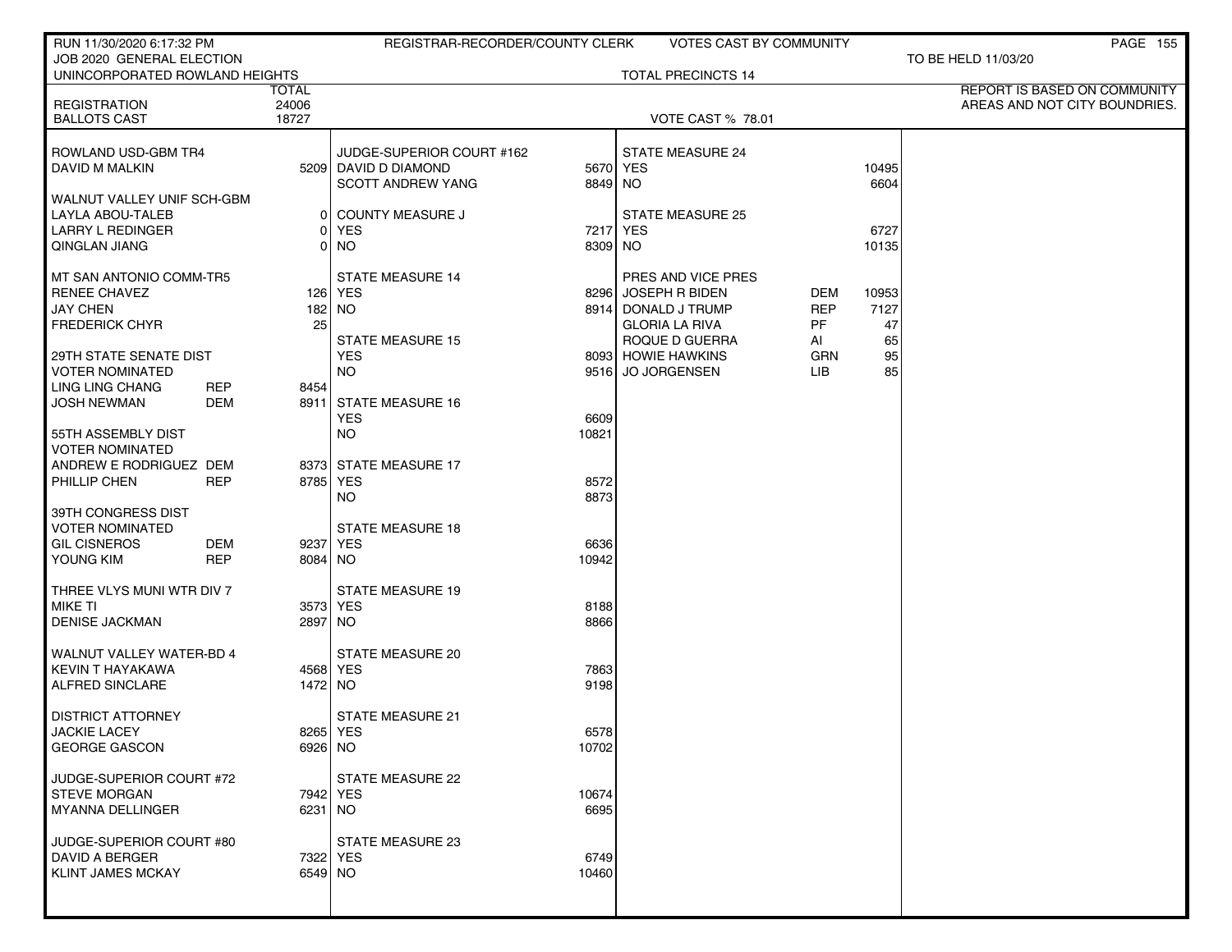| RUN 11/30/2020 6:17:32 PM                    |                    | REGISTRAR-RECORDER/COUNTY CLERK |                     | <b>VOTES CAST BY COMMUNITY</b> |            |               | <b>PAGE 155</b>               |
|----------------------------------------------|--------------------|---------------------------------|---------------------|--------------------------------|------------|---------------|-------------------------------|
| JOB 2020 GENERAL ELECTION                    |                    |                                 |                     |                                |            |               | TO BE HELD 11/03/20           |
| UNINCORPORATED ROWLAND HEIGHTS               |                    |                                 |                     | <b>TOTAL PRECINCTS 14</b>      |            |               | REPORT IS BASED ON COMMUNITY  |
| <b>REGISTRATION</b>                          | TOTAL<br>24006     |                                 |                     |                                |            |               | AREAS AND NOT CITY BOUNDRIES. |
| <b>BALLOTS CAST</b>                          | 18727              |                                 |                     | <b>VOTE CAST % 78.01</b>       |            |               |                               |
|                                              |                    |                                 |                     |                                |            |               |                               |
| ROWLAND USD-GBM TR4                          |                    | JUDGE-SUPERIOR COURT #162       |                     | <b>STATE MEASURE 24</b>        |            |               |                               |
| DAVID M MALKIN                               |                    | 5209 DAVID D DIAMOND            | 5670 YES            |                                |            | 10495         |                               |
|                                              |                    | <b>SCOTT ANDREW YANG</b>        | 8849 NO             |                                |            | 6604          |                               |
| WALNUT VALLEY UNIF SCH-GBM                   |                    |                                 |                     |                                |            |               |                               |
| <b>LAYLA ABOU-TALEB</b>                      |                    | <b>COUNTY MEASURE J</b><br>01   |                     | <b>STATE MEASURE 25</b>        |            |               |                               |
| <b>LARRY L REDINGER</b>                      |                    | <b>YES</b><br>ΟI<br>0 NO        | 7217 YES<br>8309 NO |                                |            | 6727<br>10135 |                               |
| QINGLAN JIANG                                |                    |                                 |                     |                                |            |               |                               |
| MT SAN ANTONIO COMM-TR5                      |                    | <b>STATE MEASURE 14</b>         |                     | PRES AND VICE PRES             |            |               |                               |
| <b>RENEE CHAVEZ</b>                          |                    | 126 YES                         | 8296                | <b>JOSEPH R BIDEN</b>          | DEM        | 10953         |                               |
| <b>JAY CHEN</b>                              |                    | 182 NO                          |                     | 8914 DONALD J TRUMP            | <b>REP</b> | 7127          |                               |
| <b>FREDERICK CHYR</b>                        | 25                 |                                 |                     | <b>GLORIA LA RIVA</b>          | PF.        | 47            |                               |
|                                              |                    | <b>STATE MEASURE 15</b>         |                     | ROQUE D GUERRA                 | AI         | 65            |                               |
| 29TH STATE SENATE DIST                       |                    | <b>YES</b>                      |                     | 8093 HOWIE HAWKINS             | <b>GRN</b> | 95            |                               |
| <b>VOTER NOMINATED</b>                       |                    | <b>NO</b>                       |                     | 9516 JO JORGENSEN              | LIB.       | 85            |                               |
| <b>LING LING CHANG</b>                       | <b>REP</b><br>8454 |                                 |                     |                                |            |               |                               |
| <b>JOSH NEWMAN</b>                           | DEM                | 8911 STATE MEASURE 16           |                     |                                |            |               |                               |
|                                              |                    | <b>YES</b>                      | 6609                |                                |            |               |                               |
| 55TH ASSEMBLY DIST<br><b>VOTER NOMINATED</b> |                    | <b>NO</b>                       | 10821               |                                |            |               |                               |
| ANDREW E RODRIGUEZ DEM                       |                    | 8373 STATE MEASURE 17           |                     |                                |            |               |                               |
| PHILLIP CHEN                                 | <b>REP</b>         | 8785 YES                        | 8572                |                                |            |               |                               |
|                                              |                    | <b>NO</b>                       | 8873                |                                |            |               |                               |
| 39TH CONGRESS DIST                           |                    |                                 |                     |                                |            |               |                               |
| <b>VOTER NOMINATED</b>                       |                    | <b>STATE MEASURE 18</b>         |                     |                                |            |               |                               |
| <b>GIL CISNEROS</b>                          | DEM                | 9237 YES                        | 6636                |                                |            |               |                               |
| YOUNG KIM                                    | <b>REP</b>         | 8084 NO                         | 10942               |                                |            |               |                               |
|                                              |                    |                                 |                     |                                |            |               |                               |
| THREE VLYS MUNI WTR DIV 7                    |                    | <b>STATE MEASURE 19</b>         |                     |                                |            |               |                               |
| <b>MIKE TI</b>                               |                    | 3573 YES                        | 8188                |                                |            |               |                               |
| <b>DENISE JACKMAN</b>                        |                    | 2897 NO                         | 8866                |                                |            |               |                               |
| <b>WALNUT VALLEY WATER-BD 4</b>              |                    | <b>STATE MEASURE 20</b>         |                     |                                |            |               |                               |
| <b>KEVIN T HAYAKAWA</b>                      |                    | 4568 YES                        | 7863                |                                |            |               |                               |
| ALFRED SINCLARE                              |                    | 1472 NO                         | 9198                |                                |            |               |                               |
|                                              |                    |                                 |                     |                                |            |               |                               |
| <b>DISTRICT ATTORNEY</b>                     |                    | <b>STATE MEASURE 21</b>         |                     |                                |            |               |                               |
| <b>JACKIE LACEY</b>                          |                    | 8265 YES                        | 6578                |                                |            |               |                               |
| <b>GEORGE GASCON</b>                         |                    | 6926 NO                         | 10702               |                                |            |               |                               |
| JUDGE-SUPERIOR COURT #72                     |                    | <b>STATE MEASURE 22</b>         |                     |                                |            |               |                               |
| <b>STEVE MORGAN</b>                          |                    | 7942   YES                      | 10674               |                                |            |               |                               |
| <b>MYANNA DELLINGER</b>                      |                    | 6231 NO                         | 6695                |                                |            |               |                               |
|                                              |                    |                                 |                     |                                |            |               |                               |
| JUDGE-SUPERIOR COURT #80                     |                    | STATE MEASURE 23                |                     |                                |            |               |                               |
| DAVID A BERGER                               |                    | 7322 YES                        | 6749                |                                |            |               |                               |
| <b>KLINT JAMES MCKAY</b>                     |                    | 6549 NO                         | 10460               |                                |            |               |                               |
|                                              |                    |                                 |                     |                                |            |               |                               |
|                                              |                    |                                 |                     |                                |            |               |                               |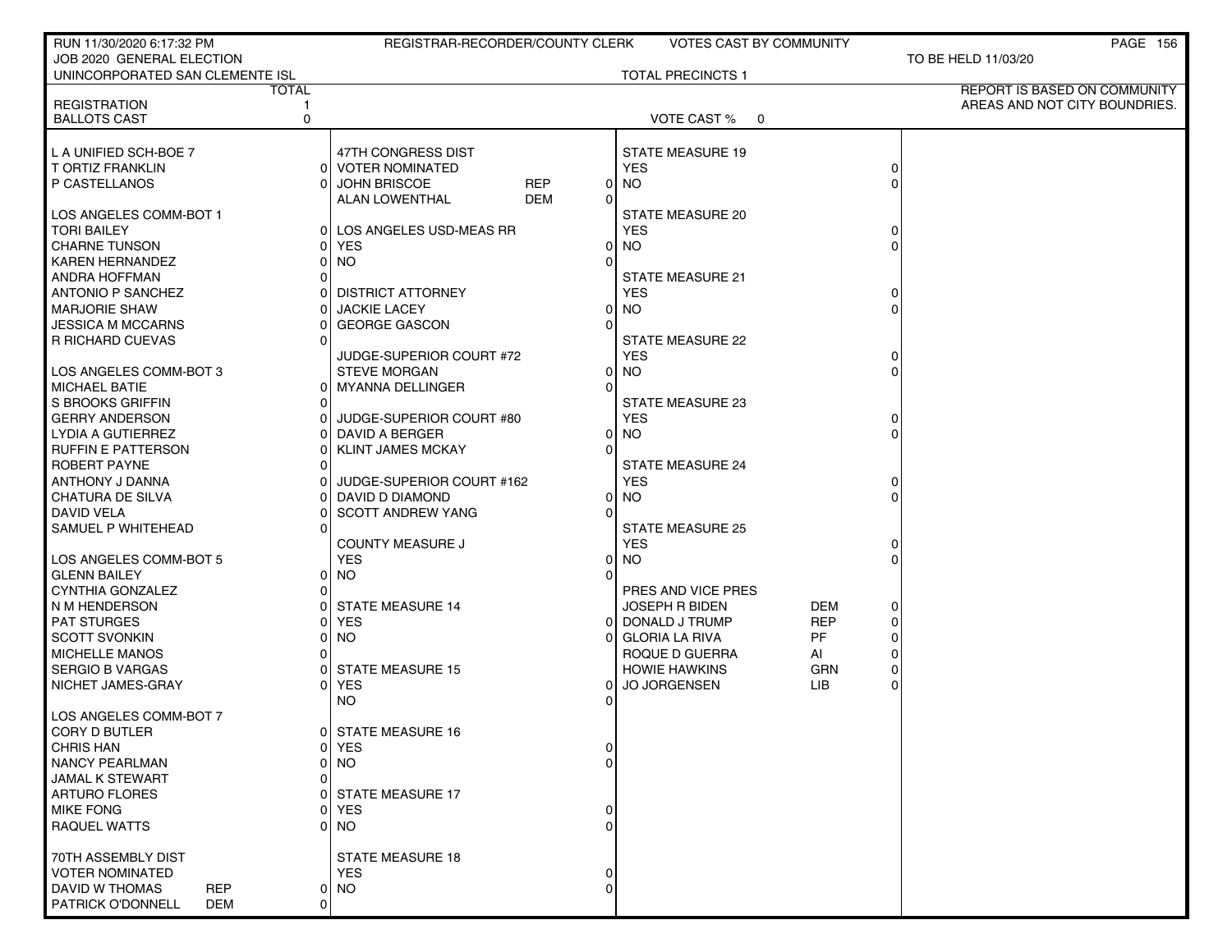| RUN 11/30/2020 6:17:32 PM           | REGISTRAR-RECORDER/COUNTY CLERK      | <b>VOTES CAST BY COMMUNITY</b> |                                   | PAGE 156                      |
|-------------------------------------|--------------------------------------|--------------------------------|-----------------------------------|-------------------------------|
| JOB 2020 GENERAL ELECTION           |                                      |                                |                                   | TO BE HELD 11/03/20           |
| UNINCORPORATED SAN CLEMENTE ISL     |                                      | <b>TOTAL PRECINCTS 1</b>       |                                   |                               |
| <b>TOTAL</b>                        |                                      |                                |                                   | REPORT IS BASED ON COMMUNITY  |
| <b>REGISTRATION</b>                 |                                      |                                |                                   | AREAS AND NOT CITY BOUNDRIES. |
| <b>BALLOTS CAST</b><br>0            |                                      | VOTE CAST % 0                  |                                   |                               |
|                                     |                                      |                                |                                   |                               |
| L A UNIFIED SCH-BOE 7               | 47TH CONGRESS DIST                   | <b>STATE MEASURE 19</b>        |                                   |                               |
| T ORTIZ FRANKLIN                    | 0 VOTER NOMINATED                    | <b>YES</b>                     | 0                                 |                               |
| P CASTELLANOS                       | <b>REP</b><br><b>JOHN BRISCOE</b>    | <b>NO</b><br>01                |                                   |                               |
|                                     | <b>DEM</b><br>ALAN LOWENTHAL<br>0    |                                |                                   |                               |
| LOS ANGELES COMM-BOT 1              |                                      | STATE MEASURE 20               |                                   |                               |
| <b>TORI BAILEY</b>                  | LOS ANGELES USD-MEAS RR<br>01        | <b>YES</b>                     | 0                                 |                               |
| CHARNE TUNSON                       | <b>YES</b><br>0                      | <b>NO</b>                      |                                   |                               |
| <b>KAREN HERNANDEZ</b>              | <b>NO</b><br>O                       |                                |                                   |                               |
| ANDRA HOFFMAN                       |                                      | STATE MEASURE 21               |                                   |                               |
| <b>ANTONIO P SANCHEZ</b>            | <b>DISTRICT ATTORNEY</b>             | <b>YES</b>                     |                                   |                               |
| <b>MARJORIE SHAW</b>                | <b>JACKIE LACEY</b><br>0             | <b>NO</b>                      | $\Omega$                          |                               |
| JESSICA M MCCARNS                   | <b>GEORGE GASCON</b><br>U            |                                |                                   |                               |
| R RICHARD CUEVAS                    |                                      | <b>STATE MEASURE 22</b>        |                                   |                               |
|                                     | JUDGE-SUPERIOR COURT #72             | <b>YES</b>                     | 0                                 |                               |
| LOS ANGELES COMM-BOT 3              | <b>STEVE MORGAN</b><br>0             | <b>NO</b>                      |                                   |                               |
| <b>MICHAEL BATIE</b>                | 0   MYANNA DELLINGER<br>0            |                                |                                   |                               |
| S BROOKS GRIFFIN                    |                                      | STATE MEASURE 23               |                                   |                               |
| <b>GERRY ANDERSON</b>               | JUDGE-SUPERIOR COURT #80             | <b>YES</b>                     | $\Omega$                          |                               |
| LYDIA A GUTIERREZ                   | DAVID A BERGER<br>0                  | <b>NO</b>                      |                                   |                               |
| <b>RUFFIN E PATTERSON</b>           | $\Omega$<br><b>KLINT JAMES MCKAY</b> |                                |                                   |                               |
| ROBERT PAYNE                        |                                      | <b>STATE MEASURE 24</b>        |                                   |                               |
| ANTHONY J DANNA                     | JUDGE-SUPERIOR COURT #162            | <b>YES</b>                     |                                   |                               |
| <b>CHATURA DE SILVA</b>             | DAVID D DIAMOND<br>0                 | <b>NO</b>                      | O                                 |                               |
| DAVID VELA                          | <b>SCOTT ANDREW YANG</b><br>O        |                                |                                   |                               |
| SAMUEL P WHITEHEAD                  |                                      | <b>STATE MEASURE 25</b>        |                                   |                               |
|                                     | <b>COUNTY MEASURE J</b>              | <b>YES</b>                     | 0                                 |                               |
| LOS ANGELES COMM-BOT 5              | <b>YES</b><br>01                     | <b>NO</b>                      | O                                 |                               |
| <b>GLENN BAILEY</b>                 | <b>NO</b><br>$\Omega$                |                                |                                   |                               |
| <b>CYNTHIA GONZALEZ</b>             | 01                                   |                                |                                   |                               |
|                                     |                                      | PRES AND VICE PRES             | <b>DEM</b>                        |                               |
| N M HENDERSON                       | <b>STATE MEASURE 14</b>              | <b>JOSEPH R BIDEN</b>          | 0                                 |                               |
| <b>PAT STURGES</b>                  | <b>YES</b><br><b>NO</b><br>0         | DONALD J TRUMP<br>01           | <b>REP</b><br>0<br>PF<br>$\Omega$ |                               |
| <b>SCOTT SVONKIN</b>                |                                      | <b>GLORIA LA RIVA</b>          |                                   |                               |
| <b>MICHELLE MANOS</b>               |                                      | ROQUE D GUERRA                 | AI<br>0                           |                               |
| <b>SERGIO B VARGAS</b>              | <b>STATE MEASURE 15</b>              | <b>HOWIE HAWKINS</b>           | <b>GRN</b><br>$\Omega$            |                               |
| NICHET JAMES-GRAY                   | <b>YES</b><br>0                      | <b>JO JORGENSEN</b>            | LIB<br>$\Omega$                   |                               |
|                                     | <b>NO</b>                            |                                |                                   |                               |
| LOS ANGELES COMM-BOT 7              |                                      |                                |                                   |                               |
| CORY D BUTLER                       | <b>STATE MEASURE 16</b>              |                                |                                   |                               |
| <b>CHRIS HAN</b>                    | <b>YES</b><br>01<br>0                |                                |                                   |                               |
| <b>NANCY PEARLMAN</b>               | NO<br>0                              |                                |                                   |                               |
| JAMAL K STEWART                     |                                      |                                |                                   |                               |
| <b>ARTURO FLORES</b>                | 0 STATE MEASURE 17                   |                                |                                   |                               |
| <b>MIKE FONG</b>                    | <b>YES</b>                           |                                |                                   |                               |
| <b>RAQUEL WATTS</b>                 | NO.<br>U                             |                                |                                   |                               |
|                                     |                                      |                                |                                   |                               |
| 70TH ASSEMBLY DIST                  | STATE MEASURE 18                     |                                |                                   |                               |
| VOTER NOMINATED                     | <b>YES</b>                           |                                |                                   |                               |
| <b>DAVID W THOMAS</b><br><b>REP</b> | 0 NO<br>0                            |                                |                                   |                               |
| PATRICK O'DONNELL<br>DEM            | 0                                    |                                |                                   |                               |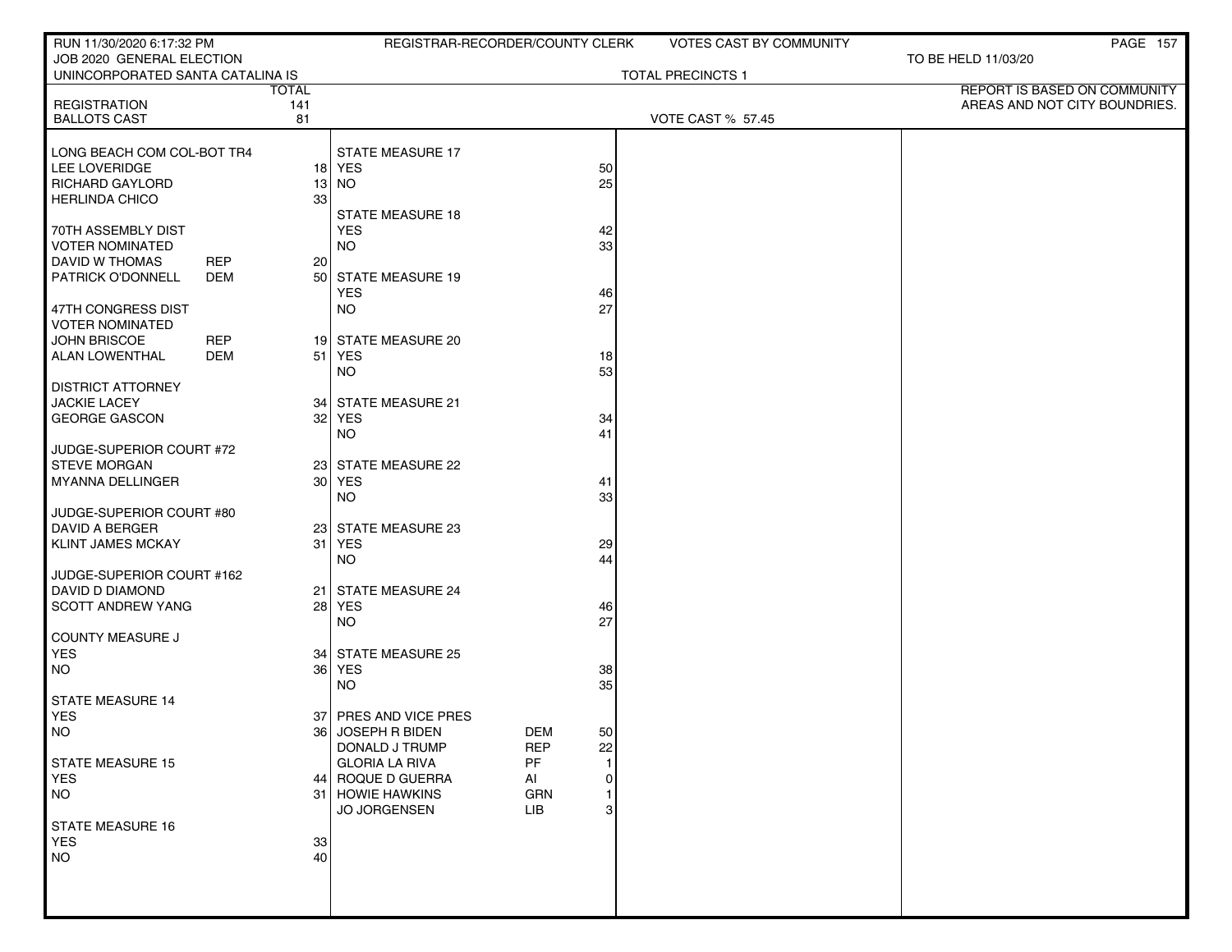| RUN 11/30/2020 6:17:32 PM                  |              | REGISTRAR-RECORDER/COUNTY CLERK            |                                        |   | <b>VOTES CAST BY COMMUNITY</b> |                                                               | PAGE 157 |
|--------------------------------------------|--------------|--------------------------------------------|----------------------------------------|---|--------------------------------|---------------------------------------------------------------|----------|
| JOB 2020 GENERAL ELECTION                  |              |                                            |                                        |   |                                | TO BE HELD 11/03/20                                           |          |
| UNINCORPORATED SANTA CATALINA IS           |              |                                            |                                        |   | <b>TOTAL PRECINCTS 1</b>       |                                                               |          |
|                                            | <b>TOTAL</b> |                                            |                                        |   |                                | REPORT IS BASED ON COMMUNITY<br>AREAS AND NOT CITY BOUNDRIES. |          |
| <b>REGISTRATION</b><br><b>BALLOTS CAST</b> | 141<br>81    |                                            |                                        |   | <b>VOTE CAST % 57.45</b>       |                                                               |          |
|                                            |              |                                            |                                        |   |                                |                                                               |          |
| LONG BEACH COM COL-BOT TR4                 |              | STATE MEASURE 17                           |                                        |   |                                |                                                               |          |
| LEE LOVERIDGE                              |              | $18$ YES                                   | 50                                     |   |                                |                                                               |          |
| <b>RICHARD GAYLORD</b>                     |              | $13$ NO                                    | 25                                     |   |                                |                                                               |          |
| <b>HERLINDA CHICO</b>                      | 33           |                                            |                                        |   |                                |                                                               |          |
|                                            |              | <b>STATE MEASURE 18</b>                    |                                        |   |                                |                                                               |          |
| 70TH ASSEMBLY DIST                         |              | <b>YES</b>                                 | 42                                     |   |                                |                                                               |          |
| <b>VOTER NOMINATED</b>                     |              | <b>NO</b>                                  | 33                                     |   |                                |                                                               |          |
| <b>DAVID W THOMAS</b><br><b>REP</b>        | 20           |                                            |                                        |   |                                |                                                               |          |
| <b>PATRICK O'DONNELL</b><br>DEM            |              | 50 STATE MEASURE 19                        |                                        |   |                                |                                                               |          |
|                                            |              | <b>YES</b>                                 | 46                                     |   |                                |                                                               |          |
| 47TH CONGRESS DIST                         |              | <b>NO</b>                                  | 27                                     |   |                                |                                                               |          |
| <b>VOTER NOMINATED</b>                     |              |                                            |                                        |   |                                |                                                               |          |
| JOHN BRISCOE<br><b>REP</b>                 |              | 19 STATE MEASURE 20                        |                                        |   |                                |                                                               |          |
| <b>ALAN LOWENTHAL</b><br><b>DEM</b>        |              | 51 YES                                     | 18                                     |   |                                |                                                               |          |
|                                            |              | <b>NO</b>                                  | 53                                     |   |                                |                                                               |          |
| <b>DISTRICT ATTORNEY</b>                   |              |                                            |                                        |   |                                |                                                               |          |
| <b>JACKIE LACEY</b>                        |              | 34 STATE MEASURE 21                        |                                        |   |                                |                                                               |          |
| GEORGE GASCON                              |              | 32 YES                                     | 34                                     |   |                                |                                                               |          |
|                                            |              | <b>NO</b>                                  | 41                                     |   |                                |                                                               |          |
| JUDGE-SUPERIOR COURT #72                   |              |                                            |                                        |   |                                |                                                               |          |
| <b>STEVE MORGAN</b>                        |              | 23 STATE MEASURE 22                        |                                        |   |                                |                                                               |          |
| MYANNA DELLINGER                           |              | 30 YES                                     | 41                                     |   |                                |                                                               |          |
|                                            |              | <b>NO</b>                                  | 33                                     |   |                                |                                                               |          |
| JUDGE-SUPERIOR COURT #80                   |              |                                            |                                        |   |                                |                                                               |          |
| DAVID A BERGER                             |              | 23 STATE MEASURE 23                        |                                        |   |                                |                                                               |          |
| <b>KLINT JAMES MCKAY</b>                   | 31           | <b>YES</b>                                 | 29                                     |   |                                |                                                               |          |
|                                            |              | <b>NO</b>                                  | 44                                     |   |                                |                                                               |          |
| JUDGE-SUPERIOR COURT #162                  |              |                                            |                                        |   |                                |                                                               |          |
| DAVID D DIAMOND                            | 21           | STATE MEASURE 24                           |                                        |   |                                |                                                               |          |
| SCOTT ANDREW YANG                          |              | 28 YES                                     | 46                                     |   |                                |                                                               |          |
|                                            |              | <b>NO</b>                                  | 27                                     |   |                                |                                                               |          |
| COUNTY MEASURE J                           |              |                                            |                                        |   |                                |                                                               |          |
| <b>YES</b>                                 |              | 34 STATE MEASURE 25                        |                                        |   |                                |                                                               |          |
| <b>NO</b>                                  |              | 36 YES                                     | 38                                     |   |                                |                                                               |          |
|                                            |              | NO.                                        | 35                                     |   |                                |                                                               |          |
| <b>STATE MEASURE 14</b>                    |              |                                            |                                        |   |                                |                                                               |          |
| <b>YES</b>                                 | 37           | PRES AND VICE PRES                         |                                        |   |                                |                                                               |          |
| <b>NO</b>                                  |              | 36 JOSEPH R BIDEN<br><b>DONALD J TRUMP</b> | <b>DEM</b><br>50                       |   |                                |                                                               |          |
| STATE MEASURE 15                           |              | <b>GLORIA LA RIVA</b>                      | <b>REP</b><br>22<br>PF<br>$\mathbf{1}$ |   |                                |                                                               |          |
| <b>YES</b>                                 |              | 44 ROQUE D GUERRA                          | Al<br>0                                |   |                                |                                                               |          |
| <b>NO</b>                                  |              | 31 HOWIE HAWKINS                           | <b>GRN</b><br>$\mathbf{1}$             |   |                                |                                                               |          |
|                                            |              | JO JORGENSEN                               | <b>LIB</b>                             | 3 |                                |                                                               |          |
| <b>STATE MEASURE 16</b>                    |              |                                            |                                        |   |                                |                                                               |          |
| <b>YES</b>                                 | 33           |                                            |                                        |   |                                |                                                               |          |
| NO <sub>1</sub>                            | 40           |                                            |                                        |   |                                |                                                               |          |
|                                            |              |                                            |                                        |   |                                |                                                               |          |
|                                            |              |                                            |                                        |   |                                |                                                               |          |
|                                            |              |                                            |                                        |   |                                |                                                               |          |
|                                            |              |                                            |                                        |   |                                |                                                               |          |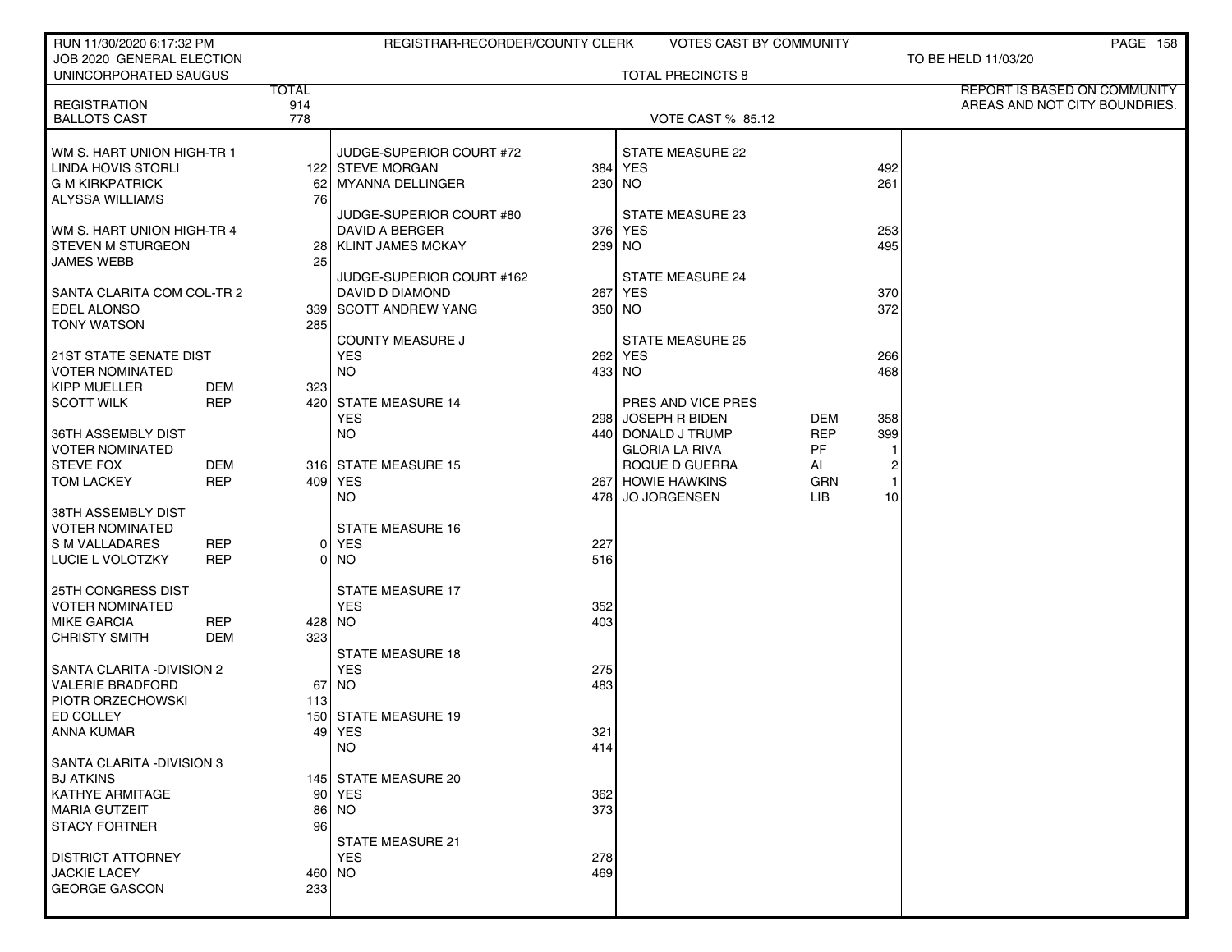| RUN 11/30/2020 6:17:32 PM                          |                   |              | REGISTRAR-RECORDER/COUNTY CLERK |        | <b>VOTES CAST BY COMMUNITY</b>       |                   |                | PAGE 158                      |
|----------------------------------------------------|-------------------|--------------|---------------------------------|--------|--------------------------------------|-------------------|----------------|-------------------------------|
| JOB 2020 GENERAL ELECTION<br>UNINCORPORATED SAUGUS |                   |              |                                 |        | <b>TOTAL PRECINCTS 8</b>             |                   |                | TO BE HELD 11/03/20           |
|                                                    |                   | <b>TOTAL</b> |                                 |        |                                      |                   |                | REPORT IS BASED ON COMMUNITY  |
| <b>REGISTRATION</b><br><b>BALLOTS CAST</b>         |                   | 914<br>778   |                                 |        | <b>VOTE CAST % 85.12</b>             |                   |                | AREAS AND NOT CITY BOUNDRIES. |
|                                                    |                   |              |                                 |        |                                      |                   |                |                               |
| WM S. HART UNION HIGH TR 1                         |                   |              | JUDGE-SUPERIOR COURT #72        |        | STATE MEASURE 22                     |                   |                |                               |
| LINDA HOVIS STORLI                                 |                   |              | 122 STEVE MORGAN                |        | 384 YES                              |                   | 492            |                               |
| <b>G M KIRKPATRICK</b>                             |                   |              | 62 MYANNA DELLINGER             | 230 NO |                                      |                   | 261            |                               |
| ALYSSA WILLIAMS                                    |                   | 76 I         | JUDGE-SUPERIOR COURT #80        |        | STATE MEASURE 23                     |                   |                |                               |
| WM S. HART UNION HIGH-TR 4                         |                   |              | DAVID A BERGER                  |        | 376 YES                              |                   | 253            |                               |
| <b>STEVEN M STURGEON</b>                           |                   |              | 28 KLINT JAMES MCKAY            | 239 NO |                                      |                   | 495            |                               |
| JAMES WEBB                                         |                   | 25 l         |                                 |        |                                      |                   |                |                               |
|                                                    |                   |              | JUDGE-SUPERIOR COURT #162       |        | <b>STATE MEASURE 24</b>              |                   |                |                               |
| SANTA CLARITA COM COL-TR 2                         |                   |              | DAVID D DIAMOND                 |        | 267 YES                              |                   | 370            |                               |
| <b>EDEL ALONSO</b><br><b>TONY WATSON</b>           |                   | 285          | 339 SCOTT ANDREW YANG           | 350 NO |                                      |                   | 372            |                               |
|                                                    |                   |              | <b>COUNTY MEASURE J</b>         |        | <b>STATE MEASURE 25</b>              |                   |                |                               |
| 21ST STATE SENATE DIST                             |                   |              | <b>YES</b>                      |        | 262 YES                              |                   | 266            |                               |
| <b>VOTER NOMINATED</b>                             |                   |              | <b>NO</b>                       | 433 NO |                                      |                   | 468            |                               |
| KIPP MUELLER                                       | DEM               | 323          |                                 |        |                                      |                   |                |                               |
| <b>SCOTT WILK</b>                                  | <b>REP</b>        |              | 420 STATE MEASURE 14            |        | PRES AND VICE PRES                   |                   |                |                               |
| 36TH ASSEMBLY DIST                                 |                   |              | <b>YES</b><br><b>NO</b>         | 298    | JOSEPH R BIDEN<br>440 DONALD J TRUMP | DEM<br><b>REP</b> | 358<br>399     |                               |
| <b>VOTER NOMINATED</b>                             |                   |              |                                 |        | <b>GLORIA LA RIVA</b>                | PF                |                |                               |
| <b>STEVE FOX</b>                                   | <b>DEM</b>        |              | 316 STATE MEASURE 15            |        | ROQUE D GUERRA                       | AI                | $\overline{c}$ |                               |
| <b>TOM LACKEY</b>                                  | <b>REP</b>        |              | 409 YES                         |        | 267 HOWIE HAWKINS                    | <b>GRN</b>        | $\mathbf{1}$   |                               |
|                                                    |                   |              | NO.                             |        | 478 JO JORGENSEN                     | LІВ               | 10             |                               |
| 38TH ASSEMBLY DIST<br><b>VOTER NOMINATED</b>       |                   |              | <b>STATE MEASURE 16</b>         |        |                                      |                   |                |                               |
| S M VALLADARES                                     | <b>REP</b>        |              | 0 YES                           | 227    |                                      |                   |                |                               |
| LUCIE L VOLOTZKY                                   | <b>REP</b>        |              | 0 NO                            | 516    |                                      |                   |                |                               |
|                                                    |                   |              |                                 |        |                                      |                   |                |                               |
| 25TH CONGRESS DIST                                 |                   |              | <b>STATE MEASURE 17</b>         |        |                                      |                   |                |                               |
| <b>VOTER NOMINATED</b>                             |                   |              | <b>YES</b>                      | 352    |                                      |                   |                |                               |
| <b>MIKE GARCIA</b><br><b>CHRISTY SMITH</b>         | <b>REP</b><br>DEM | 323          | 428 NO                          | 403    |                                      |                   |                |                               |
|                                                    |                   |              | <b>STATE MEASURE 18</b>         |        |                                      |                   |                |                               |
| SANTA CLARITA - DIVISION 2                         |                   |              | <b>YES</b>                      | 275    |                                      |                   |                |                               |
| <b>VALERIE BRADFORD</b>                            |                   |              | 67   NO                         | 483    |                                      |                   |                |                               |
| PIOTR ORZECHOWSKI                                  |                   | 113          |                                 |        |                                      |                   |                |                               |
| ED COLLEY<br>ANNA KUMAR                            |                   |              | 150 STATE MEASURE 19<br>49 YES  | 321    |                                      |                   |                |                               |
|                                                    |                   |              | <b>NO</b>                       | 414    |                                      |                   |                |                               |
| SANTA CLARITA - DIVISION 3                         |                   |              |                                 |        |                                      |                   |                |                               |
| <b>BJ ATKINS</b>                                   |                   |              | 145 STATE MEASURE 20            |        |                                      |                   |                |                               |
| KATHYE ARMITAGE                                    |                   |              | 90 YES                          | 362    |                                      |                   |                |                               |
| <b>MARIA GUTZEIT</b><br><b>STACY FORTNER</b>       |                   | 96 I         | 86 NO                           | 373    |                                      |                   |                |                               |
|                                                    |                   |              | STATE MEASURE 21                |        |                                      |                   |                |                               |
| <b>DISTRICT ATTORNEY</b>                           |                   |              | <b>YES</b>                      | 278    |                                      |                   |                |                               |
| <b>JACKIE LACEY</b>                                |                   |              | 460 NO                          | 469    |                                      |                   |                |                               |
| <b>GEORGE GASCON</b>                               |                   | 233          |                                 |        |                                      |                   |                |                               |
|                                                    |                   |              |                                 |        |                                      |                   |                |                               |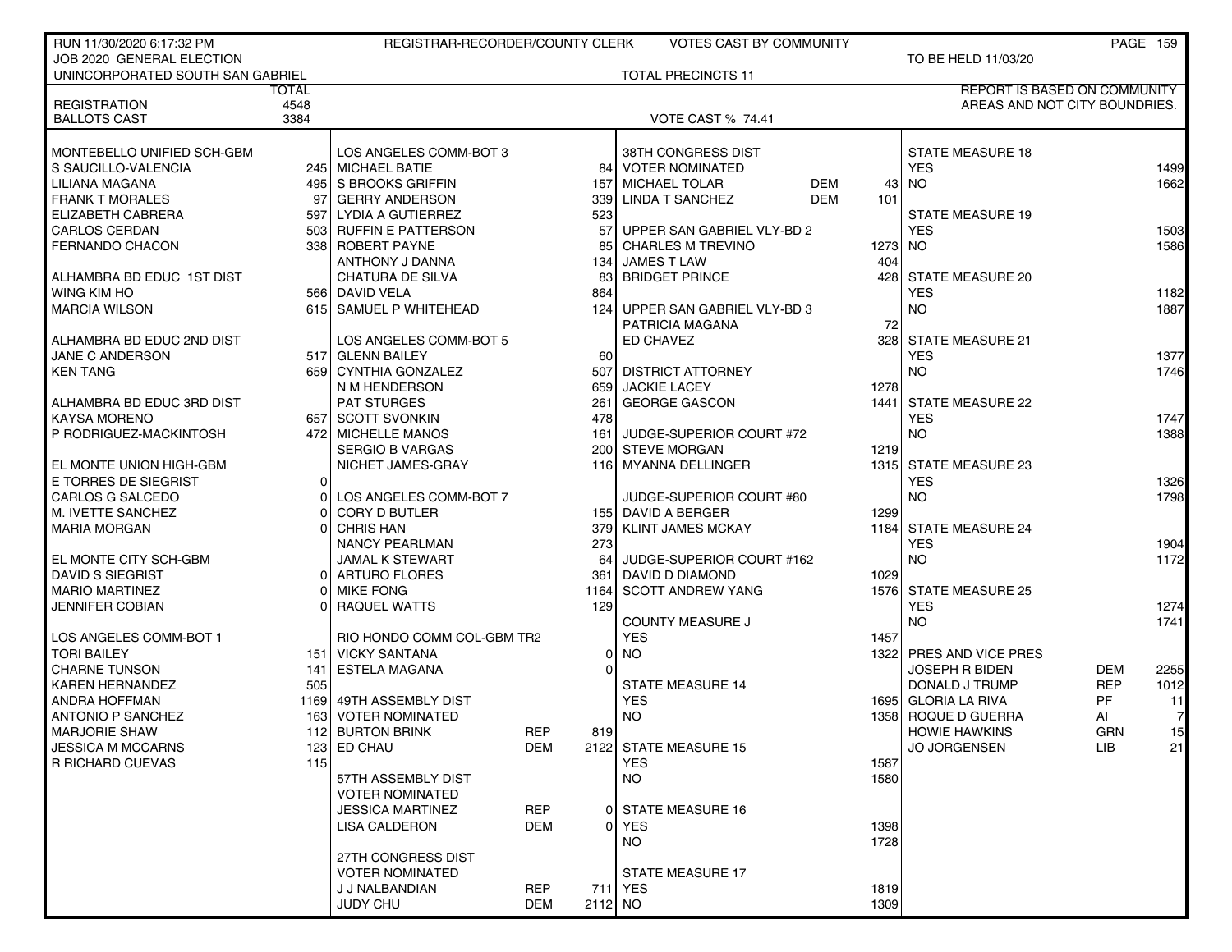| RUN 11/30/2020 6:17:32 PM                         |              | REGISTRAR-RECORDER/COUNTY CLERK             |            |           | <b>VOTES CAST BY COMMUNITY</b>               |         |                                       |            | <b>PAGE 159</b> |
|---------------------------------------------------|--------------|---------------------------------------------|------------|-----------|----------------------------------------------|---------|---------------------------------------|------------|-----------------|
| JOB 2020 GENERAL ELECTION                         |              |                                             |            |           |                                              |         | TO BE HELD 11/03/20                   |            |                 |
| UNINCORPORATED SOUTH SAN GABRIEL                  |              |                                             |            |           | <b>TOTAL PRECINCTS 11</b>                    |         |                                       |            |                 |
|                                                   | <b>TOTAL</b> |                                             |            |           |                                              |         | <b>REPORT IS BASED ON COMMUNITY</b>   |            |                 |
| <b>REGISTRATION</b>                               | 4548         |                                             |            |           |                                              |         | AREAS AND NOT CITY BOUNDRIES.         |            |                 |
| <b>BALLOTS CAST</b>                               | 3384         |                                             |            |           | <b>VOTE CAST % 74.41</b>                     |         |                                       |            |                 |
|                                                   |              |                                             |            |           |                                              |         |                                       |            |                 |
| MONTEBELLO UNIFIED SCH-GBM<br>S SAUCILLO-VALENCIA |              | LOS ANGELES COMM-BOT 3<br>245 MICHAEL BATIE |            |           | 38TH CONGRESS DIST<br><b>VOTER NOMINATED</b> |         | <b>STATE MEASURE 18</b><br><b>YES</b> |            |                 |
| LILIANA MAGANA                                    |              | 495 S BROOKS GRIFFIN                        |            | 84<br>157 | <b>MICHAEL TOLAR</b><br><b>DEM</b>           | 43      | <b>NO</b>                             |            | 1499<br>1662    |
| <b>FRANK T MORALES</b>                            |              | 97 GERRY ANDERSON                           |            | 339       | <b>LINDA T SANCHEZ</b><br><b>DEM</b>         | 101     |                                       |            |                 |
| ELIZABETH CABRERA                                 |              | 597 LYDIA A GUTIERREZ                       |            | 523       |                                              |         | <b>STATE MEASURE 19</b>               |            |                 |
| <b>CARLOS CERDAN</b>                              |              | 503 RUFFIN E PATTERSON                      |            | 57        | UPPER SAN GABRIEL VLY-BD 2                   |         | <b>YES</b>                            |            | 1503            |
| <b>FERNANDO CHACON</b>                            |              | 338 ROBERT PAYNE                            |            | 85        | <b>CHARLES M TREVINO</b>                     | 1273 NO |                                       |            | 1586            |
|                                                   |              | ANTHONY J DANNA                             |            |           | 134 JAMES T LAW                              | 404     |                                       |            |                 |
| ALHAMBRA BD EDUC 1ST DIST                         |              | <b>CHATURA DE SILVA</b>                     |            | 83        | <b>BRIDGET PRINCE</b>                        | 428     | <b>STATE MEASURE 20</b>               |            |                 |
| WING KIM HO                                       |              | 566 DAVID VELA                              |            | 864       |                                              |         | <b>YES</b>                            |            | 1182            |
| <b>MARCIA WILSON</b>                              |              | 615 SAMUEL P WHITEHEAD                      |            | 124       | UPPER SAN GABRIEL VLY-BD 3                   |         | NO.                                   |            | 1887            |
|                                                   |              |                                             |            |           | PATRICIA MAGANA                              | 72      |                                       |            |                 |
| ALHAMBRA BD EDUC 2ND DIST                         |              | LOS ANGELES COMM-BOT 5                      |            |           | ED CHAVEZ                                    | 328     | <b>STATE MEASURE 21</b>               |            |                 |
| JANE C ANDERSON                                   |              | 517 GLENN BAILEY                            |            | 60        |                                              |         | <b>YES</b>                            |            | 1377            |
| <b>KEN TANG</b>                                   |              | 659 CYNTHIA GONZALEZ                        |            | 507       | <b>DISTRICT ATTORNEY</b>                     |         | <b>NO</b>                             |            | 1746            |
|                                                   |              | N M HENDERSON                               |            |           | 659 JACKIE LACEY                             | 1278    |                                       |            |                 |
| ALHAMBRA BD EDUC 3RD DIST                         |              | <b>PAT STURGES</b>                          |            | 261       | <b>GEORGE GASCON</b>                         | 1441    | <b>STATE MEASURE 22</b>               |            |                 |
| <b>KAYSA MORENO</b>                               |              | 657 SCOTT SVONKIN                           |            | 478       |                                              |         | <b>YES</b>                            |            | 1747            |
| P RODRIGUEZ-MACKINTOSH                            |              | 472 MICHELLE MANOS                          |            | 161       | JUDGE-SUPERIOR COURT #72                     |         | <b>NO</b>                             |            | 1388            |
|                                                   |              | <b>SERGIO B VARGAS</b>                      |            |           | 200 STEVE MORGAN                             | 1219    |                                       |            |                 |
| EL MONTE UNION HIGH-GBM                           |              | NICHET JAMES-GRAY                           |            |           | 116 MYANNA DELLINGER                         |         | 1315 STATE MEASURE 23                 |            |                 |
| E TORRES DE SIEGRIST                              | 0 l          |                                             |            |           |                                              |         | <b>YES</b>                            |            | 1326            |
| CARLOS G SALCEDO                                  | $\Omega$     | LOS ANGELES COMM-BOT 7                      |            |           | JUDGE-SUPERIOR COURT #80                     |         | <b>NO</b>                             |            | 1798            |
| M. IVETTE SANCHEZ                                 | ΩI           | <b>CORY D BUTLER</b>                        |            |           | 155 DAVID A BERGER                           | 1299    |                                       |            |                 |
| <b>MARIA MORGAN</b>                               | ΩI           | <b>CHRIS HAN</b>                            |            | 379       | <b>KLINT JAMES MCKAY</b>                     |         | 1184 STATE MEASURE 24                 |            |                 |
|                                                   |              | <b>NANCY PEARLMAN</b>                       |            | 273       |                                              |         | <b>YES</b>                            |            | 1904            |
| EL MONTE CITY SCH-GBM                             |              | <b>JAMAL K STEWART</b>                      |            | 64        | JUDGE-SUPERIOR COURT #162                    |         | <b>NO</b>                             |            | 1172            |
| <b>DAVID S SIEGRIST</b>                           |              | 0 ARTURO FLORES                             |            | 361       | DAVID D DIAMOND                              | 1029    |                                       |            |                 |
| <b>MARIO MARTINEZ</b>                             | ΩI           | <b>MIKE FONG</b>                            |            | 1164      | <b>SCOTT ANDREW YANG</b>                     |         | 1576 STATE MEASURE 25                 |            |                 |
| <b>JENNIFER COBIAN</b>                            |              | 0 RAQUEL WATTS                              |            | 129       |                                              |         | <b>YES</b>                            |            | 1274            |
|                                                   |              |                                             |            |           | <b>COUNTY MEASURE J</b>                      |         | <b>NO</b>                             |            | 1741            |
| LOS ANGELES COMM-BOT 1                            |              | RIO HONDO COMM COL-GBM TR2                  |            |           | <b>YES</b>                                   | 1457    |                                       |            |                 |
| <b>TORI BAILEY</b>                                |              | 151 VICKY SANTANA                           |            | 0         | <b>NO</b>                                    |         | 1322 PRES AND VICE PRES               |            |                 |
| <b>CHARNE TUNSON</b>                              |              | 141 ESTELA MAGANA                           |            | 0         |                                              |         | <b>JOSEPH R BIDEN</b>                 | <b>DEM</b> | 2255            |
| <b>KAREN HERNANDEZ</b>                            | 505          |                                             |            |           | <b>STATE MEASURE 14</b>                      |         | DONALD J TRUMP                        | <b>REP</b> | 1012            |
| ANDRA HOFFMAN                                     |              | 1169 49TH ASSEMBLY DIST                     |            |           | <b>YES</b>                                   |         | 1695 GLORIA LA RIVA                   | PF         | 11              |
| <b>ANTONIO P SANCHEZ</b>                          | 1631         | <b>VOTER NOMINATED</b>                      |            |           | <b>NO</b>                                    |         | 1358 ROQUE D GUERRA                   | AI         | 7               |
| <b>MARJORIE SHAW</b>                              |              | 112 BURTON BRINK                            | REP        | 819       |                                              |         | <b>HOWIE HAWKINS</b>                  | GRN        | 15              |
| <b>JESSICA M MCCARNS</b>                          |              | 123 ED CHAU                                 | <b>DEM</b> |           | 2122 STATE MEASURE 15                        |         | <b>JO JORGENSEN</b>                   | LIB.       | 21              |
| R RICHARD CUEVAS                                  | 115          |                                             |            |           | <b>YES</b>                                   | 1587    |                                       |            |                 |
|                                                   |              | 57TH ASSEMBLY DIST                          |            |           | <b>NO</b>                                    | 1580    |                                       |            |                 |
|                                                   |              | <b>VOTER NOMINATED</b>                      |            |           |                                              |         |                                       |            |                 |
|                                                   |              | <b>JESSICA MARTINEZ</b>                     | <b>REP</b> |           | 0 STATE MEASURE 16                           |         |                                       |            |                 |
|                                                   |              | <b>LISA CALDERON</b>                        | <b>DEM</b> | 01        | <b>YES</b>                                   | 1398    |                                       |            |                 |
|                                                   |              |                                             |            |           | NO.                                          | 1728    |                                       |            |                 |
|                                                   |              | 27TH CONGRESS DIST                          |            |           |                                              |         |                                       |            |                 |
|                                                   |              | <b>VOTER NOMINATED</b>                      |            |           | <b>STATE MEASURE 17</b>                      |         |                                       |            |                 |
|                                                   |              | J J NALBANDIAN                              | <b>REP</b> |           | 711 YES                                      | 1819    |                                       |            |                 |
|                                                   |              | JUDY CHU                                    | <b>DEM</b> | 2112 NO   |                                              | 1309    |                                       |            |                 |
|                                                   |              |                                             |            |           |                                              |         |                                       |            |                 |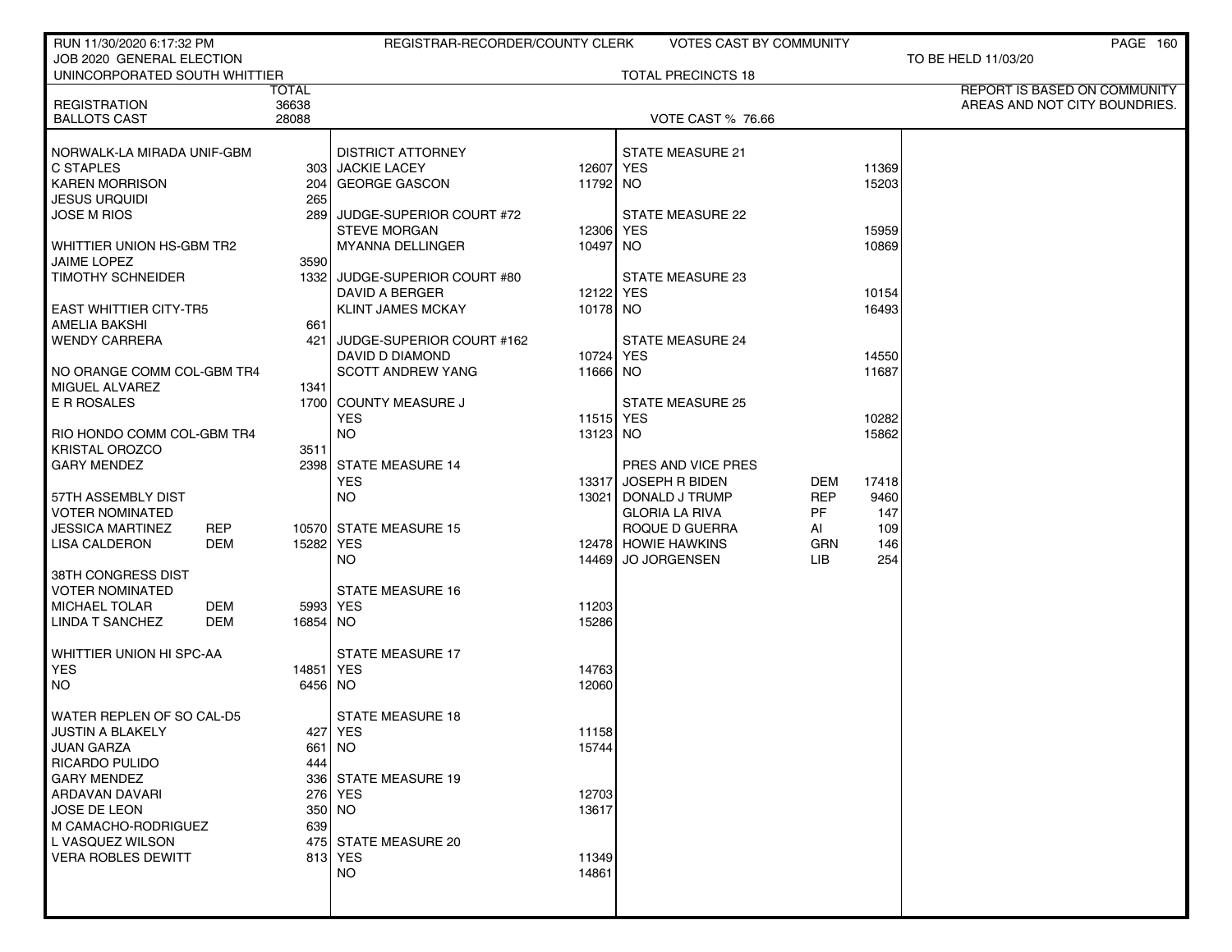| RUN 11/30/2020 6:17:32 PM               |             | REGISTRAR-RECORDER/COUNTY CLERK              |                  | <b>VOTES CAST BY COMMUNITY</b> |           |       | PAGE 160                            |
|-----------------------------------------|-------------|----------------------------------------------|------------------|--------------------------------|-----------|-------|-------------------------------------|
| JOB 2020 GENERAL ELECTION               |             |                                              |                  |                                |           |       | TO BE HELD 11/03/20                 |
| UNINCORPORATED SOUTH WHITTIER           |             |                                              |                  | <b>TOTAL PRECINCTS 18</b>      |           |       |                                     |
|                                         | TOTAL       |                                              |                  |                                |           |       | <b>REPORT IS BASED ON COMMUNITY</b> |
| <b>REGISTRATION</b>                     | 36638       |                                              |                  |                                |           |       | AREAS AND NOT CITY BOUNDRIES.       |
| <b>BALLOTS CAST</b>                     | 28088       |                                              |                  | <b>VOTE CAST % 76.66</b>       |           |       |                                     |
|                                         |             |                                              |                  |                                |           |       |                                     |
| NORWALK-LA MIRADA UNIF-GBM<br>C STAPLES |             | <b>DISTRICT ATTORNEY</b><br>303 JACKIE LACEY | 12607 YES        | <b>STATE MEASURE 21</b>        |           | 11369 |                                     |
| <b>KAREN MORRISON</b>                   | 204         | <b>GEORGE GASCON</b>                         | 11792 NO         |                                |           | 15203 |                                     |
| <b>JESUS URQUIDI</b>                    | 265         |                                              |                  |                                |           |       |                                     |
| <b>JOSE M RIOS</b>                      | 289         | JUDGE-SUPERIOR COURT #72                     |                  | STATE MEASURE 22               |           |       |                                     |
|                                         |             | <b>STEVE MORGAN</b>                          | 12306 YES        |                                |           | 15959 |                                     |
| WHITTIER UNION HS-GBM TR2               |             | MYANNA DELLINGER                             | 10497 NO         |                                |           | 10869 |                                     |
| JAIME LOPEZ                             | 3590        |                                              |                  |                                |           |       |                                     |
| <b>TIMOTHY SCHNEIDER</b>                | 1332        | JUDGE-SUPERIOR COURT #80                     |                  | STATE MEASURE 23               |           |       |                                     |
|                                         |             | DAVID A BERGER                               | 12122 YES        |                                |           | 10154 |                                     |
| <b>EAST WHITTIER CITY-TR5</b>           |             | <b>KLINT JAMES MCKAY</b>                     | 10178 NO         |                                |           | 16493 |                                     |
| <b>AMELIA BAKSHI</b>                    | 661         |                                              |                  |                                |           |       |                                     |
| <b>WENDY CARRERA</b>                    | 421 l       | JUDGE-SUPERIOR COURT #162                    |                  | <b>STATE MEASURE 24</b>        |           |       |                                     |
|                                         |             | DAVID D DIAMOND                              | 10724 YES        |                                |           | 14550 |                                     |
| NO ORANGE COMM COL-GBM TR4              |             | <b>SCOTT ANDREW YANG</b>                     | 11666 NO         |                                |           | 11687 |                                     |
| MIGUEL ALVAREZ                          | 1341        |                                              |                  |                                |           |       |                                     |
| E R ROSALES                             |             | 1700 COUNTY MEASURE J                        |                  | <b>STATE MEASURE 25</b>        |           |       |                                     |
|                                         |             | <b>YES</b>                                   | <b>11515 YES</b> |                                |           | 10282 |                                     |
| RIO HONDO COMM COL-GBM TR4              |             | <b>NO</b>                                    | 13123 NO         |                                |           | 15862 |                                     |
| <b>KRISTAL OROZCO</b>                   | 3511        |                                              |                  |                                |           |       |                                     |
| <b>GARY MENDEZ</b>                      |             | 2398 STATE MEASURE 14                        |                  | PRES AND VICE PRES             |           |       |                                     |
|                                         |             | <b>YES</b>                                   | 13317            | <b>JOSEPH R BIDEN</b>          | DEM       | 17418 |                                     |
| 57TH ASSEMBLY DIST                      |             | NO.                                          | 13021            | DONALD J TRUMP                 | REP       | 9460  |                                     |
| <b>VOTER NOMINATED</b>                  |             |                                              |                  | <b>GLORIA LA RIVA</b>          | <b>PF</b> | 147   |                                     |
| <b>JESSICA MARTINEZ</b><br><b>REP</b>   |             | 10570 STATE MEASURE 15                       |                  | ROQUE D GUERRA                 | AI        | 109   |                                     |
| LISA CALDERON<br>DEM                    | 15282 YES   |                                              |                  | 12478 HOWIE HAWKINS            | GRN       | 146   |                                     |
|                                         |             | <b>NO</b>                                    | 14469            | <b>JO JORGENSEN</b>            | LIB.      | 254   |                                     |
| 38TH CONGRESS DIST                      |             |                                              |                  |                                |           |       |                                     |
| <b>VOTER NOMINATED</b>                  |             | <b>STATE MEASURE 16</b>                      |                  |                                |           |       |                                     |
| <b>DEM</b><br><b>MICHAEL TOLAR</b>      |             | 5993 YES                                     | 11203            |                                |           |       |                                     |
| <b>LINDA T SANCHEZ</b><br><b>DEM</b>    | 16854 NO    |                                              | 15286            |                                |           |       |                                     |
|                                         |             |                                              |                  |                                |           |       |                                     |
| WHITTIER UNION HI SPC-AA                |             | <b>STATE MEASURE 17</b>                      |                  |                                |           |       |                                     |
| <b>YES</b>                              | 14851   YES |                                              | 14763            |                                |           |       |                                     |
| NO.                                     | 6456 NO     |                                              | 12060            |                                |           |       |                                     |
|                                         |             |                                              |                  |                                |           |       |                                     |
| WATER REPLEN OF SO CAL-D5               |             | <b>STATE MEASURE 18</b>                      |                  |                                |           |       |                                     |
| JUSTIN A BLAKELY                        |             | 427 YES                                      | 11158            |                                |           |       |                                     |
| JUAN GARZA<br><b>RICARDO PULIDO</b>     | 444         | 661   NO                                     | 15744            |                                |           |       |                                     |
| <b>GARY MENDEZ</b>                      |             | 336 STATE MEASURE 19                         |                  |                                |           |       |                                     |
| ARDAVAN DAVARI                          |             | 276 YES                                      | 12703            |                                |           |       |                                     |
| JOSE DE LEON                            |             | 350 NO                                       | 13617            |                                |           |       |                                     |
| M CAMACHO-RODRIGUEZ                     | 639         |                                              |                  |                                |           |       |                                     |
| L VASQUEZ WILSON                        |             | 475 STATE MEASURE 20                         |                  |                                |           |       |                                     |
| <b>VERA ROBLES DEWITT</b>               |             | 813 YES                                      | 11349            |                                |           |       |                                     |
|                                         |             | <b>NO</b>                                    | 14861            |                                |           |       |                                     |
|                                         |             |                                              |                  |                                |           |       |                                     |
|                                         |             |                                              |                  |                                |           |       |                                     |
|                                         |             |                                              |                  |                                |           |       |                                     |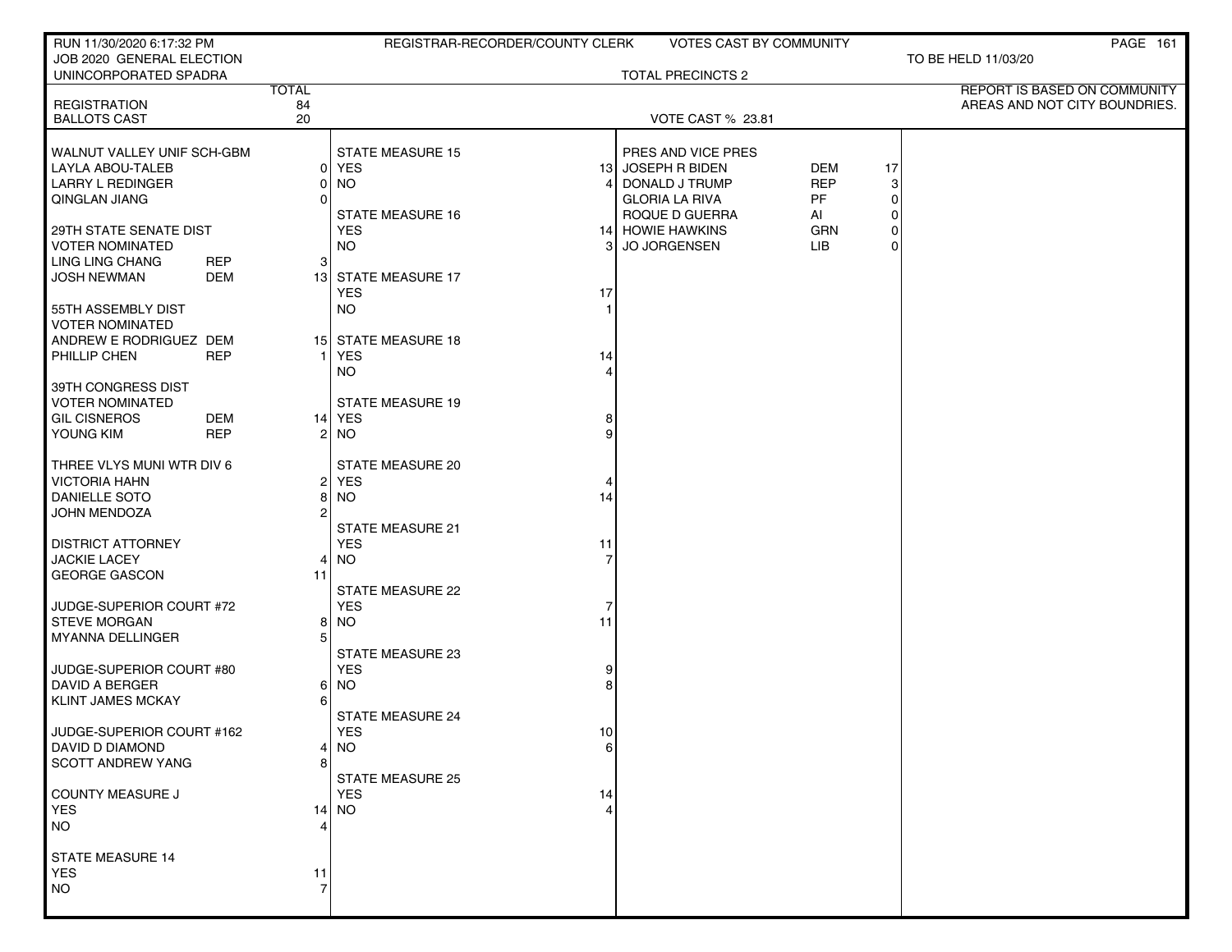| RUN 11/30/2020 6:17:32 PM                          |            |                     | REGISTRAR-RECORDER/COUNTY CLERK |                | <b>VOTES CAST BY COMMUNITY</b>          |                 |          | PAGE 161                      |
|----------------------------------------------------|------------|---------------------|---------------------------------|----------------|-----------------------------------------|-----------------|----------|-------------------------------|
| JOB 2020 GENERAL ELECTION<br>UNINCORPORATED SPADRA |            |                     |                                 |                | <b>TOTAL PRECINCTS 2</b>                |                 |          | TO BE HELD 11/03/20           |
|                                                    |            | <b>TOTAL</b>        |                                 |                |                                         |                 |          | REPORT IS BASED ON COMMUNITY  |
| <b>REGISTRATION</b><br><b>BALLOTS CAST</b>         |            | 84<br>20            |                                 |                |                                         |                 |          | AREAS AND NOT CITY BOUNDRIES. |
|                                                    |            |                     |                                 |                | <b>VOTE CAST % 23.81</b>                |                 |          |                               |
| WALNUT VALLEY UNIF SCH-GBM                         |            |                     | <b>STATE MEASURE 15</b>         |                | PRES AND VICE PRES                      |                 |          |                               |
| LAYLA ABOU-TALEB                                   |            | 01                  | <b>YES</b>                      |                | 13 JOSEPH R BIDEN                       | <b>DEM</b>      | 17       |                               |
| <b>LARRY L REDINGER</b>                            |            | 01                  | <b>NO</b>                       | 4              | DONALD J TRUMP                          | <b>REP</b>      | 3        |                               |
| QINGLAN JIANG                                      |            |                     | <b>STATE MEASURE 16</b>         |                | <b>GLORIA LA RIVA</b><br>ROQUE D GUERRA | <b>PF</b><br>Al | 0<br>0   |                               |
| 29TH STATE SENATE DIST                             |            |                     | <b>YES</b>                      |                | 14 HOWIE HAWKINS                        | <b>GRN</b>      | 0        |                               |
| <b>VOTER NOMINATED</b>                             |            |                     | <b>NO</b>                       | 31             | <b>JO JORGENSEN</b>                     | LIB.            | $\Omega$ |                               |
| LING LING CHANG                                    | <b>REP</b> | 3                   |                                 |                |                                         |                 |          |                               |
| <b>JOSH NEWMAN</b>                                 | <b>DEM</b> |                     | 13 STATE MEASURE 17             |                |                                         |                 |          |                               |
|                                                    |            |                     | <b>YES</b><br><b>NO</b>         | 17             |                                         |                 |          |                               |
| 55TH ASSEMBLY DIST<br><b>VOTER NOMINATED</b>       |            |                     |                                 |                |                                         |                 |          |                               |
| ANDREW E RODRIGUEZ DEM                             |            |                     | 15 STATE MEASURE 18             |                |                                         |                 |          |                               |
| PHILLIP CHEN                                       | <b>REP</b> |                     | <b>YES</b>                      | 14             |                                         |                 |          |                               |
|                                                    |            |                     | <b>NO</b>                       |                |                                         |                 |          |                               |
| 39TH CONGRESS DIST<br><b>VOTER NOMINATED</b>       |            |                     | <b>STATE MEASURE 19</b>         |                |                                         |                 |          |                               |
| <b>GIL CISNEROS</b>                                | DEM        |                     | 14 YES                          | 8              |                                         |                 |          |                               |
| YOUNG KIM                                          | <b>REP</b> | 2                   | <b>NO</b>                       | 9              |                                         |                 |          |                               |
|                                                    |            |                     |                                 |                |                                         |                 |          |                               |
| THREE VLYS MUNI WTR DIV 6                          |            |                     | <b>STATE MEASURE 20</b>         |                |                                         |                 |          |                               |
| <b>VICTORIA HAHN</b><br><b>DANIELLE SOTO</b>       |            | $\overline{2}$<br>8 | <b>YES</b><br><b>NO</b>         | 4<br>14        |                                         |                 |          |                               |
| JOHN MENDOZA                                       |            |                     |                                 |                |                                         |                 |          |                               |
|                                                    |            |                     | <b>STATE MEASURE 21</b>         |                |                                         |                 |          |                               |
| <b>DISTRICT ATTORNEY</b>                           |            |                     | <b>YES</b>                      | 11             |                                         |                 |          |                               |
| <b>JACKIE LACEY</b><br><b>GEORGE GASCON</b>        |            | 4<br>11             | <b>NO</b>                       | $\overline{7}$ |                                         |                 |          |                               |
|                                                    |            |                     | STATE MEASURE 22                |                |                                         |                 |          |                               |
| JUDGE-SUPERIOR COURT #72                           |            |                     | <b>YES</b>                      | 7              |                                         |                 |          |                               |
| <b>STEVE MORGAN</b>                                |            | 81                  | <b>NO</b>                       | 11             |                                         |                 |          |                               |
| MYANNA DELLINGER                                   |            |                     | STATE MEASURE 23                |                |                                         |                 |          |                               |
| JUDGE-SUPERIOR COURT #80                           |            |                     | <b>YES</b>                      | 9              |                                         |                 |          |                               |
| <b>DAVID A BERGER</b>                              |            | 61                  | <b>NO</b>                       | 8              |                                         |                 |          |                               |
| <b>KLINT JAMES MCKAY</b>                           |            | 6                   |                                 |                |                                         |                 |          |                               |
|                                                    |            |                     | <b>STATE MEASURE 24</b>         |                |                                         |                 |          |                               |
| JUDGE-SUPERIOR COURT #162<br>DAVID D DIAMOND       |            |                     | <b>YES</b><br><b>NO</b>         | 10<br>$6 \mid$ |                                         |                 |          |                               |
| <b>SCOTT ANDREW YANG</b>                           |            |                     |                                 |                |                                         |                 |          |                               |
|                                                    |            |                     | <b>STATE MEASURE 25</b>         |                |                                         |                 |          |                               |
| COUNTY MEASURE J                                   |            |                     | <b>YES</b>                      | 14             |                                         |                 |          |                               |
| <b>YES</b><br><b>NO</b>                            |            |                     | $14$ NO                         | 4              |                                         |                 |          |                               |
|                                                    |            |                     |                                 |                |                                         |                 |          |                               |
| <b>STATE MEASURE 14</b>                            |            |                     |                                 |                |                                         |                 |          |                               |
| <b>YES</b>                                         |            | 11                  |                                 |                |                                         |                 |          |                               |
| NO.                                                |            |                     |                                 |                |                                         |                 |          |                               |
|                                                    |            |                     |                                 |                |                                         |                 |          |                               |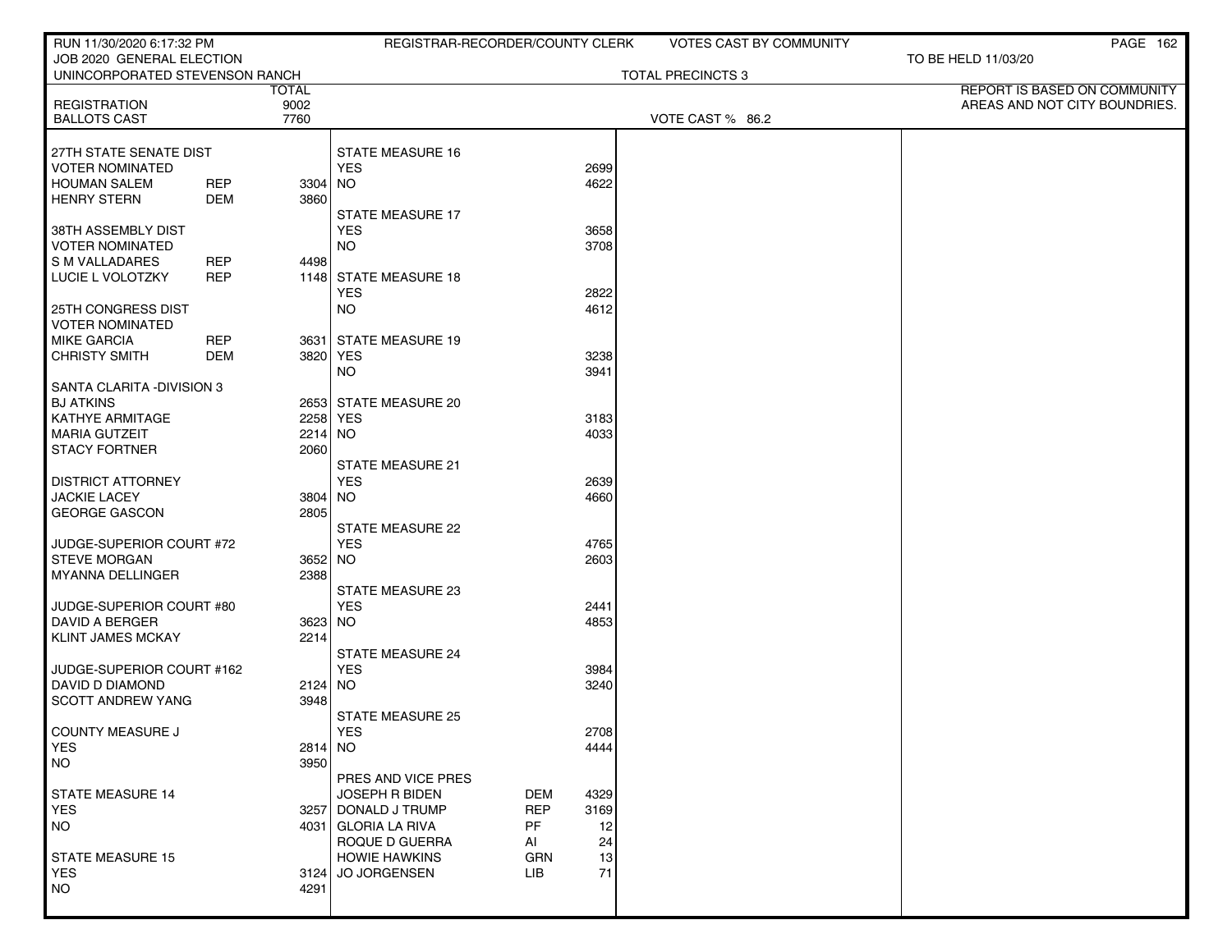| RUN 11/30/2020 6:17:32 PM             |            |              | REGISTRAR-RECORDER/COUNTY CLERK   |            |              | <b>VOTES CAST BY COMMUNITY</b> |                               | <b>PAGE 162</b> |
|---------------------------------------|------------|--------------|-----------------------------------|------------|--------------|--------------------------------|-------------------------------|-----------------|
| JOB 2020 GENERAL ELECTION             |            |              |                                   |            |              |                                | TO BE HELD 11/03/20           |                 |
| UNINCORPORATED STEVENSON RANCH        |            | <b>TOTAL</b> |                                   |            |              | TOTAL PRECINCTS 3              | REPORT IS BASED ON COMMUNITY  |                 |
| <b>REGISTRATION</b>                   |            | 9002         |                                   |            |              |                                | AREAS AND NOT CITY BOUNDRIES. |                 |
| <b>BALLOTS CAST</b>                   |            | 7760         |                                   |            |              | VOTE CAST % 86.2               |                               |                 |
|                                       |            |              |                                   |            |              |                                |                               |                 |
| 27TH STATE SENATE DIST                |            |              | <b>STATE MEASURE 16</b>           |            |              |                                |                               |                 |
| <b>VOTER NOMINATED</b>                |            |              | <b>YES</b>                        |            | 2699         |                                |                               |                 |
| <b>HOUMAN SALEM</b>                   | REP        | $3304$ NO    |                                   |            | 4622         |                                |                               |                 |
| <b>HENRY STERN</b>                    | DEM        | 3860         | <b>STATE MEASURE 17</b>           |            |              |                                |                               |                 |
| 38TH ASSEMBLY DIST                    |            |              | <b>YES</b>                        |            | 3658         |                                |                               |                 |
| <b>VOTER NOMINATED</b>                |            |              | <b>NO</b>                         |            | 3708         |                                |                               |                 |
| S M VALLADARES                        | <b>REP</b> | 4498         |                                   |            |              |                                |                               |                 |
| LUCIE L VOLOTZKY                      | <b>REP</b> |              | 1148 STATE MEASURE 18             |            |              |                                |                               |                 |
|                                       |            |              | <b>YES</b>                        |            | 2822         |                                |                               |                 |
| 25TH CONGRESS DIST                    |            |              | NO.                               |            | 4612         |                                |                               |                 |
| <b>VOTER NOMINATED</b>                |            |              |                                   |            |              |                                |                               |                 |
| <b>MIKE GARCIA</b>                    | REP        |              | 3631 STATE MEASURE 19             |            |              |                                |                               |                 |
| <b>CHRISTY SMITH</b>                  | <b>DEM</b> | 3820 YES     |                                   |            | 3238         |                                |                               |                 |
|                                       |            |              | <b>NO</b>                         |            | 3941         |                                |                               |                 |
| SANTA CLARITA - DIVISION 3            |            |              |                                   |            |              |                                |                               |                 |
| <b>BJ ATKINS</b><br>KATHYE ARMITAGE   |            |              | 2653 STATE MEASURE 20<br>2258 YES |            | 3183         |                                |                               |                 |
| <b>MARIA GUTZEIT</b>                  |            | $2214$ NO    |                                   |            | 4033         |                                |                               |                 |
| <b>STACY FORTNER</b>                  |            | 2060         |                                   |            |              |                                |                               |                 |
|                                       |            |              | <b>STATE MEASURE 21</b>           |            |              |                                |                               |                 |
| <b>DISTRICT ATTORNEY</b>              |            |              | <b>YES</b>                        |            | 2639         |                                |                               |                 |
| <b>JACKIE LACEY</b>                   |            | 3804 NO      |                                   |            | 4660         |                                |                               |                 |
| <b>GEORGE GASCON</b>                  |            | 2805         |                                   |            |              |                                |                               |                 |
|                                       |            |              | <b>STATE MEASURE 22</b>           |            |              |                                |                               |                 |
| JUDGE-SUPERIOR COURT #72              |            |              | <b>YES</b>                        |            | 4765         |                                |                               |                 |
| <b>STEVE MORGAN</b>                   |            | 3652 NO      |                                   |            | 2603         |                                |                               |                 |
| <b>MYANNA DELLINGER</b>               |            | 2388         | STATE MEASURE 23                  |            |              |                                |                               |                 |
| JUDGE-SUPERIOR COURT #80              |            |              | <b>YES</b>                        |            | 2441         |                                |                               |                 |
| DAVID A BERGER                        |            | 3623 NO      |                                   |            | 4853         |                                |                               |                 |
| <b>KLINT JAMES MCKAY</b>              |            | 2214         |                                   |            |              |                                |                               |                 |
|                                       |            |              | <b>STATE MEASURE 24</b>           |            |              |                                |                               |                 |
| JUDGE-SUPERIOR COURT #162             |            |              | <b>YES</b>                        |            | 3984         |                                |                               |                 |
| DAVID D DIAMOND                       |            | 2124 NO      |                                   |            | 3240         |                                |                               |                 |
| <b>SCOTT ANDREW YANG</b>              |            | 3948         |                                   |            |              |                                |                               |                 |
|                                       |            |              | <b>STATE MEASURE 25</b>           |            |              |                                |                               |                 |
| <b>COUNTY MEASURE J</b><br><b>YES</b> |            | 2814 NO      | YES                               |            | 2708<br>4444 |                                |                               |                 |
| <b>NO</b>                             |            | 3950         |                                   |            |              |                                |                               |                 |
|                                       |            |              | PRES AND VICE PRES                |            |              |                                |                               |                 |
| <b>STATE MEASURE 14</b>               |            |              | <b>JOSEPH R BIDEN</b>             | DEM        | 4329         |                                |                               |                 |
| <b>YES</b>                            |            |              | 3257 DONALD J TRUMP               | <b>REP</b> | 3169         |                                |                               |                 |
| <b>NO</b>                             |            |              | 4031 GLORIA LA RIVA               | <b>PF</b>  | 12           |                                |                               |                 |
|                                       |            |              | ROQUE D GUERRA                    | AI         | 24           |                                |                               |                 |
| <b>STATE MEASURE 15</b>               |            |              | <b>HOWIE HAWKINS</b>              | <b>GRN</b> | 13           |                                |                               |                 |
| <b>YES</b>                            |            |              | 3124 JO JORGENSEN                 | LIB        | 71           |                                |                               |                 |
| NO.                                   |            | 4291         |                                   |            |              |                                |                               |                 |
|                                       |            |              |                                   |            |              |                                |                               |                 |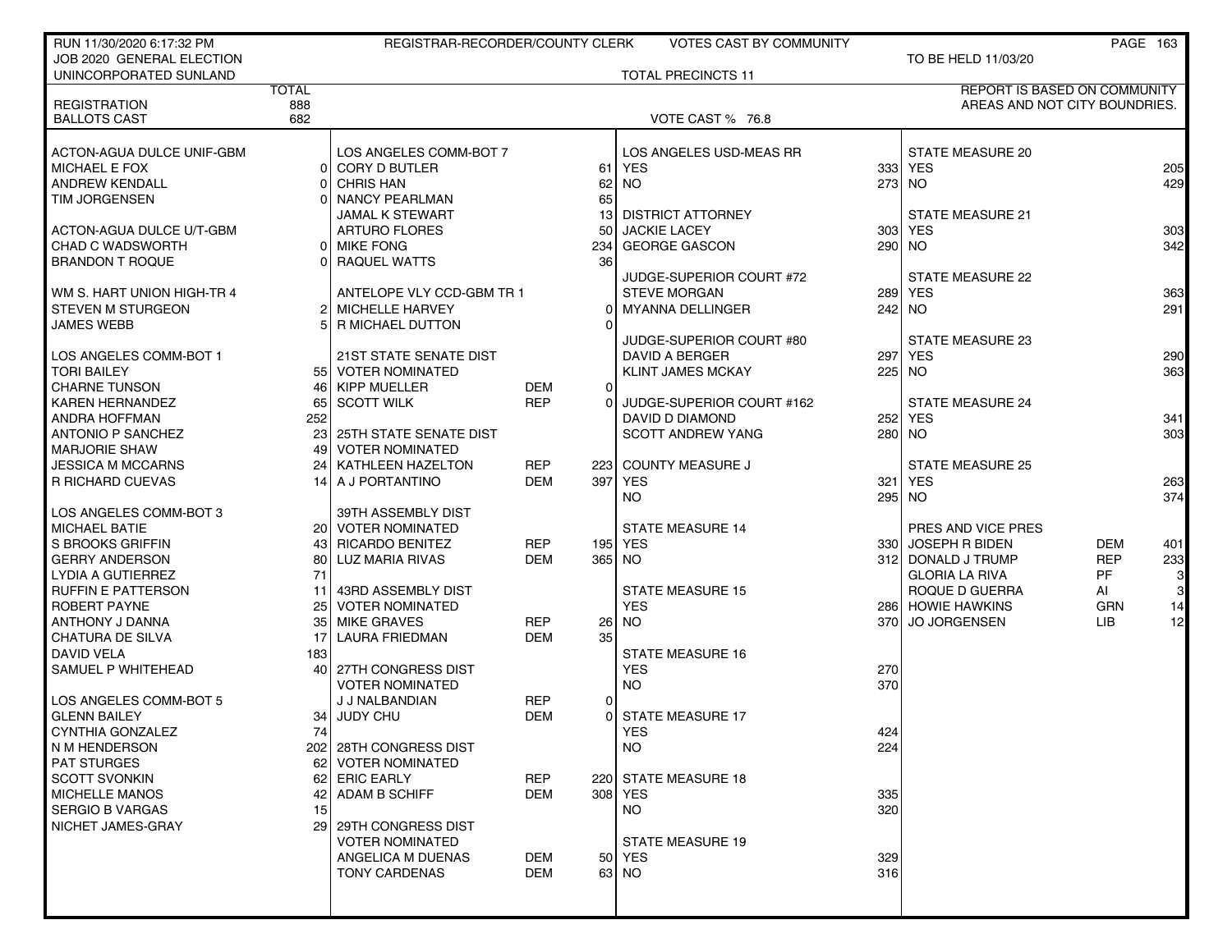| JOB 2020 GENERAL ELECTION<br>TO BE HELD 11/03/20<br><b>TOTAL PRECINCTS 11</b><br>UNINCORPORATED SUNLAND<br><b>TOTAL</b><br>REPORT IS BASED ON COMMUNITY<br><b>REGISTRATION</b><br>888<br>AREAS AND NOT CITY BOUNDRIES.<br>682<br><b>BALLOTS CAST</b><br>VOTE CAST % 76.8<br>ACTON-AGUA DULCE UNIF-GBM<br>LOS ANGELES COMM-BOT 7<br>LOS ANGELES USD-MEAS RR<br><b>STATE MEASURE 20</b><br><b>MICHAEL E FOX</b><br>0 CORY D BUTLER<br><b>YES</b><br>333 YES<br>61<br>205<br><b>NO</b><br><b>ANDREW KENDALL</b><br><b>CHRIS HAN</b><br>62<br>273 NO<br>429<br>65<br><b>TIM JORGENSEN</b><br><b>NANCY PEARLMAN</b><br><b>JAMAL K STEWART</b><br><b>DISTRICT ATTORNEY</b><br><b>STATE MEASURE 21</b><br>13<br><b>JACKIE LACEY</b><br>303 <sub>1</sub><br><b>YES</b><br><b>ARTURO FLORES</b><br>50<br>303<br>ACTON-AGUA DULCE U/T-GBM<br>342<br><b>CHAD C WADSWORTH</b><br><b>GEORGE GASCON</b><br>290 NO<br>0 MIKE FONG<br>234<br>36<br><b>BRANDON T ROQUE</b><br>RAQUEL WATTS<br><b>STATE MEASURE 22</b><br>JUDGE-SUPERIOR COURT #72<br>289 YES<br>363<br>  WM S. HART UNION HIGH-TR 4<br>ANTELOPE VLY CCD-GBM TR 1<br><b>STEVE MORGAN</b><br>$242$ NO<br>291<br><b>STEVEN M STURGEON</b><br>2 MICHELLE HARVEY<br>MYANNA DELLINGER<br>$\Omega$<br><b>JAMES WEBB</b><br>R MICHAEL DUTTON<br>$\Omega$<br>JUDGE-SUPERIOR COURT #80<br>STATE MEASURE 23<br>DAVID A BERGER<br>297 YES<br>290<br>LOS ANGELES COMM-BOT 1<br><b>21ST STATE SENATE DIST</b><br><b>TORI BAILEY</b><br>55 VOTER NOMINATED<br>363<br><b>KLINT JAMES MCKAY</b><br>225 NO<br><b>KIPP MUELLER</b><br><b>CHARNE TUNSON</b><br>DEM<br>46 I<br>$\overline{0}$<br><b>REP</b><br>JUDGE-SUPERIOR COURT #162<br><b>STATE MEASURE 24</b><br><b>KAREN HERNANDEZ</b><br>65 SCOTT WILK<br>$\Omega$<br><b>ANDRA HOFFMAN</b><br>252<br><b>DAVID D DIAMOND</b><br>252 YES<br>341<br>303<br><b>ANTONIO P SANCHEZ</b><br>23 25TH STATE SENATE DIST<br><b>SCOTT ANDREW YANG</b><br>280 NO<br><b>MARJORIE SHAW</b><br><b>VOTER NOMINATED</b><br>49<br><b>REP</b><br>COUNTY MEASURE J<br><b>STATE MEASURE 25</b><br><b>JESSICA M MCCARNS</b><br>24<br>KATHLEEN HAZELTON<br>223<br><b>DEM</b><br>397<br><b>YES</b><br>321<br><b>YES</b><br>263<br>R RICHARD CUEVAS<br>A J PORTANTINO<br>14<br>374<br>NO.<br>295 NO<br>LOS ANGELES COMM-BOT 3<br>39TH ASSEMBLY DIST<br><b>MICHAEL BATIE</b><br>20 VOTER NOMINATED<br><b>STATE MEASURE 14</b><br>PRES AND VICE PRES<br>S BROOKS GRIFFIN<br>RICARDO BENITEZ<br>195 YES<br>330 JOSEPH R BIDEN<br>REP<br>DEM<br>401<br>43<br><b>REP</b><br><b>GERRY ANDERSON</b><br><b>DEM</b><br>  LUZ MARIA RIVAS<br>365 NO<br>312 DONALD J TRUMP<br>233<br>80<br>71<br><b>GLORIA LA RIVA</b><br><b>PF</b><br>$\mathbf{3}$<br>LYDIA A GUTIERREZ<br>$\mathbf{3}$<br><b>RUFFIN E PATTERSON</b><br><b>STATE MEASURE 15</b><br>43RD ASSEMBLY DIST<br>ROQUE D GUERRA<br>AI<br>11<br>14<br><b>VOTER NOMINATED</b><br>ROBERT PAYNE<br>25<br><b>YES</b><br>286 HOWIE HAWKINS<br><b>GRN</b><br><b>NO</b><br><b>MIKE GRAVES</b><br><b>LIB</b><br>12<br>ANTHONY J DANNA<br>35<br>REP<br>370 JO JORGENSEN<br><b>26</b><br><b>DEM</b><br>35<br><b>CHATURA DE SILVA</b><br>17<br>LAURA FRIEDMAN<br>DAVID VELA<br>183<br><b>STATE MEASURE 16</b><br>SAMUEL P WHITEHEAD<br><b>YES</b><br>270<br>40 27TH CONGRESS DIST<br>370<br><b>NO</b><br><b>VOTER NOMINATED</b><br>J J NALBANDIAN<br>REP<br>0<br>JUDY CHU<br><b>GLENN BAILEY</b><br>34 <sub>1</sub><br>DEM<br><b>STATE MEASURE 17</b><br>$\Omega$<br>CYNTHIA GONZALEZ<br>741<br>YES<br>424<br><b>NO</b><br>224<br>202 28TH CONGRESS DIST<br><b>PAT STURGES</b><br>62 VOTER NOMINATED<br><b>REP</b><br><b>SCOTT SVONKIN</b><br>62 ERIC EARLY<br>220 STATE MEASURE 18<br>MICHELLE MANOS<br>ADAM B SCHIFF<br><b>DEM</b><br>308 YES<br>42<br>335<br><b>SERGIO B VARGAS</b><br>320<br>15<br>NO.<br>NICHET JAMES-GRAY<br>29 29TH CONGRESS DIST<br><b>VOTER NOMINATED</b><br><b>STATE MEASURE 19</b><br>ANGELICA M DUENAS<br>DEM<br>50 YES<br>329<br><b>DEM</b><br>63 NO<br>316<br><b>TONY CARDENAS</b> | RUN 11/30/2020 6:17:32 PM | REGISTRAR-RECORDER/COUNTY CLERK |  | <b>VOTES CAST BY COMMUNITY</b> |  | PAGE 163 |  |
|------------------------------------------------------------------------------------------------------------------------------------------------------------------------------------------------------------------------------------------------------------------------------------------------------------------------------------------------------------------------------------------------------------------------------------------------------------------------------------------------------------------------------------------------------------------------------------------------------------------------------------------------------------------------------------------------------------------------------------------------------------------------------------------------------------------------------------------------------------------------------------------------------------------------------------------------------------------------------------------------------------------------------------------------------------------------------------------------------------------------------------------------------------------------------------------------------------------------------------------------------------------------------------------------------------------------------------------------------------------------------------------------------------------------------------------------------------------------------------------------------------------------------------------------------------------------------------------------------------------------------------------------------------------------------------------------------------------------------------------------------------------------------------------------------------------------------------------------------------------------------------------------------------------------------------------------------------------------------------------------------------------------------------------------------------------------------------------------------------------------------------------------------------------------------------------------------------------------------------------------------------------------------------------------------------------------------------------------------------------------------------------------------------------------------------------------------------------------------------------------------------------------------------------------------------------------------------------------------------------------------------------------------------------------------------------------------------------------------------------------------------------------------------------------------------------------------------------------------------------------------------------------------------------------------------------------------------------------------------------------------------------------------------------------------------------------------------------------------------------------------------------------------------------------------------------------------------------------------------------------------------------------------------------------------------------------------------------------------------------------------------------------------------------------------------------------------------------------------------------------------------------------------------------------------------------------------------------------------------------------------------------------------------------------------------------------------------------------------------------------------------------------------------------------------------------------------------------------------------------------------------------------------------------------------------------------------------------------------------------------------------|---------------------------|---------------------------------|--|--------------------------------|--|----------|--|
|                                                                                                                                                                                                                                                                                                                                                                                                                                                                                                                                                                                                                                                                                                                                                                                                                                                                                                                                                                                                                                                                                                                                                                                                                                                                                                                                                                                                                                                                                                                                                                                                                                                                                                                                                                                                                                                                                                                                                                                                                                                                                                                                                                                                                                                                                                                                                                                                                                                                                                                                                                                                                                                                                                                                                                                                                                                                                                                                                                                                                                                                                                                                                                                                                                                                                                                                                                                                                                                                                                                                                                                                                                                                                                                                                                                                                                                                                                                                                                                                            |                           |                                 |  |                                |  |          |  |
|                                                                                                                                                                                                                                                                                                                                                                                                                                                                                                                                                                                                                                                                                                                                                                                                                                                                                                                                                                                                                                                                                                                                                                                                                                                                                                                                                                                                                                                                                                                                                                                                                                                                                                                                                                                                                                                                                                                                                                                                                                                                                                                                                                                                                                                                                                                                                                                                                                                                                                                                                                                                                                                                                                                                                                                                                                                                                                                                                                                                                                                                                                                                                                                                                                                                                                                                                                                                                                                                                                                                                                                                                                                                                                                                                                                                                                                                                                                                                                                                            |                           |                                 |  |                                |  |          |  |
|                                                                                                                                                                                                                                                                                                                                                                                                                                                                                                                                                                                                                                                                                                                                                                                                                                                                                                                                                                                                                                                                                                                                                                                                                                                                                                                                                                                                                                                                                                                                                                                                                                                                                                                                                                                                                                                                                                                                                                                                                                                                                                                                                                                                                                                                                                                                                                                                                                                                                                                                                                                                                                                                                                                                                                                                                                                                                                                                                                                                                                                                                                                                                                                                                                                                                                                                                                                                                                                                                                                                                                                                                                                                                                                                                                                                                                                                                                                                                                                                            |                           |                                 |  |                                |  |          |  |
|                                                                                                                                                                                                                                                                                                                                                                                                                                                                                                                                                                                                                                                                                                                                                                                                                                                                                                                                                                                                                                                                                                                                                                                                                                                                                                                                                                                                                                                                                                                                                                                                                                                                                                                                                                                                                                                                                                                                                                                                                                                                                                                                                                                                                                                                                                                                                                                                                                                                                                                                                                                                                                                                                                                                                                                                                                                                                                                                                                                                                                                                                                                                                                                                                                                                                                                                                                                                                                                                                                                                                                                                                                                                                                                                                                                                                                                                                                                                                                                                            |                           |                                 |  |                                |  |          |  |
|                                                                                                                                                                                                                                                                                                                                                                                                                                                                                                                                                                                                                                                                                                                                                                                                                                                                                                                                                                                                                                                                                                                                                                                                                                                                                                                                                                                                                                                                                                                                                                                                                                                                                                                                                                                                                                                                                                                                                                                                                                                                                                                                                                                                                                                                                                                                                                                                                                                                                                                                                                                                                                                                                                                                                                                                                                                                                                                                                                                                                                                                                                                                                                                                                                                                                                                                                                                                                                                                                                                                                                                                                                                                                                                                                                                                                                                                                                                                                                                                            |                           |                                 |  |                                |  |          |  |
|                                                                                                                                                                                                                                                                                                                                                                                                                                                                                                                                                                                                                                                                                                                                                                                                                                                                                                                                                                                                                                                                                                                                                                                                                                                                                                                                                                                                                                                                                                                                                                                                                                                                                                                                                                                                                                                                                                                                                                                                                                                                                                                                                                                                                                                                                                                                                                                                                                                                                                                                                                                                                                                                                                                                                                                                                                                                                                                                                                                                                                                                                                                                                                                                                                                                                                                                                                                                                                                                                                                                                                                                                                                                                                                                                                                                                                                                                                                                                                                                            |                           |                                 |  |                                |  |          |  |
|                                                                                                                                                                                                                                                                                                                                                                                                                                                                                                                                                                                                                                                                                                                                                                                                                                                                                                                                                                                                                                                                                                                                                                                                                                                                                                                                                                                                                                                                                                                                                                                                                                                                                                                                                                                                                                                                                                                                                                                                                                                                                                                                                                                                                                                                                                                                                                                                                                                                                                                                                                                                                                                                                                                                                                                                                                                                                                                                                                                                                                                                                                                                                                                                                                                                                                                                                                                                                                                                                                                                                                                                                                                                                                                                                                                                                                                                                                                                                                                                            |                           |                                 |  |                                |  |          |  |
|                                                                                                                                                                                                                                                                                                                                                                                                                                                                                                                                                                                                                                                                                                                                                                                                                                                                                                                                                                                                                                                                                                                                                                                                                                                                                                                                                                                                                                                                                                                                                                                                                                                                                                                                                                                                                                                                                                                                                                                                                                                                                                                                                                                                                                                                                                                                                                                                                                                                                                                                                                                                                                                                                                                                                                                                                                                                                                                                                                                                                                                                                                                                                                                                                                                                                                                                                                                                                                                                                                                                                                                                                                                                                                                                                                                                                                                                                                                                                                                                            |                           |                                 |  |                                |  |          |  |
|                                                                                                                                                                                                                                                                                                                                                                                                                                                                                                                                                                                                                                                                                                                                                                                                                                                                                                                                                                                                                                                                                                                                                                                                                                                                                                                                                                                                                                                                                                                                                                                                                                                                                                                                                                                                                                                                                                                                                                                                                                                                                                                                                                                                                                                                                                                                                                                                                                                                                                                                                                                                                                                                                                                                                                                                                                                                                                                                                                                                                                                                                                                                                                                                                                                                                                                                                                                                                                                                                                                                                                                                                                                                                                                                                                                                                                                                                                                                                                                                            |                           |                                 |  |                                |  |          |  |
|                                                                                                                                                                                                                                                                                                                                                                                                                                                                                                                                                                                                                                                                                                                                                                                                                                                                                                                                                                                                                                                                                                                                                                                                                                                                                                                                                                                                                                                                                                                                                                                                                                                                                                                                                                                                                                                                                                                                                                                                                                                                                                                                                                                                                                                                                                                                                                                                                                                                                                                                                                                                                                                                                                                                                                                                                                                                                                                                                                                                                                                                                                                                                                                                                                                                                                                                                                                                                                                                                                                                                                                                                                                                                                                                                                                                                                                                                                                                                                                                            |                           |                                 |  |                                |  |          |  |
|                                                                                                                                                                                                                                                                                                                                                                                                                                                                                                                                                                                                                                                                                                                                                                                                                                                                                                                                                                                                                                                                                                                                                                                                                                                                                                                                                                                                                                                                                                                                                                                                                                                                                                                                                                                                                                                                                                                                                                                                                                                                                                                                                                                                                                                                                                                                                                                                                                                                                                                                                                                                                                                                                                                                                                                                                                                                                                                                                                                                                                                                                                                                                                                                                                                                                                                                                                                                                                                                                                                                                                                                                                                                                                                                                                                                                                                                                                                                                                                                            |                           |                                 |  |                                |  |          |  |
|                                                                                                                                                                                                                                                                                                                                                                                                                                                                                                                                                                                                                                                                                                                                                                                                                                                                                                                                                                                                                                                                                                                                                                                                                                                                                                                                                                                                                                                                                                                                                                                                                                                                                                                                                                                                                                                                                                                                                                                                                                                                                                                                                                                                                                                                                                                                                                                                                                                                                                                                                                                                                                                                                                                                                                                                                                                                                                                                                                                                                                                                                                                                                                                                                                                                                                                                                                                                                                                                                                                                                                                                                                                                                                                                                                                                                                                                                                                                                                                                            |                           |                                 |  |                                |  |          |  |
|                                                                                                                                                                                                                                                                                                                                                                                                                                                                                                                                                                                                                                                                                                                                                                                                                                                                                                                                                                                                                                                                                                                                                                                                                                                                                                                                                                                                                                                                                                                                                                                                                                                                                                                                                                                                                                                                                                                                                                                                                                                                                                                                                                                                                                                                                                                                                                                                                                                                                                                                                                                                                                                                                                                                                                                                                                                                                                                                                                                                                                                                                                                                                                                                                                                                                                                                                                                                                                                                                                                                                                                                                                                                                                                                                                                                                                                                                                                                                                                                            |                           |                                 |  |                                |  |          |  |
|                                                                                                                                                                                                                                                                                                                                                                                                                                                                                                                                                                                                                                                                                                                                                                                                                                                                                                                                                                                                                                                                                                                                                                                                                                                                                                                                                                                                                                                                                                                                                                                                                                                                                                                                                                                                                                                                                                                                                                                                                                                                                                                                                                                                                                                                                                                                                                                                                                                                                                                                                                                                                                                                                                                                                                                                                                                                                                                                                                                                                                                                                                                                                                                                                                                                                                                                                                                                                                                                                                                                                                                                                                                                                                                                                                                                                                                                                                                                                                                                            |                           |                                 |  |                                |  |          |  |
|                                                                                                                                                                                                                                                                                                                                                                                                                                                                                                                                                                                                                                                                                                                                                                                                                                                                                                                                                                                                                                                                                                                                                                                                                                                                                                                                                                                                                                                                                                                                                                                                                                                                                                                                                                                                                                                                                                                                                                                                                                                                                                                                                                                                                                                                                                                                                                                                                                                                                                                                                                                                                                                                                                                                                                                                                                                                                                                                                                                                                                                                                                                                                                                                                                                                                                                                                                                                                                                                                                                                                                                                                                                                                                                                                                                                                                                                                                                                                                                                            |                           |                                 |  |                                |  |          |  |
|                                                                                                                                                                                                                                                                                                                                                                                                                                                                                                                                                                                                                                                                                                                                                                                                                                                                                                                                                                                                                                                                                                                                                                                                                                                                                                                                                                                                                                                                                                                                                                                                                                                                                                                                                                                                                                                                                                                                                                                                                                                                                                                                                                                                                                                                                                                                                                                                                                                                                                                                                                                                                                                                                                                                                                                                                                                                                                                                                                                                                                                                                                                                                                                                                                                                                                                                                                                                                                                                                                                                                                                                                                                                                                                                                                                                                                                                                                                                                                                                            |                           |                                 |  |                                |  |          |  |
|                                                                                                                                                                                                                                                                                                                                                                                                                                                                                                                                                                                                                                                                                                                                                                                                                                                                                                                                                                                                                                                                                                                                                                                                                                                                                                                                                                                                                                                                                                                                                                                                                                                                                                                                                                                                                                                                                                                                                                                                                                                                                                                                                                                                                                                                                                                                                                                                                                                                                                                                                                                                                                                                                                                                                                                                                                                                                                                                                                                                                                                                                                                                                                                                                                                                                                                                                                                                                                                                                                                                                                                                                                                                                                                                                                                                                                                                                                                                                                                                            |                           |                                 |  |                                |  |          |  |
|                                                                                                                                                                                                                                                                                                                                                                                                                                                                                                                                                                                                                                                                                                                                                                                                                                                                                                                                                                                                                                                                                                                                                                                                                                                                                                                                                                                                                                                                                                                                                                                                                                                                                                                                                                                                                                                                                                                                                                                                                                                                                                                                                                                                                                                                                                                                                                                                                                                                                                                                                                                                                                                                                                                                                                                                                                                                                                                                                                                                                                                                                                                                                                                                                                                                                                                                                                                                                                                                                                                                                                                                                                                                                                                                                                                                                                                                                                                                                                                                            |                           |                                 |  |                                |  |          |  |
|                                                                                                                                                                                                                                                                                                                                                                                                                                                                                                                                                                                                                                                                                                                                                                                                                                                                                                                                                                                                                                                                                                                                                                                                                                                                                                                                                                                                                                                                                                                                                                                                                                                                                                                                                                                                                                                                                                                                                                                                                                                                                                                                                                                                                                                                                                                                                                                                                                                                                                                                                                                                                                                                                                                                                                                                                                                                                                                                                                                                                                                                                                                                                                                                                                                                                                                                                                                                                                                                                                                                                                                                                                                                                                                                                                                                                                                                                                                                                                                                            |                           |                                 |  |                                |  |          |  |
|                                                                                                                                                                                                                                                                                                                                                                                                                                                                                                                                                                                                                                                                                                                                                                                                                                                                                                                                                                                                                                                                                                                                                                                                                                                                                                                                                                                                                                                                                                                                                                                                                                                                                                                                                                                                                                                                                                                                                                                                                                                                                                                                                                                                                                                                                                                                                                                                                                                                                                                                                                                                                                                                                                                                                                                                                                                                                                                                                                                                                                                                                                                                                                                                                                                                                                                                                                                                                                                                                                                                                                                                                                                                                                                                                                                                                                                                                                                                                                                                            |                           |                                 |  |                                |  |          |  |
|                                                                                                                                                                                                                                                                                                                                                                                                                                                                                                                                                                                                                                                                                                                                                                                                                                                                                                                                                                                                                                                                                                                                                                                                                                                                                                                                                                                                                                                                                                                                                                                                                                                                                                                                                                                                                                                                                                                                                                                                                                                                                                                                                                                                                                                                                                                                                                                                                                                                                                                                                                                                                                                                                                                                                                                                                                                                                                                                                                                                                                                                                                                                                                                                                                                                                                                                                                                                                                                                                                                                                                                                                                                                                                                                                                                                                                                                                                                                                                                                            |                           |                                 |  |                                |  |          |  |
|                                                                                                                                                                                                                                                                                                                                                                                                                                                                                                                                                                                                                                                                                                                                                                                                                                                                                                                                                                                                                                                                                                                                                                                                                                                                                                                                                                                                                                                                                                                                                                                                                                                                                                                                                                                                                                                                                                                                                                                                                                                                                                                                                                                                                                                                                                                                                                                                                                                                                                                                                                                                                                                                                                                                                                                                                                                                                                                                                                                                                                                                                                                                                                                                                                                                                                                                                                                                                                                                                                                                                                                                                                                                                                                                                                                                                                                                                                                                                                                                            |                           |                                 |  |                                |  |          |  |
|                                                                                                                                                                                                                                                                                                                                                                                                                                                                                                                                                                                                                                                                                                                                                                                                                                                                                                                                                                                                                                                                                                                                                                                                                                                                                                                                                                                                                                                                                                                                                                                                                                                                                                                                                                                                                                                                                                                                                                                                                                                                                                                                                                                                                                                                                                                                                                                                                                                                                                                                                                                                                                                                                                                                                                                                                                                                                                                                                                                                                                                                                                                                                                                                                                                                                                                                                                                                                                                                                                                                                                                                                                                                                                                                                                                                                                                                                                                                                                                                            |                           |                                 |  |                                |  |          |  |
|                                                                                                                                                                                                                                                                                                                                                                                                                                                                                                                                                                                                                                                                                                                                                                                                                                                                                                                                                                                                                                                                                                                                                                                                                                                                                                                                                                                                                                                                                                                                                                                                                                                                                                                                                                                                                                                                                                                                                                                                                                                                                                                                                                                                                                                                                                                                                                                                                                                                                                                                                                                                                                                                                                                                                                                                                                                                                                                                                                                                                                                                                                                                                                                                                                                                                                                                                                                                                                                                                                                                                                                                                                                                                                                                                                                                                                                                                                                                                                                                            |                           |                                 |  |                                |  |          |  |
|                                                                                                                                                                                                                                                                                                                                                                                                                                                                                                                                                                                                                                                                                                                                                                                                                                                                                                                                                                                                                                                                                                                                                                                                                                                                                                                                                                                                                                                                                                                                                                                                                                                                                                                                                                                                                                                                                                                                                                                                                                                                                                                                                                                                                                                                                                                                                                                                                                                                                                                                                                                                                                                                                                                                                                                                                                                                                                                                                                                                                                                                                                                                                                                                                                                                                                                                                                                                                                                                                                                                                                                                                                                                                                                                                                                                                                                                                                                                                                                                            |                           |                                 |  |                                |  |          |  |
|                                                                                                                                                                                                                                                                                                                                                                                                                                                                                                                                                                                                                                                                                                                                                                                                                                                                                                                                                                                                                                                                                                                                                                                                                                                                                                                                                                                                                                                                                                                                                                                                                                                                                                                                                                                                                                                                                                                                                                                                                                                                                                                                                                                                                                                                                                                                                                                                                                                                                                                                                                                                                                                                                                                                                                                                                                                                                                                                                                                                                                                                                                                                                                                                                                                                                                                                                                                                                                                                                                                                                                                                                                                                                                                                                                                                                                                                                                                                                                                                            |                           |                                 |  |                                |  |          |  |
|                                                                                                                                                                                                                                                                                                                                                                                                                                                                                                                                                                                                                                                                                                                                                                                                                                                                                                                                                                                                                                                                                                                                                                                                                                                                                                                                                                                                                                                                                                                                                                                                                                                                                                                                                                                                                                                                                                                                                                                                                                                                                                                                                                                                                                                                                                                                                                                                                                                                                                                                                                                                                                                                                                                                                                                                                                                                                                                                                                                                                                                                                                                                                                                                                                                                                                                                                                                                                                                                                                                                                                                                                                                                                                                                                                                                                                                                                                                                                                                                            |                           |                                 |  |                                |  |          |  |
|                                                                                                                                                                                                                                                                                                                                                                                                                                                                                                                                                                                                                                                                                                                                                                                                                                                                                                                                                                                                                                                                                                                                                                                                                                                                                                                                                                                                                                                                                                                                                                                                                                                                                                                                                                                                                                                                                                                                                                                                                                                                                                                                                                                                                                                                                                                                                                                                                                                                                                                                                                                                                                                                                                                                                                                                                                                                                                                                                                                                                                                                                                                                                                                                                                                                                                                                                                                                                                                                                                                                                                                                                                                                                                                                                                                                                                                                                                                                                                                                            |                           |                                 |  |                                |  |          |  |
|                                                                                                                                                                                                                                                                                                                                                                                                                                                                                                                                                                                                                                                                                                                                                                                                                                                                                                                                                                                                                                                                                                                                                                                                                                                                                                                                                                                                                                                                                                                                                                                                                                                                                                                                                                                                                                                                                                                                                                                                                                                                                                                                                                                                                                                                                                                                                                                                                                                                                                                                                                                                                                                                                                                                                                                                                                                                                                                                                                                                                                                                                                                                                                                                                                                                                                                                                                                                                                                                                                                                                                                                                                                                                                                                                                                                                                                                                                                                                                                                            |                           |                                 |  |                                |  |          |  |
|                                                                                                                                                                                                                                                                                                                                                                                                                                                                                                                                                                                                                                                                                                                                                                                                                                                                                                                                                                                                                                                                                                                                                                                                                                                                                                                                                                                                                                                                                                                                                                                                                                                                                                                                                                                                                                                                                                                                                                                                                                                                                                                                                                                                                                                                                                                                                                                                                                                                                                                                                                                                                                                                                                                                                                                                                                                                                                                                                                                                                                                                                                                                                                                                                                                                                                                                                                                                                                                                                                                                                                                                                                                                                                                                                                                                                                                                                                                                                                                                            |                           |                                 |  |                                |  |          |  |
|                                                                                                                                                                                                                                                                                                                                                                                                                                                                                                                                                                                                                                                                                                                                                                                                                                                                                                                                                                                                                                                                                                                                                                                                                                                                                                                                                                                                                                                                                                                                                                                                                                                                                                                                                                                                                                                                                                                                                                                                                                                                                                                                                                                                                                                                                                                                                                                                                                                                                                                                                                                                                                                                                                                                                                                                                                                                                                                                                                                                                                                                                                                                                                                                                                                                                                                                                                                                                                                                                                                                                                                                                                                                                                                                                                                                                                                                                                                                                                                                            |                           |                                 |  |                                |  |          |  |
|                                                                                                                                                                                                                                                                                                                                                                                                                                                                                                                                                                                                                                                                                                                                                                                                                                                                                                                                                                                                                                                                                                                                                                                                                                                                                                                                                                                                                                                                                                                                                                                                                                                                                                                                                                                                                                                                                                                                                                                                                                                                                                                                                                                                                                                                                                                                                                                                                                                                                                                                                                                                                                                                                                                                                                                                                                                                                                                                                                                                                                                                                                                                                                                                                                                                                                                                                                                                                                                                                                                                                                                                                                                                                                                                                                                                                                                                                                                                                                                                            |                           |                                 |  |                                |  |          |  |
|                                                                                                                                                                                                                                                                                                                                                                                                                                                                                                                                                                                                                                                                                                                                                                                                                                                                                                                                                                                                                                                                                                                                                                                                                                                                                                                                                                                                                                                                                                                                                                                                                                                                                                                                                                                                                                                                                                                                                                                                                                                                                                                                                                                                                                                                                                                                                                                                                                                                                                                                                                                                                                                                                                                                                                                                                                                                                                                                                                                                                                                                                                                                                                                                                                                                                                                                                                                                                                                                                                                                                                                                                                                                                                                                                                                                                                                                                                                                                                                                            |                           |                                 |  |                                |  |          |  |
|                                                                                                                                                                                                                                                                                                                                                                                                                                                                                                                                                                                                                                                                                                                                                                                                                                                                                                                                                                                                                                                                                                                                                                                                                                                                                                                                                                                                                                                                                                                                                                                                                                                                                                                                                                                                                                                                                                                                                                                                                                                                                                                                                                                                                                                                                                                                                                                                                                                                                                                                                                                                                                                                                                                                                                                                                                                                                                                                                                                                                                                                                                                                                                                                                                                                                                                                                                                                                                                                                                                                                                                                                                                                                                                                                                                                                                                                                                                                                                                                            |                           |                                 |  |                                |  |          |  |
|                                                                                                                                                                                                                                                                                                                                                                                                                                                                                                                                                                                                                                                                                                                                                                                                                                                                                                                                                                                                                                                                                                                                                                                                                                                                                                                                                                                                                                                                                                                                                                                                                                                                                                                                                                                                                                                                                                                                                                                                                                                                                                                                                                                                                                                                                                                                                                                                                                                                                                                                                                                                                                                                                                                                                                                                                                                                                                                                                                                                                                                                                                                                                                                                                                                                                                                                                                                                                                                                                                                                                                                                                                                                                                                                                                                                                                                                                                                                                                                                            |                           |                                 |  |                                |  |          |  |
|                                                                                                                                                                                                                                                                                                                                                                                                                                                                                                                                                                                                                                                                                                                                                                                                                                                                                                                                                                                                                                                                                                                                                                                                                                                                                                                                                                                                                                                                                                                                                                                                                                                                                                                                                                                                                                                                                                                                                                                                                                                                                                                                                                                                                                                                                                                                                                                                                                                                                                                                                                                                                                                                                                                                                                                                                                                                                                                                                                                                                                                                                                                                                                                                                                                                                                                                                                                                                                                                                                                                                                                                                                                                                                                                                                                                                                                                                                                                                                                                            |                           |                                 |  |                                |  |          |  |
|                                                                                                                                                                                                                                                                                                                                                                                                                                                                                                                                                                                                                                                                                                                                                                                                                                                                                                                                                                                                                                                                                                                                                                                                                                                                                                                                                                                                                                                                                                                                                                                                                                                                                                                                                                                                                                                                                                                                                                                                                                                                                                                                                                                                                                                                                                                                                                                                                                                                                                                                                                                                                                                                                                                                                                                                                                                                                                                                                                                                                                                                                                                                                                                                                                                                                                                                                                                                                                                                                                                                                                                                                                                                                                                                                                                                                                                                                                                                                                                                            |                           |                                 |  |                                |  |          |  |
|                                                                                                                                                                                                                                                                                                                                                                                                                                                                                                                                                                                                                                                                                                                                                                                                                                                                                                                                                                                                                                                                                                                                                                                                                                                                                                                                                                                                                                                                                                                                                                                                                                                                                                                                                                                                                                                                                                                                                                                                                                                                                                                                                                                                                                                                                                                                                                                                                                                                                                                                                                                                                                                                                                                                                                                                                                                                                                                                                                                                                                                                                                                                                                                                                                                                                                                                                                                                                                                                                                                                                                                                                                                                                                                                                                                                                                                                                                                                                                                                            |                           |                                 |  |                                |  |          |  |
|                                                                                                                                                                                                                                                                                                                                                                                                                                                                                                                                                                                                                                                                                                                                                                                                                                                                                                                                                                                                                                                                                                                                                                                                                                                                                                                                                                                                                                                                                                                                                                                                                                                                                                                                                                                                                                                                                                                                                                                                                                                                                                                                                                                                                                                                                                                                                                                                                                                                                                                                                                                                                                                                                                                                                                                                                                                                                                                                                                                                                                                                                                                                                                                                                                                                                                                                                                                                                                                                                                                                                                                                                                                                                                                                                                                                                                                                                                                                                                                                            |                           |                                 |  |                                |  |          |  |
|                                                                                                                                                                                                                                                                                                                                                                                                                                                                                                                                                                                                                                                                                                                                                                                                                                                                                                                                                                                                                                                                                                                                                                                                                                                                                                                                                                                                                                                                                                                                                                                                                                                                                                                                                                                                                                                                                                                                                                                                                                                                                                                                                                                                                                                                                                                                                                                                                                                                                                                                                                                                                                                                                                                                                                                                                                                                                                                                                                                                                                                                                                                                                                                                                                                                                                                                                                                                                                                                                                                                                                                                                                                                                                                                                                                                                                                                                                                                                                                                            |                           |                                 |  |                                |  |          |  |
|                                                                                                                                                                                                                                                                                                                                                                                                                                                                                                                                                                                                                                                                                                                                                                                                                                                                                                                                                                                                                                                                                                                                                                                                                                                                                                                                                                                                                                                                                                                                                                                                                                                                                                                                                                                                                                                                                                                                                                                                                                                                                                                                                                                                                                                                                                                                                                                                                                                                                                                                                                                                                                                                                                                                                                                                                                                                                                                                                                                                                                                                                                                                                                                                                                                                                                                                                                                                                                                                                                                                                                                                                                                                                                                                                                                                                                                                                                                                                                                                            | LOS ANGELES COMM-BOT 5    |                                 |  |                                |  |          |  |
|                                                                                                                                                                                                                                                                                                                                                                                                                                                                                                                                                                                                                                                                                                                                                                                                                                                                                                                                                                                                                                                                                                                                                                                                                                                                                                                                                                                                                                                                                                                                                                                                                                                                                                                                                                                                                                                                                                                                                                                                                                                                                                                                                                                                                                                                                                                                                                                                                                                                                                                                                                                                                                                                                                                                                                                                                                                                                                                                                                                                                                                                                                                                                                                                                                                                                                                                                                                                                                                                                                                                                                                                                                                                                                                                                                                                                                                                                                                                                                                                            |                           |                                 |  |                                |  |          |  |
|                                                                                                                                                                                                                                                                                                                                                                                                                                                                                                                                                                                                                                                                                                                                                                                                                                                                                                                                                                                                                                                                                                                                                                                                                                                                                                                                                                                                                                                                                                                                                                                                                                                                                                                                                                                                                                                                                                                                                                                                                                                                                                                                                                                                                                                                                                                                                                                                                                                                                                                                                                                                                                                                                                                                                                                                                                                                                                                                                                                                                                                                                                                                                                                                                                                                                                                                                                                                                                                                                                                                                                                                                                                                                                                                                                                                                                                                                                                                                                                                            |                           |                                 |  |                                |  |          |  |
|                                                                                                                                                                                                                                                                                                                                                                                                                                                                                                                                                                                                                                                                                                                                                                                                                                                                                                                                                                                                                                                                                                                                                                                                                                                                                                                                                                                                                                                                                                                                                                                                                                                                                                                                                                                                                                                                                                                                                                                                                                                                                                                                                                                                                                                                                                                                                                                                                                                                                                                                                                                                                                                                                                                                                                                                                                                                                                                                                                                                                                                                                                                                                                                                                                                                                                                                                                                                                                                                                                                                                                                                                                                                                                                                                                                                                                                                                                                                                                                                            | N M HENDERSON             |                                 |  |                                |  |          |  |
|                                                                                                                                                                                                                                                                                                                                                                                                                                                                                                                                                                                                                                                                                                                                                                                                                                                                                                                                                                                                                                                                                                                                                                                                                                                                                                                                                                                                                                                                                                                                                                                                                                                                                                                                                                                                                                                                                                                                                                                                                                                                                                                                                                                                                                                                                                                                                                                                                                                                                                                                                                                                                                                                                                                                                                                                                                                                                                                                                                                                                                                                                                                                                                                                                                                                                                                                                                                                                                                                                                                                                                                                                                                                                                                                                                                                                                                                                                                                                                                                            |                           |                                 |  |                                |  |          |  |
|                                                                                                                                                                                                                                                                                                                                                                                                                                                                                                                                                                                                                                                                                                                                                                                                                                                                                                                                                                                                                                                                                                                                                                                                                                                                                                                                                                                                                                                                                                                                                                                                                                                                                                                                                                                                                                                                                                                                                                                                                                                                                                                                                                                                                                                                                                                                                                                                                                                                                                                                                                                                                                                                                                                                                                                                                                                                                                                                                                                                                                                                                                                                                                                                                                                                                                                                                                                                                                                                                                                                                                                                                                                                                                                                                                                                                                                                                                                                                                                                            |                           |                                 |  |                                |  |          |  |
|                                                                                                                                                                                                                                                                                                                                                                                                                                                                                                                                                                                                                                                                                                                                                                                                                                                                                                                                                                                                                                                                                                                                                                                                                                                                                                                                                                                                                                                                                                                                                                                                                                                                                                                                                                                                                                                                                                                                                                                                                                                                                                                                                                                                                                                                                                                                                                                                                                                                                                                                                                                                                                                                                                                                                                                                                                                                                                                                                                                                                                                                                                                                                                                                                                                                                                                                                                                                                                                                                                                                                                                                                                                                                                                                                                                                                                                                                                                                                                                                            |                           |                                 |  |                                |  |          |  |
|                                                                                                                                                                                                                                                                                                                                                                                                                                                                                                                                                                                                                                                                                                                                                                                                                                                                                                                                                                                                                                                                                                                                                                                                                                                                                                                                                                                                                                                                                                                                                                                                                                                                                                                                                                                                                                                                                                                                                                                                                                                                                                                                                                                                                                                                                                                                                                                                                                                                                                                                                                                                                                                                                                                                                                                                                                                                                                                                                                                                                                                                                                                                                                                                                                                                                                                                                                                                                                                                                                                                                                                                                                                                                                                                                                                                                                                                                                                                                                                                            |                           |                                 |  |                                |  |          |  |
|                                                                                                                                                                                                                                                                                                                                                                                                                                                                                                                                                                                                                                                                                                                                                                                                                                                                                                                                                                                                                                                                                                                                                                                                                                                                                                                                                                                                                                                                                                                                                                                                                                                                                                                                                                                                                                                                                                                                                                                                                                                                                                                                                                                                                                                                                                                                                                                                                                                                                                                                                                                                                                                                                                                                                                                                                                                                                                                                                                                                                                                                                                                                                                                                                                                                                                                                                                                                                                                                                                                                                                                                                                                                                                                                                                                                                                                                                                                                                                                                            |                           |                                 |  |                                |  |          |  |
|                                                                                                                                                                                                                                                                                                                                                                                                                                                                                                                                                                                                                                                                                                                                                                                                                                                                                                                                                                                                                                                                                                                                                                                                                                                                                                                                                                                                                                                                                                                                                                                                                                                                                                                                                                                                                                                                                                                                                                                                                                                                                                                                                                                                                                                                                                                                                                                                                                                                                                                                                                                                                                                                                                                                                                                                                                                                                                                                                                                                                                                                                                                                                                                                                                                                                                                                                                                                                                                                                                                                                                                                                                                                                                                                                                                                                                                                                                                                                                                                            |                           |                                 |  |                                |  |          |  |
|                                                                                                                                                                                                                                                                                                                                                                                                                                                                                                                                                                                                                                                                                                                                                                                                                                                                                                                                                                                                                                                                                                                                                                                                                                                                                                                                                                                                                                                                                                                                                                                                                                                                                                                                                                                                                                                                                                                                                                                                                                                                                                                                                                                                                                                                                                                                                                                                                                                                                                                                                                                                                                                                                                                                                                                                                                                                                                                                                                                                                                                                                                                                                                                                                                                                                                                                                                                                                                                                                                                                                                                                                                                                                                                                                                                                                                                                                                                                                                                                            |                           |                                 |  |                                |  |          |  |
|                                                                                                                                                                                                                                                                                                                                                                                                                                                                                                                                                                                                                                                                                                                                                                                                                                                                                                                                                                                                                                                                                                                                                                                                                                                                                                                                                                                                                                                                                                                                                                                                                                                                                                                                                                                                                                                                                                                                                                                                                                                                                                                                                                                                                                                                                                                                                                                                                                                                                                                                                                                                                                                                                                                                                                                                                                                                                                                                                                                                                                                                                                                                                                                                                                                                                                                                                                                                                                                                                                                                                                                                                                                                                                                                                                                                                                                                                                                                                                                                            |                           |                                 |  |                                |  |          |  |
|                                                                                                                                                                                                                                                                                                                                                                                                                                                                                                                                                                                                                                                                                                                                                                                                                                                                                                                                                                                                                                                                                                                                                                                                                                                                                                                                                                                                                                                                                                                                                                                                                                                                                                                                                                                                                                                                                                                                                                                                                                                                                                                                                                                                                                                                                                                                                                                                                                                                                                                                                                                                                                                                                                                                                                                                                                                                                                                                                                                                                                                                                                                                                                                                                                                                                                                                                                                                                                                                                                                                                                                                                                                                                                                                                                                                                                                                                                                                                                                                            |                           |                                 |  |                                |  |          |  |
|                                                                                                                                                                                                                                                                                                                                                                                                                                                                                                                                                                                                                                                                                                                                                                                                                                                                                                                                                                                                                                                                                                                                                                                                                                                                                                                                                                                                                                                                                                                                                                                                                                                                                                                                                                                                                                                                                                                                                                                                                                                                                                                                                                                                                                                                                                                                                                                                                                                                                                                                                                                                                                                                                                                                                                                                                                                                                                                                                                                                                                                                                                                                                                                                                                                                                                                                                                                                                                                                                                                                                                                                                                                                                                                                                                                                                                                                                                                                                                                                            |                           |                                 |  |                                |  |          |  |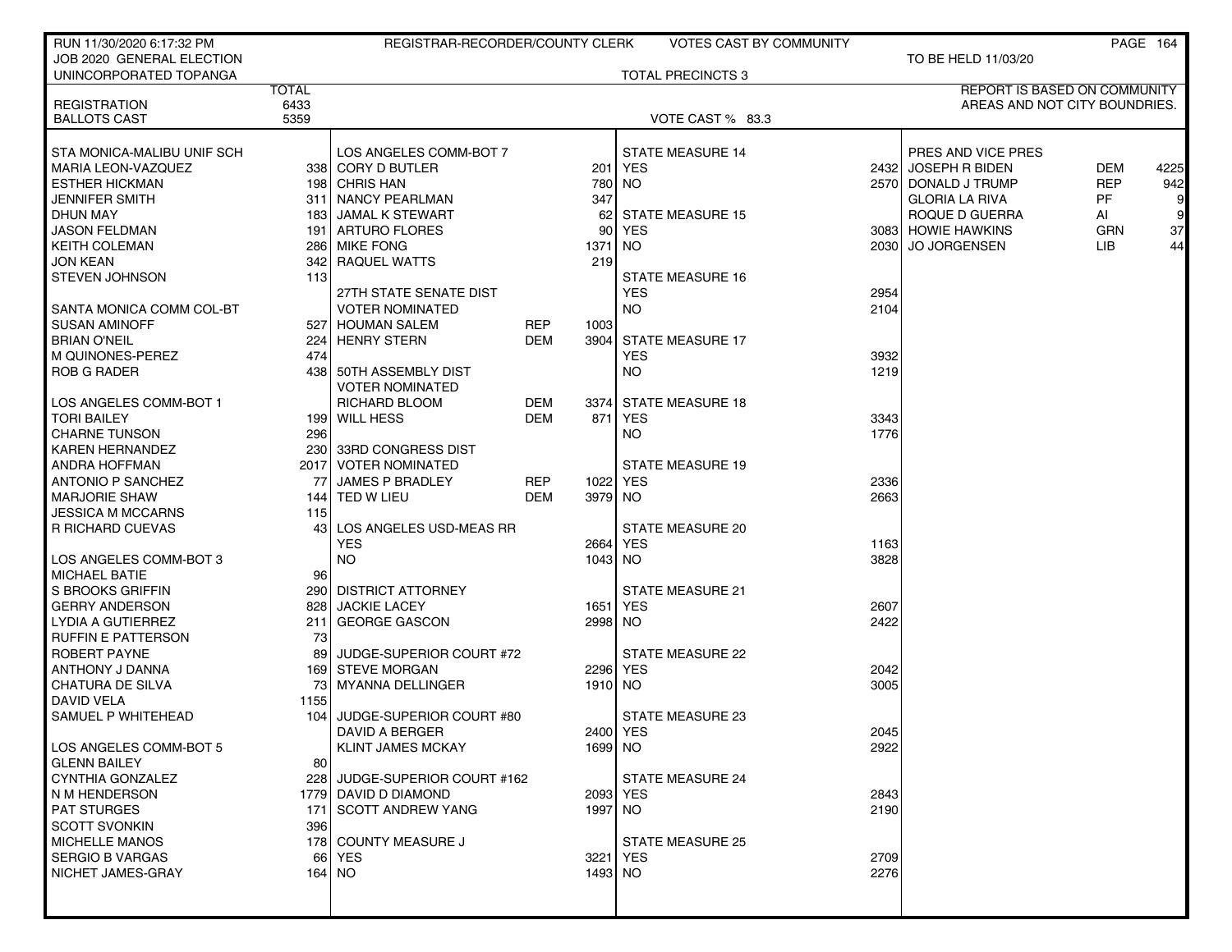| RUN 11/30/2020 6:17:32 PM               |              | REGISTRAR-RECORDER/COUNTY CLERK          |            |             | VOTES CAST BY COMMUNITY  |      |                                         |            | PAGE 164        |
|-----------------------------------------|--------------|------------------------------------------|------------|-------------|--------------------------|------|-----------------------------------------|------------|-----------------|
| JOB 2020 GENERAL ELECTION               |              |                                          |            |             |                          |      | TO BE HELD 11/03/20                     |            |                 |
| UNINCORPORATED TOPANGA                  |              |                                          |            |             | <b>TOTAL PRECINCTS 3</b> |      |                                         |            |                 |
|                                         | <b>TOTAL</b> |                                          |            |             |                          |      | <b>REPORT IS BASED ON COMMUNITY</b>     |            |                 |
| <b>REGISTRATION</b>                     | 6433         |                                          |            |             |                          |      | AREAS AND NOT CITY BOUNDRIES.           |            |                 |
| <b>BALLOTS CAST</b>                     | 5359         |                                          |            |             | VOTE CAST % 83.3         |      |                                         |            |                 |
|                                         |              |                                          |            |             |                          |      |                                         |            |                 |
| STA MONICA-MALIBU UNIF SCH              |              | LOS ANGELES COMM-BOT 7                   |            |             | <b>STATE MEASURE 14</b>  |      | PRES AND VICE PRES                      |            |                 |
| <b>MARIA LEON-VAZQUEZ</b>               |              | 338 CORY D BUTLER                        |            |             | 201 YES                  |      | 2432 JOSEPH R BIDEN                     | DEM        | 4225            |
| <b>ESTHER HICKMAN</b>                   |              | 198 CHRIS HAN                            |            |             | 780 NO                   |      | 2570 DONALD J TRUMP                     | <b>REP</b> | 942             |
| JENNIFER SMITH                          |              | 311 NANCY PEARLMAN                       |            | 347         |                          |      | <b>GLORIA LA RIVA</b>                   | PF         | $\vert 9 \vert$ |
| <b>DHUN MAY</b><br><b>JASON FELDMAN</b> |              | 183 JAMAL K STEWART<br>191 ARTURO FLORES |            | 621<br>90 l | <b>STATE MEASURE 15</b>  |      | ROQUE D GUERRA                          | AI         | 9<br>37         |
| <b>KEITH COLEMAN</b>                    |              | 286 MIKE FONG                            |            | 1371        | YES<br>NO.               |      | 3083 HOWIE HAWKINS<br>2030 JO JORGENSEN | GRN<br>LIB | 44              |
| JON KEAN                                |              | 342 RAQUEL WATTS                         |            | 219         |                          |      |                                         |            |                 |
| <b>STEVEN JOHNSON</b>                   | 113          |                                          |            |             | <b>STATE MEASURE 16</b>  |      |                                         |            |                 |
|                                         |              | 27TH STATE SENATE DIST                   |            |             | <b>YES</b>               | 2954 |                                         |            |                 |
| SANTA MONICA COMM COL-BT                |              | <b>VOTER NOMINATED</b>                   |            |             | <b>NO</b>                | 2104 |                                         |            |                 |
| <b>SUSAN AMINOFF</b>                    | 527          | <b>HOUMAN SALEM</b>                      | REP        | 1003        |                          |      |                                         |            |                 |
| <b>BRIAN O'NEIL</b>                     | 224          | <b>HENRY STERN</b>                       | <b>DEM</b> |             | 3904 STATE MEASURE 17    |      |                                         |            |                 |
| M QUINONES-PEREZ                        | 474          |                                          |            |             | <b>YES</b>               | 3932 |                                         |            |                 |
| <b>ROB G RADER</b>                      |              | 438 50TH ASSEMBLY DIST                   |            |             | NO.                      | 1219 |                                         |            |                 |
|                                         |              | <b>VOTER NOMINATED</b>                   |            |             |                          |      |                                         |            |                 |
| LOS ANGELES COMM-BOT 1                  |              | <b>RICHARD BLOOM</b>                     | DEM        |             | 3374 STATE MEASURE 18    |      |                                         |            |                 |
| <b>TORI BAILEY</b>                      |              | 199 WILL HESS                            | <b>DEM</b> | 871         | YES                      | 3343 |                                         |            |                 |
| <b>CHARNE TUNSON</b>                    | 296 l        |                                          |            |             | NO.                      | 1776 |                                         |            |                 |
| <b>KAREN HERNANDEZ</b>                  |              | 230 33RD CONGRESS DIST                   |            |             |                          |      |                                         |            |                 |
| <b>ANDRA HOFFMAN</b>                    |              | 2017   VOTER NOMINATED                   |            |             | <b>STATE MEASURE 19</b>  |      |                                         |            |                 |
| <b>ANTONIO P SANCHEZ</b>                | 77           | <b>JAMES P BRADLEY</b>                   | <b>REP</b> | 1022 YES    |                          | 2336 |                                         |            |                 |
| <b>MARJORIE SHAW</b>                    |              | 144 TED W LIEU                           | DEM        | 3979 NO     |                          | 2663 |                                         |            |                 |
| JESSICA M MCCARNS                       | 115          |                                          |            |             |                          |      |                                         |            |                 |
| R RICHARD CUEVAS                        | 43           | LOS ANGELES USD-MEAS RR                  |            |             | STATE MEASURE 20         |      |                                         |            |                 |
|                                         |              | <b>YES</b>                               |            |             | 2664 YES                 | 1163 |                                         |            |                 |
| LOS ANGELES COMM-BOT 3                  |              | <b>NO</b>                                |            | 1043 NO     |                          | 3828 |                                         |            |                 |
| <b>MICHAEL BATIE</b>                    | 96           |                                          |            |             |                          |      |                                         |            |                 |
| S BROOKS GRIFFIN                        |              | 290 DISTRICT ATTORNEY                    |            |             | <b>STATE MEASURE 21</b>  |      |                                         |            |                 |
| <b>GERRY ANDERSON</b>                   |              | 828 JACKIE LACEY                         |            |             | 1651 YES                 | 2607 |                                         |            |                 |
| LYDIA A GUTIERREZ                       | 211          | <b>GEORGE GASCON</b>                     |            | 2998 NO     |                          | 2422 |                                         |            |                 |
| <b>RUFFIN E PATTERSON</b>               | 73           |                                          |            |             |                          |      |                                         |            |                 |
| ROBERT PAYNE                            | 89           | JUDGE-SUPERIOR COURT #72                 |            |             | <b>STATE MEASURE 22</b>  |      |                                         |            |                 |
| ANTHONY J DANNA                         |              | 169 STEVE MORGAN                         |            | 2296 YES    |                          | 2042 |                                         |            |                 |
| CHATURA DE SILVA                        | 73           | MYANNA DELLINGER                         |            | 1910 NO     |                          | 3005 |                                         |            |                 |
| DAVID VELA                              | 1155         |                                          |            |             |                          |      |                                         |            |                 |
| SAMUEL P WHITEHEAD                      | 104 l        | JUDGE-SUPERIOR COURT #80                 |            |             | STATE MEASURE 23         |      |                                         |            |                 |
|                                         |              | DAVID A BERGER                           |            | 2400 YES    |                          | 2045 |                                         |            |                 |
| LOS ANGELES COMM-BOT 5                  |              | <b>KLINT JAMES MCKAY</b>                 |            | 1699 NO     |                          | 2922 |                                         |            |                 |
| <b>GLENN BAILEY</b>                     | 80           |                                          |            |             |                          |      |                                         |            |                 |
| CYNTHIA GONZALEZ                        | 228 l        | JUDGE-SUPERIOR COURT #162                |            |             | STATE MEASURE 24         |      |                                         |            |                 |
| N M HENDERSON                           |              | 1779 DAVID D DIAMOND                     |            |             | 2093 YES                 | 2843 |                                         |            |                 |
| <b>PAT STURGES</b>                      |              | 171 SCOTT ANDREW YANG                    |            | 1997 NO     |                          | 2190 |                                         |            |                 |
| <b>SCOTT SVONKIN</b>                    | 396          |                                          |            |             |                          |      |                                         |            |                 |
| <b>MICHELLE MANOS</b>                   |              | 178 COUNTY MEASURE J                     |            |             | <b>STATE MEASURE 25</b>  |      |                                         |            |                 |
| <b>SERGIO B VARGAS</b>                  |              | 66 YES                                   |            | 3221 YES    |                          | 2709 |                                         |            |                 |
| NICHET JAMES-GRAY                       |              | 164   NO                                 |            | 1493 NO     |                          | 2276 |                                         |            |                 |
|                                         |              |                                          |            |             |                          |      |                                         |            |                 |
|                                         |              |                                          |            |             |                          |      |                                         |            |                 |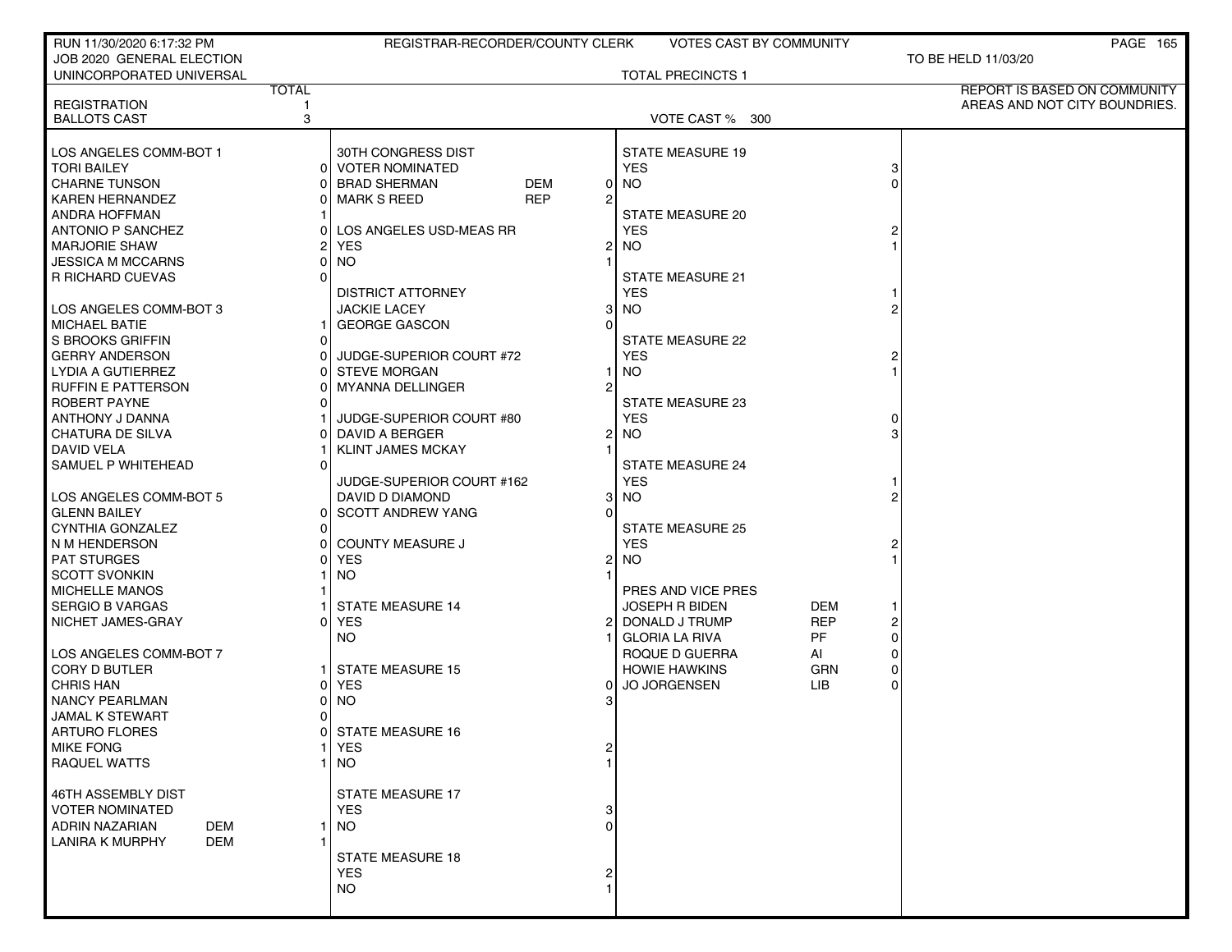| RUN 11/30/2020 6:17:32 PM            |              | REGISTRAR-RECORDER/COUNTY CLERK   |                | VOTES CAST BY COMMUNITY  |            |          | <b>PAGE 165</b>               |
|--------------------------------------|--------------|-----------------------------------|----------------|--------------------------|------------|----------|-------------------------------|
| JOB 2020 GENERAL ELECTION            |              |                                   |                |                          |            |          | TO BE HELD 11/03/20           |
| UNINCORPORATED UNIVERSAL             |              |                                   |                | <b>TOTAL PRECINCTS 1</b> |            |          |                               |
|                                      | <b>TOTAL</b> |                                   |                |                          |            |          | REPORT IS BASED ON COMMUNITY  |
| <b>REGISTRATION</b>                  |              |                                   |                |                          |            |          | AREAS AND NOT CITY BOUNDRIES. |
| <b>BALLOTS CAST</b>                  | 3            |                                   |                | VOTE CAST % 300          |            |          |                               |
|                                      |              |                                   |                |                          |            |          |                               |
| LOS ANGELES COMM-BOT 1               |              | 30TH CONGRESS DIST                |                | <b>STATE MEASURE 19</b>  |            |          |                               |
| <b>TORI BAILEY</b>                   | ΩI           | <b>VOTER NOMINATED</b>            |                | <b>YES</b>               |            | 3        |                               |
| <b>CHARNE TUNSON</b>                 |              | <b>DEM</b><br><b>BRAD SHERMAN</b> | 01             | <b>NO</b>                |            |          |                               |
| <b>KAREN HERNANDEZ</b>               |              | <b>REP</b><br><b>MARK S REED</b>  | 2              |                          |            |          |                               |
| <b>ANDRA HOFFMAN</b>                 |              |                                   |                | STATE MEASURE 20         |            |          |                               |
| <b>ANTONIO P SANCHEZ</b>             |              | LOS ANGELES USD-MEAS RR           |                | <b>YES</b>               |            |          |                               |
| <b>MARJORIE SHAW</b>                 |              | <b>YES</b>                        | 2              | <b>NO</b>                |            |          |                               |
| JESSICA M MCCARNS                    |              | NO.                               |                |                          |            |          |                               |
| <b>R RICHARD CUEVAS</b>              |              |                                   |                | <b>STATE MEASURE 21</b>  |            |          |                               |
|                                      |              | <b>DISTRICT ATTORNEY</b>          |                | <b>YES</b>               |            |          |                               |
| LOS ANGELES COMM-BOT 3               |              | <b>JACKIE LACEY</b>               | 31             | <b>NO</b>                |            |          |                               |
| <b>MICHAEL BATIE</b>                 |              | <b>GEORGE GASCON</b>              | $\Omega$       |                          |            |          |                               |
| S BROOKS GRIFFIN                     |              |                                   |                | <b>STATE MEASURE 22</b>  |            |          |                               |
| <b>GERRY ANDERSON</b>                |              | JUDGE-SUPERIOR COURT #72          |                | <b>YES</b>               |            |          |                               |
| LYDIA A GUTIERREZ                    |              | <b>STEVE MORGAN</b>               |                | <b>NO</b>                |            |          |                               |
| <b>RUFFIN E PATTERSON</b>            |              | <b>MYANNA DELLINGER</b>           | 2              |                          |            |          |                               |
| ROBERT PAYNE                         |              |                                   |                | STATE MEASURE 23         |            |          |                               |
|                                      |              | JUDGE-SUPERIOR COURT #80          |                | <b>YES</b>               |            | $\Omega$ |                               |
| ANTHONY J DANNA                      |              |                                   |                |                          |            |          |                               |
| CHATURA DE SILVA                     |              | DAVID A BERGER                    | 2              | <b>NO</b>                |            |          |                               |
| <b>DAVID VELA</b>                    |              | <b>KLINT JAMES MCKAY</b>          |                |                          |            |          |                               |
| SAMUEL P WHITEHEAD                   |              |                                   |                | <b>STATE MEASURE 24</b>  |            |          |                               |
|                                      |              | JUDGE-SUPERIOR COURT #162         |                | <b>YES</b>               |            |          |                               |
| LOS ANGELES COMM-BOT 5               |              | DAVID D DIAMOND                   | 31             | <b>NO</b>                |            |          |                               |
| <b>GLENN BAILEY</b>                  | 01           | <b>SCOTT ANDREW YANG</b>          | U              |                          |            |          |                               |
| CYNTHIA GONZALEZ                     |              |                                   |                | <b>STATE MEASURE 25</b>  |            |          |                               |
| N M HENDERSON                        |              | <b>COUNTY MEASURE J</b>           |                | <b>YES</b>               |            |          |                               |
| <b>PAT STURGES</b>                   |              | <b>YES</b>                        | $\overline{2}$ | <b>NO</b>                |            |          |                               |
| <b>SCOTT SVONKIN</b>                 |              | NO.                               |                |                          |            |          |                               |
| <b>MICHELLE MANOS</b>                |              |                                   |                | PRES AND VICE PRES       |            |          |                               |
| <b>SERGIO B VARGAS</b>               |              | <b>STATE MEASURE 14</b>           |                | <b>JOSEPH R BIDEN</b>    | DEM        |          |                               |
| NICHET JAMES-GRAY                    |              | <b>YES</b>                        | 2              | DONALD J TRUMP           | <b>REP</b> | 2        |                               |
|                                      |              | <b>NO</b>                         |                | <b>GLORIA LA RIVA</b>    | PF         | 0        |                               |
| LOS ANGELES COMM-BOT 7               |              |                                   |                | ROQUE D GUERRA           | AI         | 0        |                               |
| <b>CORY D BUTLER</b>                 |              | <b>STATE MEASURE 15</b>           |                | <b>HOWIE HAWKINS</b>     | GRN        | 0        |                               |
| <b>CHRIS HAN</b>                     |              | <b>YES</b>                        | 0              | <b>JO JORGENSEN</b>      | <b>LIB</b> | $\Omega$ |                               |
| <b>NANCY PEARLMAN</b>                |              | <b>NO</b>                         |                |                          |            |          |                               |
| JAMAL K STEWART                      |              |                                   |                |                          |            |          |                               |
| ARTURO FLORES                        |              | STATE MEASURE 16                  |                |                          |            |          |                               |
| <b>MIKE FONG</b>                     |              | <b>YES</b>                        |                |                          |            |          |                               |
| <b>RAQUEL WATTS</b>                  |              | NO.                               |                |                          |            |          |                               |
|                                      |              |                                   |                |                          |            |          |                               |
| 46TH ASSEMBLY DIST                   |              | <b>STATE MEASURE 17</b>           |                |                          |            |          |                               |
| <b>VOTER NOMINATED</b>               |              | <b>YES</b>                        |                |                          |            |          |                               |
| ADRIN NAZARIAN<br>DEM                |              | NO.                               | U              |                          |            |          |                               |
| <b>LANIRA K MURPHY</b><br><b>DEM</b> |              |                                   |                |                          |            |          |                               |
|                                      |              | <b>STATE MEASURE 18</b>           |                |                          |            |          |                               |
|                                      |              | <b>YES</b>                        |                |                          |            |          |                               |
|                                      |              | <b>NO</b>                         |                |                          |            |          |                               |
|                                      |              |                                   |                |                          |            |          |                               |
|                                      |              |                                   |                |                          |            |          |                               |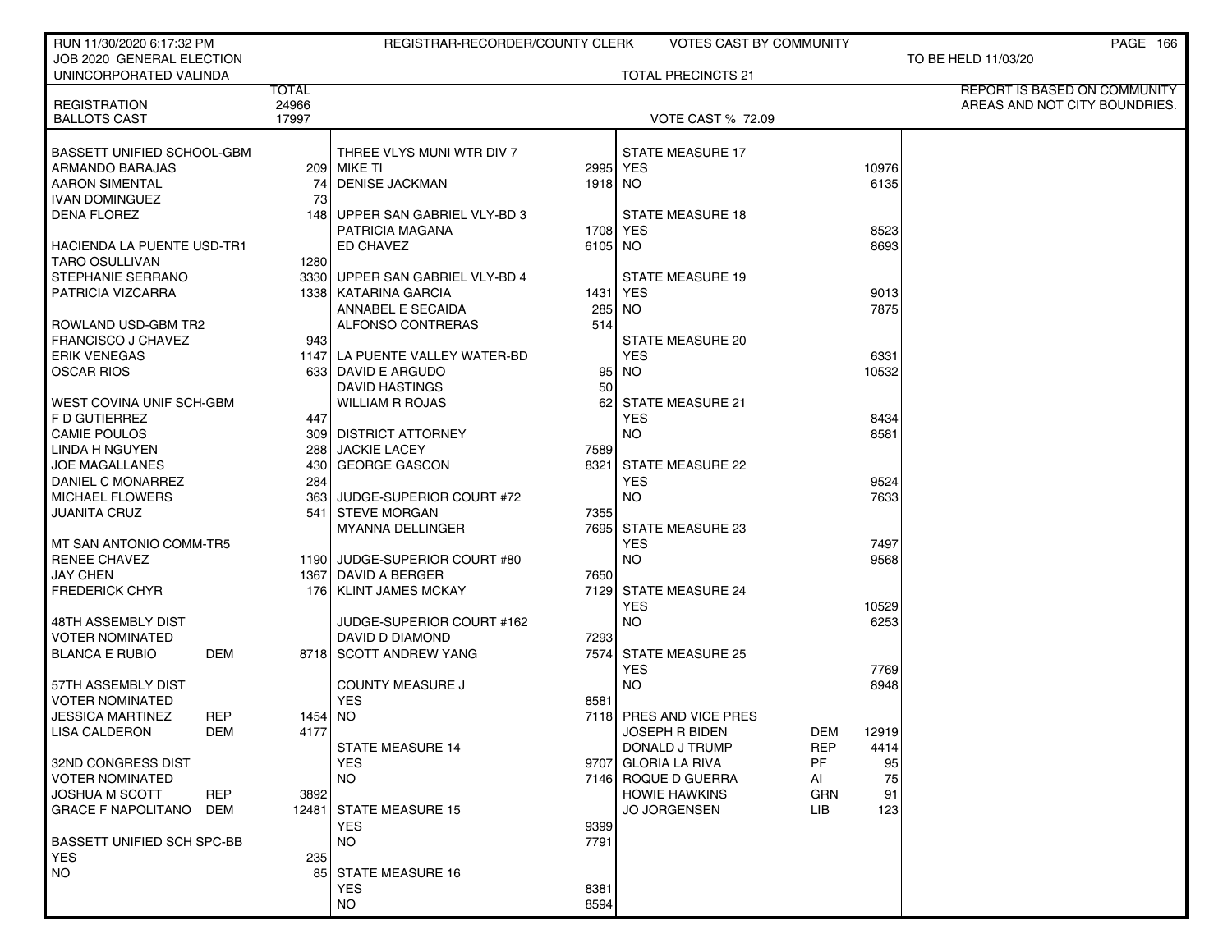| RUN 11/30/2020 6:17:32 PM               |              | REGISTRAR-RECORDER/COUNTY CLERK        |          | VOTES CAST BY COMMUNITY   |                    | PAGE 166                      |
|-----------------------------------------|--------------|----------------------------------------|----------|---------------------------|--------------------|-------------------------------|
| JOB 2020 GENERAL ELECTION               |              |                                        |          |                           |                    | TO BE HELD 11/03/20           |
| UNINCORPORATED VALINDA                  |              |                                        |          | <b>TOTAL PRECINCTS 21</b> |                    |                               |
|                                         | <b>TOTAL</b> |                                        |          |                           |                    | REPORT IS BASED ON COMMUNITY  |
| <b>REGISTRATION</b>                     | 24966        |                                        |          |                           |                    | AREAS AND NOT CITY BOUNDRIES. |
| <b>BALLOTS CAST</b>                     | 17997        |                                        |          | <b>VOTE CAST % 72.09</b>  |                    |                               |
|                                         |              |                                        |          |                           |                    |                               |
| BASSETT UNIFIED SCHOOL-GBM              |              | THREE VLYS MUNI WTR DIV 7              |          | <b>STATE MEASURE 17</b>   | 10976              |                               |
| ARMANDO BARAJAS                         |              | 209   MIKE TI<br><b>DENISE JACKMAN</b> | 2995 YES |                           | 6135               |                               |
| <b>AARON SIMENTAL</b><br>IVAN DOMINGUEZ | 74<br>73     |                                        | 1918 NO  |                           |                    |                               |
| <b>DENA FLOREZ</b>                      | 148 l        | UPPER SAN GABRIEL VLY-BD 3             |          | <b>STATE MEASURE 18</b>   |                    |                               |
|                                         |              | PATRICIA MAGANA                        | 1708 YES |                           | 8523               |                               |
| HACIENDA LA PUENTE USD-TR1              |              | ED CHAVEZ                              | 6105 NO  |                           | 8693               |                               |
| <b>TARO OSULLIVAN</b>                   | 1280         |                                        |          |                           |                    |                               |
| <b>STEPHANIE SERRANO</b>                |              | 3330 UPPER SAN GABRIEL VLY-BD 4        |          | <b>STATE MEASURE 19</b>   |                    |                               |
| PATRICIA VIZCARRA                       |              | 1338   KATARINA GARCIA                 | 1431 YES |                           | 9013               |                               |
|                                         |              | ANNABEL E SECAIDA                      | 285 NO   |                           | 7875               |                               |
| ROWLAND USD-GBM TR2                     |              | ALFONSO CONTRERAS                      | 514      |                           |                    |                               |
| <b>FRANCISCO J CHAVEZ</b>               | 943          |                                        |          | STATE MEASURE 20          |                    |                               |
| <b>ERIK VENEGAS</b>                     |              | 1147 LA PUENTE VALLEY WATER-BD         |          | <b>YES</b>                | 6331               |                               |
| <b>OSCAR RIOS</b>                       |              | 633 DAVID E ARGUDO                     |          | 95 NO                     | 10532              |                               |
|                                         |              | DAVID HASTINGS                         | 50       |                           |                    |                               |
| WEST COVINA UNIF SCH-GBM                |              | WILLIAM R ROJAS                        |          | 62 STATE MEASURE 21       |                    |                               |
| F D GUTIERREZ                           | 447          |                                        |          | <b>YES</b>                | 8434               |                               |
| <b>CAMIE POULOS</b>                     |              | 309   DISTRICT ATTORNEY                |          | <b>NO</b>                 | 8581               |                               |
| LINDA H NGUYEN                          | 288          | <b>JACKIE LACEY</b>                    | 7589     |                           |                    |                               |
| <b>JOE MAGALLANES</b>                   | 430          | <b>GEORGE GASCON</b>                   | 8321     | <b>STATE MEASURE 22</b>   |                    |                               |
| DANIEL C MONARREZ                       | 284          |                                        |          | <b>YES</b>                | 9524               |                               |
| <b>MICHAEL FLOWERS</b>                  | 363          | JUDGE-SUPERIOR COURT #72               |          | <b>NO</b>                 | 7633               |                               |
| <b>JUANITA CRUZ</b>                     | 541 I        | <b>STEVE MORGAN</b>                    | 7355     |                           |                    |                               |
|                                         |              | <b>MYANNA DELLINGER</b>                |          | 7695 STATE MEASURE 23     |                    |                               |
| I MT SAN ANTONIO COMM-TR5               |              |                                        |          | <b>YES</b>                | 7497               |                               |
| <b>RENEE CHAVEZ</b>                     |              | 1190 JUDGE-SUPERIOR COURT #80          |          | <b>NO</b>                 | 9568               |                               |
| <b>JAY CHEN</b>                         |              | 1367 DAVID A BERGER                    | 7650     |                           |                    |                               |
| <b>FREDERICK CHYR</b>                   |              | 176   KLINT JAMES MCKAY                |          | 7129 STATE MEASURE 24     |                    |                               |
|                                         |              |                                        |          | <b>YES</b>                | 10529              |                               |
| 48TH ASSEMBLY DIST                      |              | JUDGE-SUPERIOR COURT #162              |          | <b>NO</b>                 | 6253               |                               |
| <b>VOTER NOMINATED</b>                  |              | DAVID D DIAMOND                        | 7293     |                           |                    |                               |
| <b>BLANCA E RUBIO</b><br>DEM            |              | 8718 SCOTT ANDREW YANG                 |          | 7574 STATE MEASURE 25     |                    |                               |
|                                         |              |                                        |          | <b>YES</b>                | 7769               |                               |
| 57TH ASSEMBLY DIST                      |              | <b>COUNTY MEASURE J</b>                |          | <b>NO</b>                 | 8948               |                               |
| <b>VOTER NOMINATED</b>                  |              | <b>YES</b>                             | 8581     |                           |                    |                               |
| <b>JESSICA MARTINEZ</b><br>REP          | 1454 NO      |                                        |          | 7118 PRES AND VICE PRES   |                    |                               |
| LISA CALDERON<br>DEM                    | 4177         |                                        |          | <b>JOSEPH R BIDEN</b>     | DEM<br>12919       |                               |
|                                         |              | <b>STATE MEASURE 14</b>                |          | DONALD J TRUMP            | <b>REP</b><br>4414 |                               |
| 32ND CONGRESS DIST                      |              | YES.                                   |          | 9707 GLORIA LA RIVA       | PF<br>95           |                               |
| <b>VOTER NOMINATED</b>                  |              | NO.                                    |          | 7146 ROQUE D GUERRA       | 75<br>Al           |                               |
| <b>REP</b><br><b>JOSHUA M SCOTT</b>     | 3892         |                                        |          | <b>HOWIE HAWKINS</b>      | <b>GRN</b><br>91   |                               |
| <b>GRACE F NAPOLITANO</b><br>DEM        |              | 12481 STATE MEASURE 15                 |          | <b>JO JORGENSEN</b>       | LIB.<br>123        |                               |
|                                         |              | <b>YES</b>                             | 9399     |                           |                    |                               |
| <b>BASSETT UNIFIED SCH SPC-BB</b>       |              | NO.                                    | 7791     |                           |                    |                               |
| YES                                     | 235          |                                        |          |                           |                    |                               |
| <b>NO</b>                               | 85           | <b>STATE MEASURE 16</b>                |          |                           |                    |                               |
|                                         |              | <b>YES</b>                             | 8381     |                           |                    |                               |
|                                         |              | NO.                                    | 8594     |                           |                    |                               |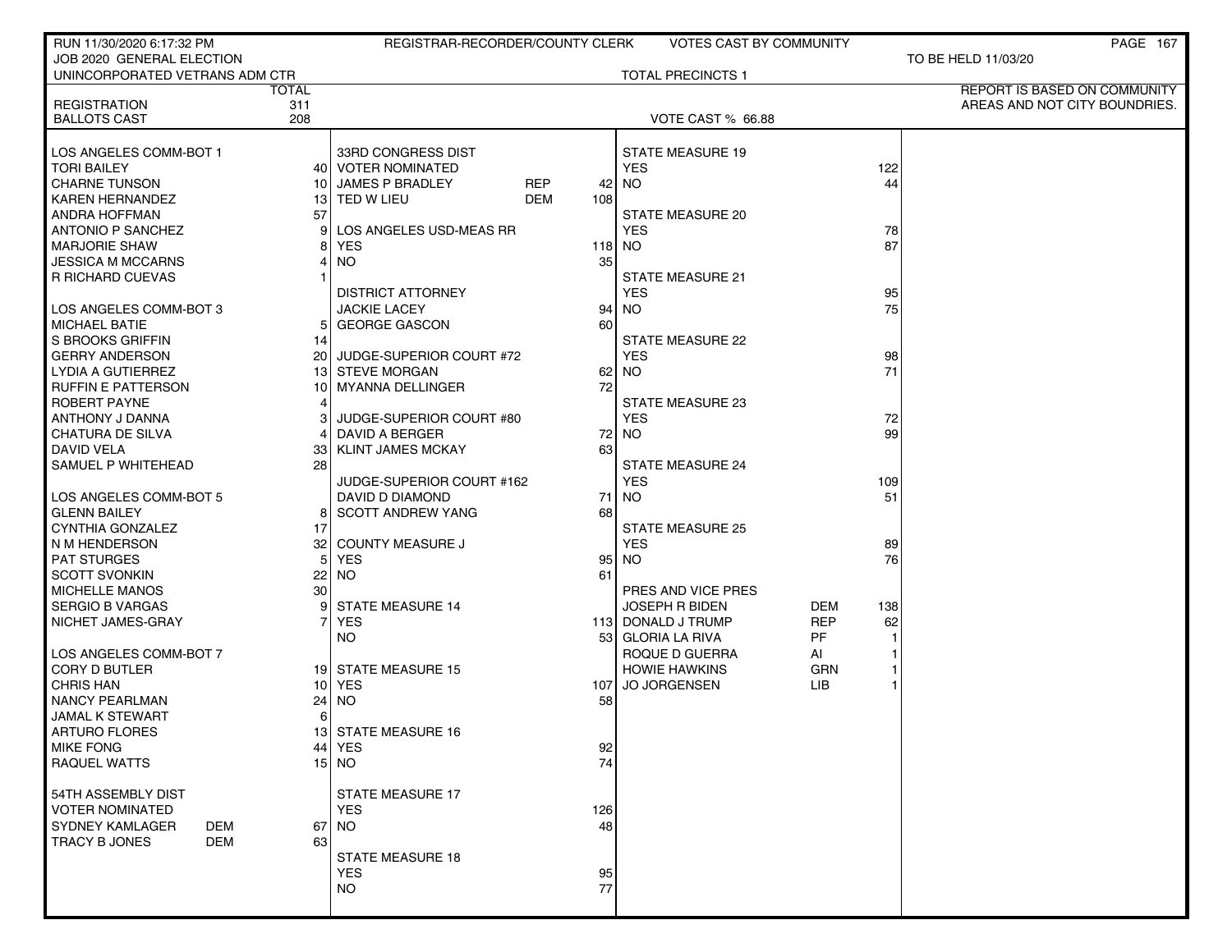| RUN 11/30/2020 6:17:32 PM          |                 | REGISTRAR-RECORDER/COUNTY CLERK |        | <b>VOTES CAST BY COMMUNITY</b> |            |     | <b>PAGE 167</b>               |
|------------------------------------|-----------------|---------------------------------|--------|--------------------------------|------------|-----|-------------------------------|
| JOB 2020 GENERAL ELECTION          |                 |                                 |        |                                |            |     | TO BE HELD 11/03/20           |
| UNINCORPORATED VETRANS ADM CTR     |                 |                                 |        | <b>TOTAL PRECINCTS 1</b>       |            |     |                               |
|                                    | TOTAL           |                                 |        |                                |            |     | REPORT IS BASED ON COMMUNITY  |
| <b>REGISTRATION</b>                | 311             |                                 |        |                                |            |     | AREAS AND NOT CITY BOUNDRIES. |
| <b>BALLOTS CAST</b>                | 208             |                                 |        | VOTE CAST % 66.88              |            |     |                               |
|                                    |                 |                                 |        |                                |            |     |                               |
| LOS ANGELES COMM-BOT 1             |                 | 33RD CONGRESS DIST              |        | <b>STATE MEASURE 19</b>        |            |     |                               |
| <b>TORI BAILEY</b>                 |                 | 40 VOTER NOMINATED              |        | <b>YES</b>                     |            | 122 |                               |
| CHARNE TUNSON                      | 10              | <b>JAMES P BRADLEY</b><br>REP   | 42     | <b>NO</b>                      |            | 44  |                               |
| <b>KAREN HERNANDEZ</b>             |                 | 13 TED W LIEU<br>DEM            | 108    |                                |            |     |                               |
| <b>ANDRA HOFFMAN</b>               | 57              |                                 |        | STATE MEASURE 20               |            |     |                               |
| ANTONIO P SANCHEZ                  | 91              | LOS ANGELES USD-MEAS RR         |        | <b>YES</b>                     |            | 78  |                               |
| <b>MARJORIE SHAW</b>               |                 | <b>YES</b>                      | 118 NO |                                |            | 87  |                               |
| <b>JESSICA M MCCARNS</b>           |                 | <b>NO</b>                       | 35     |                                |            |     |                               |
| <b>R RICHARD CUEVAS</b>            |                 |                                 |        | <b>STATE MEASURE 21</b>        |            |     |                               |
|                                    |                 | <b>DISTRICT ATTORNEY</b>        |        | <b>YES</b>                     |            | 95  |                               |
| LOS ANGELES COMM-BOT 3             |                 | <b>JACKIE LACEY</b>             | 94     | NO.                            |            | 75  |                               |
| MICHAEL BATIE                      | 5               | <b>GEORGE GASCON</b>            | 60     |                                |            |     |                               |
| S BROOKS GRIFFIN                   | 14              |                                 |        | STATE MEASURE 22               |            |     |                               |
| <b>GERRY ANDERSON</b>              |                 | 20 JUDGE-SUPERIOR COURT #72     |        | <b>YES</b>                     |            | 98  |                               |
| LYDIA A GUTIERREZ                  |                 | 13 STEVE MORGAN                 | 62     | <b>NO</b>                      |            | 71  |                               |
| <b>RUFFIN E PATTERSON</b>          | 10              | <b>MYANNA DELLINGER</b>         | 72     |                                |            |     |                               |
| <b>ROBERT PAYNE</b>                |                 |                                 |        | <b>STATE MEASURE 23</b>        |            |     |                               |
| ANTHONY J DANNA                    |                 | JUDGE-SUPERIOR COURT #80        |        | <b>YES</b>                     |            | 72  |                               |
| CHATURA DE SILVA                   |                 | DAVID A BERGER                  | 72     | NO.                            |            | 99  |                               |
| <b>DAVID VELA</b>                  | 33              | <b>KLINT JAMES MCKAY</b>        | 63     |                                |            |     |                               |
| SAMUEL P WHITEHEAD                 | 28              |                                 |        | <b>STATE MEASURE 24</b>        |            |     |                               |
|                                    |                 | JUDGE-SUPERIOR COURT #162       |        | <b>YES</b>                     |            | 109 |                               |
| LOS ANGELES COMM-BOT 5             |                 | DAVID D DIAMOND                 | 71     | NO.                            |            | 51  |                               |
| GLENN BAILEY                       | 81              | <b>SCOTT ANDREW YANG</b>        | 68     |                                |            |     |                               |
| CYNTHIA GONZALEZ                   | 17              |                                 |        | <b>STATE MEASURE 25</b>        |            |     |                               |
| N M HENDERSON                      | 32              | <b>COUNTY MEASURE J</b>         |        | <b>YES</b>                     |            | 89  |                               |
| <b>PAT STURGES</b>                 | 51              | <b>YES</b>                      | 95     | NO.                            |            | 76  |                               |
| SCOTT SVONKIN                      | 22              | <b>NO</b>                       | 61     |                                |            |     |                               |
| <b>MICHELLE MANOS</b>              | 30 <sub>1</sub> |                                 |        | PRES AND VICE PRES             |            |     |                               |
| SERGIO B VARGAS                    | 9               | <b>STATE MEASURE 14</b>         |        | <b>JOSEPH R BIDEN</b>          | DEM        | 138 |                               |
| NICHET JAMES-GRAY                  |                 | <b>YES</b>                      |        | 113 DONALD J TRUMP             | <b>REP</b> | 62  |                               |
|                                    |                 | NO.                             |        | 53 GLORIA LA RIVA              | PF         |     |                               |
| LOS ANGELES COMM-BOT 7             |                 |                                 |        | ROQUE D GUERRA                 | AI         |     |                               |
| CORY D BUTLER                      |                 | 19 STATE MEASURE 15             |        | <b>HOWIE HAWKINS</b>           | <b>GRN</b> |     |                               |
| <b>CHRIS HAN</b>                   |                 | $10$ YES                        | 107    | JO JORGENSEN                   | LIB        |     |                               |
| NANCY PEARLMAN                     | 24              | <b>NO</b>                       | 58     |                                |            |     |                               |
| <b>JAMAL K STEWART</b>             | 6               |                                 |        |                                |            |     |                               |
| ARTURO FLORES                      |                 | 13 STATE MEASURE 16             |        |                                |            |     |                               |
| <b>MIKE FONG</b>                   |                 | 44 YES                          | 92     |                                |            |     |                               |
| <b>RAQUEL WATTS</b>                |                 | $15$ NO                         | 74     |                                |            |     |                               |
| l 54TH ASSEMBLY DIST               |                 | <b>STATE MEASURE 17</b>         |        |                                |            |     |                               |
|                                    |                 | <b>YES</b>                      |        |                                |            |     |                               |
| VOTER NOMINATED<br>SYDNEY KAMLAGER |                 |                                 | 126    |                                |            |     |                               |
| DEM<br>TRACY B JONES<br><b>DEM</b> | 67<br>63        | <b>NO</b>                       | 48     |                                |            |     |                               |
|                                    |                 | <b>STATE MEASURE 18</b>         |        |                                |            |     |                               |
|                                    |                 | <b>YES</b>                      | 95     |                                |            |     |                               |
|                                    |                 | <b>NO</b>                       | 77     |                                |            |     |                               |
|                                    |                 |                                 |        |                                |            |     |                               |
|                                    |                 |                                 |        |                                |            |     |                               |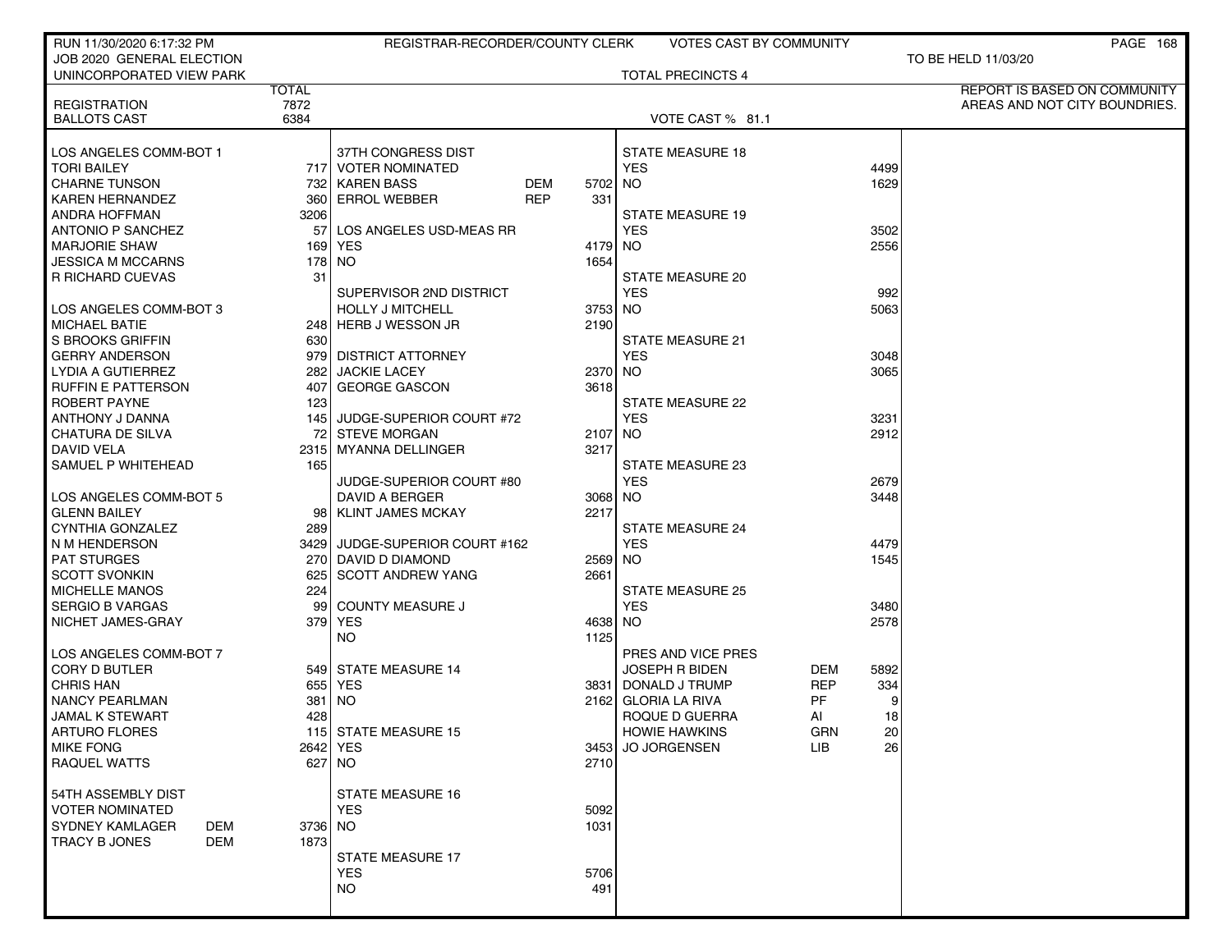| RUN 11/30/2020 6:17:32 PM       |              | REGISTRAR-RECORDER/COUNTY CLERK              |            |         | VOTES CAST BY COMMUNITY               |            |      | PAGE 168                      |
|---------------------------------|--------------|----------------------------------------------|------------|---------|---------------------------------------|------------|------|-------------------------------|
| JOB 2020 GENERAL ELECTION       |              |                                              |            |         |                                       |            |      | TO BE HELD 11/03/20           |
| UNINCORPORATED VIEW PARK        |              |                                              |            |         | <b>TOTAL PRECINCTS 4</b>              |            |      |                               |
|                                 | <b>TOTAL</b> |                                              |            |         |                                       |            |      | REPORT IS BASED ON COMMUNITY  |
| <b>REGISTRATION</b>             | 7872         |                                              |            |         |                                       |            |      | AREAS AND NOT CITY BOUNDRIES. |
| <b>BALLOTS CAST</b>             | 6384         |                                              |            |         | VOTE CAST % 81.1                      |            |      |                               |
|                                 |              |                                              |            |         |                                       |            |      |                               |
| LOS ANGELES COMM-BOT 1          |              | 37TH CONGRESS DIST                           |            |         | <b>STATE MEASURE 18</b>               |            |      |                               |
| <b>TORI BAILEY</b>              |              | 717 VOTER NOMINATED                          |            |         | <b>YES</b>                            |            | 4499 |                               |
| <b>CHARNE TUNSON</b>            |              | 732 KAREN BASS                               | <b>DEM</b> | 5702    | NO.                                   |            | 1629 |                               |
| <b>KAREN HERNANDEZ</b>          |              | 360 ERROL WEBBER                             | <b>REP</b> | 331     |                                       |            |      |                               |
| <b>ANDRA HOFFMAN</b>            | 3206         |                                              |            |         | <b>STATE MEASURE 19</b>               |            |      |                               |
| <b>ANTONIO P SANCHEZ</b>        | 57           | LOS ANGELES USD-MEAS RR                      |            |         | <b>YES</b>                            |            | 3502 |                               |
| <b>MARJORIE SHAW</b>            | 169          | <b>YES</b>                                   |            | 4179    | NO.                                   |            | 2556 |                               |
| <b>JESSICA M MCCARNS</b>        | 178 l        | NO.                                          |            | 1654    |                                       |            |      |                               |
| <b>R RICHARD CUEVAS</b>         | 31           |                                              |            |         | STATE MEASURE 20                      |            |      |                               |
|                                 |              | SUPERVISOR 2ND DISTRICT                      |            |         | <b>YES</b>                            |            | 992  |                               |
| LOS ANGELES COMM-BOT 3          |              | <b>HOLLY J MITCHELL</b>                      |            | 3753 NO |                                       |            | 5063 |                               |
| <b>MICHAEL BATIE</b>            |              | 248 HERB J WESSON JR                         |            | 2190    |                                       |            |      |                               |
| S BROOKS GRIFFIN                | 630          |                                              |            |         | <b>STATE MEASURE 21</b>               |            |      |                               |
| <b>GERRY ANDERSON</b>           |              | 979 DISTRICT ATTORNEY<br><b>JACKIE LACEY</b> |            |         | <b>YES</b>                            |            | 3048 |                               |
| LYDIA A GUTIERREZ               | 282 l        | <b>GEORGE GASCON</b>                         |            | 2370    | NO.                                   |            | 3065 |                               |
| <b>RUFFIN E PATTERSON</b>       | 407          |                                              |            | 3618    |                                       |            |      |                               |
| ROBERT PAYNE<br>ANTHONY J DANNA | 123          | 145 JUDGE-SUPERIOR COURT #72                 |            |         | <b>STATE MEASURE 22</b><br><b>YES</b> |            | 3231 |                               |
| CHATURA DE SILVA                |              | 72 STEVE MORGAN                              |            | 2107    | NO.                                   |            | 2912 |                               |
| <b>DAVID VELA</b>               |              | 2315   MYANNA DELLINGER                      |            | 3217    |                                       |            |      |                               |
| SAMUEL P WHITEHEAD              | 165          |                                              |            |         | <b>STATE MEASURE 23</b>               |            |      |                               |
|                                 |              | JUDGE-SUPERIOR COURT #80                     |            |         | <b>YES</b>                            |            | 2679 |                               |
| LOS ANGELES COMM-BOT 5          |              | DAVID A BERGER                               |            | 3068 NO |                                       |            | 3448 |                               |
| <b>GLENN BAILEY</b>             |              | 98   KLINT JAMES MCKAY                       |            | 2217    |                                       |            |      |                               |
| CYNTHIA GONZALEZ                | 289          |                                              |            |         | <b>STATE MEASURE 24</b>               |            |      |                               |
| N M HENDERSON                   |              | 3429 JUDGE-SUPERIOR COURT #162               |            |         | <b>YES</b>                            |            | 4479 |                               |
| <b>PAT STURGES</b>              |              | 270 DAVID D DIAMOND                          |            | 2569    | NO.                                   |            | 1545 |                               |
| <b>SCOTT SVONKIN</b>            | 625 l        | <b>SCOTT ANDREW YANG</b>                     |            | 2661    |                                       |            |      |                               |
| MICHELLE MANOS                  | 224          |                                              |            |         | <b>STATE MEASURE 25</b>               |            |      |                               |
| <b>SERGIO B VARGAS</b>          | 99           | <b>COUNTY MEASURE J</b>                      |            |         | <b>YES</b>                            |            | 3480 |                               |
| NICHET JAMES-GRAY               | 379 l        | <b>YES</b>                                   |            | 4638    | NO.                                   |            | 2578 |                               |
|                                 |              | NO.                                          |            | 1125    |                                       |            |      |                               |
| LOS ANGELES COMM-BOT 7          |              |                                              |            |         | PRES AND VICE PRES                    |            |      |                               |
| CORY D BUTLER                   |              | 549 STATE MEASURE 14                         |            |         | <b>JOSEPH R BIDEN</b>                 | DEM        | 5892 |                               |
| <b>CHRIS HAN</b>                |              | 655 YES                                      |            | 3831    | DONALD J TRUMP                        | REP        | 334  |                               |
| <b>NANCY PEARLMAN</b>           | 381          | I NO.                                        |            |         | 2162 GLORIA LA RIVA                   | PF         | 9    |                               |
| JAMAL K STEWART                 | 428          |                                              |            |         | ROQUE D GUERRA                        | AI         | 18   |                               |
| ARTURO FLORES                   |              | 115 STATE MEASURE 15                         |            |         | <b>HOWIE HAWKINS</b>                  | <b>GRN</b> | 20   |                               |
| <b>MIKE FONG</b>                |              | 2642 YES                                     |            | 3453    | JO JORGENSEN                          | LIB.       | 26   |                               |
| <b>RAQUEL WATTS</b>             |              | 627 INO                                      |            | 2710    |                                       |            |      |                               |
|                                 |              |                                              |            |         |                                       |            |      |                               |
| 54TH ASSEMBLY DIST              |              | <b>STATE MEASURE 16</b>                      |            |         |                                       |            |      |                               |
| <b>VOTER NOMINATED</b>          |              | <b>YES</b>                                   |            | 5092    |                                       |            |      |                               |
| <b>SYDNEY KAMLAGER</b><br>DEM   | 3736 NO      |                                              |            | 1031    |                                       |            |      |                               |
| <b>DEM</b><br>TRACY B JONES     | 1873         |                                              |            |         |                                       |            |      |                               |
|                                 |              | <b>STATE MEASURE 17</b>                      |            |         |                                       |            |      |                               |
|                                 |              | <b>YES</b>                                   |            | 5706    |                                       |            |      |                               |
|                                 |              | <b>NO</b>                                    |            | 491     |                                       |            |      |                               |
|                                 |              |                                              |            |         |                                       |            |      |                               |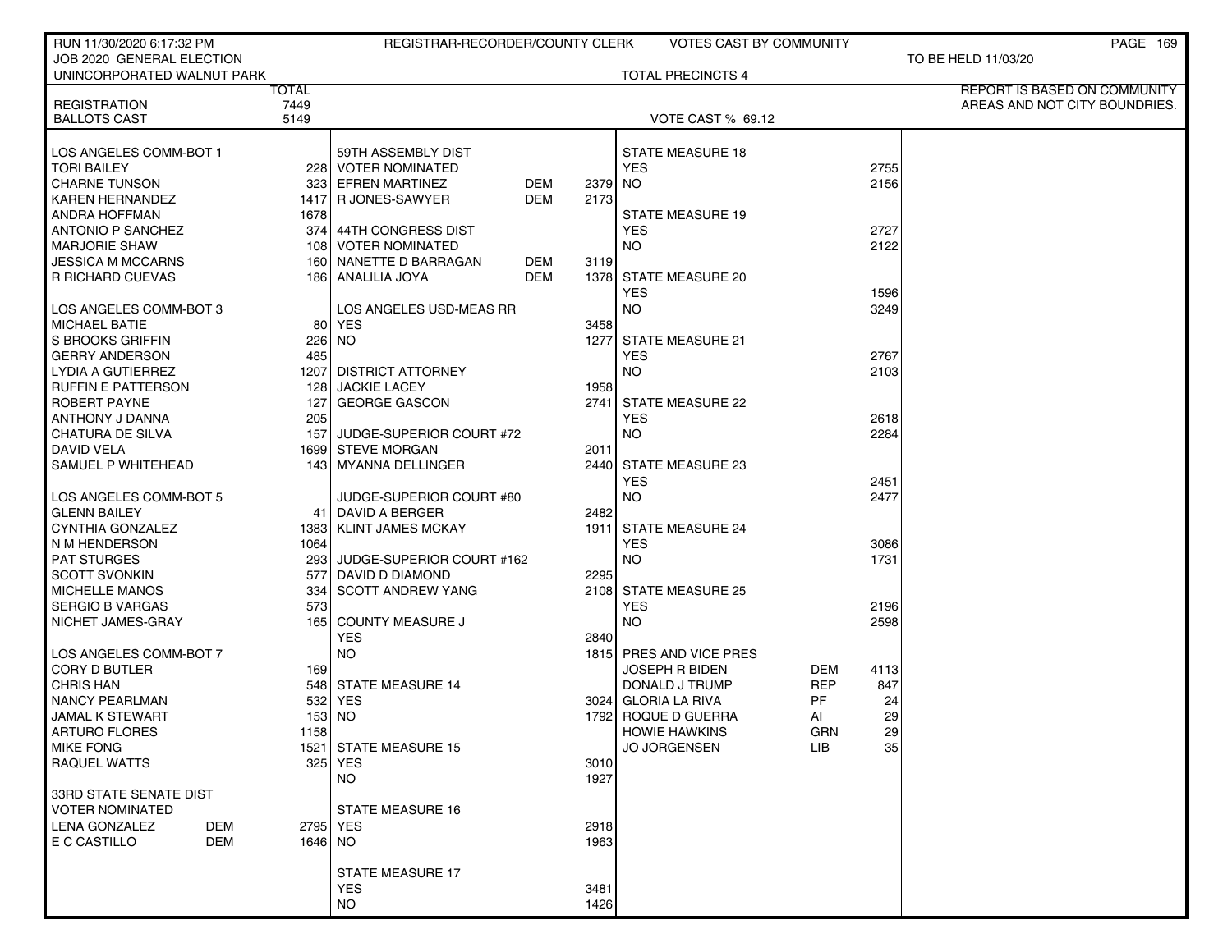| RUN 11/30/2020 6:17:32 PM                 |            | REGISTRAR-RECORDER/COUNTY CLERK |            |         | VOTES CAST BY COMMUNITY  |                    | <b>PAGE 169</b>                     |
|-------------------------------------------|------------|---------------------------------|------------|---------|--------------------------|--------------------|-------------------------------------|
| JOB 2020 GENERAL ELECTION                 |            |                                 |            |         |                          |                    | TO BE HELD 11/03/20                 |
| UNINCORPORATED WALNUT PARK                |            |                                 |            |         | <b>TOTAL PRECINCTS 4</b> |                    |                                     |
|                                           | TOTAL      |                                 |            |         |                          |                    | <b>REPORT IS BASED ON COMMUNITY</b> |
| <b>REGISTRATION</b>                       | 7449       |                                 |            |         |                          |                    | AREAS AND NOT CITY BOUNDRIES.       |
| <b>BALLOTS CAST</b>                       | 5149       |                                 |            |         | VOTE CAST % 69.12        |                    |                                     |
|                                           |            |                                 |            |         |                          |                    |                                     |
| LOS ANGELES COMM-BOT 1                    |            | 59TH ASSEMBLY DIST              |            |         | <b>STATE MEASURE 18</b>  |                    |                                     |
| <b>TORI BAILEY</b>                        |            | 228 VOTER NOMINATED             |            |         | <b>YES</b>               | 2755               |                                     |
| <b>CHARNE TUNSON</b>                      |            | 323 EFREN MARTINEZ              | DEM        | 2379 NO |                          | 2156               |                                     |
| <b>KAREN HERNANDEZ</b>                    |            | 1417 R JONES-SAWYER             | <b>DEM</b> | 2173    |                          |                    |                                     |
| ANDRA HOFFMAN                             | 1678       |                                 |            |         | <b>STATE MEASURE 19</b>  |                    |                                     |
| <b>ANTONIO P SANCHEZ</b>                  |            | 374 44TH CONGRESS DIST          |            |         | <b>YES</b>               | 2727               |                                     |
| <b>MARJORIE SHAW</b>                      |            | 108 VOTER NOMINATED             |            |         | <b>NO</b>                | 2122               |                                     |
| <b>JESSICA M MCCARNS</b>                  |            | 160 NANETTE D BARRAGAN          | DEM        | 3119    |                          |                    |                                     |
| R RICHARD CUEVAS                          |            | 186 ANALILIA JOYA               | <b>DEM</b> |         | 1378 STATE MEASURE 20    |                    |                                     |
|                                           |            |                                 |            |         | <b>YES</b>               | 1596               |                                     |
| LOS ANGELES COMM-BOT 3                    |            | LOS ANGELES USD-MEAS RR         |            |         | <b>NO</b>                | 3249               |                                     |
| <b>MICHAEL BATIE</b>                      | 80 l       | <b>YES</b>                      |            | 3458    |                          |                    |                                     |
| S BROOKS GRIFFIN                          |            | 226 NO                          |            |         | 1277 STATE MEASURE 21    |                    |                                     |
| <b>GERRY ANDERSON</b>                     | 485        | 1207 DISTRICT ATTORNEY          |            |         | <b>YES</b><br><b>NO</b>  | 2767<br>2103       |                                     |
| LYDIA A GUTIERREZ                         |            | <b>JACKIE LACEY</b>             |            |         |                          |                    |                                     |
| <b>RUFFIN E PATTERSON</b><br>ROBERT PAYNE | 128        | <b>GEORGE GASCON</b>            |            | 1958    | 2741 STATE MEASURE 22    |                    |                                     |
| ANTHONY J DANNA                           | 127<br>205 |                                 |            |         | <b>YES</b>               | 2618               |                                     |
| <b>CHATURA DE SILVA</b>                   |            | 157 JUDGE-SUPERIOR COURT #72    |            |         | <b>NO</b>                | 2284               |                                     |
| DAVID VELA                                |            | 1699 STEVE MORGAN               |            | 2011    |                          |                    |                                     |
| SAMUEL P WHITEHEAD                        |            | 143 MYANNA DELLINGER            |            |         | 2440 STATE MEASURE 23    |                    |                                     |
|                                           |            |                                 |            |         | <b>YES</b>               | 2451               |                                     |
| LOS ANGELES COMM-BOT 5                    |            | JUDGE-SUPERIOR COURT #80        |            |         | <b>NO</b>                | 2477               |                                     |
| <b>GLENN BAILEY</b>                       |            | 41 DAVID A BERGER               |            | 2482    |                          |                    |                                     |
| CYNTHIA GONZALEZ                          |            | 1383   KLINT JAMES MCKAY        |            |         | 1911 STATE MEASURE 24    |                    |                                     |
| N M HENDERSON                             | 1064       |                                 |            |         | <b>YES</b>               | 3086               |                                     |
| <b>PAT STURGES</b>                        |            | 293 JUDGE-SUPERIOR COURT #162   |            |         | <b>NO</b>                | 1731               |                                     |
| <b>SCOTT SVONKIN</b>                      |            | 577 DAVID D DIAMOND             |            | 2295    |                          |                    |                                     |
| <b>MICHELLE MANOS</b>                     | 334        | <b>SCOTT ANDREW YANG</b>        |            |         | 2108 STATE MEASURE 25    |                    |                                     |
| <b>SERGIO B VARGAS</b>                    | 573        |                                 |            |         | <b>YES</b>               | 2196               |                                     |
| NICHET JAMES-GRAY                         | 165 l      | <b>COUNTY MEASURE J</b>         |            |         | <b>NO</b>                | 2598               |                                     |
|                                           |            | <b>YES</b>                      |            | 2840    |                          |                    |                                     |
| LOS ANGELES COMM-BOT 7                    |            | <b>NO</b>                       |            |         | 1815 PRES AND VICE PRES  |                    |                                     |
| <b>CORY D BUTLER</b>                      | 169        |                                 |            |         | <b>JOSEPH R BIDEN</b>    | <b>DEM</b><br>4113 |                                     |
| <b>CHRIS HAN</b>                          |            | 548 STATE MEASURE 14            |            |         | DONALD J TRUMP           | <b>REP</b><br>847  |                                     |
| <b>NANCY PEARLMAN</b>                     |            | 532 YES                         |            |         | 3024 GLORIA LA RIVA      | PF                 | 24                                  |
| <b>JAMAL K STEWART</b>                    |            | 153 NO                          |            |         | 1792 ROQUE D GUERRA      | AI                 | 29                                  |
| ARTURO FLORES                             | 1158       |                                 |            |         | <b>HOWIE HAWKINS</b>     | GRN                | 29                                  |
| <b>MIKE FONG</b>                          |            | 1521 STATE MEASURE 15           |            |         | <b>JO JORGENSEN</b>      | LIB.               | 35                                  |
| <b>RAQUEL WATTS</b>                       |            | 325 YES                         |            | 3010    |                          |                    |                                     |
|                                           |            | NO.                             |            | 1927    |                          |                    |                                     |
| 33RD STATE SENATE DIST                    |            |                                 |            |         |                          |                    |                                     |
| VOTER NOMINATED                           |            | <b>STATE MEASURE 16</b>         |            |         |                          |                    |                                     |
| LENA GONZALEZ<br><b>DEM</b>               | 2795 YES   |                                 |            | 2918    |                          |                    |                                     |
| E C CASTILLO<br><b>DEM</b>                | 1646 NO    |                                 |            | 1963    |                          |                    |                                     |
|                                           |            |                                 |            |         |                          |                    |                                     |
|                                           |            | STATE MEASURE 17                |            |         |                          |                    |                                     |
|                                           |            | <b>YES</b>                      |            | 3481    |                          |                    |                                     |
|                                           |            | <b>NO</b>                       |            | 1426    |                          |                    |                                     |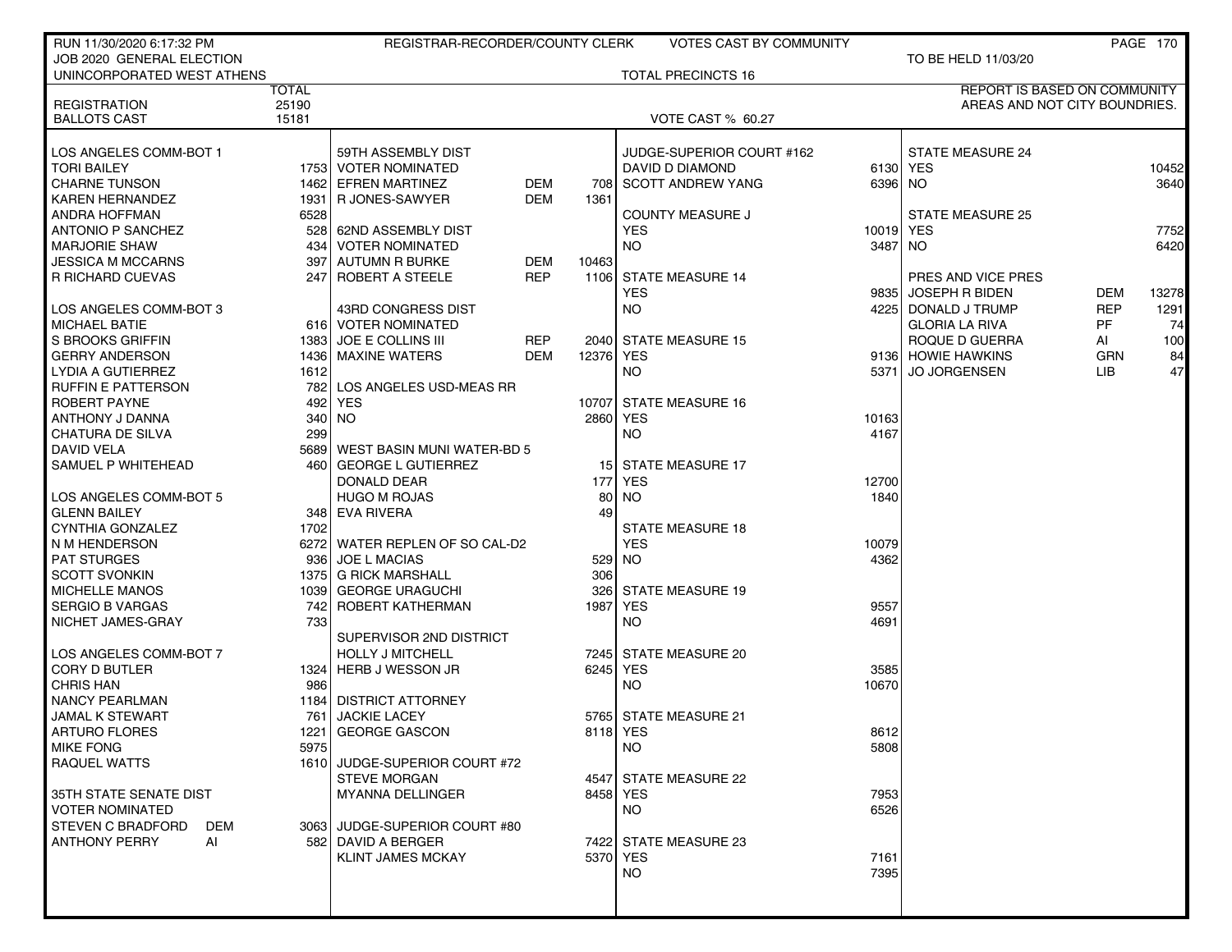| RUN 11/30/2020 6:17:32 PM                      |              | REGISTRAR-RECORDER/COUNTY CLERK                |                          |           | VOTES CAST BY COMMUNITY           |         |                                     |            | <b>PAGE 170</b> |
|------------------------------------------------|--------------|------------------------------------------------|--------------------------|-----------|-----------------------------------|---------|-------------------------------------|------------|-----------------|
| JOB 2020 GENERAL ELECTION                      |              |                                                |                          |           |                                   |         | TO BE HELD 11/03/20                 |            |                 |
| UNINCORPORATED WEST ATHENS                     |              |                                                |                          |           | <b>TOTAL PRECINCTS 16</b>         |         |                                     |            |                 |
|                                                | <b>TOTAL</b> |                                                |                          |           |                                   |         | <b>REPORT IS BASED ON COMMUNITY</b> |            |                 |
| <b>REGISTRATION</b>                            | 25190        |                                                |                          |           |                                   |         | AREAS AND NOT CITY BOUNDRIES.       |            |                 |
| <b>BALLOTS CAST</b>                            | 15181        |                                                |                          |           | <b>VOTE CAST % 60.27</b>          |         |                                     |            |                 |
|                                                |              |                                                |                          |           |                                   |         |                                     |            |                 |
| LOS ANGELES COMM-BOT 1                         |              | 59TH ASSEMBLY DIST                             |                          |           | JUDGE-SUPERIOR COURT #162         |         | <b>STATE MEASURE 24</b>             |            |                 |
| <b>TORI BAILEY</b>                             |              | 1753 VOTER NOMINATED                           |                          |           | DAVID D DIAMOND                   |         | 6130 YES                            |            | 10452           |
| <b>CHARNE TUNSON</b><br><b>KAREN HERNANDEZ</b> |              | 1462 EFREN MARTINEZ<br>1931 R JONES-SAWYER     | <b>DEM</b><br><b>DEM</b> | 7081      | <b>SCOTT ANDREW YANG</b>          | 6396 NO |                                     |            | 3640            |
| ANDRA HOFFMAN                                  | 6528         |                                                |                          | 1361      | <b>COUNTY MEASURE J</b>           |         | <b>STATE MEASURE 25</b>             |            |                 |
| <b>ANTONIO P SANCHEZ</b>                       |              | 528 62ND ASSEMBLY DIST                         |                          |           | <b>YES</b>                        | 10019   | <b>YES</b>                          |            | 7752            |
| <b>MARJORIE SHAW</b>                           | 434          | <b>VOTER NOMINATED</b>                         |                          |           | <b>NO</b>                         | 3487 NO |                                     |            | 6420            |
| <b>JESSICA M MCCARNS</b>                       |              | 397 AUTUMN R BURKE                             | DEM                      | 10463     |                                   |         |                                     |            |                 |
| R RICHARD CUEVAS                               |              | 247 ROBERT A STEELE                            | <b>REP</b>               |           | 1106 STATE MEASURE 14             |         | PRES AND VICE PRES                  |            |                 |
|                                                |              |                                                |                          |           | <b>YES</b>                        | 9835    | JOSEPH R BIDEN                      | DEM        | 13278           |
| LOS ANGELES COMM-BOT 3                         |              | 43RD CONGRESS DIST                             |                          |           | NO.                               |         | 4225   DONALD J TRUMP               | <b>REP</b> | 1291            |
| <b>MICHAEL BATIE</b>                           |              | 616 VOTER NOMINATED                            |                          |           |                                   |         | <b>GLORIA LA RIVA</b>               | <b>PF</b>  | 74              |
| S BROOKS GRIFFIN                               | 13831        | JOE E COLLINS III                              | REP                      |           | 2040 STATE MEASURE 15             |         | ROQUE D GUERRA                      | AI         | 100             |
| <b>GERRY ANDERSON</b>                          |              | 1436   MAXINE WATERS                           | <b>DEM</b>               | 12376 YES |                                   |         | 9136 HOWIE HAWKINS                  | <b>GRN</b> | 84              |
| LYDIA A GUTIERREZ                              | 1612         |                                                |                          |           | NO.                               | 53711   | <b>JO JORGENSEN</b>                 | LIB        | 47              |
| <b>RUFFIN E PATTERSON</b>                      |              | 782 LOS ANGELES USD-MEAS RR                    |                          |           |                                   |         |                                     |            |                 |
| ROBERT PAYNE                                   |              | 492 YES                                        |                          |           | 10707 STATE MEASURE 16            |         |                                     |            |                 |
| ANTHONY J DANNA                                | 340 NO       |                                                |                          | 2860      | YES                               | 10163   |                                     |            |                 |
| CHATURA DE SILVA                               | 299          |                                                |                          |           | <b>NO</b>                         | 4167    |                                     |            |                 |
| <b>DAVID VELA</b>                              |              | 5689   WEST BASIN MUNI WATER-BD 5              |                          |           |                                   |         |                                     |            |                 |
| SAMUEL P WHITEHEAD                             |              | 460 GEORGE L GUTIERREZ                         |                          |           | 15 STATE MEASURE 17               |         |                                     |            |                 |
|                                                |              | DONALD DEAR                                    |                          |           | 177 YES                           | 12700   |                                     |            |                 |
| LOS ANGELES COMM-BOT 5                         |              | <b>HUGO M ROJAS</b>                            |                          | 80        | NO.                               | 1840    |                                     |            |                 |
| <b>GLENN BAILEY</b>                            |              | 348 EVA RIVERA                                 |                          | 49        |                                   |         |                                     |            |                 |
| CYNTHIA GONZALEZ                               | 1702         |                                                |                          |           | <b>STATE MEASURE 18</b>           |         |                                     |            |                 |
| N M HENDERSON                                  |              | 6272 WATER REPLEN OF SO CAL-D2                 |                          |           | <b>YES</b>                        | 10079   |                                     |            |                 |
| <b>PAT STURGES</b>                             | 9361         | <b>JOE L MACIAS</b>                            |                          | 529       | NO                                | 4362    |                                     |            |                 |
| <b>SCOTT SVONKIN</b>                           |              | 1375 G RICK MARSHALL                           |                          | 306       |                                   |         |                                     |            |                 |
| MICHELLE MANOS                                 |              | 1039 GEORGE URAGUCHI                           |                          | 326       | <b>STATE MEASURE 19</b>           |         |                                     |            |                 |
| <b>SERGIO B VARGAS</b>                         |              | 742 ROBERT KATHERMAN                           |                          |           | 1987 YES                          | 9557    |                                     |            |                 |
| NICHET JAMES-GRAY                              | 733          |                                                |                          |           | <b>NO</b>                         | 4691    |                                     |            |                 |
|                                                |              | SUPERVISOR 2ND DISTRICT                        |                          |           |                                   |         |                                     |            |                 |
| LOS ANGELES COMM-BOT 7                         |              | <b>HOLLY J MITCHELL</b>                        |                          |           | 7245 STATE MEASURE 20             |         |                                     |            |                 |
| <b>CORY D BUTLER</b>                           |              | 1324 HERB J WESSON JR                          |                          | 6245      | YES                               | 3585    |                                     |            |                 |
| <b>CHRIS HAN</b>                               | 986          |                                                |                          |           | NO.                               | 10670   |                                     |            |                 |
| <b>NANCY PEARLMAN</b>                          |              | 1184 DISTRICT ATTORNEY                         |                          |           |                                   |         |                                     |            |                 |
| <b>JAMAL K STEWART</b>                         | 761          | <b>JACKIE LACEY</b>                            |                          |           | 5765 STATE MEASURE 21             |         |                                     |            |                 |
| ARTURO FLORES                                  |              | 1221   GEORGE GASCON                           |                          |           | 8118 YES                          | 8612    |                                     |            |                 |
| <b>MIKE FONG</b>                               | 5975         |                                                |                          |           | NO.                               | 5808    |                                     |            |                 |
| <b>RAQUEL WATTS</b>                            |              | 1610 JUDGE-SUPERIOR COURT #72                  |                          |           |                                   |         |                                     |            |                 |
| 35TH STATE SENATE DIST                         |              | <b>STEVE MORGAN</b><br><b>MYANNA DELLINGER</b> |                          |           | 4547 STATE MEASURE 22<br>8458 YES | 7953    |                                     |            |                 |
| <b>VOTER NOMINATED</b>                         |              |                                                |                          |           | NO.                               | 6526    |                                     |            |                 |
| <b>STEVEN C BRADFORD</b><br>DEM                |              | 3063 JUDGE-SUPERIOR COURT #80                  |                          |           |                                   |         |                                     |            |                 |
| <b>ANTHONY PERRY</b><br>AI                     |              | 582 DAVID A BERGER                             |                          |           | 7422 STATE MEASURE 23             |         |                                     |            |                 |
|                                                |              | <b>KLINT JAMES MCKAY</b>                       |                          |           | 5370 YES                          | 7161    |                                     |            |                 |
|                                                |              |                                                |                          |           | NO.                               | 7395    |                                     |            |                 |
|                                                |              |                                                |                          |           |                                   |         |                                     |            |                 |
|                                                |              |                                                |                          |           |                                   |         |                                     |            |                 |
|                                                |              |                                                |                          |           |                                   |         |                                     |            |                 |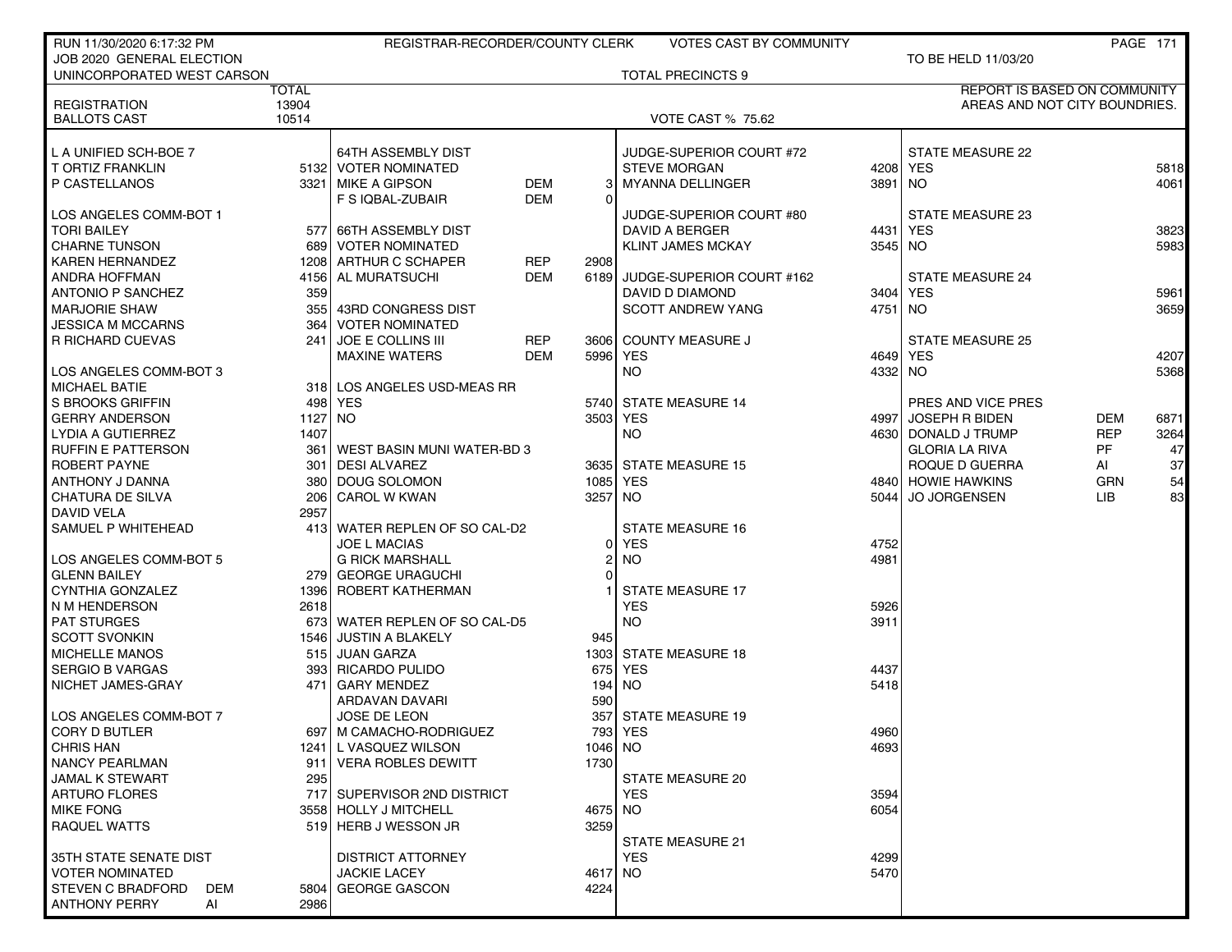| RUN 11/30/2020 6:17:32 PM  |              | REGISTRAR-RECORDER/COUNTY CLERK |            |                | VOTES CAST BY COMMUNITY   |         |                                     |            | <b>PAGE 171</b> |
|----------------------------|--------------|---------------------------------|------------|----------------|---------------------------|---------|-------------------------------------|------------|-----------------|
| JOB 2020 GENERAL ELECTION  |              |                                 |            |                |                           |         | TO BE HELD 11/03/20                 |            |                 |
| UNINCORPORATED WEST CARSON |              |                                 |            |                | <b>TOTAL PRECINCTS 9</b>  |         |                                     |            |                 |
|                            | <b>TOTAL</b> |                                 |            |                |                           |         | <b>REPORT IS BASED ON COMMUNITY</b> |            |                 |
| <b>REGISTRATION</b>        | 13904        |                                 |            |                |                           |         | AREAS AND NOT CITY BOUNDRIES.       |            |                 |
| <b>BALLOTS CAST</b>        | 10514        |                                 |            |                | <b>VOTE CAST % 75.62</b>  |         |                                     |            |                 |
|                            |              |                                 |            |                |                           |         |                                     |            |                 |
| L A UNIFIED SCH-BOE 7      |              | <b>64TH ASSEMBLY DIST</b>       |            |                | JUDGE-SUPERIOR COURT #72  |         | <b>STATE MEASURE 22</b>             |            |                 |
| T ORTIZ FRANKLIN           |              | 5132 VOTER NOMINATED            |            |                | <b>STEVE MORGAN</b>       |         | 4208 YES                            |            | 5818            |
| P CASTELLANOS              | 3321         | MIKE A GIPSON                   | DEM        | 31             | <b>MYANNA DELLINGER</b>   | 3891 NO |                                     |            | 4061            |
|                            |              | F S IQBAL-ZUBAIR                | <b>DEM</b> | $\Omega$       |                           |         |                                     |            |                 |
| LOS ANGELES COMM-BOT 1     |              |                                 |            |                | JUDGE-SUPERIOR COURT #80  |         | STATE MEASURE 23                    |            |                 |
| TORI BAILEY                |              | 577 66TH ASSEMBLY DIST          |            |                | DAVID A BERGER            | 4431    | <b>YES</b>                          |            | 3823            |
| CHARNE TUNSON              |              | 689 VOTER NOMINATED             |            |                | <b>KLINT JAMES MCKAY</b>  | 3545 NO |                                     |            | 5983            |
| <b>KAREN HERNANDEZ</b>     |              | 1208 ARTHUR C SCHAPER           | REP        | 2908           |                           |         |                                     |            |                 |
| ANDRA HOFFMAN              | 4156         | AL MURATSUCHI                   | DEM        | 6189           | JUDGE-SUPERIOR COURT #162 |         | <b>STATE MEASURE 24</b>             |            |                 |
| ANTONIO P SANCHEZ          | 359          |                                 |            |                | DAVID D DIAMOND           | 3404    | <b>YES</b>                          |            | 5961            |
| I MARJORIE SHAW            |              | 355 43RD CONGRESS DIST          |            |                | <b>SCOTT ANDREW YANG</b>  | 4751 NO |                                     |            | 3659            |
| JESSICA M MCCARNS          | 364          | <b>VOTER NOMINATED</b>          |            |                |                           |         |                                     |            |                 |
| I R RICHARD CUEVAS         | 241          | <b>JOE E COLLINS III</b>        | REP        |                | 3606 COUNTY MEASURE J     |         | <b>STATE MEASURE 25</b>             |            |                 |
|                            |              | <b>MAXINE WATERS</b>            | <b>DEM</b> |                | 5996 YES                  | 4649    | <b>YES</b>                          |            | 4207            |
| LOS ANGELES COMM-BOT 3     |              |                                 |            |                | <b>NO</b>                 | 4332 NO |                                     |            | 5368            |
| MICHAEL BATIE              |              | 318 LOS ANGELES USD-MEAS RR     |            |                |                           |         |                                     |            |                 |
| l S BROOKS GRIFFIN         |              | 498 YES                         |            |                | 5740 STATE MEASURE 14     |         | PRES AND VICE PRES                  |            |                 |
| <b>GERRY ANDERSON</b>      | 1127 NO      |                                 |            | 3503 YES       |                           | 4997    | <b>JOSEPH R BIDEN</b>               | DEM        | 6871            |
| LYDIA A GUTIERREZ          | 1407         |                                 |            |                | <b>NO</b>                 |         | 4630 DONALD J TRUMP                 | <b>REP</b> | 3264            |
| I RUFFIN E PATTERSON       | 361          | WEST BASIN MUNI WATER-BD 3      |            |                |                           |         | <b>GLORIA LA RIVA</b>               | PF         | 47              |
| ROBERT PAYNE               | 301          | <b>DESI ALVAREZ</b>             |            |                | 3635 STATE MEASURE 15     |         | ROQUE D GUERRA                      | AI         | 37              |
| ANTHONY J DANNA            | 380          | DOUG SOLOMON                    |            | 1085           | YES                       | 4840    | <b>HOWIE HAWKINS</b>                | <b>GRN</b> | 54              |
| CHATURA DE SILVA           | 206          | <b>CAROL W KWAN</b>             |            | 3257           | NO.                       | 5044 l  | <b>JO JORGENSEN</b>                 | LIB.       | 83              |
| DAVID VELA                 | 2957         |                                 |            |                |                           |         |                                     |            |                 |
| SAMUEL P WHITEHEAD         |              | 413 WATER REPLEN OF SO CAL-D2   |            |                | <b>STATE MEASURE 16</b>   |         |                                     |            |                 |
|                            |              | <b>JOE L MACIAS</b>             |            | ΟI             | YES                       | 4752    |                                     |            |                 |
| LOS ANGELES COMM-BOT 5     |              | <b>G RICK MARSHALL</b>          |            | $\overline{2}$ | <b>NO</b>                 | 4981    |                                     |            |                 |
| <b>GLENN BAILEY</b>        |              | 279 GEORGE URAGUCHI             |            | $\Omega$       |                           |         |                                     |            |                 |
| CYNTHIA GONZALEZ           | 1396         | <b>ROBERT KATHERMAN</b>         |            |                | <b>STATE MEASURE 17</b>   |         |                                     |            |                 |
| N M HENDERSON              | 2618         |                                 |            |                | <b>YES</b>                | 5926    |                                     |            |                 |
| <b>PAT STURGES</b>         |              | 673 WATER REPLEN OF SO CAL-D5   |            |                | NO.                       | 3911    |                                     |            |                 |
| SCOTT SVONKIN              |              | 1546 JUSTIN A BLAKELY           |            | 945            |                           |         |                                     |            |                 |
| <b>I MICHELLE MANOS</b>    |              | 515 JUAN GARZA                  |            |                | 1303 STATE MEASURE 18     |         |                                     |            |                 |
| SERGIO B VARGAS            | 3931         | <b>RICARDO PULIDO</b>           |            | 675            | YES                       | 4437    |                                     |            |                 |
| I NICHET JAMES-GRAY        | 471          | <b>GARY MENDEZ</b>              |            |                | 194 NO                    | 5418    |                                     |            |                 |
|                            |              | <b>ARDAVAN DAVARI</b>           |            | 590            |                           |         |                                     |            |                 |
| LOS ANGELES COMM-BOT 7     |              | <b>JOSE DE LEON</b>             |            | 357            | <b>STATE MEASURE 19</b>   |         |                                     |            |                 |
| CORY D BUTLER              |              | 697   M CAMACHO-RODRIGUEZ       |            |                | 793 YES                   | 4960    |                                     |            |                 |
| <b>CHRIS HAN</b>           |              | 1241 L VASQUEZ WILSON           |            | 1046 NO        |                           | 4693    |                                     |            |                 |
| NANCY PEARLMAN             |              | 911 VERA ROBLES DEWITT          |            | 1730           |                           |         |                                     |            |                 |
| JAMAL K STEWART            | 295          |                                 |            |                | <b>STATE MEASURE 20</b>   |         |                                     |            |                 |
| ARTURO FLORES              |              | 717 SUPERVISOR 2ND DISTRICT     |            |                | <b>YES</b>                | 3594    |                                     |            |                 |
| <b>MIKE FONG</b>           |              | 3558 HOLLY J MITCHELL           |            | 4675           | NO.                       | 6054    |                                     |            |                 |
| <b>RAQUEL WATTS</b>        |              | 519 HERB J WESSON JR            |            | 3259           |                           |         |                                     |            |                 |
|                            |              |                                 |            |                | <b>STATE MEASURE 21</b>   |         |                                     |            |                 |
| 35TH STATE SENATE DIST     |              | <b>DISTRICT ATTORNEY</b>        |            |                | <b>YES</b>                | 4299    |                                     |            |                 |
| <b>VOTER NOMINATED</b>     |              | <b>JACKIE LACEY</b>             |            | 4617           | NO.                       | 5470    |                                     |            |                 |
| I STEVEN C BRADFORD<br>DEM |              | 5804 GEORGE GASCON              |            | 4224           |                           |         |                                     |            |                 |
| <b>ANTHONY PERRY</b><br>AI | 2986         |                                 |            |                |                           |         |                                     |            |                 |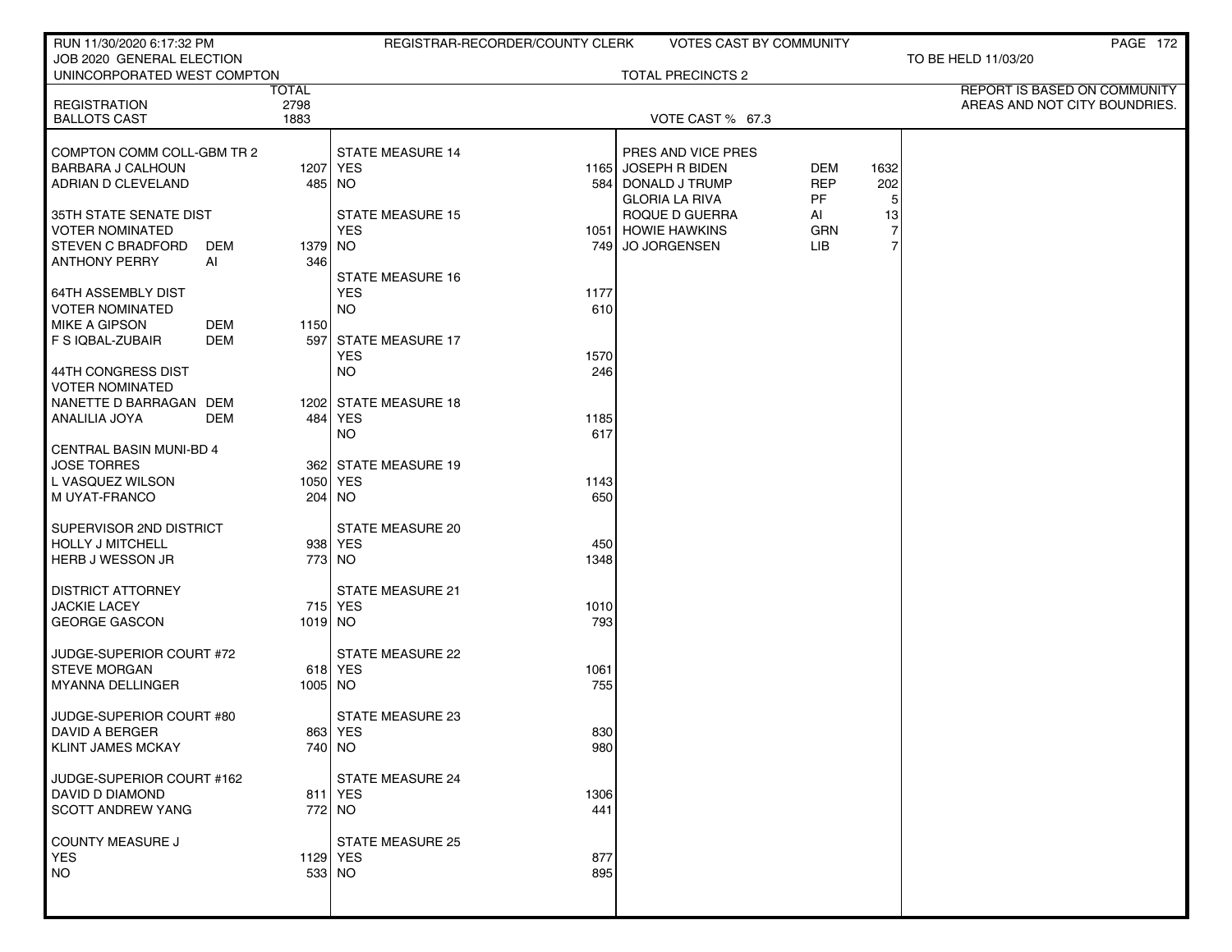| RUN 11/30/2020 6:17:32 PM                              |             |                                     | REGISTRAR-RECORDER/COUNTY CLERK |                                           | VOTES CAST BY COMMUNITY |                | <b>PAGE 172</b>               |
|--------------------------------------------------------|-------------|-------------------------------------|---------------------------------|-------------------------------------------|-------------------------|----------------|-------------------------------|
| JOB 2020 GENERAL ELECTION                              |             |                                     |                                 |                                           |                         |                | TO BE HELD 11/03/20           |
| UNINCORPORATED WEST COMPTON                            | TOTAL       |                                     |                                 | <b>TOTAL PRECINCTS 2</b>                  |                         |                | REPORT IS BASED ON COMMUNITY  |
| <b>REGISTRATION</b>                                    | 2798        |                                     |                                 |                                           |                         |                | AREAS AND NOT CITY BOUNDRIES. |
| <b>BALLOTS CAST</b>                                    | 1883        |                                     |                                 | VOTE CAST % 67.3                          |                         |                |                               |
|                                                        |             |                                     |                                 |                                           |                         |                |                               |
| COMPTON COMM COLL-GBM TR 2<br><b>BARBARA J CALHOUN</b> |             | <b>STATE MEASURE 14</b><br>1207 YES |                                 | PRES AND VICE PRES<br>1165 JOSEPH R BIDEN | <b>DEM</b>              | 1632           |                               |
| ADRIAN D CLEVELAND                                     |             | 485 NO                              | 584                             | DONALD J TRUMP                            | <b>REP</b>              | 202            |                               |
|                                                        |             |                                     |                                 | <b>GLORIA LA RIVA</b>                     | PF                      | 5              |                               |
| 35TH STATE SENATE DIST                                 |             | <b>STATE MEASURE 15</b>             |                                 | ROQUE D GUERRA                            | Al                      | 13             |                               |
| <b>VOTER NOMINATED</b>                                 |             | <b>YES</b>                          |                                 | 1051 HOWIE HAWKINS                        | <b>GRN</b>              | $\overline{7}$ |                               |
| <b>STEVEN C BRADFORD</b>                               | DEM         | 1379 NO                             |                                 | 749 JO JORGENSEN                          | <b>LIB</b>              | $\overline{7}$ |                               |
| <b>ANTHONY PERRY</b>                                   | AI<br>346   |                                     |                                 |                                           |                         |                |                               |
|                                                        |             | <b>STATE MEASURE 16</b>             |                                 |                                           |                         |                |                               |
| <b>64TH ASSEMBLY DIST</b><br><b>VOTER NOMINATED</b>    |             | <b>YES</b><br><b>NO</b>             | 1177<br>610                     |                                           |                         |                |                               |
| <b>MIKE A GIPSON</b>                                   | DEM<br>1150 |                                     |                                 |                                           |                         |                |                               |
| F S IQBAL-ZUBAIR                                       | DEM<br>597  | <b>STATE MEASURE 17</b>             |                                 |                                           |                         |                |                               |
|                                                        |             | <b>YES</b>                          | 1570                            |                                           |                         |                |                               |
| 44TH CONGRESS DIST                                     |             | <b>NO</b>                           | 246                             |                                           |                         |                |                               |
| <b>VOTER NOMINATED</b>                                 |             |                                     |                                 |                                           |                         |                |                               |
| NANETTE D BARRAGAN DEM                                 |             | 1202 STATE MEASURE 18               |                                 |                                           |                         |                |                               |
| ANALILIA JOYA                                          | DEM         | 484 YES                             | 1185                            |                                           |                         |                |                               |
| CENTRAL BASIN MUNI-BD 4                                |             | NO.                                 | 617                             |                                           |                         |                |                               |
| <b>JOSE TORRES</b>                                     |             | 362 STATE MEASURE 19                |                                 |                                           |                         |                |                               |
| L VASQUEZ WILSON                                       |             | 1050 YES                            | 1143                            |                                           |                         |                |                               |
| M UYAT-FRANCO                                          |             | 204   NO                            | 650                             |                                           |                         |                |                               |
|                                                        |             |                                     |                                 |                                           |                         |                |                               |
| SUPERVISOR 2ND DISTRICT                                |             | STATE MEASURE 20                    |                                 |                                           |                         |                |                               |
| <b>HOLLY J MITCHELL</b><br>HERB J WESSON JR            |             | 938 YES<br>773 NO                   | 450                             |                                           |                         |                |                               |
|                                                        |             |                                     | 1348                            |                                           |                         |                |                               |
| <b>DISTRICT ATTORNEY</b>                               |             | <b>STATE MEASURE 21</b>             |                                 |                                           |                         |                |                               |
| JACKIE LACEY                                           |             | 715 YES                             | 1010                            |                                           |                         |                |                               |
| <b>GEORGE GASCON</b>                                   |             | 1019 NO                             | 793                             |                                           |                         |                |                               |
|                                                        |             |                                     |                                 |                                           |                         |                |                               |
| JUDGE-SUPERIOR COURT #72<br><b>STEVE MORGAN</b>        |             | <b>STATE MEASURE 22</b><br>618 YES  |                                 |                                           |                         |                |                               |
| <b>MYANNA DELLINGER</b>                                |             | 1005 NO                             | 1061<br>755                     |                                           |                         |                |                               |
|                                                        |             |                                     |                                 |                                           |                         |                |                               |
| JUDGE-SUPERIOR COURT #80                               |             | STATE MEASURE 23                    |                                 |                                           |                         |                |                               |
| DAVID A BERGER                                         |             | 863   YES                           | 830                             |                                           |                         |                |                               |
| <b>KLINT JAMES MCKAY</b>                               |             | 740 NO                              | 980                             |                                           |                         |                |                               |
|                                                        |             | <b>STATE MEASURE 24</b>             |                                 |                                           |                         |                |                               |
| JUDGE-SUPERIOR COURT #162<br>DAVID D DIAMOND           |             | 811 YES                             | 1306                            |                                           |                         |                |                               |
| <b>SCOTT ANDREW YANG</b>                               |             | 772 NO                              | 441                             |                                           |                         |                |                               |
|                                                        |             |                                     |                                 |                                           |                         |                |                               |
| COUNTY MEASURE J                                       |             | <b>STATE MEASURE 25</b>             |                                 |                                           |                         |                |                               |
| <b>YES</b>                                             |             | 1129 YES                            | 877                             |                                           |                         |                |                               |
| <b>NO</b>                                              |             | $533$ NO                            | 895                             |                                           |                         |                |                               |
|                                                        |             |                                     |                                 |                                           |                         |                |                               |
|                                                        |             |                                     |                                 |                                           |                         |                |                               |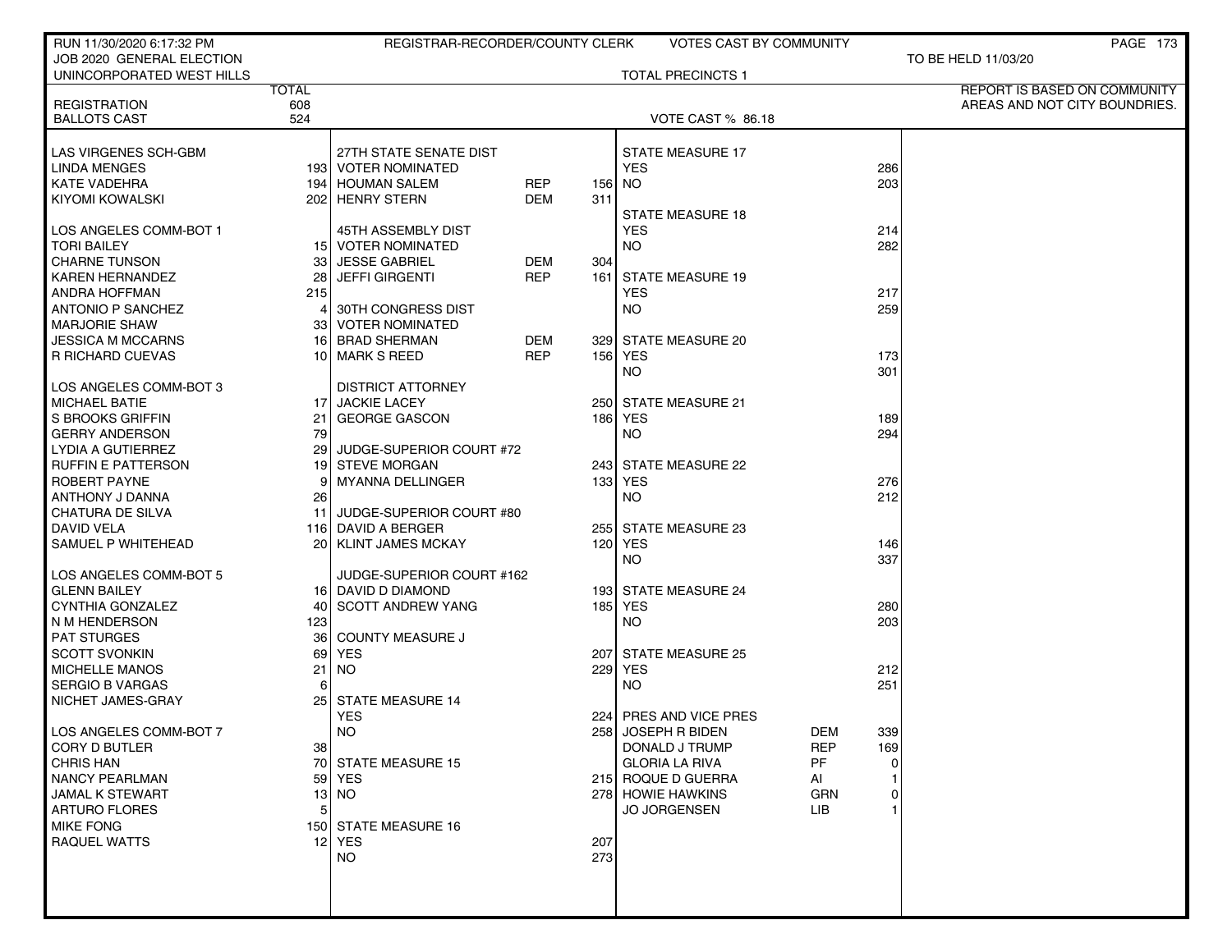| RUN 11/30/2020 6:17:32 PM |              | REGISTRAR-RECORDER/COUNTY CLERK |            |       | <b>VOTES CAST BY COMMUNITY</b> |            |     | PAGE 173                      |
|---------------------------|--------------|---------------------------------|------------|-------|--------------------------------|------------|-----|-------------------------------|
| JOB 2020 GENERAL ELECTION |              |                                 |            |       |                                |            |     | TO BE HELD 11/03/20           |
| UNINCORPORATED WEST HILLS |              |                                 |            |       | <b>TOTAL PRECINCTS 1</b>       |            |     |                               |
|                           | <b>TOTAL</b> |                                 |            |       |                                |            |     | REPORT IS BASED ON COMMUNITY  |
| <b>REGISTRATION</b>       | 608          |                                 |            |       |                                |            |     | AREAS AND NOT CITY BOUNDRIES. |
| <b>BALLOTS CAST</b>       | 524          |                                 |            |       | VOTE CAST % 86.18              |            |     |                               |
|                           |              |                                 |            |       |                                |            |     |                               |
| LAS VIRGENES SCH-GBM      |              | 27TH STATE SENATE DIST          |            |       | <b>STATE MEASURE 17</b>        |            |     |                               |
| <b>LINDA MENGES</b>       |              | 193 VOTER NOMINATED             |            |       | <b>YES</b>                     |            | 286 |                               |
| <b>KATE VADEHRA</b>       |              | 194 HOUMAN SALEM                | REP        |       | 156 NO                         |            | 203 |                               |
| KIYOMI KOWALSKI           |              | 202 HENRY STERN                 | DEM        | 311   |                                |            |     |                               |
|                           |              |                                 |            |       | <b>STATE MEASURE 18</b>        |            |     |                               |
| LOS ANGELES COMM-BOT 1    |              | 45TH ASSEMBLY DIST              |            |       | <b>YES</b>                     |            | 214 |                               |
| <b>TORI BAILEY</b>        |              | 15 VOTER NOMINATED              |            |       | NO.                            |            | 282 |                               |
| <b>CHARNE TUNSON</b>      |              | 33 JESSE GABRIEL                | DEM        | 304   |                                |            |     |                               |
| <b>KAREN HERNANDEZ</b>    |              | 28 JEFFI GIRGENTI               | <b>REP</b> | 161 l | <b>STATE MEASURE 19</b>        |            |     |                               |
| ANDRA HOFFMAN             | 215          |                                 |            |       | <b>YES</b>                     |            | 217 |                               |
| <b>ANTONIO P SANCHEZ</b>  | $\vert$      | 30TH CONGRESS DIST              |            |       | NO.                            |            | 259 |                               |
| <b>MARJORIE SHAW</b>      |              | 33 VOTER NOMINATED              |            |       |                                |            |     |                               |
| <b>JESSICA M MCCARNS</b>  |              | 16 BRAD SHERMAN                 | DEM        |       | 329 STATE MEASURE 20           |            |     |                               |
| R RICHARD CUEVAS          |              | 10 MARK S REED                  | <b>REP</b> |       | 156 YES                        |            | 173 |                               |
|                           |              |                                 |            |       | <b>NO</b>                      |            | 301 |                               |
| LOS ANGELES COMM-BOT 3    |              | <b>DISTRICT ATTORNEY</b>        |            |       |                                |            |     |                               |
| <b>MICHAEL BATIE</b>      |              | 17 JACKIE LACEY                 |            |       | 250 STATE MEASURE 21           |            |     |                               |
| S BROOKS GRIFFIN          | 21           | <b>GEORGE GASCON</b>            |            | 186   | YES                            |            | 189 |                               |
| <b>GERRY ANDERSON</b>     | 79           |                                 |            |       | NO.                            |            | 294 |                               |
| LYDIA A GUTIERREZ         |              | 29 JUDGE-SUPERIOR COURT #72     |            |       |                                |            |     |                               |
| <b>RUFFIN E PATTERSON</b> |              | 19 STEVE MORGAN                 |            |       | 243 STATE MEASURE 22           |            |     |                               |
| ROBERT PAYNE              |              | <b>MYANNA DELLINGER</b>         |            |       | 133 YES                        |            | 276 |                               |
| ANTHONY J DANNA           | 26           |                                 |            |       | <b>NO</b>                      |            | 212 |                               |
| CHATURA DE SILVA          |              | 11 JUDGE-SUPERIOR COURT #80     |            |       |                                |            |     |                               |
| DAVID VELA                |              | 116 DAVID A BERGER              |            |       | 255 STATE MEASURE 23           |            |     |                               |
| SAMUEL P WHITEHEAD        |              | 20   KLINT JAMES MCKAY          |            |       | 120 YES                        |            | 146 |                               |
|                           |              |                                 |            |       | <b>NO</b>                      |            | 337 |                               |
| LOS ANGELES COMM-BOT 5    |              | JUDGE-SUPERIOR COURT #162       |            |       |                                |            |     |                               |
| <b>GLENN BAILEY</b>       |              | 16 DAVID D DIAMOND              |            |       | 193 STATE MEASURE 24           |            |     |                               |
| CYNTHIA GONZALEZ          |              | 40 SCOTT ANDREW YANG            |            |       | 185 YES                        |            | 280 |                               |
| N M HENDERSON             | 123          |                                 |            |       | <b>NO</b>                      |            | 203 |                               |
| <b>PAT STURGES</b>        |              | 36 COUNTY MEASURE J             |            |       |                                |            |     |                               |
| <b>SCOTT SVONKIN</b>      |              | 69 YES                          |            |       | 207 STATE MEASURE 25           |            |     |                               |
| <b>MICHELLE MANOS</b>     | 21           | NO                              |            |       | 229 YES                        |            | 212 |                               |
| <b>SERGIO B VARGAS</b>    |              |                                 |            |       | <b>NO</b>                      |            | 251 |                               |
| NICHET JAMES-GRAY         | 25 I         | <b>STATE MEASURE 14</b>         |            |       |                                |            |     |                               |
|                           |              | <b>YES</b>                      |            |       | PRES AND VICE PRES             |            |     |                               |
|                           |              |                                 |            | 224   |                                |            |     |                               |
| LOS ANGELES COMM-BOT 7    |              | <b>NO</b>                       |            |       | 258 JOSEPH R BIDEN             | DEM        | 339 |                               |
| <b>CORY D BUTLER</b>      | 38 I         |                                 |            |       | DONALD J TRUMP                 | <b>REP</b> | 169 |                               |
| <b>CHRIS HAN</b>          |              | 70 STATE MEASURE 15             |            |       | <b>GLORIA LA RIVA</b>          | <b>PF</b>  |     |                               |
| <b>NANCY PEARLMAN</b>     |              | 59 YES                          |            |       | 215 ROQUE D GUERRA             | AI         |     |                               |
| <b>JAMAL K STEWART</b>    |              | $13$ NO                         |            |       | 278 HOWIE HAWKINS              | GRN        |     |                               |
| <b>ARTURO FLORES</b>      | 5            |                                 |            |       | <b>JO JORGENSEN</b>            | LIB.       |     |                               |
| <b>MIKE FONG</b>          |              | 150 STATE MEASURE 16            |            |       |                                |            |     |                               |
| <b>RAQUEL WATTS</b>       |              | 12 YES                          |            | 207   |                                |            |     |                               |
|                           |              | <b>NO</b>                       |            | 273   |                                |            |     |                               |
|                           |              |                                 |            |       |                                |            |     |                               |
|                           |              |                                 |            |       |                                |            |     |                               |
|                           |              |                                 |            |       |                                |            |     |                               |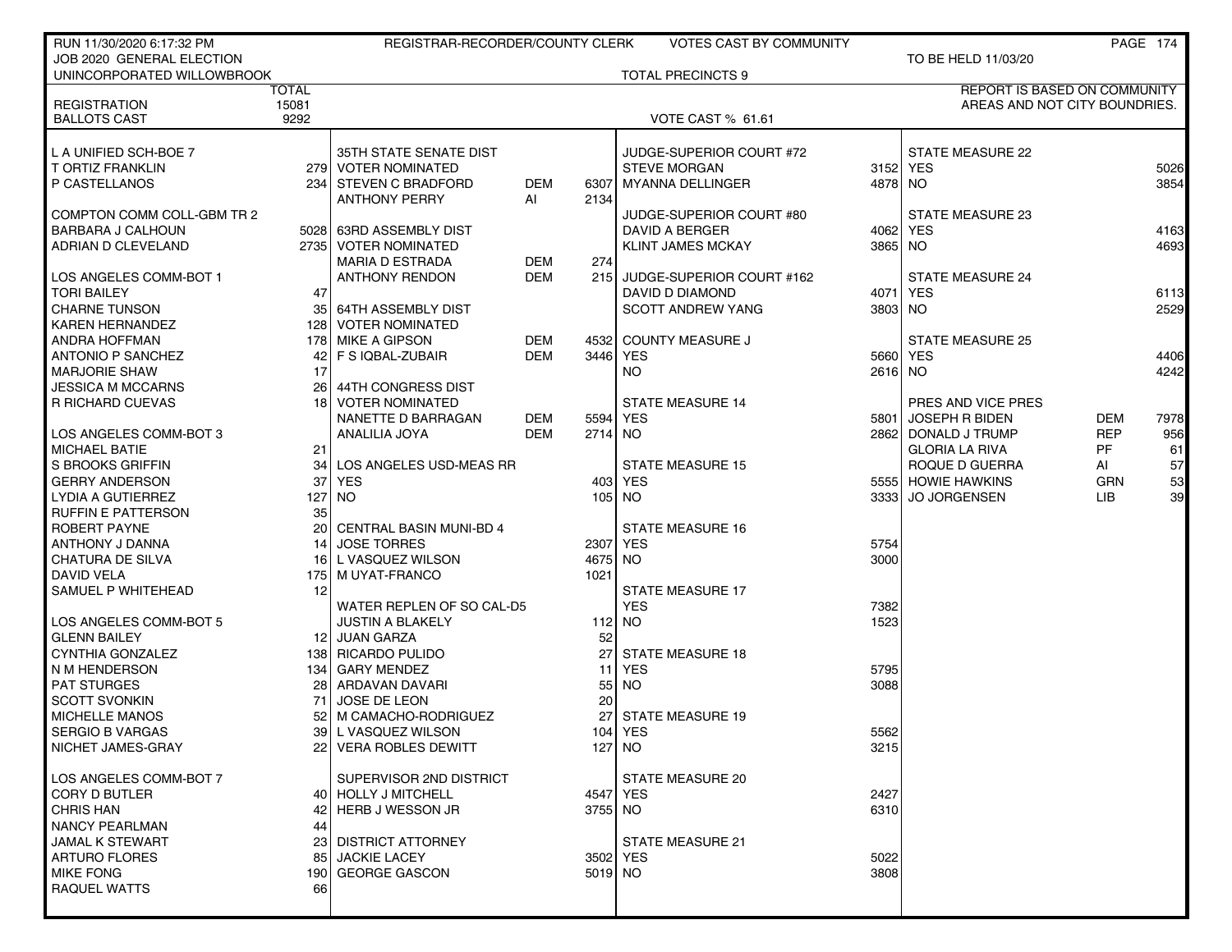| RUN 11/30/2020 6:17:32 PM  |       | REGISTRAR-RECORDER/COUNTY CLERK                 |            |         | <b>VOTES CAST BY COMMUNITY</b> |                 |                               |            | PAGE 174     |
|----------------------------|-------|-------------------------------------------------|------------|---------|--------------------------------|-----------------|-------------------------------|------------|--------------|
| JOB 2020 GENERAL ELECTION  |       |                                                 |            |         |                                |                 | TO BE HELD 11/03/20           |            |              |
| UNINCORPORATED WILLOWBROOK |       |                                                 |            |         | <b>TOTAL PRECINCTS 9</b>       |                 |                               |            |              |
|                            | TOTAL |                                                 |            |         |                                |                 | REPORT IS BASED ON COMMUNITY  |            |              |
| <b>REGISTRATION</b>        | 15081 |                                                 |            |         |                                |                 | AREAS AND NOT CITY BOUNDRIES. |            |              |
| <b>BALLOTS CAST</b>        | 9292  |                                                 |            |         | <b>VOTE CAST % 61.61</b>       |                 |                               |            |              |
|                            |       |                                                 |            |         |                                |                 |                               |            |              |
| L A UNIFIED SCH-BOE 7      |       | 35TH STATE SENATE DIST                          |            |         | JUDGE-SUPERIOR COURT #72       |                 | <b>STATE MEASURE 22</b>       |            |              |
| <b>T ORTIZ FRANKLIN</b>    |       | 279 VOTER NOMINATED                             |            |         | <b>STEVE MORGAN</b>            |                 | 3152 YES                      |            | 5026         |
| P CASTELLANOS              | 234   | I STEVEN C BRADFORD                             | DEM        | 6307    | <b>MYANNA DELLINGER</b>        | 4878 NO         |                               |            | 3854         |
|                            |       | <b>ANTHONY PERRY</b>                            | Al         | 2134    |                                |                 |                               |            |              |
| COMPTON COMM COLL-GBM TR 2 |       |                                                 |            |         | JUDGE-SUPERIOR COURT #80       |                 | STATE MEASURE 23              |            |              |
| I BARBARA J CALHOUN        |       | 5028 63RD ASSEMBLY DIST<br>2735 VOTER NOMINATED |            |         | DAVID A BERGER                 | 4062<br>3865 NO | <b>YES</b>                    |            | 4163<br>4693 |
| ADRIAN D CLEVELAND         |       |                                                 | <b>DEM</b> | 274     | <b>KLINT JAMES MCKAY</b>       |                 |                               |            |              |
| LOS ANGELES COMM-BOT 1     |       | <b>MARIA D ESTRADA</b><br><b>ANTHONY RENDON</b> | <b>DEM</b> | 215     | JUDGE-SUPERIOR COURT #162      |                 | <b>STATE MEASURE 24</b>       |            |              |
| <b>TORI BAILEY</b>         | 47    |                                                 |            |         | DAVID D DIAMOND                |                 | 4071 YES                      |            | 6113         |
| <b>CHARNE TUNSON</b>       | 35    | 64TH ASSEMBLY DIST                              |            |         | <b>SCOTT ANDREW YANG</b>       | 3803 NO         |                               |            | 2529         |
| <b>KAREN HERNANDEZ</b>     | 128   | <b>VOTER NOMINATED</b>                          |            |         |                                |                 |                               |            |              |
| I ANDRA HOFFMAN            | 178   | MIKE A GIPSON                                   | <b>DEM</b> |         | 4532 COUNTY MEASURE J          |                 | <b>STATE MEASURE 25</b>       |            |              |
| ANTONIO P SANCHEZ          | 42    | F S IQBAL-ZUBAIR                                | DEM        |         | 3446 YES                       |                 | 5660 YES                      |            | 4406         |
| <b>MARJORIE SHAW</b>       | 17    |                                                 |            |         | NO.                            | 2616 NO         |                               |            | 4242         |
| JESSICA M MCCARNS          | 26    | 44TH CONGRESS DIST                              |            |         |                                |                 |                               |            |              |
| <b>R RICHARD CUEVAS</b>    |       | 18 VOTER NOMINATED                              |            |         | <b>STATE MEASURE 14</b>        |                 | PRES AND VICE PRES            |            |              |
|                            |       | NANETTE D BARRAGAN                              | DEM        | 5594    | YES                            | 5801            | JOSEPH R BIDEN                | DEM        | 7978         |
| LOS ANGELES COMM-BOT 3     |       | ANALILIA JOYA                                   | <b>DEM</b> | 2714 NO |                                | 2862            | DONALD J TRUMP                | <b>REP</b> | 956          |
| <b>MICHAEL BATIE</b>       | 21    |                                                 |            |         |                                |                 | <b>GLORIA LA RIVA</b>         | <b>PF</b>  | 61           |
| l S BROOKS GRIFFIN         | 34    | LOS ANGELES USD-MEAS RR                         |            |         | <b>STATE MEASURE 15</b>        |                 | ROQUE D GUERRA                | AI         | 57           |
| <b>GERRY ANDERSON</b>      | 37    | <b>YES</b>                                      |            |         | 403 YES                        | 55551           | <b>HOWIE HAWKINS</b>          | <b>GRN</b> | 53           |
| I LYDIA A GUTIERREZ        | 127   | <b>NO</b>                                       |            |         | 105 NO                         | 33331           | <b>JO JORGENSEN</b>           | LIB        | 39           |
| <b>RUFFIN E PATTERSON</b>  | 35    |                                                 |            |         |                                |                 |                               |            |              |
| ROBERT PAYNE               | 20    | CENTRAL BASIN MUNI-BD 4                         |            |         | <b>STATE MEASURE 16</b>        |                 |                               |            |              |
| <b>ANTHONY J DANNA</b>     | 14    | <b>JOSE TORRES</b>                              |            | 2307    | YES                            | 5754            |                               |            |              |
| CHATURA DE SILVA           | 16    | L VASQUEZ WILSON                                |            | 4675    | NO.                            | 3000            |                               |            |              |
| <b>DAVID VELA</b>          | 175   | M UYAT-FRANCO                                   |            | 1021    |                                |                 |                               |            |              |
| SAMUEL P WHITEHEAD         | 12    |                                                 |            |         | <b>STATE MEASURE 17</b>        |                 |                               |            |              |
|                            |       | WATER REPLEN OF SO CAL-D5                       |            |         | <b>YES</b>                     | 7382            |                               |            |              |
| LOS ANGELES COMM-BOT 5     |       | <b>JUSTIN A BLAKELY</b>                         |            |         | $112$ NO                       | 1523            |                               |            |              |
| <b>GLENN BAILEY</b>        |       | 12 JUAN GARZA                                   |            | 52      |                                |                 |                               |            |              |
| CYNTHIA GONZALEZ           |       | 138 RICARDO PULIDO                              |            | 27      | <b>STATE MEASURE 18</b>        |                 |                               |            |              |
| N M HENDERSON              | 134   | <b>GARY MENDEZ</b>                              |            | 11      | YES                            | 5795            |                               |            |              |
| PAT STURGES                | 28    | ARDAVAN DAVARI                                  |            | 55      | <b>NO</b>                      | 3088            |                               |            |              |
| <b>SCOTT SVONKIN</b>       | 71    | <b>JOSE DE LEON</b>                             |            | 20      |                                |                 |                               |            |              |
| <b>MICHELLE MANOS</b>      | 52    | M CAMACHO-RODRIGUEZ                             |            | 27      | <b>STATE MEASURE 19</b>        |                 |                               |            |              |
| <b>SERGIO B VARGAS</b>     |       | 39 L VASQUEZ WILSON                             |            |         | 104 YES                        | 5562            |                               |            |              |
| I NICHET JAMES-GRAY        |       | 22 VERA ROBLES DEWITT                           |            |         | 127 NO                         | 3215            |                               |            |              |
| LOS ANGELES COMM-BOT 7     |       | SUPERVISOR 2ND DISTRICT                         |            |         | <b>STATE MEASURE 20</b>        |                 |                               |            |              |
| CORY D BUTLER              |       | 40 HOLLY J MITCHELL                             |            |         | 4547 YES                       | 2427            |                               |            |              |
| <b>CHRIS HAN</b>           | 42    | <b>HERB J WESSON JR</b>                         |            | 3755 NO |                                | 6310            |                               |            |              |
| NANCY PEARLMAN             | 44    |                                                 |            |         |                                |                 |                               |            |              |
| JAMAL K STEWART            | 23    | <b>DISTRICT ATTORNEY</b>                        |            |         | <b>STATE MEASURE 21</b>        |                 |                               |            |              |
| ARTURO FLORES              | 85    | <b>JACKIE LACEY</b>                             |            |         | 3502 YES                       | 5022            |                               |            |              |
| <b>MIKE FONG</b>           | 190   | <b>GEORGE GASCON</b>                            |            | 5019 NO |                                | 3808            |                               |            |              |
| <b>RAQUEL WATTS</b>        | 66    |                                                 |            |         |                                |                 |                               |            |              |
|                            |       |                                                 |            |         |                                |                 |                               |            |              |
|                            |       |                                                 |            |         |                                |                 |                               |            |              |